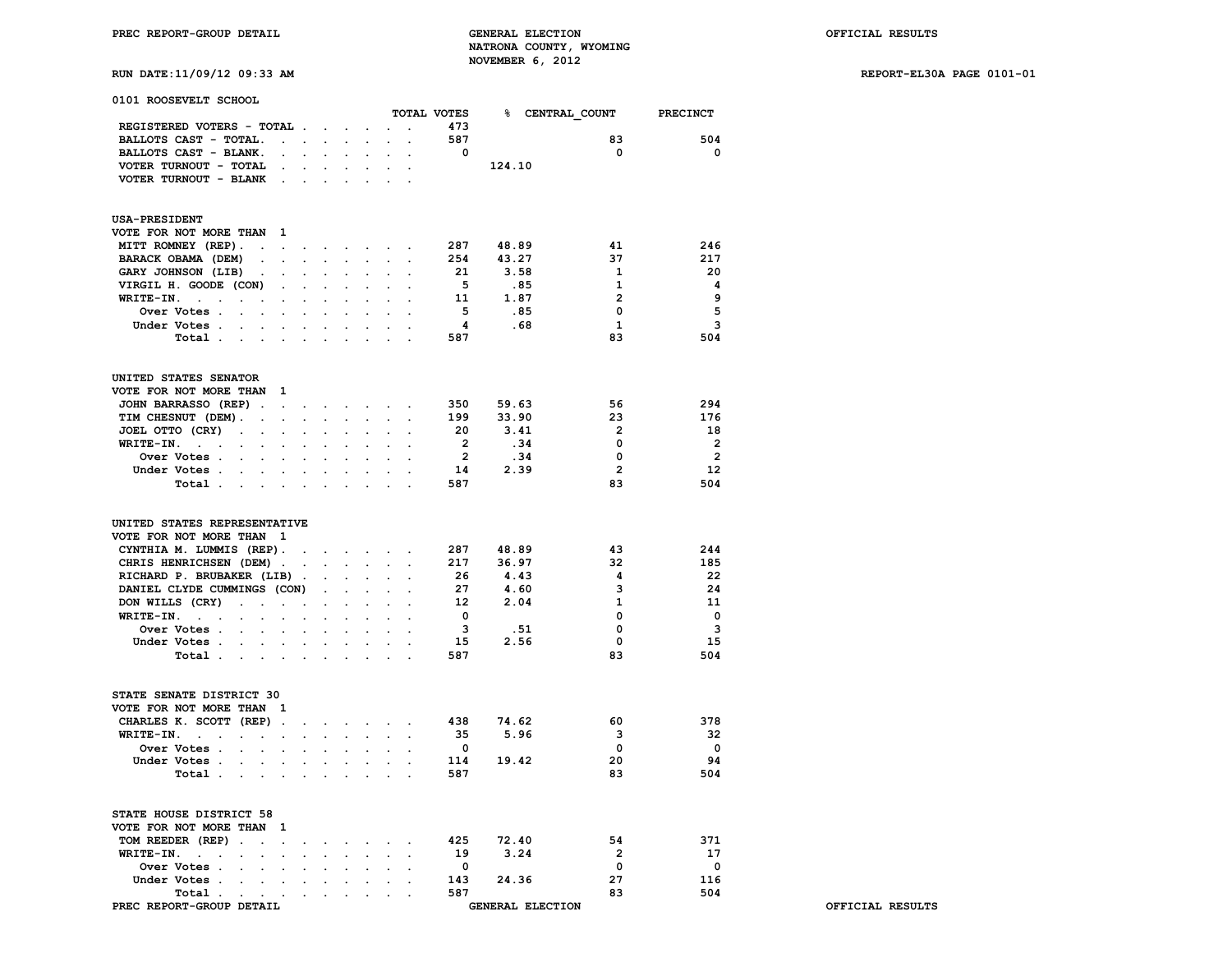**RUN DATE:11/09/12 09:33 AM REPORT-EL30A PAGE 0101-01**

| 0101 ROOSEVELT SCHOOL                                                                          |                                              |                      |                                                    |                                                                  |                      |           |                         |                         |                         |                         |
|------------------------------------------------------------------------------------------------|----------------------------------------------|----------------------|----------------------------------------------------|------------------------------------------------------------------|----------------------|-----------|-------------------------|-------------------------|-------------------------|-------------------------|
|                                                                                                |                                              |                      |                                                    |                                                                  |                      |           | TOTAL VOTES             |                         | <b>% CENTRAL COUNT</b>  | <b>PRECINCT</b>         |
| REGISTERED VOTERS - TOTAL                                                                      |                                              |                      |                                                    | $\ddot{\phantom{0}}$                                             | $\ddot{\phantom{0}}$ | $\sim$    | 473                     |                         |                         |                         |
| BALLOTS CAST - TOTAL.                                                                          | $\sim$<br>$\sim$                             |                      |                                                    |                                                                  |                      |           | 587                     |                         | 83                      | 504                     |
| BALLOTS CAST - BLANK.                                                                          | $\sim$                                       | $\sim$               | $\mathbf{z} = \mathbf{z} + \mathbf{z}$ .           | $\ddot{\phantom{0}}$                                             | $\sim$               | $\bullet$ | $^{\circ}$              |                         | $\mathbf 0$             | $\mathbf 0$             |
| VOTER TURNOUT - TOTAL                                                                          |                                              |                      |                                                    |                                                                  |                      |           |                         | 124.10                  |                         |                         |
| VOTER TURNOUT - BLANK.                                                                         |                                              |                      |                                                    |                                                                  |                      |           |                         |                         |                         |                         |
| <b>USA-PRESIDENT</b>                                                                           |                                              |                      |                                                    |                                                                  |                      |           |                         |                         |                         |                         |
| <b>VOTE FOR NOT MORE THAN 1</b>                                                                |                                              |                      |                                                    |                                                                  |                      |           |                         |                         |                         |                         |
| MITT ROMNEY (REP).<br>$\ddot{\phantom{a}}$                                                     | the contract of the contract of the          |                      |                                                    |                                                                  | $\sim$               |           | 287                     | 48.89                   | 41                      | 246                     |
| BARACK OBAMA (DEM)<br>$\sim$                                                                   | $\cdot$<br>$\sim$                            | $\cdot$              |                                                    | $\ddot{\phantom{0}}$                                             | $\sim$               |           | 254                     | 43.27                   | 37                      | 217                     |
| <b>GARY JOHNSON (LIB)</b><br>$\bullet$                                                         | $\ddot{\phantom{a}}$                         |                      |                                                    | $\cdot$                                                          |                      |           | 21                      | 3.58                    | 1                       | 20                      |
| VIRGIL H. GOODE (CON)                                                                          | $\sim$<br>$\ddot{\phantom{a}}$               | $\ddot{\phantom{a}}$ | $\ddot{\phantom{a}}$                               | $\ddot{\phantom{a}}$                                             | $\ddot{\phantom{a}}$ |           | - 5                     | .85                     | 1                       | 4                       |
| $WRITE-IN.$ .<br>$\ddot{\phantom{a}}$                                                          |                                              |                      |                                                    |                                                                  |                      |           | 11                      | 1.87                    | $\overline{2}$          | 9                       |
| Over Votes                                                                                     | $\sim$<br>$\bullet$                          | $\ddot{\phantom{0}}$ | $\ddot{\phantom{0}}$                               | $\ddot{\phantom{0}}$                                             | $\ddot{\phantom{a}}$ |           | - 5                     | .85                     | 0                       | 5                       |
| Under Votes.<br>$\sim$<br>$\sim$ $\sim$                                                        |                                              |                      |                                                    |                                                                  |                      |           | 4                       | .68                     | 1                       | 3                       |
| Total                                                                                          |                                              |                      |                                                    |                                                                  |                      |           | 587                     |                         | 83                      | 504                     |
|                                                                                                |                                              |                      |                                                    |                                                                  |                      |           |                         |                         |                         |                         |
| UNITED STATES SENATOR                                                                          |                                              |                      |                                                    |                                                                  |                      |           |                         |                         |                         |                         |
| VOTE FOR NOT MORE THAN 1                                                                       |                                              |                      |                                                    |                                                                  |                      |           |                         |                         |                         |                         |
| JOHN BARRASSO (REP).                                                                           | <b>Service</b>                               |                      | $\sim$ $\sim$                                      | $\sim$                                                           |                      |           | 350                     | 59.63                   | 56                      | 294                     |
| TIM CHESNUT (DEM).<br>$\ddot{\phantom{0}}$                                                     | <b>Contract</b><br>$\mathbf{r}$              |                      |                                                    | $\cdot$                                                          |                      |           | 199                     | 33.90                   | 23                      | 176                     |
| JOEL OTTO (CRY)<br>$\sim$<br>$\bullet$ .                                                       | $\Box$                                       |                      |                                                    | $\cdot$                                                          |                      |           | 20                      | 3.41                    | $\overline{2}$          | 18                      |
| WRITE-IN.<br>the company of the com-<br>$\sim$                                                 | $\sim$<br>$\ddot{\phantom{a}}$               | $\ddot{\phantom{a}}$ | $\ddot{\phantom{a}}$                               | $\ddot{\phantom{a}}$                                             | $\ddot{\phantom{a}}$ |           | $\overline{\mathbf{2}}$ | .34                     | 0                       | $\overline{2}$          |
| Over Votes .<br>$\sim$                                                                         |                                              |                      |                                                    |                                                                  |                      |           | $\overline{\mathbf{2}}$ | .34                     | 0                       | $\overline{\mathbf{2}}$ |
| Under Votes<br>$\sim$                                                                          | $\ddot{\phantom{0}}$<br>$\bullet$            | $\ddot{\phantom{0}}$ | $\ddot{\phantom{0}}$                               | $\ddot{\phantom{0}}$                                             | $\bullet$            |           | 14                      | 2.39                    | $\overline{2}$          | 12                      |
| Total .<br>and the company of                                                                  | $\ddot{\phantom{a}}$                         |                      |                                                    |                                                                  |                      |           | 587                     |                         | 83                      | 504                     |
| UNITED STATES REPRESENTATIVE<br>VOTE FOR NOT MORE THAN 1<br>CYNTHIA M. LUMMIS (REP). .         |                                              |                      |                                                    | <b>Contract Contract Contract</b>                                | $\sim$               |           | 287                     | 48.89                   | 43                      | 244                     |
| CHRIS HENRICHSEN (DEM).                                                                        | $\bullet$                                    |                      | $\ddot{\phantom{0}}$                               |                                                                  |                      |           | 217                     | 36.97                   | 32                      | 185                     |
| RICHARD P. BRUBAKER (LIB).                                                                     |                                              |                      | $\ddot{\phantom{0}}$                               | $\ddot{\phantom{a}}$                                             | $\mathbf{r}$         |           | 26                      | 4.43                    | 4                       | 22                      |
| DANIEL CLYDE CUMMINGS (CON)                                                                    |                                              | $\ddot{\phantom{0}}$ | $\ddot{\phantom{0}}$                               |                                                                  |                      |           | 27                      | 4.60                    | 3                       | 24                      |
| DON WILLS (CRY)<br>$\sim$<br>$\sim$ $\sim$ $\sim$                                              | $\bullet$                                    | $\ddot{\phantom{0}}$ | $\ddot{\phantom{0}}$                               | $\ddot{\phantom{a}}$                                             | $\cdot$              |           | 12                      | 2.04                    | 1                       | 11                      |
| WRITE-IN.                                                                                      |                                              |                      |                                                    |                                                                  |                      |           | $\mathbf{o}$            |                         | 0                       | $\overline{\mathbf{0}}$ |
| Over Votes<br>$\sim$                                                                           | $\bullet$<br>$\bullet$                       |                      | $\ddot{\phantom{0}}$                               | $\ddot{\phantom{0}}$                                             | $\ddot{\phantom{a}}$ |           | 3                       | .51                     | 0                       | $\mathbf{3}$            |
| Under Votes.<br>$\mathbf{r} = \mathbf{r} = \mathbf{r}$                                         |                                              |                      |                                                    |                                                                  |                      |           | 15                      | 2.56                    | 0                       | 15                      |
| Total                                                                                          |                                              |                      |                                                    |                                                                  |                      |           | 587                     |                         | 83                      | 504                     |
| STATE SENATE DISTRICT 30                                                                       |                                              |                      |                                                    |                                                                  |                      |           |                         |                         |                         |                         |
| VOTE FOR NOT MORE THAN 1                                                                       |                                              |                      |                                                    |                                                                  |                      |           |                         |                         |                         |                         |
| CHARLES K. SCOTT (REP).                                                                        |                                              | $\ddot{\phantom{0}}$ |                                                    |                                                                  |                      |           | 438                     | 74.62                   | 60                      | 378                     |
| WRITE-IN.<br>$\sim$ $\sim$ $\sim$<br>$\sim$<br>$\bullet$ .<br><br><br><br><br><br><br><br><br> | $\ddot{\phantom{a}}$                         | $\ddot{\phantom{a}}$ |                                                    | $\ddot{\phantom{0}}$                                             | $\ddot{\phantom{0}}$ |           | 35                      | 5.96                    | 3                       | 32                      |
| Over Votes<br>$\sim$                                                                           |                                              |                      |                                                    |                                                                  |                      |           | 0                       |                         | $\mathbf 0$             | 0                       |
| Under Votes.<br>$\ddot{\phantom{0}}$<br>$\sim$                                                 | $\ddot{\phantom{a}}$<br>$\ddot{\phantom{a}}$ | $\ddot{\phantom{0}}$ | $\ddot{\phantom{a}}$                               | $\cdot$                                                          | $\cdot$              |           | 114                     | 19.42                   | 20                      | 94                      |
| Total .<br>$\sim$<br>$\sim$                                                                    |                                              |                      |                                                    |                                                                  |                      |           | 587                     |                         | 83                      | 504                     |
|                                                                                                |                                              |                      |                                                    |                                                                  |                      |           |                         |                         |                         |                         |
| STATE HOUSE DISTRICT 58                                                                        |                                              |                      |                                                    |                                                                  |                      |           |                         |                         |                         |                         |
| VOTE FOR NOT MORE THAN 1                                                                       |                                              |                      |                                                    |                                                                  |                      |           |                         |                         |                         |                         |
| TOM REEDER (REP)                                                                               |                                              |                      |                                                    | $\mathbf{r} = \mathbf{r} + \mathbf{r} + \mathbf{r} + \mathbf{r}$ |                      |           |                         | 425 72.40               | 54                      | 371                     |
| $WRITE-IN.$                                                                                    |                                              | $\ddot{\phantom{0}}$ | $\mathbf{a}$ , and $\mathbf{a}$ , and $\mathbf{a}$ | $\ddot{\phantom{0}}$                                             |                      |           | 19                      | 3.24                    | $\overline{2}$          | 17                      |
| Over Votes                                                                                     | $\mathbf{r}$                                 |                      |                                                    |                                                                  |                      |           | $\overline{\mathbf{0}}$ |                         | $\overline{\mathbf{0}}$ | $\overline{\mathbf{0}}$ |
| Under Votes                                                                                    |                                              | $\sim$               | $\mathbf{r} = \mathbf{r}$                          |                                                                  |                      |           | 143                     | 24.36                   | 27                      | 116                     |
| Total<br>$\ddot{\phantom{0}}$                                                                  |                                              |                      |                                                    |                                                                  |                      |           | 587                     |                         | 83                      | 504                     |
| PREC REPORT-GROUP DETAIL                                                                       |                                              |                      |                                                    |                                                                  |                      |           |                         | <b>GENERAL ELECTION</b> |                         |                         |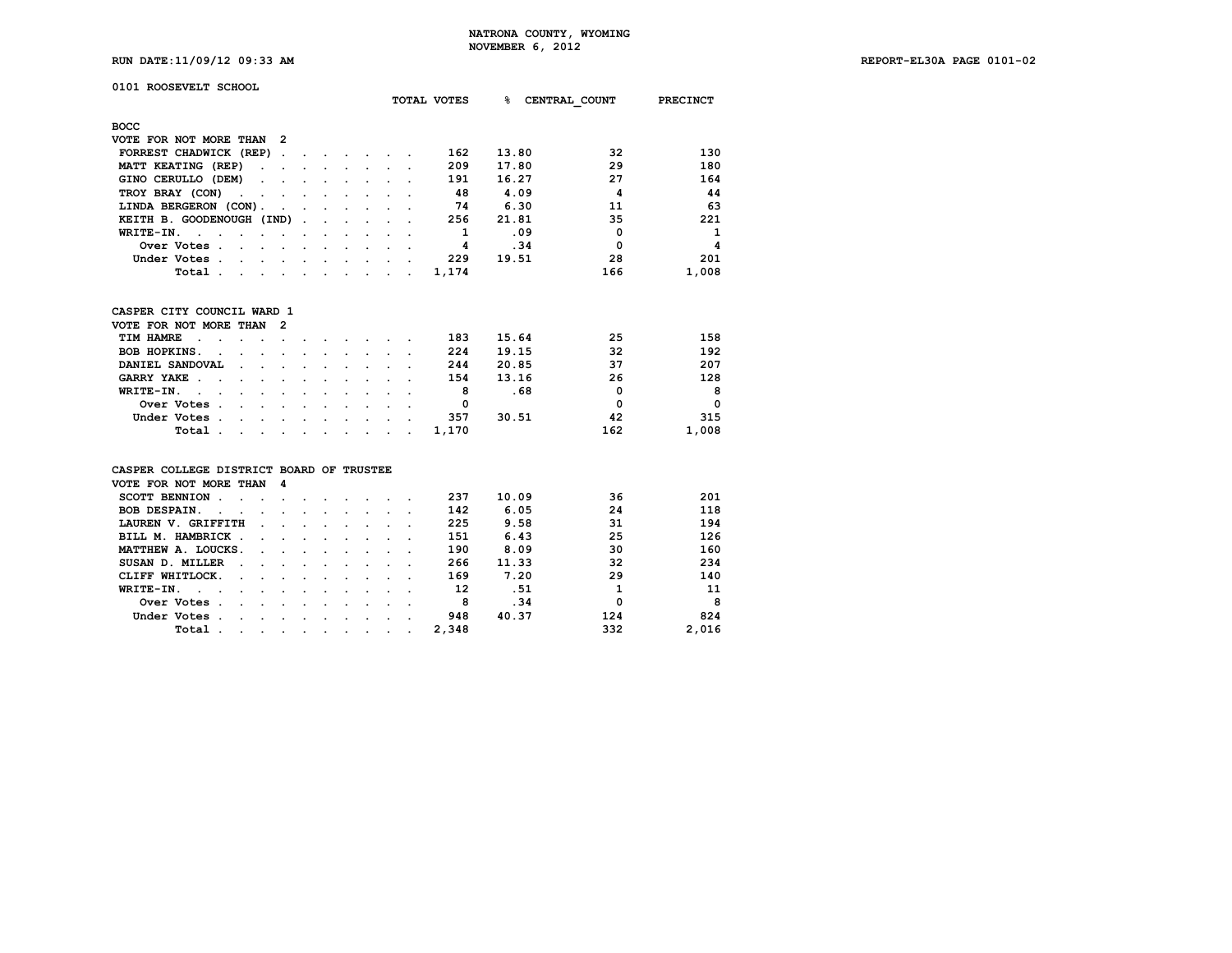|                                                                                                                                                    | NUVEMBER 0, ZUIZ |                           |
|----------------------------------------------------------------------------------------------------------------------------------------------------|------------------|---------------------------|
| RUN DATE: 11/09/12 09:33 AM<br>and the contract of the contract of the contract of the contract of the contract of the contract of the contract of |                  | REPORT-EL30A PAGE 0101-02 |

| 0101 ROOSEVELT SCHOOL                                                         |                                |                      |                      |                      |                                                       |                      |                      | TOTAL VOTES | ℁     | CENTRAL COUNT  | <b>PRECINCT</b> |
|-------------------------------------------------------------------------------|--------------------------------|----------------------|----------------------|----------------------|-------------------------------------------------------|----------------------|----------------------|-------------|-------|----------------|-----------------|
| <b>BOCC</b>                                                                   |                                |                      |                      |                      |                                                       |                      |                      |             |       |                |                 |
| VOTE FOR NOT MORE THAN                                                        | 2                              |                      |                      |                      |                                                       |                      |                      |             |       |                |                 |
| FORREST CHADWICK (REP)                                                        | $\sim$                         | $\ddot{\phantom{a}}$ |                      |                      | $\sim$ $\sim$ $\sim$                                  |                      |                      | 162         | 13.80 | 32             | 130             |
| MATT KEATING (REP)<br>$\cdot$                                                 |                                |                      | $\ddot{\phantom{0}}$ |                      | <b>Contract Contract</b>                              |                      |                      | 209         | 17.80 | 29             | 180             |
| GINO CERULLO (DEM)                                                            |                                |                      |                      |                      |                                                       |                      |                      | 191         | 16.27 | 27             | 164             |
| TROY BRAY (CON)<br>$\mathbf{r}$<br>$\ddot{\phantom{a}}$                       | $\mathbf{r}$                   | $\ddot{\phantom{a}}$ |                      |                      | $\mathbf{r}$ , $\mathbf{r}$ , $\mathbf{r}$            |                      |                      | -48         | 4.09  | $\overline{a}$ | 44              |
| LINDA BERGERON (CON).                                                         | $\ddot{\phantom{a}}$           | $\ddot{\phantom{a}}$ | $\mathbf{r}$         |                      | $\mathbf{r} = \mathbf{r}$                             | $\ddot{\phantom{a}}$ |                      | 74          | 6.30  | 11             | 63              |
| KEITH B. GOODENOUGH (IND).                                                    |                                |                      |                      |                      | $\mathbf{r} = \mathbf{r}$ , $\mathbf{r} = \mathbf{r}$ |                      |                      | 256         | 21.81 | 35             | 221             |
| WRITE-IN.<br>$\sim$<br>$\sim$<br>$\ddot{\phantom{0}}$<br>$\ddot{\phantom{a}}$ | $\sim$                         |                      |                      |                      |                                                       |                      |                      | 1           | .09   | $\Omega$       | $\mathbf{1}$    |
| Over Votes.<br>$\sim$                                                         |                                |                      |                      |                      | $\mathbf{L} = \mathbf{L} \mathbf{L} = \mathbf{L}$     |                      |                      | 4           | .34   | 0              | 4               |
| Under Votes.                                                                  | $\sim$                         | $\ddot{\phantom{0}}$ |                      |                      | $\mathbf{r}$ and $\mathbf{r}$ and $\mathbf{r}$        |                      |                      | 229         | 19.51 | 28             | 201             |
| Total.<br>$\sim$                                                              | $\sim$<br>$\sim$               | $\bullet$            |                      |                      | $\mathbf{r} = \mathbf{r} + \mathbf{r}$                | $\cdot$              | $\ddot{\phantom{a}}$ | 1,174       |       | 166            | 1,008           |
|                                                                               |                                |                      |                      |                      |                                                       |                      |                      |             |       |                |                 |
| CASPER CITY COUNCIL WARD 1                                                    |                                |                      |                      |                      |                                                       |                      |                      |             |       |                |                 |
| VOTE FOR NOT MORE THAN                                                        | 2                              |                      |                      |                      |                                                       |                      |                      |             |       |                |                 |
| TIM HAMRE<br>$\ddot{\phantom{1}}$                                             |                                |                      |                      |                      |                                                       |                      |                      | 183         | 15.64 | 25             | 158             |
| <b>BOB HOPKINS.</b>                                                           |                                |                      |                      |                      |                                                       |                      |                      | 224         | 19.15 | 32             | 192             |
| DANIEL SANDOVAL                                                               |                                |                      |                      | $\ddot{\phantom{a}}$ | $\sim$                                                |                      |                      | 244         | 20.85 | 37             | 207             |
| GARRY YAKE .                                                                  | $\sim$<br>$\ddot{\phantom{a}}$ | $\ddot{\phantom{a}}$ | $\ddot{\phantom{0}}$ | $\ddot{\phantom{0}}$ | $\sim$                                                | $\cdot$              |                      | 154         | 13.16 | 26             | 128             |
| WRITE-IN.<br>$\sim$ $\sim$                                                    |                                |                      |                      |                      | $\ddot{\phantom{a}}$                                  |                      |                      | 8           | . 68  | 0              | 8               |
| Over Votes.<br>$\overline{a}$                                                 |                                |                      |                      |                      |                                                       |                      |                      | 0           |       | $\Omega$       | 0               |
| Under Votes.                                                                  |                                | $\mathbf{r}$         | $\mathbf{r}$         |                      | $\mathbf{r} = \mathbf{r}$                             | $\mathbf{r}$         |                      | 357         | 30.51 | 42             | 315             |
| Total .<br>$\overline{a}$                                                     | $\sim$<br>$\sim$               | $\sim$               |                      |                      | $\mathbf{r} = \mathbf{r}$ , $\mathbf{r} = \mathbf{r}$ |                      | $\ddot{\phantom{a}}$ | 1,170       |       | 162            | 1,008           |
| CASPER COLLEGE DISTRICT BOARD OF TRUSTEE                                      |                                |                      |                      |                      |                                                       |                      |                      |             |       |                |                 |
| VOTE FOR NOT MORE THAN                                                        | 4                              |                      |                      |                      |                                                       |                      |                      |             |       |                |                 |
| SCOTT BENNION .<br>$\overline{a}$<br>$\cdot$                                  | $\mathbf{r}$                   |                      |                      |                      |                                                       |                      |                      | 237         | 10.09 | 36             | 201             |
| <b>BOB DESPAIN.</b><br>$\sim$<br>$\ddot{\phantom{a}}$                         |                                |                      |                      |                      | $\sim$ $\sim$                                         |                      |                      | 142         | 6.05  | 24             | 118             |
| LAUREN V. GRIFFITH                                                            |                                |                      |                      |                      |                                                       |                      |                      | 225         | 9.58  | 31             | 194             |
| BILL M. HAMBRICK.                                                             |                                |                      |                      | $\cdot$              |                                                       |                      |                      | 151         | 6.43  | 25             | 126             |
| MATTHEW A. LOUCKS.                                                            |                                | $\ddot{\phantom{a}}$ | $\ddot{\phantom{0}}$ | $\sim$               | $\ddot{\phantom{0}}$                                  | $\cdot$              |                      | 190         | 8.09  | 30             | 160             |
| SUSAN D. MILLER                                                               |                                | $\ddot{\phantom{0}}$ | $\ddot{\phantom{0}}$ | $\ddot{\phantom{a}}$ | $\ddot{\phantom{0}}$                                  |                      |                      | 266         | 11.33 | 32             | 234             |
| CLIFF WHITLOCK.                                                               |                                |                      |                      |                      |                                                       |                      |                      | 169         | 7.20  | 29             | 140             |
| WRITE-IN.<br>$\cdot$<br>$\sim$                                                |                                | $\mathbf{r}$         | $\sim$               | $\ddot{\phantom{a}}$ | $\sim$                                                | $\overline{a}$       |                      | 12          | .51   | $\mathbf{1}$   | 11              |
| Over Votes .                                                                  | $\sim$                         | $\sim$               | $\mathbf{r}$         | $\mathbf{r}$         | $\sim$                                                | $\cdot$              | $\ddot{\phantom{a}}$ | 8           | .34   | $\Omega$       | 8               |
| Under Votes.<br>$\ddot{\phantom{a}}$                                          | $\sim$                         | $\sim$               | $\sim$               | $\ddot{\phantom{0}}$ | $\ddot{\phantom{0}}$                                  | $\ddot{\phantom{0}}$ |                      | 948         | 40.37 | 124            | 824             |
| Total.<br>$\ddot{\phantom{0}}$                                                | $\cdot$                        | $\ddot{\phantom{0}}$ | $\ddot{\phantom{0}}$ |                      |                                                       |                      |                      | 2,348       |       | 332            | 2,016           |
|                                                                               |                                |                      |                      |                      |                                                       |                      |                      |             |       |                |                 |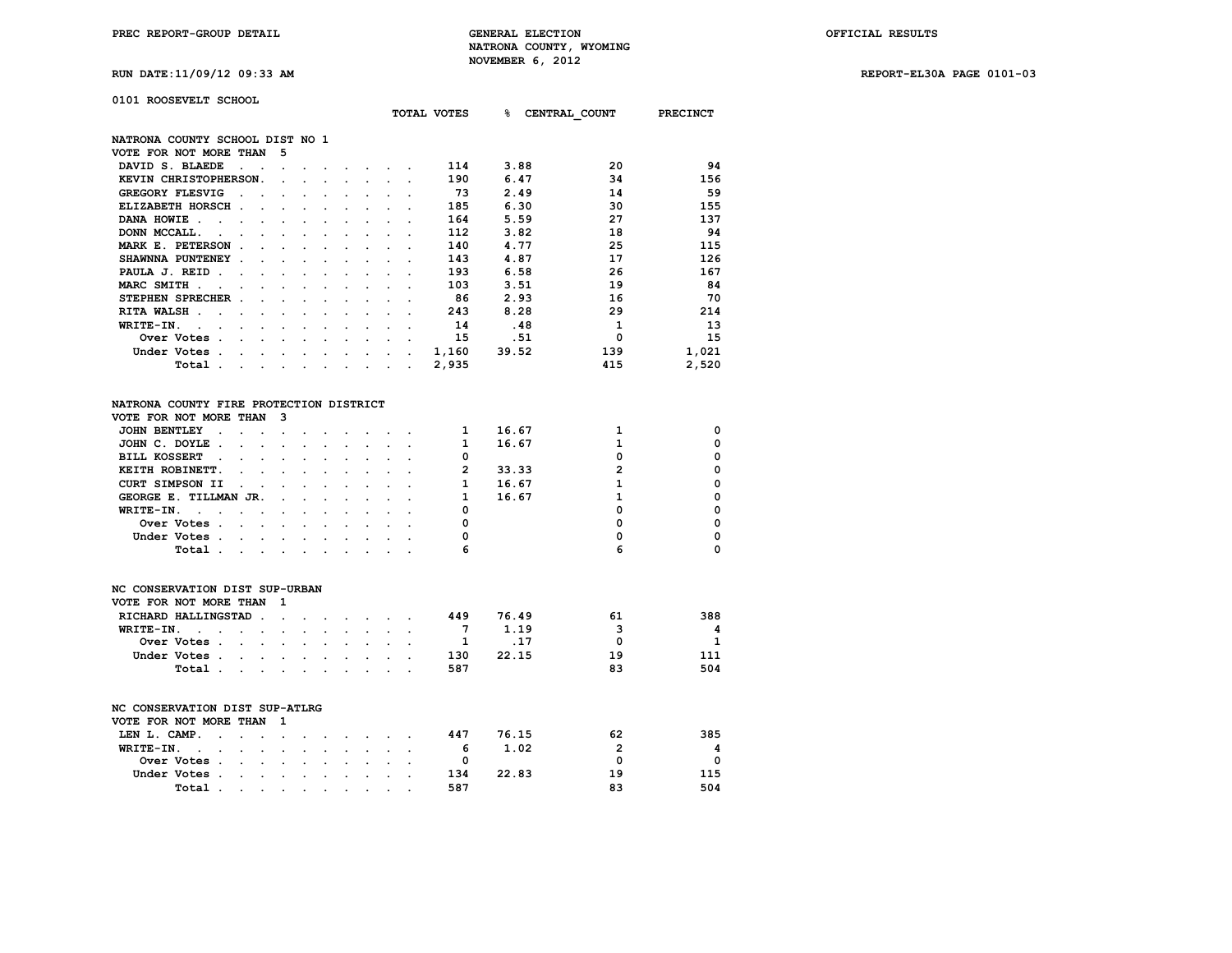**RUN DATE:11/09/12 09:33 AM REPORT-EL30A PAGE 0101-03**

010

| 0101 ROOSEVELT SCHOOL                                                             |                                                                                                                 |              |                                                                  |                      |                                                |                 |       |                                      |             |
|-----------------------------------------------------------------------------------|-----------------------------------------------------------------------------------------------------------------|--------------|------------------------------------------------------------------|----------------------|------------------------------------------------|-----------------|-------|--------------------------------------|-------------|
|                                                                                   |                                                                                                                 |              |                                                                  |                      |                                                |                 |       | TOTAL VOTES 8 CENTRAL COUNT PRECINCT |             |
| NATRONA COUNTY SCHOOL DIST NO 1                                                   |                                                                                                                 |              |                                                                  |                      |                                                |                 |       |                                      |             |
| VOTE FOR NOT MORE THAN                                                            | 5                                                                                                               |              |                                                                  |                      |                                                |                 |       |                                      |             |
| DAVID S. BLAEDE<br>$\ddot{\phantom{1}}$                                           |                                                                                                                 |              | the company of the                                               |                      |                                                | 114             | 3.88  | 20                                   | 94          |
| KEVIN CHRISTOPHERSON.                                                             |                                                                                                                 |              |                                                                  |                      | and a strategic control of the                 | 190             | 6.47  | 34                                   | 156         |
| <b>GREGORY FLESVIG</b><br>$\sim$                                                  | $\mathbf{L}^{\text{max}}$<br>$\ddot{\phantom{0}}$                                                               |              | and a state of the                                               |                      | $\sim$                                         | 73              | 2.49  | 14                                   | 59          |
| ELIZABETH HORSCH.<br>$\sim$                                                       |                                                                                                                 |              |                                                                  |                      |                                                | 185             | 6.30  | 30                                   | 155         |
| DANA HOWIE.<br>$\sim$ $\sim$ $\sim$                                               | $\sim$                                                                                                          | $\sim$       | $\sim$                                                           | $\mathbf{r}$         | $\mathbf{r}$                                   | 164             | 5.59  | 27                                   | 137         |
| DONN MCCALL.<br>$\mathcal{L}^{\text{max}}$                                        | $\mathbf{r}$                                                                                                    | $\sim$       | $\ddot{\phantom{0}}$                                             | $\ddot{\phantom{0}}$ | $\sim$                                         | 112             | 3.82  | 18                                   | 94          |
| MARK E. PETERSON.                                                                 | <b>Contract Contract</b>                                                                                        |              | $\sim$ $\sim$ $\sim$                                             | $\sim$               |                                                | 140             | 4.77  | 25                                   | 115         |
| SHAWNNA PUNTENEY .                                                                |                                                                                                                 |              | <b>Contract Contract</b>                                         | $\ddot{\phantom{0}}$ |                                                | 143             | 4.87  | 17                                   | 126         |
| PAULA J. REID.<br>$\sim$                                                          |                                                                                                                 |              | $\sim$                                                           |                      |                                                | 193             | 6.58  | 26                                   | 167         |
| MARC SMITH .<br><b>Contract Contract Contract</b>                                 | $\sim$<br>$\sim$                                                                                                |              | $\mathbf{r} = \mathbf{r} + \mathbf{r} + \mathbf{r} + \mathbf{r}$ |                      |                                                | 103             | 3.51  | 19                                   | 84          |
| STEPHEN SPRECHER .                                                                |                                                                                                                 |              | $\sim$ $\sim$ $\sim$                                             |                      |                                                | 86              | 2.93  | 16                                   | 70          |
| RITA WALSH                                                                        | $\mathbf{r}$                                                                                                    | $\sim$       | $\sim$                                                           | $\mathbf{r}$         | $\sim$                                         | 243             | 8.28  | 29                                   | 214         |
| WRITE-IN.<br>$\ddot{\phantom{a}}$<br><b>Contract Contract</b><br>$\sim$<br>$\sim$ | $\sim$<br>$\sim$                                                                                                |              | $\mathbf{r} = \mathbf{r} + \mathbf{r}$ .                         |                      | $\mathbf{L}$ and $\mathbf{L}$                  | 14              | .48   | 1                                    | 13          |
| Over Votes                                                                        |                                                                                                                 |              |                                                                  |                      |                                                | 15              | .51   | 0                                    | 15          |
| Under Votes                                                                       |                                                                                                                 |              |                                                                  |                      |                                                | 1,160           | 39.52 | 139                                  | 1,021       |
| Total .<br>and a strain and a strain and a strain and a                           |                                                                                                                 |              |                                                                  |                      |                                                | 2,935           |       | 415                                  | 2,520       |
| NATRONA COUNTY FIRE PROTECTION DISTRICT<br>VOTE FOR NOT MORE THAN                 | $\overline{\mathbf{3}}$                                                                                         |              |                                                                  |                      |                                                |                 |       |                                      |             |
| <b>JOHN BENTLEY</b><br>$\sim$<br>$\ddot{\phantom{a}}$                             | and the state of the state of the                                                                               |              |                                                                  |                      |                                                | 1               | 16.67 | 1                                    | 0           |
| JOHN C. DOYLE.                                                                    |                                                                                                                 |              |                                                                  |                      |                                                | $\mathbf{1}$    | 16.67 | $\mathbf{1}$                         | 0           |
| <b>BILL KOSSERT</b><br>$\cdot$                                                    | $\sim$<br>$\sim$                                                                                                | $\sim$       | $\sim$                                                           | $\mathbf{L}$         | $\sim$                                         | 0               |       | $\Omega$                             | $\mathbf 0$ |
| KEITH ROBINETT.<br>$\ddot{\phantom{a}}$                                           | $\sim$<br>$\mathbf{L}^{\text{max}}$                                                                             |              | $\mathbf{r} = \mathbf{r}$                                        |                      | $\mathbf{z} = \mathbf{z} + \mathbf{z}$ .       | $\overline{2}$  | 33.33 | $\overline{2}$                       | $\Omega$    |
| <b>CURT SIMPSON II</b><br>$\ddot{\phantom{0}}$<br>$\ddot{\phantom{a}}$            |                                                                                                                 |              | $\mathbf{a}$ , and $\mathbf{a}$                                  |                      |                                                | 1               | 16.67 | $\mathbf{1}$                         | $\Omega$    |
| GEORGE E. TILLMAN JR.                                                             | $\sim$<br>$\mathbf{L}$                                                                                          | $\mathbf{r}$ | $\ddot{\phantom{0}}$                                             | $\mathbf{r}$         |                                                | 1               | 16.67 | $\mathbf{1}$                         | 0           |
| WRITE-IN.<br>$\mathbf{r} = \mathbf{r}$<br>$\mathbf{L} = \mathbf{L} \mathbf{L}$    | $\sim$<br>$\sim$                                                                                                | $\sim$       | $\sim$                                                           |                      | $\mathbf{r}$ and $\mathbf{r}$                  | 0               |       | $\Omega$                             | 0           |
| Over Votes                                                                        |                                                                                                                 |              | $\mathcal{L}_{\text{max}}$ and $\mathcal{L}_{\text{max}}$        |                      | $\mathbf{r}$ and $\mathbf{r}$ and $\mathbf{r}$ | 0               |       | $\Omega$                             | $\Omega$    |
| Under Votes.                                                                      | the contract of the contract of the contract of the contract of the contract of the contract of the contract of |              |                                                                  |                      |                                                | 0               |       | 0                                    | 0           |
| Total .<br>$\mathbf{r}$ , and $\mathbf{r}$ , and $\mathbf{r}$ , and $\mathbf{r}$  |                                                                                                                 |              |                                                                  |                      |                                                | 6               |       | 6                                    | 0           |
|                                                                                   |                                                                                                                 |              |                                                                  |                      |                                                |                 |       |                                      |             |
| NC CONSERVATION DIST SUP-URBAN                                                    |                                                                                                                 |              |                                                                  |                      |                                                |                 |       |                                      |             |
| VOTE FOR NOT MORE THAN                                                            | $\mathbf{1}$                                                                                                    |              |                                                                  |                      |                                                |                 |       |                                      |             |
| RICHARD HALLINGSTAD.                                                              | the contract of the contract of the contract of the contract of the contract of the contract of the contract of |              |                                                                  |                      |                                                | 449             | 76.49 | 61                                   | 388         |
| WRITE-IN.<br><b>Contract Contract Contract</b>                                    |                                                                                                                 |              |                                                                  |                      |                                                | $7\phantom{.0}$ | 1.19  | 3                                    | 4           |
| Over Votes                                                                        |                                                                                                                 |              |                                                                  |                      |                                                | - 1             | .17   | 0                                    | 1           |
| Under Votes                                                                       |                                                                                                                 |              |                                                                  |                      |                                                | 130             | 22.15 | 19                                   | 111         |
| Total                                                                             |                                                                                                                 |              |                                                                  |                      |                                                | 587             |       | 83                                   | 504         |

| NC CONSERVATION DIST SUP-ATLRG |            |  |                          |  |                                                                                                                                                                                                                               |  |     |       |    |          |
|--------------------------------|------------|--|--------------------------|--|-------------------------------------------------------------------------------------------------------------------------------------------------------------------------------------------------------------------------------|--|-----|-------|----|----------|
|                                |            |  |                          |  |                                                                                                                                                                                                                               |  |     |       |    |          |
| VOTE FOR NOT MORE THAN         |            |  | $\overline{\phantom{a}}$ |  |                                                                                                                                                                                                                               |  |     |       |    |          |
| LEN L. CAMP.                   |            |  |                          |  |                                                                                                                                                                                                                               |  | 447 | 76.15 | 62 | 385      |
| WRITE-IN.                      |            |  |                          |  |                                                                                                                                                                                                                               |  | -6  | 1.02  | 2  | 4        |
|                                | Over Votes |  |                          |  |                                                                                                                                                                                                                               |  | 0   |       | O  | $\Omega$ |
| Under Votes.                   |            |  |                          |  | the company of the company of the company of the company of the company of the company of the company of the company of the company of the company of the company of the company of the company of the company of the company |  | 134 | 22.83 | 19 | 115      |
|                                | Total .    |  |                          |  | the contract of the contract of the contract of the contract of the contract of the contract of the contract of                                                                                                               |  | 587 |       | я٩ | 504      |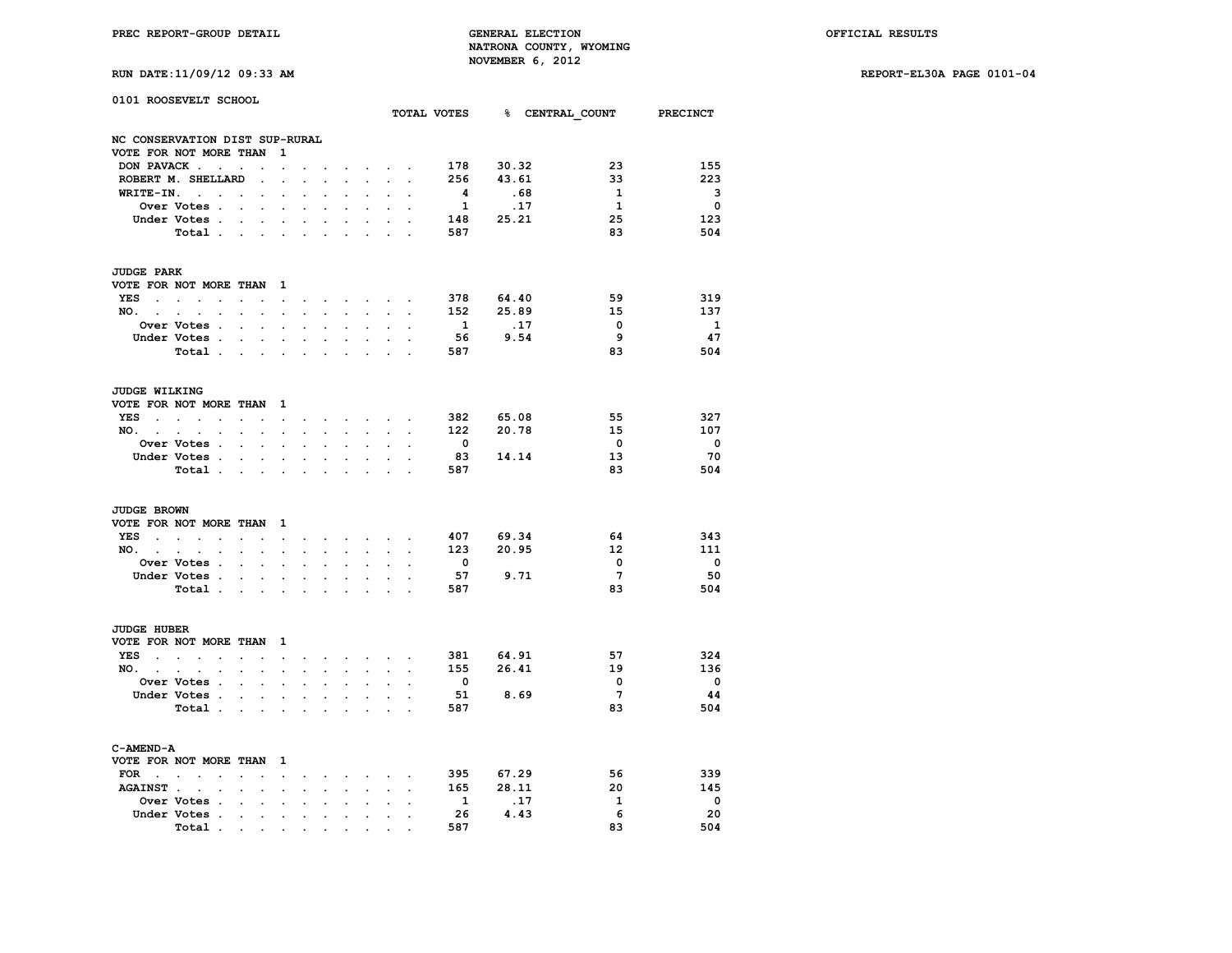# **RUN DATE:11/09/12 09:33 AM REPORT-EL30A PAGE 0101-04**

| 0101 ROOSEVELT SCHOOL          |                                                           |                                   |                            |                                                 |                      |                                        |                      |                                                    |                                                      |                           |                         | TOTAL VOTES 8 CENTRAL COUNT PRECINCT |                         |                          |
|--------------------------------|-----------------------------------------------------------|-----------------------------------|----------------------------|-------------------------------------------------|----------------------|----------------------------------------|----------------------|----------------------------------------------------|------------------------------------------------------|---------------------------|-------------------------|--------------------------------------|-------------------------|--------------------------|
| NC CONSERVATION DIST SUP-RURAL |                                                           |                                   |                            |                                                 |                      |                                        |                      |                                                    |                                                      |                           |                         |                                      |                         |                          |
| VOTE FOR NOT MORE THAN         |                                                           |                                   |                            | $\mathbf{1}$                                    |                      |                                        |                      |                                                    |                                                      |                           |                         |                                      |                         |                          |
|                                | DON PAVACK                                                |                                   |                            | $\ddot{\phantom{0}}$                            |                      |                                        |                      |                                                    | and the state of the state of the                    |                           | 178                     | 30.32                                | 23                      | 155                      |
|                                | ROBERT M. SHELLARD                                        |                                   | $\sim 100$ km s $^{-1}$    | $\sim$                                          | $\ddot{\phantom{a}}$ | $\ddot{\phantom{a}}$                   | $\ddot{\phantom{a}}$ | $\ddot{\phantom{a}}$                               | $\ddot{\phantom{0}}$                                 |                           | 256                     | 43.61                                | 33                      | 223                      |
|                                | $WRITE-IN.$                                               | $\sim$                            | $\blacksquare$             | $\ddot{\phantom{0}}$                            | $\bullet$            | $\ddot{\phantom{0}}$                   | $\ddot{\phantom{0}}$ | $\ddot{\phantom{0}}$                               |                                                      |                           | $\overline{\mathbf{4}}$ | .68                                  | 1                       | - 3                      |
|                                | Over Votes .                                              | $\sim$ 100 $\mu$                  | $\sim$                     |                                                 |                      |                                        |                      |                                                    |                                                      |                           | $\mathbf{1}$            | .17                                  | $\mathbf{1}$            | $\overline{\phantom{0}}$ |
|                                | Under Votes                                               |                                   |                            | $\bullet$ .                                     |                      | $\mathbf{z} = \mathbf{z} + \mathbf{z}$ | $\sim$               | $\bullet$                                          | $\sim$                                               |                           | 148                     | 25.21                                | 25                      | 123                      |
|                                | Total                                                     |                                   |                            |                                                 | $\blacksquare$       | $\bullet$ .                            | $\ddot{\phantom{a}}$ | $\ddot{\phantom{a}}$                               | $\ddot{\phantom{0}}$                                 | $\overline{a}$            | 587                     |                                      | 83                      | 504                      |
| <b>JUDGE PARK</b>              |                                                           |                                   |                            |                                                 |                      |                                        |                      |                                                    |                                                      |                           |                         |                                      |                         |                          |
| VOTE FOR NOT MORE THAN 1       |                                                           |                                   |                            |                                                 |                      |                                        |                      |                                                    |                                                      |                           |                         |                                      |                         |                          |
|                                | YES                                                       |                                   |                            |                                                 |                      |                                        |                      |                                                    |                                                      |                           | 378                     | 64.40                                | 59                      | 319                      |
| NO.                            | $\sim$ $\sim$                                             | $\mathcal{L}^{\text{max}}$        |                            | $\mathbf{z} = \mathbf{z} + \mathbf{z}$          | $\ddot{\phantom{0}}$ | $\bullet$ .                            | $\sim$               | $\bullet$ .                                        |                                                      | $\mathbf{L} = \mathbf{L}$ | 152                     | 25.89                                | 15                      | 137                      |
|                                | Over Votes .                                              |                                   | $\sim$ $\sim$ $\sim$       |                                                 |                      |                                        |                      |                                                    | $\ddot{\phantom{0}}$                                 |                           | $\mathbf{1}$            | .17                                  | $\overline{\mathbf{0}}$ | $\mathbf{1}$             |
|                                | Under Votes                                               |                                   |                            |                                                 |                      | and the state of the state of the      |                      |                                                    |                                                      | $\ddot{\phantom{a}}$      | 56                      | 9.54                                 | 9                       | 47                       |
|                                | Total                                                     |                                   |                            |                                                 |                      |                                        |                      |                                                    | $\mathbf{r}$                                         |                           | 587                     |                                      | 83                      | 504                      |
|                                |                                                           |                                   |                            |                                                 | $\sim$               | $\bullet$ .                            | $\bullet$            | $\ddot{\phantom{0}}$                               |                                                      |                           |                         |                                      |                         |                          |
| <b>JUDGE WILKING</b>           |                                                           |                                   |                            |                                                 |                      |                                        |                      |                                                    |                                                      |                           |                         |                                      |                         |                          |
| VOTE FOR NOT MORE THAN 1       |                                                           |                                   |                            |                                                 |                      |                                        |                      |                                                    |                                                      |                           |                         |                                      |                         |                          |
|                                | YES                                                       |                                   |                            |                                                 |                      |                                        |                      |                                                    |                                                      |                           | 382                     | 65.08                                | 55                      | 327                      |
| NO.                            | $\ddot{\phantom{0}}$                                      | $\mathcal{L}^{\text{max}}$        | $\mathcal{L}^{\text{max}}$ | $\sim$                                          | $\ddot{\phantom{a}}$ | $\sim$                                 | $\ddot{\phantom{0}}$ | $\sim$                                             |                                                      | $\cdot$ $\cdot$           | 122                     | 20.78                                | 15 <sub>1</sub>         | 107                      |
|                                | Over Votes .                                              |                                   | $\cdot$ $\cdot$ $\cdot$    |                                                 |                      |                                        |                      |                                                    |                                                      |                           | $\overline{\mathbf{0}}$ |                                      | $\overline{\mathbf{0}}$ | $\overline{\phantom{0}}$ |
|                                | Under Votes.                                              | the contract of the con-          |                            |                                                 |                      | and the contract of the contract of    |                      |                                                    |                                                      |                           | 83                      | 14.14                                | 13                      | 70                       |
|                                | Total                                                     |                                   |                            |                                                 | $\sim$               | $\sim$                                 | $\ddot{\phantom{a}}$ | $\ddotsc$                                          | $\ddot{\phantom{0}}$                                 |                           | 587                     |                                      | 83                      | 504                      |
| <b>JUDGE BROWN</b>             |                                                           |                                   |                            |                                                 |                      |                                        |                      |                                                    |                                                      |                           |                         |                                      |                         |                          |
| VOTE FOR NOT MORE THAN 1       |                                                           |                                   |                            |                                                 |                      |                                        |                      |                                                    |                                                      |                           |                         |                                      |                         |                          |
|                                | $YES$                                                     |                                   |                            | the contract of the contract of the contract of |                      |                                        |                      |                                                    |                                                      | $\ddot{\phantom{a}}$      | 407                     | 69.34                                | 64                      | 343                      |
| NO.                            | $\ddot{\phantom{0}}$                                      | $\mathcal{L}^{\text{max}}$        | $\sim$                     | $\ddot{\phantom{0}}$                            | $\ddot{\phantom{0}}$ | $\sim$                                 | $\sim$               | $\sim$                                             | $\mathcal{L}^{\text{max}}$                           | $\ddot{\phantom{0}}$      | 123                     | 20.95                                | $12 \overline{ }$       | 111                      |
|                                | Over Votes .                                              |                                   | $\mathbf{r} = \mathbf{r}$  |                                                 |                      |                                        |                      |                                                    |                                                      |                           | $\overline{\mathbf{0}}$ |                                      | $\overline{\mathbf{0}}$ | $\overline{\phantom{0}}$ |
|                                | Under Votes .                                             | the contract of the con-          |                            |                                                 |                      | $\bullet$ . In the set of $\bullet$    | $\ddot{\phantom{0}}$ |                                                    | <b>Contract Contract</b>                             |                           | 57                      | 9.71                                 | $7\phantom{.0}$         | 50                       |
|                                | Total                                                     |                                   |                            |                                                 | $\blacksquare$       | $\sim$                                 | $\blacksquare$       | $\ddot{\phantom{0}}$                               | $\mathbf{r}$                                         |                           | 587                     |                                      | 83                      | 504                      |
|                                |                                                           |                                   |                            |                                                 |                      |                                        |                      |                                                    |                                                      |                           |                         |                                      |                         |                          |
| <b>JUDGE HUBER</b>             |                                                           |                                   |                            |                                                 |                      |                                        |                      |                                                    |                                                      |                           |                         |                                      |                         |                          |
| VOTE FOR NOT MORE THAN 1       |                                                           |                                   |                            |                                                 |                      |                                        |                      |                                                    |                                                      |                           |                         |                                      |                         |                          |
|                                | YES                                                       |                                   |                            | $\cdot$ $\cdot$ $\cdot$ $\cdot$ $\cdot$ $\cdot$ |                      |                                        |                      |                                                    | $\bullet$ . In the case of the case of the $\bullet$ |                           | 381                     | 64.91                                | 57                      | 324                      |
| NO.                            | $\bullet$                                                 | $\ddot{\phantom{0}}$              | $\sim$                     | $\ddot{\phantom{0}}$                            | $\ddot{\phantom{0}}$ | $\sim$                                 | $\sim$               | $\mathcal{L}_{\mathrm{max}}$                       | $\ddot{\phantom{0}}$                                 | $\ddot{\phantom{a}}$      | 155                     | 26.41                                | 19                      | 136                      |
|                                | <b>Over Votes .</b>                                       |                                   | $\sim$ $\sim$ $\sim$       | $\mathbf{r}$                                    |                      |                                        |                      |                                                    |                                                      |                           | $\overline{\mathbf{0}}$ |                                      | $\overline{\mathbf{0}}$ | $\overline{\phantom{0}}$ |
|                                | Under Votes .                                             | <b>Contract Contract Contract</b> |                            |                                                 |                      | $\sim$ 100 $\sim$ 100 $\sim$           |                      |                                                    | and a state of the                                   |                           | 51                      | 8.69                                 | $7\phantom{.0}$         | 44                       |
|                                | Total                                                     |                                   |                            | $\sim$                                          | $\blacksquare$       | $\ddot{\phantom{0}}$                   | $\ddot{\phantom{0}}$ | $\ddot{\phantom{0}}$                               |                                                      |                           | 587                     |                                      | 83                      | 504                      |
| C-AMEND-A                      |                                                           |                                   |                            |                                                 |                      |                                        |                      |                                                    |                                                      |                           |                         |                                      |                         |                          |
| VOTE FOR NOT MORE THAN 1       |                                                           |                                   |                            |                                                 |                      |                                        |                      |                                                    |                                                      |                           |                         |                                      |                         |                          |
| $FOR \t . \t .$                | $\sim$                                                    | $\ddot{\phantom{0}}$              | $\ddot{\phantom{a}}$       | $\ddot{\phantom{0}}$                            | $\sim$               |                                        |                      |                                                    | and the state of the state of                        | $\sim$                    | 395                     | 67.29                                | 56                      | 339                      |
| <b>AGAINST</b> .               | <b>Contract Contract Contract</b><br>$\ddot{\phantom{a}}$ | $\ddot{\phantom{0}}$              | $\sim$                     | $\sim$                                          | $\ddot{\phantom{a}}$ | $\sim$                                 |                      | $\mathbf{a}$ , and $\mathbf{a}$ , and $\mathbf{a}$ | $\ddot{\phantom{0}}$                                 | $\ddot{\phantom{a}}$      | 165                     | 28.11                                | 20                      | 145                      |
|                                | <b>Over Votes .</b>                                       | $\sim$                            | $\sim$                     | $\cdot$                                         | $\cdot$              |                                        | $\ddot{\phantom{a}}$ |                                                    |                                                      |                           | $\mathbf{1}$            | .17                                  | $\mathbf{1}$            | - 0                      |
|                                | Under Votes .                                             |                                   |                            |                                                 |                      |                                        |                      |                                                    |                                                      |                           | 26                      | 4.43                                 | 6                       | 20                       |
|                                |                                                           | $\bullet$ .                       | $\sim$                     | $\bullet$                                       | $\ddot{\phantom{0}}$ | $\ddot{\phantom{0}}$                   | $\ddot{\phantom{0}}$ | $\ddot{\phantom{0}}$                               |                                                      |                           | 587                     |                                      | 83                      | 504                      |
|                                | Total.                                                    | the contract of the contract of   |                            |                                                 |                      |                                        |                      |                                                    |                                                      |                           |                         |                                      |                         |                          |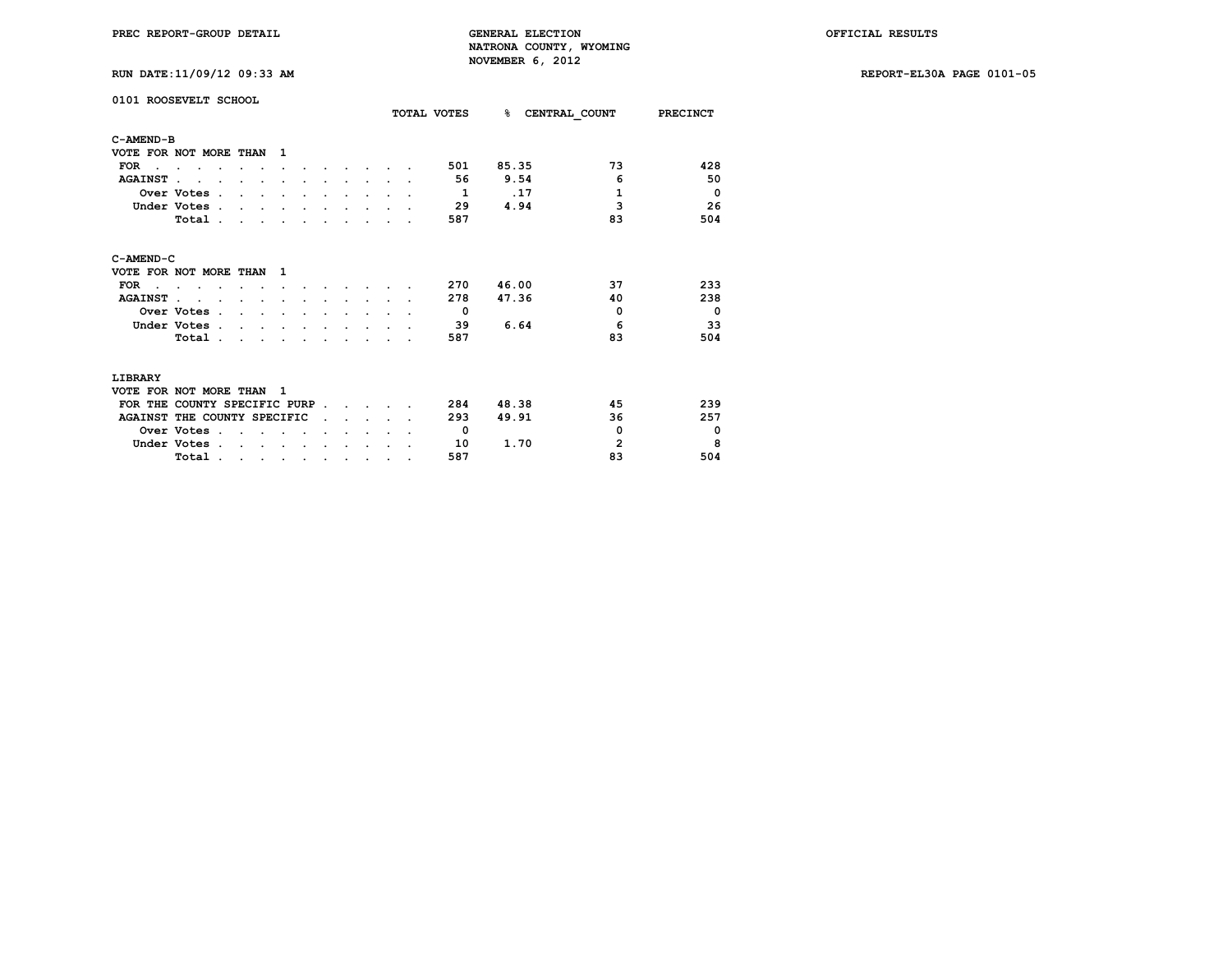**RUN DATE:11/09/12 09:33 AM REPORT-EL30A PAGE 0101-05**

| 0101 ROOSEVELT SCHOOL         |              |                    |         |           |  |  | TOTAL VOTES    | $\sim$ | CENTRAL COUNT | <b>PRECINCT</b>          |
|-------------------------------|--------------|--------------------|---------|-----------|--|--|----------------|--------|---------------|--------------------------|
| C-AMEND-B                     |              |                    |         |           |  |  |                |        |               |                          |
| VOTE FOR NOT MORE THAN        |              |                    | 1       |           |  |  |                |        |               |                          |
| <b>FOR</b>                    |              |                    |         |           |  |  | 501            | 85.35  | 73            | 428                      |
| <b>AGAINST</b>                |              |                    |         |           |  |  | 56             | 9.54   | 6             | 50                       |
|                               | Over Votes.  |                    |         |           |  |  | $\overline{1}$ | .17    | 1             | $\mathbf{o}$             |
|                               | Under Votes. |                    |         |           |  |  | - 29           | 4.94   | 3             | 26                       |
|                               | Total.       |                    |         |           |  |  | 587            |        | 83            | 504                      |
| C-AMEND-C                     |              |                    |         |           |  |  |                |        |               |                          |
| VOTE FOR NOT MORE THAN        |              |                    | 1       |           |  |  |                |        |               |                          |
| <b>FOR</b>                    |              |                    |         |           |  |  | 270            | 46.00  | 37            | 233                      |
| <b>AGAINST.</b>               |              |                    |         |           |  |  | 278            | 47.36  | 40            | 238                      |
|                               | Over Votes . |                    |         |           |  |  | $\Omega$       |        | $\mathbf 0$   | $\overline{\phantom{0}}$ |
|                               | Under Votes. |                    |         |           |  |  | 39             | 6.64   | 6             | 33                       |
|                               | Total.       |                    |         |           |  |  | 587            |        | 83            | 504                      |
| LIBRARY                       |              |                    |         |           |  |  |                |        |               |                          |
| VOTE FOR NOT MORE THAN        |              |                    | 1       |           |  |  |                |        |               |                          |
| FOR THE COUNTY SPECIFIC PURP. |              |                    |         |           |  |  | 284            | 48.38  | 45            | 239                      |
| AGAINST THE COUNTY SPECIFIC   |              |                    |         |           |  |  | 293            | 49.91  | 36            | 257                      |
|                               | Over Votes.  |                    |         |           |  |  | 0              |        | $\mathbf 0$   | $\mathbf 0$              |
|                               | Under Votes. | $\cdot$<br>$\cdot$ | $\cdot$ | $\bullet$ |  |  | 10             | 1.70   | 2             | 8                        |

 **Total . . . . . . . . . . 587 83 504**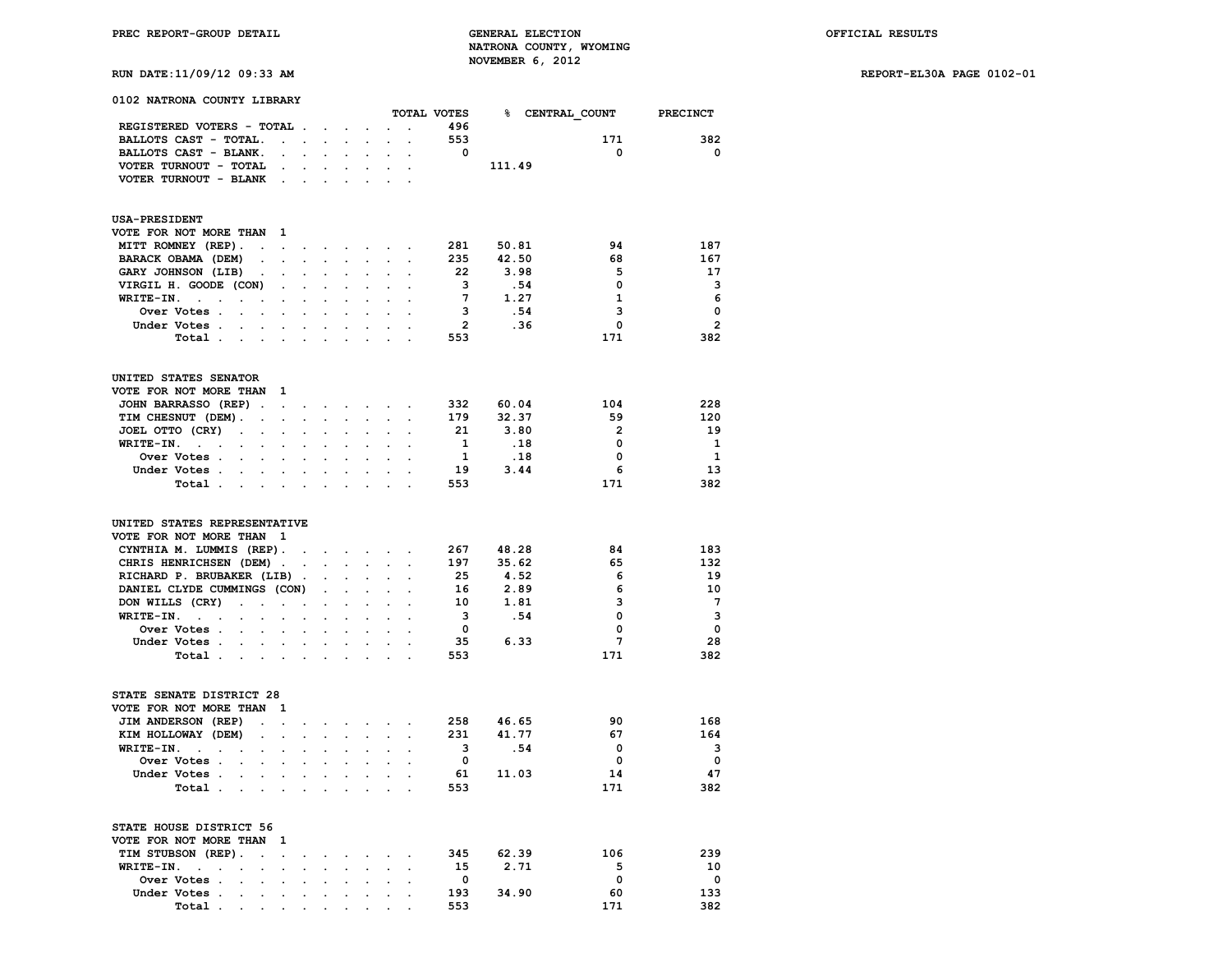# **RUN DATE:11/09/12 09:33 AM REPORT-EL30A PAGE 0102-01**

| 0102 NATRONA COUNTY LIBRARY                                                           |                      |                      |                      |                            |                                                                     |                                 |                      |                         |        |                 |                 |
|---------------------------------------------------------------------------------------|----------------------|----------------------|----------------------|----------------------------|---------------------------------------------------------------------|---------------------------------|----------------------|-------------------------|--------|-----------------|-----------------|
|                                                                                       |                      |                      |                      |                            |                                                                     |                                 |                      | TOTAL VOTES             |        | % CENTRAL COUNT | <b>PRECINCT</b> |
| REGISTERED VOTERS - TOTAL .                                                           |                      |                      |                      | $\sim$                     | $\bullet$                                                           |                                 |                      | 496                     |        |                 |                 |
| BALLOTS CAST - TOTAL.                                                                 | $\cdot$              | $\cdot$              | $\ddot{\phantom{a}}$ | $\ddot{\phantom{a}}$       | $\ddot{\phantom{a}}$                                                |                                 |                      | 553                     |        | 171             | 382             |
| BALLOTS CAST - BLANK.                                                                 | $\cdot$              | $\sim$               | $\ddot{\phantom{0}}$ | $\ddot{\phantom{a}}$       | $\ddot{\phantom{0}}$                                                | $\ddot{\phantom{a}}$            | $\cdot$              | 0                       |        | 0               | 0               |
| VOTER TURNOUT - TOTAL                                                                 |                      |                      |                      |                            |                                                                     |                                 |                      |                         | 111.49 |                 |                 |
| VOTER TURNOUT - BLANK                                                                 | $\ddot{\phantom{0}}$ | $\ddot{\phantom{a}}$ |                      |                            |                                                                     |                                 |                      |                         |        |                 |                 |
| <b>USA-PRESIDENT</b>                                                                  |                      |                      |                      |                            |                                                                     |                                 |                      |                         |        |                 |                 |
| VOTE FOR NOT MORE THAN                                                                | -1                   |                      |                      |                            |                                                                     |                                 |                      |                         |        |                 |                 |
| MITT ROMNEY (REP).<br>$\bullet$                                                       | $\sim$               |                      | and the company of   |                            | $\sim 10^{-11}$                                                     | $\bullet$                       | $\cdot$              | 281                     | 50.81  | 94              | 187             |
| BARACK OBAMA (DEM)<br>$\ddot{\phantom{a}}$                                            |                      |                      |                      |                            | $\sim$                                                              | $\mathbf{r}$                    |                      | 235                     | 42.50  | 68              | 167             |
| GARY JOHNSON (LIB)<br>$\cdot$                                                         |                      |                      |                      |                            |                                                                     |                                 |                      | 22                      | 3.98   | 5               | 17              |
| VIRGIL H. GOODE (CON)                                                                 | $\bullet$            | $\ddot{\phantom{0}}$ | $\ddot{\phantom{a}}$ |                            | $\cdot$                                                             |                                 |                      | 3                       | .54    | 0               | 3               |
| WRITE-IN.<br><b>Contract Contract</b><br>$\ddot{\phantom{a}}$                         | $\ddot{\phantom{0}}$ | $\ddot{\phantom{0}}$ |                      |                            | $\cdot$                                                             |                                 |                      | $7\phantom{.0}$         | 1.27   | $\mathbf{1}$    | 6               |
| Over Votes .<br>$\ddot{\phantom{a}}$<br>$\ddot{\phantom{0}}$                          | $\ddot{\phantom{a}}$ | $\ddot{\phantom{0}}$ | $\ddot{\phantom{a}}$ |                            | $\bullet$                                                           |                                 |                      | 3                       | .54    | з               | $\mathbf 0$     |
| Under Votes.                                                                          |                      |                      |                      |                            |                                                                     |                                 |                      | $\overline{2}$          | .36    | 0               | $\overline{2}$  |
| $\ddotsc$<br>$\sim$                                                                   |                      |                      |                      |                            |                                                                     |                                 |                      |                         |        |                 |                 |
| Total                                                                                 |                      | $\bullet$            | $\bullet$            | $\bullet$                  | $\sim$                                                              | $\bullet$                       |                      | 553                     |        | 171             | 382             |
| UNITED STATES SENATOR                                                                 |                      |                      |                      |                            |                                                                     |                                 |                      |                         |        |                 |                 |
| VOTE FOR NOT MORE THAN                                                                | -1                   |                      |                      |                            |                                                                     |                                 |                      |                         |        |                 |                 |
| JOHN BARRASSO (REP).                                                                  | $\sim 10^{-10}$      | $\sim$               | $\bullet$ .          | $\ddot{\phantom{0}}$       |                                                                     |                                 |                      | 332                     | 60.04  | 104             | 228             |
| TIM CHESNUT (DEM).<br>$\cdot$                                                         | $\mathbf{r}$         |                      |                      |                            | $\sim$                                                              |                                 |                      | 179                     | 32.37  | 59              | 120             |
| JOEL OTTO (CRY)<br>$\sim$<br>$\sim$                                                   |                      |                      |                      |                            |                                                                     |                                 |                      | 21                      | 3.80   | $\overline{2}$  | 19              |
| WRITE-IN.<br><b>Contract</b><br>$\bullet$<br>$\ddot{\phantom{a}}$                     | $\cdot$              | $\ddot{\phantom{a}}$ |                      |                            |                                                                     |                                 |                      | 1                       | .18    | 0               | 1               |
| Over Votes .<br>$\sim 100$ km s $^{-1}$<br>$\ddot{\phantom{0}}$                       |                      | $\ddot{\phantom{0}}$ |                      |                            | $\cdot$                                                             |                                 |                      | 1                       | .18    | 0               | 1               |
| Under Votes<br>$\sim$                                                                 | $\blacksquare$       | $\ddot{\phantom{0}}$ | $\ddot{\phantom{0}}$ | $\bullet$                  | $\bullet$                                                           | $\ddot{\phantom{a}}$            |                      | 19                      | 3.44   | 6               | 13              |
| Total .<br><b>Service Control</b>                                                     |                      | $\ddot{\phantom{a}}$ |                      | $\mathbf{r}$               | $\sim$                                                              | $\cdot$                         |                      | 553                     |        | 171             | 382             |
| UNITED STATES REPRESENTATIVE<br>VOTE FOR NOT MORE THAN<br>CYNTHIA M. LUMMIS (REP).    | - 1                  |                      |                      | $\mathcal{L}^{\text{max}}$ | $\sim$                                                              |                                 |                      | 267                     | 48.28  | 84              | 183             |
| CHRIS HENRICHSEN (DEM).                                                               |                      | $\ddot{\phantom{0}}$ | $\sim$               | $\ddot{\phantom{0}}$       | $\mathbf{L}^{\text{max}}$                                           | $\mathcal{L}^{\mathcal{L}}$     | $\ddot{\phantom{a}}$ | 197                     | 35.62  | 65              | 132             |
| RICHARD P. BRUBAKER (LIB).                                                            |                      |                      |                      |                            |                                                                     |                                 |                      | - 25                    | 4.52   | 6               | 19              |
| DANIEL CLYDE CUMMINGS (CON)                                                           |                      |                      |                      |                            |                                                                     |                                 |                      | 16                      | 2.89   | 6               | 10              |
| DON WILLS (CRY)<br>$\ddot{\phantom{0}}$<br>$\ddot{\phantom{1}}$                       | $\ddot{\phantom{0}}$ | $\ddot{\phantom{a}}$ | $\cdot$              | $\ddot{\phantom{a}}$       | $\cdot$                                                             |                                 |                      | 10                      | 1.81   | 3               | $7\phantom{.0}$ |
| WRITE-IN.<br><b>Contract Contract</b><br>$\ddot{\phantom{0}}$<br>$\ddot{\phantom{0}}$ | $\ddot{\phantom{a}}$ | $\bullet$            | $\ddot{\phantom{0}}$ | $\ddot{\phantom{0}}$       | $\cdot$                                                             |                                 |                      | 3                       | .54    | 0               | 3               |
| Over Votes .<br>$\ddot{\phantom{a}}$<br>$\ddot{\phantom{0}}$                          | $\ddot{\phantom{a}}$ | $\ddot{\phantom{0}}$ | $\ddot{\phantom{a}}$ | $\ddot{\phantom{a}}$       | $\bullet$                                                           |                                 |                      | $\mathbf{0}$            |        | 0               | $\mathbf 0$     |
| Under Votes.<br>$\sim$                                                                | $\sim$ $\sim$        |                      |                      | $\ddot{\phantom{a}}$       | $\sim$                                                              |                                 |                      | 35                      | 6.33   | 7               | 28              |
| Total                                                                                 |                      | $\cdot$              | $\bullet$            | $\bullet$                  | $\sim$                                                              | $\bullet$                       |                      | 553                     |        | 171             | 382             |
| STATE SENATE DISTRICT 28                                                              |                      |                      |                      |                            |                                                                     |                                 |                      |                         |        |                 |                 |
| VOTE FOR NOT MORE THAN                                                                | 1                    |                      |                      |                            |                                                                     |                                 |                      |                         |        |                 |                 |
| JIM ANDERSON (REP)<br>$\cdot$                                                         | $\ddot{\phantom{a}}$ |                      |                      |                            |                                                                     |                                 |                      | 258                     | 46.65  | 90              | 168             |
| KIM HOLLOWAY (DEM)                                                                    |                      |                      |                      |                            |                                                                     |                                 |                      | 231                     | 41.77  | 67              | 164             |
| WRITE-IN.<br>$\sim$<br>$\ddot{\phantom{a}}$<br>$\ddot{\phantom{a}}$                   |                      |                      |                      |                            |                                                                     |                                 |                      | 3                       | .54    | 0               | 3               |
| Over Votes .<br>$\ddot{\phantom{a}}$<br>$\ddot{\phantom{a}}$                          | $\ddot{\phantom{a}}$ | $\ddot{\phantom{a}}$ | $\ddot{\phantom{a}}$ |                            | $\bullet$                                                           |                                 |                      | 0                       |        | $\mathbf 0$     | $\mathbf 0$     |
| Under Votes.<br>$\ddot{\phantom{a}}$<br>$\ddot{\phantom{0}}$                          | $\ddot{\phantom{0}}$ | $\ddot{\phantom{0}}$ |                      | $\bullet$                  | $\cdot$                                                             |                                 |                      | 61                      | 11.03  | 14              | 47              |
| Total                                                                                 |                      |                      |                      |                            | $\mathcal{L}_{\mathcal{A}}$ , and $\mathcal{L}_{\mathcal{A}}$ , and |                                 |                      | 553                     |        | 171             | 382             |
| STATE HOUSE DISTRICT 56                                                               |                      |                      |                      |                            |                                                                     |                                 |                      |                         |        |                 |                 |
| VOTE FOR NOT MORE THAN                                                                | 1                    |                      |                      |                            |                                                                     |                                 |                      |                         |        |                 |                 |
| TIM STUBSON (REP).<br>$\cdots$                                                        |                      |                      |                      |                            |                                                                     | the contract of the contract of |                      | 345                     | 62.39  | 106             | 239             |
| WRITE-IN.<br><b>Contract Contract Contract</b>                                        |                      |                      |                      |                            |                                                                     |                                 |                      | - 15                    | 2.71   | 5               | 10              |
| Over Votes.<br>$\sim$<br>$\ddot{\phantom{a}}$                                         | $\bullet$            | $\ddot{\phantom{0}}$ |                      |                            | $\sim$                                                              |                                 |                      | $\overline{\mathbf{0}}$ |        | 0               | $\mathbf 0$     |
| Under Votes.                                                                          |                      |                      |                      |                            |                                                                     |                                 |                      | 193                     | 34.90  | 60              | 133             |
| Total .                                                                               |                      |                      |                      |                            |                                                                     |                                 |                      | 553                     |        | 171             | 382             |
|                                                                                       |                      |                      |                      |                            |                                                                     |                                 |                      |                         |        |                 |                 |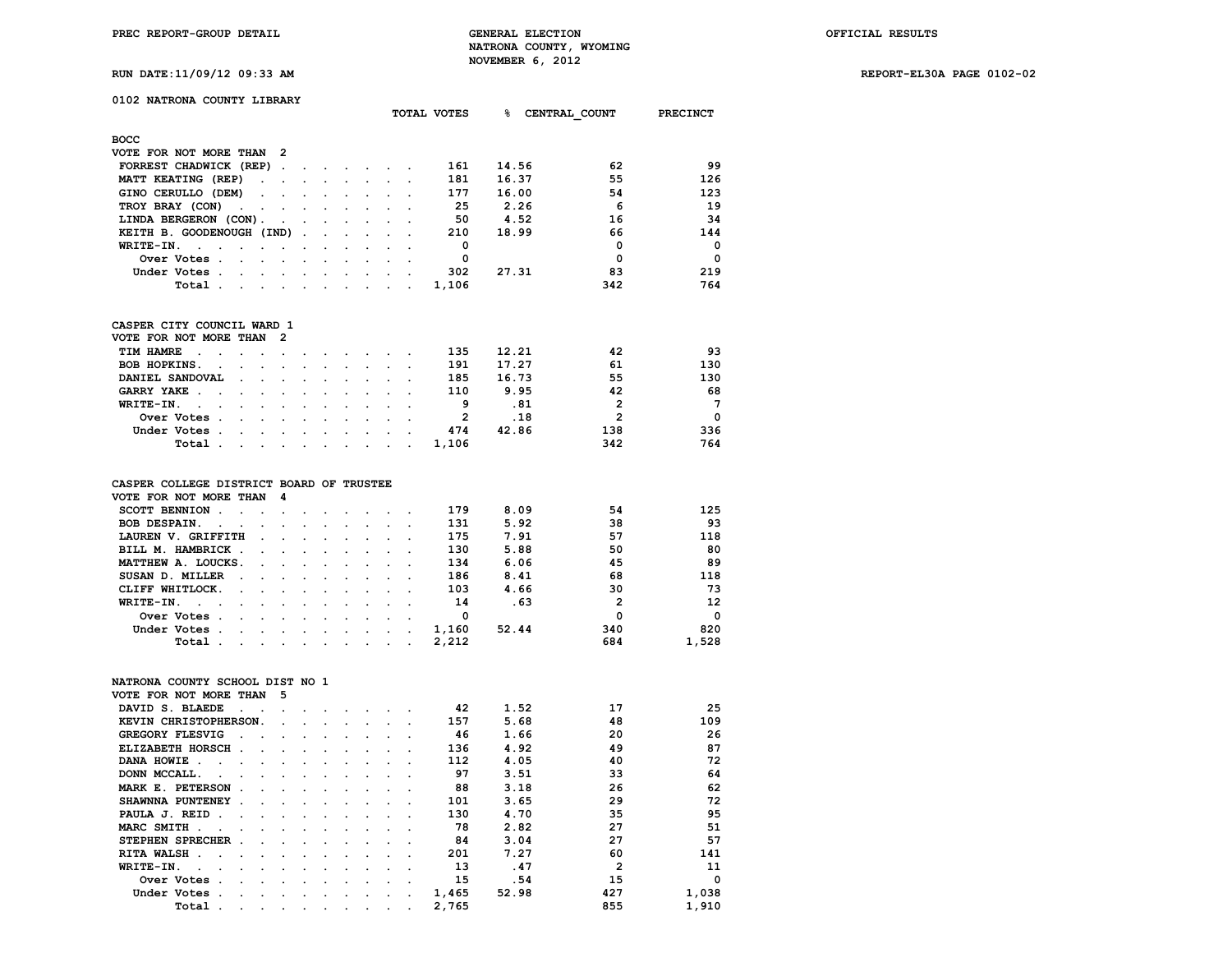**RUN DATE:11/09/12 09:33 AM REPORT-EL30A PAGE 0102-02**

# **0102 NATRONA COUNTY LIBRARY**

|                                                                                             | TOTAL VOTES |                               | ៖     | CENTRAL COUNT | PRECINCT |          |
|---------------------------------------------------------------------------------------------|-------------|-------------------------------|-------|---------------|----------|----------|
| <b>BOCC</b>                                                                                 |             |                               |       |               |          |          |
| VOTE FOR NOT MORE THAN 2                                                                    |             |                               |       |               |          |          |
| FORREST CHADWICK (REP).<br>$\sim$                                                           |             |                               | 161   | 14.56         | 62       | 99       |
| MATT KEATING (REP)<br>$\sim$ $\sim$<br>$\ddot{\phantom{0}}$<br>$\sim$                       |             |                               | 181   | 16.37         | 55       | 126      |
| GINO CERULLO (DEM)<br>$\sim$ $\sim$<br>$\sim 100$<br>$\sim$                                 |             |                               | 177   | 16.00         | 54       | 123      |
| TROY BRAY (CON)<br><b>Contract Contract</b><br>$\sim$<br>$\ddot{\phantom{0}}$<br>$\cdot$    |             |                               | 25    | 2.26          | 6        | 19       |
| LINDA BERGERON (CON).<br>$\sim$ $\sim$ $\sim$<br>and the contract of the contract of        |             | and the state of the state of | 50    | 4.52          | 16       | 34       |
| KEITH B. GOODENOUGH (IND).<br><b>Contract Contract Street</b><br>$\sim$                     |             |                               | 210   | 18.99         | 66       | 144      |
| WRITE-IN.<br>$\sim$<br>$\sim$                                                               |             |                               | 0     |               | 0        | $\Omega$ |
| Over Votes.<br>$\sim$<br>$\cdot$                                                            |             |                               | 0     |               | 0        | $\Omega$ |
| Under Votes.<br>$\sim$<br>$\cdot$<br>$\overline{\phantom{a}}$<br>$\cdot$                    |             |                               | 302   | 27.31         | 83       | 219      |
| Total<br><b>Contract Contract</b><br>$\cdot$<br>$\sim$<br>$\sim 100$<br>$\sim$<br>$\bullet$ | $\cdot$     |                               | 1,106 |               | 342      | 764      |

# **CASPER CITY COUNCIL WARD 1**

| VOTE FOR NOT MORE THAN 2 |                                                                                                                 |  |  |  |       |       |     |          |
|--------------------------|-----------------------------------------------------------------------------------------------------------------|--|--|--|-------|-------|-----|----------|
| TIM HAMRE                |                                                                                                                 |  |  |  | 135   | 12.21 | 42  | 93       |
| BOB HOPKINS.             |                                                                                                                 |  |  |  | 191   | 17.27 | 61  | 130      |
| DANIEL SANDOVAL          |                                                                                                                 |  |  |  | 185   | 16.73 | 55  | 130      |
| GARRY YAKE               |                                                                                                                 |  |  |  | 110   | 9.95  | 42  | 68       |
| WRITE-IN.                |                                                                                                                 |  |  |  | 9     | .81   | 2   | 7        |
| Over Votes               |                                                                                                                 |  |  |  |       | . 18  | 2   | $\Omega$ |
| Under Votes              |                                                                                                                 |  |  |  | 474   | 42.86 | 138 | 336      |
| Total .                  | the contract of the contract of the contract of the contract of the contract of the contract of the contract of |  |  |  | 1.106 |       | 342 | 764      |
|                          |                                                                                                                 |  |  |  |       |       |     |          |

# **CASPER COLLEGE DISTRICT BOARD OF TRUSTEE**

| VOTE FOR NOT MORE THAN                                                                                                                                                                                                                                                       | - 4                                                                                                             |  |  |  |       |       |              |          |
|------------------------------------------------------------------------------------------------------------------------------------------------------------------------------------------------------------------------------------------------------------------------------|-----------------------------------------------------------------------------------------------------------------|--|--|--|-------|-------|--------------|----------|
| SCOTT BENNION.                                                                                                                                                                                                                                                               | the contract of the contract of the contract of the contract of the contract of the contract of the contract of |  |  |  | 179   | 8.09  | 54           | 125      |
| <b>BOB DESPAIN.</b><br>$\sim$ $\sim$ $\sim$<br>the company of the company of the company of the company of the company of the company of the company of the company of the company of the company of the company of the company of the company of the company of the company |                                                                                                                 |  |  |  | 131   | 5.92  | 38           | 93       |
| LAUREN V. GRIFFITH                                                                                                                                                                                                                                                           | the contract of the contract of the contract of the contract of the contract of the contract of the contract of |  |  |  | 175   | 7.91  | 57           | 118      |
| BILL M. HAMBRICK                                                                                                                                                                                                                                                             |                                                                                                                 |  |  |  | 130   | 5.88  | 50           | 80       |
| MATTHEW A. LOUCKS.                                                                                                                                                                                                                                                           |                                                                                                                 |  |  |  | 134   | 6.06  | 45           | 89       |
| SUSAN D. MILLER<br>the contract of the contract of the contract of the contract of the contract of the contract of the contract of<br>$\sim$                                                                                                                                 |                                                                                                                 |  |  |  | 186   | 8.41  | 68           | 118      |
| CLIFF WHITLOCK.<br>the company of the company of the company of the company of the company of the company of the company of the company of the company of the company of the company of the company of the company of the company of the company                             |                                                                                                                 |  |  |  | 103   | 4.66  | 30           | 73       |
| WRITE-IN.<br>$\sim$ $\sim$ $\sim$<br>the contract of the contract of the contract of the contract of the contract of the contract of the contract of                                                                                                                         |                                                                                                                 |  |  |  | 14    | . 63  | $\mathbf{2}$ | 12       |
| Over Votes.                                                                                                                                                                                                                                                                  |                                                                                                                 |  |  |  | 0     |       | 0            | $\Omega$ |
| Under Votes.<br>the contract of the contract of the contract of the contract of the contract of the contract of the contract of                                                                                                                                              |                                                                                                                 |  |  |  | 1,160 | 52.44 | 340          | 820      |
| Total<br>the company of the company of the company of the company of the company of the company of the company of the company of the company of the company of the company of the company of the company of the company of the company                                       |                                                                                                                 |  |  |  | 2,212 |       | 684          | 1,528    |

# **NATRONA COUNTY SCHOOL DIST NO 1**

| VOTE FOR NOT MORE THAN |                        |                      |                      | 5                    |           |         |                      |         |                      |         |       |       |                |          |
|------------------------|------------------------|----------------------|----------------------|----------------------|-----------|---------|----------------------|---------|----------------------|---------|-------|-------|----------------|----------|
| DAVID S. BLAEDE        |                        | $\sim$               |                      |                      |           |         |                      |         |                      |         | 42    | 1.52  | 17             | 25       |
|                        | KEVIN CHRISTOPHERSON.  |                      |                      | $\sim$               |           |         |                      |         |                      |         | 157   | 5.68  | 48             | 109      |
|                        | <b>GREGORY FLESVIG</b> | $\ddot{\phantom{a}}$ |                      |                      | $\Delta$  | $\cdot$ |                      |         |                      |         | 46    | 1.66  | 20             | 26       |
|                        | ELIZABETH HORSCH.      |                      | $\sim$               | $\sim$               | $\cdot$   |         |                      |         |                      |         | 136   | 4.92  | 49             | 87       |
| DANA HOWIE.            | $\sim$                 |                      |                      | $\sim$ $\sim$        |           |         |                      |         |                      |         | 112   | 4.05  | 40             | 72       |
| DONN MCCALL.           |                        |                      |                      | $\ddot{\phantom{a}}$ | $\bullet$ |         |                      |         |                      |         | 97    | 3.51  | 33             | 64       |
|                        | MARK E. PETERSON       |                      |                      |                      | $\Delta$  | $\cdot$ |                      |         |                      |         | 88    | 3.18  | 26             | 62       |
|                        | SHAWNNA PUNTENEY.      |                      | $\ddot{\phantom{a}}$ |                      | $\sim$    | $\cdot$ |                      |         |                      |         | 101   | 3.65  | 29             | 72       |
| PAULA J. REID          |                        | $\ddot{\phantom{a}}$ |                      | $\sim$ $\sim$        |           | $\cdot$ |                      |         |                      |         | 130   | 4.70  | 35             | 95       |
| MARC SMITH.            |                        |                      |                      | $\sim$               | $\cdot$   |         |                      |         |                      |         | 78    | 2.82  | 27             | 51       |
|                        | STEPHEN SPRECHER.      |                      | $\cdot$              | $\sim$               | $\cdot$   | $\cdot$ |                      |         |                      |         | 84    | 3.04  | 27             | 57       |
| RITA WALSH.            | $\sim$                 | $\sim$               | $\ddot{\phantom{a}}$ | $\sim$               | $\sim$    | $\sim$  |                      |         |                      |         | 201   | 7.27  | 60             | 141      |
| WRITE-IN.              | $\sim$                 |                      |                      | $\cdot$              |           |         |                      |         |                      |         | 13    | .47   | $\overline{2}$ | 11       |
|                        | Over Votes.            | $\ddot{\phantom{a}}$ |                      | $\sim$               |           |         |                      |         |                      |         | 15    | .54   | 15             | $\Omega$ |
|                        | Under Votes.           |                      |                      | $\cdot$              | $\bullet$ | $\cdot$ | $\ddot{\phantom{0}}$ |         | $\cdot$              |         | 1,465 | 52.98 | 427            | 1,038    |
|                        | Total                  | $\cdot$              | $\cdot$              | $\sim$               | $\cdot$   | $\sim$  | $\sim$               | $\cdot$ | $\ddot{\phantom{1}}$ | $\cdot$ | 2,765 |       | 855            | 1,910    |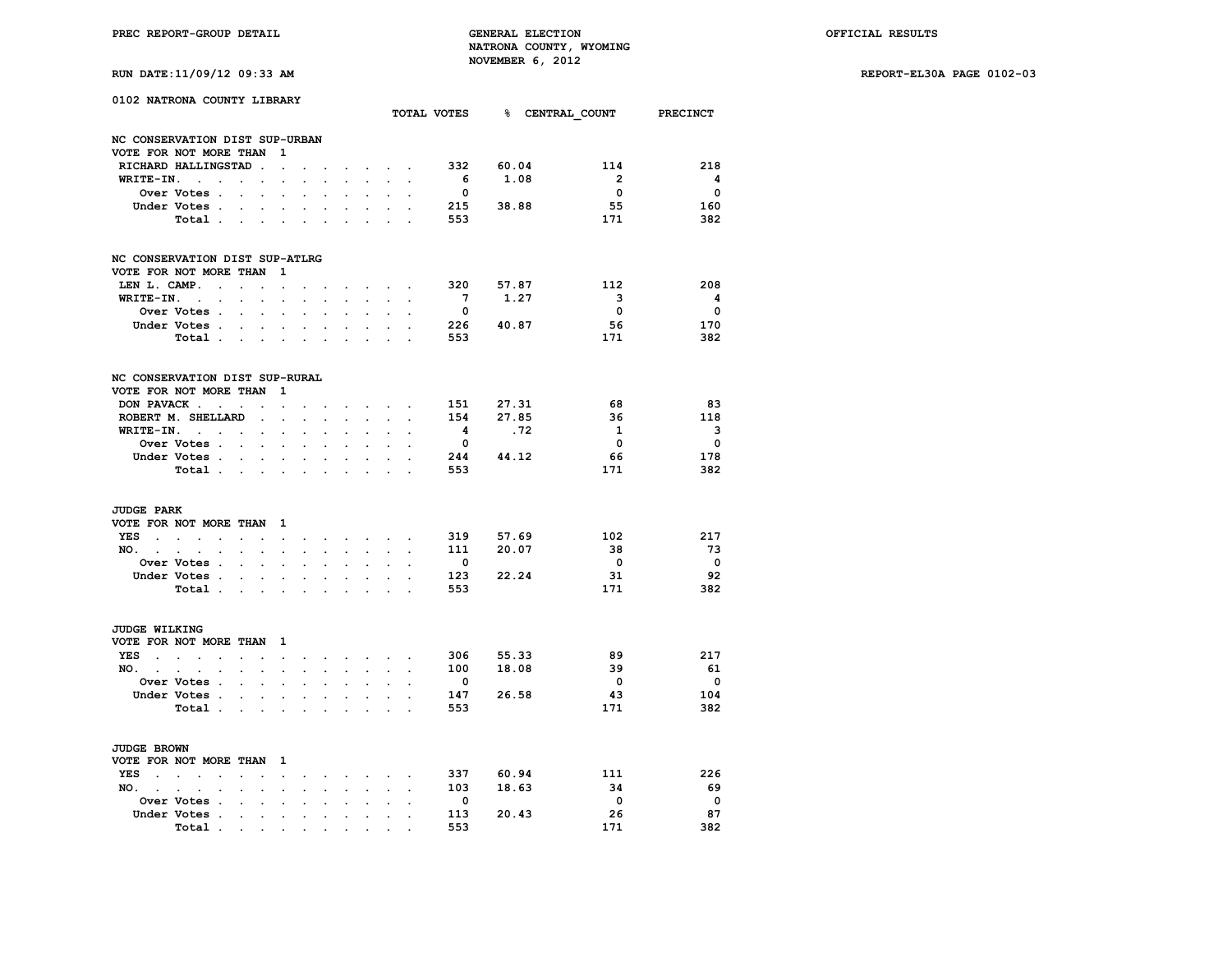**RUN DATE:11/09/12 09:33 AM REPORT-EL30A PAGE 0102-03**

|                      | 0102 NATRONA COUNTY LIBRARY          |                                        |                                            |                      |                      |                                                             |                         |                                 |                                                             |                                        |                                |           | TOTAL VOTES 8 CENTRAL COUNT PRECINCT |                         |
|----------------------|--------------------------------------|----------------------------------------|--------------------------------------------|----------------------|----------------------|-------------------------------------------------------------|-------------------------|---------------------------------|-------------------------------------------------------------|----------------------------------------|--------------------------------|-----------|--------------------------------------|-------------------------|
|                      |                                      |                                        |                                            |                      |                      |                                                             |                         |                                 |                                                             |                                        |                                |           |                                      |                         |
|                      | NC CONSERVATION DIST SUP-URBAN       |                                        |                                            |                      |                      |                                                             |                         |                                 |                                                             |                                        |                                |           |                                      |                         |
|                      | VOTE FOR NOT MORE THAN 1             |                                        |                                            |                      |                      |                                                             |                         |                                 |                                                             |                                        |                                |           | 114                                  | 218                     |
|                      | RICHARD HALLINGSTAD.                 |                                        |                                            | $\ddot{\phantom{a}}$ | $\ddot{\phantom{0}}$ |                                                             | $\ddot{\phantom{a}}$    |                                 | and the control                                             |                                        | 332 60.04                      |           | $\overline{\mathbf{2}}$              | $\overline{\mathbf{4}}$ |
|                      | WRITE-IN.                            | $\mathbf{z} = \mathbf{z} + \mathbf{z}$ |                                            | $\overline{a}$       |                      |                                                             |                         | $\mathbf{L}$                    | $\sim$                                                      | $\mathbf{r}$                           | 6 <sup>6</sup>                 | 1.08      | $\overline{\mathbf{0}}$              | $\overline{\mathbf{0}}$ |
|                      | Over Votes .                         | $\sim 10^{-11}$                        | $\sim$                                     |                      |                      |                                                             |                         |                                 |                                                             |                                        | $\overline{\mathbf{0}}$<br>215 | 38.88     | 55                                   | 160                     |
|                      | Under Votes.                         | $\sim$                                 | $\ddot{\phantom{a}}$                       | $\ddot{\phantom{a}}$ | $\ddot{\phantom{a}}$ | $\cdot$                                                     | $\cdot$<br>$\mathbf{L}$ | $\ddot{\phantom{0}}$            | $\ddot{\phantom{0}}$<br>and a strategic                     | $\sim$                                 | 553                            |           | 171                                  | 382                     |
|                      | Total                                |                                        |                                            |                      |                      |                                                             |                         |                                 |                                                             |                                        |                                |           |                                      |                         |
|                      | NC CONSERVATION DIST SUP-ATLRG       |                                        |                                            |                      |                      |                                                             |                         |                                 |                                                             |                                        |                                |           |                                      |                         |
|                      | VOTE FOR NOT MORE THAN 1             |                                        |                                            |                      |                      |                                                             |                         |                                 |                                                             |                                        |                                |           |                                      |                         |
| LEN L. CAMP.         | the company of the com-              |                                        |                                            | $\sim$ $-$           | $\ddot{\phantom{0}}$ |                                                             |                         | the contract of the con-        |                                                             |                                        | 320 57.87                      |           | 112                                  | 208                     |
| WRITE-IN. .          |                                      | $\sim$                                 |                                            |                      |                      |                                                             |                         |                                 | $\sim$                                                      |                                        | $7\overline{ }$                | 1.27      | $\overline{\mathbf{3}}$              | $\overline{\mathbf{4}}$ |
|                      | Over Votes .                         | $\sim 100$ km s $^{-1}$                |                                            |                      |                      |                                                             |                         |                                 |                                                             |                                        | $\overline{\mathbf{0}}$        |           | $\overline{\mathbf{0}}$              | $\overline{\mathbf{0}}$ |
|                      | Under Votes                          |                                        |                                            |                      | $\ddot{\phantom{0}}$ | $\cdot$                                                     | $\cdot$                 | $\sim$                          |                                                             | $\mathbf{z} = \mathbf{z} + \mathbf{z}$ |                                | 226 40.87 | 56                                   | 170                     |
|                      | Total                                |                                        |                                            |                      |                      |                                                             |                         | $\mathbf{L}$                    | $\mathcal{L}^{\text{max}}$                                  |                                        | 553                            |           | 171                                  | 382                     |
|                      |                                      |                                        |                                            |                      |                      |                                                             |                         |                                 |                                                             |                                        |                                |           |                                      |                         |
|                      | NC CONSERVATION DIST SUP-RURAL       |                                        |                                            |                      |                      |                                                             |                         |                                 |                                                             |                                        |                                |           |                                      |                         |
|                      | VOTE FOR NOT MORE THAN               |                                        |                                            | - 1                  |                      |                                                             |                         |                                 |                                                             |                                        |                                |           |                                      |                         |
| DON PAVACK.          | $\sim$                               | $\ddot{\phantom{a}}$                   | $\cdot$                                    | $\sim$               | $\cdot$              |                                                             | $\sim$                  |                                 | $\mathbf{r} = \mathbf{r} + \mathbf{r}$ , where $\mathbf{r}$ |                                        | 151 27.31                      |           | 68                                   | 83                      |
|                      | ROBERT M. SHELLARD                   |                                        | $\sim$                                     | $\ddot{\phantom{0}}$ |                      |                                                             |                         |                                 |                                                             |                                        | 154                            | 27.85     | 36                                   | 118                     |
|                      | WRITE-IN.                            |                                        | $\sim$                                     | $\cdot$              | $\cdot$              |                                                             |                         | $\sim$                          |                                                             | $\ddot{\phantom{a}}$                   | 4                              | .72       | 1                                    | $\overline{\mathbf{3}}$ |
|                      | Over Votes                           |                                        |                                            | $\cdot$              | $\cdot$              |                                                             | $\ddot{\phantom{a}}$    | $\ddot{\phantom{a}}$            | $\ddot{\phantom{a}}$                                        |                                        | $\overline{\mathbf{0}}$        |           | $\overline{\mathbf{0}}$              | $\overline{\mathbf{0}}$ |
|                      | Under Votes                          |                                        |                                            |                      |                      |                                                             |                         |                                 |                                                             |                                        | 244 44.12                      |           | - 66                                 | 178                     |
|                      | Total                                |                                        |                                            |                      | $\ddot{\phantom{a}}$ | $\overline{a}$                                              | $\overline{a}$          | $\mathbf{r}$                    | $\sim$                                                      |                                        | 553                            |           | 171                                  | 382                     |
| <b>JUDGE PARK</b>    |                                      |                                        |                                            |                      |                      |                                                             |                         |                                 |                                                             |                                        |                                |           |                                      |                         |
|                      | VOTE FOR NOT MORE THAN 1             |                                        |                                            |                      |                      |                                                             |                         |                                 |                                                             |                                        |                                |           |                                      |                         |
|                      | YES                                  | $\sim$                                 | $\ddot{\phantom{0}}$                       |                      | $\sim$ $\sim$        | $\sim$                                                      |                         |                                 |                                                             |                                        | 319                            | 57.69     | 102                                  | 217                     |
| NO.                  | $\ddot{\phantom{0}}$                 | $\sim$                                 | $\sim$                                     | $\sim$               | $\ddot{\phantom{0}}$ | $\ddot{\phantom{0}}$                                        | $\mathbf{r}$            | $\sim$                          | $\sim$                                                      | $\ddot{\phantom{a}}$                   |                                | 111 20.07 | 38                                   | 73                      |
|                      | Over Votes .                         |                                        | $\mathbf{r} = \mathbf{r} + \mathbf{r}$ .   |                      |                      |                                                             |                         | $\ddot{\phantom{0}}$            |                                                             |                                        | $\mathbf{0}$                   |           | $\overline{\mathbf{0}}$              | $\overline{\mathbf{0}}$ |
|                      | Under Votes.                         | $\sim$                                 | $\sim$                                     |                      |                      |                                                             |                         |                                 |                                                             |                                        |                                | 123 22.24 | 31                                   | 92                      |
|                      | Total                                |                                        |                                            |                      | $\ddot{\phantom{a}}$ | $\ddot{\phantom{a}}$                                        | $\cdot$                 | $\bullet$ .                     | $\blacksquare$                                              |                                        | 553                            |           | 171                                  | 382                     |
|                      |                                      |                                        |                                            |                      |                      |                                                             |                         |                                 |                                                             |                                        |                                |           |                                      |                         |
| <b>JUDGE WILKING</b> |                                      |                                        |                                            |                      |                      |                                                             |                         |                                 |                                                             |                                        |                                |           |                                      |                         |
|                      | VOTE FOR NOT MORE THAN 1             |                                        |                                            |                      |                      |                                                             |                         |                                 |                                                             |                                        |                                |           |                                      |                         |
|                      | YES                                  |                                        |                                            | $\sim$ 100 $\pm$     | $\ddot{\phantom{0}}$ | $\ddot{\phantom{0}}$                                        |                         | the contract of the contract of |                                                             |                                        | 306 55.33                      |           | 89                                   | 217                     |
| NO.                  | $\ddot{\phantom{0}}$                 | $\mathcal{L}^{\text{max}}$             | $\mathcal{L}_{\mathcal{A}}$                | $\bullet$            | $\ddot{\phantom{0}}$ | $\ddot{\phantom{0}}$                                        | $\ddot{\phantom{0}}$    | $\ddot{\phantom{0}}$            | $\mathbf{L}^{\text{max}}$                                   | $\blacksquare$                         |                                | 100 18.08 | 39                                   | 61                      |
|                      | Over Votes .                         |                                        | $\mathbf{r} = \mathbf{r}$                  |                      |                      |                                                             |                         |                                 | $\mathbf{L}$                                                |                                        | $\overline{\mathbf{0}}$        |           | $\overline{\mathbf{0}}$              | $\overline{\mathbf{0}}$ |
|                      | Under Votes                          |                                        |                                            |                      | $\ddot{\phantom{0}}$ | $\cdot$                                                     | $\ddot{\phantom{0}}$    | $\bullet$ .                     | $\ddot{\phantom{0}}$                                        | $\sim$                                 | 147                            | 26.58     | 43                                   | 104                     |
|                      | Total .                              |                                        | $\mathbf{r} = \mathbf{r} \cdot \mathbf{r}$ | $\bullet$            |                      |                                                             |                         |                                 | $\ddot{\phantom{a}}$                                        |                                        | 553                            |           | 171                                  | 382                     |
| <b>JUDGE BROWN</b>   |                                      |                                        |                                            |                      |                      |                                                             |                         |                                 |                                                             |                                        |                                |           |                                      |                         |
|                      | VOTE FOR NOT MORE THAN 1             |                                        |                                            |                      |                      |                                                             |                         |                                 |                                                             |                                        |                                |           |                                      |                         |
| YES                  | $\sim$                               | $\sim$                                 | $\sim$                                     | $\sim$               |                      |                                                             |                         |                                 |                                                             | $\sim$                                 | 337                            | 60.94     | 111                                  | - 226                   |
| $NO.$ $.$ $.$        |                                      |                                        |                                            |                      | $\sim$               | $\bullet$ .<br><br><br><br><br><br><br><br><br><br><br><br> | $\bullet$ .             |                                 | $\bullet$ . In the set of $\bullet$                         |                                        |                                | 103 18.63 | 34                                   | 69                      |
|                      | $\ddot{\phantom{0}}$<br>Over Votes . | $\sim$<br>$\sim$                       | $\sim$                                     | $\sim$               | $\ddot{\phantom{0}}$ | $\ddot{\phantom{0}}$                                        | $\ddot{\phantom{0}}$    | $\sim$                          | $\mathcal{L}^{\text{max}}$                                  | $\ddot{\phantom{a}}$                   | $\overline{\mathbf{0}}$        |           | $\overline{\mathbf{0}}$              | $\overline{\mathbf{0}}$ |
|                      | Under Votes .                        |                                        | $\ddot{\phantom{a}}$                       | $\overline{a}$       |                      |                                                             |                         | $\mathbf{r}$                    | $\sim$                                                      |                                        | 113                            | 20.43     | 26                                   | 87                      |
|                      | Total                                | $\ddot{\phantom{a}}$                   | $\sim$                                     | $\sim$               | $\ddot{\phantom{a}}$ | $\cdot$                                                     | $\cdot$                 | $\ddot{\phantom{0}}$            |                                                             | $\sim$ $\sim$                          | 553                            |           | 171                                  | 382                     |
|                      |                                      |                                        |                                            |                      |                      |                                                             |                         |                                 |                                                             |                                        |                                |           |                                      |                         |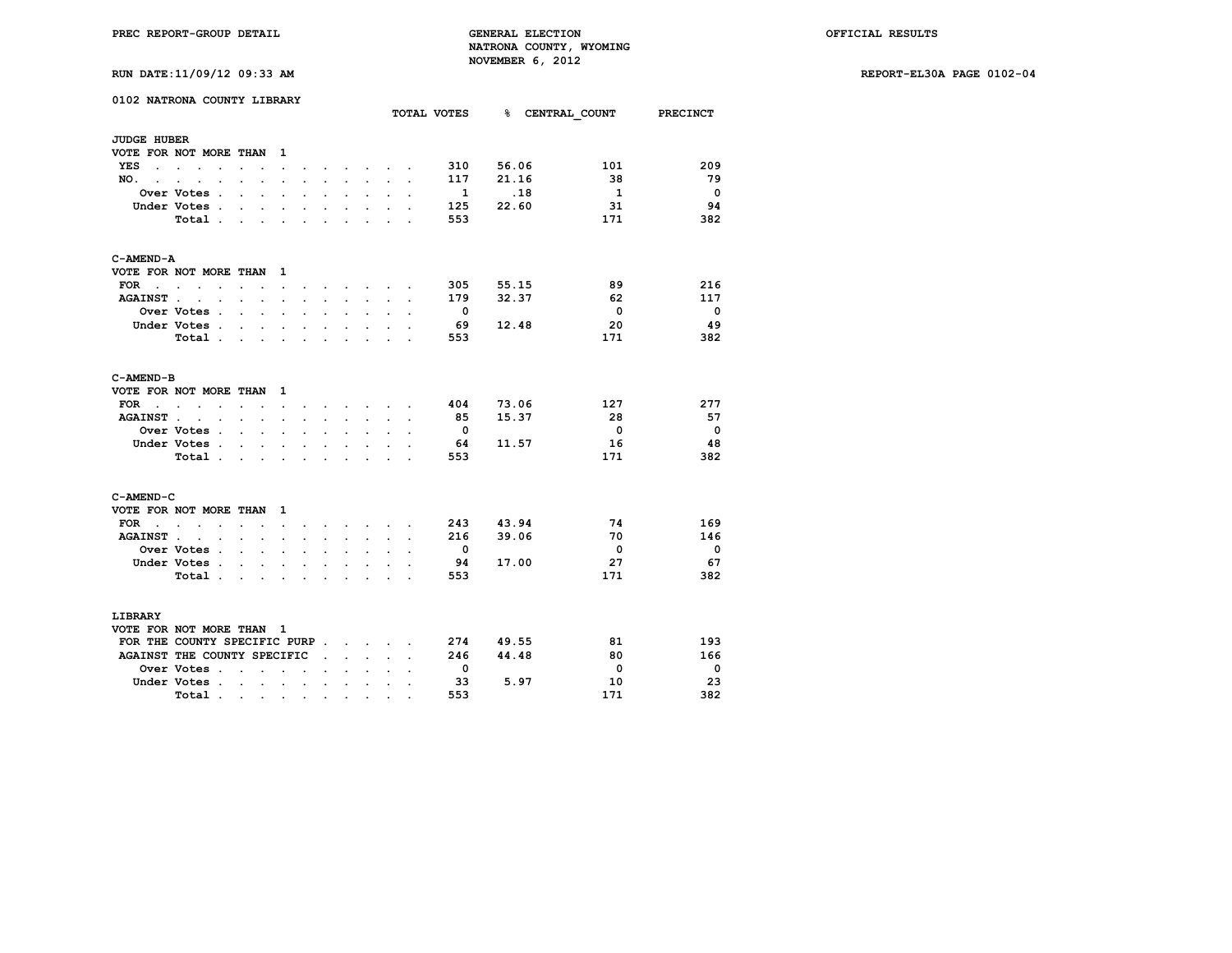**RUN DATE:11/09/12 09:33 AM REPORT-EL30A PAGE 0102-04**

|  | RUN DATE:11/09/12 09:33 AM |  |  |  |  |
|--|----------------------------|--|--|--|--|
|--|----------------------------|--|--|--|--|

|                    | 0102 NATRONA COUNTY LIBRARY                  |                      |                                                                                               |                      |                      |                      |                      |                                   |                                      |                      | TOTAL VOTES              |       | % CENTRAL COUNT PRECINCT |                          |
|--------------------|----------------------------------------------|----------------------|-----------------------------------------------------------------------------------------------|----------------------|----------------------|----------------------|----------------------|-----------------------------------|--------------------------------------|----------------------|--------------------------|-------|--------------------------|--------------------------|
| <b>JUDGE HUBER</b> |                                              |                      |                                                                                               |                      |                      |                      |                      |                                   |                                      |                      |                          |       |                          |                          |
|                    | VOTE FOR NOT MORE THAN                       |                      |                                                                                               | $\mathbf{1}$         |                      |                      |                      |                                   |                                      |                      |                          |       |                          |                          |
| YES                | the company of the company of                | $\ddot{\phantom{0}}$ |                                                                                               | $\Box$               |                      | $\ddot{\phantom{0}}$ | $\bullet$            | <b>Contract Contract Contract</b> | $\sim$                               |                      | 310                      | 56.06 | 101                      | 209                      |
| NO.,               |                                              |                      |                                                                                               |                      |                      |                      |                      |                                   |                                      |                      | 117                      | 21.16 | 38                       | - 79                     |
|                    | Over Votes .                                 | $\ddot{\phantom{a}}$ | $\ddot{\phantom{a}}$                                                                          | $\cdot$              | $\cdot$              | $\ddot{\phantom{a}}$ | $\ddot{\phantom{0}}$ | $\ddot{\phantom{0}}$              |                                      | $\overline{a}$       | $\mathbf{1}$             | .18   | $\mathbf{1}$             | $\overline{\phantom{0}}$ |
|                    | Under Votes .                                | $\ddot{\phantom{0}}$ |                                                                                               | $\bullet$            |                      | $\bullet$            |                      | $\cdot$                           |                                      |                      | 125                      | 22.60 | 31                       | 94                       |
|                    | Total.                                       | $\mathbf{r}$         | $\sim$                                                                                        | $\sim$               | $\mathbf{r}$         | $\mathbf{r}$         | $\overline{a}$       | $\mathbf{r}$                      | i.                                   |                      | 553                      |       | 171                      | 382                      |
| C-AMEND-A          |                                              |                      |                                                                                               |                      |                      |                      |                      |                                   |                                      |                      |                          |       |                          |                          |
|                    | VOTE FOR NOT MORE THAN 1                     |                      |                                                                                               |                      |                      |                      |                      |                                   |                                      |                      |                          |       |                          |                          |
| $FOR \t . \t .$    | $\sim$                                       | $\ddot{\phantom{a}}$ | $\ddot{\phantom{a}}$                                                                          | $\ddot{\phantom{0}}$ |                      |                      | $\sim$               | $\sim$                            |                                      |                      | 305                      | 55.15 | 89                       | 216                      |
| <b>AGAINST.</b>    | $\sim$ $\sim$                                |                      | $\mathbf{r} = \mathbf{r}$                                                                     | $\ddot{\phantom{a}}$ | $\sim$               | $\sim$               | $\sim$               | $\ddot{\phantom{0}}$              | $\ddot{\phantom{a}}$                 | $\cdot$              | 179                      | 32.37 | 62                       | 117                      |
|                    | Over Votes .                                 | $\ddot{\phantom{a}}$ | $\sim$                                                                                        |                      |                      |                      |                      |                                   |                                      |                      | $\overline{\phantom{0}}$ |       | $\overline{\mathbf{0}}$  | $\overline{\mathbf{0}}$  |
|                    | Under Votes .                                | $\sim$               | $\mathbf{L}$                                                                                  | $\ddot{\phantom{0}}$ | $\ddot{\phantom{a}}$ | $\ddot{\phantom{0}}$ | $\overline{a}$       | $\mathbf{r}$                      |                                      |                      | - 69                     | 12.48 | 20                       | 49                       |
|                    | Total                                        |                      |                                                                                               |                      |                      |                      | $\ddot{\phantom{0}}$ | $\sim$                            | $\ddot{\phantom{0}}$                 |                      | 553                      |       | 171                      | 382                      |
| C-AMEND-B          |                                              |                      |                                                                                               |                      |                      |                      |                      |                                   |                                      |                      |                          |       |                          |                          |
|                    | VOTE FOR NOT MORE THAN                       |                      |                                                                                               | $\mathbf{1}$         |                      |                      |                      |                                   |                                      |                      |                          |       |                          |                          |
| $FOR$              | $\sim$ $\sim$                                |                      | $\mathbf{z} = \mathbf{z} + \mathbf{z}$                                                        | $\sim$ $\sim$        |                      |                      |                      |                                   | and a strong control of the state of |                      | 404                      | 73.06 | 127                      | 277                      |
| <b>AGAINST.</b>    | $\ddot{\phantom{a}}$<br>$\sim$               |                      | $\sim$ $\sim$                                                                                 | $\bullet$            |                      | $\ddot{\phantom{0}}$ |                      | $\ddot{\phantom{0}}$              |                                      |                      | 85                       | 15.37 | 28                       | -57                      |
|                    | <b>Over Votes</b> .                          |                      | $\mathbf{r} = \mathbf{r}$                                                                     | $\mathbf{r}$         | $\cdot$              |                      | $\overline{a}$       |                                   |                                      |                      | $\overline{\phantom{0}}$ |       | $\overline{\mathbf{0}}$  | $\overline{\phantom{0}}$ |
|                    | Under Votes .                                | $\sim$               | $\sim$                                                                                        | $\ddot{\phantom{0}}$ | $\ddot{\phantom{0}}$ | $\overline{a}$       | $\ddot{\phantom{0}}$ | $\ddot{\phantom{0}}$              |                                      |                      | - 64                     | 11.57 | 16                       | -48                      |
|                    | Total.                                       | $\ddot{\phantom{a}}$ | $\ddot{\phantom{a}}$                                                                          |                      |                      |                      |                      | $\ddot{\phantom{0}}$              |                                      |                      | 553                      |       | 171                      | 382                      |
| C-AMEND-C          |                                              |                      |                                                                                               |                      |                      |                      |                      |                                   |                                      |                      |                          |       |                          |                          |
|                    | VOTE FOR NOT MORE THAN                       |                      |                                                                                               | $\mathbf{1}$         |                      |                      |                      |                                   |                                      |                      |                          |       |                          |                          |
| FOR .              |                                              | $\ddot{\phantom{a}}$ |                                                                                               |                      |                      |                      | $\ddot{\phantom{a}}$ | <b>Contract Contract Contract</b> | $\sim$                               |                      | 243                      | 43.94 | 74                       | 169                      |
| <b>AGAINST.</b>    | $\ddot{\phantom{a}}$<br>$\ddot{\phantom{a}}$ | s.                   | $\ddot{\phantom{a}}$                                                                          | $\cdot$              |                      | $\ddot{\phantom{a}}$ | $\ddot{\phantom{a}}$ | $\sim$                            |                                      |                      | 216                      | 39.06 | 70                       | 146                      |
|                    | <b>Over Votes .</b>                          |                      | $\sim$ $\sim$ $\sim$                                                                          | $\ddot{\phantom{a}}$ | $\ddot{\phantom{a}}$ | $\ddot{\phantom{a}}$ |                      | $\ddot{\phantom{a}}$              |                                      | $\ddot{\phantom{0}}$ | - 0                      |       | $\overline{\mathbf{0}}$  | $\overline{\phantom{0}}$ |
|                    | Under Votes.                                 | $\ddot{\phantom{0}}$ | $\ddot{\phantom{a}}$                                                                          |                      |                      |                      |                      | $\ddot{\phantom{0}}$              |                                      |                      | 94                       | 17.00 | 27                       | 67                       |
|                    | Total.                                       | $\sim$               | $\sim$                                                                                        | $\sim$               | $\sim$               | $\sim$               | $\bullet$            | $\ddot{\phantom{0}}$              | $\ddot{\phantom{a}}$                 |                      | 553                      |       | 171                      | 382                      |
| LIBRARY            |                                              |                      |                                                                                               |                      |                      |                      |                      |                                   |                                      |                      |                          |       |                          |                          |
|                    | VOTE FOR NOT MORE THAN 1                     |                      |                                                                                               |                      |                      |                      |                      |                                   |                                      |                      |                          |       |                          |                          |
|                    | FOR THE COUNTY SPECIFIC PURP                 |                      |                                                                                               |                      |                      |                      |                      |                                   |                                      |                      | 274                      | 49.55 | 81                       | 193                      |
|                    | AGAINST THE COUNTY SPECIFIC                  |                      |                                                                                               |                      |                      | $\ddot{\phantom{0}}$ |                      | $\sim$ $\sim$ $\sim$              |                                      |                      | 246                      | 44.48 | 80                       | 166                      |
|                    | Over Votes .                                 | $\ddot{\phantom{0}}$ | $\ddot{\phantom{a}}$                                                                          | $\sim$               | $\ddot{\phantom{a}}$ |                      |                      |                                   |                                      |                      | $\overline{\mathbf{0}}$  |       | 0                        | $\overline{\phantom{0}}$ |
|                    | Under Votes.                                 |                      | $\mathbf{r}$ , $\mathbf{r}$ , $\mathbf{r}$                                                    |                      |                      | $\ddot{\phantom{0}}$ | $\cdot$              | $\ddot{\phantom{0}}$              | $\ddot{\phantom{a}}$                 |                      | 33                       | 5.97  | 10                       | 23                       |
|                    | Total.                                       |                      |                                                                                               |                      |                      |                      |                      |                                   |                                      |                      | 553                      |       | 171                      | 382                      |
|                    |                                              |                      | $\mathcal{A}$ , and $\mathcal{A}$ , and $\mathcal{A}$ , and $\mathcal{A}$ , and $\mathcal{A}$ |                      |                      |                      | $\bullet$            | $\bullet$                         |                                      |                      |                          |       |                          |                          |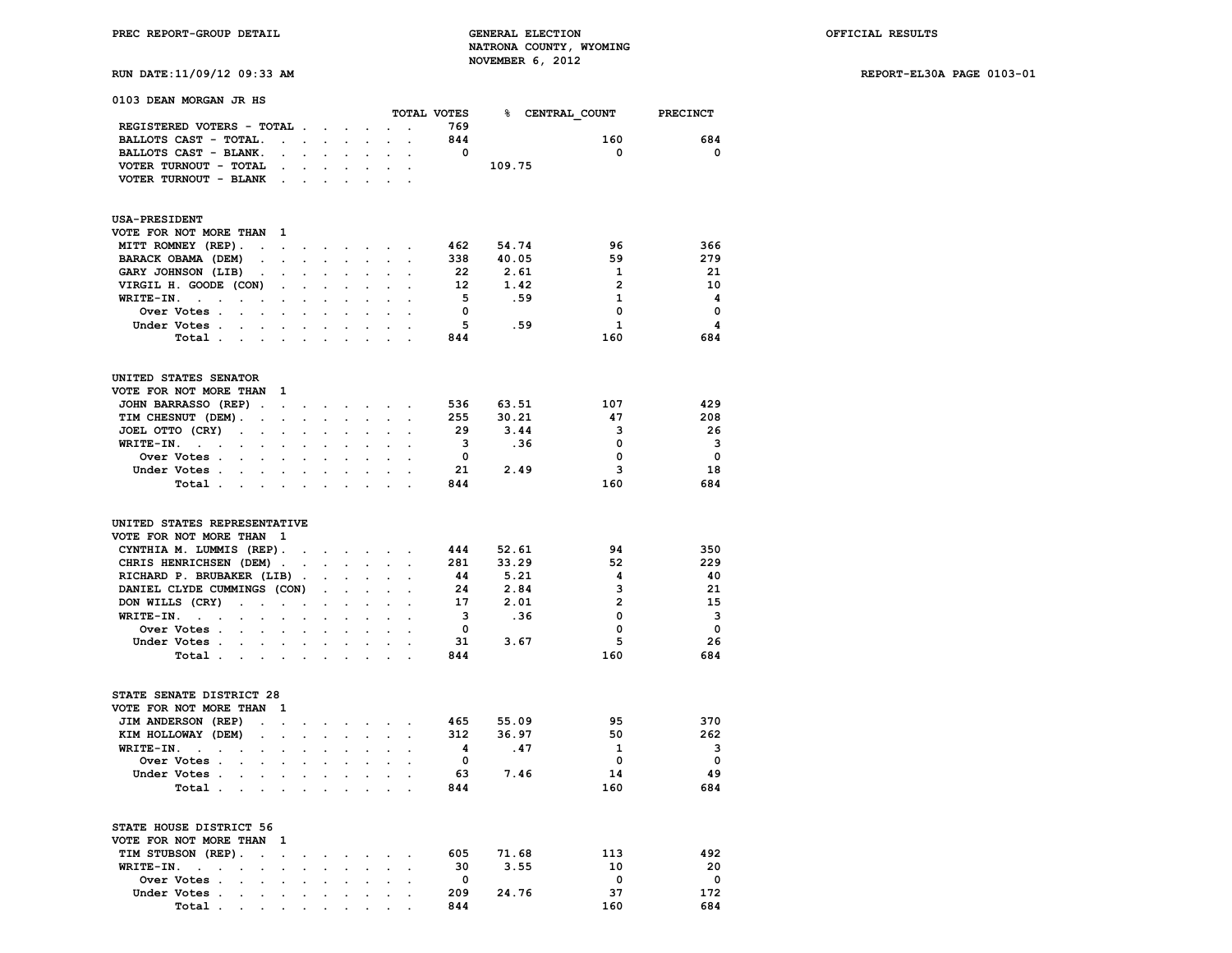**RUN DATE:11/09/12 09:33 AM REPORT-EL30A PAGE 0103-01**

| 0103 DEAN MORGAN JR HS                                                                               |                                                       |                                      |                      |                      |                      |                                                                                                                                                                                                                                    |                                          |                         |                    | TOTAL VOTES 8 CENTRAL COUNT PRECINCT |                          |
|------------------------------------------------------------------------------------------------------|-------------------------------------------------------|--------------------------------------|----------------------|----------------------|----------------------|------------------------------------------------------------------------------------------------------------------------------------------------------------------------------------------------------------------------------------|------------------------------------------|-------------------------|--------------------|--------------------------------------|--------------------------|
| REGISTERED VOTERS - TOTAL                                                                            |                                                       |                                      |                      |                      | $\ddot{\phantom{0}}$ |                                                                                                                                                                                                                                    |                                          | 769                     |                    |                                      |                          |
| BALLOTS CAST - TOTAL.                                                                                | $\mathbf{L}^{\text{max}}$ , $\mathbf{L}^{\text{max}}$ |                                      | $\sim 10^{-11}$      | $\mathbf{r}$         |                      |                                                                                                                                                                                                                                    |                                          | 844                     |                    | 160                                  | 684                      |
| BALLOTS CAST - BLANK.                                                                                |                                                       |                                      |                      |                      |                      |                                                                                                                                                                                                                                    |                                          | $\overline{\mathbf{0}}$ |                    | $\overline{\mathbf{0}}$              | $\overline{\phantom{0}}$ |
| VOTER TURNOUT - TOTAL                                                                                | $\sim$ $\sim$                                         |                                      | <b>All Cards</b>     |                      |                      | $\mathcal{L}^{\text{max}}$ , and $\mathcal{L}^{\text{max}}$ , and $\mathcal{L}^{\text{max}}$                                                                                                                                       |                                          |                         | 109.75             |                                      |                          |
| VOTER TURNOUT - BLANK.                                                                               |                                                       | $\sim$                               |                      |                      |                      |                                                                                                                                                                                                                                    |                                          |                         |                    |                                      |                          |
|                                                                                                      |                                                       |                                      |                      |                      |                      |                                                                                                                                                                                                                                    |                                          |                         |                    |                                      |                          |
| <b>USA-PRESIDENT</b>                                                                                 | 1                                                     |                                      |                      |                      |                      |                                                                                                                                                                                                                                    |                                          |                         |                    |                                      |                          |
| VOTE FOR NOT MORE THAN                                                                               |                                                       |                                      |                      |                      |                      |                                                                                                                                                                                                                                    |                                          |                         |                    | 96                                   | 366                      |
| MITT ROMNEY (REP).<br><b>Contract Contract</b>                                                       |                                                       |                                      |                      |                      |                      | $\bullet$ . In the contract of the contract of the contract of the contract of the contract of the contract of the contract of the contract of the contract of the contract of the contract of the contract of the contract of the |                                          | 338                     | 462 54.74<br>40.05 | 59                                   | 279                      |
| BARACK OBAMA (DEM)                                                                                   |                                                       | $\ddot{\phantom{0}}$                 |                      |                      |                      |                                                                                                                                                                                                                                    |                                          | 22                      | 2.61               | 1                                    | -21                      |
| GARY JOHNSON (LIB)<br>$\sim$                                                                         | $\cdot$                                               | $\ddot{\phantom{0}}$<br>$\mathbf{L}$ | $\ddot{\phantom{0}}$ |                      |                      |                                                                                                                                                                                                                                    | $\ddot{\phantom{a}}$                     | 12                      | 1.42               | $\overline{2}$                       | 10                       |
| VIRGIL H. GOODE (CON)<br>WRITE-IN.                                                                   | $\ddot{\phantom{0}}$                                  |                                      |                      | $\ddot{\phantom{0}}$ | $\ddot{\phantom{0}}$ |                                                                                                                                                                                                                                    |                                          | $-5$                    |                    | $\mathbf{1}$                         | $\overline{\mathbf{4}}$  |
| $\sim 100$ km s $^{-1}$<br>$\ddot{\phantom{0}}$<br>$\bullet$<br>$\ddot{\phantom{0}}$<br>Over Votes . | $\bullet$                                             | $\ddot{\phantom{a}}$                 |                      |                      | $\ddot{\phantom{a}}$ |                                                                                                                                                                                                                                    |                                          | $\overline{\mathbf{0}}$ | .59                | $\mathbf 0$                          | $\overline{\phantom{0}}$ |
|                                                                                                      |                                                       |                                      |                      |                      |                      |                                                                                                                                                                                                                                    |                                          | - 5                     |                    | $\mathbf{1}$                         |                          |
| Under Votes<br>$\bullet$ .                                                                           | $\bullet$ .                                           | $\bullet$ .                          | $\bullet$ .          | $\ddot{\phantom{0}}$ | $\bullet$ .          | $\ddot{\phantom{0}}$                                                                                                                                                                                                               |                                          |                         | .59                |                                      | $\overline{\mathbf{4}}$  |
| Total                                                                                                |                                                       |                                      |                      |                      |                      |                                                                                                                                                                                                                                    |                                          | 844                     |                    | 160                                  | 684                      |
| UNITED STATES SENATOR                                                                                |                                                       |                                      |                      |                      |                      |                                                                                                                                                                                                                                    |                                          |                         |                    |                                      |                          |
| VOTE FOR NOT MORE THAN                                                                               | $\blacksquare$                                        |                                      |                      |                      |                      |                                                                                                                                                                                                                                    |                                          |                         |                    |                                      |                          |
| JOHN BARRASSO (REP).                                                                                 | $\sim 10^{-10}$                                       |                                      |                      |                      |                      | and the company of the company of                                                                                                                                                                                                  |                                          | 536                     | 63.51              | 107                                  | 429                      |
| TIM CHESNUT (DEM).<br>$\sim$                                                                         | $\ddot{\phantom{0}}$                                  | $\ddot{\phantom{0}}$                 | $\mathbf{L}$         | s.                   | $\ddot{\phantom{a}}$ |                                                                                                                                                                                                                                    |                                          | 255                     | 30.21              | 47                                   | 208                      |
| JOEL OTTO (CRY)<br>$\sim$<br>$\sim$                                                                  | $\bullet$                                             | $\ddot{\phantom{a}}$                 | $\ddot{\phantom{a}}$ |                      | $\ddot{\phantom{0}}$ |                                                                                                                                                                                                                                    |                                          | -29                     | 3.44               | 3                                    | -26                      |
| WRITE-IN.<br>$\ddot{\phantom{0}}$                                                                    | $\ddot{\phantom{a}}$                                  | $\overline{a}$                       |                      | $\ddot{\phantom{a}}$ | $\ddot{\phantom{0}}$ | $\ddot{\phantom{0}}$                                                                                                                                                                                                               |                                          | $\overline{\mathbf{3}}$ | .36                | $\mathbf 0$                          | $\overline{\mathbf{3}}$  |
| Over Votes .<br>$\sim 10$<br>$\bullet$                                                               | $\ddot{\phantom{0}}$                                  | $\cdot$                              | $\ddot{\phantom{0}}$ |                      | $\ddot{\phantom{0}}$ | $\ddot{\phantom{0}}$                                                                                                                                                                                                               | $\ddot{\phantom{a}}$                     | $\overline{\mathbf{0}}$ |                    | 0                                    | $\overline{\mathbf{0}}$  |
| Under Votes                                                                                          | $\mathbf{L}$                                          | $\mathbf{L}$                         |                      | $\sim$               |                      | $\sim$ $\sim$                                                                                                                                                                                                                      |                                          | - 21                    | 2.49               | - 3                                  | -18                      |
| Total<br>$\sim$ $\sim$                                                                               | $\ddot{\phantom{a}}$                                  | $\bullet$                            | $\ddot{\phantom{a}}$ |                      |                      | $\sim$                                                                                                                                                                                                                             | $\ddot{\phantom{a}}$                     | 844                     |                    | 160                                  | 684                      |
| UNITED STATES REPRESENTATIVE                                                                         |                                                       |                                      |                      |                      |                      |                                                                                                                                                                                                                                    |                                          |                         |                    |                                      |                          |
| VOTE FOR NOT MORE THAN 1                                                                             |                                                       |                                      |                      |                      |                      |                                                                                                                                                                                                                                    |                                          |                         |                    |                                      |                          |
| CYNTHIA M. LUMMIS (REP).                                                                             |                                                       | $\ddot{\phantom{a}}$                 |                      |                      |                      | $\mathbf{r} = \mathbf{r} + \mathbf{r} + \mathbf{r} + \mathbf{r} + \mathbf{r}$                                                                                                                                                      |                                          | 444                     | 52.61              | 94                                   | 350                      |
| CHRIS HENRICHSEN (DEM).                                                                              |                                                       | $\bullet$                            | $\ddot{\phantom{a}}$ | $\ddot{\phantom{a}}$ |                      | $\mathbf{z} = \mathbf{z} + \mathbf{z}$ . The $\mathbf{z}$                                                                                                                                                                          |                                          | 281                     | 33.29              | 52                                   | 229                      |
| RICHARD P. BRUBAKER (LIB).                                                                           |                                                       |                                      |                      |                      |                      |                                                                                                                                                                                                                                    |                                          | -44                     | 5.21               | 4                                    | -40                      |
| DANIEL CLYDE CUMMINGS (CON)                                                                          |                                                       |                                      | $\ddot{\phantom{a}}$ |                      | $\ddot{\phantom{a}}$ | $\ddot{\phantom{a}}$                                                                                                                                                                                                               |                                          | 24                      | 2.84               | 3                                    | 21                       |
| DON WILLS (CRY)<br>$\sim$<br>$\cdot$                                                                 | $\ddot{\phantom{0}}$                                  | $\mathbf{r}$                         | $\sim$               | $\mathbf{r}$         | $\sim$               | $\ddot{\phantom{a}}$                                                                                                                                                                                                               | $\sim$                                   | 17                      | 2.01               | $\overline{2}$                       | 15                       |
| WRITE-IN.<br><b>Contract Contract</b><br>$\bullet$<br>$\sim$                                         | $\Box$                                                | $\ddot{\phantom{a}}$                 | $\bullet$            | $\overline{a}$       | $\ddot{\phantom{a}}$ | $\ddot{\phantom{a}}$                                                                                                                                                                                                               | $\mathbf{r}$                             | $\overline{\mathbf{3}}$ | .36                | $\Omega$                             | 3                        |
| <b>Over Votes .</b><br>$\sim$ $\sim$                                                                 |                                                       |                                      |                      |                      |                      |                                                                                                                                                                                                                                    |                                          | $\overline{\mathbf{0}}$ |                    | 0                                    | $\overline{\phantom{0}}$ |
| Under Votes<br>$\ddot{\phantom{0}}$                                                                  | $\ddot{\phantom{a}}$                                  | $\ddot{\phantom{a}}$                 | $\ddot{\phantom{a}}$ |                      | $\ddot{\phantom{a}}$ | $\ddot{\phantom{a}}$                                                                                                                                                                                                               | $\cdot$                                  | 31                      | 3.67               | 5                                    | 26                       |
| Total                                                                                                | $\mathbf{r}$                                          | $\ddot{\phantom{a}}$                 | $\sim$               | $\cdot$              | $\cdot$              | $\ddot{\phantom{a}}$                                                                                                                                                                                                               | $\ddot{\phantom{a}}$                     | 844                     |                    | 160                                  | 684                      |
| STATE SENATE DISTRICT 28                                                                             |                                                       |                                      |                      |                      |                      |                                                                                                                                                                                                                                    |                                          |                         |                    |                                      |                          |
| VOTE FOR NOT MORE THAN                                                                               | -1                                                    |                                      |                      |                      |                      |                                                                                                                                                                                                                                    |                                          |                         |                    |                                      |                          |
| JIM ANDERSON (REP)<br>$\ddot{\phantom{0}}$                                                           | $\ddot{\phantom{a}}$                                  | $\ddot{\phantom{0}}$                 | $\ddot{\phantom{a}}$ |                      | $\ddot{\phantom{a}}$ | $\sim$                                                                                                                                                                                                                             | $\sim$                                   | 465                     | 55.09              | 95                                   | 370                      |
| KIM HOLLOWAY (DEM)<br>$\ddot{\phantom{a}}$                                                           | $\ddot{\phantom{a}}$                                  |                                      |                      |                      |                      |                                                                                                                                                                                                                                    |                                          | 312                     | 36.97              | 50                                   | 262                      |
| WRITE-IN.<br>$\sim$<br>$\sim$<br>$\sim$                                                              |                                                       |                                      |                      |                      |                      |                                                                                                                                                                                                                                    |                                          | $\overline{\mathbf{4}}$ | .47                | 1                                    | - 3                      |
| Over Votes<br>$\sim$                                                                                 | $\mathbf{L}$                                          | $\mathbf{r}$                         | $\mathbf{r}$         |                      | $\ddot{\phantom{0}}$ | $\overline{a}$                                                                                                                                                                                                                     | $\ddot{\phantom{a}}$                     | $\overline{\mathbf{0}}$ |                    | $\mathbf{0}$                         | $\overline{\phantom{0}}$ |
| Under Votes.<br>$\sim$<br>$\ddot{\phantom{0}}$                                                       | $\sim$ $\sim$                                         | $\ddot{\phantom{a}}$                 | $\bullet$            |                      | $\ddot{\phantom{a}}$ | $\cdot$                                                                                                                                                                                                                            |                                          | 63                      | 7.46               | 14                                   | 49                       |
| Total                                                                                                |                                                       |                                      |                      |                      |                      |                                                                                                                                                                                                                                    |                                          | 844                     |                    | 160                                  | 684                      |
|                                                                                                      |                                                       |                                      |                      |                      |                      |                                                                                                                                                                                                                                    |                                          |                         |                    |                                      |                          |
| STATE HOUSE DISTRICT 56                                                                              |                                                       |                                      |                      |                      |                      |                                                                                                                                                                                                                                    |                                          |                         |                    |                                      |                          |
| VOTE FOR NOT MORE THAN 1                                                                             |                                                       |                                      |                      |                      |                      |                                                                                                                                                                                                                                    |                                          |                         |                    |                                      |                          |
| TIM STUBSON (REP).<br><b>Contract Contract Contract</b>                                              |                                                       |                                      | $\bullet$            |                      |                      | and the control of the con-                                                                                                                                                                                                        |                                          | 605                     | 71.68              | 113                                  | 492                      |
| WRITE-IN.<br>$\sim$ $\sim$<br><b>Contract Contract Contract Contract</b>                             |                                                       |                                      |                      |                      |                      |                                                                                                                                                                                                                                    | and a strong control of the state of the | 30                      | 3.55               | 10                                   | 20                       |
| Over Votes .<br>$\sim$<br>$\sim$ $\sim$<br>$\sim$ $\sim$                                             |                                                       |                                      | $\sim$               |                      | $\sim$               | $\sim$                                                                                                                                                                                                                             |                                          | $\mathbf 0$             |                    | $\mathbf 0$                          | $\mathbf 0$              |

 **Under Votes . . . . . . . . . . 209 24.76 37 172 Total . . . . . . . . . . 844 160 684**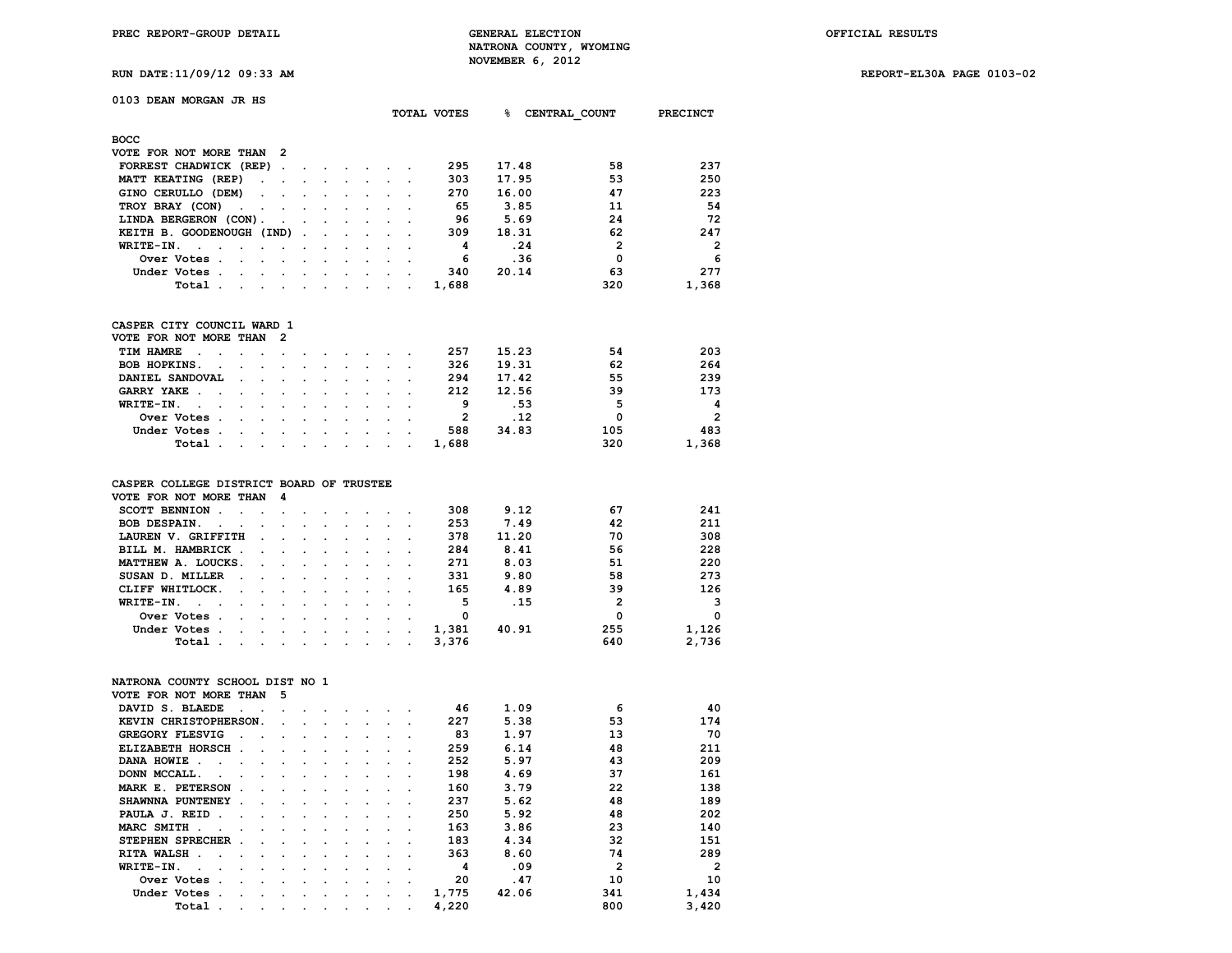**RUN DATE:11/09/12 09:33 AM REPORT-EL30A PAGE 0103-02**

# **0103 DEAN MORGAN JR HS**

|                                                                                                                          |                                                                                                                 |  |  | TOTAL VOTES | ℁     | CENTRAL COUNT  | <b>PRECINCT</b> |
|--------------------------------------------------------------------------------------------------------------------------|-----------------------------------------------------------------------------------------------------------------|--|--|-------------|-------|----------------|-----------------|
| <b>BOCC</b>                                                                                                              |                                                                                                                 |  |  |             |       |                |                 |
| VOTE FOR NOT MORE THAN 2                                                                                                 |                                                                                                                 |  |  |             |       |                |                 |
| FORREST CHADWICK (REP)                                                                                                   |                                                                                                                 |  |  | 295         | 17.48 | 58             | 237             |
| MATT KEATING (REP)<br>$\sim 100$                                                                                         | the contract of the contract of the contract of the contract of the contract of                                 |  |  | 303         | 17.95 | 53             | 250             |
| GINO CERULLO (DEM)                                                                                                       |                                                                                                                 |  |  | 270         | 16.00 | 47             | 223             |
| TROY BRAY (CON)                                                                                                          |                                                                                                                 |  |  | 65          | 3.85  | 11             | 54              |
| LINDA BERGERON (CON).                                                                                                    |                                                                                                                 |  |  | 96          | 5.69  | 24             | 72              |
| KEITH B. GOODENOUGH (IND)                                                                                                |                                                                                                                 |  |  | 309         | 18.31 | 62             | 247             |
| WRITE-IN.<br>$\sim$<br>$\sim$<br>$\sim$ $\sim$ $\sim$ $\sim$ $\sim$                                                      | $\sim$ $\sim$ $\sim$                                                                                            |  |  | 4           | .24   | $\overline{2}$ | $\overline{2}$  |
| Over Votes.<br>and the contract of the con-                                                                              | $\sim$ $\sim$ $\sim$ $\sim$ $\sim$                                                                              |  |  | 6           | .36   | 0              | -6              |
| Under Votes.<br>$\cdot$ $\cdot$ $\cdot$ $\cdot$ $\cdot$                                                                  | the contract of the contract of the contract of the contract of the contract of the contract of the contract of |  |  | 340         | 20.14 | 63             | 277             |
| Total<br>the contract of the contract of the contract of the contract of the contract of the contract of the contract of |                                                                                                                 |  |  | 1,688       |       | 320            | 1,368           |

# **CASPER CITY COUNCIL WARD 1**

| 54<br>257<br>15.23<br>TIM HAMRE<br>62<br>326<br>19.31<br>BOB HOPKINS.<br>55<br>294<br>17.42<br>DANIEL SANDOVAL |                          |  |  |  |  |  |  | VOTE FOR NOT MORE THAN 2 |  |
|----------------------------------------------------------------------------------------------------------------|--------------------------|--|--|--|--|--|--|--------------------------|--|
|                                                                                                                | 203                      |  |  |  |  |  |  |                          |  |
|                                                                                                                | 264                      |  |  |  |  |  |  |                          |  |
|                                                                                                                | 239                      |  |  |  |  |  |  |                          |  |
| 39<br>212<br>12.56<br>GARRY YAKE                                                                               | 173                      |  |  |  |  |  |  |                          |  |
| 5<br>9<br>. 53<br>WRITE-IN.                                                                                    | $\overline{a}$           |  |  |  |  |  |  |                          |  |
| O<br>.12<br>Over Votes                                                                                         | $\overline{\phantom{a}}$ |  |  |  |  |  |  |                          |  |
| 105<br>588<br>34.83<br>Under Votes                                                                             | 483                      |  |  |  |  |  |  |                          |  |
| 320<br>1,688<br>Total                                                                                          | 1,368                    |  |  |  |  |  |  |                          |  |

## **CASPER COLLEGE DISTRICT BOARD OF TRUSTEE**

| VOTE FOR NOT MORE THAN 4                                                                                                       |  |  |  |       |       |                |            |
|--------------------------------------------------------------------------------------------------------------------------------|--|--|--|-------|-------|----------------|------------|
| SCOTT BENNION                                                                                                                  |  |  |  | 308   | 9.12  | 67             | 241        |
| BOB DESPAIN.                                                                                                                   |  |  |  | 253   | 7.49  | 42             | 211        |
| LAUREN V. GRIFFITH                                                                                                             |  |  |  | 378   | 11.20 | 70             | 308        |
| BILL M. HAMBRICK                                                                                                               |  |  |  | 284   | 8.41  | 56             | 228        |
| MATTHEW A. LOUCKS.                                                                                                             |  |  |  | 271   | 8.03  | 51             | 220        |
| SUSAN D. MILLER                                                                                                                |  |  |  | 331   | 9.80  | 58             | 273        |
| CLIFF WHITLOCK.                                                                                                                |  |  |  | 165   | 4.89  | 39             | 126        |
| WRITE-IN.                                                                                                                      |  |  |  | 5     | .15   | $\overline{2}$ | $_{\rm 3}$ |
| Over Votes.<br>the contract of the contract of the contract of the contract of the contract of the contract of the contract of |  |  |  | 0     |       | 0              | $\Omega$   |
| Under Votes                                                                                                                    |  |  |  | 1,381 | 40.91 | 255            | 1,126      |
| Total .<br>the contract of the contract of the contract of the contract of the contract of the contract of the contract of     |  |  |  | 3,376 |       | 640            | 2,736      |

### **NATRONA COUNTY SCHOOL DIST NO 1**

| VOTE FOR NOT MORE THAN                   | 5 |   |   |   |   |   |           |       |       |                |              |
|------------------------------------------|---|---|---|---|---|---|-----------|-------|-------|----------------|--------------|
| DAVID S. BLAEDE                          |   |   |   |   |   |   |           | 46    | 1.09  | 6              | 40           |
| KEVIN CHRISTOPHERSON.                    |   |   |   |   |   |   |           | 227   | 5.38  | 53             | 174          |
| GREGORY FLESVIG                          |   |   |   |   |   |   |           | 83    | 1.97  | 13             | 70           |
| ELIZABETH HORSCH                         |   |   |   |   |   |   |           | 259   | 6.14  | 48             | 211          |
| DANA HOWIE                               |   |   |   |   |   |   |           | 252   | 5.97  | 43             | 209          |
| DONN MCCALL.                             |   |   |   |   |   |   |           | 198   | 4.69  | 37             | 161          |
| MARK E. PETERSON<br>$\sim$               |   |   |   |   |   |   |           | 160   | 3.79  | 22             | 138          |
| SHAWNNA PUNTENEY                         |   |   |   |   |   |   |           | 237   | 5.62  | 48             | 189          |
| PAULA J. REID                            |   |   |   |   |   |   |           | 250   | 5.92  | 48             | 202          |
| MARC SMITH                               |   |   |   |   |   |   |           | 163   | 3.86  | 23             | 140          |
| STEPHEN SPRECHER                         |   |   |   |   |   |   |           | 183   | 4.34  | 32             | 151          |
| RITA WALSH.                              |   |   |   |   |   |   |           | 363   | 8.60  | 74             | 289          |
| WRITE-IN.                                |   |   |   |   |   |   |           | 4     | .09   | $\overline{2}$ | $\mathbf{2}$ |
| Over Votes                               |   |   |   |   |   |   |           | 20    | .47   | 10             | 10           |
| Under Votes                              |   |   |   |   |   |   |           | 1,775 | 42.06 | 341            | 1,434        |
| Total<br>$\cdot$<br>$\ddot{\phantom{0}}$ | ٠ | ٠ | ٠ | ٠ | ٠ | ٠ | $\bullet$ | 4,220 |       | 800            | 3,420        |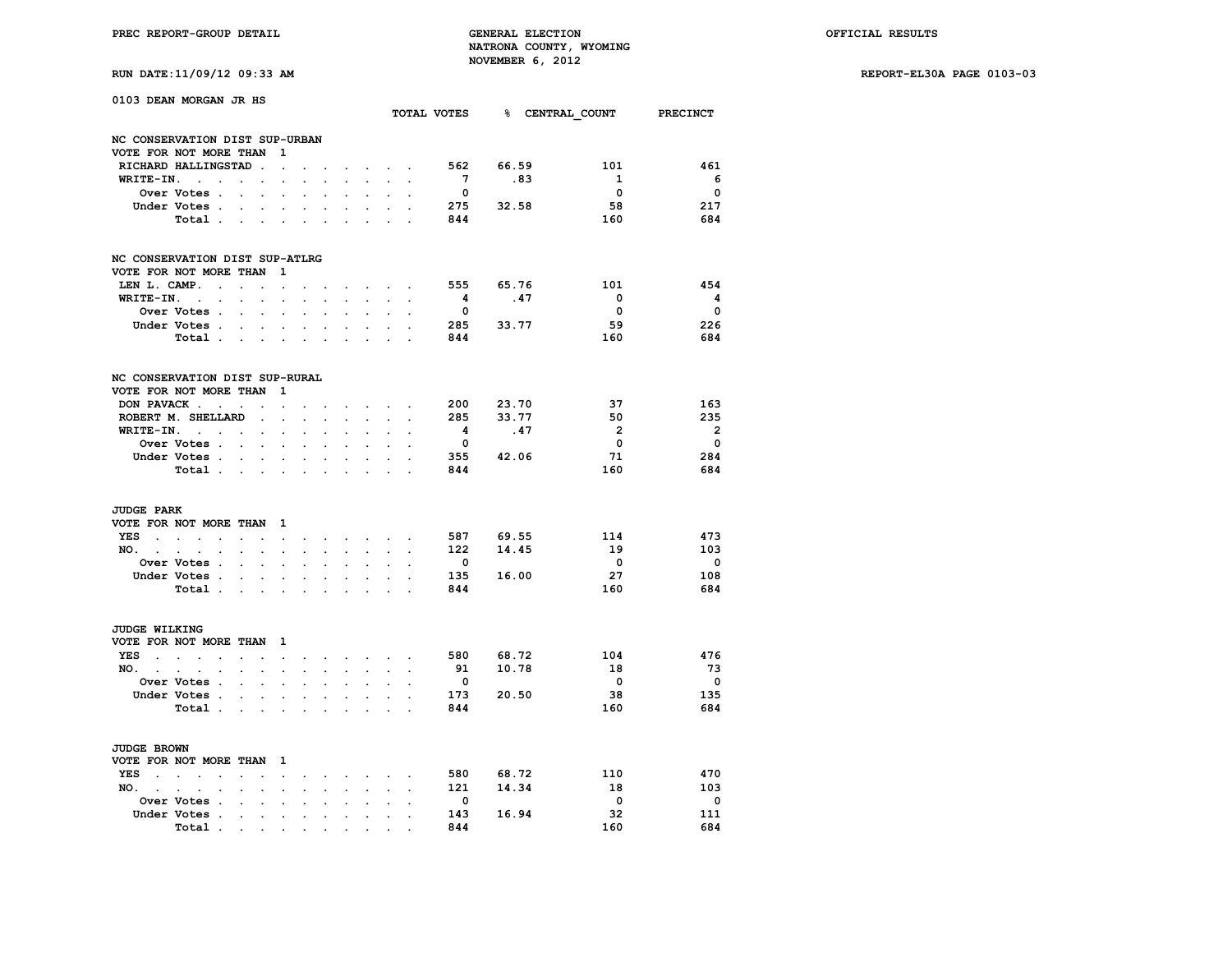**RUN DATE:11/09/12 09:33 AM REPORT-EL30A PAGE 0103-03**

| RUN DATE:11/09/12 09:33 AM |  |  |  |  |
|----------------------------|--|--|--|--|
|----------------------------|--|--|--|--|

|                                          | 0103 DEAN MORGAN JR HS                                    |                            |                                                |                                 |                      |                      |                      |                                                                  |                                                               |                      |                         |           |     | TOTAL VOTES 8 CENTRAL COUNT PRECINCT |                          |
|------------------------------------------|-----------------------------------------------------------|----------------------------|------------------------------------------------|---------------------------------|----------------------|----------------------|----------------------|------------------------------------------------------------------|---------------------------------------------------------------|----------------------|-------------------------|-----------|-----|--------------------------------------|--------------------------|
|                                          | NC CONSERVATION DIST SUP-URBAN                            |                            |                                                |                                 |                      |                      |                      |                                                                  |                                                               |                      |                         |           |     |                                      |                          |
|                                          | VOTE FOR NOT MORE THAN                                    |                            |                                                | 1                               |                      |                      |                      |                                                                  |                                                               |                      |                         |           |     |                                      |                          |
|                                          | RICHARD HALLINGSTAD.                                      |                            |                                                | $\overline{a}$                  |                      |                      | $\sim$               |                                                                  | $\mathcal{L}^{\text{max}}$ , where $\mathcal{L}^{\text{max}}$ |                      | 562                     | 66.59     |     | 101                                  | 461                      |
| WRITE-IN.                                | $\sim$<br>$\ddot{\phantom{0}}$                            | $\sim$                     | $\ddot{\phantom{a}}$                           |                                 |                      | $\overline{a}$       | s.                   |                                                                  | $\sim$                                                        | $\overline{a}$       | $\overline{7}$          |           | .83 | 1                                    | - 6                      |
|                                          | Over Votes .                                              | $\sim$                     | $\sim$                                         |                                 |                      |                      |                      |                                                                  |                                                               |                      | $\Omega$                |           |     | $\Omega$                             | $\Omega$                 |
|                                          | Under Votes                                               |                            | $\sim$                                         | $\ddot{\phantom{0}}$            | $\ddot{\phantom{0}}$ | $\cdot$              | $\ddot{\phantom{0}}$ | $\sim$                                                           | $\ddot{\phantom{0}}$                                          | $\mathbf{r}$         |                         | 275 32.58 |     | 58                                   | 217                      |
|                                          | Total .                                                   |                            |                                                | $\cdot$ $\cdot$ $\cdot$ $\cdot$ | $\sim$               | $\ddot{\phantom{a}}$ | $\mathbf{L}$         |                                                                  | <b>Service</b> State                                          |                      | 844                     |           |     | 160                                  | 684                      |
|                                          | NC CONSERVATION DIST SUP-ATLRG                            |                            |                                                |                                 |                      |                      |                      |                                                                  |                                                               |                      |                         |           |     |                                      |                          |
|                                          | VOTE FOR NOT MORE THAN                                    |                            |                                                | 1                               |                      |                      |                      |                                                                  |                                                               |                      |                         |           |     |                                      |                          |
| LEN L. CAMP.                             | $\sim$                                                    | $\ddot{\phantom{a}}$       | $\bullet$                                      | $\ddot{\phantom{0}}$            |                      |                      |                      | $\sim$                                                           | $\sim$                                                        |                      | 555                     | 65.76     |     | 101                                  | 454                      |
| WRITE-IN.                                | $\sim 10^{-11}$<br>$\mathbf{r}$                           |                            | $\overline{a}$                                 |                                 |                      |                      |                      |                                                                  |                                                               |                      | 4                       | .47       |     | $\overline{\mathbf{0}}$              | $\overline{\mathbf{4}}$  |
|                                          | Over Votes .                                              | $\sim$                     | $\ddot{\phantom{0}}$                           |                                 | $\cdot$              |                      |                      | $\ddot{\phantom{a}}$                                             |                                                               |                      | $\mathbf 0$             |           |     | $\mathbf 0$                          | $\overline{\mathbf{0}}$  |
|                                          | Under Votes.                                              | $\ddot{\phantom{0}}$       | $\sim$                                         | $\bullet$                       | $\ddot{\phantom{0}}$ | $\ddot{\phantom{a}}$ | $\ddot{\phantom{a}}$ | $\sim$                                                           | $\ddot{\phantom{0}}$                                          |                      | 285                     | 33.77     |     | 59                                   | 226                      |
|                                          | Total                                                     |                            |                                                |                                 |                      | $\sim$               | <b>College</b>       |                                                                  | <b>Service</b> State                                          |                      | 844                     |           |     | 160                                  | 684                      |
|                                          | NC CONSERVATION DIST SUP-RURAL                            |                            |                                                |                                 |                      |                      |                      |                                                                  |                                                               |                      |                         |           |     |                                      |                          |
|                                          | VOTE FOR NOT MORE THAN                                    |                            |                                                | 1                               |                      |                      |                      |                                                                  |                                                               |                      |                         |           |     |                                      |                          |
|                                          | DON PAVACK                                                | $\ddot{\phantom{a}}$       | $\sim$                                         | $\ddot{\phantom{0}}$            | $\cdot$              |                      | $\sim$               | $\sim$                                                           | $\sim$                                                        | $\ddot{\phantom{a}}$ | 200                     | 23.70     |     | 37                                   | 163                      |
|                                          | ROBERT M. SHELLARD                                        |                            | $\cdot$                                        |                                 |                      |                      |                      | $\sim$                                                           |                                                               |                      | 285                     | 33.77     |     | 50                                   | 235                      |
|                                          | WRITE-IN.                                                 |                            |                                                |                                 | $\ddot{\phantom{0}}$ |                      |                      |                                                                  |                                                               |                      | 4                       | .47       |     | $\overline{2}$                       | $\overline{2}$           |
|                                          | Over Votes                                                |                            | $\ddot{\phantom{0}}$                           | $\ddot{\phantom{a}}$            | $\ddot{\phantom{a}}$ | $\ddot{\phantom{a}}$ | $\cdot$              | $\ddot{\phantom{a}}$                                             |                                                               |                      | $\overline{\mathbf{0}}$ |           |     | 0                                    | $\overline{\mathbf{0}}$  |
|                                          | Under Votes.                                              | $\mathcal{L}^{\text{max}}$ |                                                |                                 |                      |                      |                      |                                                                  |                                                               |                      |                         | 355 42.06 |     | 71                                   | 284                      |
|                                          | Total .                                                   |                            | $\cdots$ $\cdots$                              |                                 | $\ddot{\phantom{a}}$ |                      |                      |                                                                  |                                                               |                      | 844                     |           |     | 160                                  | 684                      |
| <b>JUDGE PARK</b>                        |                                                           |                            |                                                |                                 |                      |                      |                      |                                                                  |                                                               |                      |                         |           |     |                                      |                          |
|                                          | VOTE FOR NOT MORE THAN                                    |                            |                                                | - 1                             |                      |                      |                      |                                                                  |                                                               |                      |                         |           |     |                                      |                          |
| YES                                      | $\mathbf{r} = \mathbf{r} \cdot \mathbf{r}$                | $\bullet$                  |                                                | $\ddot{\phantom{0}}$            |                      |                      | $\sim$               |                                                                  | <b>Service</b> State                                          |                      | 587 69.55               |           |     | 114                                  | 473                      |
| $NO.$ $.$                                | $\sim$<br>$\ddot{\phantom{a}}$                            |                            | $\ddot{\phantom{0}}$                           | $\ddot{\phantom{0}}$            | $\ddot{\phantom{0}}$ |                      |                      | $\ddot{\phantom{0}}$                                             |                                                               |                      | 122                     | 14.45     |     | 19                                   | 103                      |
|                                          | Over Votes .                                              | $\cdot$                    | $\ddot{\phantom{0}}$                           | $\cdot$                         | $\cdot$              | $\overline{a}$       | $\overline{a}$       | $\ddot{\phantom{a}}$                                             |                                                               |                      | $^{\circ}$              |           |     | $\overline{\mathbf{0}}$              | $\overline{0}$           |
|                                          | Under Votes .                                             |                            |                                                |                                 |                      |                      |                      |                                                                  |                                                               |                      | 135                     | 16.00     |     | 27                                   | 108                      |
|                                          | Total .                                                   |                            | $\mathbf{r}$ and $\mathbf{r}$ and $\mathbf{r}$ |                                 | $\cdot$              | $\ddot{\phantom{a}}$ | $\mathbf{r}$         | $\sim$                                                           | $\mathbf{r}$                                                  |                      | 844                     |           |     | 160                                  | 684                      |
| <b>JUDGE WILKING</b>                     |                                                           |                            |                                                |                                 |                      |                      |                      |                                                                  |                                                               |                      |                         |           |     |                                      |                          |
|                                          | VOTE FOR NOT MORE THAN                                    |                            |                                                | $\mathbf{1}$                    |                      |                      |                      |                                                                  |                                                               |                      |                         |           |     |                                      |                          |
| YES<br><b>Contract Contract Contract</b> | $\sim$<br>$\ddot{\phantom{a}}$                            | $\sim$                     | $\ddot{\phantom{a}}$                           | $\bullet$                       | $\ddot{\phantom{0}}$ | $\sim$               |                      | $\mathbf{r} = \mathbf{r} + \mathbf{r} + \mathbf{r} + \mathbf{r}$ |                                                               |                      | 580                     | 68.72     |     | 104                                  | 476                      |
| NO. .                                    | $\ddot{\phantom{0}}$<br>$\sim$<br>$\cdot$                 | $\ddot{\phantom{a}}$       | $\bullet$                                      | $\ddot{\phantom{0}}$            | $\ddot{\phantom{0}}$ | $\ddot{\phantom{a}}$ | $\mathbf{r}$         | $\mathbf{L}^{\text{max}}$                                        | $\sim$                                                        | $\overline{a}$       | 91                      | 10.78     |     | 18                                   | 73                       |
|                                          | Over Votes .                                              |                            |                                                |                                 |                      |                      |                      |                                                                  |                                                               |                      | $\overline{\mathbf{0}}$ |           |     | $\overline{\phantom{0}}$             | $\overline{\mathbf{0}}$  |
|                                          | Under Votes.                                              |                            | $\sim$ $\sim$                                  | $\ddot{\phantom{0}}$            | $\ddot{\phantom{0}}$ | $\ddot{\phantom{0}}$ | $\ddot{\phantom{0}}$ | $\sim$                                                           | $\ddot{\phantom{a}}$                                          |                      | 173                     | 20.50     |     | 38                                   | 135                      |
|                                          | Total .                                                   | $\mathcal{L}^{\text{max}}$ | $\sim$                                         | $\bullet$                       |                      |                      | $\cdot$              |                                                                  | $\cdot$                                                       |                      | 844                     |           |     | 160                                  | 684                      |
|                                          |                                                           |                            |                                                |                                 |                      |                      |                      |                                                                  |                                                               |                      |                         |           |     |                                      |                          |
| JUDGE BROWN                              |                                                           |                            |                                                |                                 |                      |                      |                      |                                                                  |                                                               |                      |                         |           |     |                                      |                          |
|                                          | VOTE FOR NOT MORE THAN 1                                  |                            |                                                |                                 |                      |                      |                      |                                                                  |                                                               |                      |                         |           |     |                                      |                          |
| YES<br><b>Contract Contract</b>          | $\sim$<br>$\ddot{\phantom{a}}$                            | $\overline{a}$             | $\cdot$                                        | $\sim$                          | $\ddot{\phantom{0}}$ | $\ddot{\phantom{0}}$ |                      | and a state of                                                   |                                                               | $\ddot{\phantom{a}}$ | 580                     | 68.72     |     | 110                                  | 470                      |
| NO.                                      | $\sim$ $\sim$ $\sim$<br>$\ddot{\phantom{a}}$<br>$\bullet$ | $\cdot$                    | $\blacksquare$                                 | $\bullet$                       | $\ddot{\phantom{0}}$ | $\ddot{\phantom{0}}$ | $\ddot{\phantom{a}}$ | $\ddot{\phantom{0}}$                                             | $\blacksquare$                                                | $\ddot{\phantom{a}}$ |                         | 121 14.34 |     | 18                                   | 103                      |
|                                          | Over Votes .                                              | $\overline{a}$             | $\overline{a}$                                 |                                 |                      |                      |                      | $\ddot{\phantom{a}}$                                             | $\ddot{\phantom{a}}$                                          |                      | $\overline{\mathbf{0}}$ |           |     | $\overline{\phantom{0}}$             | $\overline{\phantom{0}}$ |
|                                          | Under Votes .                                             |                            | $\ddot{\phantom{a}}$                           | $\ddot{\phantom{a}}$            | $\ddot{\phantom{a}}$ |                      | $\cdot$              | $\cdot$                                                          |                                                               |                      | 143                     | 16.94     |     | 32                                   | 111                      |
|                                          | Total                                                     |                            | the contract of the contract of                |                                 |                      | $\cdot$ .            |                      | $\bullet$ .<br><br>.<br><br><br><br><br>                         |                                                               |                      | 844                     |           |     | 160                                  | 684                      |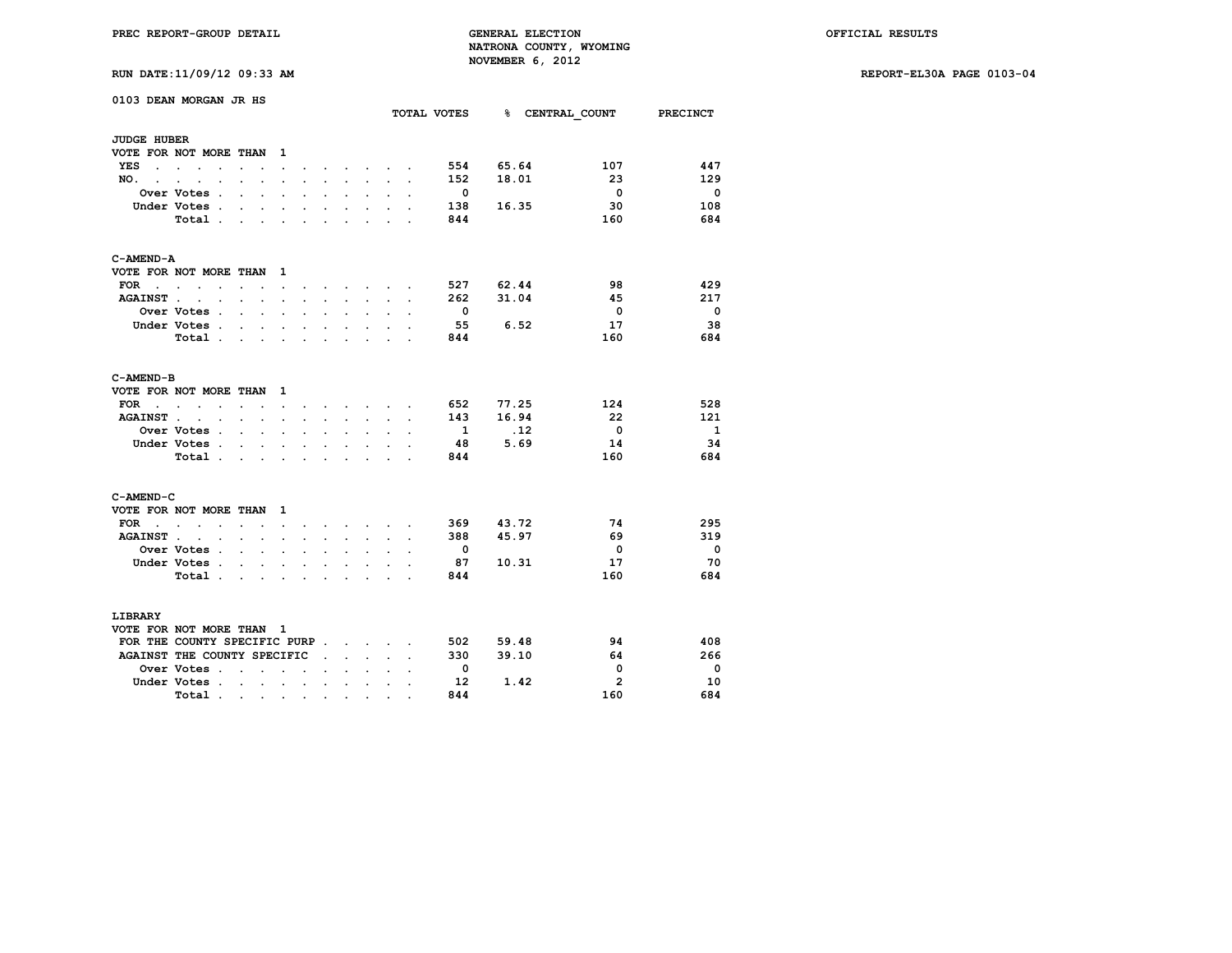**RUN DATE:11/09/12 09:33 AM REPORT-EL30A PAGE 0103-04**

| RUN DATE:11/09/12 09:33 AM |  |  |  |  |  |
|----------------------------|--|--|--|--|--|
|----------------------------|--|--|--|--|--|

|                                    | 0103 DEAN MORGAN JR HS                          |                                                                                          |                      |                      |                           |                      |                      |                                          |                                     |                      |                          | TOTAL VOTES 8 CENTRAL COUNT PRECINCT |                         |                          |
|------------------------------------|-------------------------------------------------|------------------------------------------------------------------------------------------|----------------------|----------------------|---------------------------|----------------------|----------------------|------------------------------------------|-------------------------------------|----------------------|--------------------------|--------------------------------------|-------------------------|--------------------------|
|                                    |                                                 |                                                                                          |                      |                      |                           |                      |                      |                                          |                                     |                      |                          |                                      |                         |                          |
| <b>JUDGE HUBER</b>                 |                                                 |                                                                                          |                      |                      |                           |                      |                      |                                          |                                     |                      |                          |                                      |                         |                          |
|                                    | VOTE FOR NOT MORE THAN                          |                                                                                          |                      | $\mathbf{1}$         |                           |                      |                      |                                          |                                     |                      |                          |                                      |                         |                          |
| YES                                | $\ddot{\phantom{0}}$                            |                                                                                          |                      | $\ddot{\phantom{0}}$ |                           |                      |                      |                                          | the company of the company          |                      | 554                      | 65.64                                | 107                     | 447                      |
| NO.<br>$\sim$                      | $\ddot{\phantom{a}}$<br>$\sim$<br>$\cdot$       | $\ddot{\phantom{0}}$                                                                     | $\ddot{\phantom{0}}$ | $\bullet$            | $\overline{a}$            | $\ddot{\phantom{0}}$ | $\ddot{\phantom{0}}$ | $\sim$                                   | $\sim$                              | $\cdot$              | 152                      | 18.01                                | 23                      | 129                      |
|                                    | Over Votes .                                    |                                                                                          | $\ddot{\phantom{a}}$ |                      |                           |                      |                      | $\ddot{\phantom{0}}$                     |                                     |                      | $\overline{\phantom{0}}$ |                                      | $\overline{\mathbf{0}}$ | - 0                      |
|                                    | Under Votes.                                    | $\overline{a}$                                                                           | $\mathbf{r}$         | $\ddot{\phantom{a}}$ |                           | $\overline{a}$       | $\overline{a}$       | $\cdot$                                  |                                     |                      | 138                      | 16.35                                | 30                      | 108                      |
|                                    | Total                                           |                                                                                          | $\sim$               | $\ddot{\phantom{0}}$ | $\ddot{\phantom{0}}$      | $\ddot{\phantom{0}}$ | $\bullet$            | $\ddot{\phantom{0}}$                     |                                     |                      | 844                      |                                      | 160                     | 684                      |
| C-AMEND-A                          |                                                 |                                                                                          |                      |                      |                           |                      |                      |                                          |                                     |                      |                          |                                      |                         |                          |
|                                    | VOTE FOR NOT MORE THAN                          |                                                                                          |                      | - 1                  |                           |                      |                      |                                          |                                     |                      |                          |                                      |                         |                          |
| <b>FOR</b><br>$\ddot{\phantom{1}}$ | $\cdot$ $\cdot$<br>$\sim$                       | $\sim$                                                                                   | $\ddot{\phantom{0}}$ | $\ddot{\phantom{0}}$ |                           |                      |                      |                                          | $\sim$ $\sim$ $\sim$ $\sim$ $\sim$  |                      | 527                      | 62.44                                | 98                      | 429                      |
| AGAINST                            | $\sim$                                          | <b>Contract Contract</b>                                                                 |                      | $\ddot{\phantom{0}}$ | $\ddot{\phantom{a}}$      | $\sim$               |                      | $\mathbf{z} = \mathbf{z} + \mathbf{z}$ . |                                     | $\cdot$              | 262                      | 31.04                                | 45                      | 217                      |
|                                    | <b>Over Votes .</b>                             | $\sim$                                                                                   | $\mathbf{r}$         | $\ddot{\phantom{a}}$ | ÷                         |                      |                      | $\mathbf{r}$                             |                                     |                      | $\overline{\phantom{0}}$ |                                      | $\overline{\mathbf{0}}$ | - 0                      |
|                                    | Under Votes .                                   | <b>Contract Contract</b>                                                                 | $\sim$               | $\bullet$            | $\ddot{\phantom{0}}$      | $\ddot{\phantom{a}}$ | $\ddot{\phantom{a}}$ | $\ddot{\phantom{0}}$                     | $\ddot{\phantom{0}}$                |                      | - 55                     | 6.52                                 | 17                      | - 38                     |
|                                    | Total.                                          | $\sim$                                                                                   | $\cdot$              |                      |                           | $\ddot{\phantom{a}}$ |                      | $\ddot{\phantom{a}}$                     | $\cdot$                             |                      | 844                      |                                      | 160                     | 684                      |
| C-AMEND-B                          |                                                 |                                                                                          |                      |                      |                           |                      |                      |                                          |                                     |                      |                          |                                      |                         |                          |
|                                    | VOTE FOR NOT MORE THAN                          |                                                                                          |                      | $\mathbf{1}$         |                           |                      |                      |                                          |                                     |                      |                          |                                      |                         |                          |
| FOR<br>$\sim$                      | $\ddot{\phantom{0}}$<br>$\cdot$                 | $\cdot$ $\cdot$                                                                          |                      | $\sim$ $\sim$        | $\sim$                    |                      |                      |                                          | the contract of the contract of the | $\sim$               | 652                      | 77.25                                | 124                     | 528                      |
| <b>AGAINST.</b>                    | $\overline{a}$                                  |                                                                                          |                      | $\ddot{\phantom{0}}$ | $\ddot{\phantom{0}}$      |                      |                      | $\sim$                                   |                                     |                      | 143                      | 16.94                                | - 22                    | 121                      |
|                                    | Over Votes .                                    | $\ddot{\phantom{0}}$                                                                     | $\ddot{\phantom{0}}$ | $\ddot{\phantom{0}}$ | $\ddot{\phantom{0}}$      | $\ddot{\phantom{0}}$ | $\ddot{\phantom{0}}$ | $\bullet$                                | $\ddot{\phantom{0}}$                | $\ddot{\phantom{0}}$ | $\mathbf{1}$             | .12                                  | $\overline{\mathbf{0}}$ | - 1                      |
|                                    | Under Votes.                                    | $\sim$                                                                                   | $\sim$ $\sim$        | $\sim$               | $\cdot$                   | $\ddot{\phantom{a}}$ |                      | $\ddot{\phantom{0}}$                     |                                     |                      | 48                       | 5.69                                 | 14                      | -34                      |
|                                    | Total.                                          | $\mathbf{L}$                                                                             | $\mathbf{L}$         | $\sim$               | $\sim$                    | $\ddot{\phantom{0}}$ | ÷.                   | s.                                       |                                     |                      | 844                      |                                      | 160                     | 684                      |
| C-AMEND-C                          |                                                 |                                                                                          |                      |                      |                           |                      |                      |                                          |                                     |                      |                          |                                      |                         |                          |
|                                    | VOTE FOR NOT MORE THAN                          |                                                                                          |                      | $\mathbf{1}$         |                           |                      |                      |                                          |                                     |                      |                          |                                      |                         |                          |
| FOR                                | the company of the com-<br>$\ddot{\phantom{a}}$ | $\ddot{\phantom{0}}$                                                                     | $\ddot{\phantom{a}}$ | $\ddot{\phantom{0}}$ |                           |                      |                      |                                          | and the state of the state of the   |                      | 369                      | 43.72                                | 74                      | 295                      |
| <b>AGAINST.</b>                    | $\sim$<br>$\ddot{\phantom{0}}$                  | $\ddot{\phantom{0}}$                                                                     | $\ddot{\phantom{a}}$ | $\ddot{\phantom{a}}$ |                           |                      | $\ddot{\phantom{0}}$ | $\sim$                                   | $\ddot{\phantom{a}}$                | $\cdot$              | 388                      | 45.97                                | 69                      | 319                      |
|                                    | Over Votes .                                    | <b>Contract Contract Contract</b>                                                        |                      | $\ddot{\phantom{a}}$ | $\ddot{\phantom{0}}$      | $\ddot{\phantom{0}}$ |                      | $\bullet$                                |                                     |                      | $^{\circ}$               |                                      | $\overline{\mathbf{0}}$ | $\overline{\phantom{0}}$ |
|                                    | Under Votes .                                   | $\mathbf{r}$                                                                             | $\sim$               | $\ddot{\phantom{a}}$ |                           |                      |                      |                                          |                                     |                      | 87                       | 10.31                                | 17                      | -70                      |
|                                    | Total.                                          | $\mathbf{r}$ , $\mathbf{r}$ , $\mathbf{r}$                                               |                      | $\sim$               | $\sim$                    | $\sim$               | $\ddot{\phantom{0}}$ | $\bullet$ .<br><br><br><br><br><br><br>  | $\ddot{\phantom{0}}$                | $\ddot{\phantom{a}}$ | 844                      |                                      | 160                     | 684                      |
| LIBRARY                            |                                                 |                                                                                          |                      |                      |                           |                      |                      |                                          |                                     |                      |                          |                                      |                         |                          |
|                                    | VOTE FOR NOT MORE THAN 1                        |                                                                                          |                      |                      |                           |                      |                      |                                          |                                     |                      |                          |                                      |                         |                          |
|                                    | FOR THE COUNTY SPECIFIC PURP                    |                                                                                          |                      |                      |                           |                      |                      |                                          |                                     |                      | 502                      | 59.48                                | 94                      | 408                      |
|                                    | AGAINST THE COUNTY SPECIFIC                     |                                                                                          |                      |                      |                           | $\cdot$              |                      | $\cdot$ $\cdot$ $\cdot$                  |                                     |                      | 330                      | 39.10                                | 64                      | 266                      |
|                                    | Over Votes .                                    | $\ddot{\phantom{a}}$                                                                     | $\ddot{\phantom{a}}$ | $\sim$               | $\ddot{\phantom{a}}$      |                      |                      |                                          |                                     |                      | $\overline{\mathbf{0}}$  |                                      | 0                       | $\overline{\phantom{0}}$ |
|                                    | Under Votes .                                   | <b>Contract Contract Contract</b>                                                        |                      | $\sim$               | $\ddot{\phantom{a}}$      | $\ddot{\phantom{a}}$ | $\ddot{\phantom{a}}$ | $\ddot{\phantom{0}}$                     |                                     | $\ddot{\phantom{0}}$ | 12                       | 1.42                                 | $\overline{2}$          | 10                       |
|                                    | Total.                                          | $\mathcal{L}(\mathcal{A})$ and $\mathcal{A}(\mathcal{A})$ and $\mathcal{A}(\mathcal{A})$ |                      |                      | $\mathcal{A}=\{0,1,2,3\}$ |                      | $\bullet$            | $\bullet$                                |                                     |                      | 844                      |                                      | 160                     | 684                      |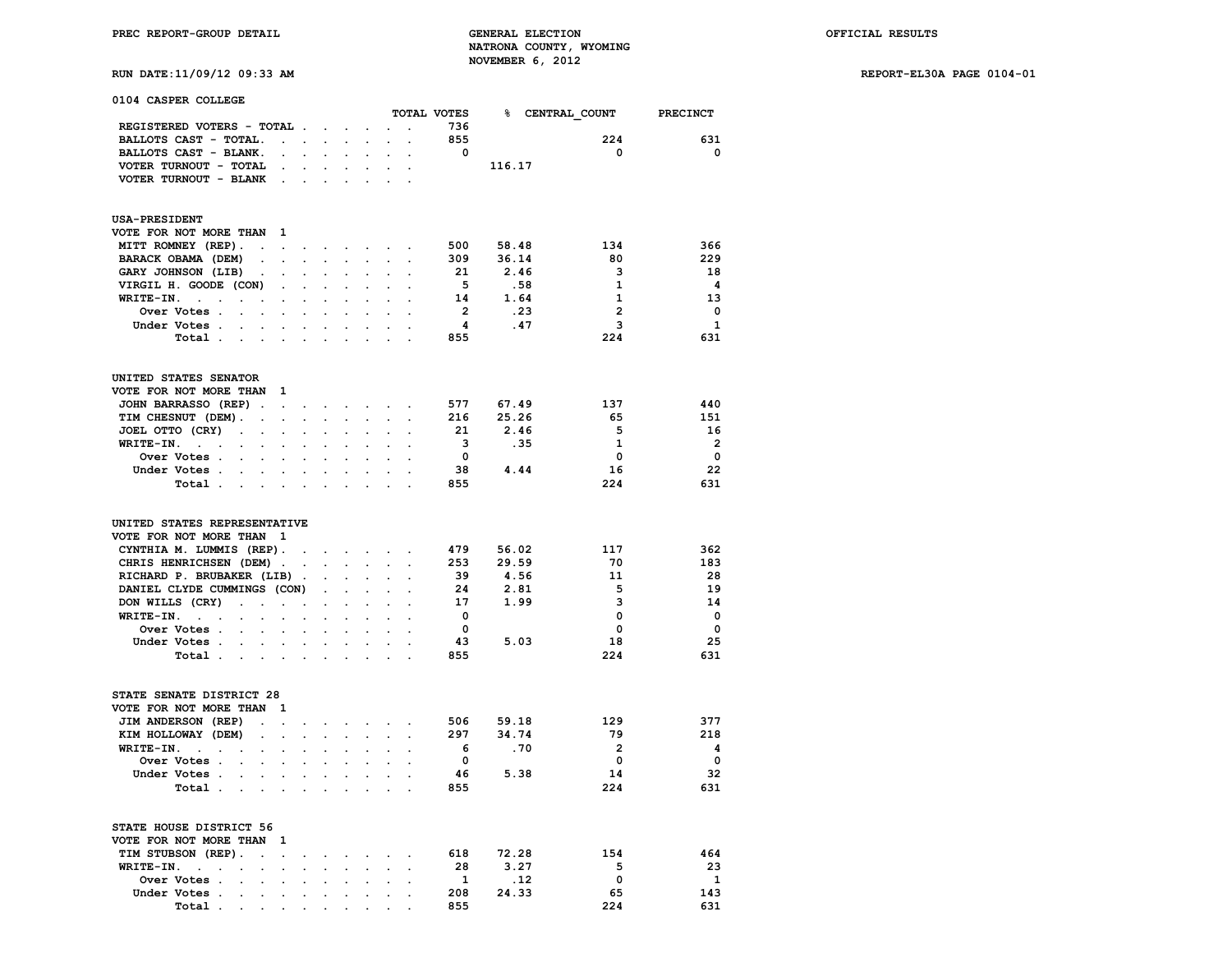**RUN DATE:11/09/12 09:33 AM REPORT-EL30A PAGE 0104-01**

|  |  | 0104 CASPER COLLEGE |
|--|--|---------------------|
|--|--|---------------------|

|                                                                                                      |                      |                      |                           |                              |                      |                                                 | TOTAL VOTES              | % CENTRAL_COUNT |                         | <b>PRECINCT</b>         |
|------------------------------------------------------------------------------------------------------|----------------------|----------------------|---------------------------|------------------------------|----------------------|-------------------------------------------------|--------------------------|-----------------|-------------------------|-------------------------|
| REGISTERED VOTERS - TOTAL .                                                                          |                      |                      | $\mathbf{L}^{\text{max}}$ | $\sim$                       |                      |                                                 | 736                      |                 |                         |                         |
| BALLOTS CAST - TOTAL.                                                                                | $\sim$               | $\ddot{\phantom{0}}$ | $\ddot{\phantom{a}}$      | $\ddot{\phantom{0}}$         |                      |                                                 | 855                      |                 | 224                     | 631                     |
| BALLOTS CAST - BLANK.<br>$\ddot{\phantom{a}}$                                                        |                      |                      | $\cdot$                   |                              |                      |                                                 | $\overline{\mathbf{0}}$  |                 | $\Omega$                | $\mathbf 0$             |
| VOTER TURNOUT - TOTAL<br>$\ddot{\phantom{a}}$                                                        |                      |                      |                           |                              |                      |                                                 |                          | 116.17          |                         |                         |
| VOTER TURNOUT - BLANK.                                                                               | $\sim$               | $\ddot{\phantom{a}}$ |                           | $\ddot{\phantom{0}}$         |                      | $\overline{a}$                                  |                          |                 |                         |                         |
|                                                                                                      |                      |                      |                           |                              |                      |                                                 |                          |                 |                         |                         |
| <b>USA-PRESIDENT</b>                                                                                 |                      |                      |                           |                              |                      |                                                 |                          |                 |                         |                         |
| VOTE FOR NOT MORE THAN<br>$\mathbf{1}$                                                               |                      |                      |                           |                              |                      |                                                 |                          |                 |                         |                         |
| MITT ROMNEY (REP).<br>$\ddot{\phantom{a}}$                                                           |                      |                      |                           |                              |                      | the contract of the contract of the contract of | 500                      | 58.48           | 134                     | 366                     |
| BARACK OBAMA (DEM)<br>$\cdot$                                                                        | $\ddot{\phantom{a}}$ | $\ddot{\phantom{0}}$ | $\ddot{\phantom{a}}$      | $\blacksquare$               | $\ddot{\phantom{a}}$ | $\ddot{\phantom{a}}$                            | 309                      | 36.14           | 80                      | 229                     |
| GARY JOHNSON (LIB)                                                                                   |                      |                      | $\ddot{\phantom{a}}$      | $\ddot{\phantom{0}}$         |                      |                                                 | -21                      | 2.46            | 3                       | 18                      |
| VIRGIL H. GOODE (CON)                                                                                |                      |                      |                           |                              |                      |                                                 | $-5$                     | .58             | $\mathbf{1}$            | $\overline{\mathbf{4}}$ |
| WRITE-IN.<br>$\sim$ $\sim$                                                                           |                      |                      |                           | $\ddot{\phantom{0}}$         |                      | $\cdot$                                         | 14                       | 1.64            | $\mathbf{1}$            | 13                      |
| Over Votes .<br>$\sim$                                                                               | $\overline{a}$       | $\overline{a}$       |                           |                              | $\overline{a}$       | $\cdot$                                         | $\overline{\phantom{a}}$ | .23             | $\overline{2}$          | $\mathbf 0$             |
| Under Votes.<br>$\ddot{\phantom{a}}$<br>$\mathbf{r}$<br>$\cdot$                                      | $\cdot$              | $\cdot$              | $\ddot{\phantom{a}}$      | $\ddot{\phantom{a}}$         | $\ddot{\phantom{a}}$ | $\ddot{\phantom{a}}$                            | $\overline{\mathbf{4}}$  | .47             | 3                       | 1                       |
| Total<br>$\sim$                                                                                      | $\overline{a}$       | $\sim$               |                           |                              |                      |                                                 | 855                      |                 | 224                     | 631                     |
|                                                                                                      |                      |                      |                           |                              |                      |                                                 |                          |                 |                         |                         |
| UNITED STATES SENATOR                                                                                |                      |                      |                           |                              |                      |                                                 |                          |                 |                         |                         |
| VOTE FOR NOT MORE THAN 1                                                                             |                      |                      |                           |                              |                      |                                                 |                          |                 | 137                     | 440                     |
| JOHN BARRASSO (REP).<br>$\bullet$                                                                    |                      |                      | $\ddot{\phantom{0}}$      | $\sim$                       |                      |                                                 | 577                      | 67.49           |                         |                         |
| TIM CHESNUT (DEM).<br>$\ddot{\phantom{a}}$                                                           |                      | $\sim$               | $\ddot{\phantom{0}}$      | $\ddot{\phantom{0}}$         |                      | $\ddot{\phantom{a}}$                            | 216                      | 25.26           | 65                      | 151                     |
| JOEL OTTO (CRY)<br>$\sim$<br>$\ddot{\phantom{0}}$<br>$\ddot{\phantom{a}}$                            | $\ddot{\phantom{a}}$ | $\ddot{\phantom{0}}$ | $\ddot{\phantom{0}}$      | $\ddot{\phantom{0}}$         |                      |                                                 | 21                       | 2.46            | -5                      | 16                      |
| WRITE-IN.<br><b>Contract</b><br>$\ddot{\phantom{a}}$<br>$\ddot{\phantom{a}}$<br>$\ddot{\phantom{0}}$ | $\ddot{\phantom{a}}$ | $\ddot{\phantom{a}}$ | $\ddot{\phantom{0}}$      | $\ddot{\phantom{0}}$         | $\ddot{\phantom{0}}$ | $\ddot{\phantom{a}}$                            | $\overline{\mathbf{3}}$  | .35             | 1                       | $\overline{2}$          |
| Over Votes .<br>$\bullet$                                                                            |                      |                      |                           |                              |                      |                                                 | $\overline{\mathbf{0}}$  |                 | $\mathbf 0$             | $\overline{\mathbf{0}}$ |
| Under Votes .<br>$\sim$<br>$\ddot{\phantom{a}}$                                                      |                      | $\cdot$              | $\ddot{\phantom{a}}$      | $\ddot{\phantom{a}}$         | $\ddot{\phantom{a}}$ | $\ddot{\phantom{a}}$                            | 38                       | 4.44            | 16                      | 22                      |
| Total<br>$\ddot{\phantom{a}}$<br>$\cdot$                                                             | $\cdot$              | $\cdot$              | $\cdot$                   | $\cdot$                      |                      |                                                 | 855                      |                 | 224                     | 631                     |
| UNITED STATES REPRESENTATIVE<br>VOTE FOR NOT MORE THAN 1<br>CYNTHIA M. LUMMIS (REP).                 |                      |                      |                           | <b>All Contract Contract</b> |                      |                                                 | 479                      | 56.02           | 117                     | 362                     |
| CHRIS HENRICHSEN (DEM).                                                                              | $\ddot{\phantom{a}}$ | $\ddot{\phantom{a}}$ | $\ddot{\phantom{a}}$      | $\ddot{\phantom{0}}$         |                      | $\ddot{\phantom{0}}$<br>$\ddot{\phantom{a}}$    | 253                      | 29.59           | 70                      | 183                     |
| RICHARD P. BRUBAKER (LIB).                                                                           |                      |                      |                           |                              |                      |                                                 | 39                       | 4.56            | 11                      | 28                      |
| DANIEL CLYDE CUMMINGS (CON)                                                                          |                      | $\ddot{\phantom{0}}$ | $\ddot{\phantom{0}}$      | $\ddot{\phantom{0}}$         | $\cdot$              | $\cdot$                                         | 24                       | 2.81            | 5                       | 19                      |
| DON WILLS (CRY)<br>$\sim$<br>$\overline{a}$<br>$\ddot{\phantom{a}}$                                  | $\ddot{\phantom{a}}$ |                      | $\ddot{\phantom{0}}$      | $\ddot{\phantom{0}}$         | $\ddot{\phantom{a}}$ | $\overline{a}$                                  | 17                       | 1.99            | 3                       | 14                      |
| WRITE-IN.<br>$\sim$ $\sim$ $\sim$<br>$\cdot$<br>$\cdot$                                              | $\ddot{\phantom{a}}$ | $\ddot{\phantom{0}}$ | $\ddot{\phantom{a}}$      | $\ddot{\phantom{a}}$         | $\ddot{\phantom{a}}$ | $\overline{a}$                                  | $\overline{\mathbf{0}}$  |                 | $\mathbf{0}$            | $\overline{\mathbf{0}}$ |
| $\bullet$<br><b>Over Votes .</b><br>$\sim$                                                           |                      | $\ddot{\phantom{a}}$ |                           |                              |                      |                                                 | $\overline{\mathbf{0}}$  |                 | $\mathbf 0$             | $\mathbf 0$             |
|                                                                                                      |                      |                      |                           |                              |                      |                                                 | 43                       |                 | 18                      | 25                      |
| Under Votes.<br>$\ddot{\phantom{a}}$                                                                 |                      | $\cdot$              | $\overline{a}$            | $\cdot$                      | $\ddot{\phantom{a}}$ |                                                 |                          | 5.03            |                         |                         |
| Total .<br>$\sim$ $\sim$<br>$\sim$<br>$\overline{a}$                                                 |                      | $\overline{a}$       |                           | $\ddot{\phantom{a}}$         |                      |                                                 | 855                      |                 | 224                     | 631                     |
| STATE SENATE DISTRICT 28<br>VOTE FOR NOT MORE THAN<br>-1                                             |                      |                      |                           |                              |                      |                                                 |                          |                 |                         |                         |
| JIM ANDERSON (REP)<br>$\ddot{\phantom{0}}$<br>$\ddot{\phantom{0}}$                                   |                      | $\bullet$ .          | $\cdot$                   | $\ddot{\phantom{0}}$         |                      |                                                 |                          | 506 59.18       | 129                     | 377                     |
| KIM HOLLOWAY (DEM)<br>$\Box$<br>$\overline{a}$                                                       | $\mathbf{r}$         | $\ddot{\phantom{0}}$ | $\overline{a}$            | $\ddot{\phantom{0}}$         | $\ddot{\phantom{0}}$ | $\blacksquare$                                  | 297                      | 34.74           | 79                      | 218                     |
| WRITE-IN.<br>$\sim$ $\sim$<br>$\sim$                                                                 |                      |                      |                           |                              |                      |                                                 | 6                        | .70             | $\overline{\mathbf{2}}$ | $\overline{\mathbf{4}}$ |
| Over Votes .<br>$\cdot$                                                                              |                      |                      |                           |                              |                      | $\ddot{\phantom{a}}$                            | $\mathbf{0}$             |                 | $\mathbf{0}$            | $\mathbf 0$             |
| Under Votes .<br>$\ddot{\phantom{a}}$<br>$\ddot{\phantom{0}}$                                        | $\ddot{\phantom{a}}$ | $\sim$               | $\ddot{\phantom{0}}$      | $\ddot{\phantom{0}}$         | $\ddot{\phantom{a}}$ | $\ddot{\phantom{a}}$                            | 46                       | 5.38            | 14                      | 32                      |
| Total.<br>$\sim$<br>$\mathbf{r}$<br>$\sim$                                                           |                      |                      |                           |                              |                      |                                                 | 855                      |                 | 224                     | 631                     |
| STATE HOUSE DISTRICT 56                                                                              |                      |                      |                           |                              |                      |                                                 |                          |                 |                         |                         |
| VOTE FOR NOT MORE THAN 1                                                                             |                      |                      |                           |                              |                      |                                                 |                          |                 |                         |                         |
| TIM STUBSON (REP).<br>$\ddot{\phantom{0}}$<br>$\ddot{\phantom{a}}$                                   | $\ddot{\phantom{0}}$ | $\ddot{\phantom{0}}$ | $\bullet$                 | $\sim$ $\sim$                | $\ddot{\phantom{0}}$ | $\ddot{\phantom{0}}$                            | 618                      | 72.28           | 154                     | 464                     |
| WRITE-IN.<br>$\sim 10^{-11}$<br>$\ddot{\phantom{a}}$<br>$\ddot{\phantom{0}}$                         |                      |                      |                           |                              |                      |                                                 | -28                      | 3.27            | 5                       | 23                      |
| Over Votes .<br>$\ddot{\phantom{a}}$<br>$\ddot{\phantom{a}}$                                         |                      |                      |                           |                              |                      |                                                 | 1                        | .12             | $\mathbf 0$             | 1                       |
| Under Votes .<br>$\ddot{\phantom{a}}$<br>$\cdot$<br>$\cdot$                                          | $\ddot{\phantom{a}}$ | $\ddot{\phantom{0}}$ | $\ddot{\phantom{a}}$      | $\ddot{\phantom{0}}$         | $\ddot{\phantom{0}}$ | $\ddot{\phantom{a}}$                            | 208                      | 24.33           | 65                      | 143                     |
| Total<br>$\mathbf{r}$ , and $\mathbf{r}$ , and $\mathbf{r}$                                          |                      |                      | <b>Contract Contract</b>  |                              | $\cdot$ $\cdot$      |                                                 | 855                      |                 | 224                     | 631                     |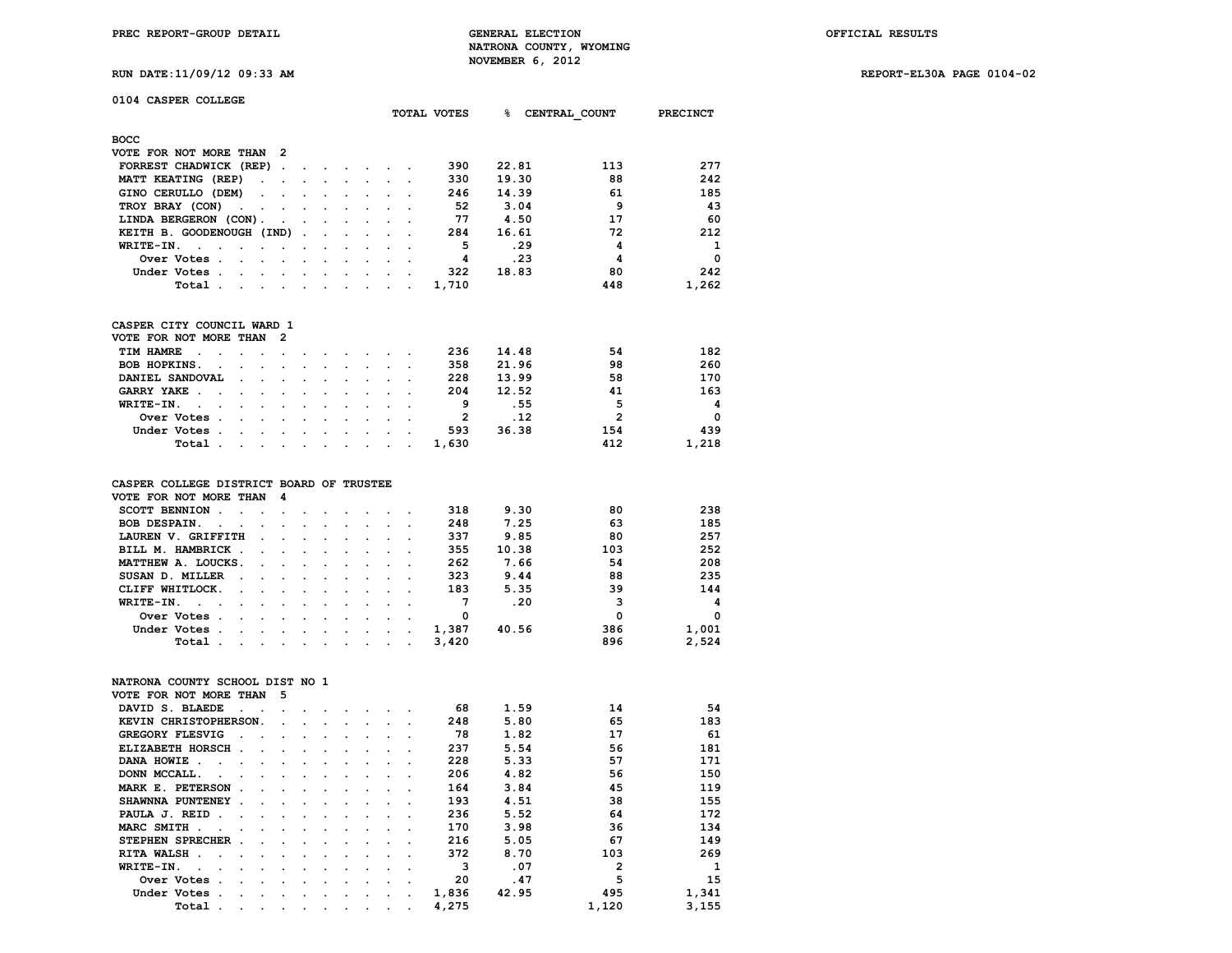**RUN DATE:11/09/12 09:33 AM REPORT-EL30A PAGE 0104-02**

| 0104 CASPER COLLEGE                                                      |                                              |                      |                      |                      |                      |                      |                |       |      |                |                 |
|--------------------------------------------------------------------------|----------------------------------------------|----------------------|----------------------|----------------------|----------------------|----------------------|----------------|-------|------|----------------|-----------------|
|                                                                          |                                              |                      |                      |                      |                      |                      | TOTAL VOTES    | ℁     |      | CENTRAL COUNT  | <b>PRECINCT</b> |
|                                                                          |                                              |                      |                      |                      |                      |                      |                |       |      |                |                 |
| <b>BOCC</b><br>VOTE FOR NOT MORE THAN                                    | $\overline{2}$                               |                      |                      |                      |                      |                      |                |       |      |                |                 |
| FORREST CHADWICK (REP)                                                   | $\ddot{\phantom{a}}$                         |                      |                      |                      |                      |                      | 390            | 22.81 |      | 113            | 277             |
|                                                                          |                                              |                      |                      |                      |                      |                      | 330            |       |      | 88             | 242             |
| MATT KEATING (REP)                                                       |                                              |                      | $\ddot{\phantom{a}}$ |                      |                      |                      |                | 19.30 |      | 61             |                 |
| GINO CERULLO (DEM)                                                       | $\ddot{\phantom{0}}$<br>$\overline{a}$       | $\overline{a}$       | $\ddot{\phantom{a}}$ | $\overline{a}$       | $\ddot{\phantom{a}}$ |                      | 246            | 14.39 |      | 9              | 185             |
| TROY BRAY (CON)                                                          |                                              |                      |                      |                      |                      |                      | 52             |       | 3.04 |                | 43              |
| LINDA BERGERON (CON).                                                    | $\cdot$                                      | $\ddot{\phantom{a}}$ |                      | $\ddot{\phantom{a}}$ | $\ddot{\phantom{a}}$ |                      | 77             |       | 4.50 | 17             | 60              |
| KEITH B. GOODENOUGH (IND)                                                |                                              | $\overline{a}$       |                      |                      |                      |                      | 284            | 16.61 |      | 72             | 212             |
| WRITE-IN.<br>$\overline{a}$<br>$\overline{a}$                            |                                              |                      |                      |                      |                      |                      | 5              |       | .29  | 4              | 1               |
| Over Votes .                                                             |                                              |                      |                      |                      |                      |                      | 4              |       | .23  | 4              | $\Omega$        |
| Under Votes .                                                            |                                              |                      |                      |                      |                      |                      | 322            | 18.83 |      | 80             | 242             |
| Total .<br>$\ddot{\phantom{a}}$                                          | $\ddot{\phantom{a}}$<br>$\ddot{\phantom{a}}$ | $\ddot{\phantom{a}}$ | $\cdot$              | $\ddot{\phantom{a}}$ | $\ddot{\phantom{a}}$ |                      | 1,710          |       |      | 448            | 1,262           |
| CASPER CITY COUNCIL WARD 1                                               |                                              |                      |                      |                      |                      |                      |                |       |      |                |                 |
| VOTE FOR NOT MORE THAN                                                   | 2                                            |                      |                      |                      |                      |                      |                |       |      |                |                 |
| TIM HAMRE                                                                | $\ddot{\phantom{a}}$                         |                      |                      |                      |                      |                      | 236            | 14.48 |      | 54             | 182             |
| BOB HOPKINS.                                                             |                                              |                      |                      |                      |                      |                      | 358            | 21.96 |      | 98             | 260             |
| DANIEL SANDOVAL                                                          | $\ddot{\phantom{0}}$<br>$\ddot{\phantom{0}}$ | $\ddot{\phantom{0}}$ | $\ddot{\phantom{0}}$ | $\ddot{\phantom{0}}$ | $\ddot{\phantom{0}}$ | $\ddot{\phantom{0}}$ | 228            | 13.99 |      | 58             | 170             |
| GARRY YAKE .                                                             |                                              |                      |                      |                      |                      |                      | 204            | 12.52 |      | 41             | 163             |
| WRITE-IN.<br>$\ddot{\phantom{a}}$                                        |                                              |                      |                      |                      |                      |                      | 9              |       | .55  | 5              | 4               |
| Over Votes                                                               |                                              |                      |                      |                      |                      |                      | $\overline{2}$ |       | .12  | $\overline{2}$ | 0               |
| $\ddot{\phantom{a}}$<br>Under Votes .                                    |                                              |                      |                      |                      |                      |                      | 593            | 36.38 |      | 154            | 439             |
| $\cdot$                                                                  |                                              |                      | $\ddot{\phantom{a}}$ |                      |                      |                      |                |       |      | 412            |                 |
|                                                                          |                                              |                      |                      |                      |                      |                      |                |       |      |                |                 |
| Total .<br>$\overline{a}$                                                | $\overline{a}$<br>$\ddot{\phantom{a}}$       | $\ddot{\phantom{a}}$ | $\ddot{\phantom{a}}$ | $\ddot{\phantom{a}}$ | $\ddot{\phantom{a}}$ |                      | 1,630          |       |      |                | 1,218           |
| CASPER COLLEGE DISTRICT BOARD OF TRUSTEE                                 |                                              |                      |                      |                      |                      |                      |                |       |      |                |                 |
| VOTE FOR NOT MORE THAN                                                   | 4                                            |                      |                      |                      |                      |                      |                |       |      |                |                 |
| <b>SCOTT BENNION</b><br>$\overline{\phantom{a}}$<br>$\ddot{\phantom{0}}$ | $\ddot{\phantom{0}}$                         |                      |                      |                      |                      |                      | 318            |       | 9.30 | 80             | 238             |
| <b>BOB DESPAIN.</b><br>$\overline{a}$                                    |                                              |                      |                      |                      |                      |                      | 248            |       | 7.25 | 63             | 185             |
| LAUREN V. GRIFFITH                                                       |                                              | $\ddot{\phantom{a}}$ |                      | $\ddot{\phantom{a}}$ | $\ddot{\phantom{a}}$ |                      | 337            |       | 9.85 | 80             | 257             |
| BILL M. HAMBRICK .                                                       |                                              |                      |                      |                      |                      |                      | 355            | 10.38 |      | 103            | 252             |
| MATTHEW A. LOUCKS.                                                       |                                              |                      |                      |                      |                      |                      | 262            |       | 7.66 | 54             | 208             |
| SUSAN D. MILLER                                                          |                                              |                      |                      |                      |                      |                      | 323            |       | 9.44 | 88             | 235             |
| CLIFF WHITLOCK.                                                          |                                              |                      |                      |                      |                      |                      | 183            |       | 5.35 | 39             | 144             |
| WRITE-IN.<br>$\ddot{\phantom{a}}$<br>$\sim$                              | $\overline{a}$<br>$\overline{a}$             | $\overline{a}$       | $\overline{a}$       | $\overline{a}$       | $\ddot{\phantom{a}}$ |                      | 7              |       | .20  | 3              | 4               |
| $\ddot{\phantom{0}}$                                                     |                                              |                      |                      |                      |                      |                      |                |       |      |                |                 |
| Over Votes .                                                             |                                              |                      |                      |                      |                      |                      | 0              |       |      | $\mathbf 0$    | 0               |
| Under Votes .                                                            | $\ddot{\phantom{a}}$<br>$\blacksquare$       | $\ddot{\phantom{a}}$ | $\ddot{\phantom{0}}$ | $\bullet$            | $\sim$               | $\ddot{\phantom{a}}$ | 1,387          | 40.56 |      | 386            | 1,001           |
| Total<br>$\ddot{\phantom{a}}$                                            |                                              |                      | $\ddot{\phantom{a}}$ | $\cdot$              | $\cdot$              |                      | 3,420          |       |      | 896            | 2,524           |
| NATRONA COUNTY SCHOOL DIST NO 1                                          |                                              |                      |                      |                      |                      |                      |                |       |      |                |                 |
| VOTE FOR NOT MORE THAN                                                   | 5                                            |                      |                      |                      |                      |                      |                |       |      |                |                 |
| DAVID S. BLAEDE                                                          |                                              |                      |                      |                      |                      |                      | 68             |       | 1.59 | 14             | 54              |
| KEVIN CHRISTOPHERSON.                                                    |                                              |                      |                      | $\overline{a}$       | $\ddot{\phantom{a}}$ |                      | 248            |       | 5.80 | 65             | 183             |
| GREGORY FLESVIG                                                          |                                              |                      |                      |                      |                      |                      | 78             |       | 1.82 | 17             | 61              |
| ELIZABETH HORSCH.                                                        |                                              |                      |                      |                      |                      |                      | 237            |       | 5.54 | 56             | 181             |
| DANA HOWIE.<br>$\cdot$                                                   | $\ddot{\phantom{0}}$<br>$\ddot{\phantom{a}}$ | $\ddot{\phantom{a}}$ | $\ddot{\phantom{a}}$ | $\ddot{\phantom{a}}$ | $\ddot{\phantom{0}}$ |                      | 228            |       | 5.33 | 57             | 171             |
| DONN MCCALL.                                                             |                                              |                      |                      |                      |                      |                      | 206            |       | 4.82 | 56             | 150             |

 **SHAWNNA PUNTENEY . . . . . . . . . 193 4.51 38 155 PAULA J. REID .** . . . . . . . . . . 236 5.52 64 172<br>MARC SMITH . . . . . . . . . . 170 3.98 36 134 **MARC SMITH . . . . . . . . . . . 170 3.98 36 134**<br>**STEPHEN SPRECHER . . . . . . . . 216 5.05 67 149** 

**RITA WALSH . . . . . . . . . . . . 372** 8.70 103 269<br>**WRITE-IN.** . . . . . . . . . . . 3 .07 2 1 **WRITE-IN.** . . . . . . . . . . . . . 3 .07 2 1<br>Over Votes . . . . . . . . . . . 20 .47 5 15  **Over Votes . . . . . . . . . . 20 .47 5 15 111 Under Votes . . . . . . . . . . . 1,836 42.95 495 1,341**<br> **1,120** 3,155 **1** 

**STEPHEN SPRECHER . . . . . . . . . 216 5.05 67** 

 **Total** . . . . . . . . . . . 4,275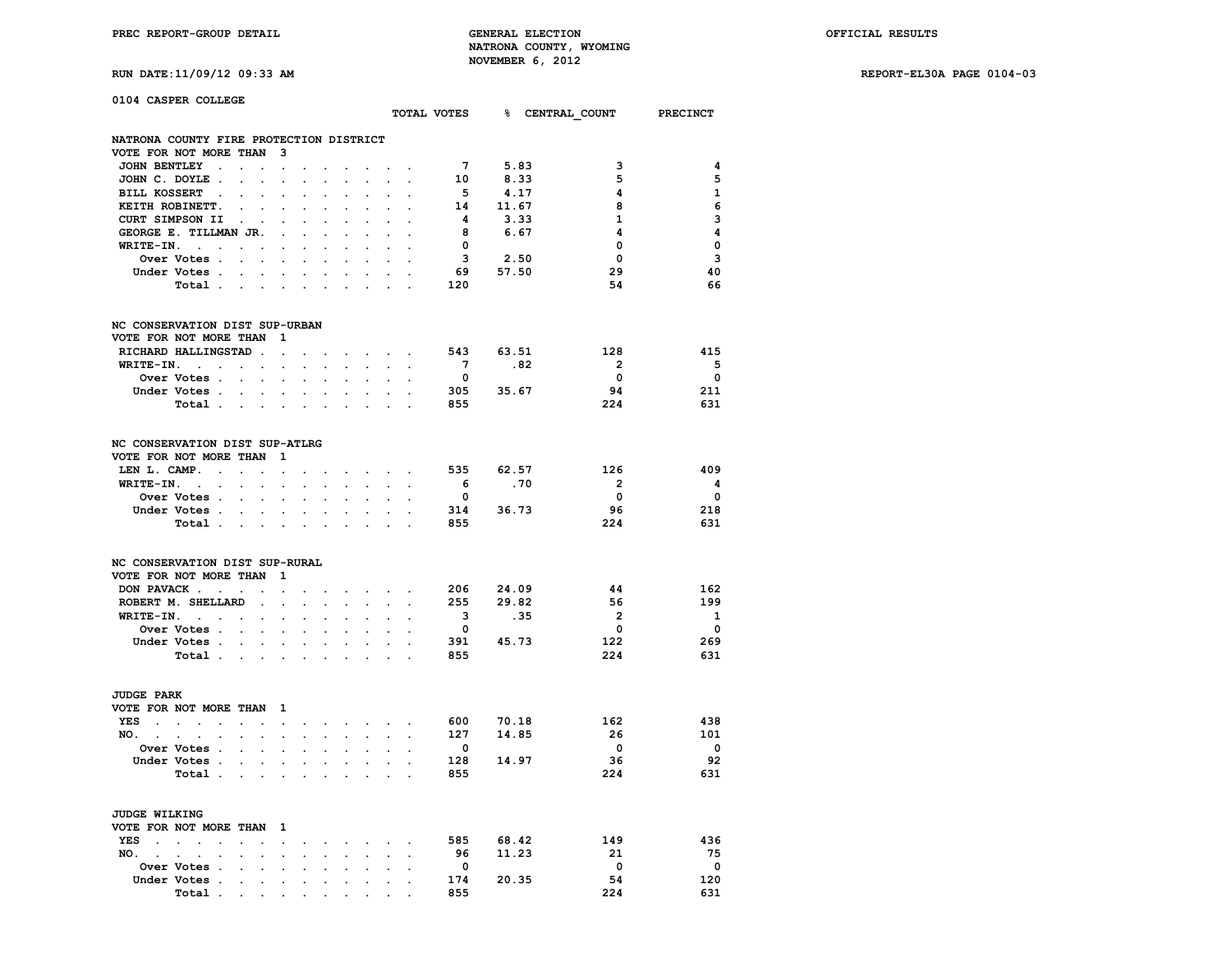**RUN DATE:11/09/12 09:33 AM REPORT-EL30A PAGE 0104-03**

| 0104 CASPER COLLEGE                                                                                                                                                                                |                                              |                         |                                      |                         |                         |
|----------------------------------------------------------------------------------------------------------------------------------------------------------------------------------------------------|----------------------------------------------|-------------------------|--------------------------------------|-------------------------|-------------------------|
|                                                                                                                                                                                                    |                                              |                         | TOTAL VOTES 8 CENTRAL COUNT PRECINCT |                         |                         |
| NATRONA COUNTY FIRE PROTECTION DISTRICT                                                                                                                                                            |                                              |                         |                                      |                         |                         |
| VOTE FOR NOT MORE THAN<br>3                                                                                                                                                                        |                                              |                         |                                      |                         |                         |
| <b>JOHN BENTLEY</b><br>$\ddot{\phantom{a}}$<br>$\ddot{\phantom{a}}$<br>$\ddot{\phantom{a}}$<br>$\ddot{\phantom{a}}$                                                                                |                                              | $7^{\circ}$             | 5.83                                 | 3                       | 4                       |
| JOHN C. DOYLE.<br>$\ddot{\phantom{a}}$                                                                                                                                                             |                                              | 10                      | 8.33                                 | 5                       | 5                       |
| <b>BILL KOSSERT</b><br>$\ddot{\phantom{a}}$<br>$\ddot{\phantom{a}}$                                                                                                                                |                                              | 5                       | 4.17                                 | 4                       | $\mathbf{1}$            |
| KEITH ROBINETT.                                                                                                                                                                                    |                                              | 14                      | 11.67                                | 8                       | 6                       |
| CURT SIMPSON II                                                                                                                                                                                    |                                              | $\overline{\mathbf{4}}$ | 3.33                                 | $\mathbf 1$             | 3                       |
| GEORGE E. TILLMAN JR.<br>$\overline{a}$                                                                                                                                                            |                                              | - 8                     | 6.67                                 | 4                       | $\overline{\mathbf{4}}$ |
| WRITE-IN.<br>$\sim 10^{-10}$ km $^{-1}$<br>$\ddot{\phantom{a}}$<br>$\ddot{\phantom{a}}$<br>$\ddot{\phantom{a}}$<br>$\ddot{\phantom{0}}$<br>$\ddot{\phantom{0}}$<br>$\cdot$<br>$\ddot{\phantom{a}}$ | $\cdot$                                      | $\overline{\mathbf{0}}$ |                                      | 0                       | $\mathbf 0$             |
| Over Votes .<br>$\sim$                                                                                                                                                                             |                                              | 3                       | 2.50                                 | $\Omega$                | $\overline{3}$          |
| Under Votes .<br>$\sim$                                                                                                                                                                            |                                              | 69                      | 57.50                                | 29                      | 40                      |
| Total<br>$\bullet$ .<br>$\overline{a}$<br>$\overline{a}$<br>$\ddot{\phantom{0}}$<br>$\bullet$                                                                                                      | $\mathbf{r}$<br>$\overline{a}$               | 120                     |                                      | 54                      | 66                      |
| NC CONSERVATION DIST SUP-URBAN                                                                                                                                                                     |                                              |                         |                                      |                         |                         |
| VOTE FOR NOT MORE THAN<br>1                                                                                                                                                                        |                                              |                         |                                      |                         |                         |
| RICHARD HALLINGSTAD.<br>$\ddot{\phantom{0}}$<br>$\sim$                                                                                                                                             |                                              | 543                     | 63.51                                | 128                     | 415                     |
| WRITE-IN.<br>$\sim$ $\sim$<br>$\ddot{\phantom{0}}$<br>$\sim$<br>$\ddot{\phantom{a}}$<br>$\ddot{\phantom{0}}$<br>$\sim$<br>$\cdot$                                                                  | $\sim$<br>$\cdot$                            | $7\overline{ }$         | .82                                  | $\overline{\mathbf{2}}$ | $5^{\circ}$             |
| Over Votes .<br>$\ddot{\phantom{0}}$<br>$\ddot{\phantom{0}}$<br>$\ddot{\phantom{a}}$                                                                                                               |                                              | $\overline{\mathbf{0}}$ |                                      | $\overline{\mathbf{0}}$ | $\overline{\mathbf{0}}$ |
| Under Votes<br>$\sim$<br>$\sim$<br>$\sim$                                                                                                                                                          | $\sim$                                       |                         | $305$ $35.67$                        | 94                      | 211                     |
| Total<br>$\ddot{\phantom{0}}$<br>$\ddot{\phantom{a}}$<br>$\bullet$<br>$\ddot{\phantom{a}}$<br>$\cdot$                                                                                              |                                              | 855                     |                                      | 224                     | 631                     |
|                                                                                                                                                                                                    |                                              |                         |                                      |                         |                         |
| NC CONSERVATION DIST SUP-ATLRG                                                                                                                                                                     |                                              |                         |                                      |                         |                         |
| VOTE FOR NOT MORE THAN<br>1                                                                                                                                                                        |                                              |                         |                                      |                         |                         |
| LEN L. CAMP.<br>$\mathbf{r}$ . The set of $\mathbf{r}$<br>$\ddot{\phantom{a}}$<br>$\ddot{\phantom{a}}$<br>$\sim$                                                                                   | $\sim$                                       |                         | 535 62.57                            | 126                     | 409                     |
| WRITE-IN.<br>$\sim$<br>$\ddot{\phantom{a}}$<br>$\ddot{\phantom{a}}$<br>$\cdot$<br>$\ddot{\phantom{a}}$                                                                                             |                                              | 6 <sup>6</sup>          | .70                                  | $\overline{2}$          | 4                       |
| Over Votes .<br>$\ddot{\phantom{0}}$<br>$\overline{a}$<br>$\ddot{\phantom{a}}$<br>$\ddot{\phantom{0}}$<br>$\ddot{\phantom{0}}$<br>$\ddot{\phantom{a}}$                                             |                                              | $\overline{0}$          |                                      | $\Omega$                | $\mathbf{0}$            |
| Under Votes.<br>$\ddot{\phantom{0}}$<br>$\ddot{\phantom{0}}$<br>$\ddot{\phantom{a}}$<br>$\sim$<br>$\ddot{\phantom{a}}$<br>$\ddot{\phantom{0}}$<br>$\ddot{\phantom{0}}$                             | $\ddot{\phantom{0}}$                         |                         | $314$ $36.73$                        | 96                      | 218                     |
| Total .<br>$\sim$ $\sim$<br>$\cdot$                                                                                                                                                                |                                              | 855                     |                                      | 224                     | 631                     |
| NC CONSERVATION DIST SUP-RURAL                                                                                                                                                                     |                                              |                         |                                      |                         |                         |
| VOTE FOR NOT MORE THAN<br>1                                                                                                                                                                        |                                              |                         |                                      |                         |                         |
| DON PAVACK.<br>$\sim$<br>$\sim$<br>$\ddot{\phantom{0}}$<br>$\ddot{\phantom{a}}$<br>$\sim$<br>$\ddot{\phantom{0}}$<br>$\sim$<br>$\ddot{\phantom{0}}$                                                | $\ddot{\phantom{0}}$<br>$\ddot{\phantom{a}}$ |                         | 206 24.09                            | 44                      | 162                     |
| ROBERT M. SHELLARD<br>$\overline{a}$                                                                                                                                                               |                                              | 255                     | 29.82                                | 56                      | 199                     |
| $WRITE-TN.$<br>$\ddot{\phantom{0}}$<br>$\ddot{\phantom{a}}$<br>$\ddot{\phantom{a}}$                                                                                                                |                                              | $\overline{\mathbf{3}}$ | .35                                  | $\overline{2}$          | 1                       |
| Over Votes .<br>$\ddot{\phantom{a}}$<br>$\overline{a}$<br>$\overline{a}$<br>$\ddot{\phantom{0}}$<br>$\overline{a}$                                                                                 | $\mathbf{r}$                                 | $\overline{\mathbf{0}}$ |                                      | $\mathbf{0}$            | $\overline{\mathbf{0}}$ |
| Under Votes<br>$\overline{a}$                                                                                                                                                                      |                                              |                         | 391 45.73                            | 122                     | 269                     |
| Total<br>$\ddot{\phantom{a}}$<br>$\ddot{\phantom{0}}$<br>$\ddot{\phantom{a}}$                                                                                                                      | $\ddot{\phantom{a}}$                         | 855                     |                                      | 224                     | 631                     |
| <b>JUDGE PARK</b>                                                                                                                                                                                  |                                              |                         |                                      |                         |                         |
| VOTE FOR NOT MORE THAN<br>1                                                                                                                                                                        |                                              |                         |                                      |                         |                         |
| YES<br>and the contract of the con-<br>$\ddot{\phantom{0}}$<br>$\cdot$                                                                                                                             |                                              |                         | 600 70.18                            | 162                     | 438                     |
| $\ddot{\phantom{a}}$<br>$\bullet$<br>and the state of the state of the<br>$\ddot{\phantom{a}}$<br>NO.                                                                                              |                                              | 127                     | 14.85                                | -26                     | 101                     |
| $\ddot{\phantom{0}}$<br>Over Votes .<br>$\overline{a}$                                                                                                                                             |                                              | $\overline{\mathbf{0}}$ |                                      | $\overline{\mathbf{0}}$ | $\overline{\mathbf{0}}$ |
| $\ddot{\phantom{0}}$<br>$\ddot{\phantom{0}}$<br>$\sim$<br>$\ddot{\phantom{a}}$<br>$\ddot{\phantom{a}}$<br>$\ddot{\phantom{a}}$                                                                     | $\overline{a}$                               | 128                     |                                      |                         | 92                      |
| Under Votes .<br>$\ddot{\phantom{0}}$<br>$\sim$ $\sim$<br>$\bullet$<br>$\ddot{\phantom{a}}$<br>$\ddot{\phantom{0}}$<br>$\ddot{\phantom{0}}$                                                        | $\ddot{\phantom{0}}$                         |                         | 14.97                                | - 36<br>224             | 631                     |
| Total .                                                                                                                                                                                            |                                              | 855                     |                                      |                         |                         |
| JUDGE WILKING                                                                                                                                                                                      |                                              |                         |                                      |                         |                         |
| VOTE FOR NOT MORE THAN 1                                                                                                                                                                           |                                              |                         |                                      |                         |                         |
| YES<br>the contract of the contract of the contract of the contract of the contract of the contract of the contract of                                                                             |                                              | 585                     | 68.42                                | 149                     | 436                     |

 **NO. . . . . . . . . . . . . . 96 11.23 21 75 Over Votes . . . . . . . . . . 0 0 0 Under Votes . . . . . . . . . . 174 20.35 54 120**

 **Total** . . . . . . . . . .

| REPORITELSOR PAGE 0104 |  |  |
|------------------------|--|--|
|                        |  |  |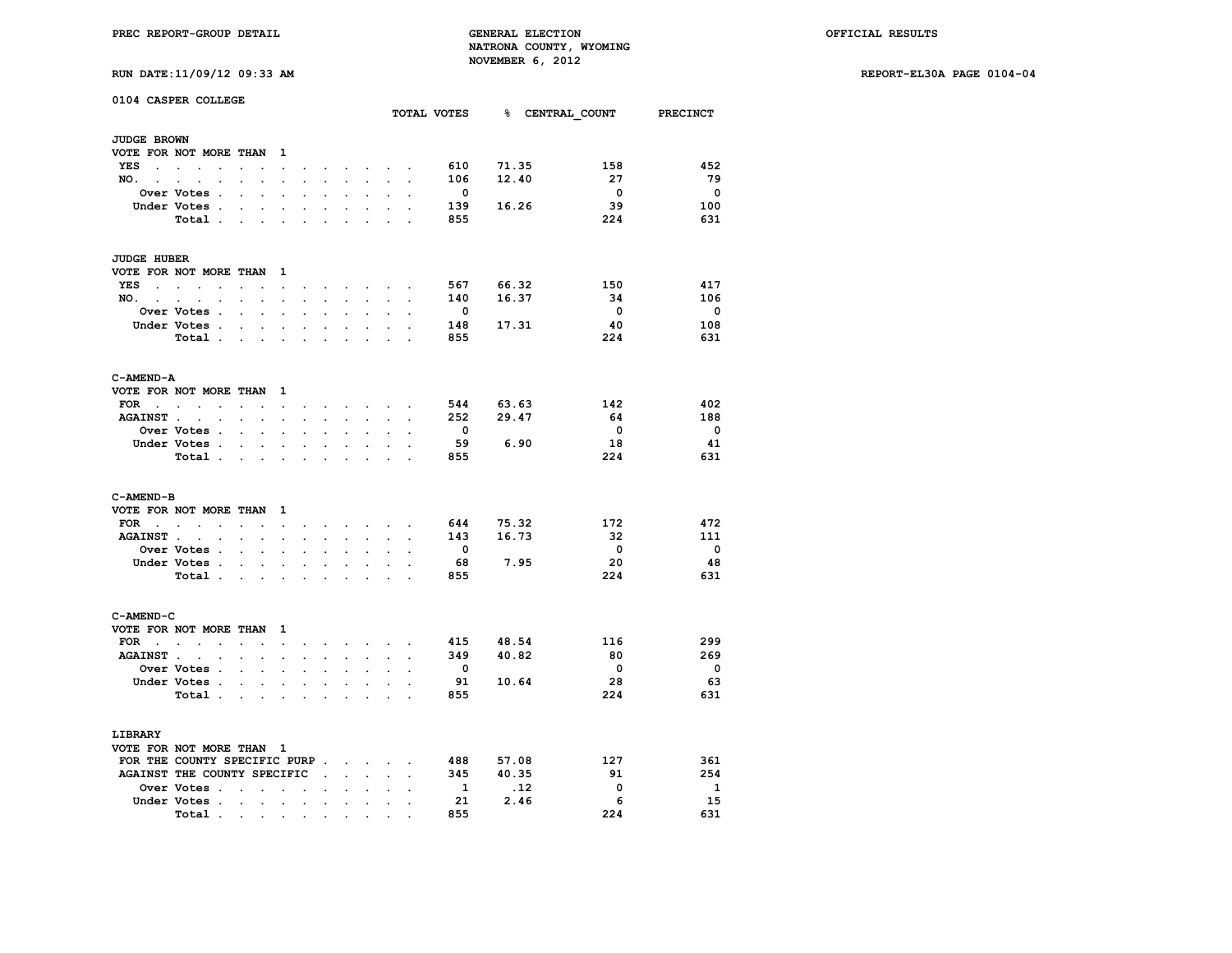**RUN DATE:11/09/12 09:33 AM REPORT-EL30A PAGE 0104-04**

| RUN DATE: 11/09/12 09:33 AM |  |  |
|-----------------------------|--|--|

| 0104 CASPER COLLEGE                 |                                       |                      |                                                           |                                            |                      |                      |                      |                      |                                                                                                                 |                      |                         |           |                                      |                         |
|-------------------------------------|---------------------------------------|----------------------|-----------------------------------------------------------|--------------------------------------------|----------------------|----------------------|----------------------|----------------------|-----------------------------------------------------------------------------------------------------------------|----------------------|-------------------------|-----------|--------------------------------------|-------------------------|
|                                     |                                       |                      |                                                           |                                            |                      |                      |                      |                      |                                                                                                                 |                      |                         |           | TOTAL VOTES 8 CENTRAL COUNT PRECINCT |                         |
| <b>JUDGE BROWN</b>                  |                                       |                      |                                                           |                                            |                      |                      |                      |                      |                                                                                                                 |                      |                         |           |                                      |                         |
| VOTE FOR NOT MORE THAN              |                                       |                      |                                                           | $\mathbf{1}$                               |                      |                      |                      |                      |                                                                                                                 |                      |                         |           |                                      |                         |
| YES                                 |                                       | $\sim$               | $\ddot{\phantom{a}}$                                      | $\sim$                                     | $\cdot$              |                      |                      |                      | the contract of the contract of the contract of the contract of the contract of the contract of the contract of |                      | 610                     | 71.35     | 158                                  | 452                     |
| NO.                                 |                                       |                      |                                                           | $\mathbf{r}$                               |                      | $\mathbf{L}$         | ÷.                   | $\mathbf{L}$         |                                                                                                                 |                      | 106                     | 12.40     | 27                                   | 79                      |
|                                     | Over Votes .                          | $\overline{a}$       | $\mathbf{r}$                                              |                                            |                      |                      |                      |                      |                                                                                                                 |                      | $\mathbf{0}$            |           | $\mathbf 0$                          | $\overline{\mathbf{0}}$ |
|                                     | Under Votes .                         | $\ddot{\phantom{0}}$ | $\sim$                                                    | $\bullet$                                  | $\cdot$              | $\ddot{\phantom{0}}$ | $\ddot{\phantom{a}}$ | $\ddot{\phantom{0}}$ | $\ddot{\phantom{a}}$                                                                                            |                      | 139                     | 16.26     | 39                                   | 100                     |
|                                     | Total                                 |                      |                                                           |                                            |                      |                      |                      |                      |                                                                                                                 |                      | 855                     |           | 224                                  | 631                     |
|                                     |                                       |                      |                                                           |                                            |                      |                      |                      |                      |                                                                                                                 |                      |                         |           |                                      |                         |
| <b>JUDGE HUBER</b>                  |                                       |                      |                                                           |                                            |                      |                      |                      |                      |                                                                                                                 |                      |                         |           |                                      |                         |
| VOTE FOR NOT MORE THAN              |                                       |                      |                                                           | 1                                          |                      |                      |                      |                      |                                                                                                                 |                      |                         |           |                                      |                         |
| $YES$                               |                                       | $\cdot$              |                                                           | $\ddot{\phantom{0}}$                       | $\cdot$              |                      |                      |                      | and the state of the state of                                                                                   |                      | 567                     | 66.32     | 150                                  | 417                     |
| $NO.$ $.$ $.$ $.$ $.$               |                                       | $\ddot{\phantom{0}}$ | $\bullet$ .                                               | $\ddot{\phantom{0}}$                       | $\bullet$ .          |                      | <b>All Cards</b>     | $\ddot{\phantom{0}}$ | $\sim$                                                                                                          | $\ddot{\phantom{a}}$ | 140                     | 16.37     | 34                                   | 106                     |
|                                     | Over Votes .                          | $\ddot{\phantom{0}}$ | $\cdot$                                                   | $\mathbf{r}$                               | $\overline{a}$       | $\overline{a}$       |                      | $\overline{a}$       |                                                                                                                 | $\overline{a}$       | $\overline{\mathbf{0}}$ |           | $\overline{\mathbf{0}}$              | $\overline{\mathbf{0}}$ |
|                                     | Under Votes .                         |                      | $\mathbf{r}$                                              | $\ddot{\phantom{0}}$                       |                      |                      | $\mathbf{r}$         | $\sim$               | $\overline{a}$                                                                                                  |                      | 148                     | 17.31     | -40                                  | 108                     |
|                                     | Total                                 |                      |                                                           | $\mathbf{r}$                               | $\sim$               |                      |                      |                      |                                                                                                                 |                      | 855                     |           | 224                                  | 631                     |
|                                     |                                       |                      |                                                           |                                            |                      |                      |                      |                      |                                                                                                                 |                      |                         |           |                                      |                         |
| C-AMEND-A                           |                                       |                      |                                                           |                                            |                      |                      |                      |                      |                                                                                                                 |                      |                         |           |                                      |                         |
| VOTE FOR NOT MORE THAN 1            |                                       |                      |                                                           |                                            |                      |                      |                      |                      |                                                                                                                 |                      |                         |           |                                      |                         |
| $FOR \t . \t .$                     | $\sim$                                | $\mathcal{L}^{\pm}$  | $\sim$                                                    | $\sim$                                     | $\cdot$              |                      |                      |                      | $\sim$ $\sim$ $\sim$ $\sim$ $\sim$ $\sim$                                                                       | $\ddot{\phantom{a}}$ | 544                     | 63.63     | 142                                  | 402                     |
|                                     | AGAINST                               |                      | $\mathcal{L}^{\text{max}}$ and $\mathcal{L}^{\text{max}}$ | $\sim$                                     | $\ddot{\phantom{0}}$ | $\sim$               | $\sim$               | $\sim$               | $\sim$                                                                                                          | $\ddot{\phantom{a}}$ |                         | 252 29.47 | - 64                                 | 188                     |
|                                     | <b>Over Votes .</b>                   |                      |                                                           |                                            |                      |                      |                      |                      |                                                                                                                 |                      | $\mathbf{0}$            |           | $\overline{\mathbf{0}}$              | $\overline{\mathbf{0}}$ |
|                                     | Under Votes .                         |                      | <b>Contract Contract</b>                                  | $\ddot{\phantom{0}}$                       | $\ddot{\phantom{0}}$ | $\ddot{\phantom{0}}$ |                      |                      |                                                                                                                 |                      | 59                      | 6.90      | 18                                   | 41                      |
|                                     | Total .                               |                      | <b>Contract Contract Contract</b>                         | $\sim$                                     | $\ddot{\phantom{a}}$ | $\ddot{\phantom{0}}$ | $\cdot$              | $\ddot{\phantom{0}}$ | $\ddot{\phantom{a}}$                                                                                            | $\cdot$              | 855                     |           | 224                                  | 631                     |
|                                     |                                       |                      |                                                           |                                            |                      |                      |                      |                      |                                                                                                                 |                      |                         |           |                                      |                         |
| C-AMEND-B                           |                                       |                      |                                                           |                                            |                      |                      |                      |                      |                                                                                                                 |                      |                         |           |                                      |                         |
| VOTE FOR NOT MORE THAN              |                                       |                      |                                                           | $\mathbf{1}$                               |                      |                      |                      |                      |                                                                                                                 |                      |                         |           |                                      |                         |
| $FOR \t .$                          | $\sim$<br>$\sim$                      |                      |                                                           | and a state of                             |                      |                      |                      |                      | and a strong control of the state of                                                                            |                      | 644                     | 75.32     | 172                                  | 472<br>111              |
| AGAINST                             |                                       | $\ddotsc$            | $\blacksquare$                                            | $\ddot{\phantom{a}}$                       | $\cdot$              | $\ddot{\phantom{0}}$ |                      | $\sim$               | $\sim$                                                                                                          | $\cdot$              | 143                     | 16.73     | - 32                                 |                         |
|                                     | Over Votes .                          | $\ddot{\phantom{0}}$ | $\ddot{\phantom{a}}$                                      |                                            |                      |                      |                      |                      |                                                                                                                 |                      | 0                       |           | $\overline{\mathbf{0}}$              | $\overline{\mathbf{0}}$ |
|                                     | Under Votes .                         | $\sim$               | $\bullet$ .                                               | $\ddot{\phantom{a}}$                       | $\ddot{\phantom{a}}$ | $\bullet$            | $\ddot{\phantom{a}}$ | $\ddot{\phantom{a}}$ | $\ddot{\phantom{a}}$                                                                                            |                      | 68                      | 7.95      | 20                                   | 48                      |
|                                     | Total .                               |                      |                                                           | <b>Contract Contract Contract Contract</b> | $\sim$               |                      |                      |                      |                                                                                                                 |                      | 855                     |           | 224                                  | 631                     |
|                                     |                                       |                      |                                                           |                                            |                      |                      |                      |                      |                                                                                                                 |                      |                         |           |                                      |                         |
| C-AMEND-C<br>VOTE FOR NOT MORE THAN |                                       |                      |                                                           | $\mathbf{1}$                               |                      |                      |                      |                      |                                                                                                                 |                      |                         |           |                                      |                         |
| FOR $\cdots$ $\cdots$               |                                       |                      |                                                           |                                            |                      |                      |                      |                      | and a strong control of the state of the                                                                        |                      |                         | 415 48.54 | 116                                  | 299                     |
| <b>AGAINST.</b>                     | $\ddot{\phantom{a}}$                  |                      |                                                           |                                            |                      |                      |                      |                      |                                                                                                                 |                      | 349                     | 40.82     | 80                                   | 269                     |
|                                     | $\overline{a}$<br><b>Over Votes .</b> | $\sim$               | $\sim$                                                    | $\ddot{\phantom{a}}$                       | $\ddot{\phantom{a}}$ |                      | $\mathbf{r}$         | $\sim$               |                                                                                                                 | $\overline{a}$       | $\mathbf{0}$            |           | $\overline{\mathbf{0}}$              | $\overline{\mathbf{0}}$ |
|                                     | Under Votes .                         |                      |                                                           |                                            |                      |                      |                      |                      |                                                                                                                 |                      | 91                      | 10.64     | 28                                   | 63                      |
|                                     | Total .                               | $\ddot{\phantom{a}}$ | $\sim$                                                    | $\sim$                                     |                      |                      |                      | $\ddot{\phantom{0}}$ |                                                                                                                 |                      | 855                     |           | 224                                  | 631                     |
|                                     |                                       | $\ddot{\phantom{a}}$ | $\sim$                                                    | $\sim$                                     | $\cdot$              |                      |                      |                      |                                                                                                                 |                      |                         |           |                                      |                         |
| LIBRARY                             |                                       |                      |                                                           |                                            |                      |                      |                      |                      |                                                                                                                 |                      |                         |           |                                      |                         |
| VOTE FOR NOT MORE THAN 1            |                                       |                      |                                                           |                                            |                      |                      |                      |                      |                                                                                                                 |                      |                         |           |                                      |                         |
| FOR THE COUNTY SPECIFIC PURP        |                                       |                      |                                                           |                                            |                      |                      |                      |                      |                                                                                                                 |                      |                         | 488 57.08 | 127                                  | 361                     |
| AGAINST THE COUNTY SPECIFIC         |                                       |                      |                                                           |                                            |                      |                      |                      | $\ddot{\phantom{0}}$ |                                                                                                                 |                      | 345                     | 40.35     | 91                                   | 254                     |
|                                     | Over Votes                            |                      |                                                           |                                            |                      |                      |                      |                      | $\cdot$                                                                                                         |                      | $\mathbf{1}$            | .12       | 0                                    | <sup>1</sup>            |
|                                     | Under Votes .                         | $\sim$               | $\ddot{\phantom{a}}$                                      | $\sim$                                     | $\bullet$            | $\bullet$            | $\ddot{\phantom{0}}$ | $\bullet$            |                                                                                                                 |                      | 21                      | 2.46      | - 6                                  | 15                      |
|                                     | Total.                                |                      |                                                           |                                            |                      | $\cdot$              |                      |                      |                                                                                                                 |                      | 855                     |           | 224                                  | 631                     |
|                                     |                                       |                      |                                                           |                                            |                      |                      |                      |                      |                                                                                                                 |                      |                         |           |                                      |                         |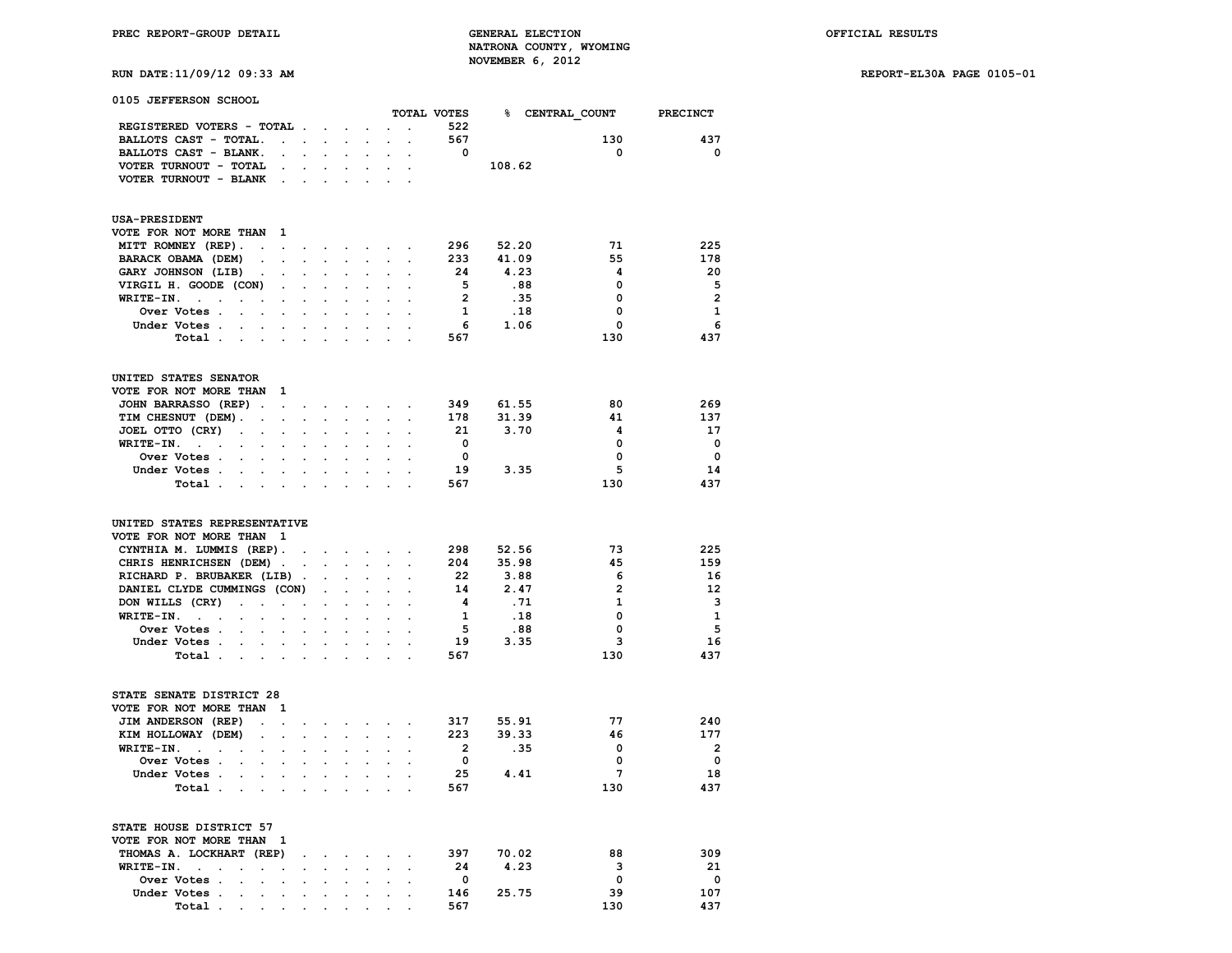# **RUN DATE:11/09/12 09:33 AM REPORT-EL30A PAGE 0105-01**

**0105 JEFFERSON SCHOOL**

|                                                                                                                                    |                      |                                                           |                                          |                            |                                                    |                           | TOTAL VOTES                |        | % CENTRAL COUNT PRECINCT |                          |
|------------------------------------------------------------------------------------------------------------------------------------|----------------------|-----------------------------------------------------------|------------------------------------------|----------------------------|----------------------------------------------------|---------------------------|----------------------------|--------|--------------------------|--------------------------|
| REGISTERED VOTERS - TOTAL                                                                                                          |                      |                                                           |                                          | $\mathcal{L}^{\text{max}}$ | $\sim$                                             | $\ddot{\phantom{a}}$      | 522                        |        |                          |                          |
| BALLOTS CAST - TOTAL.<br>$\mathbf{z} = \mathbf{z} + \mathbf{z}$ , where $\mathbf{z}$                                               |                      |                                                           | $\bullet$ .                              | $\ddot{\phantom{a}}$       | $\sim$                                             | $\cdot$                   | 567                        |        | 130                      | 437                      |
| BALLOTS CAST - BLANK.                                                                                                              |                      |                                                           |                                          |                            |                                                    |                           | $\overline{\mathbf{0}}$    |        | $\mathbf 0$              | $\mathbf{o}$             |
| VOTER TURNOUT - TOTAL<br>$\sim$                                                                                                    | $\bullet$            | $\ddot{\phantom{0}}$                                      | $\blacksquare$                           | $\ddot{\phantom{0}}$       | $\sim$                                             | $\bullet$                 |                            | 108.62 |                          |                          |
| VOTER TURNOUT - BLANK .                                                                                                            | $\ddot{\phantom{0}}$ | $\cdot$                                                   |                                          | $\cdot$                    |                                                    |                           |                            |        |                          |                          |
|                                                                                                                                    |                      |                                                           |                                          |                            |                                                    |                           |                            |        |                          |                          |
| <b>USA-PRESIDENT</b>                                                                                                               |                      |                                                           |                                          |                            |                                                    |                           |                            |        |                          |                          |
| VOTE FOR NOT MORE THAN<br>- 1                                                                                                      |                      |                                                           |                                          |                            |                                                    |                           |                            |        |                          |                          |
| MITT ROMNEY (REP).<br>$\sim$<br>$\sim$                                                                                             |                      | $\mathcal{L}(\mathbf{z})$ , and $\mathcal{L}(\mathbf{z})$ | $\bullet$ .<br><br><br><br><br><br>      |                            |                                                    |                           | 296                        | 52.20  | 71                       | 225                      |
| BARACK OBAMA (DEM)<br>$\overline{a}$<br>$\cdot$                                                                                    | $\mathbf{L}$         |                                                           | $\ddot{\phantom{a}}$                     | $\mathbf{r}$               | $\sim$                                             | $\sim$                    | 233                        | 41.09  | 55                       | 178                      |
| GARY JOHNSON (LIB)<br>$\ddot{\phantom{a}}$<br>$\cdot$                                                                              | $\ddot{\phantom{0}}$ |                                                           |                                          |                            |                                                    |                           | 24                         | 4.23   | 4                        | 20                       |
| VIRGIL H. GOODE (CON)<br>$\ddot{\phantom{0}}$                                                                                      | $\sim$               | $\ddot{\phantom{0}}$                                      | $\mathbf{r}$                             | $\mathbf{L}$               |                                                    | $\sim$ $\sim$             | 5                          | .88    | 0                        | - 5                      |
| WRITE-IN.<br>$\sim$ $\sim$<br><b>Contract Contract</b><br>$\bullet$                                                                | $\ddot{\phantom{0}}$ | $\ddot{\phantom{a}}$                                      | $\ddot{\phantom{a}}$                     | $\ddot{\phantom{a}}$       | $\ddot{\phantom{a}}$                               | $\sim$                    | $\overline{2}$             | .35    | 0                        | $\overline{2}$           |
| Over Votes                                                                                                                         |                      |                                                           |                                          |                            |                                                    |                           | $\mathbf{1}$               | .18    | 0                        | $\mathbf{1}$             |
| Under Votes<br>$\sim$                                                                                                              | $\ddot{\phantom{a}}$ | $\ddot{\phantom{a}}$                                      | $\ddot{\phantom{a}}$                     | $\ddot{\phantom{a}}$       | $\sim$                                             |                           | - 6                        | 1.06   | 0                        | 6                        |
| Total                                                                                                                              | $\ddot{\phantom{1}}$ | $\sim$                                                    | $\overline{a}$                           | $\ddot{\phantom{a}}$       |                                                    |                           | 567                        |        | 130                      | 437                      |
| UNITED STATES SENATOR                                                                                                              |                      |                                                           |                                          |                            |                                                    |                           |                            |        |                          |                          |
| VOTE FOR NOT MORE THAN<br>$\mathbf{1}$                                                                                             |                      |                                                           |                                          |                            |                                                    |                           |                            |        |                          |                          |
| JOHN BARRASSO (REP).                                                                                                               |                      |                                                           |                                          |                            |                                                    |                           | 349                        | 61.55  | 80                       | 269                      |
| $\ddot{\phantom{a}}$<br>TIM CHESNUT (DEM). .<br>$\ddot{\phantom{a}}$                                                               | $\sim$ $\sim$        | <b>Contractor</b><br>$\ddotsc$                            | $\sim$<br>$\ddot{\phantom{a}}$           | $\bullet$                  | $\ddot{\phantom{0}}$                               |                           | 178                        | 31.39  | 41                       | 137                      |
| JOEL OTTO (CRY)                                                                                                                    | $\sim$               |                                                           |                                          |                            | $\sim$                                             |                           | -21                        | 3.70   | 4                        | 17                       |
| $\sim 100$<br>$\blacksquare$<br>WRITE-IN.<br>$\sim$ $\sim$<br><b>Contract Contract Contract</b><br>$\ddot{\phantom{a}}$<br>$\cdot$ | $\ddot{\phantom{a}}$ | $\cdot$                                                   |                                          |                            |                                                    |                           | $\overline{\mathbf{0}}$    |        | $\mathbf 0$              | $\overline{\phantom{0}}$ |
| Over Votes .<br>$\ddot{\phantom{0}}$<br>$\ddot{\phantom{a}}$                                                                       |                      |                                                           |                                          |                            |                                                    |                           | $\overline{\mathbf{0}}$    |        | $\mathbf 0$              | $\overline{\phantom{0}}$ |
| Under Votes<br>$\blacksquare$                                                                                                      | $\ddot{\phantom{0}}$ | $\bullet$                                                 | $\ddot{\phantom{a}}$                     | $\cdot$                    |                                                    |                           | 19                         | 3.35   | 5                        | 14                       |
| Total<br>$\ddot{\phantom{a}}$                                                                                                      |                      |                                                           |                                          |                            |                                                    |                           | 567                        |        | 130                      | 437                      |
|                                                                                                                                    |                      |                                                           |                                          |                            |                                                    |                           |                            |        |                          |                          |
| UNITED STATES REPRESENTATIVE                                                                                                       |                      |                                                           |                                          |                            |                                                    |                           |                            |        |                          |                          |
| VOTE FOR NOT MORE THAN 1                                                                                                           |                      |                                                           |                                          |                            |                                                    |                           |                            |        |                          |                          |
| CYNTHIA M. LUMMIS (REP).                                                                                                           | $\sim$               |                                                           |                                          | and the company of         | $\sim$                                             | $\bullet$                 | 298                        | 52.56  | 73                       | 225                      |
| CHRIS HENRICHSEN (DEM).                                                                                                            |                      | $\mathcal{L}_{\mathcal{A}}$                               | $\mathcal{L}^{\text{max}}$               | $\sim$                     | $\sim$                                             | $\ddot{\phantom{a}}$      | 204                        | 35.98  | 45                       | 159                      |
| RICHARD P. BRUBAKER (LIB).                                                                                                         |                      | $\ddot{\phantom{0}}$                                      | $\bullet$                                | $\ddot{\phantom{0}}$       | $\ddot{\phantom{a}}$                               | $\ddot{\phantom{a}}$      | 22                         | 3.88   | 6                        | 16                       |
| DANIEL CLYDE CUMMINGS (CON)                                                                                                        |                      | $\mathcal{L}^{\text{max}}$                                | $\sim$                                   | $\mathcal{L}^{\text{max}}$ |                                                    |                           | 14                         | 2.47   | $\overline{2}$           | 12                       |
| DON WILLS (CRY)<br>$\mathcal{L}^{\text{max}}$ and $\mathcal{L}^{\text{max}}$<br>$\ddot{\phantom{0}}$                               | $\sim$               | $\bullet$ .                                               | $\sim$                                   | $\ddot{\phantom{a}}$       |                                                    | $\sim$ $\sim$             | 4                          | .71    | $\mathbf{1}$             | 3                        |
| $WRITE-IN.$<br>$\mathcal{L}^{\text{max}}$<br>$\ddot{\phantom{0}}$<br>$\ddot{\phantom{0}}$                                          | $\ddot{\phantom{0}}$ | $\ddot{\phantom{0}}$                                      | $\ddot{\phantom{0}}$                     | $\ddot{\phantom{a}}$       | $\mathcal{L}^{\text{max}}$                         | $\mathbb{Z}^2$            | $\mathbf{1}$               | .18    | $\mathbf{0}$             | $\mathbf{1}$             |
| Over Votes .<br>$\sim$ $\sim$ $\sim$<br>$\ddot{\phantom{a}}$                                                                       | $\ddot{\phantom{a}}$ | $\ddot{\phantom{0}}$                                      | $\ddot{\phantom{a}}$                     | $\ddot{\phantom{0}}$       | $\ddot{\phantom{a}}$                               | $\sim$                    | $\overline{\phantom{0}}$   | .88    | 0                        | - 5                      |
| Under Votes                                                                                                                        |                      |                                                           | $\sim$                                   | $\sim$                     | $\sim$                                             |                           | 19                         | 3.35   | 3                        | 16                       |
| Total                                                                                                                              | $\sim$               | $\ddot{\phantom{0}}$                                      | $\cdot$                                  | $\cdot$                    | $\sim$                                             | $\sim$                    | 567                        |        | 130                      | 437                      |
| STATE SENATE DISTRICT 28                                                                                                           |                      |                                                           |                                          |                            |                                                    |                           |                            |        |                          |                          |
| VOTE FOR NOT MORE THAN<br>1                                                                                                        |                      |                                                           |                                          |                            |                                                    |                           |                            |        |                          |                          |
| JIM ANDERSON (REP)<br>$\cdot$<br>$\cdot$                                                                                           | $\sim$               |                                                           | $\mathbf{z} = \mathbf{z} + \mathbf{z}$ . | $\sim$                     | $\sim$                                             |                           | 317                        | 55.91  | 77                       | 240                      |
| KIM HOLLOWAY (DEM)<br>$\bullet$<br>$\bullet$                                                                                       | $\ddot{\phantom{0}}$ | $\ddot{\phantom{0}}$                                      | $\ddot{\phantom{0}}$                     | $\ddot{\phantom{a}}$       | $\sim$                                             | $\ddot{\phantom{a}}$      | 223                        | 39.33  | 46                       | 177                      |
| WRITE-IN.<br>$\sim$ $\sim$ $\sim$ $\sim$                                                                                           | $\overline{a}$       |                                                           |                                          |                            |                                                    |                           | $\overline{\phantom{a}}$ 2 | .35    | $\mathbf 0$              | $\overline{\phantom{0}}$ |
| Over Votes                                                                                                                         |                      |                                                           |                                          |                            |                                                    |                           | $\overline{\mathbf{0}}$    |        | 0                        | $\overline{\mathbf{0}}$  |
| Under Votes                                                                                                                        |                      |                                                           | $\mathbf{r}$                             | $\sim$                     |                                                    | $\mathbf{L} = \mathbf{L}$ | 25                         | 4.41   | $7\phantom{.0}$          | 18                       |
| Total.<br><b>Contract Contract</b><br>$\mathbf{r}$                                                                                 | $\cdot$              | $\ddot{\phantom{a}}$                                      |                                          | $\cdot$                    |                                                    |                           | 567                        |        | 130                      | 437                      |
|                                                                                                                                    |                      |                                                           |                                          |                            |                                                    |                           |                            |        |                          |                          |
| STATE HOUSE DISTRICT 57<br>VOTE FOR NOT MORE THAN 1                                                                                |                      |                                                           |                                          |                            |                                                    |                           |                            |        |                          |                          |
| THOMAS A. LOCKHART (REP)                                                                                                           | $\blacksquare$ .     | $\sim$                                                    | $\sim$                                   | $\ddot{\phantom{a}}$       | $\sim$                                             |                           | 397                        | 70.02  | 88                       | 309                      |
| WRITE-IN.<br>$\ddot{\phantom{0}}$<br>$\ddot{\phantom{a}}$<br>$\cdot$                                                               |                      |                                                           |                                          |                            |                                                    |                           | 24                         | 4.23   | 3                        | 21                       |
| Over Votes .<br>$\sim$ $\sim$                                                                                                      |                      | <b>Contractor</b>                                         | $\sim$                                   |                            | $\mathbf{a}$ , and $\mathbf{a}$ , and $\mathbf{a}$ |                           | $\overline{\mathbf{0}}$    |        | $\mathbf 0$              | $\mathbf 0$              |
| Under Votes .                                                                                                                      |                      |                                                           |                                          |                            |                                                    |                           | 146                        | 25.75  | 39                       | 107                      |

 **Total . . . . . . . . . . 567 130 437**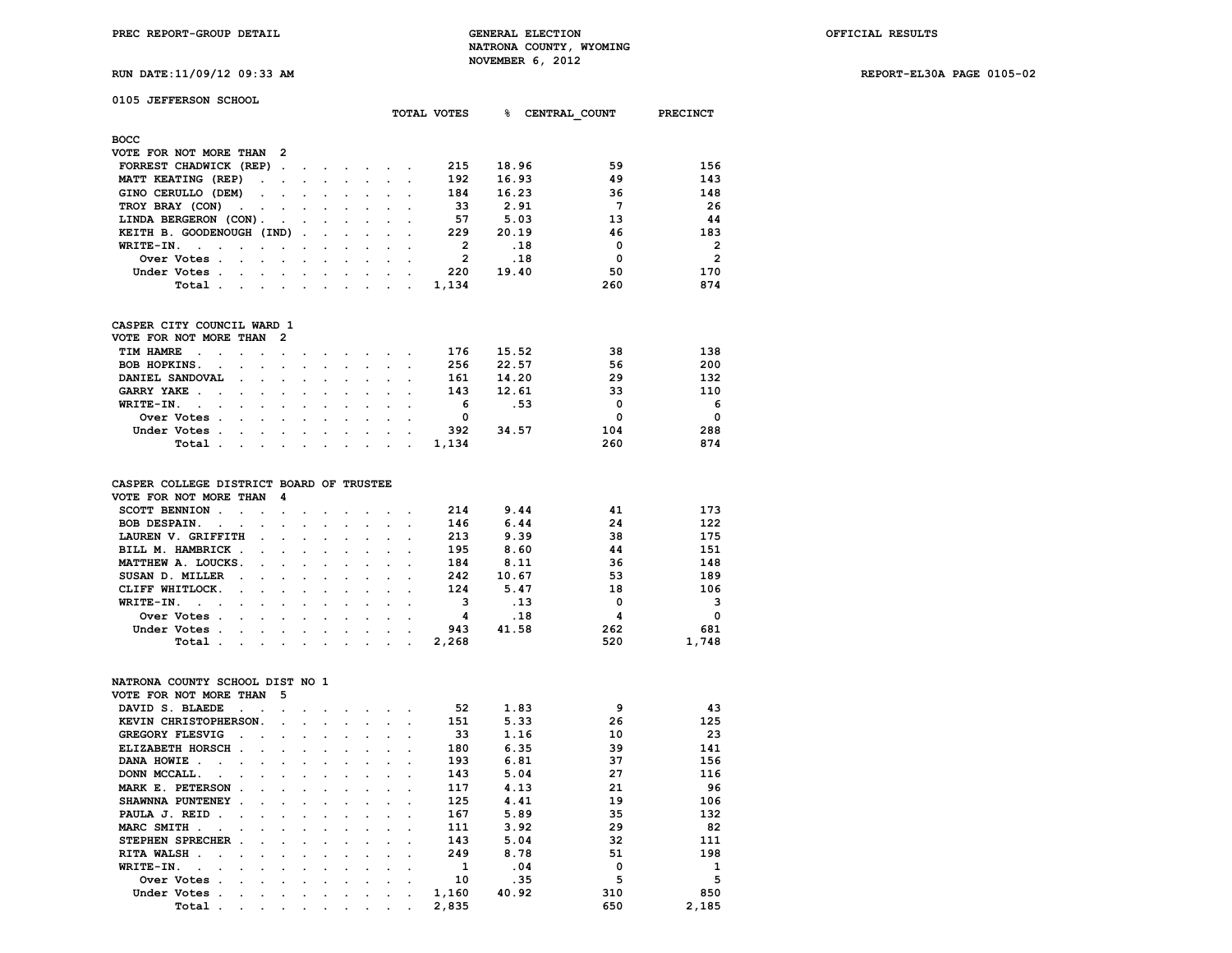**RUN DATE:11/09/12 09:33 AM REPORT-EL30A PAGE 0105-02**

| the contract of the contract of the contract of the contract of the contract of the contract of the contract of |  |
|-----------------------------------------------------------------------------------------------------------------|--|
|                                                                                                                 |  |
|                                                                                                                 |  |
|                                                                                                                 |  |
|                                                                                                                 |  |
|                                                                                                                 |  |
|                                                                                                                 |  |
|                                                                                                                 |  |

| 0105 JEFFERSON SCHOOL                                        |                  |                      |                          |                  |   |                |       |               |                 |
|--------------------------------------------------------------|------------------|----------------------|--------------------------|------------------|---|----------------|-------|---------------|-----------------|
|                                                              |                  |                      |                          |                  |   | TOTAL VOTES    | ៖     | CENTRAL COUNT | <b>PRECINCT</b> |
| <b>BOCC</b>                                                  |                  |                      |                          |                  |   |                |       |               |                 |
| VOTE FOR NOT MORE THAN 2                                     |                  |                      |                          |                  |   |                |       |               |                 |
| FORREST CHADWICK (REP).                                      | $\sim$ 100 $\mu$ |                      | $\sim$                   | $\sim$ 100 $\mu$ |   | 215            | 18.96 | 59            | 156             |
| MATT KEATING (REP)<br>and the contract of the con-           |                  | $\sim$ $\sim$ $\sim$ |                          | $\cdot$          |   | 192            | 16.93 | 49            | 143             |
| GINO CERULLO (DEM)<br><b>Contract Contract Street</b>        |                  | $\sim$ 100 $\pm$     | $\overline{\phantom{a}}$ | $\sim$           |   | 184            | 16.23 | 36            | 148             |
| TROY BRAY (CON)<br><b>Contract Contract Street</b><br>$\sim$ | $\cdot$          | $\sim$               |                          | $\cdot$          |   | 33             | 2.91  | 7             | 26              |
| LINDA BERGERON (CON).<br>$\sim$                              |                  |                      | $\cdot$ .                | $\sim$           |   | 57             | 5.03  | 13            | 44              |
| KEITH B. GOODENOUGH (IND).                                   |                  |                      | $\sim$ $\sim$            | $\cdot$          |   | 229            | 20.19 | 46            | 183             |
| WRITE-IN.<br>$\sim$                                          |                  |                      |                          |                  |   | 2              | .18   | 0             | $\overline{2}$  |
| Over Votes .<br>$\sim$<br>$\cdot$                            |                  | $\cdot$              |                          |                  |   | $\overline{2}$ | .18   | 0             | $\overline{2}$  |
| Under Votes.                                                 |                  |                      |                          |                  |   | 220            | 19.40 | 50            | 170             |
| Total .<br>$\cdot$<br>$\cdot$ .<br>$\bullet$                 | $\cdot$          | $\cdot$              | $\cdot$                  | $\cdot$          | ٠ | 1,134          |       | 260           | 874             |

### **CASPER CITY COUNCIL WARD 1 VOTE FOR NOT MORE THAN 2**

| VOIL FOR NOT MORE THAN Z |                                                                                                                 |  |  |  |       |       |          |          |
|--------------------------|-----------------------------------------------------------------------------------------------------------------|--|--|--|-------|-------|----------|----------|
| TIM HAMRE                |                                                                                                                 |  |  |  | 176   | 15.52 | 38       | 138      |
| BOB HOPKINS.             |                                                                                                                 |  |  |  | 256   | 22.57 | 56       | 200      |
| DANIEL SANDOVAL          |                                                                                                                 |  |  |  | 161   | 14.20 | 29       | 132      |
| GARRY YAKE               |                                                                                                                 |  |  |  | 143   | 12.61 | 33       | 110      |
| WRITE-IN.                |                                                                                                                 |  |  |  | 6     | . 53  | 0        | -6       |
| Over Votes               |                                                                                                                 |  |  |  |       |       | $\Omega$ | $\Omega$ |
| Under Votes              |                                                                                                                 |  |  |  | 392   | 34.57 | 104      | 288      |
| Total .                  | the contract of the contract of the contract of the contract of the contract of the contract of the contract of |  |  |  | 1,134 |       | 260      | 874      |
|                          |                                                                                                                 |  |  |  |       |       |          |          |

## **CASPER COLLEGE DISTRICT BOARD OF TRUSTEE**

| VOTE FOR NOT MORE THAN 4                                                                                                                                                                                                                         |                                                                                                                 |  |  |  |       |       |     |              |
|--------------------------------------------------------------------------------------------------------------------------------------------------------------------------------------------------------------------------------------------------|-----------------------------------------------------------------------------------------------------------------|--|--|--|-------|-------|-----|--------------|
| SCOTT BENNION.<br>$\mathbf{r} = \mathbf{r} - \mathbf{r}$ , and $\mathbf{r} = \mathbf{r} - \mathbf{r} - \mathbf{r}$ , where $\mathbf{r} = \mathbf{r} - \mathbf{r}$                                                                                |                                                                                                                 |  |  |  | 214   | 9.44  | 41  | 173          |
| BOB DESPAIN.                                                                                                                                                                                                                                     |                                                                                                                 |  |  |  | 146   | 6.44  | 24  | 122          |
| LAUREN V. GRIFFITH                                                                                                                                                                                                                               | the contract of the contract of the contract of the contract of the contract of the contract of the contract of |  |  |  | 213   | 9.39  | 38  | 175          |
| BILL M. HAMBRICK                                                                                                                                                                                                                                 |                                                                                                                 |  |  |  | 195   | 8.60  | 44  | 151          |
| MATTHEW A. LOUCKS.                                                                                                                                                                                                                               |                                                                                                                 |  |  |  | 184   | 8.11  | 36  | 148          |
| SUSAN D. MILLER                                                                                                                                                                                                                                  |                                                                                                                 |  |  |  | 242   | 10.67 | 53  | 189          |
| CLIFF WHITLOCK.<br>the company of the company of the company of the company of the company of the company of the company of the company of the company of the company of the company of the company of the company of the company of the company |                                                                                                                 |  |  |  | 124   | 5.47  | 18  | 106          |
| WRITE-IN.<br>the contract of the contract of the contract of the contract of the contract of the contract of the contract of                                                                                                                     |                                                                                                                 |  |  |  | з     | .13   | 0   | $\mathbf{B}$ |
| Over Votes.<br>the contract of the contract of the contract of the contract of the contract of the contract of the contract of<br>$\sim$                                                                                                         |                                                                                                                 |  |  |  | 4     | .18   |     | $\Omega$     |
| Under Votes.<br>the contract of the contract of the contract of the contract of the contract of the contract of the contract of                                                                                                                  |                                                                                                                 |  |  |  | 943   | 41.58 | 262 | 681          |
| Total .<br>the company of the company of the company of the company of the company of the company of the company of the company of the company of the company of the company of the company of the company of the company of the company         |                                                                                                                 |  |  |  | 2,268 |       | 520 | 1,748        |

# **NATRONA COUNTY SCHOOL DIST NO 1**

| VOTE FOR NOT MORE THAN |                      |           | 5                    |           |                      |           |         |         |                      |       |       |     |       |
|------------------------|----------------------|-----------|----------------------|-----------|----------------------|-----------|---------|---------|----------------------|-------|-------|-----|-------|
| DAVID S. BLAEDE        |                      |           |                      |           |                      |           |         |         |                      | 52    | 1.83  | 9   | 43    |
| KEVIN CHRISTOPHERSON.  |                      |           | $\ddot{\phantom{0}}$ |           |                      |           |         |         |                      | 151   | 5.33  | 26  | 125   |
| <b>GREGORY FLESVIG</b> | $\ddot{\phantom{a}}$ |           |                      |           |                      |           |         |         |                      | 33    | 1.16  | 10  | 23    |
| ELIZABETH HORSCH.      |                      | $\sim$    |                      |           |                      |           |         |         |                      | 180   | 6.35  | 39  | 141   |
| DANA HOWIE.            |                      |           |                      |           |                      |           |         |         |                      | 193   | 6.81  | 37  | 156   |
| DONN MCCALL.           |                      |           |                      |           |                      |           |         |         |                      | 143   | 5.04  | 27  | 116   |
| MARK E. PETERSON       | $\ddot{\phantom{a}}$ |           |                      |           |                      |           |         |         |                      | 117   | 4.13  | 21  | 96    |
| SHAWNNA PUNTENEY       | $\sim$               |           |                      |           |                      |           |         |         |                      | 125   | 4.41  | 19  | 106   |
| PAULA J. REID.         | $\ddot{\phantom{a}}$ |           | $\cdot$              |           |                      |           |         |         |                      | 167   | 5.89  | 35  | 132   |
| MARC SMITH<br>$\sim$   |                      |           |                      |           |                      |           |         |         |                      | 111   | 3.92  | 29  | 82    |
| STEPHEN SPRECHER.      |                      |           |                      | $\bullet$ |                      |           | $\cdot$ |         |                      | 143   | 5.04  | 32  | 111   |
| RITA WALSH.            | $\sim$               |           | $\ddot{\phantom{a}}$ |           |                      |           |         |         |                      | 249   | 8.78  | 51  | 198   |
| WRITE-IN.              |                      |           |                      |           |                      |           |         |         |                      |       | .04   |     | 1     |
| Over Votes.            | $\mathbf{r}$         |           | $\cdot$              |           |                      |           | $\cdot$ |         |                      | 10    | .35   | 5   | 5     |
| Under Votes.           |                      |           |                      |           |                      | ٠         | $\cdot$ | $\cdot$ | $\cdot$              | 1,160 | 40.92 | 310 | 850   |
| Total                  | $\cdot$              | $\bullet$ | $\cdot$              | ٠         | $\ddot{\phantom{0}}$ | $\bullet$ | $\cdot$ | $\cdot$ | $\ddot{\phantom{0}}$ | 2,835 |       | 650 | 2,185 |
|                        |                      |           |                      |           |                      |           |         |         |                      |       |       |     |       |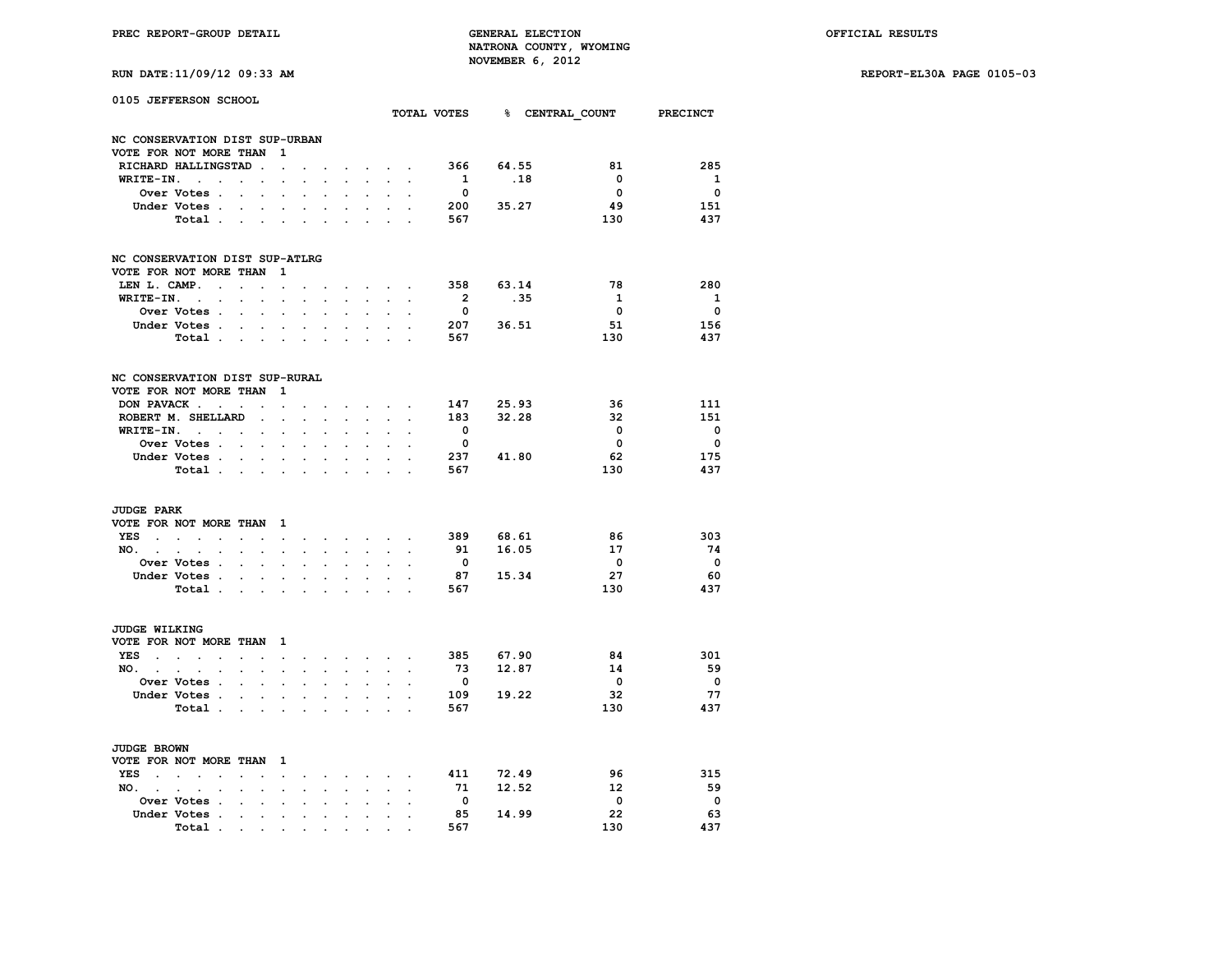**RUN DATE:11/09/12 09:33 AM REPORT-EL30A PAGE 0105-03**

| RUN DATE:11/09/12 09:33 AM |  |  |  |
|----------------------------|--|--|--|
|----------------------------|--|--|--|

| 0105 JEFFERSON SCHOOL              |                                                                      |                          |                      |                      |                      |                      |                      |                             |                      |                         |       |                            |                          |
|------------------------------------|----------------------------------------------------------------------|--------------------------|----------------------|----------------------|----------------------|----------------------|----------------------|-----------------------------|----------------------|-------------------------|-------|----------------------------|--------------------------|
|                                    |                                                                      |                          |                      |                      |                      |                      |                      |                             |                      | TOTAL VOTES             |       | <b>&amp; CENTRAL COUNT</b> | PRECINCT                 |
| NC CONSERVATION DIST SUP-URBAN     |                                                                      |                          |                      |                      |                      |                      |                      |                             |                      |                         |       |                            |                          |
| VOTE FOR NOT MORE THAN             |                                                                      |                          |                      | 1                    |                      |                      |                      |                             |                      |                         |       |                            |                          |
|                                    | RICHARD HALLINGSTAD                                                  |                          | $\ddot{\phantom{a}}$ | $\ddot{\phantom{a}}$ |                      |                      |                      | $\ddot{\phantom{0}}$        | $\ddot{\phantom{0}}$ | 366                     | 64.55 | 81                         | 285                      |
| WRITE-IN.                          | $\ddot{\phantom{a}}$<br>$\ddot{\phantom{a}}$                         | $\ddot{\phantom{a}}$     | $\ddot{\phantom{a}}$ |                      |                      |                      |                      |                             |                      | $\mathbf{1}$            | .18   | $\mathbf 0$                | $\mathbf{1}$             |
|                                    | Over Votes .                                                         | $\overline{a}$           | $\ddot{\phantom{0}}$ |                      | $\ddot{\phantom{a}}$ |                      | $\cdot$              |                             | $\overline{a}$       | $\Omega$                |       | $\Omega$                   | $\Omega$                 |
|                                    | Under Votes .                                                        |                          |                      | $\ddot{\phantom{0}}$ | $\ddot{\phantom{a}}$ |                      |                      |                             |                      | 200                     | 35.27 | 49                         | 151                      |
|                                    | Total.                                                               |                          |                      |                      |                      |                      |                      |                             |                      | 567                     |       | 130                        | 437                      |
|                                    |                                                                      |                          |                      |                      |                      |                      |                      |                             |                      |                         |       |                            |                          |
| NC CONSERVATION DIST SUP-ATLRG     |                                                                      |                          |                      |                      |                      |                      |                      |                             |                      |                         |       |                            |                          |
| VOTE FOR NOT MORE THAN             |                                                                      |                          |                      | 1                    |                      |                      |                      |                             |                      |                         |       |                            |                          |
| LEN L. CAMP.                       | $\ddot{\phantom{a}}$                                                 | $\ddot{\phantom{0}}$     |                      | $\ddot{\phantom{0}}$ |                      |                      |                      | $\ddot{\phantom{0}}$        | $\sim$               | 358                     | 63.14 | 78                         | 280                      |
| WRITE-IN.                          | $\Delta$<br>$\overline{a}$                                           |                          |                      |                      |                      |                      |                      |                             |                      | $\overline{2}$          | .35   | $\mathbf{1}$               | $\mathbf{1}$             |
|                                    | Over Votes .                                                         | $\ddot{\phantom{a}}$     | $\overline{a}$       | $\overline{a}$       | $\overline{a}$       | $\overline{a}$       |                      | $\overline{a}$              |                      | $\mathbf{o}$            |       | 0                          | 0                        |
|                                    | Under Votes.                                                         | $\ddot{\phantom{a}}$     |                      | $\ddot{\phantom{0}}$ | $\ddot{\phantom{a}}$ |                      |                      |                             | $\ddot{\phantom{a}}$ | 207                     | 36.51 | 51                         | 156                      |
|                                    | Total .                                                              |                          |                      |                      |                      |                      |                      |                             |                      | 567                     |       | 130                        | 437                      |
| NC CONSERVATION DIST SUP-RURAL     |                                                                      |                          |                      |                      |                      |                      |                      |                             |                      |                         |       |                            |                          |
| VOTE FOR NOT MORE THAN             |                                                                      |                          |                      | 1                    |                      |                      |                      |                             |                      |                         |       |                            |                          |
| DON PAVACK.                        |                                                                      |                          |                      |                      |                      |                      |                      |                             |                      | 147                     | 25.93 | 36                         | 111                      |
|                                    | $\ddot{\phantom{0}}$                                                 | $\ddot{\phantom{0}}$     |                      | $\ddot{\phantom{0}}$ |                      |                      |                      | $\ddot{\phantom{0}}$        |                      |                         |       | 32                         | 151                      |
|                                    | ROBERT M. SHELLARD                                                   |                          | $\overline{a}$       |                      |                      |                      |                      |                             |                      | 183                     | 32.28 |                            |                          |
| WRITE-IN.                          | <b>Contract</b><br>$\ddot{\phantom{0}}$                              | $\ddot{\phantom{a}}$     | $\ddot{\phantom{a}}$ | $\ddot{\phantom{a}}$ | $\ddot{\phantom{a}}$ | $\cdot$              | ÷                    | $\ddot{\phantom{a}}$        |                      | $\mathbf{0}$            |       | 0                          | $\mathbf{0}$             |
|                                    | Over Votes .                                                         | $\ddot{\phantom{a}}$     |                      |                      |                      |                      |                      |                             |                      | $\mathbf{0}$            |       | $\mathbf{0}$               | 0                        |
|                                    | Under Votes .                                                        | $\overline{a}$           |                      |                      |                      |                      |                      |                             |                      | 237                     | 41.80 | 62                         | 175                      |
|                                    | Total .                                                              | $\overline{\phantom{a}}$ | $\cdot$              | $\ddot{\phantom{a}}$ | $\ddot{\phantom{a}}$ | $\cdot$              | $\ddot{\phantom{a}}$ | $\ddot{\phantom{a}}$        | $\overline{a}$       | 567                     |       | 130                        | 437                      |
| <b>JUDGE PARK</b>                  |                                                                      |                          |                      |                      |                      |                      |                      |                             |                      |                         |       |                            |                          |
| VOTE FOR NOT MORE THAN             |                                                                      |                          |                      | 1                    |                      |                      |                      |                             |                      |                         |       |                            |                          |
| YES                                | $\ddot{\phantom{a}}$<br>$\sim$<br>$\ddot{\phantom{a}}$               |                          |                      | $\cdot$              |                      |                      | $\ddot{\phantom{a}}$ | $\mathcal{L}_{\mathcal{A}}$ |                      | 389                     | 68.61 | 86                         | 303                      |
| NO. .                              | $\sim$<br>$\ddot{\phantom{a}}$<br>$\ddot{\phantom{a}}$               | $\ddot{\phantom{a}}$     | $\ddot{\phantom{a}}$ | $\ddot{\phantom{a}}$ |                      | $\overline{a}$       | $\overline{a}$       | $\ddot{\phantom{0}}$        | $\mathbf{r}$         | 91                      | 16.05 | 17                         | 74                       |
|                                    | Over Votes .                                                         | $\ddot{\phantom{a}}$     | $\ddot{\phantom{a}}$ | $\ddot{\phantom{a}}$ | $\ddot{\phantom{a}}$ |                      |                      |                             | $\overline{a}$       | $\overline{\mathbf{0}}$ |       | $\overline{0}$             | $\overline{\phantom{0}}$ |
|                                    | Under Votes .                                                        |                          |                      |                      |                      |                      |                      |                             |                      | 87                      | 15.34 | 27                         | -60                      |
|                                    | Total .                                                              | $\ddot{\phantom{a}}$     | $\ddot{\phantom{a}}$ | $\ddot{\phantom{a}}$ | $\ddot{\phantom{a}}$ | $\cdot$              | $\ddot{\phantom{a}}$ | $\ddot{\phantom{a}}$        | $\overline{a}$       | 567                     |       | 130                        | 437                      |
|                                    |                                                                      |                          |                      |                      |                      |                      |                      |                             |                      |                         |       |                            |                          |
| JUDGE WILKING                      |                                                                      |                          |                      |                      |                      |                      |                      |                             |                      |                         |       |                            |                          |
| VOTE FOR NOT MORE THAN             |                                                                      |                          |                      | 1                    |                      |                      |                      |                             |                      |                         |       |                            |                          |
| YES                                | $\ddot{\phantom{0}}$<br>$\ddot{\phantom{a}}$<br>$\ddot{\phantom{a}}$ | $\ddot{\phantom{a}}$     |                      | $\cdot$              |                      |                      | $\ddot{\phantom{a}}$ | $\sim$                      |                      | 385                     | 67.90 | 84                         | 301                      |
| NO. .                              | $\ddot{\phantom{a}}$<br>$\sim$<br>$\ddot{\phantom{a}}$               | $\overline{a}$           | $\ddot{\phantom{a}}$ | $\overline{a}$       |                      |                      |                      | $\ddot{\phantom{0}}$        |                      | 73                      | 12.87 | 14                         | 59                       |
|                                    | Over Votes .                                                         | $\ddot{\phantom{a}}$     | $\ddot{\phantom{a}}$ | $\ddot{\phantom{0}}$ | $\ddot{\phantom{a}}$ |                      |                      |                             | $\overline{a}$       | $\mathbf{0}$            |       | $\overline{0}$             | $\overline{\mathbf{0}}$  |
|                                    | Under Votes .                                                        |                          |                      |                      |                      |                      |                      |                             |                      | 109                     | 19.22 | 32                         | 77                       |
|                                    | Total .                                                              | $\ddot{\phantom{a}}$     | $\ddot{\phantom{a}}$ | $\ddot{\phantom{a}}$ | $\ddot{\phantom{a}}$ | $\cdot$              | $\overline{a}$       | $\ddot{\phantom{a}}$        |                      | 567                     |       | 130                        | 437                      |
|                                    |                                                                      |                          |                      |                      |                      |                      |                      |                             |                      |                         |       |                            |                          |
| JUDGE BROWN                        |                                                                      |                          |                      |                      |                      |                      |                      |                             |                      |                         |       |                            |                          |
| VOTE FOR NOT MORE THAN             |                                                                      |                          |                      | 1                    |                      |                      |                      |                             |                      |                         |       |                            |                          |
| <b>YES</b><br>$\ddot{\phantom{a}}$ | $\ddot{\phantom{a}}$<br>$\sim$                                       |                          |                      |                      |                      |                      |                      |                             |                      | 411                     | 72.49 | 96                         | 315                      |
| NO.                                | $\ddot{\phantom{a}}$<br>$\overline{a}$                               |                          | $\ddot{\phantom{a}}$ |                      |                      |                      |                      | $\cdot$                     |                      | 71                      | 12.52 | 12                         | 59                       |
|                                    | Over Votes<br>$\overline{\phantom{a}}$                               | $\ddot{\phantom{a}}$     | $\ddot{\phantom{a}}$ | $\ddot{\phantom{0}}$ | $\overline{a}$       | $\ddot{\phantom{a}}$ |                      |                             |                      | $\Omega$                |       | $\Omega$                   | $\mathbf{0}$             |
|                                    | Under Votes .                                                        |                          |                      |                      |                      |                      |                      |                             |                      | 85                      | 14.99 | 22                         | 63                       |
|                                    | Total .                                                              | $\ddot{\phantom{a}}$     | $\ddot{\phantom{a}}$ | $\ddot{\phantom{a}}$ | $\ddot{\phantom{a}}$ | $\cdot$              |                      |                             |                      | 567                     |       | 130                        | 437                      |
|                                    |                                                                      |                          |                      |                      |                      |                      |                      |                             |                      |                         |       |                            |                          |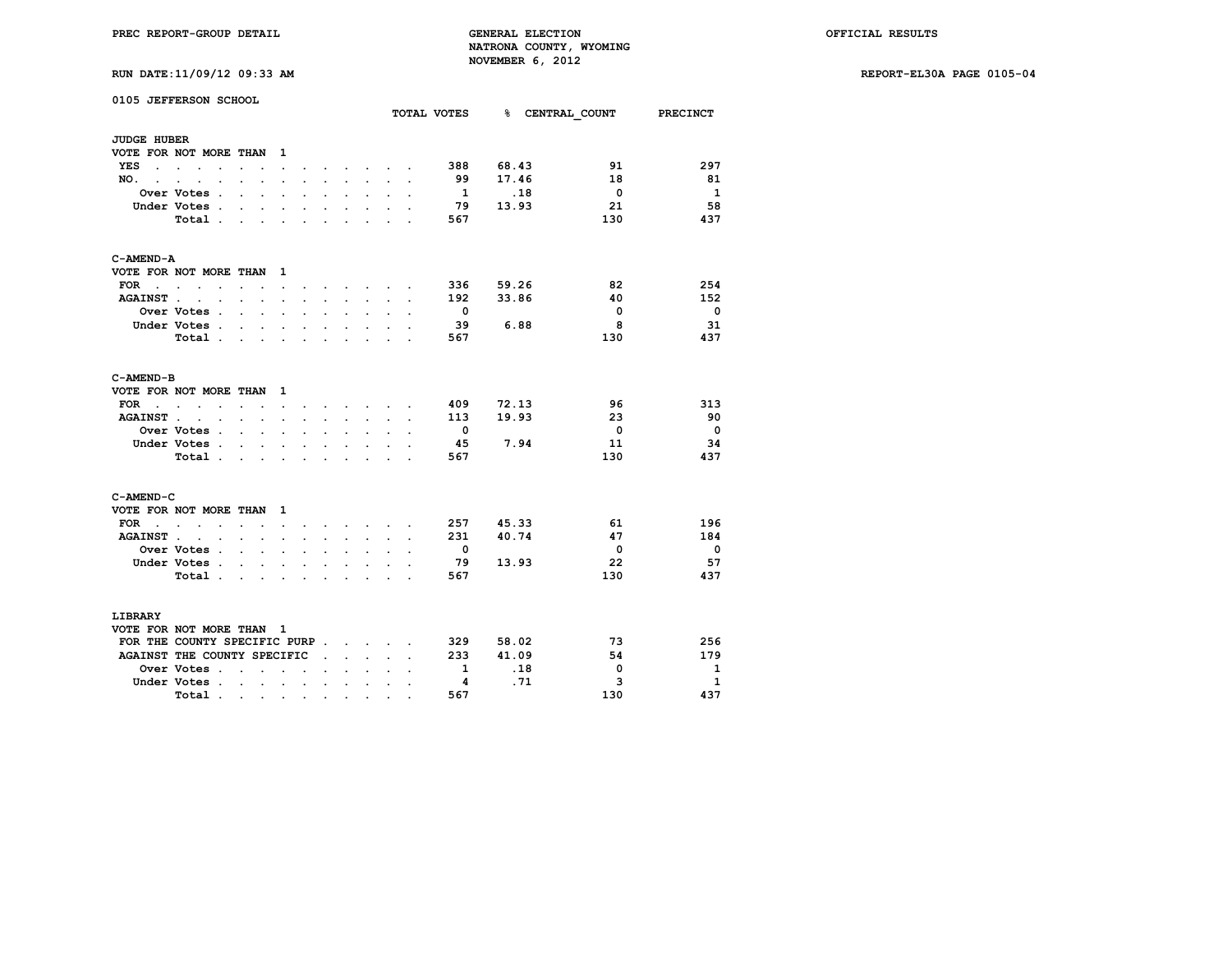**RUN DATE:11/09/12 09:33 AM REPORT-EL30A PAGE 0105-04**

|  | RUN DATE:11/09/12 09:33 AM |  |  |  |  |
|--|----------------------------|--|--|--|--|
|--|----------------------------|--|--|--|--|

|                    | 0105 JEFFERSON SCHOOL                                  |                      |                                              |                          |                         |                      |                      |                                            |                      |                                              | TOTAL VOTES              |       | % CENTRAL COUNT PRECINCT |                          |
|--------------------|--------------------------------------------------------|----------------------|----------------------------------------------|--------------------------|-------------------------|----------------------|----------------------|--------------------------------------------|----------------------|----------------------------------------------|--------------------------|-------|--------------------------|--------------------------|
| <b>JUDGE HUBER</b> |                                                        |                      |                                              |                          |                         |                      |                      |                                            |                      |                                              |                          |       |                          |                          |
|                    | VOTE FOR NOT MORE THAN                                 |                      |                                              | $\mathbf{1}$             |                         |                      |                      |                                            |                      |                                              |                          |       |                          |                          |
| <b>YES</b>         | the contract of the contract of                        | $\ddot{\phantom{0}}$ | $\ddot{\phantom{0}}$                         | $\ddot{\phantom{a}}$     |                         |                      |                      |                                            |                      | $\ddot{\phantom{0}}$                         | 388                      | 68.43 | 91                       | 297                      |
| NO. .              |                                                        |                      |                                              |                          |                         |                      |                      | $\bullet$ . The set of $\bullet$           |                      |                                              | 99                       | 17.46 | 18                       | 81                       |
|                    | $\sim$<br>$\cdot$<br>$\ddot{\phantom{0}}$              |                      |                                              |                          |                         | $\cdot$              |                      | $\ddot{\phantom{a}}$                       |                      |                                              | $\overline{1}$           | .18   | $\overline{\mathbf{0}}$  | $\overline{\mathbf{1}}$  |
|                    | Over Votes .<br>Under Votes .                          | $\sim$               | $\sim$                                       | $\cdot$                  | $\overline{a}$          |                      |                      |                                            |                      |                                              | 79                       | 13.93 | 21                       | 58                       |
|                    |                                                        | $\ddot{\phantom{0}}$ | $\ddot{\phantom{0}}$                         | $\ddot{\phantom{0}}$     |                         | $\ddot{\phantom{a}}$ | $\ddot{\phantom{0}}$ | $\ddot{\phantom{0}}$                       |                      |                                              |                          |       | 130                      | 437                      |
|                    | Total.                                                 | $\ddot{\phantom{a}}$ | $\ddot{\phantom{a}}$                         |                          |                         |                      |                      | $\ddot{\phantom{0}}$                       |                      |                                              | 567                      |       |                          |                          |
| C-AMEND-A          |                                                        |                      |                                              |                          |                         |                      |                      |                                            |                      |                                              |                          |       |                          |                          |
|                    | VOTE FOR NOT MORE THAN                                 |                      |                                              | $\mathbf{1}$             |                         |                      |                      |                                            |                      |                                              |                          |       |                          |                          |
| FOR .              | $\sim$<br>$\ddot{\phantom{0}}$<br>$\overline{a}$       | $\sim$               | $\ddot{\phantom{a}}$                         | $\ddot{\phantom{0}}$     | $\ddot{\phantom{0}}$    |                      | $\sim$               | <b>Contract Contract</b>                   |                      | $\sim$                                       | 336                      | 59.26 | 82                       | 254                      |
| <b>AGAINST.</b>    | $\ddot{\phantom{a}}$<br>$\sim$                         |                      | $\mathbf{r} = \mathbf{r} + \mathbf{r}$       |                          | $\cdot$                 | $\ddot{\phantom{a}}$ | $\ddot{\phantom{a}}$ | $\ddot{\phantom{0}}$                       |                      | $\cdot$                                      | 192                      | 33.86 | 40                       | 152                      |
|                    | <b>Over Votes .</b>                                    |                      | $\mathbf{r} = \mathbf{r}$                    | $\Box$                   | $\ddot{\phantom{a}}$    | $\ddot{\phantom{a}}$ | $\ddot{\phantom{0}}$ | $\ddot{\phantom{0}}$                       |                      | $\ddot{\phantom{0}}$                         | $\overline{\phantom{0}}$ |       | $\overline{0}$           | $\overline{\phantom{0}}$ |
|                    | Under Votes.                                           | $\sim$               | $\sim$                                       | $\ddot{\phantom{a}}$     |                         |                      |                      |                                            |                      |                                              | 39                       | 6.88  | 8                        | 31                       |
|                    | Total.                                                 |                      |                                              | and a state of the state | $\sim$                  |                      | $\sim$ $\sim$        | $\sim$                                     | $\ddot{\phantom{a}}$ |                                              | 567                      |       | 130                      | 437                      |
| C-AMEND-B          |                                                        |                      |                                              |                          |                         |                      |                      |                                            |                      |                                              |                          |       |                          |                          |
|                    | VOTE FOR NOT MORE THAN                                 |                      |                                              | $\mathbf{1}$             |                         |                      |                      |                                            |                      |                                              |                          |       |                          |                          |
| FOR                | $\ddot{\phantom{a}}$<br>$\sim$<br>$\ddot{\phantom{0}}$ | $\cdot$ $\cdot$      |                                              | $\sim$                   | $\ddot{\phantom{a}}$    | $\cdot$              | $\ddot{\phantom{a}}$ | <b>Contract Contract Contract Contract</b> |                      |                                              | 409                      | 72.13 | 96                       | 313                      |
| <b>AGAINST.</b>    | $\sim$ $\sim$                                          |                      | $\mathbf{r} = \mathbf{r} \cdot \mathbf{r}$ . | $\ddot{\phantom{a}}$     | $\ddot{\phantom{a}}$    | $\ddot{\phantom{a}}$ | $\ddot{\phantom{0}}$ | $\ddot{\phantom{0}}$                       |                      | $\ddot{\phantom{0}}$<br>$\ddot{\phantom{a}}$ | 113                      | 19.93 | 23                       | -90                      |
|                    | Over Votes .                                           | $\mathbf{r}$         | $\mathbf{r}$                                 | $\ddot{\phantom{0}}$     | $\ddot{\phantom{a}}$    |                      |                      |                                            |                      |                                              | $\overline{\phantom{0}}$ |       | $\overline{\mathbf{0}}$  | $\overline{\phantom{0}}$ |
|                    | Under Votes .                                          | $\sim$               | $\ddot{\phantom{0}}$                         | $\ddot{\phantom{0}}$     | $\ddot{\phantom{0}}$    | $\ddot{\phantom{0}}$ | $\ddot{\phantom{0}}$ | $\ddot{\phantom{0}}$                       |                      |                                              | -45                      | 7.94  | 11                       | 34                       |
|                    | Total .                                                | $\sim$               |                                              |                          |                         |                      |                      |                                            |                      |                                              | 567                      |       | 130                      | 437                      |
| C-AMEND-C          |                                                        |                      |                                              |                          |                         |                      |                      |                                            |                      |                                              |                          |       |                          |                          |
|                    | VOTE FOR NOT MORE THAN                                 |                      |                                              | $\mathbf{1}$             |                         |                      |                      |                                            |                      |                                              |                          |       |                          |                          |
| FOR                | and the contract of the con-                           | $\sim$               |                                              | $\ddot{\phantom{a}}$     |                         |                      | $\ddot{\phantom{a}}$ | <b>Contract Contract</b>                   |                      |                                              | 257                      | 45.33 | 61                       | 196                      |
| <b>AGAINST.</b>    | $\ddot{\phantom{a}}$<br>$\ddot{\phantom{a}}$           | s.                   | s.                                           | $\ddot{\phantom{a}}$     |                         |                      | J.                   | $\mathbf{r}$                               |                      | $\mathbf{r}$                                 | 231                      | 40.74 | 47                       | 184                      |
|                    | Over Votes .                                           | $\ddot{\phantom{0}}$ | $\ddot{\phantom{0}}$                         | $\ddot{\phantom{a}}$     |                         | $\ddot{\phantom{0}}$ | $\ddot{\phantom{0}}$ | $\ddot{\phantom{a}}$                       |                      |                                              | $\overline{\phantom{0}}$ |       | $\overline{\mathbf{0}}$  | $\overline{\phantom{0}}$ |
|                    | Under Votes .                                          | $\ddot{\phantom{a}}$ | $\ddot{\phantom{a}}$                         |                          |                         |                      |                      |                                            |                      |                                              | - 79                     | 13.93 | 22                       | 57                       |
|                    | Total.                                                 | a.                   | $\sim$                                       |                          | $\cdot$                 | $\ddot{\phantom{a}}$ | $\ddot{\phantom{a}}$ |                                            |                      |                                              | 567                      |       | 130                      | 437                      |
|                    |                                                        |                      |                                              |                          |                         |                      |                      |                                            |                      |                                              |                          |       |                          |                          |
| <b>LIBRARY</b>     |                                                        |                      |                                              |                          |                         |                      |                      |                                            |                      |                                              |                          |       |                          |                          |
|                    | VOTE FOR NOT MORE THAN 1                               |                      |                                              |                          |                         |                      |                      |                                            |                      |                                              |                          |       |                          |                          |
|                    | FOR THE COUNTY SPECIFIC PURP                           |                      |                                              |                          |                         |                      |                      |                                            |                      |                                              | 329                      | 58.02 | 73                       | 256                      |
|                    | AGAINST THE COUNTY SPECIFIC                            |                      |                                              |                          |                         | $\cdot$              | $\ddot{\phantom{0}}$ | $\ddot{\phantom{0}}$                       |                      |                                              | 233                      | 41.09 | 54                       | 179                      |
|                    | Over Votes.                                            | $\ddot{\phantom{0}}$ | $\ddot{\phantom{a}}$                         | $\overline{a}$           | $\ddot{\phantom{a}}$    |                      |                      |                                            |                      |                                              | $\mathbf{1}$             | .18   | 0                        | - 1                      |
|                    | Under Votes.                                           | $\sim$               | $\sim$                                       | $\sim$                   | $\ddot{\phantom{a}}$    | $\cdot$              | $\cdot$              | $\ddot{\phantom{0}}$                       |                      |                                              | 4                        | .71   | 3                        | $\mathbf{1}$             |
|                    | Total .                                                | $\sim 100$           |                                              | <b>Contract Contract</b> | $\sim 100$ km s $^{-1}$ | $\bullet$ .          | $\bullet$            | $\bullet$                                  |                      |                                              | 567                      |       | 130                      | 437                      |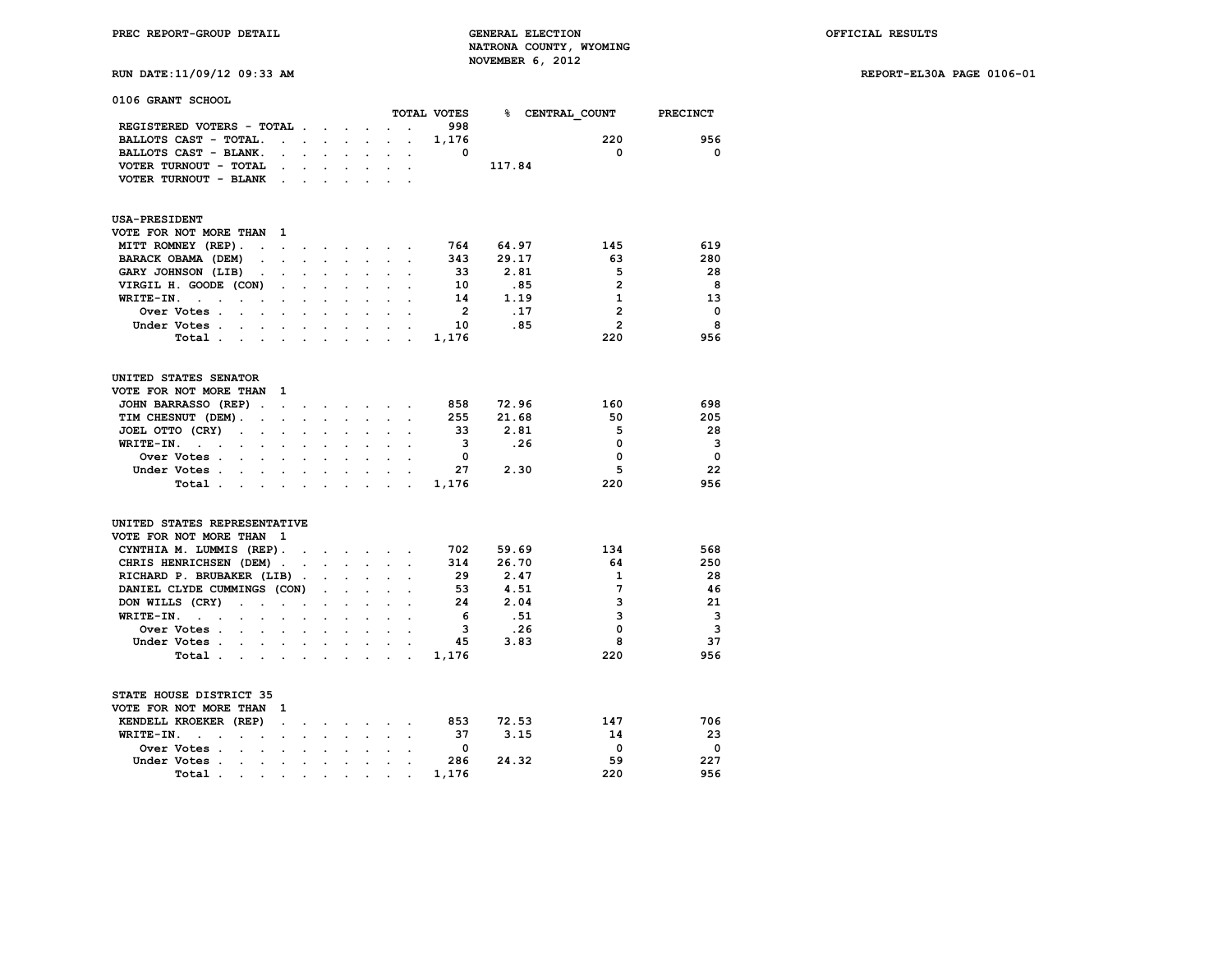**RUN DATE:11/09/12 09:33 AM REPORT-EL30A PAGE 0106-01**

| 0106 GRANT SCHOOL                                                                |                      |                      |                          |                      |                      |                      |                      | TOTAL VOTES    |        |                 | <b>PRECINCT</b> |
|----------------------------------------------------------------------------------|----------------------|----------------------|--------------------------|----------------------|----------------------|----------------------|----------------------|----------------|--------|-----------------|-----------------|
|                                                                                  |                      |                      |                          |                      |                      |                      |                      | 998            |        | % CENTRAL COUNT |                 |
| REGISTERED VOTERS - TOTAL                                                        |                      |                      |                          |                      | $\ddot{\phantom{0}}$ |                      |                      | 1,176          |        | 220             | 956             |
| BALLOTS CAST - TOTAL.<br>BALLOTS CAST - BLANK.                                   | $\ddot{\phantom{0}}$ | $\mathbf{r}$         |                          |                      |                      |                      |                      | $\Omega$       |        | 0               | $\Omega$        |
|                                                                                  |                      | $\mathbf{r}$         | $\mathbf{r}$             | $\cdot$              | $\ddot{\phantom{a}}$ | $\ddot{\phantom{0}}$ |                      |                | 117.84 |                 |                 |
| VOTER TURNOUT - TOTAL                                                            |                      |                      |                          |                      |                      |                      |                      |                |        |                 |                 |
| VOTER TURNOUT - BLANK                                                            | $\ddot{\phantom{a}}$ |                      |                          |                      |                      |                      |                      |                |        |                 |                 |
| <b>USA-PRESIDENT</b>                                                             |                      |                      |                          |                      |                      |                      |                      |                |        |                 |                 |
| VOTE FOR NOT MORE THAN                                                           | 1                    |                      |                          |                      |                      |                      |                      |                |        |                 |                 |
| MITT ROMNEY (REP).<br>$\cdot$                                                    | $\cdot$              | $\ddot{\phantom{0}}$ | <b>Contract Contract</b> |                      | $\ddot{\phantom{0}}$ | $\sim$               | $\sim$               | 764            | 64.97  | 145             | 619             |
| BARACK OBAMA (DEM)<br>$\ddot{\phantom{a}}$                                       |                      |                      |                          |                      |                      |                      |                      | 343            | 29.17  | 63              | 280             |
| GARY JOHNSON (LIB)<br>$\ddot{\phantom{0}}$                                       | $\ddot{\phantom{0}}$ | $\ddot{\phantom{a}}$ | $\ddot{\phantom{0}}$     | $\ddot{\phantom{a}}$ | $\ddot{\phantom{0}}$ | $\ddot{\phantom{a}}$ |                      | 33             | 2.81   | 5               | 28              |
| VIRGIL H. GOODE (CON)                                                            |                      |                      |                          |                      |                      |                      |                      | 10             | .85    | $\overline{2}$  | 8               |
| WRITE-IN.<br>$\sim$<br>$\ddot{\phantom{a}}$<br>$\bullet$<br>$\ddot{\phantom{a}}$ | $\cdot$              | $\ddot{\phantom{0}}$ |                          |                      | $\cdot$              |                      |                      | 14             | 1.19   | $\mathbf{1}$    | 13              |
| Over Votes .                                                                     |                      |                      |                          |                      |                      |                      |                      | $\overline{2}$ | .17    | $\overline{2}$  | $\mathbf{o}$    |
| Under Votes.<br>$\sim$ $\sim$ $\sim$ $\sim$                                      |                      |                      |                          |                      |                      |                      |                      | 10             | .85    | $\overline{2}$  | 8               |
| Total.<br>$\mathbf{r} = \mathbf{r} + \mathbf{r}$                                 |                      |                      | $\overline{a}$           | $\overline{a}$       | $\mathbf{r}$         |                      |                      | 1,176          |        | 220             | 956             |
| UNITED STATES SENATOR                                                            |                      |                      |                          |                      |                      |                      |                      |                |        |                 |                 |
| VOTE FOR NOT MORE THAN                                                           | 1                    |                      |                          |                      |                      |                      |                      |                |        |                 |                 |
| JOHN BARRASSO (REP).                                                             | $\mathbf{r}$         |                      |                          |                      |                      |                      |                      | 858            | 72.96  | 160             | 698             |
| TIM CHESNUT (DEM).<br>$\ddot{\phantom{0}}$                                       | $\ddot{\phantom{a}}$ | $\ddot{\phantom{0}}$ | $\ddot{\phantom{0}}$     | $\ddot{\phantom{0}}$ | $\sim$               | $\ddot{\phantom{0}}$ |                      | 255            | 21.68  | 50              | 205             |
| JOEL OTTO (CRY)<br>$\ddot{\phantom{a}}$                                          |                      |                      |                          |                      |                      |                      |                      | 33             | 2.81   | 5               | 28              |
| WRITE-IN.<br>$\ddot{\phantom{0}}$<br>$\overline{a}$                              |                      |                      |                          |                      |                      |                      |                      | 3              | .26    | 0               | 3               |
| Over Votes .                                                                     |                      |                      |                          |                      |                      |                      |                      | $^{\circ}$     |        | 0               | $\Omega$        |
| Under Votes                                                                      |                      |                      |                          |                      | $\ddot{\phantom{0}}$ |                      |                      | 27             | 2.30   | 5               | 22              |
| Total                                                                            |                      | $\cdot$              | $\overline{a}$           | $\ddot{\phantom{0}}$ | $\sim$               | $\ddot{\phantom{a}}$ |                      | 1,176          |        | 220             | 956             |
| UNITED STATES REPRESENTATIVE                                                     |                      |                      |                          |                      |                      |                      |                      |                |        |                 |                 |
| VOTE FOR NOT MORE THAN                                                           | - 1                  |                      |                          |                      |                      |                      |                      |                |        |                 |                 |
| CYNTHIA M. LUMMIS (REP).                                                         |                      |                      |                          |                      |                      |                      |                      | 702            | 59.69  | 134             | 568             |
| CHRIS HENRICHSEN (DEM).                                                          |                      | $\ddot{\phantom{a}}$ | $\sim$                   | $\mathbf{r}$         | $\ddot{\phantom{0}}$ |                      |                      | 314            | 26.70  | 64              | 250             |
| RICHARD P. BRUBAKER (LIB)                                                        |                      | $\blacksquare$       | $\ddot{\phantom{a}}$     | $\ddot{\phantom{a}}$ | $\ddot{\phantom{a}}$ |                      |                      | 29             | 2.47   | 1               | 28              |
| DANIEL CLYDE CUMMINGS (CON)                                                      |                      |                      | $\ddot{\phantom{a}}$     |                      |                      |                      |                      | 53             | 4.51   | 7               | 46              |
| DON WILLS (CRY)<br>$\cdot$<br>$\sim$                                             | $\sim$               | $\ddot{\phantom{0}}$ | $\overline{a}$           | $\ddot{\phantom{a}}$ | $\ddot{\phantom{a}}$ | $\overline{a}$       |                      | 24             | 2.04   | 3               | 21              |
| WRITE-IN.<br>$\mathcal{L}^{\mathcal{L}}$ and $\mathcal{L}^{\mathcal{L}}$         |                      |                      |                          |                      |                      |                      |                      | - 6            | .51    | 3               | 3               |
| Over Votes.<br>$\ddot{\phantom{a}}$<br>$\ddot{\phantom{a}}$                      | $\ddot{\phantom{a}}$ | $\ddot{\phantom{a}}$ | $\ddot{\phantom{0}}$     | $\ddot{\phantom{a}}$ | $\ddot{\phantom{0}}$ |                      |                      | - 3            | .26    | 0               | 3               |
| Under Votes.<br>$\mathbf{r}$<br>$\mathbf{r}$                                     |                      | $\ddot{\phantom{a}}$ |                          |                      |                      |                      |                      | 45             | 3.83   | 8               | 37              |
| Total.<br>$\ddot{\phantom{0}}$<br>$\ddot{\phantom{0}}$                           | $\bullet$            | $\cdot$              | $\ddot{\phantom{a}}$     | $\bullet$            | $\cdot$              |                      | $\ddot{\phantom{a}}$ | 1,176          |        | 220             | 956             |
| STATE HOUSE DISTRICT 35                                                          |                      |                      |                          |                      |                      |                      |                      |                |        |                 |                 |
| VOTE FOR NOT MORE THAN                                                           | 1                    |                      |                          |                      |                      |                      |                      |                |        |                 |                 |
| KENDELL KROEKER (REP)                                                            | $\ddot{\phantom{a}}$ | $\overline{a}$       | $\overline{a}$           |                      | $\sim$               | $\ddot{\phantom{a}}$ | $\sim$               | 853            | 72.53  | 147             | 706             |
| WRITE-IN.<br>$\ddot{\phantom{0}}$<br>$\ddot{\phantom{0}}$                        |                      |                      |                          |                      |                      |                      |                      | 37             | 3.15   | 14              | 23              |
| Over Votes .<br>$\ddot{\phantom{a}}$<br>$\ddot{\phantom{0}}$                     | $\ddot{\phantom{a}}$ | $\ddot{\phantom{a}}$ |                          |                      | $\ddot{\phantom{a}}$ |                      |                      | 0              |        | 0               | 0               |
| Under Votes.<br>$\mathbf{r}$<br>$\overline{a}$                                   |                      |                      |                          |                      |                      |                      |                      | 286            | 24.32  | 59              | 227             |
| Total.<br>$\ddot{\phantom{0}}$                                                   | $\ddot{\phantom{0}}$ | $\ddot{\phantom{0}}$ | $\ddot{\phantom{0}}$     |                      |                      |                      |                      | 1,176          |        | 220             | 956             |
|                                                                                  |                      |                      |                          |                      |                      |                      |                      |                |        |                 |                 |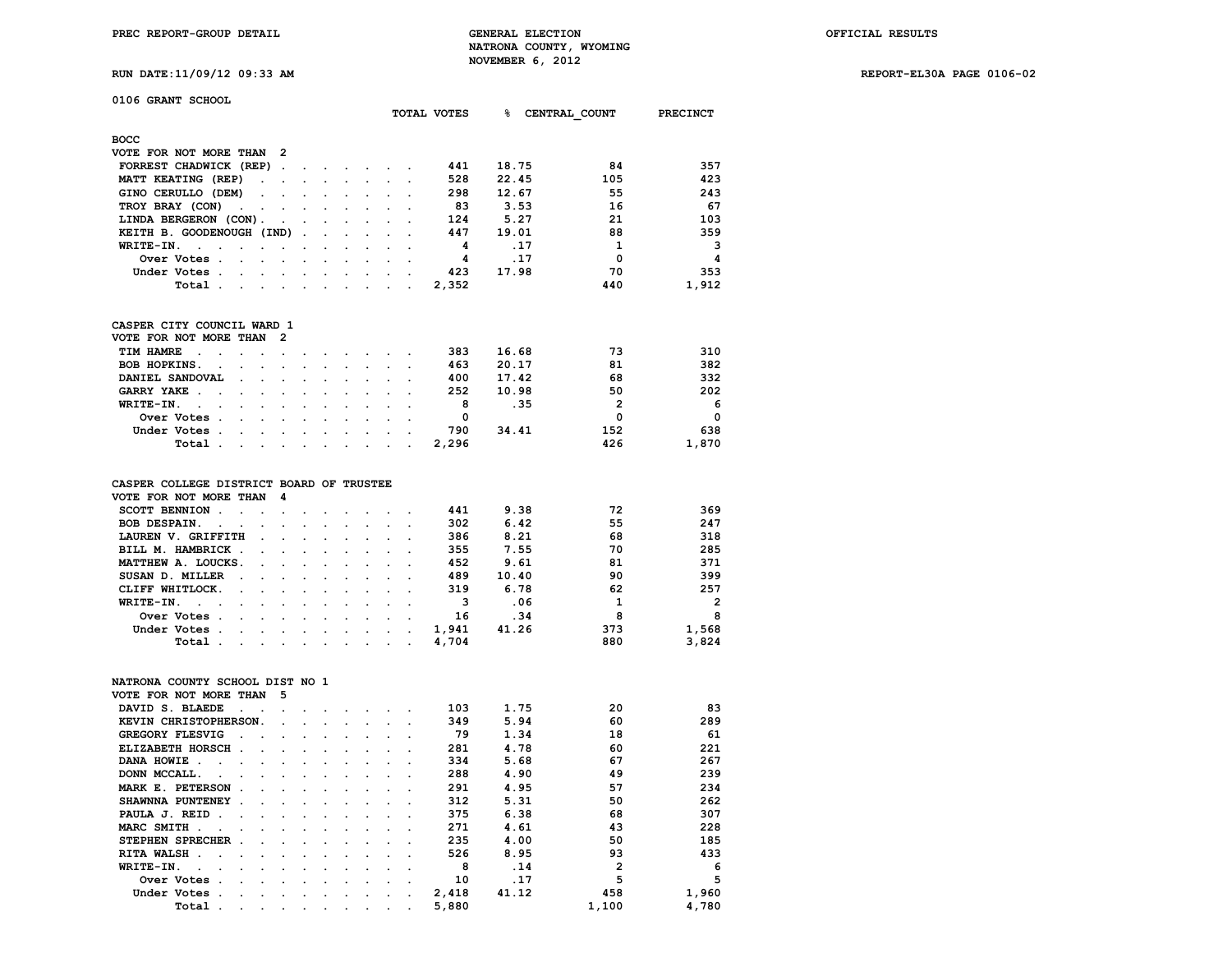**PREC REPORT-GROUP DETAIL GENERAL ELECTION OFFICIAL RESULTS NATRONA COUNTY, WYOMING** NOVEMBER 6, 2012<br>**מב 11/04/12 ה-11/04/17 היישוב בינוע ה-11/04/1**9 ה-11/04/17 ה-11/04/17 ה-11/04/17 ה-11/10 ה-11/10

**RUN DATE:11/09/12 09:33 AM REPORT-EL30A PAGE 0106-02**

|  |  |  |  | RUN DATE:11/09/12 09:33 . |  |
|--|--|--|--|---------------------------|--|
|--|--|--|--|---------------------------|--|

**0106 GRANT SCHOOL**

|                                                           |                      |                      |                      |                      |                      |                      |                      |                      |                      | TOTAL VOTES             | ჭ —   | CENTRAL COUNT  | <b>PRECINCT</b>         |
|-----------------------------------------------------------|----------------------|----------------------|----------------------|----------------------|----------------------|----------------------|----------------------|----------------------|----------------------|-------------------------|-------|----------------|-------------------------|
| <b>BOCC</b>                                               |                      |                      |                      |                      |                      |                      |                      |                      |                      |                         |       |                |                         |
| VOTE FOR NOT MORE THAN                                    |                      |                      | 2                    |                      |                      |                      |                      |                      |                      |                         |       |                |                         |
| FORREST CHADWICK (REP)                                    |                      |                      | $\ddot{\phantom{a}}$ | $\bullet$            | $\ddot{\phantom{0}}$ |                      |                      |                      |                      | 441                     | 18.75 | 84             | 357                     |
| MATT KEATING (REP)                                        |                      | $\ddot{\phantom{0}}$ | $\ddot{\phantom{0}}$ |                      |                      |                      |                      |                      |                      | 528                     | 22.45 | 105            | 423                     |
| GINO CERULLO (DEM)                                        |                      |                      |                      |                      |                      |                      |                      |                      |                      | 298                     | 12.67 | 55             | 243                     |
| TROY BRAY (CON)                                           | $\ddot{\phantom{a}}$ |                      |                      |                      |                      |                      |                      |                      |                      | 83                      | 3.53  | 16             | 67                      |
| LINDA BERGERON (CON).                                     |                      |                      |                      |                      |                      |                      |                      |                      |                      | 124                     | 5.27  | 21             | 103                     |
| KEITH B. GOODENOUGH (IND)                                 |                      |                      |                      | $\ddot{\phantom{a}}$ |                      |                      |                      |                      |                      | 447                     | 19.01 | 88             | 359                     |
| WRITE-IN.<br>$\sim$<br>$\cdot$                            |                      |                      |                      | $\cdot$              | $\ddot{\phantom{a}}$ |                      | $\ddot{\phantom{a}}$ | $\ddot{\phantom{a}}$ | $\cdot$              | -4                      | .17   | 1              | $\mathbf{3}$            |
| Over Votes .                                              | $\overline{a}$       | $\overline{a}$       | $\ddot{\phantom{0}}$ | $\overline{a}$       |                      |                      | $\overline{a}$       | $\ddot{\phantom{a}}$ | $\ddot{\phantom{0}}$ | 4                       | .17   | $\Omega$       | -4                      |
| Under Votes.                                              |                      |                      |                      |                      |                      |                      | $\overline{a}$       | $\overline{a}$       | $\overline{a}$       | 423                     | 17.98 | 70             | 353                     |
|                                                           |                      |                      |                      |                      |                      |                      |                      |                      |                      |                         |       |                |                         |
| Total.                                                    | $\ddot{\phantom{0}}$ |                      |                      | $\ddot{\phantom{0}}$ |                      |                      | $\cdot$              | ÷                    | $\ddot{\phantom{a}}$ | 2,352                   |       | 440            | 1,912                   |
| CASPER CITY COUNCIL WARD 1                                |                      |                      |                      |                      |                      |                      |                      |                      |                      |                         |       |                |                         |
| VOTE FOR NOT MORE THAN                                    |                      |                      | $\overline{2}$       |                      |                      |                      |                      |                      |                      |                         |       |                |                         |
| TIM HAMRE<br>$\ddot{\phantom{a}}$<br>$\ddot{\phantom{a}}$ | $\ddot{\phantom{a}}$ | $\ddot{\phantom{a}}$ | $\ddot{\phantom{a}}$ |                      |                      |                      |                      | $\ddot{\phantom{a}}$ | $\cdot$              | 383                     | 16.68 | 73             | 310                     |
| BOB HOPKINS.<br>$\overline{a}$                            |                      |                      |                      |                      |                      |                      |                      |                      | $\overline{a}$       | 463                     | 20.17 | 81             | 382                     |
| DANIEL SANDOVAL                                           |                      |                      |                      |                      |                      |                      |                      |                      |                      | 400                     | 17.42 | 68             | 332                     |
| GARRY YAKE.<br>$\ddot{\phantom{a}}$                       |                      |                      | $\overline{a}$       |                      |                      |                      | $\cdot$              | $\cdot$              |                      | 252                     | 10.98 | 50             | 202                     |
| WRITE-IN.<br>$\sim$<br>$\cdot$                            | $\overline{a}$       | $\overline{a}$       | $\overline{a}$       |                      | $\overline{a}$       |                      | $\overline{a}$       | $\overline{a}$       | $\overline{a}$       | - 8                     | .35   | $\overline{2}$ | - 6                     |
| Over Votes.                                               |                      |                      |                      |                      |                      |                      |                      |                      |                      | $\overline{0}$          |       | $\Omega$       | $\overline{\mathbf{0}}$ |
| Under Votes .                                             | $\ddot{\phantom{0}}$ |                      | $\ddot{\phantom{0}}$ | $\ddot{\phantom{0}}$ |                      |                      |                      |                      |                      | 790                     | 34.41 | 152            | 638                     |
| Total .                                                   | $\ddot{\phantom{0}}$ | $\ddot{\phantom{0}}$ |                      |                      |                      |                      |                      |                      |                      | 2,296                   |       | 426            | 1,870                   |
|                                                           |                      |                      |                      |                      |                      |                      |                      |                      |                      |                         |       |                |                         |
| CASPER COLLEGE DISTRICT BOARD OF TRUSTEE                  |                      |                      |                      |                      |                      |                      |                      |                      |                      |                         |       |                |                         |
| VOTE FOR NOT MORE THAN                                    |                      |                      | 4                    |                      |                      |                      |                      |                      |                      |                         |       |                |                         |
| SCOTT BENNION.                                            | $\ddot{\phantom{a}}$ |                      | $\overline{a}$       |                      |                      |                      |                      | $\ddot{\phantom{a}}$ | $\ddot{\phantom{a}}$ | 441                     | 9.38  | 72             | 369                     |
| BOB DESPAIN.<br>$\cdot$                                   | $\ddot{\phantom{a}}$ | $\ddot{\phantom{0}}$ | $\ddot{\phantom{a}}$ |                      |                      |                      |                      |                      | $\ddot{\phantom{a}}$ | 302                     | 6.42  | 55             | 247                     |
| LAUREN V. GRIFFITH                                        |                      | $\ddot{\phantom{a}}$ |                      |                      |                      |                      | $\ddot{\phantom{a}}$ | $\cdot$              | $\ddot{\phantom{a}}$ | 386                     | 8.21  | 68             | 318                     |
| BILL M. HAMBRICK.                                         |                      | $\ddot{\phantom{0}}$ | $\overline{a}$       | $\overline{a}$       |                      |                      | $\overline{a}$       | $\overline{a}$       | $\overline{a}$       | 355                     | 7.55  | 70             | 285                     |
| MATTHEW A. LOUCKS.                                        |                      |                      |                      |                      |                      |                      |                      |                      |                      | 452                     | 9.61  | 81             | 371                     |
| SUSAN D. MILLER                                           | $\blacksquare$ .     |                      |                      |                      |                      |                      |                      |                      |                      | 489                     | 10.40 | 90             | 399                     |
| CLIFF WHITLOCK.                                           |                      |                      |                      |                      |                      |                      |                      |                      |                      | 319                     | 6.78  | 62             | 257                     |
| WRITE-IN.<br>$\sim$ $\sim$                                |                      |                      |                      |                      |                      |                      |                      |                      |                      | $\overline{\mathbf{3}}$ | .06   | $\mathbf{1}$   | $\overline{2}$          |
| Over Votes .                                              |                      |                      |                      |                      |                      |                      |                      |                      |                      | 16                      | .34   | 8              | $_{\rm 8}$              |
| Under Votes .                                             |                      |                      |                      |                      |                      | $\ddot{\phantom{a}}$ | $\cdot$              |                      | $\ddot{\phantom{0}}$ | 1,941                   | 41.26 | 373            | 1,568                   |
|                                                           |                      |                      |                      |                      | $\cdot$              |                      |                      |                      |                      |                         |       |                | 3,824                   |
| Total.                                                    | $\cdot$              | $\cdot$              | $\cdot$              | $\ddot{\phantom{a}}$ | $\ddot{\phantom{a}}$ | $\ddot{\phantom{a}}$ | $\overline{a}$       |                      | $\ddot{\phantom{a}}$ | 4,704                   |       | 880            |                         |
| NATRONA COUNTY SCHOOL DIST NO 1                           |                      |                      |                      |                      |                      |                      |                      |                      |                      |                         |       |                |                         |
| VOTE FOR NOT MORE THAN                                    |                      |                      | 5                    |                      |                      |                      |                      |                      |                      |                         |       |                |                         |
| DAVID S. BLAEDE                                           | $\blacksquare$       |                      |                      |                      |                      |                      |                      |                      |                      | 103                     | 1.75  | 20             | 83                      |
| KEVIN CHRISTOPHERSON.                                     |                      |                      | $\ddot{\phantom{0}}$ |                      |                      |                      |                      |                      |                      | 349                     | 5.94  | 60             | 289                     |
| GREGORY FLESVIG                                           | $\ddot{\phantom{a}}$ | $\ddot{\phantom{a}}$ |                      |                      |                      |                      |                      |                      |                      | 79                      | 1.34  | 18             | 61                      |
| ELIZABETH HORSCH.                                         |                      |                      |                      |                      |                      |                      |                      |                      |                      | 281                     | 4.78  | 60             | 221                     |
| DANA HOWIE.<br>$\cdot$                                    |                      |                      |                      |                      |                      |                      |                      |                      |                      | 334                     | 5.68  | 67             | 267                     |
| DONN MCCALL.<br>$\cdot$                                   |                      |                      |                      |                      |                      |                      |                      |                      |                      | 288                     | 4.90  | 49             | 239                     |
| MARK E. PETERSON.                                         |                      |                      |                      |                      |                      |                      |                      |                      | $\overline{a}$       | 291                     | 4.95  | 57             | 234                     |
| SHAWNNA PUNTENEY .                                        |                      |                      |                      |                      |                      |                      |                      |                      |                      | 312                     | 5.31  | 50             | 262                     |
| PAULA J. REID.                                            | $\sim$               |                      |                      |                      |                      |                      |                      |                      |                      | 375                     | 6.38  | 68             | 307                     |
| MARC SMITH.                                               |                      |                      |                      |                      |                      | $\overline{a}$       | $\overline{a}$       | $\overline{a}$       |                      | 271                     | 4.61  | 43             | 228                     |
| $\cdot$                                                   |                      |                      | $\overline{a}$       |                      |                      |                      |                      |                      | $\ddot{\phantom{0}}$ | 235                     | 4.00  | 50             | 185                     |
| STEPHEN SPRECHER.                                         |                      |                      |                      |                      | $\overline{a}$       |                      | $\overline{a}$       |                      | $\overline{a}$       |                         |       | 93             |                         |
| RITA WALSH.                                               |                      |                      |                      |                      |                      |                      |                      |                      |                      | 526                     | 8.95  |                | 433                     |
| WRITE-IN.                                                 | $\ddot{\phantom{0}}$ |                      |                      |                      | $\ddot{\phantom{0}}$ |                      |                      |                      |                      | 8                       | .14   | $\overline{2}$ | 6                       |
| Over Votes                                                |                      |                      |                      |                      |                      |                      |                      |                      |                      | 10                      | .17   | 5              | 5                       |

0 17 5 5 5 5 د . . . . . . . . . . . . . 10 . . 17 5 5<br>1,960 Under Votes . . . . . . . . . . . . . 2,418 41.12 458 1,960  **Under Votes . . . . . . . . . . 2,418 41.12 458 1,960 Total . . . . . . . . . . 5,880 1,100 4,780**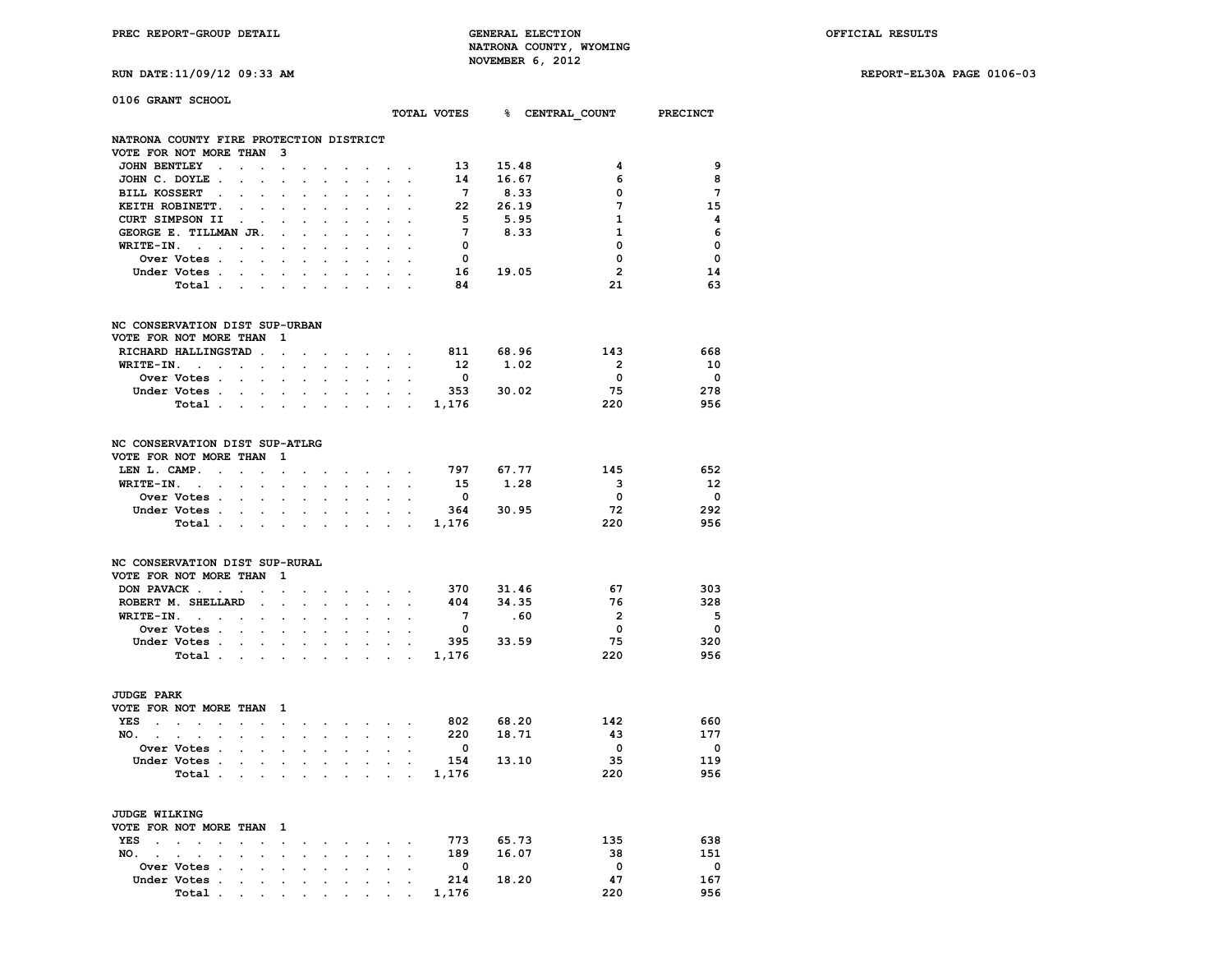**RUN DATE:11/09/12 09:33 AM REPORT-EL30A PAGE 0106-03**

| 0106 GRANT SCHOOL                                                                 |                                                                                 |                                                           |                      |                                              |                             |                                   |                      |                                                                                                                                                                                                                                | TOTAL VOTES 8 CENTRAL COUNT PRECINCT |                        |                         |                          |
|-----------------------------------------------------------------------------------|---------------------------------------------------------------------------------|-----------------------------------------------------------|----------------------|----------------------------------------------|-----------------------------|-----------------------------------|----------------------|--------------------------------------------------------------------------------------------------------------------------------------------------------------------------------------------------------------------------------|--------------------------------------|------------------------|-------------------------|--------------------------|
|                                                                                   |                                                                                 |                                                           |                      |                                              |                             |                                   |                      |                                                                                                                                                                                                                                |                                      |                        |                         |                          |
| NATRONA COUNTY FIRE PROTECTION DISTRICT<br>VOTE FOR NOT MORE THAN 3               |                                                                                 |                                                           |                      |                                              |                             |                                   |                      |                                                                                                                                                                                                                                |                                      |                        |                         |                          |
| JOHN BENTLEY .                                                                    | $\mathbf{r} = \mathbf{r} \cdot \mathbf{r}$                                      | $\ddot{\phantom{a}}$                                      | $\ddot{\phantom{a}}$ | $\cdot$                                      | $\ddot{\phantom{a}}$        |                                   |                      |                                                                                                                                                                                                                                | 13                                   | 15.48                  | 4                       | 9                        |
| JOHN C. DOYLE.                                                                    |                                                                                 | $\ddot{\phantom{a}}$                                      |                      |                                              |                             |                                   |                      |                                                                                                                                                                                                                                | 14                                   | 16.67                  | 6                       | 8                        |
| BILL KOSSERT .                                                                    | $\ddot{\phantom{a}}$<br>$\ddot{\phantom{a}}$                                    | $\ddot{\phantom{a}}$                                      |                      | $\overline{a}$                               | $\ddot{\phantom{a}}$        | $\cdot$                           | $\ddot{\phantom{a}}$ | $\cdot$                                                                                                                                                                                                                        | $7^{\circ}$                          | 8.33                   | 0                       | $\overline{7}$           |
| KEITH ROBINETT.                                                                   | $\sim$                                                                          |                                                           |                      |                                              |                             |                                   |                      |                                                                                                                                                                                                                                | 22                                   | 26.19                  | 7                       | 15                       |
| CURT SIMPSON II                                                                   | $\sim$ $\sim$<br>$\sim$                                                         | $\ddot{\phantom{0}}$                                      |                      | $\ddot{\phantom{a}}$                         |                             |                                   |                      |                                                                                                                                                                                                                                | 5                                    | 5.95                   | $\mathbf{1}$            | $\overline{\mathbf{4}}$  |
| GEORGE E. TILLMAN JR.                                                             |                                                                                 | $\sim$                                                    |                      | $\sim$                                       | $\ddot{\phantom{a}}$        | $\cdot$                           | $\sim$               | $\sim$                                                                                                                                                                                                                         | $7^{\circ}$                          | 8.33                   | $\mathbf{1}$            | 6                        |
| WRITE-IN.<br>and the state of the state of                                        |                                                                                 | $\ddot{\phantom{a}}$                                      | $\ddot{\phantom{a}}$ | $\ddot{\phantom{0}}$                         | $\cdot$                     | $\cdot$                           | $\ddot{\phantom{0}}$ | $\cdot$                                                                                                                                                                                                                        | $\mathbf{0}$                         |                        | 0                       | 0                        |
| Over Votes                                                                        |                                                                                 |                                                           |                      |                                              |                             |                                   |                      |                                                                                                                                                                                                                                | $\overline{\mathbf{0}}$              |                        | $\mathbf{0}$            | $\mathbf{0}$             |
| Under Votes                                                                       |                                                                                 |                                                           |                      | $\mathbf{r} = \mathbf{r} \cdot \mathbf{r}$ . | $\bullet$                   | $\bullet$ .                       |                      |                                                                                                                                                                                                                                |                                      | 16 19.05               | $\overline{2}$          | 14                       |
| Total                                                                             |                                                                                 |                                                           | $\ddot{\phantom{a}}$ | $\bullet$ .                                  |                             |                                   |                      |                                                                                                                                                                                                                                | 84                                   |                        | 21                      | 63                       |
| NC CONSERVATION DIST SUP-URBAN                                                    |                                                                                 |                                                           |                      |                                              |                             |                                   |                      |                                                                                                                                                                                                                                |                                      |                        |                         |                          |
| VOTE FOR NOT MORE THAN                                                            |                                                                                 | 1                                                         |                      |                                              |                             |                                   |                      |                                                                                                                                                                                                                                |                                      |                        |                         |                          |
| RICHARD HALLINGSTAD.                                                              |                                                                                 | $\ddot{\phantom{a}}$                                      | $\cdot$              | $\sim$                                       |                             | and the company of the            |                      |                                                                                                                                                                                                                                | 811 68.96                            |                        | 143                     | 668                      |
| WRITE-IN.<br>$\sim$ $\sim$                                                        | $\sim$ $\sim$                                                                   | $\ddot{\phantom{0}}$                                      | $\ddot{\phantom{a}}$ | $\ddot{\phantom{0}}$                         | $\ddot{\phantom{a}}$        | $\sim$                            | $\sim$               | $\ddot{\phantom{a}}$                                                                                                                                                                                                           | 12                                   | 1.02                   | $\overline{2}$          | 10                       |
| <b>Over Votes .</b>                                                               | $\mathbf{L} = \mathbf{L}$                                                       | $\ddot{\phantom{0}}$                                      | $\sim$               | $\ddot{\phantom{0}}$                         | $\ddot{\phantom{a}}$        | $\mathbf{L}^{\text{max}}$         |                      | $\mathbf{L} = \mathbf{L}$                                                                                                                                                                                                      | $\overline{\mathbf{0}}$              |                        | $\overline{\mathbf{0}}$ | $\overline{\phantom{0}}$ |
| Under Votes                                                                       |                                                                                 |                                                           | $\ddot{\phantom{0}}$ | $\sim$                                       | $\ddot{\phantom{0}}$        |                                   |                      | and the control                                                                                                                                                                                                                |                                      | 353 30.02              | 75                      | 278                      |
| Total                                                                             |                                                                                 |                                                           |                      | $\sim$ $\sim$                                |                             |                                   |                      |                                                                                                                                                                                                                                |                                      |                        | 220                     | 956                      |
| NC CONSERVATION DIST SUP-ATLRG                                                    |                                                                                 |                                                           |                      |                                              |                             |                                   |                      |                                                                                                                                                                                                                                |                                      |                        |                         |                          |
| VOTE FOR NOT MORE THAN                                                            |                                                                                 | $\blacksquare$                                            |                      |                                              |                             |                                   |                      |                                                                                                                                                                                                                                |                                      |                        |                         |                          |
| LEN L. CAMP.<br>$\sim$                                                            | $\sim$                                                                          | $\mathbf{r}$                                              |                      |                                              |                             |                                   |                      | the contract of the contract of the                                                                                                                                                                                            | 797                                  | 67.77                  | 145                     | 652                      |
| WRITE-IN.<br>$\sim 10^{-10}$ km $^{-1}$                                           | $\sim 10^{-1}$<br>$\ddot{\phantom{a}}$                                          | $\ddot{\phantom{a}}$                                      | $\cdot$              | $\sim$                                       | $\sim$                      | $\sim$ $-$                        | $\sim$               | $\sim$                                                                                                                                                                                                                         |                                      | 15 1.28                | $\mathbf{3}$            | -12                      |
| <b>Over Votes .</b>                                                               | $\mathbf{r} = \mathbf{r}$                                                       | $\sim$                                                    | $\overline{a}$       | $\mathbf{r}$                                 |                             | $\mathbf{L}$                      | $\mathbf{r}$         |                                                                                                                                                                                                                                | $\overline{\mathbf{0}}$              |                        | $\overline{\mathbf{0}}$ | - 0                      |
| Under Votes                                                                       | $\sim$                                                                          | $\sim$                                                    | $\ddot{\phantom{a}}$ | $\sim$                                       | $\ddot{\phantom{0}}$        | $\bullet$ .                       | $\sim$               | $\sim$                                                                                                                                                                                                                         | 364                                  | 30.95                  | 72                      | 292                      |
| Total                                                                             |                                                                                 |                                                           | $\sim$               |                                              |                             |                                   |                      | and the contract of the contract of                                                                                                                                                                                            | 1,176                                |                        | 220                     | 956                      |
| NC CONSERVATION DIST SUP-RURAL                                                    |                                                                                 |                                                           |                      |                                              |                             |                                   |                      |                                                                                                                                                                                                                                |                                      |                        |                         |                          |
| VOTE FOR NOT MORE THAN                                                            |                                                                                 | $\mathbf{1}$                                              |                      |                                              |                             |                                   |                      |                                                                                                                                                                                                                                |                                      |                        |                         |                          |
| DON PAVACK                                                                        |                                                                                 | $\ddot{\phantom{a}}$                                      |                      |                                              |                             | and the state of the state of the |                      |                                                                                                                                                                                                                                | 370                                  | 31.46                  | 67                      | 303                      |
| ROBERT M. SHELLARD                                                                | $\blacksquare$ .                                                                | $\bullet$                                                 |                      |                                              |                             |                                   |                      |                                                                                                                                                                                                                                | 404                                  | 34.35                  | 76                      | 328                      |
| $WRITE-TN.$                                                                       |                                                                                 | $\sim$                                                    | $\cdot$              | $\sim$                                       | $\ddot{\phantom{0}}$        | $\sim$                            | $\mathbf{r}$         | $\mathbf{r}$                                                                                                                                                                                                                   | $7\overline{ }$                      | .60                    | $\overline{\mathbf{2}}$ | - 5                      |
| Over Votes                                                                        | $\sim$                                                                          | $\ddot{\phantom{a}}$                                      | $\overline{a}$       | $\ddot{\phantom{0}}$                         | $\cdot$                     | $\ddot{\phantom{0}}$              | $\ddot{\phantom{a}}$ | $\ddot{\phantom{a}}$                                                                                                                                                                                                           | $\overline{\mathbf{0}}$              |                        | $\mathbf{0}$            | $\overline{\phantom{0}}$ |
| Under Votes                                                                       |                                                                                 |                                                           |                      | $\mathbf{r} = \mathbf{r} \cdot \mathbf{r}$   |                             |                                   |                      | $\mathbf{r} = \mathbf{r} - \mathbf{r}$                                                                                                                                                                                         | 395                                  | 33.59                  | 75                      | 320                      |
| Total .                                                                           | the contract of the contract of the                                             |                                                           |                      | <b>Contract Contract</b>                     |                             | the company of the company        |                      |                                                                                                                                                                                                                                | 1,176                                |                        | 220                     | 956                      |
| <b>JUDGE PARK</b>                                                                 |                                                                                 |                                                           |                      |                                              |                             |                                   |                      |                                                                                                                                                                                                                                |                                      |                        |                         |                          |
| VOTE FOR NOT MORE THAN 1                                                          |                                                                                 |                                                           |                      |                                              |                             |                                   |                      |                                                                                                                                                                                                                                |                                      |                        |                         |                          |
| YES<br>$\sim$ $\sim$<br>$\mathcal{L}_{\text{max}}$ and $\mathcal{L}_{\text{max}}$ | $\sim 10^{-10}$<br>$\ddot{\phantom{0}}$                                         | $\sim$                                                    | $\ddot{\phantom{a}}$ |                                              |                             | the contract of the contract of   |                      | $\ddot{\phantom{a}}$                                                                                                                                                                                                           | 802                                  | 802 68.20<br>220 18.71 | 142                     | 660                      |
| NO.                                                                               | $\sim$ $\sim$                                                                   | $\sim$                                                    | $\ddot{\phantom{0}}$ |                                              | $\mathbf{L} = \mathbf{L}$   | $\sim$                            | $\sim$               |                                                                                                                                                                                                                                |                                      |                        | 43                      | 177                      |
| Over Votes .                                                                      | $\ddot{\phantom{0}}$                                                            |                                                           |                      |                                              |                             |                                   |                      |                                                                                                                                                                                                                                | $\overline{\mathbf{0}}$              |                        | $\overline{\mathbf{0}}$ | $\overline{\phantom{0}}$ |
| Under Votes                                                                       |                                                                                 | $\mathcal{L}^{\text{max}}$ and $\mathcal{L}^{\text{max}}$ | $\sim$               |                                              | <b>All Card Corporation</b> | $\sim$                            |                      | $\sim$ $\sim$                                                                                                                                                                                                                  | 154                                  | 13.10                  | 35                      | 119                      |
| Total .                                                                           | <b>Contract Contract Contract</b>                                               |                                                           | $\sim$               | $\sim$                                       | $\sim$                      |                                   |                      | $\mathbf{r} = \mathbf{r} + \mathbf{r}$                                                                                                                                                                                         | 1,176                                |                        | 220                     | 956                      |
| <b>JUDGE WILKING</b>                                                              |                                                                                 |                                                           |                      |                                              |                             |                                   |                      |                                                                                                                                                                                                                                |                                      |                        |                         |                          |
| VOTE FOR NOT MORE THAN 1                                                          |                                                                                 |                                                           |                      |                                              |                             |                                   |                      |                                                                                                                                                                                                                                |                                      |                        |                         |                          |
| YES .<br>$\sim$<br>$\sim$                                                         | $\mathbf{r}$                                                                    |                                                           |                      |                                              |                             | and the state of the state        |                      |                                                                                                                                                                                                                                | 773 —                                | 65.73                  | 135                     | 638                      |
| NO.                                                                               |                                                                                 |                                                           |                      |                                              |                             |                                   |                      | and a strong control of the state of the state of the state of the state of the state of the state of the state of the state of the state of the state of the state of the state of the state of the state of the state of the | 189                                  | 16.07                  | 38                      | 151                      |
| Over Votes .                                                                      | the contract of the contract of the contract of the contract of the contract of |                                                           |                      |                                              |                             |                                   |                      |                                                                                                                                                                                                                                | $\overline{0}$                       |                        | $\Omega$                | $\overline{\phantom{0}}$ |

 **Under Votes . . . . . . . . . . 214 18.20 47 167**

 **Total . . . . . . . . . . 1,176 220 956**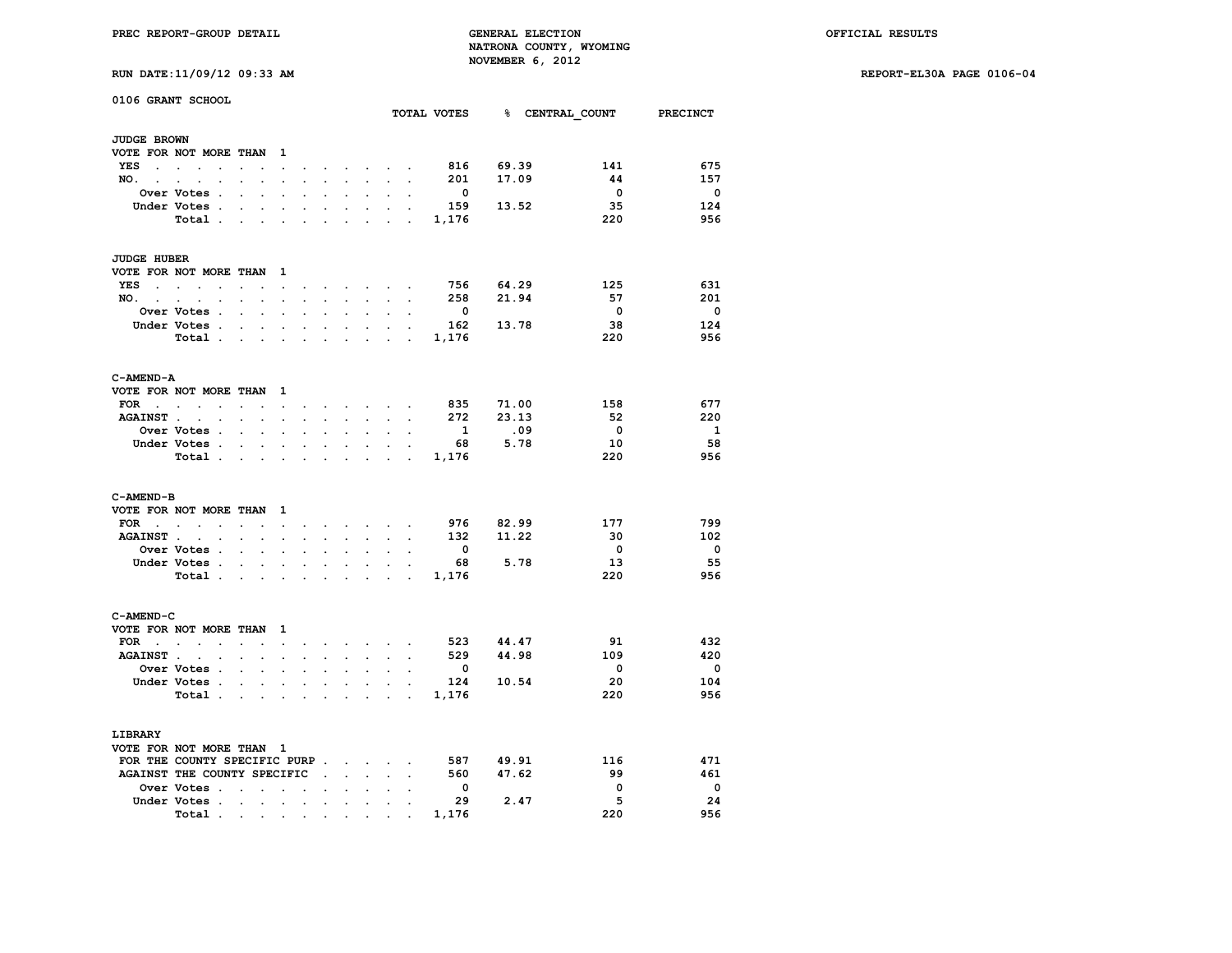**PREC REPORT-GROUP DETAIL GENERAL ELECTION OFFICIAL RESULTS NATRONA COUNTY, WYOMING** NOVEMBER 6, 2012<br>**MOVEMBER 6, 2012**<br>**MOVEMBER 6, 2012** 

**RUN DATE:11/09/12 09:33 AM REPORT-EL30A PAGE 0106-04**

| <b>RUN DATE:11/09/12 09:33 A</b> |  |
|----------------------------------|--|
|----------------------------------|--|

| 0106 GRANT SCHOOL                        |                                                                      |                      |                      |                      |                      |                           |                      |                      |                                            |                      | TOTAL VOTES             |           |      | % CENTRAL COUNT         | <b>PRECINCT</b>         |
|------------------------------------------|----------------------------------------------------------------------|----------------------|----------------------|----------------------|----------------------|---------------------------|----------------------|----------------------|--------------------------------------------|----------------------|-------------------------|-----------|------|-------------------------|-------------------------|
|                                          |                                                                      |                      |                      |                      |                      |                           |                      |                      |                                            |                      |                         |           |      |                         |                         |
| <b>JUDGE BROWN</b>                       |                                                                      |                      |                      |                      |                      |                           |                      |                      |                                            |                      |                         |           |      |                         |                         |
| VOTE FOR NOT MORE THAN                   |                                                                      |                      |                      | $\mathbf{1}$         |                      |                           |                      |                      |                                            |                      |                         |           |      |                         |                         |
| <b>YES</b><br>$\sim$                     | $\overline{a}$<br>$\sim$<br>$\overline{a}$                           |                      |                      | $\sim$               |                      |                           |                      | $\ddot{\phantom{0}}$ |                                            |                      | 816                     | 69.39     |      | 141                     | 675                     |
| NO.                                      | <b>Service</b> State<br>$\ddot{\phantom{a}}$<br>$\ddot{\phantom{0}}$ |                      |                      |                      | $\bullet$            | $\mathbf{L}^{\text{max}}$ | $\ddot{\phantom{0}}$ | $\ddot{\phantom{0}}$ | $\ddot{\phantom{0}}$                       | $\ddot{\phantom{0}}$ | 201                     | 17.09     |      | 44                      | 157                     |
|                                          | <b>Over Votes .</b>                                                  |                      |                      |                      |                      |                           |                      |                      |                                            |                      | $\overline{\mathbf{0}}$ |           |      | $\overline{\mathbf{0}}$ | $\overline{\mathbf{0}}$ |
|                                          | Under Votes .                                                        |                      |                      |                      |                      |                           |                      |                      |                                            |                      | 159                     | 13.52     |      | 35                      | 124                     |
|                                          | Total.                                                               | $\overline{a}$       |                      |                      |                      |                           |                      |                      |                                            |                      | 1,176                   |           |      | 220                     | 956                     |
| <b>JUDGE HUBER</b>                       |                                                                      |                      |                      |                      |                      |                           |                      |                      |                                            |                      |                         |           |      |                         |                         |
| VOTE FOR NOT MORE THAN                   |                                                                      |                      |                      | 1                    |                      |                           |                      |                      |                                            |                      |                         |           |      |                         |                         |
| YES                                      |                                                                      | $\overline{a}$       |                      | $\mathbf{r}$         |                      |                           |                      | $\mathbf{r}$         |                                            |                      | 756                     | 64.29     |      | 125                     | 631                     |
| NO.<br><b>Contract Contract Contract</b> | $\sim$<br>$\cdot$                                                    | $\ddot{\phantom{a}}$ |                      | $\ddot{\phantom{a}}$ | $\ddot{\phantom{a}}$ | $\ddot{\phantom{a}}$      | $\cdot$              | $\ddot{\phantom{0}}$ | $\sim$                                     | $\cdot$              | 258                     | 21.94     |      | 57                      | 201                     |
|                                          | <b>Over Votes .</b>                                                  |                      | $\ddot{\phantom{0}}$ |                      |                      |                           |                      |                      |                                            |                      | $\overline{\mathbf{0}}$ |           |      | $\overline{\mathbf{0}}$ | $\overline{\mathbf{0}}$ |
|                                          |                                                                      |                      |                      |                      |                      |                           |                      |                      |                                            |                      |                         |           |      | 38                      | 124                     |
|                                          | Under Votes.                                                         | $\overline{a}$       | $\ddot{\phantom{a}}$ | $\overline{a}$       | $\overline{a}$       | $\cdot$                   | $\overline{a}$       | $\cdot$              |                                            | $\overline{a}$       | 162                     | 13.78     |      |                         |                         |
|                                          | Total .                                                              |                      | $\overline{a}$       |                      | $\overline{a}$       |                           |                      |                      |                                            |                      | 1,176                   |           |      | 220                     | 956                     |
| C-AMEND-A                                |                                                                      |                      |                      |                      |                      |                           |                      |                      |                                            |                      |                         |           |      |                         |                         |
| VOTE FOR NOT MORE THAN                   |                                                                      |                      |                      | 1                    |                      |                           |                      |                      |                                            |                      |                         |           |      |                         |                         |
| FOR<br>$\sim$ $\sim$                     | $\sim$<br>$\ddot{\phantom{a}}$                                       | $\ddot{\phantom{a}}$ |                      | $\ddot{\phantom{a}}$ | $\ddot{\phantom{a}}$ | $\ddot{\phantom{a}}$      |                      | $\ddot{\phantom{0}}$ |                                            | $\sim$               | 835                     | 71.00     |      | 158                     | 677                     |
| <b>AGAINST</b> .                         | $\sim$<br>$\overline{a}$                                             |                      |                      |                      |                      |                           |                      |                      |                                            |                      | 272                     | 23.13     |      | 52                      | 220                     |
|                                          | Over Votes .                                                         | $\ddot{\phantom{a}}$ | $\ddot{\phantom{a}}$ |                      |                      |                           |                      |                      |                                            |                      | 1                       |           | .09  | $\overline{\mathbf{0}}$ | $\mathbf{1}$            |
|                                          | Under Votes .                                                        | $\ddot{\phantom{a}}$ | $\cdot$              | $\cdot$              | $\ddot{\phantom{a}}$ | $\cdot$                   | $\ddot{\phantom{a}}$ | $\ddot{\phantom{a}}$ |                                            |                      | 68                      | 5.78      |      | 10                      | 58                      |
|                                          | Total.                                                               |                      |                      |                      |                      |                           |                      |                      | $\ddot{\phantom{a}}$                       |                      | 1,176                   |           |      | 220                     | 956                     |
|                                          |                                                                      |                      |                      |                      |                      |                           |                      |                      |                                            |                      |                         |           |      |                         |                         |
| C-AMEND-B                                |                                                                      |                      |                      |                      |                      |                           |                      |                      |                                            |                      |                         |           |      |                         |                         |
| VOTE FOR NOT MORE THAN                   |                                                                      |                      |                      | 1                    |                      |                           |                      |                      |                                            |                      |                         |           |      |                         |                         |
| <b>FOR</b>                               | <b>Contract Contract Contract</b><br>$\bullet$                       | $\ddot{\phantom{0}}$ | $\ddot{\phantom{0}}$ | $\ddot{\phantom{0}}$ | $\ddot{\phantom{0}}$ | $\blacksquare$            |                      | and the company of   |                                            | $\cdot$              |                         | 976 82.99 |      | 177                     | 799                     |
| <b>AGAINST.</b>                          |                                                                      |                      |                      |                      |                      |                           |                      |                      |                                            |                      | 132                     | 11.22     |      | 30                      | 102                     |
|                                          | Over Votes .                                                         | $\overline{a}$       | $\ddot{\phantom{a}}$ | $\overline{a}$       |                      |                           |                      | $\ddot{\phantom{a}}$ |                                            |                      | $\mathbf{0}$            |           |      | $\overline{\mathbf{0}}$ | $\overline{\mathbf{0}}$ |
|                                          | Under Votes .                                                        |                      |                      |                      |                      |                           |                      |                      |                                            |                      | 68                      | 5.78      |      | 13                      | 55                      |
|                                          | Total .                                                              |                      |                      |                      |                      |                           |                      |                      |                                            |                      | 1,176                   |           |      | 220                     | 956                     |
| C-AMEND-C                                |                                                                      |                      |                      |                      |                      |                           |                      |                      |                                            |                      |                         |           |      |                         |                         |
| VOTE FOR NOT MORE THAN                   |                                                                      |                      |                      | 1                    |                      |                           |                      |                      |                                            |                      |                         |           |      |                         |                         |
| $FOR \t . \t .$                          | $\ddot{\phantom{a}}$                                                 | $\ddot{\phantom{a}}$ |                      | $\ddot{\phantom{a}}$ |                      |                           | $\cdot$              |                      | $\mathbf{r} = \mathbf{r} \cdot \mathbf{r}$ |                      |                         | 523 44.47 |      | 91                      | 432                     |
| AGAINST                                  |                                                                      |                      |                      |                      |                      |                           |                      |                      |                                            |                      | 529                     | 44.98     |      | 109                     | 420                     |
|                                          | Over Votes .                                                         | $\ddot{\phantom{a}}$ | $\ddot{\phantom{a}}$ | $\ddot{\phantom{a}}$ | $\ddot{\phantom{a}}$ | $\ddot{\phantom{a}}$      | $\ddot{\phantom{a}}$ | $\ddot{\phantom{a}}$ |                                            |                      | $\mathbf 0$             |           |      | $\mathbf{0}$            | $\mathbf{0}$            |
|                                          | Under Votes .                                                        |                      |                      |                      |                      |                           |                      |                      |                                            |                      | 124                     | 10.54     |      | 20                      | 104                     |
|                                          |                                                                      |                      |                      |                      |                      |                           |                      |                      |                                            |                      |                         |           |      | 220                     | 956                     |
|                                          | Total .                                                              |                      |                      |                      |                      |                           |                      |                      |                                            |                      | 1,176                   |           |      |                         |                         |
| LIBRARY                                  |                                                                      |                      |                      |                      |                      |                           |                      |                      |                                            |                      |                         |           |      |                         |                         |
| VOTE FOR NOT MORE THAN 1                 |                                                                      |                      |                      |                      |                      |                           |                      |                      |                                            |                      |                         |           |      |                         |                         |
|                                          | FOR THE COUNTY SPECIFIC PURP.                                        |                      |                      |                      |                      |                           | $\sim$               | $\sim$               |                                            |                      | 587                     | 49.91     |      | 116                     | 471                     |
|                                          | AGAINST THE COUNTY SPECIFIC                                          |                      |                      |                      |                      | <b>Contract Contract</b>  | $\mathbf{r}$         | $\ddot{\phantom{0}}$ | ÷                                          |                      | 560                     | 47.62     |      | 99                      | 461                     |
|                                          | Over Votes.                                                          |                      |                      |                      |                      |                           |                      |                      |                                            |                      | $\mathbf{O}$            |           |      | $\mathbf 0$             | $\overline{\mathbf{0}}$ |
|                                          | Under Votes .                                                        | $\ddot{\phantom{a}}$ | $\ddot{\phantom{a}}$ | $\ddot{\phantom{a}}$ | $\ddot{\phantom{a}}$ | $\cdot$                   | $\ddot{\phantom{a}}$ |                      |                                            |                      | 29                      |           | 2.47 | 5                       | 24                      |
|                                          | Total .                                                              | $\sim$               | $\bullet$            |                      | $\bullet$            | <b>Contract Contract</b>  | $\bullet$            |                      |                                            |                      | 1,176                   |           |      | 220                     | 956                     |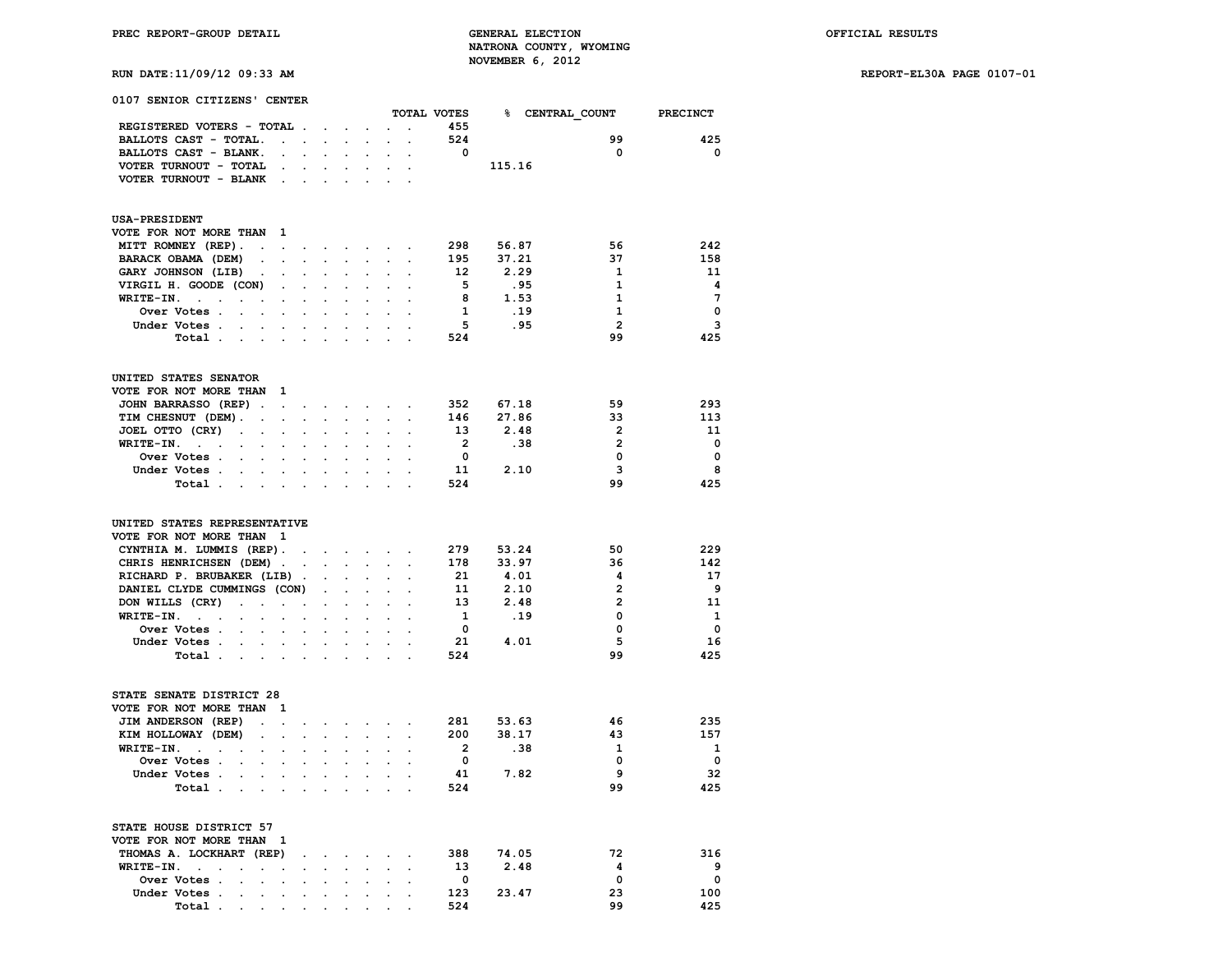**RUN DATE:11/09/12 09:33 AM REPORT-EL30A PAGE 0107-01**

| 0107 SENIOR CITIZENS' CENTER                                                            |                                            |                      |                             |                                                                                               |                      |                      | TOTAL VOTES              |        | % CENTRAL COUNT | <b>PRECINCT</b>                         |
|-----------------------------------------------------------------------------------------|--------------------------------------------|----------------------|-----------------------------|-----------------------------------------------------------------------------------------------|----------------------|----------------------|--------------------------|--------|-----------------|-----------------------------------------|
| REGISTERED VOTERS - TOTAL.                                                              |                                            |                      |                             | $\mathbf{r} = \mathbf{r} \cdot \mathbf{r}$ , where $\mathbf{r} = \mathbf{r} \cdot \mathbf{r}$ |                      | $\ddot{\phantom{a}}$ | 455                      |        |                 |                                         |
| BALLOTS CAST - TOTAL.<br>$\sim$                                                         | $\sim$                                     |                      |                             | $\mathbf{r}$                                                                                  |                      |                      | 524                      |        | 99              | 425                                     |
| BALLOTS CAST - BLANK.                                                                   |                                            | a.                   | $\mathbf{z} = \mathbf{z}$ . |                                                                                               | $\ddot{\phantom{0}}$ | $\ddot{\phantom{0}}$ | $\overline{\phantom{0}}$ |        | $\mathbf 0$     | 0                                       |
| $\ddot{\phantom{0}}$                                                                    |                                            |                      |                             |                                                                                               |                      |                      |                          |        |                 |                                         |
| VOTER TURNOUT - TOTAL<br>$\ddot{\phantom{a}}$                                           |                                            |                      |                             |                                                                                               | $\sim$               |                      |                          | 115.16 |                 |                                         |
| VOTER TURNOUT - BLANK                                                                   |                                            |                      |                             |                                                                                               |                      |                      |                          |        |                 |                                         |
| <b>USA-PRESIDENT</b>                                                                    |                                            |                      |                             |                                                                                               |                      |                      |                          |        |                 |                                         |
| VOTE FOR NOT MORE THAN<br>$\mathbf{1}$                                                  |                                            |                      |                             |                                                                                               |                      |                      |                          |        |                 |                                         |
| MITT ROMNEY (REP).<br>$\ddot{\phantom{0}}$<br>$\mathbf{r}$                              | $\ddot{\phantom{0}}$                       | $\ddot{\phantom{0}}$ |                             | and a state of the                                                                            |                      | $\bullet$            | 298                      | 56.87  | 56              | 242                                     |
| BARACK OBAMA (DEM)<br>$\ddot{\phantom{a}}$<br>$\bullet$                                 | $\ddot{\phantom{a}}$                       | $\ddot{\phantom{a}}$ | $\ddot{\phantom{0}}$        | $\ddot{\phantom{0}}$                                                                          | $\sim$ $\sim$        | $\ddot{\phantom{a}}$ | 195                      | 37.21  | 37              | 158                                     |
| GARY JOHNSON (LIB)<br>$\ddot{\phantom{a}}$<br>$\cdot$                                   |                                            |                      | $\cdot$                     |                                                                                               |                      |                      | 12                       | 2.29   | 1               | 11                                      |
| VIRGIL H. GOODE (CON)<br>$\ddot{\phantom{0}}$                                           | $\cdot$                                    | $\cdot$              |                             | $\cdot$                                                                                       | $\cdot$              | $\sim$               | - 5                      | .95    | 1               | $\overline{\mathbf{4}}$                 |
| WRITE-IN.<br>$\sim$<br>$\cdot$<br>$\ddot{\phantom{0}}$<br>$\ddot{\phantom{a}}$          | $\ddot{\phantom{0}}$                       | $\sim$               | $\ddot{\phantom{a}}$        | $\sim$                                                                                        |                      | $\sim$ $\sim$        | $_{\rm 8}$               | 1.53   | 1               | $\overline{7}$                          |
| Over Votes .<br>$\ddot{\phantom{a}}$<br>$\ddot{\phantom{a}}$<br>$\ddot{\phantom{a}}$    |                                            |                      |                             |                                                                                               |                      |                      | $\mathbf{1}$             | .19    | 1               | $\mathbf 0$                             |
| Under Votes .<br>$\overline{\phantom{a}}$<br><b>Contract Contract</b>                   |                                            |                      |                             |                                                                                               |                      |                      | $-5$                     | .95    | $\overline{2}$  | 3                                       |
| Total<br>$\ddot{\phantom{a}}$                                                           |                                            |                      |                             |                                                                                               |                      |                      | 524                      |        | 99              | 425                                     |
|                                                                                         |                                            |                      |                             |                                                                                               |                      |                      |                          |        |                 |                                         |
| UNITED STATES SENATOR                                                                   |                                            |                      |                             |                                                                                               |                      |                      |                          |        |                 |                                         |
| VOTE FOR NOT MORE THAN<br>$\mathbf{1}$                                                  |                                            |                      |                             |                                                                                               |                      |                      |                          |        |                 |                                         |
| JOHN BARRASSO (REP).<br>$\sim$                                                          | $\sim$                                     |                      |                             | $\cdot$ $\cdot$ $\cdot$ $\cdot$ $\cdot$ $\cdot$                                               |                      | $\ddot{\phantom{a}}$ | 352                      | 67.18  | 59              | 293                                     |
| TIM CHESNUT (DEM).<br>$\overline{a}$                                                    | $\mathcal{L}^{\text{max}}$<br>$\mathbf{r}$ | $\mathbf{r}$         | $\ddot{\phantom{a}}$        | $\sim$                                                                                        | $\mathbf{r}$         | $\overline{a}$       | 146                      | 27.86  | 33              | 113                                     |
| JOEL OTTO (CRY)<br>$\ddot{\phantom{0}}$<br>$\ddot{\phantom{0}}$<br>$\ddot{\phantom{a}}$ | $\cdot$                                    | $\overline{a}$       |                             | $\ddot{\phantom{a}}$                                                                          | $\ddot{\phantom{0}}$ |                      | 13                       | 2.48   | $\overline{2}$  | 11                                      |
| WRITE-IN.<br><b>Contract Contract</b><br>$\mathbf{r}$<br>$\overline{a}$                 |                                            |                      |                             |                                                                                               |                      |                      | $\overline{\mathbf{2}}$  | .38    | $\overline{2}$  | $\overline{\phantom{0}}$                |
| Over Votes .<br>$\sim$                                                                  |                                            |                      |                             |                                                                                               |                      |                      | $\overline{\mathbf{0}}$  |        | 0               | $\overline{\mathbf{0}}$                 |
| Under Votes.<br><b>Contract Contract</b><br>$\sim$                                      | $\sim$                                     |                      |                             | $\mathbf{r} = \mathbf{r} + \mathbf{r}$                                                        |                      | $\sim$ $\sim$        | 11                       | 2.10   | 3               | 8                                       |
| Total.<br>$\sim 100$<br>$\ddot{\phantom{0}}$                                            |                                            |                      |                             |                                                                                               |                      |                      | 524                      |        | 99              | 425                                     |
|                                                                                         |                                            |                      |                             |                                                                                               |                      |                      |                          |        |                 |                                         |
| UNITED STATES REPRESENTATIVE                                                            |                                            |                      |                             |                                                                                               |                      |                      |                          |        |                 |                                         |
| VOTE FOR NOT MORE THAN 1                                                                |                                            |                      |                             |                                                                                               |                      |                      |                          |        |                 |                                         |
| CYNTHIA M. LUMMIS (REP).                                                                | $\ddot{\phantom{a}}$                       |                      |                             | $\mathbf{r} = \mathbf{r} + \mathbf{r} + \mathbf{r} + \mathbf{r} + \mathbf{r}$                 |                      |                      | 279                      | 53.24  | 50              | 229                                     |
| CHRIS HENRICHSEN (DEM).                                                                 | $\ddot{\phantom{a}}$                       |                      | $\sim$ $\sim$               | $\ddot{\phantom{a}}$                                                                          | $\sim$               | $\cdot$              | 178                      | 33.97  | 36              | 142                                     |
| RICHARD P. BRUBAKER (LIB).                                                              |                                            |                      |                             |                                                                                               |                      |                      | 21                       | 4.01   | 4               | 17                                      |
| DANIEL CLYDE CUMMINGS (CON)                                                             |                                            | $\sim$               |                             | $\cdot$                                                                                       |                      |                      | 11                       | 2.10   | $\overline{2}$  | - 9                                     |
| DON WILLS (CRY)<br>$\sim$<br>$\ddot{\phantom{a}}$<br>$\sim$ $\sim$                      | $\ddot{\phantom{a}}$                       | $\ddot{\phantom{0}}$ | $\bullet$                   | $\ddot{\phantom{a}}$                                                                          | $\ddot{\phantom{0}}$ |                      | 13                       | 2.48   | $\overline{2}$  | 11                                      |
| $WRITE-IN.$ .<br>$\ddot{\phantom{a}}$                                                   |                                            |                      |                             |                                                                                               |                      |                      | $\mathbf{1}$             | .19    | $\mathbf 0$     | $\mathbf{1}$                            |
| Over Votes .                                                                            |                                            |                      |                             |                                                                                               |                      |                      | $\overline{\mathbf{0}}$  |        | $\mathbf 0$     | $\overline{\phantom{0}}$                |
| Under Votes<br>$\sim$                                                                   | $\sim$                                     |                      | <b>All Card</b>             | $\ddot{\phantom{0}}$                                                                          | $\sim$               |                      | 21                       | 4.01   | 5               | 16                                      |
| Total<br>$\sim$                                                                         |                                            |                      |                             |                                                                                               |                      |                      | 524                      |        | 99              | 425                                     |
| STATE SENATE DISTRICT 28                                                                |                                            |                      |                             |                                                                                               |                      |                      |                          |        |                 |                                         |
| VOTE FOR NOT MORE THAN<br>- 1                                                           |                                            |                      |                             |                                                                                               |                      |                      |                          |        |                 |                                         |
| JIM ANDERSON (REP)                                                                      |                                            |                      |                             |                                                                                               |                      |                      | 281                      | 53.63  | 46              | 235                                     |
| $\ddot{\phantom{0}}$<br>$\bullet$<br>KIM HOLLOWAY (DEM)                                 | $\ddot{\phantom{a}}$                       | $\ddot{\phantom{0}}$ |                             | $\sim$ $\sim$ $\sim$ $\sim$                                                                   |                      | $\cdot$              | 200                      | 38.17  | 43              | 157                                     |
| $\bullet$ .<br>$\cdot$                                                                  |                                            | $\sim$               |                             |                                                                                               |                      |                      | $\overline{2}$           |        | $\mathbf{1}$    |                                         |
| WRITE-IN.<br>$\bullet$                                                                  |                                            |                      |                             |                                                                                               |                      |                      |                          | .38    | $\Omega$        | $\mathbf{1}$<br>$\overline{\mathbf{0}}$ |
| Over Votes .<br>$\sim$<br>$\ddot{\phantom{0}}$                                          |                                            |                      |                             | $\ddot{\phantom{0}}$                                                                          |                      |                      | $\mathbf 0$              |        |                 |                                         |
| Under Votes.<br>$\ddot{\phantom{0}}$                                                    | $\sim$<br>$\cdot$                          | $\ddot{\phantom{0}}$ |                             |                                                                                               |                      |                      | 41                       | 7.82   | 9               | -32                                     |
| Total.<br>$\mathbf{r} = \mathbf{r} \times \mathbf{r}$ , where $\mathbf{r}$              |                                            | $\sim$<br>$\sim$     | $\sim$                      | $\ddot{\phantom{0}}$                                                                          | $\sim$               | $\overline{a}$       | 524                      |        | 99              | 425                                     |
| STATE HOUSE DISTRICT 57                                                                 |                                            |                      |                             |                                                                                               |                      |                      |                          |        |                 |                                         |
| VOTE FOR NOT MORE THAN 1                                                                |                                            |                      |                             |                                                                                               |                      |                      |                          |        |                 |                                         |
| THOMAS A. LOCKHART (REP)                                                                | $\ddot{\phantom{a}}$                       |                      |                             | the contract of the contract of the                                                           |                      |                      | 388                      | 74.05  | 72              | 316                                     |
| WRITE-IN.<br>$\ddot{\phantom{a}}$<br>$\ddot{\phantom{0}}$                               |                                            |                      |                             |                                                                                               |                      |                      | 13                       | 2.48   | 4               | 9                                       |
| Over Votes .<br>$\cdot$<br>$\ddot{\phantom{a}}$<br>$\blacksquare$                       | $\ddot{\phantom{0}}$                       |                      |                             | $\cdot$ $\cdot$ $\cdot$ $\cdot$ $\cdot$ $\cdot$                                               |                      | $\bullet$            | $\overline{\mathbf{0}}$  |        | 0               | 0                                       |
| Under Votes .                                                                           |                                            |                      |                             |                                                                                               |                      |                      | 123                      | 23.47  | 23              | 100                                     |
|                                                                                         |                                            |                      |                             |                                                                                               |                      |                      |                          |        |                 |                                         |

 **Total . . . . . . . . . . 524 99 425**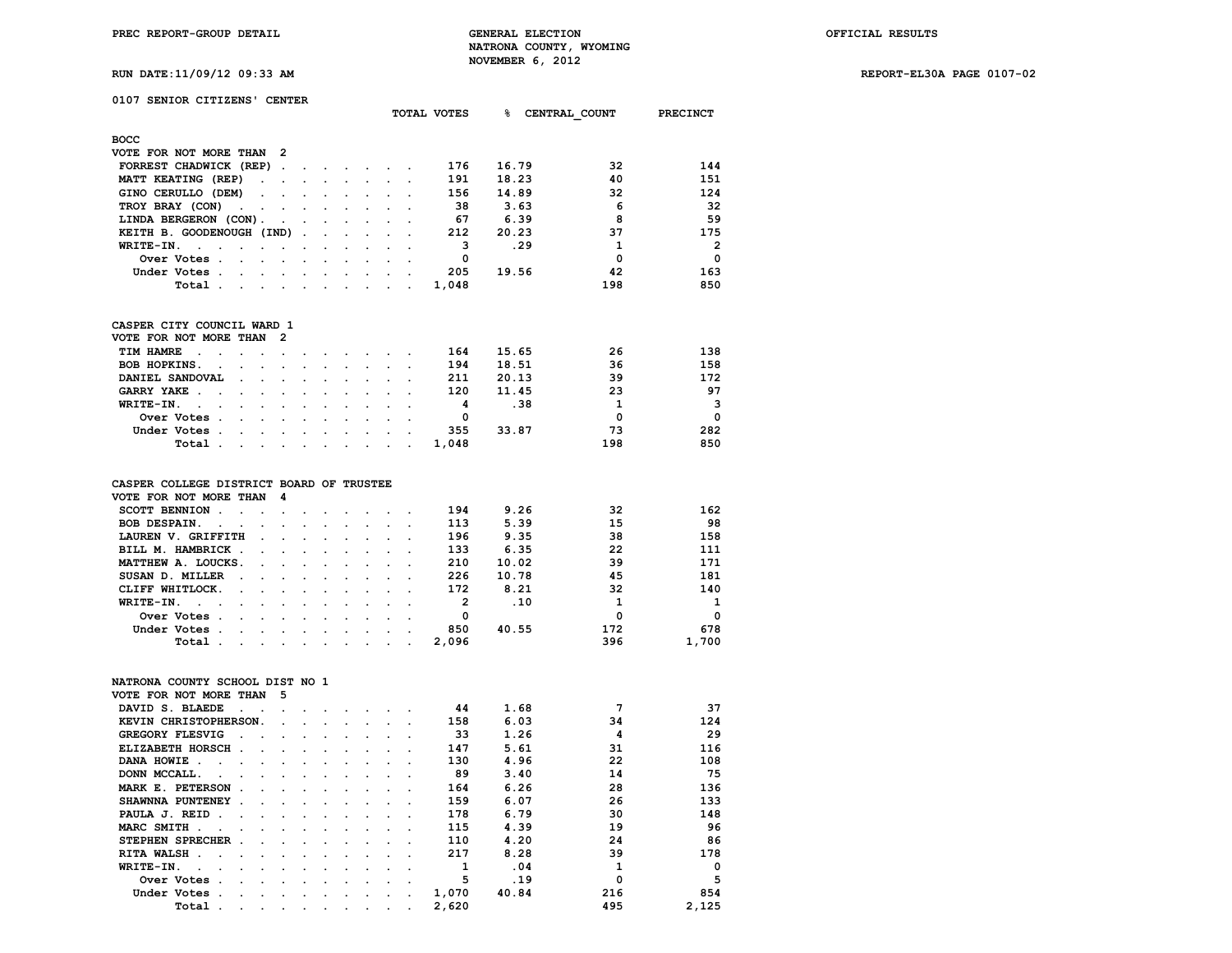**RUN DATE:11/09/12 09:33 AM REPORT-EL30A PAGE 0107-02**

| RUN DATE:11/09/12 09:33 AM<br>0107 SENIOR CITIZENS' CENTER                                                                                                                                                                                                                                                           |                                                           |                                                                                                                                                                                                                                                                                                                                                                                                                              |                                                                                                                                                                                                                                |               |        |                                              |                 |                                                                                                   |                                                                                                                                                                                                                                                                                                                                                                                                                              |                                                                                                |                                                  |                                                                   |                                                                          |
|----------------------------------------------------------------------------------------------------------------------------------------------------------------------------------------------------------------------------------------------------------------------------------------------------------------------|-----------------------------------------------------------|------------------------------------------------------------------------------------------------------------------------------------------------------------------------------------------------------------------------------------------------------------------------------------------------------------------------------------------------------------------------------------------------------------------------------|--------------------------------------------------------------------------------------------------------------------------------------------------------------------------------------------------------------------------------|---------------|--------|----------------------------------------------|-----------------|---------------------------------------------------------------------------------------------------|------------------------------------------------------------------------------------------------------------------------------------------------------------------------------------------------------------------------------------------------------------------------------------------------------------------------------------------------------------------------------------------------------------------------------|------------------------------------------------------------------------------------------------|--------------------------------------------------|-------------------------------------------------------------------|--------------------------------------------------------------------------|
|                                                                                                                                                                                                                                                                                                                      |                                                           |                                                                                                                                                                                                                                                                                                                                                                                                                              |                                                                                                                                                                                                                                |               |        |                                              |                 |                                                                                                   |                                                                                                                                                                                                                                                                                                                                                                                                                              |                                                                                                |                                                  |                                                                   |                                                                          |
|                                                                                                                                                                                                                                                                                                                      |                                                           |                                                                                                                                                                                                                                                                                                                                                                                                                              |                                                                                                                                                                                                                                |               |        |                                              |                 |                                                                                                   |                                                                                                                                                                                                                                                                                                                                                                                                                              |                                                                                                |                                                  | TOTAL VOTES 8 CENTRAL COUNT PRECINCT                              |                                                                          |
| BOCC                                                                                                                                                                                                                                                                                                                 |                                                           |                                                                                                                                                                                                                                                                                                                                                                                                                              |                                                                                                                                                                                                                                |               |        |                                              |                 |                                                                                                   |                                                                                                                                                                                                                                                                                                                                                                                                                              |                                                                                                |                                                  |                                                                   |                                                                          |
| VOTE FOR NOT MORE THAN 2                                                                                                                                                                                                                                                                                             |                                                           |                                                                                                                                                                                                                                                                                                                                                                                                                              |                                                                                                                                                                                                                                |               |        |                                              |                 |                                                                                                   |                                                                                                                                                                                                                                                                                                                                                                                                                              |                                                                                                |                                                  |                                                                   |                                                                          |
| FORREST CHADWICK (REP)                                                                                                                                                                                                                                                                                               |                                                           |                                                                                                                                                                                                                                                                                                                                                                                                                              |                                                                                                                                                                                                                                |               |        |                                              |                 |                                                                                                   |                                                                                                                                                                                                                                                                                                                                                                                                                              | 176                                                                                            | 16.79                                            | 32                                                                | 144                                                                      |
| MATT KEATING (REP)                                                                                                                                                                                                                                                                                                   |                                                           |                                                                                                                                                                                                                                                                                                                                                                                                                              |                                                                                                                                                                                                                                |               |        |                                              |                 |                                                                                                   |                                                                                                                                                                                                                                                                                                                                                                                                                              | 191                                                                                            | 18.23                                            | 40                                                                | 151                                                                      |
| GINO CERULLO (DEM)                                                                                                                                                                                                                                                                                                   |                                                           | $\mathbf{r} = \mathbf{r} - \mathbf{r}$ , $\mathbf{r} = \mathbf{r} - \mathbf{r} - \mathbf{r}$ , $\mathbf{r} = \mathbf{r} - \mathbf{r}$                                                                                                                                                                                                                                                                                        |                                                                                                                                                                                                                                |               |        |                                              |                 |                                                                                                   |                                                                                                                                                                                                                                                                                                                                                                                                                              | 156                                                                                            | 14.89                                            | 32                                                                | 124                                                                      |
| TROY BRAY (CON)                                                                                                                                                                                                                                                                                                      | the contract of the contract of the con-                  |                                                                                                                                                                                                                                                                                                                                                                                                                              |                                                                                                                                                                                                                                |               |        |                                              |                 |                                                                                                   |                                                                                                                                                                                                                                                                                                                                                                                                                              | - 38                                                                                           | 3.63                                             | - 6                                                               | -32                                                                      |
| LINDA BERGERON (CON).                                                                                                                                                                                                                                                                                                |                                                           |                                                                                                                                                                                                                                                                                                                                                                                                                              | and the contract of the contract of the contract of the contract of the contract of the contract of the contract of the contract of the contract of the contract of the contract of the contract of the contract of the contra |               |        |                                              |                 |                                                                                                   |                                                                                                                                                                                                                                                                                                                                                                                                                              | 67                                                                                             | 6.39                                             | 8                                                                 | -59                                                                      |
| KEITH B. GOODENOUGH (IND).                                                                                                                                                                                                                                                                                           |                                                           |                                                                                                                                                                                                                                                                                                                                                                                                                              |                                                                                                                                                                                                                                |               |        |                                              |                 | $\mathbf{r}$ , $\mathbf{r}$ , $\mathbf{r}$                                                        | $\mathbf{r}$                                                                                                                                                                                                                                                                                                                                                                                                                 | 212                                                                                            | 20.23                                            | 37                                                                | 175                                                                      |
| WRITE-IN.                                                                                                                                                                                                                                                                                                            |                                                           |                                                                                                                                                                                                                                                                                                                                                                                                                              |                                                                                                                                                                                                                                |               |        |                                              |                 |                                                                                                   |                                                                                                                                                                                                                                                                                                                                                                                                                              | $\overline{\mathbf{3}}$                                                                        | .29                                              | $\mathbf{1}$                                                      | $\overline{\mathbf{2}}$                                                  |
| Over Votes                                                                                                                                                                                                                                                                                                           |                                                           |                                                                                                                                                                                                                                                                                                                                                                                                                              |                                                                                                                                                                                                                                |               |        |                                              |                 |                                                                                                   |                                                                                                                                                                                                                                                                                                                                                                                                                              | $\mathbf{0}$                                                                                   |                                                  | $\mathbf 0$                                                       | $\overline{\mathbf{0}}$                                                  |
| Under Votes                                                                                                                                                                                                                                                                                                          |                                                           |                                                                                                                                                                                                                                                                                                                                                                                                                              |                                                                                                                                                                                                                                |               |        |                                              |                 |                                                                                                   |                                                                                                                                                                                                                                                                                                                                                                                                                              | 205                                                                                            | 19.56                                            | 42                                                                | 163                                                                      |
| Total                                                                                                                                                                                                                                                                                                                |                                                           |                                                                                                                                                                                                                                                                                                                                                                                                                              |                                                                                                                                                                                                                                |               |        |                                              |                 |                                                                                                   |                                                                                                                                                                                                                                                                                                                                                                                                                              | 1,048                                                                                          |                                                  | 198                                                               | 850                                                                      |
| CASPER CITY COUNCIL WARD 1<br>VOTE FOR NOT MORE THAN<br>TIM HAMRE<br><b>Contract Contract</b><br>BOB HOPKINS.<br>the contract of the contract of the contract of the contract of the contract of the contract of the contract of<br>DANIEL SANDOVAL<br>GARRY YAKE<br>WRITE-IN.<br>Over Votes<br>Under Votes<br>Total | $\sim$<br>and the contract of the con-                    | $\overline{\phantom{0}}$                                                                                                                                                                                                                                                                                                                                                                                                     |                                                                                                                                                                                                                                | $\sim$ $\sim$ | $\sim$ |                                              |                 | <b>San Adams</b><br>$\mathbf{r} = \mathbf{r} + \mathbf{r} + \mathbf{r} + \mathbf{r} + \mathbf{r}$ | $\mathbf{r} = \mathbf{r} + \mathbf{r} + \mathbf{r} + \mathbf{r} + \mathbf{r} + \mathbf{r} + \mathbf{r} + \mathbf{r} + \mathbf{r} + \mathbf{r} + \mathbf{r} + \mathbf{r} + \mathbf{r} + \mathbf{r} + \mathbf{r} + \mathbf{r} + \mathbf{r} + \mathbf{r} + \mathbf{r} + \mathbf{r} + \mathbf{r} + \mathbf{r} + \mathbf{r} + \mathbf{r} + \mathbf{r} + \mathbf{r} + \mathbf{r} + \mathbf{r} + \mathbf{r} + \mathbf{r} + \mathbf$ | 164<br>194<br>211<br>120<br>$\overline{\mathbf{4}}$<br>$\overline{\mathbf{0}}$<br>355<br>1,048 | 15.65<br>18.51<br>20.13<br>11.45<br>.38<br>33.87 | 26<br>36<br>39<br>23<br>$\mathbf{1}$<br>$\mathbf{0}$<br>73<br>198 | 138<br>158<br>172<br>97<br>- 3<br>$\overline{\phantom{0}}$<br>282<br>850 |
| CASPER COLLEGE DISTRICT BOARD OF TRUSTEE                                                                                                                                                                                                                                                                             |                                                           |                                                                                                                                                                                                                                                                                                                                                                                                                              |                                                                                                                                                                                                                                |               |        |                                              |                 |                                                                                                   |                                                                                                                                                                                                                                                                                                                                                                                                                              |                                                                                                |                                                  |                                                                   |                                                                          |
| VOTE FOR NOT MORE THAN                                                                                                                                                                                                                                                                                               |                                                           | - 4                                                                                                                                                                                                                                                                                                                                                                                                                          |                                                                                                                                                                                                                                |               |        |                                              |                 |                                                                                                   |                                                                                                                                                                                                                                                                                                                                                                                                                              |                                                                                                |                                                  |                                                                   |                                                                          |
| SCOTT BENNION                                                                                                                                                                                                                                                                                                        |                                                           |                                                                                                                                                                                                                                                                                                                                                                                                                              |                                                                                                                                                                                                                                | $\sim$        | $\sim$ |                                              |                 | $\mathbf{r}$ and $\mathbf{r}$ and $\mathbf{r}$                                                    |                                                                                                                                                                                                                                                                                                                                                                                                                              | 194                                                                                            | 9.26                                             | 32                                                                | 162                                                                      |
| <b>BOB DESPAIN.</b><br>the company of the company of                                                                                                                                                                                                                                                                 |                                                           |                                                                                                                                                                                                                                                                                                                                                                                                                              |                                                                                                                                                                                                                                | $\sim$        |        |                                              |                 | $\mathbf{r}$ , $\mathbf{r}$ , $\mathbf{r}$ , $\mathbf{r}$                                         |                                                                                                                                                                                                                                                                                                                                                                                                                              | 113                                                                                            | 5.39                                             | 15                                                                | 98                                                                       |
| LAUREN V. GRIFFITH                                                                                                                                                                                                                                                                                                   |                                                           |                                                                                                                                                                                                                                                                                                                                                                                                                              |                                                                                                                                                                                                                                |               |        |                                              |                 |                                                                                                   |                                                                                                                                                                                                                                                                                                                                                                                                                              | 196                                                                                            | 9.35                                             | 38                                                                | 158                                                                      |
| BILL M. HAMBRICK.                                                                                                                                                                                                                                                                                                    |                                                           | $\mathbf{r} = \mathbf{r} + \mathbf{r} + \mathbf{r} + \mathbf{r} + \mathbf{r} + \mathbf{r} + \mathbf{r} + \mathbf{r} + \mathbf{r} + \mathbf{r} + \mathbf{r} + \mathbf{r} + \mathbf{r} + \mathbf{r} + \mathbf{r} + \mathbf{r} + \mathbf{r} + \mathbf{r} + \mathbf{r} + \mathbf{r} + \mathbf{r} + \mathbf{r} + \mathbf{r} + \mathbf{r} + \mathbf{r} + \mathbf{r} + \mathbf{r} + \mathbf{r} + \mathbf{r} + \mathbf{r} + \mathbf$ |                                                                                                                                                                                                                                |               |        |                                              |                 |                                                                                                   |                                                                                                                                                                                                                                                                                                                                                                                                                              | 133                                                                                            | 6.35                                             | 22                                                                | 111                                                                      |
| MATTHEW A. LOUCKS.                                                                                                                                                                                                                                                                                                   |                                                           |                                                                                                                                                                                                                                                                                                                                                                                                                              | $\mathbf{L} = \mathbf{L}$                                                                                                                                                                                                      |               |        | $\mathbf{L} = \mathbf{L}$                    | $\sim$ 10 $\pm$ |                                                                                                   | $\mathbf{L} = \mathbf{L}$                                                                                                                                                                                                                                                                                                                                                                                                    | 210                                                                                            | 10.02                                            | 39                                                                | 171                                                                      |
| SUSAN D. MILLER.                                                                                                                                                                                                                                                                                                     |                                                           | $\mathbf{r} = \mathbf{r} + \mathbf{r}$                                                                                                                                                                                                                                                                                                                                                                                       |                                                                                                                                                                                                                                |               | $\sim$ | $\sim$                                       | $\sim$          |                                                                                                   |                                                                                                                                                                                                                                                                                                                                                                                                                              | 226                                                                                            | 10.78                                            | 45                                                                | 181                                                                      |
| CLIFF WHITLOCK.                                                                                                                                                                                                                                                                                                      | $\mathbf{r}$ , $\mathbf{r}$ , $\mathbf{r}$ , $\mathbf{r}$ |                                                                                                                                                                                                                                                                                                                                                                                                                              |                                                                                                                                                                                                                                | $\sim$        |        | $\mathbf{r} = \mathbf{r} \cdot \mathbf{r}$ . | $\sim$          | $\sim$                                                                                            | $\ddot{\phantom{a}}$                                                                                                                                                                                                                                                                                                                                                                                                         | 172                                                                                            | 8.21                                             | 32                                                                | 140                                                                      |
| WRITE-IN.                                                                                                                                                                                                                                                                                                            |                                                           |                                                                                                                                                                                                                                                                                                                                                                                                                              |                                                                                                                                                                                                                                |               |        |                                              |                 |                                                                                                   |                                                                                                                                                                                                                                                                                                                                                                                                                              | $\overline{2}$                                                                                 | .10                                              | $\mathbf{1}$                                                      | - 1                                                                      |
| Over Votes                                                                                                                                                                                                                                                                                                           |                                                           |                                                                                                                                                                                                                                                                                                                                                                                                                              |                                                                                                                                                                                                                                | $\ddotsc$     |        |                                              |                 | $\mathbf{r}$ , $\mathbf{r}$ , $\mathbf{r}$ , $\mathbf{r}$                                         |                                                                                                                                                                                                                                                                                                                                                                                                                              | $\overline{\mathbf{0}}$                                                                        |                                                  | $\overline{\mathbf{0}}$                                           | $\mathbf 0$                                                              |
| Under Votes                                                                                                                                                                                                                                                                                                          |                                                           |                                                                                                                                                                                                                                                                                                                                                                                                                              |                                                                                                                                                                                                                                |               |        |                                              |                 | $\cdot$ $\cdot$ $\cdot$ $\cdot$ $\cdot$ $\cdot$                                                   | $\ddot{\phantom{a}}$                                                                                                                                                                                                                                                                                                                                                                                                         | 850                                                                                            | 40.55                                            | 172                                                               | 678                                                                      |
| Total                                                                                                                                                                                                                                                                                                                |                                                           |                                                                                                                                                                                                                                                                                                                                                                                                                              |                                                                                                                                                                                                                                |               |        |                                              |                 |                                                                                                   |                                                                                                                                                                                                                                                                                                                                                                                                                              | 2,096                                                                                          |                                                  | 396                                                               | 1,700                                                                    |

| NATRONA COUNTY SCHOOL DIST NO 1                                                                                                 |  |                                                                                                                 |  |  |       |       |          |             |
|---------------------------------------------------------------------------------------------------------------------------------|--|-----------------------------------------------------------------------------------------------------------------|--|--|-------|-------|----------|-------------|
| VOTE FOR NOT MORE THAN 5                                                                                                        |  |                                                                                                                 |  |  |       |       |          |             |
| DAVID S. BLAEDE                                                                                                                 |  |                                                                                                                 |  |  | -44   | 1.68  | 7        | 37          |
| KEVIN CHRISTOPHERSON.                                                                                                           |  |                                                                                                                 |  |  | 158   | 6.03  | 34       | 124         |
| GREGORY FLESVIG                                                                                                                 |  | the contract of the contract of the contract of the contract of the contract of the contract of the contract of |  |  | 33    | 1.26  | 4        | 29          |
| ELIZABETH HORSCH                                                                                                                |  |                                                                                                                 |  |  | 147   | 5.61  | 31       | 116         |
| DANA HOWIE                                                                                                                      |  |                                                                                                                 |  |  | 130   | 4.96  | 22       | 108         |
| DONN MCCALL.<br>the contract of the contract of the contract of the contract of the contract of the contract of the contract of |  |                                                                                                                 |  |  | 89    | 3.40  | 14       | 75          |
| MARK E. PETERSON.                                                                                                               |  |                                                                                                                 |  |  | 164   | 6.26  | 28       | 136         |
| SHAWNNA PUNTENEY                                                                                                                |  |                                                                                                                 |  |  | 159   | 6.07  | 26       | 133         |
| PAULA J. REID.                                                                                                                  |  |                                                                                                                 |  |  | 178   | 6.79  | 30       | 148         |
| MARC SMITH                                                                                                                      |  |                                                                                                                 |  |  | 115   | 4.39  | 19       | 96          |
| STEPHEN SPRECHER                                                                                                                |  |                                                                                                                 |  |  | 110   | 4.20  | 24       | 86          |
| RITA WALSH                                                                                                                      |  |                                                                                                                 |  |  | 217   | 8.28  | 39       | 178         |
| WRITE-IN.<br>the contract of the contract of the contract of the contract of the contract of the contract of the contract of    |  |                                                                                                                 |  |  | 1     | .04   | 1        | $\mathbf 0$ |
| Over Votes                                                                                                                      |  |                                                                                                                 |  |  | 5     | .19   | $\Omega$ | 5           |
| Under Votes                                                                                                                     |  |                                                                                                                 |  |  | 1,070 | 40.84 | 216      | 854         |
| Total                                                                                                                           |  |                                                                                                                 |  |  | 2,620 |       | 495      | 2,125       |
|                                                                                                                                 |  |                                                                                                                 |  |  |       |       |          |             |
|                                                                                                                                 |  |                                                                                                                 |  |  |       |       |          |             |
|                                                                                                                                 |  |                                                                                                                 |  |  |       |       |          |             |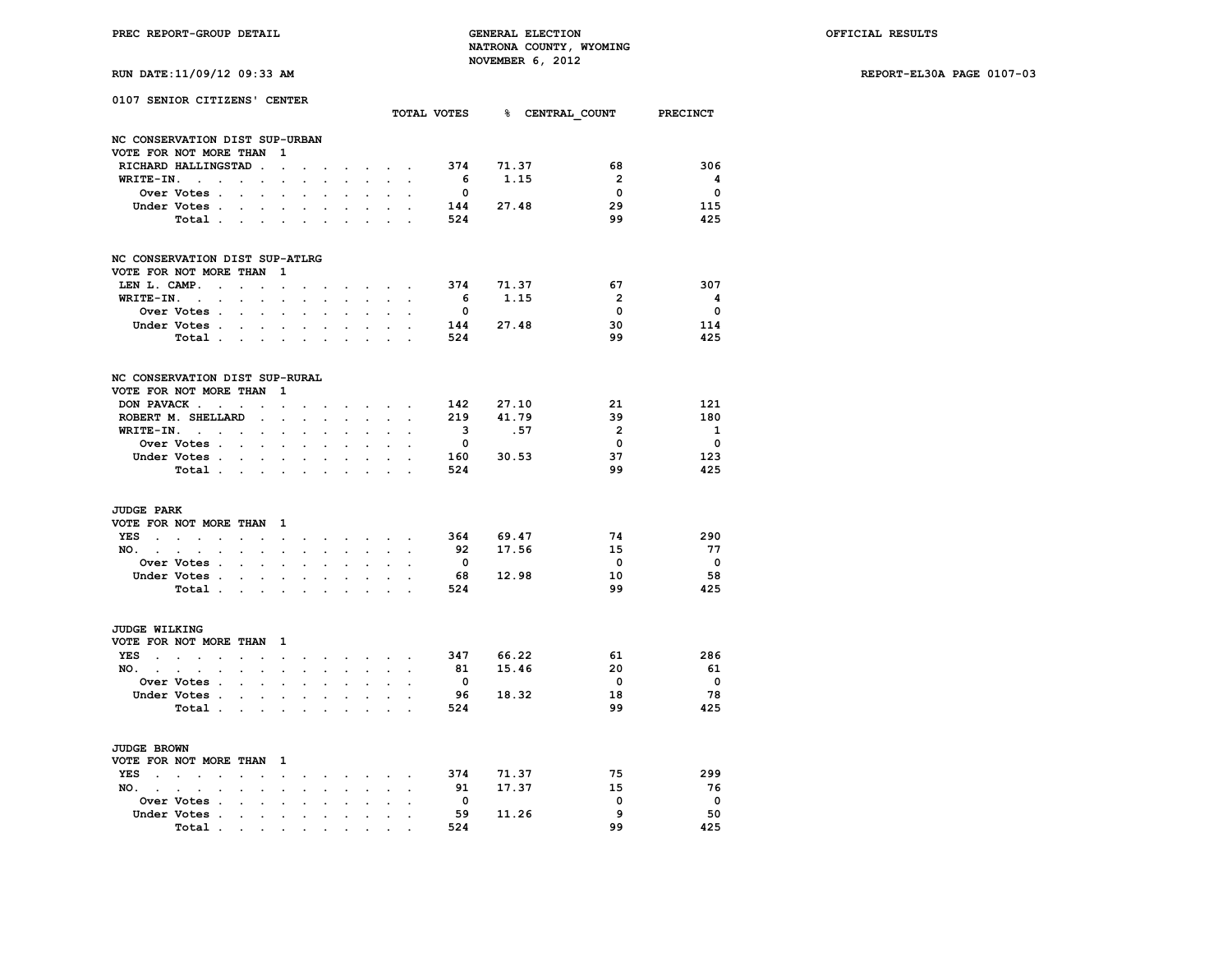**PREC REPORT-GROUP DETAIL GENERAL ELECTION OFFICIAL RESULTS NATRONA COUNTY, WYOMING NOVEMBER 6, 2012**<br>**E**<sub>1</sub>11/00/12 00:33 **N** 

**RUN DATE:11/09/12 09:33 AM REPORT-EL30A PAGE 0107-03**

|  | RUN DATE:11/09/12 09:33 AM |  |  |  |  |  |  |  |
|--|----------------------------|--|--|--|--|--|--|--|
|--|----------------------------|--|--|--|--|--|--|--|

|                                                                        | 0107 SENIOR CITIZENS' CENTER                                                                                                                                           |                                                        |                                                                                    |                                                                                                              |                                                                      |                                                                      |                                              |                                                                      |                           |                      |                                                   | TOTAL VOTES 8 CENTRAL COUNT |                                                 | <b>PRECINCT</b>                                     |
|------------------------------------------------------------------------|------------------------------------------------------------------------------------------------------------------------------------------------------------------------|--------------------------------------------------------|------------------------------------------------------------------------------------|--------------------------------------------------------------------------------------------------------------|----------------------------------------------------------------------|----------------------------------------------------------------------|----------------------------------------------|----------------------------------------------------------------------|---------------------------|----------------------|---------------------------------------------------|-----------------------------|-------------------------------------------------|-----------------------------------------------------|
|                                                                        | NC CONSERVATION DIST SUP-URBAN                                                                                                                                         |                                                        |                                                                                    |                                                                                                              |                                                                      |                                                                      |                                              |                                                                      |                           |                      |                                                   |                             |                                                 |                                                     |
|                                                                        | VOTE FOR NOT MORE THAN                                                                                                                                                 |                                                        |                                                                                    | 1                                                                                                            |                                                                      |                                                                      |                                              |                                                                      |                           |                      |                                                   |                             |                                                 |                                                     |
|                                                                        | RICHARD HALLINGSTAD                                                                                                                                                    |                                                        | $\ddot{\phantom{a}}$                                                               | $\ddot{\phantom{a}}$                                                                                         |                                                                      |                                                                      |                                              |                                                                      |                           |                      | 374                                               | 71.37                       | 68                                              | 306                                                 |
| WRITE-IN.                                                              | $\sim$ $\sim$                                                                                                                                                          | $\ddot{\phantom{0}}$                                   | $\ddot{\phantom{0}}$                                                               | $\ddot{\phantom{0}}$                                                                                         | $\ddot{\phantom{0}}$                                                 |                                                                      |                                              | $\mathcal{L}^{\pm}$                                                  |                           |                      | - 6                                               | 1.15                        | $\overline{2}$                                  | $\overline{\mathbf{4}}$                             |
|                                                                        | Over Votes .                                                                                                                                                           | $\ddot{\phantom{a}}$                                   | $\ddot{\phantom{0}}$                                                               | $\ddot{\phantom{0}}$                                                                                         |                                                                      |                                                                      |                                              |                                                                      |                           |                      | $\overline{\mathbf{0}}$                           |                             | $\Omega$                                        | $\overline{\mathbf{0}}$                             |
|                                                                        | Under Votes.                                                                                                                                                           |                                                        |                                                                                    |                                                                                                              |                                                                      |                                                                      |                                              |                                                                      |                           |                      | 144                                               | 27.48                       | 29                                              | 115                                                 |
|                                                                        | Total                                                                                                                                                                  |                                                        | $\ddot{\phantom{a}}$                                                               | $\cdot$                                                                                                      | $\ddot{\phantom{a}}$                                                 |                                                                      |                                              |                                                                      |                           |                      | 524                                               |                             | 99                                              | 425                                                 |
|                                                                        | NC CONSERVATION DIST SUP-ATLRG<br>VOTE FOR NOT MORE THAN                                                                                                               |                                                        |                                                                                    | 1                                                                                                            |                                                                      |                                                                      |                                              |                                                                      |                           |                      |                                                   |                             |                                                 |                                                     |
| LEN L. CAMP.                                                           | $\sim$ $\sim$                                                                                                                                                          |                                                        |                                                                                    | $\ddot{\phantom{a}}$                                                                                         |                                                                      |                                                                      |                                              |                                                                      | $\sim$ $\sim$ $\sim$      |                      |                                                   | 374 71.37                   | 67                                              | 307                                                 |
| WRITE-IN.                                                              | $\sim 10^{-11}$                                                                                                                                                        |                                                        |                                                                                    | $\ddot{\phantom{a}}$                                                                                         |                                                                      |                                                                      |                                              |                                                                      |                           |                      | - 6                                               | 1.15                        | $\overline{2}$                                  | $\overline{\mathbf{4}}$                             |
|                                                                        | $\sim$                                                                                                                                                                 | $\cdot$                                                | $\ddot{\phantom{a}}$                                                               |                                                                                                              | $\ddot{\phantom{a}}$                                                 | $\overline{a}$                                                       |                                              | $\sim$                                                               |                           |                      | $\overline{\mathbf{0}}$                           |                             | $\Omega$                                        | $\Omega$                                            |
|                                                                        | Over Votes .                                                                                                                                                           | $\ddot{\phantom{a}}$                                   | $\ddot{\phantom{a}}$                                                               | $\ddot{\phantom{a}}$                                                                                         | $\cdot$                                                              |                                                                      | $\cdot$                                      | $\ddot{\phantom{a}}$                                                 | $\ddot{\phantom{a}}$      |                      |                                                   |                             |                                                 |                                                     |
|                                                                        | Under Votes.                                                                                                                                                           |                                                        |                                                                                    |                                                                                                              |                                                                      |                                                                      |                                              |                                                                      |                           |                      | 144                                               | 27.48                       | 30                                              | 114                                                 |
|                                                                        | Total                                                                                                                                                                  |                                                        |                                                                                    | $\ddot{\phantom{0}}$                                                                                         | $\ddot{\phantom{0}}$                                                 | $\ddot{\phantom{a}}$                                                 | $\bullet$                                    | $\ddot{\phantom{a}}$                                                 | $\ddot{\phantom{a}}$      | $\ddot{\phantom{a}}$ | 524                                               |                             | 99                                              | 425                                                 |
|                                                                        | NC CONSERVATION DIST SUP-RURAL<br>VOTE FOR NOT MORE THAN                                                                                                               |                                                        |                                                                                    | 1                                                                                                            |                                                                      |                                                                      |                                              |                                                                      |                           |                      |                                                   |                             |                                                 |                                                     |
|                                                                        | DON PAVACK                                                                                                                                                             |                                                        |                                                                                    | $\cdot$                                                                                                      |                                                                      |                                                                      |                                              |                                                                      | $\mathbf{L} = \mathbf{L}$ |                      | 142                                               | 27.10                       | 21                                              | 121                                                 |
|                                                                        | ROBERT M. SHELLARD                                                                                                                                                     |                                                        | $\ddot{\phantom{0}}$                                                               | $\ddot{\phantom{0}}$                                                                                         | $\ddot{\phantom{0}}$                                                 | $\bullet$                                                            | $\ddot{\phantom{0}}$                         | $\sim$                                                               | $\ddot{\phantom{0}}$      |                      | 219                                               | 41.79                       | 39                                              | 180                                                 |
|                                                                        | WRITE-IN.                                                                                                                                                              |                                                        | $\ddot{\phantom{0}}$                                                               | $\ddot{\phantom{0}}$                                                                                         | $\ddot{\phantom{0}}$                                                 |                                                                      |                                              |                                                                      |                           |                      | $\overline{\mathbf{3}}$                           | .57                         | $\overline{2}$                                  | $\mathbf{1}$                                        |
|                                                                        | Over Votes                                                                                                                                                             |                                                        |                                                                                    |                                                                                                              |                                                                      |                                                                      |                                              |                                                                      |                           |                      | $\overline{\mathbf{0}}$                           |                             | $\mathbf 0$                                     | $\overline{\mathbf{0}}$                             |
|                                                                        | Under Votes                                                                                                                                                            |                                                        |                                                                                    |                                                                                                              |                                                                      |                                                                      |                                              |                                                                      |                           |                      | 160                                               | 30.53                       | 37                                              | 123                                                 |
|                                                                        | Total .                                                                                                                                                                | $\ddot{\phantom{0}}$                                   | $\sim$                                                                             | $\ddot{\phantom{0}}$<br>$\ddot{\phantom{0}}$                                                                 | $\bullet$                                                            | $\bullet$                                                            | $\bullet$                                    | $\bullet$                                                            |                           |                      | 524                                               |                             | 99                                              | 425                                                 |
| <b>JUDGE PARK</b><br>YES<br><b>Contract Contract Contract</b><br>NO. . | VOTE FOR NOT MORE THAN<br>$\sim$<br>$\ddot{\phantom{a}}$<br>$\mathcal{L}^{\mathcal{L}}$<br>$\ddot{\phantom{0}}$<br>$\cdot$<br>Over Votes .<br>Under Votes .<br>Total . | $\sim$<br>$\ddot{\phantom{0}}$<br>$\ddot{\phantom{0}}$ | $\ddot{\phantom{a}}$<br>$\ddot{\phantom{a}}$<br>$\overline{a}$<br>$\sim$<br>$\sim$ | $\mathbf{1}$<br>$\ddot{\phantom{0}}$<br>$\ddot{\phantom{a}}$<br>$\ddot{\phantom{0}}$<br>$\ddot{\phantom{a}}$ | $\ddot{\phantom{0}}$<br>$\ddot{\phantom{0}}$<br>$\ddot{\phantom{0}}$ | $\ddot{\phantom{0}}$<br>$\ddot{\phantom{0}}$<br>$\ddot{\phantom{0}}$ | $\ddot{\phantom{a}}$<br>$\ddot{\phantom{0}}$ | <b>All Contracts</b><br>$\ddot{\phantom{0}}$<br>$\ddot{\phantom{0}}$ | $\ddot{\phantom{0}}$      | $\ddot{\phantom{a}}$ | 364<br>92<br>$\overline{\mathbf{0}}$<br>68<br>524 | 69.47<br>17.56<br>12.98     | 74<br>15<br>$\overline{\mathbf{0}}$<br>10<br>99 | 290<br>-77<br>$\overline{\phantom{0}}$<br>58<br>425 |
| JUDGE WILKING                                                          | VOTE FOR NOT MORE THAN                                                                                                                                                 |                                                        |                                                                                    | $\mathbf{1}$                                                                                                 |                                                                      |                                                                      |                                              |                                                                      |                           |                      |                                                   |                             |                                                 |                                                     |
| YES<br>$\sim$ $\sim$                                                   | $\sim$<br>$\sim$<br>$\bullet$                                                                                                                                          | $\ddot{\phantom{a}}$                                   |                                                                                    | $\ddot{\phantom{0}}$                                                                                         | $\ddot{\phantom{0}}$                                                 | $\ddot{\phantom{0}}$                                                 | $\sim$                                       |                                                                      | <b>Service</b> State      |                      | 347                                               | 66.22                       | 61                                              | 286                                                 |
| $NO.$ $.$                                                              | $\bullet$<br>$\bullet$                                                                                                                                                 | $\ddot{\phantom{a}}$                                   | $\bullet$                                                                          | $\ddot{\phantom{0}}$                                                                                         |                                                                      | $\ddot{\phantom{0}}$                                                 | $\ddot{\phantom{a}}$                         | $\ddot{\phantom{0}}$                                                 | $\ddot{\phantom{a}}$      |                      | 81                                                | 15.46                       | 20                                              | 61                                                  |
|                                                                        | Over Votes .                                                                                                                                                           | $\ddot{\phantom{a}}$                                   | $\sim$                                                                             |                                                                                                              |                                                                      |                                                                      |                                              |                                                                      |                           |                      | $\overline{\mathbf{0}}$                           |                             | $\overline{\mathbf{0}}$                         | $\overline{\mathbf{0}}$                             |
|                                                                        | Under Votes.                                                                                                                                                           |                                                        | $\mathbf{z} = \mathbf{z} + \mathbf{z}$ .                                           | $\bullet$                                                                                                    | $\bullet$                                                            | $\cdot$                                                              | $\bullet$                                    | $\bullet$ .                                                          |                           |                      | 96                                                | 18.32                       | 18                                              | 78                                                  |
|                                                                        | Total .                                                                                                                                                                | $\ddot{\phantom{a}}$                                   | $\ddot{\phantom{0}}$                                                               | $\cdot$                                                                                                      | $\ddot{\phantom{a}}$                                                 |                                                                      |                                              |                                                                      | $\cdot$                   |                      | 524                                               |                             | 99                                              | 425                                                 |
| JUDGE BROWN                                                            |                                                                                                                                                                        |                                                        |                                                                                    |                                                                                                              |                                                                      |                                                                      |                                              |                                                                      |                           |                      |                                                   |                             |                                                 |                                                     |
|                                                                        | VOTE FOR NOT MORE THAN                                                                                                                                                 |                                                        |                                                                                    | - 1                                                                                                          |                                                                      |                                                                      |                                              |                                                                      |                           |                      |                                                   |                             |                                                 |                                                     |
| YES<br>$\sim$ $\sim$                                                   | $\sim$<br>$\sim$<br>$\cdot$                                                                                                                                            |                                                        |                                                                                    |                                                                                                              |                                                                      |                                                                      |                                              |                                                                      |                           |                      | 374                                               | 71.37                       | 75                                              | 299                                                 |
| $NO.$ $.$                                                              |                                                                                                                                                                        |                                                        |                                                                                    | $\ddot{\phantom{0}}$                                                                                         | $\ddot{\phantom{0}}$                                                 | $\ddot{\phantom{0}}$                                                 | $\sim$<br>$\mathbf{r}$                       | $\bullet$ .                                                          | $\ddot{\phantom{0}}$      |                      | 91                                                | 17.37                       | 15                                              | - 76                                                |
|                                                                        | $\bullet$<br>$\ddot{\phantom{a}}$                                                                                                                                      | $\cdot$                                                | $\cdot$                                                                            | $\blacksquare$                                                                                               | $\ddot{\phantom{0}}$                                                 | $\bullet$                                                            |                                              | $\sim$                                                               | $\bullet$                 | $\bullet$            | $\overline{\mathbf{0}}$                           |                             | 0                                               | $\overline{\phantom{0}}$                            |
|                                                                        | Over Votes .                                                                                                                                                           |                                                        |                                                                                    |                                                                                                              |                                                                      |                                                                      |                                              |                                                                      |                           |                      |                                                   |                             | 9                                               | 50                                                  |
|                                                                        | Under Votes .                                                                                                                                                          |                                                        | $\cdot$                                                                            | $\ddot{\phantom{a}}$                                                                                         | $\ddot{\phantom{0}}$                                                 |                                                                      |                                              |                                                                      |                           |                      | 59                                                | 11.26                       | 99                                              |                                                     |
|                                                                        | Total                                                                                                                                                                  | $\sim$ $\sim$ $\sim$                                   |                                                                                    | $\sim$                                                                                                       |                                                                      |                                                                      |                                              |                                                                      |                           |                      | 524                                               |                             |                                                 | 425                                                 |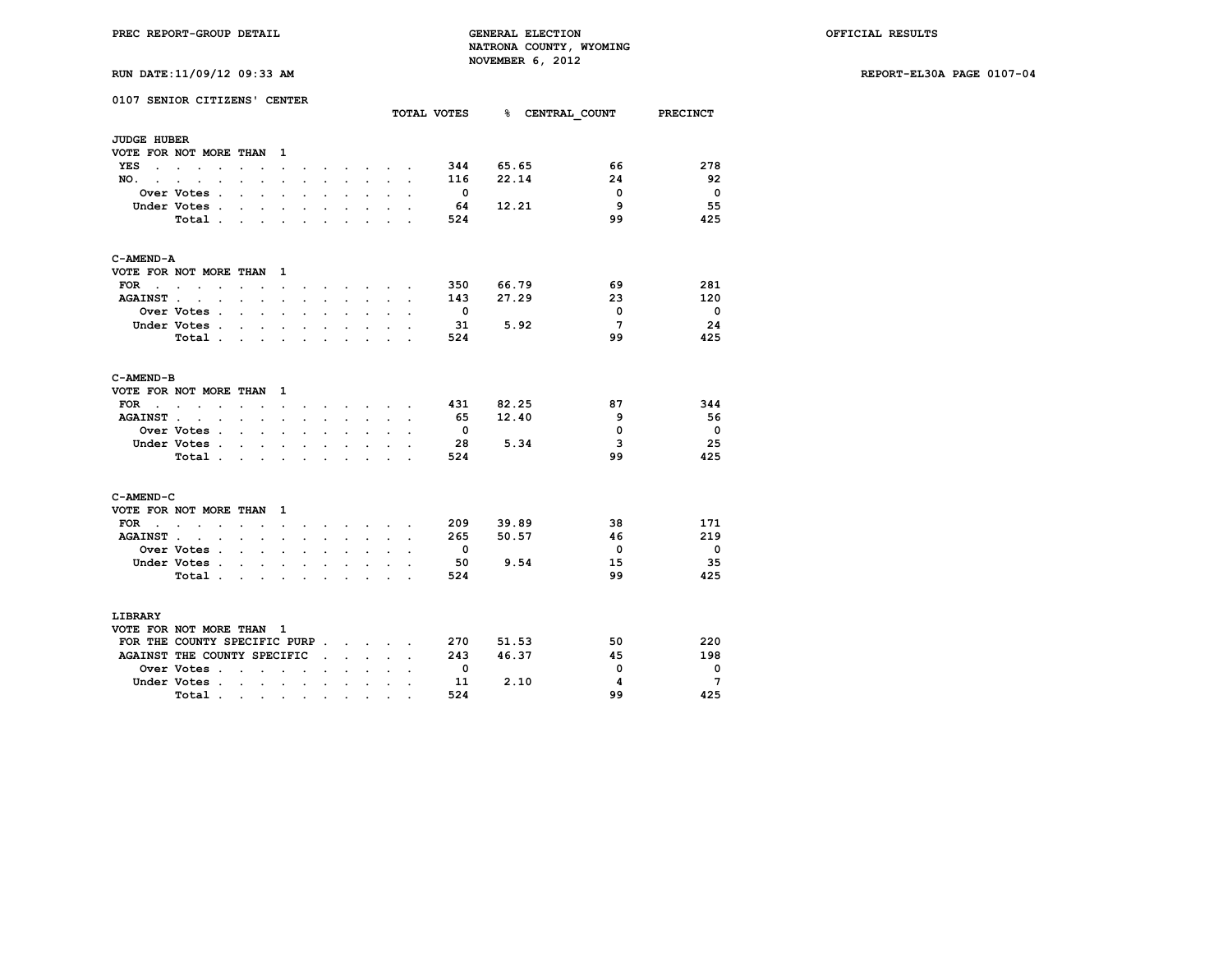**RUN DATE:11/09/12 09:33 AM REPORT-EL30A PAGE 0107-04**

| RUN DATE:11/09/12 09:33 AM |  |  |  |  |
|----------------------------|--|--|--|--|
|----------------------------|--|--|--|--|

|                    | 0107 SENIOR CITIZENS' CENTER    |                           |                      |                              |                          |                      |                      |                                                           |                      |                      | TOTAL VOTES              |           | % CENTRAL COUNT PRECINCT |                          |
|--------------------|---------------------------------|---------------------------|----------------------|------------------------------|--------------------------|----------------------|----------------------|-----------------------------------------------------------|----------------------|----------------------|--------------------------|-----------|--------------------------|--------------------------|
| <b>JUDGE HUBER</b> |                                 |                           |                      |                              |                          |                      |                      |                                                           |                      |                      |                          |           |                          |                          |
|                    | VOTE FOR NOT MORE THAN          |                           |                      | $\mathbf{1}$                 |                          |                      |                      |                                                           |                      |                      |                          |           |                          |                          |
| YES                | the contract of the contract of |                           |                      | $\ddot{\phantom{0}}$         |                          |                      |                      |                                                           | $\sim$ $\sim$        |                      | 344                      | 65.65     | 66                       | 278                      |
| NO. .              |                                 |                           | $\cdot$              | $\cdot$                      |                          |                      |                      | $\ddot{\phantom{0}}$                                      | $\ddot{\phantom{0}}$ | $\overline{a}$       | 116                      | 22.14     | 24                       | 92                       |
|                    | Over Votes .                    |                           |                      | $\cdot$                      |                          |                      |                      | $\ddot{\phantom{a}}$                                      |                      |                      | $\overline{\phantom{0}}$ |           | $\overline{0}$           | $\overline{\mathbf{0}}$  |
|                    | Under Votes .                   | $\ddot{\phantom{0}}$      | $\ddot{\phantom{0}}$ | $\bullet$                    | $\ddot{\phantom{0}}$     | $\ddot{\phantom{0}}$ | $\ddot{\phantom{0}}$ | $\ddot{\phantom{0}}$                                      |                      |                      | - 64                     | 12.21     | - 9                      | 55                       |
|                    | Total.                          | $\mathbf{r}$              | $\mathbf{r}$         |                              |                          |                      |                      |                                                           |                      |                      | 524                      |           | 99                       | 425                      |
| C-AMEND-A          |                                 |                           |                      |                              |                          |                      |                      |                                                           |                      |                      |                          |           |                          |                          |
|                    | VOTE FOR NOT MORE THAN          |                           |                      | $\mathbf{1}$                 |                          |                      |                      |                                                           |                      |                      |                          |           |                          |                          |
|                    | $\text{FOR}$                    | $\sim$                    | $\sim$               | $\sim$                       | $\sim$                   | $\sim$               |                      | $\mathbf{r}$ , $\mathbf{r}$ , $\mathbf{r}$ , $\mathbf{r}$ |                      | $\sim$               |                          | 350 66.79 | 69                       | 281                      |
| <b>AGAINST.</b>    | $\cdot$ $\cdot$                 | $\sim$                    | $\sim$               | $\ddot{\phantom{a}}$         |                          | $\sim$               | $\cdot$              | $\sim$                                                    | $\ddot{\phantom{a}}$ | $\cdot$              | 143                      | 27.29     | 23                       | 120                      |
|                    | <b>Over Votes .</b>             | $\mathbf{r} = \mathbf{r}$ |                      | $\mathbf{r}$                 | $\cdot$                  | $\ddot{\phantom{a}}$ | $\overline{a}$       | $\ddot{\phantom{a}}$                                      |                      | $\ddot{\phantom{a}}$ | $\overline{\mathbf{0}}$  |           | $\mathbf{0}$             | $\overline{\phantom{0}}$ |
|                    | Under Votes .                   | $\mathbf{r}$              | $\mathbf{r}$         | $\ddot{\phantom{0}}$         | $\sim$                   | $\mathbf{r}$         | $\overline{a}$       | $\sim$                                                    |                      |                      | 31                       | 5.92      | $7^{\circ}$              | 24                       |
|                    | Total                           |                           |                      |                              |                          |                      |                      |                                                           |                      | ÷                    | 524                      |           | 99                       | 425                      |
| C-AMEND-B          |                                 |                           |                      |                              |                          |                      |                      |                                                           |                      |                      |                          |           |                          |                          |
|                    | VOTE FOR NOT MORE THAN          |                           |                      | $\mathbf{1}$                 |                          |                      |                      |                                                           |                      |                      |                          |           |                          |                          |
| FOR $\cdots$       |                                 | $\sim$ $\sim$             |                      | $\sim$                       | $\ddot{\phantom{0}}$     |                      |                      | $\mathbf{r} = \mathbf{r} + \mathbf{r} + \mathbf{r}$       |                      | $\ddot{\phantom{a}}$ | 431                      | 82.25     | 87                       | 344                      |
| <b>AGAINST.</b>    |                                 |                           |                      | $\bullet$                    | $\ddot{\phantom{a}}$     | $\ddot{\phantom{a}}$ | $\ddot{\phantom{a}}$ | $\ddot{\phantom{0}}$                                      |                      | $\ddot{\phantom{a}}$ | 65                       | 12.40     | 9                        | - 56                     |
|                    | <b>Over Votes .</b>             | $\sim$                    | $\mathbf{r}$         | $\sim$                       | $\cdot$                  |                      |                      | $\ddot{\phantom{0}}$                                      |                      |                      | $\overline{\mathbf{0}}$  |           | $\mathbf 0$              | $\overline{\mathbf{0}}$  |
|                    | Under Votes .                   | $\sim$ $\sim$             | $\sim$               | $\sim$                       | $\cdot$                  | $\overline{a}$       | $\cdot$              | $\ddot{\phantom{0}}$                                      | $\overline{a}$       |                      | 28                       | 5.34      | 3                        | 25                       |
|                    | Total.                          | $\sim$                    | $\cdot$              |                              |                          |                      |                      |                                                           |                      |                      | 524                      |           | 99                       | 425                      |
| C-AMEND-C          |                                 |                           |                      |                              |                          |                      |                      |                                                           |                      |                      |                          |           |                          |                          |
|                    | VOTE FOR NOT MORE THAN          |                           |                      | 1                            |                          |                      |                      |                                                           |                      |                      |                          |           |                          |                          |
| FOR .              | $\cdot$ $\cdot$ $\cdot$         |                           |                      | $\ddot{\phantom{a}}$         |                          |                      |                      | <b>Contract Contract</b>                                  |                      |                      | 209                      | 39.89     | 38                       | 171                      |
| <b>AGAINST.</b>    | $\ddot{\phantom{a}}$<br>$\cdot$ | $\ddot{\phantom{0}}$      | $\ddot{\phantom{a}}$ | $\ddot{\phantom{a}}$         |                          | ÷                    |                      | $\sim$                                                    |                      |                      | 265                      | 50.57     | 46                       | 219                      |
|                    | <b>Over Votes .</b>             | $\sim$                    | $\mathbf{r}$         | $\ddot{\phantom{a}}$         | $\ddot{\phantom{a}}$     |                      | $\ddot{\phantom{0}}$ | $\ddot{\phantom{a}}$                                      |                      | $\ddot{\phantom{a}}$ | $\overline{\phantom{0}}$ |           | $\overline{\mathbf{0}}$  | $\overline{\mathbf{0}}$  |
|                    | Under Votes .                   | $\mathbf{L}^{\text{max}}$ | $\ddot{\phantom{a}}$ | $\bullet$                    |                          |                      |                      | $\ddot{\phantom{a}}$                                      |                      |                      | 50                       | 9.54      | 15                       | 35                       |
|                    | Total.                          | $\sim$                    | $\sim$               | $\sim$                       | $\ddot{\phantom{0}}$     | $\sim$               | $\overline{a}$       | $\ddot{\phantom{0}}$                                      | $\overline{a}$       | $\overline{a}$       | 524                      |           | 99                       | 425                      |
| LIBRARY            |                                 |                           |                      |                              |                          |                      |                      |                                                           |                      |                      |                          |           |                          |                          |
|                    | VOTE FOR NOT MORE THAN 1        |                           |                      |                              |                          |                      |                      |                                                           |                      |                      |                          |           |                          |                          |
|                    | FOR THE COUNTY SPECIFIC PURP    |                           |                      |                              |                          |                      |                      |                                                           |                      |                      | 270                      | 51.53     | 50                       | 220                      |
|                    | AGAINST THE COUNTY SPECIFIC     |                           |                      |                              |                          | $\cdot$              | $\mathbf{r}$         | $\sim$                                                    | $\ddot{\phantom{0}}$ |                      | 243                      | 46.37     | 45                       | 198                      |
|                    | Over Votes .                    | $\ddot{\phantom{a}}$      | $\ddot{\phantom{a}}$ | $\sim$                       | $\overline{\phantom{a}}$ |                      |                      |                                                           |                      |                      | $\overline{\mathbf{0}}$  |           | $\Omega$                 | $\overline{\mathbf{0}}$  |
|                    | Under Votes.                    | $\sim$ $\sim$             | $\sim$               | $\sim$                       | $\cdot$                  | $\ddot{\phantom{0}}$ | $\cdot$              | $\ddot{\phantom{a}}$                                      | $\ddot{\phantom{a}}$ | $\ddot{\phantom{a}}$ | 11                       | 2.10      | 4                        | $7\phantom{.0}$          |
|                    | Total.                          | $\sim$ 10 $\pm$           |                      | $\bullet$ . In the $\bullet$ | $\sim$                   | $\bullet$            | $\bullet$            | $\bullet$                                                 |                      |                      | 524                      |           | 99                       | 425                      |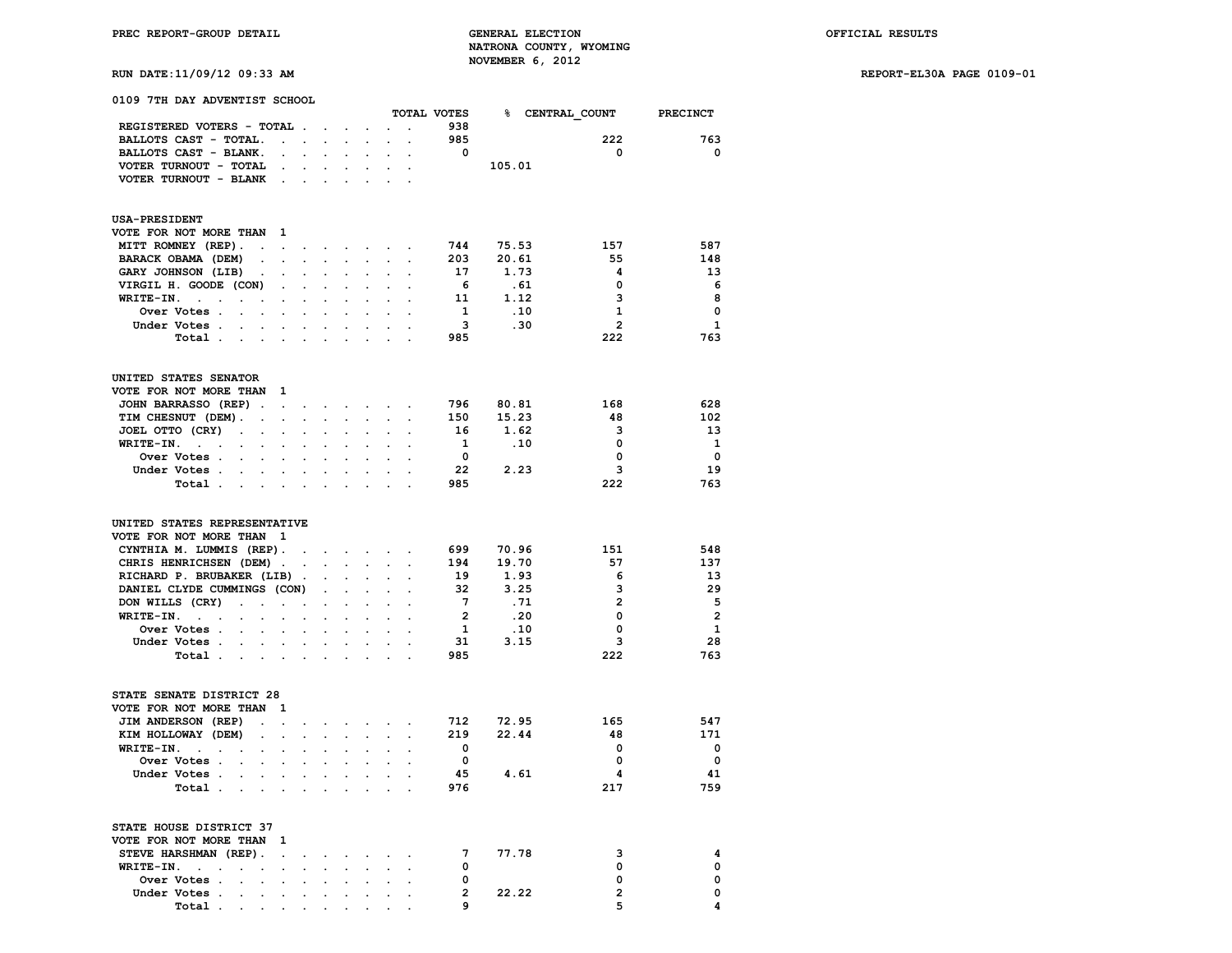**RUN DATE:11/09/12 09:33 AM REPORT-EL30A PAGE 0109-01**

| 0109 7TH DAY ADVENTIST SCHOOL                                                                |                      |                                                                               |                      |                            |                                                                                               |                          |                         |           |                                      |                          |
|----------------------------------------------------------------------------------------------|----------------------|-------------------------------------------------------------------------------|----------------------|----------------------------|-----------------------------------------------------------------------------------------------|--------------------------|-------------------------|-----------|--------------------------------------|--------------------------|
|                                                                                              |                      |                                                                               |                      |                            |                                                                                               |                          |                         |           | TOTAL VOTES 8 CENTRAL COUNT PRECINCT |                          |
| REGISTERED VOTERS - TOTAL                                                                    |                      |                                                                               |                      | $\bullet$                  |                                                                                               |                          | 938                     |           |                                      |                          |
| BALLOTS CAST - TOTAL.<br>$\mathcal{L}^{\pm}$                                                 |                      |                                                                               |                      |                            |                                                                                               |                          | 985                     |           | 222                                  | 763                      |
| BALLOTS CAST - BLANK.<br>$\sim$                                                              |                      |                                                                               |                      |                            |                                                                                               |                          | $\overline{\mathbf{0}}$ |           | $\overline{\mathbf{0}}$              | $\mathbf{o}$             |
| VOTER TURNOUT - TOTAL<br>$\sim 10^{-11}$                                                     | $\sim$               |                                                                               | $\sim$ $\sim$        | $\mathcal{L}^{\text{max}}$ | $\ddot{\phantom{a}}$                                                                          |                          |                         | 105.01    |                                      |                          |
| VOTER TURNOUT - BLANK $\cdot \cdot \cdot \cdot$                                              |                      |                                                                               |                      | $\sim$                     | $\sim$                                                                                        | $\overline{a}$           |                         |           |                                      |                          |
|                                                                                              |                      |                                                                               |                      |                            |                                                                                               |                          |                         |           |                                      |                          |
| <b>USA-PRESIDENT</b><br>VOTE FOR NOT MORE THAN<br>1                                          |                      |                                                                               |                      |                            |                                                                                               |                          |                         |           |                                      |                          |
|                                                                                              |                      |                                                                               |                      |                            |                                                                                               |                          |                         | 744 75.53 | 157                                  | 587                      |
| MITT ROMNEY (REP).                                                                           |                      | and the company of the company of                                             |                      |                            |                                                                                               |                          | 203                     | 20.61     | 55                                   | 148                      |
| BARACK OBAMA (DEM)                                                                           |                      |                                                                               |                      |                            |                                                                                               |                          | 17                      | 1.73      | $\overline{\mathbf{4}}$              | 13                       |
| GARY JOHNSON (LIB)<br>$\sim$<br>$\sim$                                                       | $\ddot{\phantom{a}}$ |                                                                               |                      | $\cdot$                    |                                                                                               | $\cdot$                  |                         |           | $\mathbf{0}$                         | - 6                      |
| VIRGIL H. GOODE (CON)<br>$\sim$                                                              | $\mathbf{L}$         | $\mathbf{r}$                                                                  | $\overline{a}$       | $\sim$                     | $\ddot{\phantom{0}}$                                                                          | $\ddot{\phantom{0}}$     | 6                       | . 61      |                                      |                          |
| $WRITE-IN.$<br>$\sim$ $\sim$<br>$\sim$<br>$\ddot{\phantom{a}}$                               | $\mathbf{r}$         | $\mathbf{r}$                                                                  | $\overline{a}$       | $\ddot{\phantom{0}}$       | $\sim$                                                                                        | $\mathbf{r}$             | 11                      | 1.12      | 3                                    | 8                        |
| Over Votes .<br>$\overline{\phantom{a}}$<br>$\sim$                                           |                      |                                                                               |                      |                            |                                                                                               |                          | $\mathbf{1}$            | .10       | $\mathbf{1}$                         | 0                        |
| Under Votes.<br>$\sim$                                                                       |                      | $\cdot$                                                                       |                      |                            | $\ddot{\phantom{0}}$                                                                          |                          | $\overline{\mathbf{3}}$ | .30       | $\overline{\mathbf{2}}$              | 1                        |
| Total                                                                                        |                      |                                                                               |                      |                            |                                                                                               |                          | 985                     |           | 222                                  | 763                      |
| UNITED STATES SENATOR                                                                        |                      |                                                                               |                      |                            |                                                                                               |                          |                         |           |                                      |                          |
| VOTE FOR NOT MORE THAN<br>$\mathbf{1}$                                                       |                      |                                                                               |                      |                            |                                                                                               |                          |                         |           |                                      |                          |
| JOHN BARRASSO (REP).<br>$\sim$ $\sim$                                                        |                      | $\mathbf{r} = \mathbf{r} + \mathbf{r} + \mathbf{r} + \mathbf{r} + \mathbf{r}$ |                      |                            |                                                                                               |                          | 796                     | 80.81     | 168                                  | 628                      |
| TIM CHESNUT (DEM).<br>$\ddot{\phantom{0}}$<br>$\sim$                                         | $\ddot{\phantom{a}}$ | $\ddot{\phantom{a}}$                                                          | $\cdot$              | $\ddot{\phantom{a}}$       | $\cdot$                                                                                       | $\cdot$                  | 150                     | 15.23     | 48                                   | 102                      |
| JOEL OTTO (CRY)<br>$\sim$<br>$\ddot{\phantom{a}}$<br>$\ddot{\phantom{a}}$                    |                      |                                                                               |                      |                            | $\ddot{\phantom{a}}$                                                                          |                          | 16                      | 1.62      | $\overline{\mathbf{3}}$              | -13                      |
| WRITE-IN.<br>$\sim$ $\sim$                                                                   |                      |                                                                               |                      |                            |                                                                                               |                          | $\mathbf{1}$            | .10       | $\overline{\mathbf{0}}$              | $\mathbf{1}$             |
| Over Votes .<br>$\sim$                                                                       |                      |                                                                               |                      |                            |                                                                                               |                          | $\overline{\mathbf{0}}$ |           | $\mathbf 0$                          | $\overline{\phantom{0}}$ |
| Under Votes .                                                                                |                      |                                                                               |                      |                            |                                                                                               |                          | 22                      | 2.23      | $\overline{\mathbf{3}}$              | 19                       |
| Total .<br>$\sim$<br>$\sim$<br>$\sim$                                                        |                      | <b>Contract Contract</b>                                                      | $\sim$               | $\ddot{\phantom{0}}$       | $\ddot{\phantom{0}}$                                                                          | $\ddot{\phantom{a}}$     | 985                     |           | 222                                  | 763                      |
| UNITED STATES REPRESENTATIVE                                                                 |                      |                                                                               |                      |                            |                                                                                               |                          |                         |           |                                      |                          |
| VOTE FOR NOT MORE THAN 1                                                                     |                      |                                                                               |                      |                            |                                                                                               |                          |                         |           |                                      |                          |
| CYNTHIA M. LUMMIS (REP).                                                                     |                      |                                                                               |                      |                            | the contract of the contract of the                                                           |                          | 699                     | 70.96     | 151                                  | 548                      |
| CHRIS HENRICHSEN (DEM).                                                                      |                      |                                                                               |                      |                            |                                                                                               |                          | 194                     | 19.70     | 57                                   | 137                      |
| RICHARD P. BRUBAKER (LIB).                                                                   |                      |                                                                               |                      | $\ddot{\phantom{0}}$       |                                                                                               | $\ddot{\phantom{a}}$     | 19                      | 1.93      | 6                                    | 13                       |
| DANIEL CLYDE CUMMINGS (CON)                                                                  |                      | $\mathcal{L}^{\mathcal{L}}$                                                   | $\blacksquare$       | $\ddot{\phantom{0}}$       |                                                                                               |                          | - 32                    | 3.25      | 3                                    | 29                       |
| DON WILLS (CRY)<br>$\sim$<br>$\mathcal{L}^{\text{max}}$                                      | $\bullet$            | $\bullet$                                                                     | $\ddot{\phantom{0}}$ | $\ddot{\phantom{0}}$       |                                                                                               | <b>Contract Contract</b> | $7^{\circ}$             | .71       | $\overline{2}$                       | - 5                      |
| $WRITE-TN.$<br>$\ddot{\phantom{a}}$                                                          |                      | $\ddot{\phantom{0}}$                                                          |                      |                            |                                                                                               |                          | $\overline{\mathbf{2}}$ | .20       | $\mathbf 0$                          | $\overline{\phantom{a}}$ |
| Over Votes .<br>$\sim$                                                                       |                      |                                                                               |                      |                            |                                                                                               | $\sim$                   | $\mathbf{1}$            | .10       | 0                                    | 1                        |
| Under Votes<br>$\mathbf{r}$                                                                  | $\sim$               | $\sim$                                                                        | $\sim$               |                            |                                                                                               |                          | - 31                    | 3.15      | 3                                    | 28                       |
| $\sim$<br>$\sim$                                                                             | $\overline{a}$       |                                                                               |                      |                            | $\sim$ $\sim$ $\sim$ $\sim$                                                                   |                          | 985                     |           | 222                                  | 763                      |
| Total .<br>$\ddot{\phantom{0}}$<br>$\sim$                                                    |                      | $\sim$                                                                        |                      |                            |                                                                                               |                          |                         |           |                                      |                          |
| STATE SENATE DISTRICT 28                                                                     |                      |                                                                               |                      |                            |                                                                                               |                          |                         |           |                                      |                          |
| VOTE FOR NOT MORE THAN 1                                                                     |                      |                                                                               |                      |                            |                                                                                               |                          |                         |           |                                      |                          |
| JIM ANDERSON (REP)<br>$\mathcal{L}^{\mathcal{L}}$<br>$\Box$                                  | $\ddot{\phantom{0}}$ | $\bullet$                                                                     |                      |                            | the contract of the contract of                                                               |                          | 712                     | 72.95     | 165                                  | 547                      |
| KIM HOLLOWAY (DEM)<br>$\ddot{\phantom{a}}$<br>$\ddot{\phantom{0}}$                           | $\ddot{\phantom{a}}$ |                                                                               |                      | $\ddot{\phantom{0}}$       | $\mathbf{r}$                                                                                  |                          | 219                     | 22.44     | 48                                   | 171                      |
| WRITE-IN.<br>$\sim$<br>$\sim$<br>$\overline{\phantom{a}}$<br>$\ddot{\phantom{a}}$<br>$\cdot$ |                      |                                                                               |                      |                            |                                                                                               |                          | $\overline{\mathbf{0}}$ |           | $\mathbf 0$                          | $\overline{\mathbf{0}}$  |
| Over Votes<br>$\sim$<br>$\mathbf{r}$                                                         | $\sim$               |                                                                               |                      | $\ddot{\phantom{a}}$       | $\ddot{\phantom{a}}$                                                                          | $\overline{a}$           | $\overline{\mathbf{0}}$ |           | 0                                    | $\overline{\mathbf{0}}$  |
| Under Votes .<br>$\sim$<br>$\ddot{\phantom{a}}$                                              | $\ddot{\phantom{a}}$ | $\ddot{\phantom{a}}$                                                          |                      |                            |                                                                                               |                          | 45                      | 4.61      | $\overline{\mathbf{4}}$              | 41                       |
| Total .<br>$\sim$<br><b>Contract Contract</b>                                                | $\sim$               |                                                                               |                      | $\cdot$                    |                                                                                               |                          | 976                     |           | 217                                  | 759                      |
| STATE HOUSE DISTRICT 37                                                                      |                      |                                                                               |                      |                            |                                                                                               |                          |                         |           |                                      |                          |
| VOTE FOR NOT MORE THAN<br>1                                                                  |                      |                                                                               |                      |                            |                                                                                               |                          |                         |           |                                      |                          |
| STEVE HARSHMAN (REP).<br>$\ddot{\phantom{a}}$                                                | $\ddot{\phantom{a}}$ | $\cdot$                                                                       | $\cdot$              | <b>Contract Contract</b>   |                                                                                               |                          | 7                       | 77.78     | 3                                    | 4                        |
| WRITE-IN.<br>$\sim$<br>$\sim$<br>$\overline{a}$<br>$\ddot{\phantom{0}}$<br>$\bullet$         | $\cdot$              |                                                                               |                      |                            |                                                                                               |                          | $\mathbf 0$             |           | 0                                    | 0                        |
| Over Votes .<br><b>All Cards</b><br>$\ddot{\phantom{a}}$                                     |                      | $\sim$ $\sim$ $\sim$                                                          |                      |                            | $\mathbf{r} = \mathbf{r} \cdot \mathbf{r}$ , where $\mathbf{r} = \mathbf{r} \cdot \mathbf{r}$ |                          | $\mathbf{0}$            |           | 0                                    | 0                        |
| Under Votes .                                                                                |                      |                                                                               |                      |                            |                                                                                               |                          | $\overline{2}$          | 22.22     | $\overline{2}$                       | 0                        |

 **Total . . . . . . . . . . 9 5 4**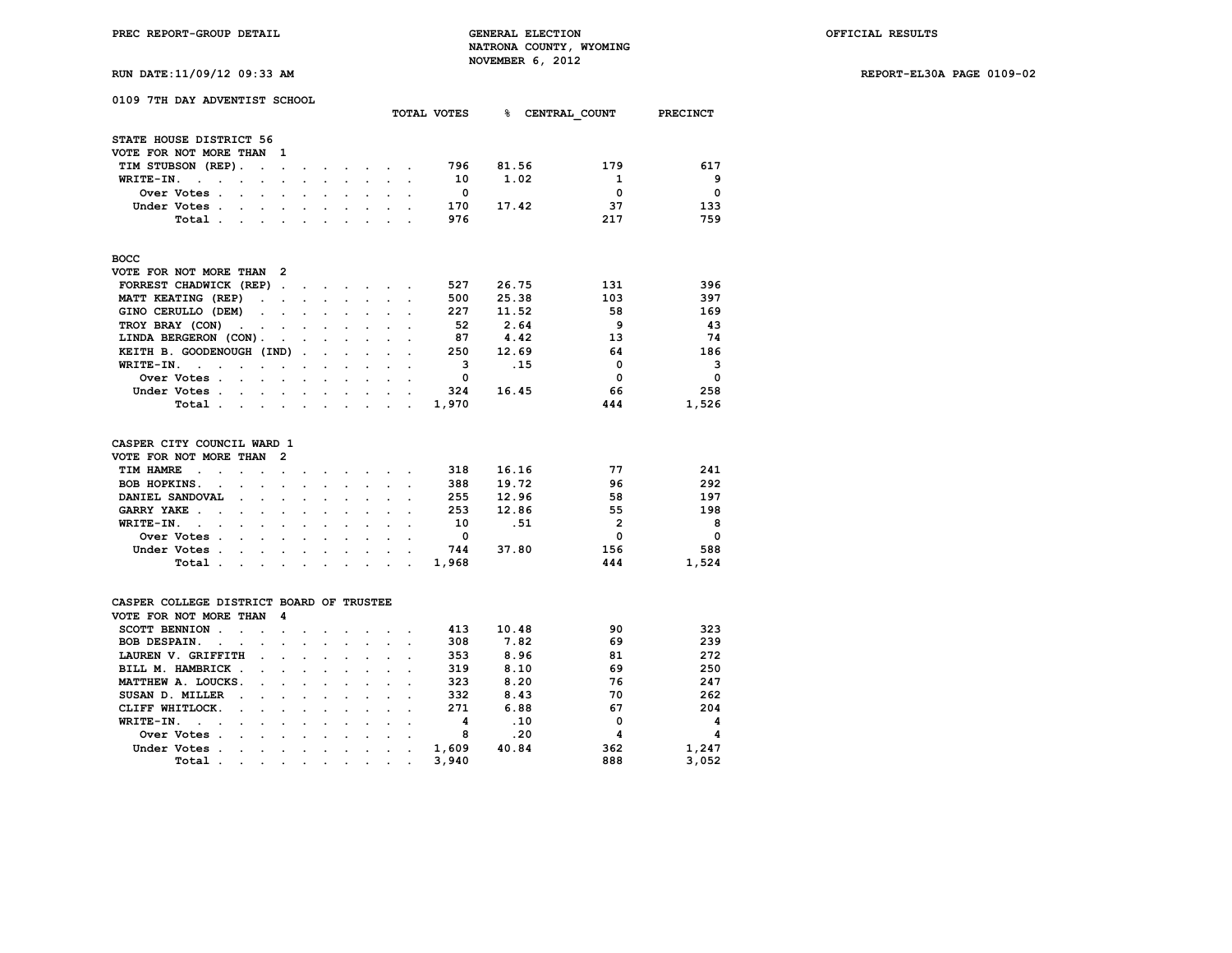**TOTAL VOTES % CENTRAL\_COUNT PRECINCT**

**RUN DATE:11/09/12 09:33 AM REPORT-EL30A PAGE 0109-02**

|  | 0109 7TH DAY ADVENTIST SCHOOL |  |
|--|-------------------------------|--|
|  |                               |  |
|  | STATE HOUSE DISTRICT 56       |  |

| VOTE FOR NOT MORE THAN                                                | - 1                  |        |                                                                                                                                                                                                                                   |                      |                                        |         |          |       |             |              |
|-----------------------------------------------------------------------|----------------------|--------|-----------------------------------------------------------------------------------------------------------------------------------------------------------------------------------------------------------------------------------|----------------------|----------------------------------------|---------|----------|-------|-------------|--------------|
| TIM STUBSON (REP).<br>the contract of the contract of the contract of |                      |        |                                                                                                                                                                                                                                   |                      |                                        |         | 796      | 81.56 | 179         | 617          |
| $W$ RITE-IN<br><b>Contract Contract Street</b>                        |                      |        | $\sim$ $\sim$ $\sim$                                                                                                                                                                                                              |                      | $\sim$ $\sim$ $\sim$                   |         | 10       | 1.02  |             | 9            |
| Over Votes.<br>and the state of the state of the                      |                      |        | $\mathbf{r}$ . The contract of the contract of the contract of the contract of the contract of the contract of the contract of the contract of the contract of the contract of the contract of the contract of the contract of th |                      |                                        |         | $\Omega$ |       | $\Omega$    | $\Omega$     |
| Under Votes.<br>and the contract of the con-                          |                      | $\sim$ | $\sim$ $\sim$ $\sim$ $\sim$ $\sim$                                                                                                                                                                                                |                      |                                        | $\sim$  | 170      | 17.42 | 37          | 133          |
| Total                                                                 |                      |        |                                                                                                                                                                                                                                   |                      | $\mathbf{r} = \mathbf{r} + \mathbf{r}$ |         | 976      |       | 217         | 759          |
|                                                                       |                      |        |                                                                                                                                                                                                                                   |                      |                                        |         |          |       |             |              |
| BOCC                                                                  |                      |        |                                                                                                                                                                                                                                   |                      |                                        |         |          |       |             |              |
| VOTE FOR NOT MORE THAN 2                                              |                      |        |                                                                                                                                                                                                                                   |                      |                                        |         |          |       |             |              |
| FORREST CHADWICK (REP)                                                |                      |        |                                                                                                                                                                                                                                   |                      |                                        |         | 527      | 26.75 | 131         | 396          |
| MATT KEATING (REP)                                                    |                      |        | the company of the company of the company of the company of the company of the company of the company of the company of the company of the company of the company of the company of the company of the company of the company     |                      |                                        |         | 500      | 25.38 | 103         | 397          |
| GINO CERULLO (DEM)                                                    |                      |        |                                                                                                                                                                                                                                   |                      |                                        |         | 227      | 11.52 | 58          | 169          |
| TROY BRAY (CON)                                                       |                      |        |                                                                                                                                                                                                                                   |                      | and the control of                     |         | 52       | 2.64  | 9           | 43           |
| LINDA BERGERON (CON).                                                 | $\sim$ $\sim$ $\sim$ |        | $\sim$ $\sim$ $\sim$ $\sim$ $\sim$                                                                                                                                                                                                |                      |                                        | $\sim$  | 87       | 4.42  | 13          | 74           |
| KEITH B. GOODENOUGH (IND).                                            |                      |        | $\sim$ $\sim$                                                                                                                                                                                                                     |                      | $\sim$ $\sim$                          |         | 250      | 12.69 | 64          | 186          |
| WRITE-IN.<br><b>Contract Contract</b><br>$\sim$ $\sim$                |                      |        |                                                                                                                                                                                                                                   | $\ddot{\phantom{a}}$ | $\sim$ $\sim$ $\sim$                   |         | 3        | .15   | O           | 3            |
| Over Votes.<br>and the state of the state of the                      |                      |        |                                                                                                                                                                                                                                   |                      |                                        |         | 0        |       | $\mathbf 0$ | $\mathbf{o}$ |
| Under Votes .                                                         |                      |        |                                                                                                                                                                                                                                   |                      |                                        | $\cdot$ | 324      | 16.45 | 66          | 258          |
| Total                                                                 |                      |        |                                                                                                                                                                                                                                   |                      |                                        |         | 1,970    |       | 444         | 1,526        |
|                                                                       |                      |        |                                                                                                                                                                                                                                   |                      |                                        |         |          |       |             |              |

### **CASPER CITY COUNCIL WARD 1 VOTE FOR NOT MORE THAN 2**

| VOTE FOR NOT MORE THAN Z |  |  |  |  |  |              |       |     |          |
|--------------------------|--|--|--|--|--|--------------|-------|-----|----------|
| TIM HAMRE                |  |  |  |  |  | 318          | 16.16 | 77  | 241      |
| BOB HOPKINS.             |  |  |  |  |  | 388          | 19.72 | 96  | 292      |
| DANIEL SANDOVAL          |  |  |  |  |  | 255          | 12.96 | 58  | 197      |
| GARRY YAKE               |  |  |  |  |  | 253          | 12.86 | 55  | 198      |
| WRITE-IN.                |  |  |  |  |  | 10           | . 51  | 2   | 8        |
| Over Votes               |  |  |  |  |  | <sup>0</sup> |       | O   | $\Omega$ |
| Under Votes              |  |  |  |  |  | 744          | 37.80 | 156 | 588      |
|                          |  |  |  |  |  | Total. 1,968 |       | 444 | 1,524    |
|                          |  |  |  |  |  |              |       |     |          |

|  | CASPER COLLEGE DISTRICT BOARD OF TRUSTEE                                                                                                                                                                                                                                                                                             |  |  |
|--|--------------------------------------------------------------------------------------------------------------------------------------------------------------------------------------------------------------------------------------------------------------------------------------------------------------------------------------|--|--|
|  | $V$ $\wedge$ $\mathbb{R}$ $\wedge$ $\mathbb{R}$ $\wedge$ $\mathbb{R}$ $\mathbb{R}$ $\wedge$ $\mathbb{R}$ $\mathbb{R}$ $\mathbb{R}$ $\wedge$ $\mathbb{R}$ $\mathbb{R}$ $\wedge$ $\mathbb{R}$ $\mathbb{R}$ $\wedge$ $\mathbb{R}$ $\mathbb{R}$ $\wedge$ $\mathbb{R}$ $\mathbb{R}$ $\wedge$ $\mathbb{R}$ $\mathbb{R}$ $\wedge$ $\mathbb$ |  |  |

| VOID FOR NOI MORD INAN T |  |  |  |       |       |     |                |
|--------------------------|--|--|--|-------|-------|-----|----------------|
| SCOTT BENNION            |  |  |  | 413   | 10.48 | 90  | 323            |
| BOB DESPAIN.             |  |  |  | 308   | 7.82  | 69  | 239            |
| LAUREN V. GRIFFITH       |  |  |  | 353   | 8.96  | 81  | 272            |
| BILL M. HAMBRICK         |  |  |  | 319   | 8.10  | 69  | 250            |
| MATTHEW A. LOUCKS.       |  |  |  | 323   | 8.20  | 76  | 247            |
| SUSAN D. MILLER          |  |  |  | 332   | 8.43  | 70  | 262            |
| CLIFF WHITLOCK.          |  |  |  | 271   | 6.88  | 67  | 204            |
| WRITE-IN.                |  |  |  |       | .10   |     | $\overline{a}$ |
| Over Votes               |  |  |  | 8     | .20   |     | 4              |
| Under Votes              |  |  |  | 1,609 | 40.84 | 362 | 1,247          |
| Total                    |  |  |  | 3,940 |       | 888 | 3.052          |
|                          |  |  |  |       |       |     |                |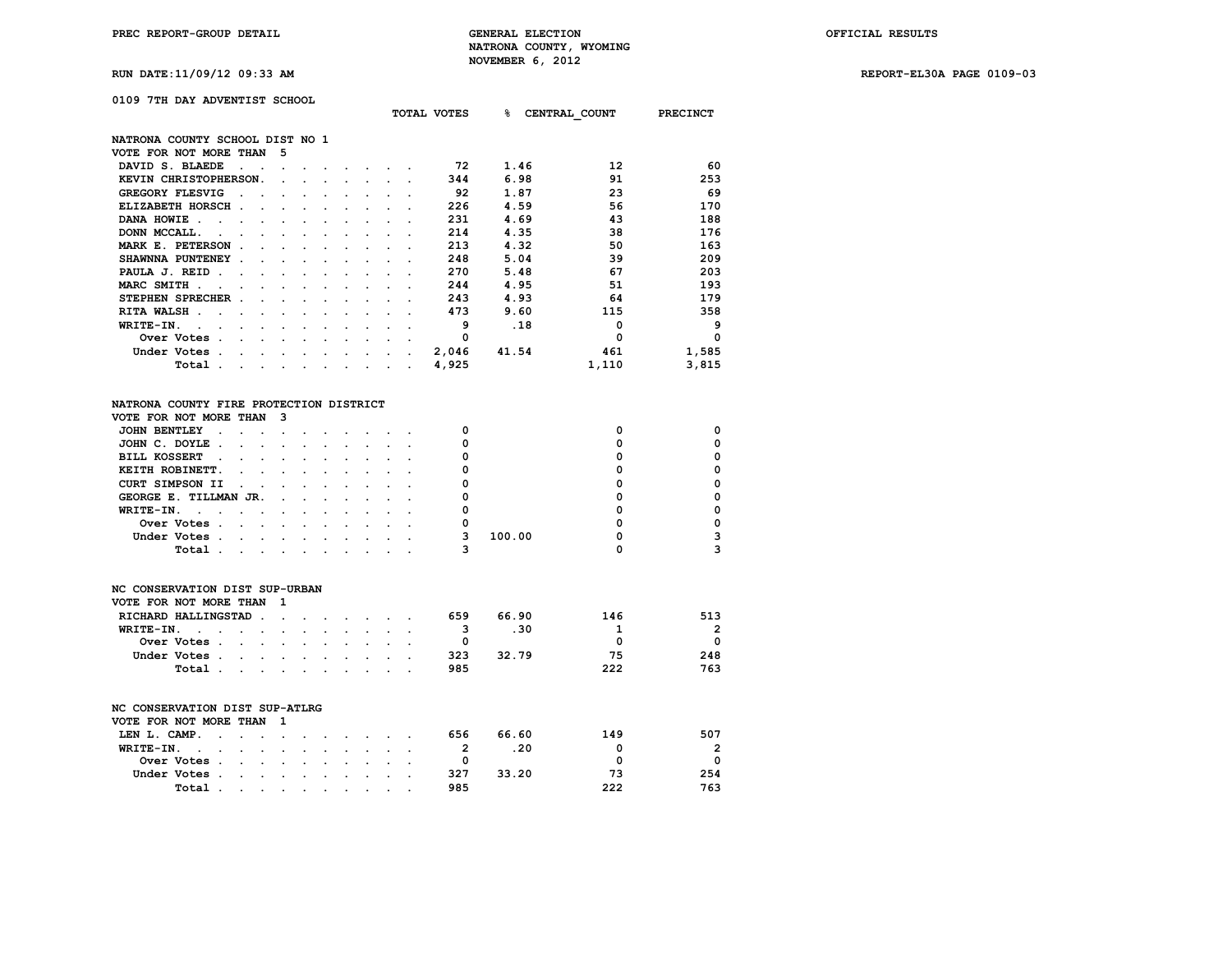**RUN DATE:11/09/12 09:33 AM REPORT-EL30A PAGE 0109-03**

## **0109 7TH DAY ADVENTIST SCHOOL**

|                                         |                            |                      |                      |                                 |                                                                                                                                                                                                                                            | TOTAL VOTES | ℁     | CENTRAL COUNT | <b>PRECINCT</b> |
|-----------------------------------------|----------------------------|----------------------|----------------------|---------------------------------|--------------------------------------------------------------------------------------------------------------------------------------------------------------------------------------------------------------------------------------------|-------------|-------|---------------|-----------------|
| NATRONA COUNTY SCHOOL DIST NO 1         |                            |                      |                      |                                 |                                                                                                                                                                                                                                            |             |       |               |                 |
| VOTE FOR NOT MORE THAN                  | 5                          |                      |                      |                                 |                                                                                                                                                                                                                                            |             |       |               |                 |
| DAVID S. BLAEDE                         |                            |                      |                      |                                 |                                                                                                                                                                                                                                            | 72          | 1.46  | 12            | 60              |
| KEVIN CHRISTOPHERSON.                   |                            |                      |                      |                                 |                                                                                                                                                                                                                                            | 344         | 6.98  | 91            | 253             |
| <b>GREGORY FLESVIG</b>                  |                            |                      |                      |                                 |                                                                                                                                                                                                                                            | 92          | 1.87  | 23            | 69              |
| ELIZABETH HORSCH.                       |                            |                      |                      |                                 |                                                                                                                                                                                                                                            | 226         | 4.59  | 56            | 170             |
| DANA HOWIE.                             |                            |                      |                      |                                 |                                                                                                                                                                                                                                            | 231         | 4.69  | 43            | 188             |
| DONN MCCALL.                            |                            |                      |                      |                                 |                                                                                                                                                                                                                                            | 214         | 4.35  | 38            | 176             |
| MARK E. PETERSON                        |                            |                      |                      |                                 |                                                                                                                                                                                                                                            | 213         | 4.32  | 50            | 163             |
| SHAWNNA PUNTENEY                        |                            |                      |                      |                                 |                                                                                                                                                                                                                                            | 248         | 5.04  | 39            | 209             |
| PAULA J. REID.                          |                            |                      |                      |                                 |                                                                                                                                                                                                                                            | 270         | 5.48  | 67            | 203             |
| MARC SMITH .                            |                            |                      |                      |                                 |                                                                                                                                                                                                                                            | 244         | 4.95  | 51            | 193             |
| STEPHEN SPRECHER .                      |                            |                      |                      |                                 |                                                                                                                                                                                                                                            | 243         | 4.93  | 64            | 179             |
| RITA WALSH.                             |                            |                      |                      |                                 |                                                                                                                                                                                                                                            | 473         | 9.60  | 115           | 358             |
| WRITE-IN.                               |                            |                      |                      |                                 |                                                                                                                                                                                                                                            | 9           | .18   | $\mathbf 0$   | 9               |
| Over Votes .                            |                            |                      |                      |                                 |                                                                                                                                                                                                                                            | 0           |       | 0             | $\mathbf 0$     |
| Under Votes.<br>$\ddot{\phantom{a}}$    | the company of the company |                      |                      | <b>Contract Contract Street</b> |                                                                                                                                                                                                                                            | 2,046       | 41.54 | 461           | 1,585           |
| Total .<br>$\cdot$                      | $\sim$ $\sim$ $\sim$       | <b>Service</b> State | $\ddot{\phantom{0}}$ |                                 | $\mathcal{L}_{\mathcal{A}}$ . The contract of the contract of the contract of the contract of the contract of the contract of the contract of the contract of the contract of the contract of the contract of the contract of the contract | 4,925       |       | 1,110         | 3,815           |
|                                         |                            |                      |                      |                                 |                                                                                                                                                                                                                                            |             |       |               |                 |
| NATRONA COUNTY FIRE PROTECTION DISTRICT |                            |                      |                      |                                 |                                                                                                                                                                                                                                            |             |       |               |                 |
| VOTE FOR NOT MORE THAN                  | 3                          |                      |                      |                                 |                                                                                                                                                                                                                                            |             |       |               |                 |
| <b>JOHN BENTLEY</b>                     |                            |                      |                      |                                 |                                                                                                                                                                                                                                            | 0           |       | 0             | 0               |
| JOHN C. DOYLE<br>$\cdot$                | $\ddot{\phantom{0}}$       | $\ddot{\phantom{0}}$ |                      |                                 |                                                                                                                                                                                                                                            | 0           |       | 0             | 0               |
|                                         |                            |                      | ٠                    |                                 |                                                                                                                                                                                                                                            |             |       |               |                 |

| KEITH ROBINETT.<br>CURT SIMPSON II<br>GEORGE E. TILLMAN JR.<br>WRITE-IN.<br>Over Votes<br>100.00<br>Under Votes<br>Total<br>the contract of the contract of the contract of the contract of the contract of the contract of the contract of |  | BILL KOSSERT |  |  |  |  |  |  |   |
|---------------------------------------------------------------------------------------------------------------------------------------------------------------------------------------------------------------------------------------------|--|--------------|--|--|--|--|--|--|---|
|                                                                                                                                                                                                                                             |  |              |  |  |  |  |  |  | ŋ |
|                                                                                                                                                                                                                                             |  |              |  |  |  |  |  |  | ŋ |
|                                                                                                                                                                                                                                             |  |              |  |  |  |  |  |  | ŋ |
|                                                                                                                                                                                                                                             |  |              |  |  |  |  |  |  |   |
|                                                                                                                                                                                                                                             |  |              |  |  |  |  |  |  | ŋ |
|                                                                                                                                                                                                                                             |  |              |  |  |  |  |  |  | ঽ |
|                                                                                                                                                                                                                                             |  |              |  |  |  |  |  |  |   |

# **NC CONSERVATION DIST SUP-URBAN VOTE FOR NOT MORE THAN 1 RICHARD HALLINGSTAD** . . . . . . . 659 66.90 146 513<br>**WRITE-IN** . . . . . . . . . . . 3 .30 1 2 **WRITE-IN.** . . . . . . . . . . . . . 3 .30 1 2<br>Over Votes . . . . . . . . . . . 0 0 0 0 0  **Over Votes . . . . . . . . . . 0 0 0 Under Votes . . . . . . . . . . 323 32.79 75 248 Total** . . . . . . . . . .

| NC CONSERVATION DIST SUP-ATLRG |              |  |  |                                                                                                                 |  |  |     |       |     |          |
|--------------------------------|--------------|--|--|-----------------------------------------------------------------------------------------------------------------|--|--|-----|-------|-----|----------|
| VOTE FOR NOT MORE THAN 1       |              |  |  |                                                                                                                 |  |  |     |       |     |          |
|                                |              |  |  |                                                                                                                 |  |  |     |       |     |          |
| LEN L. CAMP.                   |              |  |  |                                                                                                                 |  |  | 656 | 66.60 | 149 | 507      |
| WRITE-IN.                      |              |  |  |                                                                                                                 |  |  |     | .20   | O   | 2        |
|                                | Over Votes   |  |  |                                                                                                                 |  |  | 0   |       | O   | $\Omega$ |
|                                | Under Votes. |  |  | the contract of the contract of the contract of the contract of the contract of the contract of the contract of |  |  | 327 | 33.20 | 73  | 254      |
|                                | Total        |  |  | the contract of the contract of the contract of the contract of the contract of the contract of the contract of |  |  | 985 |       | 222 | 763      |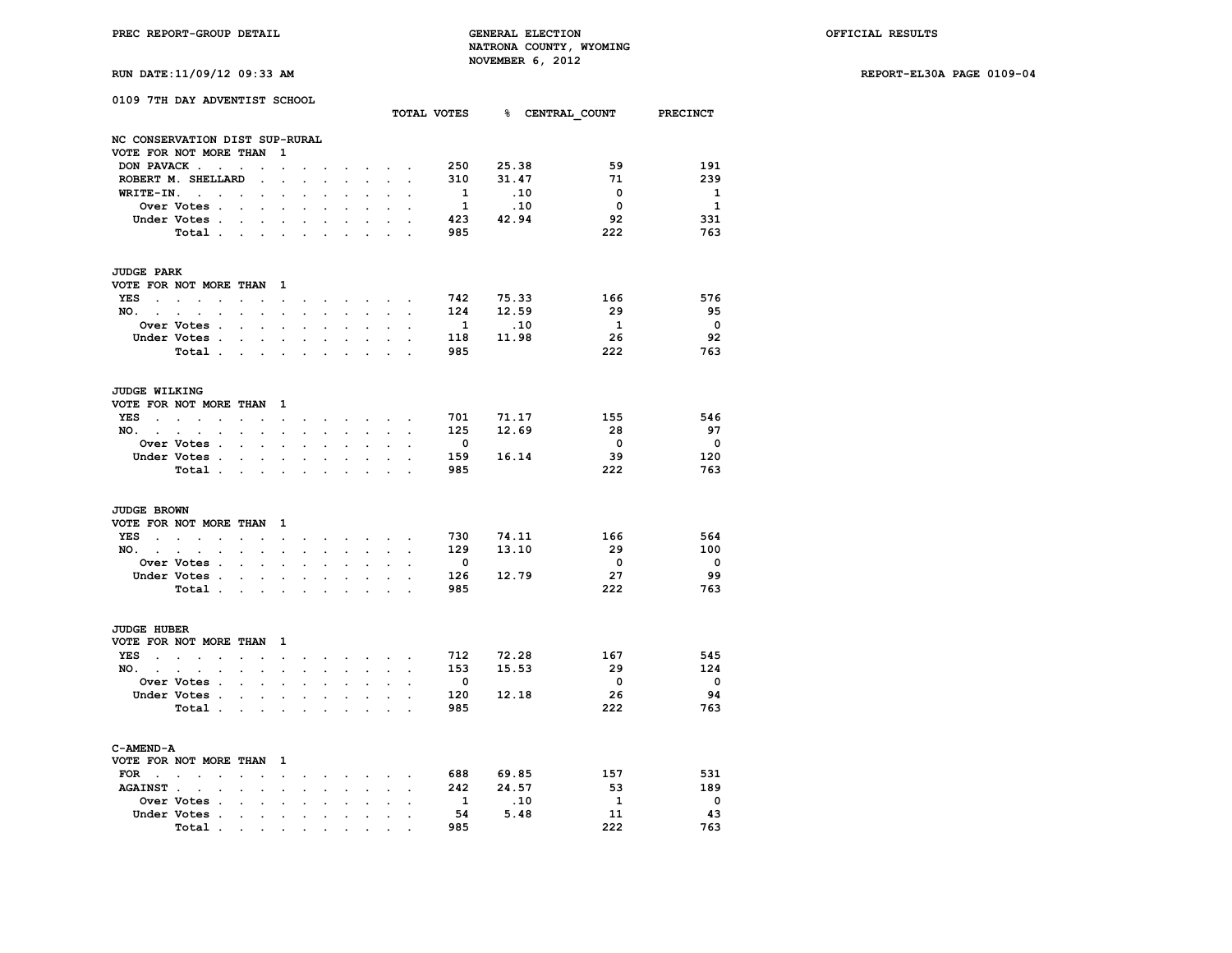**TOTAL VOTES % CENTRAL\_COUNT PRECINCT**

**RUN DATE:11/09/12 09:33 AM REPORT-EL30A PAGE 0109-04**

|  | 0109 7TH DAY ADVENTIST SCHOOL |  |
|--|-------------------------------|--|
|  |                               |  |

|                                 | NC CONSERVATION DIST SUP-RURAL                  |                                               |                         |                           |                      |                      |                      |                             |                                                                                                                                                         |                      |                         |           |                          |                         |
|---------------------------------|-------------------------------------------------|-----------------------------------------------|-------------------------|---------------------------|----------------------|----------------------|----------------------|-----------------------------|---------------------------------------------------------------------------------------------------------------------------------------------------------|----------------------|-------------------------|-----------|--------------------------|-------------------------|
|                                 | VOTE FOR NOT MORE THAN                          |                                               |                         | 1                         |                      |                      |                      |                             |                                                                                                                                                         |                      |                         |           |                          |                         |
|                                 | DON PAVACK                                      | $\ddot{\phantom{a}}$                          | $\ddot{\phantom{a}}$    | $\ddot{\phantom{a}}$      | $\sim$               | $\sim$               |                      |                             | $\mathbf{r}$ , $\mathbf{r}$ , $\mathbf{r}$                                                                                                              | $\sim$               | 250                     | 25.38     | 59                       | 191                     |
|                                 | ROBERT M. SHELLARD                              |                                               |                         |                           |                      | $\sim$               | $\sim$               | $\ddot{\phantom{0}}$        |                                                                                                                                                         |                      | 310                     | 31.47     | 71                       | 239                     |
| WRITE-IN.                       | $\sim$ $\sim$                                   | $\sim$                                        | $\ddot{\phantom{0}}$    | $\cdot$                   | $\overline{a}$       | $\ddot{\phantom{a}}$ | $\mathbf{r}$         | $\ddot{\phantom{a}}$        |                                                                                                                                                         |                      | $\mathbf{1}$            | .10       | $\overline{\mathbf{0}}$  | $\mathbf{1}$            |
|                                 | Over Votes .                                    |                                               |                         |                           |                      |                      |                      |                             |                                                                                                                                                         |                      | $\mathbf{1}$            | .10       | $\mathbf{0}$             | 1                       |
|                                 | Under Votes                                     |                                               |                         |                           |                      |                      |                      |                             |                                                                                                                                                         |                      | 423                     | 42.94     | 92                       | 331                     |
|                                 |                                                 |                                               | $\ddot{\phantom{0}}$    | $\ddot{\phantom{a}}$      | $\cdot$              | $\cdot$              |                      |                             |                                                                                                                                                         |                      |                         |           |                          |                         |
|                                 | Total .                                         | <b>Contract Contract Street</b>               |                         |                           |                      |                      |                      |                             |                                                                                                                                                         |                      | 985                     |           | 222                      | 763                     |
| <b>JUDGE PARK</b>               |                                                 |                                               |                         |                           |                      |                      |                      |                             |                                                                                                                                                         |                      |                         |           |                          |                         |
|                                 | VOTE FOR NOT MORE THAN                          |                                               |                         | $\mathbf{1}$              |                      |                      |                      |                             |                                                                                                                                                         |                      |                         |           |                          |                         |
| <b>YES</b>                      | $\sim$<br>$\sim$ $\sim$                         | $\sim$ $\sim$                                 |                         | $\sim$                    |                      |                      |                      |                             | and a strong control of the state of the                                                                                                                |                      | 742                     | 75.33     | 166                      | 576                     |
| NO.<br>$\sim$                   | $\ddot{\phantom{0}}$<br>$\mathbf{r}$<br>$\cdot$ |                                               | $\overline{a}$          | $\ddot{\phantom{0}}$      | $\cdot$              | $\mathbf{L}$         | a.                   | $\ddot{\phantom{0}}$        | <b>College</b>                                                                                                                                          |                      | 124                     | 12.59     | 29                       | 95                      |
|                                 | <b>Over Votes .</b>                             | $\cdot$ $\cdot$                               |                         | $\cdot$                   | $\ddot{\phantom{a}}$ | $\cdot$              |                      | $\ddot{\phantom{0}}$        |                                                                                                                                                         | $\cdot$              | $\mathbf{1}$            | .10       | $\mathbf{1}$             | $\overline{\mathbf{0}}$ |
|                                 |                                                 |                                               |                         |                           |                      |                      |                      |                             |                                                                                                                                                         |                      |                         | 11.98     |                          |                         |
|                                 | Under Votes .                                   |                                               |                         |                           |                      |                      |                      |                             |                                                                                                                                                         |                      | 118                     |           | 26                       | 92                      |
|                                 | Total                                           |                                               |                         | $\cdot$                   | $\ddot{\phantom{a}}$ |                      |                      | $\ddot{\phantom{a}}$        |                                                                                                                                                         |                      | 985                     |           | 222                      | 763                     |
| <b>JUDGE WILKING</b>            |                                                 |                                               |                         |                           |                      |                      |                      |                             |                                                                                                                                                         |                      |                         |           |                          |                         |
|                                 | VOTE FOR NOT MORE THAN 1                        |                                               |                         |                           |                      |                      |                      |                             |                                                                                                                                                         |                      |                         |           |                          |                         |
| <b>YES</b>                      | the contract of the contract of the             |                                               |                         |                           |                      |                      |                      |                             | and a series of the series of                                                                                                                           |                      | 701                     | 71.17     | 155                      | 546                     |
| NO.                             | $\sim$<br>$\bullet$<br>$\bullet$                | $\mathbf{r} = \mathbf{r} \times \mathbf{r}$ . |                         | $\mathbf{L}^{\text{max}}$ | $\ddot{\phantom{a}}$ | $\ddot{\phantom{a}}$ | $\ddot{\phantom{a}}$ | $\mathcal{L}^{\mathcal{L}}$ | $\sim$                                                                                                                                                  | $\ddot{\phantom{a}}$ | 125                     | 12.69     | 28                       | 97                      |
|                                 |                                                 |                                               |                         |                           |                      |                      |                      |                             |                                                                                                                                                         |                      | $\overline{\mathbf{0}}$ |           | $\overline{\phantom{0}}$ | $\overline{\mathbf{0}}$ |
|                                 | <b>Over Votes .</b>                             | $\ddot{\phantom{0}}$                          |                         |                           |                      |                      |                      |                             |                                                                                                                                                         |                      |                         |           |                          |                         |
|                                 | Under Votes                                     |                                               |                         | $\ddot{\phantom{0}}$      | $\ddot{\phantom{0}}$ | $\sim$               | $\sim$               | $\ddot{\phantom{0}}$        | $\sim$                                                                                                                                                  | $\overline{a}$       | 159                     | 16.14     | 39                       | 120                     |
|                                 | Total .                                         | $\mathbf{L} = \mathbf{L} \times \mathbf{L}$   |                         |                           | $\ddot{\phantom{a}}$ | $\ddot{\phantom{a}}$ | $\overline{a}$       | $\mathbf{r}$                | ÷                                                                                                                                                       |                      | 985                     |           | 222                      | 763                     |
| <b>JUDGE BROWN</b>              |                                                 |                                               |                         |                           |                      |                      |                      |                             |                                                                                                                                                         |                      |                         |           |                          |                         |
|                                 | VOTE FOR NOT MORE THAN                          |                                               |                         | 1                         |                      |                      |                      |                             |                                                                                                                                                         |                      |                         |           |                          |                         |
| YES                             | and the state of the state of the               | $\mathbf{z} = \mathbf{z} + \mathbf{z}$        |                         | $\bullet$ .               |                      |                      |                      |                             | $\begin{array}{cccccccccccccc} \bullet & \bullet & \bullet & \bullet & \bullet & \bullet & \bullet & \bullet & \bullet & \bullet & \bullet \end{array}$ |                      | 730                     | 74.11     | 166                      | 564                     |
| NO. .                           | $\sim$<br>$\sim$                                |                                               | $\ddot{\phantom{a}}$    | $\mathbf{r}$              | $\mathbf{r}$         | $\sim$               |                      | $\sim$                      |                                                                                                                                                         |                      | 129                     | 13.10     | 29                       | 100                     |
|                                 | $\sim$                                          | $\ddot{\phantom{0}}$                          |                         |                           |                      |                      |                      |                             |                                                                                                                                                         |                      |                         |           |                          |                         |
|                                 | Over Votes .                                    | $\ddot{\phantom{a}}$                          | $\ddot{\phantom{a}}$    | $\ddot{\phantom{a}}$      | $\overline{a}$       | $\ddot{\phantom{a}}$ | $\ddot{\phantom{a}}$ | $\ddot{\phantom{a}}$        |                                                                                                                                                         |                      | $\overline{\mathbf{0}}$ |           | $\overline{\mathbf{0}}$  | $\overline{\mathbf{0}}$ |
|                                 | Under Votes .                                   | $\overline{a}$                                |                         | $\ddot{\phantom{a}}$      | $\overline{a}$       | $\ddot{\phantom{a}}$ |                      | $\mathbf{r}$                | o.                                                                                                                                                      |                      | 126                     | 12.79     | 27                       | 99                      |
|                                 | Total                                           |                                               |                         | $\cdot$                   | $\cdot$              |                      |                      | $\ddot{\phantom{a}}$        |                                                                                                                                                         |                      | 985                     |           | 222                      | 763                     |
| JUDGE HUBER                     |                                                 |                                               |                         |                           |                      |                      |                      |                             |                                                                                                                                                         |                      |                         |           |                          |                         |
|                                 | VOTE FOR NOT MORE THAN 1                        |                                               |                         |                           |                      |                      |                      |                             |                                                                                                                                                         |                      |                         |           |                          |                         |
| YES<br><b>Contract Contract</b> | $\sim$<br>$\sim$ $\sim$                         | and the company of the company                |                         |                           |                      |                      |                      |                             | and a strategic control of the state of                                                                                                                 |                      | 712                     | 72.28     | 167                      | 545                     |
|                                 |                                                 |                                               |                         |                           |                      |                      |                      |                             |                                                                                                                                                         |                      | 153                     | 15.53     | 29                       | 124                     |
| NO.                             | $\sim$<br>$\ddot{\phantom{a}}$                  | $\ddot{\phantom{0}}$<br>$\sim$                |                         | $\ddot{\phantom{a}}$      | $\cdot$              | $\mathbf{r}$         | $\ddot{\phantom{0}}$ | $\sim$                      | $\mathbf{r}$                                                                                                                                            | $\ddot{\phantom{a}}$ |                         |           |                          |                         |
|                                 | Over Votes .                                    | $\ddot{\phantom{a}}$<br>$\sim$                |                         | $\ddot{\phantom{0}}$      |                      | $\cdot$              |                      |                             |                                                                                                                                                         |                      | $\mathbf{o}$            |           | $\mathbf 0$              | $\mathbf{o}$            |
|                                 | Under Votes .                                   | $\bullet$                                     | $\sim 100$ km s $^{-1}$ | $\ddot{\phantom{0}}$      | $\ddot{\phantom{a}}$ | $\ddot{\phantom{a}}$ | $\ddot{\phantom{a}}$ | $\bullet$                   | $\ddot{\phantom{a}}$                                                                                                                                    |                      | 120                     | 12.18     | - 26                     | 94                      |
|                                 | Total .                                         | <b>Contract Contract Contract</b>             |                         |                           | $\ddot{\phantom{0}}$ | $\sim$               | $\sim$               |                             | $\sim$ $\sim$                                                                                                                                           |                      | 985                     |           | 222                      | 763                     |
| C-AMEND-A                       |                                                 |                                               |                         |                           |                      |                      |                      |                             |                                                                                                                                                         |                      |                         |           |                          |                         |
|                                 | VOTE FOR NOT MORE THAN                          |                                               |                         | 1                         |                      |                      |                      |                             |                                                                                                                                                         |                      |                         |           |                          |                         |
| $FOR \t . \t .$                 | $\cdot$                                         | $\overline{a}$                                | $\overline{a}$          | $\sim$                    |                      |                      |                      |                             | $\mathbf{z} = \mathbf{z} + \mathbf{z}$ , where $\mathbf{z} = \mathbf{z}$                                                                                | $\cdot$              |                         | 688 69.85 | 157                      | 531                     |
|                                 |                                                 |                                               |                         |                           |                      |                      |                      |                             |                                                                                                                                                         |                      |                         |           |                          |                         |
| <b>AGAINST</b> .                | $\sim$ $\sim$<br>$\cdot$                        | $\ddot{\phantom{a}}$                          | $\cdot$                 | $\ddot{\phantom{a}}$      |                      | $\sim$               |                      | $\ddot{\phantom{0}}$        |                                                                                                                                                         |                      | 242                     | 24.57     | 53                       | 189                     |
|                                 | Over Votes .                                    |                                               |                         | $\overline{a}$            |                      |                      |                      |                             | $\overline{a}$                                                                                                                                          |                      | $\mathbf{1}$            | .10       | - 1                      | $\overline{\mathbf{0}}$ |
|                                 | Under Votes .                                   | $\ddot{\phantom{a}}$                          | $\ddot{\phantom{0}}$    | $\ddot{\phantom{0}}$      |                      |                      |                      |                             |                                                                                                                                                         |                      | 54                      | 5.48      | 11                       | 43                      |
|                                 | Total.                                          | <b>Contract Contract Contract</b>             | $\bullet$               | $\bullet$                 |                      |                      |                      |                             |                                                                                                                                                         |                      | 985                     |           | 222                      | 763                     |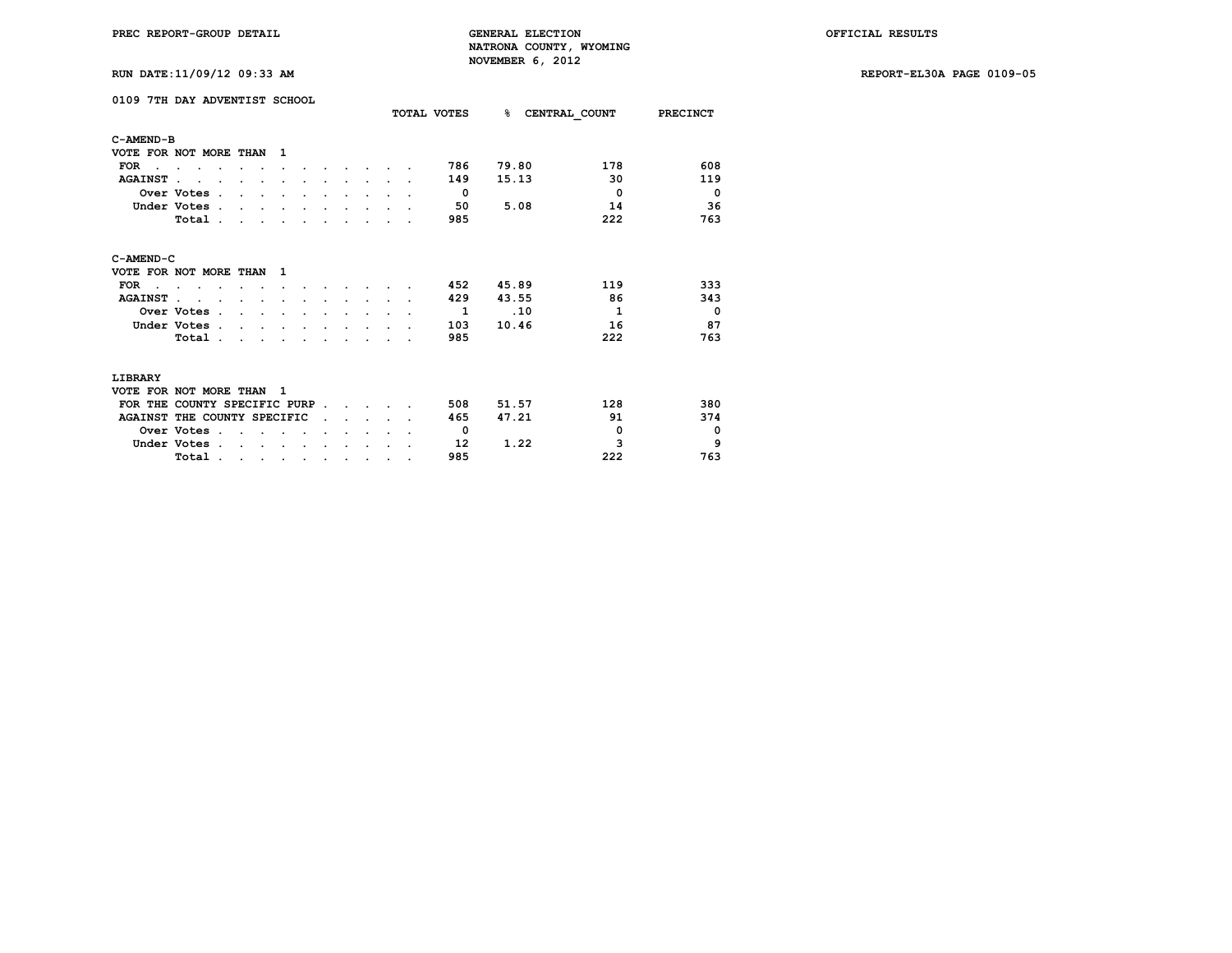**RUN DATE:11/09/12 09:33 AM REPORT-EL30A PAGE 0109-05**

| RUN DATE:11/09/12 09:33 AM |  |
|----------------------------|--|
|----------------------------|--|

|                | 0109 7TH DAY ADVENTIST SCHOOL             |                |  |  | TOTAL VOTES  | <b>&amp; CENTRAL COUNT</b> |              | <b>PRECINCT</b> |
|----------------|-------------------------------------------|----------------|--|--|--------------|----------------------------|--------------|-----------------|
| C-AMEND-B      |                                           |                |  |  |              |                            |              |                 |
|                | VOTE FOR NOT MORE THAN                    | ı              |  |  |              |                            |              |                 |
| <b>FOR</b>     |                                           |                |  |  | 786          | 79.80                      | 178          | 608             |
| <b>AGAINST</b> |                                           |                |  |  | 149          | 15.13                      | 30           | 119             |
|                | Over Votes<br>$\sim$                      |                |  |  | $\Omega$     |                            | $\Omega$     | $\Omega$        |
|                | Under Votes.                              |                |  |  | 50           | 5.08                       | 14           | 36              |
|                | Total .                                   |                |  |  | 985          |                            | 222          | 763             |
| C-AMEND-C      |                                           |                |  |  |              |                            |              |                 |
|                | VOTE FOR NOT MORE THAN                    | 1              |  |  |              |                            |              |                 |
| <b>FOR</b>     |                                           |                |  |  | 452          | 45.89                      | 119          | 333             |
| <b>AGAINST</b> |                                           |                |  |  | 429          | 43.55                      | 86           | 343             |
|                | Over Votes .                              |                |  |  | $\mathbf{1}$ | $\overline{10}$            | $\mathbf{1}$ | $^{\circ}$      |
|                | Under Votes.                              |                |  |  | 103          | 10.46                      | 16           | 87              |
|                | Total.                                    |                |  |  | 985          |                            | 222          | 763             |
| LIBRARY        |                                           |                |  |  |              |                            |              |                 |
|                | VOTE FOR NOT MORE THAN                    | $\blacksquare$ |  |  |              |                            |              |                 |
|                | FOR THE COUNTY SPECIFIC PURP              |                |  |  | 508          | 51.57                      | 128          | 380             |
|                | AGAINST THE COUNTY SPECIFIC               |                |  |  | 465          | 47.21                      | 91           | 374             |
|                | Over Votes .                              |                |  |  | $\Omega$     |                            | $\mathbf 0$  | $\mathbf 0$     |
|                | Under Votes.                              |                |  |  | 12           | 1.22                       | 3            | 9               |
|                | Total.<br>$\cdot$<br>$\ddot{\phantom{a}}$ | $\cdot$        |  |  | 985          |                            | 222          | 763             |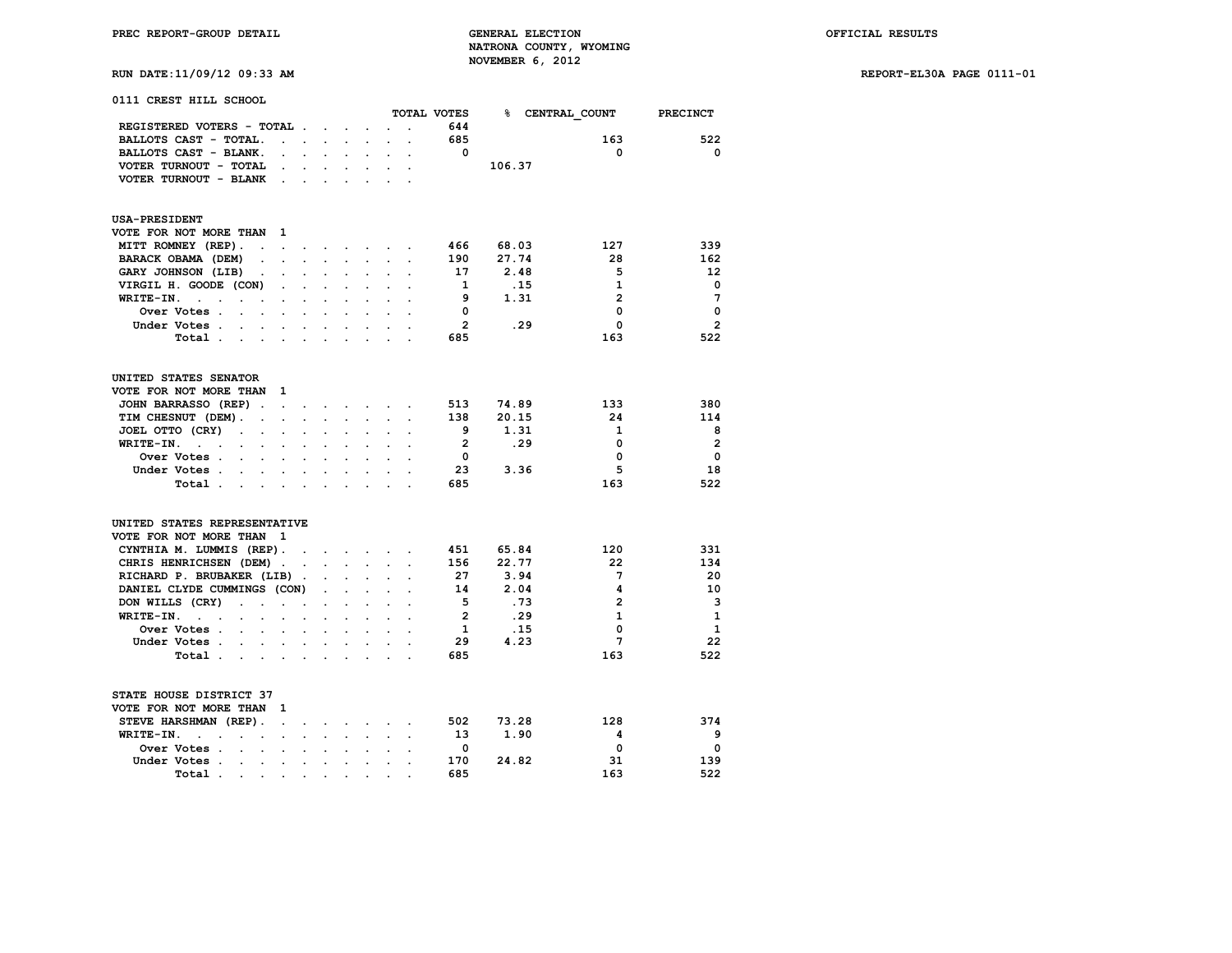**RUN DATE:11/09/12 09:33 AM REPORT-EL30A PAGE 0111-01**

| 0111 CREST HILL SCHOOL                                                                      |                      |                                                                                                         |                      |                      |                                                                 |                      |                |        |                        |                 |
|---------------------------------------------------------------------------------------------|----------------------|---------------------------------------------------------------------------------------------------------|----------------------|----------------------|-----------------------------------------------------------------|----------------------|----------------|--------|------------------------|-----------------|
|                                                                                             |                      |                                                                                                         |                      |                      |                                                                 |                      | TOTAL VOTES    |        | <b>% CENTRAL COUNT</b> | <b>PRECINCT</b> |
| REGISTERED VOTERS - TOTAL                                                                   |                      |                                                                                                         |                      |                      |                                                                 |                      | 644            |        |                        |                 |
| BALLOTS CAST - TOTAL.<br>$\ddot{\phantom{0}}$                                               | $\sim$               | $\sim$                                                                                                  |                      |                      |                                                                 |                      | 685            |        | 163                    | 522             |
| BALLOTS CAST - BLANK.<br>$\ddot{\phantom{0}}$                                               | $\mathbf{r}$         | $\sim$                                                                                                  | $\ddot{\phantom{0}}$ | $\ddot{\phantom{0}}$ | $\ddot{\phantom{a}}$                                            | $\ddot{\phantom{0}}$ | $^{\circ}$     | 106.37 | 0                      | 0               |
| VOTER TURNOUT - TOTAL<br>$\ddot{\phantom{0}}$                                               |                      |                                                                                                         |                      |                      |                                                                 |                      |                |        |                        |                 |
| VOTER TURNOUT - BLANK<br>$\sim$                                                             | $\sim$               | $\sim$                                                                                                  |                      | $\ddot{\phantom{a}}$ | $\ddot{\phantom{a}}$                                            |                      |                |        |                        |                 |
| <b>USA-PRESIDENT</b>                                                                        |                      |                                                                                                         |                      |                      |                                                                 |                      |                |        |                        |                 |
| VOTE FOR NOT MORE THAN<br>1                                                                 |                      |                                                                                                         |                      |                      |                                                                 |                      |                |        |                        |                 |
| MITT ROMNEY (REP).<br>$\sim 100$ km s $^{-1}$<br>$\sim$ $\sim$                              | $\ddot{\phantom{a}}$ |                                                                                                         |                      |                      | and a strategic control of                                      |                      | 466            | 68.03  | 127                    | 339             |
| BARACK OBAMA (DEM)<br>$\blacksquare$<br>$\ddot{\phantom{0}}$                                | $\ddot{\phantom{0}}$ | $\sim$                                                                                                  | $\ddot{\phantom{0}}$ | $\sim$               | $\mathbb{Z}^{n+1}$                                              | $\ddot{\phantom{0}}$ | 190            | 27.74  | 28                     | 162             |
| GARY JOHNSON (LIB)<br>$\cdot$                                                               |                      |                                                                                                         |                      |                      |                                                                 |                      | 17             | 2.48   | 5                      | 12              |
| VIRGIL H. GOODE (CON)<br>$\ddot{\phantom{a}}$                                               |                      | $\ddot{\phantom{a}}$                                                                                    |                      | $\ddot{\phantom{a}}$ |                                                                 |                      | -1             | .15    | $\mathbf{1}$           | $\mathbf 0$     |
| WRITE-IN.<br>$\mathbf{r}$<br>$\ddot{\phantom{a}}$<br>$\ddot{\phantom{a}}$<br>$\cdot$        |                      |                                                                                                         |                      |                      |                                                                 |                      | 9              | 1.31   | $\overline{2}$         | 7               |
| Over Votes .<br>$\sim$ $\sim$                                                               |                      |                                                                                                         |                      |                      |                                                                 |                      | 0              |        | 0                      | $\mathbf 0$     |
| Under Votes .<br>$\sim$                                                                     |                      |                                                                                                         |                      |                      |                                                                 |                      | $\overline{2}$ | .29    | 0                      | $\overline{2}$  |
| Total                                                                                       |                      |                                                                                                         |                      |                      |                                                                 |                      | 685            |        | 163                    | 522             |
| UNITED STATES SENATOR                                                                       |                      |                                                                                                         |                      |                      |                                                                 |                      |                |        |                        |                 |
| VOTE FOR NOT MORE THAN<br>1                                                                 |                      |                                                                                                         |                      |                      |                                                                 |                      |                |        |                        |                 |
| JOHN BARRASSO (REP).<br>$\sim$                                                              |                      | $\mathbf{r} = \mathbf{r} + \mathbf{r} + \mathbf{r} + \mathbf{r} + \mathbf{r} + \mathbf{r} + \mathbf{r}$ |                      |                      |                                                                 |                      | 513            | 74.89  | 133                    | 380             |
| TIM CHESNUT (DEM).<br>$\sim$<br>$\sim$                                                      |                      |                                                                                                         |                      |                      |                                                                 |                      | 138            | 20.15  | 24                     | 114             |
| JOEL OTTO (CRY)<br>$\ddot{\phantom{1}}$<br>$\sim$<br>$\sim$ $\sim$                          | $\ddot{\phantom{a}}$ | $\cdot$                                                                                                 | $\ddot{\phantom{a}}$ | $\ddot{\phantom{a}}$ | $\ddot{\phantom{a}}$                                            | $\ddot{\phantom{0}}$ | 9              | 1.31   | 1                      | 8               |
| WRITE-IN.<br>$\sim$ $\sim$                                                                  |                      |                                                                                                         |                      |                      |                                                                 |                      | $\overline{2}$ | .29    | 0                      | $\overline{2}$  |
| Over Votes .<br>$\ddot{\phantom{a}}$<br>$\sim$<br>$\ddot{\phantom{a}}$                      | $\ddot{\phantom{a}}$ | $\ddot{\phantom{a}}$                                                                                    | $\ddot{\phantom{a}}$ | $\ddot{\phantom{a}}$ |                                                                 |                      | 0              |        | 0                      | $\Omega$        |
| Under Votes.<br>$\ddotsc$<br>$\sim$                                                         |                      |                                                                                                         |                      |                      |                                                                 |                      | 23             | 3.36   | 5                      | 18              |
| Total .<br>$\sim$<br>$\sim$<br>$\ddot{\phantom{0}}$                                         | $\ddot{\phantom{a}}$ | $\ddot{\phantom{0}}$                                                                                    | $\ddot{\phantom{a}}$ | $\ddot{\phantom{a}}$ |                                                                 |                      | 685            |        | 163                    | 522             |
| UNITED STATES REPRESENTATIVE                                                                |                      |                                                                                                         |                      |                      |                                                                 |                      |                |        |                        |                 |
| VOTE FOR NOT MORE THAN<br>$\mathbf{1}$                                                      |                      |                                                                                                         |                      |                      |                                                                 |                      |                |        |                        |                 |
| CYNTHIA M. LUMMIS (REP).                                                                    | $\sim$               |                                                                                                         |                      |                      | $\mathbf{r}$ and $\mathbf{r}$ and $\mathbf{r}$ and $\mathbf{r}$ |                      | 451            | 65.84  | 120                    | 331             |
| CHRIS HENRICHSEN (DEM).                                                                     |                      | $\ddot{\phantom{0}}$                                                                                    | $\sim$               | $\ddot{\phantom{0}}$ |                                                                 |                      | 156            | 22.77  | 22                     | 134             |
| RICHARD P. BRUBAKER (LIB).                                                                  |                      |                                                                                                         |                      |                      |                                                                 |                      | 27             | 3.94   | 7                      | 20              |
| DANIEL CLYDE CUMMINGS (CON)                                                                 |                      |                                                                                                         |                      |                      |                                                                 |                      | 14             | 2.04   | 4                      | 10              |
| DON WILLS (CRY)<br>$\cdot$ $\cdot$<br>$\sim$                                                | $\ddot{\phantom{a}}$ |                                                                                                         |                      | $\overline{a}$       |                                                                 |                      | 5              | .73    | $\overline{2}$         | 3               |
| WRITE-IN.<br><b>Service Control</b><br>$\sim$<br>$\ddot{\phantom{0}}$                       | $\overline{a}$       |                                                                                                         |                      |                      |                                                                 |                      | $\overline{2}$ | .29    | $\mathbf{1}$           | $\mathbf{1}$    |
| Over Votes .<br>$\sim$<br>$\ddot{\phantom{0}}$<br>$\ddot{\phantom{0}}$                      | $\ddot{\phantom{a}}$ | $\ddot{\phantom{a}}$                                                                                    | $\cdot$              | $\ddot{\phantom{a}}$ | $\ddot{\phantom{0}}$                                            |                      | 1              | .15    | 0                      | $\mathbf{1}$    |
| Under Votes                                                                                 | $\bullet$            | $\sim$                                                                                                  | $\bullet$ .          | $\sim$               |                                                                 |                      | 29             | 4.23   | 7                      | 22              |
| Total                                                                                       | $\ddot{\phantom{0}}$ | $\sim$                                                                                                  | $\sim$               | $\sim$               | $\ddot{\phantom{a}}$                                            |                      | 685            |        | 163                    | 522             |
| STATE HOUSE DISTRICT 37                                                                     |                      |                                                                                                         |                      |                      |                                                                 |                      |                |        |                        |                 |
| VOTE FOR NOT MORE THAN<br>1                                                                 |                      |                                                                                                         |                      |                      |                                                                 |                      |                |        |                        |                 |
| STEVE HARSHMAN (REP).<br>$\sim$ $\sim$                                                      |                      |                                                                                                         |                      |                      |                                                                 |                      | 502            | 73.28  | 128                    | 374             |
| WRITE-IN.<br>$\ddot{\phantom{a}}$<br>$\ddot{\phantom{a}}$<br>$\sim$<br>$\sim 100$<br>$\sim$ | $\ddot{\phantom{0}}$ | $\sim$                                                                                                  | $\sim$               | $\sim$               | $\sim$                                                          | $\ddot{\phantom{a}}$ | 13             | 1.90   | 4                      | 9               |
| Over Votes .<br>$\sim$<br>$\sim$<br>$\ddot{\phantom{0}}$                                    | $\ddot{\phantom{0}}$ | $\sim$                                                                                                  | $\ddot{\phantom{0}}$ |                      |                                                                 |                      | 0              |        | 0                      | 0               |
| Under Votes<br>$\bullet$ .                                                                  |                      |                                                                                                         |                      |                      |                                                                 |                      | 170            | 24.82  | 31                     | 139             |

 **Total . . . . . . . . . . 685 163 522**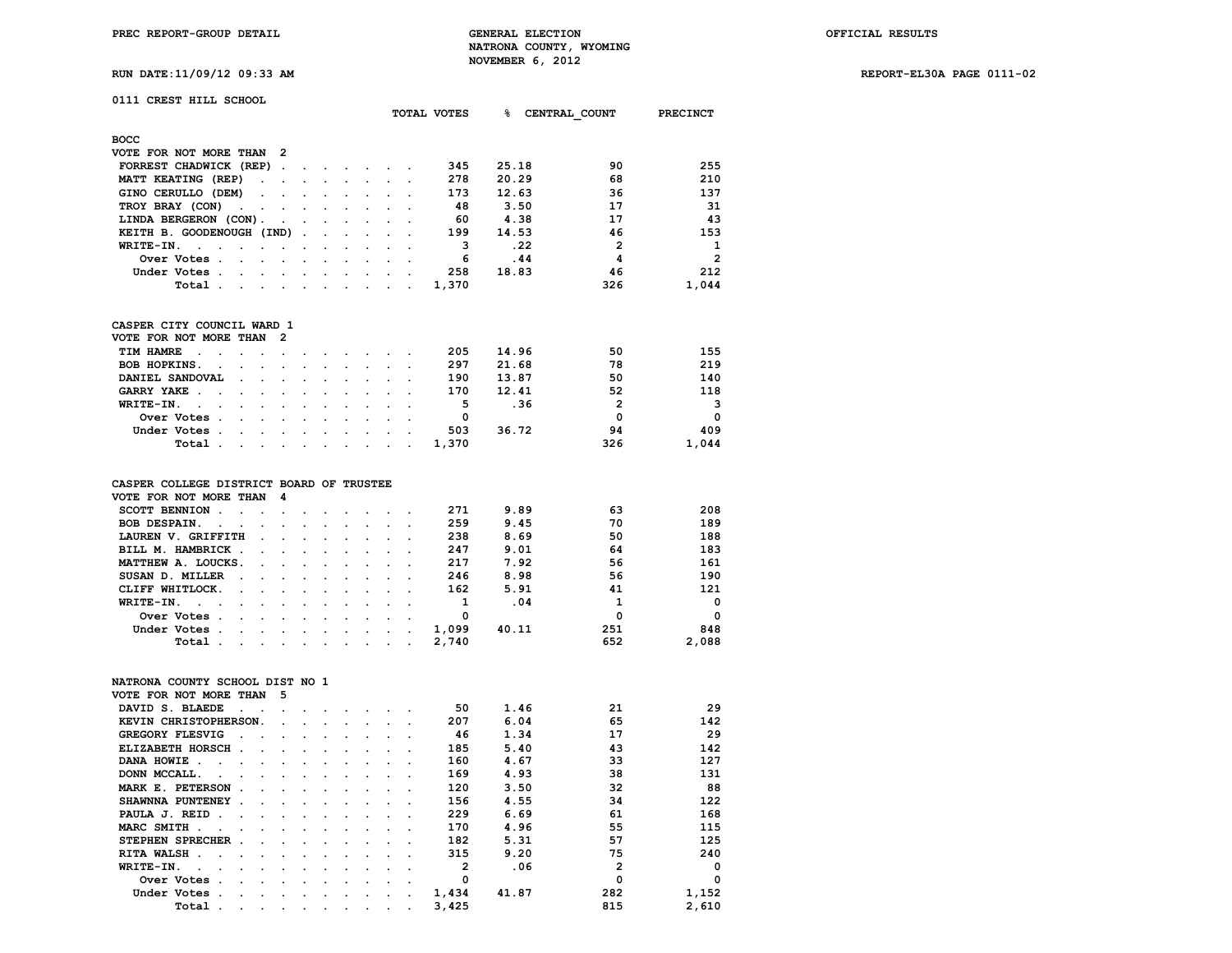**PREC REPORT-GROUP DETAIL GENERAL ELECTION OFFICIAL RESULTS NATRONA COUNTY, WYOMING RUN DATE:11/09/12 09:33 AM NOVEMBER 6, 2012** 

**RUN DATE:11/09/12 09:33 AM REPORT-EL30A PAGE 0111-02**

|  | $F = 0.01$ |  |
|--|------------|--|
|  |            |  |

# **0111 CREST HILL SCHOOL**

|                                                                                                                                               |                                                                                                                 |            |            |                      |        | TOTAL VOTES | ዱ     | CENTRAL COUNT | PRECINCT       |
|-----------------------------------------------------------------------------------------------------------------------------------------------|-----------------------------------------------------------------------------------------------------------------|------------|------------|----------------------|--------|-------------|-------|---------------|----------------|
| <b>BOCC</b>                                                                                                                                   |                                                                                                                 |            |            |                      |        |             |       |               |                |
| VOTE FOR NOT MORE THAN 2                                                                                                                      |                                                                                                                 |            |            |                      |        |             |       |               |                |
| FORREST CHADWICK (REP).                                                                                                                       | the contract of the contract of the contract of the contract of the contract of                                 |            |            |                      |        | 345         | 25.18 | 90            | 255            |
| MATT KEATING (REP)                                                                                                                            | the contract of the contract of the contract of the contract of the contract of the contract of the contract of |            |            |                      |        | 278         | 20.29 | 68            | 210            |
| GINO CERULLO (DEM)                                                                                                                            |                                                                                                                 |            |            |                      |        | 173         | 12.63 | 36            | 137            |
| TROY BRAY (CON)                                                                                                                               |                                                                                                                 |            |            |                      |        | 48          | 3.50  | 17            | 31             |
| LINDA BERGERON (CON).<br>the contract of the contract of the contract of the contract of the contract of                                      |                                                                                                                 |            |            |                      |        | 60          | 4.38  | 17            | 43             |
| KEITH B. GOODENOUGH (IND)                                                                                                                     |                                                                                                                 |            |            |                      |        | 199         | 14.53 | 46            | 153            |
| $WRITE-TN.$<br>the contract of the contract of the contract of the contract of the contract of the contract of the contract of                |                                                                                                                 | $\sim 100$ | $\sim 100$ |                      |        | 3           | .22   | $\mathbf{2}$  | 1              |
| Over Votes.<br>the contract of the contract of the contract of the contract of the contract of                                                |                                                                                                                 |            | $\cdot$    | $\sim$ $\sim$ $\sim$ |        | 6           | .44   | 4             | $\overline{2}$ |
| Under Votes.<br>$\sim 100$<br>the contract of the contract of the contract of the contract of the contract of the contract of the contract of |                                                                                                                 |            | $\cdot$    | $\sim$               | $\sim$ | 258         | 18.83 | 46            | 212            |
| Total .<br>the contract of the contract of the contract of the contract of the contract of the contract of the contract of                    |                                                                                                                 |            |            |                      |        | 1,370       |       | 326           | 1,044          |
|                                                                                                                                               |                                                                                                                 |            |            |                      |        |             |       |               |                |

### **CASPER CITY COUNCIL WARD 1 VOTE FOR NOT MORE THAN 2**

| VOTE FOR NOT MORE THAN Z |                                                                                                                 |  |  |  |       |       |          |          |
|--------------------------|-----------------------------------------------------------------------------------------------------------------|--|--|--|-------|-------|----------|----------|
| TIM HAMRE                |                                                                                                                 |  |  |  | 205   | 14.96 | 50       | 155      |
| BOB HOPKINS.             |                                                                                                                 |  |  |  | 297   | 21.68 | 78       | 219      |
| DANIEL SANDOVAL          |                                                                                                                 |  |  |  | 190   | 13.87 | 50       | 140      |
| GARRY YAKE               |                                                                                                                 |  |  |  | 170   | 12.41 | 52       | 118      |
| WRITE-IN.                |                                                                                                                 |  |  |  | 5     | .36   |          | 3        |
| Over Votes               |                                                                                                                 |  |  |  |       |       | $\Omega$ | $\Omega$ |
| Under Votes              |                                                                                                                 |  |  |  | 503   | 36.72 | 94       | 409      |
| Total .                  | the contract of the contract of the contract of the contract of the contract of the contract of the contract of |  |  |  | 1,370 |       | 326      | 1,044    |
|                          |                                                                                                                 |  |  |  |       |       |          |          |

# **CASPER COLLEGE DISTRICT BOARD OF TRUSTEE**

| VOTE FOR NOT MORE THAN 4                                                                                                        |  |  |  |       |       |     |          |
|---------------------------------------------------------------------------------------------------------------------------------|--|--|--|-------|-------|-----|----------|
| SCOTT BENNION                                                                                                                   |  |  |  | 271   | 9.89  | 63  | 208      |
| BOB DESPAIN.                                                                                                                    |  |  |  | 259   | 9.45  | 70  | 189      |
| LAUREN V. GRIFFITH                                                                                                              |  |  |  | 238   | 8.69  | 50  | 188      |
| BILL M. HAMBRICK                                                                                                                |  |  |  | 247   | 9.01  | 64  | 183      |
| MATTHEW A. LOUCKS.                                                                                                              |  |  |  | 217   | 7.92  | 56  | 161      |
| SUSAN D. MILLER                                                                                                                 |  |  |  | 246   | 8.98  | 56  | 190      |
| CLIFF WHITLOCK.                                                                                                                 |  |  |  | 162   | 5.91  | 41  | 121      |
| WRITE-IN.                                                                                                                       |  |  |  |       | .04   | 1   | $\Omega$ |
| Over Votes .<br>the contract of the contract of the contract of the contract of the contract of the contract of the contract of |  |  |  | 0     |       | 0   | $\Omega$ |
| Under Votes                                                                                                                     |  |  |  | 1,099 | 40.11 | 251 | 848      |
| Total .<br>the contract of the contract of the contract of the contract of the contract of the contract of the contract of      |  |  |  | 2,740 |       | 652 | 2,088    |

# **NATRONA COUNTY SCHOOL DIST NO 1**

|                                |                      |                                                                                 | 5                                               |                      |                      |         |         |         |                      |                |       |              |          |
|--------------------------------|----------------------|---------------------------------------------------------------------------------|-------------------------------------------------|----------------------|----------------------|---------|---------|---------|----------------------|----------------|-------|--------------|----------|
| DAVID S. BLAEDE                | $\ddot{\phantom{a}}$ |                                                                                 |                                                 |                      |                      |         |         |         |                      | 50             | 1.46  | 21           | 29       |
|                                |                      |                                                                                 |                                                 |                      |                      |         |         |         |                      | 207            | 6.04  | 65           | 142      |
| <b>GREGORY FLESVIG</b>         | $\sim$               |                                                                                 |                                                 |                      |                      |         |         |         |                      | 46             | 1.34  | 17           | 29       |
|                                |                      | $\sim$                                                                          |                                                 | $\sim$               |                      |         |         |         |                      | 185            | 5.40  | 43           | 142      |
| DANA HOWIE<br>$\sim$<br>$\sim$ |                      |                                                                                 | $\sim$                                          |                      |                      |         |         |         |                      | 160            | 4.67  | 33           | 127      |
| DONN MCCALL.                   |                      |                                                                                 | $\cdot$                                         |                      |                      |         |         |         |                      | 169            | 4.93  | 38           | 131      |
|                                |                      |                                                                                 |                                                 |                      | $\cdot$              | $\cdot$ |         |         |                      | 120            | 3.50  | 32           | 88       |
|                                |                      | $\ddot{\phantom{a}}$                                                            |                                                 | $\sim$               | $\sim$               | $\sim$  |         |         |                      | 156            | 4.55  | 34           | 122      |
| PAULA J. REID.                 | $\ddot{\phantom{a}}$ |                                                                                 |                                                 |                      | $\cdot$              |         |         |         |                      | 229            | 6.69  | 61           | 168      |
| MARC SMITH<br>$\sim$           |                      |                                                                                 |                                                 |                      |                      |         |         |         |                      | 170            | 4.96  | 55           | 115      |
|                                |                      |                                                                                 | $\cdot$                                         | $\cdot$              | $\bullet$            | $\cdot$ |         |         |                      | 182            | 5.31  | 57           | 125      |
| RITA WALSH.<br>$\sim$          | $\ddot{\phantom{a}}$ | $\sim$                                                                          | $\sim$                                          | $\ddot{\phantom{a}}$ | $\sim$               |         |         |         |                      | 315            | 9.20  | 75           | 240      |
| WRITE-IN.<br>$\sim$            |                      |                                                                                 |                                                 |                      |                      |         |         |         |                      | $\overline{2}$ | .06   | $\mathbf{2}$ | $\Omega$ |
| Over Votes.                    | $\overline{a}$       |                                                                                 | $\cdot$                                         |                      |                      |         |         |         |                      | 0              |       | 0            | $\Omega$ |
| Under Votes.                   |                      |                                                                                 | $\cdot$                                         |                      | $\bullet$            | $\cdot$ | $\cdot$ |         |                      | 1,434          | 41.87 | 282          | 1,152    |
| Total .                        | $\cdot$              | $\cdot$ .                                                                       | $\cdot$                                         | $\ddot{\phantom{0}}$ | $\ddot{\phantom{0}}$ | $\cdot$ | $\cdot$ | $\cdot$ | $\ddot{\phantom{0}}$ | 3,425          |       | 815          | 2,610    |
|                                |                      | ELIZABETH HORSCH.<br>MARK E. PETERSON<br>SHAWNNA PUNTENEY.<br>STEPHEN SPRECHER. | VOTE FOR NOT MORE THAN<br>KEVIN CHRISTOPHERSON. |                      | $\sim$<br>$\sim$     |         |         |         |                      |                |       |              |          |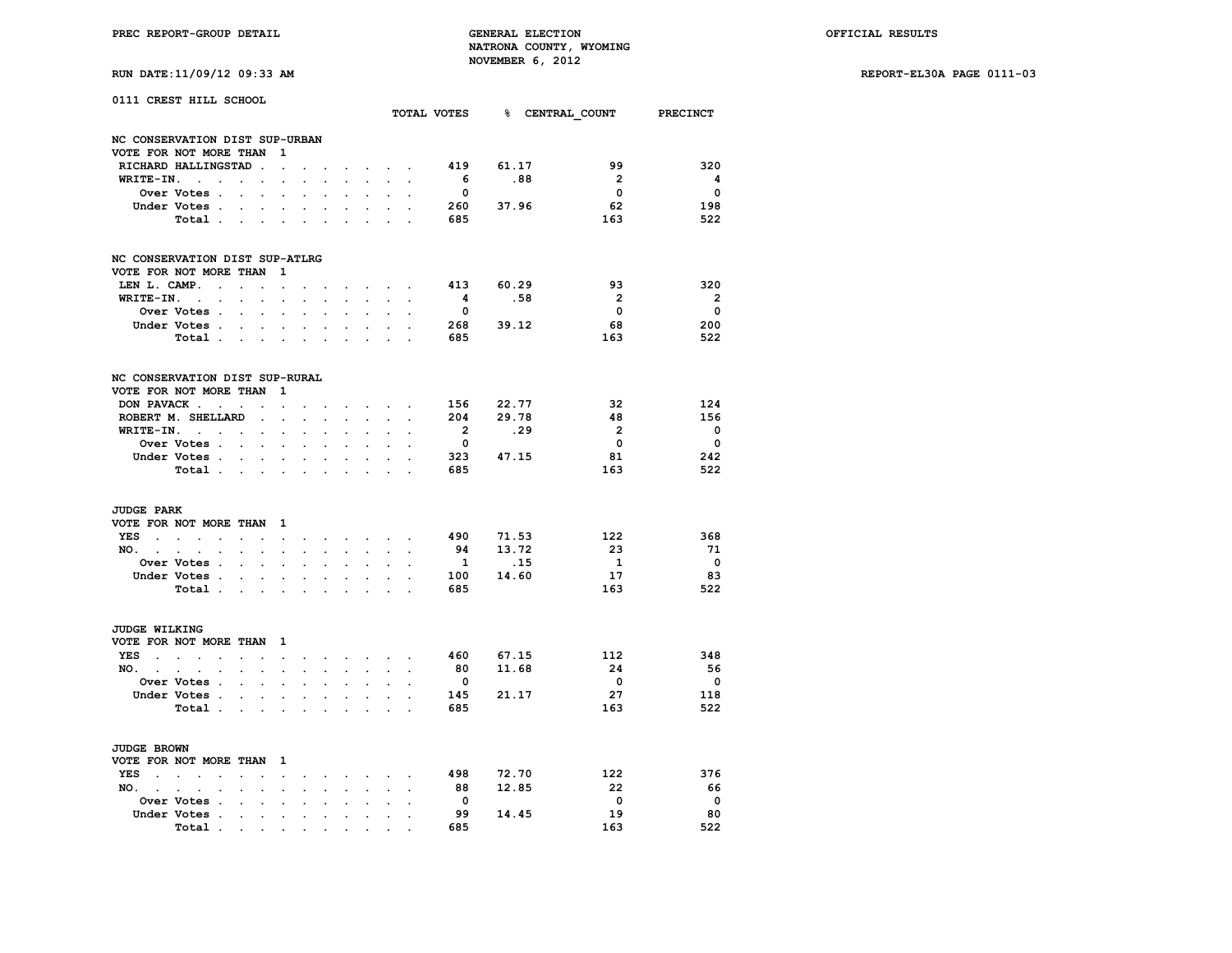| RUN DATE:11/09/12 09:33 AM |  |  |  |
|----------------------------|--|--|--|
|----------------------------|--|--|--|

|                                       | 0111 CREST HILL SCHOOL                                                                                                |                                               |                                                           |                                                               |                                                                      |                                  |                                    |                                                        |                                                                   |                      |                                         |                                | TOTAL VOTES 8 CENTRAL COUNT PRECINCT              |                                          |
|---------------------------------------|-----------------------------------------------------------------------------------------------------------------------|-----------------------------------------------|-----------------------------------------------------------|---------------------------------------------------------------|----------------------------------------------------------------------|----------------------------------|------------------------------------|--------------------------------------------------------|-------------------------------------------------------------------|----------------------|-----------------------------------------|--------------------------------|---------------------------------------------------|------------------------------------------|
|                                       | NC CONSERVATION DIST SUP-URBAN                                                                                        |                                               |                                                           |                                                               |                                                                      |                                  |                                    |                                                        |                                                                   |                      |                                         |                                |                                                   |                                          |
|                                       | VOTE FOR NOT MORE THAN                                                                                                |                                               |                                                           | 1                                                             |                                                                      |                                  |                                    |                                                        |                                                                   |                      |                                         |                                |                                                   |                                          |
|                                       | RICHARD HALLINGSTAD.                                                                                                  |                                               |                                                           | $\overline{a}$                                                |                                                                      |                                  | $\mathbf{r}$                       |                                                        | $\sim$ $\sim$ $\sim$                                              |                      | 419                                     | 61.17                          | 99                                                | 320                                      |
| WRITE-IN.                             | $\sim$<br>$\cdot$                                                                                                     | $\sim$                                        | $\ddot{\phantom{a}}$                                      | $\ddot{\phantom{0}}$                                          |                                                                      | $\ddot{\phantom{a}}$             | s.                                 | $\sim$                                                 | $\sim$                                                            | $\overline{a}$       | - 6                                     | .88                            | $\overline{\phantom{0}}$                          | $\overline{\mathbf{4}}$                  |
|                                       | Over Votes .                                                                                                          | $\sim$                                        | $\mathbf{r}$                                              |                                                               |                                                                      |                                  |                                    |                                                        |                                                                   |                      | $\Omega$                                |                                | $\mathbf{0}$                                      | $\mathbf{0}$                             |
|                                       | Under Votes                                                                                                           |                                               |                                                           | $\ddot{\phantom{a}}$                                          | $\ddot{\phantom{0}}$                                                 | $\sim$                           | $\mathbf{r}$                       | $\mathcal{L}^{\mathcal{L}}$                            | $\sim$                                                            | $\overline{a}$       | 260 - 10                                | 37.96                          | 62                                                | 198                                      |
|                                       | Total                                                                                                                 |                                               |                                                           |                                                               | $\sim$                                                               | $\ddot{\phantom{a}}$             | $\mathbf{L}$                       |                                                        | <b>Service</b>                                                    |                      | 685                                     |                                | 163                                               | 522                                      |
|                                       | NC CONSERVATION DIST SUP-ATLRG                                                                                        |                                               |                                                           |                                                               |                                                                      |                                  |                                    |                                                        |                                                                   |                      |                                         |                                |                                                   |                                          |
|                                       | VOTE FOR NOT MORE THAN                                                                                                |                                               |                                                           | 1                                                             |                                                                      |                                  |                                    |                                                        |                                                                   |                      |                                         |                                |                                                   |                                          |
| LEN L. CAMP.                          | $\ddot{\phantom{a}}$                                                                                                  | $\mathbb{Z}^2$                                | $\sim$                                                    | $\bullet$                                                     |                                                                      |                                  |                                    | $\sim$                                                 | $\sim$                                                            |                      | 413                                     | 60.29                          | 93                                                | 320                                      |
| WRITE-IN.                             | $\sim 10^{-11}$<br>$\overline{a}$                                                                                     |                                               | $\overline{a}$                                            |                                                               |                                                                      |                                  |                                    | $\sim$                                                 |                                                                   |                      | $\overline{\mathbf{4}}$                 | .58                            | $\overline{\mathbf{2}}$                           | $\overline{\mathbf{2}}$                  |
|                                       | Over Votes .                                                                                                          | $\sim$                                        | $\ddot{\phantom{a}}$                                      | $\overline{a}$                                                | $\ddot{\phantom{a}}$                                                 |                                  |                                    | $\ddot{\phantom{a}}$                                   |                                                                   |                      | $\mathbf{0}$                            |                                | $\mathbf 0$                                       | 0                                        |
|                                       | Under Votes.                                                                                                          |                                               |                                                           | $\cdot$ $\cdot$ $\cdot$ $\cdot$                               | $\ddot{\phantom{a}}$                                                 | $\ddot{\phantom{0}}$             | $\ddot{\phantom{a}}$               | $\sim$                                                 | $\mathbf{L}$                                                      |                      | 268                                     | 39.12                          | 68                                                | 200                                      |
|                                       | Total                                                                                                                 |                                               |                                                           |                                                               |                                                                      |                                  | $\mathcal{L}^{\text{max}}$         |                                                        | <b>All Street</b>                                                 |                      | 685                                     |                                | 163                                               | 522                                      |
|                                       |                                                                                                                       |                                               |                                                           |                                                               |                                                                      |                                  |                                    |                                                        |                                                                   |                      |                                         |                                |                                                   |                                          |
|                                       | NC CONSERVATION DIST SUP-RURAL<br>VOTE FOR NOT MORE THAN                                                              |                                               |                                                           | 1                                                             |                                                                      |                                  |                                    |                                                        |                                                                   |                      |                                         |                                |                                                   |                                          |
|                                       | DON PAVACK                                                                                                            | $\ddot{\phantom{a}}$                          | $\cdot$                                                   | $\ddot{\phantom{a}}$                                          | $\cdot$                                                              |                                  | $\ddot{\phantom{0}}$               | $\sim$                                                 | $\sim$                                                            | $\ddot{\phantom{a}}$ | 156                                     | 22.77                          | 32                                                | 124                                      |
|                                       | ROBERT M. SHELLARD                                                                                                    |                                               | $\cdot$                                                   | $\overline{a}$                                                |                                                                      | s.                               |                                    | $\mathbf{L}$                                           |                                                                   |                      | 204                                     | 29.78                          | 48                                                | 156                                      |
|                                       | $WRITE-IN.$                                                                                                           |                                               |                                                           |                                                               | $\ddot{\phantom{0}}$                                                 |                                  | $\mathbf{r}$                       |                                                        |                                                                   |                      | $\overline{2}$                          | .29                            | $\overline{2}$                                    | $\Omega$                                 |
|                                       | Over Votes                                                                                                            |                                               | $\ddot{\phantom{0}}$                                      | $\ddot{\phantom{0}}$                                          | $\ddot{\phantom{a}}$                                                 | $\cdot$                          | $\cdot$                            | $\ddot{\phantom{a}}$                                   |                                                                   |                      | $\overline{\mathbf{0}}$                 |                                | $\overline{\mathbf{0}}$                           | $\overline{\mathbf{0}}$                  |
|                                       | Under Votes.                                                                                                          |                                               |                                                           |                                                               |                                                                      |                                  |                                    |                                                        |                                                                   |                      | 323                                     | 47.15                          | 81                                                | 242                                      |
|                                       | Total                                                                                                                 |                                               |                                                           |                                                               | $\ddot{\phantom{a}}$                                                 |                                  |                                    |                                                        |                                                                   |                      | 685                                     |                                | 163                                               | 522                                      |
| <b>JUDGE PARK</b><br>YES<br>$NO.$ $.$ | VOTE FOR NOT MORE THAN<br>$\mathcal{L}^{\text{max}}$<br>$\sim$<br>$\cdot$<br>Over Votes .<br>Under Votes .<br>Total . | $\bullet$<br>$\ddot{\phantom{a}}$<br>$\cdots$ | $\bullet$<br>$\ddot{\phantom{0}}$<br>$\ddot{\phantom{0}}$ | - 1<br>$\sim$<br>$\ddot{\phantom{0}}$<br>$\ddot{\phantom{a}}$ | $\ddot{\phantom{0}}$<br>$\ddot{\phantom{0}}$<br>$\ddot{\phantom{a}}$ | $\overline{a}$<br>$\overline{a}$ | $\sim$<br>$\overline{a}$<br>$\sim$ | $\ddot{\phantom{0}}$<br>$\ddot{\phantom{0}}$<br>$\sim$ | $\mathcal{L}^{\text{max}}$ , $\mathcal{L}^{\text{max}}$<br>$\sim$ |                      | 490<br>94<br>$\mathbf{1}$<br>100<br>685 | 71.53<br>13.72<br>.15<br>14.60 | 122<br>23<br>$\overline{\mathbf{1}}$<br>17<br>163 | 368<br>71<br>$\overline{0}$<br>83<br>522 |
| <b>JUDGE WILKING</b>                  |                                                                                                                       |                                               |                                                           |                                                               |                                                                      |                                  |                                    |                                                        |                                                                   |                      |                                         |                                |                                                   |                                          |
|                                       | VOTE FOR NOT MORE THAN                                                                                                |                                               |                                                           | $\mathbf{1}$                                                  |                                                                      |                                  |                                    |                                                        |                                                                   |                      |                                         |                                |                                                   |                                          |
| YES<br>$\sim$                         | $\sim$<br>$\sim$<br>$\sim$                                                                                            | $\sim$                                        | $\sim$                                                    | $\sim$                                                        | $\ddot{\phantom{0}}$                                                 | $\sim$                           |                                    | and a strategic con-                                   |                                                                   | $\ddot{\phantom{a}}$ | 460                                     | 67.15                          | 112                                               | 348                                      |
| NO.                                   | $\mathcal{L}^{\mathcal{L}}$<br>$\sim$<br>$\cdot$                                                                      | $\ddot{\phantom{a}}$                          | $\ddot{\phantom{0}}$                                      | $\ddot{\phantom{0}}$                                          | $\ddot{\phantom{0}}$                                                 | $\ddot{\phantom{a}}$             | $\mathbf{r}$                       | $\sim$                                                 | $\sim$                                                            | $\mathbf{r}$         | 80                                      | 11.68                          | 24                                                | -56                                      |
|                                       | Over Votes .                                                                                                          |                                               |                                                           |                                                               |                                                                      |                                  |                                    |                                                        |                                                                   |                      | $\overline{\mathbf{0}}$                 |                                | $\overline{\mathbf{0}}$                           | $\overline{\mathbf{0}}$                  |
|                                       | Under Votes.                                                                                                          | $\sim$                                        | $\sim$                                                    | $\ddot{\phantom{a}}$                                          | $\ddot{\phantom{a}}$                                                 | $\ddot{\phantom{a}}$             | $\cdot$                            | $\ddot{\phantom{0}}$                                   |                                                                   |                      | 145                                     | 21.17                          | 27                                                | 118                                      |
|                                       | Total .                                                                                                               | $\sim$                                        | $\sim$                                                    | $\bullet$                                                     |                                                                      |                                  | $\cdot$                            |                                                        | $\cdot$                                                           |                      | 685                                     |                                | 163                                               | 522                                      |
| <b>JUDGE BROWN</b>                    |                                                                                                                       |                                               |                                                           |                                                               |                                                                      |                                  |                                    |                                                        |                                                                   |                      |                                         |                                |                                                   |                                          |
|                                       | VOTE FOR NOT MORE THAN 1                                                                                              |                                               |                                                           |                                                               |                                                                      |                                  |                                    |                                                        |                                                                   |                      |                                         |                                |                                                   |                                          |
| YES<br>$\sim$ $\sim$                  | $\sim$<br>$\sim$<br>$\ddot{\phantom{a}}$                                                                              | $\ddot{\phantom{a}}$                          | $\ddot{\phantom{a}}$                                      | $\sim$                                                        | $\ddot{\phantom{0}}$                                                 | $\ddot{\phantom{0}}$             | $\sim$                             |                                                        | <b>Service</b> State                                              | $\ddot{\phantom{a}}$ | 498                                     | 72.70                          | 122                                               | 376                                      |
| NO.<br>$\sim$                         | $\sim$<br>$\bullet$<br>$\ddot{\phantom{0}}$                                                                           | $\cdot$                                       | $\bullet$                                                 | $\ddot{\phantom{a}}$                                          | $\ddot{\phantom{0}}$                                                 | $\ddot{\phantom{0}}$             | $\ddot{\phantom{0}}$               | $\ddot{\phantom{0}}$                                   | $\bullet$                                                         |                      | 88                                      | 12.85                          | 22                                                | 66                                       |
|                                       | Over Votes .                                                                                                          |                                               |                                                           |                                                               |                                                                      |                                  |                                    |                                                        |                                                                   |                      | $\overline{\mathbf{0}}$                 |                                | $\overline{\phantom{0}}$                          | $\overline{\phantom{0}}$                 |
|                                       | Under Votes .                                                                                                         | $\cdot$                                       | $\ddot{\phantom{a}}$                                      | $\cdot$                                                       | $\ddot{\phantom{a}}$                                                 | $\ddot{\phantom{a}}$             | $\cdot$                            |                                                        |                                                                   |                      | 99                                      | 14.45                          | 19                                                | 80                                       |
|                                       | Total                                                                                                                 | the contract of the contract of               |                                                           |                                                               | $\bullet$                                                            | $\sim$                           |                                    |                                                        |                                                                   |                      | 685                                     |                                | 163                                               | 522                                      |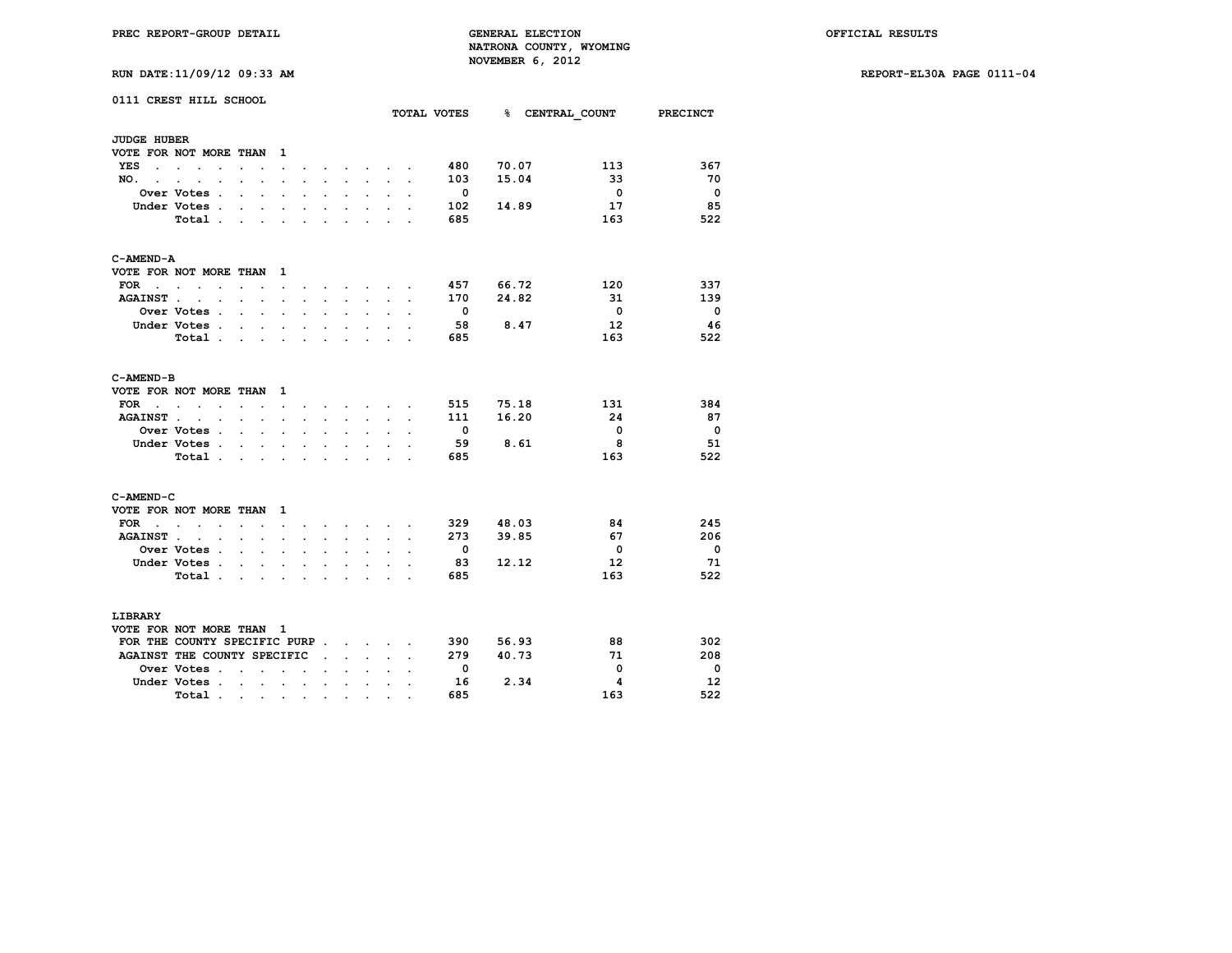|                                 | 0111 CREST HILL SCHOOL                                 |                                                                                               |                           |                      |                      |                      |                      |                                   |                                                                                                                                     |                | TOTAL VOTES              |       | % CENTRAL COUNT PRECINCT |                          |
|---------------------------------|--------------------------------------------------------|-----------------------------------------------------------------------------------------------|---------------------------|----------------------|----------------------|----------------------|----------------------|-----------------------------------|-------------------------------------------------------------------------------------------------------------------------------------|----------------|--------------------------|-------|--------------------------|--------------------------|
| <b>JUDGE HUBER</b>              |                                                        |                                                                                               |                           |                      |                      |                      |                      |                                   |                                                                                                                                     |                |                          |       |                          |                          |
|                                 | VOTE FOR NOT MORE THAN                                 |                                                                                               |                           | $\mathbf{1}$         |                      |                      |                      |                                   |                                                                                                                                     |                |                          |       |                          |                          |
| YES                             | the contract of the contract of the                    | $\ddot{\phantom{0}}$                                                                          |                           | $\ddot{\phantom{0}}$ |                      |                      |                      | <b>Contract Contract Contract</b> |                                                                                                                                     |                | 480                      | 70.07 | 113                      | 367                      |
| NO.                             |                                                        |                                                                                               |                           |                      |                      |                      |                      |                                   |                                                                                                                                     |                | 103                      | 15.04 | 33                       | - 70                     |
|                                 | Over Votes .                                           | $\ddot{\phantom{a}}$                                                                          | $\ddot{\phantom{a}}$      | $\ddot{\phantom{a}}$ | $\cdot$              | $\ddot{\phantom{a}}$ | $\ddot{\phantom{0}}$ | $\ddot{\phantom{0}}$              |                                                                                                                                     | $\overline{a}$ | - 0                      |       | $\overline{\phantom{0}}$ | $\overline{\phantom{0}}$ |
|                                 | Under Votes.                                           | $\cdot$                                                                                       |                           | $\bullet$            |                      | $\bullet$            |                      | $\ddot{\phantom{0}}$              |                                                                                                                                     |                | 102                      | 14.89 | 17                       | 85                       |
|                                 | Total.                                                 | $\mathbf{r}$                                                                                  | $\sim$                    | $\sim$               | $\mathbf{r}$         | $\overline{a}$       | $\overline{a}$       | ÷                                 |                                                                                                                                     |                | 685                      |       | 163                      | 522                      |
| C-AMEND-A                       |                                                        |                                                                                               |                           |                      |                      |                      |                      |                                   |                                                                                                                                     |                |                          |       |                          |                          |
|                                 | VOTE FOR NOT MORE THAN 1                               |                                                                                               |                           |                      |                      |                      |                      |                                   |                                                                                                                                     |                |                          |       |                          |                          |
| FOR                             | $\sim$<br>$\mathbf{r}$                                 | $\ddot{\phantom{0}}$                                                                          | $\ddot{\phantom{a}}$      | $\ddot{\phantom{0}}$ |                      |                      | $\ddot{\phantom{0}}$ | $\sim$                            |                                                                                                                                     |                | 457                      | 66.72 | 120                      | 337                      |
| <b>AGAINST.</b>                 | $\sim$ $\sim$                                          | $\sim$                                                                                        | $\mathbf{r}$              | $\ddot{\phantom{a}}$ | $\sim$               | $\sim$               | $\ddot{\phantom{0}}$ | $\ddot{\phantom{0}}$              | $\ddot{\phantom{a}}$                                                                                                                | $\cdot$        | 170                      | 24.82 | 31                       | 139                      |
|                                 | Over Votes .                                           | $\mathbf{r}$                                                                                  | $\sim$                    |                      |                      |                      |                      |                                   |                                                                                                                                     |                | $\overline{\phantom{0}}$ |       | $\overline{\mathbf{0}}$  | $\overline{\mathbf{0}}$  |
|                                 | Under Votes .                                          | $\sim$                                                                                        | $\mathbf{r}$              | $\ddot{\phantom{0}}$ | $\ddot{\phantom{a}}$ | $\ddot{\phantom{0}}$ | $\overline{a}$       | $\mathbf{r}$                      |                                                                                                                                     |                | -58                      | 8.47  | 12                       | - 46                     |
|                                 | Total                                                  |                                                                                               |                           |                      |                      |                      | $\ddot{\phantom{0}}$ | $\sim$                            | $\ddot{\phantom{0}}$                                                                                                                |                | 685                      |       | 163                      | 522                      |
|                                 |                                                        |                                                                                               |                           |                      |                      |                      |                      |                                   |                                                                                                                                     |                |                          |       |                          |                          |
| C-AMEND-B                       |                                                        |                                                                                               |                           |                      |                      |                      |                      |                                   |                                                                                                                                     |                |                          |       |                          |                          |
|                                 | VOTE FOR NOT MORE THAN                                 |                                                                                               |                           | $\mathbf{1}$         |                      |                      |                      |                                   |                                                                                                                                     |                |                          |       |                          |                          |
| FOR<br><b>Contract Contract</b> | $\ddot{\phantom{a}}$<br>$\ddot{\phantom{1}}$<br>$\sim$ | $\sim$ $\sim$                                                                                 |                           | $\sim$               | $\ddot{\phantom{0}}$ |                      |                      |                                   | $\begin{array}{cccccccccccccc} \bullet & \bullet & \bullet & \bullet & \bullet & \bullet & \bullet & \bullet & \bullet \end{array}$ |                | 515                      | 75.18 | 131                      | 384                      |
| <b>AGAINST.</b>                 | $\ddot{\phantom{0}}$<br>$\sim$                         | $\sim$                                                                                        | $\ddot{\phantom{0}}$      | $\bullet$            |                      | $\ddot{\phantom{0}}$ |                      | $\ddot{\phantom{0}}$              |                                                                                                                                     |                | 111                      | 16.20 | 24                       | -87                      |
|                                 | <b>Over Votes</b> .                                    | $\sim$                                                                                        | $\mathbf{r}$              | $\ddot{\phantom{a}}$ | $\cdot$              |                      |                      |                                   |                                                                                                                                     |                | $\overline{\phantom{0}}$ |       | $\overline{\mathbf{0}}$  | $\overline{\phantom{0}}$ |
|                                 | Under Votes .                                          | $\sim$                                                                                        | $\ddot{\phantom{0}}$      | $\ddot{\phantom{0}}$ | $\ddot{\phantom{0}}$ | $\overline{a}$       | $\ddot{\phantom{0}}$ | $\ddot{\phantom{0}}$              |                                                                                                                                     |                | 59                       | 8.61  | 8                        | -51                      |
|                                 | Total.                                                 | $\ddot{\phantom{0}}$                                                                          | $\ddot{\phantom{a}}$      |                      |                      |                      |                      | $\ddot{\phantom{0}}$              |                                                                                                                                     |                | 685                      |       | 163                      | 522                      |
| C-AMEND-C                       |                                                        |                                                                                               |                           |                      |                      |                      |                      |                                   |                                                                                                                                     |                |                          |       |                          |                          |
|                                 | VOTE FOR NOT MORE THAN                                 |                                                                                               |                           | $\mathbf{1}$         |                      |                      |                      |                                   |                                                                                                                                     |                |                          |       |                          |                          |
| FOR<br>$\sim$ $\sim$            | $\sim$ $\sim$<br>$\overline{\phantom{a}}$              | $\cdot$                                                                                       |                           |                      |                      |                      | $\ddot{\phantom{a}}$ | <b>Contract Contract Contract</b> |                                                                                                                                     |                | 329                      | 48.03 | 84                       | 245                      |
| <b>AGAINST.</b>                 | $\cdot$<br>$\ddot{\phantom{a}}$                        |                                                                                               | $\ddot{\phantom{a}}$      | $\cdot$              |                      |                      | $\ddot{\phantom{a}}$ | $\ddot{\phantom{0}}$              |                                                                                                                                     |                | 273                      | 39.85 | 67                       | 206                      |
|                                 | <b>Over Votes .</b>                                    |                                                                                               | $\sim$ $\sim$             | $\ddot{\phantom{a}}$ | $\ddot{\phantom{a}}$ | $\ddot{\phantom{a}}$ |                      | $\ddot{\phantom{a}}$              |                                                                                                                                     |                | - 0                      |       | $\overline{\mathbf{0}}$  | $\overline{\phantom{0}}$ |
|                                 | Under Votes.                                           | $\ddot{\phantom{0}}$                                                                          | $\ddot{\phantom{a}}$      |                      |                      |                      |                      | $\ddot{\phantom{0}}$              |                                                                                                                                     |                | 83                       | 12.12 | 12 <sup>2</sup>          | 71                       |
|                                 | Total.                                                 | $\sim$                                                                                        | $\sim$                    | $\sim$               | $\sim$               | $\sim$               | $\ddot{\phantom{0}}$ | $\ddot{\phantom{0}}$              | $\overline{a}$                                                                                                                      |                | 685                      |       | 163                      | 522                      |
| LIBRARY                         |                                                        |                                                                                               |                           |                      |                      |                      |                      |                                   |                                                                                                                                     |                |                          |       |                          |                          |
|                                 | VOTE FOR NOT MORE THAN 1                               |                                                                                               |                           |                      |                      |                      |                      |                                   |                                                                                                                                     |                |                          |       |                          |                          |
|                                 | FOR THE COUNTY SPECIFIC PURP                           |                                                                                               |                           |                      |                      |                      |                      |                                   |                                                                                                                                     |                | 390                      | 56.93 | 88                       | 302                      |
|                                 | AGAINST THE COUNTY SPECIFIC                            |                                                                                               |                           |                      |                      | $\cdot$              |                      | $\sim$ $\sim$ $\sim$              |                                                                                                                                     |                | 279                      | 40.73 | 71                       | 208                      |
|                                 | Over Votes .                                           | $\ddot{\phantom{0}}$                                                                          | $\ddot{\phantom{a}}$      | $\sim$               | $\ddot{\phantom{a}}$ |                      |                      |                                   |                                                                                                                                     |                | $\overline{\phantom{0}}$ |       | $\overline{\mathbf{0}}$  | $\overline{\phantom{0}}$ |
|                                 | Under Votes.                                           |                                                                                               | $\mathbf{r} = \mathbf{r}$ | $\sim$ $\sim$        |                      | $\ddot{\phantom{a}}$ | $\cdot$              | $\ddot{\phantom{0}}$              |                                                                                                                                     |                | 16                       | 2.34  | 4                        | 12                       |
|                                 | Total.                                                 |                                                                                               |                           |                      |                      |                      |                      |                                   |                                                                                                                                     |                | 685                      |       | 163                      | 522                      |
|                                 |                                                        | $\mathcal{A}$ , and $\mathcal{A}$ , and $\mathcal{A}$ , and $\mathcal{A}$ , and $\mathcal{A}$ |                           |                      |                      |                      | $\bullet$            | $\bullet$                         |                                                                                                                                     |                |                          |       |                          |                          |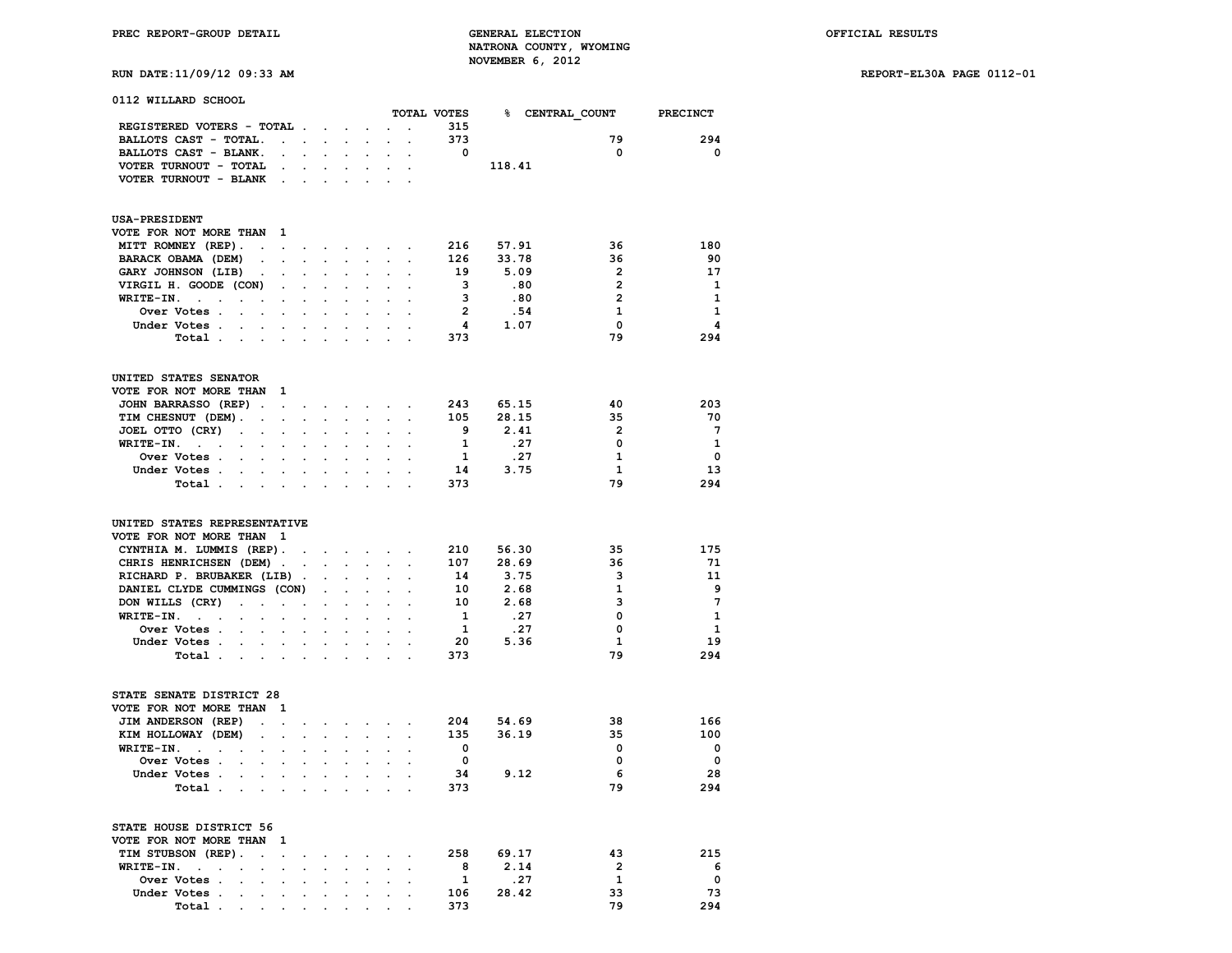**RUN DATE:11/09/12 09:33 AM REPORT-EL30A PAGE 0112-01**

| 0112 WILLARD SCHOOL                                                       |                                              |                                                          |                      |                                                                                               |                                        |                                                                                                                 |                         |                                      |                         |                          |
|---------------------------------------------------------------------------|----------------------------------------------|----------------------------------------------------------|----------------------|-----------------------------------------------------------------------------------------------|----------------------------------------|-----------------------------------------------------------------------------------------------------------------|-------------------------|--------------------------------------|-------------------------|--------------------------|
|                                                                           |                                              |                                                          |                      |                                                                                               |                                        |                                                                                                                 |                         | TOTAL VOTES 8 CENTRAL COUNT PRECINCT |                         |                          |
| REGISTERED VOTERS - TOTAL                                                 |                                              |                                                          |                      | $\mathcal{L}_{\text{max}}$                                                                    |                                        | $\sim$                                                                                                          | 315                     |                                      |                         |                          |
| BALLOTS CAST - TOTAL.                                                     | <b>Carl Carl Control</b>                     | $\sim$                                                   | $\sim$               | $\cdot$                                                                                       | $\mathbf{a}$ .                         | $\sim$                                                                                                          | 373                     |                                      | 79                      | 294                      |
| BALLOTS CAST - BLANK.                                                     | $\ddot{\phantom{0}}$                         | $\mathbf{L}^{\text{max}}$<br>$\sim$                      |                      |                                                                                               |                                        |                                                                                                                 | $\overline{\mathbf{0}}$ |                                      | $\mathbf{0}$            | $\overline{\phantom{0}}$ |
| VOTER TURNOUT - TOTAL<br>$\ddot{\phantom{0}}$                             | $\ddot{\phantom{a}}$                         | $\mathbf{r}$                                             |                      | $\ddot{\phantom{0}}$                                                                          | $\ddot{\phantom{a}}$                   | $\sim$                                                                                                          |                         | 118.41                               |                         |                          |
| VOTER TURNOUT - BLANK                                                     |                                              | $\mathcal{L}^{\text{max}}$                               |                      |                                                                                               |                                        |                                                                                                                 |                         |                                      |                         |                          |
| <b>USA-PRESIDENT</b>                                                      |                                              |                                                          |                      |                                                                                               |                                        |                                                                                                                 |                         |                                      |                         |                          |
| VOTE FOR NOT MORE THAN<br>$\mathbf{1}$                                    |                                              |                                                          |                      |                                                                                               |                                        |                                                                                                                 |                         |                                      |                         |                          |
| MITT ROMNEY (REP).                                                        |                                              |                                                          |                      |                                                                                               |                                        |                                                                                                                 | 216                     | 57.91                                | 36                      | 180                      |
|                                                                           | $\mathbf{L}^{\text{max}}$                    | $\ddot{\phantom{0}}$                                     | $\ddot{\phantom{0}}$ | $\sim$                                                                                        | $\ddot{\phantom{0}}$                   | $\ddot{\phantom{0}}$                                                                                            | 126                     |                                      | 36                      | 90                       |
| BARACK OBAMA (DEM)<br>$\sim$<br>$\sim$ $\sim$                             |                                              | $\mathbf{r}$<br>$\bullet$                                | $\ddot{\phantom{a}}$ | $\ddot{\phantom{0}}$                                                                          | $\bullet$                              | $\cdot$                                                                                                         |                         | 33.78                                |                         |                          |
| GARY JOHNSON (LIB) .<br>$\sim$                                            |                                              |                                                          |                      |                                                                                               |                                        |                                                                                                                 | 19                      | 5.09                                 | $\overline{2}$          | 17                       |
| VIRGIL H. GOODE (CON)<br>$\sim$                                           | $\ddot{\phantom{a}}$                         | $\ddot{\phantom{0}}$                                     | $\ddot{\phantom{a}}$ | $\ddot{\phantom{0}}$                                                                          | $\ddot{\phantom{0}}$                   | $\sim$                                                                                                          | $\overline{\mathbf{3}}$ | .80                                  | $\overline{2}$          | $\mathbf{1}$             |
| WRITE-IN.<br>$\sim$<br>$\sim 100$ km s $^{-1}$<br>$\cdot$                 |                                              | $\mathbf{L}^{\text{max}}$<br>$\mathcal{L}^{\mathcal{L}}$ | $\sim$               | $\sim$                                                                                        | $\cdot$                                | $\sim 100$                                                                                                      | - 3                     | .80                                  | $\overline{2}$          | - 1                      |
| Over Votes .<br>$\sim$<br>$\ddot{\phantom{0}}$                            | $\ddot{\phantom{a}}$                         | $\ddot{\phantom{a}}$                                     |                      |                                                                                               | $\cdot$                                | $\sim$                                                                                                          | $\overline{\mathbf{2}}$ | .54                                  | 1                       | - 1                      |
| Under Votes                                                               |                                              | $\mathbf{L}$<br>$\sim$                                   |                      |                                                                                               | $\sim$ $\sim$ $\sim$                   |                                                                                                                 | $\overline{\mathbf{4}}$ | 1.07                                 | $\overline{\mathbf{0}}$ | -4                       |
| Total<br>$\sim$                                                           |                                              |                                                          |                      |                                                                                               |                                        |                                                                                                                 | 373                     |                                      | 79                      | 294                      |
| UNITED STATES SENATOR                                                     |                                              |                                                          |                      |                                                                                               |                                        |                                                                                                                 |                         |                                      |                         |                          |
| VOTE FOR NOT MORE THAN 1                                                  |                                              |                                                          |                      |                                                                                               |                                        |                                                                                                                 |                         |                                      |                         |                          |
| JOHN BARRASSO (REP).                                                      |                                              |                                                          |                      |                                                                                               |                                        | $\mathcal{A}$ and $\mathcal{A}$ are all $\mathcal{A}$ and $\mathcal{A}$ are all $\mathcal{A}$ and $\mathcal{A}$ |                         | 243 65.15                            | 40                      | 203                      |
| TIM CHESNUT (DEM).<br>$\sim$                                              | $\ddot{\phantom{0}}$                         | $\ddot{\phantom{0}}$<br>$\mathbf{L}^{\text{max}}$        | $\ddot{\phantom{a}}$ | $\sim$                                                                                        | $\sim$                                 | $\ddot{\phantom{0}}$                                                                                            | 105                     | 28.15                                | 35                      | - 70                     |
| JOEL OTTO (CRY)<br>$\sim$<br>$\ddot{\phantom{0}}$                         | $\bullet$<br>$\ddot{\phantom{a}}$            | $\ddot{\phantom{a}}$                                     |                      | $\ddot{\phantom{a}}$                                                                          | $\ddot{\phantom{0}}$                   | $\ddot{\phantom{a}}$                                                                                            | - 9                     | 2.41                                 | $\overline{\mathbf{2}}$ | $\overline{7}$           |
| $WRITE-IN.$<br>$\ddot{\phantom{a}}$<br>$\ddot{\phantom{a}}$               |                                              |                                                          |                      |                                                                                               | $\ddot{\phantom{0}}$                   | $\sim$                                                                                                          | $\mathbf{1}$            | .27                                  | $\mathbf{0}$            | $\overline{\mathbf{1}}$  |
| Over Votes .<br>$\sim$                                                    |                                              |                                                          |                      |                                                                                               |                                        | $\sim$                                                                                                          | $\mathbf{1}$            | .27                                  | $\mathbf{1}$            | $\overline{\mathbf{0}}$  |
|                                                                           |                                              | $\sim$                                                   |                      | $\mathbf{r}$ and $\mathbf{r}$ and $\mathbf{r}$                                                |                                        | $\sim$                                                                                                          | 14                      | 3.75                                 | $\mathbf{1}$            | 13                       |
| Under Votes                                                               |                                              | $\sim$                                                   |                      |                                                                                               |                                        |                                                                                                                 | 373                     |                                      | 79                      | 294                      |
| Total.<br>and the state of the state of                                   |                                              |                                                          |                      |                                                                                               |                                        |                                                                                                                 |                         |                                      |                         |                          |
| UNITED STATES REPRESENTATIVE                                              |                                              |                                                          |                      |                                                                                               |                                        |                                                                                                                 |                         |                                      |                         |                          |
| VOTE FOR NOT MORE THAN 1                                                  |                                              |                                                          |                      |                                                                                               |                                        |                                                                                                                 |                         |                                      |                         |                          |
| CYNTHIA M. LUMMIS (REP).                                                  | $\sim$                                       |                                                          |                      | $\bullet$ . In the case of the contract $\bullet$                                             |                                        |                                                                                                                 | 210                     | 56.30                                | 35                      | 175                      |
| CHRIS HENRICHSEN (DEM).                                                   |                                              | $\sim$                                                   | $\sim$               | $\mathbf{r}$                                                                                  | $\sim 10^{-1}$ km s $^{-1}$            |                                                                                                                 | 107                     | 28.69                                | 36                      | - 71                     |
| RICHARD P. BRUBAKER (LIB).                                                |                                              | $\sim$                                                   |                      |                                                                                               |                                        |                                                                                                                 | 14                      | 3.75                                 | 3                       | 11                       |
| DANIEL CLYDE CUMMINGS (CON)                                               |                                              | $\sim$                                                   |                      | $\sim$                                                                                        | $\mathbf{r}$                           |                                                                                                                 | 10                      | 2.68                                 | $\mathbf{1}$            | -9                       |
| DON WILLS (CRY)<br>$\ddot{\phantom{0}}$<br>$\sim$<br>$\ddot{\phantom{a}}$ | $\sim$                                       | $\bullet$                                                | $\ddot{\phantom{a}}$ | $\ddot{\phantom{0}}$                                                                          | $\ddot{\phantom{0}}$                   | $\sim$                                                                                                          | 10                      | 2.68                                 | 3                       | $\overline{7}$           |
| $WRITE-TN.$<br>$\ddot{\phantom{a}}$<br>$\ddot{\phantom{a}}$               | $\ddot{\phantom{a}}$                         | $\sim$                                                   |                      |                                                                                               |                                        |                                                                                                                 | $\mathbf{1}$            | .27                                  | $\mathbf 0$             | $\mathbf{1}$             |
| Over Votes .                                                              |                                              |                                                          |                      |                                                                                               |                                        |                                                                                                                 | $\mathbf{1}$            | .27                                  | $\mathbf 0$             | $\mathbf{1}$             |
| Under Votes                                                               |                                              |                                                          |                      |                                                                                               | $\mathbf{z} = \mathbf{z} + \mathbf{z}$ |                                                                                                                 | 20                      | 5.36                                 | $\mathbf{1}$            | 19                       |
|                                                                           |                                              | and the state of the state                               |                      |                                                                                               |                                        | $\sim$                                                                                                          | 373                     |                                      | 79                      | 294                      |
| Total<br>$\mathcal{L}^{\text{max}}$                                       |                                              |                                                          |                      |                                                                                               |                                        |                                                                                                                 |                         |                                      |                         |                          |
| STATE SENATE DISTRICT 28                                                  |                                              |                                                          |                      |                                                                                               |                                        |                                                                                                                 |                         |                                      |                         |                          |
| VOTE FOR NOT MORE THAN<br>$\mathbf{1}$                                    |                                              |                                                          |                      |                                                                                               |                                        |                                                                                                                 |                         |                                      |                         |                          |
| JIM ANDERSON (REP)<br>$\ddot{\phantom{a}}$                                | $\ddot{\phantom{a}}$<br>$\ddot{\phantom{0}}$ | $\ddot{\phantom{0}}$                                     |                      | $\sim$ $\sim$ $\sim$                                                                          |                                        | $\sim$                                                                                                          | 204                     | 54.69                                | 38                      | 166                      |
| KIM HOLLOWAY (DEM)<br>$\sim$ $\sim$<br>$\blacksquare$                     |                                              |                                                          |                      |                                                                                               |                                        |                                                                                                                 | 135                     | 36.19                                | 35                      | 100                      |
| WRITE-IN.<br>$\sim$ $\sim$                                                |                                              |                                                          |                      |                                                                                               |                                        |                                                                                                                 | $\overline{\mathbf{0}}$ |                                      | $\overline{\mathbf{0}}$ | $\overline{\phantom{0}}$ |
| Over Votes                                                                |                                              |                                                          |                      |                                                                                               |                                        |                                                                                                                 | $\overline{\mathbf{0}}$ |                                      | $\mathbf 0$             | $\overline{\mathbf{0}}$  |
| Under Votes .                                                             | $\bullet$                                    |                                                          | $\ddot{\phantom{a}}$ | $\ddot{\phantom{0}}$                                                                          |                                        |                                                                                                                 | 34                      | 9.12                                 | 6                       | 28                       |
| Total                                                                     |                                              | $\sim$<br>$\sim$                                         | $\sim$               | $\ddot{\phantom{0}}$                                                                          | $\ddot{\phantom{0}}$                   | $\ddot{\phantom{a}}$                                                                                            | 373                     |                                      | 79                      | 294                      |
| STATE HOUSE DISTRICT 56                                                   |                                              |                                                          |                      |                                                                                               |                                        |                                                                                                                 |                         |                                      |                         |                          |
| VOTE FOR NOT MORE THAN<br>1                                               |                                              |                                                          |                      |                                                                                               |                                        |                                                                                                                 |                         |                                      |                         |                          |
| TIM STUBSON (REP).<br>$\sim$ $\sim$                                       | $\ddot{\phantom{a}}$<br>$\ddot{\phantom{0}}$ | $\ddot{\phantom{0}}$                                     |                      | $\mathbf{r} = \mathbf{r} \cdot \mathbf{r}$ , where $\mathbf{r} = \mathbf{r} \cdot \mathbf{r}$ |                                        |                                                                                                                 |                         | 258 69.17                            | 43                      | 215                      |
| WRITE-IN.<br>$\sim$<br>$\ddot{\phantom{0}}$                               | $\ddot{\phantom{a}}$                         |                                                          |                      |                                                                                               |                                        | $\ddot{\phantom{0}}$                                                                                            | $_{\rm 8}$              | 2.14                                 | $\overline{2}$          | - 6                      |
| Over Votes .<br>$\sim$<br><b>Contract Contract</b>                        |                                              | <b>All Cards</b>                                         |                      |                                                                                               |                                        | and the company of the company                                                                                  | $\mathbf{1}$            | .27                                  | $\mathbf{1}$            | $\overline{\phantom{0}}$ |
| Under Votes .                                                             |                                              |                                                          |                      |                                                                                               |                                        |                                                                                                                 | 106                     | 28.42                                | 33                      | 73                       |

 **Total . . . . . . . . . . 373 79 294**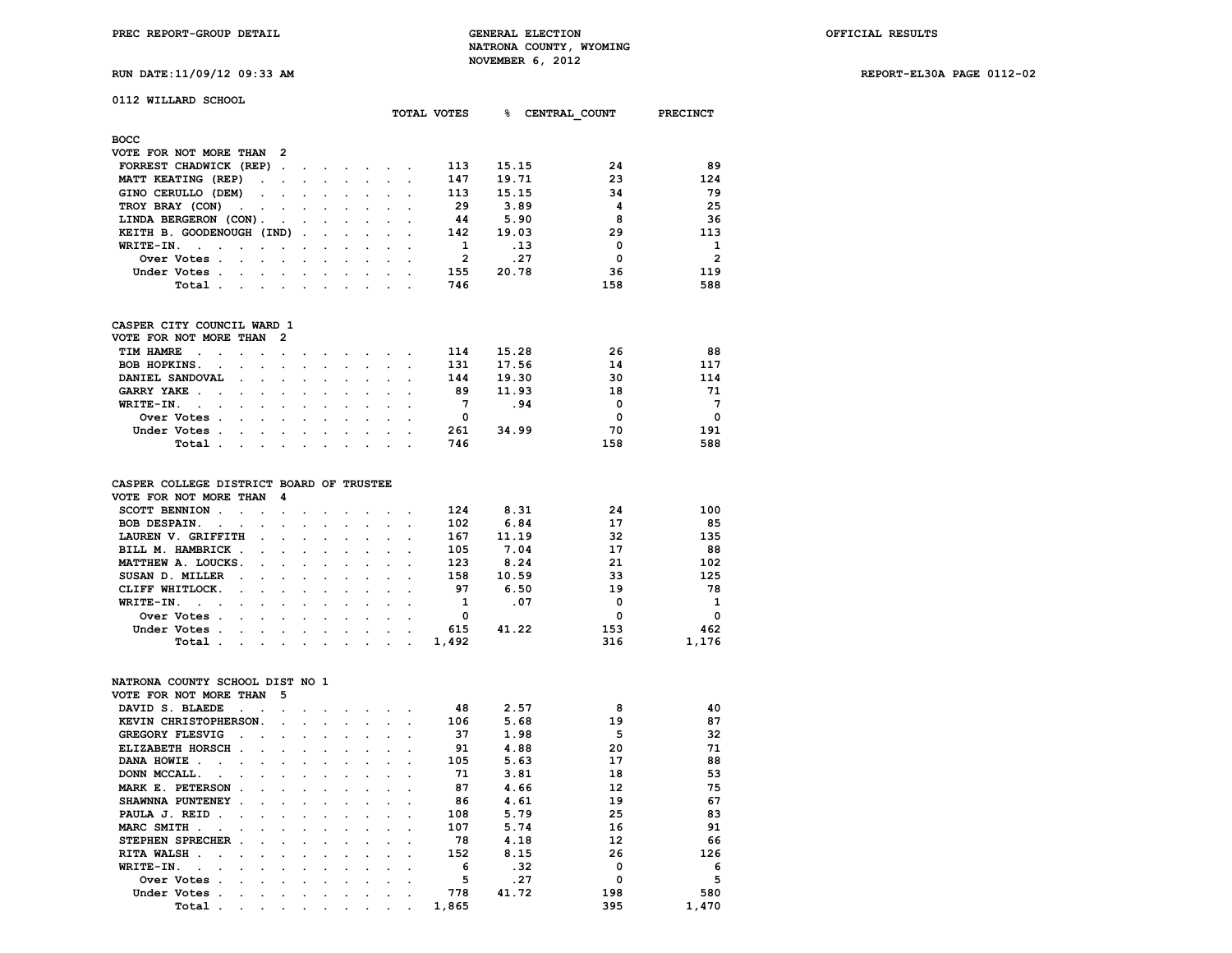**TOTAL VOTES % CENTRAL\_COUNT PRECINCT**

**RUN DATE:11/09/12 09:33 AM REPORT-EL30A PAGE 0112-02**

|  | 0112 WILLARD SCHOOL |  |
|--|---------------------|--|
|  |                     |  |
|  |                     |  |

| <b>BOCC</b>                                                                                                                                                                                                                                        |  |  |  |     |       |     |                |
|----------------------------------------------------------------------------------------------------------------------------------------------------------------------------------------------------------------------------------------------------|--|--|--|-----|-------|-----|----------------|
| VOTE FOR NOT MORE THAN 2                                                                                                                                                                                                                           |  |  |  |     |       |     |                |
| FORREST CHADWICK (REP)                                                                                                                                                                                                                             |  |  |  | 113 | 15.15 | 24  | 89             |
| MATT KEATING (REP)                                                                                                                                                                                                                                 |  |  |  | 147 | 19.71 | 23  | 124            |
| GINO CERULLO (DEM)                                                                                                                                                                                                                                 |  |  |  | 113 | 15.15 | 34  | 79             |
| TROY BRAY (CON)                                                                                                                                                                                                                                    |  |  |  | 29  | 3.89  | 4   | 25             |
| LINDA BERGERON (CON).                                                                                                                                                                                                                              |  |  |  | 44  | 5.90  | 8   | 36             |
| KEITH B. GOODENOUGH (IND)                                                                                                                                                                                                                          |  |  |  | 142 | 19.03 | 29  | 113            |
| WRITE-IN.                                                                                                                                                                                                                                          |  |  |  |     | .13   | 0   | 1              |
| Over Votes                                                                                                                                                                                                                                         |  |  |  | 2   | .27   | 0   | $\overline{2}$ |
| Under Votes .<br>$\mathbf{r}$ . The contribution of the contribution of the contribution of the contribution of the contribution of the contribution of the contribution of the contribution of the contribution of the contribution of the contri |  |  |  | 155 | 20.78 | 36  | 119            |
| Total.                                                                                                                                                                                                                                             |  |  |  | 746 |       | 158 | 588            |

#### **CASPER CITY COUNCIL WARD 1 VOTE FOR NOT MORE THAN 2**

| VOTE FOR NOT MORE THAN Z |                                                                                                                                                                                                                               |  |  |  |     |       |          |          |
|--------------------------|-------------------------------------------------------------------------------------------------------------------------------------------------------------------------------------------------------------------------------|--|--|--|-----|-------|----------|----------|
| TIM HAMRE                |                                                                                                                                                                                                                               |  |  |  | 114 | 15.28 | 26       | 88       |
| BOB HOPKINS.             |                                                                                                                                                                                                                               |  |  |  | 131 | 17.56 | 14       | 117      |
| DANIEL SANDOVAL          |                                                                                                                                                                                                                               |  |  |  | 144 | 19.30 | 30       | 114      |
| GARRY YAKE               |                                                                                                                                                                                                                               |  |  |  | 89  | 11.93 | 18       | 71       |
| WRITE-IN.                |                                                                                                                                                                                                                               |  |  |  |     | .94   | $\Omega$ | 7        |
| Over Votes               |                                                                                                                                                                                                                               |  |  |  |     |       | O        | $\Omega$ |
| Under Votes              |                                                                                                                                                                                                                               |  |  |  | 261 | 34.99 | 70       | 191      |
| Total.                   | the company of the company of the company of the company of the company of the company of the company of the company of the company of the company of the company of the company of the company of the company of the company |  |  |  | 746 |       | 158      | 588      |
|                          |                                                                                                                                                                                                                               |  |  |  |     |       |          |          |

#### **CASPER COLLEGE DISTRICT BOARD OF TRUSTEE**

| VOTE FOR NOT MORE THAN 4                                                                                                          |                                                                                                                 |  |  |  |       |       |     |          |
|-----------------------------------------------------------------------------------------------------------------------------------|-----------------------------------------------------------------------------------------------------------------|--|--|--|-------|-------|-----|----------|
| SCOTT BENNION.<br>the contract of the contract of the contract of the contract of the contract of the contract of the contract of |                                                                                                                 |  |  |  | 124   | 8.31  | 24  | 100      |
| BOB DESPAIN.                                                                                                                      |                                                                                                                 |  |  |  | 102   | 6.84  | 17  | 85       |
| LAUREN V. GRIFFITH                                                                                                                | the contract of the contract of the contract of the contract of the contract of the contract of the contract of |  |  |  | 167   | 11.19 | 32  | 135      |
| BILL M. HAMBRICK                                                                                                                  |                                                                                                                 |  |  |  | 105   | 7.04  | 17  | 88       |
| MATTHEW A. LOUCKS.                                                                                                                |                                                                                                                 |  |  |  | 123   | 8.24  | 21  | 102      |
| SUSAN D. MILLER                                                                                                                   |                                                                                                                 |  |  |  | 158   | 10.59 | 33  | 125      |
| CLIFF WHITLOCK.                                                                                                                   |                                                                                                                 |  |  |  | 97    | 6.50  | 19  | 78       |
| WRITE-IN.<br>the contract of the contract of the contract of the contract of the contract of the contract of the contract of      |                                                                                                                 |  |  |  |       | .07   | 0   | 1        |
| Over Votes.<br>the contract of the contract of the contract of the contract of the contract of the contract of the contract of    |                                                                                                                 |  |  |  | 0     |       | O   | $\Omega$ |
| Under Votes.<br>the contract of the contract of the contract of the contract of the contract of the contract of the contract of   |                                                                                                                 |  |  |  | 615   | 41.22 | 153 | 462      |
| Total .<br>the contract of the contract of the contract of the contract of the contract of the contract of the contract of        |                                                                                                                 |  |  |  | 1,492 |       | 316 | 1,176    |

### **NATRONA COUNTY SCHOOL DIST NO 1**

| VOTE FOR NOT MORE THAN     | 5 |   |   |   |   |       |       |     |       |
|----------------------------|---|---|---|---|---|-------|-------|-----|-------|
| DAVID S. BLAEDE            |   |   |   |   |   | 48    | 2.57  | R   | 40    |
| KEVIN CHRISTOPHERSON.      |   |   |   |   |   | 106   | 5.68  | 19  | 87    |
| <b>GREGORY FLESVIG</b>     |   |   |   |   |   | 37    | 1.98  | 5   | 32    |
| ELIZABETH HORSCH.          |   |   |   |   |   | 91    | 4.88  | 20  | 71    |
| DANA HOWIE                 |   |   |   |   |   | 105   | 5.63  | 17  | 88    |
| DONN MCCALL.               |   |   |   |   |   | 71    | 3.81  | 18  | 53    |
| MARK E. PETERSON<br>$\sim$ |   |   |   |   |   | 87    | 4.66  | 12  | 75    |
| SHAWNNA PUNTENEY           |   |   |   |   |   | 86    | 4.61  | 19  | 67    |
| PAULA J. REID              |   |   |   |   |   | 108   | 5.79  | 25  | 83    |
| MARC SMITH                 |   |   |   |   |   | 107   | 5.74  | 16  | 91    |
| <b>STEPHEN SPRECHER</b>    |   |   |   |   |   | 78    | 4.18  | 12  | 66    |
| RITA WALSH.                |   |   |   |   |   | 152   | 8.15  | 26  | 126   |
| WRITE-IN.                  |   |   |   |   |   | 6     | .32   | 0   | 6     |
| Over Votes                 |   |   |   |   |   | 5     | .27   | O   | 5     |
| Under Votes                |   |   |   |   |   | 778   | 41.72 | 198 | 580   |
| Total<br>$\cdot$           | ٠ | ٠ | ٠ | ٠ | ٠ | 1,865 |       | 395 | 1,470 |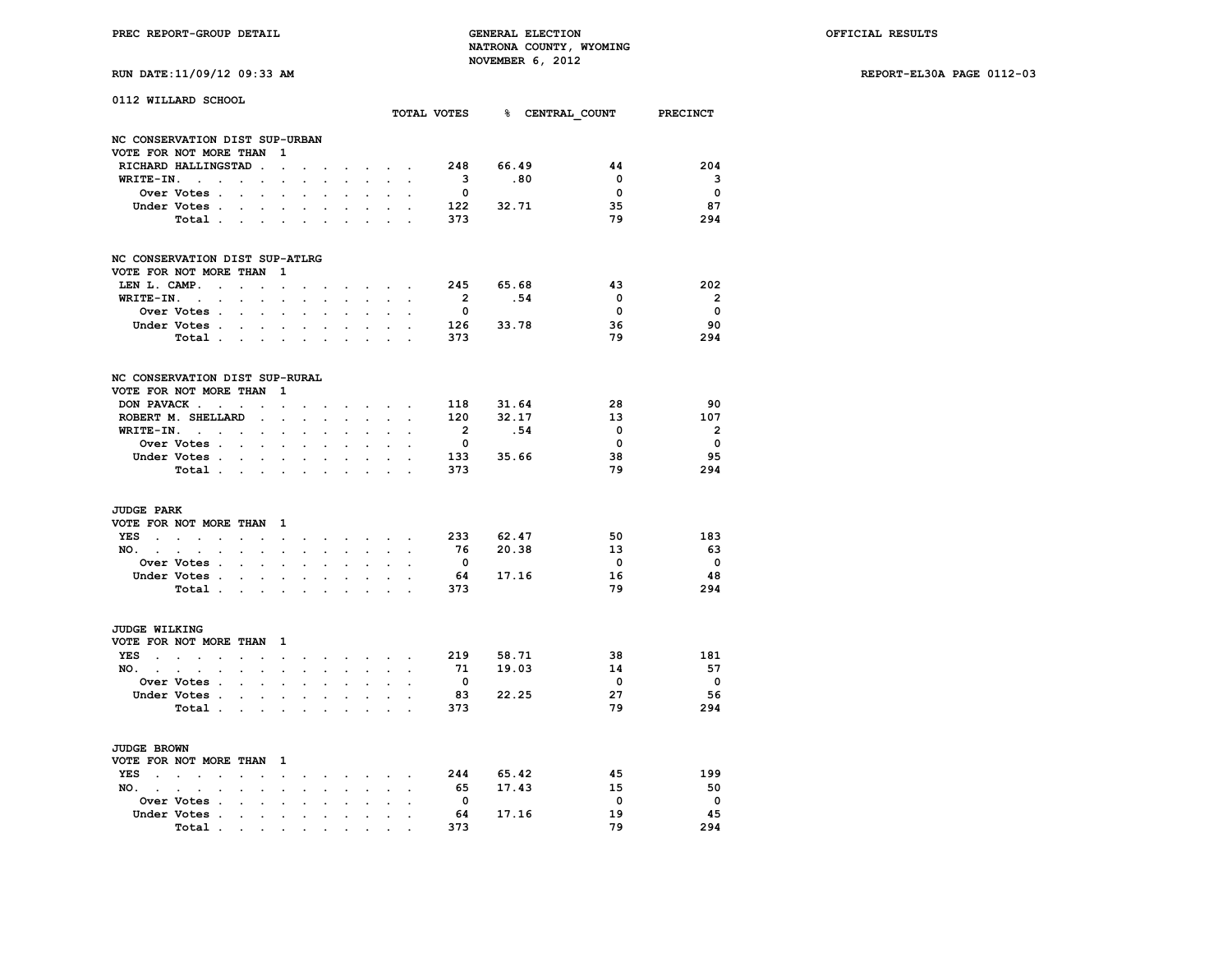|  |  |  |  |  | RUN DATE:11/09/12 09:33 A |  |
|--|--|--|--|--|---------------------------|--|
|--|--|--|--|--|---------------------------|--|

|                                 | 0112 WILLARD SCHOOL                                   |                      |                                            |                           |                      |                      |                      |                             |                            |                      |                         |           | TOTAL VOTES 8 CENTRAL COUNT | PRECINCT                       |
|---------------------------------|-------------------------------------------------------|----------------------|--------------------------------------------|---------------------------|----------------------|----------------------|----------------------|-----------------------------|----------------------------|----------------------|-------------------------|-----------|-----------------------------|--------------------------------|
|                                 |                                                       |                      |                                            |                           |                      |                      |                      |                             |                            |                      |                         |           |                             |                                |
|                                 | NC CONSERVATION DIST SUP-URBAN                        |                      |                                            |                           |                      |                      |                      |                             |                            |                      |                         |           |                             |                                |
|                                 | VOTE FOR NOT MORE THAN                                |                      |                                            | 1                         |                      |                      |                      |                             |                            |                      |                         |           |                             |                                |
|                                 | RICHARD HALLINGSTAD.                                  |                      |                                            | $\ddot{\phantom{a}}$      | $\ddot{\phantom{a}}$ |                      | $\mathbf{r}$         | $\mathcal{L}^{\text{max}}$  | $\mathcal{L}^{\text{max}}$ | $\ddot{\phantom{a}}$ | 248                     | 66.49     | 44                          | 204                            |
| WRITE-IN.                       | $\sim$                                                |                      | $\ddotsc$                                  |                           |                      |                      |                      |                             |                            | $\overline{a}$       | $\overline{\mathbf{3}}$ | .80       | $\mathbf 0$                 | $\overline{\mathbf{3}}$        |
|                                 | Over Votes .                                          | $\sim$               | $\sim$                                     | $\overline{a}$            |                      |                      |                      |                             |                            |                      | $\mathbf 0$             |           | $\mathbf{o}$                | $\overline{\mathbf{0}}$        |
|                                 | Under Votes.                                          | $\ddot{\phantom{a}}$ | $\blacksquare$                             | $\ddot{\phantom{a}}$      | $\ddot{\phantom{0}}$ |                      | $\ddot{\phantom{a}}$ | $\sim$                      | $\ddot{\phantom{a}}$       |                      | 122 32.71               |           | 35                          | 87                             |
|                                 | Total .                                               | $\sim$               |                                            | $\mathbf{r} = \mathbf{r}$ |                      |                      |                      | $\mathcal{L}^{\text{max}}$  | $\sim 10^{-11}$            |                      | 373                     |           | 79                          | 294                            |
|                                 | NC CONSERVATION DIST SUP-ATLRG                        |                      |                                            |                           |                      |                      |                      |                             |                            |                      |                         |           |                             |                                |
|                                 | VOTE FOR NOT MORE THAN                                |                      |                                            | 1                         |                      |                      |                      |                             |                            |                      |                         |           |                             |                                |
| LEN L. CAMP.                    | $\ddot{\phantom{a}}$                                  | $\mathbf{r}$         | $\bullet$                                  | $\ddot{\phantom{0}}$      |                      |                      |                      | $\sim$                      | $\sim$                     |                      | 245                     | 65.68     | 43                          | 202                            |
| WRITE-IN.                       | $\sim 10^{-11}$<br>$\mathbf{r}$                       |                      | $\overline{a}$                             |                           |                      |                      |                      | $\sim$                      |                            |                      | $\overline{\mathbf{2}}$ | .54       | $\mathbf 0$                 | $\overline{\mathbf{2}}$        |
|                                 | Over Votes .                                          | $\ddot{\phantom{a}}$ | $\mathbf{r}$                               |                           |                      |                      |                      | $\ddot{\phantom{a}}$        |                            |                      | $\mathbf 0$             |           | $\mathbf{o}$                | $\mathbf 0$                    |
|                                 | Under Votes .                                         | $\ddot{\phantom{a}}$ | $\sim$ $-$                                 | $\ddot{\phantom{a}}$      | $\ddot{\phantom{0}}$ | $\ddot{\phantom{a}}$ | $\ddot{\phantom{a}}$ | $\sim$                      | $\ddot{\phantom{0}}$       |                      | 126 33.78               |           | 36                          | 90                             |
|                                 | Total                                                 |                      |                                            |                           |                      | o.                   | s.                   | $\sim 10^{-11}$             | <b>College</b>             |                      | 373                     |           | 79                          | 294                            |
|                                 |                                                       |                      |                                            |                           |                      |                      |                      |                             |                            |                      |                         |           |                             |                                |
|                                 | NC CONSERVATION DIST SUP-RURAL                        |                      |                                            | 1                         |                      |                      |                      |                             |                            |                      |                         |           |                             |                                |
|                                 | VOTE FOR NOT MORE THAN                                |                      |                                            |                           |                      |                      |                      |                             |                            |                      |                         |           |                             |                                |
|                                 | DON PAVACK                                            | $\ddot{\phantom{a}}$ | $\ddot{\phantom{a}}$                       | $\ddot{\phantom{0}}$      | $\ddot{\phantom{a}}$ |                      | $\sim$               | $\sim$                      | $\sim$                     | $\sim$               |                         | 118 31.64 | 28                          | 90                             |
|                                 | ROBERT M. SHELLARD                                    |                      | $\cdot$                                    | J.                        | $\mathbf{r}$         |                      |                      | $\sim 10^{-1}$              | ÷.                         |                      | 120                     | 32.17     | 13<br>$\Omega$              | 107<br>$\overline{\mathbf{2}}$ |
|                                 | $WRITE-IN.$                                           |                      |                                            |                           | $\ddot{\phantom{0}}$ |                      | $\ddot{\phantom{a}}$ |                             |                            |                      | $\overline{\mathbf{2}}$ | .54       | $\overline{\mathbf{0}}$     | $\overline{\mathbf{0}}$        |
|                                 | Over Votes                                            |                      | $\ddot{\phantom{0}}$                       | $\ddot{\phantom{0}}$      | $\ddot{\phantom{a}}$ |                      |                      | $\cdot$                     |                            |                      | $\overline{\mathbf{0}}$ | 133 35.66 | 38                          | 95                             |
|                                 | Under Votes.                                          | $\mathbf{r}$         |                                            |                           |                      |                      |                      |                             | s.                         |                      | 373                     |           | 79                          | 294                            |
|                                 | Total .                                               |                      | <b>Contract Contract Contract Contract</b> | $\overline{a}$            |                      |                      |                      |                             |                            |                      |                         |           |                             |                                |
| <b>JUDGE PARK</b>               |                                                       |                      |                                            |                           |                      |                      |                      |                             |                            |                      |                         |           |                             |                                |
|                                 | VOTE FOR NOT MORE THAN                                |                      |                                            | 1                         |                      |                      |                      |                             |                            |                      |                         |           |                             |                                |
|                                 | YES                                                   | $\bullet$            | $\cdot$                                    | $\sim 100$ km s $^{-1}$   |                      | $\mathbf{r}$         |                      | and a state of the          |                            | $\overline{a}$       | 233 62.47               |           | 50                          | 183                            |
| NO. .                           | $\sim$<br>$\sim$<br>$\ddot{\phantom{a}}$              |                      |                                            | $\ddot{\phantom{a}}$      |                      | $\overline{a}$       | $\mathbf{L}$         | $\ddot{\phantom{0}}$        | $\ddot{\phantom{0}}$       |                      | 76                      | 20.38     | 13                          | - 63                           |
|                                 | Over Votes .                                          | $\mathbf{r}$         | $\Box$                                     | $\ddot{\phantom{a}}$      | $\overline{a}$       | $\overline{a}$       | $\overline{a}$       | $\ddot{\phantom{a}}$        | $\mathbf{r}$               | $\overline{a}$       | $\overline{\mathbf{0}}$ |           | $\overline{\mathbf{0}}$     | $\overline{\mathbf{0}}$        |
|                                 | Under Votes .                                         |                      |                                            |                           |                      |                      |                      |                             |                            |                      | 64                      | 17.16     | 16                          | -48                            |
|                                 | Total .                                               |                      | $\sim$                                     |                           | $\ddot{\phantom{a}}$ |                      |                      |                             |                            |                      | 373                     |           | 79                          | 294                            |
| <b>JUDGE WILKING</b>            |                                                       |                      |                                            |                           |                      |                      |                      |                             |                            |                      |                         |           |                             |                                |
|                                 | VOTE FOR NOT MORE THAN                                |                      |                                            |                           |                      |                      |                      |                             |                            |                      |                         |           |                             |                                |
| YES<br><b>Carl Carl Control</b> | $\sim$<br>$\sim$                                      |                      | $\mathbf{r}$                               | - 1                       |                      |                      | $\sim$               |                             |                            |                      | 219 58.71               |           | 38                          | 181                            |
| $NO.$ $.$                       |                                                       | $\mathbf{r}$         |                                            | $\blacksquare$            |                      |                      | $\mathbf{L}$         | <b>Contract Contract</b>    | $\mathbf{L}$               |                      | 71                      | 19.03     | 14                          | 57                             |
|                                 | $\sim$<br>$\cdot$<br>Over Votes .                     |                      | $\ddot{\phantom{0}}$                       | $\ddot{\phantom{0}}$      | $\ddot{\phantom{0}}$ |                      |                      | $\ddot{\phantom{0}}$        |                            |                      | $\overline{\mathbf{0}}$ |           | $\overline{\mathbf{0}}$     | $\overline{\mathbf{0}}$        |
|                                 | Under Votes .                                         | $\ddot{\phantom{0}}$ | $\ddot{\phantom{0}}$                       | $\ddot{\phantom{a}}$      |                      |                      |                      | $\ddot{\phantom{a}}$        | $\ddot{\phantom{0}}$       |                      | 83                      | 22.25     | 27                          | 56                             |
|                                 | Total .                                               |                      |                                            |                           |                      |                      |                      |                             |                            |                      | 373                     |           | 79                          | 294                            |
|                                 |                                                       |                      | <b>Service</b> State                       | $\ddot{\phantom{a}}$      | $\ddot{\phantom{a}}$ | $\overline{a}$       | $\sim$               | $\sim$                      | $\mathbf{r}$               |                      |                         |           |                             |                                |
| <b>JUDGE BROWN</b>              |                                                       |                      |                                            |                           |                      |                      |                      |                             |                            |                      |                         |           |                             |                                |
|                                 | VOTE FOR NOT MORE THAN                                |                      |                                            | $\mathbf{1}$              |                      |                      |                      |                             |                            |                      |                         |           |                             |                                |
| YES<br>$\sim$                   | $\mathbf{r}$<br>$\sim$ $\sim$<br>$\ddot{\phantom{a}}$ |                      | $\ddot{\phantom{a}}$                       | $\ddot{\phantom{a}}$      |                      |                      | $\sim$               | $\sim$                      | $\sim$                     |                      | 244                     | 65.42     | 45                          | 199                            |
| NO. .                           | $\sim$<br>$\sim$<br>$\ddot{\phantom{a}}$              | $\cdot$              | $\bullet$                                  | $\ddot{\phantom{0}}$      | $\ddot{\phantom{0}}$ |                      | $\ddot{\phantom{0}}$ | $\mathcal{L}^{\mathcal{L}}$ | $\ddot{\phantom{0}}$       | $\cdot$              | 65                      | 17.43     | 15                          | 50                             |
|                                 | <b>Over Votes .</b>                                   |                      |                                            |                           |                      |                      |                      |                             |                            |                      | $\overline{\mathbf{0}}$ |           | $\overline{\mathbf{0}}$     | $\overline{\phantom{0}}$       |
|                                 | Under Votes .                                         | $\cdot$              | $\ddot{\phantom{0}}$                       | $\bullet$                 | $\ddot{\phantom{0}}$ | $\ddot{\phantom{a}}$ | $\ddot{\phantom{0}}$ | $\cdot$                     |                            |                      | 64                      | 17.16     | 19                          | 45                             |
|                                 | Total.                                                |                      |                                            |                           |                      |                      |                      |                             |                            |                      | 373                     |           | 79                          | 294                            |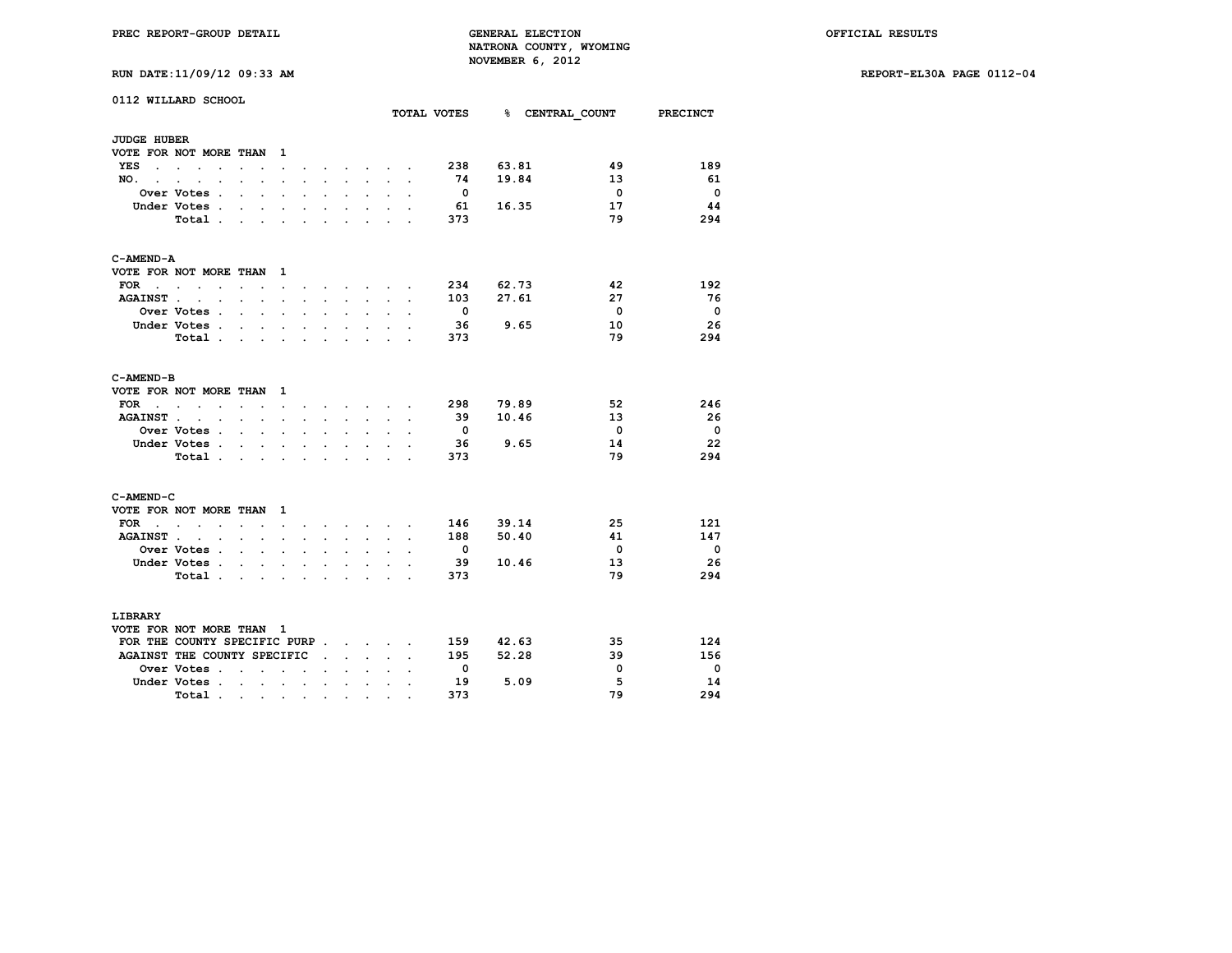| RUN DATE:11/09/12 09:33 AM |  |  |  |  |
|----------------------------|--|--|--|--|
|----------------------------|--|--|--|--|

|                             | 0112 WILLARD SCHOOL                              |                                                           |                                                                                          |                      |                                                                                 |                      |                                                                                                                                                                                                                                       |                      |                      | TOTAL VOTES              |       | % CENTRAL COUNT         | <b>PRECINCT</b>          |
|-----------------------------|--------------------------------------------------|-----------------------------------------------------------|------------------------------------------------------------------------------------------|----------------------|---------------------------------------------------------------------------------|----------------------|---------------------------------------------------------------------------------------------------------------------------------------------------------------------------------------------------------------------------------------|----------------------|----------------------|--------------------------|-------|-------------------------|--------------------------|
| <b>JUDGE HUBER</b>          |                                                  |                                                           |                                                                                          |                      |                                                                                 |                      |                                                                                                                                                                                                                                       |                      |                      |                          |       |                         |                          |
|                             | VOTE FOR NOT MORE THAN                           |                                                           | $\mathbf{1}$                                                                             |                      |                                                                                 |                      |                                                                                                                                                                                                                                       |                      |                      |                          |       |                         |                          |
| YES                         | $\sim$<br>$\ddot{\phantom{0}}$                   |                                                           | $\ddot{\phantom{0}}$                                                                     |                      |                                                                                 |                      | $\mathbf{r}$ and $\mathbf{r}$ are associated to the set of the set of the set of the set of the set of the set of the set of the set of the set of the set of the set of the set of the set of the set of the set of the set of the s |                      |                      | 238                      | 63.81 | 49                      | 189                      |
| NO.<br>$\ddot{\phantom{a}}$ | $\ddot{\phantom{a}}$<br>$\overline{a}$           |                                                           | $\mathbf{r}$                                                                             |                      |                                                                                 | a.                   | $\mathbf{r}$                                                                                                                                                                                                                          | $\sim 10^{-1}$       | $\overline{a}$       | 74                       | 19.84 | 13                      | 61                       |
|                             | Over Votes .                                     | $\overline{a}$                                            | $\ddot{\phantom{a}}$<br>$\ddot{\phantom{0}}$                                             | $\ddot{\phantom{a}}$ | $\ddot{\phantom{0}}$                                                            | $\ddot{\phantom{0}}$ | $\ddot{\phantom{a}}$                                                                                                                                                                                                                  | $\ddot{\phantom{a}}$ | $\overline{a}$       | - 0                      |       | $\overline{\mathbf{0}}$ | $\overline{\phantom{0}}$ |
|                             | Under Votes .                                    | $\ddot{\phantom{0}}$                                      |                                                                                          |                      |                                                                                 |                      | $\ddot{\phantom{0}}$                                                                                                                                                                                                                  |                      |                      | - 61                     | 16.35 | 17                      | 44                       |
|                             | Total.                                           | $\sim$                                                    |                                                                                          | ÷                    | ÷                                                                               |                      | i.                                                                                                                                                                                                                                    |                      |                      | 373                      |       | 79                      | 294                      |
| C-AMEND-A                   |                                                  |                                                           |                                                                                          |                      |                                                                                 |                      |                                                                                                                                                                                                                                       |                      |                      |                          |       |                         |                          |
|                             | VOTE FOR NOT MORE THAN                           |                                                           | $\mathbf{1}$                                                                             |                      |                                                                                 |                      |                                                                                                                                                                                                                                       |                      |                      |                          |       |                         |                          |
| FOR .                       | <b>Contract Contract</b><br>$\sim$               | $\sim$ $\sim$                                             | $\ddot{\phantom{a}}$                                                                     | $\ddot{\phantom{a}}$ | $\sim$                                                                          | $\sim$               | $\sim$                                                                                                                                                                                                                                |                      |                      | 234                      | 62.73 | 42                      | 192                      |
| <b>AGAINST</b> .            | <b>Contract Contract</b>                         | $\sim$ $\sim$ $\sim$                                      | $\ddot{\phantom{a}}$                                                                     | $\ddot{\phantom{0}}$ | $\ddot{\phantom{0}}$                                                            | $\ddot{\phantom{0}}$ | $\ddot{\phantom{0}}$                                                                                                                                                                                                                  | $\sim$               | $\ddot{\phantom{a}}$ | 103                      | 27.61 | 27                      | - 76                     |
|                             | <b>Over Votes .</b>                              | $\ddot{\phantom{a}}$                                      |                                                                                          |                      |                                                                                 |                      | $\ddot{\phantom{0}}$                                                                                                                                                                                                                  |                      |                      | $\overline{\mathbf{0}}$  |       | $\overline{0}$          | $\overline{\phantom{0}}$ |
|                             | Under Votes .                                    | $\ddot{\phantom{a}}$<br>$\ddot{\phantom{a}}$              | $\cdot$                                                                                  |                      |                                                                                 |                      |                                                                                                                                                                                                                                       |                      |                      | - 36                     | 9.65  | 10                      | 26                       |
|                             | Total                                            |                                                           | $\sim$                                                                                   | $\ddot{\phantom{a}}$ | $\ddot{\phantom{a}}$                                                            | $\ddot{\phantom{0}}$ | $\ddot{\phantom{a}}$                                                                                                                                                                                                                  | $\ddot{\phantom{0}}$ |                      | 373                      |       | 79                      | 294                      |
|                             |                                                  |                                                           |                                                                                          |                      |                                                                                 |                      |                                                                                                                                                                                                                                       |                      |                      |                          |       |                         |                          |
| C-AMEND-B                   |                                                  |                                                           |                                                                                          |                      |                                                                                 |                      |                                                                                                                                                                                                                                       |                      |                      |                          |       |                         |                          |
|                             | VOTE FOR NOT MORE THAN                           |                                                           | $\mathbf{1}$                                                                             |                      |                                                                                 |                      |                                                                                                                                                                                                                                       |                      |                      |                          |       |                         |                          |
| FOR<br>$\sim$ $\sim$ $\sim$ | <b>Contract Contract</b><br>$\ddot{\phantom{0}}$ | $\sim$ $\sim$ $\sim$                                      | $\sim$                                                                                   |                      | the contract of the contract of the contract of the contract of the contract of |                      |                                                                                                                                                                                                                                       |                      |                      | 298                      | 79.89 | 52                      | 246                      |
| <b>AGAINST.</b>             | $\overline{a}$<br>$\ddot{\phantom{a}}$           | $\ddot{\phantom{0}}$                                      | $\ddot{\phantom{a}}$<br>$\ddot{\phantom{a}}$                                             | $\ddot{\phantom{a}}$ | $\ddot{\phantom{0}}$                                                            | $\ddot{\phantom{0}}$ | $\ddot{\phantom{0}}$                                                                                                                                                                                                                  |                      |                      | 39                       | 10.46 | 13                      | 26                       |
|                             | Over Votes.                                      |                                                           | $\ddot{\phantom{a}}$<br>$\ddot{\phantom{a}}$                                             |                      |                                                                                 |                      |                                                                                                                                                                                                                                       |                      |                      | $\overline{\phantom{0}}$ |       | $\overline{\mathbf{0}}$ | - 0                      |
|                             | Under Votes.                                     | $\cdot$ $\cdot$ $\cdot$                                   |                                                                                          | $\ddot{\phantom{0}}$ | $\ddot{\phantom{0}}$                                                            | $\ddot{\phantom{0}}$ | $\ddot{\phantom{0}}$                                                                                                                                                                                                                  |                      |                      | - 36                     | 9.65  | 14                      | -22                      |
|                             | Total.                                           | $\mathbf{r}$                                              |                                                                                          |                      |                                                                                 |                      |                                                                                                                                                                                                                                       |                      |                      | 373                      |       | 79                      | 294                      |
| C-AMEND-C                   |                                                  |                                                           |                                                                                          |                      |                                                                                 |                      |                                                                                                                                                                                                                                       |                      |                      |                          |       |                         |                          |
|                             | VOTE FOR NOT MORE THAN                           |                                                           | $\mathbf{1}$                                                                             |                      |                                                                                 |                      |                                                                                                                                                                                                                                       |                      |                      |                          |       |                         |                          |
| FOR<br>$\sim$ $\sim$        | $\ddot{\phantom{0}}$<br>$\overline{a}$           | $\ddot{\phantom{0}}$                                      | $\ddot{\phantom{0}}$                                                                     |                      |                                                                                 | $\sim$               | $\ddot{\phantom{0}}$                                                                                                                                                                                                                  | $\sim$               |                      | 146                      | 39.14 | 25                      | 121                      |
| <b>AGAINST.</b>             | $\ddot{\phantom{a}}$<br>$\ddot{\phantom{a}}$     |                                                           | $\ddot{\phantom{a}}$                                                                     |                      |                                                                                 |                      |                                                                                                                                                                                                                                       |                      |                      | 188                      | 50.40 | 41                      | 147                      |
|                             | <b>Over Votes .</b>                              | $\sim$ $\sim$                                             | $\ddot{\phantom{a}}$                                                                     | $\ddot{\phantom{a}}$ | $\ddot{\phantom{0}}$                                                            | $\ddot{\phantom{0}}$ | $\ddot{\phantom{0}}$                                                                                                                                                                                                                  |                      |                      | - 0                      |       | $\mathbf{0}$            | $\overline{\phantom{0}}$ |
|                             | Under Votes.                                     | $\sim$                                                    |                                                                                          |                      |                                                                                 |                      |                                                                                                                                                                                                                                       |                      |                      | 39                       | 10.46 | 13                      | 26                       |
|                             | Total.                                           | $\sim$ $\sim$ $\sim$                                      | $\sim$                                                                                   | $\ddot{\phantom{0}}$ | $\ddot{\phantom{0}}$                                                            | $\ddot{\phantom{a}}$ | $\ddot{\phantom{0}}$                                                                                                                                                                                                                  | $\sim$               |                      | 373                      |       | 79                      | 294                      |
|                             |                                                  |                                                           |                                                                                          |                      |                                                                                 |                      |                                                                                                                                                                                                                                       |                      |                      |                          |       |                         |                          |
| <b>LIBRARY</b>              |                                                  |                                                           |                                                                                          |                      |                                                                                 |                      |                                                                                                                                                                                                                                       |                      |                      |                          |       |                         |                          |
|                             | VOTE FOR NOT MORE THAN 1                         |                                                           |                                                                                          |                      |                                                                                 |                      |                                                                                                                                                                                                                                       |                      |                      |                          |       |                         |                          |
|                             | FOR THE COUNTY SPECIFIC PURP                     |                                                           |                                                                                          |                      |                                                                                 |                      |                                                                                                                                                                                                                                       |                      |                      | 159                      | 42.63 | 35                      | 124                      |
|                             | AGAINST THE COUNTY SPECIFIC                      |                                                           |                                                                                          |                      | $\ddot{\phantom{a}}$                                                            | $\sim$               | $\mathbf{r}$                                                                                                                                                                                                                          | $\ddot{\phantom{0}}$ |                      | 195                      | 52.28 | 39                      | 156                      |
|                             | Over Votes.                                      | $\ddot{\phantom{0}}$<br>÷                                 | $\overline{a}$                                                                           | $\ddot{\phantom{a}}$ |                                                                                 |                      |                                                                                                                                                                                                                                       |                      |                      | $\overline{\phantom{0}}$ |       | 0                       | - 0                      |
|                             | Under Votes .                                    | $\mathcal{L}_{\text{max}}$ and $\mathcal{L}_{\text{max}}$ |                                                                                          | $\ddotsc$            | $\ddot{\phantom{a}}$                                                            | $\ddot{\phantom{0}}$ | $\ddot{\phantom{a}}$                                                                                                                                                                                                                  |                      |                      | 19                       | 5.09  | 5                       | 14                       |
|                             | Total.                                           | $\sim 100$                                                | $\mathcal{L}(\mathcal{A})$ and $\mathcal{A}(\mathcal{A})$ and $\mathcal{A}(\mathcal{A})$ |                      | $\sim 100$                                                                      | $\bullet$            | $\bullet$                                                                                                                                                                                                                             |                      |                      | 373                      |       | 79                      | 294                      |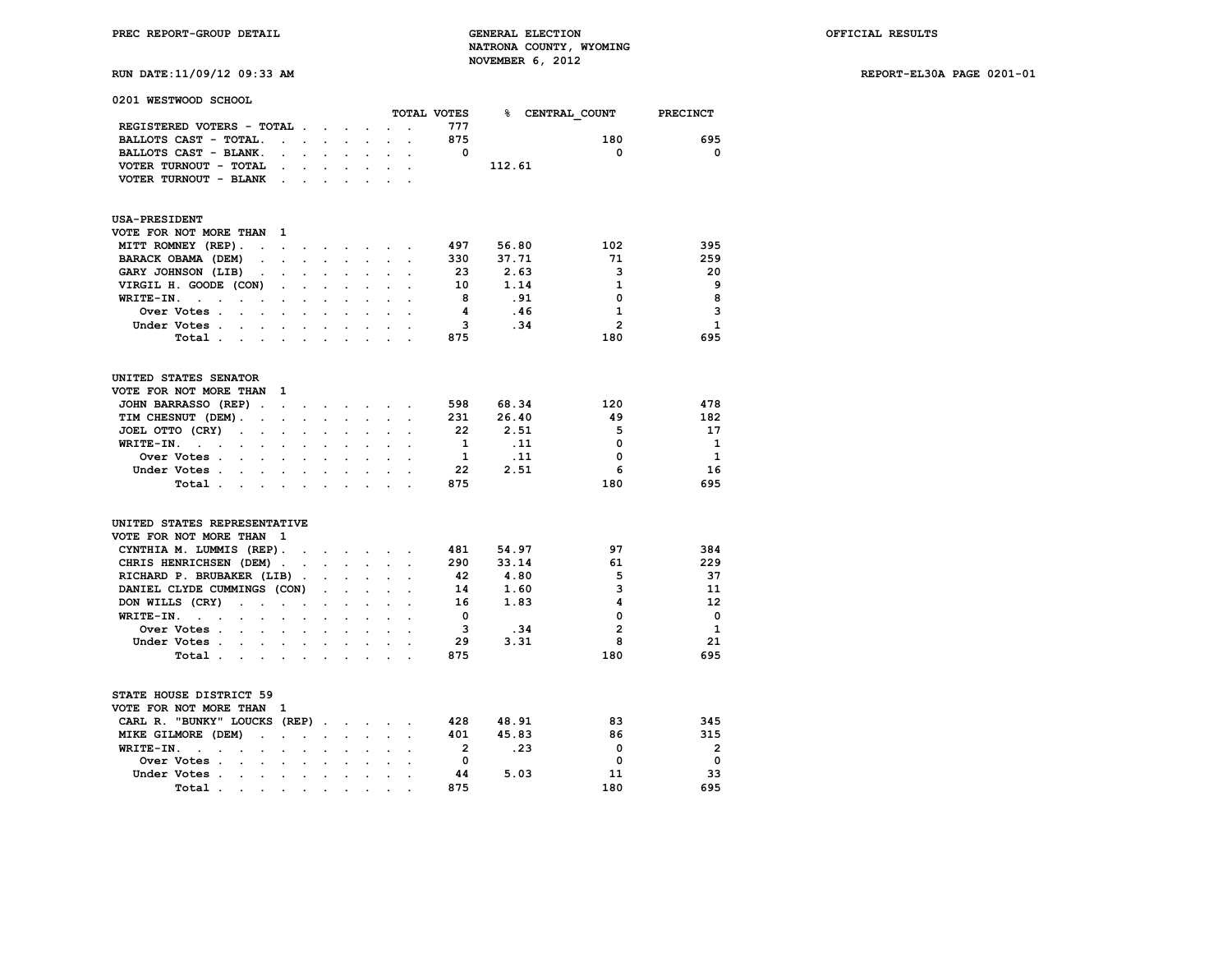**PREC REPORT-GROUP DETAIL GENERAL ELECTION OFFICIAL RESULTS NATRONA COUNTY, WYOMING RUN DATE:11/09/12 09:33 AM NOVEMBER 6, 2012** 

| 1,01, <i>D</i> 1111.11, 0 <i>9,</i> 11, 09, 09 |  |  |
|------------------------------------------------|--|--|
|                                                |  |  |
|                                                |  |  |

| 0201 WESTWOOD SCHOOL                                                                          |                                              |                            |                      |                           |                      |                      |                      |                |        |                |                |
|-----------------------------------------------------------------------------------------------|----------------------------------------------|----------------------------|----------------------|---------------------------|----------------------|----------------------|----------------------|----------------|--------|----------------|----------------|
|                                                                                               |                                              |                            |                      |                           |                      |                      |                      | TOTAL VOTES    | %∍     | CENTRAL COUNT  | PRECINCT       |
| REGISTERED VOTERS - TOTAL .                                                                   |                                              |                            |                      |                           |                      |                      |                      | 777            |        |                |                |
| BALLOTS CAST - TOTAL.                                                                         | $\ddot{\phantom{a}}$                         | $\ddot{\phantom{0}}$       | $\ddot{\phantom{0}}$ | $\sim$                    |                      |                      |                      | 875            |        | 180            | 695            |
| BALLOTS CAST - BLANK.                                                                         | $\overline{a}$                               | $\ddot{\phantom{0}}$       | $\ddot{\phantom{0}}$ | $\mathbf{r}$              | $\ddot{\phantom{0}}$ | $\ddot{\phantom{a}}$ | $\overline{a}$       | 0              |        | 0              | 0              |
| VOTER TURNOUT - TOTAL                                                                         |                                              |                            |                      |                           |                      |                      |                      |                | 112.61 |                |                |
| VOTER TURNOUT - BLANK                                                                         |                                              | $\cdot$                    |                      |                           |                      |                      |                      |                |        |                |                |
| <b>USA-PRESIDENT</b>                                                                          |                                              |                            |                      |                           |                      |                      |                      |                |        |                |                |
| VOTE FOR NOT MORE THAN                                                                        | 1                                            |                            |                      |                           |                      |                      |                      |                |        |                |                |
| MITT ROMNEY (REP).<br>$\ddot{\phantom{a}}$                                                    | $\sim$                                       | $\sim$                     | $\sim$               | $\sim$                    | $\sim$               |                      | $\ddot{\phantom{a}}$ | 497            | 56.80  | 102            | 395            |
| BARACK OBAMA (DEM)                                                                            |                                              |                            | a.                   | o.                        | $\ddot{\phantom{a}}$ |                      |                      | 330            | 37.71  | 71             | 259            |
| GARY JOHNSON (LIB)<br>$\ddot{\phantom{a}}$                                                    |                                              |                            |                      |                           |                      |                      |                      | 23             | 2.63   | 3              | 20             |
| VIRGIL H. GOODE (CON)                                                                         | $\ddot{\phantom{a}}$                         | $\ddot{\phantom{a}}$       |                      |                           |                      |                      |                      | 10             | 1.14   | 1              | 9              |
| WRITE-IN.<br><b>College</b><br>$\overline{a}$<br>$\overline{a}$                               | $\cdot$                                      | $\cdot$                    |                      |                           |                      |                      |                      | 8              | .91    | $\mathbf 0$    | 8              |
| Over Votes .<br>$\cdot$<br>$\ddot{\phantom{a}}$                                               |                                              | $\ddot{\phantom{a}}$       | $\overline{a}$       | $\overline{a}$            |                      |                      |                      | 4              | .46    | $\mathbf{1}$   | 3              |
| Under Votes .                                                                                 |                                              |                            |                      |                           |                      |                      |                      | 3              | .34    | $\overline{2}$ | $\mathbf{1}$   |
| Total .<br><b>Contract Contract Contract</b>                                                  | $\bullet$ .                                  | $\bullet$                  | $\ddot{\phantom{0}}$ | $\cdot$                   | $\cdot$              | $\cdot$              |                      | 875            |        | 180            | 695            |
| UNITED STATES SENATOR                                                                         |                                              |                            |                      |                           |                      |                      |                      |                |        |                |                |
| VOTE FOR NOT MORE THAN                                                                        | 1                                            |                            |                      |                           |                      |                      |                      |                |        |                |                |
| JOHN BARRASSO (REP).                                                                          | $\mathbf{L}^{\text{max}}$                    | $\mathcal{L}^{\text{max}}$ | $\sim$               | $\cdot$                   |                      |                      |                      | 598            | 68.34  | 120            | 478            |
| TIM CHESNUT (DEM).<br>$\overline{a}$                                                          | s.                                           |                            |                      |                           |                      |                      |                      | 231            | 26.40  | 49             | 182            |
| JOEL OTTO (CRY)<br>$\ddot{\phantom{a}}$<br>$\ddot{\phantom{0}}$                               |                                              |                            |                      |                           |                      |                      |                      | 22             | 2.51   | 5              | 17             |
| WRITE-IN.<br>$\mathbf{L} = \mathbf{L}$<br>$\ddot{\phantom{a}}$<br>$\cdot$                     | $\ddot{\phantom{a}}$                         | $\overline{a}$             |                      |                           |                      |                      |                      | 1              | .11    | $\Omega$       | $\mathbf{1}$   |
| Over Votes.<br>$\sim$                                                                         |                                              |                            |                      |                           |                      |                      |                      | $\mathbf{1}$   | .11    | $\mathbf 0$    | $\mathbf{1}$   |
| Under Votes .<br>$\mathcal{L}^{\text{max}}$<br>$\ddot{\phantom{a}}$                           | $\ddot{\phantom{0}}$                         | $\ddot{\phantom{a}}$       | $\ddot{\phantom{a}}$ | $\ddot{\phantom{a}}$      | $\ddot{\phantom{a}}$ | $\ddot{\phantom{a}}$ |                      | 22             | 2.51   | 6              | 16             |
| Total.<br>$\sim$<br>$\overline{a}$                                                            | $\ddot{\phantom{0}}$                         | $\mathbf{r}$               |                      | $\mathcal{L}$             | ÷                    |                      |                      | 875            |        | 180            | 695            |
| UNITED STATES REPRESENTATIVE                                                                  |                                              |                            |                      |                           |                      |                      |                      |                |        |                |                |
| VOTE FOR NOT MORE THAN<br>$\mathbf{1}$                                                        |                                              |                            |                      |                           |                      |                      |                      |                |        |                |                |
| CYNTHIA M. LUMMIS (REP).                                                                      |                                              | $\overline{a}$             |                      | $\mathbf{r} = \mathbf{r}$ | $\sim$               | $\mathcal{L}$        |                      | 481            | 54.97  | 97             | 384            |
| CHRIS HENRICHSEN (DEM).                                                                       |                                              | $\ddot{\phantom{a}}$       | $\mathbf{L}$         | $\sim$                    | $\ddot{\phantom{0}}$ | $\mathbf{r}$         | $\overline{a}$       | 290            | 33.14  | 61             | 229            |
| RICHARD P. BRUBAKER (LIB)                                                                     | $\ddot{\phantom{1}}$                         |                            |                      |                           |                      |                      |                      | 42             | 4.80   | 5              | 37             |
| DANIEL CLYDE CUMMINGS (CON)                                                                   |                                              |                            | $\ddot{\phantom{a}}$ |                           |                      |                      |                      | 14             | 1.60   | 3              | 11             |
| DON WILLS (CRY)<br>$\ddot{\phantom{a}}$<br>$\sim$                                             | $\ddot{\phantom{0}}$<br>$\ddot{\phantom{a}}$ |                            | $\ddot{\phantom{0}}$ | $\cdot$                   | $\ddot{\phantom{a}}$ | $\overline{a}$       |                      | 16             | 1.83   | 4              | 12             |
| WRITE-IN.<br>$\sim$ $\sim$                                                                    |                                              |                            |                      |                           |                      |                      |                      | $\mathbf 0$    |        | 0              | $\mathbf 0$    |
| Over Votes .<br>$\mathbb{Z}^{\mathbb{Z}^{\times}}$<br>$\ddot{\phantom{a}}$                    | $\ddot{\phantom{0}}$                         | $\ddot{\phantom{0}}$       | $\cdot$              | $\bullet$                 | $\bullet$            |                      |                      | - 3            | .34    | $\mathbf{2}$   | $\mathbf{1}$   |
| Under Votes .                                                                                 |                                              |                            | $\mathbf{r}$         |                           |                      |                      |                      | 29             | 3.31   | 8              | 21             |
| Total.<br>$\sim$<br>$\sim$                                                                    | $\cdot$                                      | $\cdot$                    |                      | $\overline{a}$            |                      |                      |                      | 875            |        | 180            | 695            |
| STATE HOUSE DISTRICT 59<br>VOTE FOR NOT MORE THAN                                             | 1                                            |                            |                      |                           |                      |                      |                      |                |        |                |                |
| CARL R. "BUNKY" LOUCKS (REP).                                                                 |                                              |                            |                      | $\mathbf{r}$              | $\mathbf{r}$         |                      |                      | 428            | 48.91  | 83             | 345            |
| MIKE GILMORE (DEM)                                                                            | $\ddot{\phantom{0}}$                         |                            | $\ddot{\phantom{a}}$ | $\ddot{\phantom{a}}$      | $\ddot{\phantom{0}}$ |                      |                      | 401            | 45.83  | 86             | 315            |
| WRITE-IN.<br>$\ddot{\phantom{a}}$<br>$\overline{a}$<br>$\overline{a}$<br>$\ddot{\phantom{a}}$ |                                              |                            |                      |                           |                      |                      |                      | $\overline{2}$ | .23    | $\mathbf 0$    | $\overline{2}$ |
| Over Votes .<br>$\ddot{\phantom{a}}$<br>$\ddot{\phantom{0}}$                                  | $\ddot{\phantom{a}}$                         | $\ddot{\phantom{a}}$       | $\cdot$              | $\ddot{\phantom{a}}$      | $\overline{a}$       |                      |                      | $^{\circ}$     |        | $\Omega$       | $\mathbf 0$    |
| Under Votes .                                                                                 |                                              |                            |                      |                           |                      |                      |                      | 44             | 5.03   | 11             | 33             |
| Total.<br>$\bullet$ .<br>$\bullet$                                                            | $\ddot{\phantom{0}}$                         |                            |                      |                           |                      |                      |                      | 875            |        | 180            | 695            |
|                                                                                               |                                              |                            |                      |                           |                      |                      |                      |                |        |                |                |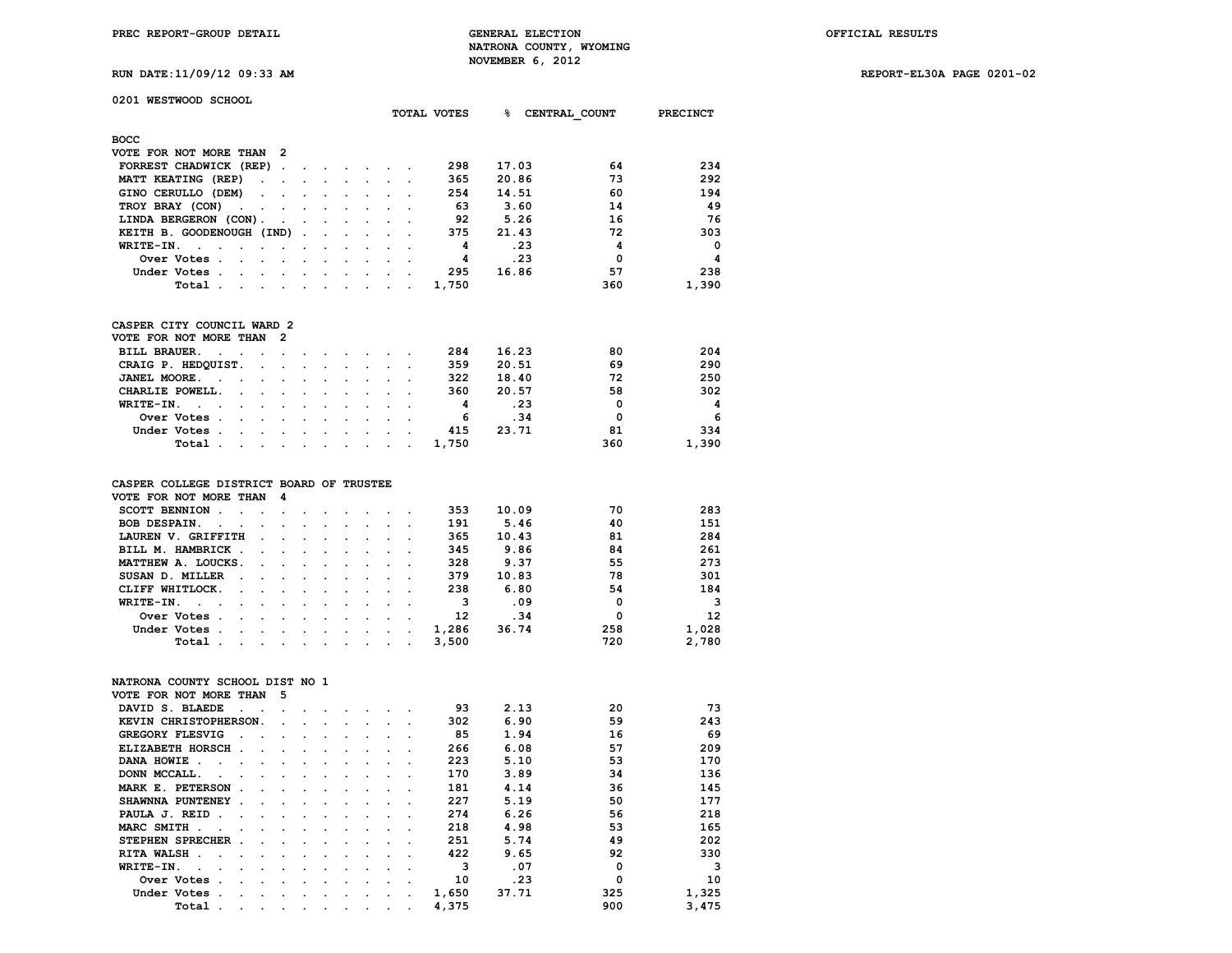**RUN DATE:11/09/12 09:33 AM REPORT-EL30A PAGE 0201-02**

| 0201 WESTWOOD SCHOOL |  |
|----------------------|--|
|                      |  |

|                                                                                                                                                                                                                                                                                                                                                                                                                                                    |                                                                                                                 |                                                                                                                                                                                                                                   |  |        | TOTAL VOTES | ℁     | CENTRAL COUNT | <b>PRECINCT</b> |
|----------------------------------------------------------------------------------------------------------------------------------------------------------------------------------------------------------------------------------------------------------------------------------------------------------------------------------------------------------------------------------------------------------------------------------------------------|-----------------------------------------------------------------------------------------------------------------|-----------------------------------------------------------------------------------------------------------------------------------------------------------------------------------------------------------------------------------|--|--------|-------------|-------|---------------|-----------------|
| восс                                                                                                                                                                                                                                                                                                                                                                                                                                               |                                                                                                                 |                                                                                                                                                                                                                                   |  |        |             |       |               |                 |
| VOTE FOR NOT MORE THAN 2                                                                                                                                                                                                                                                                                                                                                                                                                           |                                                                                                                 |                                                                                                                                                                                                                                   |  |        |             |       |               |                 |
| FORREST CHADWICK (REP)                                                                                                                                                                                                                                                                                                                                                                                                                             |                                                                                                                 |                                                                                                                                                                                                                                   |  |        | 298         | 17.03 | 64            | 234             |
| MATT KEATING (REP)                                                                                                                                                                                                                                                                                                                                                                                                                                 |                                                                                                                 |                                                                                                                                                                                                                                   |  |        | 365         | 20.86 | 73            | 292             |
| GINO CERULLO (DEM)<br>$\mathbf{r} = \mathbf{r} + \mathbf{r} + \mathbf{r} + \mathbf{r} + \mathbf{r} + \mathbf{r} + \mathbf{r} + \mathbf{r} + \mathbf{r} + \mathbf{r} + \mathbf{r} + \mathbf{r} + \mathbf{r} + \mathbf{r} + \mathbf{r} + \mathbf{r} + \mathbf{r} + \mathbf{r} + \mathbf{r} + \mathbf{r} + \mathbf{r} + \mathbf{r} + \mathbf{r} + \mathbf{r} + \mathbf{r} + \mathbf{r} + \mathbf{r} + \mathbf{r} + \mathbf{r} + \mathbf{r} + \mathbf$ |                                                                                                                 |                                                                                                                                                                                                                                   |  |        | 254         | 14.51 | 60            | 194             |
| TROY BRAY (CON)                                                                                                                                                                                                                                                                                                                                                                                                                                    |                                                                                                                 |                                                                                                                                                                                                                                   |  |        | 63          | 3.60  | 14            | 49              |
| LINDA BERGERON (CON).                                                                                                                                                                                                                                                                                                                                                                                                                              | and the state of the state of the state of the state of the state of the state of the state of the state of the |                                                                                                                                                                                                                                   |  |        | 92          | 5.26  | 16            | 76              |
| KEITH B. GOODENOUGH (IND).                                                                                                                                                                                                                                                                                                                                                                                                                         |                                                                                                                 | the contract of the contract of the contract of                                                                                                                                                                                   |  |        | 375         | 21.43 | 72            | 303             |
| $WRITE-IN.$                                                                                                                                                                                                                                                                                                                                                                                                                                        |                                                                                                                 |                                                                                                                                                                                                                                   |  |        | 4           | .23   | 4             | $\mathbf 0$     |
| Over Votes                                                                                                                                                                                                                                                                                                                                                                                                                                         |                                                                                                                 |                                                                                                                                                                                                                                   |  |        | 4           | .23   | $\mathbf 0$   | 4               |
| Under Votes                                                                                                                                                                                                                                                                                                                                                                                                                                        |                                                                                                                 |                                                                                                                                                                                                                                   |  |        | 295         | 16.86 | 57            | 238             |
| Total                                                                                                                                                                                                                                                                                                                                                                                                                                              |                                                                                                                 |                                                                                                                                                                                                                                   |  |        | 1,750       |       | 360           | 1,390           |
| CASPER CITY COUNCIL WARD 2                                                                                                                                                                                                                                                                                                                                                                                                                         |                                                                                                                 |                                                                                                                                                                                                                                   |  |        |             |       |               |                 |
| VOTE FOR NOT MORE THAN<br>- 2                                                                                                                                                                                                                                                                                                                                                                                                                      |                                                                                                                 |                                                                                                                                                                                                                                   |  |        |             |       |               |                 |
| <b>BILL BRAUER.</b><br>and the contract of the contract of                                                                                                                                                                                                                                                                                                                                                                                         | the contract of the contract of                                                                                 |                                                                                                                                                                                                                                   |  |        | 284         | 16.23 | 80            | 204             |
| CRAIG P. HEDQUIST.                                                                                                                                                                                                                                                                                                                                                                                                                                 | the contract of the contract of the                                                                             |                                                                                                                                                                                                                                   |  |        | 359         | 20.51 | 69            | 290             |
| JANEL MOORE.<br>$\sim$<br>the contract of the contract of the contract of the contract of the contract of the contract of the contract of                                                                                                                                                                                                                                                                                                          |                                                                                                                 |                                                                                                                                                                                                                                   |  |        | 322         | 18.40 | 72            | 250             |
| CHARLIE POWELL.                                                                                                                                                                                                                                                                                                                                                                                                                                    |                                                                                                                 |                                                                                                                                                                                                                                   |  |        | 360         | 20.57 | 58            | 302             |
| $WRTTE-TN.$ .                                                                                                                                                                                                                                                                                                                                                                                                                                      |                                                                                                                 | $\mathbf{r}$ . The second contribution of the second contribution of the second contribution of the second contribution of the second contribution of the second contribution of the second contribution of the second contributi |  |        | 4           | .23   | 0             | 4               |
| Over Votes                                                                                                                                                                                                                                                                                                                                                                                                                                         |                                                                                                                 | $\sim$ $\sim$ $\sim$ $\sim$ $\sim$                                                                                                                                                                                                |  |        | -6          | .34   | $\mathbf 0$   | 6               |
| Under Votes                                                                                                                                                                                                                                                                                                                                                                                                                                        |                                                                                                                 |                                                                                                                                                                                                                                   |  |        | 415         | 23.71 | 81            | 334             |
| Total.<br>$\sim$<br><b>Contract Contract Street</b>                                                                                                                                                                                                                                                                                                                                                                                                |                                                                                                                 | $\sim$ $\sim$                                                                                                                                                                                                                     |  | $\sim$ | 1,750       |       | 360           | 1,390           |
|                                                                                                                                                                                                                                                                                                                                                                                                                                                    |                                                                                                                 |                                                                                                                                                                                                                                   |  |        |             |       |               |                 |
|                                                                                                                                                                                                                                                                                                                                                                                                                                                    |                                                                                                                 |                                                                                                                                                                                                                                   |  |        |             |       |               |                 |

#### **CASPER COLLEGE DISTRICT BOARD OF TRUSTEE VOTE FOR NOT MORE THAN 4**

| SCOTT BENNION      |  |  |  | 353   | 10.09 | 70  | 283                     |
|--------------------|--|--|--|-------|-------|-----|-------------------------|
| BOB DESPAIN.       |  |  |  | 191   | 5.46  | 40  | 151                     |
| LAUREN V. GRIFFITH |  |  |  | 365   | 10.43 | 81  | 284                     |
| BILL M. HAMBRICK   |  |  |  | 345   | 9.86  | 84  | 261                     |
| MATTHEW A. LOUCKS. |  |  |  | 328   | 9.37  | 55  | 273                     |
| SUSAN D. MILLER    |  |  |  | 379   | 10.83 | 78  | 301                     |
| CLIFF WHITLOCK.    |  |  |  | 238   | 6.80  | 54  | 184                     |
| WRITE-IN.          |  |  |  |       | .09   |     | $\overline{\mathbf{3}}$ |
| Over Votes         |  |  |  | 12    | .34   |     | 12                      |
| Under Votes        |  |  |  | 1,286 | 36.74 | 258 | 1,028                   |
| Total              |  |  |  | 3,500 |       | 720 | 2,780                   |
|                    |  |  |  |       |       |     |                         |

#### **NATRONA COUNTY SCHOOL DIST NO 1**

| VOTE FOR NOT MORE THAN       | 5                        |         |                      |         |  |       |       |     |       |
|------------------------------|--------------------------|---------|----------------------|---------|--|-------|-------|-----|-------|
| DAVID S. BLAEDE              |                          |         |                      |         |  | 93    | 2.13  | 20  | 73    |
| KEVIN CHRISTOPHERSON.        | $\sim$                   |         |                      |         |  | 302   | 6.90  | 59  | 243   |
| GREGORY FLESVIG              |                          |         |                      |         |  | 85    | 1.94  | 16  | 69    |
| ELIZABETH HORSCH.<br>$\cdot$ |                          |         |                      |         |  | 266   | 6.08  | 57  | 209   |
| DANA HOWIE                   |                          |         |                      |         |  | 223   | 5.10  | 53  | 170   |
| DONN MCCALL.                 |                          |         |                      |         |  | 170   | 3.89  | 34  | 136   |
| MARK E. PETERSON<br>$\sim$   |                          | $\sim$  |                      |         |  | 181   | 4.14  | 36  | 145   |
| SHAWNNA PUNTENEY<br>$\sim$   |                          |         |                      |         |  | 227   | 5.19  | 50  | 177   |
| PAULA J. REID<br>$\sim$      | $\sim$                   |         |                      |         |  | 274   | 6.26  | 56  | 218   |
| <b>MARC SMITH</b>            |                          |         |                      |         |  | 218   | 4.98  | 53  | 165   |
| STEPHEN SPRECHER<br>$\sim$   |                          | $\cdot$ |                      |         |  | 251   | 5.74  | 49  | 202   |
| RITA WALSH.                  |                          |         |                      |         |  | 422   | 9.65  | 92  | 330   |
| WRITE-IN.                    |                          |         |                      |         |  | 3     | .07   | O   | 3     |
| Over Votes                   |                          |         |                      |         |  | 10    | .23   | 0   | 10    |
| Under Votes                  | $\overline{\phantom{a}}$ |         | $\ddot{\phantom{0}}$ | $\cdot$ |  | 1,650 | 37.71 | 325 | 1,325 |
| Total                        |                          |         | ٠                    |         |  | 4,375 |       | 900 | 3,475 |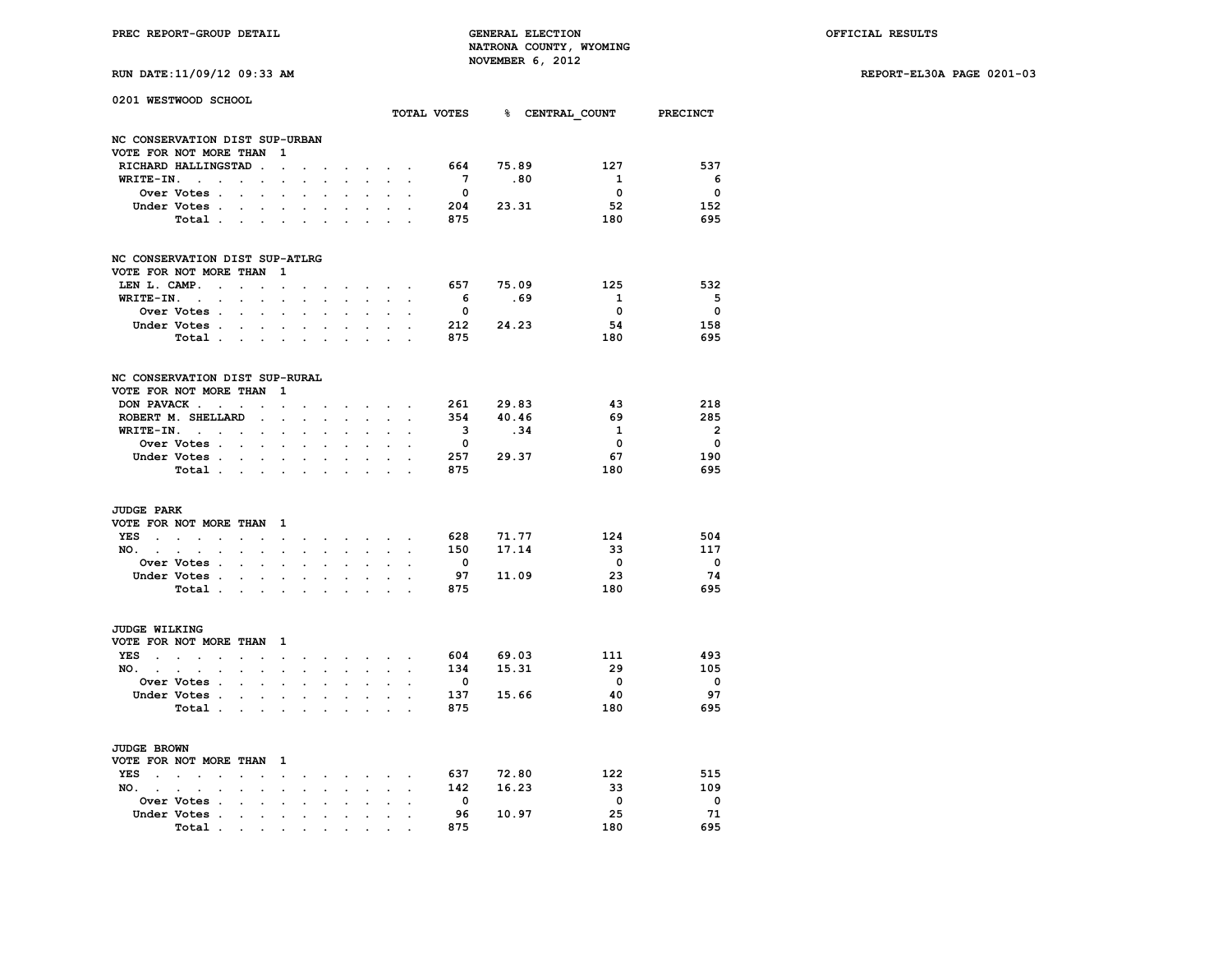| RUN DATE:11/09/12 09:33 AM |  |  |  |
|----------------------------|--|--|--|
|----------------------------|--|--|--|

| 0201 WESTWOOD SCHOOL                        |                                                     |                         |                      |                      |                      |                      |                      |                      |                                                             |                      |                         |           | TOTAL VOTES 8 CENTRAL COUNT PRECINCT |                          |
|---------------------------------------------|-----------------------------------------------------|-------------------------|----------------------|----------------------|----------------------|----------------------|----------------------|----------------------|-------------------------------------------------------------|----------------------|-------------------------|-----------|--------------------------------------|--------------------------|
| NC CONSERVATION DIST SUP-URBAN              |                                                     |                         |                      |                      |                      |                      |                      |                      |                                                             |                      |                         |           |                                      |                          |
| VOTE FOR NOT MORE THAN                      |                                                     |                         |                      | 1                    |                      |                      |                      |                      |                                                             |                      |                         |           |                                      |                          |
|                                             | RICHARD HALLINGSTAD                                 |                         | $\ddot{\phantom{a}}$ | $\cdot$              |                      |                      |                      |                      | $\mathbf{r}$ and $\mathbf{r}$                               |                      | 664                     | 75.89     | 127                                  | 537                      |
| WRITE-IN.                                   | <b>Contract Contract</b><br>$\bullet$               | $\ddot{\phantom{0}}$    | $\ddot{\phantom{0}}$ | $\ddot{\phantom{0}}$ | $\cdot$              |                      |                      | $\ddot{\phantom{0}}$ | $\mathbf{r}$                                                |                      | $7^{\circ}$             | .80       | $\mathbf{1}$                         | - 6                      |
|                                             | Over Votes .                                        | $\ddot{\phantom{a}}$    | $\ddot{\phantom{a}}$ | $\overline{a}$       | $\overline{a}$       | $\overline{a}$       |                      |                      |                                                             |                      | $\overline{\mathbf{0}}$ |           | $\overline{\mathbf{0}}$              | $\overline{\mathbf{0}}$  |
|                                             | Under Votes .                                       |                         |                      | $\sim$               | $\mathbf{r}$         |                      |                      |                      |                                                             |                      | 204                     | 23.31     | 52                                   | 152                      |
|                                             | Total                                               |                         | $\ddot{\phantom{0}}$ | $\cdot$              | $\cdot$              |                      |                      |                      |                                                             | $\overline{a}$       | 875                     |           | 180                                  | 695                      |
| NC CONSERVATION DIST SUP-ATLRG              |                                                     |                         |                      |                      |                      |                      |                      |                      |                                                             |                      |                         |           |                                      |                          |
| VOTE FOR NOT MORE THAN                      |                                                     |                         |                      | 1                    |                      |                      |                      |                      |                                                             |                      |                         |           |                                      |                          |
| LEN L. CAMP.                                | $\sim$                                              | $\ddot{\phantom{a}}$    | $\ddot{\phantom{a}}$ | $\ddot{\phantom{a}}$ |                      |                      |                      |                      | $\mathbf{r} = \mathbf{r}$                                   | $\cdot$              | 657                     | 75.09     | 125                                  | 532                      |
|                                             | WRITE-IN.                                           | $\ddot{\phantom{0}}$    | $\bullet$            | $\bullet$            | $\cdot$              | $\ddot{\phantom{0}}$ | $\ddot{\phantom{0}}$ | $\ddot{\phantom{0}}$ | $\ddot{\phantom{a}}$                                        | $\cdot$              | 6                       | .69       | $\mathbf{1}$                         | 5                        |
|                                             | Over Votes .                                        | $\ddot{\phantom{0}}$    | $\ddot{\phantom{0}}$ |                      | $\bullet$            |                      | $\ddot{\phantom{a}}$ |                      |                                                             |                      | $\overline{\mathbf{0}}$ |           | $\overline{\mathbf{0}}$              | $\overline{\mathbf{0}}$  |
|                                             | Under Votes.                                        |                         |                      | $\mathbf{r}$         | $\mathbf{r}$         |                      |                      |                      |                                                             |                      |                         | 212 24.23 | 54                                   | 158                      |
|                                             | Total                                               |                         |                      | $\ddot{\phantom{0}}$ | $\bullet$            | $\cdot$              |                      | $\sim$               |                                                             | $\overline{a}$       | 875                     |           | 180                                  | 695                      |
| NC CONSERVATION DIST SUP-RURAL              |                                                     |                         |                      |                      |                      |                      |                      |                      |                                                             |                      |                         |           |                                      |                          |
| VOTE FOR NOT MORE THAN                      |                                                     |                         |                      | 1                    |                      |                      |                      |                      |                                                             |                      |                         |           |                                      |                          |
|                                             | DON PAVACK                                          | $\sim$                  |                      | $\ddot{\phantom{a}}$ |                      |                      |                      | $\sim$               | $\ddot{\phantom{a}}$                                        | $\overline{a}$       |                         | 261 29.83 | 43                                   | 218                      |
|                                             | ROBERT M. SHELLARD                                  |                         | $\Box$               | $\ddot{\phantom{a}}$ | $\ddot{\phantom{0}}$ | $\ddot{\phantom{a}}$ | $\ddot{\phantom{a}}$ | $\ddot{\phantom{0}}$ | $\sim$                                                      |                      | 354                     | 40.46     | 69                                   | 285                      |
| WRITE-IN.                                   | <b>Contract Contract</b>                            |                         | $\ddot{\phantom{0}}$ | $\ddot{\phantom{0}}$ | $\bullet$            |                      |                      |                      |                                                             |                      | $\overline{\mathbf{3}}$ | .34       | 1                                    | $\overline{\mathbf{2}}$  |
|                                             | Over Votes .                                        | $\sim$                  |                      |                      |                      |                      |                      |                      |                                                             |                      | $\overline{\mathbf{0}}$ |           | $\overline{\mathbf{0}}$              | $\overline{\mathbf{0}}$  |
|                                             | Under Votes                                         |                         |                      | $\bullet$ .          | $\bullet$            | $\bullet$            | $\bullet$            | $\bullet$            | $\ddot{\phantom{a}}$                                        |                      | 257                     | 29.37     | 67                                   | 190                      |
|                                             | Total .                                             | $\sim 100$ km s $^{-1}$ | $\sim$               |                      | $\cdot$              |                      |                      |                      |                                                             |                      | 875                     |           | 180                                  | 695                      |
| <b>JUDGE PARK</b><br>VOTE FOR NOT MORE THAN |                                                     |                         |                      | $\mathbf{1}$         |                      |                      |                      |                      |                                                             |                      |                         |           |                                      |                          |
| YES                                         |                                                     |                         |                      |                      |                      |                      |                      |                      |                                                             |                      | 628                     | 71.77     | 124                                  | 504                      |
| $\sim$                                      | <b>Sales Advised</b><br>$\sim$                      | $\sim$                  | $\ddot{\phantom{a}}$ | $\bullet$            | $\sim$               |                      |                      |                      | and the state of the state of the                           | $\sim$               |                         |           | 33                                   | 117                      |
| NO.                                         | $\mathcal{L}^{\text{max}}$<br>$\ddot{\phantom{0}}$  |                         | $\bullet$            | $\ddot{\phantom{0}}$ | $\ddot{\phantom{a}}$ | $\sim$               | $\ddot{\phantom{0}}$ | $\ddot{\phantom{0}}$ | $\sim$                                                      | $\ddot{\phantom{a}}$ | 150                     | 17.14     |                                      |                          |
|                                             | Over Votes .                                        | $\overline{a}$          |                      |                      |                      |                      |                      |                      |                                                             |                      | $\overline{\mathbf{0}}$ |           | $\overline{\phantom{0}}$             | $\overline{\mathbf{0}}$  |
|                                             | Under Votes .                                       | $\sim$                  | $\sim$               | $\ddot{\phantom{0}}$ | $\ddot{\phantom{0}}$ | $\ddot{\phantom{0}}$ |                      | $\ddot{\phantom{0}}$ | $\ddot{\phantom{0}}$                                        |                      | 97                      | 11.09     | -23                                  | 74                       |
|                                             | Total .                                             | $\sim 100$ km s $^{-1}$ | $\sim$               |                      | $\bullet$            |                      |                      |                      | $\ddot{\phantom{a}}$                                        |                      | 875                     |           | 180                                  | 695                      |
| <b>JUDGE WILKING</b>                        |                                                     |                         |                      |                      |                      |                      |                      |                      |                                                             |                      |                         |           |                                      |                          |
| VOTE FOR NOT MORE THAN                      |                                                     |                         |                      | $\mathbf{1}$         |                      |                      |                      |                      |                                                             |                      |                         |           |                                      |                          |
| <b>YES</b><br>$\sim$ $\sim$                 | $\mathbf{z} = \mathbf{z}$ .<br>$\ddot{\phantom{a}}$ | $\ddot{\phantom{0}}$    | $\ddot{\phantom{0}}$ | $\bullet$ .          | $\bullet$ .          |                      | <b>All States</b>    |                      | $\mathbf{r} = \mathbf{r} + \mathbf{r}$ , where $\mathbf{r}$ |                      | 604                     | 69.03     | 111                                  | 493                      |
| $NO.$                                       | $\ddot{\phantom{a}}$<br>$\ddot{\phantom{0}}$        | $\ddot{\phantom{0}}$    | $\ddot{\phantom{0}}$ | $\ddot{\phantom{a}}$ | $\ddot{\phantom{a}}$ | $\ddot{\phantom{0}}$ | $\ddot{\phantom{0}}$ | $\ddot{\phantom{0}}$ | $\ddot{\phantom{0}}$                                        | $\ddot{\phantom{a}}$ | 134                     | 15.31     | 29                                   | 105                      |
|                                             | Over Votes .                                        | $\mathbf{r}$            |                      |                      |                      |                      |                      |                      |                                                             |                      | $\overline{\mathbf{0}}$ |           | $\overline{\phantom{0}}$             | $\overline{\phantom{0}}$ |
|                                             | Under Votes .                                       | $\sim$                  | $\sim$               | $\ddot{\phantom{0}}$ | $\ddot{\phantom{0}}$ | $\ddot{\phantom{0}}$ |                      | $\ddot{\phantom{0}}$ | $\ddot{\phantom{a}}$                                        |                      | 137                     | 15.66     | 40                                   | 97                       |
|                                             | Total .                                             | $\ddot{\phantom{0}}$    | $\sim$               | $\cdot$              | $\ddot{\phantom{0}}$ |                      |                      | $\cdot$              | $\ddot{\phantom{a}}$                                        |                      | 875                     |           | 180                                  | 695                      |
| <b>JUDGE BROWN</b>                          |                                                     |                         |                      |                      |                      |                      |                      |                      |                                                             |                      |                         |           |                                      |                          |
| VOTE FOR NOT MORE THAN                      |                                                     |                         |                      | $\mathbf{1}$         |                      |                      |                      |                      |                                                             |                      |                         |           |                                      |                          |
| YES<br>$\sim$                               | $\sim$ $\sim$<br>$\cdot$                            | $\cdot$                 |                      | $\ddot{\phantom{0}}$ | $\cdot$              | $\cdot$              | $\sim$               | $\sim$               | $\sim$                                                      | $\cdot$              | 637                     | 72.80     | 122                                  | 515                      |
| NO. .                                       | $\sim$                                              |                         |                      |                      | $\ddot{\phantom{a}}$ |                      | $\ddot{\phantom{a}}$ |                      |                                                             | $\ddot{\phantom{0}}$ | 142                     | 16.23     | 33                                   | 109                      |
|                                             | $\cdot$<br>$\ddot{\phantom{0}}$<br>Over Votes .     |                         |                      | $\bullet$            |                      |                      |                      | $\ddot{\phantom{0}}$ | $\ddot{\phantom{0}}$                                        |                      | $\overline{\mathbf{0}}$ |           | $\overline{\mathbf{0}}$              | $\overline{\phantom{0}}$ |
|                                             | Under Votes .                                       |                         |                      |                      |                      |                      |                      |                      |                                                             |                      | 96                      | 10.97     | 25                                   | 71                       |
|                                             | Total.                                              | $\ddot{\phantom{0}}$    | $\ddot{\phantom{0}}$ | $\bullet$            | $\ddot{\phantom{0}}$ | $\ddot{\phantom{0}}$ |                      | $\cdot$              | $\ddot{\phantom{0}}$                                        |                      | 875                     |           | 180                                  | 695                      |
|                                             |                                                     |                         |                      |                      |                      |                      |                      |                      |                                                             |                      |                         |           |                                      |                          |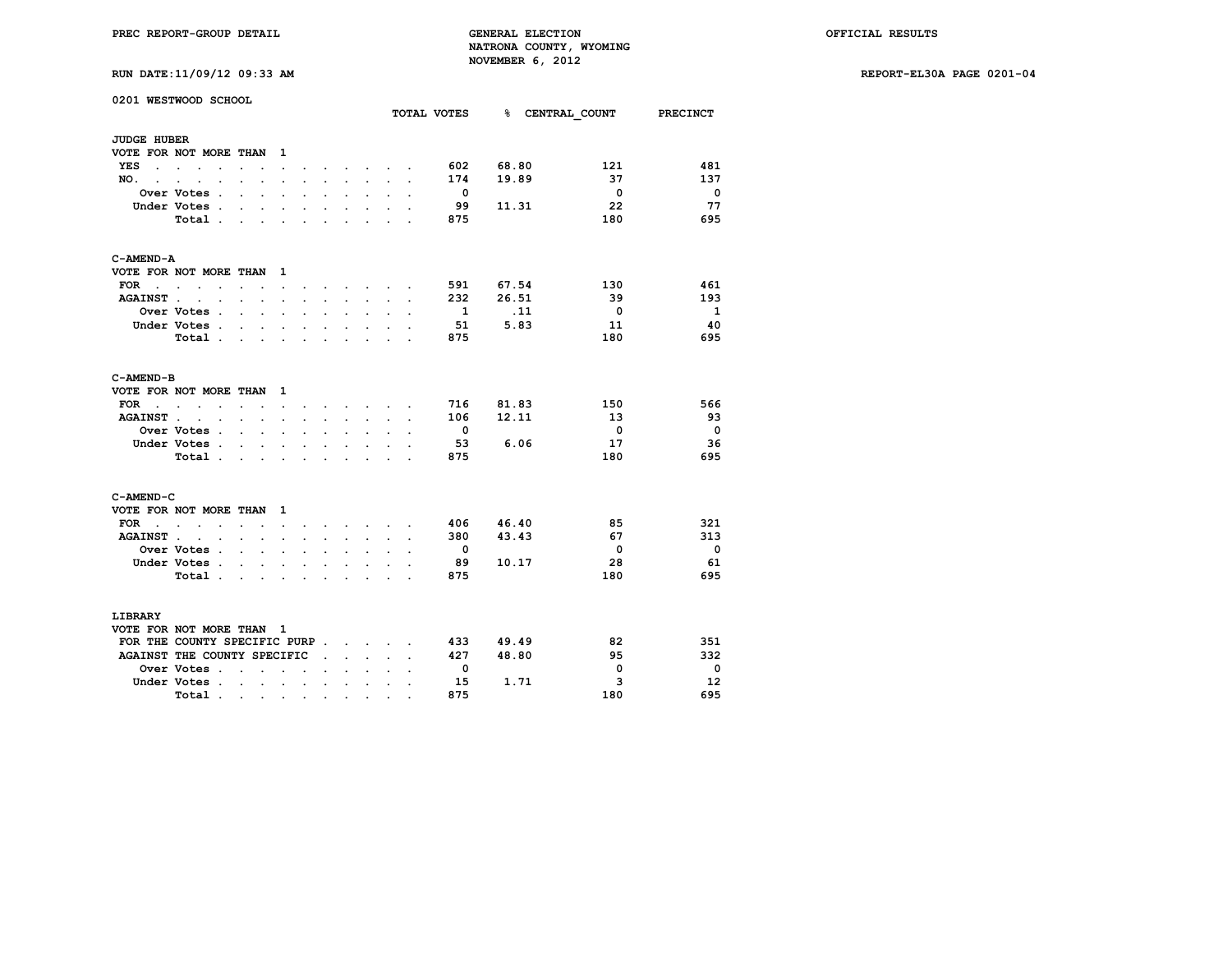|  | RUN DATE:11/09/12 09:33 AM |  |  |  |  |
|--|----------------------------|--|--|--|--|
|--|----------------------------|--|--|--|--|

|                    | 0201 WESTWOOD SCHOOL                               |                      |                          |                          |                          |                      |                      |                                   |                      |                      | TOTAL VOTES              |                 | % CENTRAL COUNT         | <b>PRECINCT</b>         |
|--------------------|----------------------------------------------------|----------------------|--------------------------|--------------------------|--------------------------|----------------------|----------------------|-----------------------------------|----------------------|----------------------|--------------------------|-----------------|-------------------------|-------------------------|
|                    |                                                    |                      |                          |                          |                          |                      |                      |                                   |                      |                      |                          |                 |                         |                         |
| <b>JUDGE HUBER</b> |                                                    |                      |                          |                          |                          |                      |                      |                                   |                      |                      |                          |                 |                         |                         |
|                    | VOTE FOR NOT MORE THAN                             |                      |                          | 1                        |                          |                      |                      |                                   |                      |                      |                          |                 |                         |                         |
| YES                | <b>Service</b> State<br>$\ddot{\phantom{a}}$       |                      |                          | $\ddot{\phantom{a}}$     |                          |                      |                      | $\ddot{\phantom{0}}$              | $\ddot{\phantom{0}}$ |                      | 602                      | 68.80           | 121                     | 481                     |
| NO.                |                                                    |                      | $\overline{\phantom{a}}$ | $\cdot$                  |                          |                      |                      | $\ddot{\phantom{a}}$              |                      |                      | 174                      | 19.89           | 37                      | 137                     |
|                    | Over Votes .                                       |                      |                          |                          |                          |                      |                      | $\ddot{\phantom{a}}$              |                      |                      | $\overline{\phantom{0}}$ |                 | $\overline{\mathbf{0}}$ | $\overline{\mathbf{0}}$ |
|                    | Under Votes.                                       | $\ddot{\phantom{a}}$ | $\ddot{\phantom{0}}$     | $\ddot{\phantom{0}}$     | $\ddot{\phantom{0}}$     | $\ddot{\phantom{0}}$ | $\ddot{\phantom{0}}$ | $\ddot{\phantom{0}}$              |                      |                      | 99                       | 11.31           | 22                      | 77                      |
|                    | Total.                                             |                      |                          |                          |                          |                      |                      |                                   |                      |                      | 875                      |                 | 180                     | 695                     |
| C-AMEND-A          |                                                    |                      |                          |                          |                          |                      |                      |                                   |                      |                      |                          |                 |                         |                         |
|                    | VOTE FOR NOT MORE THAN                             |                      |                          | 1                        |                          |                      |                      |                                   |                      |                      |                          |                 |                         |                         |
| $FOR \t . \t .$    | $\sim$                                             | $\ddot{\phantom{0}}$ | $\sim$                   | $\ddot{\phantom{0}}$     | $\sim$                   | $\sim$               |                      | $\sim$ $\sim$ $\sim$              |                      | $\overline{a}$       | 591                      | 67.54           | 130                     | 461                     |
| <b>AGAINST.</b>    | $\ddot{\phantom{0}}$<br>$\cdot$                    | $\ddot{\phantom{a}}$ | $\cdot$                  | $\cdot$                  |                          | $\mathbf{r}$         | $\cdot$              | $\sim$                            | $\ddot{\phantom{a}}$ | $\ddot{\phantom{a}}$ | 232                      | 26.51           | - 39                    | 193                     |
|                    | <b>Over Votes .</b>                                |                      | $\sim$                   | $\ddot{\phantom{a}}$     | $\overline{a}$           | $\ddot{\phantom{0}}$ | $\overline{a}$       | $\ddot{\phantom{a}}$              |                      | $\ddot{\phantom{0}}$ | $\mathbf{1}$             | $\overline{11}$ | $\overline{\mathbf{0}}$ | <sup>1</sup>            |
|                    | Under Votes.                                       | $\mathbf{r}$         | $\mathbf{r}$             | $\ddot{\phantom{0}}$     | $\overline{a}$           | $\mathbf{r}$         | $\ddot{\phantom{a}}$ | $\sim$                            |                      |                      | 51                       | 5.83            | 11                      | 40                      |
|                    | Total                                              |                      |                          |                          |                          |                      |                      |                                   |                      | $\overline{a}$       | 875                      |                 | 180                     | 695                     |
| C-AMEND-B          |                                                    |                      |                          |                          |                          |                      |                      |                                   |                      |                      |                          |                 |                         |                         |
|                    | VOTE FOR NOT MORE THAN                             |                      |                          | 1                        |                          |                      |                      |                                   |                      |                      |                          |                 |                         |                         |
| FOR                | $\cdot$ $\cdot$<br>$\bullet$                       | $\ddot{\phantom{0}}$ | $\ddot{\phantom{a}}$     | $\ddot{\phantom{0}}$     | $\ddot{\phantom{a}}$     |                      | $\sim$ $\sim$        | <b>Contract Contract Contract</b> |                      | $\ddot{\phantom{a}}$ |                          | 716 81.83       | 150                     | 566                     |
| <b>AGAINST.</b>    | $\sim$ $\sim$<br>$\sim$                            | $\sim$ $\sim$ $\sim$ |                          | $\cdot$                  | $\ddot{\phantom{a}}$     | $\ddot{\phantom{0}}$ | $\cdot$              | $\ddot{\phantom{0}}$              | $\ddot{\phantom{a}}$ |                      | 106                      | 12.11           | - 13                    | 93                      |
|                    | <b>Over Votes .</b>                                | $\ddot{\phantom{0}}$ | $\mathbf{r}$             | $\ddot{\phantom{0}}$     | $\cdot$                  |                      |                      | $\ddot{\phantom{0}}$              |                      |                      | $\overline{\phantom{0}}$ |                 | $\overline{\mathbf{0}}$ | $\overline{\mathbf{0}}$ |
|                    | Under Votes.                                       | $\ddot{\phantom{0}}$ | $\ddot{\phantom{0}}$     | $\ddot{\phantom{a}}$     | $\overline{a}$           | $\overline{a}$       | $\cdot$              | $\ddot{\phantom{0}}$              | $\overline{a}$       |                      | - 53                     | 6.06            | 17                      | 36                      |
|                    | Total.                                             | $\overline{a}$       | $\overline{a}$           |                          |                          |                      |                      |                                   |                      |                      | 875                      |                 | 180                     | 695                     |
| C-AMEND-C          |                                                    |                      |                          |                          |                          |                      |                      |                                   |                      |                      |                          |                 |                         |                         |
|                    | VOTE FOR NOT MORE THAN                             |                      |                          | 1                        |                          |                      |                      |                                   |                      |                      |                          |                 |                         |                         |
| <b>FOR</b>         | $\sim$ $\sim$<br>$\bullet$                         |                      |                          |                          |                          |                      |                      | <b>Contract Contract Contract</b> |                      |                      | 406                      | 46.40           | 85                      | 321                     |
| <b>AGAINST.</b>    | $\cdot$<br>$\ddot{\phantom{a}}$                    |                      | $\ddot{\phantom{a}}$     | $\cdot$                  |                          |                      |                      | $\mathbf{r}$                      |                      |                      | 380                      | 43.43           | 67                      | 313                     |
|                    | Over Votes .                                       | $\sim$               | $\ddot{\phantom{0}}$     | $\ddot{\phantom{a}}$     | $\cdot$                  |                      |                      | $\ddot{\phantom{a}}$              |                      |                      | $\overline{\phantom{0}}$ |                 | $\mathbf{0}$            | $\overline{\mathbf{0}}$ |
|                    | Under Votes .                                      | $\ddot{\phantom{a}}$ | $\cdot$                  | $\ddot{\phantom{0}}$     |                          |                      |                      |                                   |                      |                      | 89                       | 10.17           | 28                      | 61                      |
|                    | Total.                                             | $\overline{a}$       | $\ddot{\phantom{a}}$     | $\ddot{\phantom{a}}$     | $\ddot{\phantom{0}}$     |                      | $\overline{a}$       | $\overline{a}$                    | $\ddot{\phantom{a}}$ |                      | 875                      |                 | 180                     | 695                     |
| LIBRARY            |                                                    |                      |                          |                          |                          |                      |                      |                                   |                      |                      |                          |                 |                         |                         |
|                    | VOTE FOR NOT MORE THAN 1                           |                      |                          |                          |                          |                      |                      |                                   |                      |                      |                          |                 |                         |                         |
|                    | FOR THE COUNTY SPECIFIC PURP                       |                      |                          |                          |                          |                      |                      |                                   |                      |                      |                          | 433 49.49       | 82                      | 351                     |
|                    |                                                    |                      |                          |                          |                          |                      |                      |                                   |                      |                      | 427                      | 48.80           | 95                      | 332                     |
|                    | AGAINST THE COUNTY SPECIFIC<br><b>Over Votes .</b> |                      |                          |                          |                          |                      | $\mathbf{r}$         | $\sim$                            |                      |                      | $\mathbf{0}$             |                 | 0                       | $\overline{\mathbf{0}}$ |
|                    |                                                    | $\overline{a}$       | ÷                        | $\overline{\phantom{a}}$ | $\overline{\phantom{a}}$ |                      |                      |                                   |                      |                      |                          |                 | 3                       | 12                      |
|                    | Under Votes.                                       | $\cdot$              | $\ddot{\phantom{a}}$     | $\ddot{\phantom{a}}$     | $\cdot$                  |                      | $\cdot$              | $\cdot$                           | $\cdot$              |                      | 15<br>875                | 1.71            | 180                     | 695                     |
|                    | Total.                                             | $\sim 100$           | $\bullet$ .              | $\bullet$                | $\bullet$                | $\bullet$            | $\bullet$            | $\bullet$                         |                      |                      |                          |                 |                         |                         |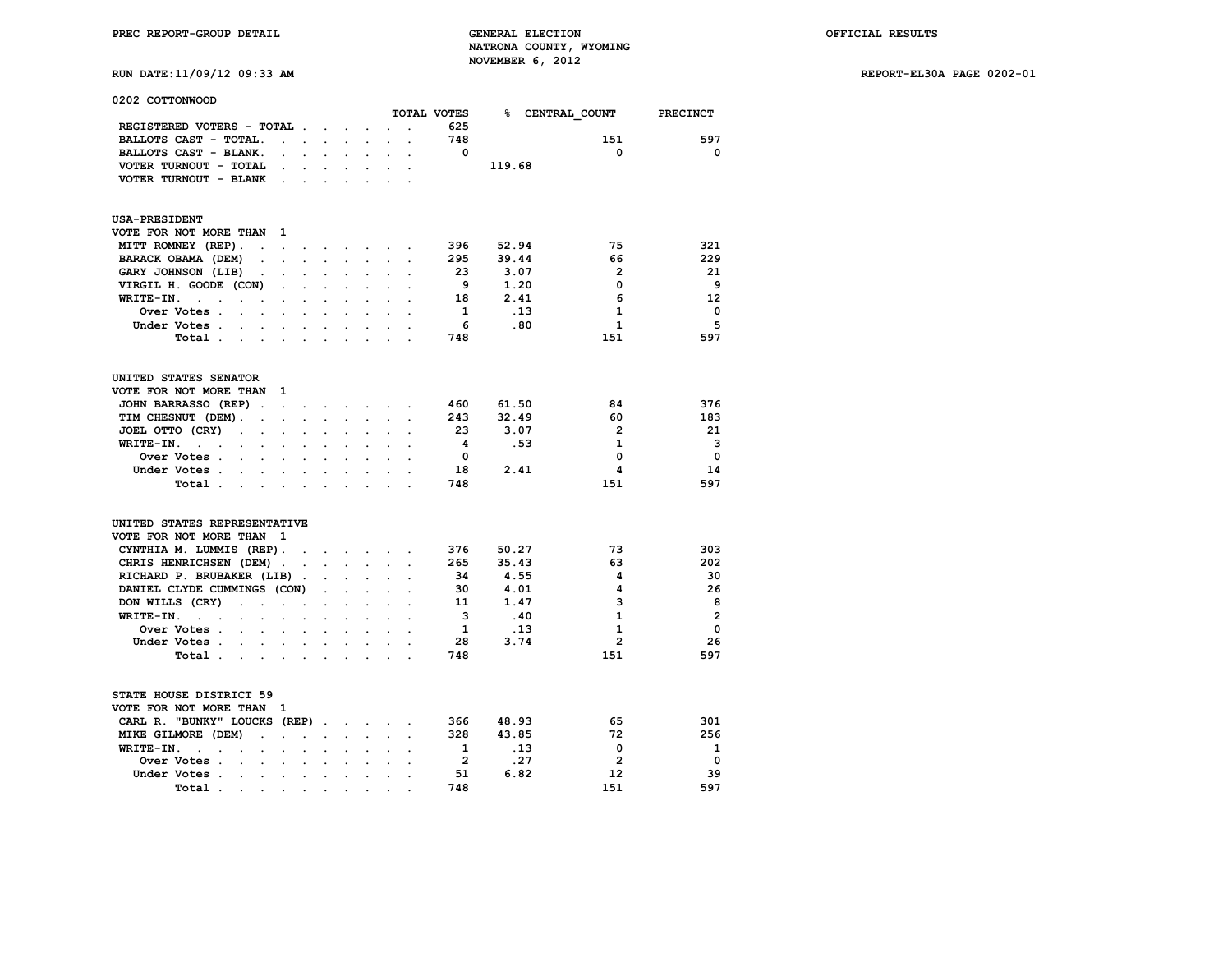| 0202 COTTONWOOD                                                         |                                              |                      |                                        |                                              |                                   |                      |                      |                |        |                        |                 |
|-------------------------------------------------------------------------|----------------------------------------------|----------------------|----------------------------------------|----------------------------------------------|-----------------------------------|----------------------|----------------------|----------------|--------|------------------------|-----------------|
|                                                                         |                                              |                      |                                        |                                              |                                   |                      |                      | TOTAL VOTES    |        | <b>% CENTRAL COUNT</b> | <b>PRECINCT</b> |
| REGISTERED VOTERS - TOTAL .                                             |                                              |                      | $\sim$                                 | $\ddot{\phantom{a}}$                         |                                   |                      |                      | 625            |        |                        |                 |
| BALLOTS CAST - TOTAL.                                                   | $\mathbf{L} = \mathbf{L}$                    |                      | $\sim$ 100 $\pm$                       | $\ddot{\phantom{0}}$                         | $\ddot{\phantom{a}}$              | $\sim$               | $\cdot$              | 748            |        | 151                    | 597             |
| BALLOTS CAST - BLANK.                                                   | $\mathbf{r}$                                 |                      |                                        |                                              |                                   |                      |                      | $\Omega$       |        | $\mathbf 0$            | $\mathbf 0$     |
| VOTER TURNOUT - TOTAL                                                   | $\ddot{\phantom{a}}$                         | $\ddot{\phantom{0}}$ | $\bullet$                              | $\ddot{\phantom{0}}$                         | $\ddot{\phantom{0}}$              | $\bullet$            |                      |                | 119.68 |                        |                 |
| VOTER TURNOUT - BLANK                                                   |                                              |                      |                                        |                                              | s.                                |                      |                      |                |        |                        |                 |
| <b>USA-PRESIDENT</b>                                                    |                                              |                      |                                        |                                              |                                   |                      |                      |                |        |                        |                 |
| VOTE FOR NOT MORE THAN                                                  | $\mathbf{1}$                                 |                      |                                        |                                              |                                   |                      |                      |                |        |                        |                 |
| MITT ROMNEY (REP).<br>$\cdot$                                           | $\ddot{\phantom{a}}$                         | $\ddot{\phantom{a}}$ | $\ddot{\phantom{0}}$                   | <b>Contract Contract</b>                     | $\sim$                            | $\sim$               |                      | 396            | 52.94  | 75                     | 321             |
| BARACK OBAMA (DEM)<br>$\ddot{\phantom{a}}$                              | $\overline{a}$                               | $\ddot{\phantom{0}}$ | $\ddot{\phantom{0}}$                   | $\ddot{\phantom{0}}$                         | $\ddot{\phantom{a}}$              | $\ddot{\phantom{0}}$ | $\ddot{\phantom{a}}$ | 295            | 39.44  | 66                     | 229             |
| GARY JOHNSON (LIB)                                                      |                                              |                      |                                        |                                              |                                   |                      |                      | 23             | 3.07   | $\overline{2}$         | 21              |
| VIRGIL H. GOODE (CON)                                                   | $\ddot{\phantom{0}}$                         | $\ddot{\phantom{a}}$ | $\ddot{\phantom{0}}$                   | $\ddot{\phantom{0}}$                         | $\bullet$                         | $\cdot$              | $\ddot{\phantom{a}}$ | - 9            | 1.20   | 0                      | 9               |
| WRITE-IN.<br>$\mathbf{r}$                                               |                                              |                      |                                        |                                              |                                   |                      |                      | 18             | 2.41   | 6                      | 12              |
| $\ddot{\phantom{a}}$<br>$\cdot$                                         |                                              |                      |                                        |                                              |                                   |                      |                      | 1              |        | 1                      |                 |
| Over Votes .<br>$\sim$                                                  |                                              |                      |                                        |                                              |                                   |                      |                      |                | .13    |                        | 0               |
| Under Votes .<br>$\sim$<br>$\sim$                                       | $\mathbf{r}$                                 | $\overline{a}$       |                                        | $\ddot{\phantom{0}}$                         | $\overline{a}$                    |                      |                      | 6              | .80    | $\mathbf{1}$           | 5               |
| Total .<br>$\sim$                                                       |                                              |                      | $\cdot$                                |                                              | $\cdot$                           |                      |                      | 748            |        | 151                    | 597             |
| UNITED STATES SENATOR                                                   |                                              |                      |                                        |                                              |                                   |                      |                      |                |        |                        |                 |
| VOTE FOR NOT MORE THAN                                                  | - 1                                          |                      |                                        |                                              |                                   |                      |                      |                |        |                        |                 |
| JOHN BARRASSO (REP).                                                    | $\cdot$                                      | $\sim$               | <b>Contract Contract Street</b>        |                                              |                                   |                      |                      | 460            | 61.50  | 84                     | 376             |
| TIM CHESNUT (DEM).<br>$\sim$                                            | $\ddot{\phantom{a}}$                         |                      |                                        |                                              |                                   |                      |                      | 243            | 32.49  | 60                     | 183             |
| JOEL OTTO (CRY)<br>$\ddot{\phantom{a}}$<br>$\ddot{\phantom{a}}$         |                                              |                      |                                        |                                              | $\cdot$                           |                      |                      | 23             | 3.07   | $\overline{2}$         | 21              |
| WRITE-IN.<br>$\sim$ $\sim$<br>$\Box$<br>$\bullet$                       | $\ddot{\phantom{a}}$                         | $\ddot{\phantom{a}}$ | $\ddot{\phantom{a}}$                   | $\ddot{\phantom{0}}$                         | $\ddot{\phantom{a}}$              | $\cdot$              |                      | 4              | .53    | $\mathbf{1}$           | 3               |
| Over Votes.<br>$\sim$                                                   |                                              |                      |                                        |                                              |                                   |                      |                      | $\Omega$       |        | $\mathbf 0$            | $\Omega$        |
|                                                                         |                                              |                      |                                        |                                              |                                   |                      |                      | 18             |        | 4                      | 14              |
| Under Votes.<br>$\sim$<br>$\sim$<br>Total.<br>$\mathbf{r} = \mathbf{r}$ | $\ddot{\phantom{a}}$<br>$\ddot{\phantom{a}}$ | $\ddot{\phantom{a}}$ | $\ddot{\phantom{a}}$<br>$\overline{a}$ | $\ddot{\phantom{0}}$                         | $\ddot{\phantom{0}}$<br>s.        | $\ddot{\phantom{a}}$ |                      | 748            | 2.41   | 151                    | 597             |
|                                                                         |                                              |                      |                                        |                                              |                                   |                      |                      |                |        |                        |                 |
| UNITED STATES REPRESENTATIVE                                            |                                              |                      |                                        |                                              |                                   |                      |                      |                |        |                        |                 |
| VOTE FOR NOT MORE THAN                                                  | 1                                            |                      |                                        |                                              |                                   |                      |                      |                |        |                        |                 |
| CYNTHIA M. LUMMIS (REP).                                                |                                              | $\sim$               |                                        | $\mathbf{r} = \mathbf{r} \cdot \mathbf{r}$ . | $\sim$                            | $\sim$               |                      | 376            | 50.27  | 73                     | 303             |
| CHRIS HENRICHSEN (DEM)                                                  | $\ddot{\phantom{a}}$                         | $\ddot{\phantom{a}}$ | $\sim$                                 | $\sim$                                       | $\ddot{\phantom{0}}$              | $\ddot{\phantom{0}}$ | $\ddot{\phantom{a}}$ | 265            | 35.43  | 63                     | 202             |
| RICHARD P. BRUBAKER (LIB)                                               |                                              |                      |                                        |                                              |                                   |                      |                      | 34             | 4.55   | 4                      | 30              |
| DANIEL CLYDE CUMMINGS (CON)                                             |                                              |                      | $\ddot{\phantom{0}}$                   | $\ddot{\phantom{a}}$                         | $\ddot{\phantom{a}}$              |                      |                      | 30             | 4.01   | 4                      | 26              |
| DON WILLS (CRY)<br>$\mathbf{L}^{\text{max}}$<br>$\ddot{\phantom{a}}$    | ÷                                            |                      |                                        |                                              |                                   |                      |                      | 11             | 1.47   | 3                      | 8               |
| WRITE-IN.<br>$\mathbf{L} = \mathbf{L} \mathbf{L}$<br>$\sim$             |                                              |                      | $\ddot{\phantom{a}}$                   |                                              |                                   |                      |                      | 3              | .40    | $\mathbf{1}$           | $\overline{2}$  |
| Over Votes .<br>$\sim$<br>$\overline{a}$                                | $\ddot{\phantom{a}}$                         | $\overline{a}$       | $\ddot{\phantom{a}}$                   | $\ddot{\phantom{0}}$                         |                                   |                      |                      | 1              | .13    | $\mathbf{1}$           | $\mathbf 0$     |
| Under Votes .<br><b>Contract Contract</b><br>$\sim$                     | $\cdot$                                      | $\ddot{\phantom{0}}$ | $\bullet$                              | $\bullet$                                    | $\bullet$                         | $\ddot{\phantom{a}}$ |                      | 28             | 3.74   | $\overline{2}$         | 26              |
| Total.<br><b>Contract Contract Contract</b>                             |                                              | $\sim$               | $\ddot{\phantom{a}}$                   | $\ddot{\phantom{a}}$                         | $\cdot$                           | $\ddot{\phantom{a}}$ |                      | 748            |        | 151                    | 597             |
| STATE HOUSE DISTRICT 59<br>VOTE FOR NOT MORE THAN                       | 1                                            |                      |                                        |                                              |                                   |                      |                      |                |        |                        |                 |
| CARL R. "BUNKY" LOUCKS (REP)                                            |                                              |                      | $\ddot{\phantom{1}}$                   |                                              | <b>Contract Contract Contract</b> | $\mathbf{r}$         |                      | 366            | 48.93  | 65                     | 301             |
| MIKE GILMORE (DEM)<br>$\ddot{\phantom{0}}$                              | s.                                           | $\overline{a}$       | $\ddot{\phantom{a}}$                   | $\ddot{\phantom{0}}$                         | $\ddot{\phantom{0}}$              |                      |                      | 328            | 43.85  | 72                     | 256             |
| WRITE-IN.<br>$\ddot{\phantom{a}}$<br>$\sim$<br>$\ddot{\phantom{a}}$     | $\ddot{\phantom{a}}$                         | $\ddot{\phantom{a}}$ | $\ddot{\phantom{a}}$                   | $\ddot{\phantom{0}}$                         | $\ddot{\phantom{0}}$              | $\ddot{\phantom{a}}$ | $\ddot{\phantom{a}}$ | 1              | .13    | $\mathbf 0$            | 1               |
| Over Votes .<br>$\sim$                                                  |                                              |                      |                                        |                                              |                                   |                      |                      | $\overline{2}$ | .27    | $\overline{2}$         | $\mathbf 0$     |
| Under Votes .<br><b>Contract Contract</b>                               |                                              | $\sim$ $-$           |                                        |                                              |                                   |                      |                      | 51             | 6.82   | 12                     | 39              |
|                                                                         |                                              |                      |                                        |                                              |                                   |                      |                      |                |        |                        |                 |

 **Total . . . . . . . . . . 748 151 597**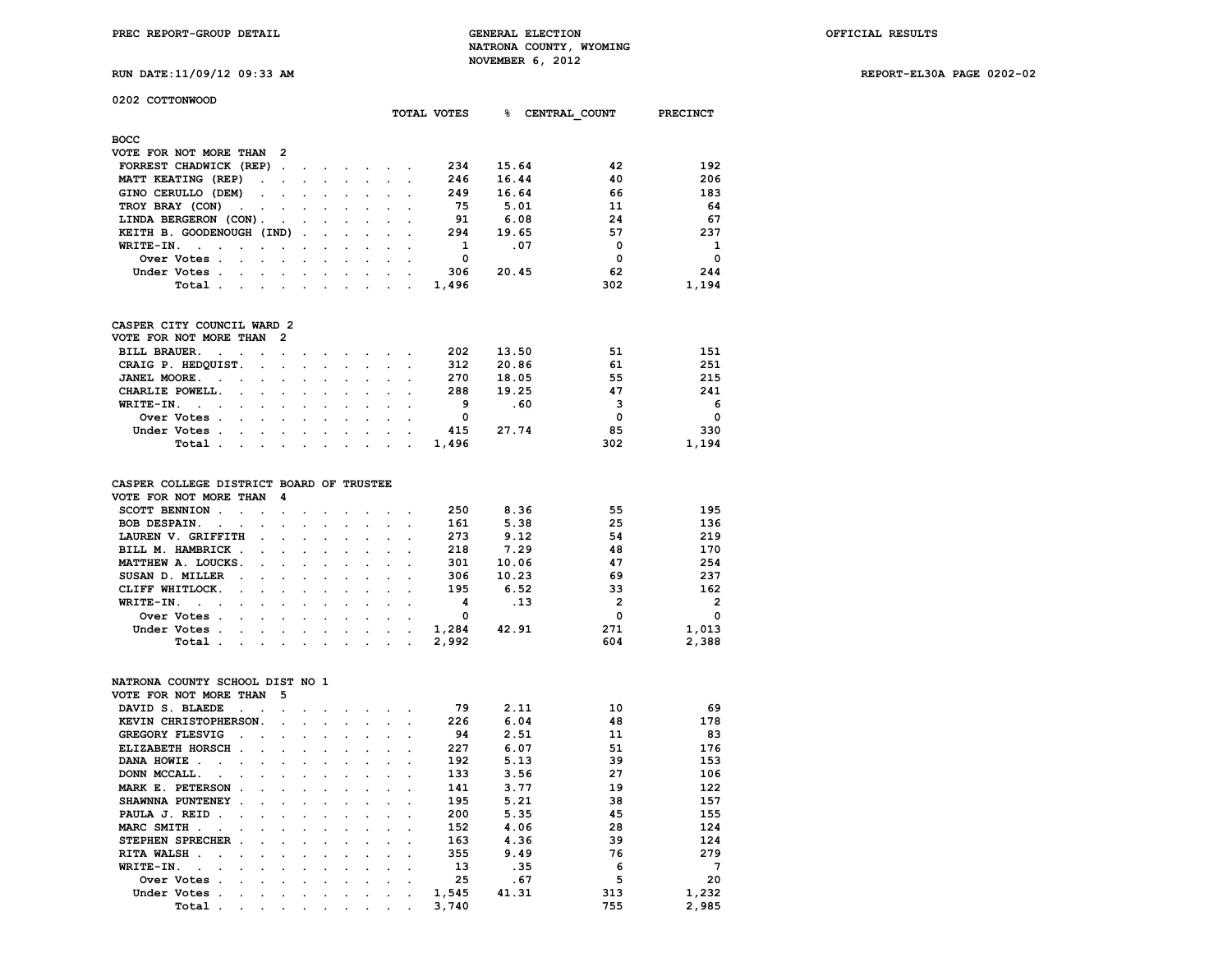**RUN DATE:11/09/12 09:33 AM REPORT-EL30A PAGE 0202-02**

**0202 COTTONWOOD**

| UZUZ COIIONNOOD                                                |                      |                      |                            |                      |                      |                                        |                      | TOTAL VOTES             |       |      | <b>&amp; CENTRAL COUNT</b> | PRECINCT                |
|----------------------------------------------------------------|----------------------|----------------------|----------------------------|----------------------|----------------------|----------------------------------------|----------------------|-------------------------|-------|------|----------------------------|-------------------------|
| восс                                                           |                      |                      |                            |                      |                      |                                        |                      |                         |       |      |                            |                         |
| VOTE FOR NOT MORE THAN 2                                       |                      |                      |                            |                      |                      |                                        |                      |                         |       |      |                            |                         |
| FORREST CHADWICK (REP).                                        |                      |                      |                            |                      |                      | and the state of the state of          |                      | 234                     | 15.64 |      | 42                         | 192                     |
| MATT KEATING (REP)<br>$\mathbf{L}$                             | $\ddot{\phantom{a}}$ | $\ddot{\phantom{a}}$ | $\ddot{\phantom{a}}$       | $\sim$               | $\sim 10^{-11}$      | $\sim$                                 | $\ddot{\phantom{a}}$ | 246                     | 16.44 |      | 40                         | 206                     |
| GINO CERULLO (DEM)<br>$\cdot$                                  |                      |                      |                            |                      | $\cdot$              |                                        |                      | 249                     | 16.64 |      | 66                         | 183                     |
| TROY BRAY (CON)<br>$\ddot{\phantom{a}}$                        |                      |                      |                            |                      |                      |                                        |                      | 75                      | 5.01  |      | 11                         | 64                      |
| LINDA BERGERON (CON).                                          |                      |                      |                            |                      |                      |                                        |                      | 91                      | 6.08  |      | 24                         | - 67                    |
| KEITH B. GOODENOUGH (IND)                                      |                      | $\bullet$            |                            |                      |                      |                                        |                      | 294                     | 19.65 |      | 57                         | 237                     |
| WRITE-IN.                                                      |                      |                      | $\ddot{\phantom{0}}$       | $\sim$               | $\ddot{\phantom{a}}$ |                                        |                      | $\mathbf{1}$            | .07   |      | $\mathbf{o}$               | $\mathbf{1}$            |
| Over Votes .                                                   |                      |                      |                            |                      |                      |                                        |                      | $\overline{\mathbf{0}}$ |       |      | $\mathbf 0$                | $\overline{\mathbf{0}}$ |
| Under Votes .                                                  |                      |                      | $\mathcal{L}^{\text{max}}$ | $\ddot{\phantom{0}}$ | $\Box$               |                                        |                      | 306                     | 20.45 |      | 62                         | 244                     |
| Total.                                                         |                      |                      |                            |                      |                      |                                        |                      | 1,496                   |       |      | 302                        | 1,194                   |
| CASPER CITY COUNCIL WARD 2                                     |                      |                      |                            |                      |                      |                                        |                      |                         |       |      |                            |                         |
| VOTE FOR NOT MORE THAN                                         | $\overline{2}$       |                      |                            |                      |                      |                                        |                      |                         |       |      |                            |                         |
| <b>BILL BRAUER.</b><br>$\sim 10^{-11}$<br>$\cdot$              |                      |                      |                            |                      | $\bullet$ .          |                                        |                      | 202                     | 13.50 |      | 51                         | 151                     |
| CRAIG P. HEDQUIST.                                             | $\overline{a}$       | $\ddot{\phantom{a}}$ |                            |                      | $\ddot{\phantom{0}}$ | $\sim$                                 |                      | 312                     | 20.86 |      | 61                         | 251                     |
| JANEL MOORE.<br>$\sim$<br>$\ddot{\phantom{a}}$                 |                      |                      |                            |                      |                      |                                        |                      | 270                     | 18.05 |      | 55                         | 215                     |
| CHARLIE POWELL.<br>$\ddot{\phantom{a}}$                        | $\ddot{\phantom{a}}$ | $\ddot{\phantom{a}}$ | $\cdot$                    | $\mathbf{r}$         | $\mathbf{r}$         | $\mathbf{r}$                           |                      | 288                     | 19.25 |      | 47                         | 241                     |
| WRITE-IN.<br><b>Contract</b><br>$\blacksquare$<br>$\mathbf{r}$ |                      | $\overline{a}$       | $\overline{a}$             | $\overline{a}$       | $\ddot{\phantom{0}}$ | $\overline{a}$                         |                      | - 9                     |       | .60  | 3                          | - 6                     |
| Over Votes.<br>$\sim$                                          |                      |                      |                            |                      |                      |                                        |                      | $\overline{\mathbf{0}}$ |       |      | $\mathbf 0$                | $\overline{\mathbf{0}}$ |
| Under Votes.                                                   |                      |                      |                            | $\ddot{\phantom{a}}$ | $\ddot{\phantom{a}}$ |                                        |                      | 415                     | 27.74 |      | 85                         | 330                     |
| Total                                                          | $\ddot{\phantom{a}}$ | $\cdot$              | $\ddot{\phantom{0}}$       | $\ddot{\phantom{a}}$ | $\overline{a}$       |                                        |                      | 1,496                   |       |      | 302                        | 1,194                   |
|                                                                |                      |                      |                            |                      |                      |                                        |                      |                         |       |      |                            |                         |
| CASPER COLLEGE DISTRICT BOARD OF TRUSTEE                       |                      |                      |                            |                      |                      |                                        |                      |                         |       |      |                            |                         |
| VOTE FOR NOT MORE THAN                                         | 4                    |                      |                            |                      |                      |                                        |                      |                         |       |      |                            |                         |
| SCOTT BENNION.<br>$\ddot{\phantom{a}}$<br>$\ddot{\phantom{a}}$ | $\ddot{\phantom{a}}$ | $\bullet$            | $\ddot{\phantom{0}}$       | $\ddot{\phantom{0}}$ | $\ddot{\phantom{0}}$ | $\ddot{\phantom{0}}$                   | $\ddot{\phantom{1}}$ | 250                     |       | 8.36 | 55                         | 195                     |
| BOB DESPAIN.                                                   |                      |                      |                            |                      | $\ddot{\phantom{a}}$ |                                        | $\ddot{\phantom{0}}$ | 161                     |       | 5.38 | 25                         | 136                     |
| LAUREN V. GRIFFITH                                             |                      |                      |                            |                      |                      |                                        |                      | 273                     | 9.12  |      | 54                         | 219                     |
| BILL M. HAMBRICK .                                             |                      |                      |                            |                      |                      |                                        |                      | 218                     | 7.29  |      | 48                         | 170                     |
| MATTHEW A. LOUCKS.                                             |                      |                      |                            |                      |                      |                                        |                      | 301                     | 10.06 |      | 47                         | 254                     |
| SUSAN D. MILLER                                                |                      |                      |                            | $\ddot{\phantom{a}}$ | $\ddot{\phantom{0}}$ |                                        |                      | 306                     | 10.23 |      | 69                         | 237                     |
| CLIFF WHITLOCK.                                                |                      |                      |                            |                      |                      |                                        |                      | 195                     | 6.52  |      | 33                         | 162                     |
| WRITE-IN.                                                      |                      |                      |                            |                      |                      |                                        |                      | $\overline{\mathbf{4}}$ |       | .13  | $\overline{2}$             | $\overline{2}$          |
| Over Votes .                                                   |                      |                      |                            |                      |                      |                                        |                      | $\overline{\mathbf{0}}$ |       |      | $\mathbf 0$                | $\mathbf 0$             |
| Under Votes.                                                   |                      |                      | $\ddot{\phantom{0}}$       | $\bullet$            | $\bullet$            | $\ddot{\phantom{0}}$                   |                      | 1,284                   | 42.91 |      | 271                        | 1,013                   |
| Total.                                                         |                      |                      |                            |                      |                      |                                        |                      | 2,992                   |       |      | 604                        | 2,388                   |
| NATRONA COUNTY SCHOOL DIST NO 1                                |                      |                      |                            |                      |                      |                                        |                      |                         |       |      |                            |                         |
| VOTE FOR NOT MORE THAN                                         | - 5                  |                      |                            |                      |                      |                                        |                      |                         |       |      |                            |                         |
| DAVID S. BLAEDE<br>$\sim$                                      |                      |                      |                            | $\sim$               |                      | $\mathbf{z} = \mathbf{z} + \mathbf{z}$ |                      | 79                      |       | 2.11 | 10                         | 69                      |
| KEVIN CHRISTOPHERSON.                                          | $\cdot$              |                      | $\ddot{\phantom{0}}$       | $\mathbf{L}$         | $\ddot{\phantom{0}}$ | $\ddot{\phantom{a}}$                   |                      | 226                     |       | 6.04 | 48                         | 178                     |
| <b>GREGORY FLESVIG</b><br>$\sim$<br>$\ddot{\phantom{a}}$       | $\ddot{\phantom{a}}$ | $\ddot{\phantom{a}}$ | $\ddot{\phantom{a}}$       | $\overline{a}$       | $\ddot{\phantom{0}}$ | $\mathbf{r}$                           |                      | 94                      |       | 2.51 | 11                         | 83                      |
| ELIZABETH HORSCH.                                              |                      |                      |                            |                      |                      |                                        |                      | 227                     |       | 6.07 | 51                         | 176                     |
| DANA HOWIE.<br>$\sim$<br>$\ddot{\phantom{a}}$                  |                      | $\overline{a}$       |                            |                      | $\ddot{\phantom{a}}$ |                                        |                      | 192                     |       | 5.13 | 39                         | 153                     |
| DONN MCCALL.<br>$\sim$                                         | $\ddot{\phantom{a}}$ | $\ddot{\phantom{a}}$ | $\ddot{\phantom{0}}$       |                      | $\ddot{\phantom{a}}$ |                                        |                      | 133                     |       | 3.56 | 27                         | 106                     |
| MARK E. PETERSON.<br>$\ddot{\phantom{a}}$                      |                      | $\ddot{\phantom{a}}$ | $\cdot$                    | $\cdot$              | $\ddot{\phantom{a}}$ | $\ddot{\phantom{a}}$                   |                      | 141                     |       | 3.77 | 19                         | 122                     |
| SHAWNNA PUNTENEY .                                             |                      |                      |                            |                      |                      |                                        |                      | 195                     |       | 5.21 | 38                         | 157                     |
| PAULA J. REID                                                  |                      |                      |                            |                      | $\ddot{\phantom{a}}$ |                                        |                      | 200                     |       | 5.35 | 45                         | 155                     |
| MARC SMITH.<br>$\sim$                                          |                      | $\ddot{\phantom{a}}$ | $\ddot{\phantom{0}}$       |                      |                      |                                        |                      | 152                     |       | 4.06 | 28                         | 124                     |
| STEPHEN SPRECHER .                                             |                      |                      |                            |                      |                      |                                        |                      | 163                     |       | 4.36 | 39                         | 124                     |
| RITA WALSH.                                                    |                      |                      |                            |                      |                      |                                        |                      | 355                     |       | 9.49 | 76                         | 279                     |
| WRITE-IN.                                                      |                      |                      |                            |                      |                      |                                        |                      | 13                      |       | .35  | 6                          | $7\phantom{.0}$         |
| Over Votes .<br>$\ddot{\phantom{a}}$<br>$\sim$                 | $\ddot{\phantom{a}}$ | $\ddot{\phantom{a}}$ | $\ddot{\phantom{a}}$       | $\bullet$ .          | $\Box$               | $\ddot{\phantom{a}}$                   | $\ddot{\phantom{0}}$ | 25                      |       | .67  | 5                          | 20                      |
| Under Votes                                                    |                      |                      | $\bullet$                  |                      |                      |                                        |                      | 1,545                   | 41.31 |      | 313                        | 1,232                   |

 **Under Votes . . . . . . . . . . 1,545 41.31 313 1,232 Total . . . . . . . . . . 3,740 755 2,985**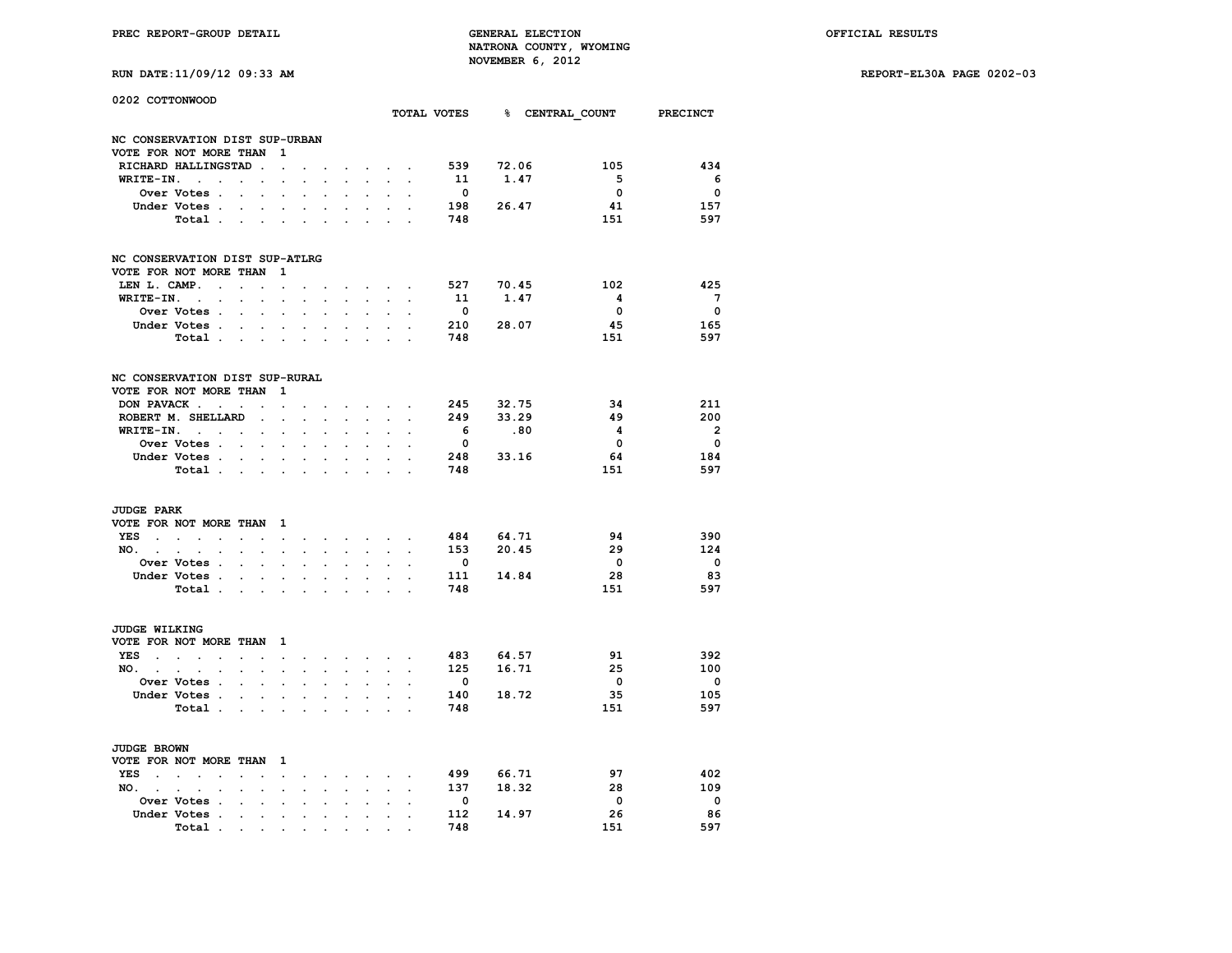|  |  |  |  | RUN DATE:11/09/12 09:33 |
|--|--|--|--|-------------------------|
|--|--|--|--|-------------------------|

| 0202 COTTONWOOD                                          |                                                        |                      |                          |                          |                      |                      |                      |                      |                                                                                                                                     |                      |                      |                          | TOTAL VOTES 8 CENTRAL COUNT |                         | <b>PRECINCT</b>          |
|----------------------------------------------------------|--------------------------------------------------------|----------------------|--------------------------|--------------------------|----------------------|----------------------|----------------------|----------------------|-------------------------------------------------------------------------------------------------------------------------------------|----------------------|----------------------|--------------------------|-----------------------------|-------------------------|--------------------------|
| NC CONSERVATION DIST SUP-URBAN                           |                                                        |                      |                          |                          |                      |                      |                      |                      |                                                                                                                                     |                      |                      |                          |                             |                         |                          |
| VOTE FOR NOT MORE THAN                                   |                                                        |                      |                          |                          | 1                    |                      |                      |                      |                                                                                                                                     |                      |                      |                          |                             |                         |                          |
| RICHARD HALLINGSTAD                                      |                                                        |                      |                          |                          |                      |                      |                      |                      |                                                                                                                                     |                      |                      | 539                      | 72.06                       | 105                     | 434                      |
| WRITE-IN. .                                              | $\cdot$                                                |                      | $\ddot{\phantom{a}}$     | $\overline{\phantom{a}}$ |                      |                      |                      |                      |                                                                                                                                     |                      |                      | 11                       | 1.47                        | 5                       | 6                        |
|                                                          | Over Votes .                                           | $\bullet$            |                          | $\ddot{\phantom{0}}$     | $\ddot{\phantom{a}}$ | $\ddot{\phantom{a}}$ | $\ddot{\phantom{a}}$ |                      | $\cdot$                                                                                                                             | $\ddot{\phantom{0}}$ |                      | $\overline{\phantom{0}}$ |                             | 0                       | $\overline{\mathbf{0}}$  |
|                                                          | Under Votes .                                          |                      |                          |                          |                      |                      |                      |                      |                                                                                                                                     |                      |                      | 198                      | 26.47                       | 41                      | 157                      |
|                                                          | Total.                                                 | $\sim$               |                          | $\cdot$                  |                      | $\ddot{\phantom{a}}$ |                      |                      |                                                                                                                                     |                      |                      | 748                      |                             | 151                     | 597                      |
|                                                          |                                                        |                      |                          |                          |                      |                      |                      |                      |                                                                                                                                     |                      |                      |                          |                             |                         |                          |
| NC CONSERVATION DIST SUP-ATLRG                           |                                                        |                      |                          |                          |                      |                      |                      |                      |                                                                                                                                     |                      |                      |                          |                             |                         |                          |
| VOTE FOR NOT MORE THAN                                   |                                                        |                      |                          |                          | 1                    |                      |                      |                      |                                                                                                                                     |                      |                      |                          |                             |                         |                          |
| LEN L. CAMP.                                             | $\cdot$                                                | $\ddot{\phantom{a}}$ |                          |                          |                      |                      |                      |                      | $\ddot{\phantom{a}}$                                                                                                                |                      |                      | 527                      | 70.45                       | 102                     | 425                      |
| $WRITE-TN.$                                              |                                                        |                      | $\ddot{\phantom{a}}$     | $\overline{a}$           | $\overline{a}$       |                      |                      |                      | $\sim$                                                                                                                              |                      |                      | 11                       | 1.47                        | $\overline{\mathbf{4}}$ | $7^{\circ}$              |
|                                                          | Over Votes .                                           |                      | $\cdot$                  | $\cdot$                  | $\cdot$              | $\cdot$              | $\ddot{\phantom{a}}$ |                      | $\cdot$                                                                                                                             | $\ddot{\phantom{a}}$ | $\cdot$              | $\overline{\mathbf{0}}$  |                             | 0                       | $\overline{\mathbf{0}}$  |
|                                                          | Under Votes .                                          |                      |                          |                          |                      |                      |                      |                      |                                                                                                                                     |                      |                      |                          | 210 28.07                   | 45                      | 165                      |
|                                                          | Total                                                  |                      |                          | $\ddot{\phantom{a}}$     | $\ddot{\phantom{a}}$ | $\sim$               | $\ddot{\phantom{a}}$ |                      |                                                                                                                                     |                      |                      | 748                      |                             | 151                     | 597                      |
|                                                          |                                                        |                      |                          |                          |                      |                      |                      |                      |                                                                                                                                     |                      |                      |                          |                             |                         |                          |
| NC CONSERVATION DIST SUP-RURAL<br>VOTE FOR NOT MORE THAN |                                                        |                      |                          |                          | 1                    |                      |                      |                      |                                                                                                                                     |                      |                      |                          |                             |                         |                          |
| DON PAVACK                                               |                                                        |                      |                          |                          |                      |                      |                      |                      |                                                                                                                                     |                      |                      | 245                      | 32.75                       | 34                      | 211                      |
|                                                          |                                                        |                      |                          |                          |                      |                      |                      |                      | $\cdot$                                                                                                                             |                      |                      |                          |                             | 49                      | 200                      |
| ROBERT M. SHELLARD                                       |                                                        |                      |                          | $\overline{a}$           |                      |                      |                      |                      |                                                                                                                                     |                      |                      | 249                      | 33.29                       |                         |                          |
| WRITE-IN.                                                | <b>Contract Contract</b>                               |                      |                          | $\ddot{\phantom{0}}$     | $\cdot$              | $\cdot$              | $\ddot{\phantom{a}}$ |                      | $\cdot$                                                                                                                             | $\cdot$              |                      | - 6                      | .80                         | 4                       | $\overline{\mathbf{2}}$  |
|                                                          | Over Votes .                                           |                      |                          |                          |                      |                      |                      |                      |                                                                                                                                     |                      |                      | $\overline{\mathbf{0}}$  |                             | $\overline{\mathbf{0}}$ | $\overline{\mathbf{0}}$  |
|                                                          | Under Votes                                            |                      |                          |                          | $\sim$               | $\ddot{\phantom{a}}$ | $\sim$               | $\sim$               | $\ddot{\phantom{0}}$                                                                                                                | $\ddot{\phantom{0}}$ |                      |                          | 248 33.16                   | 64                      | 184                      |
|                                                          | Total .                                                | $\sim$               |                          | $\ddot{\phantom{a}}$     | $\ddot{\phantom{a}}$ | $\ddot{\phantom{a}}$ | $\mathbf{r}$         | $\overline{a}$       | $\mathbf{r}$                                                                                                                        | $\overline{a}$       | $\overline{a}$       | 748                      |                             | 151                     | 597                      |
| <b>JUDGE PARK</b>                                        |                                                        |                      |                          |                          |                      |                      |                      |                      |                                                                                                                                     |                      |                      |                          |                             |                         |                          |
| VOTE FOR NOT MORE THAN                                   |                                                        |                      |                          |                          | $\mathbf{1}$         |                      |                      |                      |                                                                                                                                     |                      |                      |                          |                             |                         |                          |
| YES                                                      | $\bullet$                                              |                      | $\ddot{\phantom{0}}$     |                          | $\ddot{\phantom{0}}$ | $\ddot{\phantom{0}}$ |                      |                      | and the company of the company of                                                                                                   |                      |                      | 484                      | 64.71                       | 94                      | 390                      |
| $NO.$ $.$ $.$ $.$                                        | $\cdot$                                                |                      | $\ddot{\phantom{0}}$     | $\bullet$                | $\cdot$              | $\cdot$              | $\cdot$              | $\ddot{\phantom{0}}$ | $\ddot{\phantom{0}}$                                                                                                                | $\ddot{\phantom{a}}$ | $\ddot{\phantom{a}}$ |                          | 153 20.45                   | 29                      | 124                      |
|                                                          | <b>Over Votes .</b>                                    |                      |                          |                          |                      |                      |                      |                      |                                                                                                                                     |                      |                      | $\mathbf{0}$             |                             | $\overline{\mathbf{0}}$ | $\overline{\mathbf{0}}$  |
|                                                          | Under Votes .                                          | $\sim$ $\sim$        |                          | $\sim 100$ km s $^{-1}$  | $\ddot{\phantom{0}}$ | $\ddot{\phantom{0}}$ | $\ddot{\phantom{0}}$ |                      | $\ddot{\phantom{0}}$                                                                                                                |                      |                      |                          | 111 14.84                   | 28                      | 83                       |
|                                                          | Total .                                                |                      | $\ddot{\phantom{a}}$     | $\ddot{\phantom{a}}$     | $\cdot$              | $\ddot{\phantom{a}}$ | $\sim$               |                      | $\mathbf{r}$                                                                                                                        | $\overline{a}$       | $\overline{a}$       | 748                      |                             | 151                     | 597                      |
|                                                          |                                                        |                      |                          |                          |                      |                      |                      |                      |                                                                                                                                     |                      |                      |                          |                             |                         |                          |
| JUDGE WILKING                                            |                                                        |                      |                          |                          |                      |                      |                      |                      |                                                                                                                                     |                      |                      |                          |                             |                         |                          |
| VOTE FOR NOT MORE THAN                                   |                                                        |                      |                          |                          | $\mathbf{1}$         |                      |                      |                      |                                                                                                                                     |                      |                      |                          |                             |                         |                          |
| YES .                                                    | $\mathbf{L} = \mathbf{L}$<br>$\cdot$                   |                      | $\cdot$                  |                          | $\ddot{\phantom{0}}$ |                      |                      |                      | $\begin{array}{cccccccccccccc} \bullet & \bullet & \bullet & \bullet & \bullet & \bullet & \bullet & \bullet & \bullet \end{array}$ |                      |                      | 483                      | 64.57                       | 91                      | 392                      |
| NO.                                                      | $\ddot{\phantom{a}}$<br>$\ddot{\phantom{a}}$           |                      | $\ddot{\phantom{0}}$     | $\cdot$                  | $\cdot$              | $\cdot$              | $\ddot{\phantom{a}}$ | $\ddot{\phantom{0}}$ | $\ddot{\phantom{a}}$                                                                                                                | $\ddot{\phantom{a}}$ | $\ddot{\phantom{a}}$ | 125                      | 16.71                       | 25                      | 100                      |
|                                                          | Over Votes .                                           |                      |                          |                          |                      |                      |                      |                      |                                                                                                                                     |                      |                      | $^{\circ}$               |                             | $\overline{0}$          | $\overline{\mathbf{0}}$  |
|                                                          | Under Votes .                                          |                      | $\ddot{\phantom{0}}$     | $\sim 100$ km s $^{-1}$  | $\ddot{\phantom{0}}$ | $\ddot{\phantom{0}}$ | $\ddot{\phantom{0}}$ |                      | $\ddot{\phantom{0}}$                                                                                                                |                      |                      | 140                      | 18.72                       | 35                      | 105                      |
|                                                          | Total .                                                |                      |                          |                          |                      |                      |                      |                      |                                                                                                                                     |                      |                      | 748                      |                             | 151                     | 597                      |
|                                                          |                                                        |                      | $\ddot{\phantom{a}}$     | $\ddot{\phantom{a}}$     | $\sim$               | $\cdot$              | $\sim$               |                      | $\overline{a}$                                                                                                                      | $\overline{a}$       | $\overline{a}$       |                          |                             |                         |                          |
| JUDGE BROWN                                              |                                                        |                      |                          |                          |                      |                      |                      |                      |                                                                                                                                     |                      |                      |                          |                             |                         |                          |
| VOTE FOR NOT MORE THAN                                   |                                                        |                      |                          |                          | $\mathbf{1}$         |                      |                      |                      |                                                                                                                                     |                      |                      |                          |                             |                         |                          |
| YES.                                                     | $\sim$<br>$\ddot{\phantom{a}}$<br>$\ddot{\phantom{0}}$ |                      | $\ddot{\phantom{0}}$     |                          | $\ddot{\phantom{0}}$ | $\ddot{\phantom{0}}$ |                      |                      |                                                                                                                                     |                      |                      | 499                      | 66.71                       | 97                      | 402                      |
| NO.                                                      | $\ddot{\phantom{a}}$<br>$\cdot$                        |                      | $\ddot{\phantom{a}}$     | $\cdot$                  | $\cdot$              | $\ddot{\phantom{a}}$ | $\ddot{\phantom{a}}$ | $\cdot$              | $\ddot{\phantom{a}}$                                                                                                                | $\ddot{\phantom{a}}$ | $\ddot{\phantom{a}}$ | 137                      | 18.32                       | 28                      | 109                      |
|                                                          |                                                        |                      |                          |                          |                      |                      |                      |                      |                                                                                                                                     |                      |                      | $\mathbf{0}$             |                             | $\overline{\mathbf{0}}$ | $\overline{\phantom{0}}$ |
| Under Votes                                              | Over Votes .                                           |                      |                          |                          |                      |                      |                      |                      |                                                                                                                                     |                      |                      | 112                      | 14.97                       | 26                      | 86                       |
|                                                          | $\overline{\phantom{a}}$                               |                      |                          | $\ddot{\phantom{a}}$     | $\ddot{\phantom{a}}$ | $\cdot$              |                      |                      | $\cdot$                                                                                                                             |                      |                      | 748                      |                             |                         | 597                      |
|                                                          | Total<br>$\bullet$                                     |                      | <b>Contract Contract</b> | $\sim$ $\sim$            |                      | $\bullet$            |                      |                      |                                                                                                                                     |                      |                      |                          |                             | 151                     |                          |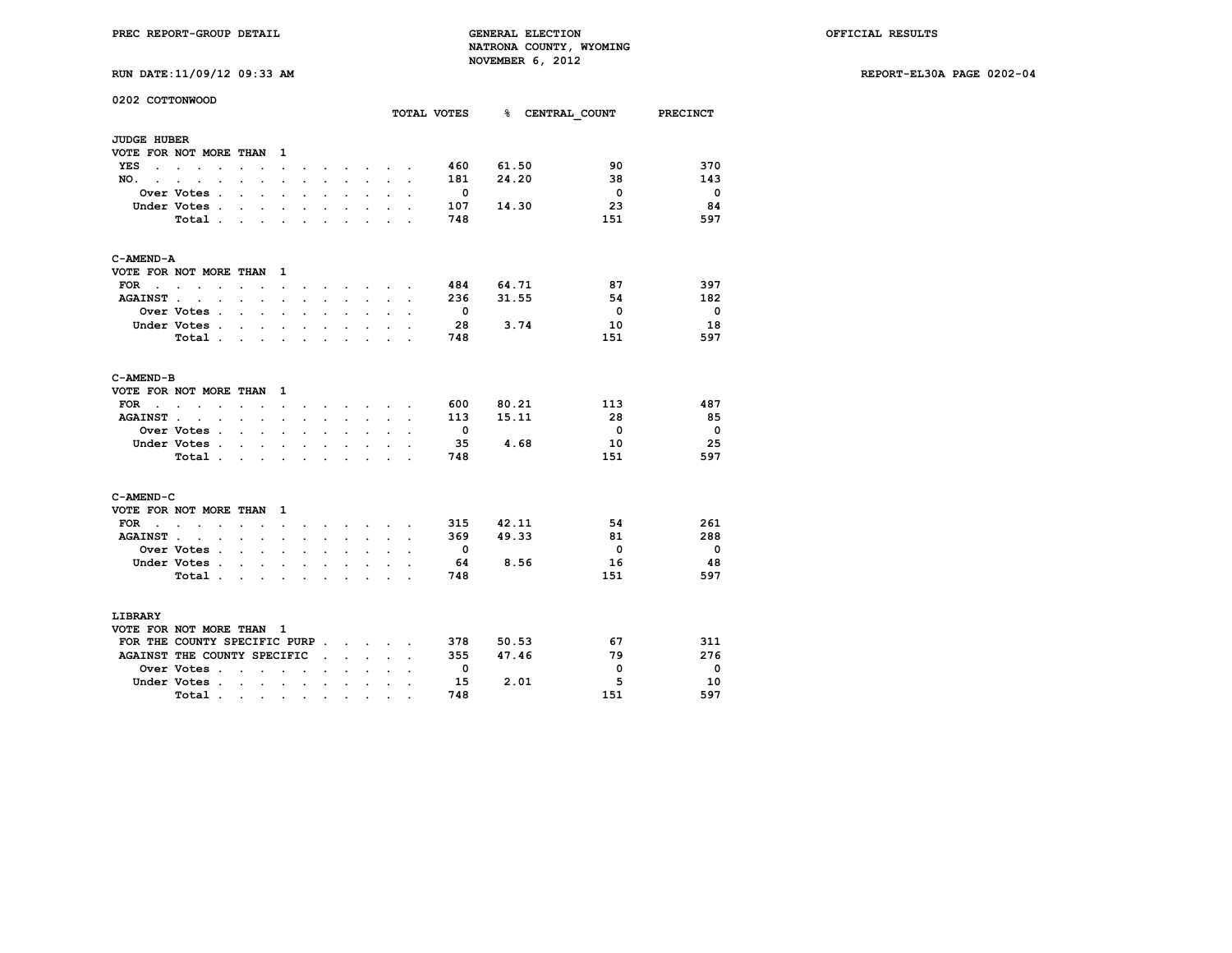**RUN DATE:11/09/12 09:33 AM REPORT-EL30A PAGE 0202-04**

|  | RUN DATE:11/09/12 09:33 AM |  |  |  |  |
|--|----------------------------|--|--|--|--|
|--|----------------------------|--|--|--|--|

**0202 COTTONWOOD**

|                      |                                                                      |                                        |                      |                          |                                                                 |                         |                                          |                      |                                                                                                                                                                                                                               |                      | TOTAL VOTES              |           | % CENTRAL COUNT PRECINCT |                          |
|----------------------|----------------------------------------------------------------------|----------------------------------------|----------------------|--------------------------|-----------------------------------------------------------------|-------------------------|------------------------------------------|----------------------|-------------------------------------------------------------------------------------------------------------------------------------------------------------------------------------------------------------------------------|----------------------|--------------------------|-----------|--------------------------|--------------------------|
| <b>JUDGE HUBER</b>   |                                                                      |                                        |                      |                          |                                                                 |                         |                                          |                      |                                                                                                                                                                                                                               |                      |                          |           |                          |                          |
|                      | VOTE FOR NOT MORE THAN                                               |                                        |                      | 1                        |                                                                 |                         |                                          |                      |                                                                                                                                                                                                                               |                      |                          |           |                          |                          |
| YES<br>$\cdot$       | $\sim$ $\sim$ $\sim$<br>$\cdot$                                      | $\cdot$                                | $\ddot{\phantom{a}}$ | $\ddot{\phantom{a}}$     |                                                                 |                         |                                          |                      | $\mathbf{r} = \mathbf{r} + \mathbf{r}$ .                                                                                                                                                                                      |                      | 460                      | 61.50     | 90                       | 370                      |
| NO.<br>$\sim$        | $\ddot{\phantom{0}}$<br>$\ddot{\phantom{a}}$<br>$\ddot{\phantom{0}}$ | $\cdot$ $\cdot$                        |                      | $\ddot{\phantom{0}}$     | $\ddot{\phantom{a}}$                                            | $\sim$                  | $\ddot{\phantom{0}}$                     | $\ddot{\phantom{0}}$ | $\sim$                                                                                                                                                                                                                        | $\ddot{\phantom{a}}$ | 181                      | 24.20     | 38                       | 143                      |
|                      | Over Votes .                                                         | $\sim$<br>$\sim$                       |                      | $\overline{a}$           | $\cdot$                                                         |                         |                                          |                      |                                                                                                                                                                                                                               | $\mathbf{r}$         | $\overline{\mathbf{0}}$  |           | $\overline{0}$           | $\overline{\phantom{0}}$ |
|                      | Under Votes.                                                         | $\ddot{\phantom{a}}$                   | $\ddot{\phantom{0}}$ | $\overline{a}$           | $\cdot$                                                         |                         | $\overline{a}$                           | $\ddot{\phantom{a}}$ | $\overline{a}$                                                                                                                                                                                                                |                      | 107                      | 14.30     | 23                       | 84                       |
|                      | Total .                                                              | $\mathbf{r}$ . The set of $\mathbf{r}$ |                      | $\sim$                   | $\ddot{\phantom{0}}$                                            | $\sim$                  | $\bullet$                                |                      | $\cdot$ $\cdot$                                                                                                                                                                                                               | $\ddot{\phantom{a}}$ | 748                      |           | 151                      | 597                      |
| C-AMEND-A            |                                                                      |                                        |                      |                          |                                                                 |                         |                                          |                      |                                                                                                                                                                                                                               |                      |                          |           |                          |                          |
|                      | VOTE FOR NOT MORE THAN                                               |                                        |                      | 1                        |                                                                 |                         |                                          |                      |                                                                                                                                                                                                                               |                      |                          |           |                          |                          |
| FOR                  | <b>Contract Contract Service</b><br>$\cdot$                          | $\ddot{\phantom{a}}$<br>$\sim$         |                      | <b>Contract Contract</b> |                                                                 |                         |                                          |                      | and a strategic control of the state of the state of the state of the state of the state of the state of the state of the state of the state of the state of the state of the state of the state of the state of the state of |                      |                          | 484 64.71 | 87                       | 397                      |
| <b>AGAINST</b> .     | the contract of the contract of                                      |                                        |                      | $\sim$                   | $\sim$                                                          | $\sim$                  | $\ddot{\phantom{0}}$                     | $\ddot{\phantom{0}}$ | $\sim$                                                                                                                                                                                                                        | $\ddot{\phantom{a}}$ | 236                      | 31.55     | 54                       | 182                      |
|                      | <b>Over Votes .</b>                                                  | $\mathbf{r} = \mathbf{r}$              |                      | $\cdot$                  |                                                                 |                         |                                          |                      |                                                                                                                                                                                                                               |                      | $\overline{\phantom{0}}$ |           | $\overline{\mathbf{0}}$  | - 0                      |
|                      | Under Votes.                                                         | $\ddot{\phantom{0}}$                   | $\sim$               | $\ddot{\phantom{a}}$     | $\ddot{\phantom{a}}$                                            |                         | $\ddot{\phantom{a}}$                     | $\ddot{\phantom{0}}$ | $\ddot{\phantom{0}}$                                                                                                                                                                                                          |                      | - 28                     | 3.74      | 10                       | 18                       |
|                      | Total                                                                |                                        |                      | $\sim$                   | $\bullet$                                                       | $\ddot{\phantom{0}}$    | $\ddot{\phantom{a}}$                     | $\ddot{\phantom{a}}$ |                                                                                                                                                                                                                               |                      | 748                      |           | 151                      | 597                      |
| C-AMEND-B            |                                                                      |                                        |                      |                          |                                                                 |                         |                                          |                      |                                                                                                                                                                                                                               |                      |                          |           |                          |                          |
|                      | VOTE FOR NOT MORE THAN                                               |                                        |                      | 1                        |                                                                 |                         |                                          |                      |                                                                                                                                                                                                                               |                      |                          |           |                          |                          |
| <b>FOR</b><br>$\sim$ | $\sim$<br>$\sim$<br>$\ddot{\phantom{a}}$                             | $\cdot$ $\cdot$                        | $\sim$               |                          | $\ddot{\phantom{0}}$                                            |                         |                                          |                      | $\mathbf{r} = \mathbf{r} + \mathbf{r} + \mathbf{r} + \mathbf{r}$                                                                                                                                                              |                      | 600                      | 80.21     | 113                      | 487                      |
|                      | AGAINST                                                              |                                        |                      | $\sim$                   | $\sim$                                                          | $\sim$                  |                                          |                      | $\mathbf{r} = \mathbf{r} \cdot \mathbf{r}$                                                                                                                                                                                    | $\ddot{\phantom{a}}$ | 113                      | 15.11     | 28                       | 85                       |
|                      | <b>Over Votes .</b>                                                  | $\mathbf{r} = \mathbf{r}$              |                      | $\mathbf{r}$             |                                                                 |                         | $\mathbf{r}$                             | $\sim$               |                                                                                                                                                                                                                               |                      | $\overline{\phantom{0}}$ |           | $\overline{\mathbf{0}}$  | $\overline{\phantom{0}}$ |
|                      | Under Votes                                                          |                                        |                      | $\ddot{\phantom{0}}$     | $\ddot{\phantom{0}}$                                            | $\ddot{\phantom{0}}$    | $\ddot{\phantom{0}}$                     | $\sim$               | $\bullet$                                                                                                                                                                                                                     | $\ddot{\phantom{a}}$ | - 35                     | 4.68      | 10                       | 25                       |
|                      | Total                                                                |                                        |                      | $\sim$                   | $\bullet$                                                       | $\sim 100$ km s $^{-1}$ | $\sim$                                   |                      | <b>Contract Contract Contract</b>                                                                                                                                                                                             | $\cdot$              | 748                      |           | 151                      | 597                      |
| C-AMEND-C            |                                                                      |                                        |                      |                          |                                                                 |                         |                                          |                      |                                                                                                                                                                                                                               |                      |                          |           |                          |                          |
|                      | VOTE FOR NOT MORE THAN                                               |                                        |                      | 1                        |                                                                 |                         |                                          |                      |                                                                                                                                                                                                                               |                      |                          |           |                          |                          |
| FOR<br>$\sim$        | <b>Contract Contract Street</b><br>$\sim$                            | $\sim$ $\sim$                          | $\sim$               |                          | $\ddot{\phantom{0}}$                                            |                         |                                          |                      | $\cdot$ $\cdot$ $\cdot$ $\cdot$ $\cdot$ $\cdot$                                                                                                                                                                               |                      | 315                      | 42.11     | 54                       | 261                      |
| <b>AGAINST</b> .     | the contract of the contract of                                      |                                        |                      | $\ddot{\phantom{a}}$     | $\cdot$                                                         | $\ddot{\phantom{a}}$    |                                          | $\ddot{\phantom{0}}$ |                                                                                                                                                                                                                               |                      | 369                      | 49.33     | 81                       | 288                      |
|                      | <b>Over Votes .</b>                                                  | $\mathbf{r}$ . The set of $\mathbf{r}$ |                      | $\ddot{\phantom{a}}$     | $\cdot$                                                         |                         | $\mathbf{r}$                             | $\sim$               |                                                                                                                                                                                                                               |                      | $\overline{\phantom{0}}$ |           | $\overline{0}$           | $\overline{\phantom{0}}$ |
|                      | Under Votes.                                                         | $\ddot{\phantom{a}}$                   | $\ddot{\phantom{0}}$ | $\ddot{\phantom{0}}$     | $\ddot{\phantom{0}}$                                            |                         | $\ddot{\phantom{0}}$                     | $\sim$               | $\ddot{\phantom{0}}$                                                                                                                                                                                                          |                      | - 64                     | 8.56      | 16                       | 48                       |
|                      | Total                                                                |                                        |                      | $\ddot{\phantom{a}}$     | $\ddot{\phantom{0}}$                                            | $\sim$                  | $\cdot$                                  | $\ddot{\phantom{0}}$ |                                                                                                                                                                                                                               |                      | 748                      |           | 151                      | 597                      |
| LIBRARY              |                                                                      |                                        |                      |                          |                                                                 |                         |                                          |                      |                                                                                                                                                                                                                               |                      |                          |           |                          |                          |
|                      | VOTE FOR NOT MORE THAN 1                                             |                                        |                      |                          |                                                                 |                         |                                          |                      |                                                                                                                                                                                                                               |                      |                          |           |                          |                          |
|                      | FOR THE COUNTY SPECIFIC PURP                                         |                                        |                      |                          |                                                                 |                         |                                          |                      |                                                                                                                                                                                                                               | $\overline{a}$       | 378                      | 50.53     | 67                       | 311                      |
|                      | AGAINST THE COUNTY SPECIFIC                                          |                                        |                      |                          |                                                                 |                         |                                          | $\sim$ $\sim$ $\sim$ |                                                                                                                                                                                                                               | $\overline{a}$       | 355                      | 47.46     | 79                       | 276                      |
|                      | <b>Over Votes .</b>                                                  | <b>Contract Contract Contract</b>      |                      | $\cdot$                  | $\ddot{\phantom{a}}$                                            | $\ddot{\phantom{a}}$    | $\mathbf{r}$                             | $\mathbf{L}$         |                                                                                                                                                                                                                               |                      | $\mathbf{0}$             |           | $\overline{\mathbf{0}}$  | - 0                      |
|                      | Under Votes                                                          |                                        |                      |                          | $\sim$                                                          |                         | $\mathbf{r} = \mathbf{r} + \mathbf{r}$ . | $\ddotsc$            | $\ddot{\phantom{a}}$                                                                                                                                                                                                          |                      | 15                       | 2.01      | 5                        | 10                       |
|                      | Total                                                                |                                        |                      |                          |                                                                 |                         |                                          |                      |                                                                                                                                                                                                                               | $\ddot{\phantom{0}}$ | 748                      |           | 151                      | 597                      |
|                      |                                                                      |                                        |                      |                          | $\bullet$ .<br><br><br><br><br><br><br><br><br><br><br><br><br> |                         | $\bullet$                                | $\bullet$            |                                                                                                                                                                                                                               |                      |                          |           |                          |                          |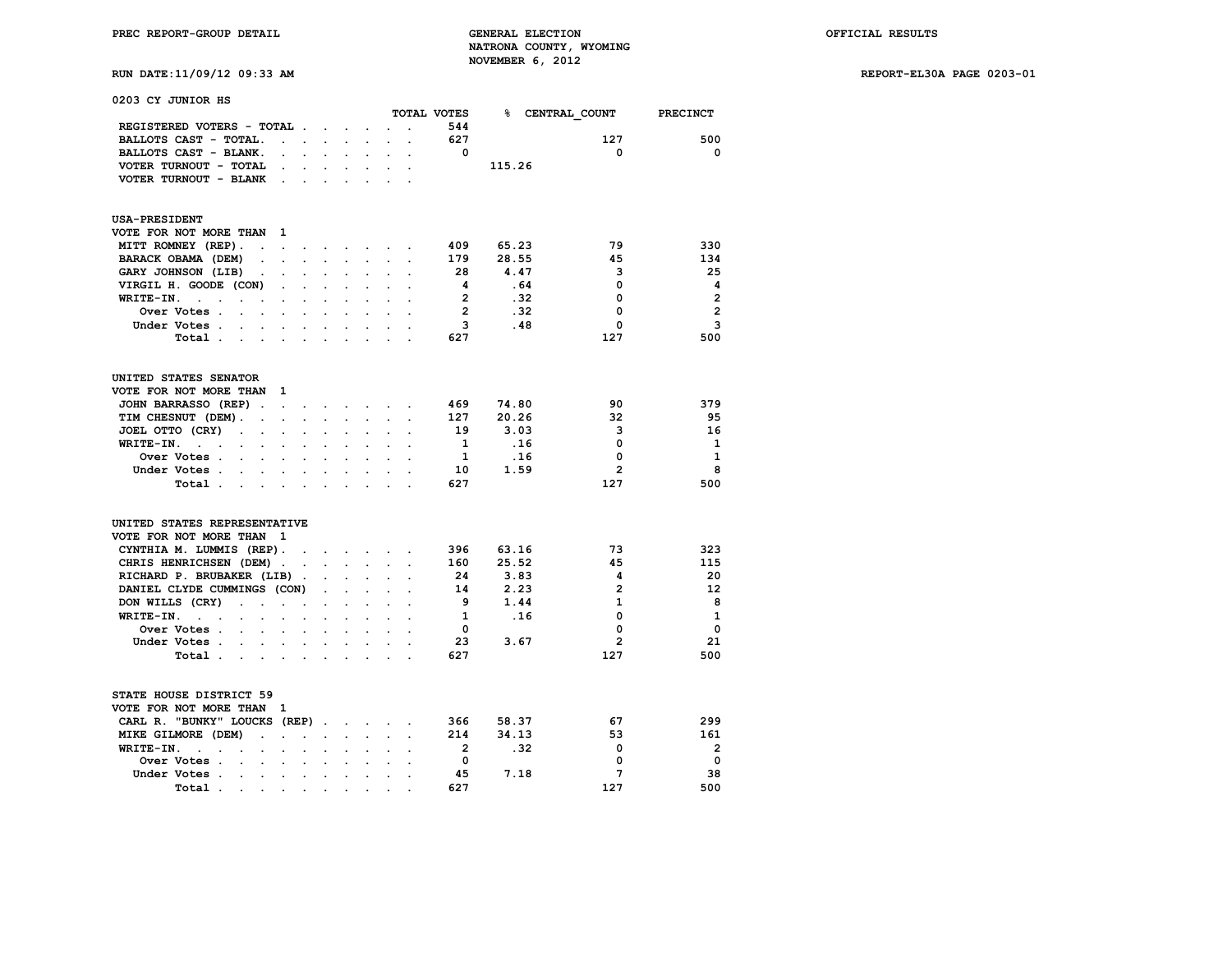| 0203 CY JUNIOR HS                                                                                                   |                           |                                           |                                      |                      |                      |                      |                         |        |                          |                |
|---------------------------------------------------------------------------------------------------------------------|---------------------------|-------------------------------------------|--------------------------------------|----------------------|----------------------|----------------------|-------------------------|--------|--------------------------|----------------|
|                                                                                                                     |                           |                                           |                                      |                      |                      |                      | TOTAL VOTES             |        | % CENTRAL COUNT PRECINCT |                |
| REGISTERED VOTERS - TOTAL                                                                                           |                           |                                           |                                      | $\ddot{\phantom{0}}$ |                      | $\ddot{\phantom{0}}$ | 544                     |        |                          |                |
| BALLOTS CAST - TOTAL.<br>$\ddot{\phantom{0}}$                                                                       | $\ddot{\phantom{0}}$      |                                           |                                      |                      |                      |                      | 627                     |        | 127                      | 500            |
| BALLOTS CAST - BLANK.                                                                                               | $\mathbf{L}$              | $\mathbf{L}$                              | $\ddot{\phantom{a}}$                 | $\ddot{\phantom{a}}$ | $\ddot{\phantom{a}}$ | $\ddot{\phantom{0}}$ | 0                       |        | 0                        | 0              |
| VOTER TURNOUT - TOTAL                                                                                               | $\mathbf{r}$              | $\sim$                                    | $\ddot{\phantom{0}}$                 | $\ddot{\phantom{a}}$ |                      |                      |                         | 115.26 |                          |                |
| VOTER TURNOUT - BLANK<br>$\sim$                                                                                     | $\ddot{\phantom{a}}$      |                                           |                                      | $\cdot$              |                      |                      |                         |        |                          |                |
| <b>USA-PRESIDENT</b>                                                                                                |                           |                                           |                                      |                      |                      |                      |                         |        |                          |                |
| VOTE FOR NOT MORE THAN<br>1                                                                                         |                           |                                           |                                      |                      |                      |                      |                         |        |                          |                |
| MITT ROMNEY (REP).<br>$\sim$<br>$\sim$                                                                              |                           | and the state of the state of the         |                                      |                      |                      |                      | 409                     | 65.23  | 79                       | 330            |
| BARACK OBAMA (DEM)<br>$\ddot{\phantom{0}}$                                                                          |                           |                                           |                                      |                      |                      |                      | 179                     | 28.55  | 45                       | 134            |
| GARY JOHNSON (LIB)<br>$\bullet$<br>$\ddot{\phantom{a}}$                                                             | $\ddot{\phantom{0}}$      | $\ddot{\phantom{a}}$                      | $\ddot{\phantom{a}}$                 | $\ddot{\phantom{a}}$ | $\ddot{\phantom{0}}$ |                      | 28                      | 4.47   | 3                        | 25             |
| VIRGIL H. GOODE (CON)<br>$\sim$                                                                                     | $\mathbf{r}$              |                                           |                                      |                      |                      |                      | $\overline{\mathbf{4}}$ | .64    | 0                        | -4             |
| WRITE-IN.<br>$\sim$<br>$\ddot{\phantom{a}}$<br>$\ddot{\phantom{0}}$<br>$\ddot{\phantom{0}}$<br>$\ddot{\phantom{0}}$ | $\ddot{\phantom{0}}$      | $\ddot{\phantom{0}}$                      | $\ddot{\phantom{a}}$                 | $\bullet$            | $\ddot{\phantom{0}}$ | $\ddot{\phantom{0}}$ | $\overline{2}$          | .32    | 0                        | $\overline{2}$ |
| Over Votes.                                                                                                         |                           |                                           |                                      |                      |                      |                      | $\overline{2}$          | .32    | 0                        | $\overline{2}$ |
| Under Votes                                                                                                         | $\ddot{\phantom{0}}$      | $\ddot{\phantom{0}}$                      |                                      | $\ddot{\phantom{0}}$ |                      |                      | 3                       | .48    | 0                        | 3              |
| Total .<br>$\sim$ $\sim$ $\sim$ $\sim$                                                                              |                           |                                           |                                      |                      |                      |                      | 627                     |        | 127                      | 500            |
| UNITED STATES SENATOR                                                                                               |                           |                                           |                                      |                      |                      |                      |                         |        |                          |                |
| VOTE FOR NOT MORE THAN<br>1                                                                                         |                           |                                           |                                      |                      |                      |                      |                         |        |                          |                |
| JOHN BARRASSO (REP).<br>$\sim$                                                                                      | $\mathbf{r}$              |                                           | $\ddot{\phantom{a}}$                 |                      |                      |                      | 469                     | 74.80  | 90                       | 379            |
| TIM CHESNUT (DEM).<br>$\sim 10^{-11}$<br>$\bullet$ .                                                                | $\mathbf{L}^{\text{max}}$ | $\mathcal{L}^{\text{max}}$                | $\mathcal{L}^{\mathcal{L}}$          | $\sim$               | $\sim$               | $\ddot{\phantom{0}}$ | 127                     | 20.26  | 32                       | 95             |
| JOEL OTTO (CRY)<br>$\sim$<br>$\ddot{\phantom{a}}$                                                                   |                           |                                           |                                      |                      |                      |                      | 19                      | 3.03   | 3                        | 16             |
| WRITE-IN.<br>$\mathbf{r} = \mathbf{r} + \mathbf{r} + \mathbf{r} + \mathbf{r}$                                       |                           | $\cdot$                                   |                                      | $\ddot{\phantom{a}}$ |                      |                      | 1                       | .16    | 0                        | - 1            |
| Over Votes .                                                                                                        |                           |                                           |                                      |                      |                      |                      | $\mathbf{1}$            | .16    | 0                        | 1              |
| Under Votes<br>$\ddot{\phantom{a}}$                                                                                 | $\bullet$                 |                                           |                                      | $\ddot{\phantom{0}}$ |                      |                      | 10                      | 1.59   | $\overline{2}$           | 8              |
| Total<br>$\ddot{\phantom{0}}$                                                                                       | $\ddot{\phantom{a}}$      | $\sim$                                    | $\ddot{\phantom{a}}$                 | $\mathbf{r}$         | $\ddot{\phantom{a}}$ | $\overline{a}$       | 627                     |        | 127                      | 500            |
| UNITED STATES REPRESENTATIVE                                                                                        |                           |                                           |                                      |                      |                      |                      |                         |        |                          |                |
| VOTE FOR NOT MORE THAN<br>$\mathbf{1}$                                                                              |                           |                                           |                                      |                      |                      |                      |                         |        |                          |                |
| CYNTHIA M. LUMMIS (REP). .                                                                                          |                           | <b><i>Committee State State State</i></b> |                                      |                      | $\overline{a}$       |                      | 396                     | 63.16  | 73                       | 323            |
| CHRIS HENRICHSEN (DEM).                                                                                             |                           |                                           | $\mathbf{L} = \mathbf{L} \mathbf{L}$ | $\sim$               |                      |                      | 160                     | 25.52  | 45                       | 115            |
| RICHARD P. BRUBAKER (LIB).                                                                                          |                           |                                           | $\ddot{\phantom{a}}$                 |                      |                      |                      | 24                      | 3.83   | 4                        | 20             |
| DANIEL CLYDE CUMMINGS (CON)                                                                                         |                           | $\sim$                                    | $\mathbf{r}$                         | $\mathbf{r}$         |                      |                      | 14                      | 2.23   | $\mathbf{2}$             | 12             |
| DON WILLS (CRY)<br>$\sim$<br>$\cdots$                                                                               |                           | $\ddot{\phantom{0}}$                      | $\ddot{\phantom{a}}$                 | $\ddot{\phantom{a}}$ |                      | $\cdot$              | - 9                     | 1.44   | 1                        | 8              |
| WRITE-IN.<br><b>Service</b> State<br>$\ddot{\phantom{a}}$<br>$\sim$<br>$\ddot{\phantom{0}}$                         | $\ddot{\phantom{0}}$      | $\sim$                                    |                                      |                      |                      |                      | 1                       | .16    | 0                        | $\mathbf{1}$   |
| Over Votes .<br>$\sim$ $\sim$<br>$\ddot{\phantom{a}}$                                                               | $\ddot{\phantom{a}}$      | $\ddot{\phantom{0}}$                      |                                      | $\ddot{\phantom{a}}$ |                      |                      | 0                       |        | 0                        | $\mathbf{o}$   |
| Under Votes                                                                                                         | $\ddot{\phantom{a}}$      | $\ddot{\phantom{0}}$                      |                                      |                      |                      |                      | 23                      | 3.67   | $\mathbf{2}$             | 21             |
| Total .<br><b>Contract Contract Contract</b><br>$\ddot{\phantom{0}}$                                                | $\ddot{\phantom{0}}$      | $\ddot{\phantom{0}}$                      | $\ddot{\phantom{a}}$                 | $\ddot{\phantom{a}}$ |                      |                      | 627                     |        | 127                      | 500            |
| STATE HOUSE DISTRICT 59                                                                                             |                           |                                           |                                      |                      |                      |                      |                         |        |                          |                |
| VOTE FOR NOT MORE THAN<br>1                                                                                         |                           |                                           |                                      |                      |                      |                      |                         |        |                          |                |
| CARL R. "BUNKY" LOUCKS (REP)                                                                                        |                           |                                           |                                      |                      |                      | $\ddot{\phantom{a}}$ | 366                     | 58.37  | 67                       | 299            |
| MIKE GILMORE (DEM)<br>$\ddot{\phantom{0}}$<br>$\overline{a}$                                                        | $\overline{a}$            | $\ddot{\phantom{0}}$                      |                                      |                      |                      |                      | 214                     | 34.13  | 53                       | 161            |
| WRITE-IN.<br>$\ddot{\phantom{a}}$<br>$\ddot{\phantom{0}}$<br>$\sim$<br>$\bullet$                                    | $\ddot{\phantom{a}}$      | $\blacksquare$                            | $\bullet$                            | $\ddot{\phantom{a}}$ | $\ddot{\phantom{0}}$ | $\ddot{\phantom{0}}$ | $\overline{2}$          | .32    | 0                        | $\overline{2}$ |
| Over Votes .<br>$\sim$<br>$\ddot{\phantom{0}}$                                                                      |                           | $\cdot$                                   |                                      |                      |                      |                      | $\mathbf 0$             |        | 0                        | $\mathbf 0$    |
| Under Votes .<br><b>Contract Contract</b><br>$\bullet$ .<br><br><br><br><br><br>                                    |                           | $\bullet$ . In the case of $\bullet$      |                                      |                      |                      |                      | 45                      | 7.18   | 7                        | 38             |
|                                                                                                                     |                           |                                           |                                      |                      |                      |                      |                         |        |                          |                |

 **Total . . . . . . . . . . 627 127 500**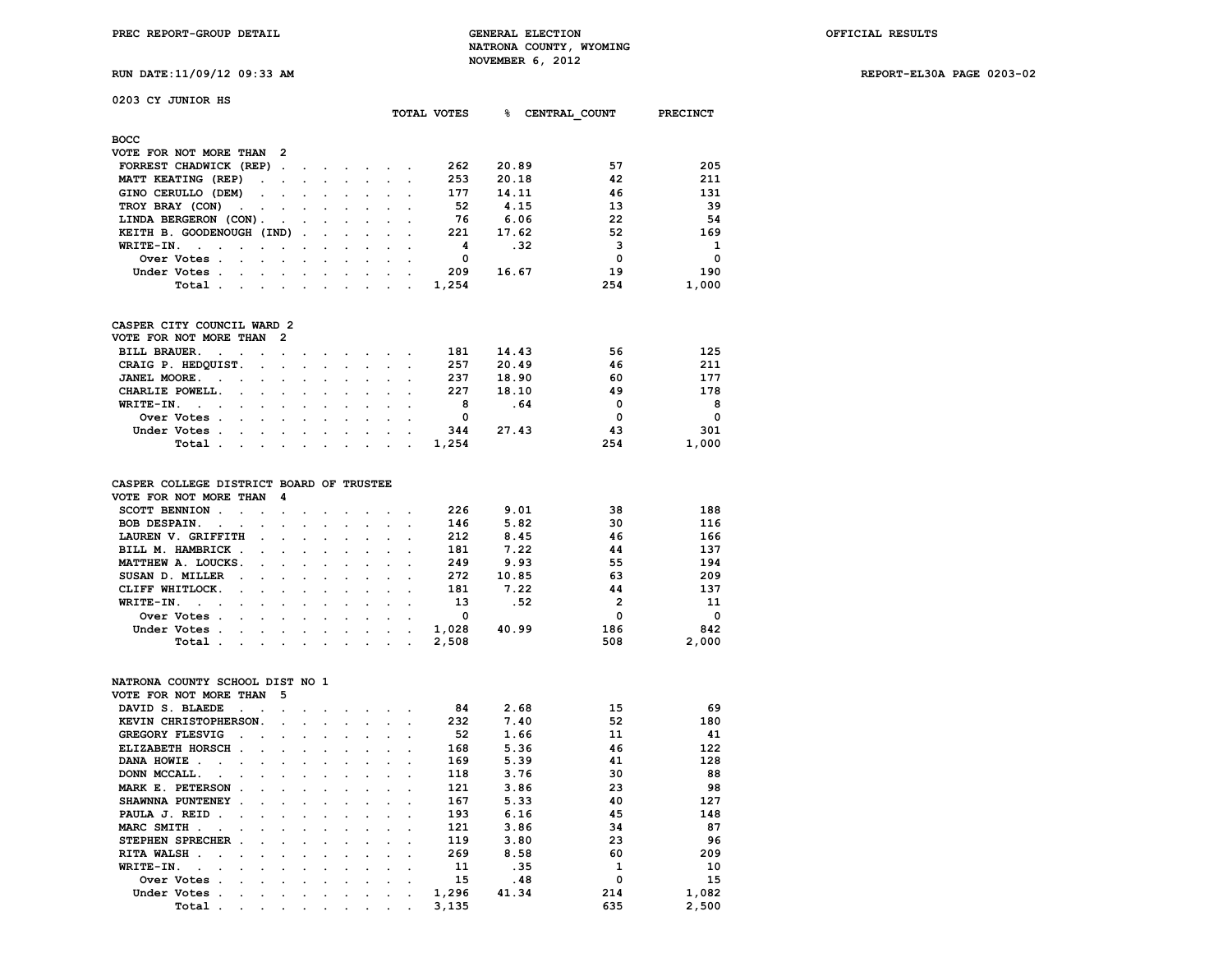**RUN DATE:11/09/12 09:33 AM REPORT-EL30A PAGE 0203-02**

| 0203 CY JUNIOR HS |  |
|-------------------|--|
|-------------------|--|

|                                                                     | TOTAL VOTES                      | ዱ<br>CENTRAL COUNT | <b>PRECINCT</b> |
|---------------------------------------------------------------------|----------------------------------|--------------------|-----------------|
| <b>BOCC</b>                                                         |                                  |                    |                 |
| VOTE FOR NOT MORE THAN 2                                            |                                  |                    |                 |
| FORREST CHADWICK (REP).<br>$\sim$                                   | 262                              | 57<br>20.89        | 205             |
| MATT KEATING (REP)<br>$\sim 10^{-11}$                               | 253                              | 42<br>20.18        | 211             |
| GINO CERULLO (DEM)<br>$\sim$                                        | 177                              | 46<br>14.11        | 131             |
| TROY BRAY (CON)<br><b>Contract Contract Street</b>                  | 52                               | 13<br>4.15         | 39              |
| LINDA BERGERON (CON).<br>$\sim$<br>$\sim$                           | 76                               | 22<br>6.06         | 54              |
| KEITH B. GOODENOUGH (IND).<br>$\ddot{\phantom{0}}$<br>$\sim$ $\sim$ | 221                              | 52<br>17.62        | 169             |
| WRITE-IN.                                                           | 4                                | 3<br>.32           | 1               |
| Over Votes.                                                         | 0                                | $\Omega$           | $\Omega$        |
| Under Votes.                                                        | 209                              | 19<br>16.67        | 190             |
| Total .                                                             | 1,254<br>$\cdot$ $\cdot$ $\cdot$ | 254                | 1,000           |
|                                                                     |                                  |                    |                 |
|                                                                     |                                  |                    |                 |
| $O2OPBD O2IPW O2OPBO3 O4$                                           |                                  |                    |                 |

#### **CASPER CITY COUNCIL WARD 2 VOTE FOR NOT MORE THAN 2**

| VOTE FOR NOT MORE THAN Z |  |  |  |  |  |       |       |     |          |
|--------------------------|--|--|--|--|--|-------|-------|-----|----------|
| BILL BRAUER.             |  |  |  |  |  | 181   | 14.43 | 56  | 125      |
| CRAIG P. HEDQUIST.       |  |  |  |  |  | 257   | 20.49 | 46  | 211      |
| JANEL MOORE.             |  |  |  |  |  | 237   | 18.90 | 60  | 177      |
| CHARLIE POWELL.          |  |  |  |  |  | 227   | 18.10 | 49  | 178      |
| WRITE-IN.                |  |  |  |  |  |       | . 64  | 0   | 8        |
| Over Votes               |  |  |  |  |  |       |       | O   | $\Omega$ |
| Under Votes              |  |  |  |  |  | 344   | 27.43 | 43  | 301      |
| Total                    |  |  |  |  |  | 1,254 |       | 254 | 1,000    |
|                          |  |  |  |  |  |       |       |     |          |

#### **CASPER COLLEGE DISTRICT BOARD OF TRUSTEE**

| VOTE FOR NOT MORE THAN 4                                                                                                        |                                                                                                                 |  |  |       |       |              |          |
|---------------------------------------------------------------------------------------------------------------------------------|-----------------------------------------------------------------------------------------------------------------|--|--|-------|-------|--------------|----------|
| SCOTT BENNION                                                                                                                   |                                                                                                                 |  |  | 226   | 9.01  | 38           | 188      |
| BOB DESPAIN.                                                                                                                    |                                                                                                                 |  |  | 146   | 5.82  | 30           | 116      |
| LAUREN V. GRIFFITH                                                                                                              | the contract of the contract of the contract of the contract of the contract of the contract of the contract of |  |  | 212   | 8.45  | 46           | 166      |
| BILL M. HAMBRICK                                                                                                                |                                                                                                                 |  |  | 181   | 7.22  | 44           | 137      |
| MATTHEW A. LOUCKS.                                                                                                              |                                                                                                                 |  |  | 249   | 9.93  | 55           | 194      |
| SUSAN D. MILLER                                                                                                                 |                                                                                                                 |  |  | 272   | 10.85 | 63           | 209      |
| CLIFF WHITLOCK.                                                                                                                 |                                                                                                                 |  |  | 181   | 7.22  | 44           | 137      |
| WRITE-IN.                                                                                                                       |                                                                                                                 |  |  | 13    | .52   | $\mathbf{2}$ | 11       |
| Over Votes .<br>the contract of the contract of the contract of the contract of the contract of the contract of the contract of |                                                                                                                 |  |  | 0     |       | 0            | $\Omega$ |
| Under Votes.<br>the contract of the contract of the contract of the contract of the contract of the contract of the contract of |                                                                                                                 |  |  | 1,028 | 40.99 | 186          | 842      |
| Total.<br>the contract of the contract of the contract of the contract of the contract of the contract of the contract of       |                                                                                                                 |  |  | 2,508 |       | 508          | 2,000    |

#### **NATRONA COUNTY SCHOOL DIST NO 1**

| VOTE FOR NOT MORE THAN  |              | 5       |         |                          |         |         |         |       |       |          |       |
|-------------------------|--------------|---------|---------|--------------------------|---------|---------|---------|-------|-------|----------|-------|
| DAVID S. BLAEDE         |              |         |         |                          |         |         |         | 84    | 2.68  | 15       | 69    |
| KEVIN CHRISTOPHERSON.   |              | $\cdot$ |         |                          | $\sim$  |         |         | 232   | 7.40  | 52       | 180   |
| GREGORY FLESVIG         |              |         |         |                          |         |         |         | 52    | 1.66  | 11       | 41    |
| <b>ELIZABETH HORSCH</b> | $\sim$       |         | $\cdot$ |                          |         |         |         | 168   | 5.36  | 46       | 122   |
| DANA HOWIE.             | $\sim$       |         | $\cdot$ | $\overline{\phantom{a}}$ |         |         |         | 169   | 5.39  | 41       | 128   |
| DONN MCCALL.            |              | $\sim$  | $\cdot$ |                          |         |         |         | 118   | 3.76  | 30       | 88    |
| MARK E. PETERSON        | $\sim$       |         |         |                          |         |         |         | 121   | 3.86  | 23       | 98    |
| SHAWNNA PUNTENEY        | $\sim$       |         | $\cdot$ |                          |         |         |         | 167   | 5.33  | 40       | 127   |
| PAULA J. REID<br>n.     |              | $\sim$  |         |                          |         |         |         | 193   | 6.16  | 45       | 148   |
| MARC SMITH.             |              |         | $\cdot$ |                          |         |         |         | 121   | 3.86  | 34       | 87    |
| STEPHEN SPRECHER        | $\mathbf{r}$ |         | $\cdot$ |                          |         |         |         | 119   | 3.80  | 23       | 96    |
| RITA WALSH.             |              | $\sim$  | $\cdot$ | $\cdot$                  |         |         |         | 269   | 8.58  | 60       | 209   |
| WRITE-IN.               |              |         |         |                          |         |         |         | 11    | .35   |          | 10    |
| Over Votes              |              |         |         |                          |         |         | $\cdot$ | 15    | .48   | $\Omega$ | 15    |
| Under Votes             |              | $\cdot$ | $\cdot$ |                          | $\cdot$ | $\cdot$ |         | 1,296 | 41.34 | 214      | 1,082 |
| Total                   |              | $\cdot$ | $\cdot$ |                          | ٠       |         |         | 3,135 |       | 635      | 2,500 |
|                         |              |         |         |                          |         |         |         |       |       |          |       |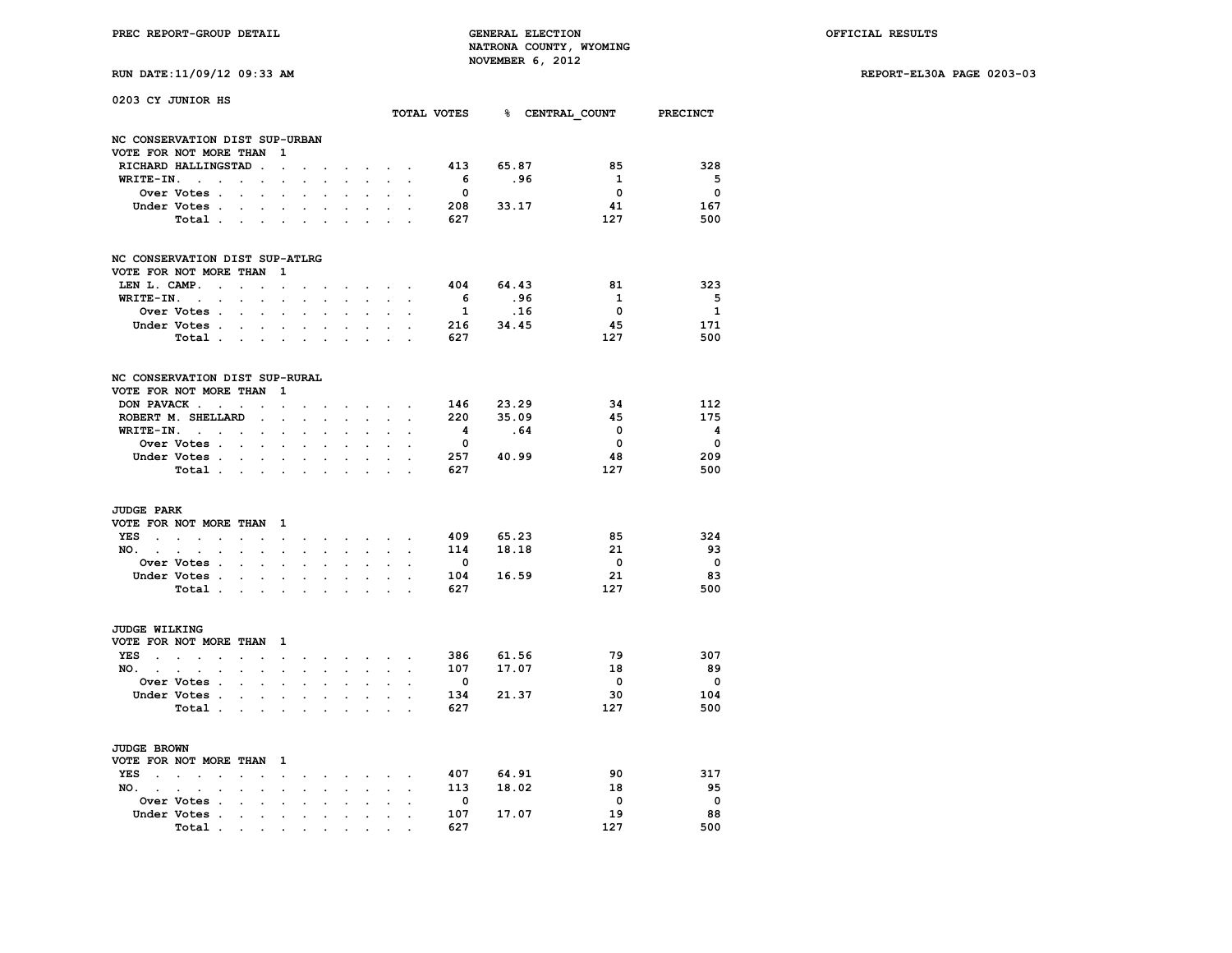| RUN DATE:11/09/12 09:33 AM |  |  |
|----------------------------|--|--|

| 0203 CY JUNIOR HS                     |                                                          |                                              |                      |                      |                      |                      |                        |                                   |                                          |                          |                         |           | TOTAL VOTES 8 CENTRAL COUNT PRECINCT |                          |
|---------------------------------------|----------------------------------------------------------|----------------------------------------------|----------------------|----------------------|----------------------|----------------------|------------------------|-----------------------------------|------------------------------------------|--------------------------|-------------------------|-----------|--------------------------------------|--------------------------|
|                                       |                                                          |                                              |                      |                      |                      |                      |                        |                                   |                                          |                          |                         |           |                                      |                          |
| NC CONSERVATION DIST SUP-URBAN        |                                                          |                                              |                      |                      |                      |                      |                        |                                   |                                          |                          |                         |           |                                      |                          |
| VOTE FOR NOT MORE THAN                | RICHARD HALLINGSTAD                                      |                                              |                      | 1                    |                      |                      |                        |                                   |                                          |                          | 413                     | 65.87     | 85                                   | 328                      |
| WRITE-IN.                             | $\sim$ $\sim$                                            |                                              | $\ddot{\phantom{a}}$ | $\ddot{\phantom{0}}$ |                      |                      |                        |                                   | $\cdot$ $\cdot$ $\cdot$                  |                          | - 6                     | .96       | 1                                    | $5^{\circ}$              |
|                                       | Over Votes .                                             | $\ddot{\phantom{0}}$<br>$\ddot{\phantom{0}}$ | $\ddot{\phantom{0}}$ | $\ddot{\phantom{0}}$ | $\ddot{\phantom{a}}$ |                      |                        | $\ddot{\phantom{a}}$              |                                          |                          | $\overline{\mathbf{0}}$ |           | $\mathbf{0}$                         | $\overline{\mathbf{0}}$  |
|                                       | Under Votes .                                            |                                              |                      | $\ddot{\phantom{0}}$ |                      |                      |                        |                                   |                                          |                          | 208                     | 33.17     | 41                                   | 167                      |
|                                       | Total .                                                  | $\sim$                                       | $\cdot$              | $\sim$               | $\ddot{\phantom{a}}$ | $\sim$               |                        |                                   |                                          |                          | 627                     |           | 127                                  | 500                      |
|                                       |                                                          |                                              |                      |                      |                      |                      |                        |                                   |                                          |                          |                         |           |                                      |                          |
| NC CONSERVATION DIST SUP-ATLRG        |                                                          |                                              |                      |                      |                      |                      |                        |                                   |                                          |                          |                         |           |                                      |                          |
| VOTE FOR NOT MORE THAN                |                                                          |                                              |                      | 1                    |                      |                      |                        |                                   |                                          |                          |                         |           |                                      |                          |
| LEN L. CAMP.                          | $\sim$                                                   | $\sim$                                       | $\ddot{\phantom{a}}$ | $\ddot{\phantom{a}}$ |                      |                      |                        | <b>Contract Contract Contract</b> |                                          |                          | 404                     | 64.43     | 81                                   | 323                      |
| WRITE-IN.                             | $\sim 100$ km s $^{-1}$                                  | $\sim$                                       | $\ddot{\phantom{0}}$ | $\sim$               | $\cdot$              | $\ddot{\phantom{a}}$ | $\ddot{\phantom{0}}$   | $\sim$                            |                                          |                          | - 6                     | .96       | $\mathbf{1}$<br>$\overline{0}$       | - 5                      |
|                                       | <b>Over Votes .</b>                                      | $\ddot{\phantom{0}}$                         | $\ddot{\phantom{a}}$ | $\cdot$              | $\cdot$              | $\cdot$              | $\cdot$                | $\ddot{\phantom{a}}$              | $\ddot{\phantom{a}}$                     |                          | $\mathbf{1}$            | .16       |                                      | $\mathbf{1}$             |
|                                       | Under Votes .                                            | $\overline{\phantom{a}}$                     |                      |                      |                      |                      |                        |                                   |                                          |                          | 216                     | 34.45     | 45                                   | 171<br>500               |
|                                       | Total                                                    |                                              | $\sim$               | $\ddot{\phantom{0}}$ | $\ddot{\phantom{0}}$ | $\ddot{\phantom{0}}$ | $\cdot$                | $\ddot{\phantom{a}}$              |                                          | $\overline{\phantom{a}}$ | 627                     |           | 127                                  |                          |
| NC CONSERVATION DIST SUP-RURAL        |                                                          |                                              |                      |                      |                      |                      |                        |                                   |                                          |                          |                         |           |                                      |                          |
| VOTE FOR NOT MORE THAN                |                                                          |                                              |                      | 1                    |                      |                      |                        |                                   |                                          |                          |                         |           |                                      |                          |
| DON PAVACK.                           | $\ddot{\phantom{a}}$                                     | $\sim$                                       | $\cdot$              | $\ddot{\phantom{0}}$ |                      |                      |                        |                                   | $\mathbf{r} = \mathbf{r}$                |                          |                         | 146 23.29 | 34                                   | 112                      |
|                                       | ROBERT M. SHELLARD                                       |                                              | $\ddot{\phantom{0}}$ | $\ddot{\phantom{0}}$ | $\ddot{\phantom{0}}$ | $\ddot{\phantom{0}}$ | $\ddot{\phantom{0}}$   | $\ddot{\phantom{0}}$              | $\ddot{\phantom{a}}$                     |                          | 220                     | 35.09     | 45                                   | 175                      |
|                                       | $WRITE-IN.$                                              |                                              | $\bullet$            | $\ddot{\phantom{0}}$ | $\ddot{\phantom{0}}$ |                      |                        |                                   |                                          |                          | - 4                     | . 64      | $\mathbf 0$                          | $\overline{\mathbf{4}}$  |
|                                       | Over Votes .                                             | $\sim$                                       |                      |                      |                      |                      |                        |                                   |                                          |                          | $\overline{\mathbf{0}}$ |           | $\overline{\mathbf{0}}$              | $\overline{\mathbf{0}}$  |
|                                       | Under Votes                                              |                                              |                      | $\bullet$ .          | $\bullet$            | $\bullet$            |                        | $\bullet$                         | $\ddot{\phantom{a}}$                     |                          | 257                     | 40.99     | 48                                   | 209                      |
|                                       | Total .                                                  | $\sim 100$ km s $^{-1}$                      | $\sim$               |                      | $\bullet$            |                      |                        |                                   | $\ddot{\phantom{a}}$                     |                          | 627                     |           | 127                                  | 500                      |
| <b>JUDGE PARK</b>                     |                                                          |                                              |                      |                      |                      |                      |                        |                                   |                                          |                          |                         |           |                                      |                          |
| VOTE FOR NOT MORE THAN 1              |                                                          |                                              |                      |                      |                      |                      |                        |                                   |                                          |                          |                         |           |                                      |                          |
| YES.                                  | $\sim$ $\sim$ $\sim$                                     | $\cdot$                                      | $\cdot$              | $\ddot{\phantom{0}}$ | $\ddot{\phantom{0}}$ |                      |                        |                                   |                                          | $\ddot{\phantom{a}}$     | 409                     | 65.23     | 85                                   | 324                      |
| $NO.$ $.$ $.$                         | $\ddot{\phantom{a}}$                                     | $\ddot{\phantom{0}}$                         | $\ddot{\phantom{a}}$ | $\ddot{\phantom{a}}$ | $\ddot{\phantom{a}}$ | $\ddot{\phantom{0}}$ | $\ddot{\phantom{0}}$   | $\sim$                            | $\ddot{\phantom{0}}$                     | $\ddot{\phantom{a}}$     | 114                     | 18.18     | 21                                   | 93                       |
|                                       | <b>Over Votes .</b>                                      | $\ddot{\phantom{0}}$                         |                      |                      |                      |                      |                        |                                   |                                          |                          | $\overline{\mathbf{0}}$ |           | $\overline{\mathbf{0}}$              | $\overline{\phantom{0}}$ |
|                                       | Under Votes .                                            | $\sim$                                       | $\ddot{\phantom{0}}$ | $\bullet$            | $\ddot{\phantom{0}}$ | $\ddot{\phantom{0}}$ | $\ddot{\phantom{a}}$   | $\ddot{\phantom{0}}$              | $\ddot{\phantom{a}}$                     | $\overline{a}$           | 104                     | 16.59     | 21                                   | 83                       |
|                                       | Total .                                                  | $\sim$                                       | $\ddot{\phantom{0}}$ | $\ddot{\phantom{a}}$ |                      |                      |                        |                                   | $\ddot{\phantom{a}}$                     |                          | 627                     |           | 127                                  | 500                      |
| JUDGE WILKING                         |                                                          |                                              |                      |                      |                      |                      |                        |                                   |                                          |                          |                         |           |                                      |                          |
| VOTE FOR NOT MORE THAN                |                                                          |                                              |                      | $\mathbf{1}$         |                      |                      |                        |                                   |                                          |                          |                         |           |                                      |                          |
| YES.                                  | $\sim$ $\sim$ $\sim$<br>$\bullet$                        | $\ddot{\phantom{0}}$                         |                      | $\ddot{\phantom{0}}$ | $\ddot{\phantom{0}}$ |                      | <b>Service Control</b> |                                   | $\mathbf{r} = \mathbf{r} + \mathbf{r}$ . |                          | 386                     | 61.56     | 79                                   | 307                      |
| $NO.$ $.$                             | $\ddot{\phantom{a}}$ .<br>$\ddot{\phantom{a}}$           | $\ddot{\phantom{0}}$                         | $\bullet$            | $\ddot{\phantom{a}}$ | $\ddot{\phantom{a}}$ |                      | $\ddot{\phantom{0}}$   | $\ddot{\phantom{a}}$              | $\ddot{\phantom{0}}$                     | $\ddot{\phantom{a}}$     |                         | 107 17.07 | 18                                   | 89                       |
|                                       | <b>Over Votes .</b>                                      | $\sim$                                       |                      |                      |                      |                      |                        |                                   |                                          |                          | $\overline{\mathbf{0}}$ |           | - 0                                  | $\overline{\mathbf{0}}$  |
|                                       | Under Votes .                                            | $\sim 10^{-10}$                              | $\bullet$ .          | $\bullet$            | $\bullet$            | $\bullet$            | $\ddot{\phantom{0}}$   | $\sim$                            | $\ddot{\phantom{a}}$                     | $\overline{a}$           | 134                     | 21.37     | 30                                   | 104                      |
|                                       | Total .                                                  | $\bullet$                                    | $\sim$               | $\cdot$              | $\cdot$              | $\ddot{\phantom{a}}$ | $\ddot{\phantom{a}}$   |                                   | $\ddot{\phantom{0}}$                     |                          | 627                     |           | 127                                  | 500                      |
|                                       |                                                          |                                              |                      |                      |                      |                      |                        |                                   |                                          |                          |                         |           |                                      |                          |
| JUDGE BROWN<br>VOTE FOR NOT MORE THAN |                                                          |                                              |                      | $\mathbf{1}$         |                      |                      |                        |                                   |                                          |                          |                         |           |                                      |                          |
| YES .                                 | $\mathbf{r} = \mathbf{r}$<br>$\cdot$                     | $\cdot$                                      |                      |                      |                      |                      |                        |                                   |                                          |                          | 407                     | 64.91     | 90                                   | 317                      |
| $NO.$ $.$                             |                                                          | $\ddot{\phantom{a}}$                         | $\cdot$              | $\ddot{\phantom{0}}$ | $\ddot{\phantom{0}}$ |                      |                        | $\ddot{\phantom{0}}$              | $\sim$                                   |                          | 113                     | 18.02     | 18                                   | 95                       |
|                                       | $\ddot{\phantom{a}}$ .<br>$\cdot$<br><b>Over Votes .</b> |                                              |                      | $\blacksquare$       | $\bullet$            | $\bullet$            | $\ddot{\phantom{0}}$   | $\ddot{\phantom{0}}$              | $\blacksquare$                           | $\bullet$                | $\overline{\mathbf{0}}$ |           | $\overline{\phantom{0}}$             | $\overline{\phantom{0}}$ |
|                                       | Under Votes<br>$\ddot{\phantom{a}}$                      | $\cdot$                                      | $\ddot{\phantom{a}}$ | $\ddot{\phantom{a}}$ | $\cdot$              |                      |                        | $\cdot$                           |                                          |                          | 107                     | 17.07     | 19                                   | 88                       |
|                                       | Total<br>$\bullet$                                       | the contract of the contract of              |                      |                      | $\bullet$            |                      |                        |                                   |                                          |                          | 627                     |           | 127                                  | 500                      |
|                                       |                                                          |                                              |                      |                      |                      |                      |                        |                                   |                                          |                          |                         |           |                                      |                          |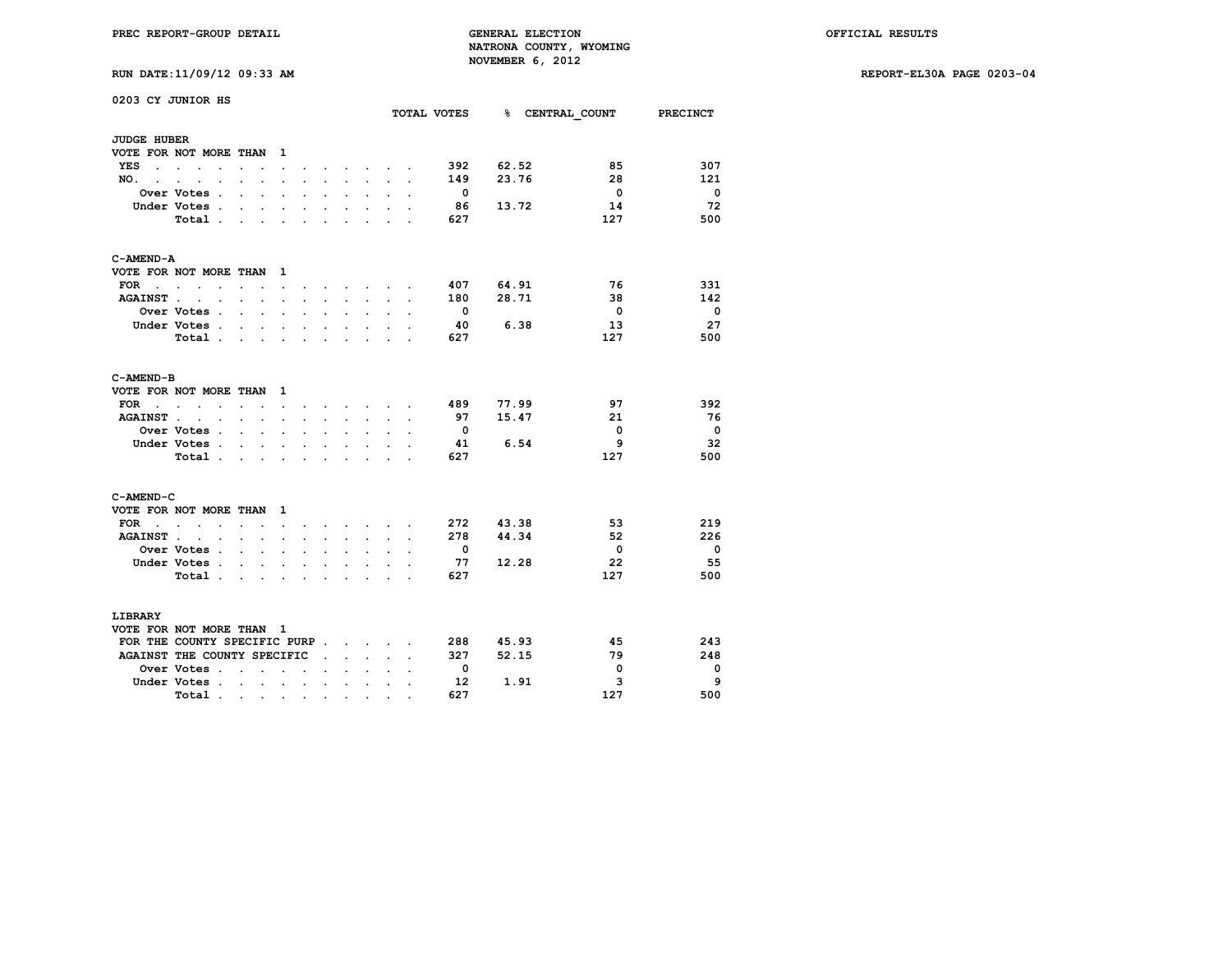|                     | 0203 CY JUNIOR HS                                      |                      |                           |                          |                      |                          |                      |                                   |                                                                    |                      | TOTAL VOTES              |       | % CENTRAL COUNT PRECINCT |                          |
|---------------------|--------------------------------------------------------|----------------------|---------------------------|--------------------------|----------------------|--------------------------|----------------------|-----------------------------------|--------------------------------------------------------------------|----------------------|--------------------------|-------|--------------------------|--------------------------|
| <b>JUDGE HUBER</b>  |                                                        |                      |                           |                          |                      |                          |                      |                                   |                                                                    |                      |                          |       |                          |                          |
|                     | VOTE FOR NOT MORE THAN                                 |                      |                           | $\mathbf{1}$             |                      |                          |                      |                                   |                                                                    |                      |                          |       |                          |                          |
| YES                 | $\sim$                                                 |                      |                           | $\ddot{\phantom{0}}$     |                      |                          | $\bullet$            | <b>Contract Contract Contract</b> | $\sim$                                                             |                      | 392                      | 62.52 | 85                       | 307                      |
| NO.<br>$\mathbf{r}$ | $\cdot$<br>$\overline{a}$                              |                      |                           |                          |                      |                          | $\ddot{\phantom{a}}$ | $\mathbf{r}$                      |                                                                    | $\overline{a}$       | 149                      | 23.76 | 28                       | 121                      |
|                     | Over Votes .                                           | $\overline{a}$       | $\ddot{\phantom{a}}$      | $\ddot{\phantom{0}}$     | $\cdot$              | $\cdot$                  | $\ddot{\phantom{0}}$ | $\ddot{\phantom{0}}$              |                                                                    | $\overline{a}$       | - 0                      |       | $\overline{\phantom{0}}$ | - 0                      |
|                     | Under Votes .                                          | $\ddot{\phantom{0}}$ |                           |                          |                      |                          |                      |                                   |                                                                    |                      | 86                       | 13.72 | 14                       | 72                       |
|                     | Total.                                                 |                      | s.                        |                          |                      | $\cdot$                  | ÷                    |                                   |                                                                    |                      | 627                      |       | 127                      | 500                      |
| C-AMEND-A           |                                                        |                      |                           |                          |                      |                          |                      |                                   |                                                                    |                      |                          |       |                          |                          |
|                     | VOTE FOR NOT MORE THAN                                 |                      |                           | $\mathbf{1}$             |                      |                          |                      |                                   |                                                                    |                      |                          |       |                          |                          |
| FOR .               | $\sim$ $\sim$<br>$\cdot$                               | $\sim$               | $\ddot{\phantom{a}}$      | $\ddot{\phantom{0}}$     |                      |                          | $\ddot{\phantom{a}}$ |                                   |                                                                    |                      | 407                      | 64.91 | 76                       | 331                      |
| <b>AGAINST</b> .    | <b>Contract Contract</b>                               | $\sim$               | $\sim$                    | $\ddot{\phantom{a}}$     | $\ddot{\phantom{a}}$ | $\ddot{\phantom{0}}$     | $\ddot{\phantom{0}}$ | $\ddot{\phantom{0}}$              | $\ddot{\phantom{a}}$                                               | $\cdot$              | 180                      | 28.71 | 38                       | 142                      |
|                     | Over Votes .                                           | $\ddot{\phantom{a}}$ | $\ddot{\phantom{a}}$      |                          |                      |                          |                      |                                   |                                                                    |                      | $\overline{\phantom{0}}$ |       | $\overline{\mathbf{0}}$  | $\overline{\phantom{0}}$ |
|                     | Under Votes .                                          |                      | $\mathbf{r}$              |                          |                      | $\ddot{\phantom{a}}$     |                      |                                   |                                                                    |                      | -40                      | 6.38  | 13                       | 27                       |
|                     | Total                                                  |                      | $\sim$                    | $\sim$                   | $\bullet$            | $\ddot{\phantom{0}}$     | $\ddot{\phantom{0}}$ | $\ddot{\phantom{0}}$              | $\ddot{\phantom{0}}$                                               |                      | 627                      |       | 127                      | 500                      |
| C-AMEND-B           |                                                        |                      |                           |                          |                      |                          |                      |                                   |                                                                    |                      |                          |       |                          |                          |
|                     | VOTE FOR NOT MORE THAN                                 |                      |                           | $\mathbf{1}$             |                      |                          |                      |                                   |                                                                    |                      |                          |       |                          |                          |
| FOR<br>$\sim$       | $\sim$<br>$\sim$<br>$\ddot{\phantom{0}}$               |                      | $\sim$ $\sim$             | $\ddot{\phantom{0}}$     | $\bullet$            |                          |                      |                                   | $\mathbf{r} = \mathbf{r} + \mathbf{r} + \mathbf{r} + \mathbf{r}$ . | $\sim$               | 489                      | 77.99 | 97                       | 392                      |
| <b>AGAINST.</b>     | $\overline{a}$<br>$\ddot{\phantom{0}}$                 | $\ddot{\phantom{0}}$ | $\ddot{\phantom{a}}$      |                          |                      |                          |                      | $\ddot{\phantom{0}}$              |                                                                    |                      | 97                       | 15.47 | 21                       | - 76                     |
|                     | Over Votes .                                           |                      | $\ddot{\phantom{0}}$      | $\ddot{\phantom{a}}$     |                      |                          |                      |                                   |                                                                    |                      | $\overline{\phantom{0}}$ |       | $\overline{\mathbf{0}}$  | - 0                      |
|                     | Under Votes.                                           |                      | $\sim$ $\sim$ $\sim$      | $\ddot{\phantom{0}}$     | $\ddot{\phantom{0}}$ | $\ddot{\phantom{0}}$     | $\ddot{\phantom{0}}$ | $\ddot{\phantom{0}}$              |                                                                    |                      | -41                      | 6.54  | 9                        | -32                      |
|                     | Total.                                                 |                      |                           |                          |                      |                          |                      |                                   |                                                                    |                      | 627                      |       | 127                      | 500                      |
| C-AMEND-C           |                                                        |                      |                           |                          |                      |                          |                      |                                   |                                                                    |                      |                          |       |                          |                          |
|                     | VOTE FOR NOT MORE THAN                                 |                      |                           | $\mathbf{1}$             |                      |                          |                      |                                   |                                                                    |                      |                          |       |                          |                          |
| FOR .               | $\sim$<br>$\ddot{\phantom{0}}$<br>$\ddot{\phantom{0}}$ | $\overline{a}$       |                           |                          |                      |                          |                      | $\sim$                            | $\sim$                                                             |                      | 272                      | 43.38 | 53                       | 219                      |
| <b>AGAINST</b> .    | $\ddot{\phantom{0}}$<br>$\ddot{\phantom{a}}$           |                      |                           |                          |                      |                          |                      | $\ddot{\phantom{0}}$              |                                                                    |                      | 278                      | 44.34 | 52                       | 226                      |
|                     | <b>Over Votes .</b>                                    |                      | $\mathbf{r} = \mathbf{r}$ | $\bullet$                | $\ddot{\phantom{0}}$ | $\ddot{\phantom{0}}$     | $\ddot{\phantom{0}}$ | $\ddot{\phantom{0}}$              |                                                                    |                      | - 0                      |       | $\overline{\mathbf{0}}$  | $\overline{\phantom{0}}$ |
|                     | Under Votes .                                          | $\ddot{\phantom{a}}$ |                           |                          |                      |                          |                      |                                   |                                                                    |                      | 77                       | 12.28 | 22                       | -55                      |
|                     | Total.                                                 | $\ddot{\phantom{0}}$ | $\sim$                    | $\sim$                   | $\sim$               | $\sim$                   | $\ddot{\phantom{a}}$ | $\ddot{\phantom{0}}$              | $\ddot{\phantom{a}}$                                               | $\ddot{\phantom{a}}$ | 627                      |       | 127                      | 500                      |
| <b>LIBRARY</b>      |                                                        |                      |                           |                          |                      |                          |                      |                                   |                                                                    |                      |                          |       |                          |                          |
|                     | VOTE FOR NOT MORE THAN 1                               |                      |                           |                          |                      |                          |                      |                                   |                                                                    |                      |                          |       |                          |                          |
|                     | FOR THE COUNTY SPECIFIC PURP                           |                      |                           |                          |                      |                          |                      |                                   |                                                                    |                      | 288                      | 45.93 | 45                       | 243                      |
|                     | AGAINST THE COUNTY SPECIFIC                            |                      |                           |                          |                      | $\ddot{\phantom{a}}$     |                      | $\sim$ $\sim$ $\sim$              |                                                                    |                      | 327                      | 52.15 | 79                       | 248                      |
|                     | Over Votes .                                           | $\cdot$              | $\mathbf{r}$              | $\overline{\phantom{a}}$ |                      |                          |                      |                                   |                                                                    |                      | $\overline{\phantom{0}}$ |       | 0                        | $\overline{\phantom{0}}$ |
|                     | Under Votes .                                          | $\sim$               | $\sim$                    | $\sim$                   | $\bullet$            | $\ddot{\phantom{0}}$     | $\ddot{\phantom{a}}$ | $\ddot{\phantom{0}}$              |                                                                    |                      | 12                       | 1.91  | з                        | 9                        |
|                     | Total.                                                 | $\sim 100$           |                           | <b>Contract Contract</b> |                      | <b>Contract Contract</b> | $\bullet$            | $\bullet$                         |                                                                    |                      | 627                      |       | 127                      | 500                      |
|                     |                                                        |                      |                           |                          |                      |                          |                      |                                   |                                                                    |                      |                          |       |                          |                          |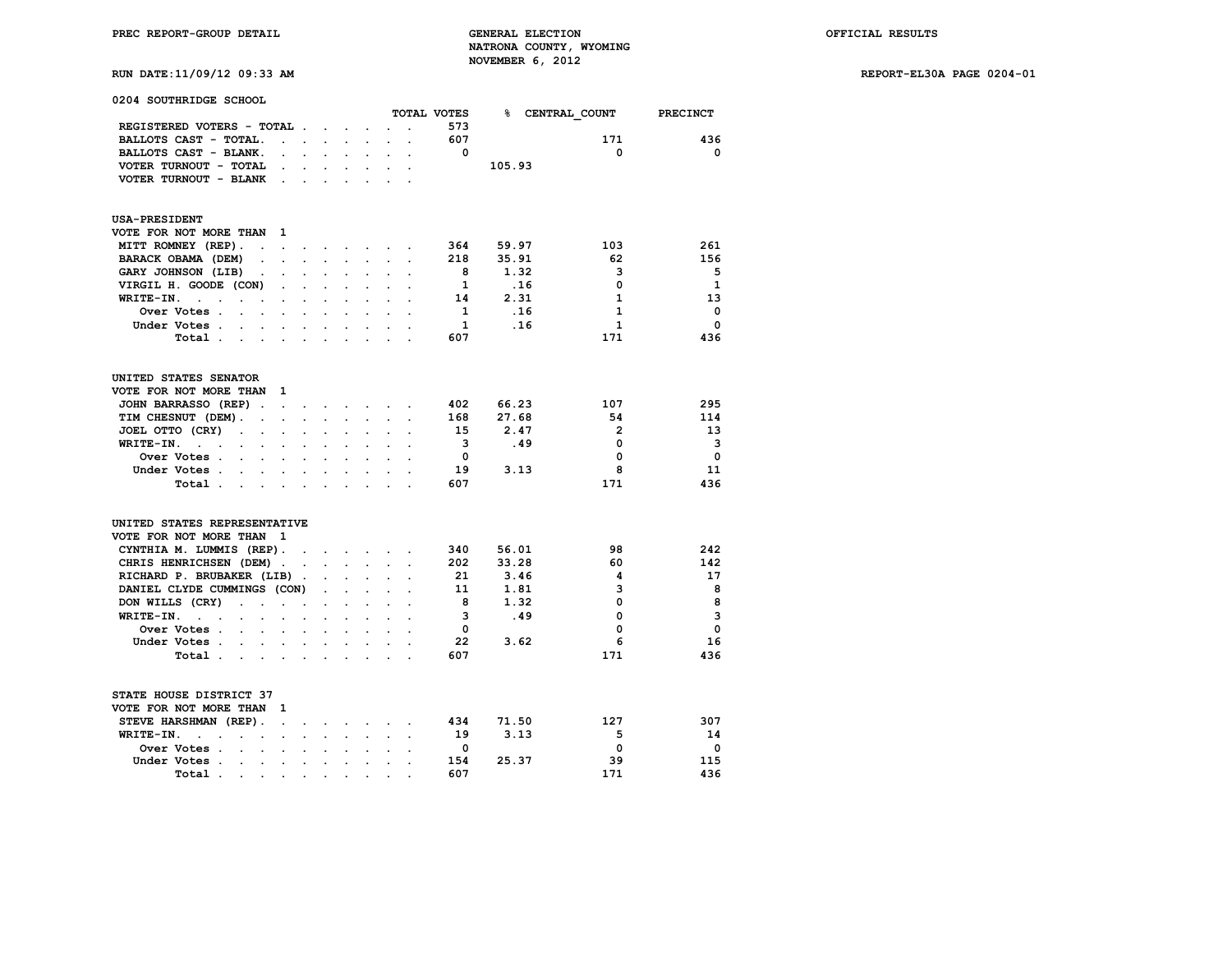| 0204 SOUTHRIDGE SCHOOL                                                                                                                               |                      |                      |                      |                            |                         |                                                                  |                      |                          |        |                          |                         |
|------------------------------------------------------------------------------------------------------------------------------------------------------|----------------------|----------------------|----------------------|----------------------------|-------------------------|------------------------------------------------------------------|----------------------|--------------------------|--------|--------------------------|-------------------------|
|                                                                                                                                                      |                      |                      |                      |                            |                         |                                                                  |                      | TOTAL VOTES              |        | % CENTRAL COUNT PRECINCT |                         |
| REGISTERED VOTERS - TOTAL                                                                                                                            |                      |                      |                      |                            |                         |                                                                  | $\ddot{\phantom{a}}$ | 573                      |        |                          |                         |
| BALLOTS CAST - TOTAL.                                                                                                                                | $\ddot{\phantom{a}}$ | $\sim$ $\sim$        |                      | $\sim$                     |                         |                                                                  |                      | 607                      |        | 171                      | 436                     |
| BALLOTS CAST - BLANK.                                                                                                                                | $\ddot{\phantom{0}}$ |                      | and a state of the   |                            | $\sim$                  | $\ddot{\phantom{0}}$                                             | $\ddot{\phantom{a}}$ | $^{\circ}$               |        | 0                        | 0                       |
| VOTER TURNOUT - TOTAL                                                                                                                                |                      | $\mathbf{L}$         | $\ddot{\phantom{0}}$ |                            |                         |                                                                  |                      |                          | 105.93 |                          |                         |
| VOTER TURNOUT - BLANK .                                                                                                                              |                      | $\ddot{\phantom{0}}$ |                      | $\ddot{\phantom{0}}$       | $\ddot{\phantom{0}}$    |                                                                  |                      |                          |        |                          |                         |
| <b>USA-PRESIDENT</b>                                                                                                                                 |                      |                      |                      |                            |                         |                                                                  |                      |                          |        |                          |                         |
| VOTE FOR NOT MORE THAN<br>- 1                                                                                                                        |                      |                      |                      |                            |                         |                                                                  |                      |                          |        |                          |                         |
| MITT ROMNEY (REP).<br>the contract of the contract of the contract of the contract of the contract of the contract of the contract of                |                      |                      |                      |                            |                         |                                                                  |                      | 364                      | 59.97  | 103                      | 261                     |
| BARACK OBAMA (DEM)<br>$\sim$                                                                                                                         | $\sim$               | $\ddot{\phantom{0}}$ | $\ddot{\phantom{0}}$ | $\sim$                     | $\ddot{\phantom{0}}$    |                                                                  |                      | 218                      | 35.91  | 62                       | 156                     |
| GARY JOHNSON (LIB)<br>$\sim$<br>$\ddot{\phantom{a}}$                                                                                                 |                      | $\ddot{\phantom{0}}$ | $\ddot{\phantom{0}}$ | $\ddot{\phantom{a}}$       | $\ddot{\phantom{a}}$    | $\ddot{\phantom{a}}$                                             | $\ddot{\phantom{a}}$ | - 8                      | 1.32   | 3                        | 5                       |
| VIRGIL H. GOODE (CON)                                                                                                                                |                      | $\ddot{\phantom{0}}$ | $\sim$               |                            |                         |                                                                  |                      | $\mathbf{1}$             | .16    | 0                        | $\mathbf{1}$            |
| $WRITE-TN.$<br>$\mathcal{A}^{\mathcal{A}}$ and $\mathcal{A}^{\mathcal{A}}$                                                                           | $\ddot{\phantom{0}}$ | $\bullet$ .          | $\ddot{\phantom{0}}$ | $\sim$                     | $\ddot{\phantom{0}}$    | $\ddot{\phantom{a}}$                                             | $\overline{a}$       | 14                       | 2.31   | 1                        | 13                      |
| Over Votes .<br>and the contract of the con-                                                                                                         |                      |                      |                      |                            |                         |                                                                  |                      | $\mathbf{1}$             | .16    | $\mathbf{1}$             | $\mathbf 0$             |
| Under Votes                                                                                                                                          |                      |                      |                      |                            |                         | $\mathbf{r} = \mathbf{r} + \mathbf{r} + \mathbf{r} + \mathbf{r}$ | $\sim$               | <sup>1</sup>             | .16    | 1                        | $\Omega$                |
| Total                                                                                                                                                |                      | $\sim$               | $\sim$               | $\sim$                     |                         |                                                                  |                      | 607                      |        | 171                      | 436                     |
| UNITED STATES SENATOR                                                                                                                                |                      |                      |                      |                            |                         |                                                                  |                      |                          |        |                          |                         |
| VOTE FOR NOT MORE THAN 1                                                                                                                             |                      |                      |                      |                            |                         |                                                                  |                      |                          |        |                          |                         |
| JOHN BARRASSO (REP).                                                                                                                                 |                      |                      |                      |                            | <b>All Cards</b>        |                                                                  |                      | 402                      | 66.23  | 107                      | 295                     |
| TIM CHESNUT (DEM).<br>the company of the company                                                                                                     |                      |                      | $\sim$               | $\mathcal{L}^{\text{max}}$ | $\sim$                  | $\mathbf{L}^{\text{max}}$                                        | $\ddot{\phantom{a}}$ | 168                      | 27.68  | 54                       | 114                     |
| JOEL OTTO (CRY)<br>$\sim 100$<br>$\sim$<br>$\ddot{\phantom{a}}$                                                                                      |                      |                      |                      |                            |                         |                                                                  |                      | 15                       | 2.47   | $\overline{2}$           | 13                      |
| $WRITE-TN.$                                                                                                                                          | $\ddot{\phantom{0}}$ | $\ddot{\phantom{0}}$ | $\sim$               | $\ddot{\phantom{0}}$       | $\ddot{\phantom{0}}$    |                                                                  | $\sim$ $\sim$        | $\overline{\mathbf{3}}$  | .49    | $\mathbf 0$              | 3                       |
| Over Votes                                                                                                                                           |                      |                      |                      |                            |                         |                                                                  |                      | $\overline{\mathbf{0}}$  |        | 0                        | $\mathbf 0$             |
| Under Votes                                                                                                                                          |                      |                      | $\sim$               | $\ddot{\phantom{0}}$       | $\sim$                  |                                                                  |                      | 19                       | 3.13   | 8                        | 11                      |
| Total                                                                                                                                                |                      | $\ddot{\phantom{0}}$ | $\ddot{\phantom{0}}$ |                            | $\cdot$ $\cdot$ $\cdot$ |                                                                  |                      | 607                      |        | 171                      | 436                     |
|                                                                                                                                                      |                      |                      |                      |                            |                         |                                                                  |                      |                          |        |                          |                         |
| UNITED STATES REPRESENTATIVE                                                                                                                         |                      |                      |                      |                            |                         |                                                                  |                      |                          |        |                          |                         |
| VOTE FOR NOT MORE THAN 1                                                                                                                             |                      |                      |                      |                            |                         |                                                                  |                      |                          |        |                          |                         |
| CYNTHIA M. LUMMIS (REP).                                                                                                                             |                      |                      |                      |                            |                         |                                                                  |                      | 340                      | 56.01  | 98                       | 242                     |
| CHRIS HENRICHSEN (DEM)                                                                                                                               |                      |                      |                      |                            |                         |                                                                  | $\ddot{\phantom{a}}$ | 202                      | 33.28  | 60                       | 142                     |
| RICHARD P. BRUBAKER (LIB).                                                                                                                           |                      |                      | $\ddot{\phantom{0}}$ | $\mathbf{L}$               |                         |                                                                  |                      | 21                       | 3.46   | 4                        | 17                      |
| DANIEL CLYDE CUMMINGS (CON)                                                                                                                          |                      |                      | $\sim$               | $\sim$                     | $\ddot{\phantom{0}}$    |                                                                  |                      | 11                       | 1.81   | 3                        | 8                       |
| DON WILLS (CRY)<br>the contract of the contract                                                                                                      |                      |                      | $\ddot{\phantom{0}}$ | $\ddot{\phantom{a}}$       | $\ddot{\phantom{a}}$    |                                                                  | $\overline{a}$       | - 8                      | 1.32   | 0                        | 8                       |
| WRITE-IN.<br>$\mathcal{L}(\mathcal{L}^{\mathcal{L}})$ and $\mathcal{L}^{\mathcal{L}}$ and $\mathcal{L}^{\mathcal{L}}$<br>$\mathbf{z} = \mathbf{z}$ . |                      | $\ddot{\phantom{0}}$ | $\sim$               | $\sim$                     |                         |                                                                  |                      | 3                        | .49    | 0                        | $\overline{\mathbf{3}}$ |
| Over Votes<br>$\mathcal{L}^{\text{max}}$ and $\mathcal{L}^{\text{max}}$                                                                              |                      | $\ddot{\phantom{0}}$ | $\ddot{\phantom{0}}$ | $\ddot{\phantom{a}}$       | $\ddot{\phantom{a}}$    |                                                                  |                      | $\mathbf{0}$             |        | 0                        | 0                       |
| Under Votes                                                                                                                                          |                      |                      |                      |                            |                         |                                                                  |                      | 22                       | 3.62   | 6                        | 16                      |
| Total                                                                                                                                                |                      |                      | $\ddot{\phantom{0}}$ | $\sim$                     | $\sim$                  | $\ddot{\phantom{a}}$                                             |                      | 607                      |        | 171                      | 436                     |
| STATE HOUSE DISTRICT 37                                                                                                                              |                      |                      |                      |                            |                         |                                                                  |                      |                          |        |                          |                         |
| VOTE FOR NOT MORE THAN 1                                                                                                                             |                      |                      |                      |                            |                         |                                                                  |                      |                          |        |                          |                         |
| STEVE HARSHMAN (REP).<br>$\sim$                                                                                                                      |                      | $\sim$               |                      |                            |                         | $\cdot$ $\cdot$ $\cdot$ $\cdot$ $\cdot$                          |                      | 434                      | 71.50  | 127                      | 307                     |
| WRITE-IN.<br>$\sim$<br>$\ddot{\phantom{a}}$                                                                                                          | $\ddot{\phantom{a}}$ |                      |                      |                            |                         |                                                                  |                      | 19                       | 3.13   | 5                        | 14                      |
| Over Votes                                                                                                                                           |                      | $\ddot{\phantom{0}}$ | $\ddot{\phantom{0}}$ | $\ddot{\phantom{a}}$       | $\sim$                  | $\ddot{\phantom{a}}$                                             | $\ddot{\phantom{a}}$ | $\overline{\phantom{0}}$ |        | 0                        | 0                       |
| Under Votes.<br>$\sim$ $\sim$                                                                                                                        |                      | $\ddot{\phantom{a}}$ | $\sim$               |                            |                         |                                                                  |                      | 154                      | 25.37  | 39                       | 115                     |
| Total                                                                                                                                                |                      |                      |                      |                            |                         | <b>All Contract Administration</b>                               |                      | 607                      |        | 171                      | 436                     |
|                                                                                                                                                      |                      |                      |                      |                            |                         |                                                                  |                      |                          |        |                          |                         |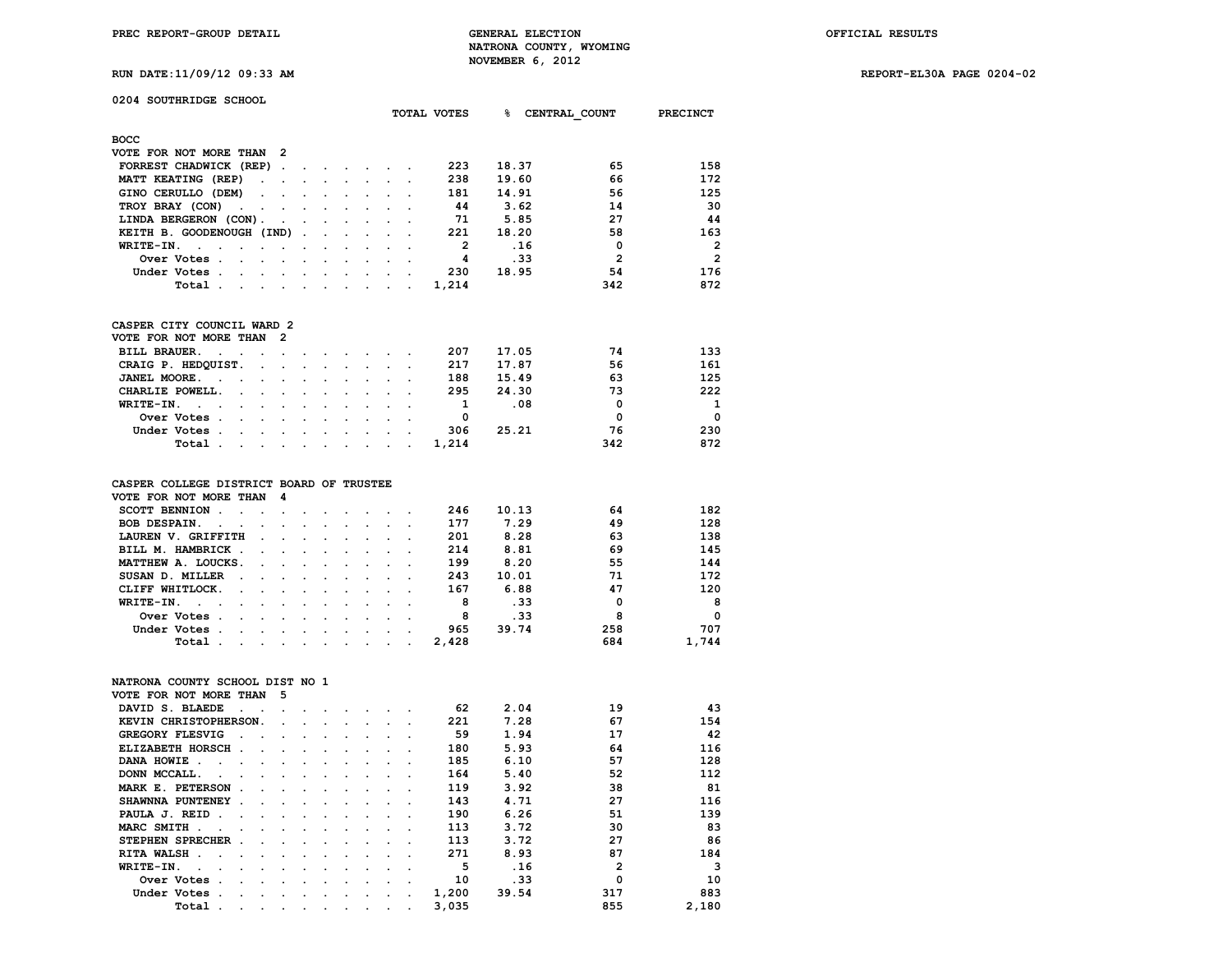| RUN DATE: 11/09/12 09:33 AM                                   |                                                                                                                                                                                                                                |                      |                                                                                                                                                                                                                                |                      |                                                                     |                      |                      |                         | NOVEMBER 6, 2012 |     |                |                |
|---------------------------------------------------------------|--------------------------------------------------------------------------------------------------------------------------------------------------------------------------------------------------------------------------------|----------------------|--------------------------------------------------------------------------------------------------------------------------------------------------------------------------------------------------------------------------------|----------------------|---------------------------------------------------------------------|----------------------|----------------------|-------------------------|------------------|-----|----------------|----------------|
|                                                               |                                                                                                                                                                                                                                |                      |                                                                                                                                                                                                                                |                      |                                                                     |                      |                      |                         |                  |     |                |                |
| 0204 SOUTHRIDGE SCHOOL                                        |                                                                                                                                                                                                                                |                      |                                                                                                                                                                                                                                |                      |                                                                     |                      |                      | TOTAL VOTES             | န                |     | CENTRAL COUNT  | PRECINCT       |
|                                                               |                                                                                                                                                                                                                                |                      |                                                                                                                                                                                                                                |                      |                                                                     |                      |                      |                         |                  |     |                |                |
| <b>BOCC</b>                                                   |                                                                                                                                                                                                                                |                      |                                                                                                                                                                                                                                |                      |                                                                     |                      |                      |                         |                  |     |                |                |
| VOTE FOR NOT MORE THAN 2                                      |                                                                                                                                                                                                                                |                      |                                                                                                                                                                                                                                |                      |                                                                     |                      |                      |                         |                  |     |                |                |
| FORREST CHADWICK (REP).                                       |                                                                                                                                                                                                                                |                      | and the contract of the contract of the contract of the contract of the contract of the contract of the contract of the contract of the contract of the contract of the contract of the contract of the contract of the contra |                      |                                                                     |                      |                      | 223                     | 18.37            |     | 65             | 158            |
| MATT KEATING (REP)                                            | $\ddotsc$                                                                                                                                                                                                                      | $\ddot{\phantom{a}}$ | $\sim$                                                                                                                                                                                                                         | $\mathbf{r}$         | $\ddot{\phantom{0}}$                                                | $\mathbf{r}$         |                      | 238                     | 19.60            |     | 66             | 172            |
| GINO CERULLO (DEM)                                            | $\sim$<br>$\ddot{\phantom{a}}$                                                                                                                                                                                                 | $\ddot{\phantom{a}}$ | $\ddot{\phantom{0}}$                                                                                                                                                                                                           | $\ddot{\phantom{0}}$ | $\ddot{\phantom{0}}$                                                |                      | $\ddot{\phantom{a}}$ | 181                     | 14.91            |     | 56             | 125            |
| TROY BRAY (CON)<br>$\ddot{\phantom{0}}$                       | $\ddot{\phantom{0}}$                                                                                                                                                                                                           | $\ddot{\phantom{a}}$ | $\ddot{\phantom{a}}$                                                                                                                                                                                                           |                      |                                                                     |                      |                      | 44                      | 3.62             |     | 14             | 30             |
| LINDA BERGERON (CON).                                         | $\ddot{\phantom{0}}$                                                                                                                                                                                                           | $\ddot{\phantom{a}}$ | $\blacksquare$                                                                                                                                                                                                                 | $\ddot{\phantom{0}}$ | $\ddot{\phantom{0}}$                                                | $\ddot{\phantom{0}}$ | $\ddot{\phantom{a}}$ | -71                     | 5.85             |     | 27             | 44             |
| KEITH B. GOODENOUGH (IND)                                     |                                                                                                                                                                                                                                | $\ddot{\phantom{a}}$ | $\ddot{\phantom{a}}$                                                                                                                                                                                                           | $\ddot{\phantom{a}}$ |                                                                     |                      |                      | 221                     | 18.20            |     | 58             | 163            |
| WRITE-IN.<br>$\sim$ $\sim$<br>$\sim 100$ km s $^{-1}$         | $\ddot{\phantom{a}}$<br>$\ddot{\phantom{a}}$                                                                                                                                                                                   | $\ddot{\phantom{a}}$ | $\bullet$ .                                                                                                                                                                                                                    | $\ddot{\phantom{a}}$ | $\ddot{\phantom{a}}$                                                |                      | $\overline{a}$       | $\overline{2}$          |                  | .16 | $\mathbf 0$    | $\overline{2}$ |
| Over Votes.                                                   |                                                                                                                                                                                                                                |                      |                                                                                                                                                                                                                                |                      |                                                                     |                      |                      | $\overline{\mathbf{4}}$ |                  | .33 | $\overline{2}$ | $\overline{2}$ |
| Under Votes.<br>$\mathbf{r}$ , $\mathbf{r}$ , $\mathbf{r}$    | $\sim$                                                                                                                                                                                                                         |                      | $\sim$                                                                                                                                                                                                                         |                      | $\ddot{\phantom{a}}$                                                |                      |                      | 230                     | 18.95            |     | 54             | 176            |
| Total .                                                       | and a strong control of the state of the state of the state of the state of the state of the state of the state of the state of the state of the state of the state of the state of the state of the state of the state of the |                      |                                                                                                                                                                                                                                |                      | $\cdot$                                                             | $\mathbf{z}$ .       |                      | 1,214                   |                  |     | 342            | 872            |
| CASPER CITY COUNCIL WARD 2                                    |                                                                                                                                                                                                                                |                      |                                                                                                                                                                                                                                |                      |                                                                     |                      |                      |                         |                  |     |                |                |
| VOTE FOR NOT MORE THAN                                        | $\overline{2}$                                                                                                                                                                                                                 |                      |                                                                                                                                                                                                                                |                      |                                                                     |                      |                      |                         |                  |     |                |                |
| BILL BRAUER.<br>$\bullet$                                     | $\ddot{\phantom{0}}$                                                                                                                                                                                                           |                      |                                                                                                                                                                                                                                | $\sim$               | $\ddot{\phantom{0}}$                                                | $\sim$               |                      | 207                     | 17.05            |     | 74             | 133            |
| CRAIG P. HEDQUIST.                                            | $\sim$<br>$\ddot{\phantom{a}}$                                                                                                                                                                                                 | $\ddot{\phantom{a}}$ | $\ddot{\phantom{0}}$                                                                                                                                                                                                           | $\ddot{\phantom{a}}$ | $\ddot{\phantom{0}}$                                                | $\ddot{\phantom{0}}$ | $\ddot{\phantom{a}}$ | 217                     | 17.87            |     | 56             | 161            |
| JANEL MOORE.<br>$\ddot{\phantom{a}}$<br>$\ddot{\phantom{a}}$  |                                                                                                                                                                                                                                |                      |                                                                                                                                                                                                                                |                      |                                                                     |                      |                      | 188                     | 15.49            |     | 63             | 125            |
| CHARLIE POWELL.                                               | $\ddot{\phantom{0}}$<br>$\ddot{\phantom{a}}$                                                                                                                                                                                   | $\ddot{\phantom{a}}$ | $\ddot{\phantom{a}}$                                                                                                                                                                                                           | $\ddot{\phantom{a}}$ | $\ddot{\phantom{0}}$                                                |                      | $\ddot{\phantom{a}}$ | 295                     | 24.30            |     | 73             | 222            |
| WRITE-IN.<br>$\sim$ $\sim$                                    |                                                                                                                                                                                                                                |                      |                                                                                                                                                                                                                                |                      |                                                                     |                      |                      | $\mathbf{1}$            |                  | .08 | $\mathbf{0}$   | 1              |
| Over Votes .<br>$\mathbf{L}$                                  | $\ddot{\phantom{0}}$<br>$\ddot{\phantom{a}}$                                                                                                                                                                                   | $\ddot{\phantom{a}}$ | $\ddot{\phantom{a}}$                                                                                                                                                                                                           | $\ddot{\phantom{0}}$ | $\ddot{\phantom{a}}$                                                |                      |                      | 0                       |                  |     | $\mathbf 0$    | $\Omega$       |
| Under Votes.<br>$\ddot{\phantom{0}}$                          | $\mathcal{L}^{\text{max}}$<br>$\sim$                                                                                                                                                                                           | $\ddot{\phantom{a}}$ | $\ddot{\phantom{a}}$                                                                                                                                                                                                           |                      | $\mathbf{r}$                                                        |                      |                      | 306                     | 25.21            |     | 76             | 230            |
| Total                                                         | $\sim$                                                                                                                                                                                                                         | $\sim$               | $\sim$                                                                                                                                                                                                                         | $\sim$               | $\ddot{\phantom{0}}$                                                | $\mathbf{r}$         | $\ddot{\phantom{0}}$ | 1,214                   |                  |     | 342            | 872            |
|                                                               |                                                                                                                                                                                                                                |                      |                                                                                                                                                                                                                                |                      |                                                                     |                      |                      |                         |                  |     |                |                |
| CASPER COLLEGE DISTRICT BOARD OF TRUSTEE                      | 4                                                                                                                                                                                                                              |                      |                                                                                                                                                                                                                                |                      |                                                                     |                      |                      |                         |                  |     |                |                |
| VOTE FOR NOT MORE THAN                                        |                                                                                                                                                                                                                                |                      |                                                                                                                                                                                                                                |                      |                                                                     |                      |                      | 246                     | 10.13            |     | 64             | 182            |
| SCOTT BENNION.<br><b>Contract Contract</b>                    | $\mathbf{r}$                                                                                                                                                                                                                   |                      |                                                                                                                                                                                                                                |                      |                                                                     |                      |                      |                         | 7.29             |     | 49             | 128            |
| BOB DESPAIN.<br>$\sim$ $\sim$<br><b>Contract Contract</b>     | $\ddot{\phantom{a}}$                                                                                                                                                                                                           |                      | $\ddot{\phantom{a}}$                                                                                                                                                                                                           |                      | $\ddot{\phantom{a}}$                                                |                      |                      | 177                     |                  |     |                |                |
| LAUREN V. GRIFFITH                                            |                                                                                                                                                                                                                                |                      |                                                                                                                                                                                                                                |                      |                                                                     |                      |                      | 201                     | 8.28             |     | 63             | 138            |
| BILL M. HAMBRICK.                                             | $\ddot{\phantom{0}}$                                                                                                                                                                                                           |                      |                                                                                                                                                                                                                                |                      |                                                                     |                      |                      | 214                     | 8.81             |     | 69             | 145            |
| MATTHEW A. LOUCKS.                                            | $\mathbf{r}$<br>$\overline{a}$                                                                                                                                                                                                 |                      |                                                                                                                                                                                                                                |                      |                                                                     |                      |                      | 199                     | 8.20             |     | 55             | 144            |
| SUSAN D. MILLER.                                              | $\ddot{\phantom{a}}$                                                                                                                                                                                                           |                      |                                                                                                                                                                                                                                |                      | $\ddot{\phantom{0}}$                                                |                      |                      | 243                     | 10.01            |     | 71             | 172            |
| CLIFF WHITLOCK.<br>$\ddot{\phantom{a}}$                       | $\sim$<br>$\ddot{\phantom{a}}$                                                                                                                                                                                                 | $\ddot{\phantom{a}}$ | $\ddot{\phantom{a}}$                                                                                                                                                                                                           | $\ddot{\phantom{0}}$ | $\ddot{\phantom{0}}$                                                | $\overline{a}$       | $\ddot{\phantom{a}}$ | 167                     | 6.88             |     | 47             | 120            |
| WRITE-IN.<br><b>Contract Contract</b><br>$\ddot{\phantom{0}}$ | $\ddot{\phantom{0}}$                                                                                                                                                                                                           |                      |                                                                                                                                                                                                                                |                      | $\ddot{\phantom{0}}$                                                |                      |                      | 8                       |                  | .33 | 0              | 8              |
| Over Votes .<br>$\mathbf{r}$                                  | $\mathbf{r}$<br>$\ddot{\phantom{a}}$                                                                                                                                                                                           | $\ddot{\phantom{a}}$ | $\ddot{\phantom{a}}$                                                                                                                                                                                                           | $\ddot{\phantom{0}}$ | $\ddot{\phantom{0}}$                                                | $\ddot{\phantom{a}}$ | $\overline{a}$       | 8                       |                  | .33 | 8              | $\mathbf 0$    |
| Under Votes.<br>$\sim$ $\sim$                                 | $\sim$                                                                                                                                                                                                                         |                      | $\ddot{\phantom{0}}$                                                                                                                                                                                                           |                      |                                                                     |                      |                      | 965                     | 39.74            |     | 258            | 707            |
| Total .                                                       | and a strategies of the state of the                                                                                                                                                                                           |                      |                                                                                                                                                                                                                                |                      | $\ddot{\phantom{0}}$                                                | $\mathbf{r}$         | $\ddot{\phantom{0}}$ | 2,428                   |                  |     | 684            | 1,744          |
| NATRONA COUNTY SCHOOL DIST NO 1                               |                                                                                                                                                                                                                                |                      |                                                                                                                                                                                                                                |                      |                                                                     |                      |                      |                         |                  |     |                |                |
| VOTE FOR NOT MORE THAN                                        | 5                                                                                                                                                                                                                              |                      |                                                                                                                                                                                                                                |                      |                                                                     |                      |                      |                         |                  |     |                |                |
| DAVID S. BLAEDE<br>$\ddot{\phantom{0}}$                       | $\bullet$<br>$\cdot$                                                                                                                                                                                                           |                      |                                                                                                                                                                                                                                |                      | $\sim$ $\sim$ $\sim$ $\sim$ $\sim$                                  |                      |                      | 62                      | 2.04             |     | 19             | 43             |
| KEVIN CHRISTOPHERSON.                                         |                                                                                                                                                                                                                                |                      |                                                                                                                                                                                                                                |                      |                                                                     |                      |                      | 221                     | 7.28             |     | 67             | 154            |
|                                                               |                                                                                                                                                                                                                                |                      | the contract of the contract of                                                                                                                                                                                                |                      | $\bullet$ .<br><br><br><br><br><br><br><br><br><br><br><br><br><br> |                      |                      |                         |                  |     |                |                |

| NATRONA COUNTY SCHOOL DIST NO 1 |        |                      |                      |         |         |         |        |        |  |       |       |              |       |
|---------------------------------|--------|----------------------|----------------------|---------|---------|---------|--------|--------|--|-------|-------|--------------|-------|
| VOTE FOR NOT MORE THAN          |        |                      |                      | -5      |         |         |        |        |  |       |       |              |       |
| DAVID S. BLAEDE                 |        |                      |                      |         |         |         |        |        |  | 62    | 2.04  | 19           | 43    |
| KEVIN CHRISTOPHERSON.           |        |                      |                      | $\sim$  |         |         |        |        |  | 221   | 7.28  | 67           | 154   |
| <b>GREGORY FLESVIG</b>          |        |                      |                      |         |         |         |        |        |  | 59    | 1.94  | 17           | 42    |
| ELIZABETH HORSCH.               |        |                      |                      |         |         |         |        |        |  | 180   | 5.93  | 64           | 116   |
| DANA HOWIE<br>$\sim$            |        |                      |                      |         |         |         |        |        |  | 185   | 6.10  | 57           | 128   |
| DONN MCCALL.                    |        |                      |                      |         | $\cdot$ |         |        |        |  | 164   | 5.40  | 52           | 112   |
| MARK E. PETERSON                | $\sim$ |                      | $\ddot{\phantom{a}}$ |         | $\cdot$ |         |        |        |  | 119   | 3.92  | 38           | 81    |
| SHAWNNA PUNTENEY .              |        |                      |                      |         | $\sim$  | $\cdot$ |        |        |  | 143   | 4.71  | 27           | 116   |
| PAULA J. REID.                  |        | $\ddot{\phantom{a}}$ |                      | $\sim$  | $\sim$  | $\cdot$ | $\sim$ | $\sim$ |  | 190   | 6.26  | 51           | 139   |
| MARC SMITH.                     |        |                      |                      |         |         |         |        |        |  | 113   | 3.72  | 30           | 83    |
| STEPHEN SPRECHER.               |        |                      |                      |         |         |         |        |        |  | 113   | 3.72  | 27           | 86    |
| RITA WALSH.<br>$\sim$           |        |                      |                      |         |         |         |        |        |  | 271   | 8.93  | 87           | 184   |
| WRITE-IN.                       |        |                      |                      |         |         |         |        |        |  | 5     | .16   | $\mathbf{2}$ | 3     |
| Over Votes.                     |        | $\ddot{\phantom{a}}$ |                      |         |         |         |        |        |  | 10    | .33   | 0            | 10    |
| Under Votes.                    |        |                      |                      |         |         |         |        |        |  | 1,200 | 39.54 | 317          | 883   |
| Total .                         |        |                      |                      | $\cdot$ |         |         |        |        |  | 3,035 |       | 855          | 2,180 |
|                                 |        |                      |                      |         |         |         |        |        |  |       |       |              |       |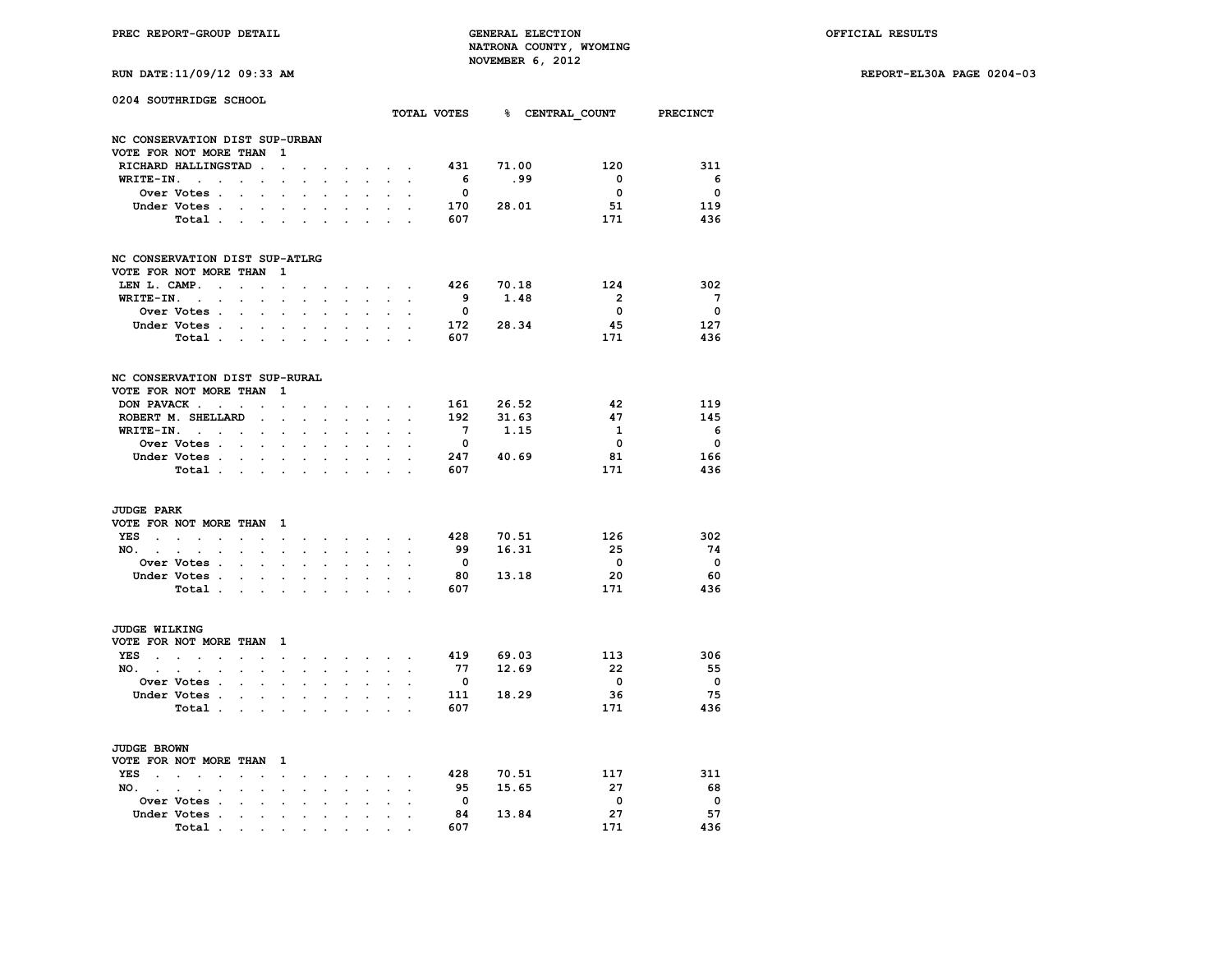|  | RUN DATE:11/09/12 09:33 AM |  |  |  |
|--|----------------------------|--|--|--|
|--|----------------------------|--|--|--|

|                                          | 0204 SOUTHRIDGE SCHOOL                                                                         |                                    |                                                           |                                                                                                         |                                                         |                                                          |                                          |                                                        |                                                                                                             |                      |                                        |                         | TOTAL VOTES 8 CENTRAL COUNT PRECINCT              |                                          |
|------------------------------------------|------------------------------------------------------------------------------------------------|------------------------------------|-----------------------------------------------------------|---------------------------------------------------------------------------------------------------------|---------------------------------------------------------|----------------------------------------------------------|------------------------------------------|--------------------------------------------------------|-------------------------------------------------------------------------------------------------------------|----------------------|----------------------------------------|-------------------------|---------------------------------------------------|------------------------------------------|
|                                          | NC CONSERVATION DIST SUP-URBAN                                                                 |                                    |                                                           |                                                                                                         |                                                         |                                                          |                                          |                                                        |                                                                                                             |                      |                                        |                         |                                                   |                                          |
|                                          | VOTE FOR NOT MORE THAN                                                                         |                                    |                                                           | 1                                                                                                       |                                                         |                                                          |                                          |                                                        |                                                                                                             |                      |                                        |                         |                                                   |                                          |
|                                          | RICHARD HALLINGSTAD.                                                                           |                                    |                                                           | $\mathbf{r}$                                                                                            | $\overline{a}$                                          |                                                          | $\sim$                                   |                                                        | $\sim$ $\sim$ $\sim$                                                                                        |                      | 431                                    | 71.00                   | 120                                               | 311                                      |
| WRITE-IN.                                | $\sim$ $\sim$<br>$\ddot{\phantom{a}}$                                                          |                                    | $\cdot$ $\cdot$                                           | $\overline{a}$                                                                                          |                                                         | $\overline{a}$                                           | ÷.                                       | $\mathbf{r}$                                           | $\sim$                                                                                                      | $\overline{a}$       | - 6                                    | . 99                    | $\Omega$                                          | - 6                                      |
|                                          | Over Votes .                                                                                   | $\sim$                             | $\sim$                                                    |                                                                                                         |                                                         |                                                          |                                          |                                                        |                                                                                                             |                      | $\Omega$                               |                         | $\overline{\mathbf{0}}$                           | $\Omega$                                 |
|                                          | Under Votes                                                                                    |                                    |                                                           | $\bullet$                                                                                               | $\ddot{\phantom{0}}$                                    | $\ddot{\phantom{0}}$                                     | $\ddot{\phantom{0}}$                     | $\mathbf{L}^{\text{max}}$                              | $\sim$                                                                                                      | $\mathbf{r}$         | 170                                    | 28.01                   | 51                                                | 119                                      |
|                                          | Total.                                                                                         |                                    |                                                           |                                                                                                         |                                                         |                                                          | $\mathbf{r}$                             |                                                        | $\mathbf{L}^{\text{max}}$ and $\mathbf{L}^{\text{max}}$                                                     |                      | 607                                    |                         | 171                                               | 436                                      |
|                                          | NC CONSERVATION DIST SUP-ATLRG                                                                 |                                    |                                                           |                                                                                                         |                                                         |                                                          |                                          |                                                        |                                                                                                             |                      |                                        |                         |                                                   |                                          |
|                                          | VOTE FOR NOT MORE THAN                                                                         |                                    |                                                           | 1                                                                                                       |                                                         |                                                          |                                          |                                                        |                                                                                                             |                      |                                        |                         |                                                   |                                          |
| LEN L. CAMP.                             | $\sim$                                                                                         | $\blacksquare$                     | $\bullet$                                                 | $\sim$                                                                                                  |                                                         |                                                          |                                          | $\ddot{\phantom{0}}$                                   | $\sim$                                                                                                      |                      | 426                                    | 70.18                   | 124                                               | 302                                      |
| WRITE-IN.                                | $\sim 10^{-11}$<br>$\mathbf{r}$                                                                |                                    | $\mathbf{r}$                                              |                                                                                                         |                                                         |                                                          |                                          | $\mathbf{L}$                                           |                                                                                                             |                      | - 9                                    | 1.48                    | $\overline{\mathbf{2}}$                           | $7^{\circ}$                              |
|                                          | Over Votes .                                                                                   | $\sim$                             | $\sim$                                                    | $\mathbf{r}$                                                                                            | $\ddot{\phantom{a}}$                                    |                                                          |                                          | $\ddot{\phantom{a}}$                                   |                                                                                                             |                      | $\mathbf 0$                            |                         | $\mathbf 0$                                       | 0                                        |
|                                          | Under Votes.                                                                                   |                                    |                                                           | $\mathbf{r} = \mathbf{r} + \mathbf{r}$                                                                  | $\bullet$                                               | $\ddot{\phantom{a}}$                                     | $\ddot{\phantom{a}}$                     | $\sim$                                                 | $\mathbf{L}$                                                                                                |                      | 172                                    | 28.34                   | 45                                                | 127                                      |
|                                          | Total                                                                                          |                                    |                                                           |                                                                                                         |                                                         |                                                          | s.                                       |                                                        | $\mathbf{r} = \mathbf{r}$                                                                                   |                      | 607                                    |                         | 171                                               | 436                                      |
|                                          | NC CONSERVATION DIST SUP-RURAL                                                                 |                                    |                                                           |                                                                                                         |                                                         |                                                          |                                          |                                                        |                                                                                                             |                      |                                        |                         |                                                   |                                          |
|                                          | VOTE FOR NOT MORE THAN                                                                         |                                    |                                                           | 1                                                                                                       |                                                         |                                                          |                                          |                                                        |                                                                                                             |                      |                                        |                         |                                                   |                                          |
|                                          | DON PAVACK                                                                                     |                                    |                                                           |                                                                                                         |                                                         |                                                          |                                          |                                                        |                                                                                                             |                      | 161                                    | 26.52                   | 42                                                | 119                                      |
|                                          | ROBERT M. SHELLARD                                                                             | $\cdot$                            | $\ddot{\phantom{a}}$                                      | $\ddot{\phantom{0}}$<br>$\overline{a}$                                                                  | $\cdot$                                                 | $\ddot{\phantom{a}}$                                     | $\cdot$                                  | $\sim$<br>$\mathbf{L}$                                 | $\sim$                                                                                                      | $\ddot{\phantom{a}}$ | 192                                    | 31.63                   | 47                                                | 145                                      |
|                                          | $WRITE-TN.$                                                                                    |                                    | $\ddot{\phantom{a}}$<br>$\sim$                            |                                                                                                         | $\ddot{\phantom{a}}$                                    | $\overline{a}$                                           | $\mathbf{r}$                             | $\ddot{\phantom{0}}$                                   |                                                                                                             |                      | $7^{\circ}$                            | 1.15                    | 1                                                 | 6                                        |
|                                          | Over Votes                                                                                     |                                    | $\ddot{\phantom{0}}$                                      | $\ddot{\phantom{a}}$                                                                                    | $\ddot{\phantom{a}}$                                    | $\ddot{\phantom{a}}$                                     |                                          | $\ddot{\phantom{0}}$                                   |                                                                                                             |                      | $\overline{\mathbf{0}}$                |                         | $\overline{\mathbf{0}}$                           | $\overline{\mathbf{0}}$                  |
|                                          | Under Votes.                                                                                   | $\sim$                             |                                                           |                                                                                                         |                                                         |                                                          | $\cdot$                                  |                                                        | $\cdot$                                                                                                     |                      | 247                                    | 40.69                   | 81                                                | 166                                      |
|                                          | Total                                                                                          |                                    |                                                           |                                                                                                         |                                                         |                                                          | $\ddot{\phantom{a}}$                     | $\mathbf{r}$                                           |                                                                                                             |                      | 607                                    |                         | 171                                               | 436                                      |
| <b>JUDGE PARK</b><br>$NO.$ $.$           | VOTE FOR NOT MORE THAN<br>YES<br>$\sim$<br>$\cdot$<br>Over Votes .<br>Under Votes .<br>Total . | $\blacksquare$<br>$\sim$<br>$\sim$ | $\ddot{\phantom{0}}$<br>$\sim$                            | - 1<br>$\bullet$ .<br>$\ddot{\phantom{0}}$<br>$\ddot{\phantom{a}}$<br><b>Contract Contract Contract</b> | $\ddot{\phantom{0}}$<br>$\ddot{\phantom{0}}$<br>$\cdot$ | $\overline{a}$<br>$\ddot{\phantom{0}}$<br>$\overline{a}$ | $\sim$<br>$\mathbf{r}$<br>$\overline{a}$ | $\ddot{\phantom{0}}$<br>$\ddot{\phantom{a}}$<br>$\sim$ | $\mathcal{L}^{\text{max}}$ and $\mathcal{L}^{\text{max}}$<br>$\sim$<br>$\ddot{\phantom{a}}$<br>$\mathbf{r}$ |                      | 428<br>99<br>$\mathbf{0}$<br>80<br>607 | 70.51<br>16.31<br>13.18 | 126<br>25<br>$\overline{\mathbf{0}}$<br>20<br>171 | 302<br>74<br>$\overline{0}$<br>60<br>436 |
| <b>JUDGE WILKING</b>                     |                                                                                                |                                    |                                                           |                                                                                                         |                                                         |                                                          |                                          |                                                        |                                                                                                             |                      |                                        |                         |                                                   |                                          |
|                                          | VOTE FOR NOT MORE THAN                                                                         |                                    |                                                           | $\mathbf{1}$                                                                                            |                                                         |                                                          |                                          |                                                        |                                                                                                             |                      |                                        |                         |                                                   |                                          |
| YES<br><b>Contract Contract Contract</b> | $\sim$<br>$\ddot{\phantom{a}}$                                                                 |                                    | $\mathbf{z} = \mathbf{z}$ .                               | $\sim$ $\sim$                                                                                           | $\ddot{\phantom{0}}$                                    | $\ddot{\phantom{0}}$                                     |                                          | $\cdot$ $\cdot$ $\cdot$ $\cdot$ $\cdot$                |                                                                                                             |                      | 419                                    | 69.03                   | 113                                               | 306                                      |
| $NO.$ $.$                                | $\sim$<br>$\ddot{\phantom{a}}$                                                                 | $\ddot{\phantom{a}}$               | $\ddot{\phantom{0}}$                                      | $\ddot{\phantom{a}}$                                                                                    | $\ddot{\phantom{a}}$                                    | $\ddot{\phantom{a}}$                                     | $\mathbf{r}$                             | $\ddot{\phantom{0}}$                                   | $\sim$                                                                                                      | $\ddot{\phantom{0}}$ | 77                                     | 12.69                   | 22                                                | 55                                       |
|                                          | Over Votes .                                                                                   |                                    | $\sim$ $\sim$ $\sim$                                      |                                                                                                         |                                                         |                                                          |                                          |                                                        |                                                                                                             |                      | $\overline{\mathbf{0}}$                |                         | $\overline{\mathbf{0}}$                           | $\overline{\mathbf{0}}$                  |
|                                          | Under Votes.                                                                                   |                                    | <b>Contract Contract</b>                                  |                                                                                                         | $\ddot{\phantom{0}}$                                    | $\ddot{\phantom{a}}$                                     | $\ddot{\phantom{0}}$                     | $\ddot{\phantom{0}}$                                   |                                                                                                             |                      | 111                                    | 18.29                   | 36                                                | 75                                       |
|                                          | Total.                                                                                         |                                    | $\mathcal{L}^{\text{max}}$ and $\mathcal{L}^{\text{max}}$ | $\blacksquare$                                                                                          | $\ddot{\phantom{0}}$                                    |                                                          | $\cdot$                                  |                                                        | $\ddot{\phantom{a}}$                                                                                        |                      | 607                                    |                         | 171                                               | 436                                      |
| JUDGE BROWN                              |                                                                                                |                                    |                                                           |                                                                                                         |                                                         |                                                          |                                          |                                                        |                                                                                                             |                      |                                        |                         |                                                   |                                          |
|                                          | VOTE FOR NOT MORE THAN                                                                         |                                    |                                                           | $\mathbf{1}$                                                                                            |                                                         |                                                          |                                          |                                                        |                                                                                                             |                      |                                        |                         |                                                   |                                          |
| YES                                      | the contract of the con-<br>$\cdot$                                                            | $\ddot{\phantom{a}}$               | $\ddot{\phantom{a}}$                                      | $\sim$                                                                                                  | $\ddot{\phantom{0}}$                                    | $\ddot{\phantom{0}}$                                     | $\ddot{\phantom{0}}$                     |                                                        | $\mathbf{r} = \mathbf{r} \cdot \mathbf{r}$ .                                                                | $\cdot$              | 428                                    | 70.51                   | 117                                               | 311                                      |
| NO.                                      | $\sim$ $\sim$<br>$\ddot{\phantom{a}}$<br>$\bullet$                                             | $\cdot$                            | $\ddot{\phantom{a}}$                                      | $\ddot{\phantom{a}}$                                                                                    | $\ddot{\phantom{a}}$                                    | $\ddot{\phantom{0}}$                                     | $\ddot{\phantom{0}}$                     | $\ddot{\phantom{0}}$                                   | $\ddot{\phantom{a}}$                                                                                        | $\cdot$              | 95                                     | 15.65                   | 27                                                | 68                                       |
|                                          | Over Votes .                                                                                   | $\overline{a}$                     | $\overline{a}$                                            |                                                                                                         |                                                         |                                                          |                                          | $\mathbf{r}$                                           | $\mathbf{r}$                                                                                                |                      | $\overline{\mathbf{0}}$                |                         | $\overline{\phantom{0}}$                          | $\overline{\phantom{0}}$                 |
|                                          | Under Votes .                                                                                  |                                    | $\ddot{\phantom{0}}$                                      | $\ddot{\phantom{a}}$                                                                                    | $\ddot{\phantom{a}}$                                    | $\ddot{\phantom{a}}$                                     | $\cdot$                                  | $\ddot{\phantom{a}}$                                   |                                                                                                             |                      | 84                                     | 13.84                   | 27                                                | 57                                       |
|                                          | Total                                                                                          |                                    |                                                           | the contract of the contract of the contract of                                                         |                                                         | $\sim$                                                   |                                          |                                                        |                                                                                                             |                      | 607                                    |                         | 171                                               | 436                                      |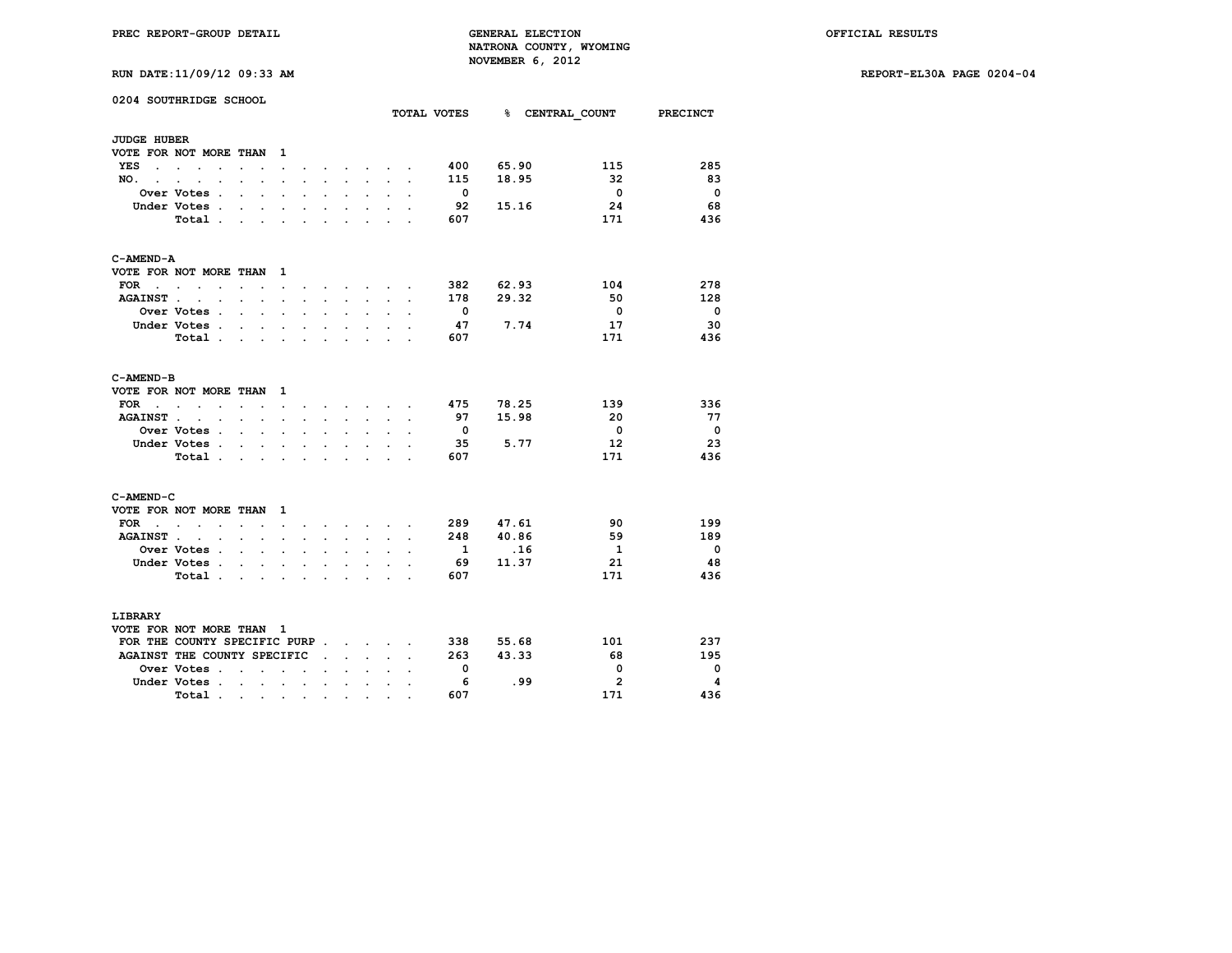| 0204 SOUTHRIDGE SCHOOL                                                                                                                                                        |                                                                                                                           |                      |                                                |                                              |                          | TOTAL VOTES 8 CENTRAL COUNT PRECINCT |                         |                          |
|-------------------------------------------------------------------------------------------------------------------------------------------------------------------------------|---------------------------------------------------------------------------------------------------------------------------|----------------------|------------------------------------------------|----------------------------------------------|--------------------------|--------------------------------------|-------------------------|--------------------------|
| <b>JUDGE HUBER</b>                                                                                                                                                            |                                                                                                                           |                      |                                                |                                              |                          |                                      |                         |                          |
| VOTE FOR NOT MORE THAN 1                                                                                                                                                      |                                                                                                                           |                      |                                                |                                              |                          |                                      |                         |                          |
| YES                                                                                                                                                                           |                                                                                                                           |                      | $\mathbf{r}$ and $\mathbf{r}$ and $\mathbf{r}$ |                                              | 400                      | 65.90                                | 115                     | 285                      |
| $\ddot{\phantom{0}}$<br>$\ddot{\phantom{0}}$<br>$\bullet$<br>$\ddot{\phantom{0}}$<br>NO.<br>$\sim$ $\sim$<br>$\ddot{\phantom{a}}$<br>$\sim$<br>$\ddot{\phantom{a}}$<br>$\sim$ | $\ddot{\phantom{0}}$<br>$\ddot{\phantom{0}}$<br>$\ddot{\phantom{0}}$<br>$\cdot$                                           | $\ddot{\phantom{0}}$ | $\ddot{\phantom{0}}$                           | $\sim$<br>$\cdot$                            | 115                      | 18.95                                | 32                      | - 83                     |
| Over Votes .<br>$\ddot{\phantom{a}}$                                                                                                                                          | $\ddot{\phantom{a}}$<br>$\ddot{\phantom{a}}$<br>$\cdot$                                                                   | $\ddot{\phantom{a}}$ | $\ddot{\phantom{0}}$                           |                                              | $\overline{\mathbf{0}}$  |                                      | $\overline{\mathbf{0}}$ | $\overline{\phantom{0}}$ |
| Under Votes .<br>$\ddot{\phantom{a}}$                                                                                                                                         | $\ddot{\phantom{1}}$<br>$\sim$<br>$\ddot{\phantom{a}}$                                                                    |                      |                                                |                                              | 92                       | 15.16                                | 24                      | 68                       |
| Total                                                                                                                                                                         |                                                                                                                           |                      |                                                |                                              | 607                      |                                      | 171                     | 436                      |
|                                                                                                                                                                               | $\ddot{\phantom{0}}$<br>$\ddot{\phantom{a}}$                                                                              | $\ddot{\phantom{0}}$ | $\ddot{\phantom{0}}$                           |                                              |                          |                                      |                         |                          |
| C-AMEND-A                                                                                                                                                                     |                                                                                                                           |                      |                                                |                                              |                          |                                      |                         |                          |
| VOTE FOR NOT MORE THAN 1                                                                                                                                                      |                                                                                                                           |                      |                                                |                                              |                          |                                      |                         |                          |
| <b>FOR</b><br>$\ddot{\phantom{1}}$<br>$\cdots$ $\cdots$ $\cdots$<br>$\sim$ $\sim$                                                                                             | $\sim$<br>$\sim$                                                                                                          | $\sim$               | <b>Service Control</b>                         | $\sim$                                       | 382                      | 62.93                                | 104                     | 278                      |
| <b>AGAINST.</b><br>$\sim$<br>$\sim$ $\sim$                                                                                                                                    | $\ddot{\phantom{a}}$<br>$\sim$<br>$\ddot{\phantom{a}}$                                                                    | $\ddot{\phantom{0}}$ | $\ddot{\phantom{0}}$                           |                                              | 178                      | 29.32                                | 50                      | 128                      |
| Over Votes .<br>$\sim$                                                                                                                                                        | $\mathbf{r}$<br>$\mathbf{r}$                                                                                              |                      | s.                                             |                                              | $\overline{\mathbf{0}}$  |                                      | $\overline{0}$          | $\overline{\phantom{0}}$ |
| Under Votes                                                                                                                                                                   | $\ddot{\phantom{a}}$<br>$\ddot{\phantom{a}}$<br>$\ddot{\phantom{0}}$                                                      | $\ddot{\phantom{0}}$ | $\ddot{\phantom{a}}$<br>$\ddot{\phantom{0}}$   |                                              | 47                       | 7.74                                 | 17                      | - 30                     |
| Total .<br>$\ddot{\phantom{0}}$                                                                                                                                               | $\ddot{\phantom{0}}$                                                                                                      | $\overline{a}$       |                                                |                                              | 607                      |                                      | 171                     | 436                      |
| C-AMEND-B                                                                                                                                                                     |                                                                                                                           |                      |                                                |                                              |                          |                                      |                         |                          |
| VOTE FOR NOT MORE THAN 1                                                                                                                                                      |                                                                                                                           |                      |                                                |                                              |                          |                                      |                         |                          |
| FOR .<br>$\sim$<br>$\ddot{\phantom{0}}$                                                                                                                                       | $\sim$<br>the contract of the contract of the contract of the contract of the contract of the contract of the contract of |                      |                                                |                                              | 475                      | 78.25                                | 139                     | 336                      |
| <b>AGAINST.</b><br>$\cdot$<br>$\ddot{\phantom{a}}$<br>$\mathbf{r}$                                                                                                            | <b>Contract Contract Contract</b><br>$\mathbf{r}$                                                                         | $\mathbf{r}$         | $\sim$<br>$\ddot{\phantom{a}}$                 | $\ddot{\phantom{0}}$<br>$\ddot{\phantom{a}}$ | 97                       | 15.98                                | - 20                    | - 77                     |
| Over Votes .<br>$\sim$                                                                                                                                                        | $\sim$<br>$\ddot{\phantom{a}}$<br>$\ddot{\phantom{0}}$                                                                    | $\cdot$              | $\cdot$<br>$\cdot$                             |                                              | $\overline{\phantom{0}}$ |                                      | $\overline{\mathbf{0}}$ | $\overline{\phantom{0}}$ |
| Under Votes.<br>$\sim$                                                                                                                                                        | $\sim$                                                                                                                    |                      |                                                |                                              | 35                       | 5.77                                 | $12 \overline{ }$       | 23                       |
| Total.<br>$\sim$ $\sim$                                                                                                                                                       | $\mathbf{r}$<br>$\mathbf{r}$                                                                                              | $\mathbf{r}$         | $\sim$<br>$\sim$                               | $\mathbf{r}$                                 | 607                      |                                      | 171                     | 436                      |
|                                                                                                                                                                               |                                                                                                                           |                      |                                                |                                              |                          |                                      |                         |                          |
| C-AMEND-C<br>VOTE FOR NOT MORE THAN 1                                                                                                                                         |                                                                                                                           |                      |                                                |                                              |                          |                                      |                         |                          |
| $FOR \t . \t .$<br>$\ddot{\phantom{a}}$<br>$\ddot{\phantom{a}}$                                                                                                               | $\ddot{\phantom{0}}$<br>$\ddot{\phantom{a}}$<br>$\overline{a}$                                                            | $\sim$               | $\sim$ $\sim$ $\sim$                           | $\sim$                                       | 289                      | 47.61                                | 90                      | 199                      |
| AGAINST<br>$\ddot{\phantom{0}}$                                                                                                                                               | $\ddot{\phantom{a}}$<br>$\ddot{\phantom{0}}$<br>$\ddot{\phantom{a}}$                                                      | $\ddot{\phantom{a}}$ | $\ddot{\phantom{a}}$<br>$\ddot{\phantom{0}}$   | $\ddot{\phantom{a}}$<br>$\sim$               | 248                      | 40.86                                | 59                      | 189                      |
| Over Votes .<br>$\cdot$                                                                                                                                                       | $\cdot$<br>$\ddot{\phantom{1}}$                                                                                           |                      |                                                |                                              | $\mathbf{1}$             | .16                                  | $\mathbf{1}$            | $\overline{\phantom{0}}$ |
| Under Votes .                                                                                                                                                                 |                                                                                                                           |                      |                                                |                                              | - 69                     | 11.37                                | 21                      | 48                       |
| $\cdot$ $\cdot$                                                                                                                                                               | $\ddot{\phantom{a}}$<br>$\ddot{\phantom{a}}$                                                                              | $\overline{a}$       | $\cdot$<br>$\ddot{\phantom{0}}$                |                                              | 607                      |                                      | 171                     | 436                      |
| Total                                                                                                                                                                         | $\sim$                                                                                                                    | $\ddot{\phantom{a}}$ | $\cdot$                                        | $\cdot$                                      |                          |                                      |                         |                          |
| LIBRARY                                                                                                                                                                       |                                                                                                                           |                      |                                                |                                              |                          |                                      |                         |                          |
| VOTE FOR NOT MORE THAN 1                                                                                                                                                      |                                                                                                                           |                      |                                                |                                              |                          |                                      |                         |                          |
| FOR THE COUNTY SPECIFIC PURP                                                                                                                                                  |                                                                                                                           |                      |                                                |                                              | 338                      | 55.68                                | 101                     | 237                      |
| AGAINST THE COUNTY SPECIFIC                                                                                                                                                   |                                                                                                                           | $\mathbf{r}$         | $\mathbf{r}$                                   |                                              | 263                      | 43.33                                | 68                      | 195                      |
| Over Votes .<br>$\sim$                                                                                                                                                        | $\ddot{\phantom{a}}$<br>$\cdot$<br>$\ddot{\phantom{a}}$                                                                   |                      |                                                |                                              | $\overline{\mathbf{0}}$  |                                      | $\mathbf 0$             | - 0                      |
| Under Votes                                                                                                                                                                   | $\sim$                                                                                                                    | $\bullet$            | $\bullet$<br>$\ddot{\phantom{a}}$              |                                              | - 6                      | .99                                  | $\overline{2}$          | -4                       |
| Total .<br>$\ddot{\phantom{0}}$                                                                                                                                               | $\ddot{\phantom{0}}$<br>$\bullet$<br>$\ddot{\phantom{0}}$                                                                 | $\cdot$              | $\ddot{\phantom{0}}$                           |                                              | 607                      |                                      | 171                     | 436                      |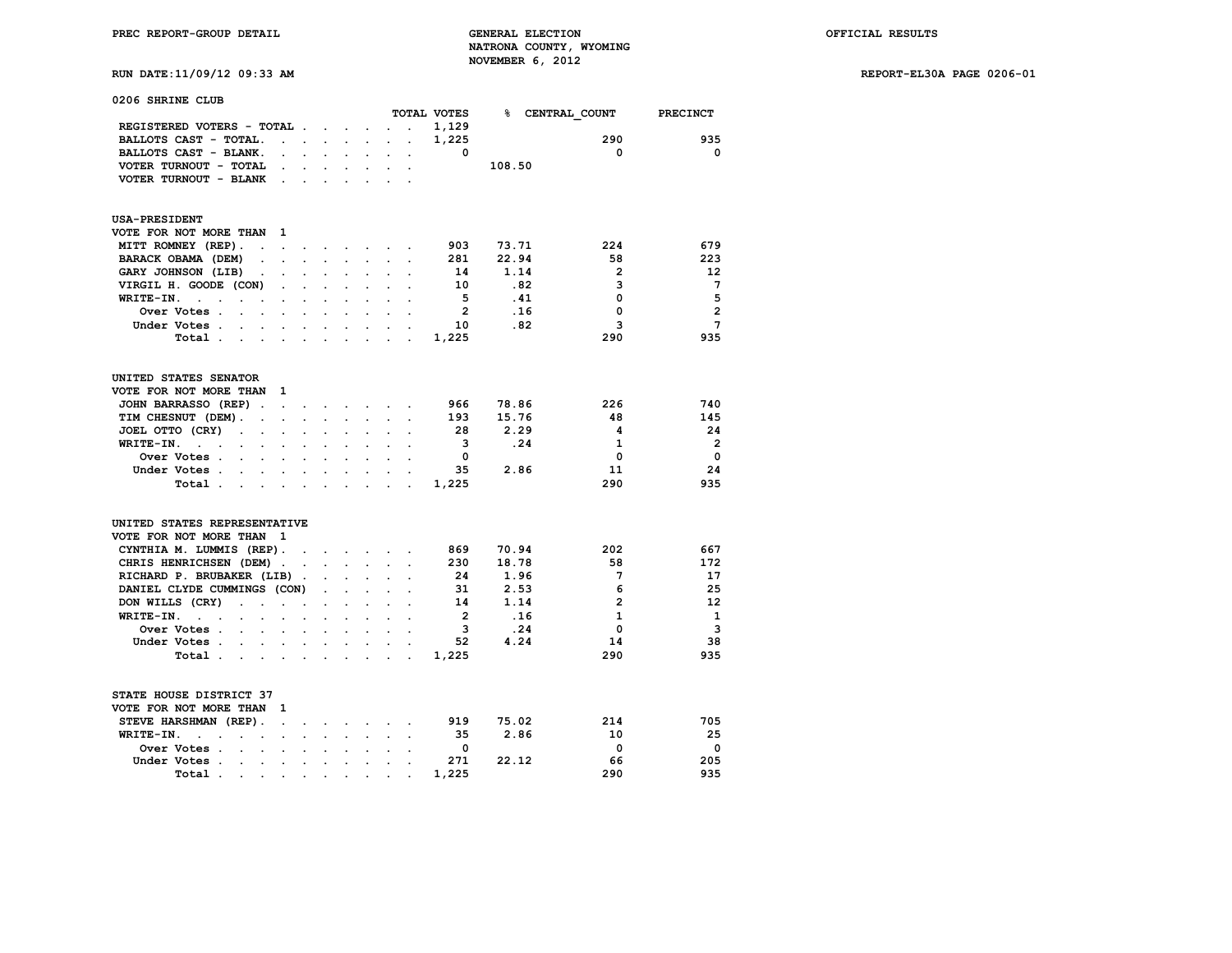**RUN DATE:11/09/12 09:33 AM REPORT-EL30A PAGE 0206-01**

| 0206 SHRINE CLUB                                                                               |                                |                      |                             |                      |                      |                |        |                            |                         |
|------------------------------------------------------------------------------------------------|--------------------------------|----------------------|-----------------------------|----------------------|----------------------|----------------|--------|----------------------------|-------------------------|
|                                                                                                |                                |                      |                             |                      |                      | TOTAL VOTES    |        | <b>&amp; CENTRAL COUNT</b> | <b>PRECINCT</b>         |
| REGISTERED VOTERS - TOTAL.                                                                     |                                | $\sim$ $\sim$        |                             |                      | $\ddot{\phantom{a}}$ | 1,129          |        |                            |                         |
| BALLOTS CAST - TOTAL.<br>$\sim$                                                                | $\sim$                         | <b>All Cards</b>     | $\ddot{\phantom{0}}$        | $\ddot{\phantom{a}}$ | $\cdot$              | 1,225          |        | 290                        | 935                     |
| BALLOTS CAST - BLANK.                                                                          |                                |                      |                             |                      |                      | 0              |        | 0                          | $\mathbf 0$             |
| VOTER TURNOUT - TOTAL                                                                          |                                |                      |                             |                      |                      |                | 108.50 |                            |                         |
| VOTER TURNOUT - BLANK                                                                          |                                |                      |                             |                      |                      |                |        |                            |                         |
| <b>USA-PRESIDENT</b>                                                                           |                                |                      |                             |                      |                      |                |        |                            |                         |
| VOTE FOR NOT MORE THAN<br>1                                                                    |                                |                      |                             |                      |                      |                |        |                            |                         |
| MITT ROMNEY (REP).<br>$\ddot{\phantom{a}}$<br>$\blacksquare$                                   | $\ddot{\phantom{a}}$           | $\sim$               | $\ddot{\phantom{0}}$        |                      |                      | 903            | 73.71  | 224                        | 679                     |
| BARACK OBAMA (DEM)<br>$\ddot{\phantom{a}}$<br>$\ddot{\phantom{a}}$                             | $\ddot{\phantom{a}}$           | $\ddot{\phantom{0}}$ | $\mathbf{r}$                | $\sim$               |                      | 281            | 22.94  | 58                         | 223                     |
| GARY JOHNSON (LIB)                                                                             |                                |                      |                             |                      |                      | 14             | 1.14   | $\overline{2}$             | 12                      |
| VIRGIL H. GOODE (CON)                                                                          |                                |                      |                             |                      |                      | 10             | .82    | 3                          | $7\phantom{.0}$         |
| WRITE-IN.<br>$\sim$ $\sim$<br>$\ddot{\phantom{a}}$                                             |                                |                      | $\overline{a}$              |                      |                      | - 5            | .41    | $\Omega$                   | 5                       |
| Over Votes .<br>$\sim$<br>$\sim$                                                               |                                |                      |                             |                      |                      | $\overline{2}$ | .16    | 0                          | $\overline{2}$          |
| Under Votes.<br>$\cdot$ $\cdot$<br>$\ddot{\phantom{a}}$<br>$\cdot$                             | $\ddot{\phantom{a}}$           | $\ddot{\phantom{a}}$ | $\ddot{\phantom{a}}$        | $\ddot{\phantom{a}}$ |                      | 10             | .82    | 3                          | $7\phantom{.0}$         |
| Total.                                                                                         |                                |                      |                             |                      |                      | 1,225          |        | 290                        | 935                     |
| UNITED STATES SENATOR                                                                          |                                |                      |                             |                      |                      |                |        |                            |                         |
| VOTE FOR NOT MORE THAN<br>$\mathbf{1}$                                                         |                                |                      |                             |                      |                      |                |        |                            |                         |
| JOHN BARRASSO (REP).<br>$\sim$                                                                 |                                |                      | $\ddot{\phantom{0}}$        |                      |                      | 966            | 78.86  | 226                        | 740                     |
| TIM CHESNUT (DEM).<br>$\sim$<br>$\cdot$<br>$\ddot{\phantom{0}}$                                | $\ddot{\phantom{a}}$           | $\mathbf{r}$         | $\ddot{\phantom{0}}$        | $\sim$               | $\ddot{\phantom{a}}$ | 193            | 15.76  | 48                         | 145                     |
| JOEL OTTO (CRY)<br>$\sim$                                                                      |                                |                      |                             |                      |                      | 28             | 2.29   | 4                          | 24                      |
| WRITE-IN.<br>$\sim$ $\sim$<br>$\sim$<br>$\sim$<br>$\ddot{\phantom{a}}$<br>$\ddot{\phantom{a}}$ | $\ddot{\phantom{a}}$           | $\ddot{\phantom{a}}$ | $\ddot{\phantom{0}}$        | $\ddot{\phantom{a}}$ |                      | 3              | .24    | 1                          | $\overline{2}$          |
| Over Votes .                                                                                   |                                |                      |                             |                      |                      | $\mathbf 0$    |        | $\mathbf 0$                | $\overline{\mathbf{0}}$ |
| Under Votes<br>$\ddot{\phantom{0}}$<br>$\sim$<br>$\bullet$                                     | $\ddot{\phantom{0}}$           | $\ddot{\phantom{0}}$ | $\ddot{\phantom{0}}$        | $\blacksquare$       |                      | 35             | 2.86   | 11                         | 24                      |
| Total .<br>$\mathbf{r}$ and $\mathbf{r}$<br>$\ddot{\phantom{a}}$                               | ÷                              | $\mathbf{L}$         | $\sim$                      | $\mathbf{L}$         |                      | 1,225          |        | 290                        | 935                     |
| UNITED STATES REPRESENTATIVE                                                                   |                                |                      |                             |                      |                      |                |        |                            |                         |
| VOTE FOR NOT MORE THAN<br>- 1                                                                  |                                |                      |                             |                      |                      |                |        |                            |                         |
| CYNTHIA M. LUMMIS (REP).                                                                       |                                |                      |                             |                      |                      | 869            | 70.94  | 202                        | 667                     |
|                                                                                                |                                |                      | $\sim$ $\sim$ $\sim$ $\sim$ | $\sim$               |                      |                |        | 58                         | 172                     |
| CHRIS HENRICHSEN (DEM)<br>$\ddot{\phantom{a}}$<br>$\ddot{\phantom{a}}$                         | $\ddot{\phantom{0}}$           | $\sim$               | $\ddot{\phantom{0}}$        | $\sim$               | $\ddot{\phantom{a}}$ | 230<br>24      | 18.78  | 7                          | 17                      |
| RICHARD P. BRUBAKER (LIB).                                                                     |                                |                      |                             |                      |                      |                | 1.96   | 6                          | 25                      |
| DANIEL CLYDE CUMMINGS (CON)                                                                    | $\ddot{\phantom{0}}$           | $\ddot{\phantom{0}}$ | $\ddot{\phantom{0}}$        | $\ddot{\phantom{a}}$ |                      | 31             | 2.53   |                            |                         |
| DON WILLS (CRY)<br>$\ddot{\phantom{a}}$<br>$\mathbf{r}$<br>$\overline{a}$                      |                                |                      |                             |                      |                      | 14             | 1.14   | $\overline{2}$             | 12                      |
| WRITE-IN.<br><b><i>Charles Committee States</i></b><br>$\cdot$<br>$\sim$                       |                                | $\overline{a}$       |                             |                      |                      | $\overline{2}$ | .16    | 1                          | 1                       |
| Over Votes .<br>$\mathbf{r}$                                                                   |                                |                      |                             |                      |                      | 3              | .24    | 0                          | 3                       |
| Under Votes<br>$\bullet$ .                                                                     |                                | $\sim$ $\sim$        |                             |                      |                      | 52             | 4.24   | 14                         | 38                      |
| Total .<br>and the control of the con-                                                         | $\sim$<br>$\ddot{\phantom{0}}$ | $\ddot{\phantom{0}}$ | $\ddot{\phantom{0}}$        | $\ddot{\phantom{a}}$ |                      | 1,225          |        | 290                        | 935                     |
| STATE HOUSE DISTRICT 37                                                                        |                                |                      |                             |                      |                      |                |        |                            |                         |
| VOTE FOR NOT MORE THAN 1                                                                       |                                |                      |                             |                      |                      |                |        |                            |                         |
| STEVE HARSHMAN (REP).<br>$\ddot{\phantom{a}}$                                                  |                                |                      | $\mathbf{r}$                |                      |                      | 919            | 75.02  | 214                        | 705                     |
| WRITE-IN.<br>$\sim$<br>$\overline{a}$<br>$\ddot{\phantom{0}}$<br>$\ddot{\phantom{a}}$          |                                |                      |                             |                      |                      | 35             | 2.86   | 10                         | 25                      |
| Over Votes .<br>$\ddot{\phantom{a}}$<br>$\cdot$<br>$\ddot{\phantom{a}}$                        |                                |                      | $\ddot{\phantom{0}}$        | $\sim$               |                      | 0              |        | 0                          | $^{\circ}$              |
| Under Votes .<br>$\ddot{\phantom{a}}$<br>$\ddot{\phantom{0}}$<br>$\bullet$                     | $\ddot{\phantom{a}}$           | $\ddot{\phantom{0}}$ | $\cdot$                     | $\bullet$            |                      | 271            | 22.12  | 66                         | 205                     |
| Total                                                                                          |                                |                      |                             |                      |                      | 1,225          |        | 290                        | 935                     |

 **Total** . . . . . . . . . . 1,225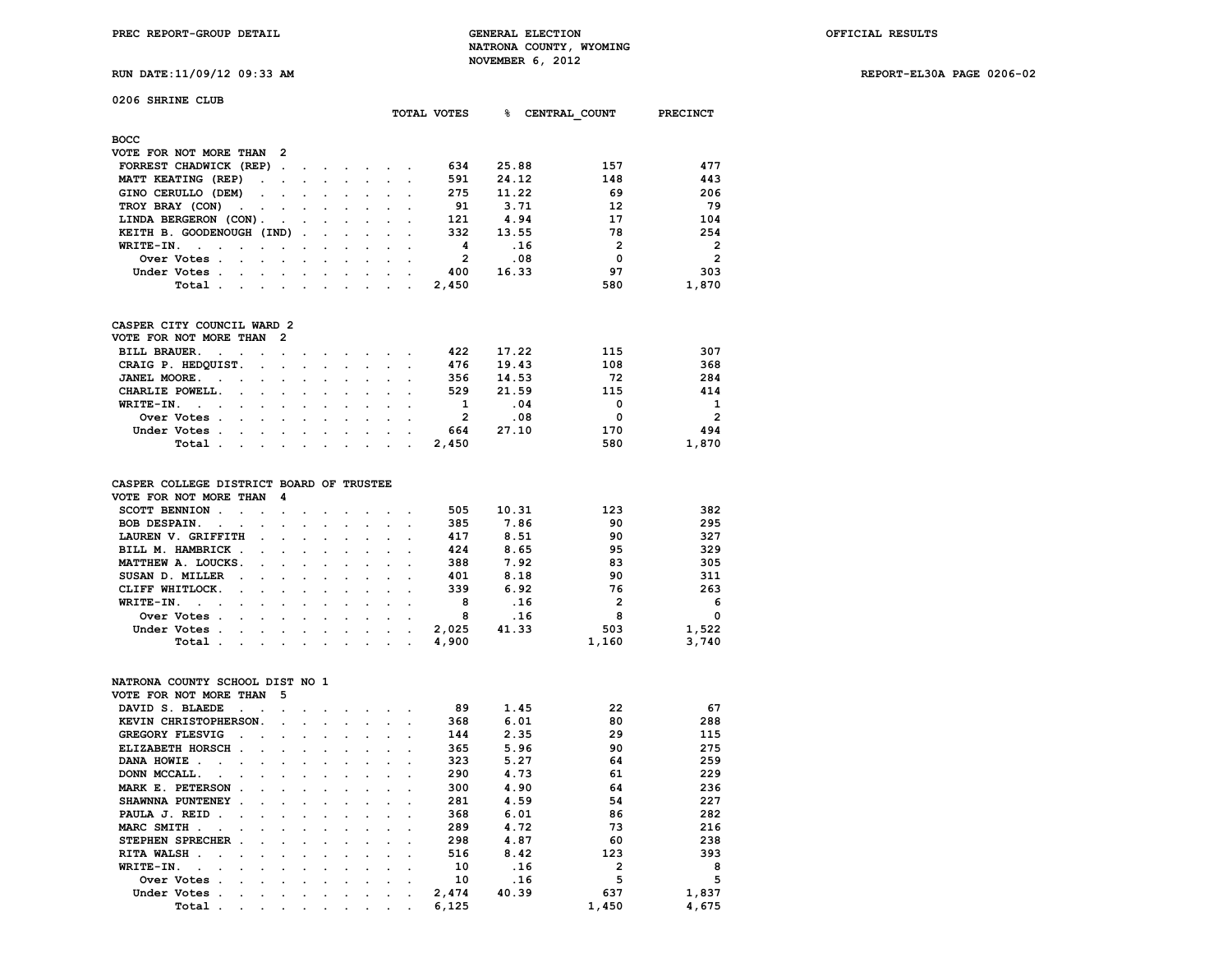**RUN DATE:11/09/12 09:33 AM REPORT-EL30A PAGE 0206-02**

| 0206 SHRINE CLUB                                                     |                      |                      |                      |                      |                      |                      |                      |                      |                |       |                       |                 |
|----------------------------------------------------------------------|----------------------|----------------------|----------------------|----------------------|----------------------|----------------------|----------------------|----------------------|----------------|-------|-----------------------|-----------------|
|                                                                      |                      |                      |                      |                      |                      |                      |                      |                      | TOTAL VOTES    | %∍    | CENTRAL COUNT         | <b>PRECINCT</b> |
| <b>BOCC</b>                                                          |                      |                      |                      |                      |                      |                      |                      |                      |                |       |                       |                 |
| VOTE FOR NOT MORE THAN                                               |                      | 2                    |                      |                      |                      |                      |                      |                      |                |       |                       |                 |
| FORREST CHADWICK (REP)                                               |                      | $\ddot{\phantom{a}}$ |                      |                      |                      |                      |                      |                      | 634            | 25.88 | 157                   | 477             |
| MATT KEATING (REP)                                                   | $\ddot{\phantom{a}}$ | $\ddot{\phantom{0}}$ | $\ddot{\phantom{a}}$ | $\ddot{\phantom{a}}$ | $\bullet$            | $\ddot{\phantom{0}}$ | $\ddot{\phantom{0}}$ |                      | 591            | 24.12 | 148                   | 443             |
| GINO CERULLO (DEM)                                                   |                      |                      |                      |                      |                      |                      |                      |                      | 275            | 11.22 | 69                    | 206             |
| TROY BRAY (CON)                                                      |                      |                      |                      |                      |                      |                      |                      |                      | 91             | 3.71  | 12                    | 79              |
| LINDA BERGERON (CON).                                                |                      |                      |                      |                      |                      |                      |                      |                      | 121            | 4.94  | 17                    | 104             |
| KEITH B. GOODENOUGH (IND)                                            |                      |                      |                      |                      |                      |                      |                      |                      | 332            | 13.55 | 78                    | 254             |
| WRITE-IN.<br>$\ddot{\phantom{0}}$<br>$\cdot$<br>$\cdot$              | $\ddot{\phantom{0}}$ | $\cdot$              |                      | $\cdot$              | $\ddot{\phantom{a}}$ | $\ddot{\phantom{0}}$ | $\ddot{\phantom{0}}$ | $\overline{a}$       | 4              |       | .16<br>$\overline{2}$ | $\overline{2}$  |
| Over Votes.                                                          |                      |                      |                      |                      |                      |                      |                      |                      | $\overline{2}$ |       | .08<br>$\mathbf{0}$   | $\overline{2}$  |
| Under Votes .<br>$\ddot{\phantom{0}}$                                | $\ddot{\phantom{a}}$ | $\bullet$            | $\ddot{\phantom{0}}$ | $\ddot{\phantom{a}}$ | $\ddot{\phantom{0}}$ | $\ddot{\phantom{0}}$ | $\ddot{\phantom{0}}$ |                      | 400            | 16.33 | 97                    | 303             |
| Total .                                                              |                      |                      |                      |                      |                      |                      |                      |                      | 2,450          |       | 580                   | 1,870           |
|                                                                      |                      |                      |                      |                      |                      |                      |                      |                      |                |       |                       |                 |
| CASPER CITY COUNCIL WARD 2                                           |                      |                      |                      |                      |                      |                      |                      |                      |                |       |                       |                 |
| VOTE FOR NOT MORE THAN                                               |                      | $\overline{2}$       |                      |                      |                      |                      |                      |                      |                |       |                       |                 |
| <b>BILL BRAUER.</b>                                                  |                      |                      |                      |                      |                      |                      |                      |                      | 422            | 17.22 | 115                   | 307             |
| CRAIG P. HEDQUIST.                                                   | $\ddot{\phantom{a}}$ | $\ddot{\phantom{a}}$ |                      | $\ddot{\phantom{a}}$ | $\ddot{\phantom{a}}$ | $\ddot{\phantom{0}}$ | $\ddot{\phantom{0}}$ | $\ddot{\phantom{0}}$ | 476            | 19.43 | 108                   | 368             |
| JANEL MOORE.                                                         |                      |                      |                      |                      |                      |                      |                      |                      | 356            | 14.53 | 72                    | 284             |
| CHARLIE POWELL.                                                      |                      |                      |                      | $\ddot{\phantom{a}}$ | $\ddot{\phantom{0}}$ | $\ddot{\phantom{0}}$ |                      |                      | 529            | 21.59 | 115                   | 414             |
| WRITE-IN.<br>$\overline{a}$                                          |                      |                      |                      |                      |                      |                      |                      |                      | 1              |       | .04<br>$\Omega$       | 1               |
| Over Votes .                                                         |                      | $\bullet$            | $\ddot{\phantom{0}}$ | $\ddot{\phantom{0}}$ | $\ddot{\phantom{0}}$ | $\ddot{\phantom{0}}$ |                      |                      | $\overline{2}$ |       | 0<br>.08              | $\overline{2}$  |
| Under Votes.                                                         |                      |                      |                      |                      |                      |                      |                      |                      | 664            | 27.10 | 170                   | 494             |
| Total .                                                              |                      |                      |                      |                      |                      | $\ddot{\phantom{0}}$ |                      |                      | 2,450          |       | 580                   | 1,870           |
| CASPER COLLEGE DISTRICT BOARD OF TRUSTEE                             |                      |                      |                      |                      |                      |                      |                      |                      |                |       |                       |                 |
| VOTE FOR NOT MORE THAN                                               |                      | 4                    |                      |                      |                      |                      |                      |                      |                |       |                       |                 |
| SCOTT BENNION .<br>$\ddot{\phantom{a}}$                              |                      | $\ddot{\phantom{a}}$ |                      |                      |                      |                      |                      |                      | 505            | 10.31 | 123                   | 382             |
| BOB DESPAIN.                                                         |                      |                      |                      |                      |                      |                      |                      |                      | 385            | 7.86  | 90                    | 295             |
| LAUREN V. GRIFFITH                                                   |                      |                      |                      | $\ddot{\phantom{a}}$ | $\ddot{\phantom{0}}$ | $\ddot{\phantom{0}}$ |                      |                      | 417            | 8.51  | 90                    | 327             |
| BILL M. HAMBRICK .                                                   |                      |                      |                      |                      |                      |                      |                      |                      | 424            | 8.65  | 95                    | 329             |
| MATTHEW A. LOUCKS.                                                   |                      |                      |                      | $\overline{a}$       |                      | $\overline{a}$       |                      |                      | 388            | 7.92  | 83                    | 305             |
| SUSAN D. MILLER                                                      |                      |                      |                      |                      |                      |                      |                      |                      | 401            | 8.18  | 90                    | 311             |
| CLIFF WHITLOCK.<br>$\overline{a}$                                    |                      |                      |                      |                      |                      |                      |                      |                      | 339            | 6.92  | 76                    | 263             |
| WRITE-IN.<br>$\ddot{\phantom{a}}$<br>$\ddot{\phantom{1}}$<br>$\cdot$ | $\cdot$              | $\cdot$              |                      |                      |                      | $\ddot{\phantom{0}}$ | $\ddot{\phantom{0}}$ |                      | 8              |       | .16<br>$\overline{2}$ | 6               |
| Over Votes .<br>$\overline{a}$                                       |                      |                      |                      |                      |                      |                      |                      |                      | 8              |       | .16<br>8              | $\mathbf 0$     |
| Under Votes .<br>$\ddot{\phantom{a}}$                                | $\ddot{\phantom{a}}$ | $\cdot$              | $\ddot{\phantom{a}}$ | $\ddot{\phantom{a}}$ | $\ddot{\phantom{0}}$ | $\ddot{\phantom{0}}$ | $\ddot{\phantom{0}}$ |                      | 2,025          | 41.33 | 503                   | 1,522           |
| Total .                                                              |                      |                      |                      |                      |                      |                      |                      |                      | 4,900          |       | 1,160                 | 3,740           |
|                                                                      |                      |                      |                      |                      |                      |                      |                      |                      |                |       |                       |                 |
| NATRONA COUNTY SCHOOL DIST NO 1                                      |                      |                      |                      |                      |                      |                      |                      |                      |                |       |                       |                 |
| VOTE FOR NOT MORE THAN                                               |                      | 5                    |                      |                      |                      |                      |                      |                      |                |       |                       |                 |
| DAVID S. BLAEDE                                                      |                      |                      |                      |                      |                      |                      |                      |                      | 89             | 1.45  | 22                    | 67              |
| KEVIN CHRISTOPHERSON.                                                |                      |                      |                      |                      |                      | $\ddot{\phantom{0}}$ |                      |                      | 368            | 6.01  | 80                    | 288             |
| <b>GREGORY FLESVIG</b>                                               |                      |                      |                      |                      |                      |                      |                      |                      | 144            | 2.35  | 29                    | 115             |
| ELIZABETH HORSCH.                                                    | $\ddot{\phantom{0}}$ |                      | $\ddot{\phantom{0}}$ | $\overline{a}$       | $\ddot{\phantom{0}}$ | $\ddot{\phantom{0}}$ |                      |                      | 365            | 5.96  | 90                    | 275             |
| DANA HOWIE.                                                          |                      |                      |                      |                      |                      |                      |                      |                      | 323            | 5.27  | 64                    | 259             |
|                                                                      |                      |                      |                      |                      |                      |                      |                      |                      |                |       |                       |                 |

**MARK E. PETERSON . . . . . . . . . . 300 4.90 64** 236<br>**SHAWNNA PUNTENEY** . . . . . . . . 281 4.59 54 227 **8HAWNNA PUNTENEY . . . . . . . . . 281 4.59 54 227**<br>**PAULA J. REID . . . . . . . . . . . 368 6.01 86** 282  **PAULA J. REID .** . . . . . . . . . . 368 6.01 86 282<br>MARC SMITH . . . . . . . . . . . 289 4.72 73 216 **MARC SMITH . . . . . . . . . . . 289 4.72** 73 216<br> **STEPHEN SPRECHER** . . . . . . . 298 4.87 60 238

**RITA WALSH . . . . . . . . . . . 516** 8.42 123 393<br>**WRITE-IN. . . . . . . . . . . . 10 .16** 2 8  **WRITE-IN. . . . . . . . . . . . 10 .16 2 8** 0 Ver Votes . . . . . . . . . . . . 10 . 16 5 5 5<br>
1,837 1,837 1,837 1,837 1,837 **1,837 1,837 1,837 1,837 1,837 1,837 1,837 1,837** 

**STEPHEN SPRECHER . . . . . . . . . 298 4.87 60**<br>**RITA WALSH** . . . . . . . . . . . 516 8.42 123

 **Total** . . . . . . . . . . . 6,125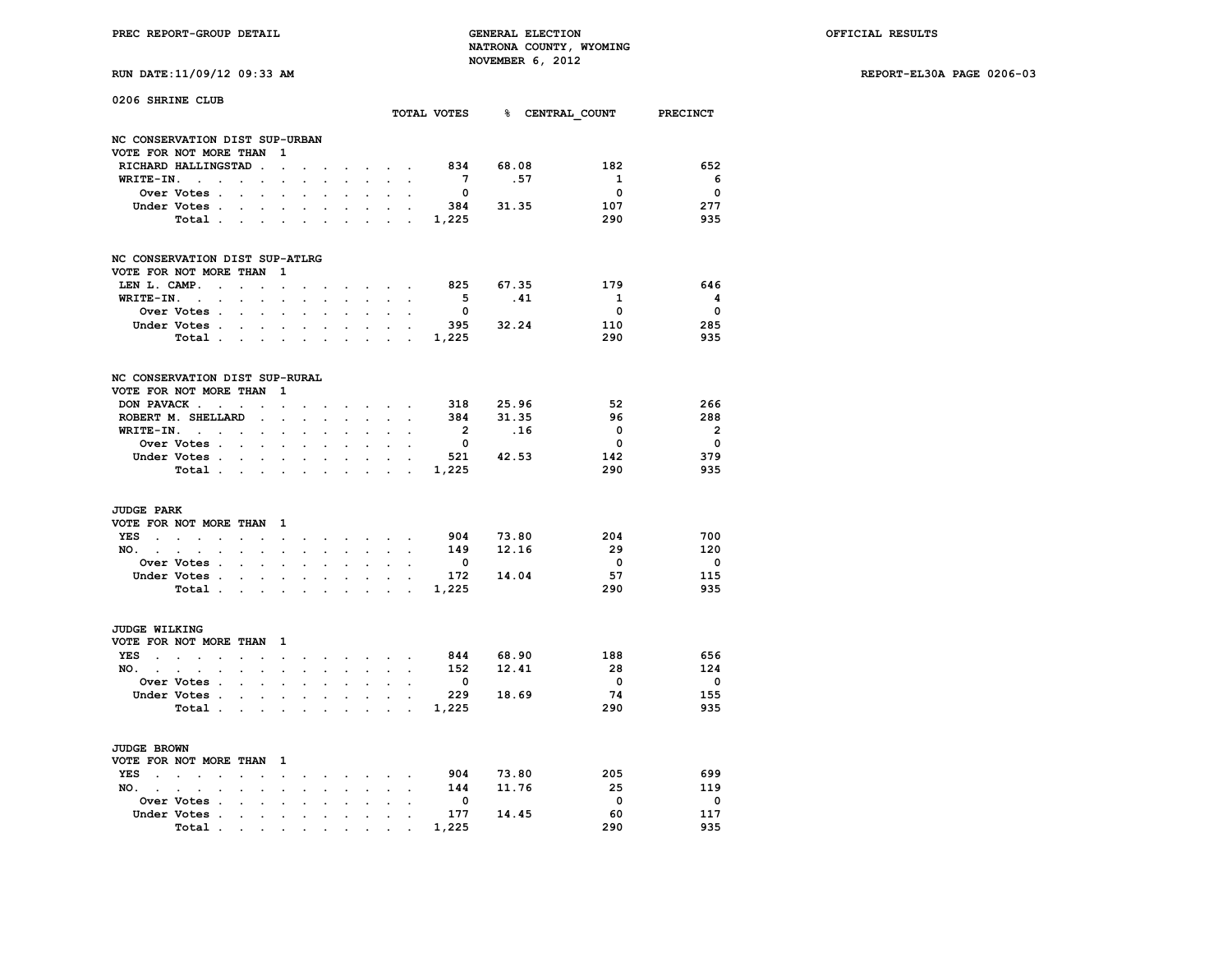**PREC REPORT-GROUP DETAIL GENERAL ELECTION OFFICIAL RESULTS NATRONA COUNTY, WYOMING RUN DATE:11/09/12 09:33 AM NOVEMBER 6, 2012** 

|  |  | RUN DAIL:11/09/12 09:33 |  |
|--|--|-------------------------|--|
|  |  |                         |  |

| 0206 SHRINE CLUB               |                                                  |                      |                      |                      |                      |                      |                      |                             |                                         |                      |                         |                                      |                          |                          |
|--------------------------------|--------------------------------------------------|----------------------|----------------------|----------------------|----------------------|----------------------|----------------------|-----------------------------|-----------------------------------------|----------------------|-------------------------|--------------------------------------|--------------------------|--------------------------|
|                                |                                                  |                      |                      |                      |                      |                      |                      |                             |                                         |                      |                         | TOTAL VOTES 8 CENTRAL COUNT PRECINCT |                          |                          |
| NC CONSERVATION DIST SUP-URBAN |                                                  |                      |                      |                      |                      |                      |                      |                             |                                         |                      |                         |                                      |                          |                          |
| VOTE FOR NOT MORE THAN         |                                                  |                      |                      | 1                    |                      |                      |                      |                             |                                         |                      |                         |                                      |                          |                          |
|                                | RICHARD HALLINGSTAD                              |                      | $\ddot{\phantom{a}}$ | $\ddot{\phantom{a}}$ |                      |                      |                      |                             | $\mathbf{r} = \mathbf{r} + \mathbf{r}$  |                      | 834                     | 68.08                                | 182                      | 652                      |
| WRITE-IN.                      | $\sim$<br>$\cdot$                                | $\ddot{\phantom{a}}$ | $\ddot{\phantom{a}}$ | $\cdot$              |                      |                      |                      |                             |                                         |                      | $7^{\circ}$             | .57                                  | $\mathbf{1}$             | 6                        |
|                                | Over Votes .                                     |                      |                      |                      |                      |                      |                      |                             | $\ddot{\phantom{a}}$                    |                      | $\overline{\mathbf{0}}$ |                                      | $\overline{\mathbf{0}}$  | $\overline{\mathbf{0}}$  |
|                                | Under Votes .                                    |                      |                      |                      |                      |                      |                      |                             |                                         |                      | 384                     | 31.35                                | 107                      | 277                      |
|                                | Total .                                          |                      | $\ddot{\phantom{a}}$ |                      | $\ddot{\phantom{a}}$ |                      |                      |                             |                                         | $\sim$               | 1,225                   |                                      | 290                      | 935                      |
| NC CONSERVATION DIST SUP-ATLRG |                                                  |                      |                      |                      |                      |                      |                      |                             |                                         |                      |                         |                                      |                          |                          |
| VOTE FOR NOT MORE THAN         |                                                  |                      |                      | 1                    |                      |                      |                      |                             |                                         |                      |                         |                                      |                          |                          |
| LEN L. CAMP.                   | $\ddot{\phantom{a}}$                             | $\ddot{\phantom{a}}$ |                      | $\ddot{\phantom{a}}$ |                      |                      |                      |                             | $\sim$ $\sim$ $\sim$                    |                      | 825                     | 67.35                                | 179                      | 646                      |
| WRITE-IN.                      | $\ddot{\phantom{a}}$<br>$\cdot$                  |                      |                      | $\cdot$              |                      | $\cdot$              |                      | $\cdot$                     |                                         |                      | $5^{\circ}$             | .41                                  | $\mathbf{1}$             | $\overline{\mathbf{4}}$  |
|                                | Over Votes .                                     | $\overline{a}$       | $\overline{a}$       | $\ddot{\phantom{a}}$ | $\overline{a}$       | $\cdot$              | $\ddot{\phantom{a}}$ | $\ddot{\phantom{0}}$        | $\ddot{\phantom{a}}$                    |                      | $\overline{\mathbf{0}}$ |                                      | $\overline{\mathbf{0}}$  | $\overline{\mathbf{0}}$  |
|                                | Under Votes .                                    |                      |                      |                      |                      |                      |                      |                             | $\ddot{\phantom{a}}$                    |                      |                         | 395 32.24                            | 110                      | 285                      |
|                                | Total .                                          | $\ddot{\phantom{a}}$ | $\ddot{\phantom{a}}$ | $\ddot{\phantom{a}}$ | $\ddot{\phantom{0}}$ | $\ddot{\phantom{a}}$ |                      | $\sim$                      | $\sim$                                  | $\sim$               | 1,225                   |                                      | 290                      | 935                      |
| NC CONSERVATION DIST SUP-RURAL |                                                  |                      |                      |                      |                      |                      |                      |                             |                                         |                      |                         |                                      |                          |                          |
| VOTE FOR NOT MORE THAN         |                                                  |                      |                      | 1                    |                      |                      |                      |                             |                                         |                      |                         |                                      |                          |                          |
| DON PAVACK                     |                                                  | $\sim$               |                      | $\cdot$              |                      |                      |                      |                             | $\sim$ $\sim$                           |                      |                         | 318 25.96                            | - 52                     | 266                      |
|                                | ROBERT M. SHELLARD                               |                      |                      |                      |                      |                      |                      |                             |                                         |                      | 384                     | 31.35                                | 96                       | 288                      |
|                                |                                                  |                      | $\ddot{\phantom{a}}$ | $\ddot{\phantom{a}}$ | $\overline{a}$       | $\overline{a}$       |                      | $\sim$                      |                                         |                      |                         |                                      | $\overline{\phantom{0}}$ | $\overline{\mathbf{2}}$  |
| WRITE-IN.                      | and the control of                               |                      | $\ddot{\phantom{0}}$ | $\ddot{\phantom{0}}$ | $\cdot$              | $\cdot$              | $\ddot{\phantom{a}}$ | $\ddot{\phantom{0}}$        | $\ddot{\phantom{0}}$                    |                      | $\overline{\mathbf{2}}$ | .16                                  |                          |                          |
|                                | Over Votes .                                     | $\sim$               |                      |                      |                      |                      |                      |                             |                                         |                      | $\overline{\mathbf{0}}$ |                                      | $\overline{\mathbf{0}}$  | $\overline{\mathbf{0}}$  |
|                                | Under Votes .                                    | $\sim$               | $\cdot$              | $\ddot{\phantom{0}}$ | $\ddot{\phantom{0}}$ | $\ddot{\phantom{0}}$ |                      | $\sim$                      | $\ddot{\phantom{0}}$                    | $\sim$               | 521                     | 42.53                                | 142                      | 379                      |
|                                | Total .                                          | $\sim$               | $\bullet$            | $\cdot$              | $\ddot{\phantom{0}}$ | $\ddot{\phantom{0}}$ | $\bullet$            | $\bullet$                   | $\ddot{\phantom{a}}$                    | $\sim$ $\sim$        | 1,225                   |                                      | 290                      | 935                      |
| <b>JUDGE PARK</b>              |                                                  |                      |                      |                      |                      |                      |                      |                             |                                         |                      |                         |                                      |                          |                          |
| VOTE FOR NOT MORE THAN         |                                                  |                      |                      | $\mathbf{1}$         |                      |                      |                      |                             |                                         |                      |                         |                                      |                          |                          |
| <b>YES</b>                     | $\sim$ $\sim$<br>$\ddot{\phantom{a}}$            | $\ddot{\phantom{a}}$ | $\ddot{\phantom{a}}$ | $\ddot{\phantom{0}}$ | $\ddot{\phantom{a}}$ | $\sim$               |                      |                             | <b>Sales Advised Service</b>            | $\sim$               | 904                     | 73.80                                | 204                      | 700                      |
| NO. .                          | $\cdot$<br>$\bullet$<br>$\ddot{\phantom{0}}$     |                      | $\ddot{\phantom{0}}$ | $\bullet$            | $\cdot$              | $\ddot{\phantom{0}}$ | $\ddot{\phantom{a}}$ | $\mathcal{L}^{\mathcal{L}}$ | $\mathbf{r}$                            | $\ddot{\phantom{a}}$ | 149                     | 12.16                                | - 29                     | 120                      |
|                                | Over Votes .                                     |                      |                      |                      |                      |                      |                      |                             |                                         |                      | $\overline{\mathbf{0}}$ |                                      | $\overline{\mathbf{0}}$  | $\overline{\mathbf{0}}$  |
|                                | Under Votes .                                    |                      |                      |                      |                      | $\cdot$              |                      | $\ddot{\phantom{a}}$        |                                         |                      | 172                     | 14.04                                | 57                       | 115                      |
|                                | Total .                                          | $\ddot{\phantom{0}}$ | $\ddot{\phantom{0}}$ | $\bullet$            | $\ddot{\phantom{0}}$ | $\ddot{\phantom{0}}$ | $\ddot{\phantom{0}}$ | $\ddot{\phantom{0}}$        | $\bullet$                               | $\sim$ $\sim$        | 1,225                   |                                      | 290                      | 935                      |
|                                |                                                  |                      |                      |                      |                      |                      |                      |                             |                                         |                      |                         |                                      |                          |                          |
| <b>JUDGE WILKING</b>           |                                                  |                      |                      |                      |                      |                      |                      |                             |                                         |                      |                         |                                      |                          |                          |
| VOTE FOR NOT MORE THAN         |                                                  |                      |                      | $\mathbf{1}$         |                      |                      |                      |                             |                                         |                      |                         |                                      |                          |                          |
| <b>YES</b><br>$\sim$           | $\mathbf{r} = \mathbf{r}$<br>$\sim$              | $\mathbf{r}$         | $\ddot{\phantom{a}}$ | $\ddot{\phantom{0}}$ | $\ddot{\phantom{0}}$ | $\sim$               |                      |                             | $\cdot$ $\cdot$ $\cdot$ $\cdot$ $\cdot$ |                      | 844                     | 68.90                                | 188                      | 656                      |
| NO. .                          | $\cdot$<br>$\cdot$<br>$\cdot$                    |                      | $\ddot{\phantom{0}}$ | $\ddot{\phantom{a}}$ | $\overline{a}$       | $\mathbf{r}$         | $\mathbf{r}$         | $\ddot{\phantom{0}}$        | $\ddot{\phantom{0}}$                    | $\ddot{\phantom{a}}$ | 152                     | 12.41                                | - 28                     | 124                      |
|                                | Over Votes .                                     |                      |                      |                      |                      |                      |                      |                             |                                         |                      | $\overline{\mathbf{0}}$ |                                      | $\overline{\phantom{0}}$ | $\overline{\mathbf{0}}$  |
|                                | Under Votes .                                    |                      | $\cdot$              | $\cdot$              |                      | $\cdot$              |                      | $\ddot{\phantom{0}}$        | $\ddot{\phantom{0}}$                    | $\sim$               | 229                     | 18.69                                | 74                       | 155                      |
|                                | Total.                                           | $\ddot{\phantom{a}}$ | $\bullet$            | $\cdot$              | $\cdot$              | $\ddot{\phantom{a}}$ | $\cdot$              | $\ddot{\phantom{a}}$        | $\ddot{\phantom{a}}$                    | $\sim$               | 1,225                   |                                      | 290                      | 935                      |
|                                |                                                  |                      |                      |                      |                      |                      |                      |                             |                                         |                      |                         |                                      |                          |                          |
| <b>JUDGE BROWN</b>             |                                                  |                      |                      |                      |                      |                      |                      |                             |                                         |                      |                         |                                      |                          |                          |
| VOTE FOR NOT MORE THAN         |                                                  |                      |                      | $\mathbf{1}$         |                      |                      |                      |                             |                                         |                      |                         |                                      |                          |                          |
| <b>YES</b><br>$\bullet$        | $\sim$<br>$\ddot{\phantom{0}}$<br>$\overline{a}$ | $\overline{a}$       |                      | $\cdot$              | $\cdot$              | $\ddot{\phantom{a}}$ | $\sim$               |                             | $\sim$ $\sim$                           |                      | 904                     | 73.80                                | 205                      | 699                      |
| NO.<br>$\sim$                  | $\cdot$<br>$\cdot$<br>$\ddot{\phantom{a}}$       |                      |                      | $\cdot$              |                      |                      | $\ddot{\phantom{a}}$ | $\ddot{\phantom{a}}$        | $\cdot$                                 | $\ddot{\phantom{a}}$ | 144                     | 11.76                                | - 25                     | 119                      |
|                                | Over Votes .                                     |                      |                      |                      |                      |                      |                      |                             |                                         |                      | $\overline{\mathbf{0}}$ |                                      | $\overline{\mathbf{0}}$  | $\overline{\phantom{0}}$ |
|                                | Under Votes .                                    | $\ddot{\phantom{0}}$ | $\ddot{\phantom{0}}$ | $\ddot{\phantom{0}}$ | $\ddot{\phantom{0}}$ | $\ddot{\phantom{0}}$ |                      | $\cdot$                     | $\cdot$                                 |                      | 177                     | 14.45                                | 60                       | 117                      |
|                                | Total.                                           |                      |                      |                      |                      |                      |                      |                             |                                         |                      | 1,225                   |                                      | 290                      | 935                      |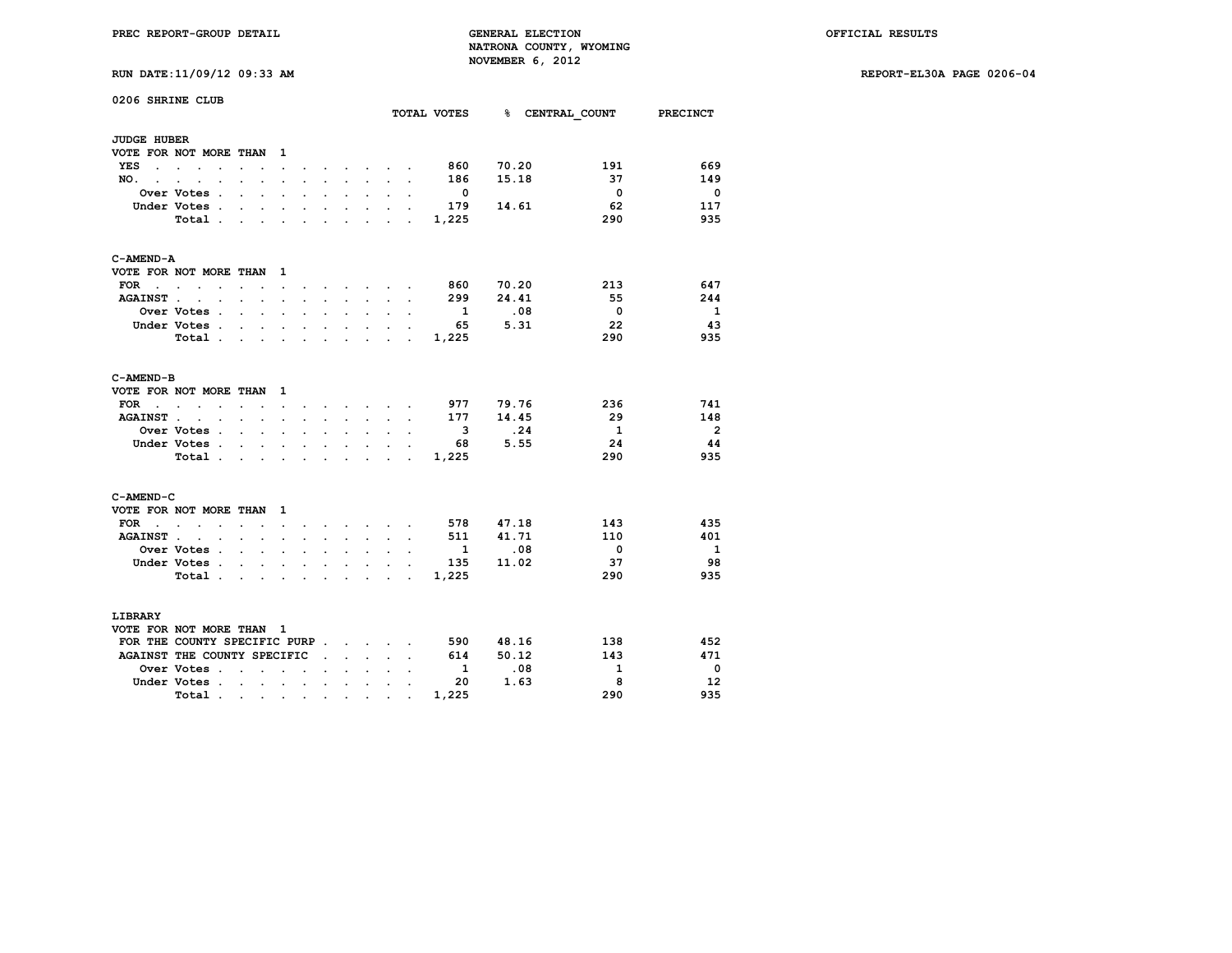|  | RUN DATE:11/09/12 09:33 AM |  |  |  |  |
|--|----------------------------|--|--|--|--|
|--|----------------------------|--|--|--|--|

| <b>JUDGE HUBER</b><br>VOTE FOR NOT MORE THAN<br>$\mathbf{1}$<br>70.20<br>860<br>191<br>YES<br>$\sim$ 100 $\mu$<br>$\sim$ $\sim$<br>and the state of the state of the<br>$\ddot{\phantom{0}}$<br>15.18<br>37<br>186<br>NO.<br>$\mathbf{r}$<br>$\sim$<br>$\ddot{\phantom{a}}$<br>$\cdot$<br>s.<br>$\cdot$<br>$\overline{a}$<br>$\overline{\mathbf{0}}$<br>Over Votes .<br>- 0<br>$\cdot$<br>$\cdot$<br>$\ddot{\phantom{a}}$<br>$\ddot{\phantom{a}}$<br>$\ddot{\phantom{a}}$<br>$\cdot$<br>$\cdot$<br>$\cdot$<br>$\overline{a}$<br>62<br>Under Votes .<br>179<br>14.61<br>$\ddot{\phantom{a}}$<br>$\ddot{\phantom{a}}$<br>$\overline{a}$<br>290<br>Total .<br>1,225<br>$\cdot$<br>$\cdot$<br>$\ddot{\phantom{a}}$<br>$\ddot{\phantom{a}}$<br>C-AMEND-A<br>VOTE FOR NOT MORE THAN<br>- 1<br>70.20<br>213<br><b>FOR</b><br>860<br>the company of the company<br>$\sim$<br>$\sim$<br>$\ddot{\phantom{a}}$<br>$\cdot$<br>$\sim$<br>$\sim$<br>$\overline{a}$<br>299<br>24.41<br>55<br>AGAINST<br>$\ddot{\phantom{a}}$<br>$\ddot{\phantom{a}}$<br>$\ddot{\phantom{0}}$<br>$\ddot{\phantom{0}}$<br>$\ddot{\phantom{0}}$<br>$\sim$<br>$\bullet$<br>$\ddot{\phantom{0}}$<br>$\ddot{\phantom{a}}$<br>.08<br>$\overline{\mathbf{0}}$<br>$\mathbf{1}$<br>Over Votes .<br>$\ddot{\phantom{0}}$<br>5.31<br>22<br>Under Votes .<br>65<br>$\ddot{\phantom{a}}$<br>$\cdot$<br>$\cdot$<br>$\ddot{\phantom{a}}$<br>290<br>1,225<br>Total<br>$\mathbf{z} = \mathbf{z} + \mathbf{z}$ . The $\mathbf{z}$<br><b>Contract Contract</b><br><b>Contract Contract Contract</b><br>C-AMEND-B<br>VOTE FOR NOT MORE THAN<br>$\mathbf{1}$<br>236<br>741<br>FOR<br>977<br>79.76<br>$\sim$<br>$\cdot$ $\cdot$<br>$\ddot{\phantom{a}}$<br>the company of the company of<br>$\sim$<br>$\sim$ $\sim$<br>$\cdot$<br>$\sim$<br>14.45<br>29<br>148<br><b>AGAINST</b><br>177<br>$\ddot{\phantom{a}}$<br>$\overline{a}$<br>$\mathbf{r}$<br>$\cdot$<br>$\ddot{\phantom{a}}$<br>$\ddot{\phantom{a}}$<br>$\ddot{\phantom{a}}$<br>$\ddot{\phantom{a}}$<br>$\ddot{\phantom{0}}$<br>$\ddot{\phantom{0}}$<br>.24<br>$\overline{\phantom{a}}$<br>$\overline{\mathbf{3}}$<br>$\mathbf{1}$<br>Over Votes .<br>$\cdot$<br>$\ddot{\phantom{a}}$<br>$\cdot$<br>$\ddot{\phantom{a}}$<br>$\overline{a}$<br>$\ddot{\phantom{0}}$<br>$\ddot{\phantom{0}}$<br>5.55<br>24<br>44<br>Under Votes .<br>- 68<br>$\mathbf{r}$<br>$\sim$<br>$\sim$ $\sim$<br>$\sim$<br>$\ddot{\phantom{a}}$<br>$\sim$<br>$\ddot{\phantom{0}}$<br>$\ddot{\phantom{0}}$<br>290<br>Total.<br>1,225<br>$\mathbf{r}$<br>$\sim$<br>$\mathbf{r}$<br>$\sim$<br>$\mathbf{r}$<br>C-AMEND-C<br>VOTE FOR NOT MORE THAN<br>$\mathbf{1}$<br>47.18<br>143<br><b>FOR</b><br>578<br><b>Contract Contract</b><br>$\mathbf{r}$<br>$\sim$<br>$\ddot{\phantom{a}}$<br>$\ddot{\phantom{a}}$<br>$\ddot{\phantom{a}}$<br>$\sim$<br>$\sim$<br>41.71<br>511<br>110<br>401<br><b>AGAINST.</b><br>$\ddot{\phantom{a}}$<br>$\ddot{\phantom{a}}$<br>$\ddot{\phantom{a}}$<br>$\ddot{\phantom{0}}$<br>$\ddot{\phantom{a}}$<br>$\ddot{\phantom{a}}$<br>$\ddot{\phantom{a}}$<br>$\cdot$<br>$\cdot$<br>$\cdot$<br>$\ddot{\phantom{a}}$<br>.08<br>$\overline{\mathbf{0}}$<br>Over Votes .<br>$\mathbf{1}$<br>$\sim$<br>$\mathbf{r}$<br>$\ddot{\phantom{a}}$<br>$\ddot{\phantom{a}}$<br>$\ddot{\phantom{a}}$<br>$\bullet$<br>$\bullet$<br>11.02<br>135<br>37<br>Under Votes .<br>$\sim$<br>$\ddot{\phantom{0}}$<br>$\ddot{\phantom{a}}$<br>$\cdot$<br>$\ddot{\phantom{0}}$<br>$\cdot$<br>$\overline{a}$<br>290<br>Total.<br>1,225<br>$\sim$ $\sim$ $\sim$<br>$\sim$<br>$\sim$<br>$\sim$ $\sim$<br>$\ddot{\phantom{0}}$<br>$\ddot{\phantom{0}}$<br>$\ddot{\phantom{a}}$<br>LIBRARY<br>VOTE FOR NOT MORE THAN 1<br>FOR THE COUNTY SPECIFIC PURP.<br>48.16<br>138<br>590<br>$\sim$ $\sim$ $\sim$ $\sim$<br>AGAINST THE COUNTY SPECIFIC<br>50.12<br>143<br>614<br>$\mathbf{r} = \mathbf{r}$<br>$\cdot$<br>.08<br>$\mathbf{1}$<br>Over Votes.<br>$\mathbf{1}$<br>$\mathbf{r}$<br>$\ddot{\phantom{0}}$<br>$\cdot$<br>$\overline{a}$<br>1.63<br>Under Votes.<br>20<br>8<br>$\sim$<br>$\ddotsc$<br>$\bullet$<br>$\ddot{\phantom{0}}$<br>$\ddot{\phantom{0}}$<br>$\ddot{\phantom{a}}$<br>$\sim$ $\sim$<br>$\ddot{\phantom{0}}$<br>290<br>1,225<br>Total.<br>$\cdot$<br>$\ddot{\phantom{0}}$<br>$\cdot$<br>$\bullet$<br>$\ddot{\phantom{0}}$<br>$\ddot{\phantom{0}}$ | 0206 SHRINE CLUB |  |  |  |  |  | TOTAL VOTES 8 CENTRAL COUNT PRECINCT |                          |
|----------------------------------------------------------------------------------------------------------------------------------------------------------------------------------------------------------------------------------------------------------------------------------------------------------------------------------------------------------------------------------------------------------------------------------------------------------------------------------------------------------------------------------------------------------------------------------------------------------------------------------------------------------------------------------------------------------------------------------------------------------------------------------------------------------------------------------------------------------------------------------------------------------------------------------------------------------------------------------------------------------------------------------------------------------------------------------------------------------------------------------------------------------------------------------------------------------------------------------------------------------------------------------------------------------------------------------------------------------------------------------------------------------------------------------------------------------------------------------------------------------------------------------------------------------------------------------------------------------------------------------------------------------------------------------------------------------------------------------------------------------------------------------------------------------------------------------------------------------------------------------------------------------------------------------------------------------------------------------------------------------------------------------------------------------------------------------------------------------------------------------------------------------------------------------------------------------------------------------------------------------------------------------------------------------------------------------------------------------------------------------------------------------------------------------------------------------------------------------------------------------------------------------------------------------------------------------------------------------------------------------------------------------------------------------------------------------------------------------------------------------------------------------------------------------------------------------------------------------------------------------------------------------------------------------------------------------------------------------------------------------------------------------------------------------------------------------------------------------------------------------------------------------------------------------------------------------------------------------------------------------------------------------------------------------------------------------------------------------------------------------------------------------------------------------------------------------------------------------------------------------------------------------------------------------------------------------------------------------------------------------------------------------------------------------------------------------------------------------------------------------------------------------------------------------------------------------------------------------------------------------------------------------------------------------------------------------------------------------------------------------------------------------------------------------------------------------------------------------------------------------------------------------------------------------------------------------------------------------------------------------------------------------------------------------------------------------|------------------|--|--|--|--|--|--------------------------------------|--------------------------|
|                                                                                                                                                                                                                                                                                                                                                                                                                                                                                                                                                                                                                                                                                                                                                                                                                                                                                                                                                                                                                                                                                                                                                                                                                                                                                                                                                                                                                                                                                                                                                                                                                                                                                                                                                                                                                                                                                                                                                                                                                                                                                                                                                                                                                                                                                                                                                                                                                                                                                                                                                                                                                                                                                                                                                                                                                                                                                                                                                                                                                                                                                                                                                                                                                                                                                                                                                                                                                                                                                                                                                                                                                                                                                                                                                                                                                                                                                                                                                                                                                                                                                                                                                                                                                                                                                                                                  |                  |  |  |  |  |  |                                      |                          |
|                                                                                                                                                                                                                                                                                                                                                                                                                                                                                                                                                                                                                                                                                                                                                                                                                                                                                                                                                                                                                                                                                                                                                                                                                                                                                                                                                                                                                                                                                                                                                                                                                                                                                                                                                                                                                                                                                                                                                                                                                                                                                                                                                                                                                                                                                                                                                                                                                                                                                                                                                                                                                                                                                                                                                                                                                                                                                                                                                                                                                                                                                                                                                                                                                                                                                                                                                                                                                                                                                                                                                                                                                                                                                                                                                                                                                                                                                                                                                                                                                                                                                                                                                                                                                                                                                                                                  |                  |  |  |  |  |  |                                      |                          |
|                                                                                                                                                                                                                                                                                                                                                                                                                                                                                                                                                                                                                                                                                                                                                                                                                                                                                                                                                                                                                                                                                                                                                                                                                                                                                                                                                                                                                                                                                                                                                                                                                                                                                                                                                                                                                                                                                                                                                                                                                                                                                                                                                                                                                                                                                                                                                                                                                                                                                                                                                                                                                                                                                                                                                                                                                                                                                                                                                                                                                                                                                                                                                                                                                                                                                                                                                                                                                                                                                                                                                                                                                                                                                                                                                                                                                                                                                                                                                                                                                                                                                                                                                                                                                                                                                                                                  |                  |  |  |  |  |  |                                      | 669                      |
|                                                                                                                                                                                                                                                                                                                                                                                                                                                                                                                                                                                                                                                                                                                                                                                                                                                                                                                                                                                                                                                                                                                                                                                                                                                                                                                                                                                                                                                                                                                                                                                                                                                                                                                                                                                                                                                                                                                                                                                                                                                                                                                                                                                                                                                                                                                                                                                                                                                                                                                                                                                                                                                                                                                                                                                                                                                                                                                                                                                                                                                                                                                                                                                                                                                                                                                                                                                                                                                                                                                                                                                                                                                                                                                                                                                                                                                                                                                                                                                                                                                                                                                                                                                                                                                                                                                                  |                  |  |  |  |  |  |                                      | 149                      |
|                                                                                                                                                                                                                                                                                                                                                                                                                                                                                                                                                                                                                                                                                                                                                                                                                                                                                                                                                                                                                                                                                                                                                                                                                                                                                                                                                                                                                                                                                                                                                                                                                                                                                                                                                                                                                                                                                                                                                                                                                                                                                                                                                                                                                                                                                                                                                                                                                                                                                                                                                                                                                                                                                                                                                                                                                                                                                                                                                                                                                                                                                                                                                                                                                                                                                                                                                                                                                                                                                                                                                                                                                                                                                                                                                                                                                                                                                                                                                                                                                                                                                                                                                                                                                                                                                                                                  |                  |  |  |  |  |  |                                      | $\overline{\phantom{0}}$ |
|                                                                                                                                                                                                                                                                                                                                                                                                                                                                                                                                                                                                                                                                                                                                                                                                                                                                                                                                                                                                                                                                                                                                                                                                                                                                                                                                                                                                                                                                                                                                                                                                                                                                                                                                                                                                                                                                                                                                                                                                                                                                                                                                                                                                                                                                                                                                                                                                                                                                                                                                                                                                                                                                                                                                                                                                                                                                                                                                                                                                                                                                                                                                                                                                                                                                                                                                                                                                                                                                                                                                                                                                                                                                                                                                                                                                                                                                                                                                                                                                                                                                                                                                                                                                                                                                                                                                  |                  |  |  |  |  |  |                                      | 117                      |
|                                                                                                                                                                                                                                                                                                                                                                                                                                                                                                                                                                                                                                                                                                                                                                                                                                                                                                                                                                                                                                                                                                                                                                                                                                                                                                                                                                                                                                                                                                                                                                                                                                                                                                                                                                                                                                                                                                                                                                                                                                                                                                                                                                                                                                                                                                                                                                                                                                                                                                                                                                                                                                                                                                                                                                                                                                                                                                                                                                                                                                                                                                                                                                                                                                                                                                                                                                                                                                                                                                                                                                                                                                                                                                                                                                                                                                                                                                                                                                                                                                                                                                                                                                                                                                                                                                                                  |                  |  |  |  |  |  |                                      | 935                      |
|                                                                                                                                                                                                                                                                                                                                                                                                                                                                                                                                                                                                                                                                                                                                                                                                                                                                                                                                                                                                                                                                                                                                                                                                                                                                                                                                                                                                                                                                                                                                                                                                                                                                                                                                                                                                                                                                                                                                                                                                                                                                                                                                                                                                                                                                                                                                                                                                                                                                                                                                                                                                                                                                                                                                                                                                                                                                                                                                                                                                                                                                                                                                                                                                                                                                                                                                                                                                                                                                                                                                                                                                                                                                                                                                                                                                                                                                                                                                                                                                                                                                                                                                                                                                                                                                                                                                  |                  |  |  |  |  |  |                                      |                          |
|                                                                                                                                                                                                                                                                                                                                                                                                                                                                                                                                                                                                                                                                                                                                                                                                                                                                                                                                                                                                                                                                                                                                                                                                                                                                                                                                                                                                                                                                                                                                                                                                                                                                                                                                                                                                                                                                                                                                                                                                                                                                                                                                                                                                                                                                                                                                                                                                                                                                                                                                                                                                                                                                                                                                                                                                                                                                                                                                                                                                                                                                                                                                                                                                                                                                                                                                                                                                                                                                                                                                                                                                                                                                                                                                                                                                                                                                                                                                                                                                                                                                                                                                                                                                                                                                                                                                  |                  |  |  |  |  |  |                                      |                          |
|                                                                                                                                                                                                                                                                                                                                                                                                                                                                                                                                                                                                                                                                                                                                                                                                                                                                                                                                                                                                                                                                                                                                                                                                                                                                                                                                                                                                                                                                                                                                                                                                                                                                                                                                                                                                                                                                                                                                                                                                                                                                                                                                                                                                                                                                                                                                                                                                                                                                                                                                                                                                                                                                                                                                                                                                                                                                                                                                                                                                                                                                                                                                                                                                                                                                                                                                                                                                                                                                                                                                                                                                                                                                                                                                                                                                                                                                                                                                                                                                                                                                                                                                                                                                                                                                                                                                  |                  |  |  |  |  |  |                                      | 647                      |
|                                                                                                                                                                                                                                                                                                                                                                                                                                                                                                                                                                                                                                                                                                                                                                                                                                                                                                                                                                                                                                                                                                                                                                                                                                                                                                                                                                                                                                                                                                                                                                                                                                                                                                                                                                                                                                                                                                                                                                                                                                                                                                                                                                                                                                                                                                                                                                                                                                                                                                                                                                                                                                                                                                                                                                                                                                                                                                                                                                                                                                                                                                                                                                                                                                                                                                                                                                                                                                                                                                                                                                                                                                                                                                                                                                                                                                                                                                                                                                                                                                                                                                                                                                                                                                                                                                                                  |                  |  |  |  |  |  |                                      | 244                      |
|                                                                                                                                                                                                                                                                                                                                                                                                                                                                                                                                                                                                                                                                                                                                                                                                                                                                                                                                                                                                                                                                                                                                                                                                                                                                                                                                                                                                                                                                                                                                                                                                                                                                                                                                                                                                                                                                                                                                                                                                                                                                                                                                                                                                                                                                                                                                                                                                                                                                                                                                                                                                                                                                                                                                                                                                                                                                                                                                                                                                                                                                                                                                                                                                                                                                                                                                                                                                                                                                                                                                                                                                                                                                                                                                                                                                                                                                                                                                                                                                                                                                                                                                                                                                                                                                                                                                  |                  |  |  |  |  |  |                                      | - 1                      |
|                                                                                                                                                                                                                                                                                                                                                                                                                                                                                                                                                                                                                                                                                                                                                                                                                                                                                                                                                                                                                                                                                                                                                                                                                                                                                                                                                                                                                                                                                                                                                                                                                                                                                                                                                                                                                                                                                                                                                                                                                                                                                                                                                                                                                                                                                                                                                                                                                                                                                                                                                                                                                                                                                                                                                                                                                                                                                                                                                                                                                                                                                                                                                                                                                                                                                                                                                                                                                                                                                                                                                                                                                                                                                                                                                                                                                                                                                                                                                                                                                                                                                                                                                                                                                                                                                                                                  |                  |  |  |  |  |  |                                      | 43                       |
|                                                                                                                                                                                                                                                                                                                                                                                                                                                                                                                                                                                                                                                                                                                                                                                                                                                                                                                                                                                                                                                                                                                                                                                                                                                                                                                                                                                                                                                                                                                                                                                                                                                                                                                                                                                                                                                                                                                                                                                                                                                                                                                                                                                                                                                                                                                                                                                                                                                                                                                                                                                                                                                                                                                                                                                                                                                                                                                                                                                                                                                                                                                                                                                                                                                                                                                                                                                                                                                                                                                                                                                                                                                                                                                                                                                                                                                                                                                                                                                                                                                                                                                                                                                                                                                                                                                                  |                  |  |  |  |  |  |                                      | 935                      |
|                                                                                                                                                                                                                                                                                                                                                                                                                                                                                                                                                                                                                                                                                                                                                                                                                                                                                                                                                                                                                                                                                                                                                                                                                                                                                                                                                                                                                                                                                                                                                                                                                                                                                                                                                                                                                                                                                                                                                                                                                                                                                                                                                                                                                                                                                                                                                                                                                                                                                                                                                                                                                                                                                                                                                                                                                                                                                                                                                                                                                                                                                                                                                                                                                                                                                                                                                                                                                                                                                                                                                                                                                                                                                                                                                                                                                                                                                                                                                                                                                                                                                                                                                                                                                                                                                                                                  |                  |  |  |  |  |  |                                      |                          |
|                                                                                                                                                                                                                                                                                                                                                                                                                                                                                                                                                                                                                                                                                                                                                                                                                                                                                                                                                                                                                                                                                                                                                                                                                                                                                                                                                                                                                                                                                                                                                                                                                                                                                                                                                                                                                                                                                                                                                                                                                                                                                                                                                                                                                                                                                                                                                                                                                                                                                                                                                                                                                                                                                                                                                                                                                                                                                                                                                                                                                                                                                                                                                                                                                                                                                                                                                                                                                                                                                                                                                                                                                                                                                                                                                                                                                                                                                                                                                                                                                                                                                                                                                                                                                                                                                                                                  |                  |  |  |  |  |  |                                      |                          |
|                                                                                                                                                                                                                                                                                                                                                                                                                                                                                                                                                                                                                                                                                                                                                                                                                                                                                                                                                                                                                                                                                                                                                                                                                                                                                                                                                                                                                                                                                                                                                                                                                                                                                                                                                                                                                                                                                                                                                                                                                                                                                                                                                                                                                                                                                                                                                                                                                                                                                                                                                                                                                                                                                                                                                                                                                                                                                                                                                                                                                                                                                                                                                                                                                                                                                                                                                                                                                                                                                                                                                                                                                                                                                                                                                                                                                                                                                                                                                                                                                                                                                                                                                                                                                                                                                                                                  |                  |  |  |  |  |  |                                      |                          |
|                                                                                                                                                                                                                                                                                                                                                                                                                                                                                                                                                                                                                                                                                                                                                                                                                                                                                                                                                                                                                                                                                                                                                                                                                                                                                                                                                                                                                                                                                                                                                                                                                                                                                                                                                                                                                                                                                                                                                                                                                                                                                                                                                                                                                                                                                                                                                                                                                                                                                                                                                                                                                                                                                                                                                                                                                                                                                                                                                                                                                                                                                                                                                                                                                                                                                                                                                                                                                                                                                                                                                                                                                                                                                                                                                                                                                                                                                                                                                                                                                                                                                                                                                                                                                                                                                                                                  |                  |  |  |  |  |  |                                      |                          |
|                                                                                                                                                                                                                                                                                                                                                                                                                                                                                                                                                                                                                                                                                                                                                                                                                                                                                                                                                                                                                                                                                                                                                                                                                                                                                                                                                                                                                                                                                                                                                                                                                                                                                                                                                                                                                                                                                                                                                                                                                                                                                                                                                                                                                                                                                                                                                                                                                                                                                                                                                                                                                                                                                                                                                                                                                                                                                                                                                                                                                                                                                                                                                                                                                                                                                                                                                                                                                                                                                                                                                                                                                                                                                                                                                                                                                                                                                                                                                                                                                                                                                                                                                                                                                                                                                                                                  |                  |  |  |  |  |  |                                      |                          |
|                                                                                                                                                                                                                                                                                                                                                                                                                                                                                                                                                                                                                                                                                                                                                                                                                                                                                                                                                                                                                                                                                                                                                                                                                                                                                                                                                                                                                                                                                                                                                                                                                                                                                                                                                                                                                                                                                                                                                                                                                                                                                                                                                                                                                                                                                                                                                                                                                                                                                                                                                                                                                                                                                                                                                                                                                                                                                                                                                                                                                                                                                                                                                                                                                                                                                                                                                                                                                                                                                                                                                                                                                                                                                                                                                                                                                                                                                                                                                                                                                                                                                                                                                                                                                                                                                                                                  |                  |  |  |  |  |  |                                      |                          |
|                                                                                                                                                                                                                                                                                                                                                                                                                                                                                                                                                                                                                                                                                                                                                                                                                                                                                                                                                                                                                                                                                                                                                                                                                                                                                                                                                                                                                                                                                                                                                                                                                                                                                                                                                                                                                                                                                                                                                                                                                                                                                                                                                                                                                                                                                                                                                                                                                                                                                                                                                                                                                                                                                                                                                                                                                                                                                                                                                                                                                                                                                                                                                                                                                                                                                                                                                                                                                                                                                                                                                                                                                                                                                                                                                                                                                                                                                                                                                                                                                                                                                                                                                                                                                                                                                                                                  |                  |  |  |  |  |  |                                      | 935                      |
|                                                                                                                                                                                                                                                                                                                                                                                                                                                                                                                                                                                                                                                                                                                                                                                                                                                                                                                                                                                                                                                                                                                                                                                                                                                                                                                                                                                                                                                                                                                                                                                                                                                                                                                                                                                                                                                                                                                                                                                                                                                                                                                                                                                                                                                                                                                                                                                                                                                                                                                                                                                                                                                                                                                                                                                                                                                                                                                                                                                                                                                                                                                                                                                                                                                                                                                                                                                                                                                                                                                                                                                                                                                                                                                                                                                                                                                                                                                                                                                                                                                                                                                                                                                                                                                                                                                                  |                  |  |  |  |  |  |                                      |                          |
|                                                                                                                                                                                                                                                                                                                                                                                                                                                                                                                                                                                                                                                                                                                                                                                                                                                                                                                                                                                                                                                                                                                                                                                                                                                                                                                                                                                                                                                                                                                                                                                                                                                                                                                                                                                                                                                                                                                                                                                                                                                                                                                                                                                                                                                                                                                                                                                                                                                                                                                                                                                                                                                                                                                                                                                                                                                                                                                                                                                                                                                                                                                                                                                                                                                                                                                                                                                                                                                                                                                                                                                                                                                                                                                                                                                                                                                                                                                                                                                                                                                                                                                                                                                                                                                                                                                                  |                  |  |  |  |  |  |                                      |                          |
|                                                                                                                                                                                                                                                                                                                                                                                                                                                                                                                                                                                                                                                                                                                                                                                                                                                                                                                                                                                                                                                                                                                                                                                                                                                                                                                                                                                                                                                                                                                                                                                                                                                                                                                                                                                                                                                                                                                                                                                                                                                                                                                                                                                                                                                                                                                                                                                                                                                                                                                                                                                                                                                                                                                                                                                                                                                                                                                                                                                                                                                                                                                                                                                                                                                                                                                                                                                                                                                                                                                                                                                                                                                                                                                                                                                                                                                                                                                                                                                                                                                                                                                                                                                                                                                                                                                                  |                  |  |  |  |  |  |                                      | 435                      |
|                                                                                                                                                                                                                                                                                                                                                                                                                                                                                                                                                                                                                                                                                                                                                                                                                                                                                                                                                                                                                                                                                                                                                                                                                                                                                                                                                                                                                                                                                                                                                                                                                                                                                                                                                                                                                                                                                                                                                                                                                                                                                                                                                                                                                                                                                                                                                                                                                                                                                                                                                                                                                                                                                                                                                                                                                                                                                                                                                                                                                                                                                                                                                                                                                                                                                                                                                                                                                                                                                                                                                                                                                                                                                                                                                                                                                                                                                                                                                                                                                                                                                                                                                                                                                                                                                                                                  |                  |  |  |  |  |  |                                      |                          |
|                                                                                                                                                                                                                                                                                                                                                                                                                                                                                                                                                                                                                                                                                                                                                                                                                                                                                                                                                                                                                                                                                                                                                                                                                                                                                                                                                                                                                                                                                                                                                                                                                                                                                                                                                                                                                                                                                                                                                                                                                                                                                                                                                                                                                                                                                                                                                                                                                                                                                                                                                                                                                                                                                                                                                                                                                                                                                                                                                                                                                                                                                                                                                                                                                                                                                                                                                                                                                                                                                                                                                                                                                                                                                                                                                                                                                                                                                                                                                                                                                                                                                                                                                                                                                                                                                                                                  |                  |  |  |  |  |  |                                      | $\overline{\mathbf{1}}$  |
|                                                                                                                                                                                                                                                                                                                                                                                                                                                                                                                                                                                                                                                                                                                                                                                                                                                                                                                                                                                                                                                                                                                                                                                                                                                                                                                                                                                                                                                                                                                                                                                                                                                                                                                                                                                                                                                                                                                                                                                                                                                                                                                                                                                                                                                                                                                                                                                                                                                                                                                                                                                                                                                                                                                                                                                                                                                                                                                                                                                                                                                                                                                                                                                                                                                                                                                                                                                                                                                                                                                                                                                                                                                                                                                                                                                                                                                                                                                                                                                                                                                                                                                                                                                                                                                                                                                                  |                  |  |  |  |  |  |                                      | 98                       |
|                                                                                                                                                                                                                                                                                                                                                                                                                                                                                                                                                                                                                                                                                                                                                                                                                                                                                                                                                                                                                                                                                                                                                                                                                                                                                                                                                                                                                                                                                                                                                                                                                                                                                                                                                                                                                                                                                                                                                                                                                                                                                                                                                                                                                                                                                                                                                                                                                                                                                                                                                                                                                                                                                                                                                                                                                                                                                                                                                                                                                                                                                                                                                                                                                                                                                                                                                                                                                                                                                                                                                                                                                                                                                                                                                                                                                                                                                                                                                                                                                                                                                                                                                                                                                                                                                                                                  |                  |  |  |  |  |  |                                      | 935                      |
|                                                                                                                                                                                                                                                                                                                                                                                                                                                                                                                                                                                                                                                                                                                                                                                                                                                                                                                                                                                                                                                                                                                                                                                                                                                                                                                                                                                                                                                                                                                                                                                                                                                                                                                                                                                                                                                                                                                                                                                                                                                                                                                                                                                                                                                                                                                                                                                                                                                                                                                                                                                                                                                                                                                                                                                                                                                                                                                                                                                                                                                                                                                                                                                                                                                                                                                                                                                                                                                                                                                                                                                                                                                                                                                                                                                                                                                                                                                                                                                                                                                                                                                                                                                                                                                                                                                                  |                  |  |  |  |  |  |                                      |                          |
|                                                                                                                                                                                                                                                                                                                                                                                                                                                                                                                                                                                                                                                                                                                                                                                                                                                                                                                                                                                                                                                                                                                                                                                                                                                                                                                                                                                                                                                                                                                                                                                                                                                                                                                                                                                                                                                                                                                                                                                                                                                                                                                                                                                                                                                                                                                                                                                                                                                                                                                                                                                                                                                                                                                                                                                                                                                                                                                                                                                                                                                                                                                                                                                                                                                                                                                                                                                                                                                                                                                                                                                                                                                                                                                                                                                                                                                                                                                                                                                                                                                                                                                                                                                                                                                                                                                                  |                  |  |  |  |  |  |                                      |                          |
|                                                                                                                                                                                                                                                                                                                                                                                                                                                                                                                                                                                                                                                                                                                                                                                                                                                                                                                                                                                                                                                                                                                                                                                                                                                                                                                                                                                                                                                                                                                                                                                                                                                                                                                                                                                                                                                                                                                                                                                                                                                                                                                                                                                                                                                                                                                                                                                                                                                                                                                                                                                                                                                                                                                                                                                                                                                                                                                                                                                                                                                                                                                                                                                                                                                                                                                                                                                                                                                                                                                                                                                                                                                                                                                                                                                                                                                                                                                                                                                                                                                                                                                                                                                                                                                                                                                                  |                  |  |  |  |  |  |                                      | 452                      |
|                                                                                                                                                                                                                                                                                                                                                                                                                                                                                                                                                                                                                                                                                                                                                                                                                                                                                                                                                                                                                                                                                                                                                                                                                                                                                                                                                                                                                                                                                                                                                                                                                                                                                                                                                                                                                                                                                                                                                                                                                                                                                                                                                                                                                                                                                                                                                                                                                                                                                                                                                                                                                                                                                                                                                                                                                                                                                                                                                                                                                                                                                                                                                                                                                                                                                                                                                                                                                                                                                                                                                                                                                                                                                                                                                                                                                                                                                                                                                                                                                                                                                                                                                                                                                                                                                                                                  |                  |  |  |  |  |  |                                      | 471                      |
|                                                                                                                                                                                                                                                                                                                                                                                                                                                                                                                                                                                                                                                                                                                                                                                                                                                                                                                                                                                                                                                                                                                                                                                                                                                                                                                                                                                                                                                                                                                                                                                                                                                                                                                                                                                                                                                                                                                                                                                                                                                                                                                                                                                                                                                                                                                                                                                                                                                                                                                                                                                                                                                                                                                                                                                                                                                                                                                                                                                                                                                                                                                                                                                                                                                                                                                                                                                                                                                                                                                                                                                                                                                                                                                                                                                                                                                                                                                                                                                                                                                                                                                                                                                                                                                                                                                                  |                  |  |  |  |  |  |                                      | $\overline{\phantom{0}}$ |
|                                                                                                                                                                                                                                                                                                                                                                                                                                                                                                                                                                                                                                                                                                                                                                                                                                                                                                                                                                                                                                                                                                                                                                                                                                                                                                                                                                                                                                                                                                                                                                                                                                                                                                                                                                                                                                                                                                                                                                                                                                                                                                                                                                                                                                                                                                                                                                                                                                                                                                                                                                                                                                                                                                                                                                                                                                                                                                                                                                                                                                                                                                                                                                                                                                                                                                                                                                                                                                                                                                                                                                                                                                                                                                                                                                                                                                                                                                                                                                                                                                                                                                                                                                                                                                                                                                                                  |                  |  |  |  |  |  |                                      | - 12                     |
|                                                                                                                                                                                                                                                                                                                                                                                                                                                                                                                                                                                                                                                                                                                                                                                                                                                                                                                                                                                                                                                                                                                                                                                                                                                                                                                                                                                                                                                                                                                                                                                                                                                                                                                                                                                                                                                                                                                                                                                                                                                                                                                                                                                                                                                                                                                                                                                                                                                                                                                                                                                                                                                                                                                                                                                                                                                                                                                                                                                                                                                                                                                                                                                                                                                                                                                                                                                                                                                                                                                                                                                                                                                                                                                                                                                                                                                                                                                                                                                                                                                                                                                                                                                                                                                                                                                                  |                  |  |  |  |  |  |                                      | 935                      |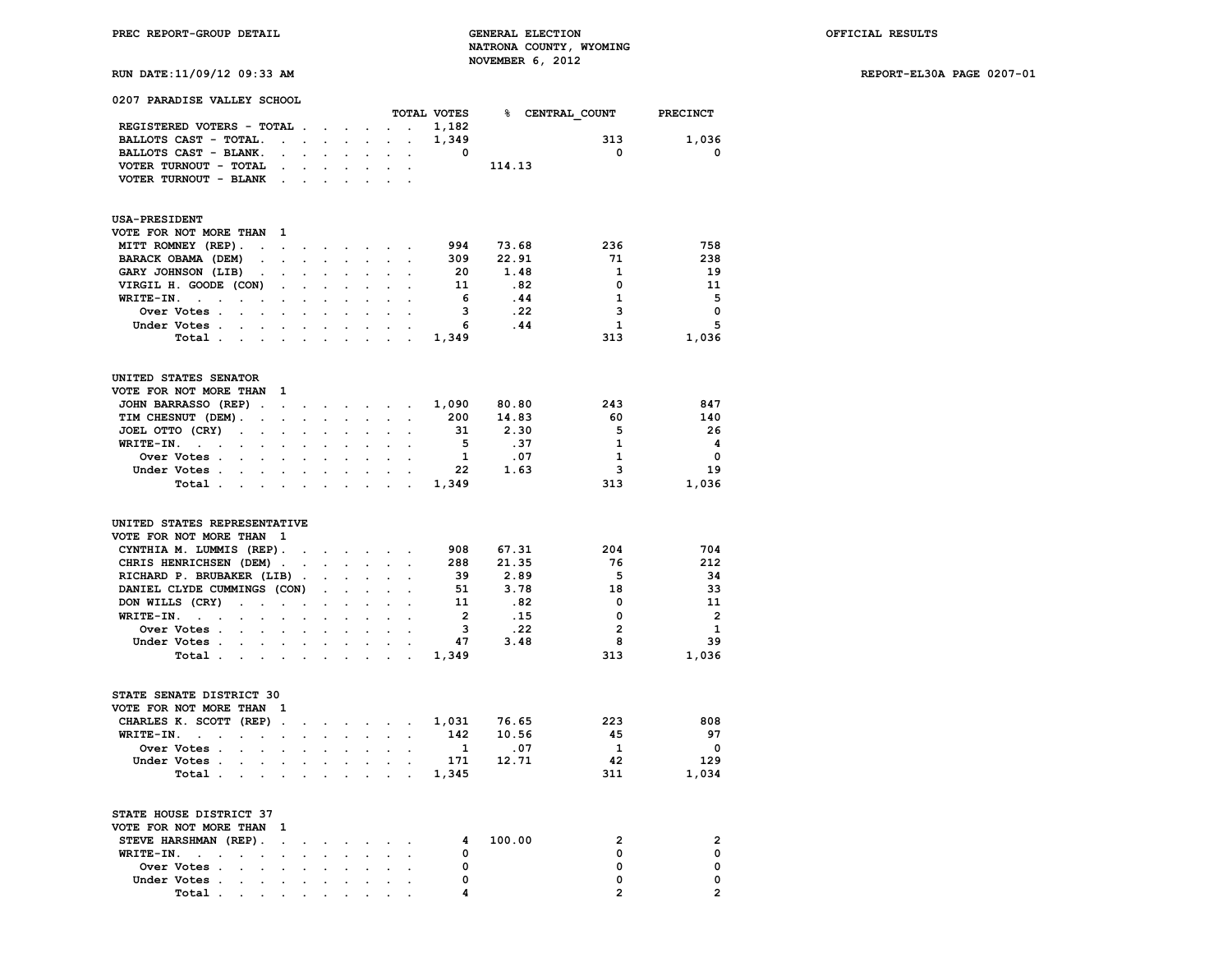**RUN DATE:11/09/12 09:33 AM REPORT-EL30A PAGE 0207-01**

| 0207 PARADISE VALLEY SCHOOL                                   |                           |                      |                         |                      |                      |                      |                          |                         |        |       |                             |                         |
|---------------------------------------------------------------|---------------------------|----------------------|-------------------------|----------------------|----------------------|----------------------|--------------------------|-------------------------|--------|-------|-----------------------------|-------------------------|
| REGISTERED VOTERS - TOTAL .                                   |                           |                      |                         |                      |                      |                      | <b>Contract Contract</b> | 1,182                   |        |       | TOTAL VOTES & CENTRAL COUNT | <b>PRECINCT</b>         |
|                                                               | $\mathbf{r} = \mathbf{r}$ |                      | $\cdot$<br>$\mathbf{r}$ | $\sim$               | $\sim$               |                      | $\sim$ $\sim$            | 1,349                   |        |       | 313                         | 1,036                   |
| BALLOTS CAST - TOTAL.<br>BALLOTS CAST - BLANK.                |                           | $\cdot$              |                         |                      |                      |                      |                          | $\overline{\mathbf{0}}$ |        |       | $\mathbf{0}$                | 0                       |
| VOTER TURNOUT - TOTAL                                         | $\cdot$                   |                      |                         | $\ddot{\phantom{a}}$ | $\ddot{\phantom{a}}$ | $\ddot{\phantom{a}}$ | $\ddot{\phantom{a}}$     |                         | 114.13 |       |                             |                         |
| VOTER TURNOUT - BLANK                                         |                           |                      |                         |                      |                      |                      |                          |                         |        |       |                             |                         |
|                                                               |                           |                      |                         |                      |                      |                      |                          |                         |        |       |                             |                         |
| <b>USA-PRESIDENT</b>                                          |                           |                      |                         |                      |                      |                      |                          |                         |        |       |                             |                         |
| VOTE FOR NOT MORE THAN 1                                      |                           |                      |                         |                      |                      |                      |                          |                         |        |       |                             |                         |
| MITT ROMNEY (REP).<br>$\sim$                                  | $\cdot$                   | $\bullet$            | $\sim$                  | $\sim$               | $\ddot{\phantom{a}}$ | $\cdot$              |                          | 994 73.68               |        |       | 236                         | 758                     |
| BARACK OBAMA (DEM)<br>$\ddot{\phantom{0}}$                    | $\ddot{\phantom{a}}$      |                      |                         |                      |                      |                      |                          | 309                     | 22.91  |       | 71                          | 238                     |
| GARY JOHNSON (LIB)<br>$\ddot{\phantom{0}}$                    |                           |                      |                         |                      |                      |                      |                          | - 20                    |        | 1.48  | $\mathbf{1}$                | 19                      |
| VIRGIL H. GOODE (CON)                                         |                           |                      |                         |                      |                      |                      |                          | 11                      |        | .82   | $\Omega$                    | 11                      |
| $WRITE-IN.$ .                                                 |                           |                      |                         |                      |                      |                      |                          | 6                       |        | .44   | $\mathbf{1}$                | - 5                     |
| Over Votes .<br>$\overline{a}$                                |                           |                      |                         |                      |                      |                      |                          | 3                       |        | .22   | $\overline{\mathbf{3}}$     | $\mathbf 0$             |
| Under Votes .<br>$\ddot{\phantom{a}}$                         | $\cdot$                   | $\ddot{\phantom{a}}$ | $\cdot$                 | $\cdot$              |                      |                      |                          | 6                       |        | .44   | $\mathbf{1}$                | 5                       |
| Total.<br>$\cdot$<br>$\ddot{\phantom{a}}$                     |                           |                      |                         |                      |                      |                      |                          | 1,349                   |        |       | 313                         | 1,036                   |
| UNITED STATES SENATOR                                         |                           |                      |                         |                      |                      |                      |                          |                         |        |       |                             |                         |
| VOTE FOR NOT MORE THAN                                        | 1                         |                      |                         |                      |                      |                      |                          |                         |        |       |                             |                         |
| JOHN BARRASSO (REP).                                          | $\ddot{\phantom{0}}$      | $\bullet$            |                         |                      |                      |                      |                          | 1,090 80.80             |        |       | 243                         | 847                     |
| TIM CHESNUT (DEM).<br>$\ddot{\phantom{0}}$                    |                           | $\overline{a}$       |                         |                      |                      |                      |                          | 200                     | 14.83  |       | - 60                        | 140                     |
| JOEL OTTO (CRY)<br>$\ddot{\phantom{a}}$                       |                           |                      |                         |                      |                      |                      |                          | 31                      |        | 2.30  | 5                           | - 26                    |
| WRITE-IN.<br>$\ddot{\phantom{0}}$                             |                           |                      |                         |                      |                      |                      |                          | 5                       |        | .37   | $\mathbf{1}$                | -4                      |
| Over Votes .                                                  |                           |                      |                         |                      |                      |                      |                          | $\mathbf{1}$            |        | .07   | $\mathbf{1}$                | $\overline{\mathbf{0}}$ |
| Under Votes .<br>$\ddot{\phantom{a}}$                         |                           |                      |                         |                      |                      |                      |                          | 22                      |        | 1.63  | $\overline{\mathbf{3}}$     | 19                      |
| Total.                                                        |                           |                      |                         |                      |                      |                      |                          | 1,349                   |        |       | 313                         | 1,036                   |
|                                                               |                           |                      |                         |                      |                      |                      |                          |                         |        |       |                             |                         |
| UNITED STATES REPRESENTATIVE<br>VOTE FOR NOT MORE THAN 1      |                           |                      |                         |                      |                      |                      |                          |                         |        |       |                             |                         |
| CYNTHIA M. LUMMIS (REP).                                      |                           |                      |                         |                      |                      |                      |                          | 908 67.31               |        |       | 204                         | 704                     |
| CHRIS HENRICHSEN (DEM).                                       |                           |                      |                         |                      |                      |                      |                          | 288                     | 21.35  |       | 76                          | 212                     |
| RICHARD P. BRUBAKER (LIB).                                    |                           |                      |                         |                      |                      |                      |                          | 39                      |        | 2.89  | $-5$                        | 34                      |
| DANIEL CLYDE CUMMINGS (CON)                                   |                           |                      | $\ddot{\phantom{0}}$    | $\overline{a}$       |                      |                      |                          | 51                      |        | 3.78  | 18                          | 33                      |
| DON WILLS (CRY)<br>$\ddot{\phantom{a}}$                       | $\cdot$                   |                      |                         |                      |                      |                      |                          | 11                      |        | .82   | $\overline{\mathbf{0}}$     | 11                      |
| WRITE-IN.<br>$\sim$ $\sim$ $\sim$                             |                           |                      |                         |                      |                      |                      | $\cdot$                  | $\overline{2}$          |        | .15   | $\overline{\mathbf{0}}$     | $\overline{\mathbf{2}}$ |
| Over Votes .                                                  |                           |                      |                         |                      |                      |                      |                          | $\overline{\mathbf{3}}$ |        | . 22  | $\overline{\mathbf{2}}$     | $\mathbf{1}$            |
| Under Votes .                                                 |                           |                      |                         |                      |                      |                      |                          | 47                      |        | 3.48  | 8                           | 39                      |
| Total.<br>$\ddot{\phantom{0}}$                                | $\ddot{\phantom{a}}$      |                      |                         |                      |                      |                      |                          | 1,349                   |        |       | 313                         | 1,036                   |
| STATE SENATE DISTRICT 30                                      |                           |                      |                         |                      |                      |                      |                          |                         |        |       |                             |                         |
| VOTE FOR NOT MORE THAN                                        | 1                         |                      |                         |                      |                      |                      |                          |                         |        |       |                             |                         |
| CHARLES K. SCOTT (REP).                                       |                           |                      |                         |                      |                      |                      |                          | 1,031                   |        | 76.65 | 223                         | 808                     |
| $WRITE-IN.$ .                                                 |                           |                      |                         |                      |                      |                      |                          | 142                     |        | 10.56 | 45                          | 97                      |
| Over Votes .<br>$\ddot{\phantom{a}}$                          |                           |                      |                         |                      |                      |                      |                          | $\mathbf{1}$            | .07    |       | $\mathbf{1}$                | $\overline{\mathbf{0}}$ |
| Under Votes .                                                 |                           |                      |                         |                      |                      |                      |                          | 171 12.71               |        |       | 42                          | 129                     |
| Total .<br>$\ddot{\phantom{a}}$<br>$\cdot$                    | $\ddot{\phantom{a}}$      |                      | $\cdot$                 |                      |                      |                      |                          | 1,345                   |        |       | 311                         | 1,034                   |
| STATE HOUSE DISTRICT 37                                       |                           |                      |                         |                      |                      |                      |                          |                         |        |       |                             |                         |
| VOTE FOR NOT MORE THAN                                        | 1                         |                      |                         |                      |                      |                      |                          |                         |        |       |                             |                         |
| STEVE HARSHMAN (REP).                                         | $\ddot{\phantom{0}}$      |                      |                         |                      |                      |                      |                          | 4                       | 100.00 |       | $\overline{2}$              | 2                       |
| WRITE-IN.                                                     |                           |                      |                         |                      |                      |                      |                          | $\mathbf{o}$            |        |       | 0                           | $\mathbf 0$             |
| Over Votes .<br>$\overline{a}$                                |                           |                      |                         |                      |                      |                      |                          | 0                       |        |       | 0                           | 0                       |
| Under Votes .<br>$\ddot{\phantom{a}}$<br>$\ddot{\phantom{0}}$ | $\ddot{\phantom{a}}$      | $\ddot{\phantom{a}}$ | $\ddot{\phantom{a}}$    | $\ddot{\phantom{a}}$ |                      |                      | $\ddot{\phantom{a}}$     | 0                       |        |       | $\mathbf 0$                 | $\mathbf 0$             |
| Total                                                         |                           |                      |                         |                      |                      | $\ddot{\phantom{0}}$ |                          | 4                       |        |       | $\overline{2}$              | $\overline{2}$          |
|                                                               |                           |                      |                         |                      |                      |                      |                          |                         |        |       |                             |                         |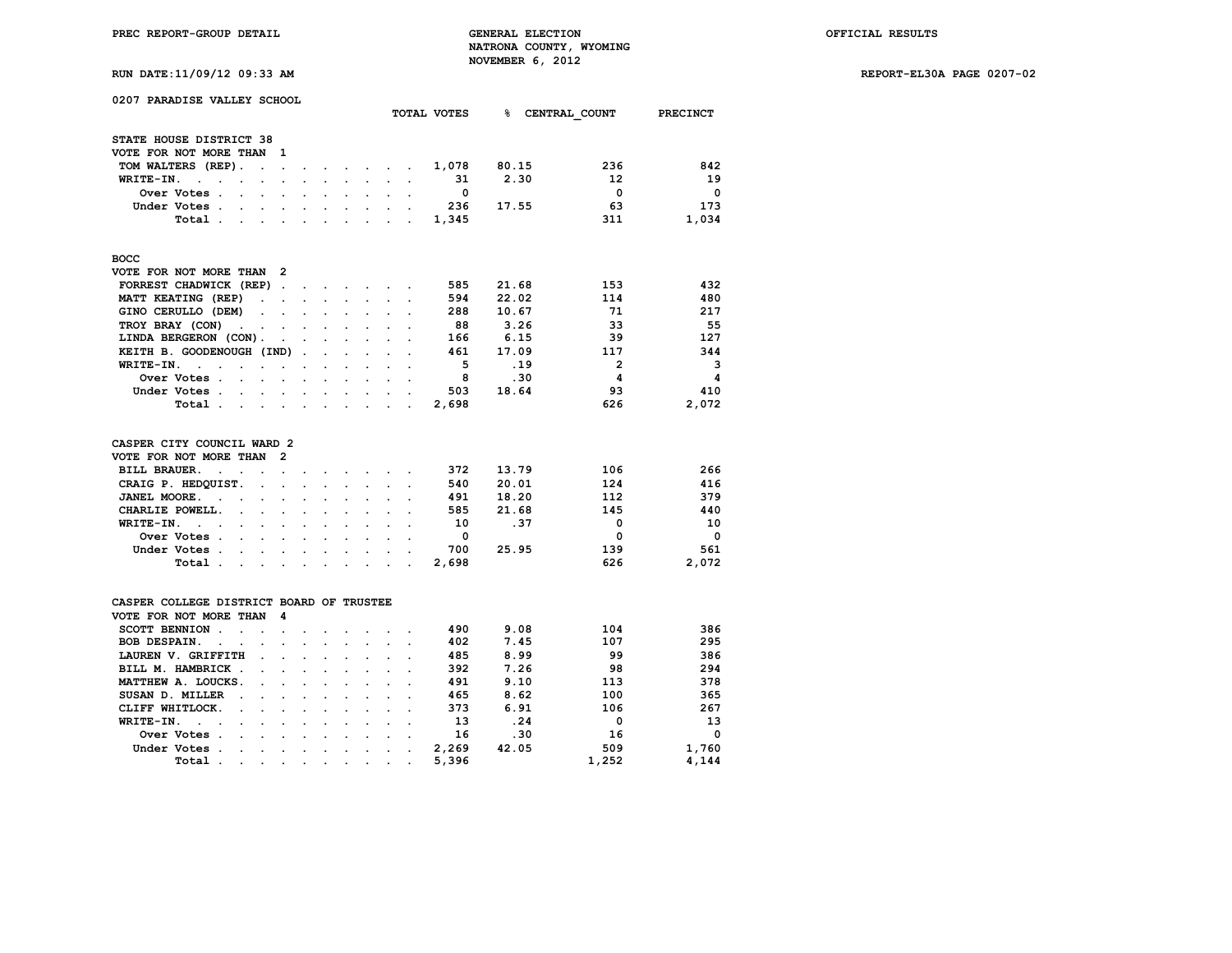**RUN DATE:11/09/12 09:33 AM REPORT-EL30A PAGE 0207-02**

| 0207 PARADISE VALLEY SCHOOL                                  |                                                                                                                                                                                                                                                                                                                                                                                                                              |                                   |                           |                           |                      |                      |                      | TOTAL VOTES             |       | % CENTRAL COUNT | PRECINCT    |
|--------------------------------------------------------------|------------------------------------------------------------------------------------------------------------------------------------------------------------------------------------------------------------------------------------------------------------------------------------------------------------------------------------------------------------------------------------------------------------------------------|-----------------------------------|---------------------------|---------------------------|----------------------|----------------------|----------------------|-------------------------|-------|-----------------|-------------|
| STATE HOUSE DISTRICT 38                                      |                                                                                                                                                                                                                                                                                                                                                                                                                              |                                   |                           |                           |                      |                      |                      |                         |       |                 |             |
| VOTE FOR NOT MORE THAN                                       | 1                                                                                                                                                                                                                                                                                                                                                                                                                            |                                   |                           |                           |                      |                      |                      |                         |       |                 |             |
| TOM WALTERS (REP).                                           | $\sim$<br>$\ddot{\phantom{a}}$                                                                                                                                                                                                                                                                                                                                                                                               | $\ddot{\phantom{0}}$              | $\sim$                    |                           | and the company of   |                      | $\ddot{\phantom{a}}$ | 1,078                   | 80.15 | 236             | 842         |
| WRITE-IN.<br>$\sim$ $\sim$<br>$\ddot{\phantom{a}}$           | $\bullet$<br>$\ddot{\phantom{0}}$                                                                                                                                                                                                                                                                                                                                                                                            | $\ddot{\phantom{0}}$              | $\sim$                    | $\mathbf{L}^{\text{max}}$ | $\sim$               | $\sim$               | $\ddot{\phantom{a}}$ | 31                      | 2.30  | 12              | 19          |
| Over Votes .<br>$\sim$                                       | $\ddot{\phantom{a}}$<br>$\ddot{\phantom{0}}$                                                                                                                                                                                                                                                                                                                                                                                 | $\overline{a}$                    |                           |                           |                      | $\sim$               | $\overline{a}$       | $\Omega$                |       | $\mathbf 0$     | $\Omega$    |
| Under Votes.<br>$\ddot{\phantom{a}}$<br>$\sim$               | $\ddot{\phantom{a}}$                                                                                                                                                                                                                                                                                                                                                                                                         | $\ddot{\phantom{a}}$              | $\ddot{\phantom{a}}$      | $\blacksquare$            | $\ddot{\phantom{a}}$ | $\ddot{\phantom{a}}$ |                      | 236                     | 17.55 | 63              | 173         |
| Total                                                        | $\sim$                                                                                                                                                                                                                                                                                                                                                                                                                       |                                   | $\bullet$                 |                           |                      |                      | $\sim$ $\sim$        | 1,345                   |       | 311             | 1,034       |
|                                                              |                                                                                                                                                                                                                                                                                                                                                                                                                              |                                   |                           |                           |                      |                      |                      |                         |       |                 |             |
| <b>BOCC</b>                                                  |                                                                                                                                                                                                                                                                                                                                                                                                                              |                                   |                           |                           |                      |                      |                      |                         |       |                 |             |
| VOTE FOR NOT MORE THAN 2                                     |                                                                                                                                                                                                                                                                                                                                                                                                                              |                                   |                           |                           |                      |                      |                      |                         |       |                 |             |
| FORREST CHADWICK (REP).                                      |                                                                                                                                                                                                                                                                                                                                                                                                                              | <b>Contract Contract Contract</b> |                           |                           | $\sim$ $\sim$        |                      |                      | 585                     | 21.68 | 153             | 432         |
| MATT KEATING (REP)                                           | <b>Carl Carl Corporation</b>                                                                                                                                                                                                                                                                                                                                                                                                 | $\sim$                            | $\mathbf{L}$              | $\mathbf{r}$              |                      |                      |                      | 594                     | 22.02 | 114             | 480         |
| GINO CERULLO (DEM)                                           | $\ddot{\phantom{a}}$<br>$\ddot{\phantom{a}}$                                                                                                                                                                                                                                                                                                                                                                                 | $\ddot{\phantom{a}}$              |                           |                           |                      |                      |                      | 288                     | 10.67 | 71              | 217         |
| TROY BRAY (CON)<br>$\ddot{\phantom{a}}$<br>$\sim$            | <b>Contract</b>                                                                                                                                                                                                                                                                                                                                                                                                              | $\sim$                            | $\ddot{\phantom{0}}$      | $\ddot{\phantom{0}}$      |                      |                      |                      | 88                      | 3.26  | 33              | 55          |
| LINDA BERGERON (CON).                                        | $\ddot{\phantom{a}}$                                                                                                                                                                                                                                                                                                                                                                                                         | $\overline{a}$                    | $\mathbf{r}$              | $\mathbf{r}$              | $\mathbf{r}$         |                      |                      | 166                     | 6.15  | 39              | 127         |
| KEITH B. GOODENOUGH (IND).                                   |                                                                                                                                                                                                                                                                                                                                                                                                                              |                                   | $\mathbf{L}^{\text{max}}$ | $\sim$                    | $\sim$               | $\ddot{\phantom{a}}$ | $\ddot{\phantom{a}}$ | 461                     | 17.09 | 117             | 344         |
| WRITE-IN.<br>$\sim$ $\sim$<br>$\ddot{\phantom{a}}$           | $\ddot{\phantom{a}}$<br>$\cdot$                                                                                                                                                                                                                                                                                                                                                                                              | ÷                                 | $\ddot{\phantom{a}}$      | $\ddot{\phantom{0}}$      | $\mathbf{r}$         | $\ddot{\phantom{0}}$ |                      | $-5$                    | .19   | $\overline{2}$  | 3           |
| Over Votes .<br>$\ddot{\phantom{0}}$                         | $\cdot$ $\cdot$                                                                                                                                                                                                                                                                                                                                                                                                              |                                   | $\ddot{\phantom{a}}$      | $\ddot{\phantom{a}}$      | $\ddot{\phantom{0}}$ | $\ddot{\phantom{0}}$ | $\ddot{\phantom{a}}$ | 8                       | .30   | 4               | 4           |
| Under Votes .                                                | $\sim$<br>$\sim$                                                                                                                                                                                                                                                                                                                                                                                                             | $\sim$                            | $\ddot{\phantom{0}}$      | $\ddot{\phantom{0}}$      | $\ddot{\phantom{0}}$ | $\ddot{\phantom{0}}$ |                      | 503                     | 18.64 | 93              | 410         |
| Total                                                        |                                                                                                                                                                                                                                                                                                                                                                                                                              |                                   | $\sim$                    | $\sim$                    | $\sim$               | $\mathbf{r}$         | $\ddot{\phantom{a}}$ | 2,698                   |       | 626             | 2,072       |
| CASPER CITY COUNCIL WARD 2                                   |                                                                                                                                                                                                                                                                                                                                                                                                                              |                                   |                           |                           |                      |                      |                      |                         |       |                 |             |
| VOTE FOR NOT MORE THAN                                       | $\overline{2}$                                                                                                                                                                                                                                                                                                                                                                                                               |                                   |                           |                           |                      |                      |                      |                         |       |                 |             |
| <b>BILL BRAUER.</b><br>$\cdot$<br>$\ddot{\phantom{a}}$       | $\ddot{\phantom{0}}$<br>$\overline{a}$                                                                                                                                                                                                                                                                                                                                                                                       |                                   |                           |                           |                      |                      |                      | 372                     | 13.79 | 106             | 266         |
| CRAIG P. HEDQUIST.                                           | $\ddot{\phantom{a}}$<br>$\ddot{\phantom{a}}$                                                                                                                                                                                                                                                                                                                                                                                 | $\ddot{\phantom{0}}$              | $\ddot{\phantom{a}}$      | $\ddot{\phantom{0}}$      | $\bullet$            |                      | $\ddot{\phantom{a}}$ | 540                     | 20.01 | 124             | 416         |
| JANEL MOORE.<br>$\ddot{\phantom{a}}$<br>$\ddot{\phantom{a}}$ |                                                                                                                                                                                                                                                                                                                                                                                                                              |                                   |                           |                           |                      |                      |                      | 491                     | 18.20 | 112             | 379         |
| CHARLIE POWELL.<br>$\ddot{\phantom{a}}$                      | $\ddot{\phantom{a}}$<br>$\mathbf{L}$                                                                                                                                                                                                                                                                                                                                                                                         | $\mathbf{L}$                      | $\ddot{\phantom{a}}$      | $\ddot{\phantom{a}}$      | $\ddot{\phantom{a}}$ |                      |                      | 585                     | 21.68 | 145             | 440         |
| WRITE-IN.<br>$\mathbf{r} = \mathbf{r}$                       |                                                                                                                                                                                                                                                                                                                                                                                                                              | $\ddot{\phantom{a}}$              |                           |                           |                      |                      |                      | 10                      | .37   | $\Omega$        | 10          |
| Over Votes .                                                 | $\ddot{\phantom{a}}$<br>$\ddot{\phantom{a}}$<br>$\ddot{\phantom{0}}$                                                                                                                                                                                                                                                                                                                                                         | $\ddot{\phantom{0}}$              |                           |                           | $\ddot{\phantom{a}}$ |                      |                      | $\overline{\mathbf{0}}$ |       | 0               | $\mathbf 0$ |
| Under Votes                                                  |                                                                                                                                                                                                                                                                                                                                                                                                                              |                                   | $\ddot{\phantom{0}}$      | $\ddot{\phantom{a}}$      |                      |                      |                      | 700                     | 25.95 | 139             | 561         |
|                                                              | $\sim 10^{-10}$                                                                                                                                                                                                                                                                                                                                                                                                              | $\ddot{\phantom{0}}$              | $\ddot{\phantom{a}}$      | $\sim$                    |                      | $\sim$               |                      |                         |       | 626             |             |
| Total .                                                      | $\mathbf{r} = \mathbf{r} + \mathbf{r} + \mathbf{r} + \mathbf{r} + \mathbf{r} + \mathbf{r} + \mathbf{r} + \mathbf{r} + \mathbf{r} + \mathbf{r} + \mathbf{r} + \mathbf{r} + \mathbf{r} + \mathbf{r} + \mathbf{r} + \mathbf{r} + \mathbf{r} + \mathbf{r} + \mathbf{r} + \mathbf{r} + \mathbf{r} + \mathbf{r} + \mathbf{r} + \mathbf{r} + \mathbf{r} + \mathbf{r} + \mathbf{r} + \mathbf{r} + \mathbf{r} + \mathbf{r} + \mathbf$ |                                   |                           |                           |                      |                      | $\sim$ $\sim$        | 2,698                   |       |                 | 2,072       |
| CASPER COLLEGE DISTRICT BOARD OF TRUSTEE                     |                                                                                                                                                                                                                                                                                                                                                                                                                              |                                   |                           |                           |                      |                      |                      |                         |       |                 |             |
| VOTE FOR NOT MORE THAN                                       | 4                                                                                                                                                                                                                                                                                                                                                                                                                            |                                   |                           |                           |                      |                      |                      |                         |       |                 |             |
| SCOTT BENNION.<br>$\ddot{\phantom{a}}$                       | $\cdot$<br>$\sim$                                                                                                                                                                                                                                                                                                                                                                                                            |                                   |                           |                           |                      |                      |                      | 490                     | 9.08  | 104             | 386         |
| BOB DESPAIN.<br>$\ddot{\phantom{1}}$<br>$\ddot{\phantom{a}}$ | $\overline{a}$                                                                                                                                                                                                                                                                                                                                                                                                               |                                   |                           |                           |                      |                      |                      | 402                     | 7.45  | 107             | 295         |
| LAUREN V. GRIFFITH                                           | $\ddot{\phantom{a}}$                                                                                                                                                                                                                                                                                                                                                                                                         |                                   | $\ddot{\phantom{a}}$      |                           |                      |                      |                      | 485                     | 8.99  | 99              | 386         |
| BILL M. HAMBRICK.                                            |                                                                                                                                                                                                                                                                                                                                                                                                                              |                                   |                           |                           |                      |                      |                      | 392                     | 7.26  | 98              | 294         |
| MATTHEW A. LOUCKS.                                           |                                                                                                                                                                                                                                                                                                                                                                                                                              |                                   | $\ddot{\phantom{a}}$      | $\overline{a}$            |                      |                      |                      | 491                     | 9.10  | 113             | 378         |
| SUSAN D. MILLER                                              |                                                                                                                                                                                                                                                                                                                                                                                                                              |                                   |                           |                           |                      |                      |                      | 465                     | 8.62  | 100             | 365         |
| CLIFF WHITLOCK.<br>$\ddot{\phantom{a}}$                      | $\sim$ $\sim$                                                                                                                                                                                                                                                                                                                                                                                                                | $\sim$                            | $\ddot{\phantom{a}}$      | $\ddot{\phantom{0}}$      | $\ddot{\phantom{0}}$ |                      |                      | 373                     | 6.91  | 106             | 267         |
| WRITE-IN.<br>$\overline{a}$<br>$\sim$                        | $\ddot{\phantom{a}}$<br>$\ddot{\phantom{a}}$                                                                                                                                                                                                                                                                                                                                                                                 |                                   | $\ddot{\phantom{a}}$      |                           |                      |                      |                      | 13                      | .24   | 0               | 13          |
| Over Votes .<br>$\bullet$                                    | $\bullet$<br>$\bullet$                                                                                                                                                                                                                                                                                                                                                                                                       | $\bullet$                         | $\bullet$                 |                           |                      |                      |                      | 16                      | .30   | 16              | $\Omega$    |

 **Under Votes . . . . . . . . . . 2,269 42.05 509 1,760 Total . . . . . . . . . . 5,396 1,252 4,144**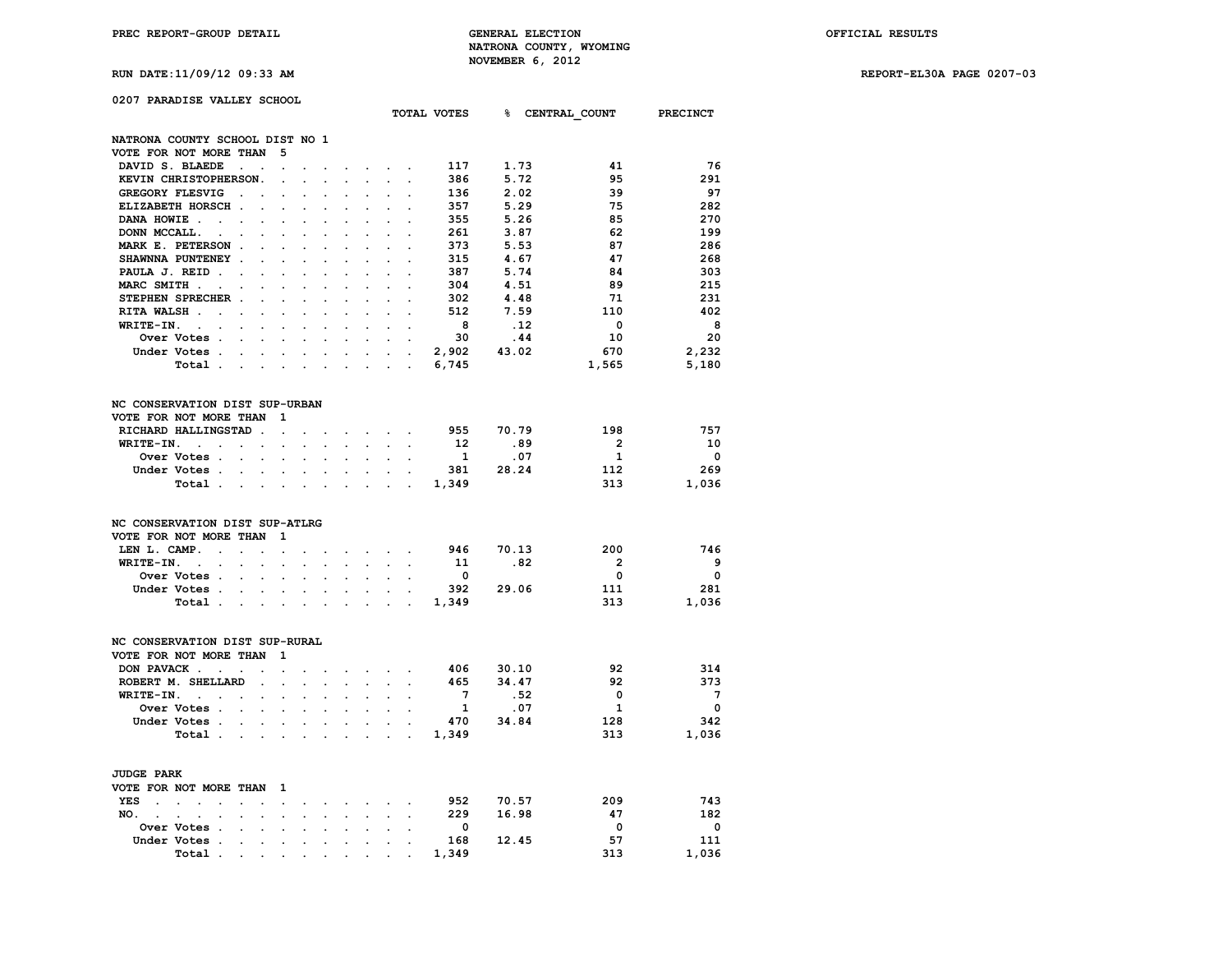**RUN DATE:11/09/12 09:33 AM REPORT-EL30A PAGE 0207-03**

### **0207 PARADISE VALLEY SCHOOL**

|                                                                                        |                                              |                      |                      |                      |                      |                      |                      | TOTAL VOTES             |              | % CENTRAL COUNT PRECINCT |                          |
|----------------------------------------------------------------------------------------|----------------------------------------------|----------------------|----------------------|----------------------|----------------------|----------------------|----------------------|-------------------------|--------------|--------------------------|--------------------------|
| NATRONA COUNTY SCHOOL DIST NO 1                                                        |                                              |                      |                      |                      |                      |                      |                      |                         |              |                          |                          |
| VOTE FOR NOT MORE THAN                                                                 | 5                                            |                      |                      |                      |                      |                      |                      |                         |              |                          |                          |
| DAVID S. BLAEDE<br>$\ddot{\phantom{a}}$                                                |                                              |                      |                      |                      |                      |                      |                      | 117                     | 1.73         | 41                       | -76                      |
| KEVIN CHRISTOPHERSON.                                                                  | $\ddot{\phantom{a}}$                         |                      |                      |                      |                      |                      |                      | 386                     | 5.72         | 95                       | 291                      |
| GREGORY FLESVIG<br>$\ddot{\phantom{a}}$                                                | $\ddot{\phantom{0}}$<br>$\ddot{\phantom{a}}$ |                      | $\overline{a}$       |                      |                      |                      | $\overline{a}$       | 136                     | 2.02         | 39                       | 97                       |
| ELIZABETH HORSCH.                                                                      |                                              |                      |                      |                      |                      |                      |                      | 357                     | 5.29         | 75                       | 282                      |
| DANA HOWIE.<br>$\ddot{\phantom{a}}$                                                    |                                              |                      |                      |                      |                      |                      |                      | 355                     | 5.26         | 85                       | 270                      |
| $\ddot{\phantom{a}}$<br>DONN MCCALL.                                                   | $\ddot{\phantom{0}}$                         |                      |                      |                      |                      |                      |                      | 261                     | 3.87         | 62                       | 199                      |
| $\cdot$<br>MARK E. PETERSON.                                                           |                                              |                      |                      |                      |                      |                      |                      | 373                     | 5.53         | 87                       | 286                      |
|                                                                                        |                                              |                      |                      |                      |                      |                      |                      |                         |              |                          | 268                      |
| SHAWNNA PUNTENEY .                                                                     |                                              |                      |                      |                      |                      |                      |                      | 315                     | 4.67         | 47<br>84                 |                          |
| PAULA J. REID.<br>$\sim$                                                               | $\ddot{\phantom{0}}$                         | $\ddot{\phantom{a}}$ |                      |                      | $\overline{a}$       |                      | $\overline{a}$       | 387                     | 5.74         |                          | 303                      |
| MARC SMITH.<br>$\ddot{\phantom{a}}$                                                    |                                              |                      |                      |                      |                      |                      |                      | 304                     | 4.51         | 89                       | 215                      |
| STEPHEN SPRECHER.                                                                      |                                              |                      |                      |                      |                      |                      |                      | 302                     | 4.48         | 71                       | 231                      |
| RITA WALSH.<br>$\overline{a}$<br>$\overline{a}$                                        | $\overline{a}$<br>$\overline{a}$             | $\overline{a}$       | $\overline{a}$       | $\overline{a}$       | $\overline{a}$       | $\overline{a}$       | $\overline{a}$       | 512                     | 7.59         | 110                      | 402                      |
| WRITE-IN.<br>$\ddot{\phantom{a}}$<br>$\ddot{\phantom{0}}$                              | $\ddot{\phantom{0}}$                         |                      |                      |                      |                      |                      |                      | - 8                     | .12          | $\mathbf{o}$             | 8                        |
| Over Votes .                                                                           |                                              |                      |                      |                      |                      |                      | $\overline{a}$       | 30                      | .44          | 10                       | 20                       |
| Under Votes .<br>$\overline{a}$                                                        | $\mathbf{L}$<br>$\mathbf{r}$                 | $\mathbf{r}$         | $\cdot$              | $\overline{a}$       | $\ddot{\phantom{a}}$ | $\ddot{\phantom{a}}$ | $\ddot{\phantom{a}}$ | 2,902                   | 43.02        | 670                      | 2,232                    |
| Total .<br>$\ddot{\phantom{0}}$                                                        | $\ddot{\phantom{0}}$<br>$\bullet$            | $\ddot{\phantom{0}}$ | $\cdot$              | $\ddot{\phantom{a}}$ | ÷.                   | ÷                    | $\cdot$              | 6,745                   |              | 1,565                    | 5,180                    |
| NC CONSERVATION DIST SUP-URBAN<br>VOTE FOR NOT MORE THAN                               | 1                                            |                      |                      |                      |                      |                      |                      |                         |              |                          |                          |
| RICHARD HALLINGSTAD<br>$\ddot{\phantom{a}}$                                            | $\ddot{\phantom{a}}$                         |                      |                      |                      |                      |                      |                      | 955                     | 70.79        | 198                      | 757                      |
| $\sim 100$ km s $^{-1}$<br>WRITE-IN.                                                   |                                              |                      |                      |                      |                      |                      |                      | 12                      | .89          | $\overline{2}$           | 10                       |
| $\ddot{\phantom{a}}$<br>$\ddot{\phantom{a}}$ .                                         | $\ddot{\phantom{a}}$                         | $\ddot{\phantom{a}}$ | $\ddot{\phantom{a}}$ | $\cdot$              | $\ddot{\phantom{0}}$ | $\ddot{\phantom{a}}$ | $\ddot{\phantom{a}}$ | $\mathbf{1}$            |              | 1                        | $\overline{\phantom{0}}$ |
| Over Votes .                                                                           |                                              |                      |                      |                      |                      |                      |                      | 381                     | .07<br>28.24 | 112                      | 269                      |
| Under Votes .<br>$\ddot{\phantom{0}}$                                                  | $\cdot$<br>$\ddot{\phantom{a}}$              | $\cdot$              |                      |                      |                      | $\ddot{\phantom{a}}$ | $\ddot{\phantom{a}}$ |                         |              |                          |                          |
| Total.<br>$\ddot{\phantom{a}}$                                                         | $\ddot{\phantom{a}}$                         |                      |                      |                      |                      | $\ddot{\phantom{a}}$ | $\ddot{\phantom{a}}$ | 1,349                   |              | 313                      | 1,036                    |
| NC CONSERVATION DIST SUP-ATLRG                                                         |                                              |                      |                      |                      |                      |                      |                      |                         |              |                          |                          |
| VOTE FOR NOT MORE THAN                                                                 | 1                                            |                      |                      |                      |                      |                      |                      |                         |              |                          |                          |
| LEN L. CAMP.<br>$\mathbb{Z}^2$<br>$\overline{a}$                                       | $\cdot$                                      |                      |                      | $\ddot{\phantom{a}}$ | $\ddot{\phantom{0}}$ | $\ddot{\phantom{0}}$ | $\ddot{\phantom{0}}$ | 946                     | 70.13        | 200                      | 746                      |
| WRITE-IN.<br>$\ddot{\phantom{a}}$<br>$\ddot{\phantom{0}}$<br>$\sim$ $\sim$             | $\ddot{\phantom{0}}$<br>$\ddot{\phantom{a}}$ | $\ddot{\phantom{a}}$ | $\ddot{\phantom{a}}$ | $\ddot{\phantom{a}}$ | $\ddot{\phantom{a}}$ | $\ddot{\phantom{a}}$ | $\ddot{\phantom{a}}$ | 11                      | .82          | $\overline{2}$           | - 9                      |
| Over Votes .<br>$\ddot{\phantom{0}}$                                                   | $\ddot{\phantom{0}}$<br>$\ddot{\phantom{0}}$ |                      |                      |                      |                      |                      |                      | $\overline{\mathbf{0}}$ |              | 0                        | $\mathbf 0$              |
| Under Votes .                                                                          |                                              |                      |                      |                      |                      |                      |                      | 392                     | 29.06        | 111                      | 281                      |
| Total.<br>$\sim$                                                                       | $\ddot{\phantom{a}}$<br>$\ddot{\phantom{a}}$ | $\ddot{\phantom{a}}$ | $\cdot$              | $\ddot{\phantom{a}}$ | $\ddot{\phantom{0}}$ | $\ddot{\phantom{a}}$ | $\sim$ $\sim$        | 1,349                   |              | 313                      | 1,036                    |
| NC CONSERVATION DIST SUP-RURAL                                                         |                                              |                      |                      |                      |                      |                      |                      |                         |              |                          |                          |
| VOTE FOR NOT MORE THAN                                                                 | 1                                            |                      |                      |                      |                      |                      |                      |                         |              |                          |                          |
| DON PAVACK                                                                             |                                              |                      |                      |                      | $\ddot{\phantom{a}}$ |                      |                      | 406                     | 30.10        | 92                       | 314                      |
| ROBERT M. SHELLARD                                                                     | $\ddot{\phantom{0}}$                         |                      |                      |                      |                      |                      |                      | 465                     | 34.47        | 92                       | 373                      |
| WRITE-IN.<br><b>Contract Contract</b>                                                  | $\cdot$<br>$\ddot{\phantom{a}}$              | $\overline{a}$       | $\overline{a}$       |                      |                      | $\ddot{\phantom{0}}$ | $\overline{a}$       | $7\phantom{.0}$         | .52          | $\mathbf 0$              | $7^{\circ}$              |
| Over Votes .                                                                           |                                              |                      |                      |                      |                      |                      |                      | <b>1</b>                | .07          | 1                        | $\overline{\phantom{0}}$ |
| Under Votes .<br>$\sim$                                                                | $\ddot{\phantom{a}}$                         | $\ddot{\phantom{a}}$ | $\ddot{\phantom{a}}$ |                      | $\ddot{\phantom{a}}$ |                      |                      | 470                     | 34.84        | 128                      | 342                      |
| Total .<br>$\ddot{\phantom{a}}$                                                        | $\ddot{\phantom{a}}$                         |                      |                      |                      |                      |                      |                      | 1,349                   |              | 313                      | 1,036                    |
|                                                                                        |                                              |                      |                      |                      |                      |                      |                      |                         |              |                          |                          |
| <b>JUDGE PARK</b>                                                                      |                                              |                      |                      |                      |                      |                      |                      |                         |              |                          |                          |
| VOTE FOR NOT MORE THAN                                                                 | 1                                            |                      |                      |                      |                      |                      |                      |                         |              |                          |                          |
| <b>YES</b><br>$\sim$ $\sim$<br>$\ddot{\phantom{a}}$<br>$\cdot$<br>$\ddot{\phantom{a}}$ | $\bullet$<br>$\overline{a}$                  | $\ddot{\phantom{a}}$ |                      |                      | $\ddot{\phantom{0}}$ | $\sim$               | $\ddot{\phantom{a}}$ | 952                     | 70.57        | 209                      | 743                      |
| NO.<br>$\sim$<br>$\ddot{\phantom{a}}$                                                  | $\ddot{\phantom{0}}$<br>$\ddot{\phantom{0}}$ |                      |                      | $\ddot{\phantom{a}}$ | $\ddot{\phantom{a}}$ | $\ddot{\phantom{a}}$ | $\ddot{\phantom{a}}$ | 229                     | 16.98        | 47                       | 182                      |
| Over Votes<br>$\ddot{\phantom{a}}$                                                     |                                              |                      |                      |                      |                      |                      |                      | $\mathbf{0}$            |              | $\overline{\phantom{0}}$ | $\overline{\phantom{0}}$ |
| Under Votes<br>$\ddot{\phantom{a}}$<br>$\ddot{\phantom{a}}$                            |                                              |                      |                      |                      |                      | $\cdot$              |                      | 168                     | 12.45        | 57                       | 111                      |
| Total.<br>$\ddot{\phantom{0}}$                                                         | $\ddot{\phantom{a}}$<br>$\cdot$              | $\ddot{\phantom{0}}$ |                      |                      | $\overline{a}$       |                      |                      | 1,349                   |              | 313                      | 1,036                    |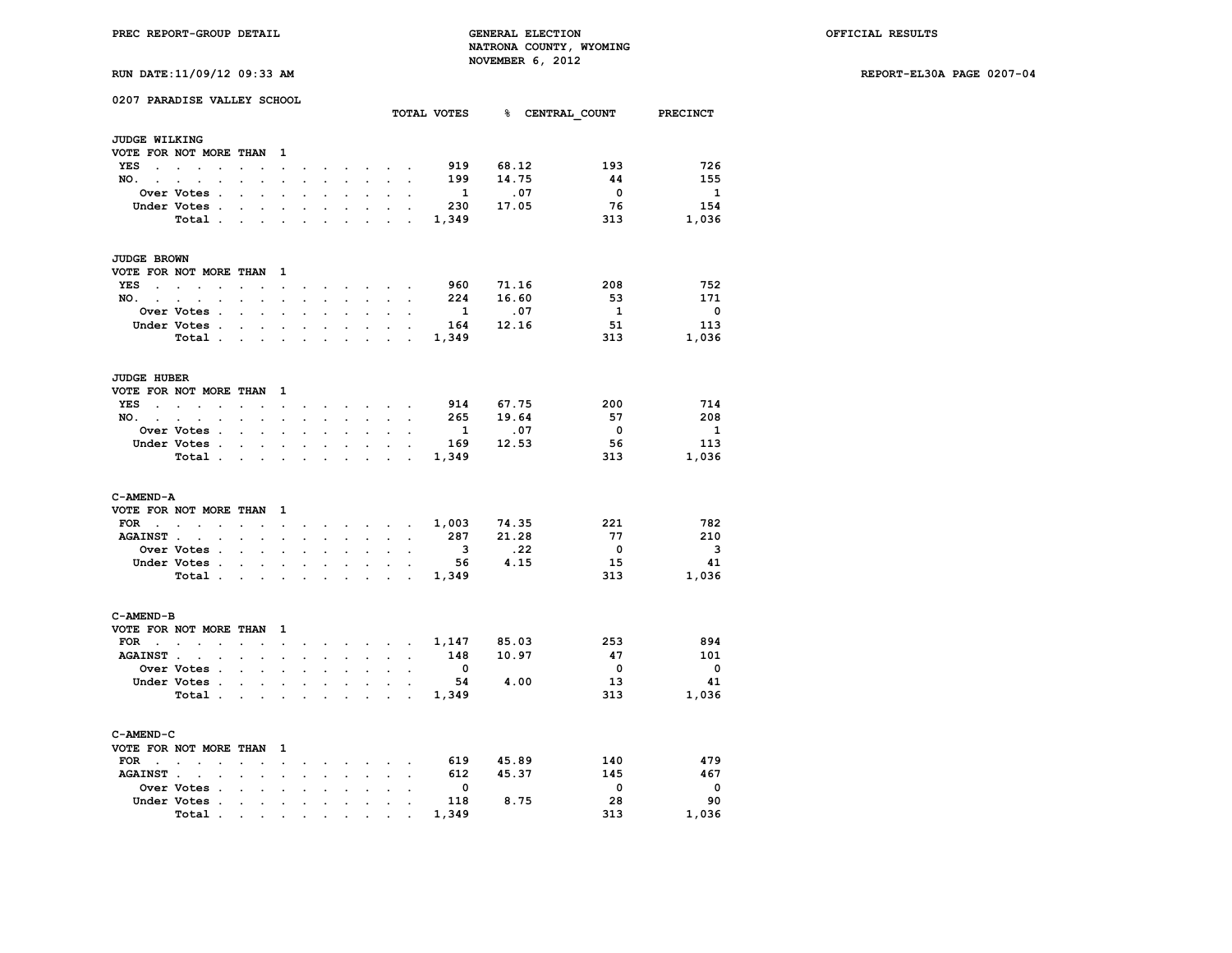**PREC REPORT-GROUP DETAIL GENERAL ELECTION OFFICIAL RESULTS NATRONA COUNTY, WYOMING RIIN DATE:11/09/12 09:33 AM** 

|  | KON DAIB:11/03/12 03:33 AM |  |
|--|----------------------------|--|
|  |                            |  |

|                      | 0207 PARADISE VALLEY SCHOOL                                        |                                             |                      |                                   |                      |                      |                      |                            |                                    |                                           |                          |                              | TOTAL VOTES 8 CENTRAL COUNT PRECINCT |                          |
|----------------------|--------------------------------------------------------------------|---------------------------------------------|----------------------|-----------------------------------|----------------------|----------------------|----------------------|----------------------------|------------------------------------|-------------------------------------------|--------------------------|------------------------------|--------------------------------------|--------------------------|
|                      |                                                                    |                                             |                      |                                   |                      |                      |                      |                            |                                    |                                           |                          |                              |                                      |                          |
| <b>JUDGE WILKING</b> |                                                                    |                                             |                      |                                   |                      |                      |                      |                            |                                    |                                           |                          |                              |                                      |                          |
|                      | VOTE FOR NOT MORE THAN                                             |                                             |                      | $\mathbf{1}$                      |                      |                      |                      |                            |                                    |                                           |                          |                              |                                      |                          |
| YES                  | <b>Contract Contract Contract Contract</b><br>$\ddot{\phantom{a}}$ | $\sim$ $\sim$                               | $\ddot{\phantom{a}}$ | $\ddot{\phantom{a}}$              | $\bullet$            | $\ddot{\phantom{0}}$ |                      |                            | $\sim$ $\sim$ $\sim$ $\sim$ $\sim$ |                                           | 919                      | 68.12                        | 193                                  | 726                      |
| NO. .                | $\overline{a}$                                                     |                                             |                      |                                   |                      |                      |                      |                            | $\mathcal{L}^{\text{max}}$         | $\mathbf{r}$                              | 199                      | 14.75                        | 44                                   | 155                      |
|                      | Over Votes .                                                       | $\ddot{\phantom{0}}$                        | $\overline{a}$       |                                   |                      |                      |                      | $\ddot{\phantom{a}}$       | $\ddot{\phantom{a}}$               | $\ddot{\phantom{a}}$                      | $\mathbf{1}$             | .07                          | $\overline{\mathbf{0}}$              | $\mathbf{1}$             |
|                      | Under Votes.                                                       | $\ddot{\phantom{0}}$                        | $\ddot{\phantom{0}}$ | $\blacksquare$                    | $\overline{a}$       | $\overline{a}$       | $\ddot{\phantom{0}}$ | $\ddot{\phantom{0}}$       | $\ddot{\phantom{a}}$               |                                           | 230                      | 17.05                        | 76                                   | 154                      |
|                      | Total .                                                            | $\mathbf{L}$                                | $\mathbf{r}$         | $\mathcal{L}^{\text{max}}$        | $\cdot$              | $\ddot{\phantom{a}}$ |                      | $\ddot{\phantom{a}}$       | $\mathcal{L}^{\text{max}}$         | $\mathbf{r}$                              | 1,349                    |                              | 313                                  | 1,036                    |
| JUDGE BROWN          |                                                                    |                                             |                      |                                   |                      |                      |                      |                            |                                    |                                           |                          |                              |                                      |                          |
|                      | VOTE FOR NOT MORE THAN                                             |                                             |                      | 1                                 |                      |                      |                      |                            |                                    |                                           |                          |                              |                                      |                          |
| <b>YES</b>           | and the state of the state of the                                  | $\overline{a}$                              |                      | $\sim$                            |                      |                      | $\sim$ $\sim$        |                            | and the state of the state         |                                           | 960                      | 71.16                        | 208                                  | 752                      |
| NO. .                | $\sim$ $\sim$<br>$\bullet$                                         | $\ddot{\phantom{0}}$                        | $\cdot$              | $\ddot{\phantom{0}}$              | $\ddot{\phantom{0}}$ |                      | $\sim$ $\sim$ $\sim$ | $\sim$                     | $\sim$                             | $\mathbf{r}$                              | 224                      | 16.60                        | -53                                  | 171                      |
|                      | Over Votes .                                                       | $\mathbf{L}$                                | $\ddot{\phantom{a}}$ | $\ddot{\phantom{a}}$              | $\ddot{\phantom{a}}$ | $\ddot{\phantom{a}}$ | $\ddot{\phantom{a}}$ | $\ddot{\phantom{0}}$       | $\ddot{\phantom{0}}$               | $\ddot{\phantom{0}}$                      | $\mathbf{1}$             | .07                          | $\mathbf{1}$                         | $\overline{\phantom{0}}$ |
|                      | Under Votes .                                                      | $\mathbf{r}$                                |                      | $\overline{a}$                    | $\overline{a}$       | $\overline{a}$       | $\overline{a}$       | $\sim$                     | $\mathbf{L}$                       |                                           | 164                      | 12.16                        | 51                                   | 113                      |
|                      | Total.                                                             | $\sim$ $\sim$ $\sim$                        |                      |                                   |                      | $\mathbf{r}$         |                      | $\cdot$                    | $\ddot{\phantom{a}}$               | $\sim$                                    | 1,349                    |                              | 313                                  | 1,036                    |
|                      |                                                                    |                                             |                      |                                   |                      |                      |                      |                            |                                    |                                           |                          |                              |                                      |                          |
| <b>JUDGE HUBER</b>   |                                                                    |                                             |                      |                                   |                      |                      |                      |                            |                                    |                                           |                          |                              |                                      |                          |
|                      | VOTE FOR NOT MORE THAN                                             |                                             |                      | $\mathbf{1}$                      |                      |                      |                      |                            |                                    |                                           |                          |                              |                                      |                          |
| <b>YES</b><br>$\sim$ | $\sim$ $\sim$ $\sim$<br>$\overline{a}$                             | $\mathbf{r}$                                | $\ddot{\phantom{a}}$ | $\ddot{\phantom{0}}$              | $\cdot$              |                      | $\ddot{\phantom{a}}$ | $\sim$                     | $\sim$ $\sim$                      | $\sim$                                    | 914                      | 67.75                        | -200                                 | 714                      |
| $NO.$ $.$ $.$        | $\bullet$                                                          | $\ddot{\phantom{0}}$                        | $\ddot{\phantom{0}}$ | $\sim$                            | $\ddot{\phantom{a}}$ | $\ddot{\phantom{0}}$ | $\ddot{\phantom{0}}$ | $\mathcal{L}^{\text{max}}$ | $\ddot{\phantom{0}}$               | $\ddot{\phantom{0}}$                      | 265                      | 19.64                        | 57                                   | 208                      |
|                      | Over Votes .                                                       |                                             |                      |                                   |                      |                      |                      |                            |                                    |                                           | $\mathbf{1}$             | $\overline{\phantom{0}}$ .07 | $\overline{\phantom{0}}$             | $\mathbf{1}$             |
|                      | Under Votes .                                                      | $\bullet$ .<br><br><br><br><br><br><br><br> | $\ddot{\phantom{0}}$ | $\bullet$                         |                      | $\ddot{\phantom{0}}$ | $\ddot{\phantom{a}}$ | $\ddot{\phantom{0}}$       | $\cdot$                            | $\cdot$                                   | 169                      | 12.53                        | 56                                   | 113                      |
|                      | Total.                                                             | $\sim 10^{-10}$ km s $^{-1}$                |                      | $\ddot{\phantom{a}}$              | $\cdot$              | $\ddot{\phantom{0}}$ | $\ddot{\phantom{a}}$ | $\ddot{\phantom{a}}$       |                                    | $\ddot{\phantom{a}}$                      | 1,349                    |                              | 313                                  | 1,036                    |
| C-AMEND-A            |                                                                    |                                             |                      |                                   |                      |                      |                      |                            |                                    |                                           |                          |                              |                                      |                          |
|                      | VOTE FOR NOT MORE THAN                                             |                                             |                      | $\mathbf{1}$                      |                      |                      |                      |                            |                                    |                                           |                          |                              |                                      |                          |
| FOR                  | $\ddot{\phantom{0}}$<br>$\blacksquare$                             | $\sim$                                      | $\cdot$              | $\sim 10^{-11}$                   | $\sim 10^{-11}$      |                      |                      |                            |                                    |                                           |                          | 74.35                        | 221                                  | 782                      |
| AGAINST              | $\bullet$                                                          | $\ddot{\phantom{0}}$                        | $\cdot$              | $\cdot$                           |                      | $\ddot{\phantom{0}}$ | $\ddot{\phantom{a}}$ | $\ddot{\phantom{0}}$       | $\sim$                             | $\ddot{\phantom{a}}$                      | 287                      | 21.28                        | 77                                   | 210                      |
|                      | Over Votes .                                                       | $\sim$                                      |                      |                                   |                      |                      |                      |                            |                                    | $\sim$                                    | $\overline{\mathbf{3}}$  | .22                          | $\overline{\mathbf{0}}$              | $\overline{\mathbf{3}}$  |
|                      | Under Votes .                                                      | $\ddot{\phantom{0}}$                        | $\ddot{\phantom{0}}$ | $\bullet$                         | $\ddot{\phantom{0}}$ | $\bullet$            | $\ddot{\phantom{a}}$ | $\ddot{\phantom{0}}$       | $\ddot{\phantom{0}}$               |                                           | 56                       | 4.15                         | 15                                   | -41                      |
|                      | Total.                                                             | $\mathbf{r} = \mathbf{r}$                   |                      | $\sim$                            |                      |                      |                      |                            | <b>Contract Contract</b>           |                                           | 1,349                    |                              | 313                                  | 1,036                    |
|                      |                                                                    |                                             |                      |                                   |                      |                      |                      |                            |                                    |                                           |                          |                              |                                      |                          |
| C-AMEND-B            |                                                                    |                                             |                      |                                   |                      |                      |                      |                            |                                    |                                           |                          |                              |                                      |                          |
|                      | VOTE FOR NOT MORE THAN                                             |                                             |                      | 1                                 |                      |                      |                      |                            |                                    |                                           |                          |                              |                                      |                          |
| FOR                  | the contract of the contract of                                    | $\mathbf{r} = \mathbf{r} \cdot \mathbf{r}$  |                      | $\ddot{\phantom{a}}$              | $\bullet$            |                      |                      |                            |                                    | and a strong control of the strong strong |                          | 1,147 85.03                  | 253                                  | 894                      |
| <b>AGAINST.</b>      | $\ddot{\phantom{a}}$                                               |                                             |                      | $\ddot{\phantom{a}}$              |                      |                      |                      | $\ddot{\phantom{0}}$       |                                    |                                           | 148                      | 10.97                        | 47                                   | 101                      |
|                      | Over Votes .                                                       | $\ddot{\phantom{0}}$                        | $\ddot{\phantom{0}}$ | $\ddot{\phantom{a}}$              | $\ddot{\phantom{0}}$ | $\ddot{\phantom{0}}$ | $\ddot{\phantom{0}}$ | $\ddot{\phantom{0}}$       | $\ddot{\phantom{0}}$               | $\ddot{\phantom{a}}$                      | $\overline{\mathbf{0}}$  |                              | $\mathbf{0}$                         | $\overline{\phantom{0}}$ |
|                      | Under Votes.                                                       |                                             | $\ddot{\phantom{a}}$ |                                   |                      |                      |                      |                            |                                    |                                           |                          | 54 4.00                      | 13                                   | 41                       |
|                      | Total .                                                            | $\sim$                                      | $\sim$               | $\ddot{\phantom{a}}$              | $\ddot{\phantom{a}}$ | $\ddot{\phantom{0}}$ |                      | $\ddot{\phantom{a}}$       | $\sim$                             | $\sim$                                    | 1,349                    |                              | 313                                  | 1,036                    |
| C-AMEND-C            |                                                                    |                                             |                      |                                   |                      |                      |                      |                            |                                    |                                           |                          |                              |                                      |                          |
|                      | VOTE FOR NOT MORE THAN                                             |                                             |                      | 1                                 |                      |                      |                      |                            |                                    |                                           |                          |                              |                                      |                          |
| FOR                  | $\ddot{\phantom{a}}$                                               |                                             |                      | $\ddot{\phantom{0}}$              |                      |                      |                      | $\ddot{\phantom{0}}$       |                                    |                                           | 619                      | 45.89                        | 140                                  | 479                      |
| <b>AGAINST.</b>      |                                                                    |                                             |                      |                                   |                      |                      |                      | $\ddot{\phantom{a}}$       |                                    |                                           | 612                      | 45.37                        | 145                                  | 467                      |
|                      | Over Votes .                                                       | $\ddot{\phantom{0}}$                        | $\ddot{\phantom{a}}$ | $\ddot{\phantom{a}}$              |                      |                      | $\ddot{\phantom{0}}$ | $\ddot{\phantom{0}}$       | $\ddot{\phantom{0}}$               | $\ddot{\phantom{a}}$                      | $\overline{\phantom{0}}$ |                              | $\overline{\mathbf{0}}$              | $\mathbf{o}$             |
|                      | Under Votes .                                                      |                                             |                      |                                   |                      |                      |                      |                            |                                    |                                           | 118                      | 8.75                         | 28                                   | 90                       |
|                      | Total .                                                            | $\ddot{\phantom{0}}$                        | $\ddot{\phantom{0}}$ | $\bullet$                         | $\ddot{\phantom{a}}$ | $\ddot{\phantom{0}}$ | $\ddot{\phantom{0}}$ | $\ddot{\phantom{0}}$       | $\ddot{\phantom{a}}$               |                                           | 1,349                    |                              | 313                                  | 1,036                    |
|                      |                                                                    | <b>Contractor</b>                           |                      | and the company of the company of |                      |                      |                      |                            |                                    |                                           |                          |                              |                                      |                          |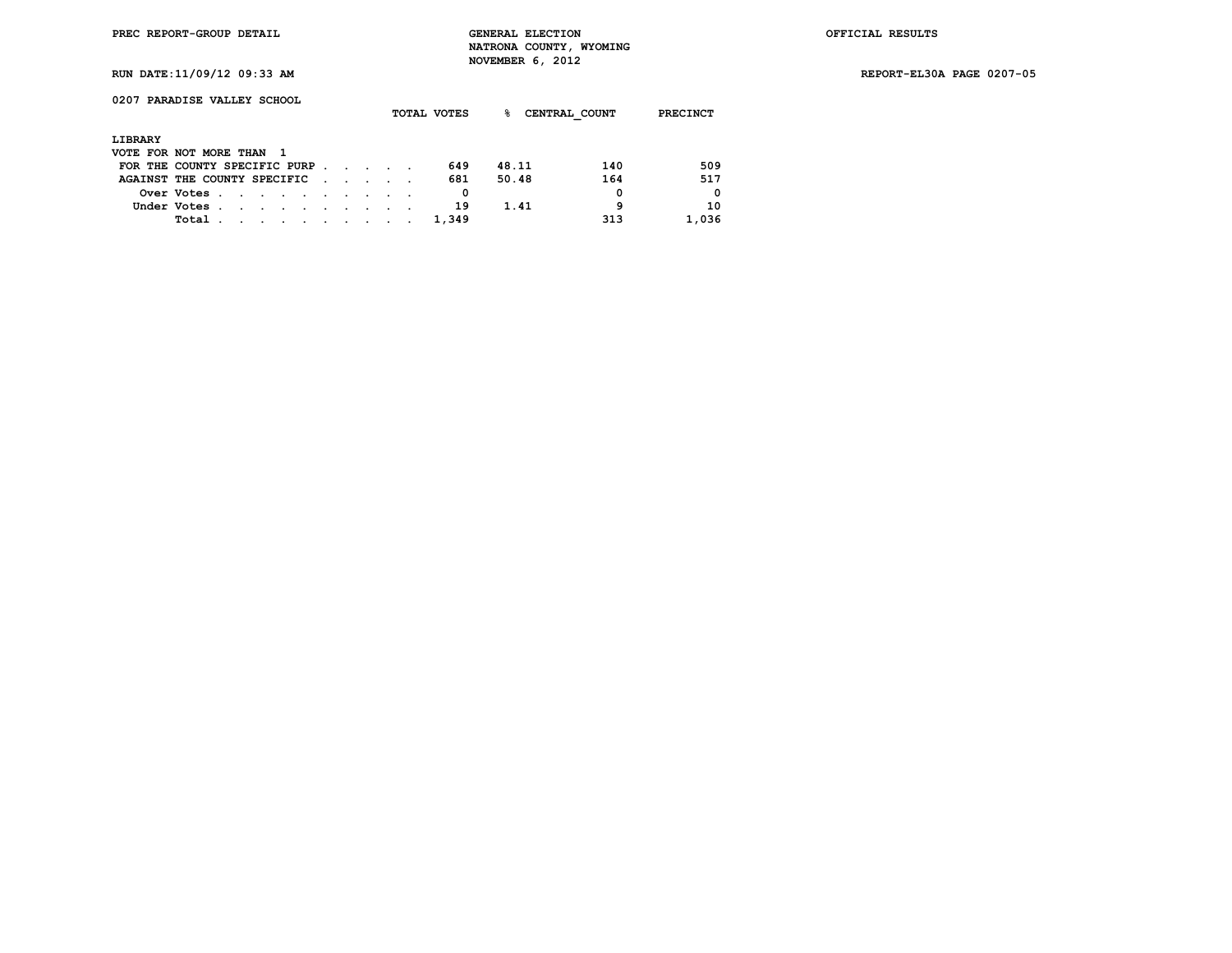| 0207 PARADISE VALLEY SCHOOL |  |  |  |  |  |
|-----------------------------|--|--|--|--|--|
|-----------------------------|--|--|--|--|--|

|                              |               |                                                                                                                                                                                                                               |  |  |                             |  | TOTAL VOTES | ℁     | CENTRAL COUNT |     | <b>PRECINCT</b> |
|------------------------------|---------------|-------------------------------------------------------------------------------------------------------------------------------------------------------------------------------------------------------------------------------|--|--|-----------------------------|--|-------------|-------|---------------|-----|-----------------|
| LIBRARY                      |               |                                                                                                                                                                                                                               |  |  |                             |  |             |       |               |     |                 |
| VOTE FOR NOT MORE THAN 1     |               |                                                                                                                                                                                                                               |  |  |                             |  |             |       |               |     |                 |
| FOR THE COUNTY SPECIFIC PURP |               |                                                                                                                                                                                                                               |  |  |                             |  | 649         | 48.11 |               | 140 | 509             |
| AGAINST THE COUNTY SPECIFIC  |               |                                                                                                                                                                                                                               |  |  | $\sim$ $\sim$ $\sim$ $\sim$ |  | 681         | 50.48 |               | 164 | 517             |
|                              | Over Votes    |                                                                                                                                                                                                                               |  |  |                             |  | 0           |       |               | 0   | $\Omega$        |
|                              | Under Votes . |                                                                                                                                                                                                                               |  |  |                             |  | 19          |       | 1.41          | 9   | 10              |
|                              | Total .       | the company of the company of the company of the company of the company of the company of the company of the company of the company of the company of the company of the company of the company of the company of the company |  |  |                             |  | 1,349       |       |               | 313 | 1,036           |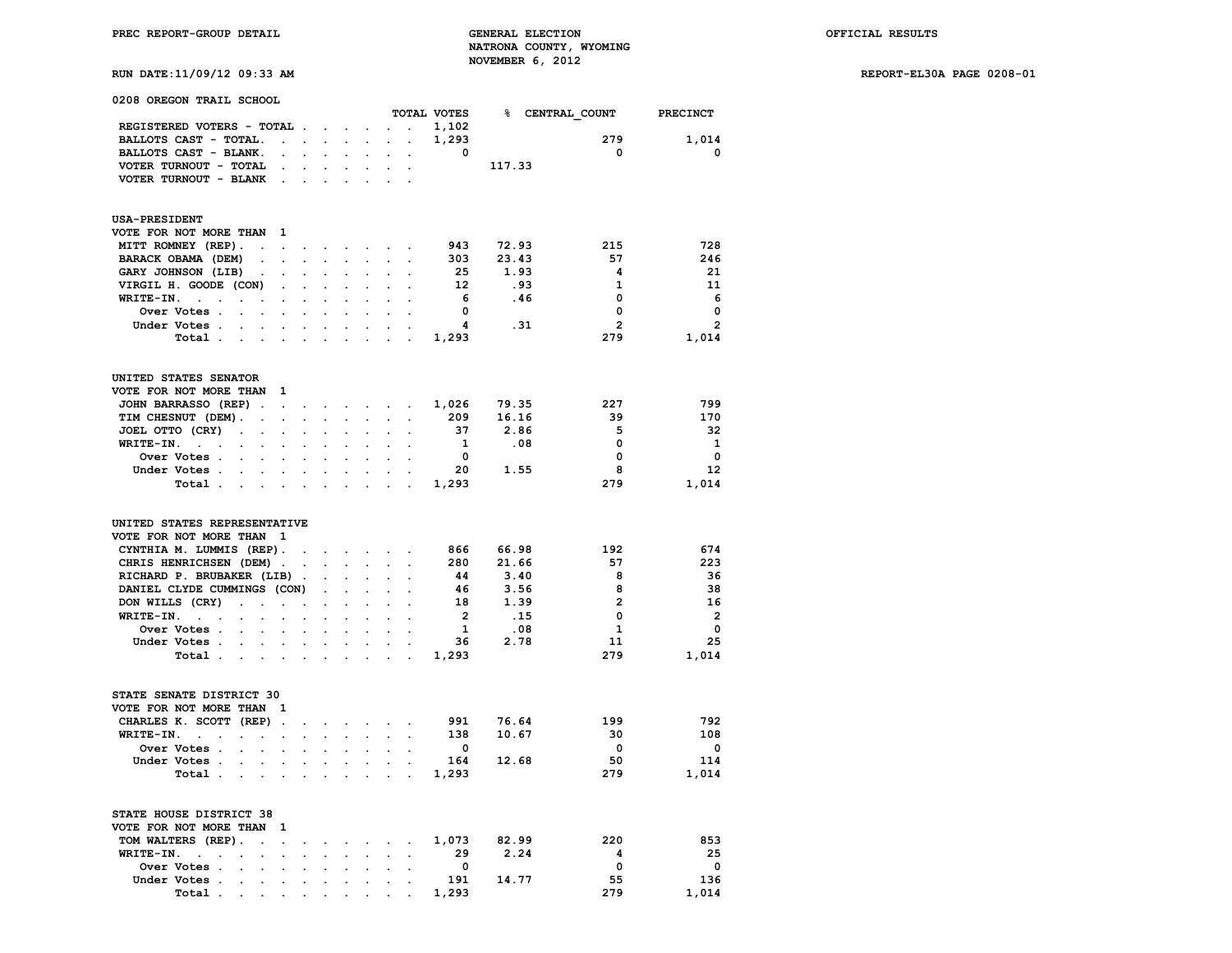| 0208 OREGON TRAIL SCHOOL                                                                                                                                        |                                              |                                              |                         |                 |                         |                          |
|-----------------------------------------------------------------------------------------------------------------------------------------------------------------|----------------------------------------------|----------------------------------------------|-------------------------|-----------------|-------------------------|--------------------------|
|                                                                                                                                                                 |                                              |                                              | TOTAL VOTES             | % CENTRAL COUNT |                         | PRECINCT                 |
| REGISTERED VOTERS - TOTAL .<br>$\sim 10$<br>$\ddot{\phantom{a}}$                                                                                                | $\ddot{\phantom{a}}$                         | $\mathbf{r}$                                 | 1,102                   |                 |                         |                          |
| BALLOTS CAST - TOTAL.<br>$\ddot{\phantom{a}}$<br>$\ddot{\phantom{a}}$<br>$\sim$                                                                                 | $\ddot{\phantom{a}}$                         |                                              | 1,293                   |                 | 279                     | 1,014                    |
| BALLOTS CAST - BLANK.                                                                                                                                           |                                              |                                              | $\overline{\mathbf{0}}$ |                 | $\overline{\mathbf{0}}$ | $\mathbf 0$              |
| VOTER TURNOUT - TOTAL<br>$\bullet$<br>$\ddot{\phantom{0}}$<br>$\sim$                                                                                            |                                              |                                              |                         | 117.33          |                         |                          |
| VOTER TURNOUT - BLANK                                                                                                                                           |                                              |                                              |                         |                 |                         |                          |
|                                                                                                                                                                 |                                              |                                              |                         |                 |                         |                          |
| <b>USA-PRESIDENT</b>                                                                                                                                            |                                              |                                              |                         |                 |                         |                          |
| VOTE FOR NOT MORE THAN<br>1                                                                                                                                     |                                              |                                              |                         |                 |                         |                          |
| MITT ROMNEY (REP).<br>$\ddot{\phantom{a}}$<br>$\overline{a}$<br>$\sim$<br>$\ddot{\phantom{a}}$                                                                  | $\ddot{\phantom{0}}$<br>$\sim$               | $\ddot{\phantom{0}}$<br>$\ddot{\phantom{a}}$ | 943                     | 72.93           | 215                     | 728                      |
| BARACK OBAMA (DEM)<br>$\ddot{\phantom{0}}$<br>$\cdot$<br>$\cdot$                                                                                                |                                              | $\sim$ $\sim$                                | 303                     | 23.43           | 57                      | 246                      |
| GARY JOHNSON (LIB)<br>$\ddot{\phantom{0}}$                                                                                                                      |                                              |                                              | 25                      | 1.93            | 4                       | 21                       |
| VIRGIL H. GOODE (CON)<br>$\ddot{\phantom{0}}$                                                                                                                   |                                              |                                              | 12                      | .93             | $\mathbf{1}$            | 11                       |
| WRITE-IN.<br>$\sim 10^{-11}$<br>$\ddot{\phantom{0}}$<br>$\ddot{\phantom{0}}$<br>$\cdot$                                                                         |                                              |                                              | 6                       | .46             | $\mathbf{0}$            | - 6                      |
| Over Votes .<br>$\ddot{\phantom{a}}$<br>$\ddot{\phantom{a}}$<br>$\cdot$<br>$\ddot{\phantom{a}}$<br>$\cdot$<br>$\ddot{\phantom{a}}$                              |                                              |                                              | $\mathbf 0$             |                 | 0                       | $\mathbf 0$              |
| Under Votes .<br>$\overline{a}$<br>$\mathbf{r}$<br>$\ddot{\phantom{a}}$                                                                                         | $\mathbf{r}$                                 |                                              | $\overline{\mathbf{4}}$ | .31             | $\overline{2}$          | $\overline{2}$           |
| Total.<br>$\bullet$<br>$\cdot$<br>$\cdot$<br>$\cdot$<br>$\ddot{\phantom{a}}$<br>$\cdot$                                                                         | $\ddot{\phantom{a}}$                         | $\mathbf{r}$<br>$\sim$                       | 1,293                   |                 | 279                     | 1,014                    |
|                                                                                                                                                                 |                                              |                                              |                         |                 |                         |                          |
| UNITED STATES SENATOR                                                                                                                                           |                                              |                                              |                         |                 |                         |                          |
| VOTE FOR NOT MORE THAN<br>1                                                                                                                                     |                                              |                                              |                         |                 |                         |                          |
| JOHN BARRASSO (REP).<br>$\ddot{\phantom{0}}$<br>the contract of the contract of                                                                                 |                                              |                                              | 1,026                   | 79.35           | 227                     | 799                      |
| TIM CHESNUT (DEM).<br>$\mathcal{L}^{\mathcal{L}}$<br>$\ddot{\phantom{a}}$<br>$\ddot{\phantom{0}}$<br>$\ddot{\phantom{a}}$                                       | $\ddot{\phantom{0}}$<br>$\ddot{\phantom{0}}$ | $\ddot{\phantom{a}}$                         | 209                     | 16.16           | 39                      | 170                      |
| JOEL OTTO (CRY)<br>$\ddot{\phantom{0}}$<br>$\ddot{\phantom{0}}$<br>$\ddot{\phantom{0}}$<br>$\overline{a}$<br>$\sim$<br>$\ddot{\phantom{0}}$                     |                                              |                                              | - 37                    | 2.86            | 5                       | 32                       |
| WRITE-IN.<br>$\sim$ $\sim$ $\sim$                                                                                                                               |                                              |                                              | $\mathbf{1}$            | .08             | $\mathbf 0$             | $\mathbf{1}$             |
| Over Votes .<br>$\sim$<br>$\ddot{\phantom{a}}$<br>$\ddot{\phantom{a}}$<br>$\ddot{\phantom{0}}$<br>$\ddot{\phantom{a}}$                                          |                                              |                                              | $\overline{\mathbf{0}}$ |                 | $\mathbf 0$             | $\mathbf 0$              |
| Under Votes .<br>$\ddot{\phantom{0}}$<br>$\mathbf{r}$<br>$\ddot{\phantom{a}}$<br>$\mathbf{r}$<br>$\sim$                                                         | $\ddot{\phantom{a}}$<br>$\sim$               | $\mathbf{r}$<br>$\cdot$                      | 20                      | 1.55            | 8                       | 12                       |
| Total.<br>$\cdot$<br>$\ddot{\phantom{a}}$<br>$\ddot{\phantom{a}}$<br>$\ddot{\phantom{a}}$<br>$\mathbf{r}$<br>$\sim$                                             | $\overline{a}$                               |                                              | 1,293                   |                 | 279                     | 1,014                    |
| UNITED STATES REPRESENTATIVE<br>VOTE FOR NOT MORE THAN<br>1<br>CYNTHIA M. LUMMIS (REP).<br>$\sim$<br>$\cdot$<br>CHRIS HENRICHSEN (DEM).                         | <b>All Cards</b>                             | $\sim$ $\sim$                                | 866<br>280              | 66.98<br>21.66  | 192<br>57               | 674<br>223               |
| RICHARD P. BRUBAKER (LIB).<br>$\ddot{\phantom{a}}$<br>$\ddot{\phantom{a}}$                                                                                      |                                              | $\ddot{\phantom{a}}$                         | 44                      | 3.40            | 8                       | 36                       |
| DANIEL CLYDE CUMMINGS (CON)<br>$\mathbf{L}$                                                                                                                     |                                              | $\overline{a}$                               | -46                     | 3.56            | 8                       | 38                       |
| DON WILLS (CRY)<br>$\mathcal{L}^{\text{max}}$<br>$\ddot{\phantom{a}}$<br>$\ddot{\phantom{a}}$<br>$\blacksquare$<br>$\ddot{\phantom{a}}$<br>$\ddot{\phantom{0}}$ | $\overline{a}$                               | $\sim$<br>$\mathbf{r}$                       | 18                      | 1.39            | $\mathbf{2}$            | 16                       |
| WRITE-IN.<br>$\cdots$<br>$\overline{a}$<br>$\mathcal{L}^{\pm}$<br>$\overline{a}$                                                                                |                                              | $\sim$                                       | $\overline{2}$          | .15             | $\mathbf 0$             | $\overline{\phantom{a}}$ |
| Over Votes .<br>$\ddot{\phantom{a}}$                                                                                                                            |                                              |                                              | $\mathbf{1}$            | .08             | $\mathbf{1}$            | $\mathbf 0$              |
| Under Votes .<br>$\sim$ $-$<br>$\mathbf{r}$<br>$\ddot{\phantom{a}}$<br>$\sim$<br>$\ddot{\phantom{0}}$                                                           | $\ddot{\phantom{a}}$<br>$\ddot{\phantom{0}}$ | $\ddot{\phantom{0}}$                         | 36                      | 2.78            | 11                      | 25                       |
| Total.<br>$\ddot{\phantom{a}}$<br>$\ddot{\phantom{a}}$<br>$\ddot{\phantom{a}}$                                                                                  |                                              |                                              | 1,293                   |                 | 279                     | 1,014                    |
|                                                                                                                                                                 |                                              |                                              |                         |                 |                         |                          |
| STATE SENATE DISTRICT 30                                                                                                                                        |                                              |                                              |                         |                 |                         |                          |
| VOTE FOR NOT MORE THAN<br>1                                                                                                                                     |                                              |                                              |                         |                 |                         |                          |
| CHARLES K. SCOTT (REP)<br>$\ddot{\phantom{a}}$<br>$\bullet$<br>$\sim$                                                                                           | $\sim$<br>$\sim$                             | $\sim$ $\sim$                                | 991                     | 76.64           | 199                     | 792                      |
| WRITE-IN.<br>$\sim$<br>$\sim$<br>$\ddot{\phantom{a}}$<br>$\cdot$<br>$\ddot{\phantom{a}}$<br>$\cdot$                                                             | $\mathbf{r}$                                 |                                              | 138                     | 10.67           | 30                      | 108                      |
| Over Votes .<br>$\overline{a}$<br>$\overline{a}$                                                                                                                |                                              |                                              | $\overline{\mathbf{0}}$ |                 | $\mathbf 0$             | $\overline{\mathbf{0}}$  |
| Under Votes.<br>$\mathbf{r}$<br>$\cdot$<br>$\ddot{\phantom{a}}$<br>$\ddot{\phantom{0}}$<br>$\ddot{\phantom{0}}$<br>$\cdot$                                      | $\cdot$                                      |                                              | 164                     | 12.68           | 50                      | 114                      |
| Total .                                                                                                                                                         |                                              |                                              | 1,293                   |                 | 279                     | 1,014                    |
| STATE HOUSE DISTRICT 38                                                                                                                                         |                                              |                                              |                         |                 |                         |                          |
| VOTE FOR NOT MORE THAN<br>1                                                                                                                                     |                                              |                                              |                         |                 |                         |                          |
| TOM WALTERS (REP).<br>$\ddot{\phantom{a}}$<br>$\mathbf{r}$<br>$\ddot{\phantom{0}}$<br>$\bullet$<br>$\ddot{\phantom{0}}$                                         |                                              | $\ddot{\phantom{a}}$<br>$\bullet$            | 1,073                   | 82.99           | 220                     | 853                      |
| WRITE-IN.<br>$\sim$<br>$\mathbf{r}$<br>$\ddot{\phantom{a}}$<br>$\ddot{\phantom{a}}$                                                                             |                                              |                                              | 29                      | 2.24            | 4                       | 25                       |
| Over Votes .<br>$\ddot{\phantom{a}}$                                                                                                                            |                                              |                                              | $\mathbf{o}$            |                 | $\mathbf 0$             | $\mathbf 0$              |
| Under Votes .<br>$\cdot$<br>$\ddot{\phantom{a}}$<br>$\ddot{\phantom{a}}$<br>$\ddot{\phantom{a}}$<br>$\cdot$<br>$\ddot{\phantom{a}}$                             | $\ddot{\phantom{a}}$                         | $\cdot$                                      | 191                     | 14.77           | 55                      | 136                      |
| Total                                                                                                                                                           |                                              | $\ddot{\phantom{0}}$                         | 1,293                   |                 | 279                     | 1,014                    |
| $\bullet$                                                                                                                                                       |                                              |                                              |                         |                 |                         |                          |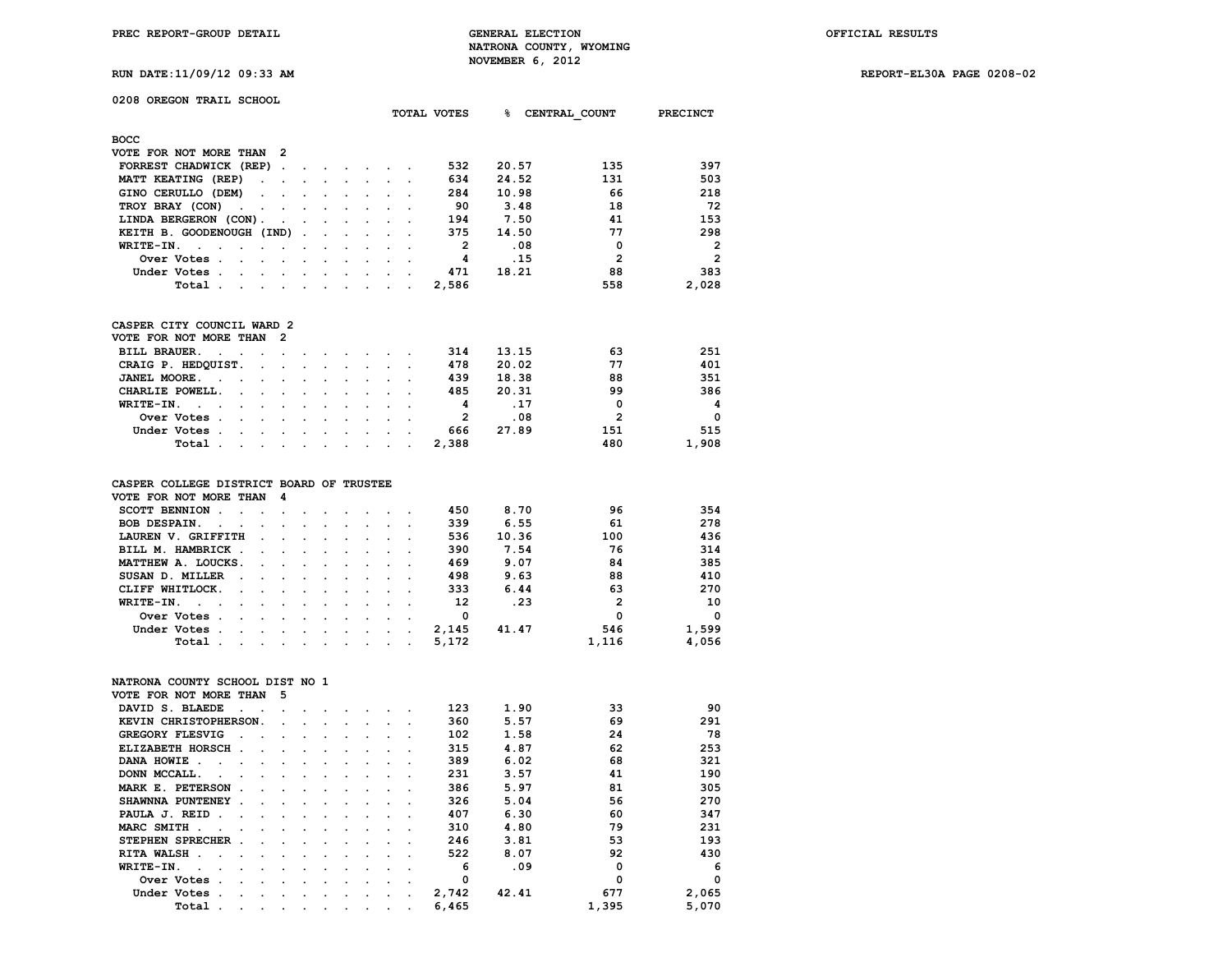**RUN DATE:11/09/12 09:33 AM REPORT-EL30A PAGE 0208-02**

### **0208 OREGON TRAIL SCHOOL**

|                                      |                                                                                                                                                                                                                                                                                                                                                                                                                              |                                    |  |                                                                                                                 |                                     |  | TOTAL VOTES | ዱ     | CENTRAL COUNT  | PRECINCT       |
|--------------------------------------|------------------------------------------------------------------------------------------------------------------------------------------------------------------------------------------------------------------------------------------------------------------------------------------------------------------------------------------------------------------------------------------------------------------------------|------------------------------------|--|-----------------------------------------------------------------------------------------------------------------|-------------------------------------|--|-------------|-------|----------------|----------------|
| <b>BOCC</b>                          |                                                                                                                                                                                                                                                                                                                                                                                                                              |                                    |  |                                                                                                                 |                                     |  |             |       |                |                |
| VOTE FOR NOT MORE THAN 2             |                                                                                                                                                                                                                                                                                                                                                                                                                              |                                    |  |                                                                                                                 |                                     |  |             |       |                |                |
| FORREST CHADWICK (REP)               |                                                                                                                                                                                                                                                                                                                                                                                                                              |                                    |  |                                                                                                                 |                                     |  | 532         | 20.57 | 135            | 397            |
| MATT KEATING (REP)                   |                                                                                                                                                                                                                                                                                                                                                                                                                              |                                    |  | the contract of the contract of the contract of the contract of the contract of the contract of the contract of |                                     |  | 634         | 24.52 | 131            | 503            |
| GINO CERULLO (DEM)                   |                                                                                                                                                                                                                                                                                                                                                                                                                              |                                    |  |                                                                                                                 |                                     |  | 284         | 10.98 | 66             | 218            |
| TROY BRAY (CON)                      |                                                                                                                                                                                                                                                                                                                                                                                                                              |                                    |  |                                                                                                                 |                                     |  | 90          | 3.48  | 18             | 72             |
| LINDA BERGERON (CON).                |                                                                                                                                                                                                                                                                                                                                                                                                                              |                                    |  |                                                                                                                 |                                     |  | 194         | 7.50  | 41             | 153            |
| KEITH B. GOODENOUGH (IND)            |                                                                                                                                                                                                                                                                                                                                                                                                                              |                                    |  |                                                                                                                 |                                     |  | 375         | 14.50 | 77             | 298            |
| WRITE-IN.<br>$\sim$ $\sim$<br>$\sim$ |                                                                                                                                                                                                                                                                                                                                                                                                                              |                                    |  |                                                                                                                 |                                     |  | 2           | .08   | 0              | $\overline{2}$ |
| Over Votes.                          |                                                                                                                                                                                                                                                                                                                                                                                                                              | $\sim$ $\sim$ $\sim$ $\sim$ $\sim$ |  |                                                                                                                 | $\sim$ $\sim$ $\sim$ $\sim$         |  | 4           | .15   | $\overline{2}$ | $\overline{2}$ |
| Under Votes.                         | the contract of the contract of the contract of the contract of the contract of                                                                                                                                                                                                                                                                                                                                              |                                    |  |                                                                                                                 | and the contract of the contract of |  | 471         | 18.21 | 88             | 383            |
| Total .                              | $\mathbf{r} = \mathbf{r} + \mathbf{r} + \mathbf{r} + \mathbf{r} + \mathbf{r} + \mathbf{r} + \mathbf{r} + \mathbf{r} + \mathbf{r} + \mathbf{r} + \mathbf{r} + \mathbf{r} + \mathbf{r} + \mathbf{r} + \mathbf{r} + \mathbf{r} + \mathbf{r} + \mathbf{r} + \mathbf{r} + \mathbf{r} + \mathbf{r} + \mathbf{r} + \mathbf{r} + \mathbf{r} + \mathbf{r} + \mathbf{r} + \mathbf{r} + \mathbf{r} + \mathbf{r} + \mathbf{r} + \mathbf$ |                                    |  |                                                                                                                 |                                     |  | 2,586       |       | 558            | 2,028          |
|                                      |                                                                                                                                                                                                                                                                                                                                                                                                                              |                                    |  |                                                                                                                 |                                     |  |             |       |                |                |

### **CASPER CITY COUNCIL WARD 2**

| VOTE FOR NOT MORE THAN 2 |  |  |  |  |       |       |     |                |
|--------------------------|--|--|--|--|-------|-------|-----|----------------|
| BILL BRAUER.             |  |  |  |  | 314   | 13.15 | 63  | 251            |
| CRAIG P. HEDQUIST.       |  |  |  |  | 478   | 20.02 | 77  | 401            |
| JANEL MOORE.             |  |  |  |  | 439   | 18.38 | 88  | 351            |
| CHARLIE POWELL.          |  |  |  |  | 485   | 20.31 | 99  | 386            |
| WRITE-IN.                |  |  |  |  | 4     | .17   | 0   | $\overline{4}$ |
| Over Votes               |  |  |  |  |       | .08   | 2   | $\Omega$       |
| Under Votes              |  |  |  |  | 666   | 27.89 | 151 | 515            |
| Total                    |  |  |  |  | 2.388 |       | 480 | 1,908          |

### **CASPER COLLEGE DISTRICT BOARD OF TRUSTEE**

| VOTE FOR NOT MORE THAN 4                                                                                                                                                                                                                          |                                                                                                                                                                                                                               |  |  |        |       |       |              |          |
|---------------------------------------------------------------------------------------------------------------------------------------------------------------------------------------------------------------------------------------------------|-------------------------------------------------------------------------------------------------------------------------------------------------------------------------------------------------------------------------------|--|--|--------|-------|-------|--------------|----------|
| SCOTT BENNION.                                                                                                                                                                                                                                    | the company of the company of the company of the company of the company of the company of the company of the company of the company of the company of the company of the company of the company of the company of the company |  |  |        | 450   | 8.70  | 96           | 354      |
| <b>BOB DESPAIN.</b><br>$\sim$ $\sim$ $\sim$                                                                                                                                                                                                       | the contract of the contract of the contract of the contract of the contract of the contract of the contract of                                                                                                               |  |  |        | 339   | 6.55  | 61           | 278      |
| LAUREN V. GRIFFITH                                                                                                                                                                                                                                | the company of the company of the company of the company of the company of the company of                                                                                                                                     |  |  |        | 536   | 10.36 | 100          | 436      |
| BILL M. HAMBRICK.                                                                                                                                                                                                                                 | the contract of the contract of the contract of the contract of the contract of the contract of the contract of                                                                                                               |  |  |        | 390   | 7.54  | 76           | 314      |
| MATTHEW A. LOUCKS.                                                                                                                                                                                                                                |                                                                                                                                                                                                                               |  |  |        | 469   | 9.07  | 84           | 385      |
| SUSAN D. MILLER<br>the company of the company of the company of the company of the company of the company of the company of the company of the company of the company of the company of the company of the company of the company of the company  |                                                                                                                                                                                                                               |  |  |        | 498   | 9.63  | 88           | 410      |
| CLIFF WHITLOCK.<br>and the contract of the contract of the contract of the contract of the contract of the contract of the contract of the contract of the contract of the contract of the contract of the contract of the contract of the contra |                                                                                                                                                                                                                               |  |  |        | 333   | 6.44  | 63           | 270      |
| WRITE-IN. $\cdots$                                                                                                                                                                                                                                |                                                                                                                                                                                                                               |  |  |        | 12    | .23   | $\mathbf{2}$ | 10       |
| Over Votes.<br>the contract of the contract of the contract of the contract of the contract of the contract of the contract of                                                                                                                    |                                                                                                                                                                                                                               |  |  |        | 0     |       | 0            | $\Omega$ |
| Under Votes.<br>the contract of the contract of the contract of the contract of the contract of the contract of the contract of<br>$\sim 100$ km s $^{-1}$                                                                                        |                                                                                                                                                                                                                               |  |  | $\sim$ | 2,145 | 41.47 | 546          | 1,599    |
| Total                                                                                                                                                                                                                                             | the contract of the contract of the contract of the contract of the contract of the contract of the contract of                                                                                                               |  |  |        | 5,172 |       | 1,116        | 4,056    |

# **NATRONA COUNTY SCHOOL DIST NO 1**

| VOTE FOR NOT MORE THAN              |                          | 5                    |          |                      |                      |                                 |                              |       |       |       |          |
|-------------------------------------|--------------------------|----------------------|----------|----------------------|----------------------|---------------------------------|------------------------------|-------|-------|-------|----------|
| DAVID S. BLAEDE<br>$\sim$           | $\sim$                   |                      |          |                      |                      |                                 |                              | 123   | 1.90  | 33    | 90       |
| KEVIN CHRISTOPHERSON.               |                          | $\sim$               |          |                      |                      |                                 |                              | 360   | 5.57  | 69    | 291      |
| <b>GREGORY FLESVIG</b>              |                          |                      |          | $\cdot$              |                      |                                 |                              | 102   | 1.58  | 24    | 78       |
| ELIZABETH HORSCH.                   | $\sim$                   | $\ddot{\phantom{a}}$ | $\Delta$ | $\ddot{\phantom{a}}$ | $\cdot$              | $\cdot$                         |                              | 315   | 4.87  | 62    | 253      |
| DANA HOWIE.<br>$\sim$ $\sim$ $\sim$ | $\sim$                   | $\sim$ $\sim$        |          | $\ddot{\phantom{0}}$ | $\sim$               | $\ddot{\phantom{a}}$            |                              | 389   | 6.02  | 68    | 321      |
| DONN MCCALL.<br>$\sim$              |                          |                      |          |                      |                      |                                 |                              | 231   | 3.57  | 41    | 190      |
| MARK E. PETERSON<br>$\sim$          | $\bullet$                | $\ddot{\phantom{a}}$ | $\cdot$  | $\cdot$              | $\cdot$              |                                 |                              | 386   | 5.97  | 81    | 305      |
| SHAWNNA PUNTENEY.                   | $\ddot{\phantom{a}}$     | $\cdot$              | $\cdot$  | $\sim$               | $\cdot$              | $\sim$                          |                              | 326   | 5.04  | 56    | 270      |
| PAULA J. REID.<br>$\sim$            | $\sim$                   | $\sim$ $\sim$        |          | $\sim$               | $\sim$               | $\sim$                          |                              | 407   | 6.30  | 60    | 347      |
| MARC SMITH.<br>$\sim$<br>$\sim$     | $\sim$                   | $\sim$ $\sim$        |          |                      |                      | $\mathbf{r}$ , and $\mathbf{r}$ |                              | 310   | 4.80  | 79    | 231      |
| STEPHEN SPRECHER.                   | $\cdot$                  | $\cdot$              |          |                      |                      |                                 |                              | 246   | 3.81  | 53    | 193      |
| RITA WALSH.<br>$\cdot$              | $\cdot$                  | $\cdot$              | $\cdot$  | $\cdot$              | $\cdot$              | $\cdot$                         |                              | 522   | 8.07  | 92    | 430      |
| WRITE-IN.<br>$\ddot{\phantom{a}}$   | $\sim$                   | $\cdot$              | $\cdot$  | $\cdot$              | $\cdot$              |                                 |                              | 6     | .09   | O     | 6        |
| Over Votes.<br>$\overline{a}$       |                          | $\cdot$              | $\Delta$ | $\cdot$              | $\ddot{\phantom{0}}$ | $\ddot{\phantom{a}}$            | $\sim$                       | 0     |       | 0     | $\Omega$ |
| Under Votes.<br>$\cdot$             | $\sim$                   | $\ddot{\phantom{0}}$ | $\sim$   | $\cdot$              | $\ddot{\phantom{0}}$ |                                 | and the contract of the con- | 2,742 | 42.41 | 677   | 2,065    |
| Total .<br>$\cdot$                  | $\overline{\phantom{a}}$ | $\cdot$              |          |                      | $\cdot$              | $\cdot$                         |                              | 6,465 |       | 1,395 | 5,070    |
|                                     |                          |                      |          |                      |                      |                                 |                              |       |       |       |          |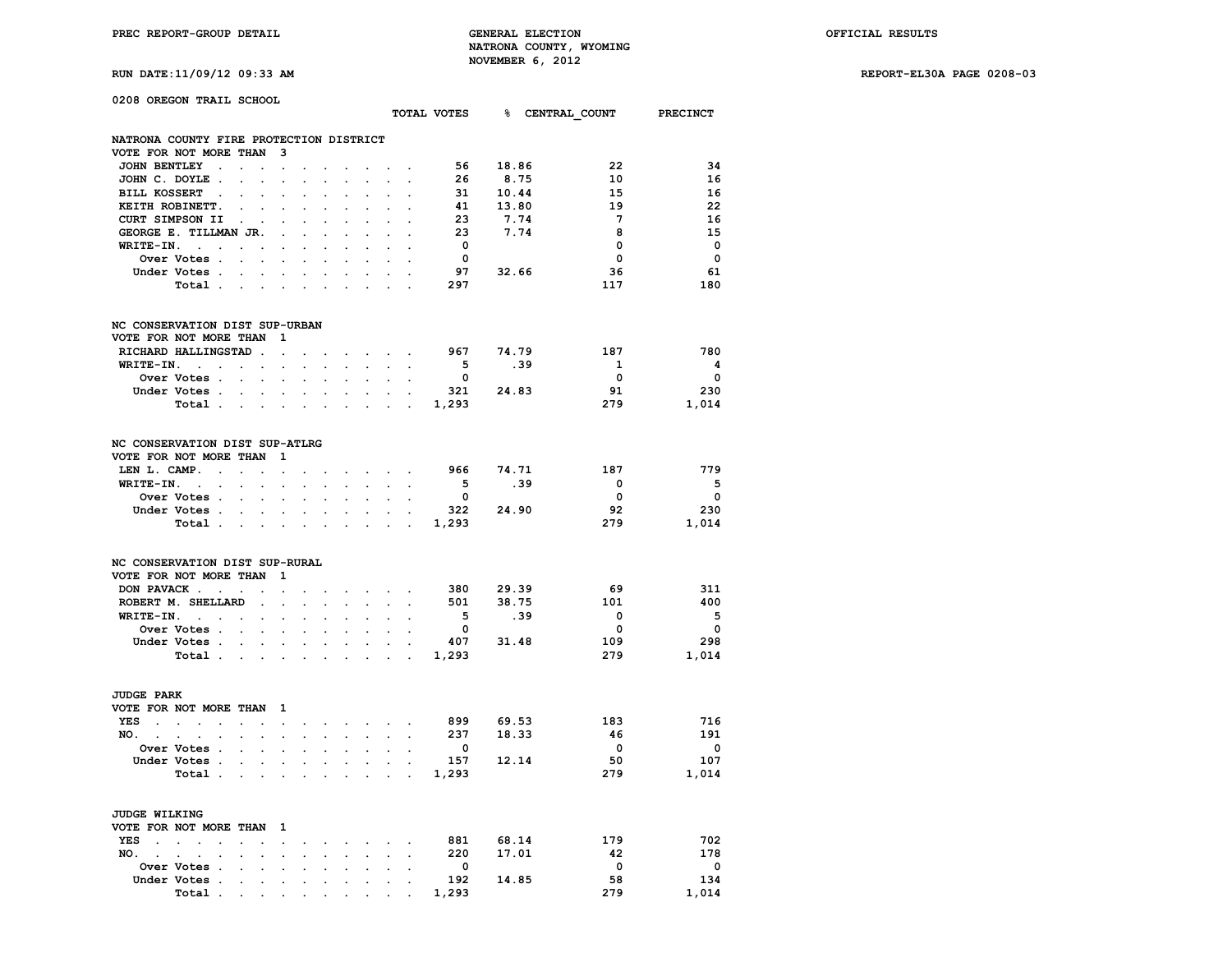**PREC REPORT-GROUP DETAIL GENERAL ELECTION OFFICIAL RESULTS NATRONA COUNTY, WYOMING RUN DATE:11/09/12 09:33 AM NOVEMBER 6, 2012** 

|  |  | RUN DATE:11/09/12 09:33 AI |  |
|--|--|----------------------------|--|
|  |  |                            |  |

| 0208 OREGON TRAIL SCHOOL                                                 |                                 |                            |                      |                      |                                    |                      |                                                                                                                                                                                                                                    |                         |                                                                                      |       |                                      |                         |
|--------------------------------------------------------------------------|---------------------------------|----------------------------|----------------------|----------------------|------------------------------------|----------------------|------------------------------------------------------------------------------------------------------------------------------------------------------------------------------------------------------------------------------------|-------------------------|--------------------------------------------------------------------------------------|-------|--------------------------------------|-------------------------|
|                                                                          |                                 |                            |                      |                      |                                    |                      |                                                                                                                                                                                                                                    |                         |                                                                                      |       | TOTAL VOTES 8 CENTRAL COUNT PRECINCT |                         |
| NATRONA COUNTY FIRE PROTECTION DISTRICT                                  |                                 |                            |                      |                      |                                    |                      |                                                                                                                                                                                                                                    |                         |                                                                                      |       |                                      |                         |
| VOTE FOR NOT MORE THAN                                                   | - 3                             |                            |                      |                      |                                    |                      |                                                                                                                                                                                                                                    |                         |                                                                                      |       |                                      |                         |
| JOHN BENTLEY .                                                           |                                 |                            | $\cdot$              |                      |                                    |                      |                                                                                                                                                                                                                                    |                         | 56 18.86                                                                             |       | 22                                   | 34                      |
| JOHN C. DOYLE.                                                           |                                 |                            |                      |                      |                                    |                      | $\ddot{\phantom{a}}$                                                                                                                                                                                                               | 26                      |                                                                                      | 8.75  | 10                                   | 16                      |
| BILL KOSSERT .                                                           |                                 |                            |                      |                      |                                    |                      |                                                                                                                                                                                                                                    |                         |                                                                                      |       | 15                                   | 16                      |
| KEITH ROBINETT.<br>$\overline{a}$                                        | $\cdot$                         |                            |                      |                      |                                    |                      | $\overline{a}$                                                                                                                                                                                                                     |                         | $\begin{array}{cc} 31 & \quad 10 \, . \, 44 \\ 41 & \quad 13 \, . \, 80 \end{array}$ |       | 19                                   | 22                      |
| $\sim$<br>CURT SIMPSON II .                                              |                                 |                            |                      |                      |                                    | $\cdot$              |                                                                                                                                                                                                                                    | 23                      | 7.74                                                                                 |       | $\overline{7}$                       | 16                      |
|                                                                          | $\cdot$                         |                            |                      |                      |                                    |                      |                                                                                                                                                                                                                                    |                         |                                                                                      | 7.74  |                                      | 15                      |
| GEORGE E. TILLMAN JR.                                                    | $\cdot$                         |                            |                      |                      |                                    |                      |                                                                                                                                                                                                                                    | 23                      |                                                                                      |       | - 8                                  |                         |
| $WRITE-IN.$<br><b>Contract Contract Contract</b><br>$\ddot{\phantom{a}}$ | $\mathbf{r}$                    |                            |                      |                      | $\overline{a}$                     | $\cdot$              | $\cdot$                                                                                                                                                                                                                            | $\overline{\mathbf{0}}$ |                                                                                      |       | $\mathbf 0$                          | $\mathbf 0$             |
| Over Votes .<br>$\sim$<br>$\ddot{\phantom{a}}$                           | $\cdot$                         |                            | $\ddot{\phantom{a}}$ |                      |                                    |                      | $\cdot$                                                                                                                                                                                                                            | $\overline{\mathbf{0}}$ |                                                                                      |       | $\mathbf 0$                          | $\mathbf 0$             |
| Under Votes.<br>$\sim$                                                   | $\sim$                          |                            |                      |                      |                                    |                      |                                                                                                                                                                                                                                    | $97$ 32.66              |                                                                                      |       | 36                                   | 61                      |
| Total.<br>$\sim$                                                         |                                 |                            |                      |                      |                                    |                      |                                                                                                                                                                                                                                    | 297                     |                                                                                      |       | 117                                  | 180                     |
| NC CONSERVATION DIST SUP-URBAN                                           |                                 |                            |                      |                      |                                    |                      |                                                                                                                                                                                                                                    |                         |                                                                                      |       |                                      |                         |
| VOTE FOR NOT MORE THAN                                                   | - 1                             |                            |                      |                      |                                    |                      |                                                                                                                                                                                                                                    |                         |                                                                                      |       |                                      |                         |
| RICHARD HALLINGSTAD .                                                    |                                 |                            |                      |                      |                                    |                      |                                                                                                                                                                                                                                    | 967 74.79               |                                                                                      |       | 187                                  | 780                     |
| $WRITE-TN.$<br>$\ddot{\phantom{a}}$                                      | $\cdot$<br>$\ddot{\phantom{a}}$ | $\mathbf{r}$               | $\sim$               | $\sim$               | $\mathbf{L}^{\text{max}}$          |                      | $\cdot$ $\cdot$ $\cdot$ $\cdot$ $\cdot$                                                                                                                                                                                            | 5 <sub>1</sub>          |                                                                                      | .39   | $\mathbf{1}$                         | $\overline{\mathbf{4}}$ |
| $\sim$<br><b>Over Votes .</b>                                            |                                 |                            |                      |                      |                                    | $\sim$               | $\sim$                                                                                                                                                                                                                             | $\overline{\mathbf{0}}$ |                                                                                      |       | $\overline{\mathbf{0}}$              | $\overline{\mathbf{0}}$ |
| $\ddot{\phantom{0}}$<br>$\ddot{\phantom{a}}$                             | $\cdot$                         | $\ddot{\phantom{a}}$       | $\ddot{\phantom{a}}$ |                      | $\cdot$                            | $\ddot{\phantom{a}}$ | $\cdot$                                                                                                                                                                                                                            | 321 24.83               |                                                                                      |       |                                      | 230                     |
| Under Votes                                                              | $\sim$<br>$\sim$                | $\mathcal{L}^{\text{max}}$ | $\sim$               | $\sim$               |                                    |                      | $\mathbf{r}$ and $\mathbf{r}$                                                                                                                                                                                                      |                         |                                                                                      |       | 91                                   |                         |
| Total.<br>$\sim$<br>$\sim$                                               | $\sim$                          | $\sim$                     | $\cdot$              |                      | $\sim$                             |                      | $\ddot{\phantom{0}}$                                                                                                                                                                                                               | 1,293                   |                                                                                      |       | 279                                  | 1,014                   |
| NC CONSERVATION DIST SUP-ATLRG<br>VOTE FOR NOT MORE THAN                 | $\mathbf{1}$                    |                            |                      |                      |                                    |                      |                                                                                                                                                                                                                                    |                         |                                                                                      |       |                                      |                         |
| LEN L. CAMP.<br>$\sim$<br>$\ddot{\phantom{a}}$                           | $\bullet$                       |                            |                      |                      |                                    |                      | $\bullet$ . The contract of the contract of the contract of the contract of the contract of the contract of the contract of the contract of the contract of the contract of the contract of the contract of the contract of the co | 966 74.71               |                                                                                      |       | 187                                  | 779                     |
| WRITE-IN. .                                                              |                                 |                            |                      |                      | $\ddot{\phantom{0}}$               |                      | $\sim$                                                                                                                                                                                                                             | 5 <sub>5</sub>          |                                                                                      | .39   | $\overline{0}$                       | $-5$                    |
| Over Votes .<br>$\ddot{\phantom{0}}$<br>$\ddot{\phantom{0}}$             | $\ddot{\phantom{a}}$            |                            |                      |                      | $\ddot{\phantom{a}}$               | $\ddot{\phantom{0}}$ |                                                                                                                                                                                                                                    | $\Omega$                |                                                                                      |       | $\overline{\mathbf{0}}$              | $\mathbf{0}$            |
| Under Votes .                                                            | $\cdot$                         |                            |                      |                      |                                    |                      | and a state of the                                                                                                                                                                                                                 | 322 24.90               |                                                                                      |       | 92                                   | 230                     |
| Total.<br>$\sim$<br>$\ddot{\phantom{0}}$                                 | $\cdot$                         | $\bullet$                  | $\ddot{\phantom{a}}$ | $\ddot{\phantom{a}}$ | <b>Contract Contract</b>           |                      |                                                                                                                                                                                                                                    | 1,293                   |                                                                                      |       | 279                                  | 1,014                   |
|                                                                          |                                 |                            |                      |                      |                                    |                      |                                                                                                                                                                                                                                    |                         |                                                                                      |       |                                      |                         |
| NC CONSERVATION DIST SUP-RURAL<br>VOTE FOR NOT MORE THAN                 | $\mathbf{1}$                    |                            |                      |                      |                                    |                      |                                                                                                                                                                                                                                    |                         |                                                                                      |       |                                      |                         |
| DON PAVACK                                                               |                                 |                            |                      |                      |                                    |                      |                                                                                                                                                                                                                                    | 380 29.39               |                                                                                      |       | - 69                                 | 311                     |
|                                                                          | $\cdot$                         |                            |                      |                      | $\sim$ $\sim$ $\sim$ $\sim$ $\sim$ |                      |                                                                                                                                                                                                                                    |                         |                                                                                      |       |                                      | 400                     |
| ROBERT M. SHELLARD<br>$\bullet$                                          | $\ddot{\phantom{a}}$            |                            | $\blacksquare$       | $\ddot{\phantom{a}}$ | $\bullet$                          | $\mathbf{r}$         | $\ddot{\phantom{a}}$                                                                                                                                                                                                               | 501 38.75               |                                                                                      |       | 101                                  |                         |
| $WRITE-TN.$<br>$\cdot$                                                   |                                 |                            |                      |                      |                                    |                      |                                                                                                                                                                                                                                    | 5 <sub>5</sub>          |                                                                                      | .39   | $\overline{\mathbf{0}}$              | $-5$                    |
| Over Votes .                                                             |                                 |                            |                      |                      |                                    |                      |                                                                                                                                                                                                                                    | $\overline{0}$          |                                                                                      |       | $\overline{\mathbf{0}}$              | $\overline{\mathbf{0}}$ |
| Under Votes<br><b>Contract Contract Contract</b>                         | $\ddot{\phantom{0}}$            | $\sim$                     | $\sim$               |                      | $\sim$                             | $\ddot{\phantom{0}}$ | $\sim$ $\sim$                                                                                                                                                                                                                      | 407 31.48               |                                                                                      |       | 109                                  | 298                     |
| Total                                                                    |                                 |                            |                      |                      |                                    |                      |                                                                                                                                                                                                                                    | 1,293                   |                                                                                      |       | 279                                  | 1,014                   |
| <b>JUDGE PARK</b>                                                        |                                 |                            |                      |                      |                                    |                      |                                                                                                                                                                                                                                    |                         |                                                                                      |       |                                      |                         |
| VOTE FOR NOT MORE THAN                                                   | $\mathbf{1}$                    |                            |                      |                      |                                    |                      |                                                                                                                                                                                                                                    |                         |                                                                                      |       |                                      |                         |
| <b>YES</b><br>the contract of the contract<br>$\sim$<br>$\sim$           | $\sim$                          |                            |                      |                      |                                    |                      | the contract of the contract of the con-                                                                                                                                                                                           | 899 69.53               |                                                                                      |       | 183                                  | 716                     |
| NO.<br>$\ddot{\phantom{a}}$                                              |                                 | $\ddot{\phantom{0}}$       |                      |                      |                                    |                      |                                                                                                                                                                                                                                    | 237                     | 18.33                                                                                |       | - 46                                 | 191                     |
| $\cdot$<br>$\ddot{\phantom{a}}$                                          |                                 |                            |                      |                      |                                    |                      |                                                                                                                                                                                                                                    |                         |                                                                                      |       |                                      |                         |
| Over Votes .<br>$\cdot$                                                  |                                 |                            |                      |                      |                                    |                      |                                                                                                                                                                                                                                    | $\overline{\mathbf{0}}$ |                                                                                      |       | $\overline{\mathbf{0}}$              | $\overline{\mathbf{0}}$ |
| Under Votes .<br>$\sim$                                                  | $\ddot{\phantom{0}}$<br>$\sim$  | $\ddot{\phantom{a}}$       | $\ddot{\phantom{0}}$ | $\sim$               |                                    |                      | and the control                                                                                                                                                                                                                    | 157 12.14               |                                                                                      |       | 50                                   | 107                     |
| Total.<br><b>Contract</b>                                                | $\ddot{\phantom{0}}$            |                            |                      |                      | $\mathcal{L}^{\mathcal{L}}$        |                      | $\mathcal{L}^{\text{max}}$                                                                                                                                                                                                         | 1,293                   |                                                                                      |       | 279                                  | 1,014                   |
| JUDGE WILKING                                                            |                                 |                            |                      |                      |                                    |                      |                                                                                                                                                                                                                                    |                         |                                                                                      |       |                                      |                         |
| VOTE FOR NOT MORE THAN                                                   | 1                               |                            |                      |                      |                                    |                      |                                                                                                                                                                                                                                    |                         |                                                                                      |       |                                      |                         |
| $YES$<br>$\mathbf{r}$<br>$\ddot{\phantom{a}}$<br>$\cdot$                 | $\ddot{\phantom{0}}$            | $\cdot$                    | $\cdot$              |                      | $\ddot{\phantom{0}}$               | $\ddot{\phantom{0}}$ | $\sim$                                                                                                                                                                                                                             | 881 68.14               |                                                                                      |       | 179                                  | 702                     |
| NO.<br>$\mathbf{r}$<br>$\ddot{\phantom{a}}$                              |                                 |                            |                      |                      | $\ddot{\phantom{a}}$               |                      | $\ddot{\phantom{0}}$                                                                                                                                                                                                               | 220                     |                                                                                      | 17.01 | 42                                   | 178                     |
|                                                                          |                                 |                            |                      |                      |                                    |                      |                                                                                                                                                                                                                                    | $\overline{\mathbf{0}}$ |                                                                                      |       | $\mathbf{0}$                         | $\overline{\mathbf{0}}$ |
| Over Votes .                                                             |                                 |                            |                      |                      |                                    |                      | $\ddot{\phantom{a}}$                                                                                                                                                                                                               |                         |                                                                                      |       |                                      |                         |
| Under Votes .<br>$\ddot{\phantom{a}}$<br>$\ddot{\phantom{0}}$            | $\cdot$                         | $\cdot$                    | $\cdot$              | $\ddot{\phantom{a}}$ | $\ddot{\phantom{0}}$               | $\bullet$            | $\sim$                                                                                                                                                                                                                             | 192 14.85               |                                                                                      |       | 58                                   | 134                     |
| Total<br>$\bullet$                                                       |                                 |                            |                      |                      |                                    |                      |                                                                                                                                                                                                                                    | 1,293                   |                                                                                      |       | 279                                  | 1,014                   |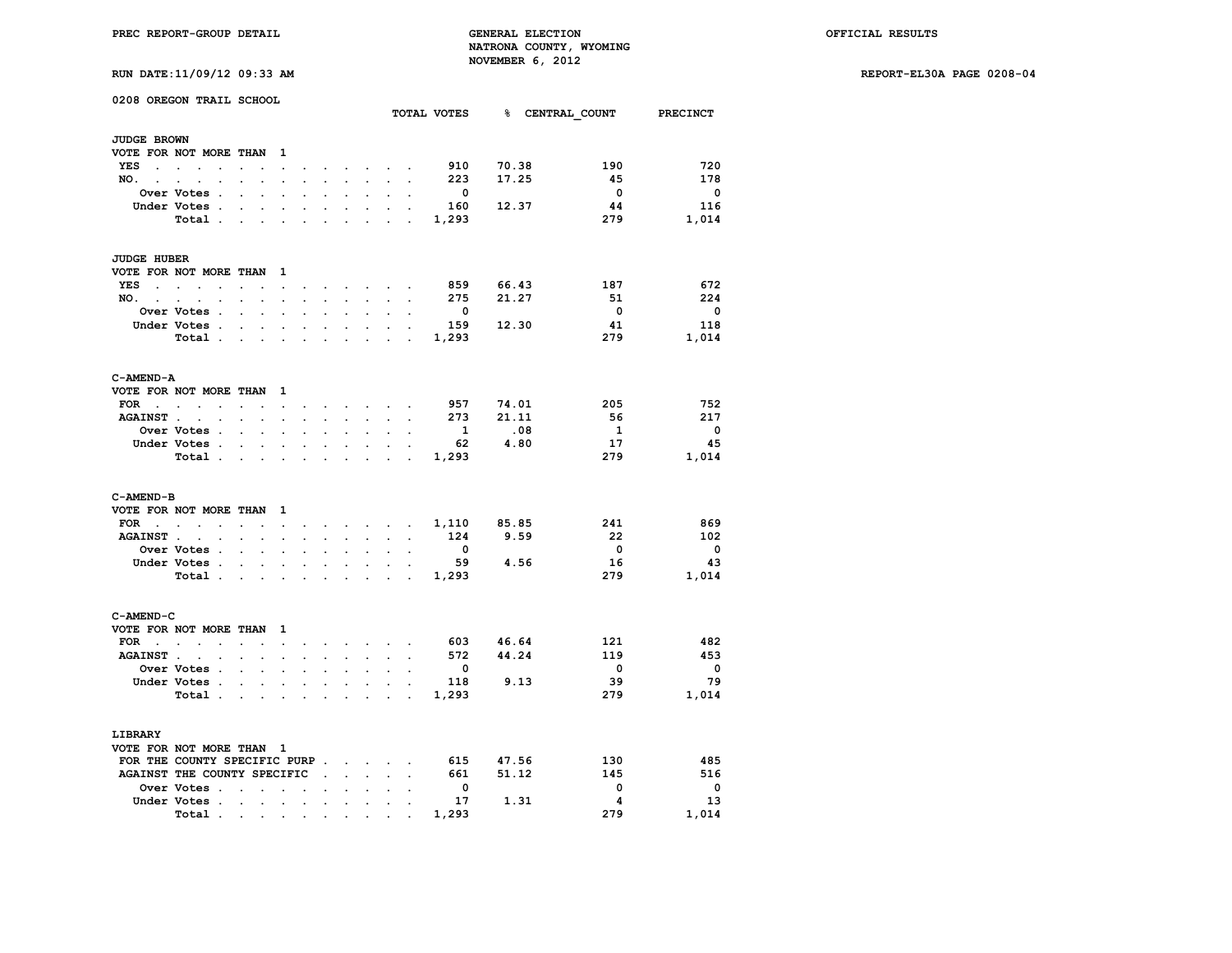**PREC REPORT-GROUP DETAIL GENERAL ELECTION OFFICIAL RESULTS NATRONA COUNTY, WYOMING NOVEMBER 6, 2012**<br>*P*-11/09/12 09:33 **N** 

|  |  | RUN DATE:11/09/12 09:33 AM |  |  |  |
|--|--|----------------------------|--|--|--|
|--|--|----------------------------|--|--|--|

|                                 | 0208 OREGON TRAIL SCHOOL                                            |                                  |                      |                      |                      |                                 |                      |                      |                | TOTAL VOTES              |           | % CENTRAL COUNT          | <b>PRECINCT</b>          |
|---------------------------------|---------------------------------------------------------------------|----------------------------------|----------------------|----------------------|----------------------|---------------------------------|----------------------|----------------------|----------------|--------------------------|-----------|--------------------------|--------------------------|
| <b>JUDGE BROWN</b>              |                                                                     |                                  |                      |                      |                      |                                 |                      |                      |                |                          |           |                          |                          |
|                                 | VOTE FOR NOT MORE THAN                                              |                                  | $\mathbf{1}$         |                      |                      |                                 |                      |                      |                |                          |           |                          |                          |
| YES<br>$\sim$                   | $\sim$<br>$\ddot{\phantom{a}}$                                      |                                  |                      |                      |                      |                                 |                      |                      |                | 910                      | 70.38     | 190                      | 720                      |
| NO. .                           | $\sim$<br>$\bullet$                                                 |                                  | $\cdot$              | $\ddot{\phantom{0}}$ | $\ddot{\phantom{0}}$ | $\ddot{\phantom{0}}$            | $\ddot{\phantom{a}}$ | $\ddot{\phantom{a}}$ | $\overline{a}$ | 223                      | 17.25     | -45                      | 178                      |
|                                 | Over Votes .                                                        |                                  |                      |                      |                      |                                 |                      |                      |                | $\overline{\phantom{0}}$ |           | $\overline{\phantom{0}}$ | $\overline{\mathbf{0}}$  |
|                                 | Under Votes.                                                        |                                  |                      |                      |                      |                                 |                      |                      |                | 160                      | 12.37     | 44                       | 116                      |
|                                 | Total.                                                              |                                  |                      |                      |                      |                                 |                      |                      |                | 1,293                    |           | 279                      | 1,014                    |
|                                 |                                                                     |                                  |                      |                      |                      |                                 |                      |                      |                |                          |           |                          |                          |
| <b>JUDGE HUBER</b>              |                                                                     |                                  |                      |                      |                      |                                 |                      |                      |                |                          |           |                          |                          |
|                                 | VOTE FOR NOT MORE THAN                                              |                                  | -1                   |                      |                      |                                 |                      |                      |                |                          |           |                          |                          |
| YES<br>$\mathbf{r}$             | $\sim$                                                              |                                  | $\ddot{\phantom{a}}$ |                      |                      |                                 |                      |                      |                | 859                      | 66.43     | 187                      | 672                      |
| NO.<br><b>Contract Contract</b> | $\bullet$<br>$\ddot{\phantom{a}}$                                   | $\ddot{\phantom{0}}$             | $\cdot$              | $\ddot{\phantom{a}}$ | $\ddot{\phantom{0}}$ | $\cdot$                         | $\bullet$            | $\ddot{\phantom{a}}$ | $\cdot$        | 275                      | 21.27     | 51                       | 224                      |
|                                 | Over Votes .                                                        |                                  |                      |                      |                      |                                 |                      |                      |                | $\overline{\mathbf{0}}$  |           | $\overline{\mathbf{0}}$  | $\overline{\mathbf{0}}$  |
|                                 | Under Votes .                                                       | $\cdot$                          | $\cdot$              | $\ddot{\phantom{a}}$ |                      | $\cdot$                         | $\cdot$              |                      |                | 159                      | 12.30     | 41                       | 118                      |
|                                 | Total.                                                              | $\cdot$<br>$\ddot{\phantom{a}}$  |                      |                      | $\overline{a}$       |                                 |                      |                      |                | 1,293                    |           | 279                      | 1,014                    |
| C-AMEND-A                       |                                                                     |                                  |                      |                      |                      |                                 |                      |                      |                |                          |           |                          |                          |
|                                 | VOTE FOR NOT MORE THAN                                              |                                  | 1                    |                      |                      |                                 |                      |                      |                |                          |           |                          |                          |
| FOR<br><b>Contract Contract</b> | $\sim$<br>$\ddot{\phantom{0}}$                                      | $\ddot{\phantom{a}}$             | $\ddot{\phantom{0}}$ |                      |                      |                                 |                      |                      |                | 957                      | 74.01     | 205                      | 752                      |
| <b>AGAINST.</b>                 | $\ddot{\phantom{a}}$                                                |                                  |                      |                      |                      |                                 |                      |                      |                | 273                      | 21.11     | 56                       | 217                      |
|                                 | Over Votes .                                                        |                                  |                      |                      |                      |                                 |                      |                      |                | 1                        | .08       | $\mathbf{1}$             | 0                        |
|                                 | Under Votes .                                                       | $\overline{a}$<br>$\bullet$      | $\ddot{\phantom{0}}$ | $\ddot{\phantom{0}}$ | $\overline{a}$       | $\overline{a}$                  | $\ddot{\phantom{0}}$ |                      |                | 62                       | 4.80      | 17                       | 45                       |
|                                 | Total .                                                             | $\overline{a}$<br>$\mathbf{r}$   |                      | $\overline{a}$       |                      |                                 |                      | ÷                    | s.             | 1,293                    |           | 279                      | 1,014                    |
| C-AMEND-B                       |                                                                     |                                  |                      |                      |                      |                                 |                      |                      |                |                          |           |                          |                          |
|                                 | VOTE FOR NOT MORE THAN                                              |                                  | 1                    |                      |                      |                                 |                      |                      |                |                          |           |                          |                          |
| FOR                             | <b>Contract Contract Contract</b><br>$\sim$<br>$\ddot{\phantom{0}}$ |                                  | $\bullet$            | $\ddot{\phantom{0}}$ | $\ddot{\phantom{0}}$ | $\ddot{\phantom{a}}$            |                      | <b>All Cards</b>     | $\cdot$        | 1,110                    | 85.85     | 241                      | 869                      |
| <b>AGAINST.</b>                 |                                                                     |                                  |                      |                      |                      |                                 |                      |                      |                | 124                      | 9.59      | - 22                     | 102                      |
|                                 | Over Votes .                                                        | $\overline{a}$<br>$\overline{a}$ | $\overline{a}$       |                      |                      |                                 | $\cdot$              |                      |                | $\mathbf{0}$             |           | $\overline{\phantom{0}}$ | $\overline{\mathbf{0}}$  |
|                                 | Under Votes .                                                       |                                  |                      |                      |                      |                                 |                      |                      |                | 59                       | 4.56      | 16                       | 43                       |
|                                 | Total.                                                              |                                  |                      |                      |                      |                                 |                      |                      |                | 1,293                    |           | 279                      | 1,014                    |
| C-AMEND-C                       |                                                                     |                                  |                      |                      |                      |                                 |                      |                      |                |                          |           |                          |                          |
|                                 | VOTE FOR NOT MORE THAN                                              |                                  | 1                    |                      |                      |                                 |                      |                      |                |                          |           |                          |                          |
| $FOR \t . \t .$                 |                                                                     |                                  | $\ddot{\phantom{a}}$ |                      |                      |                                 | $\cdot$              |                      |                |                          | 603 46.64 | 121                      | 482                      |
| <b>AGAINST.</b>                 | $\ddot{\phantom{a}}$                                                |                                  |                      |                      |                      |                                 |                      |                      |                | 572                      | 44.24     | 119                      | 453                      |
|                                 | Over Votes .                                                        | $\ddot{\phantom{a}}$             | $\ddot{\phantom{a}}$ | $\ddot{\phantom{0}}$ |                      |                                 | $\ddot{\phantom{a}}$ |                      |                | $\mathbf 0$              |           | $\overline{\mathbf{0}}$  | $\overline{\mathbf{0}}$  |
|                                 | Under Votes .                                                       |                                  |                      |                      |                      |                                 |                      |                      |                | 118                      | 9.13      | 39                       | 79                       |
|                                 | Total.                                                              |                                  |                      |                      |                      |                                 |                      |                      |                | 1,293                    |           | 279                      | 1,014                    |
|                                 |                                                                     |                                  |                      |                      |                      |                                 |                      |                      |                |                          |           |                          |                          |
| LIBRARY                         |                                                                     |                                  |                      |                      |                      |                                 |                      |                      |                |                          |           |                          |                          |
|                                 | VOTE FOR NOT MORE THAN 1                                            |                                  |                      |                      |                      |                                 |                      |                      |                |                          |           |                          |                          |
|                                 | FOR THE COUNTY SPECIFIC PURP.                                       |                                  |                      |                      |                      | $\sim$                          | $\sim$               |                      |                | 615                      | 47.56     | 130                      | 485                      |
|                                 | AGAINST THE COUNTY SPECIFIC                                         |                                  |                      |                      | $\overline{a}$       |                                 | $\ddot{\phantom{0}}$ | $\ddot{\phantom{a}}$ |                | 661                      | 51.12     | 145                      | 516                      |
|                                 | Over Votes.                                                         |                                  |                      |                      |                      |                                 |                      |                      |                | $\mathbf{0}$             |           | 0                        | $\overline{\phantom{0}}$ |
|                                 | Under Votes .                                                       | $\cdot$<br>$\cdot$               | $\cdot$              | $\ddot{\phantom{0}}$ | $\ddot{\phantom{a}}$ | $\bullet$                       | $\cdot$              |                      |                | 17                       | 1.31      | 4                        | 13                       |
|                                 | Total.                                                              | the contract of the contract of  |                      | $\bullet$            |                      | the contract of the contract of |                      |                      |                | 1,293                    |           | 279                      | 1,014                    |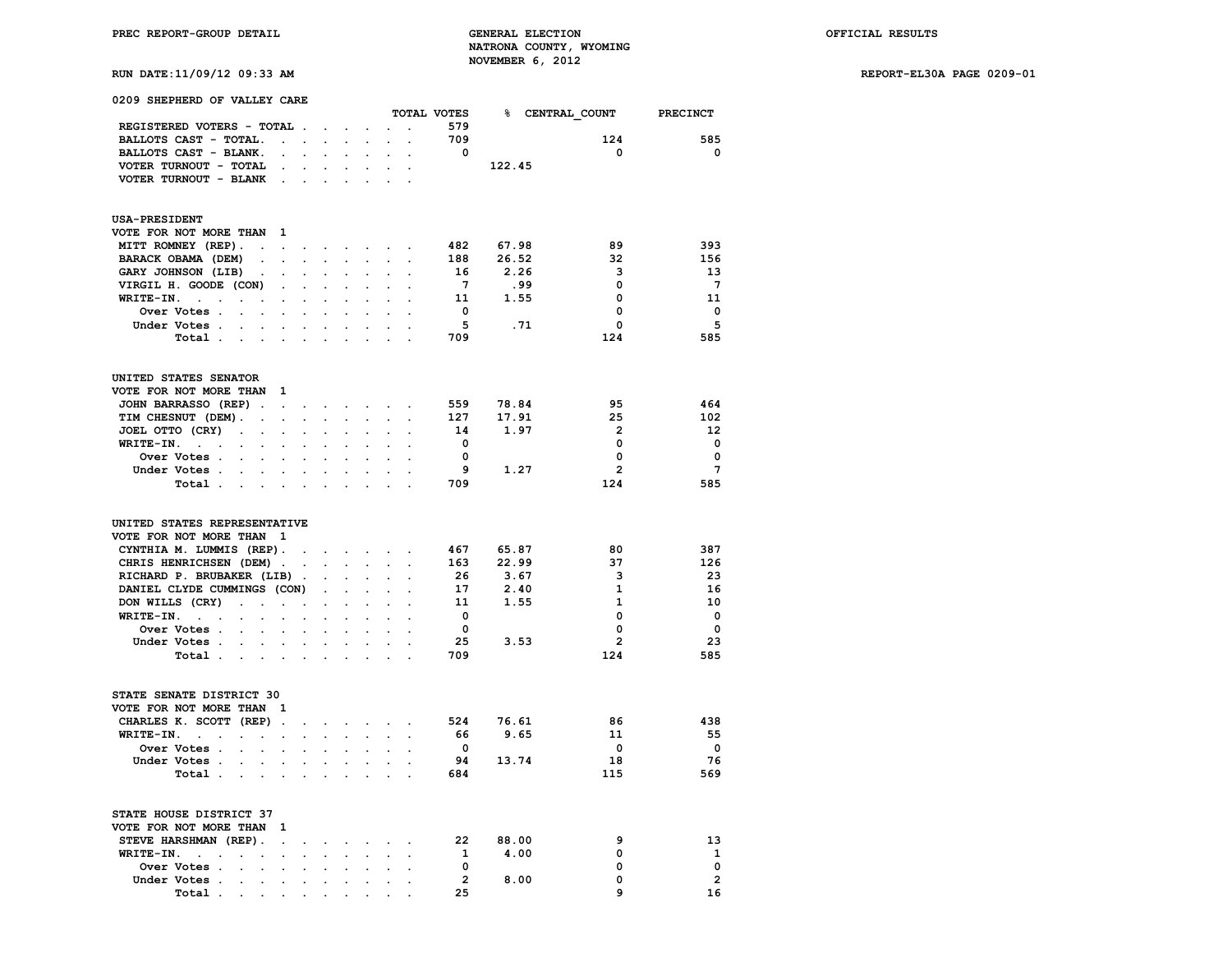| 0209 SHEPHERD OF VALLEY CARE                                                                                                                                                                                                                                                                                               |                          |                                                      |                                                              |                            |                                               |                            |                      | TOTAL VOTES                                                                                     |                                                | % CENTRAL COUNT PRECINCT                                                        |                                                                                                  |
|----------------------------------------------------------------------------------------------------------------------------------------------------------------------------------------------------------------------------------------------------------------------------------------------------------------------------|--------------------------|------------------------------------------------------|--------------------------------------------------------------|----------------------------|-----------------------------------------------|----------------------------|----------------------|-------------------------------------------------------------------------------------------------|------------------------------------------------|---------------------------------------------------------------------------------|--------------------------------------------------------------------------------------------------|
| REGISTERED VOTERS - TOTAL .                                                                                                                                                                                                                                                                                                |                          |                                                      |                                                              |                            |                                               |                            |                      | 579                                                                                             |                                                |                                                                                 |                                                                                                  |
|                                                                                                                                                                                                                                                                                                                            |                          |                                                      |                                                              | $\sim 100$ km s $^{-1}$    |                                               | $\mathcal{L}^{\text{max}}$ | $\ddot{\phantom{a}}$ |                                                                                                 |                                                |                                                                                 |                                                                                                  |
| BALLOTS CAST - TOTAL.                                                                                                                                                                                                                                                                                                      | <b>Contract Contract</b> |                                                      | $\ddot{\phantom{a}}$                                         | $\mathcal{L}^{\text{max}}$ | $\ddot{\phantom{0}}$                          |                            | $\sim$ $\sim$        | 709                                                                                             |                                                | 124                                                                             | 585                                                                                              |
| BALLOTS CAST - BLANK.                                                                                                                                                                                                                                                                                                      | $\ddot{\phantom{0}}$     | $\mathbf{r}$                                         |                                                              |                            |                                               |                            |                      | $\overline{\mathbf{0}}$                                                                         |                                                | $\overline{\mathbf{0}}$                                                         | $\overline{\mathbf{0}}$                                                                          |
| VOTER TURNOUT - TOTAL                                                                                                                                                                                                                                                                                                      | $\sim$                   | $\ddot{\phantom{0}}$                                 | $\ddot{\phantom{a}}$                                         |                            | $\ddot{\phantom{a}}$                          | $\ddot{\phantom{a}}$       | $\ddot{\phantom{a}}$ |                                                                                                 | 122.45                                         |                                                                                 |                                                                                                  |
| VOTER TURNOUT - BLANK<br>$\ddot{\phantom{0}}$                                                                                                                                                                                                                                                                              |                          | $\ddot{\phantom{0}}$                                 |                                                              |                            |                                               |                            |                      |                                                                                                 |                                                |                                                                                 |                                                                                                  |
| <b>USA-PRESIDENT</b>                                                                                                                                                                                                                                                                                                       |                          |                                                      |                                                              |                            |                                               |                            |                      |                                                                                                 |                                                |                                                                                 |                                                                                                  |
| VOTE FOR NOT MORE THAN 1                                                                                                                                                                                                                                                                                                   |                          |                                                      |                                                              |                            |                                               |                            |                      |                                                                                                 |                                                |                                                                                 |                                                                                                  |
| MITT ROMNEY (REP).                                                                                                                                                                                                                                                                                                         | $\cdot$                  |                                                      | $\ddot{\phantom{0}}$                                         | $\ddot{\phantom{0}}$       | $\sim$                                        |                            |                      | 482                                                                                             | 67.98                                          | 89                                                                              | 393                                                                                              |
| BARACK OBAMA (DEM)<br>$\sim$ $\sim$                                                                                                                                                                                                                                                                                        | $\blacksquare$           | $\cdot$                                              | $\ddot{\phantom{0}}$                                         | $\ddot{\phantom{0}}$       | $\mathcal{L}_{\text{max}}$                    | $\sim 10^{-1}$             | $\bullet$            | 188                                                                                             | 26.52                                          | 32                                                                              | 156                                                                                              |
| GARY JOHNSON (LIB).                                                                                                                                                                                                                                                                                                        | $\ddot{\phantom{a}}$     |                                                      |                                                              |                            |                                               |                            |                      | 16                                                                                              | 2.26                                           | 3                                                                               | -13                                                                                              |
| VIRGIL H. GOODE (CON)                                                                                                                                                                                                                                                                                                      | $\ddot{\phantom{a}}$     | $\ddot{\phantom{a}}$                                 | $\overline{a}$                                               |                            | $\ddot{\phantom{0}}$                          | $\overline{a}$             | $\ddot{\phantom{a}}$ | $7\overline{ }$                                                                                 | .99                                            | 0                                                                               | $7\overline{ }$                                                                                  |
| WRITE-IN.<br>$\sim$<br>$\ddot{\phantom{0}}$                                                                                                                                                                                                                                                                                | $\ddot{\phantom{a}}$     | $\ddot{\phantom{0}}$                                 | $\ddot{\phantom{a}}$                                         | $\mathbf{r}$               | $\mathbf{r}$                                  | $\mathbf{r}$               |                      | 11                                                                                              | 1.55                                           | 0                                                                               | -11                                                                                              |
| Over Votes .<br>$\sim$<br>$\sim$                                                                                                                                                                                                                                                                                           |                          |                                                      |                                                              |                            | $\ddot{\phantom{0}}$                          |                            | $\ddot{\phantom{a}}$ | $\mathbf{0}$                                                                                    |                                                | 0                                                                               | $\mathbf{o}$                                                                                     |
| Under Votes                                                                                                                                                                                                                                                                                                                |                          |                                                      | $\sim$                                                       |                            |                                               |                            |                      | 5                                                                                               | .71                                            | $\mathbf 0$                                                                     | 5                                                                                                |
| Total<br>$\ddot{\phantom{a}}$                                                                                                                                                                                                                                                                                              |                          |                                                      |                                                              |                            |                                               |                            |                      | 709                                                                                             |                                                | 124                                                                             | 585                                                                                              |
|                                                                                                                                                                                                                                                                                                                            |                          |                                                      |                                                              |                            |                                               |                            |                      |                                                                                                 |                                                |                                                                                 |                                                                                                  |
| UNITED STATES SENATOR                                                                                                                                                                                                                                                                                                      |                          |                                                      |                                                              |                            |                                               |                            |                      |                                                                                                 |                                                |                                                                                 |                                                                                                  |
| VOTE FOR NOT MORE THAN 1                                                                                                                                                                                                                                                                                                   |                          |                                                      |                                                              |                            |                                               |                            |                      |                                                                                                 |                                                |                                                                                 |                                                                                                  |
| JOHN BARRASSO (REP).                                                                                                                                                                                                                                                                                                       | $\sim$                   | $\ddot{\phantom{0}}$                                 |                                                              |                            |                                               | the company of the company | $\bullet$            | 559                                                                                             | 78.84                                          | 95                                                                              | 464                                                                                              |
| TIM CHESNUT (DEM).<br>$\ddot{\phantom{a}}$                                                                                                                                                                                                                                                                                 | $\mathbf{r}$             | $\ddot{\phantom{0}}$                                 | $\overline{a}$                                               | $\mathbf{L}$               | $\mathbf{r}$                                  | $\sim$                     |                      | 127                                                                                             | 17.91                                          | 25                                                                              | 102                                                                                              |
| JOEL OTTO (CRY)<br>$\sim$<br>$\bullet$                                                                                                                                                                                                                                                                                     | $\ddot{\phantom{a}}$     | $\ddot{\phantom{a}}$                                 | $\ddot{\phantom{a}}$                                         |                            | $\cdot$                                       | $\cdot$                    | $\cdot$              | 14                                                                                              | 1.97                                           | $\overline{2}$                                                                  | 12                                                                                               |
| WRITE-IN.                                                                                                                                                                                                                                                                                                                  |                          |                                                      |                                                              |                            |                                               |                            |                      | $\overline{\mathbf{0}}$                                                                         |                                                | $\mathbf 0$                                                                     | $\mathbf 0$                                                                                      |
| Over Votes .<br>$\sim$                                                                                                                                                                                                                                                                                                     |                          |                                                      |                                                              |                            |                                               |                            |                      | $\mathbf 0$                                                                                     |                                                | 0                                                                               | $\mathbf 0$                                                                                      |
| Under Votes                                                                                                                                                                                                                                                                                                                |                          | $\sim$ $\sim$                                        |                                                              | $\sim$ $\sim$              | $\sim$                                        |                            |                      | - 9                                                                                             | 1.27                                           | $\overline{2}$                                                                  | $7\phantom{.0}$                                                                                  |
| Total                                                                                                                                                                                                                                                                                                                      |                          |                                                      |                                                              |                            |                                               |                            |                      | 709                                                                                             |                                                | 124                                                                             | 585                                                                                              |
| UNITED STATES REPRESENTATIVE<br>VOTE FOR NOT MORE THAN 1<br>CYNTHIA M. LUMMIS (REP).<br>CHRIS HENRICHSEN (DEM).<br>RICHARD P. BRUBAKER (LIB).<br>DANIEL CLYDE CUMMINGS (CON)<br>DON WILLS (CRY)<br>$\ddot{\phantom{a}}$<br>$\ddot{\phantom{0}}$<br>$\sim$<br>$WRITE-IN.$<br>Over Votes .<br>$\sim$<br>Under Votes<br>Total |                          | $\sim$<br>$\cdot$<br>$\cdot$<br>$\ddot{\phantom{0}}$ | $\mathbf{r}$<br>$\ddot{\phantom{0}}$<br>$\ddot{\phantom{0}}$ | $\bullet$ .                | $\sim$<br>$\ddot{\phantom{a}}$<br>$\bullet$ . | the contract of the con-   | $\ddotsc$            | 467<br>163<br>26<br>17<br>11<br>$\overline{\mathbf{0}}$<br>$\overline{\mathbf{0}}$<br>25<br>709 | 65.87<br>22.99<br>3.67<br>2.40<br>1.55<br>3.53 | 80<br>37<br>3<br>1<br>$\mathbf{1}$<br>0<br>$\mathbf 0$<br>$\overline{2}$<br>124 | 387<br>126<br>23<br>16<br>10<br>$\overline{\phantom{0}}$<br>$\overline{\mathbf{0}}$<br>23<br>585 |
| STATE SENATE DISTRICT 30                                                                                                                                                                                                                                                                                                   |                          |                                                      |                                                              |                            |                                               |                            |                      |                                                                                                 |                                                |                                                                                 |                                                                                                  |
| VOTE FOR NOT MORE THAN 1                                                                                                                                                                                                                                                                                                   |                          |                                                      |                                                              |                            |                                               |                            |                      |                                                                                                 |                                                |                                                                                 |                                                                                                  |
| CHARLES K. SCOTT (REP).                                                                                                                                                                                                                                                                                                    |                          | $\ddot{\phantom{a}}$                                 | $\ddot{\phantom{0}}$                                         | $\sim$                     | $\ddot{\phantom{0}}$                          | $\sim$                     | $\ddot{\phantom{a}}$ | 524                                                                                             | 76.61                                          | 86                                                                              | 438                                                                                              |
| $WRITE-IN.$<br>$\sim$<br>$\sim$                                                                                                                                                                                                                                                                                            | $\ddot{\phantom{a}}$     | $\ddot{\phantom{0}}$                                 | $\ddot{\phantom{0}}$                                         | $\ddot{\phantom{0}}$       | $\ddot{\phantom{0}}$                          |                            |                      | - 66                                                                                            | 9.65                                           | 11                                                                              | 55                                                                                               |
| Over Votes .                                                                                                                                                                                                                                                                                                               |                          |                                                      |                                                              |                            |                                               |                            |                      | $\overline{\mathbf{0}}$                                                                         |                                                | $\mathbf 0$                                                                     | $\overline{\mathbf{0}}$                                                                          |
| Under Votes.                                                                                                                                                                                                                                                                                                               |                          | $\ddot{\phantom{0}}$                                 |                                                              | $\ddot{\phantom{0}}$       | $\ddot{\phantom{0}}$                          |                            |                      | 94                                                                                              | 13.74                                          | 18                                                                              | 76                                                                                               |
| Total .<br>$\sim$ $-$<br>$\mathcal{L}_{\mathrm{max}}$                                                                                                                                                                                                                                                                      | $\ddot{\phantom{a}}$     |                                                      |                                                              |                            |                                               |                            |                      | 684                                                                                             |                                                | 115                                                                             | 569                                                                                              |
| STATE HOUSE DISTRICT 37<br>VOTE FOR NOT MORE THAN<br>- 1                                                                                                                                                                                                                                                                   |                          |                                                      |                                                              |                            |                                               |                            |                      |                                                                                                 |                                                |                                                                                 |                                                                                                  |
| STEVE HARSHMAN (REP).                                                                                                                                                                                                                                                                                                      | $\cdot$                  |                                                      |                                                              |                            |                                               |                            |                      | -22                                                                                             | 88.00                                          | 9                                                                               | 13                                                                                               |
| WRITE-IN.<br>$\ddot{\phantom{a}}$<br>$\bullet$                                                                                                                                                                                                                                                                             |                          |                                                      |                                                              |                            |                                               |                            |                      | $\mathbf{1}$                                                                                    | 4.00                                           | 0                                                                               | 1                                                                                                |
| Over Votes .                                                                                                                                                                                                                                                                                                               |                          |                                                      |                                                              |                            |                                               |                            |                      | $\overline{\mathbf{0}}$                                                                         |                                                | 0                                                                               | $\mathbf 0$                                                                                      |
| Under Votes.<br>$\ddot{\phantom{a}}$<br>$\sim$                                                                                                                                                                                                                                                                             | $\ddot{\phantom{a}}$     | $\ddot{\phantom{a}}$                                 | $\ddot{\phantom{a}}$                                         | $\ddot{\phantom{a}}$       | $\sim$                                        |                            | $\sim$ $\sim$        | $\overline{2}$                                                                                  | 8.00                                           | 0                                                                               | $\overline{2}$                                                                                   |
| Total.                                                                                                                                                                                                                                                                                                                     |                          |                                                      |                                                              |                            |                                               |                            |                      | 25                                                                                              |                                                | 9                                                                               | 16                                                                                               |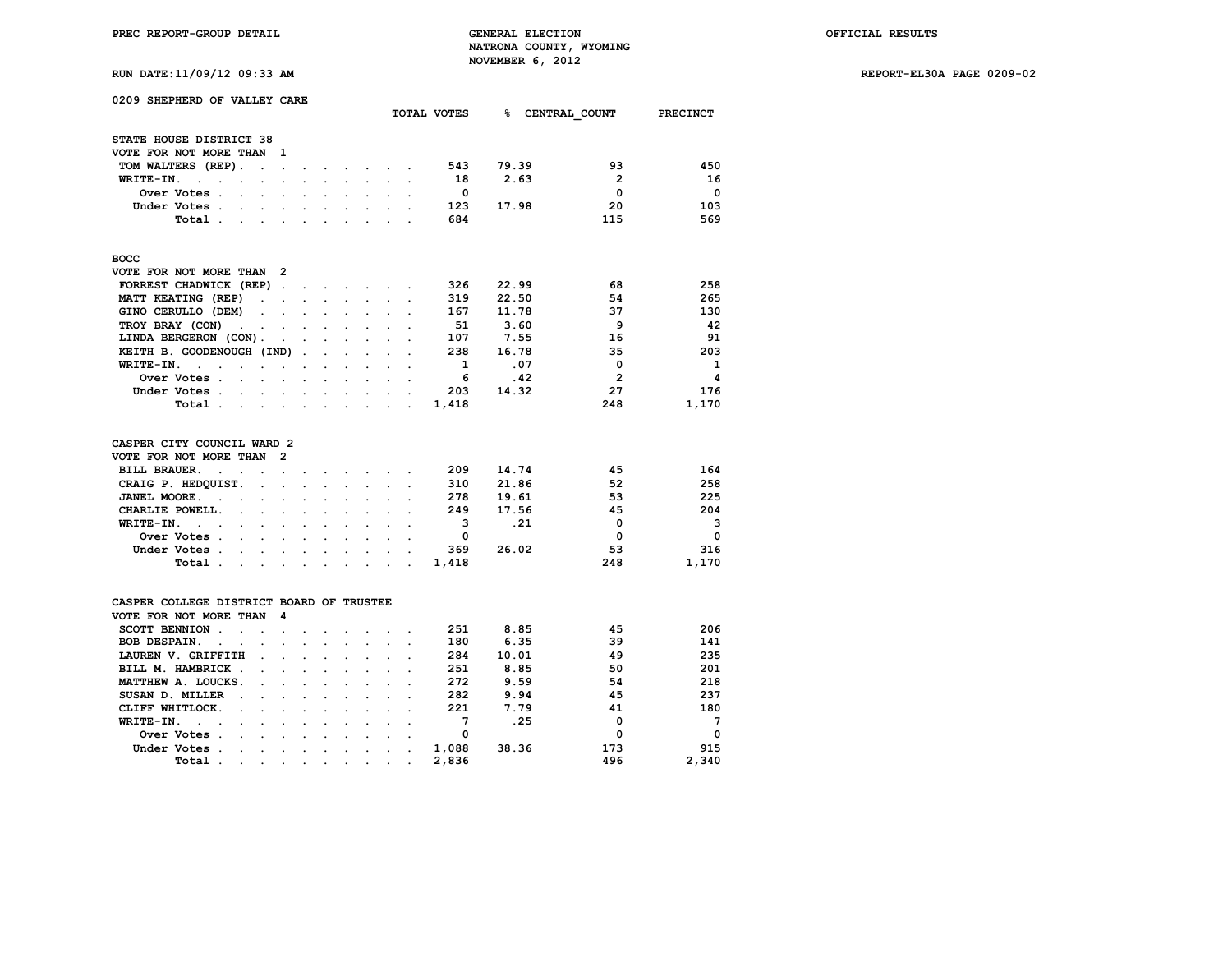**RUN DATE:11/09/12 09:33 AM REPORT-EL30A PAGE 0209-02**

| 0209 SHEPHERD OF VALLEY CARE                                                      |                                                                      |                      |                             |                      |                      |                      |              |       |                |             |
|-----------------------------------------------------------------------------------|----------------------------------------------------------------------|----------------------|-----------------------------|----------------------|----------------------|----------------------|--------------|-------|----------------|-------------|
|                                                                                   |                                                                      |                      |                             |                      |                      |                      | TOTAL VOTES  | 용 .   | CENTRAL COUNT  | PRECINCT    |
| STATE HOUSE DISTRICT 38                                                           |                                                                      |                      |                             |                      |                      |                      |              |       |                |             |
| VOTE FOR NOT MORE THAN                                                            | 1                                                                    |                      |                             |                      |                      |                      |              |       |                |             |
| TOM WALTERS (REP).<br>$\ddot{\phantom{0}}$                                        | $\ddot{\phantom{a}}$<br>$\ddot{\phantom{a}}$                         | $\blacksquare$       | $\sim$                      |                      | $\sim$ $\sim$        | $\ddot{\phantom{a}}$ | 543          | 79.39 | 93             | 450         |
| WRITE-IN.<br>$\ddot{\phantom{a}}$<br>$\ddot{\phantom{a}}$                         | $\ddot{\phantom{0}}$<br>$\overline{a}$                               | $\cdot$              | $\ddot{\phantom{0}}$        | $\ddot{\phantom{0}}$ |                      |                      | 18           | 2.63  | $\overline{2}$ | 16          |
| Over Votes .<br>$\ddot{\phantom{a}}$<br>$\ddot{\phantom{0}}$                      | $\ddot{\phantom{0}}$<br>$\ddot{\phantom{0}}$                         | $\ddot{\phantom{a}}$ | $\ddot{\phantom{a}}$        | $\ddot{\phantom{a}}$ | $\ddot{\phantom{0}}$ | $\ddot{\phantom{0}}$ | - 0          |       | 0              | $\mathbf 0$ |
| Under Votes .<br>$\ddot{\phantom{0}}$                                             | $\ddot{\phantom{a}}$                                                 |                      | $\ddot{\phantom{0}}$        |                      |                      |                      | 123          | 17.98 | 20             | 103         |
| Total.<br>$\ddot{\phantom{0}}$                                                    | $\sim$<br>$\ddot{\phantom{0}}$<br>$\sim$                             | $\bullet$            | $\sim$                      | $\ddot{\phantom{a}}$ | $\ddot{\phantom{a}}$ |                      | 684          |       | 115            | 569         |
| <b>BOCC</b>                                                                       |                                                                      |                      |                             |                      |                      |                      |              |       |                |             |
| VOTE FOR NOT MORE THAN                                                            | 2                                                                    |                      |                             |                      |                      |                      |              |       |                |             |
|                                                                                   |                                                                      |                      |                             |                      |                      |                      | 326          | 22.99 | 68             | 258         |
| FORREST CHADWICK (REP).                                                           |                                                                      | $\ddot{\phantom{0}}$ |                             |                      |                      |                      |              |       | 54             |             |
| MATT KEATING (REP)<br>$\ddot{\phantom{a}}$                                        | $\ddot{\phantom{0}}$<br>$\ddot{\phantom{0}}$                         | $\ddot{\phantom{0}}$ | $\mathcal{L}^{\mathcal{L}}$ | $\ddot{\phantom{a}}$ | $\ddot{\phantom{a}}$ | $\ddot{\phantom{0}}$ | 319          | 22.50 | 37             | 265         |
| GINO CERULLO (DEM)<br>$\ddot{\phantom{0}}$                                        | $\ddot{\phantom{0}}$<br>$\ddot{\phantom{0}}$                         | $\ddot{\phantom{a}}$ |                             |                      |                      |                      | 167          | 11.78 |                | 130         |
| TROY BRAY (CON)<br>$\ddot{\phantom{0}}$                                           | $\ddot{\phantom{0}}$<br>$\ddot{\phantom{0}}$                         | $\blacksquare$       | $\ddot{\phantom{a}}$        | $\ddot{\phantom{a}}$ | $\ddot{\phantom{0}}$ | $\ddot{\phantom{0}}$ | 51           | 3.60  | 9              | 42          |
| LINDA BERGERON (CON).                                                             | $\cdot$<br>$\ddot{\phantom{0}}$                                      | $\cdot$              | $\ddot{\phantom{a}}$        | $\overline{a}$       |                      |                      | 107          | 7.55  | 16             | 91          |
| KEITH B. GOODENOUGH (IND)                                                         | $\blacksquare$ .                                                     | $\ddot{\phantom{a}}$ | $\ddot{\phantom{a}}$        | $\ddot{\phantom{a}}$ | $\ddot{\phantom{a}}$ | $\ddot{\phantom{0}}$ | 238          | 16.78 | 35             | 203         |
| WRITE-IN.<br>$\ddot{\phantom{0}}$<br>$\ddot{\phantom{a}}$<br>$\ddot{\phantom{0}}$ | $\overline{a}$                                                       |                      |                             |                      |                      |                      | $\mathbf{1}$ | .07   | $\mathbf 0$    | 1           |
| Over Votes.<br>$\ddot{\phantom{a}}$                                               | $\sim$<br>$\ddot{\phantom{0}}$<br>$\ddot{\phantom{0}}$               | $\bullet$            | $\ddot{\phantom{a}}$        | $\ddot{\phantom{a}}$ | $\bullet$            | $\ddot{\phantom{0}}$ | 6            | .42   | $\overline{2}$ | 4           |
| Under Votes.                                                                      | $\ddot{\phantom{0}}$<br>$\sim$<br>$\sim$                             | $\sim$               | $\sim$                      | $\ddot{\phantom{a}}$ | $\ddot{\phantom{a}}$ |                      | 203          | 14.32 | 27             | 176         |
| Total.<br>$\ddot{\phantom{0}}$                                                    | $\ddot{\phantom{0}}$<br>$\sim$<br>$\ddot{\phantom{0}}$               | $\sim$               | $\sim$                      | $\ddot{\phantom{a}}$ | $\ddot{\phantom{0}}$ | $\ddot{\phantom{a}}$ | 1,418        |       | 248            | 1,170       |
| CASPER CITY COUNCIL WARD 2                                                        |                                                                      |                      |                             |                      |                      |                      |              |       |                |             |
| VOTE FOR NOT MORE THAN                                                            | $\overline{2}$                                                       |                      |                             |                      |                      |                      |              |       |                |             |
| BILL BRAUER.<br>$\ddot{\phantom{0}}$<br>$\ddot{\phantom{a}}$                      | $\bullet$<br>$\cdot$                                                 | $\bullet$            |                             | $\ddot{\phantom{a}}$ |                      |                      | 209          | 14.74 | 45             | 164         |
| CRAIG P. HEDQUIST.<br>$\ddot{\phantom{0}}$                                        | $\ddot{\phantom{a}}$<br>$\mathbf{L}^{\text{max}}$                    | $\ddot{\phantom{a}}$ | $\ddot{\phantom{0}}$        | $\ddot{\phantom{0}}$ | $\ddot{\phantom{0}}$ | $\ddot{\phantom{0}}$ | 310          | 21.86 | 52             | 258         |
| JANEL MOORE.<br>$\sim$                                                            | $\mathbf{r}$<br>$\ddot{\phantom{0}}$                                 | $\cdot$              | $\ddot{\phantom{a}}$        | $\overline{a}$       |                      |                      | 278          | 19.61 | 53             | 225         |
| CHARLIE POWELL.<br>$\ddot{\phantom{0}}$                                           | $\sim$<br>$\ddot{\phantom{0}}$                                       | $\bullet$            | $\bullet$                   | $\ddot{\phantom{a}}$ | $\ddot{\phantom{0}}$ |                      | 249          | 17.56 | 45             | 204         |
| WRITE-IN.<br>$\cdot$<br>$\sim$ $\sim$                                             |                                                                      | $\cdot$              |                             |                      |                      |                      | 3            | .21   | $\mathbf 0$    | 3           |
| Over Votes .<br>$\ddot{\phantom{a}}$                                              | $\ddot{\phantom{a}}$<br>$\ddot{\phantom{0}}$                         | $\bullet$            | $\bullet$                   | $\ddot{\phantom{a}}$ | $\ddot{\phantom{0}}$ |                      | 0            |       | 0              | $\mathbf 0$ |
| Under Votes .                                                                     | and in<br>$\mathbf{r}$<br>$\sim$                                     | $\bullet$            | $\ddot{\phantom{0}}$        | $\ddot{\phantom{a}}$ | $\ddot{\phantom{a}}$ |                      | 369          | 26.02 | 53             | 316         |
| Total.<br>$\bullet$ .                                                             | $\ddot{\phantom{0}}$<br>$\bullet$<br>$\sim$                          | $\bullet$            | $\bullet$ .                 | $\bullet$            | $\ddot{\phantom{0}}$ | $\bullet$            | 1,418        |       | 248            | 1,170       |
|                                                                                   |                                                                      |                      |                             |                      |                      |                      |              |       |                |             |
| CASPER COLLEGE DISTRICT BOARD OF TRUSTEE                                          |                                                                      |                      |                             |                      |                      |                      |              |       |                |             |
| VOTE FOR NOT MORE THAN                                                            | 4                                                                    |                      |                             |                      |                      |                      |              |       |                |             |
| SCOTT BENNION .<br>$\ddot{\phantom{a}}$<br>$\overline{a}$                         | $\ddot{\phantom{a}}$                                                 |                      |                             |                      |                      |                      | 251          | 8.85  | 45             | 206         |
| <b>BOB DESPAIN.</b><br>$\ddot{\phantom{0}}$<br>$\ddot{\phantom{0}}$<br>$\bullet$  | $\sim$<br>$\sim$                                                     | $\bullet$            | $\ddot{\phantom{0}}$        | $\ddot{\phantom{0}}$ | $\cdot$              | $\ddot{\phantom{0}}$ | 180          | 6.35  | 39             | 141         |
| LAUREN V. GRIFFITH                                                                | $\ddot{\phantom{0}}$                                                 | $\ddot{\phantom{a}}$ | $\ddot{\phantom{a}}$        | $\ddot{\phantom{a}}$ |                      |                      | 284          | 10.01 | 49             | 235         |
| BILL M. HAMBRICK.                                                                 | $\ddot{\phantom{a}}$                                                 | $\ddot{\phantom{a}}$ | $\bullet$                   | $\ddot{\phantom{a}}$ | $\ddot{\phantom{0}}$ |                      | 251          | 8.85  | 50             | 201         |
| MATTHEW A. LOUCKS.                                                                |                                                                      |                      |                             |                      |                      |                      | 272          | 9.59  | 54             | 218         |
| SUSAN D. MILLER                                                                   | $\ddot{\phantom{0}}$                                                 | $\bullet$            | $\cdot$                     | $\ddot{\phantom{0}}$ | $\ddot{\phantom{0}}$ |                      | 282          | 9.94  | 45             | 237         |
| CLIFF WHITLOCK.                                                                   | $\overline{a}$                                                       |                      | $\overline{a}$              |                      |                      |                      | 221          | 7.79  | 41             | 180         |
| WRITE-IN.<br>$\overline{a}$<br>$\sim$<br>$\ddot{\phantom{0}}$                     | $\ddot{\phantom{0}}$<br>$\ddot{\phantom{0}}$<br>$\ddot{\phantom{0}}$ | $\blacksquare$       | $\cdot$                     | $\ddot{\phantom{a}}$ | $\ddot{\phantom{0}}$ | $\ddot{\phantom{0}}$ | 7            | .25   | 0              | 7           |
| Over Votes.<br>$\cdot$                                                            | $\ddot{\phantom{a}}$                                                 | $\ddot{\phantom{a}}$ |                             |                      |                      |                      | 0            |       | 0              | 0           |
| Under Votes .<br>$\sim 100$<br>$\bullet$                                          | $\bullet$<br>$\bullet$                                               | $\bullet$            |                             |                      |                      |                      | 1,088        | 38.36 | 173            | 915         |
|                                                                                   |                                                                      |                      |                             |                      |                      |                      |              |       |                |             |

 **Total . . . . . . . . . . 2,836 496 2,340**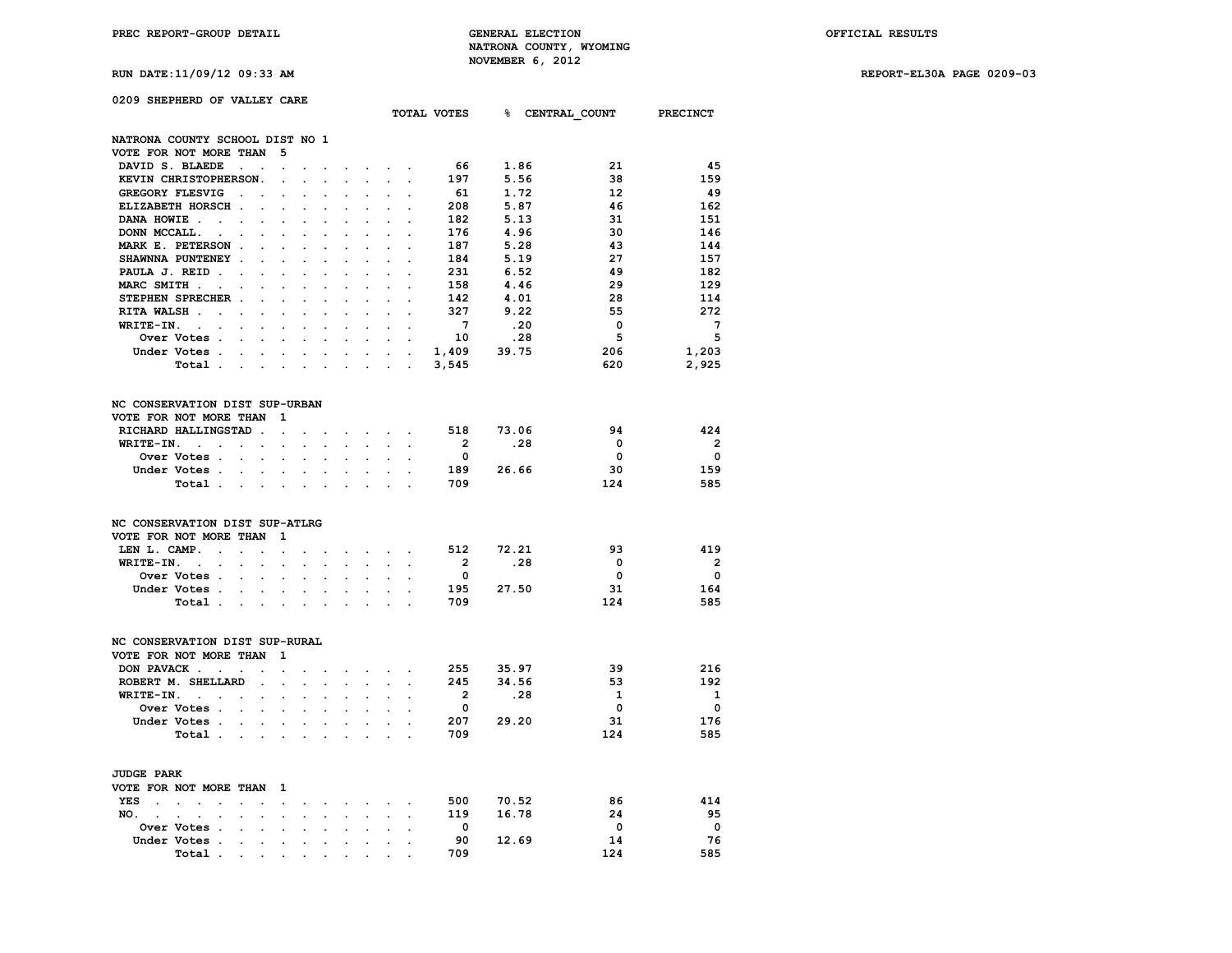**RUN DATE:11/09/12 09:33 AM REPORT-EL30A PAGE 0209-03**

|  | 0209 SHEPHERD OF VALLEY CARE |  |  |  |  |
|--|------------------------------|--|--|--|--|
|--|------------------------------|--|--|--|--|

|                                                           |                                                                                                                 |                      |                      |                                    |                      |                                                                 |                      |                      | TOTAL VOTES             | % CENTRAL_COUNT PRECINCT |                         |                          |
|-----------------------------------------------------------|-----------------------------------------------------------------------------------------------------------------|----------------------|----------------------|------------------------------------|----------------------|-----------------------------------------------------------------|----------------------|----------------------|-------------------------|--------------------------|-------------------------|--------------------------|
| NATRONA COUNTY SCHOOL DIST NO 1                           |                                                                                                                 |                      |                      |                                    |                      |                                                                 |                      |                      |                         |                          |                         |                          |
| VOTE FOR NOT MORE THAN                                    |                                                                                                                 | - 5                  |                      |                                    |                      |                                                                 |                      |                      |                         |                          |                         |                          |
| DAVID S. BLAEDE<br>$\sim 100$ km s $^{-1}$                | $\ddot{\phantom{a}}$                                                                                            | $\sim$               |                      |                                    |                      |                                                                 |                      |                      | 66                      | 1.86                     | 21                      | 45                       |
| KEVIN CHRISTOPHERSON.                                     |                                                                                                                 | $\cdot$              | $\mathbf{r}$         | $\ddot{\phantom{a}}$               | $\ddot{\phantom{a}}$ | $\ddot{\phantom{0}}$                                            | $\ddot{\phantom{0}}$ | $\ddot{\phantom{a}}$ | 197                     | 5.56                     | 38                      | 159                      |
| <b>GREGORY FLESVIG</b>                                    | $\mathcal{L}^{\text{max}}$                                                                                      |                      |                      |                                    |                      |                                                                 |                      |                      | - 61                    | 1.72                     | 12                      | -49                      |
| ELIZABETH HORSCH.                                         |                                                                                                                 |                      |                      | $\ddot{\phantom{a}}$               | $\ddot{\phantom{a}}$ |                                                                 |                      |                      | 208                     | 5.87                     | 46                      | 162                      |
| DANA HOWIE.<br>$\mathcal{L}^{\text{max}}$                 | $\cdot$                                                                                                         |                      | $\overline{a}$       | $\ddot{\phantom{a}}$               | $\ddot{\phantom{a}}$ | $\ddot{\phantom{a}}$                                            |                      |                      | 182                     | 5.13                     | 31                      | 151                      |
| DONN MCCALL.                                              |                                                                                                                 |                      |                      |                                    |                      |                                                                 |                      |                      | 176                     | 4.96                     | 30                      | 146                      |
| MARK E. PETERSON.                                         | s.                                                                                                              |                      |                      | $\ddot{\phantom{0}}$               | $\overline{a}$       |                                                                 |                      | s.                   | 187                     | 5.28                     | 43                      | 144                      |
| SHAWNNA PUNTENEY .                                        | $\ddot{\phantom{a}}$                                                                                            |                      |                      | $\cdot$                            | $\ddot{\phantom{a}}$ | $\ddot{\phantom{a}}$                                            |                      |                      | 184                     | 5.19                     | 27                      | 157                      |
| PAULA J. REID                                             |                                                                                                                 |                      |                      |                                    |                      |                                                                 |                      |                      | 231                     | 6.52                     | 49                      | 182                      |
| MARC SMITH<br>$\sim$                                      | $\sim$                                                                                                          | $\mathbf{r}$         | $\mathbf{r}$         | $\sim$                             | $\overline{a}$       | $\overline{a}$                                                  |                      | $\mathbf{r}$         | 158                     | 4.46                     | 29                      | 129                      |
| STEPHEN SPRECHER.                                         |                                                                                                                 |                      |                      | $\cdot$                            | $\ddot{\phantom{a}}$ | $\ddot{\phantom{a}}$                                            |                      |                      | 142                     | 4.01                     | 28                      | 114                      |
| RITA WALSH                                                |                                                                                                                 |                      |                      |                                    |                      |                                                                 |                      |                      | 327                     | 9.22                     | 55                      | 272                      |
| WRITE-IN.<br><b>Contract Contract</b>                     | $\sim$                                                                                                          | $\mathbf{r}$         | $\overline{a}$       | $\ddot{\phantom{0}}$               | $\overline{a}$       | $\ddot{\phantom{0}}$                                            | $\mathbf{r}$         | $\sim$               | $7^{\circ}$             | .20                      | $\mathbf 0$             | $\overline{7}$           |
| Over Votes .                                              | $\mathcal{L}^{\text{max}}$<br>$\ddot{\phantom{0}}$                                                              |                      |                      |                                    | $\overline{a}$       | $\ddot{\phantom{0}}$                                            | $\ddot{\phantom{0}}$ |                      | 10                      | .28                      | 5                       | 5                        |
| Under Votes                                               |                                                                                                                 |                      |                      |                                    |                      |                                                                 |                      |                      | 1,409                   | 39.75                    | 206                     | 1,203                    |
|                                                           |                                                                                                                 |                      |                      | $\ddot{\phantom{0}}$               |                      | $\ddot{\phantom{a}}$                                            |                      |                      |                         |                          |                         |                          |
| Total                                                     |                                                                                                                 | $\sim$               | $\ddot{\phantom{a}}$ | $\mathcal{L}^{\text{max}}$         | $\ddot{\phantom{a}}$ | $\ddot{\phantom{a}}$                                            | $\mathbf{L}$         | $\mathbb{Z}^2$       | 3,545                   |                          | 620                     | 2,925                    |
| NC CONSERVATION DIST SUP-URBAN                            |                                                                                                                 |                      |                      |                                    |                      |                                                                 |                      |                      |                         |                          |                         |                          |
| VOTE FOR NOT MORE THAN                                    |                                                                                                                 | $\mathbf{1}$         |                      |                                    |                      |                                                                 |                      |                      |                         |                          |                         |                          |
| RICHARD HALLINGSTAD .                                     |                                                                                                                 | $\sim$               |                      |                                    |                      | the company of the com-                                         |                      |                      |                         | 518 73.06                | 94                      | 424                      |
| WRITE-IN.<br><b>Contract Contract</b>                     | $\mathbf{L} = \mathbf{L}$                                                                                       | $\mathcal{L}^{\pm}$  | $\ddot{\phantom{a}}$ | $\ddotsc$                          | $\sim$               | $\sim$                                                          |                      | $\sim$ $\sim$        | $\overline{2}$          | .28                      | $\overline{\mathbf{0}}$ | $\overline{\phantom{0}}$ |
| Over Votes .                                              | $\mathbf{r}$ . The set of $\mathbf{r}$                                                                          | $\mathbf{r}$         |                      |                                    |                      | $\ddot{\phantom{a}}$                                            | $\mathbf{r}$         |                      | $\overline{\mathbf{0}}$ |                          | $\Omega$                | $\overline{\phantom{0}}$ |
| Under Votes                                               |                                                                                                                 | $\ddot{\phantom{a}}$ |                      |                                    |                      |                                                                 |                      |                      | 189                     | 26.66                    | 30                      | 159                      |
| Total                                                     |                                                                                                                 |                      | $\blacksquare$       | $\bullet$                          | $\ddot{\phantom{a}}$ | $\ddot{\phantom{0}}$                                            | $\sim$               | $\overline{a}$       | 709                     |                          | 124                     | 585                      |
|                                                           |                                                                                                                 |                      |                      |                                    |                      |                                                                 |                      |                      |                         |                          |                         |                          |
| NC CONSERVATION DIST SUP-ATLRG                            |                                                                                                                 |                      |                      |                                    |                      |                                                                 |                      |                      |                         |                          |                         |                          |
| VOTE FOR NOT MORE THAN                                    |                                                                                                                 | $\mathbf{1}$         |                      |                                    |                      |                                                                 |                      |                      |                         |                          |                         |                          |
| LEN L. CAMP. .<br>$\sim 10^{-11}$                         | $\sim$                                                                                                          | $\mathbf{r}$         |                      | $\ddot{\phantom{0}}$               |                      | $\mathbf{r} = \mathbf{r}$ and $\mathbf{r} = \mathbf{r}$         |                      |                      | 512                     | 72.21                    | 93                      | 419                      |
| WRITE-IN.<br><b>Contract Contract Contract</b>            | $\ddot{\phantom{0}}$<br>$\sim$                                                                                  | $\ddot{\phantom{0}}$ | $\ddot{\phantom{a}}$ | $\mathcal{L}^{\text{max}}$         | $\ddot{\phantom{0}}$ | $\ddot{\phantom{0}}$                                            | $\mathbf{r}$         | $\ddot{\phantom{a}}$ | $\overline{2}$          | .28                      | $\mathbf{0}$            | $\overline{\phantom{0}}$ |
| Over Votes .                                              | $\mathbf{L}^{\text{max}}$<br>$\sim$                                                                             | $\ddot{\phantom{0}}$ |                      |                                    |                      | $\ddot{\phantom{0}}$                                            |                      |                      | $\overline{\mathbf{0}}$ |                          | $\mathbf 0$             | $\mathbf 0$              |
| Under Votes                                               | $\sim$                                                                                                          | $\sim$               |                      | $\ddot{\phantom{0}}$               |                      |                                                                 |                      |                      | 195                     | 27.50                    | 31                      | 164                      |
| Total                                                     |                                                                                                                 |                      | $\ddot{\phantom{a}}$ | $\ddot{\phantom{a}}$               | $\ddot{\phantom{0}}$ | $\ddot{\phantom{a}}$                                            |                      |                      | 709                     |                          | 124                     | 585                      |
|                                                           |                                                                                                                 |                      |                      |                                    |                      |                                                                 |                      |                      |                         |                          |                         |                          |
| NC CONSERVATION DIST SUP-RURAL                            |                                                                                                                 |                      |                      |                                    |                      |                                                                 |                      |                      |                         |                          |                         |                          |
| VOTE FOR NOT MORE THAN                                    |                                                                                                                 | $\mathbf{1}$         |                      |                                    |                      |                                                                 |                      |                      |                         |                          |                         |                          |
| DON PAVACK                                                | $\ddot{\phantom{a}}$                                                                                            | $\blacksquare$       | $\ddot{\phantom{a}}$ | $\ddot{\phantom{a}}$               |                      | <b>Contract Contract</b>                                        | $\sim$               | $\ddot{\phantom{a}}$ | 255                     | 35.97                    | 39                      | 216                      |
| ROBERT M. SHELLARD                                        | <b>Contract</b>                                                                                                 | $\ddot{\phantom{0}}$ | $\sim$               | $\mathbb{Z}^{\mathbb{Z}^{\times}}$ | $\ddot{\phantom{a}}$ | $\ddot{\phantom{0}}$                                            | $\ddot{\phantom{0}}$ | $\ddot{\phantom{a}}$ | 245                     | 34.56                    | 53                      | 192                      |
| $WRITE-TN.$                                               | $\ddot{\phantom{a}}$                                                                                            | $\ddot{\phantom{0}}$ | $\overline{a}$       |                                    |                      | $\mathbf{r}$                                                    |                      |                      | $\overline{\mathbf{2}}$ | .28                      | $\mathbf{1}$            | $\mathbf{1}$             |
| Over Votes                                                | $\sim$                                                                                                          | $\mathbf{r}$         |                      |                                    |                      |                                                                 |                      |                      | $\mathbf{0}$            |                          | $\mathbf{0}$            | $\overline{\mathbf{0}}$  |
| Under Votes.                                              | $\sim$<br>$\mathcal{L}^{\text{max}}$                                                                            | $\ddot{\phantom{0}}$ | $\ddot{\phantom{a}}$ | $\sim$                             | $\ddot{\phantom{0}}$ | $\ddot{\phantom{0}}$                                            | $\ddot{\phantom{a}}$ | $\ddot{\phantom{a}}$ | 207                     | 29.20                    | 31                      | 176                      |
| Total.                                                    | the contract of the contract of the contract of the contract of the contract of the contract of the contract of |                      |                      |                                    |                      | $\mathbf{r}$                                                    | $\mathbf{L}$         |                      | 709                     |                          | 124                     | 585                      |
| <b>JUDGE PARK</b>                                         |                                                                                                                 |                      |                      |                                    |                      |                                                                 |                      |                      |                         |                          |                         |                          |
| VOTE FOR NOT MORE THAN                                    |                                                                                                                 | <sup>1</sup>         |                      |                                    |                      |                                                                 |                      |                      |                         |                          |                         |                          |
| YES<br>$\sim$ $\sim$ $\sim$<br>$\mathcal{L}^{\text{max}}$ | $\mathbf{z} = \mathbf{z}$ .                                                                                     | $\Box$               | $\cdot$              |                                    |                      | $\mathbf{z}$ and $\mathbf{z}$ are $\mathbf{z}$ and $\mathbf{z}$ |                      | $\bullet$            | 500                     | 70.52                    | 86                      | 414                      |
| NO.<br>$\overline{a}$                                     | $\sim$<br>$\mathbf{r}$                                                                                          | $\ddot{\phantom{a}}$ |                      | s.                                 |                      |                                                                 |                      |                      | 119                     | 16.78                    | 24                      | 95                       |
| Over Votes .<br>$\sim 10^{-11}$                           | $\ddot{\phantom{a}}$                                                                                            | $\bullet$            | $\ddot{\phantom{a}}$ | $\ddot{\phantom{0}}$               | $\ddot{\phantom{0}}$ | $\ddot{\phantom{0}}$                                            | $\sim$               | $\ddot{\phantom{a}}$ | $\mathbf 0$             |                          | $\mathbf 0$             | $\mathbf 0$              |
| Under Votes .                                             |                                                                                                                 |                      |                      |                                    |                      |                                                                 |                      |                      | 90                      | 12.69                    | 14                      | 76                       |

 **Total . . . . . . . . . . 709 124 585**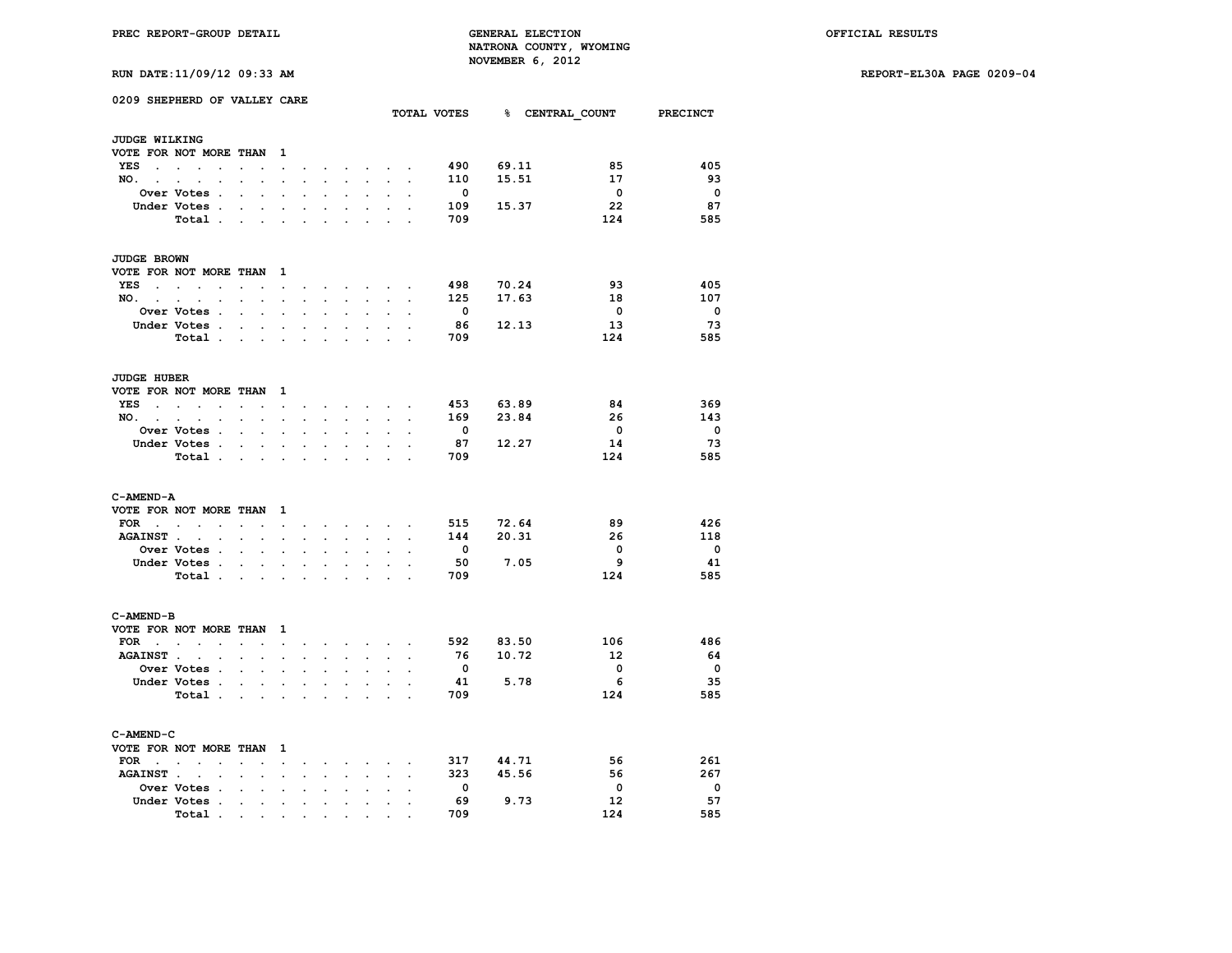**RUN DATE:11/09/12 09:33 AM REPORT-EL30A PAGE 0209-04**

| <b>RUN DATE:11/09/12 09:33 AM</b> |  |  |
|-----------------------------------|--|--|
|                                   |  |  |

|                             | 0209 SHEPHERD OF VALLEY CARE                           |                                                       |                                            |                          |                      |                      |                           |                                          |                      |                          | TOTAL VOTES 8 CENTRAL COUNT |                         | <b>PRECINCT</b>         |
|-----------------------------|--------------------------------------------------------|-------------------------------------------------------|--------------------------------------------|--------------------------|----------------------|----------------------|---------------------------|------------------------------------------|----------------------|--------------------------|-----------------------------|-------------------------|-------------------------|
| JUDGE WILKING               |                                                        |                                                       |                                            |                          |                      |                      |                           |                                          |                      |                          |                             |                         |                         |
|                             | VOTE FOR NOT MORE THAN                                 |                                                       | $\mathbf{1}$                               |                          |                      |                      |                           |                                          |                      |                          |                             |                         |                         |
| YES<br>$\sim$               | $\ddot{\phantom{a}}$<br>$\mathbf{r}$                   |                                                       | $\cdot$                                    |                          |                      |                      | $\ddot{\phantom{0}}$      |                                          |                      | 490                      | 69.11                       | 85                      | 405                     |
| NO.                         | $\sim$                                                 | $\ddot{\phantom{a}}$<br>$\ddot{\phantom{0}}$          | $\ddot{\phantom{0}}$                       | $\ddot{\phantom{0}}$     | $\sim$               | $\ddot{\phantom{0}}$ | $\mathbf{L}^{\text{max}}$ | $\ddot{\phantom{0}}$                     | $\cdot$              | 110                      | 15.51                       | 17                      | 93                      |
|                             | Over Votes .                                           |                                                       |                                            |                          |                      |                      |                           |                                          |                      | $\overline{\phantom{0}}$ |                             | $\overline{\mathbf{0}}$ | $\overline{\mathbf{0}}$ |
|                             | Under Votes.                                           | $\cdot$                                               | $\cdot$                                    | $\ddot{\phantom{a}}$     |                      |                      | $\ddot{\phantom{0}}$      |                                          |                      | 109                      | 15.37                       | 22                      | 87                      |
|                             | Total .                                                | $\blacksquare$<br>$\bullet$                           |                                            |                          |                      |                      |                           |                                          |                      | 709                      |                             | 124                     | 585                     |
|                             |                                                        |                                                       |                                            |                          |                      |                      |                           |                                          |                      |                          |                             |                         |                         |
| JUDGE BROWN                 |                                                        |                                                       |                                            |                          |                      |                      |                           |                                          |                      |                          |                             |                         |                         |
|                             | VOTE FOR NOT MORE THAN 1                               |                                                       |                                            |                          |                      |                      |                           |                                          |                      |                          |                             |                         |                         |
| YES<br>$\sim$               | $\sim$<br>$\sim$                                       |                                                       | $\ddot{\phantom{0}}$                       |                          | $\ddot{\phantom{0}}$ | $\ddot{\phantom{0}}$ | $\ddot{\phantom{0}}$      |                                          |                      | 498                      | 70.24                       | 93                      | 405                     |
| NO.                         | $\ddot{\phantom{0}}$                                   | $\ddot{\phantom{0}}$<br>$\ddot{\phantom{0}}$          | $\sim$                                     | $\ddot{\phantom{0}}$     | $\ddot{\phantom{0}}$ | $\ddot{\phantom{0}}$ | $\ddot{\phantom{0}}$      | $\ddot{\phantom{0}}$                     | $\ddot{\phantom{a}}$ | 125                      | 17.63                       | 18                      | 107                     |
|                             | Over Votes .                                           |                                                       |                                            |                          |                      |                      |                           |                                          |                      | $\mathbf{0}$             |                             | $\overline{\mathbf{0}}$ | $\overline{\mathbf{0}}$ |
|                             | Under Votes .                                          | $\bullet$ .                                           | $\overline{a}$                             | $\ddot{\phantom{0}}$     |                      |                      | $\mathbf{r}$              |                                          |                      | 86                       | 12.13                       | 13                      | 73                      |
|                             | Total .                                                | $\sim$                                                | $\mathbf{r} = \mathbf{r} \cdot \mathbf{r}$ | $\ddot{\phantom{0}}$     | $\ddot{\phantom{0}}$ | $\overline{a}$       | $\overline{a}$            | $\overline{a}$                           |                      | 709                      |                             | 124                     | 585                     |
| <b>JUDGE HUBER</b>          |                                                        |                                                       |                                            |                          |                      |                      |                           |                                          |                      |                          |                             |                         |                         |
|                             | VOTE FOR NOT MORE THAN                                 |                                                       | - 1                                        |                          |                      |                      |                           |                                          |                      |                          |                             |                         |                         |
| YES<br>$\ddot{\phantom{0}}$ | $\sim$<br>$\sim$<br>$\cdot$                            | $\cdot$<br>$\bullet$                                  | $\blacksquare$                             | $\ddot{\phantom{a}}$     | $\ddot{\phantom{a}}$ | $\sim$               | $\sim$                    | $\sim$                                   | $\cdot$              | 453                      | 63.89                       | 84                      | 369                     |
| NO.<br>$\sim$               | $\mathbf{r}$<br>$\ddot{\phantom{a}}$<br>$\overline{a}$ | $\overline{a}$                                        | $\overline{a}$                             |                          |                      |                      |                           |                                          |                      | 169                      | 23.84                       | 26                      | 143                     |
|                             | Over Votes .                                           | $\ddot{\phantom{a}}$<br>$\mathbf{r}$                  |                                            |                          |                      |                      |                           |                                          |                      | $\mathbf{0}$             |                             | $\mathbf{0}$            | $\mathbf{0}$            |
|                             | Under Votes .                                          | $\ddot{\phantom{a}}$<br>$\bullet$                     | $\ddot{\phantom{a}}$                       | $\ddot{\phantom{a}}$     | $\ddot{\phantom{0}}$ | $\ddot{\phantom{0}}$ | $\ddot{\phantom{a}}$      | $\ddot{\phantom{0}}$                     |                      | 87                       | 12.27                       | 14                      | 73                      |
|                             | Total .                                                | $\mathbf{r} = \mathbf{r}$ , $\mathbf{r} = \mathbf{r}$ |                                            |                          |                      |                      |                           |                                          |                      | 709                      |                             | 124                     | 585                     |
| C-AMEND-A                   |                                                        |                                                       |                                            |                          |                      |                      |                           |                                          |                      |                          |                             |                         |                         |
|                             | VOTE FOR NOT MORE THAN                                 |                                                       | 1                                          |                          |                      |                      |                           |                                          |                      |                          |                             |                         |                         |
| FOR                         | the contract of the con-                               | $\sim$ $\sim$                                         | $\ddot{\phantom{0}}$                       | $\ddot{\phantom{0}}$     | $\bullet$            | $\sim$               |                           | $\mathbf{r} = \mathbf{r} + \mathbf{r}$ . |                      | 515                      | 72.64                       | 89                      | 426                     |
| <b>AGAINST</b> .            | $\mathcal{L}^{\text{max}}$<br>$\cdot$                  |                                                       |                                            |                          |                      |                      |                           |                                          |                      | 144                      | 20.31                       | 26                      | 118                     |
|                             | Over Votes .                                           |                                                       |                                            |                          |                      |                      |                           |                                          |                      | $\mathbf{0}$             |                             | 0                       | $\overline{\mathbf{0}}$ |
|                             | Under Votes .                                          | $\bullet$<br>$\bullet$                                | $\cdot$                                    | $\cdot$                  | $\cdot$              | $\cdot$              | $\ddot{\phantom{a}}$      | $\cdot$                                  |                      | 50                       | 7.05                        | 9                       | 41                      |
|                             | Total .                                                | <b>Contract</b><br>$\bullet$                          |                                            |                          |                      |                      |                           |                                          |                      | 709                      |                             | 124                     | 585                     |
| C-AMEND-B                   |                                                        |                                                       |                                            |                          |                      |                      |                           |                                          |                      |                          |                             |                         |                         |
|                             | VOTE FOR NOT MORE THAN                                 |                                                       | 1                                          |                          |                      |                      |                           |                                          |                      |                          |                             |                         |                         |
|                             | $FOR \t{.} \t{.} \t{.}$                                | $\overline{a}$                                        | $\ddot{\phantom{a}}$                       | $\overline{\phantom{a}}$ | $\ddot{\phantom{a}}$ | $\sim$               | $\sim$                    |                                          | $\overline{a}$       | 592                      | 83.50                       | 106                     | 486                     |
| <b>AGAINST</b> .            | $\ddot{\phantom{0}}$<br>$\ddot{\phantom{a}}$           | $\cdot$<br>$\ddot{\phantom{a}}$                       | $\ddot{\phantom{a}}$                       | $\ddot{\phantom{a}}$     | $\ddot{\phantom{a}}$ | $\overline{a}$       | $\cdot$                   | $\cdot$                                  |                      | 76                       | 10.72                       | 12                      | 64                      |
|                             | Over Votes .                                           | $\ddot{\phantom{a}}$<br>$\ddot{\phantom{0}}$          | $\ddot{\phantom{a}}$                       | $\ddot{\phantom{0}}$     |                      | $\ddot{\phantom{0}}$ | $\ddot{\phantom{a}}$      | $\ddot{\phantom{a}}$                     |                      | $\overline{\mathbf{0}}$  |                             | 0                       | $\overline{\mathbf{0}}$ |
|                             | Under Votes .                                          | $\overline{a}$                                        | $\sim$ $\sim$                              |                          |                      |                      |                           |                                          |                      | 41                       | 5.78                        | - 6                     | -35                     |
|                             | Total .                                                | $\ddot{\phantom{a}}$<br>$\sim$                        | $\ddot{\phantom{a}}$                       | $\ddot{\phantom{a}}$     |                      |                      | $\cdot$                   | $\overline{a}$                           |                      | 709                      |                             | 124                     | 585                     |
|                             |                                                        |                                                       |                                            |                          |                      |                      |                           |                                          |                      |                          |                             |                         |                         |
| C-AMEND-C                   |                                                        |                                                       |                                            |                          |                      |                      |                           |                                          |                      |                          |                             |                         |                         |
|                             | VOTE FOR NOT MORE THAN                                 |                                                       | 1                                          |                          |                      |                      |                           |                                          |                      |                          |                             |                         |                         |
| FOR                         | $\ddot{\phantom{a}}$                                   |                                                       | $\cdot$                                    |                          |                      |                      |                           |                                          |                      | 317                      | 44.71                       | 56                      | 261                     |
| <b>AGAINST.</b>             |                                                        |                                                       |                                            |                          |                      |                      |                           |                                          |                      | 323                      | 45.56                       | 56                      | 267                     |
|                             | Over Votes .                                           | $\cdot$                                               | $\ddot{\phantom{a}}$                       |                          |                      |                      | $\ddot{\phantom{a}}$      |                                          |                      | $\Omega$                 |                             | 0                       | $\mathbf{0}$            |
|                             | Under Votes .                                          | $\cdot$<br>$\cdot$                                    | $\ddot{\phantom{a}}$                       |                          |                      |                      |                           |                                          |                      | 69                       | 9.73                        | 12                      | 57                      |
|                             | Total .                                                |                                                       |                                            |                          |                      |                      |                           |                                          |                      | 709                      |                             | 124                     | 585                     |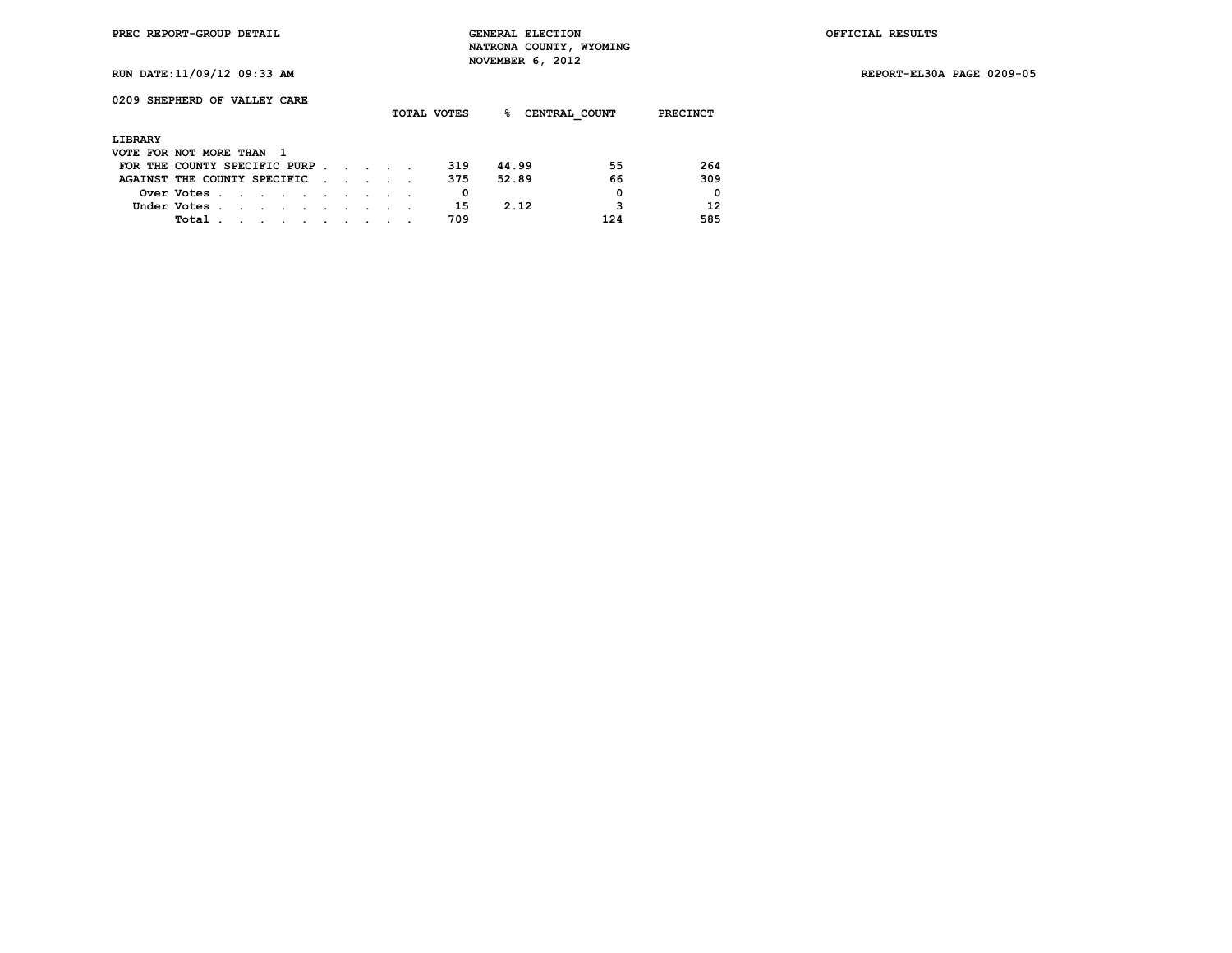**RUN DATE:11/09/12 09:33 AM REPORT-EL30A PAGE 0209-05**

| 0209 SHEPHERD OF VALLEY CARE  |             |         |        |  |  |  | TOTAL VOTES | ℁     | CENTRAL COUNT | PRECINCT    |
|-------------------------------|-------------|---------|--------|--|--|--|-------------|-------|---------------|-------------|
| LIBRARY                       |             |         |        |  |  |  |             |       |               |             |
| VOTE FOR NOT MORE THAN        |             |         | - 1    |  |  |  |             |       |               |             |
| FOR THE COUNTY SPECIFIC PURP. |             |         |        |  |  |  | 319         | 44.99 | 55            | 264         |
| AGAINST THE COUNTY SPECIFIC   |             |         |        |  |  |  | 375         | 52.89 | 66            | 309         |
|                               | Over Votes. | $\cdot$ | $\sim$ |  |  |  | 0           |       | 0             | $\mathbf 0$ |
| Under Votes                   |             | $\cdot$ |        |  |  |  | 15          | 2.12  | з             | 12          |
|                               | Total       |         |        |  |  |  | 709         |       | 124           | 585         |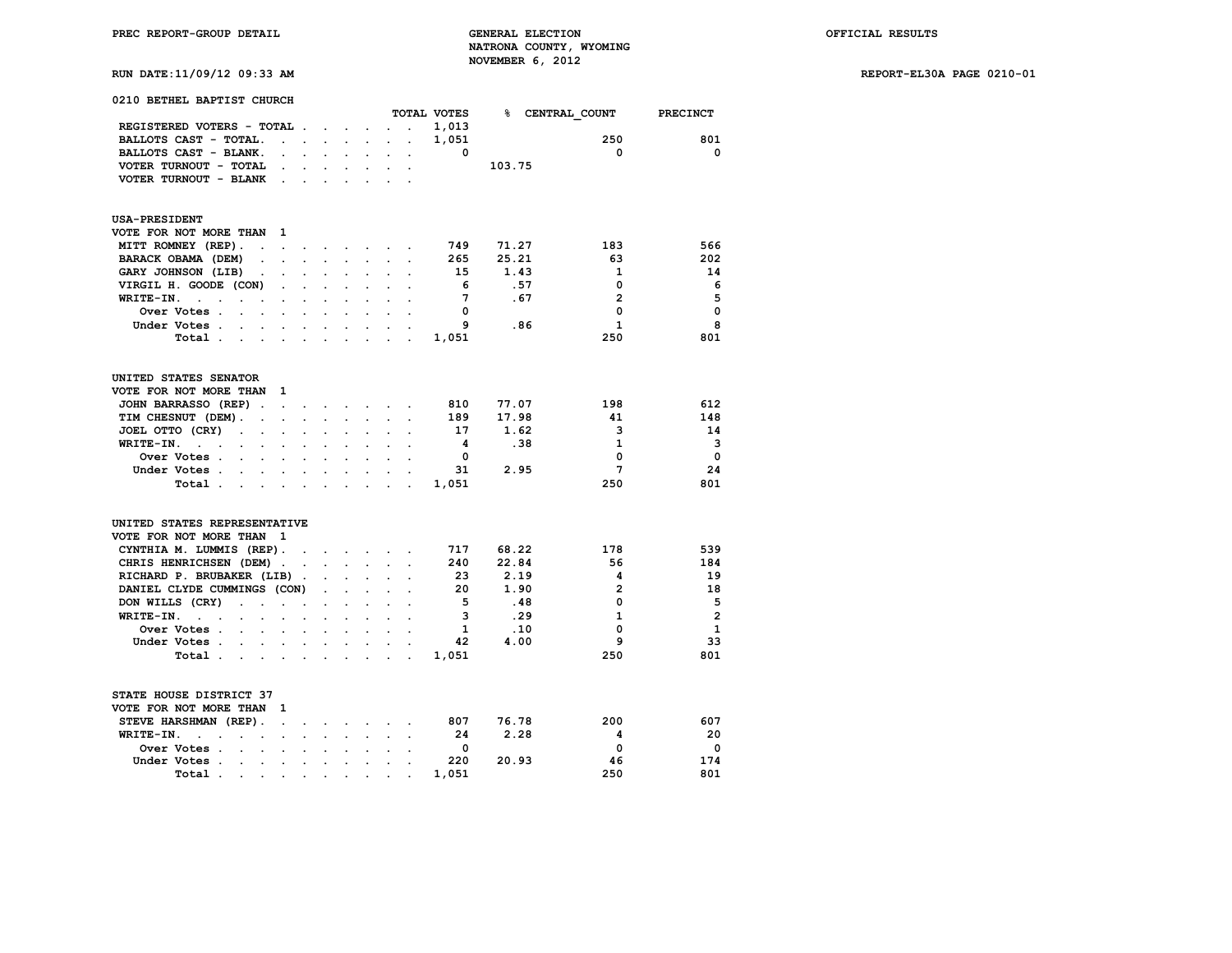**RUN DATE:11/09/12 09:33 AM REPORT-EL30A PAGE 0210-01**

| 0210 BETHEL BAPTIST CHURCH                                                                    |                      |                        |                          |                      |                                 |                      |                      |             |        |                            |                |
|-----------------------------------------------------------------------------------------------|----------------------|------------------------|--------------------------|----------------------|---------------------------------|----------------------|----------------------|-------------|--------|----------------------------|----------------|
|                                                                                               |                      |                        |                          |                      |                                 |                      |                      | TOTAL VOTES |        | <b>&amp; CENTRAL COUNT</b> | PRECINCT       |
| REGISTERED VOTERS - TOTAL.                                                                    |                      |                        |                          |                      | $\cdot$ $\cdot$ $\cdot$ $\cdot$ | $\sim$               | $\ddot{\phantom{0}}$ | 1,013       |        |                            |                |
| BALLOTS CAST - TOTAL.                                                                         | $\ddot{\phantom{a}}$ | $\ddot{\phantom{a}}$   |                          |                      |                                 |                      |                      | 1,051       |        | 250                        | 801            |
| BALLOTS CAST - BLANK.                                                                         |                      | $\mathbf{r}$           | $\mathbf{r}$             | $\cdot$              | $\ddot{\phantom{a}}$            | $\bullet$            |                      | $\Omega$    |        | 0                          | 0              |
| VOTER TURNOUT - TOTAL                                                                         |                      |                        |                          |                      |                                 |                      |                      |             | 103.75 |                            |                |
| VOTER TURNOUT - BLANK                                                                         | $\ddot{\phantom{a}}$ |                        |                          |                      |                                 |                      |                      |             |        |                            |                |
| <b>USA-PRESIDENT</b>                                                                          |                      |                        |                          |                      |                                 |                      |                      |             |        |                            |                |
| VOTE FOR NOT MORE THAN                                                                        | 1                    |                        |                          |                      |                                 |                      |                      |             |        |                            |                |
| MITT ROMNEY (REP).<br>$\cdot$                                                                 | $\ddot{\phantom{a}}$ | $\ddot{\phantom{0}}$   | <b>Contract Contract</b> |                      | $\sim$                          | $\sim$               | $\sim$               | 749         | 71.27  | 183                        | 566            |
| BARACK OBAMA (DEM)<br>$\overline{a}$                                                          |                      |                        |                          |                      |                                 |                      |                      | 265         | 25.21  | 63                         | 202            |
| GARY JOHNSON (LIB)<br>$\ddot{\phantom{0}}$                                                    | $\ddot{\phantom{0}}$ | $\ddot{\phantom{a}}$   |                          | $\ddot{\phantom{a}}$ | $\ddot{\phantom{0}}$            | $\ddot{\phantom{a}}$ |                      | 15          | 1.43   | 1                          | 14             |
| VIRGIL H. GOODE (CON)                                                                         |                      |                        |                          |                      |                                 |                      |                      | 6           | .57    | $\Omega$                   | - 6            |
| WRITE-IN.<br>$\sim$<br>$\ddot{\phantom{a}}$<br>$\cdot$                                        | $\cdot$              | $\ddot{\phantom{0}}$   |                          |                      |                                 |                      |                      | 7           | .67    | $\overline{2}$             | 5              |
| Over Votes .                                                                                  |                      |                        |                          |                      |                                 |                      |                      | 0           |        | 0                          | $\mathbf 0$    |
| Under Votes.<br>$\sim$ $\sim$ $\sim$ $\sim$                                                   |                      |                        |                          |                      |                                 |                      |                      | 9           | .86    | $\mathbf{1}$               | 8              |
| Total.<br>$\mathbf{r} = \mathbf{r} + \mathbf{r}$                                              |                      |                        | $\overline{a}$           | $\overline{a}$       | $\overline{a}$                  |                      |                      | 1,051       |        | 250                        | 801            |
| UNITED STATES SENATOR                                                                         |                      |                        |                          |                      |                                 |                      |                      |             |        |                            |                |
| VOTE FOR NOT MORE THAN                                                                        | 1                    |                        |                          |                      |                                 |                      |                      |             |        |                            |                |
| JOHN BARRASSO (REP).                                                                          | $\cdot$              |                        |                          |                      |                                 |                      |                      | 810         | 77.07  | 198                        | 612            |
| TIM CHESNUT (DEM).<br>$\ddot{\phantom{a}}$                                                    | $\ddot{\phantom{a}}$ | $\ddot{\phantom{0}}$   | $\ddot{\phantom{0}}$     | $\ddot{\phantom{0}}$ | $\sim$                          | $\ddot{\phantom{0}}$ |                      | 189         | 17.98  | 41                         | 148            |
| JOEL OTTO (CRY)<br>$\ddot{\phantom{a}}$                                                       |                      |                        |                          |                      |                                 |                      |                      | 17          | 1.62   | 3                          | 14             |
| WRITE-IN.<br>$\sim$<br>$\overline{a}$                                                         |                      |                        |                          |                      |                                 |                      |                      | 4           | .38    | $\mathbf{1}$               | 3              |
| Over Votes .                                                                                  |                      |                        |                          |                      |                                 |                      |                      | $\Omega$    |        | 0                          | $\mathbf{0}$   |
| Under Votes                                                                                   |                      |                        |                          |                      |                                 |                      |                      | 31          | 2.95   | 7                          | 24             |
| Total .<br><b>Contract Contract</b>                                                           |                      | $\cdot$                | $\ddot{\phantom{a}}$     | $\ddot{\phantom{0}}$ | $\sim$                          | $\ddot{\phantom{a}}$ |                      | 1,051       |        | 250                        | 801            |
| UNITED STATES REPRESENTATIVE                                                                  |                      |                        |                          |                      |                                 |                      |                      |             |        |                            |                |
| VOTE FOR NOT MORE THAN<br>- 1                                                                 |                      |                        |                          |                      |                                 |                      |                      |             |        |                            |                |
| CYNTHIA M. LUMMIS (REP).                                                                      |                      |                        |                          |                      |                                 |                      |                      | 717         | 68.22  | 178                        | 539            |
| CHRIS HENRICHSEN (DEM).                                                                       |                      | $\ddot{\phantom{a}}$   | $\mathbf{r}$             | $\mathbf{r}$         | $\ddot{\phantom{0}}$            |                      |                      | 240         | 22.84  | 56                         | 184            |
| RICHARD P. BRUBAKER (LIB)                                                                     |                      | $\ddot{\phantom{a}}$ . | $\ddot{\phantom{a}}$     | $\ddot{\phantom{a}}$ | $\ddot{\phantom{a}}$            |                      |                      | 23          | 2.19   | 4                          | 19             |
| DANIEL CLYDE CUMMINGS (CON)                                                                   |                      |                        | $\ddot{\phantom{a}}$     |                      |                                 |                      |                      | 20          | 1.90   | $\overline{a}$             | 18             |
| DON WILLS (CRY)<br>$\cdot$<br>$\sim$                                                          | $\cdot$              | $\bullet$              | $\overline{a}$           | $\ddot{\phantom{a}}$ | $\ddot{\phantom{a}}$            | $\overline{a}$       |                      | - 5         | .48    | $\Omega$                   | 5              |
| WRITE-IN.<br>$\ddotsc$                                                                        |                      |                        |                          |                      |                                 |                      |                      | 3           | .29    | $\mathbf{1}$               | $\overline{2}$ |
| Over Votes.<br>$\cdot$<br>$\ddot{\phantom{a}}$                                                | $\ddot{\phantom{a}}$ | $\ddot{\phantom{a}}$   | $\ddot{\phantom{0}}$     | $\ddot{\phantom{a}}$ | $\ddot{\phantom{0}}$            |                      |                      | 1           | .10    | 0                          | $\mathbf{1}$   |
| Under Votes.<br>$\mathbf{r}$                                                                  |                      | $\ddot{\phantom{0}}$   |                          |                      |                                 |                      |                      | 42          | 4.00   | 9                          | 33             |
| Total.<br>$\ddot{\phantom{0}}$<br>$\bullet$                                                   | $\bullet$            | $\cdot$                | $\ddot{\phantom{a}}$     | $\cdot$              | $\cdot$                         |                      | $\ddot{\phantom{a}}$ | 1,051       |        | 250                        | 801            |
| STATE HOUSE DISTRICT 37                                                                       |                      |                        |                          |                      |                                 |                      |                      |             |        |                            |                |
| VOTE FOR NOT MORE THAN                                                                        | 1                    |                        |                          |                      |                                 |                      |                      |             |        |                            |                |
| STEVE HARSHMAN (REP).                                                                         | $\ddot{\phantom{a}}$ | $\overline{a}$         | $\ddot{\phantom{a}}$     |                      | $\sim$                          | $\sim$               | $\sim$               | 807         | 76.78  | 200                        | 607            |
| WRITE-IN.<br>$\ddot{\phantom{0}}$<br>$\ddot{\phantom{a}}$<br>$\overline{a}$<br>$\overline{a}$ |                      |                        |                          |                      |                                 |                      |                      | 24          | 2.28   | 4                          | 20             |
| Over Votes.<br>$\ddot{\phantom{a}}$<br>$\cdot$                                                | $\ddot{\phantom{a}}$ | $\ddot{\phantom{0}}$   |                          |                      | $\ddot{\phantom{a}}$            |                      |                      | 0           |        | 0                          | 0              |
| Under Votes.<br>$\mathbf{r}$<br>$\overline{a}$                                                |                      |                        |                          |                      |                                 |                      |                      | 220         | 20.93  | 46                         | 174            |
| Total.<br>$\ddot{\phantom{0}}$                                                                | $\ddot{\phantom{0}}$ | $\ddot{\phantom{0}}$   | $\ddot{\phantom{0}}$     |                      |                                 |                      |                      | 1,051       |        | 250                        | 801            |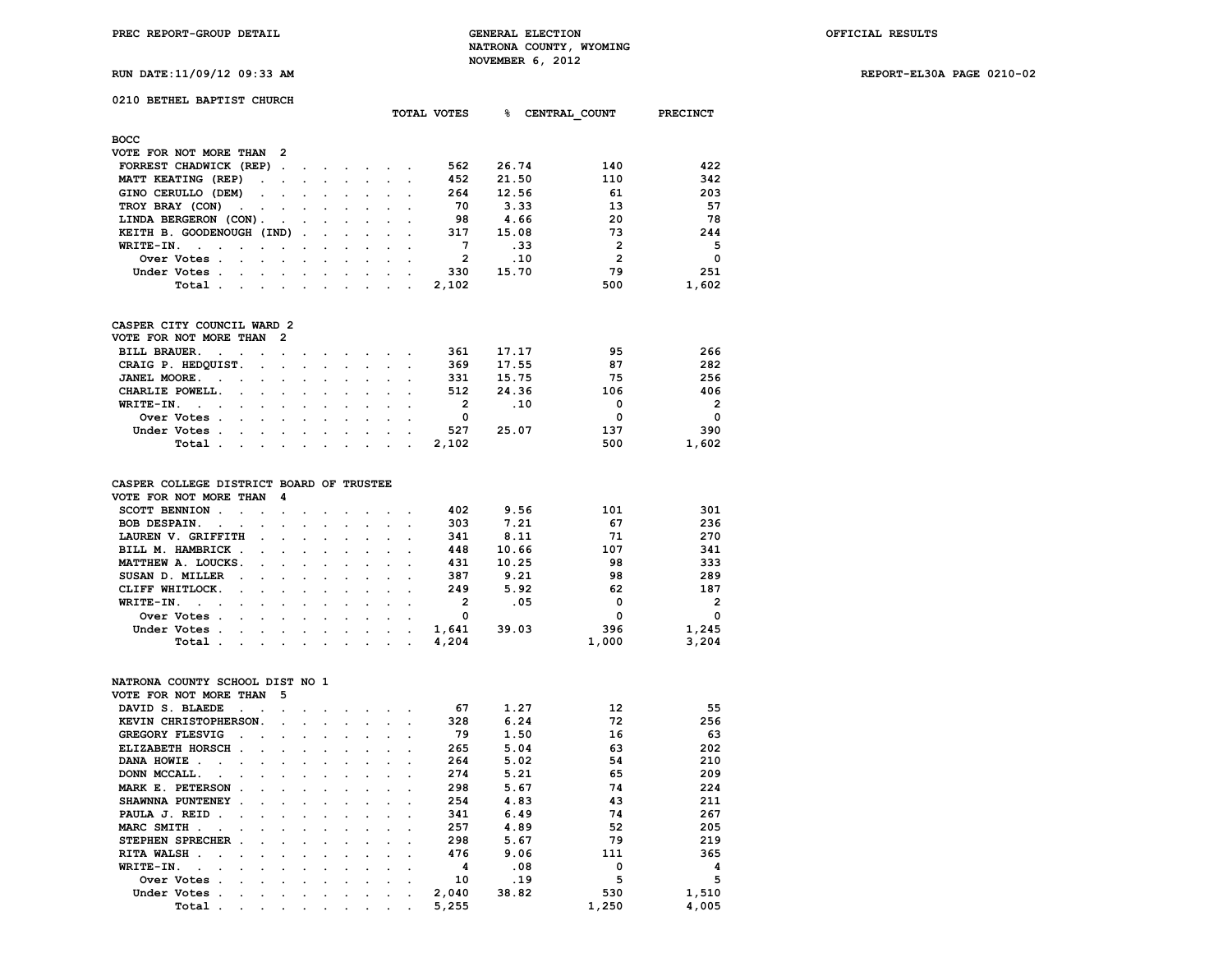**RUN DATE:11/09/12 09:33 AM REPORT-EL30A PAGE 0210-02**

## **0210 BETHEL BAPTIST CHURCH**

|                                                                                                    |                             | TOTAL VOTES | ℁     | CENTRAL COUNT  | PRECINCT |
|----------------------------------------------------------------------------------------------------|-----------------------------|-------------|-------|----------------|----------|
| <b>BOCC</b>                                                                                        |                             |             |       |                |          |
| VOTE FOR NOT MORE THAN 2                                                                           |                             |             |       |                |          |
| FORREST CHADWICK (REP).                                                                            |                             | 562         | 26.74 | 140            | 422      |
| MATT KEATING (REP)<br>$\sim$ $\sim$<br>$\cdot$<br>$\sim$                                           |                             | 452         | 21.50 | 110            | 342      |
| GINO CERULLO (DEM)<br>$\sim$ $\sim$<br>$\sim$ 100 $\pm$<br>$\sim 100$<br>$\sim$                    |                             | 264         | 12.56 | 61             | 203      |
| TROY BRAY (CON)<br>and the contract of the contract of<br>$\sim 100$<br>$\cdot$ $\cdot$<br>$\cdot$ |                             | 70          | 3.33  | 13             | 57       |
| LINDA BERGERON (CON).<br>$\sim$ $\sim$ $\sim$<br>$\cdot$ $\cdot$                                   | $\sim$ $\sim$ $\sim$ $\sim$ | 98          | 4.66  | 20             | 78       |
| KEITH B. GOODENOUGH (IND)<br><b>Contract Contract</b>                                              |                             | 317         | 15.08 | 73             | 244      |
| WRITE-IN.<br>$\cdot$<br>$\sim$                                                                     |                             |             | .33   | $\mathbf{2}$   | 5        |
| Over Votes.<br>$\sim$                                                                              |                             | 2           | .10   | $\overline{2}$ | $\Omega$ |
| Under Votes.<br>$\sim$                                                                             |                             | 330         | 15.70 | 79             | 251      |
| Total<br>$\sim$<br>$\cdot$ .<br>$\cdot$<br>$\cdot$ $\cdot$<br>$\cdot$ .<br>$\sim$                  | $\cdot$                     | 2,102       |       | 500            | 1,602    |

## **CASPER CITY COUNCIL WARD 2**

| VOTE FOR NOT MORE THAN 2 |  |  |  |  |  |              |       |     |                          |
|--------------------------|--|--|--|--|--|--------------|-------|-----|--------------------------|
| BILL BRAUER.             |  |  |  |  |  | 361          | 17.17 | 95  | 266                      |
| CRAIG P. HEDQUIST.       |  |  |  |  |  | 369          | 17.55 | 87  | 282                      |
| JANEL MOORE.             |  |  |  |  |  | 331          | 15.75 | 75  | 256                      |
| CHARLIE POWELL.          |  |  |  |  |  | 512          | 24.36 | 106 | 406                      |
| WRITE-IN.                |  |  |  |  |  |              | .10   | 0   | $\overline{\phantom{a}}$ |
| Over Votes               |  |  |  |  |  | <sup>0</sup> |       | 0   | $\Omega$                 |
| Under Votes              |  |  |  |  |  | 527          | 25.07 | 137 | 390                      |
| Total 2,102              |  |  |  |  |  |              |       | 500 | 1,602                    |

## **CASPER COLLEGE DISTRICT BOARD OF TRUSTEE**

| VOTE FOR NOT MORE THAN 4                                                                                                        |                                                                                                                 |  |  |  |       |       |       |                |
|---------------------------------------------------------------------------------------------------------------------------------|-----------------------------------------------------------------------------------------------------------------|--|--|--|-------|-------|-------|----------------|
| SCOTT BENNION.<br><u>na kama sa sana sa sa sa sa</u>                                                                            |                                                                                                                 |  |  |  | 402   | 9.56  | 101   | 301            |
| BOB DESPAIN.                                                                                                                    |                                                                                                                 |  |  |  | 303   | 7.21  | 67    | 236            |
| LAUREN V. GRIFFITH                                                                                                              | the contract of the contract of the contract of the contract of the contract of the contract of the contract of |  |  |  | 341   | 8.11  | 71    | 270            |
| BILL M. HAMBRICK                                                                                                                |                                                                                                                 |  |  |  | 448   | 10.66 | 107   | 341            |
| MATTHEW A. LOUCKS.                                                                                                              |                                                                                                                 |  |  |  | 431   | 10.25 | 98    | 333            |
| SUSAN D. MILLER                                                                                                                 |                                                                                                                 |  |  |  | 387   | 9.21  | 98    | 289            |
| CLIFF WHITLOCK.                                                                                                                 |                                                                                                                 |  |  |  | 249   | 5.92  | 62    | 187            |
| WRITE-IN.<br>the contract of the contract of the contract of the contract of the contract of the contract of the contract of    |                                                                                                                 |  |  |  | 2     | .05   | 0     | $\overline{2}$ |
| Over Votes .<br>the contract of the contract of the contract of the contract of the contract of the contract of the contract of |                                                                                                                 |  |  |  | 0     |       | 0     | $\Omega$       |
| Under Votes.<br>the contract of the contract of the contract of the contract of the contract of the contract of the contract of |                                                                                                                 |  |  |  | 1,641 | 39.03 | 396   | 1,245          |
| Total .<br>the contract of the contract of the contract of the contract of the contract of the contract of the contract of      |                                                                                                                 |  |  |  | 4,204 |       | 1,000 | 3,204          |

# **NATRONA COUNTY SCHOOL DIST NO 1**

| VOTE FOR NOT MORE THAN        |                                      | 5                    |               |                      |                      |                      |  |       |       |       |       |
|-------------------------------|--------------------------------------|----------------------|---------------|----------------------|----------------------|----------------------|--|-------|-------|-------|-------|
| DAVID S. BLAEDE               | $\sim$<br>$\sim$                     |                      |               |                      |                      |                      |  | 67    | 1.27  | 12    | 55    |
| KEVIN CHRISTOPHERSON.         |                                      | $\sim$               |               |                      |                      |                      |  | 328   | 6.24  | 72    | 256   |
| <b>GREGORY FLESVIG</b>        |                                      |                      |               | $\cdot$              |                      |                      |  | 79    | 1.50  | 16    | 63    |
| ELIZABETH HORSCH.             | $\ddot{\phantom{a}}$                 | $\ddot{\phantom{a}}$ | $\sim$        | $\ddot{\phantom{a}}$ | $\cdot$              |                      |  | 265   | 5.04  | 63    | 202   |
| DANA HOWIE.<br>$\sim$         | $\sim$                               | $\sim$               | $\sim$        | $\sim$               | $\sim$               |                      |  | 264   | 5.02  | 54    | 210   |
| DONN MCCALL.<br>$\sim$        |                                      | $\cdot$              |               |                      |                      |                      |  | 274   | 5.21  | 65    | 209   |
| MARK E. PETERSON              | $\sim$<br>$\cdot$                    | $\ddot{\phantom{a}}$ | $\cdot$       | $\cdot$              | $\ddot{\phantom{0}}$ |                      |  | 298   | 5.67  | 74    | 224   |
| SHAWNNA PUNTENEY.             | $\overline{a}$                       | $\ddot{\phantom{a}}$ | $\sim$        | $\ddot{\phantom{a}}$ | $\sim$ $\sim$        |                      |  | 254   | 4.83  | 43    | 211   |
| PAULA J. REID.                | $\sim$<br>$\sim$                     | <b>Service</b>       | $\sim$ $\sim$ | $\sim$               |                      | $\sim$ $\sim$ $\sim$ |  | 341   | 6.49  | 74    | 267   |
| MARC SMITH.<br>$\sim$         |                                      | $\sim$               | $\sim$        | $\sim$               | $\sim$               |                      |  | 257   | 4.89  | 52    | 205   |
| STEPHEN SPRECHER.             |                                      | $\cdot$              | $\cdot$       | $\cdot$              |                      |                      |  | 298   | 5.67  | 79    | 219   |
| RITA WALSH.<br>$\sim$         | $\cdot$<br>$\cdot$                   | $\ddot{\phantom{0}}$ | $\cdot$       | $\cdot$              | $\ddot{\phantom{0}}$ | $\cdot$              |  | 476   | 9.06  | 111   | 365   |
| WRITE-IN.<br>$\sim$<br>$\sim$ | $\mathbf{r}$<br>$\ddot{\phantom{a}}$ | $\sim$               | $\sim$        | $\sim$               | $\sim$               | $\sim$               |  | 4     | .08   | 0     | 4     |
| Over Votes.                   | $\ddot{\phantom{0}}$                 | $\cdot$              | $\bullet$     | $\cdot$              | $\sim$               | $\cdot$              |  | 10    | .19   | 5     | 5     |
| Under Votes.                  | $\cdot$                              | $\sim$               | $\cdot$       | $\sim$               | $\sim$               | $\sim$ $ \sim$       |  | 2,040 | 38.82 | 530   | 1,510 |
| Total .                       | $\overline{a}$                       | $\cdot$              | $\cdot$       | $\bullet$            | $\cdot$              |                      |  | 5,255 |       | 1,250 | 4,005 |
|                               |                                      |                      |               |                      |                      |                      |  |       |       |       |       |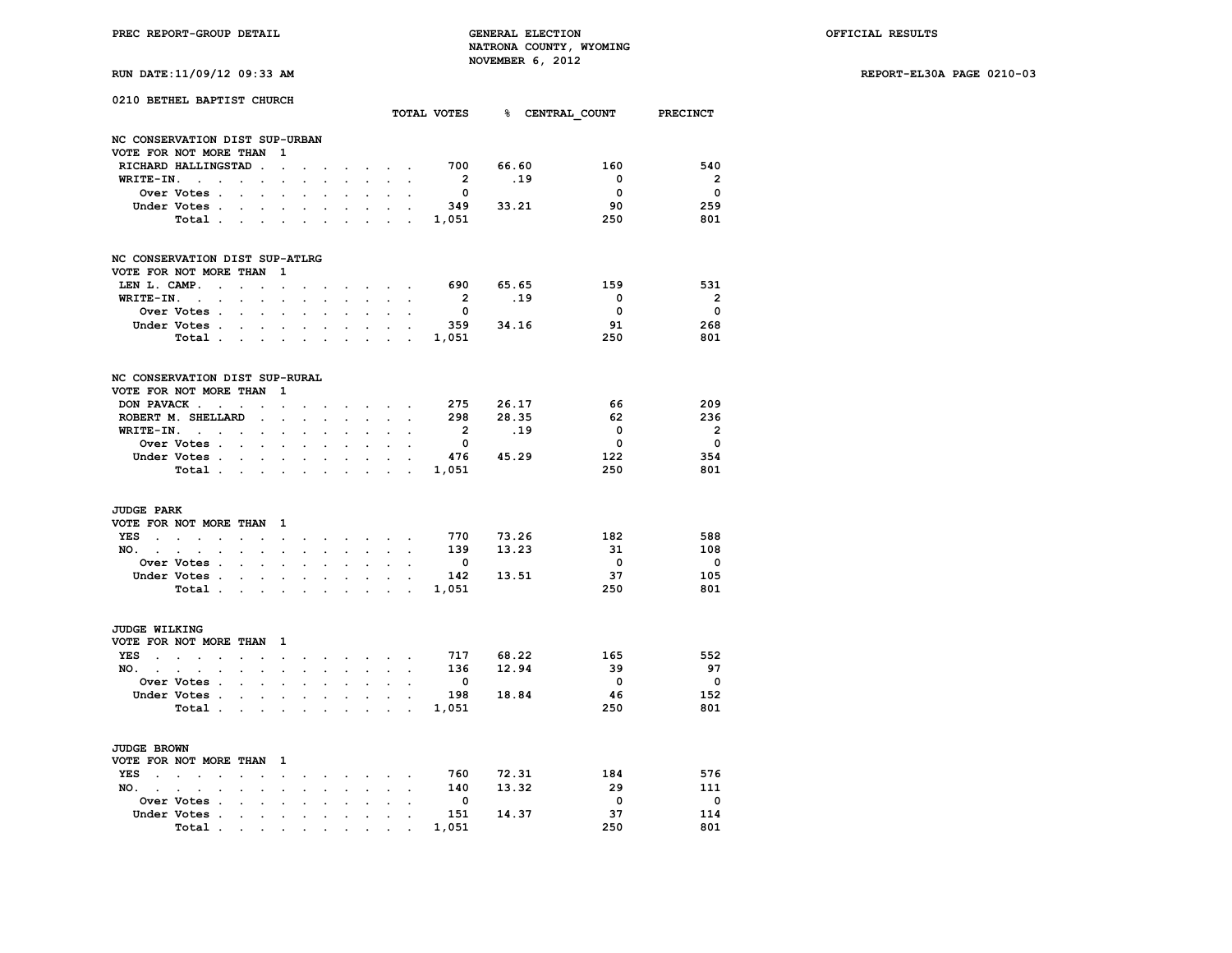**RUN DATE:11/09/12 09:33 AM REPORT-EL30A PAGE 0210-03**

|  | RUN DATE:11/09/12 09:33 AM |  |  |  |  |
|--|----------------------------|--|--|--|--|
|--|----------------------------|--|--|--|--|

| 0210 BETHEL BAPTIST CHURCH<br>NC CONSERVATION DIST SUP-URBAN |                                          |                            |                                        | TOTAL VOTES 8 CENTRAL COUNT PRECINCT |                      |                      |                      |                                                                  |                            |                             |                                |           |                               |                         |
|--------------------------------------------------------------|------------------------------------------|----------------------------|----------------------------------------|--------------------------------------|----------------------|----------------------|----------------------|------------------------------------------------------------------|----------------------------|-----------------------------|--------------------------------|-----------|-------------------------------|-------------------------|
|                                                              |                                          |                            |                                        |                                      |                      |                      |                      |                                                                  |                            |                             |                                |           |                               |                         |
|                                                              | VOTE FOR NOT MORE THAN                   |                            |                                        | - 1                                  |                      |                      |                      |                                                                  |                            |                             |                                |           |                               |                         |
|                                                              | RICHARD HALLINGSTAD.                     |                            |                                        | $\cdot$                              |                      |                      |                      |                                                                  | $\sim$ $\sim$ $\sim$       | $\sim$                      | 700                            | 66.60     | 160<br>$\overline{0}$         | 540                     |
| WRITE-IN.                                                    |                                          | $\ddot{\phantom{0}}$       |                                        |                                      |                      |                      | $\ddot{\phantom{0}}$ | $\sim$                                                           | $\sim$                     |                             | $\overline{2}$                 | .19       |                               | $\overline{\mathbf{2}}$ |
|                                                              | Over Votes .                             | $\ddot{\phantom{0}}$       | $\bullet$                              | $\overline{a}$                       |                      | $\overline{a}$       |                      | $\ddot{\phantom{0}}$                                             | $\ddot{\phantom{0}}$       | $\ddot{\phantom{a}}$        | $\overline{\mathbf{0}}$<br>349 |           | $\overline{\mathbf{0}}$<br>90 | $\overline{\mathbf{0}}$ |
|                                                              | Under Votes.                             |                            | $\mathbf{L} = \mathbf{L}$              |                                      |                      |                      |                      | $\mathbf{r}$                                                     |                            | $\sim$ $\sim$               |                                | 33.21     | 250                           | 259<br>801              |
|                                                              | Total                                    |                            |                                        |                                      | $\ddot{\phantom{a}}$ |                      | $\ddot{\phantom{0}}$ |                                                                  | <b>All American</b>        |                             | 1,051                          |           |                               |                         |
|                                                              | NC CONSERVATION DIST SUP-ATLRG           |                            |                                        |                                      |                      |                      |                      |                                                                  |                            |                             |                                |           |                               |                         |
|                                                              | VOTE FOR NOT MORE THAN 1                 |                            |                                        |                                      |                      |                      |                      |                                                                  |                            |                             |                                |           |                               |                         |
| LEN L. CAMP.                                                 | $\sim$ $\sim$                            |                            | $\sim$                                 |                                      |                      |                      |                      | and the state of the state                                       |                            |                             | 690                            | 65.65     | 159                           | 531                     |
|                                                              | WRITE-IN.                                |                            | $\ddot{\phantom{0}}$                   | $\ddot{\phantom{a}}$                 |                      | $\ddot{\phantom{a}}$ | $\ddot{\phantom{0}}$ | $\sim$                                                           | $\sim$                     |                             | $\overline{\mathbf{2}}$        | .19       | $\overline{0}$                | $\overline{\mathbf{2}}$ |
|                                                              | Over Votes .                             | $\mathbf{L}^{\text{max}}$  | $\ddot{\phantom{0}}$                   | $\ddot{\phantom{a}}$                 |                      | $\ddot{\phantom{0}}$ |                      | $\ddot{\phantom{0}}$                                             | $\ddot{\phantom{0}}$       |                             | $\overline{\mathbf{0}}$        |           | $\overline{\mathbf{0}}$       | $\overline{\mathbf{0}}$ |
|                                                              | Under Votes.                             |                            | $\mathbf{r} = \mathbf{r} + \mathbf{r}$ |                                      |                      |                      |                      | $\ddot{\phantom{0}}$                                             |                            | $\sim$ $\sim$               |                                | 359 34.16 | 91                            | 268                     |
|                                                              | Total                                    |                            |                                        |                                      | $\bullet$            | $\sim$               | $\sim$               | $\mathbf{r}$ , $\mathbf{r}$ , $\mathbf{r}$ , $\mathbf{r}$        |                            |                             | 1,051                          |           | 250                           | 801                     |
|                                                              | NC CONSERVATION DIST SUP-RURAL           |                            |                                        |                                      |                      |                      |                      |                                                                  |                            |                             |                                |           |                               |                         |
|                                                              | VOTE FOR NOT MORE THAN 1                 |                            |                                        |                                      |                      |                      |                      |                                                                  |                            |                             |                                |           |                               |                         |
|                                                              | DON PAVACK                               |                            |                                        |                                      |                      |                      |                      | <b>Contract Contract Contract</b>                                |                            |                             | 275                            | 26.17     | 66                            | 209                     |
|                                                              | ROBERT M. SHELLARD                       |                            | $\sim$                                 | $\sim$                               | $\sim$               | $\mathbf{r}$         | $\bullet$ .          | $\sim$                                                           | $\sim$                     |                             | 298                            | 28.35     | - 62                          | 236                     |
|                                                              | $WRITE-IN.$                              |                            | $\ddot{\phantom{a}}$                   | $\bullet$                            | $\ddot{\phantom{0}}$ | $\ddot{\phantom{0}}$ |                      | $\ddot{\phantom{0}}$                                             | $\ddot{\phantom{0}}$       |                             | $\overline{\mathbf{2}}$        | .19       | $\overline{\mathbf{0}}$       | $\overline{\mathbf{2}}$ |
|                                                              | Over Votes                               |                            |                                        |                                      |                      |                      |                      |                                                                  |                            |                             | $\overline{\mathbf{0}}$        |           | $\overline{\mathbf{0}}$       | $\overline{\mathbf{0}}$ |
|                                                              | Under Votes                              |                            |                                        |                                      | $\bullet$ .          | $\bullet$            | <b>Contract</b>      | $\bullet$ .                                                      |                            | $\mathbf{z} = \mathbf{z}$ . |                                | 476 45.29 | 122                           | 354                     |
|                                                              | Total                                    |                            |                                        | $\ddot{\phantom{0}}$                 |                      | $\ddot{\phantom{0}}$ |                      |                                                                  | $\ddot{\phantom{0}}$       |                             | 1,051                          |           | 250                           | 801                     |
| <b>JUDGE PARK</b>                                            |                                          |                            |                                        |                                      |                      |                      |                      |                                                                  |                            |                             |                                |           |                               |                         |
|                                                              | VOTE FOR NOT MORE THAN 1                 |                            |                                        |                                      |                      |                      |                      |                                                                  |                            |                             |                                |           |                               |                         |
|                                                              | YES                                      | $\mathbb{Z}^{\mathbb{Z}}$  | $\cdot$                                | $\sim$                               | $\ddot{\phantom{0}}$ |                      |                      | and a strong state of the                                        |                            | $\ddot{\phantom{a}}$        | 770                            | 73.26     | 182                           | 588                     |
| $NO.$ $.$ $.$                                                |                                          | $\sim$                     | $\sim$                                 | $\blacksquare$                       | $\ddot{\phantom{0}}$ | $\ddot{\phantom{0}}$ | $\ddot{\phantom{0}}$ | $\ddot{\phantom{0}}$                                             | $\mathbf{L}^{\text{max}}$  | $\blacksquare$              |                                | 139 13.23 | 31                            | 108                     |
|                                                              | Over Votes .                             |                            | $\mathbf{r} = \mathbf{r}$              |                                      |                      |                      |                      |                                                                  |                            |                             | $\overline{\mathbf{0}}$        |           | $\overline{\mathbf{0}}$       | $\overline{\mathbf{0}}$ |
|                                                              | Under Votes                              |                            |                                        | $\sim$                               | $\ddot{\phantom{0}}$ | $\ddot{\phantom{0}}$ | $\ddot{\phantom{0}}$ | $\bullet$ .                                                      |                            | $\mathbf{z} = \mathbf{z}$ . | 142                            | 13.51     | 37                            | 105                     |
|                                                              | Total .                                  |                            | <b>All Cards</b>                       | $\cdot$                              |                      | $\ddot{\phantom{a}}$ | $\ddot{\phantom{0}}$ | $\ddot{\phantom{0}}$                                             | $\ddot{\phantom{0}}$       | $\sim$                      | 1,051                          |           | 250                           | 801                     |
| <b>JUDGE WILKING</b>                                         |                                          |                            |                                        |                                      |                      |                      |                      |                                                                  |                            |                             |                                |           |                               |                         |
|                                                              | VOTE FOR NOT MORE THAN 1                 |                            |                                        |                                      |                      |                      |                      |                                                                  |                            |                             |                                |           |                               |                         |
| YES                                                          | <b>Contract Contract</b>                 | $\sim$                     | $\ddot{\phantom{a}}$                   | $\sim$                               | $\sim$               | $\cdot$              |                      | $\mathbf{r} = \mathbf{r} + \mathbf{r} + \mathbf{r} + \mathbf{r}$ |                            |                             | 717                            | 68.22     | 165                           | 552                     |
| $NO.$ $.$ $.$                                                |                                          | $\mathcal{L}^{\text{max}}$ | $\ddot{\phantom{0}}$                   | $\bullet$                            | $\ddot{\phantom{0}}$ | $\ddot{\phantom{0}}$ | $\ddot{\phantom{0}}$ | $\ddot{\phantom{0}}$                                             | $\mathcal{L}^{\text{max}}$ | $\ddot{\phantom{a}}$        |                                | 136 12.94 | 39                            | 97                      |
|                                                              | <b>Over Votes .</b>                      |                            | $\sim$ $\sim$                          |                                      |                      |                      |                      |                                                                  |                            |                             | $\overline{\mathbf{0}}$        |           | $\overline{\mathbf{0}}$       | $\overline{\mathbf{0}}$ |
|                                                              | Under Votes                              |                            | $\sim$                                 | $\sim$                               | $\ddot{\phantom{0}}$ | $\cdot$              | $\ddot{\phantom{0}}$ | $\bullet$ .                                                      |                            | $\sim$ $\sim$               | 198                            | 18.84     | -46                           | 152                     |
|                                                              | Total .                                  |                            | <b>All Cards</b>                       | $\bullet$                            |                      | $\ddot{\phantom{a}}$ | $\ddot{\phantom{0}}$ | $\ddot{\phantom{0}}$                                             | $\mathbf{L}^{\text{max}}$  | $\ddot{\phantom{a}}$        | 1,051                          |           | 250                           | 801                     |
| <b>JUDGE BROWN</b>                                           |                                          |                            |                                        |                                      |                      |                      |                      |                                                                  |                            |                             |                                |           |                               |                         |
|                                                              | VOTE FOR NOT MORE THAN 1                 |                            |                                        |                                      |                      |                      |                      |                                                                  |                            |                             |                                |           |                               |                         |
| YES .                                                        | $\sim$<br>$\sim$<br>$\ddot{\phantom{a}}$ | $\ddot{\phantom{a}}$       |                                        | $\sim$                               |                      |                      |                      |                                                                  |                            |                             | 760                            | 72.31     | 184                           | 576                     |
| NO.                                                          |                                          |                            | $\cdot$                                |                                      |                      | $\ddot{\phantom{0}}$ | $\ddot{\phantom{0}}$ | $\sim$ $\sim$ $\sim$ $\sim$                                      | $\sim$                     |                             |                                | 140 13.32 | 29                            | 111                     |
|                                                              | $\ddot{\phantom{0}}$                     | $\ddot{\phantom{0}}$       | $\ddot{\phantom{0}}$                   | $\bullet$                            | $\ddot{\phantom{0}}$ |                      |                      | $\ddot{\phantom{0}}$                                             | $\ddot{\phantom{0}}$       | $\bullet$                   | $\overline{\mathbf{0}}$        |           | $\overline{\mathbf{0}}$       | $\overline{\mathbf{0}}$ |
|                                                              | Over Votes .<br>Under Votes .            |                            |                                        |                                      |                      |                      |                      |                                                                  |                            |                             | 151                            | 14.37     | 37                            | 114                     |
|                                                              | Total.                                   | $\bullet$                  | $\sim$                                 | $\bullet$                            | $\ddot{\phantom{0}}$ | $\ddot{\phantom{0}}$ | $\bullet$            | $\bullet$ .                                                      |                            | $\mathbf{z} = \mathbf{z}$ . | 1,051                          |           | 250                           | 801                     |
|                                                              |                                          |                            | <b>Contract Contract</b>               |                                      |                      |                      |                      |                                                                  |                            |                             |                                |           |                               |                         |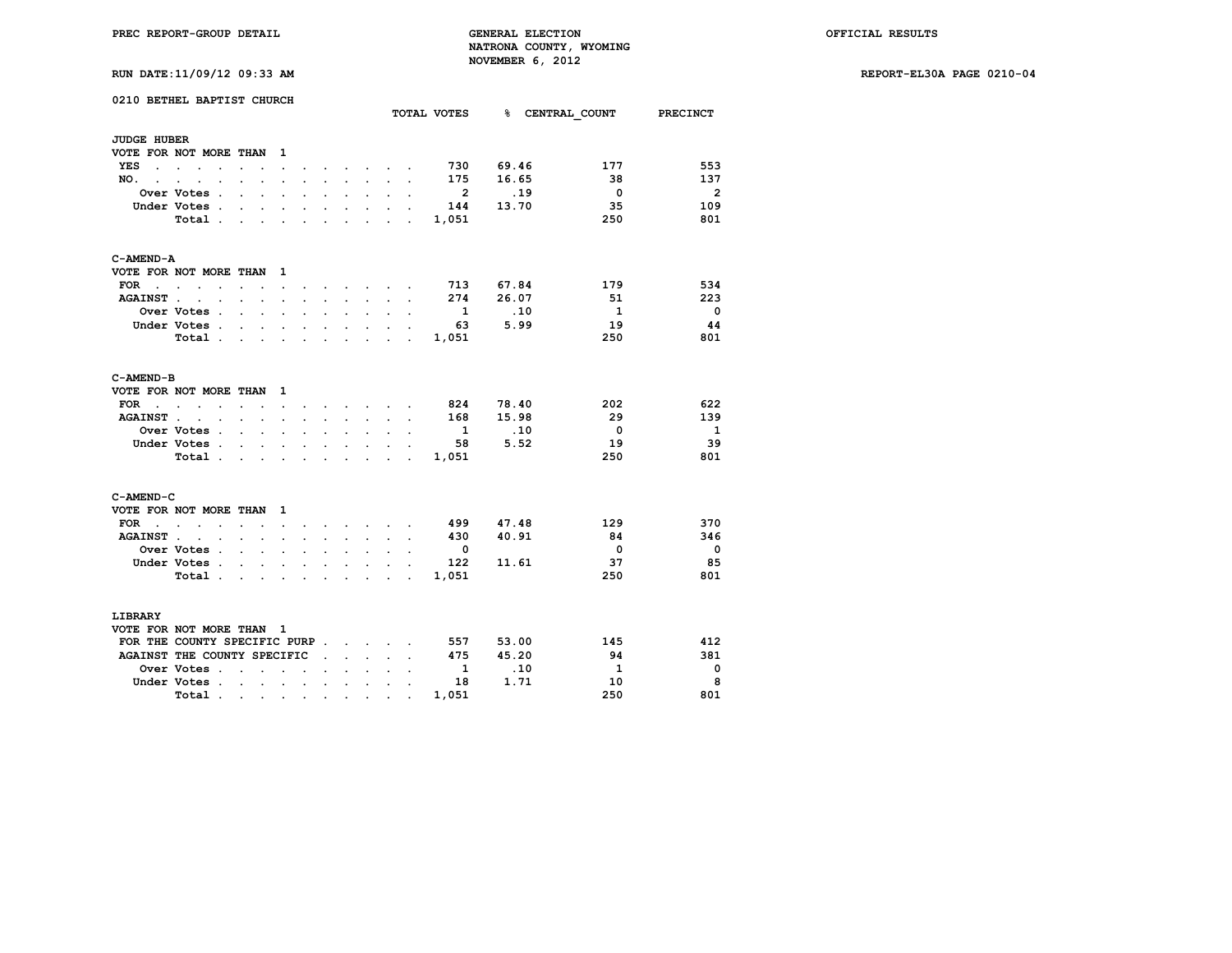**RUN DATE:11/09/12 09:33 AM REPORT-EL30A PAGE 0210-04**

| RUN DATE:11/09/12 09:33 AM |
|----------------------------|
|----------------------------|

|                      | 0210 BETHEL BAPTIST CHURCH                       |                                                                                       |                      |                      |                                     |                                                                         |                      |                      |                                             |                                 |                          |                                      |                         |                          |
|----------------------|--------------------------------------------------|---------------------------------------------------------------------------------------|----------------------|----------------------|-------------------------------------|-------------------------------------------------------------------------|----------------------|----------------------|---------------------------------------------|---------------------------------|--------------------------|--------------------------------------|-------------------------|--------------------------|
|                      |                                                  |                                                                                       |                      |                      |                                     |                                                                         |                      |                      |                                             |                                 |                          | TOTAL VOTES 8 CENTRAL COUNT PRECINCT |                         |                          |
| <b>JUDGE HUBER</b>   |                                                  |                                                                                       |                      |                      |                                     |                                                                         |                      |                      |                                             |                                 |                          |                                      |                         |                          |
|                      | VOTE FOR NOT MORE THAN                           |                                                                                       |                      | 1                    |                                     |                                                                         |                      |                      |                                             |                                 |                          |                                      |                         |                          |
| YES<br>$\cdot$       | $\sim$<br>$\ddot{\phantom{0}}$                   | $\ddot{\phantom{0}}$                                                                  |                      | $\ddot{\phantom{0}}$ |                                     |                                                                         |                      |                      | $\mathbf{L} = \mathbf{L} \times \mathbf{L}$ |                                 | 730                      | 69.46                                | 177                     | 553                      |
| NO.<br>$\sim$        | $\cdot$<br>$\bullet$<br>$\cdot$                  | $\cdot$                                                                               | $\ddot{\phantom{0}}$ | $\cdot$              | $\ddot{\phantom{0}}$                |                                                                         | $\ddot{\phantom{0}}$ | $\sim$               | $\ddot{\phantom{0}}$                        | $\cdot$                         | 175                      | 16.65                                | 38                      | 137                      |
|                      | Over Votes .                                     |                                                                                       | $\ddot{\phantom{a}}$ |                      |                                     |                                                                         |                      | $\ddot{\phantom{0}}$ |                                             |                                 | $\overline{\mathbf{2}}$  | .19                                  | $\overline{\mathbf{0}}$ | $\overline{2}$           |
|                      | Under Votes .                                    | $\overline{a}$                                                                        | $\cdot$              | $\overline{a}$       | $\cdot$                             | $\sim$                                                                  | $\overline{a}$       | $\cdot$              | $\overline{a}$                              |                                 | 144                      | 13.70                                | 35                      | 109                      |
|                      | Total .                                          | $\sim$ $\sim$ $\sim$ $\sim$                                                           |                      | $\ddot{\phantom{a}}$ | $\ddot{\phantom{0}}$                | $\ddot{\phantom{0}}$                                                    | $\ddot{\phantom{a}}$ | $\sim$               |                                             | $\sim$ $\sim$                   | 1,051                    |                                      | 250                     | 801                      |
| C-AMEND-A            |                                                  |                                                                                       |                      |                      |                                     |                                                                         |                      |                      |                                             |                                 |                          |                                      |                         |                          |
|                      | VOTE FOR NOT MORE THAN                           |                                                                                       |                      | 1                    |                                     |                                                                         |                      |                      |                                             |                                 |                          |                                      |                         |                          |
| <b>FOR</b><br>$\sim$ | $\ddot{\phantom{0}}$<br>$\bullet$<br>$\bullet$   | $\ddot{\phantom{a}}$                                                                  | $\bullet$            | $\ddot{\phantom{0}}$ |                                     |                                                                         |                      |                      | $\sim$ $\sim$                               |                                 | 713                      | 67.84                                | 179                     | 534                      |
| <b>AGAINST.</b>      | $\ddot{\phantom{a}}$<br>$\cdot$                  | $\sim$ $\sim$                                                                         |                      | $\ddot{\phantom{a}}$ | $\ddot{\phantom{a}}$                | $\sim$                                                                  | $\sim$               | $\sim$               | $\ddot{\phantom{a}}$                        | $\ddot{\phantom{a}}$            | 274                      | 26.07                                | 51                      | 223                      |
|                      | Over Votes .                                     | $\cdot$                                                                               | $\ddot{\phantom{0}}$ | $\ddot{\phantom{a}}$ | $\ddot{\phantom{a}}$                |                                                                         | $\ddot{\phantom{a}}$ | $\overline{a}$       |                                             |                                 | $\overline{\mathbf{1}}$  | .10                                  | $\mathbf{1}$            | $\overline{\phantom{0}}$ |
|                      | Under Votes                                      |                                                                                       | $\ddot{\phantom{0}}$ | $\ddot{\phantom{a}}$ | $\ddot{\phantom{0}}$                | $\blacksquare$                                                          | $\bullet$            | $\ddot{\phantom{0}}$ | $\ddot{\phantom{0}}$                        |                                 | -63                      | 5.99                                 | 19                      | -44                      |
|                      | Total                                            |                                                                                       | $\sim$               | $\ddot{\phantom{a}}$ | $\ddot{\phantom{a}}$                | $\ddot{\phantom{a}}$                                                    | $\cdot$              |                      | $\sim$ $\sim$                               | $\sim$                          | 1,051                    |                                      | 250                     | 801                      |
| C-AMEND-B            |                                                  |                                                                                       |                      |                      |                                     |                                                                         |                      |                      |                                             |                                 |                          |                                      |                         |                          |
|                      | VOTE FOR NOT MORE THAN                           |                                                                                       |                      | 1                    |                                     |                                                                         |                      |                      |                                             |                                 |                          |                                      |                         |                          |
| FOR<br>$\sim$        | $\sim$                                           | $\ddot{\phantom{0}}$                                                                  | $\sim$               | $\ddot{\phantom{0}}$ | $\bullet$ .                         | $\sim$                                                                  |                      |                      | $\cdot$ $\cdot$ $\cdot$ $\cdot$ $\cdot$     |                                 | 824                      | 78.40                                | 202                     | 622                      |
| <b>AGAINST</b>       | $\sim$                                           |                                                                                       |                      | $\ddot{\phantom{0}}$ |                                     | $\ddot{\phantom{0}}$                                                    |                      | $\mathbf{r}$         |                                             |                                 | 168                      | 15.98                                | 29                      | 139                      |
|                      | Over Votes .                                     | $\ddot{\phantom{0}}$                                                                  | $\ddot{\phantom{a}}$ | $\cdot$              | $\ddot{\phantom{0}}$                | $\bullet$                                                               | $\ddot{\phantom{0}}$ | $\ddot{\phantom{0}}$ | $\ddot{\phantom{0}}$                        | $\ddot{\phantom{0}}$            | $\mathbf{1}$             | .10                                  | $\overline{\mathbf{0}}$ | - 1                      |
|                      | Under Votes.                                     |                                                                                       | $\sim$               | $\ddot{\phantom{a}}$ | $\cdot$                             | $\ddot{\phantom{a}}$                                                    | $\ddot{\phantom{a}}$ | $\sim$               |                                             |                                 | 58                       | 5.52                                 | 19                      | 39                       |
|                      | Total.                                           | $\sim$                                                                                | $\sim$               | $\mathbf{r}$         | $\mathbf{r}$                        | $\ddot{\phantom{0}}$                                                    | $\ddot{\phantom{a}}$ |                      | $\sim$ $\sim$                               | ÷                               | 1,051                    |                                      | 250                     | 801                      |
| C-AMEND-C            |                                                  |                                                                                       |                      |                      |                                     |                                                                         |                      |                      |                                             |                                 |                          |                                      |                         |                          |
|                      | VOTE FOR NOT MORE THAN                           |                                                                                       |                      | 1                    |                                     |                                                                         |                      |                      |                                             |                                 |                          |                                      |                         |                          |
| FOR<br>$\sim$        | <b>Contract Contract</b><br>$\ddot{\phantom{a}}$ | $\sim$                                                                                | $\ddot{\phantom{a}}$ | $\ddot{\phantom{0}}$ | $\cdot$                             |                                                                         | $\sim$               |                      | $\sim$ $\sim$                               |                                 | 499                      | 47.48                                | 129                     | 370                      |
| <b>AGAINST.</b>      | $\ddot{\phantom{0}}$<br>$\cdot$                  | $\overline{a}$                                                                        | $\ddot{\phantom{0}}$ | $\ddot{\phantom{a}}$ | $\cdot$                             |                                                                         | $\ddot{\phantom{a}}$ | $\ddot{\phantom{0}}$ | $\cdot$                                     | $\cdot$                         | 430                      | 40.91                                | 84                      | 346                      |
|                      | <b>Over Votes .</b>                              | $\ddot{\phantom{a}}$                                                                  | $\sim$               | $\ddot{\phantom{0}}$ | $\ddot{\phantom{0}}$                | $\bullet$                                                               | $\ddot{\phantom{0}}$ | $\ddot{\phantom{a}}$ |                                             |                                 | $\overline{\phantom{0}}$ |                                      | $\overline{\mathbf{0}}$ | - 0                      |
|                      | Under Votes .                                    | $\ddot{\phantom{a}}$                                                                  |                      |                      |                                     |                                                                         | s.                   | $\ddot{\phantom{0}}$ | ÷                                           |                                 | 122                      | 11.61                                | 37                      | 85                       |
|                      | Total                                            |                                                                                       |                      | $\ddot{\phantom{0}}$ | $\bullet$ .<br><br><br><br><br><br> | $\sim$                                                                  |                      |                      |                                             | the contract of the contract of | 1,051                    |                                      | 250                     | 801                      |
| LIBRARY              |                                                  |                                                                                       |                      |                      |                                     |                                                                         |                      |                      |                                             |                                 |                          |                                      |                         |                          |
|                      | VOTE FOR NOT MORE THAN                           |                                                                                       |                      | $\mathbf{1}$         |                                     |                                                                         |                      |                      |                                             |                                 |                          |                                      |                         |                          |
|                      | FOR THE COUNTY SPECIFIC PURP.                    |                                                                                       |                      |                      |                                     |                                                                         |                      |                      | and the state of the state of               |                                 | 557                      | 53.00                                | 145                     | 412                      |
|                      | AGAINST THE COUNTY SPECIFIC                      |                                                                                       |                      |                      |                                     | $\ddot{\phantom{a}}$                                                    | $\ddot{\phantom{0}}$ | $\sim$               |                                             |                                 | 475                      | 45.20                                | 94                      | 381                      |
|                      | Over Votes.                                      | $\ddot{\phantom{a}}$                                                                  | $\overline{a}$       | $\overline{a}$       | $\ddot{\phantom{a}}$                |                                                                         |                      |                      |                                             |                                 | <sup>1</sup>             | .10                                  | $\overline{1}$          | $\overline{\phantom{0}}$ |
|                      | Under Votes .                                    | $\sim$ $\sim$ $\sim$ $\sim$                                                           |                      | $\ddot{\phantom{0}}$ | $\ddot{\phantom{a}}$                | $\sim$                                                                  | $\ddot{\phantom{a}}$ | $\ddot{\phantom{a}}$ | $\ddot{\phantom{0}}$                        |                                 | 18                       | 1.71                                 | 10                      | 8                        |
|                      | Total.                                           | $\mathcal{L}(\mathbf{r},\mathbf{r})$ , and $\mathcal{L}(\mathbf{r},\mathbf{r})$ , and |                      |                      |                                     | $\bullet$ .<br><br><br><br><br><br><br><br><br><br><br><br><br><br><br> | $\bullet$            | $\bullet$            |                                             |                                 | 1,051                    |                                      | 250                     | 801                      |
|                      |                                                  |                                                                                       |                      |                      |                                     |                                                                         |                      |                      |                                             |                                 |                          |                                      |                         |                          |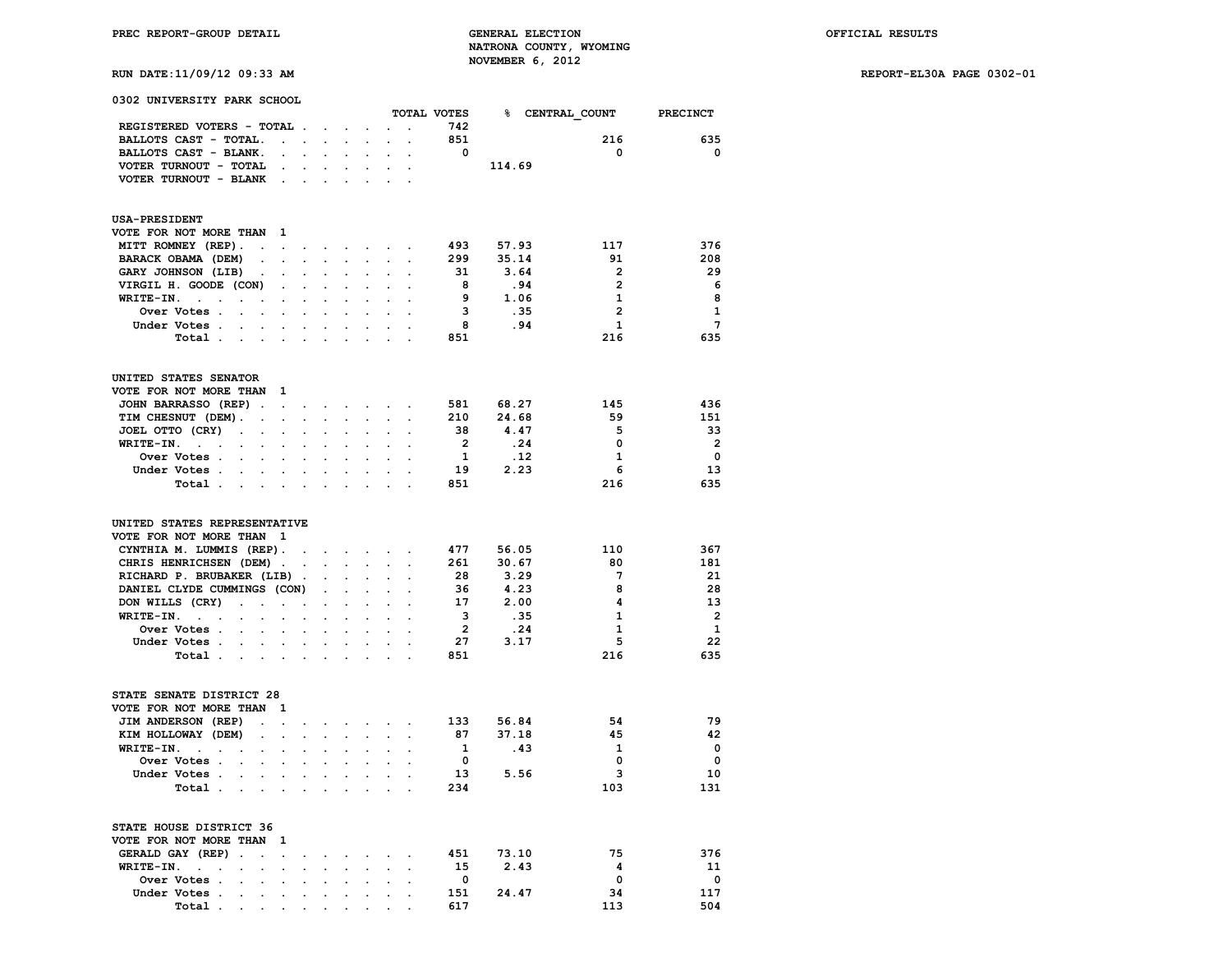**RUN DATE:11/09/12 09:33 AM REPORT-EL30A PAGE 0302-01**

| 0302 UNIVERSITY PARK SCHOOL                                                                  |                      |                      |                      |                      |                      |                      |                      |                         |        |                        |                         |
|----------------------------------------------------------------------------------------------|----------------------|----------------------|----------------------|----------------------|----------------------|----------------------|----------------------|-------------------------|--------|------------------------|-------------------------|
|                                                                                              |                      |                      |                      |                      |                      |                      |                      | TOTAL VOTES             |        | <b>% CENTRAL COUNT</b> | PRECINCT                |
| REGISTERED VOTERS - TOTAL .                                                                  |                      |                      |                      | $\ddot{\phantom{a}}$ |                      |                      | $\overline{a}$       | 742                     |        |                        |                         |
| BALLOTS CAST - TOTAL.                                                                        | $\ddot{\phantom{0}}$ | $\ddot{\phantom{0}}$ |                      | $\sim$               |                      |                      |                      | 851                     |        | 216                    | 635                     |
| BALLOTS CAST - BLANK.                                                                        |                      | $\ddot{\phantom{0}}$ | $\mathbf{r}$         |                      |                      |                      |                      | 0                       |        | 0                      | 0                       |
| VOTER TURNOUT - TOTAL                                                                        | $\ddot{\phantom{0}}$ | $\ddot{\phantom{0}}$ | $\ddot{\phantom{0}}$ | $\ddot{\phantom{0}}$ | $\ddot{\phantom{0}}$ |                      |                      |                         | 114.69 |                        |                         |
| VOTER TURNOUT - BLANK                                                                        | $\ddot{\phantom{a}}$ | $\ddot{\phantom{a}}$ | $\ddot{\phantom{a}}$ | $\cdot$              | $\cdot$              |                      |                      |                         |        |                        |                         |
|                                                                                              |                      |                      |                      |                      |                      |                      |                      |                         |        |                        |                         |
| <b>USA-PRESIDENT</b><br>VOTE FOR NOT MORE THAN                                               | 1.                   |                      |                      |                      |                      |                      |                      |                         |        |                        |                         |
| MITT ROMNEY (REP).<br>$\sim$ $\sim$                                                          | $\ddot{\phantom{a}}$ | $\bullet$ .          |                      |                      | and a strong state   |                      | $\cdot$              | 493                     | 57.93  | 117                    | 376                     |
| BARACK OBAMA (DEM)<br>$\ddot{\phantom{0}}$                                                   |                      |                      |                      |                      | $\ddot{\phantom{0}}$ |                      |                      | 299                     | 35.14  | 91                     | 208                     |
| GARY JOHNSON (LIB)<br>$\bullet$                                                              | $\ddot{\phantom{0}}$ | $\ddot{\phantom{0}}$ | $\ddot{\phantom{0}}$ | $\bullet$            | $\ddot{\phantom{0}}$ | $\ddot{\phantom{0}}$ |                      | 31                      | 3.64   | 2                      | 29                      |
| VIRGIL H. GOODE (CON)                                                                        | $\ddot{\phantom{a}}$ |                      |                      |                      |                      |                      |                      | - 8                     | .94    | $\mathbf{2}$           | - 6                     |
| WRITE-IN.                                                                                    |                      |                      |                      |                      |                      |                      |                      | - 9                     | 1.06   | 1                      | 8                       |
| $\ddot{\phantom{0}}$<br>$\ddot{\phantom{a}}$<br>$\cdot$<br>$\cdot$                           | $\ddot{\phantom{0}}$ | $\ddot{\phantom{0}}$ |                      |                      | $\ddot{\phantom{a}}$ |                      |                      | 3                       | .35    | $\overline{2}$         | $\mathbf{1}$            |
| Over Votes .<br>$\ddot{\phantom{a}}$                                                         |                      |                      |                      |                      |                      |                      |                      |                         |        |                        |                         |
| Under Votes                                                                                  |                      | $\bullet$            |                      | $\ddot{\phantom{0}}$ | $\ddot{\phantom{0}}$ |                      |                      | - 8                     | .94    | $\mathbf{1}$           | $7\phantom{.0}$         |
| Total .<br><b>Contract Contract</b>                                                          |                      | $\cdot$              | $\ddot{\phantom{a}}$ | $\ddot{\phantom{a}}$ | $\cdot$              |                      |                      | 851                     |        | 216                    | 635                     |
| UNITED STATES SENATOR                                                                        |                      |                      |                      |                      |                      |                      |                      |                         |        |                        |                         |
| VOTE FOR NOT MORE THAN                                                                       | 1                    |                      |                      |                      |                      |                      |                      |                         |        |                        |                         |
| JOHN BARRASSO (REP).                                                                         | $\ddot{\phantom{0}}$ | $\ddot{\phantom{0}}$ | $\ddot{\phantom{0}}$ | $\ddot{\phantom{0}}$ | $\sim$               |                      |                      | 581                     | 68.27  | 145                    | 436                     |
| TIM CHESNUT (DEM).<br>$\cdot$                                                                | $\cdot$              |                      |                      |                      |                      |                      |                      | 210                     | 24.68  | 59                     | 151                     |
| JOEL OTTO (CRY)<br>$\bullet$<br>$\ddot{\phantom{a}}$                                         | $\ddot{\phantom{0}}$ | $\ddot{\phantom{0}}$ | $\ddot{\phantom{0}}$ | $\bullet$            | $\bullet$            | $\ddot{\phantom{0}}$ |                      | 38                      | 4.47   | 5                      | 33                      |
| WRITE-IN.<br>$\mathbf{r} = \mathbf{r} \cdot \mathbf{r}$                                      |                      |                      |                      |                      |                      |                      |                      | $\overline{\mathbf{2}}$ | .24    | 0                      | $\overline{\mathbf{2}}$ |
| Over Votes .<br>$\ddot{\phantom{a}}$<br>$\ddot{\phantom{0}}$                                 |                      | $\ddot{\phantom{0}}$ |                      |                      | $\cdot$              |                      |                      | 1                       | .12    | $\mathbf{1}$           | $\mathbf 0$             |
| Under Votes.<br>$\mathbf{r}$<br>$\cdot$                                                      |                      |                      |                      |                      |                      |                      |                      | 19                      | 2.23   | 6                      | 13                      |
| Total .<br><b>Service</b>                                                                    |                      | $\bullet$            |                      |                      |                      |                      |                      | 851                     |        | 216                    | 635                     |
| UNITED STATES REPRESENTATIVE                                                                 |                      |                      |                      |                      |                      |                      |                      |                         |        |                        |                         |
| VOTE FOR NOT MORE THAN                                                                       | $\mathbf{1}$         |                      |                      |                      |                      |                      |                      |                         |        |                        |                         |
| CYNTHIA M. LUMMIS (REP).                                                                     |                      | $\sim$               | $\mathbf{z}$ .       | $\sim$               | $\sim$               | $\sim$               |                      | 477                     | 56.05  | 110                    | 367                     |
| CHRIS HENRICHSEN (DEM).                                                                      |                      | $\bullet$            | $\ddot{\phantom{0}}$ | $\sim 10^{-11}$      | $\blacksquare$       | $\ddot{\phantom{0}}$ | $\ddot{\phantom{a}}$ | 261                     | 30.67  | 80                     | 181                     |
| RICHARD P. BRUBAKER (LIB).                                                                   |                      |                      |                      |                      |                      |                      |                      | 28                      | 3.29   | 7                      | 21                      |
|                                                                                              |                      |                      |                      |                      |                      |                      |                      | 36                      | 4.23   | 8                      | 28                      |
| DANIEL CLYDE CUMMINGS (CON)                                                                  |                      |                      | $\ddot{\phantom{0}}$ | $\ddot{\phantom{0}}$ | $\bullet$            | $\ddot{\phantom{0}}$ |                      |                         |        |                        |                         |
| DON WILLS (CRY)<br>$\ddot{\phantom{a}}$<br>$\ddot{\phantom{0}}$                              | $\ddot{\phantom{0}}$ |                      |                      |                      |                      |                      |                      | 17                      | 2.00   | 4                      | 13                      |
| WRITE-IN.<br>$\ddot{\phantom{0}}$<br>$\cdot$<br>$\ddot{\phantom{a}}$<br>$\ddot{\phantom{a}}$ |                      | $\ddot{\phantom{0}}$ |                      | $\ddot{\phantom{a}}$ | $\cdot$              |                      |                      | 3                       | .35    | 1                      | $\overline{2}$          |
| Over Votes .                                                                                 |                      |                      |                      |                      |                      |                      |                      | $\overline{\mathbf{2}}$ | .24    | 1                      | 1                       |
| Under Votes                                                                                  |                      | $\bullet$            | $\ddot{\phantom{0}}$ | $\bullet$            | $\ddot{\phantom{0}}$ |                      |                      | 27                      | 3.17   | 5                      | 22                      |
| Total .<br>and the company                                                                   |                      | $\ddot{\phantom{0}}$ | $\ddot{\phantom{a}}$ | $\ddot{\phantom{a}}$ | $\cdot$              | $\ddot{\phantom{a}}$ |                      | 851                     |        | 216                    | 635                     |
| STATE SENATE DISTRICT 28                                                                     |                      |                      |                      |                      |                      |                      |                      |                         |        |                        |                         |
| VOTE FOR NOT MORE THAN                                                                       | 1                    |                      |                      |                      |                      |                      |                      |                         |        |                        |                         |
| JIM ANDERSON (REP)<br>$\ddot{\phantom{0}}$                                                   | $\ddot{\phantom{a}}$ | $\ddot{\phantom{0}}$ | $\cdot$              |                      | $\cdot$              |                      | $\overline{a}$       | 133                     | 56.84  | 54                     | 79                      |
| KIM HOLLOWAY (DEM)                                                                           |                      |                      |                      |                      |                      |                      |                      | 87                      | 37.18  | 45                     | 42                      |
| WRITE-IN.<br>$\ddot{\phantom{0}}$<br>$\ddot{\phantom{0}}$<br>$\cdot$<br>$\ddot{\phantom{0}}$ | $\ddot{\phantom{0}}$ | $\ddot{\phantom{0}}$ | $\ddot{\phantom{0}}$ | $\bullet$            | $\bullet$            |                      |                      | -1                      | .43    | 1                      | $\mathbf 0$             |
| Over Votes .                                                                                 |                      |                      |                      |                      |                      |                      |                      | 0                       |        | 0                      | $\mathbf{o}$            |
| Under Votes .<br>$\sim$<br>$\ddot{\phantom{a}}$                                              | $\ddot{\phantom{a}}$ | $\ddot{\phantom{0}}$ |                      | $\cdot$              |                      |                      |                      | 13                      | 5.56   | з                      | 10                      |
| Total                                                                                        |                      |                      |                      |                      |                      |                      |                      | 234                     |        | 103                    | 131                     |
| STATE HOUSE DISTRICT 36                                                                      |                      |                      |                      |                      |                      |                      |                      |                         |        |                        |                         |
| VOTE FOR NOT MORE THAN                                                                       | 1                    |                      |                      |                      |                      |                      |                      |                         |        |                        |                         |
| GERALD GAY (REP).<br>$\sim$                                                                  | $\ddot{\phantom{a}}$ |                      |                      |                      |                      |                      |                      | 451                     | 73.10  | 75                     | 376                     |
| WRITE-IN.<br><b>Contract Contract</b>                                                        | $\overline{a}$       |                      |                      |                      |                      |                      |                      | 15                      | 2.43   | 4                      | 11                      |
| $\ddot{\phantom{0}}$<br>$\ddot{\phantom{a}}$                                                 |                      | $\ddot{\phantom{a}}$ |                      |                      |                      |                      |                      |                         |        |                        | $\mathbf{o}$            |
| Over Votes .<br>$\cdot$<br>$\ddot{\phantom{a}}$                                              | $\ddot{\phantom{a}}$ | $\ddot{\phantom{a}}$ | $\ddot{\phantom{a}}$ |                      |                      |                      |                      | 0                       |        | 0                      |                         |
| Under Votes.                                                                                 |                      |                      |                      |                      |                      |                      |                      | 151                     | 24.47  | 34                     | 117                     |
| Total .                                                                                      |                      |                      |                      |                      |                      |                      |                      | 617                     |        | 113                    | 504                     |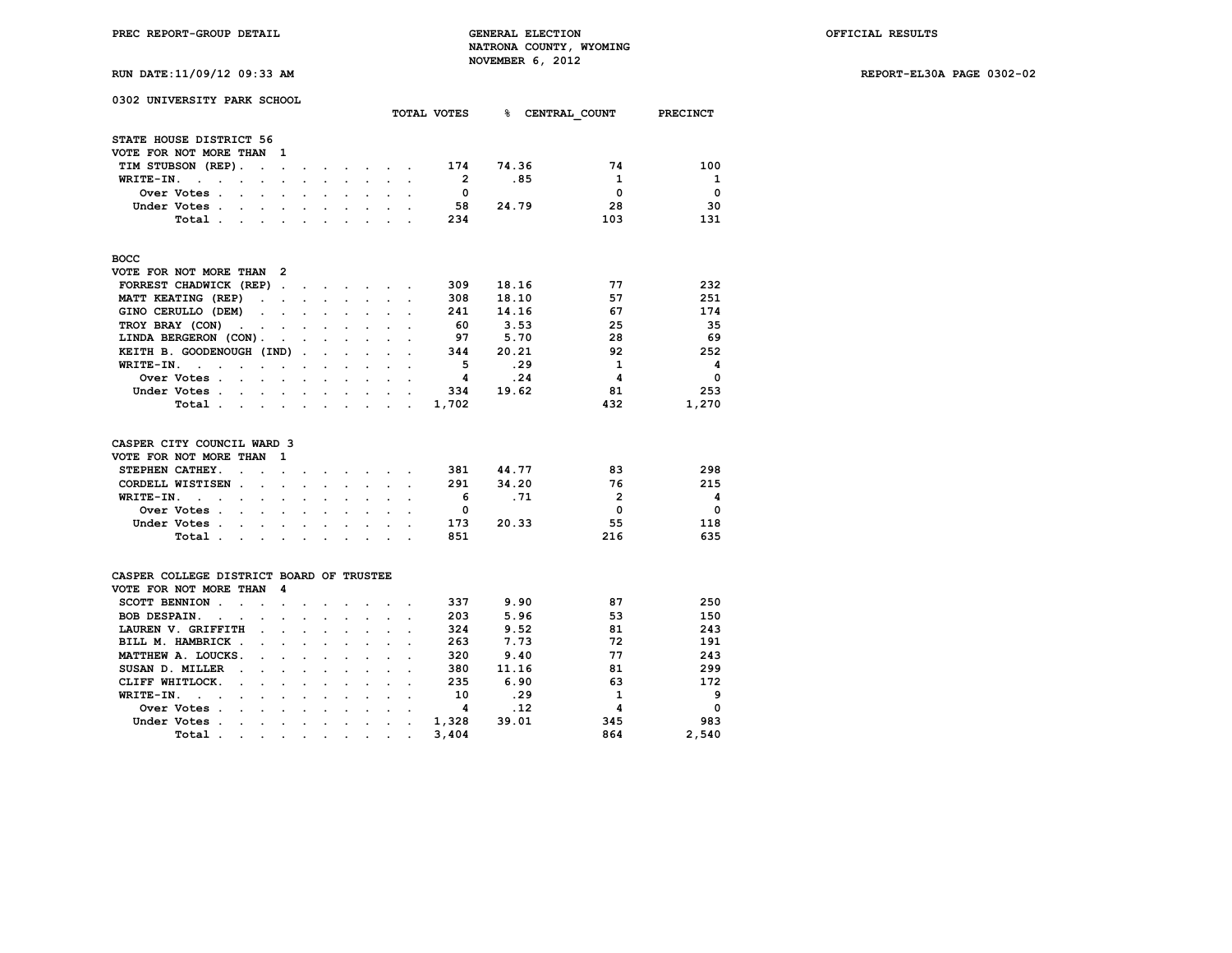**RUN DATE:11/09/12 09:33 AM REPORT-EL30A PAGE 0302-02**

| 0302 UNIVERSITY PARK SCHOOL                                               |                                              |                                               |                      |                      |                      |                      |                |       |                   |                         |
|---------------------------------------------------------------------------|----------------------------------------------|-----------------------------------------------|----------------------|----------------------|----------------------|----------------------|----------------|-------|-------------------|-------------------------|
|                                                                           |                                              |                                               |                      |                      |                      |                      | TOTAL VOTES    | ℁     | CENTRAL COUNT     | <b>PRECINCT</b>         |
| STATE HOUSE DISTRICT 56                                                   |                                              |                                               |                      |                      |                      |                      |                |       |                   |                         |
| VOTE FOR NOT MORE THAN                                                    | 1                                            |                                               |                      |                      |                      |                      |                |       |                   |                         |
| TIM STUBSON (REP).<br>$\ddot{\phantom{a}}$                                | $\cdot$                                      |                                               |                      | $\sim$               |                      |                      | 174            | 74.36 | 74                | 100                     |
| WRITE-IN.<br>$\mathbf{r}$<br>$\ddot{\phantom{a}}$<br>$\ddot{\phantom{a}}$ | $\ddot{\phantom{a}}$                         | $\ddot{\phantom{0}}$                          | $\mathbf{r}$         |                      |                      |                      | $\overline{2}$ | .85   | 1                 | 1                       |
| $\cdot$<br>Over Votes.                                                    | $\ddot{\phantom{0}}$                         |                                               |                      | $\sim$               | $\ddot{\phantom{a}}$ | $\cdot$              | 0              |       | $\Omega$          | $\mathbf 0$             |
| $\ddot{\phantom{a}}$<br>Under Votes.                                      |                                              |                                               |                      |                      |                      |                      | 58             | 24.79 | 28                | 30                      |
| $\mathbf{r}$<br>$\overline{a}$                                            | $\ddot{\phantom{0}}$<br>$\ddot{\phantom{a}}$ | $\ddot{\phantom{0}}$                          | $\ddot{\phantom{0}}$ | $\ddot{\phantom{a}}$ | $\ddot{\phantom{a}}$ |                      | 234            |       | 103               | 131                     |
| Total.                                                                    |                                              |                                               |                      |                      |                      |                      |                |       |                   |                         |
| <b>BOCC</b>                                                               |                                              |                                               |                      |                      |                      |                      |                |       |                   |                         |
| VOTE FOR NOT MORE THAN                                                    | 2                                            |                                               |                      |                      |                      |                      |                |       |                   |                         |
| FORREST CHADWICK (REP).                                                   |                                              | <b><i>Command Command Command Command</i></b> |                      | $\sim$               | $\sim$               |                      | 309            | 18.16 | 77                | 232                     |
| MATT KEATING (REP)<br>$\ddot{\phantom{a}}$                                |                                              |                                               |                      |                      |                      |                      | 308            | 18.10 | 57                | 251                     |
| GINO CERULLO (DEM)                                                        | $\ddot{\phantom{a}}$<br>$\ddot{\phantom{a}}$ |                                               |                      |                      |                      |                      | 241            | 14.16 | 67                | 174                     |
| $\ddot{\phantom{a}}$                                                      | $\ddot{\phantom{0}}$                         |                                               |                      |                      |                      |                      | 60             | 3.53  | 25                | 35                      |
| TROY BRAY (CON)                                                           | $\ddot{\phantom{a}}$                         |                                               |                      |                      |                      |                      | 97             | 5.70  | 28                | 69                      |
| LINDA BERGERON (CON).                                                     | $\ddot{\phantom{a}}$                         |                                               |                      |                      |                      |                      |                |       |                   |                         |
| KEITH B. GOODENOUGH (IND).                                                |                                              | $\ddot{\phantom{0}}$                          | $\mathbf{r}$         | $\ddot{\phantom{0}}$ | $\ddot{\phantom{a}}$ |                      | 344            | 20.21 | 92                | 252                     |
| WRITE-IN.<br>$\sim$ $\sim$                                                |                                              |                                               |                      |                      |                      |                      | - 5            | .29   | $\mathbf{1}$<br>4 | -4<br>$\mathbf 0$       |
| Over Votes .                                                              | $\ddot{\phantom{a}}$                         | $\ddot{\phantom{a}}$                          |                      | $\ddot{\phantom{a}}$ |                      | $\cdot$              | 4              | .24   |                   |                         |
| Under Votes .                                                             |                                              |                                               |                      | $\sim$               |                      |                      | 334            | 19.62 | 81                | 253                     |
| Total.<br>$\ddot{\phantom{0}}$<br>$\bullet$                               | $\ddot{\phantom{0}}$<br>$\bullet$ .          | $\ddot{\phantom{0}}$                          | $\bullet$ .          | $\blacksquare$       | $\sim$               | $\ddot{\phantom{a}}$ | 1,702          |       | 432               | 1,270                   |
| CASPER CITY COUNCIL WARD 3                                                |                                              |                                               |                      |                      |                      |                      |                |       |                   |                         |
| VOTE FOR NOT MORE THAN                                                    | 1                                            |                                               |                      |                      |                      |                      |                |       |                   |                         |
| STEPHEN CATHEY.                                                           |                                              |                                               |                      |                      |                      |                      | 381            | 44.77 | 83                | 298                     |
| CORDELL WISTISEN.                                                         |                                              |                                               |                      | $\ddot{\phantom{a}}$ |                      |                      | 291            | 34.20 | 76                | 215                     |
| $\ddot{\phantom{0}}$<br>WRITE-IN.                                         | $\ddot{\phantom{a}}$                         | $\ddot{\phantom{a}}$                          | $\ddot{\phantom{0}}$ | $\ddot{\phantom{0}}$ |                      |                      | 6              | .71   | $\overline{2}$    | $\overline{\mathbf{4}}$ |
| $\ddot{\phantom{0}}$<br>$\cdot$<br>$\cdot$<br>Over Votes .                |                                              |                                               |                      |                      |                      |                      | 0              |       | $\Omega$          | $\mathbf{0}$            |
| $\ddot{\phantom{a}}$<br>$\ddot{\phantom{a}}$                              | $\ddot{\phantom{a}}$<br>$\ddot{\phantom{a}}$ | $\ddot{\phantom{a}}$                          | $\cdot$              | $\ddot{\phantom{a}}$ |                      |                      |                |       |                   |                         |
| Under Votes .<br>$\mathbf{r}$                                             |                                              |                                               |                      |                      |                      |                      | 173            | 20.33 | 55                | 118                     |
| Total.<br>$\sim$ $\sim$                                                   | $\ddot{\phantom{0}}$<br>$\ddot{\phantom{0}}$ | $\ddot{\phantom{0}}$                          | $\sim$               | $\cdot$              | $\ddot{\phantom{0}}$ | $\ddot{\phantom{0}}$ | 851            |       | 216               | 635                     |
| CASPER COLLEGE DISTRICT BOARD OF TRUSTEE                                  |                                              |                                               |                      |                      |                      |                      |                |       |                   |                         |
| VOTE FOR NOT MORE THAN                                                    | 4                                            |                                               |                      |                      |                      |                      |                |       |                   |                         |
| SCOTT BENNION.<br>$\ddot{\phantom{0}}$                                    |                                              |                                               |                      |                      |                      |                      | 337            | 9.90  | 87                | 250                     |
| BOB DESPAIN.<br>$\ddot{\phantom{a}}$<br>$\cdot$                           |                                              |                                               |                      |                      |                      |                      | 203            | 5.96  | 53                | 150                     |
| LAUREN V. GRIFFITH                                                        |                                              |                                               |                      |                      |                      |                      | 324            | 9.52  | 81                | 243                     |
| BILL M. HAMBRICK.                                                         |                                              |                                               |                      |                      |                      |                      | 263            | 7.73  | 72                | 191                     |
| MATTHEW A. LOUCKS.                                                        |                                              | $\overline{a}$                                |                      | $\overline{a}$       |                      |                      | 320            | 9.40  | 77                | 243                     |
| SUSAN D. MILLER                                                           |                                              |                                               |                      |                      |                      |                      | 380            | 11.16 | 81                | 299                     |
| CLIFF WHITLOCK.                                                           |                                              |                                               |                      |                      |                      |                      | 235            | 6.90  | 63                | 172                     |
| WRITE-IN.                                                                 | $\ddot{\phantom{a}}$<br>$\cdot$              | $\ddot{\phantom{a}}$                          | $\ddot{\phantom{a}}$ | $\cdot$              | $\cdot$              |                      | 10             | .29   | 1                 | 9                       |
| $\cdot$<br>$\sim$<br>Over Votes .                                         |                                              |                                               |                      |                      |                      |                      | 4              | .12   | 4                 | $\Omega$                |
| Under Votes .                                                             | $\ddot{\phantom{a}}$<br>$\ddot{\phantom{a}}$ | $\ddot{\phantom{a}}$                          | $\bullet$            | $\blacksquare$       | $\ddot{\phantom{0}}$ |                      |                | 39.01 | 345               | 983                     |
| $\ddot{\phantom{a}}$<br>Total.                                            | $\ddot{\phantom{a}}$<br>$\ddot{\phantom{a}}$ | $\cdot$                                       | $\ddot{\phantom{a}}$ | $\ddot{\phantom{a}}$ |                      |                      | 1,328<br>3,404 |       | 864               | 2,540                   |
| $\bullet$                                                                 | $\bullet$                                    |                                               |                      |                      |                      |                      |                |       |                   |                         |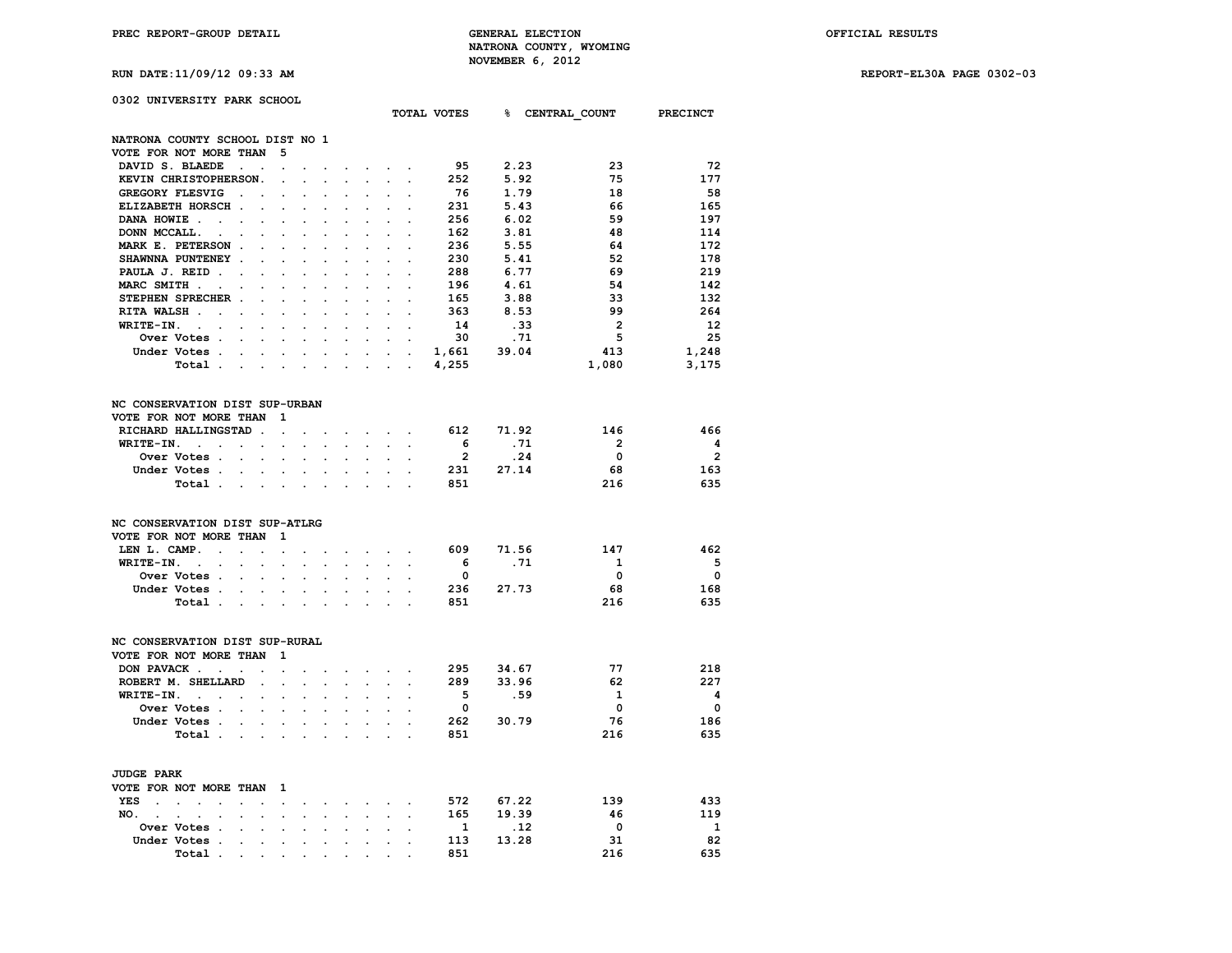## **0302 UNIVERSITY PARK SCHOOL**

|                                                                                                                                               |                                                    |                                                   |                      |                      |                      |                                                       |                               |                                    |                         |             | TOTAL VOTES 8 CENTRAL COUNT PRECINCT |                         |
|-----------------------------------------------------------------------------------------------------------------------------------------------|----------------------------------------------------|---------------------------------------------------|----------------------|----------------------|----------------------|-------------------------------------------------------|-------------------------------|------------------------------------|-------------------------|-------------|--------------------------------------|-------------------------|
| NATRONA COUNTY SCHOOL DIST NO 1                                                                                                               |                                                    |                                                   |                      |                      |                      |                                                       |                               |                                    |                         |             |                                      |                         |
| VOTE FOR NOT MORE THAN                                                                                                                        |                                                    | 5                                                 |                      |                      |                      |                                                       |                               |                                    |                         |             |                                      |                         |
| DAVID S. BLAEDE                                                                                                                               | $\sim 10^{-11}$ $\sim$                             |                                                   |                      |                      |                      |                                                       |                               |                                    | 95                      | 2.23        | 23                                   | -72                     |
| KEVIN CHRISTOPHERSON.                                                                                                                         |                                                    | $\ddot{\phantom{a}}$                              |                      |                      |                      |                                                       |                               |                                    | 252                     | 5.92        | 75                                   | 177                     |
| GREGORY FLESVIG                                                                                                                               | $\ddot{\phantom{a}}$<br>$\ddot{\phantom{a}}$       | $\cdot$                                           | $\ddot{\phantom{a}}$ | $\ddot{\phantom{a}}$ |                      | $\ddot{\phantom{a}}$                                  | $\cdot$                       | $\ddot{\phantom{a}}$               | 76                      | 1.79        | 18                                   | 58                      |
| ELIZABETH HORSCH.                                                                                                                             |                                                    |                                                   |                      |                      |                      |                                                       |                               |                                    | 231                     | 5.43        | 66                                   | 165                     |
| DANA HOWIE.                                                                                                                                   |                                                    |                                                   |                      |                      |                      |                                                       |                               |                                    | 256                     | 6.02        | 59                                   | 197                     |
| $\sim$ $\sim$<br>DONN MCCALL.                                                                                                                 | $\ddot{\phantom{a}}$                               |                                                   |                      |                      |                      |                                                       |                               |                                    |                         |             | 48                                   | 114                     |
| $\sim$                                                                                                                                        |                                                    |                                                   |                      |                      |                      |                                                       |                               |                                    | 162                     | 3.81        |                                      |                         |
| MARK E. PETERSON.                                                                                                                             |                                                    |                                                   |                      |                      |                      |                                                       |                               |                                    | 236                     | 5.55        | 64                                   | 172                     |
| SHAWNNA PUNTENEY .                                                                                                                            | $\cdot$                                            | $\ddot{\phantom{a}}$                              |                      |                      |                      | $\cdot$                                               |                               | $\cdot$                            | 230                     | 5.41        | 52                                   | 178                     |
| PAULA J. REID.<br>$\sim$                                                                                                                      | $\ddot{\phantom{a}}$                               | $\ddot{\phantom{a}}$                              |                      |                      |                      | $\ddot{\phantom{a}}$                                  |                               |                                    | 288                     | 6.77        | 69                                   | 219                     |
| MARC SMITH.<br>$\overline{\phantom{a}}$                                                                                                       |                                                    |                                                   |                      |                      |                      |                                                       |                               |                                    | 196                     | 4.61        | 54                                   | 142                     |
| STEPHEN SPRECHER .                                                                                                                            | $\ddot{\phantom{a}}$                               | $\ddot{\phantom{a}}$                              |                      |                      |                      | $\overline{a}$                                        | $\overline{a}$                |                                    | 165                     | 3.88        | 33                                   | 132                     |
| RITA WALSH<br>$\overline{\phantom{a}}$                                                                                                        | $\cdot$                                            | $\cdot$                                           | $\ddot{\phantom{a}}$ | $\cdot$              | $\ddot{\phantom{a}}$ | $\ddot{\phantom{0}}$                                  | $\ddot{\phantom{a}}$          |                                    | 363                     | 8.53        | 99                                   | 264                     |
| WRITE-IN.<br>$\sim 10^{-11}$<br>$\ddot{\phantom{a}}$                                                                                          |                                                    |                                                   |                      |                      |                      |                                                       |                               |                                    | 14                      | .33         | $\overline{2}$                       | 12                      |
| Over Votes .                                                                                                                                  | $\ddot{\phantom{a}}$                               |                                                   |                      |                      |                      |                                                       |                               | $\cdot$                            | 30                      | .71         | 5                                    | 25                      |
| Under Votes .                                                                                                                                 | $\bullet$ .                                        | $\ddot{\phantom{0}}$<br>$\mathbf{L}^{\text{max}}$ | $\ddot{\phantom{0}}$ | $\bullet$            | $\bullet$            | $\ddot{\phantom{a}}$                                  | $\sim$                        | $\sim$                             | 1,661                   | 39.04       | 413                                  | 1,248                   |
| Total.                                                                                                                                        | $\sim$                                             | $\mathcal{L}^{\text{max}}$<br>$\sim$              |                      |                      |                      |                                                       | $\sim$ $\sim$                 | $\cdot$                            | 4,255                   |             | 1,080                                | 3,175                   |
| NC CONSERVATION DIST SUP-URBAN                                                                                                                |                                                    |                                                   |                      |                      |                      |                                                       |                               |                                    |                         |             |                                      |                         |
| VOTE FOR NOT MORE THAN                                                                                                                        |                                                    | $\mathbf 1$                                       |                      |                      |                      |                                                       |                               |                                    |                         |             |                                      |                         |
| RICHARD HALLINGSTAD.                                                                                                                          |                                                    | $\ddot{\phantom{a}}$                              |                      |                      |                      | $\mathbf{r} = \mathbf{r}$ , $\mathbf{r} = \mathbf{r}$ |                               |                                    |                         | 612 71.92   | 146                                  | 466                     |
| WRITE-IN.<br>$\mathcal{A}^{\mathcal{A}}$ and $\mathcal{A}^{\mathcal{A}}$ are $\mathcal{A}^{\mathcal{A}}$ . In the $\mathcal{A}^{\mathcal{A}}$ |                                                    | $\bullet$                                         | $\sim$               | $\ddot{\phantom{0}}$ | $\ddot{\phantom{a}}$ |                                                       | $\sim$ $\sim$                 | $\ddot{\phantom{a}}$               | 6 <sup>6</sup>          | .71         | $\overline{2}$                       | $\overline{\mathbf{4}}$ |
| Over Votes .                                                                                                                                  | $\sim$                                             |                                                   |                      |                      |                      |                                                       |                               |                                    | $\overline{2}$          | .24         | $\overline{\mathbf{0}}$              | $\overline{\mathbf{2}}$ |
| Under Votes.                                                                                                                                  | $\sim$ $\sim$                                      | $\sim$<br>$\sim$                                  |                      |                      |                      |                                                       |                               |                                    |                         | 231 27.14   | 68                                   | 163                     |
| Total.                                                                                                                                        | $\sim$ $\sim$<br>$\ddot{\phantom{a}}$              | $\ddot{\phantom{0}}$                              | $\cdot$              | $\ddot{\phantom{a}}$ |                      |                                                       | $\overline{a}$                | $\ddot{\phantom{a}}$               | 851                     |             | 216                                  | 635                     |
| NC CONSERVATION DIST SUP-ATLRG<br>VOTE FOR NOT MORE THAN                                                                                      |                                                    | 1                                                 |                      |                      |                      |                                                       |                               |                                    |                         |             |                                      |                         |
| LEN L. CAMP.<br>$\sim$                                                                                                                        | $\sim$ $\sim$<br>s.                                | $\ddot{\phantom{a}}$                              | $\ddot{\phantom{a}}$ | $\ddot{\phantom{0}}$ | $\sim$               |                                                       |                               | $\sim$ $\sim$ $\sim$ $\sim$ $\sim$ |                         | 609 71.56   | 147                                  | 462                     |
| WRITE-IN.<br><b>Contract Contract</b>                                                                                                         | $\mathcal{L}^{\text{max}}$<br>$\ddot{\phantom{a}}$ | $\sim$                                            |                      | $\ddot{\phantom{0}}$ | $\ddot{\phantom{a}}$ | $\ddot{\phantom{0}}$                                  | $\ddot{\phantom{a}}$          | $\ddot{\phantom{a}}$               | 6                       | .71         | $\mathbf{1}$                         | $-5$                    |
| <b>Over Votes .</b>                                                                                                                           | $\ddot{\phantom{a}}$<br>$\ddot{\phantom{a}}$       |                                                   |                      |                      |                      |                                                       |                               |                                    | $\overline{\mathbf{0}}$ |             | 0                                    | $\overline{\mathbf{0}}$ |
| Under Votes.                                                                                                                                  |                                                    |                                                   |                      |                      |                      |                                                       |                               |                                    |                         | 27.73       | 68                                   | 168                     |
|                                                                                                                                               | <b>Contract Contract</b>                           | $\ddot{\phantom{0}}$<br>$\ddot{\phantom{0}}$      | $\sim$               | $\ddot{\phantom{0}}$ | $\ddot{\phantom{a}}$ | $\ddot{\phantom{a}}$                                  | $\ddot{\phantom{a}}$          |                                    | 236                     |             |                                      |                         |
| Total.                                                                                                                                        | $\sim 100$ km s $^{-1}$                            | $\sim$<br>$\sim$                                  | $\bullet$            |                      |                      | $\ddot{\phantom{a}}$                                  | $\ddot{\phantom{a}}$          |                                    | 851                     |             | 216                                  | 635                     |
| NC CONSERVATION DIST SUP-RURAL                                                                                                                |                                                    |                                                   |                      |                      |                      |                                                       |                               |                                    |                         |             |                                      |                         |
| VOTE FOR NOT MORE THAN                                                                                                                        |                                                    | 1                                                 |                      |                      |                      |                                                       |                               |                                    |                         |             |                                      |                         |
| DON PAVACK                                                                                                                                    | $\sim$                                             | $\ddot{\phantom{a}}$                              |                      |                      | $\mathbf{r}$         |                                                       | $\sim$ $\sim$                 |                                    | 295                     | 34.67       | 77                                   | 218                     |
| ROBERT M. SHELLARD                                                                                                                            | $\sim$ $\sim$                                      | $\mathbf{r}$                                      | $\mathbf{r}$         | $\sim$               | s.                   | $\ddotsc$                                             |                               | $\sim$ $\sim$                      | 289                     | 33.96       | 62                                   | 227                     |
| WRITE-IN.<br><b>Contract Contract</b>                                                                                                         | $\bullet$                                          | $\ddot{\phantom{0}}$                              | $\ddot{\phantom{a}}$ | $\cdot$              | $\overline{a}$       | $\ddot{\phantom{a}}$                                  | $\ddot{\phantom{a}}$          |                                    | $-5$                    | .59         | 1                                    | $\overline{\mathbf{4}}$ |
| Over Votes .                                                                                                                                  | $\sim$                                             |                                                   |                      |                      |                      |                                                       |                               |                                    | $\overline{\mathbf{0}}$ |             | $\overline{\mathbf{0}}$              | $\overline{\mathbf{0}}$ |
| Under Votes                                                                                                                                   |                                                    | $\sim$<br>$\sim$                                  | $\sim$               | $\sim$               | $\sim$               | $\sim$                                                | $\ddot{\phantom{0}}$          | $\sim$                             | 262                     | 30.79       | 76                                   | 186                     |
| Total.                                                                                                                                        | $\sim$ $\sim$ $\sim$ $\sim$                        | $\ddot{\phantom{0}}$                              | $\sim$               | $\mathbf{r}$         | $\sim$               | $\mathbf{r}$                                          | $\overline{a}$                | $\overline{a}$                     | 851                     |             | 216                                  | 635                     |
|                                                                                                                                               |                                                    |                                                   |                      |                      |                      |                                                       |                               |                                    |                         |             |                                      |                         |
| <b>JUDGE PARK</b>                                                                                                                             |                                                    |                                                   |                      |                      |                      |                                                       |                               |                                    |                         |             |                                      |                         |
| VOTE FOR NOT MORE THAN                                                                                                                        |                                                    | $\mathbf{1}$                                      |                      |                      |                      |                                                       |                               |                                    |                         |             |                                      |                         |
| YES<br>$\ddot{\phantom{a}}$<br>$\ddot{\phantom{a}}$                                                                                           | $\ddot{\phantom{a}}$                               | $\ddot{\phantom{0}}$                              |                      |                      |                      |                                                       | $\mathbf{r}$ and $\mathbf{r}$ |                                    |                         | 572 67.22   | 139                                  | 433                     |
| NO.<br><b>Contract Contract</b><br>$\ddot{\phantom{0}}$                                                                                       | $\ddot{\phantom{0}}$<br>$\bullet$                  | $\ddot{\phantom{0}}$                              | $\ddot{\phantom{a}}$ | $\ddot{\phantom{0}}$ | $\ddot{\phantom{a}}$ | $\ddot{\phantom{0}}$                                  | $\ddot{\phantom{a}}$          | $\ddot{\phantom{a}}$               | 165                     | 19.39       | 46                                   | 119                     |
| Over Votes .                                                                                                                                  |                                                    |                                                   |                      |                      |                      |                                                       |                               |                                    | $\mathbf{1}$            | $\ldots$ 12 | $\overline{\phantom{0}}$             | $\mathbf{1}$            |
| Under Votes .                                                                                                                                 | $\ddot{\phantom{0}}$<br>$\bullet$                  | $\bullet$                                         | $\ddot{\phantom{0}}$ | $\ddot{\phantom{0}}$ | $\ddot{\phantom{0}}$ | $\ddot{\phantom{0}}$                                  | $\ddot{\phantom{0}}$          | $\ddot{\phantom{0}}$               | 113                     | 13.28       | 31                                   | 82                      |
| Total.                                                                                                                                        | $\bullet$                                          |                                                   |                      |                      |                      |                                                       |                               |                                    | 851                     |             | 216                                  | 635                     |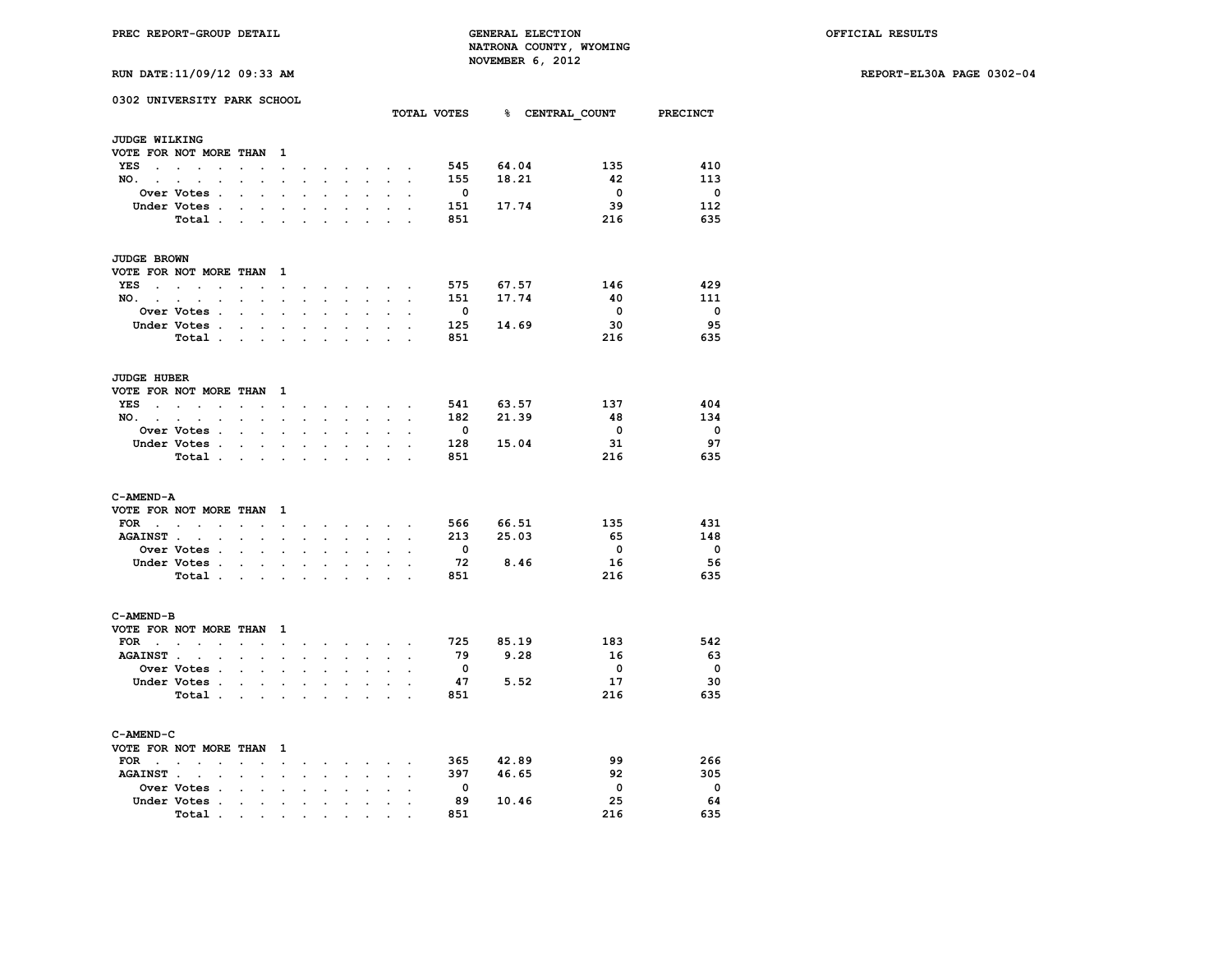**RUN DATE:11/09/12 09:33 AM REPORT-EL30A PAGE 0302-04**

| PREC REPORT-GROUP DETAIL<br>RUN DATE: 11/09/12 09:33 AM |             |  |  |  |  |  |  |                                   |                | <b>GENERAL ELECTION</b><br>NOVEMBER 6, 2012 |              | NATRONA COUNTY, WYOMING |      | OFFICIAL RESULTS     |                 |              |
|---------------------------------------------------------|-------------|--|--|--|--|--|--|-----------------------------------|----------------|---------------------------------------------|--------------|-------------------------|------|----------------------|-----------------|--------------|
|                                                         |             |  |  |  |  |  |  |                                   |                |                                             |              |                         |      |                      |                 | REPORT-EL301 |
| 0302 UNIVERSITY PARK SCHOOL                             |             |  |  |  |  |  |  |                                   |                |                                             | TOTAL VOTES  | ୫                       |      | <b>CENTRAL COUNT</b> | <b>PRECINCT</b> |              |
| <b>JUDGE WILKING</b>                                    |             |  |  |  |  |  |  |                                   |                |                                             |              |                         |      |                      |                 |              |
| VOTE FOR NOT MORE THAN 1                                |             |  |  |  |  |  |  |                                   |                |                                             |              |                         |      |                      |                 |              |
| YES                                                     |             |  |  |  |  |  |  |                                   |                |                                             | 545          | 64.04                   |      | 135                  | 410             |              |
| NO.                                                     |             |  |  |  |  |  |  |                                   |                |                                             | 155          | 18.21                   |      | 42                   | 113             |              |
|                                                         | Over Votes  |  |  |  |  |  |  |                                   |                |                                             | 0            |                         |      | $\mathbf 0$          | $\mathbf 0$     |              |
|                                                         | Under Votes |  |  |  |  |  |  |                                   |                |                                             | 151          | 17.74                   |      | 39                   | 112             |              |
|                                                         | Total       |  |  |  |  |  |  |                                   |                |                                             | 851          |                         |      | 216                  | 635             |              |
| <b>JUDGE BROWN</b>                                      |             |  |  |  |  |  |  |                                   |                |                                             |              |                         |      |                      |                 |              |
| VOTE FOR NOT MORE THAN 1                                |             |  |  |  |  |  |  |                                   |                |                                             |              |                         |      |                      |                 |              |
| YES                                                     |             |  |  |  |  |  |  |                                   |                |                                             | 575          | 67.57                   |      | 146                  | 429             |              |
| NO.                                                     |             |  |  |  |  |  |  |                                   |                |                                             | 151          | 17.74                   |      | 40                   | 111             |              |
|                                                         | Over Votes  |  |  |  |  |  |  |                                   |                |                                             | 0            |                         |      | $\mathbf{o}$         | $\mathbf 0$     |              |
|                                                         | Under Votes |  |  |  |  |  |  | <b>Contract Contract Contract</b> |                |                                             | 125          | 14.69                   |      | 30                   | 95              |              |
|                                                         | Total       |  |  |  |  |  |  |                                   |                |                                             | 851          |                         |      | 216                  | 635             |              |
| <b>JUDGE HUBER</b>                                      |             |  |  |  |  |  |  |                                   |                |                                             |              |                         |      |                      |                 |              |
| VOTE FOR NOT MORE THAN 1                                |             |  |  |  |  |  |  |                                   |                |                                             |              |                         |      |                      |                 |              |
| YES.                                                    |             |  |  |  |  |  |  |                                   |                |                                             | 541          | 63.57                   |      | 137                  | 404             |              |
| NO.                                                     |             |  |  |  |  |  |  |                                   |                |                                             | 182          | 21.39                   |      | 48                   | 134             |              |
|                                                         | Over Votes  |  |  |  |  |  |  |                                   |                |                                             | $\mathbf{o}$ |                         |      | $\mathbf{o}$         | $\mathbf 0$     |              |
|                                                         | Under Votes |  |  |  |  |  |  |                                   |                | $\sim$                                      | 128          | 15.04                   |      | 31                   | 97              |              |
|                                                         | Total       |  |  |  |  |  |  |                                   |                |                                             | 851          |                         |      | 216                  | 635             |              |
| C-AMEND-A                                               |             |  |  |  |  |  |  |                                   |                |                                             |              |                         |      |                      |                 |              |
| VOTE FOR NOT MORE THAN 1                                |             |  |  |  |  |  |  |                                   |                |                                             |              |                         |      |                      |                 |              |
| FOR $\qquad \qquad$                                     |             |  |  |  |  |  |  |                                   |                |                                             | 566          | 66.51                   |      | 135                  | 431             |              |
| AGAINST                                                 |             |  |  |  |  |  |  |                                   |                | $\sim$                                      | 213          | 25.03                   |      | 65                   | 148             |              |
|                                                         | Over Votes  |  |  |  |  |  |  |                                   |                |                                             | 0            |                         |      | 0                    | $\mathbf 0$     |              |
|                                                         | Under Votes |  |  |  |  |  |  |                                   |                |                                             | 72           |                         | 8.46 | 16                   | 56              |              |
|                                                         | Total       |  |  |  |  |  |  |                                   |                |                                             | 851          |                         |      | 216                  | 635             |              |
| C-AMEND-B                                               |             |  |  |  |  |  |  |                                   |                |                                             |              |                         |      |                      |                 |              |
| VOTE FOR NOT MORE THAN 1                                |             |  |  |  |  |  |  |                                   |                |                                             |              |                         |      |                      |                 |              |
| FOR $\cdots$                                            |             |  |  |  |  |  |  |                                   |                |                                             | 725          | 85.19                   |      | 183                  | 542             |              |
| AGAINST                                                 |             |  |  |  |  |  |  |                                   |                |                                             | 79           |                         | 9.28 | 16                   | 63              |              |
|                                                         | Over Votes  |  |  |  |  |  |  | $\sim$                            | $\overline{a}$ |                                             | 0            |                         |      | $\mathbf{o}$         | $\mathbf{o}$    |              |
|                                                         | Under Votes |  |  |  |  |  |  |                                   |                |                                             | 47           |                         | 5.52 | 17                   | 30              |              |
|                                                         | Total       |  |  |  |  |  |  |                                   |                |                                             | 851          |                         |      | 216                  | 635             |              |
| C-AMEND-C<br>VOTE FOR NOT MORE THAN 1                   |             |  |  |  |  |  |  |                                   |                |                                             |              |                         |      |                      |                 |              |

| VOTE FOR NOT MORE THAN 1                                                          |       |  |  |  |  |     |       |     |     |
|-----------------------------------------------------------------------------------|-------|--|--|--|--|-----|-------|-----|-----|
| FOR $\cdot$ , $\cdot$ , $\cdot$ , $\cdot$ , $\cdot$ , $\cdot$ , $\cdot$ , $\cdot$ |       |  |  |  |  | 365 | 42.89 | 99  | 266 |
| AGAINST                                                                           |       |  |  |  |  | 397 | 46.65 | 92  | 305 |
|                                                                                   |       |  |  |  |  |     |       | n.  |     |
| Under Votes                                                                       |       |  |  |  |  | 89  | 10.46 | 25  | 64  |
|                                                                                   | Total |  |  |  |  | 851 |       | 216 | 635 |
|                                                                                   |       |  |  |  |  |     |       |     |     |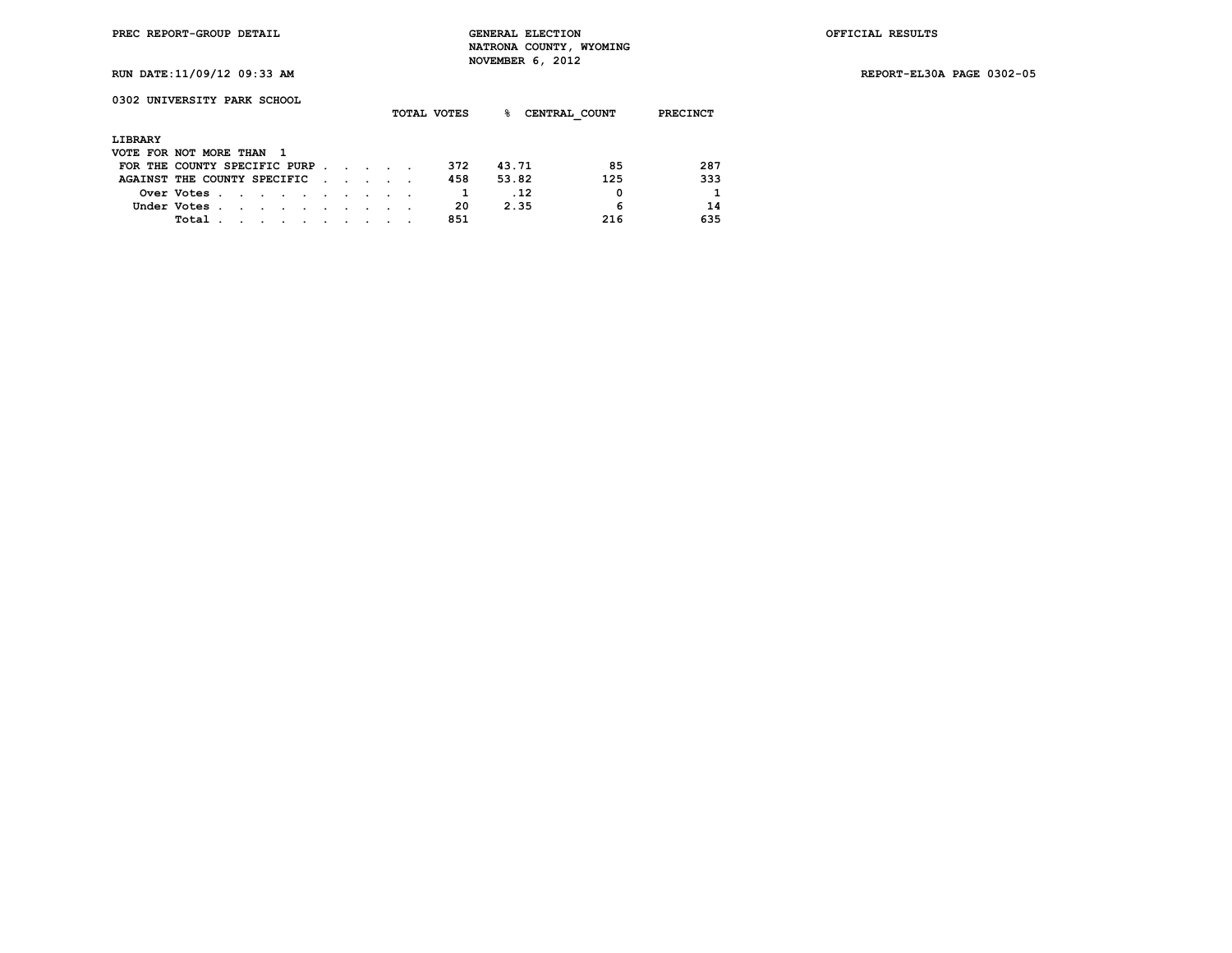**RUN DATE:11/09/12 09:33 AM REPORT-EL30A PAGE 0302-05**

**0302 UNIVERSITY PARK SCHOOL**

|                              |             |  |        |                                                                                                                 |  |                             |  | TOTAL VOTES | ዱ     | CENTRAL COUNT | <b>PRECINCT</b> |
|------------------------------|-------------|--|--------|-----------------------------------------------------------------------------------------------------------------|--|-----------------------------|--|-------------|-------|---------------|-----------------|
| LIBRARY                      |             |  |        |                                                                                                                 |  |                             |  |             |       |               |                 |
| VOTE FOR NOT MORE THAN 1     |             |  |        |                                                                                                                 |  |                             |  |             |       |               |                 |
| FOR THE COUNTY SPECIFIC PURP |             |  |        |                                                                                                                 |  |                             |  | 372         | 43.71 | 85            | 287             |
| AGAINST THE COUNTY SPECIFIC  |             |  |        |                                                                                                                 |  | $\sim$ $\sim$ $\sim$ $\sim$ |  | 458         | 53.82 | 125           | 333             |
|                              | Over Votes  |  |        |                                                                                                                 |  |                             |  |             | .12   | 0             | 1               |
|                              | Under Votes |  |        |                                                                                                                 |  |                             |  | 20          | 2.35  | 6             | 14              |
|                              | Total       |  | $\sim$ | the contract of the contract of the contract of the contract of the contract of the contract of the contract of |  |                             |  | 851         |       | 216           | 635             |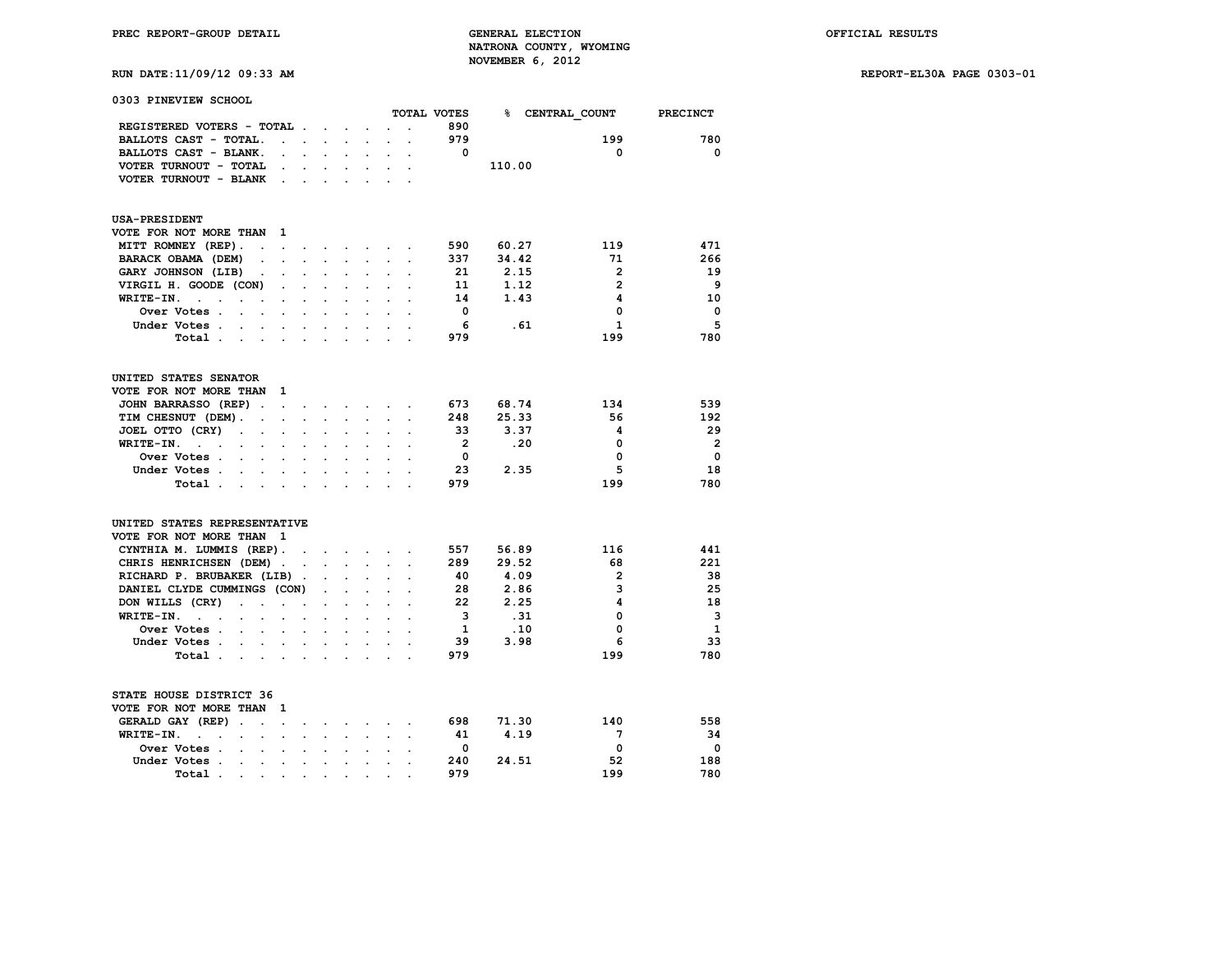## **RUN DATE:11/09/12 09:33 AM REPORT-EL30A PAGE 0303-01**

| 0303 PINEVIEW SCHOOL                                                                                  |                      |                      |                      |                                          |                      |                      |                |        |                 |                 |
|-------------------------------------------------------------------------------------------------------|----------------------|----------------------|----------------------|------------------------------------------|----------------------|----------------------|----------------|--------|-----------------|-----------------|
|                                                                                                       |                      |                      |                      |                                          |                      |                      | TOTAL VOTES    | ℁      | CENTRAL COUNT   | <b>PRECINCT</b> |
| REGISTERED VOTERS - TOTAL.                                                                            |                      | $\sim$               | $\overline{a}$       |                                          |                      |                      | 890            |        |                 |                 |
| BALLOTS CAST - TOTAL.<br>$\ddot{\phantom{a}}$                                                         | $\ddot{\phantom{a}}$ |                      | $\overline{a}$       |                                          |                      |                      | 979            |        | 199             | 780             |
| BALLOTS CAST - BLANK.                                                                                 |                      |                      |                      | $\ddot{\phantom{0}}$                     |                      |                      | $\mathbf{0}$   |        | 0               | 0               |
| VOTER TURNOUT - TOTAL                                                                                 |                      |                      |                      |                                          |                      |                      |                | 110.00 |                 |                 |
| VOTER TURNOUT - BLANK<br>$\overline{\phantom{a}}$                                                     |                      |                      |                      |                                          |                      |                      |                |        |                 |                 |
| <b>USA-PRESIDENT</b>                                                                                  |                      |                      |                      |                                          |                      |                      |                |        |                 |                 |
| VOTE FOR NOT MORE THAN<br>1                                                                           |                      |                      |                      |                                          |                      |                      |                |        |                 |                 |
| MITT ROMNEY (REP).<br>$\ddot{\phantom{a}}$<br>$\ddot{\phantom{0}}$                                    | $\bullet$            | $\sim$               |                      | $\mathbf{r} = \mathbf{r} + \mathbf{r}$ . |                      |                      | 590            | 60.27  | 119             | 471             |
| BARACK OBAMA (DEM)                                                                                    |                      |                      |                      |                                          |                      |                      | 337            | 34.42  | 71              | 266             |
| GARY JOHNSON (LIB)<br>$\bullet$                                                                       |                      | $\cdot$              |                      |                                          |                      |                      | 21             | 2.15   | $\overline{2}$  | 19              |
| VIRGIL H. GOODE (CON)                                                                                 |                      |                      |                      |                                          |                      |                      | 11             | 1.12   | $\overline{2}$  | 9               |
| WRITE-IN.<br>$\ddot{\phantom{0}}$<br>$\ddot{\phantom{a}}$<br>$\ddot{\phantom{a}}$<br>$\cdot$          |                      |                      |                      |                                          |                      |                      | 14             | 1.43   | 4               | 10              |
| Over Votes .<br>$\ddot{\phantom{a}}$<br>÷                                                             |                      |                      |                      |                                          |                      |                      | 0              |        | 0               | 0               |
| Under Votes .<br>$\ddot{\phantom{0}}$                                                                 |                      |                      |                      |                                          |                      |                      | 6              | . 61   | $\mathbf{1}$    | 5               |
| Total.<br>$\mathbf{a}$ , and $\mathbf{a}$ , and $\mathbf{a}$<br>$\ddot{\phantom{a}}$                  | $\cdot$              | $\cdot$              | $\ddot{\phantom{a}}$ | $\cdot$                                  |                      |                      | 979            |        | 199             | 780             |
|                                                                                                       |                      |                      |                      |                                          |                      |                      |                |        |                 |                 |
| UNITED STATES SENATOR                                                                                 |                      |                      |                      |                                          |                      |                      |                |        |                 |                 |
| VOTE FOR NOT MORE THAN<br>1                                                                           |                      |                      |                      |                                          |                      |                      |                |        |                 |                 |
| JOHN BARRASSO (REP).<br>$\ddot{\phantom{a}}$                                                          | $\cdot$              |                      | $\ddot{\phantom{a}}$ | $\sim$                                   |                      |                      | 673            | 68.74  | 134             | 539             |
| TIM CHESNUT (DEM).<br>$\bullet$<br>$\bullet$                                                          | $\ddot{\phantom{a}}$ | $\ddot{\phantom{a}}$ | $\ddot{\phantom{0}}$ | $\ddot{\phantom{0}}$                     | $\ddot{\phantom{a}}$ | $\ddot{\phantom{a}}$ | 248            | 25.33  | 56              | 192             |
| JOEL OTTO (CRY)<br>$\ddot{\phantom{a}}$<br>$\sim$                                                     |                      |                      |                      |                                          |                      |                      | 33             | 3.37   | 4               | 29              |
| WRITE-IN.<br>$\ddot{\phantom{a}}$<br>$\sim$<br>$\sim$<br>$\ddot{\phantom{a}}$<br>$\ddot{\phantom{a}}$ |                      | $\cdot$              |                      |                                          |                      |                      | $\overline{2}$ | .20    | 0               | $\overline{2}$  |
| Over Votes .                                                                                          |                      |                      |                      |                                          |                      |                      | $\mathbf 0$    |        | 0               | 0               |
| Under Votes.<br>$\ddot{\phantom{0}}$                                                                  |                      |                      |                      |                                          |                      |                      | 23             | 2.35   | 5               | 18              |
| Total .<br>$\sim$<br>$\bullet$ .                                                                      |                      | $\cdot$              | $\ddot{\phantom{a}}$ |                                          |                      |                      | 979            |        | 199             | 780             |
| UNITED STATES REPRESENTATIVE<br>VOTE FOR NOT MORE THAN<br>- 1                                         |                      |                      |                      |                                          |                      |                      |                |        |                 |                 |
| CYNTHIA M. LUMMIS (REP).                                                                              | $\sim$               | $\cdot$              | $\sim$               | $\ddot{\phantom{0}}$                     |                      |                      | 557            | 56.89  | 116             | 441             |
| CHRIS HENRICHSEN (DEM).                                                                               | $\sim$               | $\bullet$ .          | $\ddot{\phantom{0}}$ | $\ddot{\phantom{0}}$                     | $\ddot{\phantom{0}}$ | $\ddot{\phantom{a}}$ | 289            | 29.52  | 68              | 221             |
| RICHARD P. BRUBAKER (LIB).                                                                            |                      |                      |                      |                                          |                      |                      | 40             | 4.09   | $\overline{2}$  | 38              |
| DANIEL CLYDE CUMMINGS (CON)                                                                           |                      | $\ddot{\phantom{0}}$ |                      | $\ddot{\phantom{0}}$                     |                      |                      | 28             | 2.86   | 3               | 25              |
| DON WILLS (CRY)<br>$\ddot{\phantom{a}}$<br>$\ddot{\phantom{a}}$                                       |                      |                      |                      |                                          |                      |                      | 22             | 2.25   | 4               | 18              |
| WRITE-IN.<br>$\mathbf{r}$                                                                             |                      |                      |                      |                                          |                      |                      | 3              | .31    | 0               | 3               |
| $\sim$<br>$\sim$<br>Over Votes .                                                                      |                      | $\ddot{\phantom{a}}$ |                      | $\ddot{\phantom{a}}$                     |                      |                      | 1              | .10    | 0               | 1               |
|                                                                                                       |                      |                      |                      |                                          |                      |                      | 39             |        | 6               | 33              |
| Under Votes .<br>$\bullet$ .<br>$\sim$                                                                |                      |                      |                      | $\ddot{\phantom{0}}$                     |                      |                      | 979            | 3.98   |                 |                 |
| Total.<br>$\sim$<br>$\sim$<br>$\sim$                                                                  | $\cdot$              | $\cdot$              | $\ddot{\phantom{a}}$ | $\ddot{\phantom{a}}$                     | $\overline{a}$       |                      |                |        | 199             | 780             |
| STATE HOUSE DISTRICT 36                                                                               |                      |                      |                      |                                          |                      |                      |                |        |                 |                 |
| VOTE FOR NOT MORE THAN<br>1                                                                           |                      |                      |                      |                                          |                      |                      |                |        |                 |                 |
| GERALD GAY (REP)<br>$\ddot{\phantom{a}}$<br>$\cdot$<br>$\cdot$                                        |                      |                      |                      |                                          |                      |                      | 698            | 71.30  | 140             | 558             |
| WRITE-IN.<br>$\overline{a}$<br>$\ddot{\phantom{a}}$<br>$\ddot{\phantom{0}}$<br>$\bullet$<br>$\cdot$   | $\overline{a}$       | $\ddot{\phantom{a}}$ | $\ddot{\phantom{0}}$ | $\ddot{\phantom{0}}$                     |                      |                      | 41             | 4.19   | $7\phantom{.0}$ | 34              |
| Over Votes.<br>$\ddot{\phantom{a}}$<br>$\cdot$<br>$\overline{a}$                                      |                      |                      |                      |                                          |                      |                      | 0              |        | 0               | 0               |
| Under Votes .<br><b>Contract</b><br>$\ddot{\phantom{0}}$<br>$\cdot$                                   | $\bullet$            |                      | $\ddot{\phantom{0}}$ |                                          |                      |                      | 240            | 24.51  | 52              | 188             |

 **Total . . . . . . . . . . 979 199 780**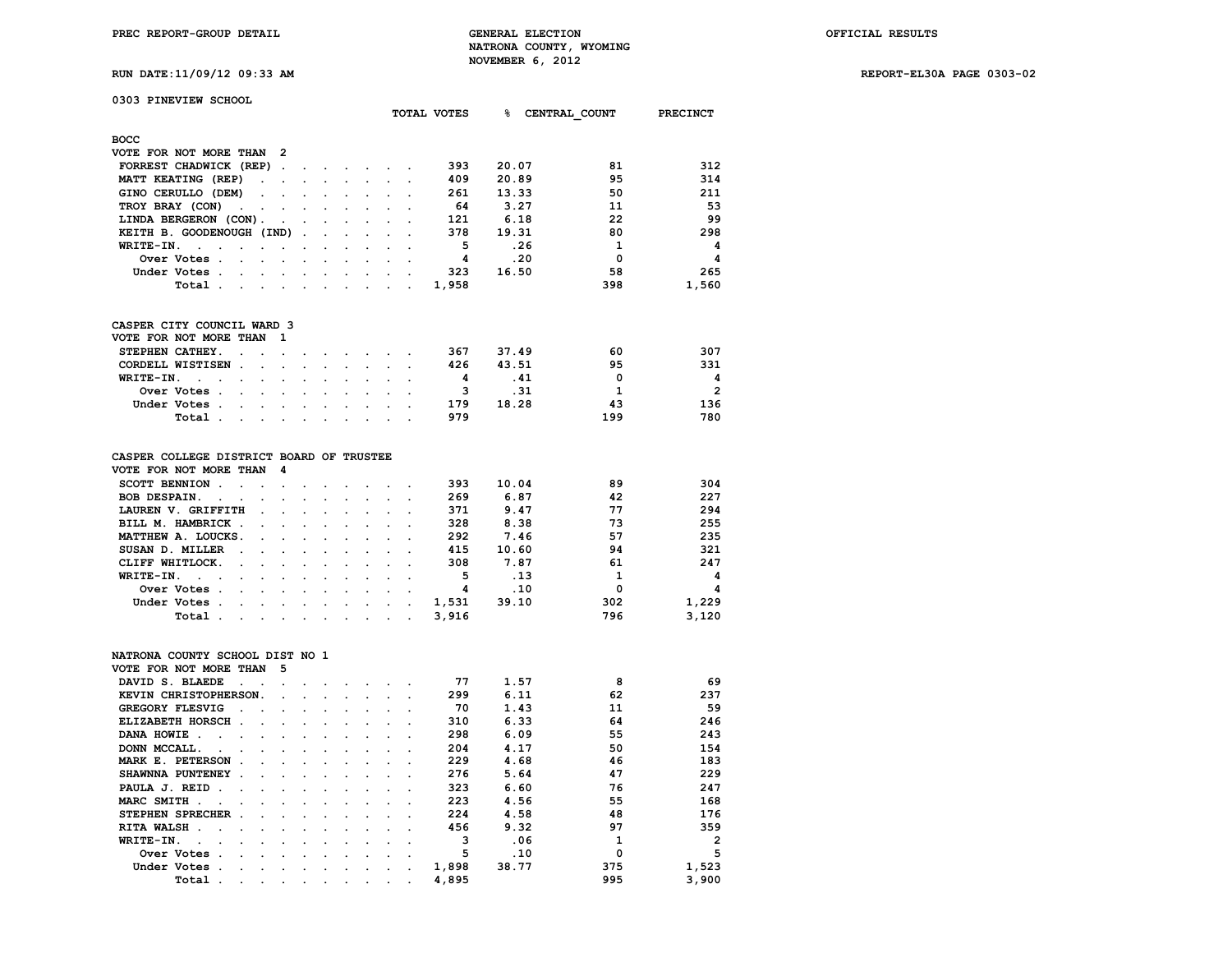**RUN DATE:11/09/12 09:33 AM REPORT-EL30A PAGE 0303-02**

| 0303 PINEVIEW SCHOOL         |                      |                      |         |                      |  |             |       |               |                 |
|------------------------------|----------------------|----------------------|---------|----------------------|--|-------------|-------|---------------|-----------------|
|                              |                      |                      |         |                      |  | TOTAL VOTES | ቈ     | CENTRAL COUNT | <b>PRECINCT</b> |
| <b>BOCC</b>                  |                      |                      |         |                      |  |             |       |               |                 |
| VOTE FOR NOT MORE THAN       | - 2                  |                      |         |                      |  |             |       |               |                 |
| FORREST CHADWICK (REP)       | $\ddot{\phantom{a}}$ | $\ddot{\phantom{1}}$ |         |                      |  | 393         | 20.07 | 81            | 312             |
| MATT KEATING (REP)<br>$\sim$ |                      |                      |         |                      |  | 409         | 20.89 | 95            | 314             |
| GINO CERULLO (DEM)           |                      |                      |         |                      |  | 261         | 13.33 | 50            | 211             |
| TROY BRAY (CON)              |                      |                      |         | $\ddot{\phantom{0}}$ |  | 64          | 3.27  | 11            | 53              |
| LINDA BERGERON (CON).        |                      |                      |         |                      |  | 121         | 6.18  | 22            | 99              |
| KEITH B. GOODENOUGH (IND).   |                      |                      | $\cdot$ |                      |  | 378         | 19.31 | 80            | 298             |
| WRITE-IN.                    |                      |                      |         |                      |  | 5           | .26   | 1             | 4               |
| Over Votes.                  |                      |                      |         |                      |  | 4           | .20   | $\Omega$      | 4               |
| Under Votes.                 |                      |                      |         |                      |  | 323         | 16.50 | 58            | 265             |
| Total<br>$\cdot$             |                      |                      |         |                      |  | 1,958       |       | 398           | 1,560           |
|                              |                      |                      |         |                      |  |             |       |               |                 |
| CASPER CITY COUNCIL WARD 3   |                      |                      |         |                      |  |             |       |               |                 |
| VOTE FOR NOT MORE THAN       |                      |                      |         |                      |  |             |       |               |                 |
| STEPHEN CATHEY.              |                      |                      |         |                      |  | 367         | 37.49 | 60            | 307             |

| CORDELL WISTISEN |  |  |  |  | 426 | 43.51 | 95  | 331            |
|------------------|--|--|--|--|-----|-------|-----|----------------|
| WRITE-IN.        |  |  |  |  |     | . 41  |     | Δ              |
| Over Votes       |  |  |  |  |     | .31   |     | $\overline{2}$ |
| Under Votes      |  |  |  |  | 179 | 18.28 | 43  | 136            |
| Total            |  |  |  |  | 979 |       | 199 | 780            |

| CASPER COLLEGE DISTRICT BOARD OF TRUSTEE |        |                                                                                                                 |        |                                                                                                                 |                      |  |  |       |       |     |       |
|------------------------------------------|--------|-----------------------------------------------------------------------------------------------------------------|--------|-----------------------------------------------------------------------------------------------------------------|----------------------|--|--|-------|-------|-----|-------|
| VOTE FOR NOT MORE THAN                   |        |                                                                                                                 | - 4    |                                                                                                                 |                      |  |  |       |       |     |       |
| <b>SCOTT BENNION</b>                     |        |                                                                                                                 |        |                                                                                                                 |                      |  |  | 393   | 10.04 | 89  | 304   |
| <b>BOB DESPAIN.</b><br>$\sim$ $\sim$     |        |                                                                                                                 |        | $\sim 100$                                                                                                      |                      |  |  | 269   | 6.87  | 42  | 227   |
| LAUREN V. GRIFFITH                       |        | $\sim$ $\sim$                                                                                                   |        |                                                                                                                 |                      |  |  | 371   | 9.47  | 77  | 294   |
| BILL M. HAMBRICK                         |        |                                                                                                                 |        | the contract of the contract of the contract of the contract of the contract of the contract of the contract of |                      |  |  | 328   | 8.38  | 73  | 255   |
| MATTHEW A. LOUCKS.                       |        |                                                                                                                 |        |                                                                                                                 |                      |  |  | 292   | 7.46  | 57  | 235   |
| SUSAN D. MILLER                          | $\sim$ |                                                                                                                 |        | $\sim$                                                                                                          |                      |  |  | 415   | 10.60 | 94  | 321   |
| CLIFF WHITLOCK.                          |        |                                                                                                                 |        | $\sim$                                                                                                          |                      |  |  | 308   | 7.87  | 61  | 247   |
| WRITE-IN.<br>$\sim$ $\sim$ $\sim$        |        | $\sim$                                                                                                          | $\sim$ | $\sim$                                                                                                          | $\sim$               |  |  | 5     | .13   |     | 4     |
| Over Votes.                              |        | $\sim$ $\sim$ $\sim$ $\sim$                                                                                     |        |                                                                                                                 | $\sim$ $\sim$ $\sim$ |  |  | 4     | .10   | 0   | 4     |
| Under Votes.                             |        | the contract of the contract of the contract of the contract of the contract of the contract of the contract of |        |                                                                                                                 |                      |  |  | 1,531 | 39.10 | 302 | 1,229 |
|                                          |        |                                                                                                                 |        |                                                                                                                 |                      |  |  |       |       |     |       |

### **NATRONA COUNTY SCHOOL DIST NO 1 VOTE FOR NOT MORE THAN 5**

| VOTE FOR NOT MORE THAN  |                      |         | ∍                    |   |         |           |                      |                      |                      |       |       |     |                |
|-------------------------|----------------------|---------|----------------------|---|---------|-----------|----------------------|----------------------|----------------------|-------|-------|-----|----------------|
| DAVID S. BLAEDE         |                      |         |                      |   |         |           |                      |                      |                      | 77    | 1.57  | 8   | 69             |
| KEVIN CHRISTOPHERSON.   |                      |         | $\mathbf{r}$         |   |         |           |                      |                      |                      | 299   | 6.11  | 62  | 237            |
| <b>GREGORY FLESVIG</b>  | $\ddot{\phantom{a}}$ |         |                      |   |         |           |                      |                      |                      | 70    | 1.43  | 11  | 59             |
| ELIZABETH HORSCH.       |                      |         |                      |   |         |           |                      |                      |                      | 310   | 6.33  | 64  | 246            |
| DANA HOWIE.             |                      |         | $\ddot{\phantom{a}}$ |   |         |           |                      |                      |                      | 298   | 6.09  | 55  | 243            |
| DONN MCCALL.            |                      |         |                      |   |         |           |                      |                      |                      | 204   | 4.17  | 50  | 154            |
| MARK E. PETERSON        |                      |         |                      |   |         |           |                      |                      |                      | 229   | 4.68  | 46  | 183            |
| SHAWNNA PUNTENEY        | $\sim$               |         |                      |   |         |           |                      |                      |                      | 276   | 5.64  | 47  | 229            |
| PAULA J. REID.          |                      |         |                      |   |         |           |                      |                      |                      | 323   | 6.60  | 76  | 247            |
| MARC SMITH.             |                      |         |                      |   |         |           |                      |                      |                      | 223   | 4.56  | 55  | 168            |
| STEPHEN SPRECHER        |                      |         |                      |   |         |           |                      |                      |                      | 224   | 4.58  | 48  | 176            |
| <b>RITA WALSH</b><br>n. |                      |         |                      |   |         |           |                      |                      |                      | 456   | 9.32  | 97  | 359            |
| WRITE-IN.               |                      |         | $\cdot$              |   |         |           |                      |                      |                      | 3     | .06   |     | $\overline{2}$ |
| Over Votes.             |                      |         |                      |   |         |           |                      |                      |                      | 5     | .10   |     | 5              |
| Under Votes.            |                      |         | $\cdot$              |   |         |           | $\cdot$              |                      |                      | 1,898 | 38.77 | 375 | 1,523          |
| Total                   | $\cdot$              | $\cdot$ | $\cdot$              | ٠ | $\cdot$ | $\bullet$ | $\ddot{\phantom{0}}$ | $\ddot{\phantom{0}}$ | $\ddot{\phantom{0}}$ | 4,895 |       | 995 | 3,900          |
|                         |                      |         |                      |   |         |           |                      |                      |                      |       |       |     |                |

 **Total . . . . . . . . . . 3,916 796 3,120**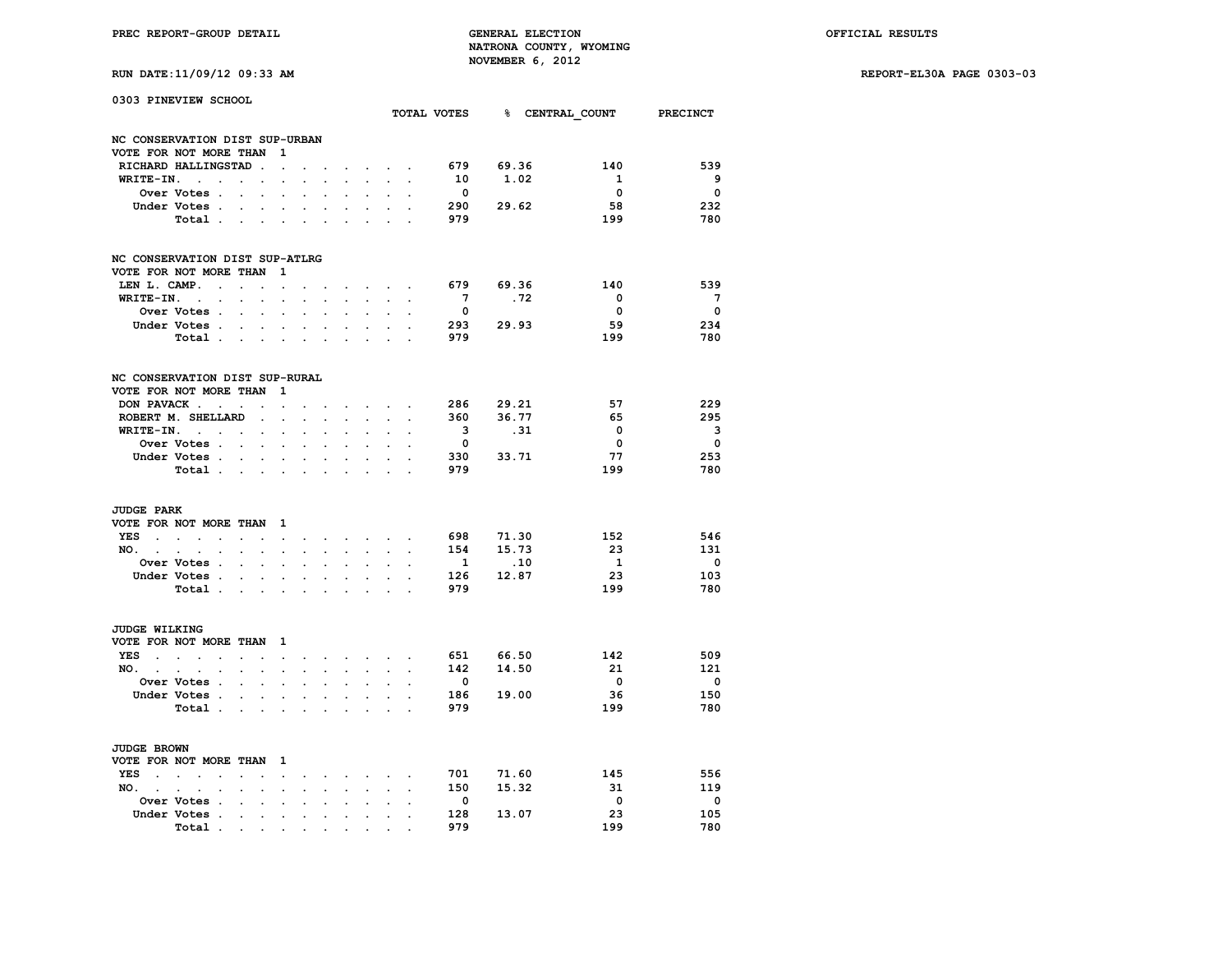**RUN DATE:11/09/12 09:33 AM REPORT-EL30A PAGE 0303-03**

| RUN DATE:11/09/12 09:33 AM |  |  |  |
|----------------------------|--|--|--|
|----------------------------|--|--|--|

| 0303 PINEVIEW SCHOOL                        |                                                                                    |                      |                          |                      |                      |                           |                      |                                                    |                      |                      |                          |           | TOTAL VOTES 8 CENTRAL COUNT | <b>PRECINCT</b>          |
|---------------------------------------------|------------------------------------------------------------------------------------|----------------------|--------------------------|----------------------|----------------------|---------------------------|----------------------|----------------------------------------------------|----------------------|----------------------|--------------------------|-----------|-----------------------------|--------------------------|
|                                             |                                                                                    |                      |                          |                      |                      |                           |                      |                                                    |                      |                      |                          |           |                             |                          |
| NC CONSERVATION DIST SUP-URBAN              |                                                                                    |                      |                          |                      |                      |                           |                      |                                                    |                      |                      |                          |           |                             |                          |
| VOTE FOR NOT MORE THAN                      |                                                                                    |                      |                          | 1                    |                      |                           |                      |                                                    |                      |                      |                          |           |                             |                          |
|                                             | RICHARD HALLINGSTAD                                                                |                      | $\ddot{\phantom{a}}$     | $\ddot{\phantom{0}}$ |                      |                           |                      |                                                    | $\sim$ $\sim$ $\sim$ |                      | 679                      | 69.36     | 140                         | 539                      |
| WRITE-IN.                                   | $\sim$ $\sim$                                                                      | $\ddot{\phantom{a}}$ | $\ddot{\phantom{0}}$     | $\cdot$              |                      |                           |                      |                                                    |                      |                      | 10                       | 1.02      | $\mathbf{1}$                | - 9                      |
|                                             | Over Votes .                                                                       | $\ddot{\phantom{0}}$ | $\cdot$                  |                      | $\ddot{\phantom{a}}$ |                           |                      | $\ddot{\phantom{0}}$                               |                      |                      | $\overline{\mathbf{0}}$  |           | $\overline{\mathbf{0}}$     | $\overline{\mathbf{0}}$  |
|                                             | Under Votes .                                                                      |                      |                          | $\ddot{\phantom{a}}$ |                      |                           |                      |                                                    |                      |                      | 290                      | 29.62     | 58                          | 232                      |
|                                             | Total .                                                                            | $\sim$               | $\cdot$                  | $\sim$               | $\cdot$              | $\ddot{\phantom{a}}$      |                      |                                                    |                      |                      | 979                      |           | 199                         | 780                      |
| NC CONSERVATION DIST SUP-ATLRG              |                                                                                    |                      |                          |                      |                      |                           |                      |                                                    |                      |                      |                          |           |                             |                          |
| VOTE FOR NOT MORE THAN                      |                                                                                    |                      |                          | 1                    |                      |                           |                      |                                                    |                      |                      |                          |           |                             |                          |
| LEN L. CAMP.                                | $\sim$                                                                             | $\sim$               | $\ddot{\phantom{a}}$     | $\ddot{\phantom{0}}$ |                      |                           |                      | $\sim$ $\sim$ $\sim$ $\sim$                        |                      |                      | 679                      | 69.36     | 140                         | 539                      |
| WRITE-IN.                                   | $\sim$<br>$\ddot{\phantom{0}}$                                                     | $\cdot$              | $\ddot{\phantom{a}}$     | $\cdot$              | $\ddot{\phantom{a}}$ | $\cdot$                   |                      | $\ddot{\phantom{a}}$                               |                      |                      | $7^{\circ}$              | .72       | $\overline{\mathbf{0}}$     | $\overline{7}$           |
|                                             | Over Votes .                                                                       | $\ddot{\phantom{0}}$ | $\cdot$                  | $\ddot{\phantom{a}}$ | $\overline{a}$       | $\cdot$                   | $\ddot{\phantom{a}}$ | $\bullet$                                          | $\ddot{\phantom{a}}$ |                      | $\overline{\mathbf{0}}$  |           | $\overline{\mathbf{0}}$     | $\overline{\mathbf{0}}$  |
|                                             | Under Votes .                                                                      | $\ddot{\phantom{a}}$ |                          | $\ddot{\phantom{a}}$ |                      |                           |                      |                                                    | $\overline{a}$       |                      |                          | 293 29.93 | 59                          | 234                      |
|                                             | Total                                                                              |                      | $\sim$                   | $\ddot{\phantom{0}}$ | $\ddot{\phantom{0}}$ | $\sim$                    |                      |                                                    |                      |                      | 979                      |           | 199                         | 780                      |
| NC CONSERVATION DIST SUP-RURAL              |                                                                                    |                      |                          |                      |                      |                           |                      |                                                    |                      |                      |                          |           |                             |                          |
| VOTE FOR NOT MORE THAN                      |                                                                                    |                      |                          | 1                    |                      |                           |                      |                                                    |                      |                      |                          |           |                             |                          |
|                                             | DON PAVACK                                                                         |                      | $\ddot{\phantom{a}}$     | $\ddot{\phantom{a}}$ |                      |                           |                      | $\sim$ $\sim$ $\sim$ $\sim$                        |                      |                      |                          | 286 29.21 | 57                          | 229                      |
|                                             | ROBERT M. SHELLARD                                                                 |                      | $\cdot$                  | $\sim$               | $\ddot{\phantom{a}}$ | $\sim$                    |                      | $\sim$                                             |                      |                      | 360                      | 36.77     | 65                          | 295                      |
|                                             | $WRITE-IN.$                                                                        |                      | $\ddot{\phantom{0}}$     | $\ddot{\phantom{0}}$ | $\cdot$              | $\ddot{\phantom{0}}$      | $\cdot$              | $\ddot{\phantom{0}}$                               | $\ddot{\phantom{0}}$ |                      | $\overline{\mathbf{3}}$  | .31       | 0                           | 3                        |
|                                             | Over Votes                                                                         |                      |                          |                      |                      |                           |                      |                                                    |                      |                      | $\overline{\mathbf{0}}$  |           | $\mathbf{o}$                | $\mathbf 0$              |
|                                             | Under Votes                                                                        |                      | $\ddot{\phantom{0}}$     | $\ddot{\phantom{0}}$ | $\ddot{\phantom{0}}$ | $\ddot{\phantom{0}}$      |                      | $\sim$                                             | $\sim$               |                      | 330                      | 33.71     | 77                          | 253                      |
|                                             | Total .                                                                            |                      | <b>Contract Contract</b> | $\sim$               | $\bullet$            | $\ddot{\phantom{0}}$      | $\Box$               | $\ddot{\phantom{0}}$                               | $\bullet$            |                      | 979                      |           | 199                         | 780                      |
| <b>JUDGE PARK</b><br>VOTE FOR NOT MORE THAN |                                                                                    |                      |                          | $\mathbf{1}$         |                      |                           |                      |                                                    |                      |                      |                          |           |                             |                          |
| <b>YES</b><br>$\sim$                        | $\mathcal{L}^{\text{max}}$ and $\mathcal{L}^{\text{max}}$<br>$\sim$                | $\cdot$              | $\ddot{\phantom{a}}$     | $\cdot$              | $\ddot{\phantom{0}}$ |                           |                      | and a series of the series of the series of        |                      | $\sim$               | 698                      | 71.30     | 152                         | 546                      |
| NO.                                         |                                                                                    |                      |                          |                      | $\ddot{\phantom{a}}$ | $\mathbf{L}$              | $\ddot{\phantom{a}}$ | $\mathcal{L}^{\text{max}}$                         | $\sim$               | $\ddot{\phantom{a}}$ | 154                      | 15.73     | - 23                        | 131                      |
|                                             | $\mathbf{r} = \mathbf{r} \cdot \mathbf{r}$<br>$\ddot{\phantom{0}}$<br>Over Votes . | $\ddot{\phantom{0}}$ | $\bullet$                | $\ddot{\phantom{0}}$ |                      |                           |                      |                                                    |                      |                      | $\mathbf{1}$             | .10       | $\overline{1}$              | $\overline{\phantom{0}}$ |
|                                             | Under Votes .                                                                      |                      |                          |                      |                      |                           |                      |                                                    |                      |                      | 126                      | 12.87     | 23                          | 103                      |
|                                             | Total .                                                                            | $\sim$               | $\sim$                   | $\sim$               |                      | $\cdot$                   |                      | $\ddot{\phantom{0}}$                               |                      |                      | 979                      |           | 199                         | 780                      |
|                                             |                                                                                    |                      | <b>Contract Contract</b> | $\sim$               | $\bullet$            | $\ddot{\phantom{0}}$      | $\ddot{\phantom{0}}$ | $\ddot{\phantom{0}}$                               | $\bullet$            | $\overline{a}$       |                          |           |                             |                          |
| <b>JUDGE WILKING</b>                        |                                                                                    |                      |                          |                      |                      |                           |                      |                                                    |                      |                      |                          |           |                             |                          |
| VOTE FOR NOT MORE THAN 1                    |                                                                                    |                      |                          |                      |                      |                           |                      |                                                    |                      |                      |                          |           |                             |                          |
| <b>YES</b><br>$\sim$ $\sim$                 | $\mathbf{L} = \mathbf{L}$<br>$\sim$                                                | $\ddot{\phantom{a}}$ | $\ddot{\phantom{a}}$     | $\ddot{\phantom{0}}$ | $\ddot{\phantom{0}}$ |                           |                      | $\mathbf{r}$ , and $\mathbf{r}$ , and $\mathbf{r}$ |                      |                      |                          | 651 66.50 | 142                         | 509                      |
| NO. .                                       | $\sim$<br>$\cdot$<br>$\cdot$                                                       | $\ddot{\phantom{a}}$ | $\ddot{\phantom{a}}$     | $\ddot{\phantom{a}}$ | $\overline{a}$       | $\mathbf{L}^{\text{max}}$ | $\mathbf{r}$         | $\ddot{\phantom{0}}$                               | $\ddot{\phantom{0}}$ | $\Box$               | 142                      | 14.50     | 21                          | 121                      |
|                                             | Over Votes .                                                                       | $\cdot$              |                          |                      |                      |                           |                      |                                                    |                      |                      | $\overline{\phantom{0}}$ |           | $\overline{\phantom{0}}$    | $\overline{\mathbf{0}}$  |
|                                             | Under Votes .                                                                      | $\ddot{\phantom{0}}$ | $\cdot$                  | $\cdot$              | $\cdot$              | $\cdot$                   |                      | $\sim$                                             |                      |                      | 186                      | 19.00     | 36                          | 150                      |
|                                             | Total .                                                                            | $\sim$               | $\bullet$ .              | $\ddot{\phantom{0}}$ | $\cdot$              | $\ddot{\phantom{a}}$      | $\cdot$              | $\cdot$                                            | $\cdot$              | $\overline{a}$       | 979                      |           | 199                         | 780                      |
| <b>JUDGE BROWN</b>                          |                                                                                    |                      |                          |                      |                      |                           |                      |                                                    |                      |                      |                          |           |                             |                          |
| VOTE FOR NOT MORE THAN 1                    |                                                                                    |                      |                          |                      |                      |                           |                      |                                                    |                      |                      |                          |           |                             |                          |
| <b>YES</b><br>$\sim$                        | $\sim$ $\sim$<br>$\cdot$                                                           | $\overline{a}$       |                          | $\ddot{\phantom{0}}$ | $\ddot{\phantom{a}}$ | $\ddot{\phantom{0}}$      |                      | $\sim$ $\sim$ $\sim$ $\sim$                        |                      |                      | 701                      | 71.60     | 145                         | 556                      |
| NO. .                                       | $\sim$<br>$\bullet$<br>$\ddot{\phantom{a}}$                                        |                      |                          | $\bullet$            | $\cdot$              | $\ddot{\phantom{0}}$      | $\cdot$              | $\ddot{\phantom{0}}$                               | $\cdot$              | $\ddot{\phantom{a}}$ | 150                      | 15.32     | 31                          | 119                      |
|                                             | Over Votes .                                                                       |                      |                          |                      |                      |                           |                      |                                                    |                      |                      | $\overline{\mathbf{0}}$  |           | $\overline{\phantom{0}}$    | $\overline{\phantom{0}}$ |
|                                             | Under Votes .                                                                      | $\ddot{\phantom{0}}$ | $\ddot{\phantom{0}}$     | $\bullet$            | $\ddot{\phantom{0}}$ | $\ddot{\phantom{0}}$      | $\ddot{\phantom{a}}$ | $\cdot$                                            | $\ddot{\phantom{a}}$ |                      | 128                      | 13.07     | 23                          | 105                      |
|                                             | Total.                                                                             |                      |                          |                      |                      |                           |                      |                                                    |                      |                      | 979                      |           | 199                         | 780                      |
|                                             |                                                                                    |                      |                          |                      |                      |                           |                      |                                                    |                      |                      |                          |           |                             |                          |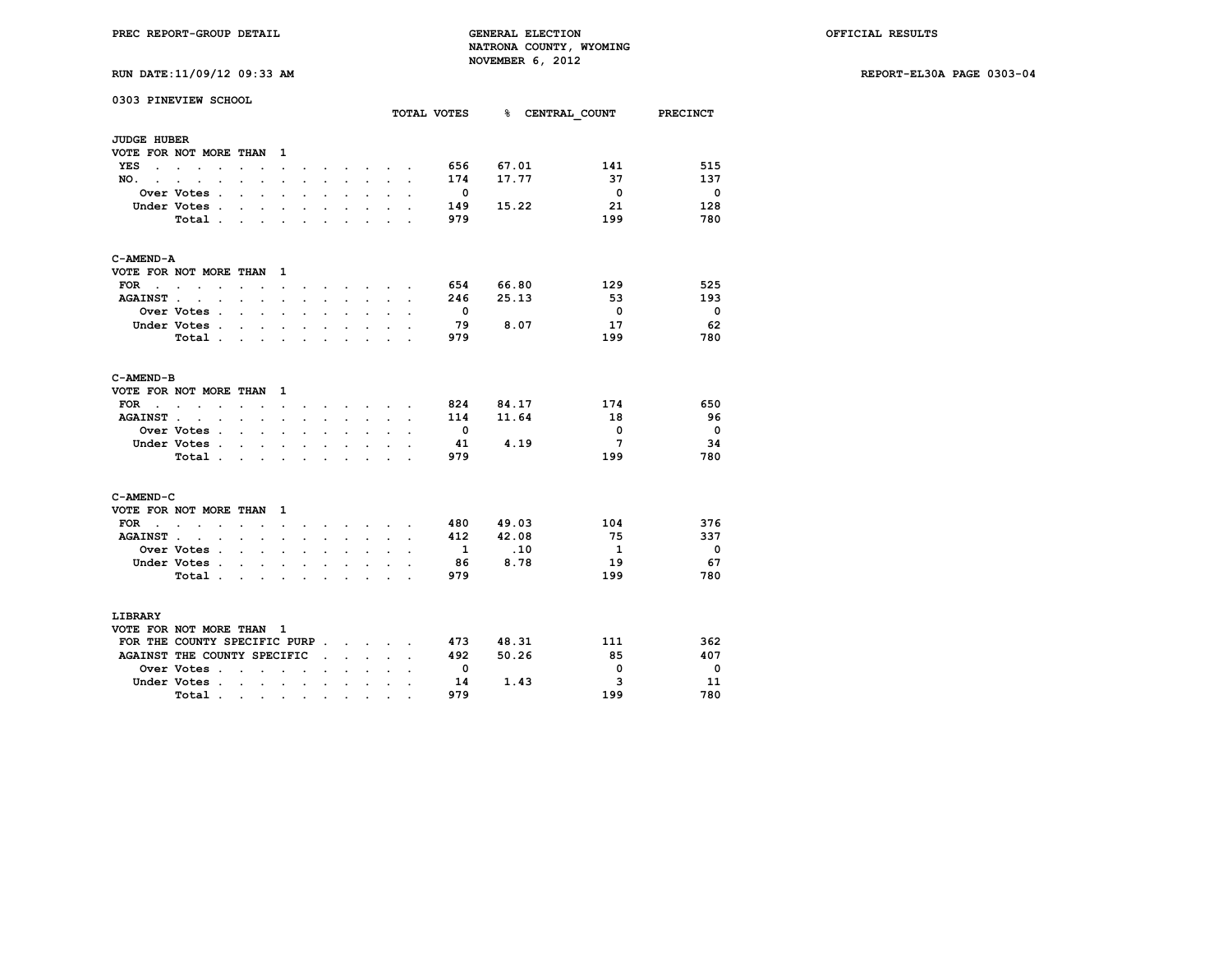**RUN DATE:11/09/12 09:33 AM REPORT-EL30A PAGE 0303-04**

|  | RUN DATE:11/09/12 09:33 AM |  |  |  |
|--|----------------------------|--|--|--|
|--|----------------------------|--|--|--|

|                      | 0303 PINEVIEW SCHOOL                    |                      |                      |                          |                          |                      |                      |                                     |                      |                      | TOTAL VOTES              |           | <b>% CENTRAL COUNT</b>  | <b>PRECINCT</b>          |
|----------------------|-----------------------------------------|----------------------|----------------------|--------------------------|--------------------------|----------------------|----------------------|-------------------------------------|----------------------|----------------------|--------------------------|-----------|-------------------------|--------------------------|
|                      |                                         |                      |                      |                          |                          |                      |                      |                                     |                      |                      |                          |           |                         |                          |
| <b>JUDGE HUBER</b>   |                                         |                      |                      |                          |                          |                      |                      |                                     |                      |                      |                          |           |                         |                          |
| YES                  | VOTE FOR NOT MORE THAN                  |                      |                      | $\mathbf{1}$             |                          |                      |                      |                                     |                      |                      |                          | 67.01     | 141                     | 515                      |
| $\sim$               | <b>Contract Contract</b>                | $\ddot{\phantom{0}}$ |                      | $\ddot{\phantom{a}}$     |                          |                      |                      | $\sim$                              |                      |                      | 656                      | 17.77     | 37                      |                          |
| NO.                  |                                         |                      |                      |                          |                          |                      |                      |                                     |                      |                      | 174                      |           |                         | 137                      |
|                      | Over Votes .                            | $\overline{a}$       | $\cdot$              | $\ddot{\phantom{a}}$     |                          |                      | $\ddot{\phantom{a}}$ | $\ddot{\phantom{a}}$                |                      |                      | $\overline{\phantom{0}}$ |           | $\overline{\mathbf{0}}$ | $\overline{\mathbf{0}}$  |
|                      | Under Votes .                           |                      |                      |                          |                          |                      |                      | $\ddot{\phantom{0}}$                |                      |                      | 149                      | 15.22     | 21                      | 128                      |
|                      | Total.                                  | ÷                    | s.                   | s.                       |                          |                      | ÷                    | $\mathbf{r}$                        |                      |                      | 979                      |           | 199                     | 780                      |
| C-AMEND-A            |                                         |                      |                      |                          |                          |                      |                      |                                     |                      |                      |                          |           |                         |                          |
|                      | VOTE FOR NOT MORE THAN                  |                      |                      | $\mathbf{1}$             |                          |                      |                      |                                     |                      |                      |                          |           |                         |                          |
| $FOR \tcdot \tcdot$  | $\ddot{\phantom{a}}$                    | $\ddot{\phantom{0}}$ |                      | $\ddot{\phantom{0}}$     |                          |                      |                      | $\sim$                              |                      |                      |                          | 654 66.80 | 129                     | 525                      |
| <b>AGAINST.</b>      | <b>Contract</b><br>$\ddot{\phantom{a}}$ | $\ddot{\phantom{0}}$ | $\cdot$              | $\ddot{\phantom{a}}$     | $\ddot{\phantom{a}}$     | $\mathbf{r}$         | $\sim$               | $\ddotsc$                           | $\ddot{\phantom{a}}$ | $\ddot{\phantom{a}}$ | 246                      | 25.13     | 53                      | 193                      |
|                      | Over Votes .                            | $\cdot$              | $\overline{a}$       |                          |                          |                      |                      |                                     |                      |                      | $\overline{\mathbf{0}}$  |           | $\mathbf{0}$            | $\overline{\mathbf{0}}$  |
|                      | Under Votes .                           | $\ddot{\phantom{0}}$ | s.                   | $\ddot{\phantom{a}}$     |                          | $\overline{a}$       | ÷                    | $\ddot{\phantom{a}}$                |                      |                      | 79                       | 8.07      | 17                      | 62                       |
|                      | Total                                   |                      | $\sim$               | $\ddot{\phantom{0}}$     | $\ddot{\phantom{0}}$     | $\ddot{\phantom{0}}$ | $\ddot{\phantom{0}}$ | $\sim$                              | $\ddot{\phantom{a}}$ |                      | 979                      |           | 199                     | 780                      |
| C-AMEND-B            |                                         |                      |                      |                          |                          |                      |                      |                                     |                      |                      |                          |           |                         |                          |
|                      | VOTE FOR NOT MORE THAN                  |                      |                      | 1                        |                          |                      |                      |                                     |                      |                      |                          |           |                         |                          |
| <b>FOR</b><br>$\sim$ | $\sim$<br>$\ddot{\phantom{0}}$          |                      | $\cdot$ $\cdot$      | $\sim$                   | $\ddot{\phantom{0}}$     |                      |                      | the contract of the contract of the |                      | $\ddot{\phantom{a}}$ |                          | 824 84.17 | 174                     | 650                      |
| <b>AGAINST.</b>      | $\cdot$<br>$\bullet$                    | $\ddot{\phantom{0}}$ | $\ddot{\phantom{a}}$ |                          |                          |                      |                      | $\ddot{\phantom{a}}$                |                      |                      | 114                      | 11.64     | 18                      | 96                       |
|                      | Over Votes .                            | $\ddot{\phantom{a}}$ | $\mathbf{r}$         | $\ddot{\phantom{a}}$     |                          |                      |                      | $\overline{a}$                      |                      |                      | $\overline{\phantom{0}}$ |           | $\mathbf 0$             | $\overline{\mathbf{0}}$  |
|                      | Under Votes .                           | $\sim$               | $\ddot{\phantom{a}}$ | $\ddot{\phantom{0}}$     | $\ddot{\phantom{0}}$     |                      |                      | $\ddot{\phantom{0}}$                |                      |                      | 41                       | 4.19      | $\overline{7}$          | 34                       |
|                      | Total.                                  | $\ddot{\phantom{a}}$ | $\ddot{\phantom{a}}$ |                          |                          |                      |                      |                                     |                      |                      | 979                      |           | 199                     | 780                      |
| C-AMEND-C            |                                         |                      |                      |                          |                          |                      |                      |                                     |                      |                      |                          |           |                         |                          |
|                      | VOTE FOR NOT MORE THAN                  |                      |                      | 1                        |                          |                      |                      |                                     |                      |                      |                          |           |                         |                          |
| FOR .                | $\sim$ $\sim$ $\sim$<br>$\cdot$         |                      |                      | $\ddot{\phantom{a}}$     |                          |                      |                      | <b>Contract Contract Contract</b>   |                      |                      | 480                      | 49.03     | 104                     | 376                      |
| <b>AGAINST.</b>      | $\cdot$<br>$\ddot{\phantom{a}}$         |                      | ÷                    |                          |                          |                      |                      | $\sim$                              |                      |                      | 412                      | 42.08     | 75                      | 337                      |
|                      | <b>Over Votes .</b>                     | $\ddot{\phantom{0}}$ | $\ddot{\phantom{a}}$ | $\ddot{\phantom{0}}$     |                          |                      |                      | $\ddot{\phantom{a}}$                |                      |                      | $\mathbf{1}$             | .10       | $\mathbf{1}$            | $\overline{\phantom{0}}$ |
|                      | Under Votes.                            | $\ddot{\phantom{0}}$ |                      |                          |                          |                      |                      |                                     |                      |                      | 86                       | 8.78      | 19                      | 67                       |
|                      | Total.                                  | $\ddot{\phantom{a}}$ | $\ddot{\phantom{a}}$ | $\ddot{\phantom{a}}$     | $\bullet$                |                      | $\overline{a}$       | $\mathbf{r}$                        | $\overline{a}$       |                      | 979                      |           | 199                     | 780                      |
| LIBRARY              |                                         |                      |                      |                          |                          |                      |                      |                                     |                      |                      |                          |           |                         |                          |
|                      | VOTE FOR NOT MORE THAN 1                |                      |                      |                          |                          |                      |                      |                                     |                      |                      |                          |           |                         |                          |
|                      | FOR THE COUNTY SPECIFIC PURP            |                      |                      |                          |                          |                      |                      |                                     |                      |                      |                          | 473 48.31 | 111                     | 362                      |
|                      | AGAINST THE COUNTY SPECIFIC             |                      |                      |                          |                          |                      | $\sim$               | $\sim$                              |                      |                      | 492                      | 50.26     | 85                      | 407                      |
|                      | Over Votes .                            | $\overline{a}$       | ÷                    | $\overline{\phantom{a}}$ | $\overline{\phantom{a}}$ |                      |                      |                                     |                      |                      | $\overline{\mathbf{0}}$  |           | 0                       | $\overline{\mathbf{0}}$  |
|                      | Under Votes .                           | $\sim$               | $\mathbf{r}$         | $\ddot{\phantom{0}}$     | $\cdot$                  |                      | $\cdot$              | $\ddot{\phantom{a}}$                | $\cdot$              |                      | 14                       | 1.43      | 3                       | -11                      |
|                      | Total.                                  |                      |                      |                          |                          |                      | $\bullet$            | $\bullet$                           |                      |                      | 979                      |           | 199                     | 780                      |
|                      |                                         | $\sim 100$           | $\bullet$ .          | $\bullet$                | $\bullet$                | $\bullet$            |                      |                                     |                      |                      |                          |           |                         |                          |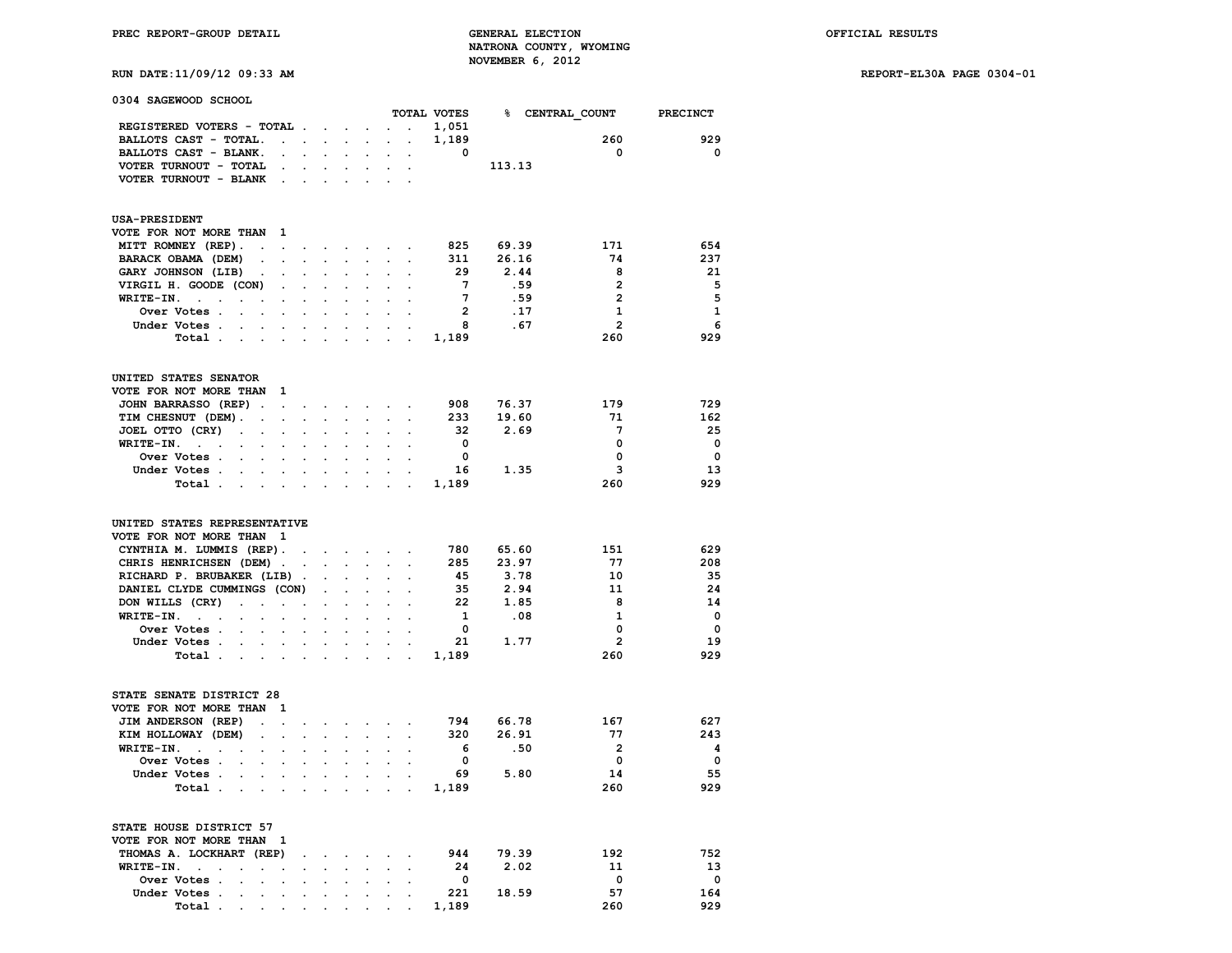**RUN DATE:11/09/12 09:33 AM REPORT-EL30A PAGE 0304-01**

| 0304 SAGEWOOD SCHOOL                                               |                                                               |                      |                      |                                                                                                                                  |                                                                                       |                                            |                         |        |                 |                          |
|--------------------------------------------------------------------|---------------------------------------------------------------|----------------------|----------------------|----------------------------------------------------------------------------------------------------------------------------------|---------------------------------------------------------------------------------------|--------------------------------------------|-------------------------|--------|-----------------|--------------------------|
|                                                                    |                                                               |                      |                      |                                                                                                                                  |                                                                                       |                                            | TOTAL VOTES             |        | % CENTRAL COUNT | <b>PRECINCT</b>          |
| REGISTERED VOTERS - TOTAL                                          |                                                               |                      |                      | $\ddot{\phantom{0}}$                                                                                                             | <b>Contract Contract</b>                                                              |                                            | 1,051                   |        |                 |                          |
| BALLOTS CAST - TOTAL.                                              | $\mathcal{L}^{\text{max}}$ , where $\mathcal{L}^{\text{max}}$ | $\sim$               | $\sim$               | $\mathbf{r}$                                                                                                                     |                                                                                       | $\mathbf{r} = \mathbf{r} \cdot \mathbf{r}$ | 1,189                   |        | 260             | 929                      |
| BALLOTS CAST - BLANK.<br>$\ddot{\phantom{0}}$                      | $\mathcal{L}^{\text{max}}$                                    | $\sim 10^{-11}$      |                      | $\ddot{\phantom{a}}$                                                                                                             | $\ddot{\phantom{0}}$                                                                  |                                            | $\overline{\mathbf{0}}$ |        | $\mathbf 0$     | 0                        |
| VOTER TURNOUT - TOTAL<br>$\ddot{\phantom{a}}$                      |                                                               |                      |                      |                                                                                                                                  | $\sim$                                                                                | $\ddot{\phantom{a}}$                       |                         | 113.13 |                 |                          |
| VOTER TURNOUT - BLANK<br>$\sim$                                    | $\sim$                                                        |                      |                      |                                                                                                                                  |                                                                                       |                                            |                         |        |                 |                          |
|                                                                    |                                                               |                      |                      |                                                                                                                                  |                                                                                       |                                            |                         |        |                 |                          |
| <b>USA-PRESIDENT</b><br>VOTE FOR NOT MORE THAN 1                   |                                                               |                      |                      |                                                                                                                                  |                                                                                       |                                            |                         |        |                 |                          |
| MITT ROMNEY (REP).<br>$\ddot{\phantom{a}}$<br>$\sim$               |                                                               | $\ddot{\phantom{0}}$ | $\bullet$            | $\bullet$ .                                                                                                                      | $\ddot{\phantom{0}}$                                                                  | $\bullet$                                  | 825                     | 69.39  | 171             | 654                      |
| BARACK OBAMA (DEM)<br>$\sim$<br>$\bullet$                          | $\cdot$                                                       | $\bullet$            | $\sim$               |                                                                                                                                  | $\mathcal{L}^{\text{max}}(\mathcal{L}^{\text{max}})$ . The $\mathcal{L}^{\text{max}}$ |                                            | 311                     | 26.16  | 74              | 237                      |
| GARY JOHNSON (LIB).<br>$\sim$                                      |                                                               |                      |                      |                                                                                                                                  | $\cdot$                                                                               |                                            | 29                      | 2.44   | 8               | 21                       |
| VIRGIL H. GOODE (CON)                                              | $\cdot$                                                       |                      |                      |                                                                                                                                  |                                                                                       |                                            | $7\phantom{.0}$         | .59    | $\overline{2}$  | 5                        |
| $\sim$<br>WRITE-IN. .                                              |                                                               | $\ddot{\phantom{a}}$ |                      | $\cdot$                                                                                                                          | $\cdot$                                                                               | $\sim$                                     | $7\overline{ }$         | .59    | $\overline{2}$  | -5                       |
| $\ddot{\phantom{a}}$<br>$\ddot{\phantom{0}}$<br>$\cdot$<br>$\cdot$ | $\sim$                                                        | $\ddot{\phantom{0}}$ | $\ddot{\phantom{0}}$ | $\mathbf{r}$                                                                                                                     | $\cdot$                                                                               | $\sim$                                     | $\overline{\mathbf{2}}$ |        |                 |                          |
| Over Votes .<br>$\ddot{\phantom{a}}$                               |                                                               | $\cdot$              |                      |                                                                                                                                  |                                                                                       |                                            |                         | .17    | 1               | 1                        |
| Under Votes.<br>$\sim$                                             | $\ddot{\phantom{a}}$                                          |                      |                      |                                                                                                                                  |                                                                                       |                                            | 8                       | .67    | $\overline{2}$  | 6                        |
| Total .<br>$\ddot{\phantom{a}}$                                    |                                                               |                      |                      |                                                                                                                                  |                                                                                       |                                            | 1,189                   |        | 260             | 929                      |
| UNITED STATES SENATOR                                              |                                                               |                      |                      |                                                                                                                                  |                                                                                       |                                            |                         |        |                 |                          |
| VOTE FOR NOT MORE THAN<br>- 1                                      |                                                               |                      |                      |                                                                                                                                  |                                                                                       |                                            |                         |        |                 |                          |
| JOHN BARRASSO (REP).<br>$\sim$                                     | $\bullet$ .                                                   | $\sim$               |                      | $\mathcal{A}^{\mathcal{A}}$ and $\mathcal{A}^{\mathcal{A}}$ are $\mathcal{A}^{\mathcal{A}}$ . In the $\mathcal{A}^{\mathcal{A}}$ |                                                                                       |                                            | 908                     | 76.37  | 179             | 729                      |
| TIM CHESNUT (DEM).<br>$\ddot{\phantom{0}}$<br>$\cdot$              | $\mathbf{L}$                                                  | $\mathbf{r}$         | $\mathbf{r}$         | $\sim$                                                                                                                           | $\sim$                                                                                | $\ddot{\phantom{0}}$                       | 233                     | 19.60  | 71              | 162                      |
| JOEL OTTO (CRY)<br>$\ddot{\phantom{a}}$ .<br>$\cdot$<br>$\sim$     |                                                               | $\cdot$              |                      | $\cdot$                                                                                                                          | $\cdot$                                                                               | $\ddot{\phantom{a}}$                       | 32                      | 2.69   | $7\phantom{.0}$ | -25                      |
| WRITE-IN.<br><b>Contract Contract</b><br>$\sim$                    |                                                               |                      |                      |                                                                                                                                  |                                                                                       |                                            | $\overline{\mathbf{0}}$ |        | 0               | $\overline{\phantom{0}}$ |
| Over Votes .                                                       |                                                               |                      |                      |                                                                                                                                  |                                                                                       |                                            | $\mathbf 0$             |        | 0               | $\overline{\mathbf{0}}$  |
| Under Votes                                                        | $\ddot{\phantom{0}}$                                          | $\sim$               |                      | $\sim$                                                                                                                           |                                                                                       | $\sim$                                     | 16                      | 1.35   | 3               | 13                       |
| Total<br>$\mathcal{L}^{\text{max}}$                                |                                                               |                      |                      |                                                                                                                                  |                                                                                       |                                            | 1,189                   |        | 260             | 929                      |
| UNITED STATES REPRESENTATIVE<br>VOTE FOR NOT MORE THAN 1           |                                                               |                      |                      |                                                                                                                                  |                                                                                       |                                            |                         |        |                 |                          |
|                                                                    |                                                               |                      |                      |                                                                                                                                  |                                                                                       |                                            | 780                     | 65.60  | 151             | 629                      |
| CYNTHIA M. LUMMIS (REP).                                           | $\Box$                                                        |                      |                      | and a strong state of the                                                                                                        |                                                                                       |                                            |                         |        |                 |                          |
| CHRIS HENRICHSEN (DEM).                                            | $\cdot$                                                       |                      |                      | $\ddot{\phantom{a}}$                                                                                                             | $\sim$                                                                                |                                            | 285                     | 23.97  | 77              | 208                      |
| RICHARD P. BRUBAKER (LIB).                                         |                                                               |                      |                      |                                                                                                                                  |                                                                                       |                                            | 45                      | 3.78   | 10              | 35                       |
| DANIEL CLYDE CUMMINGS (CON)                                        |                                                               |                      |                      |                                                                                                                                  |                                                                                       |                                            | -35                     | 2.94   | 11              | 24                       |
| DON WILLS (CRY)<br>$\sim$<br>$\cdot$<br>$\ddot{\phantom{a}}$       | $\ddot{\phantom{0}}$                                          | $\ddot{\phantom{0}}$ | $\bullet$            | $\ddot{\phantom{a}}$                                                                                                             | $\ddot{\phantom{a}}$                                                                  |                                            | 22                      | 1.85   | 8               | 14                       |
| $WRITE-TN.$ .<br>$\ddot{\phantom{a}}$                              |                                                               |                      |                      |                                                                                                                                  |                                                                                       |                                            | $\mathbf{1}$            | .08    | $\mathbf{1}$    | $\overline{\phantom{0}}$ |
| Over Votes .                                                       |                                                               |                      |                      |                                                                                                                                  |                                                                                       |                                            | $\mathbf{0}$            |        | $\mathbf 0$     | $\overline{\phantom{0}}$ |
| Under Votes<br>$\ddot{\phantom{0}}$                                |                                                               | $\sim$               | $\sim$               |                                                                                                                                  |                                                                                       |                                            | 21                      | 1.77   | $\overline{2}$  | 19                       |
| Total<br>$\sim$                                                    |                                                               |                      |                      |                                                                                                                                  |                                                                                       |                                            | 1,189                   |        | 260             | 929                      |
| STATE SENATE DISTRICT 28                                           |                                                               |                      |                      |                                                                                                                                  |                                                                                       |                                            |                         |        |                 |                          |
| VOTE FOR NOT MORE THAN<br>- 1                                      |                                                               |                      |                      |                                                                                                                                  |                                                                                       |                                            |                         |        |                 |                          |
| JIM ANDERSON (REP)<br>$\ddot{\phantom{a}}$<br>$\ddot{\phantom{a}}$ | $\cdot$                                                       | $\ddot{\phantom{0}}$ |                      | <b>All Cards</b>                                                                                                                 |                                                                                       |                                            | 794                     | 66.78  | 167             | 627                      |
| KIM HOLLOWAY (DEM)                                                 |                                                               |                      |                      |                                                                                                                                  | $\bullet$                                                                             | $\sim$                                     | 320                     | 26.91  | 77              | 243                      |
| $\sim$<br>$\ddot{\phantom{0}}$<br>WRITE-IN.                        |                                                               |                      |                      |                                                                                                                                  |                                                                                       |                                            | 6                       | .50    | $\overline{2}$  | - 4                      |
| $\sim$                                                             |                                                               |                      |                      |                                                                                                                                  |                                                                                       |                                            |                         |        |                 |                          |
| Over Votes                                                         |                                                               |                      |                      |                                                                                                                                  |                                                                                       |                                            | 0                       |        | 0               | $\overline{\mathbf{0}}$  |
| Under Votes.<br>$\mathcal{L}^{\text{max}}$                         | $\cdot$                                                       | $\ddot{\phantom{a}}$ |                      | $\ddot{\phantom{a}}$                                                                                                             |                                                                                       |                                            | 69                      | 5.80   | 14              | -55                      |
| Total .<br>and the company                                         | $\sim$                                                        | $\sim$               | $\ddot{\phantom{0}}$ |                                                                                                                                  | $\mathbf{L} = \mathbf{L}$                                                             | $\ddot{\phantom{a}}$                       | 1,189                   |        | 260             | 929                      |
| STATE HOUSE DISTRICT 57                                            |                                                               |                      |                      |                                                                                                                                  |                                                                                       |                                            |                         |        |                 |                          |
| VOTE FOR NOT MORE THAN 1                                           |                                                               |                      |                      |                                                                                                                                  |                                                                                       |                                            |                         |        |                 |                          |
| THOMAS A. LOCKHART (REP)                                           | $\ddot{\phantom{a}}$                                          | $\bullet$            | $\ddot{\phantom{0}}$ | <b>Contract Contract</b>                                                                                                         |                                                                                       | $\sim$                                     | 944                     | 79.39  | 192             | 752                      |
| WRITE-IN.<br>$\ddot{\phantom{a}}$<br>$\ddot{\phantom{a}}$          |                                                               |                      |                      |                                                                                                                                  |                                                                                       |                                            | 24                      | 2.02   | 11              | 13                       |
| Over Votes .<br>$\ddot{\phantom{0}}$<br>$\ddot{\phantom{a}}$       | $\ddot{\phantom{0}}$                                          | $\sim$               |                      | $\mathbf{r} = \mathbf{r} + \mathbf{r} + \mathbf{r} + \mathbf{r}$                                                                 |                                                                                       |                                            | $\mathbf{o}$            |        | 0               | 0                        |
| Under Votes .                                                      |                                                               |                      |                      |                                                                                                                                  |                                                                                       |                                            | 221                     | 18.59  | 57              | 164                      |

 **Total . . . . . . . . . . 1,189 260 929**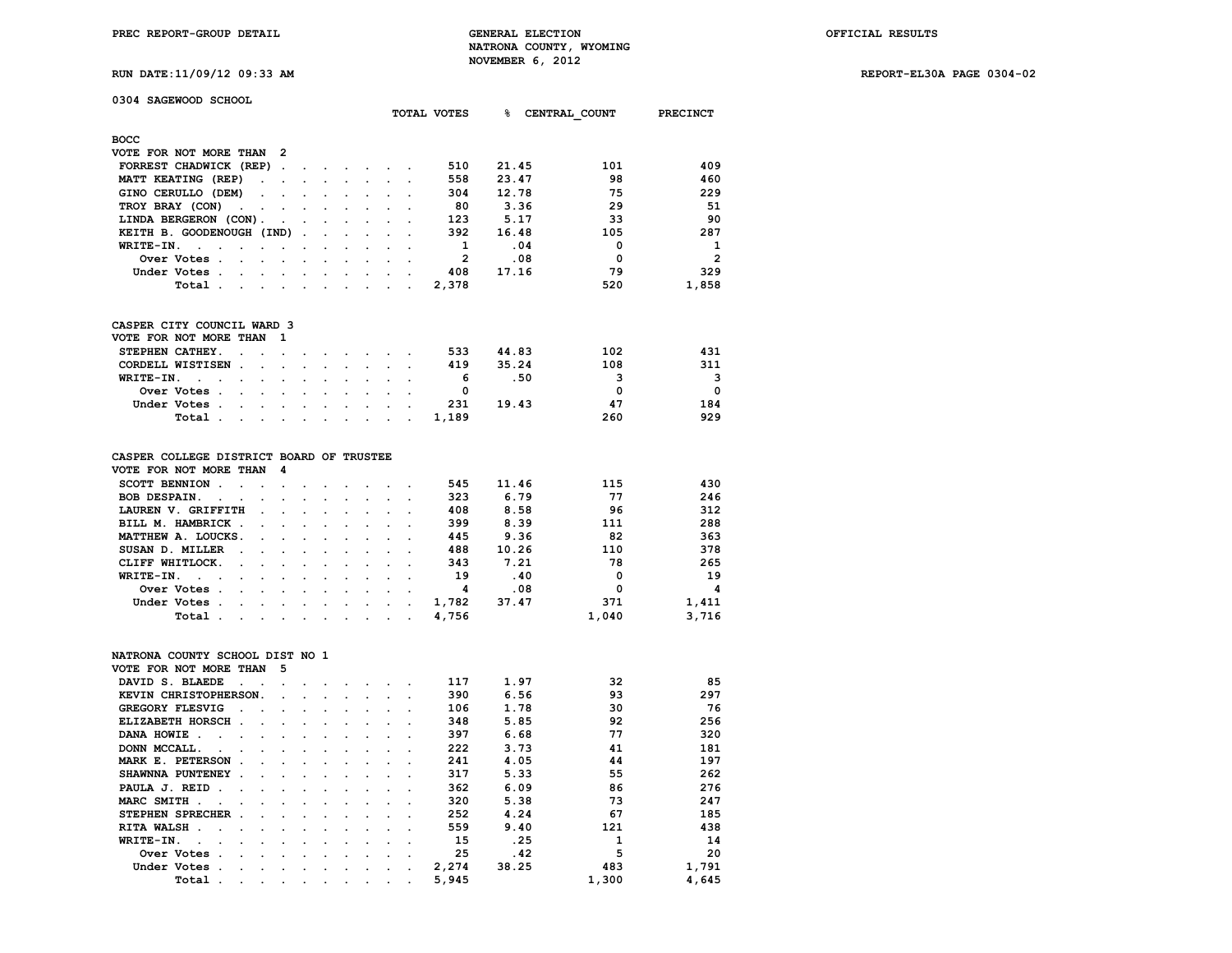**RUN DATE:11/09/12 09:33 AM REPORT-EL30A PAGE 0304-02**

|  | <br> | . |  | . |  |
|--|------|---|--|---|--|
|  |      |   |  |   |  |
|  |      |   |  |   |  |
|  |      |   |  |   |  |

| 0304 SAGEWOOD SCHOOL                                                                                                                                                                                                                           |                      |  |                                  |                 |             | ቈ     |               |                 |
|------------------------------------------------------------------------------------------------------------------------------------------------------------------------------------------------------------------------------------------------|----------------------|--|----------------------------------|-----------------|-------------|-------|---------------|-----------------|
|                                                                                                                                                                                                                                                |                      |  |                                  |                 | TOTAL VOTES |       | CENTRAL COUNT | <b>PRECINCT</b> |
| <b>BOCC</b>                                                                                                                                                                                                                                    |                      |  |                                  |                 |             |       |               |                 |
| VOTE FOR NOT MORE THAN<br>- 2                                                                                                                                                                                                                  |                      |  |                                  |                 |             |       |               |                 |
| FORREST CHADWICK (REP).                                                                                                                                                                                                                        | $\ddot{\phantom{a}}$ |  |                                  |                 | 510         | 21.45 | 101           | 409             |
| MATT KEATING (REP)<br>$\ddot{\phantom{a}}$                                                                                                                                                                                                     |                      |  |                                  |                 | 558         | 23.47 | 98            | 460             |
| GINO CERULLO (DEM)<br>$\sim$                                                                                                                                                                                                                   |                      |  |                                  |                 | 304         | 12.78 | 75            | 229             |
| TROY BRAY (CON)                                                                                                                                                                                                                                |                      |  |                                  |                 | 80          | 3.36  | 29            | 51              |
| LINDA BERGERON (CON).                                                                                                                                                                                                                          |                      |  |                                  |                 | 123         | 5.17  | 33            | 90              |
| KEITH B. GOODENOUGH (IND)                                                                                                                                                                                                                      | $\ddot{\phantom{a}}$ |  |                                  |                 | 392         | 16.48 | 105           | 287             |
| WRITE-IN.                                                                                                                                                                                                                                      |                      |  |                                  |                 | 1           | .04   | 0             | 1               |
| Over Votes .<br>$\cdot$<br>$\sim$                                                                                                                                                                                                              |                      |  |                                  |                 | 2           | .08   | $\Omega$      | $\overline{2}$  |
| Under Votes .                                                                                                                                                                                                                                  |                      |  |                                  |                 | 408         | 17.16 | 79            | 329             |
| Total                                                                                                                                                                                                                                          |                      |  |                                  |                 | 2,378       |       | 520           | 1,858           |
| $\sim$                                                                                                                                                                                                                                         |                      |  |                                  |                 |             |       |               |                 |
| CASPER CITY COUNCIL WARD 3                                                                                                                                                                                                                     |                      |  |                                  |                 |             |       |               |                 |
| VOTE FOR NOT MORE THAN<br>1                                                                                                                                                                                                                    |                      |  |                                  |                 |             |       |               |                 |
| STEPHEN CATHEY.                                                                                                                                                                                                                                |                      |  |                                  |                 | 533         | 44.83 | 102           | 431             |
| CORDELL WISTISEN                                                                                                                                                                                                                               |                      |  |                                  |                 | 419         | 35.24 | 108           | 311             |
| WRITE-IN.                                                                                                                                                                                                                                      |                      |  |                                  |                 | 6           | .50   | 3             | 3               |
| Over Votes.                                                                                                                                                                                                                                    |                      |  |                                  |                 | 0           |       | 0             | $\mathbf 0$     |
| Under Votes .                                                                                                                                                                                                                                  |                      |  |                                  |                 | 231         | 19.43 | 47            | 184             |
| Total.<br>$\blacksquare$ . The contract of the contract of the contract of the contract of the contract of the contract of the contract of the contract of the contract of the contract of the contract of the contract of the contract of the |                      |  | $\bullet$ . The set of $\bullet$ | $\cdot$ $\cdot$ | 1,189       |       | 260           | 929             |

|  | CASPER COLLEGE DISTRICT BOARD OF TRUSTEE |  |  |
|--|------------------------------------------|--|--|
|  |                                          |  |  |

 **Total** . . . . . . . . . . 1,189

|  |  |                          |  |  | 545                                                                                                                                                            | 11.46                | 115         | 430   |
|--|--|--------------------------|--|--|----------------------------------------------------------------------------------------------------------------------------------------------------------------|----------------------|-------------|-------|
|  |  |                          |  |  | 323                                                                                                                                                            | 6.79                 | 77          | 246   |
|  |  |                          |  |  | 408                                                                                                                                                            | 8.58                 | 96          | 312   |
|  |  |                          |  |  | 399                                                                                                                                                            | 8.39                 | 111         | 288   |
|  |  |                          |  |  | 445                                                                                                                                                            | 9.36                 | 82          | 363   |
|  |  |                          |  |  | 488                                                                                                                                                            | 10.26                | 110         | 378   |
|  |  |                          |  |  | 343                                                                                                                                                            | 7.21                 | 78          | 265   |
|  |  |                          |  |  | 19                                                                                                                                                             | .40                  | 0           | 19    |
|  |  |                          |  |  | 4                                                                                                                                                              | .08                  | $\mathbf 0$ | 4     |
|  |  |                          |  |  | 1,782                                                                                                                                                          | 37.47                | 371         | 1,411 |
|  |  |                          |  |  | 4,756                                                                                                                                                          |                      | 1,040       | 3.716 |
|  |  | VOTE FOR NOT MORE THAN 4 |  |  | SCOTT BENNION<br>BOB DESPAIN.<br>LAUREN V. GRIFFITH<br>BILL M. HAMBRICK<br>MATTHEW A. LOUCKS.<br>SUSAN D. MILLER<br>CLIFF WHITLOCK.<br>WRITE-IN.<br>Over Votes | Under Votes<br>Total |             |       |

### **NATRONA COUNTY SCHOOL DIST NO 1 VOTE FOR NOT MORE THAN 5**

| VOTE FOR NOT MORE THAN                                                                                                         | ב                                                                                                                                                                                                                                                                                                                                                                                                                            |                                                                                                                 |                      |                               |                              |        |         |       |       |       |       |
|--------------------------------------------------------------------------------------------------------------------------------|------------------------------------------------------------------------------------------------------------------------------------------------------------------------------------------------------------------------------------------------------------------------------------------------------------------------------------------------------------------------------------------------------------------------------|-----------------------------------------------------------------------------------------------------------------|----------------------|-------------------------------|------------------------------|--------|---------|-------|-------|-------|-------|
| DAVID S. BLAEDE<br>$\sim$<br>$\cdot$                                                                                           | $\mathbf{r}$                                                                                                                                                                                                                                                                                                                                                                                                                 | the contract of the contract of the contract of the contract of the contract of the contract of the contract of |                      |                               |                              |        |         | 117   | 1.97  | 32    | 85    |
| KEVIN CHRISTOPHERSON.                                                                                                          |                                                                                                                                                                                                                                                                                                                                                                                                                              | $\sim$ $\sim$                                                                                                   | $\sim$               | and the state of the state of |                              |        |         | 390   | 6.56  | 93    | 297   |
| <b>GREGORY FLESVIG</b><br>$\sim$                                                                                               |                                                                                                                                                                                                                                                                                                                                                                                                                              | $\mathbf{r}$ , and $\mathbf{r}$                                                                                 |                      |                               | $\sim$ $\sim$                |        |         | 106   | 1.78  | 30    | 76    |
| ELIZABETH HORSCH.<br>$\sim 100$                                                                                                | $\ddot{\phantom{a}}$                                                                                                                                                                                                                                                                                                                                                                                                         | $\sim$ $\sim$                                                                                                   | $\cdot$              | $\sim$ $\sim$                 | $\cdot$                      | $\sim$ |         | 348   | 5.85  | 92    | 256   |
| DANA HOWIE.<br>the contract of the contract of the contract of the contract of the contract of the contract of the contract of |                                                                                                                                                                                                                                                                                                                                                                                                                              |                                                                                                                 |                      |                               | $\sim$ $\sim$                |        |         | 397   | 6.68  | 77    | 320   |
| DONN MCCALL.<br>$\sim$ $\sim$ $\sim$                                                                                           | $\sim$ $\sim$ $\sim$ $\sim$                                                                                                                                                                                                                                                                                                                                                                                                  |                                                                                                                 |                      | $\sim$                        | $\sim$ $\sim$ $\sim$         |        |         | 222   | 3.73  | 41    | 181   |
| MARK E. PETERSON.                                                                                                              | $\mathbf{r} = \mathbf{r} + \mathbf{r} + \mathbf{r} + \mathbf{r} + \mathbf{r} + \mathbf{r} + \mathbf{r} + \mathbf{r} + \mathbf{r} + \mathbf{r} + \mathbf{r} + \mathbf{r} + \mathbf{r} + \mathbf{r} + \mathbf{r} + \mathbf{r} + \mathbf{r} + \mathbf{r} + \mathbf{r} + \mathbf{r} + \mathbf{r} + \mathbf{r} + \mathbf{r} + \mathbf{r} + \mathbf{r} + \mathbf{r} + \mathbf{r} + \mathbf{r} + \mathbf{r} + \mathbf{r} + \mathbf$ |                                                                                                                 |                      |                               |                              |        |         | 241   | 4.05  | 44    | 197   |
| SHAWNNA PUNTENEY<br>$\sim$<br>$\cdot$                                                                                          | $\cdot$                                                                                                                                                                                                                                                                                                                                                                                                                      | $\sim$                                                                                                          | $\sim$               | $\sim$                        | $\ddot{\phantom{a}}$         |        |         | 317   | 5.33  | 55    | 262   |
| PAULA J. REID.<br>$\sim$ 100 $\mu$<br>$\sim$                                                                                   |                                                                                                                                                                                                                                                                                                                                                                                                                              | the contract of the contract of the contract of the contract of the contract of the contract of the contract of |                      |                               |                              |        |         | 362   | 6.09  | 86    | 276   |
| MARC SMITH.<br>$\sim$<br>$\sim$                                                                                                | the company of the company of the company of the company of the company of the company of the company of the company of the company of the company of the company of the company of the company of the company of the company                                                                                                                                                                                                |                                                                                                                 |                      |                               |                              |        |         | 320   | 5.38  | 73    | 247   |
| STEPHEN SPRECHER.                                                                                                              | the contract of the contract of the contract of the contract of the contract of the contract of the contract of                                                                                                                                                                                                                                                                                                              |                                                                                                                 |                      |                               |                              |        |         | 252   | 4.24  | 67    | 185   |
| RITA WALSH.<br>$\sim$<br>$\cdot$                                                                                               | $\sim$                                                                                                                                                                                                                                                                                                                                                                                                                       | $\sim$                                                                                                          | $\sim$               | $\sim$                        | $\cdot$                      |        |         | 559   | 9.40  | 121   | 438   |
| WRITE-IN.<br>$\sim$<br>$\cdot$<br>$\sim$                                                                                       | $\ddot{\phantom{0}}$                                                                                                                                                                                                                                                                                                                                                                                                         | $\sim$                                                                                                          | $\bullet$            | $\cdot$                       | $\sim$ $\sim$                |        |         | 15    | .25   |       | 14    |
| Over Votes.<br>$\sim$<br>$\sim$                                                                                                |                                                                                                                                                                                                                                                                                                                                                                                                                              |                                                                                                                 |                      | $\sim$                        | $\sim$ $\sim$                |        |         | 25    | . 42  | 5     | 20    |
| Under Votes.<br>$\sim$ 100 $\sim$ 100 $\sim$                                                                                   | <b>Contract Contract</b>                                                                                                                                                                                                                                                                                                                                                                                                     |                                                                                                                 | $\ddot{\phantom{0}}$ | $\sim$                        | $\sim$ 100 $\sim$ 100 $\sim$ |        | $\cdot$ | 2,274 | 38.25 | 483   | 1,791 |
| Total.<br>$\cdot$<br>$\sim$                                                                                                    | <b>Contract Contract</b>                                                                                                                                                                                                                                                                                                                                                                                                     |                                                                                                                 | $\sim$               | $\sim$                        | $\cdot$                      |        |         | 5,945 |       | 1,300 | 4,645 |
|                                                                                                                                |                                                                                                                                                                                                                                                                                                                                                                                                                              |                                                                                                                 |                      |                               |                              |        |         |       |       |       |       |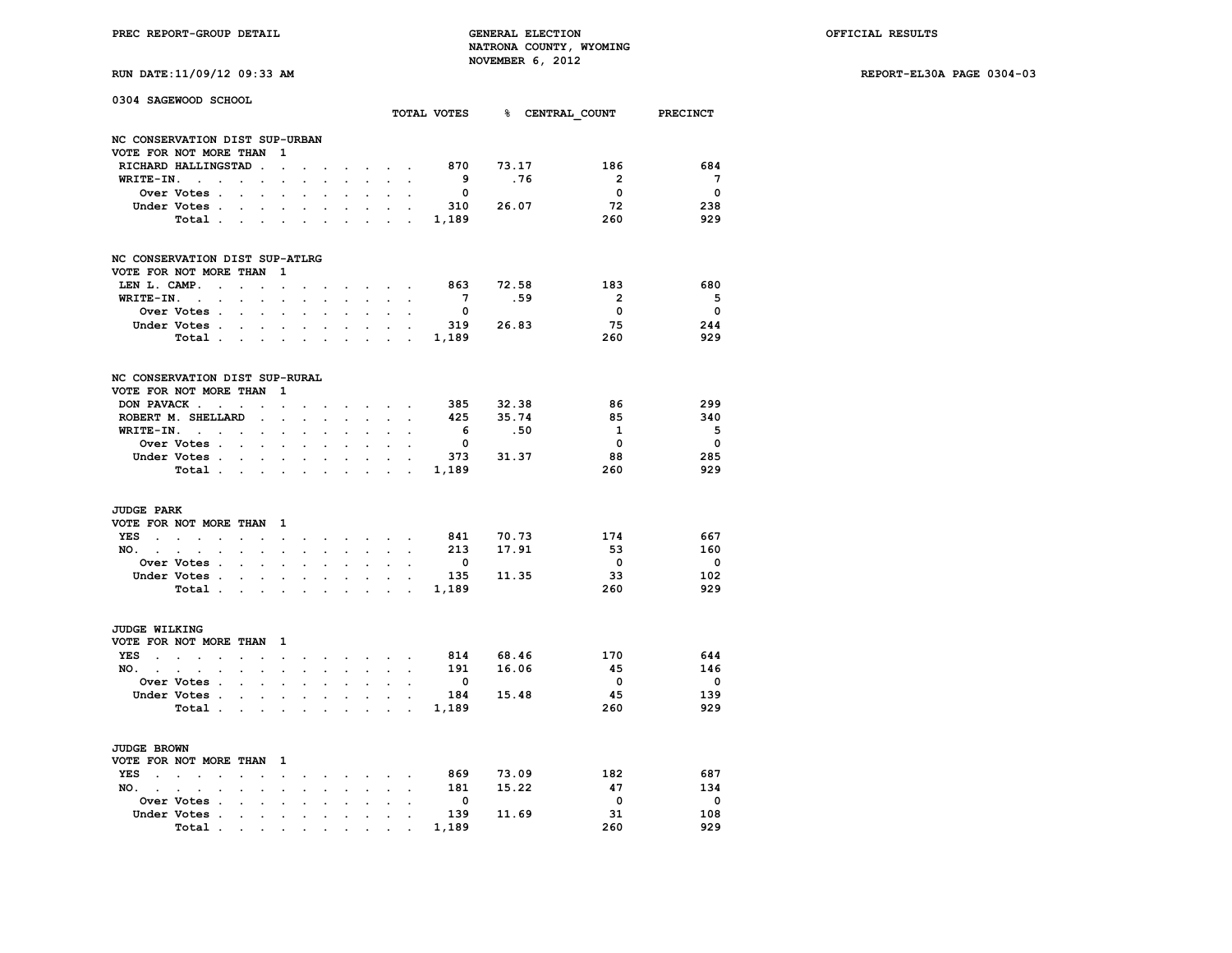**RUN DATE:11/09/12 09:33 AM REPORT-EL30A PAGE 0304-03**

|  | RUN DATE:11/09/12 09:33 AM |  |  |  |  |
|--|----------------------------|--|--|--|--|
|--|----------------------------|--|--|--|--|

|                         | 0304 SAGEWOOD SCHOOL                     |                          |                                   |                                                                                                                                                             |                      |                      |                      |                      |                              |                                                                                                         |                         | TOTAL VOTES 8 CENTRAL COUNT PRECINCT |                         |                          |
|-------------------------|------------------------------------------|--------------------------|-----------------------------------|-------------------------------------------------------------------------------------------------------------------------------------------------------------|----------------------|----------------------|----------------------|----------------------|------------------------------|---------------------------------------------------------------------------------------------------------|-------------------------|--------------------------------------|-------------------------|--------------------------|
|                         | NC CONSERVATION DIST SUP-URBAN           |                          |                                   |                                                                                                                                                             |                      |                      |                      |                      |                              |                                                                                                         |                         |                                      |                         |                          |
|                         | VOTE FOR NOT MORE THAN                   |                          |                                   | $\mathbf{1}$                                                                                                                                                |                      |                      |                      |                      |                              |                                                                                                         |                         |                                      |                         |                          |
|                         | RICHARD HALLINGSTAD.                     |                          |                                   | $\sim$                                                                                                                                                      |                      |                      |                      |                      | and the control              |                                                                                                         | 870                     | 73.17                                | 186                     | 684                      |
| WRITE-IN.               | $\sim$<br>$\ddot{\phantom{a}}$           |                          | $\ddotsc$                         | $\ddot{\phantom{a}}$                                                                                                                                        |                      |                      | i.                   | $\mathbf{r}$         | $\mathbf{r}$                 | $\ddot{\phantom{a}}$                                                                                    | - 9                     | .76                                  | $\overline{2}$          | $\overline{7}$           |
|                         | Over Votes .                             | $\ddot{\phantom{a}}$     | $\cdot$                           |                                                                                                                                                             |                      |                      |                      |                      |                              |                                                                                                         | $\overline{\mathbf{0}}$ |                                      | $\overline{\mathbf{0}}$ | $\overline{\phantom{0}}$ |
|                         | Under Votes                              |                          | $\sim$                            | $\sim$                                                                                                                                                      | $\cdot$              | $\ddot{\phantom{0}}$ | $\ddot{\phantom{0}}$ | $\sim$               | $\sim$                       | $\mathbf{r}$                                                                                            |                         | 310 26.07                            | 72                      | 238                      |
|                         | Total.                                   | $\sim$                   |                                   | $\mathbf{r}$ . The set of $\mathbf{r}$                                                                                                                      |                      |                      |                      |                      |                              | $\mathbf{r} = \mathbf{r} + \mathbf{r} + \mathbf{r} + \mathbf{r} + \mathbf{r} + \mathbf{r} + \mathbf{r}$ | 1,189                   |                                      | 260                     | 929                      |
|                         | NC CONSERVATION DIST SUP-ATLRG           |                          |                                   |                                                                                                                                                             |                      |                      |                      |                      |                              |                                                                                                         |                         |                                      |                         |                          |
|                         | VOTE FOR NOT MORE THAN                   |                          |                                   | 1                                                                                                                                                           |                      |                      |                      |                      |                              |                                                                                                         |                         |                                      |                         |                          |
| LEN L. CAMP.            | $\ddot{\phantom{a}}$                     | $\sim$                   | $\sim$                            | $\sim$                                                                                                                                                      |                      |                      |                      | $\sim$               | $\sim$                       |                                                                                                         | 863                     | 72.58                                | 183                     | 680                      |
| WRITE-IN.               | $\sim$ $\sim$                            |                          |                                   |                                                                                                                                                             |                      |                      |                      |                      |                              |                                                                                                         | $\overline{7}$          | .59                                  | $\overline{\mathbf{2}}$ | - 5                      |
|                         | Over Votes .                             | $\sim$                   | $\ddot{\phantom{a}}$              | $\overline{\phantom{a}}$                                                                                                                                    |                      |                      |                      | $\ddot{\phantom{0}}$ |                              | $\overline{a}$                                                                                          | $\overline{\mathbf{0}}$ |                                      | $\overline{\mathbf{0}}$ | $\overline{\phantom{0}}$ |
|                         | Under Votes.                             |                          | <b>Contract Contract Contract</b> | $\sim$                                                                                                                                                      | $\ddot{\phantom{a}}$ | $\bullet$            | $\ddot{\phantom{a}}$ |                      | $\mathbf{L} = \mathbf{L}$    |                                                                                                         |                         | 319 26.83                            | 75                      | 244                      |
|                         | Total                                    |                          |                                   |                                                                                                                                                             |                      |                      |                      |                      |                              |                                                                                                         |                         |                                      | 260                     | 929                      |
|                         | NC CONSERVATION DIST SUP-RURAL           |                          |                                   |                                                                                                                                                             |                      |                      |                      |                      |                              |                                                                                                         |                         |                                      |                         |                          |
|                         | VOTE FOR NOT MORE THAN                   |                          |                                   | 1                                                                                                                                                           |                      |                      |                      |                      |                              |                                                                                                         |                         |                                      |                         |                          |
| DON PAVACK.             | $\sim$                                   | $\ddot{\phantom{0}}$     | $\sim$                            | $\bullet$                                                                                                                                                   | $\cdot$              |                      |                      |                      | <b>Contract Contract</b>     |                                                                                                         | 385                     | 32.38                                | 86                      | 299                      |
|                         | ROBERT M. SHELLARD                       |                          | $\ddot{\phantom{a}}$              | $\overline{a}$                                                                                                                                              |                      | $\mathbf{r}$         |                      | $\overline{a}$       | $\mathbf{r}$                 |                                                                                                         | 425                     | 35.74                                | 85                      | 340                      |
|                         | $WRITE-IN.$                              |                          | $\ddot{\phantom{0}}$              | $\ddot{\phantom{0}}$                                                                                                                                        |                      |                      |                      | $\ddot{\phantom{0}}$ | $\ddot{\phantom{0}}$         | $\ddot{\phantom{a}}$                                                                                    | 6                       | .50                                  | <sup>1</sup>            | $-5$                     |
|                         | Over Votes .                             | $\sim$ $\sim$            | $\ddot{\phantom{a}}$              | $\ddot{\phantom{a}}$                                                                                                                                        | $\ddot{\phantom{a}}$ | $\ddot{\phantom{0}}$ | $\overline{a}$       | $\ddot{\phantom{a}}$ | $\ddot{\phantom{a}}$         |                                                                                                         | $\overline{\mathbf{0}}$ |                                      | $\overline{\mathbf{0}}$ | $\overline{\phantom{0}}$ |
|                         | Under Votes .                            | <b>Contract Contract</b> | $\mathbf{L}$                      | $\sim$                                                                                                                                                      |                      |                      | $\ddot{\phantom{a}}$ | $\ddot{\phantom{0}}$ |                              |                                                                                                         | 373                     | 31.37                                | 88                      | 285                      |
|                         | Total                                    |                          |                                   | $\sim$                                                                                                                                                      | $\ddot{\phantom{a}}$ | $\ddot{\phantom{0}}$ | $\overline{a}$       | $\ddot{\phantom{a}}$ | $\cdot$                      | $\sim$                                                                                                  | 1,189                   |                                      | 260                     | 929                      |
| <b>JUDGE PARK</b>       |                                          |                          |                                   |                                                                                                                                                             |                      |                      |                      |                      |                              |                                                                                                         |                         |                                      |                         |                          |
|                         | VOTE FOR NOT MORE THAN                   |                          |                                   | 1                                                                                                                                                           |                      |                      |                      |                      |                              |                                                                                                         |                         |                                      |                         |                          |
| YES                     |                                          | $\ddot{\phantom{a}}$     | $\cdot$                           | $\bullet$                                                                                                                                                   |                      |                      |                      |                      | the company of the company   |                                                                                                         |                         | 841 70.73                            | 174                     | 667                      |
| $NO.$ $\ldots$ $\ldots$ | $\overline{a}$                           |                          |                                   |                                                                                                                                                             |                      |                      | $\mathbf{r}$         | $\sim$               | $\sim$                       | $\cdot$                                                                                                 | 213                     | 17.91                                | 53                      | 160                      |
|                         | Over Votes .                             | $\ddot{\phantom{a}}$     | $\sim$                            | $\bullet$                                                                                                                                                   | $\ddot{\phantom{a}}$ | $\ddot{\phantom{0}}$ | $\ddot{\phantom{a}}$ | $\ddot{\phantom{0}}$ | $\sim$                       | $\cdot$                                                                                                 | $\overline{\mathbf{0}}$ |                                      | $\overline{\mathbf{0}}$ | $\mathbf 0$              |
|                         | Under Votes.                             |                          |                                   |                                                                                                                                                             |                      |                      |                      | $\sim$               |                              |                                                                                                         | 135                     | 11.35                                | 33                      | 102                      |
|                         | Total .                                  |                          | $\sim$                            | $\ddot{\phantom{0}}$                                                                                                                                        | $\cdot$              |                      | $\sim$ $\sim$        |                      |                              | <b>Contract Contract Contract</b>                                                                       | 1,189                   |                                      | 260                     | 929                      |
| JUDGE WILKING           |                                          |                          |                                   |                                                                                                                                                             |                      |                      |                      |                      |                              |                                                                                                         |                         |                                      |                         |                          |
|                         | VOTE FOR NOT MORE THAN                   |                          |                                   | $\mathbf{1}$                                                                                                                                                |                      |                      |                      |                      |                              |                                                                                                         |                         |                                      |                         |                          |
| YES.                    | $\sim$<br>$\sim$<br>$\mathbf{r}$         | $\ddot{\phantom{0}}$     | $\ddot{\phantom{a}}$              | $\ddot{\phantom{0}}$                                                                                                                                        | $\ddot{\phantom{a}}$ | $\cdot$              |                      |                      | the contract of the con-     | $\mathbb{Z}^2$                                                                                          |                         | 814 68.46                            | 170                     | 644                      |
| $NO.$ $.$               | $\sim$<br>$\cdot$                        | $\overline{a}$           | $\ddot{\phantom{a}}$              | $\sim$                                                                                                                                                      | $\overline{a}$       | $\sim$               | $\overline{a}$       |                      |                              | $\mathcal{L}^{\text{max}}$ , and $\mathcal{L}^{\text{max}}$                                             | 191                     | 16.06                                | 45                      | 146                      |
|                         | <b>Over Votes .</b>                      | $\ddot{\phantom{a}}$     | $\mathbf{r}$                      | $\overline{a}$                                                                                                                                              |                      |                      | $\overline{a}$       | $\ddot{\phantom{0}}$ | $\sim$                       |                                                                                                         | $\mathbf 0$             |                                      | $\overline{\mathbf{0}}$ | $\mathbf 0$              |
|                         | Under Votes.                             | $\sim$                   | $\sim$                            |                                                                                                                                                             |                      | $\ddot{\phantom{a}}$ |                      | $\sim$               |                              |                                                                                                         |                         | 184 15.48                            | 45                      | 139                      |
|                         | Total .                                  |                          | <b>Contract Contract</b>          | $\ddot{\phantom{0}}$                                                                                                                                        | $\bullet$            | $\sim$               | $\blacksquare$       |                      |                              | and a strategic con-                                                                                    | 1,189                   |                                      | 260                     | 929                      |
| <b>JUDGE BROWN</b>      |                                          |                          |                                   |                                                                                                                                                             |                      |                      |                      |                      |                              |                                                                                                         |                         |                                      |                         |                          |
|                         | VOTE FOR NOT MORE THAN                   |                          |                                   | $\mathbf{1}$                                                                                                                                                |                      |                      |                      |                      |                              |                                                                                                         |                         |                                      |                         |                          |
| <b>YES</b><br>$\sim$    | $\sim$<br>$\sim$<br>$\ddot{\phantom{a}}$ | $\ddot{\phantom{a}}$     | $\ddot{\phantom{a}}$              | $\ddot{\phantom{0}}$                                                                                                                                        | $\ddot{\phantom{a}}$ |                      | $\sim$               |                      | $\sim$ 100 $\sim$ 100 $\sim$ | $\sim$                                                                                                  | 869                     | 73.09                                | 182                     | 687                      |
| NO. .                   | $\mathcal{L}_{\mathcal{A}}$<br>$\bullet$ |                          | $\bullet$                         | $\bullet$                                                                                                                                                   |                      |                      | $\ddot{\phantom{0}}$ | $\sim$               | $\ddot{\phantom{0}}$         | $\ddot{\phantom{0}}$                                                                                    | 181                     | 15.22                                | 47                      | 134                      |
|                         | <b>Over Votes .</b>                      |                          |                                   |                                                                                                                                                             |                      |                      |                      |                      |                              |                                                                                                         | $\overline{\mathbf{0}}$ |                                      | $\overline{\mathbf{0}}$ | $\mathbf 0$              |
|                         | Under Votes .                            | $\bullet$                | $\bullet$                         | $\bullet$                                                                                                                                                   | $\cdot$              | $\sim$               | $\bullet$            | $\ddot{\phantom{0}}$ | $\ddot{\phantom{0}}$         | $\ddot{\phantom{0}}$                                                                                    | 139                     | 11.69                                | 31                      | 108                      |
|                         | Total.                                   | <b>Contractor</b>        |                                   | $\bullet$ .<br><br><br><br><br><br><br><br><br><br><br><br><br><br><br><br><br><br><br><br><br><br><br><br><br><br><br><br><br><br><br><br><br><br><br><br> |                      |                      |                      |                      |                              |                                                                                                         | 1,189                   |                                      | 260                     | 929                      |
|                         |                                          |                          |                                   |                                                                                                                                                             |                      |                      |                      |                      |                              |                                                                                                         |                         |                                      |                         |                          |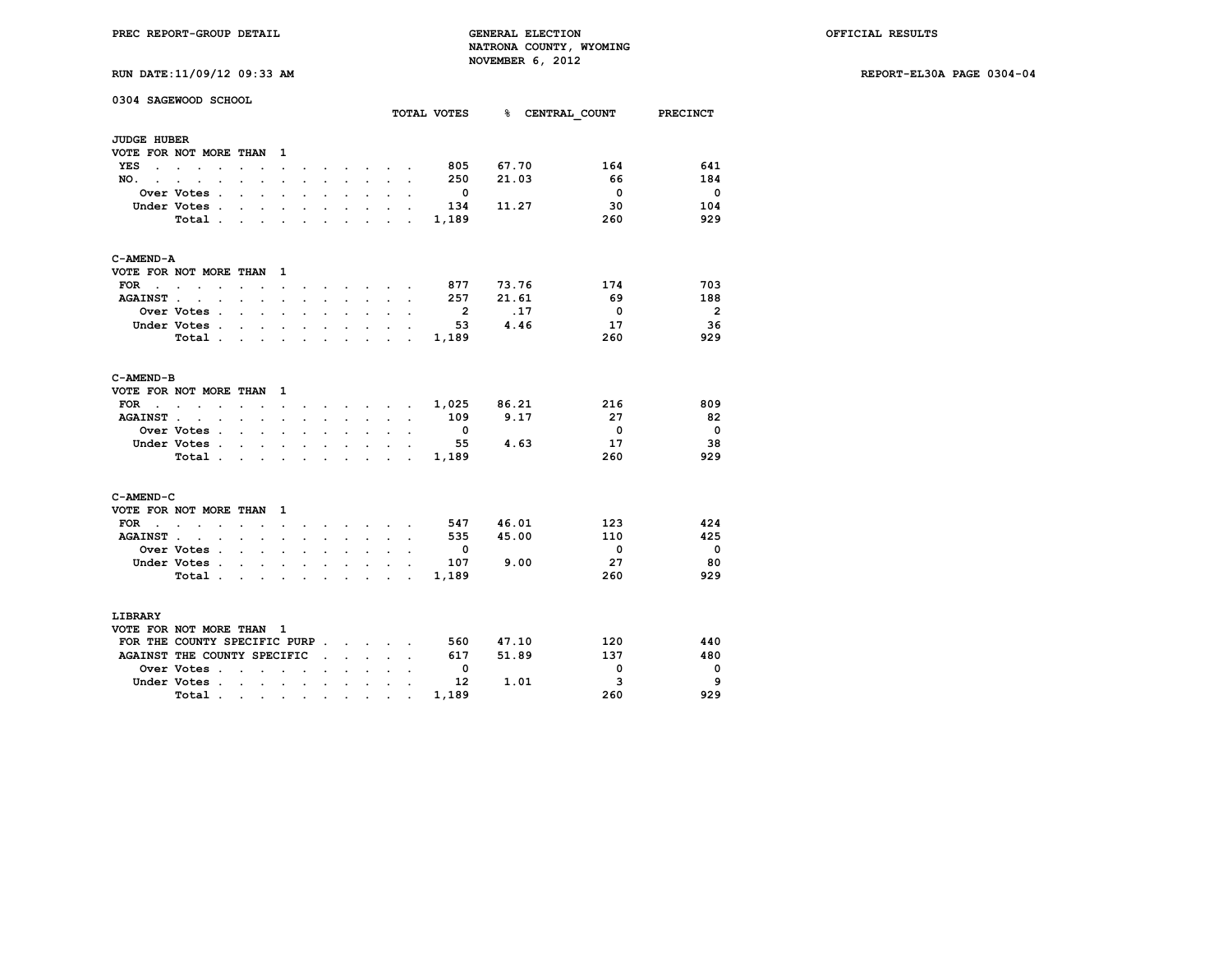**RUN DATE:11/09/12 09:33 AM REPORT-EL30A PAGE 0304-04**

|  | RUN DATE:11/09/12 09:33 AM |  |  |  |  |
|--|----------------------------|--|--|--|--|
|--|----------------------------|--|--|--|--|

| <b>JUDGE HUBER</b><br>VOTE FOR NOT MORE THAN<br>1<br>805<br>67.70<br>YES<br>$\sim$ $\sim$ $\sim$ $\sim$ $\sim$<br>$\ddot{\phantom{0}}$<br>$\ddot{\phantom{0}}$<br>$\bullet$<br>250<br>21.03<br>NO.<br>$\overline{a}$<br>$\ddot{\phantom{a}}$<br>$\ddot{\phantom{0}}$<br>$\sim$<br>$\sim$<br>$\cdot$<br>$\ddot{\phantom{0}}$<br>$\ddot{\phantom{0}}$<br>$\bullet$<br>$\ddot{\phantom{0}}$<br>$\ddot{\phantom{0}}$<br>$\cdot$<br>Over Votes .<br>- 0<br>$\ddot{\phantom{a}}$<br>$\ddot{\phantom{a}}$<br>11.27<br>Under Votes .<br>134<br>$\mathbf{r}$<br>$\cdot$<br>$\overline{a}$<br>$\ddot{\phantom{a}}$<br>$\overline{a}$<br>$\ddot{\phantom{a}}$<br>$\cdot$ | 164<br>66<br>$\overline{\mathbf{0}}$<br>30<br>260 | 641<br>184<br>$\overline{\phantom{0}}$<br>104<br>929 |
|---------------------------------------------------------------------------------------------------------------------------------------------------------------------------------------------------------------------------------------------------------------------------------------------------------------------------------------------------------------------------------------------------------------------------------------------------------------------------------------------------------------------------------------------------------------------------------------------------------------------------------------------------------------|---------------------------------------------------|------------------------------------------------------|
|                                                                                                                                                                                                                                                                                                                                                                                                                                                                                                                                                                                                                                                               |                                                   |                                                      |
|                                                                                                                                                                                                                                                                                                                                                                                                                                                                                                                                                                                                                                                               |                                                   |                                                      |
|                                                                                                                                                                                                                                                                                                                                                                                                                                                                                                                                                                                                                                                               |                                                   |                                                      |
|                                                                                                                                                                                                                                                                                                                                                                                                                                                                                                                                                                                                                                                               |                                                   |                                                      |
|                                                                                                                                                                                                                                                                                                                                                                                                                                                                                                                                                                                                                                                               |                                                   |                                                      |
|                                                                                                                                                                                                                                                                                                                                                                                                                                                                                                                                                                                                                                                               |                                                   |                                                      |
| Total.<br>1,189<br>$\sim$ $\sim$<br>$\ddot{\phantom{a}}$<br>$\ddot{\phantom{a}}$<br>$\sim$<br>$\ddot{\phantom{0}}$<br>$\mathbf{r} = \mathbf{r}$<br>$\ddot{\phantom{0}}$<br>$\ddot{\phantom{0}}$                                                                                                                                                                                                                                                                                                                                                                                                                                                               |                                                   |                                                      |
| C-AMEND-A                                                                                                                                                                                                                                                                                                                                                                                                                                                                                                                                                                                                                                                     |                                                   |                                                      |
| VOTE FOR NOT MORE THAN<br>1                                                                                                                                                                                                                                                                                                                                                                                                                                                                                                                                                                                                                                   |                                                   |                                                      |
| <b>FOR</b><br>877<br>73.76<br>$\cdot$ $\cdot$<br>$\overline{\phantom{a}}$<br>$\ddot{\phantom{0}}$<br>$\ddot{\phantom{0}}$<br>$\bullet$<br>$\ddot{\phantom{0}}$<br>$\ddot{\phantom{0}}$<br><b>Contract Contract Street</b>                                                                                                                                                                                                                                                                                                                                                                                                                                     | 174                                               | 703                                                  |
| 21.61<br>257<br><b>AGAINST.</b><br>$\ddot{\phantom{a}}$<br>$\sim 100$ km s $^{-1}$<br>$\ddot{\phantom{a}}$<br>$\ddot{\phantom{a}}$<br>$\sim$<br>$\bullet$<br>$\ddot{\phantom{a}}$<br>$\ddot{\phantom{a}}$<br>$\sim$<br>$\ddot{\phantom{a}}$                                                                                                                                                                                                                                                                                                                                                                                                                   | 69                                                | 188                                                  |
| $\overline{\phantom{a}}$<br>.17<br>Over Votes .<br>$\mathbf{r}$<br>$\ddot{\phantom{0}}$<br>$\ddot{\phantom{a}}$<br>÷<br>$\ddot{\phantom{a}}$<br>$\cdot$<br>$\ddot{\phantom{0}}$                                                                                                                                                                                                                                                                                                                                                                                                                                                                               | $\overline{\phantom{0}}$                          | - 2                                                  |
| 4.46<br>Under Votes .<br>- 53<br>$\ddot{\phantom{0}}$<br>$\sim$ $\sim$<br>$\ddot{\phantom{0}}$<br>$\ddot{\phantom{a}}$<br>$\ddot{\phantom{a}}$<br>$\ddot{\phantom{0}}$<br>$\bullet$<br>$\ddot{\phantom{a}}$<br>$\overline{a}$                                                                                                                                                                                                                                                                                                                                                                                                                                 | 17                                                | 36                                                   |
| Total.<br>1,189<br>$\sim$<br>$\cdot$<br>$\ddot{\phantom{a}}$<br>$\sim$<br>$\ddot{\phantom{a}}$<br>$\ddot{\phantom{a}}$<br>$\mathbf{r}$                                                                                                                                                                                                                                                                                                                                                                                                                                                                                                                        | 260                                               | 929                                                  |
| C-AMEND-B                                                                                                                                                                                                                                                                                                                                                                                                                                                                                                                                                                                                                                                     |                                                   |                                                      |
| VOTE FOR NOT MORE THAN<br>1                                                                                                                                                                                                                                                                                                                                                                                                                                                                                                                                                                                                                                   |                                                   |                                                      |
| 1,025<br>86.21<br><b>FOR</b><br>the contract of the contract of the<br>$\ddot{\phantom{a}}$<br>$\ddot{\phantom{a}}$<br>$\bullet$<br>$\ddot{\phantom{0}}$<br>$\ddot{\phantom{0}}$<br>$\sim$                                                                                                                                                                                                                                                                                                                                                                                                                                                                    | 216                                               | 809                                                  |
| 109<br>9.17<br><b>AGAINST</b><br>$\cdot$<br>$\ddot{\phantom{0}}$<br>$\ddot{\phantom{0}}$<br>$\sim$<br>$\sim$                                                                                                                                                                                                                                                                                                                                                                                                                                                                                                                                                  | - 27                                              | - 82                                                 |
| Over Votes .<br>$\overline{\phantom{0}}$<br>$\ddot{\phantom{a}}$<br>$\ddot{\phantom{0}}$<br>$\bullet$<br>$\ddot{\phantom{0}}$<br>$\ddot{\phantom{0}}$<br>$\ddot{\phantom{0}}$<br>$\ddot{\phantom{0}}$<br>$\ddot{\phantom{0}}$<br>$\ddot{\phantom{0}}$                                                                                                                                                                                                                                                                                                                                                                                                         | $\mathbf{0}$                                      | $\overline{\phantom{0}}$                             |
| 4.63<br>Under Votes.<br>55<br>$\ddot{\phantom{0}}$<br>$\ddot{\phantom{a}}$<br>$\ddot{\phantom{0}}$<br>$\sim$                                                                                                                                                                                                                                                                                                                                                                                                                                                                                                                                                  | 17                                                | 38                                                   |
| Total.<br>1,189<br>$\mathbf{L}$<br>$\mathbf{L}$<br>$\mathbf{L} = \mathbf{L}$<br>$\sim$<br>$\mathbf{r}$<br>$\ddot{\phantom{a}}$<br>$\sim$                                                                                                                                                                                                                                                                                                                                                                                                                                                                                                                      | 260                                               | 929                                                  |
| C-AMEND-C                                                                                                                                                                                                                                                                                                                                                                                                                                                                                                                                                                                                                                                     |                                                   |                                                      |
| VOTE FOR NOT MORE THAN<br>1                                                                                                                                                                                                                                                                                                                                                                                                                                                                                                                                                                                                                                   |                                                   |                                                      |
| 46.01<br><b>FOR</b><br>547<br>$\sim$<br>$\mathbf{z} = \mathbf{z} + \mathbf{z}$<br>$\mathbf{r}$ and $\mathbf{r}$<br>$\ddot{\phantom{0}}$<br>$\ddot{\phantom{0}}$<br>$\cdot$<br>$\ddot{\phantom{a}}$                                                                                                                                                                                                                                                                                                                                                                                                                                                            | 123                                               | 424                                                  |
| 45.00<br><b>AGAINST.</b><br>535<br>$\ddot{\phantom{a}}$<br>$\ddot{\phantom{a}}$<br>$\cdot$<br>$\ddot{\phantom{0}}$<br>$\ddot{\phantom{a}}$<br>$\cdot$<br>$\cdot$<br>$\ddot{\phantom{a}}$<br>$\ddot{\phantom{0}}$                                                                                                                                                                                                                                                                                                                                                                                                                                              | 110                                               | 425                                                  |
| Over Votes .<br>$\overline{\phantom{0}}$<br>$\cdot$ $\cdot$<br>$\ddot{\phantom{a}}$<br>$\ddot{\phantom{a}}$<br>$\ddot{\phantom{0}}$<br>$\ddot{\phantom{0}}$<br>$\ddot{\phantom{0}}$                                                                                                                                                                                                                                                                                                                                                                                                                                                                           | $\overline{\mathbf{0}}$                           | - 0                                                  |
| Under Votes .<br>107<br>9.00<br>$\mathbf{r}$<br>$\mathbf{r}$<br>$\sim$<br>$\ddot{\phantom{a}}$<br>$\cdot$                                                                                                                                                                                                                                                                                                                                                                                                                                                                                                                                                     | 27                                                | 80                                                   |
| 1,189<br>Total .<br><b>Contract Contract Contract</b><br>and a strategic control of the strategic<br>$\ddot{\phantom{0}}$<br>$\sim$                                                                                                                                                                                                                                                                                                                                                                                                                                                                                                                           | 260                                               | 929                                                  |
| LIBRARY                                                                                                                                                                                                                                                                                                                                                                                                                                                                                                                                                                                                                                                       |                                                   |                                                      |
| VOTE FOR NOT MORE THAN<br>- 1                                                                                                                                                                                                                                                                                                                                                                                                                                                                                                                                                                                                                                 |                                                   |                                                      |
| FOR THE COUNTY SPECIFIC PURP.<br>560<br>47.10<br><b>Contract Contract Contract Contract</b>                                                                                                                                                                                                                                                                                                                                                                                                                                                                                                                                                                   | 120                                               | 440                                                  |
| AGAINST THE COUNTY SPECIFIC<br>617<br>51.89<br>$\cdot$ $\cdot$ $\cdot$<br>$\ddot{\phantom{a}}$                                                                                                                                                                                                                                                                                                                                                                                                                                                                                                                                                                | 137                                               | 480                                                  |
| Over Votes .<br>$\overline{\mathbf{0}}$<br>$\cdot$<br>$\sim$<br>$\ddot{\phantom{a}}$                                                                                                                                                                                                                                                                                                                                                                                                                                                                                                                                                                          | 0                                                 | $\mathbf 0$                                          |
| Under Votes .<br>12<br>1.01<br>$\ddotsc$<br>$\ddot{\phantom{a}}$<br><b>Contract Contract</b><br>$\sim$<br>$\ddot{\phantom{a}}$<br>$\ddot{\phantom{a}}$<br>$\ddot{\phantom{a}}$<br>$\ddot{\phantom{0}}$                                                                                                                                                                                                                                                                                                                                                                                                                                                        | 3                                                 | 9                                                    |
| 1,189<br>Total.<br>$\sim 100$<br><b>Contract Contract</b><br>$\bullet$ .<br>$\bullet$<br>$\sim$<br>$\bullet$                                                                                                                                                                                                                                                                                                                                                                                                                                                                                                                                                  | 260                                               | 929                                                  |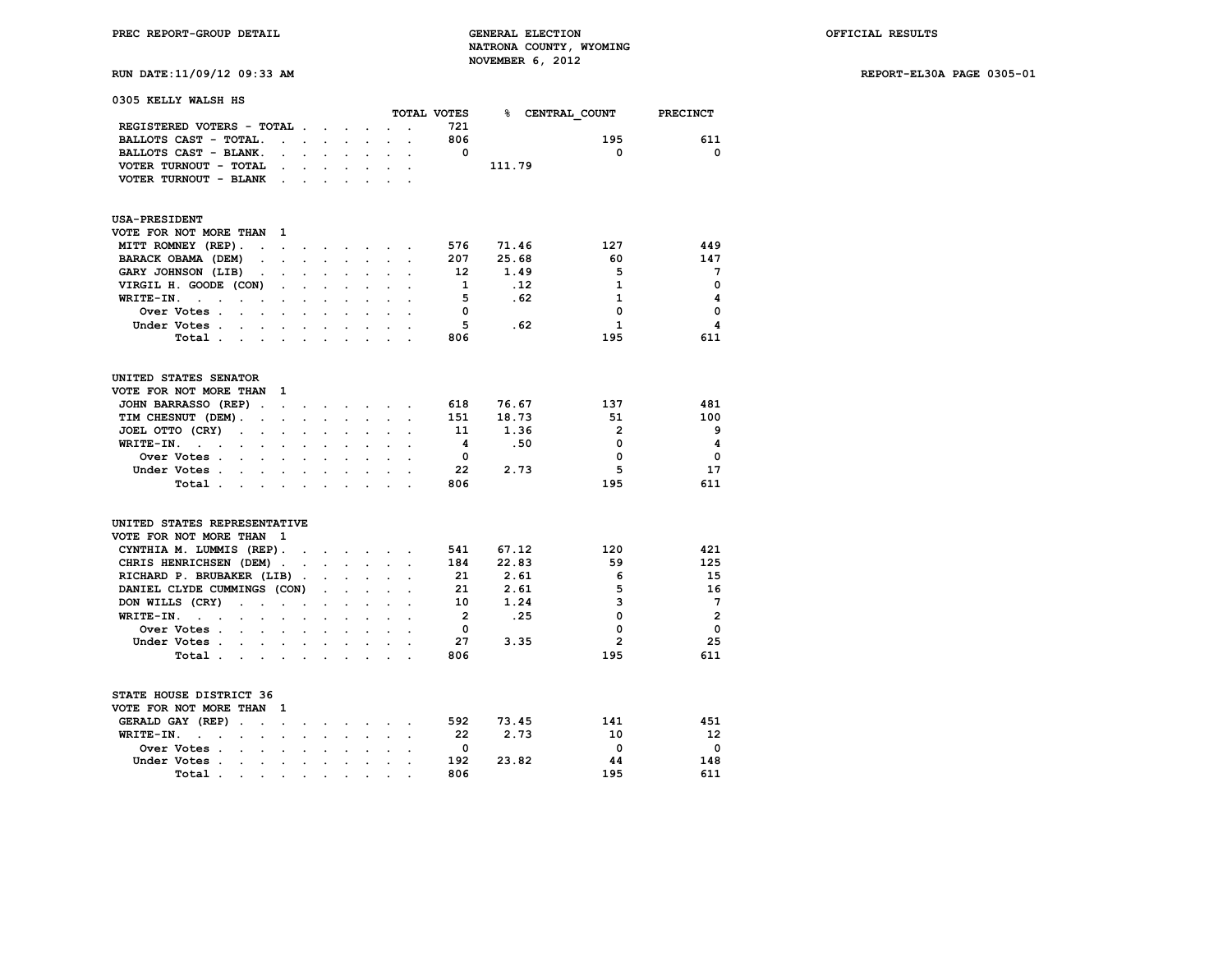**RUN DATE:11/09/12 09:33 AM REPORT-EL30A PAGE 0305-01**

|  |  | 0305 KELLY WALSH HS |  |  |
|--|--|---------------------|--|--|
|--|--|---------------------|--|--|

|                                                                                                                                  |                      |                      |                                          |                      |                      |                      | TOTAL VOTES    |        | % CENTRAL COUNT | PRECINCT                |
|----------------------------------------------------------------------------------------------------------------------------------|----------------------|----------------------|------------------------------------------|----------------------|----------------------|----------------------|----------------|--------|-----------------|-------------------------|
| REGISTERED VOTERS - TOTAL .                                                                                                      |                      | $\cdot$              |                                          |                      |                      |                      | 721            |        |                 |                         |
| BALLOTS CAST - TOTAL.<br>$\ddot{\phantom{a}}$                                                                                    | $\ddot{\phantom{a}}$ |                      | ÷                                        |                      |                      |                      | 806            |        | 195             | 611                     |
| BALLOTS CAST - BLANK.                                                                                                            |                      |                      | $\mathbf{r}$                             | $\sim$               |                      |                      | 0              |        | $\mathbf 0$     | 0                       |
| VOTER TURNOUT - TOTAL                                                                                                            |                      |                      |                                          |                      |                      |                      |                | 111.79 |                 |                         |
| VOTER TURNOUT - BLANK<br>$\overline{\phantom{a}}$                                                                                |                      |                      |                                          |                      |                      |                      |                |        |                 |                         |
| <b>USA-PRESIDENT</b>                                                                                                             |                      |                      |                                          |                      |                      |                      |                |        |                 |                         |
| VOTE FOR NOT MORE THAN<br>1                                                                                                      |                      |                      |                                          |                      |                      |                      |                |        |                 |                         |
| MITT ROMNEY (REP).<br>$\ddot{\phantom{a}}$<br>$\ddot{\phantom{a}}$                                                               | $\ddot{\phantom{0}}$ |                      | $\mathbf{r} = \mathbf{r} + \mathbf{r}$ . | $\sim$               | $\sim$               |                      | 576            | 71.46  | 127             | 449                     |
| BARACK OBAMA (DEM)                                                                                                               |                      |                      |                                          |                      |                      |                      | 207            | 25.68  | 60              | 147                     |
| GARY JOHNSON (LIB)<br>$\ddot{\phantom{0}}$<br>$\cdot$                                                                            | $\ddot{\phantom{0}}$ | $\ddot{\phantom{a}}$ | $\ddot{\phantom{a}}$                     | $\blacksquare$       | $\ddot{\phantom{a}}$ |                      | 12             | 1.49   | 5               | $7\phantom{.0}$         |
| VIRGIL H. GOODE (CON)                                                                                                            | $\ddot{\phantom{a}}$ |                      |                                          |                      |                      |                      | 1              | .12    | $\mathbf{1}$    | $\mathbf 0$             |
| WRITE-IN.<br>$\sim$ $-$<br>$\ddot{\phantom{a}}$<br>$\ddot{\phantom{a}}$<br>$\ddot{\phantom{a}}$                                  | $\ddot{\phantom{0}}$ | $\ddot{\phantom{a}}$ | $\ddot{\phantom{a}}$                     | $\ddot{\phantom{a}}$ | $\ddot{\phantom{a}}$ |                      | -5             | .62    | 1               | 4                       |
| Over Votes.                                                                                                                      |                      |                      |                                          |                      |                      |                      | $^{\circ}$     |        | 0               | $\mathbf 0$             |
| Under Votes<br>$\ddot{\phantom{0}}$                                                                                              | $\ddot{\phantom{a}}$ | $\ddot{\phantom{0}}$ | $\ddot{\phantom{0}}$                     | $\bullet$            | $\ddot{\phantom{0}}$ |                      | 5              | .62    | $\mathbf{1}$    | 4                       |
| Total .<br>and the state of the state of the                                                                                     | $\ddot{\phantom{0}}$ |                      | $\sim$<br>$\mathbf{r}$                   | $\mathbf{r}$         | $\ddot{\phantom{a}}$ |                      | 806            |        | 195             | 611                     |
| UNITED STATES SENATOR                                                                                                            |                      |                      |                                          |                      |                      |                      |                |        |                 |                         |
| VOTE FOR NOT MORE THAN<br>1                                                                                                      |                      |                      |                                          |                      |                      |                      |                |        |                 |                         |
| JOHN BARRASSO (REP).<br>$\sim$                                                                                                   | $\sim$               |                      | $\sim$<br>$\sim$                         |                      |                      |                      | 618            | 76.67  | 137             | 481                     |
| TIM CHESNUT (DEM).<br>$\ddot{\phantom{a}}$<br>$\ddot{\phantom{a}}$                                                               | $\ddot{\phantom{a}}$ | $\cdot$              | $\ddot{\phantom{a}}$                     | $\ddot{\phantom{0}}$ | $\ddot{\phantom{0}}$ | $\cdot$              | 151            | 18.73  | 51              | 100                     |
| JOEL OTTO (CRY)<br>$\ddot{\phantom{a}}$<br>$\ddot{\phantom{0}}$                                                                  |                      |                      |                                          |                      |                      |                      | 11             | 1.36   | $\overline{2}$  | 9                       |
| WRITE-IN.<br>$\mathcal{L}^{\text{max}}$ and $\mathcal{L}^{\text{max}}$<br>$\sim$<br>$\ddot{\phantom{0}}$<br>$\ddot{\phantom{0}}$ | $\overline{a}$       | $\overline{a}$       | $\cdot$                                  | $\ddot{\phantom{a}}$ | $\ddot{\phantom{a}}$ |                      | 4              | .50    | $\mathbf 0$     | $\overline{\mathbf{4}}$ |
| Over Votes .<br>$\sim$                                                                                                           |                      |                      |                                          |                      |                      |                      | $\mathbf{0}$   |        | $\mathbf 0$     | 0                       |
| Under Votes.<br>$\ddot{\phantom{a}}$<br>$\ddot{\phantom{a}}$<br>$\ddot{\phantom{a}}$                                             | $\ddot{\phantom{a}}$ | $\ddot{\phantom{a}}$ | $\ddot{\phantom{a}}$                     | $\ddot{\phantom{a}}$ |                      |                      | 22             | 2.73   | 5               | 17                      |
| Total.                                                                                                                           |                      |                      |                                          |                      |                      |                      | 806            |        | 195             | 611                     |
| UNITED STATES REPRESENTATIVE                                                                                                     |                      |                      |                                          |                      |                      |                      |                |        |                 |                         |
| VOTE FOR NOT MORE THAN<br>$\mathbf{1}$                                                                                           |                      |                      |                                          |                      |                      |                      |                |        |                 |                         |
| CYNTHIA M. LUMMIS (REP).                                                                                                         | $\sim$               |                      | $\mathbf{r}$ and $\mathbf{r}$            | $\sim$               |                      |                      | 541            | 67.12  | 120             | 421                     |
| CHRIS HENRICHSEN (DEM).                                                                                                          |                      |                      | $\mathcal{L}^{\text{max}}$               |                      |                      |                      | 184            | 22.83  | 59              | 125                     |
| RICHARD P. BRUBAKER (LIB).                                                                                                       |                      |                      |                                          |                      |                      |                      | 21             | 2.61   | 6               | 15                      |
| DANIEL CLYDE CUMMINGS (CON)                                                                                                      |                      |                      |                                          |                      |                      |                      | 21             | 2.61   | 5               | 16                      |
| DON WILLS (CRY)<br>$\mathbf{r}$<br>$\sim$<br>$\ddot{\phantom{0}}$                                                                |                      |                      |                                          |                      |                      |                      | 10             | 1.24   | 3               | 7                       |
| WRITE-IN.<br>$\sim$ $\sim$<br>$\overline{a}$<br>$\overline{a}$<br>$\ddot{\phantom{0}}$                                           | $\overline{a}$       | $\mathbf{r}$         |                                          |                      |                      |                      | $\overline{2}$ | .25    | $\Omega$        | $\overline{2}$          |
| Over Votes .<br>$\sim$<br>$\ddot{\phantom{a}}$                                                                                   |                      |                      |                                          |                      |                      |                      | $^{\circ}$     |        | 0               | $\Omega$                |
| Under Votes .<br>$\ddot{\phantom{a}}$<br>$\ddot{\phantom{0}}$<br>$\ddot{\phantom{a}}$                                            | $\cdot$              | $\cdot$              | $\ddot{\phantom{a}}$                     | $\ddot{\phantom{a}}$ | $\cdot$              |                      | 27             | 3.35   | $\overline{2}$  | 25                      |
| Total<br>$\sim$<br>$\ddot{\phantom{a}}$                                                                                          | $\cdot$              | $\sim$               | $\bullet$                                |                      |                      |                      | 806            |        | 195             | 611                     |
| STATE HOUSE DISTRICT 36                                                                                                          |                      |                      |                                          |                      |                      |                      |                |        |                 |                         |
| VOTE FOR NOT MORE THAN<br>1                                                                                                      |                      |                      |                                          |                      |                      |                      |                |        |                 |                         |
| GERALD GAY (REP)<br>$\ddot{\phantom{0}}$<br>$\ddot{\phantom{a}}$<br>$\ddot{\phantom{a}}$                                         | $\ddot{\phantom{0}}$ | $\ddot{\phantom{0}}$ | $\ddot{\phantom{a}}$                     | $\ddot{\phantom{0}}$ | $\ddot{\phantom{a}}$ | $\ddot{\phantom{a}}$ | 592            | 73.45  | 141             | 451                     |
| WRITE-IN.<br>$\ddot{\phantom{a}}$<br>$\ddot{\phantom{a}}$                                                                        |                      |                      |                                          |                      |                      |                      | 22             | 2.73   | 10              | 12                      |
| Over Votes.<br>$\cdot$<br>$\ddot{\phantom{0}}$<br>$\ddot{\phantom{a}}$                                                           | $\ddot{\phantom{0}}$ | $\ddot{\phantom{0}}$ | $\bullet$                                | $\bullet$            |                      |                      | $\Omega$       |        | $\mathbf 0$     | 0                       |
| Under Votes .<br>$\ddot{\phantom{a}}$<br>$\ddot{\phantom{0}}$<br>$\ddot{\phantom{0}}$                                            |                      | $\ddot{\phantom{a}}$ | $\ddot{\phantom{a}}$                     |                      |                      |                      | 192            | 23.82  | 44              | 148                     |
| Total.<br>$\sim$ 100 $\sim$<br>$\cdot$<br>$\ddot{\phantom{0}}$                                                                   | $\ddot{\phantom{a}}$ | $\cdot$              | $\cdot$                                  |                      |                      |                      | 806            |        | 195             | 611                     |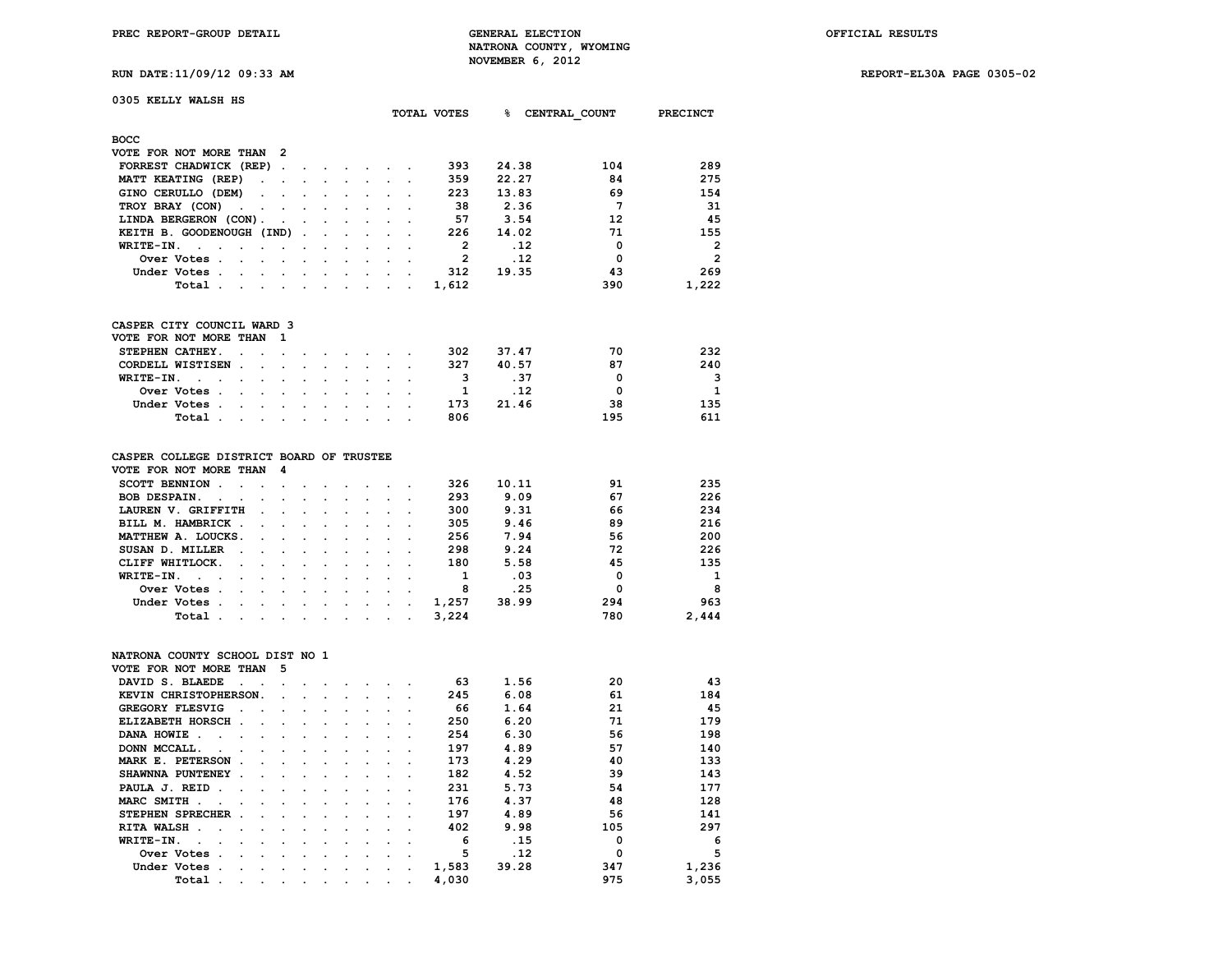**RUN DATE:11/09/12 09:33 AM REPORT-EL30A PAGE 0305-02**

|  | .<br>the contract of the contract of the contract of |  | . |  |
|--|------------------------------------------------------|--|---|--|
|  |                                                      |  |   |  |
|  |                                                      |  |   |  |
|  |                                                      |  |   |  |
|  |                                                      |  |   |  |

| 0305 KELLY WALSH HS                                                                                                                                                                                                                                            |                                                                                                                                                                                                                                |                                            |                                                                  |  |                |        |               |                 |
|----------------------------------------------------------------------------------------------------------------------------------------------------------------------------------------------------------------------------------------------------------------|--------------------------------------------------------------------------------------------------------------------------------------------------------------------------------------------------------------------------------|--------------------------------------------|------------------------------------------------------------------|--|----------------|--------|---------------|-----------------|
|                                                                                                                                                                                                                                                                |                                                                                                                                                                                                                                |                                            |                                                                  |  | TOTAL VOTES    | $\sim$ | CENTRAL COUNT | <b>PRECINCT</b> |
| <b>BOCC</b>                                                                                                                                                                                                                                                    |                                                                                                                                                                                                                                |                                            |                                                                  |  |                |        |               |                 |
| VOTE FOR NOT MORE THAN 2                                                                                                                                                                                                                                       |                                                                                                                                                                                                                                |                                            |                                                                  |  |                |        |               |                 |
| FORREST CHADWICK (REP)                                                                                                                                                                                                                                         |                                                                                                                                                                                                                                |                                            |                                                                  |  | 393            | 24.38  | 104           | 289             |
| MATT KEATING (REP)                                                                                                                                                                                                                                             |                                                                                                                                                                                                                                |                                            |                                                                  |  | 359            | 22.27  | 84            | 275             |
| GINO CERULLO (DEM)                                                                                                                                                                                                                                             |                                                                                                                                                                                                                                |                                            |                                                                  |  | 223            | 13.83  | 69            | 154             |
| TROY BRAY (CON)<br>the contract of the contract of the contract of the contract of the contract of the contract of the contract of                                                                                                                             |                                                                                                                                                                                                                                |                                            |                                                                  |  | 38             | 2.36   | 7             | 31              |
| LINDA BERGERON (CON).                                                                                                                                                                                                                                          | and the contract of the contract of the contract of the contract of the contract of the contract of the contract of the contract of the contract of the contract of the contract of the contract of the contract of the contra |                                            |                                                                  |  | 57             | 3.54   | 12            | 45              |
| KEITH B. GOODENOUGH (IND)                                                                                                                                                                                                                                      |                                                                                                                                                                                                                                |                                            |                                                                  |  | 226            | 14.02  | 71            | 155             |
| WRITE-IN.<br>the company of the company of the company of the company of the company of the company of the company of the company of the company of the company of the company of the company of the company of the company of the company<br>$\sim$<br>$\sim$ |                                                                                                                                                                                                                                |                                            |                                                                  |  | $\overline{2}$ | .12    | $\mathbf 0$   | $\overline{2}$  |
| Over Votes.<br>$\mathbf{1}$ and $\mathbf{1}$ and $\mathbf{1}$ and $\mathbf{1}$                                                                                                                                                                                 |                                                                                                                                                                                                                                |                                            | $\mathbf{L} = \mathbf{L}$                                        |  | $\overline{2}$ | .12    | $^{\circ}$    | $\overline{2}$  |
| Under Votes                                                                                                                                                                                                                                                    |                                                                                                                                                                                                                                |                                            |                                                                  |  | 312            | 19.35  | 43            | 269             |
| Total                                                                                                                                                                                                                                                          |                                                                                                                                                                                                                                |                                            |                                                                  |  | 1,612          |        | 390           | 1,222           |
| CASPER CITY COUNCIL WARD 3<br>VOTE FOR NOT MORE THAN<br>$\mathbf{1}$                                                                                                                                                                                           |                                                                                                                                                                                                                                |                                            |                                                                  |  |                |        |               |                 |
| STEPHEN CATHEY.                                                                                                                                                                                                                                                |                                                                                                                                                                                                                                |                                            |                                                                  |  | 302            | 37.47  | 70            | 232             |
| CORDELL WISTISEN.<br>$\sim$                                                                                                                                                                                                                                    | and a series of the series of the series of                                                                                                                                                                                    |                                            |                                                                  |  | 327            | 40.57  | 87            | 240             |
| WRITE-IN.<br>the contract of the contract of the contract of the contract of the contract of the contract of the contract of<br>$\ddot{\phantom{a}}$<br>$\sim$                                                                                                 |                                                                                                                                                                                                                                |                                            |                                                                  |  | 3              | .37    | 0             | 3               |
| Over Votes .<br>the contract of the contract of the contract of the contract of the contract of the contract of the contract of                                                                                                                                |                                                                                                                                                                                                                                |                                            |                                                                  |  | 1              | .12    | $^{\circ}$    | $\mathbf{1}$    |
| Under Votes                                                                                                                                                                                                                                                    |                                                                                                                                                                                                                                |                                            |                                                                  |  | 173            | 21.46  | 38            | 135             |
| Total.<br>$\sim$ $\sim$                                                                                                                                                                                                                                        |                                                                                                                                                                                                                                |                                            |                                                                  |  | 806            |        | 195           | 611             |
| CASPER COLLEGE DISTRICT BOARD OF TRUSTEE                                                                                                                                                                                                                       |                                                                                                                                                                                                                                |                                            |                                                                  |  |                |        |               |                 |
| VOTE FOR NOT MORE THAN<br>- 4                                                                                                                                                                                                                                  |                                                                                                                                                                                                                                |                                            |                                                                  |  |                |        |               |                 |
| SCOTT BENNION .<br>the company of the company of the company of the company of the company of the company of the company of the company of the company of the company of the company of the company of the company of the company of the company               |                                                                                                                                                                                                                                |                                            |                                                                  |  | 326            | 10.11  | 91            | 235             |
| <b>BOB DESPAIN.</b><br>$\sim$<br>$\sim$<br>$\mathbf{r}$                                                                                                                                                                                                        |                                                                                                                                                                                                                                | and a strain and a strain of the strain of |                                                                  |  | 293            | 9.09   | 67            | 226             |
| LAUREN V. GRIFFITH<br>$\overline{a}$                                                                                                                                                                                                                           | $\sim$                                                                                                                                                                                                                         |                                            | $\mathbf{r} = \mathbf{r} + \mathbf{r} + \mathbf{r} + \mathbf{r}$ |  | 300            | 9.31   | 66            | 234             |
| BILL M. HAMBRICK.<br>$\sim$                                                                                                                                                                                                                                    |                                                                                                                                                                                                                                |                                            |                                                                  |  | 305            | 9.46   | 89            | 216             |
| MATTHEW A. LOUCKS.<br>$\sim$                                                                                                                                                                                                                                   |                                                                                                                                                                                                                                |                                            |                                                                  |  | 256            | 7.94   | 56            | 200             |
| SUSAN D. MILLER                                                                                                                                                                                                                                                |                                                                                                                                                                                                                                |                                            |                                                                  |  | 298            | 9.24   | 72            | 226             |

| MATTHEW A. LOUCKS. |  |  |  |  | 256 | 1.94  | 6 כ | 200   |
|--------------------|--|--|--|--|-----|-------|-----|-------|
| SUSAN D. MILLER    |  |  |  |  | 298 | 9.24  | 72  | 226   |
| CLIFF WHITLOCK.    |  |  |  |  | 180 | 5.58  | 45  | 135   |
| WRITE-IN.          |  |  |  |  |     | .03   | O   | 1     |
|                    |  |  |  |  |     | .25   |     | -8    |
| Under Votes 1,257  |  |  |  |  |     | 38.99 | 294 | 963   |
| Total3.224         |  |  |  |  |     |       | 780 | 2,444 |
|                    |  |  |  |  |     |       |     |       |

### **NATRONA COUNTY SCHOOL DIST NO 1 VOTE FOR NOT MORE THAN 5**

| VOTE FOR NOT MORE THAN               |              |                                                                                                                 |                                   |                      |         |                             |                      |           |                  |       |       |     |       |
|--------------------------------------|--------------|-----------------------------------------------------------------------------------------------------------------|-----------------------------------|----------------------|---------|-----------------------------|----------------------|-----------|------------------|-------|-------|-----|-------|
| DAVID S. BLAEDE                      |              |                                                                                                                 |                                   |                      | $\sim$  | $\sim$                      | $\sim$               |           |                  | 63    | 1.56  | 20  | 43    |
| KEVIN CHRISTOPHERSON.                |              |                                                                                                                 | $\sim$ $\sim$                     |                      | $\sim$  | $\sim$ $\sim$ $\sim$ $\sim$ |                      |           |                  | 245   | 6.08  | 61  | 184   |
| <b>GREGORY FLESVIG</b>               | $\mathbf{r}$ |                                                                                                                 |                                   |                      |         |                             |                      |           |                  | 66    | 1.64  | 21  | 45    |
| ELIZABETH HORSCH.                    |              |                                                                                                                 |                                   | $\sim$               | $\sim$  | $\sim$                      | $\sim$               |           |                  | 250   | 6.20  | 71  | 179   |
| DANA HOWIE.<br>$\sim$                | $\sim$       | $\sim$                                                                                                          | and the state of the state of the |                      |         | $\sim$                      | $\ddot{\phantom{0}}$ |           |                  | 254   | 6.30  | 56  | 198   |
| DONN MCCALL.<br>$\sim$ $\sim$ $\sim$ |              |                                                                                                                 | $\sim$                            | $\sim$               | $\sim$  | $\sim$                      | $\ddot{\phantom{a}}$ |           |                  | 197   | 4.89  | 57  | 140   |
| MARK E. PETERSON                     | $\sim$       |                                                                                                                 |                                   | $\sim$               | $\cdot$ | $\sim$                      | $\ddot{\phantom{a}}$ |           |                  | 173   | 4.29  | 40  | 133   |
| SHAWNNA PUNTENEY                     | $\sim$       |                                                                                                                 |                                   | $\cdot$              | $\cdot$ | $\sim$                      | $\cdot$              |           |                  | 182   | 4.52  | 39  | 143   |
| PAULA J. REID.                       | $\sim$       |                                                                                                                 | $\sim$                            | $\sim$               | $\sim$  | $\sim$                      | $\ddot{\phantom{a}}$ |           |                  | 231   | 5.73  | 54  | 177   |
| MARC SMITH.                          |              |                                                                                                                 |                                   | $\sim$ $\sim$ $\sim$ |         | $\sim$                      | $\cdot$ .            |           |                  | 176   | 4.37  | 48  | 128   |
| STEPHEN SPRECHER.                    |              | $\cdot$                                                                                                         | $\cdot$                           | $\sim$               | $\sim$  | $\sim$                      | $\ddot{\phantom{a}}$ |           |                  | 197   | 4.89  | 56  | 141   |
| <b>RITA WALSH</b><br>$\sim$          |              | $\sim$                                                                                                          |                                   |                      |         | $\sim$                      | $\sim$ $\sim$        |           |                  | 402   | 9.98  | 105 | 297   |
| WRITE-IN.<br>$\sim$                  |              | $\sim$                                                                                                          | $\ddot{\phantom{a}}$              | $\sim$               | $\cdot$ | $\sim$                      | $\ddot{\phantom{a}}$ |           |                  | 6     | .15   | 0   | 6     |
| Over Votes.                          | $\sim$       |                                                                                                                 | $\cdot$                           |                      |         |                             | $\cdot$ .            |           |                  | 5     | .12   | 0   | 5     |
| Under Votes.                         |              | $\sim$                                                                                                          | $\ddot{\phantom{a}}$              | $\sim$               | $\cdot$ | $\sim$                      | $\cdot$              |           | $\cdot$          | 1,583 | 39.28 | 347 | 1,236 |
| Total.                               | $\cdot$      | the contract of the contract of the contract of the contract of the contract of the contract of the contract of |                                   |                      |         |                             |                      | $\bullet$ | $\sim$ 100 $\mu$ | 4,030 |       | 975 | 3.055 |
|                                      |              |                                                                                                                 |                                   |                      |         |                             |                      |           |                  |       |       |     |       |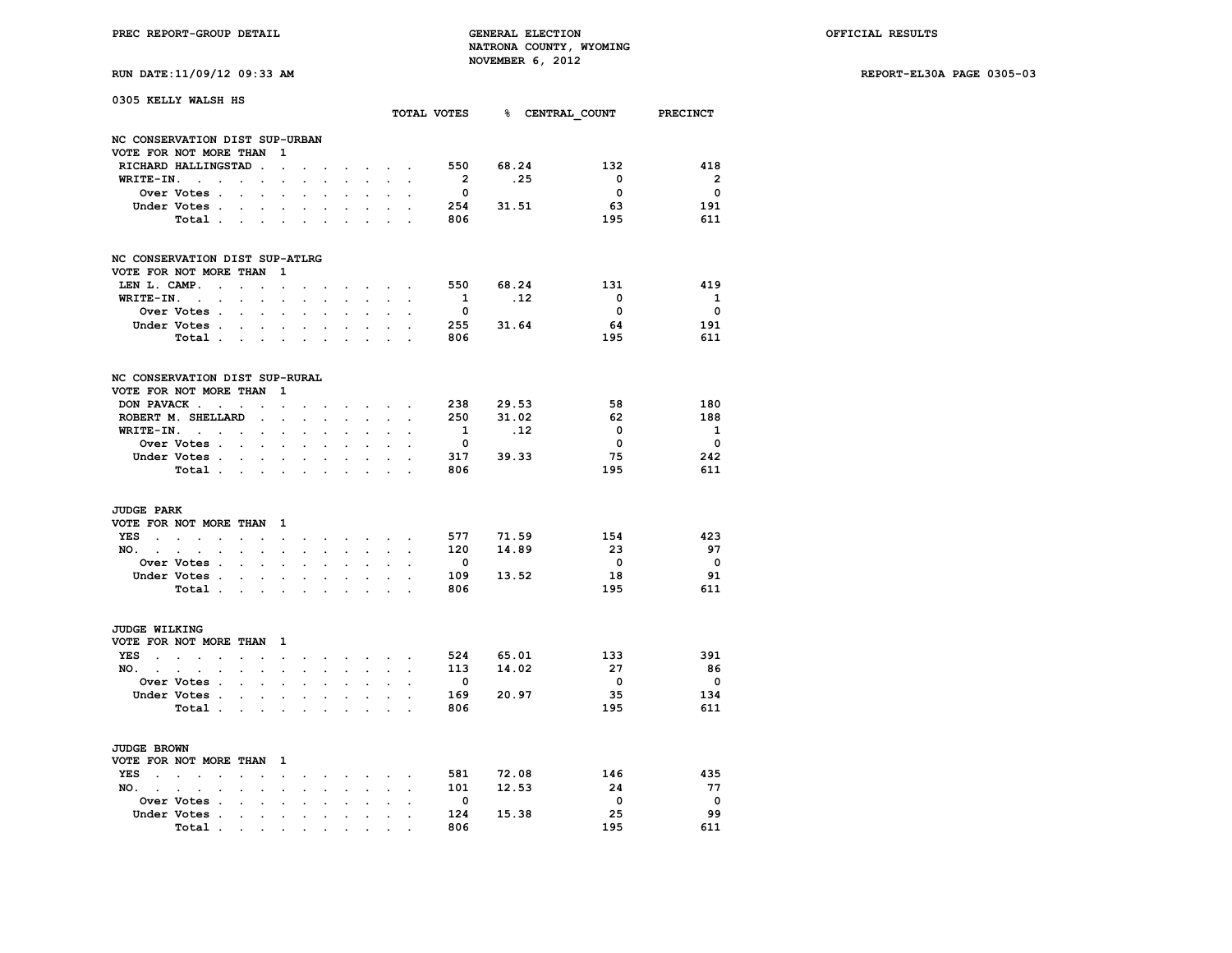**RUN DATE:11/09/12 09:33 AM REPORT-EL30A PAGE 0305-03**

| RUN DATE:11/09/12 09:33 A |  |  |  |  |
|---------------------------|--|--|--|--|
|---------------------------|--|--|--|--|

| 0305 KELLY WALSH HS                         |                                                                     |                      |                          |                      |                      |                      |                      |                              |                                        |                      |                         |                             |                          |                          |
|---------------------------------------------|---------------------------------------------------------------------|----------------------|--------------------------|----------------------|----------------------|----------------------|----------------------|------------------------------|----------------------------------------|----------------------|-------------------------|-----------------------------|--------------------------|--------------------------|
|                                             |                                                                     |                      |                          |                      |                      |                      |                      |                              |                                        |                      |                         | TOTAL VOTES 8 CENTRAL COUNT |                          | <b>PRECINCT</b>          |
| NC CONSERVATION DIST SUP-URBAN              |                                                                     |                      |                          |                      |                      |                      |                      |                              |                                        |                      |                         |                             |                          |                          |
| VOTE FOR NOT MORE THAN                      |                                                                     |                      |                          | 1                    |                      |                      |                      |                              |                                        |                      |                         |                             |                          |                          |
|                                             | RICHARD HALLINGSTAD                                                 |                      | $\ddot{\phantom{a}}$     | $\ddot{\phantom{0}}$ |                      |                      |                      |                              | $\mathbf{r} = \mathbf{r} + \mathbf{r}$ |                      | 550                     | 68.24                       | 132                      | 418                      |
| WRITE-IN.                                   | $\sim$<br>$\ddot{\phantom{a}}$                                      | $\cdot$              | $\cdot$                  | $\ddot{\phantom{a}}$ |                      |                      |                      |                              |                                        |                      | $\overline{2}$          | .25                         | $\overline{\mathbf{0}}$  | $\overline{2}$           |
|                                             | Over Votes .                                                        | $\ddot{\phantom{0}}$ |                          |                      | $\ddot{\phantom{a}}$ |                      |                      |                              |                                        |                      | $\overline{\mathbf{0}}$ |                             | $\overline{\mathbf{0}}$  | $\overline{\mathbf{0}}$  |
|                                             | Under Votes .                                                       |                      |                          | $\ddot{\phantom{a}}$ |                      |                      |                      |                              |                                        |                      | 254                     | 31.51                       | 63                       | 191                      |
|                                             | Total .                                                             | $\cdot$              | $\cdot$                  | $\ddot{\phantom{a}}$ | $\cdot$              |                      |                      |                              |                                        |                      | 806                     |                             | 195                      | 611                      |
| NC CONSERVATION DIST SUP-ATLRG              |                                                                     |                      |                          |                      |                      |                      |                      |                              |                                        |                      |                         |                             |                          |                          |
| VOTE FOR NOT MORE THAN                      |                                                                     |                      |                          | 1                    |                      |                      |                      |                              |                                        |                      |                         |                             |                          |                          |
| LEN L. CAMP.                                | $\ddot{\phantom{0}}$                                                | $\sim$               | $\ddot{\phantom{a}}$     | $\ddot{\phantom{0}}$ |                      |                      |                      | $\sim$ $\sim$ $\sim$ $\sim$  |                                        |                      |                         | 550 68.24                   | 131                      | 419                      |
| WRITE-IN.                                   | $\sim$<br>$\ddot{\phantom{0}}$                                      | $\cdot$              | $\cdot$                  | $\ddot{\phantom{a}}$ |                      | $\ddot{\phantom{a}}$ |                      | $\cdot$                      |                                        |                      | $\mathbf{1}$            | .12                         | $\overline{\mathbf{0}}$  | $\mathbf{1}$             |
|                                             | Over Votes .                                                        | $\overline{a}$       | $\ddot{\phantom{a}}$     | $\ddot{\phantom{a}}$ | $\overline{a}$       | $\cdot$              | $\overline{a}$       | $\cdot$                      | $\ddot{\phantom{a}}$                   |                      | $\overline{\mathbf{0}}$ |                             | $\overline{\mathbf{0}}$  | $\overline{\mathbf{0}}$  |
|                                             | Under Votes .                                                       | $\ddot{\phantom{a}}$ |                          | $\ddot{\phantom{a}}$ |                      |                      |                      |                              | $\overline{a}$                         |                      |                         | 255 31.64                   | 64                       | 191                      |
|                                             | Total .                                                             | $\sim$               | $\bullet$                | $\ddot{\phantom{0}}$ | $\cdot$              | $\sim$               |                      |                              |                                        |                      | 806                     |                             | 195                      | 611                      |
| NC CONSERVATION DIST SUP-RURAL              |                                                                     |                      |                          |                      |                      |                      |                      |                              |                                        |                      |                         |                             |                          |                          |
| VOTE FOR NOT MORE THAN                      |                                                                     |                      |                          | 1                    |                      |                      |                      |                              |                                        |                      |                         |                             |                          |                          |
|                                             | DON PAVACK                                                          |                      | $\ddot{\phantom{a}}$     | $\ddot{\phantom{a}}$ |                      |                      |                      |                              | $\sim$ $\sim$                          |                      |                         | 238 29.53                   | 58                       | 180                      |
|                                             | ROBERT M. SHELLARD                                                  |                      | $\sim$                   | $\mathbf{r}$         | $\sim$               | $\mathbf{r}$         |                      | $\mathbf{r}$                 |                                        |                      | 250                     | 31.02                       | 62                       | 188                      |
|                                             | $WRITE-IN.$                                                         |                      | $\ddot{\phantom{0}}$     | $\ddot{\phantom{0}}$ | $\ddot{\phantom{a}}$ | $\cdot$              | $\cdot$              | $\ddot{\phantom{0}}$         | $\cdot$                                |                      | $\mathbf{1}$            | $\cdot$ 12                  | 0                        | $\mathbf{1}$             |
|                                             | Over Votes .                                                        | $\sim$               |                          |                      |                      |                      |                      |                              |                                        |                      | $\overline{\mathbf{0}}$ |                             | $\overline{\mathbf{0}}$  | $\overline{\mathbf{0}}$  |
|                                             | Under Votes.                                                        | $\sim$               | $\ddot{\phantom{0}}$     | $\ddot{\phantom{0}}$ | $\ddot{\phantom{0}}$ | $\ddot{\phantom{0}}$ |                      | $\ddot{\phantom{0}}$         | $\sim$                                 |                      | 317                     | 39.33                       | 75                       | 242                      |
|                                             | Total .                                                             | $\sim$               | $\sim$                   | $\blacksquare$       | $\ddot{\phantom{0}}$ | $\ddot{\phantom{0}}$ | $\cdot$              | $\cdot$                      | $\ddot{\phantom{0}}$                   |                      | 806                     |                             | 195                      | 611                      |
| <b>JUDGE PARK</b><br>VOTE FOR NOT MORE THAN |                                                                     |                      |                          | $\mathbf{1}$         |                      |                      |                      |                              |                                        |                      |                         |                             |                          |                          |
| <b>YES</b><br>$\sim$                        | $\mathcal{L}^{\text{max}}$ and $\mathcal{L}^{\text{max}}$<br>$\sim$ | $\ddot{\phantom{a}}$ | $\ddot{\phantom{a}}$     | $\sim$               | $\cdot$              | $\ddot{\phantom{0}}$ |                      | <b>Sales Advised Service</b> |                                        | $\ddot{\phantom{a}}$ | 577                     | 71.59                       | 154                      | 423                      |
| NO. .                                       | $\sim$<br>$\ddot{\phantom{0}}$<br>$\ddot{\phantom{0}}$              | $\ddot{\phantom{0}}$ | $\ddot{\phantom{0}}$     | $\ddot{\phantom{0}}$ | $\cdot$              | $\ddot{\phantom{a}}$ | $\ddot{\phantom{0}}$ | $\mathbf{L}^{\text{max}}$    | $\mathbf{r}$                           | $\ddot{\phantom{a}}$ | 120                     | 14.89                       | 23                       | 97                       |
|                                             | Over Votes .                                                        |                      |                          |                      |                      |                      |                      |                              |                                        |                      | 0                       |                             | $\overline{\mathbf{0}}$  | $\overline{\mathbf{0}}$  |
|                                             | Under Votes .                                                       | $\cdot$              | $\ddot{\phantom{a}}$     |                      |                      | $\cdot$              |                      |                              |                                        |                      | 109                     | 13.52                       | 18                       | 91                       |
|                                             | Total .                                                             |                      | <b>Contract Contract</b> | $\ddot{\phantom{0}}$ | $\ddot{\phantom{0}}$ | $\ddot{\phantom{0}}$ | $\ddot{\phantom{0}}$ | $\bullet$                    | $\bullet$                              | $\overline{a}$       | 806                     |                             | 195                      | 611                      |
| <b>JUDGE WILKING</b>                        |                                                                     |                      |                          |                      |                      |                      |                      |                              |                                        |                      |                         |                             |                          |                          |
| VOTE FOR NOT MORE THAN 1<br><b>YES</b>      |                                                                     |                      |                          |                      |                      |                      |                      |                              |                                        |                      |                         | 524 65.01                   | 133                      | 391                      |
| $\sim$                                      | $\mathbf{L} = \mathbf{L}$<br>$\ddot{\phantom{a}}$                   | $\ddot{\phantom{0}}$ | $\ddot{\phantom{a}}$     | $\ddot{\phantom{0}}$ | $\ddot{\phantom{0}}$ | $\sim$               |                      | $\sim$ $\sim$ $\sim$ $\sim$  |                                        |                      |                         | 14.02                       | - 27                     | - 86                     |
| NO. .                                       | $\ddot{\phantom{0}}$<br>$\cdot$<br>$\cdot$                          | $\ddot{\phantom{a}}$ | $\ddot{\phantom{a}}$     | $\ddot{\phantom{a}}$ | $\mathbf{r}$         | $\ddot{\phantom{0}}$ | $\ddot{\phantom{0}}$ | $\ddot{\phantom{0}}$         | $\ddot{\phantom{0}}$                   | $\ddot{\phantom{a}}$ | 113                     |                             |                          |                          |
|                                             | Over Votes .                                                        |                      |                          |                      |                      |                      |                      |                              |                                        |                      | 0                       |                             | $\overline{\phantom{0}}$ | $\overline{\mathbf{0}}$  |
|                                             | Under Votes .                                                       | $\ddot{\phantom{a}}$ | $\cdot$                  | $\sim$               |                      | $\cdot$              |                      | $\ddot{\phantom{0}}$         |                                        |                      | 169                     | 20.97                       | 35                       | 134                      |
|                                             | Total .                                                             | $\cdot$              | $\bullet$ .              | $\ddot{\phantom{a}}$ | $\cdot$              | $\cdot$              | $\cdot$              | $\ddot{\phantom{a}}$         | $\ddot{\phantom{a}}$                   | $\overline{a}$       | 806                     |                             | 195                      | 611                      |
| <b>JUDGE BROWN</b>                          |                                                                     |                      |                          |                      |                      |                      |                      |                              |                                        |                      |                         |                             |                          |                          |
| VOTE FOR NOT MORE THAN                      |                                                                     |                      |                          | $\mathbf{1}$         |                      |                      |                      |                              |                                        |                      |                         |                             |                          |                          |
| <b>YES</b><br>$\sim$                        | $\sim$ $\sim$<br>$\cdot$                                            | $\overline{a}$       |                          | $\sim$               | $\cdot$              | $\cdot$              | $\sim$               |                              | $\sim$ $\sim$                          |                      | 581                     | 72.08                       | 146                      | 435                      |
| NO.<br>$\sim$                               | $\cdot$<br>$\cdot$<br>$\ddot{\phantom{a}}$                          |                      |                          | $\bullet$            | $\cdot$              |                      | $\ddot{\phantom{a}}$ | $\ddot{\phantom{a}}$         | $\cdot$                                | $\ddot{\phantom{a}}$ | 101                     | 12.53                       | 24                       | - 77                     |
|                                             | Over Votes .                                                        |                      |                          |                      |                      |                      |                      |                              |                                        |                      | $\overline{\mathbf{0}}$ |                             | $\overline{\phantom{0}}$ | $\overline{\phantom{0}}$ |
|                                             | Under Votes .                                                       | $\ddot{\phantom{0}}$ | $\ddot{\phantom{0}}$     | $\bullet$            | $\ddot{\phantom{0}}$ | $\ddot{\phantom{0}}$ |                      | $\cdot$                      | $\ddot{\phantom{a}}$                   |                      | 124                     | 15.38                       | 25                       | 99                       |
|                                             | Total.                                                              |                      |                          |                      |                      |                      |                      |                              |                                        |                      | 806                     |                             | 195                      | 611                      |
|                                             |                                                                     |                      |                          |                      |                      |                      |                      |                              |                                        |                      |                         |                             |                          |                          |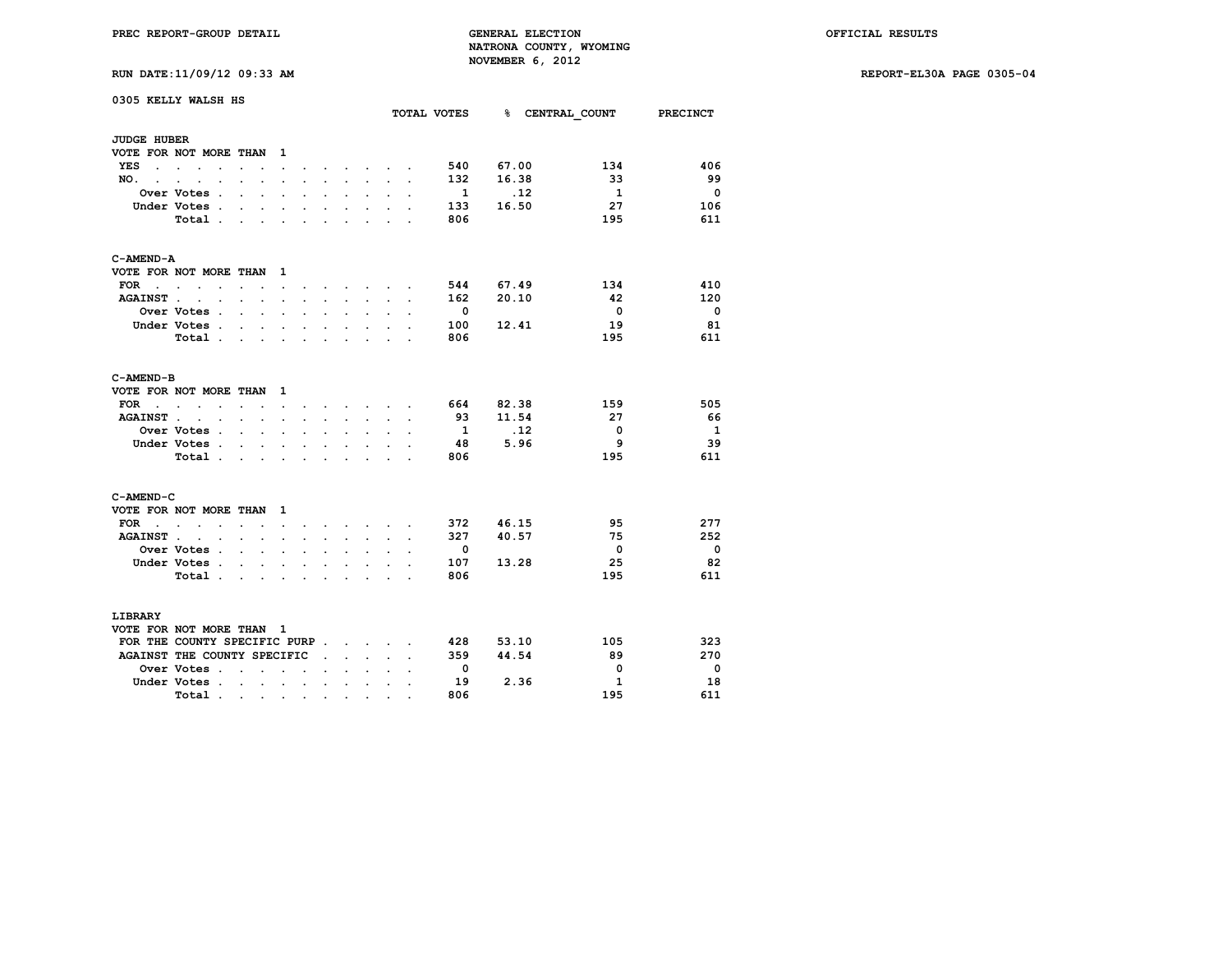**RUN DATE:11/09/12 09:33 AM REPORT-EL30A PAGE 0305-04**

| 0305 KELLY WALSH HS         |                                              |                      |                      |                          |                      |                      |                      |                         | TOTAL VOTES          |                      | <b>% CENTRAL COUNT</b>  | PRECINCT        |              |                         |
|-----------------------------|----------------------------------------------|----------------------|----------------------|--------------------------|----------------------|----------------------|----------------------|-------------------------|----------------------|----------------------|-------------------------|-----------------|--------------|-------------------------|
|                             |                                              |                      |                      |                          |                      |                      |                      |                         |                      |                      |                         |                 |              |                         |
| <b>JUDGE HUBER</b>          |                                              |                      |                      |                          |                      |                      |                      |                         |                      |                      |                         |                 |              |                         |
|                             | VOTE FOR NOT MORE THAN                       |                      |                      | $\mathbf{1}$             |                      |                      |                      |                         |                      |                      |                         |                 |              |                         |
| YES<br>$\ddot{\phantom{a}}$ | <b>Contract Contract Contract</b>            |                      |                      | $\ddot{\phantom{0}}$     |                      |                      |                      | $\sim$                  |                      |                      | 540                     | 67.00           | 134          | 406                     |
| NO.<br>i.                   |                                              |                      |                      |                          |                      |                      |                      |                         |                      |                      | 132                     | 16.38           | 33           | 99                      |
|                             | Over Votes .                                 |                      | $\ddot{\phantom{a}}$ | $\ddot{\phantom{0}}$     |                      |                      | $\ddot{\phantom{0}}$ | $\ddot{\phantom{0}}$    |                      |                      | $\overline{\mathbf{1}}$ | .12             | $\mathbf{1}$ | $\mathbf{0}$            |
|                             | Under Votes.                                 |                      |                      |                          |                      |                      |                      |                         |                      |                      | 133                     | 16.50           | 27           | 106                     |
|                             | Total.                                       |                      | i.                   |                          | ÷                    | ÷                    | ÷                    | ÷.                      |                      |                      | 806                     |                 | 195          | 611                     |
| C-AMEND-A                   |                                              |                      |                      |                          |                      |                      |                      |                         |                      |                      |                         |                 |              |                         |
|                             | VOTE FOR NOT MORE THAN                       |                      |                      | $\mathbf{1}$             |                      |                      |                      |                         |                      |                      |                         |                 |              |                         |
| FOR<br>$\sim$               | $\sim$ $\sim$<br>$\sim$                      | $\cdot$              | $\overline{a}$       | $\ddot{\phantom{0}}$     |                      |                      |                      |                         |                      |                      |                         | 544 67.49       | 134          | 410                     |
| <b>AGAINST.</b>             | <b>Contract</b><br>$\ddot{\phantom{a}}$      | $\ddot{\phantom{0}}$ | $\ddot{\phantom{a}}$ | $\ddot{\phantom{a}}$     | $\ddot{\phantom{0}}$ | $\sim$               | $\ddot{\phantom{a}}$ | $\ddot{\phantom{0}}$    | $\ddot{\phantom{a}}$ | $\ddot{\phantom{a}}$ | 162                     | 20.10           | 42           | 120                     |
|                             | Over Votes .                                 | $\cdot$              | $\cdot$              |                          |                      |                      |                      |                         |                      |                      | $\Omega$                |                 | $\mathbf{0}$ | $\overline{\mathbf{0}}$ |
|                             | Under Votes .                                |                      |                      |                          |                      |                      |                      | $\ddot{\phantom{a}}$    |                      |                      | 100                     | 12.41           | 19           | 81                      |
|                             | Total.                                       |                      |                      |                          |                      |                      |                      |                         |                      |                      | 806                     |                 | 195          | 611                     |
|                             |                                              | $\sim$               | $\ddot{\phantom{0}}$ | $\ddot{\phantom{0}}$     | $\ddot{\phantom{0}}$ | $\ddot{\phantom{0}}$ | $\ddot{\phantom{0}}$ |                         |                      |                      |                         |                 |              |                         |
| C-AMEND-B                   |                                              |                      |                      |                          |                      |                      |                      |                         |                      |                      |                         |                 |              |                         |
|                             | VOTE FOR NOT MORE THAN                       |                      |                      | 1                        |                      |                      |                      |                         |                      |                      |                         |                 |              |                         |
| FOR                         | $\cdot$                                      | $\ddot{\phantom{a}}$ | $\sim$               | $\ddot{\phantom{a}}$     | $\ddot{\phantom{0}}$ | $\sim$               | $\bullet$            |                         | $\sim$ $\sim$        |                      | 664                     | 82.38           | 159          | 505                     |
| <b>AGAINST.</b>             | $\overline{a}$<br>$\ddot{\phantom{0}}$       | $\ddot{\phantom{0}}$ | $\ddot{\phantom{0}}$ | $\ddot{\phantom{a}}$     |                      |                      |                      | $\ddot{\phantom{a}}$    |                      |                      | 93                      | 11.54           | 27           | 66                      |
|                             | Over Votes .                                 | $\overline{a}$       | $\cdot$              |                          |                      |                      |                      |                         |                      |                      | $\mathbf{1}$            | $\overline{12}$ | 0            | $\mathbf{1}$            |
|                             | Under Votes .                                | $\cdot$              | $\ddot{\phantom{0}}$ | $\ddot{\phantom{0}}$     | $\ddot{\phantom{0}}$ | $\overline{a}$       | $\ddot{\phantom{0}}$ | $\ddot{\phantom{0}}$    |                      |                      | -48                     | 5.96            | 9            | 39                      |
|                             | Total.                                       |                      |                      |                          |                      |                      |                      |                         |                      |                      | 806                     |                 | 195          | 611                     |
| C-AMEND-C                   |                                              |                      |                      |                          |                      |                      |                      |                         |                      |                      |                         |                 |              |                         |
|                             | VOTE FOR NOT MORE THAN                       |                      |                      | 1                        |                      |                      |                      |                         |                      |                      |                         |                 |              |                         |
| FOR<br>$\sim$ $\sim$        | $\sim$ $\sim$<br>$\ddot{\phantom{a}}$        | $\overline{a}$       |                      | $\ddot{\phantom{0}}$     |                      |                      |                      | $\sim$                  | $\mathbf{r}$         |                      | 372                     | 46.15           | 95           | 277                     |
| <b>AGAINST.</b>             | $\ddot{\phantom{0}}$<br>$\ddot{\phantom{0}}$ | $\ddot{\phantom{0}}$ | $\ddot{\phantom{a}}$ | $\ddot{\phantom{0}}$     |                      |                      | $\ddot{\phantom{0}}$ | $\ddot{\phantom{0}}$    | $\ddot{\phantom{0}}$ | $\ddot{\phantom{a}}$ | 327                     | 40.57           | 75           | 252                     |
|                             | Over Votes .                                 |                      |                      | $\overline{a}$           |                      |                      |                      | $\ddot{\phantom{0}}$    |                      |                      | $\overline{\mathbf{0}}$ |                 | $\Omega$     | $\overline{\mathbf{0}}$ |
|                             | Under Votes.                                 | ÷                    |                      |                          |                      |                      |                      |                         |                      |                      | 107                     | 13.28           | 25           | 82                      |
|                             | Total.                                       | $\sim$               | $\ddot{\phantom{a}}$ | $\cdot$                  | $\ddot{\phantom{a}}$ | $\overline{a}$       | $\ddot{\phantom{0}}$ | $\ddot{\phantom{0}}$    |                      |                      | 806                     |                 | 195          | 611                     |
|                             |                                              |                      |                      |                          |                      |                      |                      |                         |                      |                      |                         |                 |              |                         |
| LIBRARY                     |                                              |                      |                      |                          |                      |                      |                      |                         |                      |                      |                         |                 |              |                         |
|                             | VOTE FOR NOT MORE THAN 1                     |                      |                      |                          |                      |                      |                      |                         |                      |                      |                         |                 |              |                         |
|                             | FOR THE COUNTY SPECIFIC PURP.                |                      |                      |                          |                      |                      |                      | $\cdot$ $\cdot$ $\cdot$ |                      |                      | 428                     | 53.10           | 105          | 323                     |
|                             | AGAINST THE COUNTY SPECIFIC                  |                      |                      |                          |                      |                      |                      | $\ddot{\phantom{0}}$    |                      |                      | 359                     | 44.54           | 89           | 270                     |
|                             | Over Votes .                                 | ÷.                   | i.                   | $\overline{a}$           | $\overline{a}$       |                      |                      |                         |                      |                      | $\overline{\mathbf{0}}$ |                 | $\mathbf{0}$ | $\overline{\mathbf{0}}$ |
|                             | Under Votes .                                | $\sim$               | $\sim$               | $\sim$                   | $\ddot{\phantom{a}}$ |                      | $\ddot{\phantom{0}}$ | $\ddot{\phantom{0}}$    |                      |                      | 19                      | 2.36            | 1            | 18                      |
|                             | Total .                                      | $\cdot$              |                      | $\overline{\phantom{a}}$ |                      |                      |                      |                         |                      |                      | 806                     |                 | 195          | 611                     |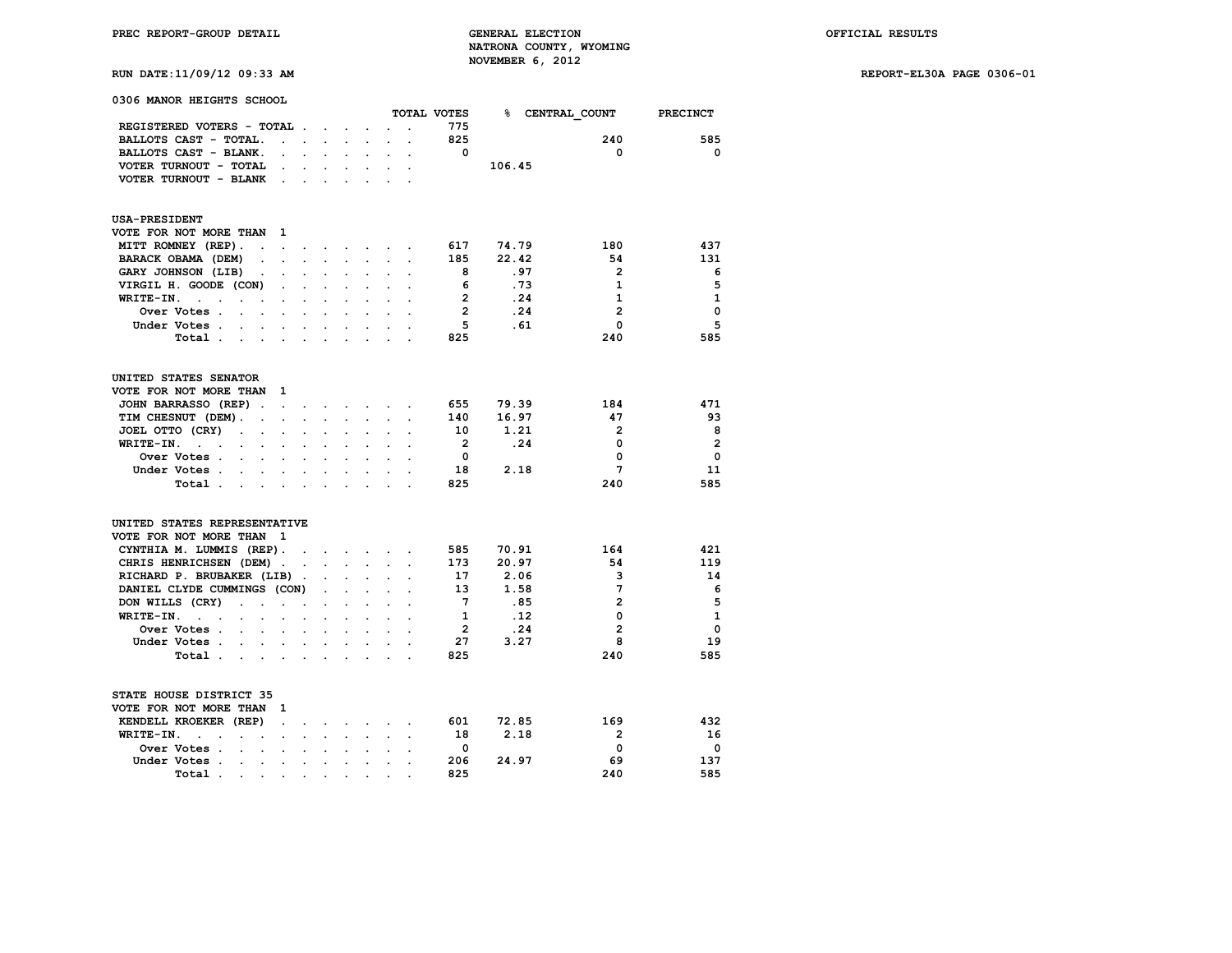**RUN DATE:11/09/12 09:33 AM REPORT-EL30A PAGE 0306-01**

| 0306 MANOR HEIGHTS SCHOOL                                           |                      |                      |                                                                          |                           |                      |                              |                | TOTAL VOTES             |                 |                | <b>PRECINCT</b> |
|---------------------------------------------------------------------|----------------------|----------------------|--------------------------------------------------------------------------|---------------------------|----------------------|------------------------------|----------------|-------------------------|-----------------|----------------|-----------------|
| REGISTERED VOTERS - TOTAL.                                          |                      |                      |                                                                          |                           |                      |                              |                | 775                     | % CENTRAL COUNT |                |                 |
|                                                                     |                      |                      |                                                                          | $\cdot$ $\cdot$ $\cdot$   | $\ddot{\phantom{a}}$ |                              | $\overline{a}$ | 825                     |                 | 240            | 585             |
| BALLOTS CAST - TOTAL.<br>BALLOTS CAST - BLANK.                      | $\ddot{\phantom{a}}$ | $\mathbf{r}$         |                                                                          |                           |                      |                              |                | $\Omega$                |                 | 0              | $\Omega$        |
| VOTER TURNOUT - TOTAL                                               |                      | $\mathbf{r}$         | $\mathbf{L}$                                                             | $\ddot{\phantom{0}}$      | $\ddot{\phantom{a}}$ | $\ddot{\phantom{0}}$         |                |                         | 106.45          |                |                 |
|                                                                     |                      |                      |                                                                          |                           |                      |                              |                |                         |                 |                |                 |
| VOTER TURNOUT - BLANK                                               | $\ddot{\phantom{a}}$ |                      |                                                                          |                           |                      |                              |                |                         |                 |                |                 |
| <b>USA-PRESIDENT</b>                                                |                      |                      |                                                                          |                           |                      |                              |                |                         |                 |                |                 |
| VOTE FOR NOT MORE THAN                                              | $\mathbf{1}$         |                      |                                                                          |                           |                      |                              |                |                         |                 |                |                 |
| MITT ROMNEY (REP).<br>$\ddot{\phantom{a}}$                          | $\ddot{\phantom{a}}$ |                      | $\mathbf{r} = \mathbf{r} + \mathbf{r}$ , where $\mathbf{r} = \mathbf{r}$ |                           |                      | $\sim$ 100 $\sim$ 100 $\sim$ | $\bullet$      | 617                     | 74.79           | 180            | 437             |
| BARACK OBAMA (DEM)<br>$\ddot{\phantom{a}}$                          |                      |                      |                                                                          |                           |                      |                              |                | 185                     | 22.42           | 54             | 131             |
| GARY JOHNSON (LIB)<br>$\bullet$                                     | $\ddot{\phantom{a}}$ | $\ddot{\phantom{a}}$ | $\ddot{\phantom{0}}$                                                     | $\ddot{\phantom{a}}$      | $\ddot{\phantom{a}}$ | $\ddot{\phantom{a}}$         |                | 8                       | .97             | $\mathbf{2}$   | -6              |
| VIRGIL H. GOODE (CON)                                               |                      |                      |                                                                          |                           |                      |                              |                | 6                       | . 73            | 1              | 5               |
| WRITE-IN.<br>$\sim$ $\sim$<br>$\bullet$<br>$\cdot$                  | $\cdot$              | $\bullet$            |                                                                          |                           |                      |                              |                | $\overline{2}$          | .24             | $\mathbf{1}$   | $\mathbf{1}$    |
| Over Votes .                                                        |                      |                      |                                                                          |                           |                      |                              |                | $\overline{2}$          | .24             | $\mathbf{2}$   | $\mathbf 0$     |
| Under Votes                                                         |                      |                      |                                                                          |                           |                      |                              |                | 5                       | .61             | 0              | 5               |
| Total .<br>and the company of the company                           |                      | $\overline{a}$       | $\overline{a}$                                                           | $\overline{a}$            | $\overline{a}$       |                              |                | 825                     |                 | 240            | 585             |
| UNITED STATES SENATOR                                               |                      |                      |                                                                          |                           |                      |                              |                |                         |                 |                |                 |
| VOTE FOR NOT MORE THAN                                              | 1                    |                      |                                                                          |                           |                      |                              |                |                         |                 |                |                 |
| JOHN BARRASSO (REP).                                                | $\sim$ $\sim$        |                      |                                                                          |                           |                      |                              |                | 655                     | 79.39           | 184            | 471             |
| TIM CHESNUT (DEM).<br>$\mathbf{z} = \mathbf{z} + \mathbf{z}$        |                      | $\sim$               | $\sim$                                                                   | $\ddot{\phantom{0}}$      | $\ddot{\phantom{0}}$ | $\ddot{\phantom{a}}$         |                | 140                     | 16.97           | 47             | 93              |
| JOEL OTTO (CRY)<br>$\sim$                                           |                      |                      |                                                                          |                           |                      |                              |                | 10                      | 1.21            | $\overline{2}$ | 8               |
| WRITE-IN.<br>$\sim$ $\sim$<br>$\sim$                                |                      |                      |                                                                          |                           |                      |                              |                | $\overline{2}$          | .24             | 0              | $\overline{2}$  |
| Over Votes .<br>$\sim$<br>$\sim$                                    |                      |                      |                                                                          |                           | $\overline{a}$       |                              |                | $\Omega$                |                 | 0              | $\mathbf{0}$    |
| Under Votes<br>$\bullet$ .                                          |                      |                      |                                                                          |                           |                      |                              |                | 18                      | 2.18            | 7              | 11              |
| Total                                                               |                      | $\ddot{\phantom{0}}$ | $\overline{a}$                                                           | $\mathbf{r}$              | $\sim$               | $\overline{a}$               |                | 825                     |                 | 240            | 585             |
| UNITED STATES REPRESENTATIVE                                        |                      |                      |                                                                          |                           |                      |                              |                |                         |                 |                |                 |
| VOTE FOR NOT MORE THAN 1                                            |                      |                      |                                                                          |                           |                      |                              |                |                         |                 |                |                 |
| CYNTHIA M. LUMMIS (REP).                                            |                      |                      |                                                                          |                           |                      |                              |                | 585                     | 70.91           | 164            | 421             |
| CHRIS HENRICHSEN (DEM).                                             |                      | $\ddot{\phantom{a}}$ |                                                                          | $\mathbf{L} = \mathbf{L}$ | $\mathbf{r}$         |                              |                | 173                     | 20.97           | 54             | 119             |
| RICHARD P. BRUBAKER (LIB).                                          |                      |                      | $\ddot{\phantom{0}}$                                                     | $\cdot$                   | $\ddot{\phantom{a}}$ | $\overline{a}$               |                | 17                      | 2.06            | 3              | 14              |
| DANIEL CLYDE CUMMINGS (CON)                                         |                      |                      | $\ddot{\phantom{0}}$                                                     | $\mathbf{r}$              |                      |                              |                | 13                      | 1.58            | 7              | 6               |
| DON WILLS (CRY)<br>$\ddot{\phantom{a}}$<br><b>Contract Contract</b> |                      | $\ddot{\phantom{a}}$ | $\overline{a}$                                                           | $\ddot{\phantom{0}}$      | $\cdot$              | $\overline{a}$               |                | 7                       | .85             | $\overline{2}$ | 5               |
| WRITE-IN.<br><b>Contract Contract</b>                               |                      |                      |                                                                          |                           |                      |                              |                | 1                       | .12             | 0              | $\mathbf{1}$    |
| Over Votes.<br>$\sim$<br>$\sim$                                     | $\ddot{\phantom{a}}$ | $\ddot{\phantom{a}}$ | $\ddot{\phantom{0}}$                                                     | $\ddot{\phantom{a}}$      | $\ddot{\phantom{a}}$ | $\ddot{\phantom{a}}$         |                | $\overline{\mathbf{2}}$ | .24             | $\mathbf{2}$   | $\mathbf 0$     |
| Under Votes.<br>$\sim$<br>$\mathcal{L}^{\text{max}}$                | $\mathbf{r}$         | $\ddot{\phantom{0}}$ |                                                                          |                           |                      |                              |                | 27                      | 3.27            | 8              | 19              |
| Total                                                               |                      | $\cdot$              | $\ddot{\phantom{a}}$                                                     | $\cdot$                   |                      |                              |                | 825                     |                 | 240            | 585             |
| STATE HOUSE DISTRICT 35<br>VOTE FOR NOT MORE THAN                   | - 1                  |                      |                                                                          |                           |                      |                              |                |                         |                 |                |                 |
| KENDELL KROEKER (REP)                                               | $\ddot{\phantom{a}}$ |                      |                                                                          |                           |                      | $\sim$                       | $\overline{a}$ | 601                     | 72.85           | 169            | 432             |
| WRITE-IN.<br>$\sim$<br>$\ddot{\phantom{a}}$                         |                      | $\ddot{\phantom{0}}$ | $\ddot{\phantom{0}}$                                                     |                           | $\sim$               |                              |                | 18                      | 2.18            | $\overline{2}$ | 16              |
| $\ddot{\phantom{a}}$<br>Over Votes .                                |                      |                      |                                                                          |                           |                      |                              |                | 0                       |                 | 0              | $\mathbf{o}$    |
| $\sim$<br>$\sim$<br>Under Votes.                                    | $\ddot{\phantom{a}}$ | $\ddot{\phantom{a}}$ | $\ddot{\phantom{0}}$                                                     | $\ddot{\phantom{a}}$      | $\ddot{\phantom{a}}$ |                              |                | 206                     | 24.97           | 69             | 137             |
| $\sim$<br>$\ddot{\phantom{a}}$<br>Total.                            |                      |                      |                                                                          |                           |                      |                              |                | 825                     |                 | 240            | 585             |
| $\sim$<br>$\bullet$                                                 | $\ddot{\phantom{0}}$ | $\ddot{\phantom{0}}$ | $\ddot{\phantom{0}}$                                                     |                           |                      |                              |                |                         |                 |                |                 |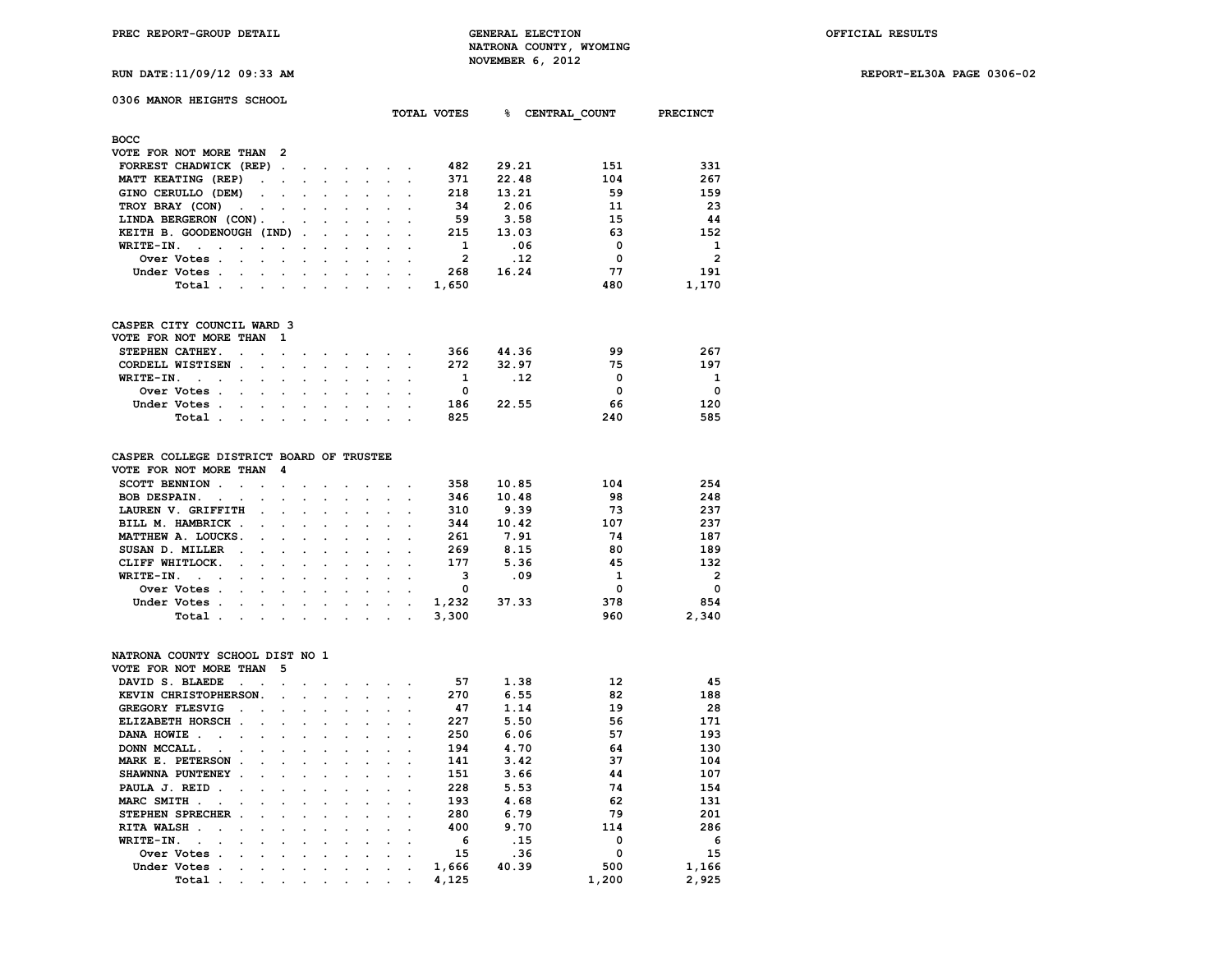**TOTAL VOTES % CENTRAL\_COUNT PRECINCT**

**RUN DATE:11/09/12 09:33 AM REPORT-EL30A PAGE 0306-02**

## **0306 MANOR HEIGHTS SCHOOL**

| <b>BOCC</b>                                                                                                                     |  |  |  |                |       |             |                |
|---------------------------------------------------------------------------------------------------------------------------------|--|--|--|----------------|-------|-------------|----------------|
| VOTE FOR NOT MORE THAN 2                                                                                                        |  |  |  |                |       |             |                |
| FORREST CHADWICK (REP)                                                                                                          |  |  |  | 482            | 29.21 | 151         | 331            |
| MATT KEATING (REP)                                                                                                              |  |  |  | 371            | 22.48 | 104         | 267            |
| GINO CERULLO (DEM)                                                                                                              |  |  |  | 218            | 13.21 | 59          | 159            |
| TROY BRAY (CON)                                                                                                                 |  |  |  | -34            | 2.06  | 11          | 23             |
| LINDA BERGERON (CON).                                                                                                           |  |  |  | 59             | 3.58  | 15          | 44             |
| KEITH B. GOODENOUGH (IND)                                                                                                       |  |  |  | 215            | 13.03 | 63          | 152            |
| WRITE-IN.                                                                                                                       |  |  |  |                | .06   | $\mathbf 0$ | $\mathbf{1}$   |
| Over Votes.<br>the contract of the contract of the contract of the contract of the contract of the contract of the contract of  |  |  |  | $\overline{2}$ | .12   | $\Omega$    | $\overline{2}$ |
| Under Votes.<br>the contract of the contract of the contract of the contract of the contract of the contract of the contract of |  |  |  | 268            | 16.24 | 77          | 191            |
| Total .<br>the contract of the contract of the contract of the contract of the contract of the contract of the contract of      |  |  |  | 1,650          |       | 480         | 1,170          |
|                                                                                                                                 |  |  |  |                |       |             |                |

## **CASPER CITY COUNCIL WARD 3**

|  |       | VOTE FOR NOT MORE THAN 1 |  |  |  |     |     |       |     |          |
|--|-------|--------------------------|--|--|--|-----|-----|-------|-----|----------|
|  |       | STEPHEN CATHEY.          |  |  |  |     | 366 | 44.36 | 99  | 267      |
|  |       | CORDELL WISTISEN         |  |  |  |     | 272 | 32.97 | 75  | 197      |
|  |       | WRITE-IN. $\cdot$        |  |  |  |     |     |       | n   | 1        |
|  |       | Over Votes               |  |  |  |     |     |       | O   | $\Omega$ |
|  |       | Under Votes              |  |  |  |     | 186 | 22.55 | 66  | 120      |
|  | Total |                          |  |  |  | 825 |     | 240   | 585 |          |

## **CASPER COLLEGE DISTRICT BOARD OF TRUSTEE**

| VOTE FOR NOT MORE THAN 4                                                                                                                                                                                                                 |  |  |  |       |       |     |                |
|------------------------------------------------------------------------------------------------------------------------------------------------------------------------------------------------------------------------------------------|--|--|--|-------|-------|-----|----------------|
| SCOTT BENNION                                                                                                                                                                                                                            |  |  |  | 358   | 10.85 | 104 | 254            |
| BOB DESPAIN.                                                                                                                                                                                                                             |  |  |  | 346   | 10.48 | 98  | 248            |
| LAUREN V. GRIFFITH                                                                                                                                                                                                                       |  |  |  | 310   | 9.39  | 73  | 237            |
| BILL M. HAMBRICK                                                                                                                                                                                                                         |  |  |  | 344   | 10.42 | 107 | 237            |
| MATTHEW A. LOUCKS.                                                                                                                                                                                                                       |  |  |  | 261   | 7.91  | 74  | 187            |
| SUSAN D. MILLER                                                                                                                                                                                                                          |  |  |  | 269   | 8.15  | 80  | 189            |
| CLIFF WHITLOCK.                                                                                                                                                                                                                          |  |  |  | 177   | 5.36  | 45  | 132            |
| WRITE-IN.                                                                                                                                                                                                                                |  |  |  |       | .09   |     | $\overline{2}$ |
| Over Votes                                                                                                                                                                                                                               |  |  |  |       |       | 0   | $^{\circ}$     |
| Under Votes                                                                                                                                                                                                                              |  |  |  | 1,232 | 37.33 | 378 | 854            |
| Total .<br>the company of the company of the company of the company of the company of the company of the company of the company of the company of the company of the company of the company of the company of the company of the company |  |  |  | 3,300 |       | 960 | 2,340          |
|                                                                                                                                                                                                                                          |  |  |  |       |       |     |                |

## **NATRONA COUNTY SCHOOL DIST NO 1**

| VOTE FOR NOT MORE THAN                                         |                                                                                                                 | -5                                                                                                              |                             |                          |        |                                 |         |       |       |          |       |
|----------------------------------------------------------------|-----------------------------------------------------------------------------------------------------------------|-----------------------------------------------------------------------------------------------------------------|-----------------------------|--------------------------|--------|---------------------------------|---------|-------|-------|----------|-------|
| DAVID S. BLAEDE                                                |                                                                                                                 |                                                                                                                 |                             |                          |        |                                 |         | 57    | 1.38  | 12       | 45    |
| KEVIN CHRISTOPHERSON.                                          |                                                                                                                 | $\sim$ $\sim$                                                                                                   |                             |                          |        |                                 |         | 270   | 6.55  | 82       | 188   |
| <b>GREGORY FLESVIG</b><br>$\mathbf{r}$                         |                                                                                                                 |                                                                                                                 | $\sim$ $\sim$ $\sim$ $\sim$ |                          | $\sim$ | $\cdot$ .                       |         | 47    | 1.14  | 19       | 28    |
| ELIZABETH HORSCH.                                              | the company of the company of the                                                                               |                                                                                                                 |                             |                          | $\sim$ | $\sim$ $\sim$                   |         | 227   | 5.50  | 56       | 171   |
| DANA HOWIE.<br>the contract of the contract of the contract of |                                                                                                                 |                                                                                                                 |                             |                          |        | $\sim$ $ \sim$                  |         | 250   | 6.06  | 57       | 193   |
| DONN MCCALL.<br>$\sim$ $\sim$ $\sim$                           |                                                                                                                 |                                                                                                                 | $\sim$ $\sim$               | $\sim$                   | $\sim$ | $\ddot{\phantom{a}}$            |         | 194   | 4.70  | 64       | 130   |
| MARK E. PETERSON<br>$\sim$                                     | $\ddot{\phantom{a}}$                                                                                            | $\sim$                                                                                                          | $\sim$                      | $\ddot{\phantom{a}}$     | $\sim$ | $\sim$ $\sim$                   |         | 141   | 3.42  | 37       | 104   |
| SHAWNNA PUNTENEY.                                              | $\cdot$                                                                                                         |                                                                                                                 |                             |                          |        | $\sim$ $\sim$                   |         | 151   | 3.66  | 44       | 107   |
| PAULA J. REID                                                  | $\sim$                                                                                                          | and the state of the state of the state of the state of the state of the state of the state of the state of the |                             |                          | $\sim$ | $\sim$ $\sim$ $\sim$            |         | 228   | 5.53  | 74       | 154   |
| MARC SMITH.<br><b>Contract Contract Street</b>                 | the contract of the contract of the contract of the contract of the contract of the contract of the contract of |                                                                                                                 |                             |                          |        |                                 |         | 193   | 4.68  | 62       | 131   |
| STEPHEN SPRECHER.                                              | $\cdot$                                                                                                         | $\sim$                                                                                                          | $\sim$                      | $\sim$                   |        | $\cdot$                         |         | 280   | 6.79  | 79       | 201   |
| RITA WALSH.<br>$\sim$ $\sim$                                   |                                                                                                                 |                                                                                                                 |                             | $\ddot{\phantom{a}}$     | $\sim$ | $\cdot$ $\cdot$                 |         | 400   | 9.70  | 114      | 286   |
| WRITE-IN.<br>$\sim$                                            | $\sim$                                                                                                          | $\sim$ $\sim$                                                                                                   |                             | $\cdot$                  | $\sim$ | $\cdot$ .                       |         | 6     | .15   |          | 6     |
| Over Votes.<br>$\sim$                                          | $\sim$                                                                                                          | $\sim$                                                                                                          | $\sim$                      | $\sim$                   | $\sim$ | $\sim$ $\sim$                   |         | 15    | .36   | $\Omega$ | 15    |
| Under Votes.                                                   | the contract of the contract of                                                                                 |                                                                                                                 |                             | <b>Contract Contract</b> |        | <b>Contract Contract Street</b> | $\cdot$ | 1,666 | 40.39 | 500      | 1,166 |
| Total.<br>$\sim$                                               | $\sim$                                                                                                          | <b>Contract Contract Street</b>                                                                                 |                             | $\sim$                   | $\sim$ | <b>Contract Contract Street</b> |         | 4,125 |       | 1,200    | 2,925 |
|                                                                |                                                                                                                 |                                                                                                                 |                             |                          |        |                                 |         |       |       |          |       |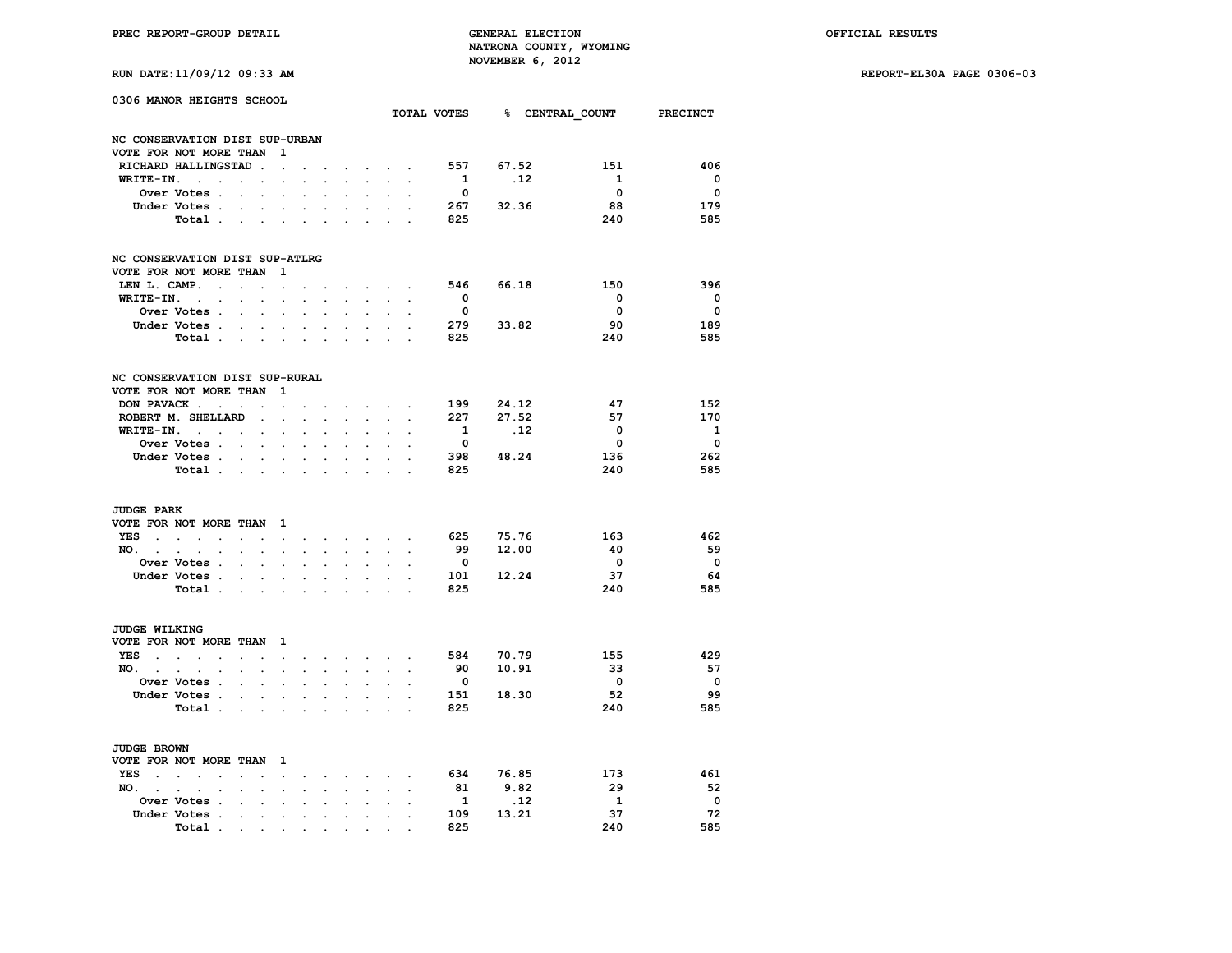**RUN DATE:11/09/12 09:33 AM REPORT-EL30A PAGE 0306-03**

| 0306 MANOR HEIGHTS SCHOOL      |                     |                                              |                                                    |                      |                                            |                           |                          |                                                                                                                                                                                                                                                                                                                                                                                                                                                            | TOTAL VOTES 8 CENTRAL COUNT PRECINCT     |                      |                          |            |                         |                                |
|--------------------------------|---------------------|----------------------------------------------|----------------------------------------------------|----------------------|--------------------------------------------|---------------------------|--------------------------|------------------------------------------------------------------------------------------------------------------------------------------------------------------------------------------------------------------------------------------------------------------------------------------------------------------------------------------------------------------------------------------------------------------------------------------------------------|------------------------------------------|----------------------|--------------------------|------------|-------------------------|--------------------------------|
|                                |                     |                                              |                                                    |                      |                                            |                           |                          |                                                                                                                                                                                                                                                                                                                                                                                                                                                            |                                          |                      |                          |            |                         |                                |
| NC CONSERVATION DIST SUP-URBAN |                     |                                              |                                                    |                      |                                            |                           |                          |                                                                                                                                                                                                                                                                                                                                                                                                                                                            |                                          |                      |                          |            |                         |                                |
| VOTE FOR NOT MORE THAN 1       |                     |                                              |                                                    |                      |                                            |                           |                          |                                                                                                                                                                                                                                                                                                                                                                                                                                                            |                                          |                      |                          |            |                         |                                |
| RICHARD HALLINGSTAD.           |                     |                                              |                                                    | $\mathbf{r}$         |                                            |                           |                          |                                                                                                                                                                                                                                                                                                                                                                                                                                                            | <b>All Contracts</b>                     |                      | 557                      | 67.52      | 151<br>$\mathbf{1}$     | 406<br>$\overline{\mathbf{0}}$ |
| WRITE-IN.                      |                     |                                              |                                                    |                      |                                            |                           |                          | $\ddot{\phantom{0}}$                                                                                                                                                                                                                                                                                                                                                                                                                                       | $\sim$                                   |                      | $\mathbf{1}$             | .12        |                         |                                |
|                                | <b>Over Votes .</b> |                                              | $\sim$<br>$\bullet$                                | $\ddot{\phantom{a}}$ | $\sim$                                     | $\overline{a}$            |                          | $\ddot{\phantom{a}}$                                                                                                                                                                                                                                                                                                                                                                                                                                       | $\ddot{\phantom{a}}$                     | $\sim$               | $\overline{\mathbf{0}}$  |            | $\mathbf{0}$            | $\overline{\mathbf{0}}$        |
|                                | Under Votes         |                                              |                                                    | $\ddot{\phantom{a}}$ |                                            |                           |                          |                                                                                                                                                                                                                                                                                                                                                                                                                                                            | $\mathbf{L}^{\text{max}}$                |                      | 267                      | 32.36      | 88                      | 179                            |
|                                | Total               |                                              |                                                    |                      |                                            |                           |                          |                                                                                                                                                                                                                                                                                                                                                                                                                                                            | $\sim$ $\sim$                            |                      | 825                      |            | 240                     | 585                            |
| NC CONSERVATION DIST SUP-ATLRG |                     |                                              |                                                    |                      |                                            |                           |                          |                                                                                                                                                                                                                                                                                                                                                                                                                                                            |                                          |                      |                          |            |                         |                                |
| VOTE FOR NOT MORE THAN 1       |                     |                                              |                                                    |                      |                                            |                           |                          |                                                                                                                                                                                                                                                                                                                                                                                                                                                            |                                          |                      |                          |            |                         |                                |
| LEN L. CAMP.                   |                     |                                              | $\ddot{\phantom{0}}$                               | $\ddot{\phantom{0}}$ |                                            |                           |                          | <b>Contract Contract Contract</b>                                                                                                                                                                                                                                                                                                                                                                                                                          |                                          |                      | 546                      | 66.18      | 150                     | 396                            |
| $WRITE-IN.$                    |                     |                                              |                                                    |                      |                                            | $\mathbb{R}^{\mathbb{Z}}$ | $\sim$ $\sim$            |                                                                                                                                                                                                                                                                                                                                                                                                                                                            | $\mathbf{L}$ and $\mathbf{L}$            |                      | $\bullet$                |            | $\overline{\mathbf{0}}$ | $\overline{\mathbf{0}}$        |
|                                | <b>Over Votes .</b> | $\ddot{\phantom{a}}$                         | $\ddot{\phantom{a}}$                               | $\ddot{\phantom{a}}$ | $\overline{a}$                             | $\ddot{\phantom{0}}$      |                          | $\ddot{\phantom{a}}$                                                                                                                                                                                                                                                                                                                                                                                                                                       |                                          | $\sim$               | $\overline{\phantom{a}}$ |            | $\overline{\mathbf{0}}$ | $\overline{\mathbf{0}}$        |
|                                | Under Votes         |                                              |                                                    |                      | $\sim$                                     |                           | $\sim$                   | $\sim$                                                                                                                                                                                                                                                                                                                                                                                                                                                     | $\sim$                                   |                      | 279                      | 33.82      | 90                      | 189                            |
|                                |                     |                                              |                                                    |                      |                                            |                           |                          |                                                                                                                                                                                                                                                                                                                                                                                                                                                            |                                          |                      | 825                      |            | 240                     | 585                            |
|                                | Total.              |                                              |                                                    |                      |                                            |                           | $\sim$                   | $\sim$ $\sim$                                                                                                                                                                                                                                                                                                                                                                                                                                              |                                          |                      |                          |            |                         |                                |
| NC CONSERVATION DIST SUP-RURAL |                     |                                              |                                                    |                      |                                            |                           |                          |                                                                                                                                                                                                                                                                                                                                                                                                                                                            |                                          |                      |                          |            |                         |                                |
| VOTE FOR NOT MORE THAN         |                     |                                              |                                                    | - 1                  |                                            |                           |                          |                                                                                                                                                                                                                                                                                                                                                                                                                                                            |                                          |                      |                          |            |                         |                                |
| DON PAVACK                     |                     |                                              |                                                    | $\ddot{\phantom{0}}$ |                                            |                           |                          | $\cdot$ $\cdot$ $\cdot$ $\cdot$                                                                                                                                                                                                                                                                                                                                                                                                                            |                                          |                      |                          | 199 24.12  | 47                      | 152                            |
| ROBERT M. SHELLARD             |                     |                                              | $\sim$ 100 $\mu$                                   | $\ddot{\phantom{0}}$ | $\ddot{\phantom{0}}$                       | $\mathbf{r}$              | $\sim$ $\sim$            |                                                                                                                                                                                                                                                                                                                                                                                                                                                            | $\sim$ $\sim$                            |                      | 227                      | 27.52      | 57                      | 170                            |
| $WRITE-IN.$                    |                     |                                              |                                                    | $\ddot{\phantom{a}}$ | $\ddot{\phantom{a}}$                       | $\ddot{\phantom{a}}$      | $\ddot{\phantom{a}}$     | $\ddot{\phantom{0}}$                                                                                                                                                                                                                                                                                                                                                                                                                                       | $\ddot{\phantom{a}}$                     | $\cdot$              | $\mathbf{1}$             | $\cdot$ 12 | 0                       | <b>1</b>                       |
|                                | Over Votes          |                                              |                                                    |                      |                                            |                           |                          |                                                                                                                                                                                                                                                                                                                                                                                                                                                            |                                          |                      | $\bullet$                |            | $\overline{\mathbf{0}}$ | $\overline{\mathbf{0}}$        |
|                                | Under Votes         |                                              |                                                    |                      |                                            |                           |                          |                                                                                                                                                                                                                                                                                                                                                                                                                                                            |                                          |                      |                          | 398 48.24  | 136                     | 262                            |
|                                | Total               |                                              |                                                    | $\ddot{\phantom{a}}$ | $\sim$                                     | $\overline{a}$            | $\mathbf{r}$             |                                                                                                                                                                                                                                                                                                                                                                                                                                                            | $\sim$                                   |                      | 825                      |            | 240                     | 585                            |
| <b>JUDGE PARK</b>              |                     |                                              |                                                    |                      |                                            |                           |                          |                                                                                                                                                                                                                                                                                                                                                                                                                                                            |                                          |                      |                          |            |                         |                                |
| VOTE FOR NOT MORE THAN 1       |                     |                                              |                                                    |                      |                                            |                           |                          |                                                                                                                                                                                                                                                                                                                                                                                                                                                            |                                          |                      |                          |            |                         |                                |
| YES                            |                     |                                              | $\sim$                                             | <b>All Contracts</b> |                                            |                           |                          | $\mathbf{r} = \mathbf{r} \cdot \mathbf{r} + \mathbf{r} \cdot \mathbf{r} + \mathbf{r} \cdot \mathbf{r} + \mathbf{r} \cdot \mathbf{r} + \mathbf{r} \cdot \mathbf{r} + \mathbf{r} \cdot \mathbf{r} + \mathbf{r} \cdot \mathbf{r} + \mathbf{r} \cdot \mathbf{r} + \mathbf{r} \cdot \mathbf{r} + \mathbf{r} \cdot \mathbf{r} + \mathbf{r} \cdot \mathbf{r} + \mathbf{r} \cdot \mathbf{r} + \mathbf{r} \cdot \mathbf{r} + \mathbf{r} \cdot \mathbf{r} + \mathbf$ |                                          |                      | 625                      | 75.76      | 163                     | 462                            |
| $NO.$ $.$ $.$ $.$ $.$          |                     |                                              | $\mathbf{r} = \mathbf{r} \cdot \mathbf{r}$         | $\ddot{\phantom{a}}$ | $\ddot{\phantom{a}}$                       | $\ddot{\phantom{a}}$      | $\ddot{\phantom{0}}$     | $\ddot{\phantom{0}}$                                                                                                                                                                                                                                                                                                                                                                                                                                       | $\ddot{\phantom{0}}$                     | $\ddot{\phantom{a}}$ |                          | 99 12.00   | 40                      | 59                             |
|                                | Over Votes .        |                                              | $\mathbf{L} = \mathbf{L}$                          |                      |                                            |                           |                          |                                                                                                                                                                                                                                                                                                                                                                                                                                                            | $\mathbf{L}^{\text{max}}$                |                      | $\overline{\mathbf{0}}$  |            | $\overline{\mathbf{0}}$ | $\overline{\mathbf{0}}$        |
|                                | Under Votes         |                                              |                                                    |                      |                                            | $\ddot{\phantom{0}}$      | $\ddot{\phantom{0}}$     | $\ddot{\phantom{0}}$                                                                                                                                                                                                                                                                                                                                                                                                                                       | $\ddot{\phantom{0}}$                     |                      | 101                      | 12.24      | 37                      | 64                             |
|                                | Total               |                                              |                                                    | $\ddot{\phantom{a}}$ | $\mathbf{r}$                               | $\sim$                    | $\mathbf{r}$             | $\mathbf{r}$                                                                                                                                                                                                                                                                                                                                                                                                                                               | $\sim$                                   |                      | 825                      |            | 240                     | 585                            |
| <b>JUDGE WILKING</b>           |                     |                                              |                                                    |                      |                                            |                           |                          |                                                                                                                                                                                                                                                                                                                                                                                                                                                            |                                          |                      |                          |            |                         |                                |
| VOTE FOR NOT MORE THAN 1       |                     |                                              |                                                    |                      |                                            |                           |                          |                                                                                                                                                                                                                                                                                                                                                                                                                                                            |                                          |                      |                          |            |                         |                                |
| YES                            |                     |                                              | $\sim$                                             |                      | $\mathbf{r}$ , $\mathbf{r}$ , $\mathbf{r}$ |                           |                          | the contract of the contract of                                                                                                                                                                                                                                                                                                                                                                                                                            |                                          |                      | 584                      | 70.79      | 155                     | 429                            |
| $NO.$ $.$ $.$ $.$              | $\sim$              |                                              | $\mathbf{r} = \mathbf{r} \cdot \mathbf{r}$         | $\ddot{\phantom{a}}$ | $\ddot{\phantom{0}}$                       | $\ddot{\phantom{a}}$      | $\ddot{\phantom{0}}$     | $\ddot{\phantom{0}}$                                                                                                                                                                                                                                                                                                                                                                                                                                       | $\sim$                                   | $\ddot{\phantom{a}}$ | 90                       | 10.91      | 33                      | 57                             |
|                                | <b>Over Votes .</b> |                                              | $\mathbf{L} = \mathbf{L}$                          |                      |                                            |                           |                          |                                                                                                                                                                                                                                                                                                                                                                                                                                                            | $\mathbf{L}^{\text{max}}$                |                      | $\overline{\mathbf{0}}$  |            | $\overline{\mathbf{0}}$ | $\overline{\mathbf{0}}$        |
|                                | Under Votes         |                                              |                                                    |                      |                                            | $\ddot{\phantom{0}}$      | $\ddot{\phantom{0}}$     | $\ddot{\phantom{0}}$                                                                                                                                                                                                                                                                                                                                                                                                                                       | $\ddot{\phantom{0}}$                     |                      | 151                      | 18.30      | 52                      | 99                             |
|                                | Total               |                                              |                                                    | $\ddot{\phantom{a}}$ | $\sim$                                     | $\cdot$                   | $\ddot{\phantom{a}}$     | $\mathbf{r}$                                                                                                                                                                                                                                                                                                                                                                                                                                               | $\ddot{\phantom{a}}$                     |                      | 825                      |            | 240                     | 585                            |
|                                |                     |                                              |                                                    |                      |                                            |                           |                          |                                                                                                                                                                                                                                                                                                                                                                                                                                                            |                                          |                      |                          |            |                         |                                |
| <b>JUDGE BROWN</b>             |                     |                                              |                                                    |                      |                                            |                           |                          |                                                                                                                                                                                                                                                                                                                                                                                                                                                            |                                          |                      |                          |            |                         |                                |
| VOTE FOR NOT MORE THAN 1       |                     |                                              |                                                    |                      |                                            |                           |                          |                                                                                                                                                                                                                                                                                                                                                                                                                                                            |                                          |                      |                          | 76.85      | 173                     | 461                            |
| YES                            |                     | $\ddot{\phantom{0}}$<br>$\ddot{\phantom{0}}$ | $\sim$                                             | $\sim$ $-$           |                                            | $\bullet$                 | <b>Contract Contract</b> |                                                                                                                                                                                                                                                                                                                                                                                                                                                            | $\mathbf{r} = \mathbf{r} + \mathbf{r}$ . |                      | 634                      |            | 29                      |                                |
| $NO.$ $.$ $.$                  |                     | $\ddot{\phantom{0}}$<br>$\sim$               | $\ddot{\phantom{0}}$                               | $\ddot{\phantom{a}}$ | $\ddot{\phantom{a}}$                       | $\ddot{\phantom{a}}$      | $\ddot{\phantom{0}}$     | $\ddot{\phantom{0}}$                                                                                                                                                                                                                                                                                                                                                                                                                                       | $\ddot{\phantom{0}}$                     | $\bullet$            | 81                       | 9.82       |                         | 52                             |
|                                | Over Votes .        |                                              | $\mathcal{L}^{\text{max}}$<br>$\ddot{\phantom{a}}$ |                      |                                            |                           |                          |                                                                                                                                                                                                                                                                                                                                                                                                                                                            | $\bullet$ .                              |                      | $\mathbf{1}$             | .12        | $\mathbf{1}$            | $\overline{\mathbf{0}}$        |
|                                | Under Votes .       | $\ddot{\phantom{a}}$                         | $\sim$                                             | $\sim$               | $\ddot{\phantom{a}}$                       | $\cdot$                   | $\ddot{\phantom{0}}$     | $\mathbf{r}$                                                                                                                                                                                                                                                                                                                                                                                                                                               |                                          | $\sim$ $\sim$        | 109                      | 13.21      | 37                      | 72                             |
|                                | Total               |                                              |                                                    |                      |                                            |                           |                          | the contract of the contract of the                                                                                                                                                                                                                                                                                                                                                                                                                        |                                          |                      | 825                      |            | 240                     | 585                            |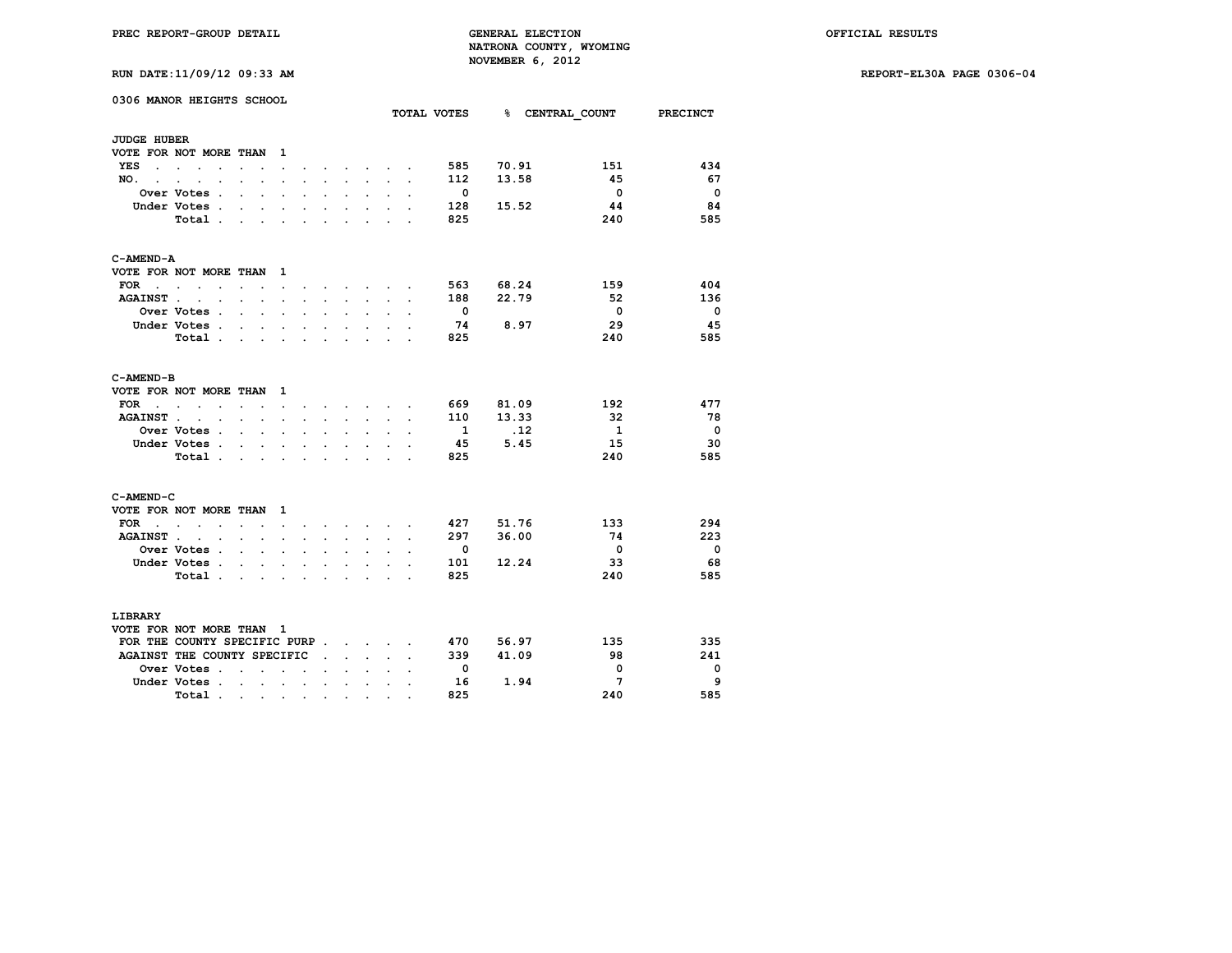**RUN DATE:11/09/12 09:33 AM REPORT-EL30A PAGE 0306-04**

| KUN DATE:11/09/12 09:33 AM                                                                                                                                                                                                                      |                                              |                      |                      |                                                                 |                      |                |                          |                 |                 |                          |
|-------------------------------------------------------------------------------------------------------------------------------------------------------------------------------------------------------------------------------------------------|----------------------------------------------|----------------------|----------------------|-----------------------------------------------------------------|----------------------|----------------|--------------------------|-----------------|-----------------|--------------------------|
| 0306 MANOR HEIGHTS SCHOOL                                                                                                                                                                                                                       |                                              |                      |                      |                                                                 |                      |                |                          |                 |                 |                          |
|                                                                                                                                                                                                                                                 |                                              |                      |                      |                                                                 |                      |                | TOTAL VOTES              |                 |                 | % CENTRAL COUNT PRECINCT |
| <b>JUDGE HUBER</b>                                                                                                                                                                                                                              |                                              |                      |                      |                                                                 |                      |                |                          |                 |                 |                          |
| VOTE FOR NOT MORE THAN 1                                                                                                                                                                                                                        |                                              |                      |                      |                                                                 |                      |                |                          |                 |                 |                          |
| YES<br>$\sim$ $\sim$ $\sim$<br>$\ddot{\phantom{a}}$                                                                                                                                                                                             | $\ddot{\phantom{a}}$<br>$\ddot{\phantom{0}}$ | $\ddot{\phantom{0}}$ |                      | $\bullet$ .<br><br><br><br><br><br><br><br><br><br><br><br><br> |                      | $\bullet$      | 585                      | 70.91           | 151             | 434                      |
| NO.<br>$\cdot$                                                                                                                                                                                                                                  | $\ddot{\phantom{a}}$<br>$\ddot{\phantom{a}}$ | $\ddot{\phantom{a}}$ |                      |                                                                 |                      |                | 112                      | 13.58           | 45              | - 67                     |
| Over Votes.<br>$\cdot$                                                                                                                                                                                                                          |                                              |                      |                      |                                                                 |                      |                | $\overline{\phantom{0}}$ |                 | $\overline{0}$  | $\overline{\mathbf{0}}$  |
| Under Votes.<br>$\sim$ $\sim$<br>$\ddot{\phantom{0}}$                                                                                                                                                                                           | $\ddot{\phantom{a}}$<br>$\ddot{\phantom{0}}$ | $\bullet$            | $\ddot{\phantom{0}}$ | $\ddot{\phantom{0}}$                                            |                      |                | 128                      | 15.52           | 44              | 84                       |
| Total.<br>$\sim$<br>$\mathbf{L}$                                                                                                                                                                                                                | $\mathbf{r}$                                 |                      |                      | $\mathbf{r}$                                                    |                      |                | 825                      |                 | 240             | 585                      |
| C-AMEND-A                                                                                                                                                                                                                                       |                                              |                      |                      |                                                                 |                      |                |                          |                 |                 |                          |
| VOTE FOR NOT MORE THAN 1                                                                                                                                                                                                                        |                                              |                      |                      |                                                                 |                      |                |                          |                 |                 |                          |
| $FOR \t{.} \t{.} \t{.}$<br>$\sim$<br>$\ddot{\phantom{0}}$                                                                                                                                                                                       | $\sim$<br>$\sim$                             | $\ddot{\phantom{0}}$ | $\sim$               |                                                                 |                      |                | 563                      | 68.24           | 159             | 404                      |
| <b>AGAINST</b> .<br>$\sim$ $\sim$<br>$\mathbf{L} = \mathbf{L}$                                                                                                                                                                                  | $\mathbf{r}$<br>$\mathbf{r}$                 | $\sim$               | $\sim$               | $\sim$                                                          | $\sim$               | $\cdot$        | 188                      | 22.79           | 52              | 136                      |
| Over Votes .<br>$\ddot{\phantom{a}}$<br>$\cdot$                                                                                                                                                                                                 | $\cdot$                                      |                      |                      |                                                                 |                      |                | $\overline{\mathbf{0}}$  |                 | $\overline{0}$  | $\overline{\mathbf{0}}$  |
| Under Votes.<br>$\mathbf{r}$<br>$\ddot{\phantom{a}}$                                                                                                                                                                                            | s.<br>$\ddot{\phantom{a}}$                   | ÷                    | $\ddot{\phantom{a}}$ | $\sim$                                                          |                      |                | 74                       | 8.97            | 29              | 45                       |
| Total                                                                                                                                                                                                                                           | $\ddot{\phantom{a}}$<br>$\sim$               | $\ddot{\phantom{a}}$ | $\sim$               | $\sim$                                                          | $\ddot{\phantom{0}}$ |                | 825                      |                 | 240             | 585                      |
| C-AMEND-B                                                                                                                                                                                                                                       |                                              |                      |                      |                                                                 |                      |                |                          |                 |                 |                          |
| VOTE FOR NOT MORE THAN 1                                                                                                                                                                                                                        |                                              |                      |                      |                                                                 |                      |                |                          |                 |                 |                          |
| <b>FOR</b><br>$\mathbf{r}$ . The set of the set of the set of the set of the set of the set of the set of the set of the set of the set of the set of the set of the set of the set of the set of the set of the set of the set of the set of t |                                              |                      |                      |                                                                 |                      |                | 669                      | 81.09           | 192             | 477                      |
| <b>AGAINST.</b><br>$\sim$ $\sim$<br>$\sim$<br>$\ddot{\phantom{0}}$                                                                                                                                                                              | $\ddot{\phantom{0}}$<br>$\ddot{\phantom{0}}$ | $\ddot{\phantom{a}}$ | $\sim$               | $\sim$                                                          |                      | $\overline{a}$ | 110                      | 13.33           | 32              | - 78                     |
| Over Votes .<br>$\ddot{\phantom{a}}$<br>$\ddot{\phantom{a}}$                                                                                                                                                                                    | $\cdot$<br>$\ddot{\phantom{a}}$              |                      |                      |                                                                 |                      |                | $\mathbf{1}$             | $\overline{12}$ | $\mathbf{1}$    | $\overline{\phantom{0}}$ |
| Under Votes                                                                                                                                                                                                                                     | $\sim$                                       | $\ddot{\phantom{0}}$ | $\ddot{\phantom{0}}$ | $\ddot{\phantom{0}}$                                            |                      |                | 45                       | 5.45            | 15              | -30                      |
| Total.<br>$\mathbf{r}$<br>$\sim$                                                                                                                                                                                                                | $\mathbf{r}$                                 |                      |                      | $\mathcal{L}^{\pm}$                                             |                      |                | 825                      |                 | 240             | 585                      |
|                                                                                                                                                                                                                                                 |                                              |                      |                      |                                                                 |                      |                |                          |                 |                 |                          |
| C-AMEND-C                                                                                                                                                                                                                                       |                                              |                      |                      |                                                                 |                      |                |                          |                 |                 |                          |
| VOTE FOR NOT MORE THAN 1                                                                                                                                                                                                                        |                                              |                      |                      |                                                                 |                      |                |                          |                 |                 |                          |
| $FOR \t{.} \t{.} \t{.}$<br>$\ddot{\phantom{0}}$<br>$\ddot{\phantom{0}}$                                                                                                                                                                         | $\ddot{\phantom{a}}$<br>$\ddot{\phantom{0}}$ | $\ddot{\phantom{a}}$ | $\sim$               | $\sim$                                                          |                      |                | 427                      | 51.76           | 133             | 294                      |
| AGAINST<br>$\sim$<br>$\ddot{\phantom{a}}$                                                                                                                                                                                                       | $\ddot{\phantom{a}}$<br>$\cdot$              | $\cdot$              | $\ddot{\phantom{0}}$ | $\ddot{\phantom{0}}$                                            | $\ddot{\phantom{0}}$ | $\cdot$        | 297                      | 36.00           | 74              | 223                      |
| Over Votes .<br>$\sim$<br>$\sim$                                                                                                                                                                                                                | $\cdot$                                      |                      |                      |                                                                 |                      |                | $\overline{\mathbf{0}}$  |                 | $\overline{0}$  | $\overline{\phantom{0}}$ |
| Under Votes.<br>$\sim$<br>$\ddot{\phantom{0}}$                                                                                                                                                                                                  | $\ddot{\phantom{a}}$<br>$\cdot$              | $\overline{a}$       | $\ddot{\phantom{0}}$ | i.                                                              |                      |                | 101                      | 12.24           | 33              | 68                       |
| Total                                                                                                                                                                                                                                           | $\ddot{\phantom{a}}$<br>$\ddot{\phantom{0}}$ | $\ddot{\phantom{a}}$ |                      | $\ddot{\phantom{a}}$                                            |                      | $\overline{a}$ | 825                      |                 | 240             | 585                      |
| <b>LIBRARY</b>                                                                                                                                                                                                                                  |                                              |                      |                      |                                                                 |                      |                |                          |                 |                 |                          |
| VOTE FOR NOT MORE THAN 1                                                                                                                                                                                                                        |                                              |                      |                      |                                                                 |                      |                |                          |                 |                 |                          |
| FOR THE COUNTY SPECIFIC PURP.                                                                                                                                                                                                                   |                                              |                      |                      | $\mathbf{r}$ and $\mathbf{r}$ and $\mathbf{r}$                  |                      |                | 470                      | 56.97           | 135             | 335                      |
| AGAINST THE COUNTY SPECIFIC                                                                                                                                                                                                                     |                                              | $\sim$               | $\sim$               | $\sim$                                                          | $\mathbf{r}$         | $\mathbf{r}$   | 339                      | 41.09           | 98              | 241                      |
| Over Votes .<br>$\mathbf{r}$ . The set of $\mathbf{r}$                                                                                                                                                                                          | $\sim$<br>$\ddot{\phantom{0}}$               | $\mathbf{r}$         | $\sim$               | $\sim$                                                          |                      |                | $\overline{0}$           |                 | $\mathbf 0$     | $\Omega$                 |
| Under Votes.<br>and the state of the state of                                                                                                                                                                                                   | $\bullet$                                    | $\bullet$ .          | $\bullet$ .          |                                                                 |                      |                | 16                       | 1.94            | $7\phantom{.0}$ | 9                        |

 **Total . . . . . . . . . . 825 240 585**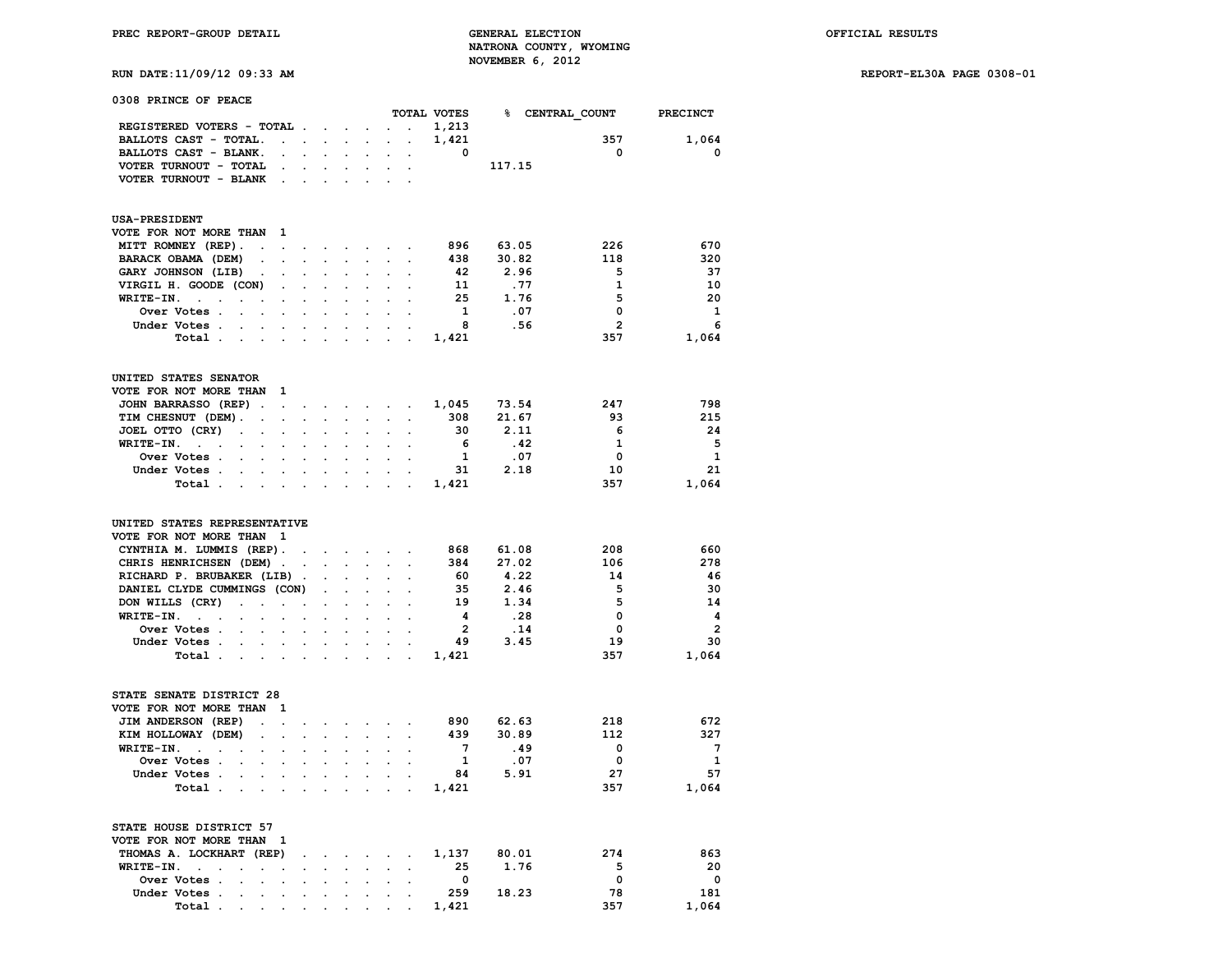**RUN DATE:11/09/12 09:33 AM REPORT-EL30A PAGE 0308-01**

| 0308 PRINCE OF PEACE                                                                                                                                                                                                                                                                                                |                                                         |                                                         |                             |                      |                                              |                                 |                                                                                                   |                                                              |                                                             |                                                                                                   |
|---------------------------------------------------------------------------------------------------------------------------------------------------------------------------------------------------------------------------------------------------------------------------------------------------------------------|---------------------------------------------------------|---------------------------------------------------------|-----------------------------|----------------------|----------------------------------------------|---------------------------------|---------------------------------------------------------------------------------------------------|--------------------------------------------------------------|-------------------------------------------------------------|---------------------------------------------------------------------------------------------------|
|                                                                                                                                                                                                                                                                                                                     |                                                         |                                                         |                             |                      |                                              |                                 | TOTAL VOTES                                                                                       | % CENTRAL COUNT                                              |                                                             | <b>PRECINCT</b>                                                                                   |
| REGISTERED VOTERS - TOTAL.                                                                                                                                                                                                                                                                                          |                                                         |                                                         | $\mathbf{r} = \mathbf{r}$ . | $\cdot$              |                                              | $\ddot{\phantom{a}}$            | 1,213                                                                                             |                                                              |                                                             |                                                                                                   |
| BALLOTS CAST - TOTAL.                                                                                                                                                                                                                                                                                               | $\ddot{\phantom{a}}$                                    | $\ddot{\phantom{a}}$                                    | $\ddot{\phantom{a}}$        | $\ddot{\phantom{a}}$ | $\ddot{\phantom{a}}$                         | $\cdot$                         | 1,421                                                                                             |                                                              | 357                                                         | 1,064                                                                                             |
| BALLOTS CAST - BLANK.<br>$\overline{a}$                                                                                                                                                                                                                                                                             |                                                         |                                                         |                             |                      |                                              |                                 | 0                                                                                                 |                                                              | $\mathbf 0$                                                 | $\mathbf 0$                                                                                       |
| VOTER TURNOUT - TOTAL                                                                                                                                                                                                                                                                                               |                                                         |                                                         |                             |                      |                                              |                                 |                                                                                                   | 117.15                                                       |                                                             |                                                                                                   |
| VOTER TURNOUT - BLANK<br>$\overline{a}$                                                                                                                                                                                                                                                                             |                                                         |                                                         |                             |                      |                                              |                                 |                                                                                                   |                                                              |                                                             |                                                                                                   |
| <b>USA-PRESIDENT</b>                                                                                                                                                                                                                                                                                                |                                                         |                                                         |                             |                      |                                              |                                 |                                                                                                   |                                                              |                                                             |                                                                                                   |
| VOTE FOR NOT MORE THAN<br>1                                                                                                                                                                                                                                                                                         |                                                         |                                                         |                             |                      |                                              |                                 |                                                                                                   |                                                              |                                                             |                                                                                                   |
|                                                                                                                                                                                                                                                                                                                     |                                                         |                                                         |                             |                      |                                              |                                 | 896                                                                                               | 63.05                                                        | 226                                                         | 670                                                                                               |
| MITT ROMNEY (REP).<br>$\overline{a}$                                                                                                                                                                                                                                                                                |                                                         |                                                         |                             | $\cdot$              | $\cdot$                                      | $\ddot{\phantom{a}}$            |                                                                                                   |                                                              |                                                             |                                                                                                   |
| BARACK OBAMA (DEM)<br>$\ddot{\phantom{0}}$<br>$\ddot{\phantom{0}}$                                                                                                                                                                                                                                                  | $\overline{a}$                                          | $\overline{a}$                                          | $\overline{a}$              | $\ddot{\phantom{0}}$ | $\cdot$                                      | $\ddot{\phantom{a}}$            | 438                                                                                               | 30.82                                                        | 118                                                         | 320                                                                                               |
| GARY JOHNSON (LIB)<br>$\ddot{\phantom{a}}$                                                                                                                                                                                                                                                                          |                                                         |                                                         |                             |                      |                                              |                                 | 42                                                                                                | 2.96                                                         | 5                                                           | 37                                                                                                |
| VIRGIL H. GOODE (CON)<br>$\ddot{\phantom{a}}$                                                                                                                                                                                                                                                                       |                                                         |                                                         |                             |                      |                                              |                                 | 11                                                                                                | .77                                                          | $\mathbf{1}$                                                | 10                                                                                                |
| WRITE-IN.<br>$\mathcal{L}^{\pm}$                                                                                                                                                                                                                                                                                    |                                                         |                                                         |                             |                      |                                              |                                 | 25                                                                                                | 1.76                                                         | 5                                                           | 20                                                                                                |
| Over Votes .                                                                                                                                                                                                                                                                                                        |                                                         |                                                         |                             |                      |                                              |                                 | $\mathbf{1}$                                                                                      | .07                                                          | $\mathbf 0$                                                 | 1                                                                                                 |
| Under Votes .<br>$\ddot{\phantom{0}}$                                                                                                                                                                                                                                                                               |                                                         |                                                         |                             |                      |                                              |                                 | 8                                                                                                 | .56                                                          | $\overline{2}$                                              | 6                                                                                                 |
| Total.                                                                                                                                                                                                                                                                                                              |                                                         |                                                         |                             |                      |                                              |                                 | 1,421                                                                                             |                                                              | 357                                                         | 1,064                                                                                             |
| UNITED STATES SENATOR                                                                                                                                                                                                                                                                                               |                                                         |                                                         |                             |                      |                                              |                                 |                                                                                                   |                                                              |                                                             |                                                                                                   |
| VOTE FOR NOT MORE THAN<br>1                                                                                                                                                                                                                                                                                         |                                                         |                                                         |                             |                      |                                              |                                 |                                                                                                   |                                                              |                                                             |                                                                                                   |
| JOHN BARRASSO (REP)<br>$\ddot{\phantom{a}}$<br>$\overline{\phantom{a}}$                                                                                                                                                                                                                                             | $\ddot{\phantom{a}}$                                    | $\ddot{\phantom{0}}$                                    | $\ddot{\phantom{0}}$        |                      | $\mathbf{a}$ , and $\mathbf{a}$              | $\ddot{\phantom{0}}$            | 1,045                                                                                             | 73.54                                                        | 247                                                         | 798                                                                                               |
| TIM CHESNUT (DEM).<br>$\overline{a}$                                                                                                                                                                                                                                                                                | $\mathbf{r}$                                            | $\overline{a}$                                          |                             | $\overline{a}$       | $\ddot{\phantom{a}}$                         | $\ddot{\phantom{0}}$            | 308                                                                                               | 21.67                                                        | 93                                                          | 215                                                                                               |
| JOEL OTTO (CRY)<br>$\ddot{\phantom{0}}$<br>$\ddot{\phantom{0}}$<br>$\cdot$                                                                                                                                                                                                                                          |                                                         |                                                         |                             |                      |                                              |                                 | 30                                                                                                | 2.11                                                         | 6                                                           | 24                                                                                                |
| WRITE-IN.<br>$\sim$ 100 $\mu$                                                                                                                                                                                                                                                                                       |                                                         |                                                         |                             |                      |                                              |                                 | 6                                                                                                 | .42                                                          | $\mathbf{1}$                                                | 5                                                                                                 |
| Over Votes .                                                                                                                                                                                                                                                                                                        |                                                         |                                                         |                             |                      |                                              |                                 | 1                                                                                                 | .07                                                          | $\mathbf 0$                                                 | 1                                                                                                 |
| Under Votes .                                                                                                                                                                                                                                                                                                       |                                                         |                                                         |                             |                      |                                              |                                 | 31                                                                                                | 2.18                                                         | 10                                                          | 21                                                                                                |
| Total .                                                                                                                                                                                                                                                                                                             |                                                         |                                                         |                             |                      |                                              |                                 | 1,421                                                                                             |                                                              | 357                                                         | 1,064                                                                                             |
| UNITED STATES REPRESENTATIVE<br>VOTE FOR NOT MORE THAN<br>1<br>CYNTHIA M. LUMMIS (REP).<br>CHRIS HENRICHSEN (DEM).<br>RICHARD P. BRUBAKER (LIB)<br>DANIEL CLYDE CUMMINGS (CON)<br>DON WILLS (CRY)<br>$\ddot{\phantom{a}}$<br>WRITE-IN.<br>$\sim$<br>$\ddot{\phantom{a}}$<br>Over Votes .<br>Under Votes .<br>Total. | $\cdot$<br>$\ddot{\phantom{a}}$<br>$\ddot{\phantom{a}}$ | $\cdot$<br>$\ddot{\phantom{a}}$<br>$\ddot{\phantom{a}}$ | $\sim$                      | $\bullet$<br>÷       | $\ddot{\phantom{0}}$<br>$\ddot{\phantom{a}}$ | $\ddot{\phantom{a}}$<br>$\cdot$ | 868<br>384<br>60<br>35<br>19<br>$\overline{\mathbf{4}}$<br>$\overline{\mathbf{2}}$<br>49<br>1,421 | 61.08<br>27.02<br>4.22<br>2.46<br>1.34<br>.28<br>.14<br>3.45 | 208<br>106<br>14<br>5<br>5<br>$\mathbf 0$<br>0<br>19<br>357 | 660<br>278<br>46<br>30<br>14<br>$\overline{\mathbf{4}}$<br>$\overline{\mathbf{2}}$<br>30<br>1,064 |
| STATE SENATE DISTRICT 28<br>VOTE FOR NOT MORE THAN<br>1                                                                                                                                                                                                                                                             |                                                         |                                                         |                             |                      |                                              |                                 |                                                                                                   |                                                              |                                                             |                                                                                                   |
| JIM ANDERSON (REP)<br>$\ddot{\phantom{a}}$<br>$\ddot{\phantom{a}}$                                                                                                                                                                                                                                                  | $\cdot$                                                 | $\ddot{\phantom{a}}$                                    | $\cdot$                     | $\ddot{\phantom{0}}$ | $\cdot$                                      | $\ddot{\phantom{0}}$            | 890                                                                                               | 62.63                                                        | 218                                                         | 672                                                                                               |
| KIM HOLLOWAY (DEM)<br>$\cdot$                                                                                                                                                                                                                                                                                       |                                                         |                                                         |                             |                      |                                              |                                 | 439                                                                                               | 30.89                                                        | 112                                                         | 327                                                                                               |
| WRITE-IN.<br>$\ddot{\phantom{a}}$                                                                                                                                                                                                                                                                                   |                                                         |                                                         |                             |                      |                                              |                                 | $7\phantom{.0}$                                                                                   | .49                                                          | 0                                                           | $\overline{7}$                                                                                    |
| Over Votes .<br>$\ddot{\phantom{0}}$                                                                                                                                                                                                                                                                                |                                                         |                                                         |                             |                      |                                              |                                 | $\mathbf{1}$                                                                                      | .07                                                          | 0                                                           | $\mathbf{1}$                                                                                      |
| Under Votes .<br>$\ddot{\phantom{a}}$                                                                                                                                                                                                                                                                               | $\ddot{\phantom{a}}$                                    |                                                         |                             |                      |                                              |                                 | 84                                                                                                | 5.91                                                         | 27                                                          | 57                                                                                                |
| Total.<br>$\ddot{\phantom{a}}$<br>$\cdot$                                                                                                                                                                                                                                                                           | $\cdot$                                                 |                                                         |                             |                      |                                              |                                 | 1,421                                                                                             |                                                              | 357                                                         | 1,064                                                                                             |
| STATE HOUSE DISTRICT 57<br>VOTE FOR NOT MORE THAN<br>1                                                                                                                                                                                                                                                              |                                                         |                                                         |                             |                      |                                              |                                 |                                                                                                   |                                                              |                                                             |                                                                                                   |
| THOMAS A. LOCKHART (REP)                                                                                                                                                                                                                                                                                            |                                                         |                                                         |                             | $\cdot$              |                                              |                                 | 1,137                                                                                             | 80.01                                                        | 274                                                         | 863                                                                                               |
| WRITE-IN.                                                                                                                                                                                                                                                                                                           |                                                         |                                                         |                             |                      |                                              |                                 | 25                                                                                                | 1.76                                                         | 5                                                           | 20                                                                                                |
| Over Votes .<br>$\overline{a}$<br>$\cdot$                                                                                                                                                                                                                                                                           | $\ddot{\phantom{a}}$                                    | $\cdot$                                                 | $\cdot$                     | $\bullet$            | $\ddot{\phantom{0}}$                         | $\ddot{\phantom{0}}$            | $\overline{\mathbf{0}}$                                                                           |                                                              | $\mathbf 0$                                                 | $\mathbf 0$                                                                                       |
| Under Votes                                                                                                                                                                                                                                                                                                         |                                                         |                                                         |                             |                      |                                              |                                 | 259                                                                                               | 18.23                                                        | 78                                                          | 181                                                                                               |

 **Under Votes . . . . . . . . . . 259 18.23 78 181 Total . . . . . . . . . . 1,421 357 1,064**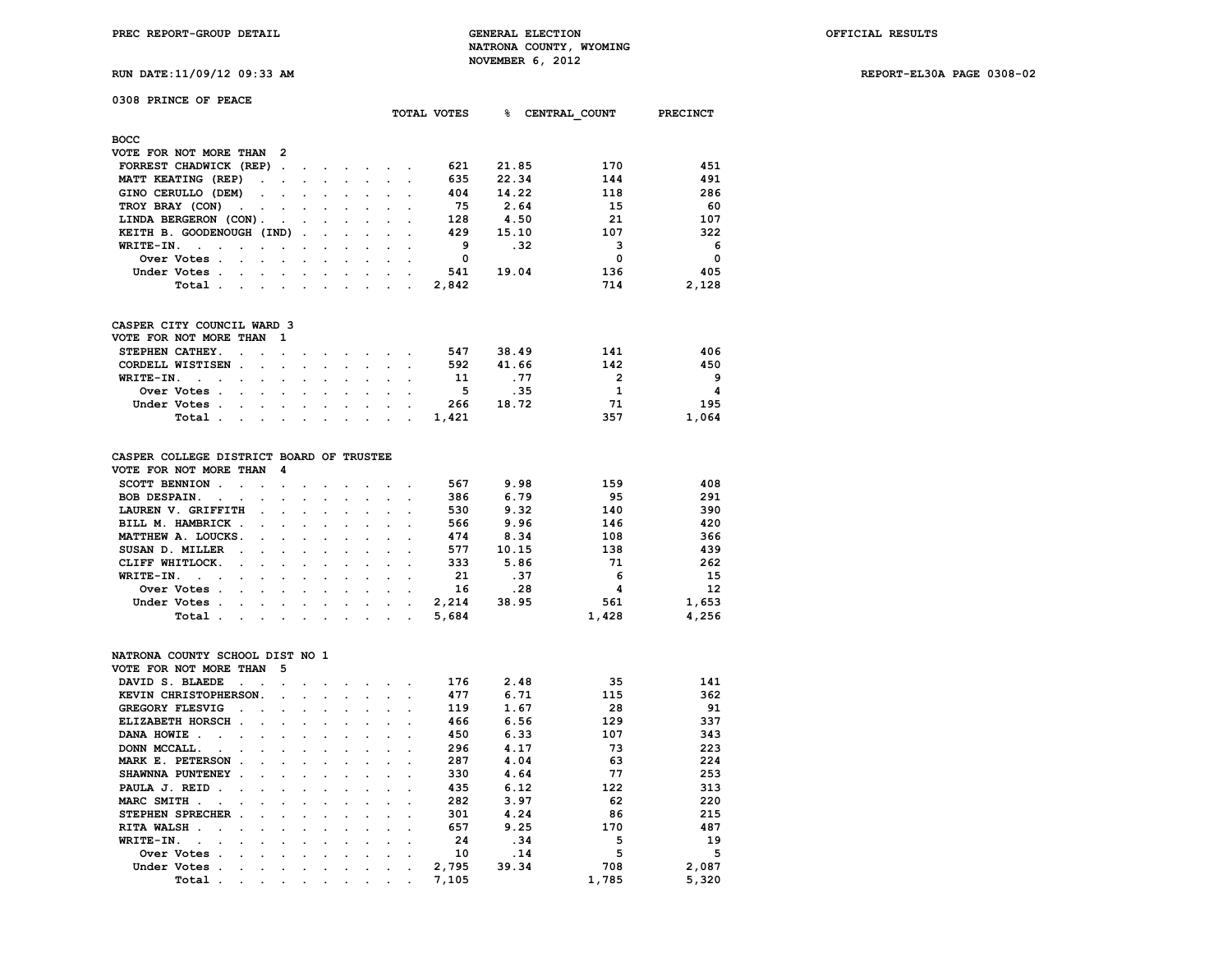**PREC REPORT-GROUP DETAIL GENERAL ELECTION OFFICIAL RESULTS NATRONA COUNTY, WYOMING** NOVEMBER 6, 2012<br>**MOVEMBER 6, 2012**<br>**MOVEMBER 6, 2012** 

**RUN DATE:11/09/12 09:33 AM REPORT-EL30A PAGE 0308-02**

|  |  |  |  | RUN DATE:11/09/12 09:33 F |  |
|--|--|--|--|---------------------------|--|
|--|--|--|--|---------------------------|--|

| 0308 PRINCE OF PEACE                               |                      |                      |                          |                      |  |             |       |               |                 |
|----------------------------------------------------|----------------------|----------------------|--------------------------|----------------------|--|-------------|-------|---------------|-----------------|
|                                                    |                      |                      |                          |                      |  | TOTAL VOTES | ℁     | CENTRAL COUNT | <b>PRECINCT</b> |
| <b>BOCC</b>                                        |                      |                      |                          |                      |  |             |       |               |                 |
| VOTE FOR NOT MORE THAN 2                           |                      |                      |                          |                      |  |             |       |               |                 |
| FORREST CHADWICK (REP).                            |                      | $\sim$               | $\sim$                   | $\ddot{\phantom{1}}$ |  | 621         | 21.85 | 170           | 451             |
| MATT KEATING (REP)<br>$\sim$ $\sim$                |                      | $\cdot$              | $\overline{\phantom{a}}$ | $\cdot$              |  | 635         | 22.34 | 144           | 491             |
| GINO CERULLO (DEM)<br>$\sim$ $\sim$                | $\cdot$              | $\sim$ $\sim$ $\sim$ |                          | $\cdot$              |  | 404         | 14.22 | 118           | 286             |
| TROY BRAY (CON)<br><b>Contract Contract Street</b> |                      |                      |                          |                      |  | 75          | 2.64  | 15            | 60              |
| LINDA BERGERON (CON).                              | $\sim$ $\sim$ $\sim$ |                      | $\sim$ $\sim$            |                      |  | 128         | 4.50  | 21            | 107             |
| KEITH B. GOODENOUGH (IND).                         |                      | $\ddot{\phantom{0}}$ |                          |                      |  | 429         | 15.10 | 107           | 322             |
| WRITE-IN.<br>$\sim$<br>$\ddot{\phantom{a}}$        |                      |                      |                          |                      |  | 9           | .32   | 3             | 6               |
| Over Votes.<br>$\ddot{\phantom{a}}$<br>$\sim$      |                      |                      |                          |                      |  | 0           |       | 0             | $\Omega$        |
| Under Votes.<br>$\cdot$                            |                      |                      |                          |                      |  | 541         | 19.04 | 136           | 405             |
| Total                                              |                      |                      |                          |                      |  | 2,842       |       | 714           | 2,128           |
|                                                    |                      |                      |                          |                      |  |             |       |               |                 |

|  | CASPER CITY COUNCIL WARD 3 |  |  |
|--|----------------------------|--|--|
|  |                            |  |  |

| VOTE FOR NOT MORE THAN 1 |  |  |  |  |  |            |       |     |       |
|--------------------------|--|--|--|--|--|------------|-------|-----|-------|
| STEPHEN CATHEY.          |  |  |  |  |  | 547        | 38.49 | 141 | 406   |
| CORDELL WISTISEN         |  |  |  |  |  | 592        | 41.66 | 142 | 450   |
| WRITE-IN.                |  |  |  |  |  | 11         | . 77  |     | -9    |
| Over Votes               |  |  |  |  |  |            | . 35  |     | 4     |
| Under Votes              |  |  |  |  |  | 266        | 18.72 | 71  | 195   |
|                          |  |  |  |  |  | Total1,421 |       | 357 | 1,064 |

|  |  | CASPER COLLEGE DISTRICT BOARD OF TRUSTEE |  |  |  |  |
|--|--|------------------------------------------|--|--|--|--|
|--|--|------------------------------------------|--|--|--|--|

| VOTE FOR NOT MORE THAN 4                                                                                                   |  |  |  |       |       |       |       |
|----------------------------------------------------------------------------------------------------------------------------|--|--|--|-------|-------|-------|-------|
| SCOTT BENNION                                                                                                              |  |  |  | 567   | 9.98  | 159   | 408   |
| BOB DESPAIN.                                                                                                               |  |  |  | 386   | 6.79  | 95    | 291   |
| LAUREN V. GRIFFITH                                                                                                         |  |  |  | 530   | 9.32  | 140   | 390   |
| BILL M. HAMBRICK                                                                                                           |  |  |  | 566   | 9.96  | 146   | 420   |
| MATTHEW A. LOUCKS.                                                                                                         |  |  |  | 474   | 8.34  | 108   | 366   |
| SUSAN D. MILLER                                                                                                            |  |  |  | 577   | 10.15 | 138   | 439   |
| CLIFF WHITLOCK.                                                                                                            |  |  |  | 333   | 5.86  | -71   | 262   |
| WRITE-IN.                                                                                                                  |  |  |  | 21    | .37   | 6     | 15    |
| Over Votes                                                                                                                 |  |  |  | 16    | .28   | 4     | 12    |
| Under Votes                                                                                                                |  |  |  | 2,214 | 38.95 | 561   | 1,653 |
| Total .<br>the contract of the contract of the contract of the contract of the contract of the contract of the contract of |  |  |  | 5,684 |       | 1,428 | 4,256 |
|                                                                                                                            |  |  |  |       |       |       |       |

# **NATRONA COUNTY SCHOOL DIST NO 1**

| VOTE FOR NOT MORE THAN                                                                                                         |                                                                                                                                                                                                                               |                                                                                                                 | -5            |        |                                                                                                                 |           |       |       |       |       |
|--------------------------------------------------------------------------------------------------------------------------------|-------------------------------------------------------------------------------------------------------------------------------------------------------------------------------------------------------------------------------|-----------------------------------------------------------------------------------------------------------------|---------------|--------|-----------------------------------------------------------------------------------------------------------------|-----------|-------|-------|-------|-------|
| DAVID S. BLAEDE                                                                                                                |                                                                                                                                                                                                                               |                                                                                                                 |               |        | and the company of the company of the company of                                                                |           | 176   | 2.48  | 35    | 141   |
| KEVIN CHRISTOPHERSON.                                                                                                          |                                                                                                                                                                                                                               |                                                                                                                 | $\sim$ $\sim$ | $\sim$ |                                                                                                                 |           | 477   | 6.71  | 115   | 362   |
| <b>GREGORY FLESVIG</b>                                                                                                         | $\sim$ $\sim$                                                                                                                                                                                                                 |                                                                                                                 |               |        | the contract of the contract of the contract of the contract of the contract of the contract of the contract of |           | 119   | 1.67  | 28    | 91    |
| ELIZABETH HORSCH                                                                                                               |                                                                                                                                                                                                                               |                                                                                                                 |               |        |                                                                                                                 |           | 466   | 6.56  | 129   | 337   |
| DANA HOWIE.<br>the contract of the contract of the contract of the contract of the contract of the contract of the contract of |                                                                                                                                                                                                                               |                                                                                                                 |               |        |                                                                                                                 |           | 450   | 6.33  | 107   | 343   |
| DONN MCCALL.<br>$\sim$ $\sim$ $\sim$                                                                                           |                                                                                                                                                                                                                               | the contract of the contract of the contract of the contract of the contract of the contract of the contract of |               |        |                                                                                                                 |           | 296   | 4.17  | 73    | 223   |
| MARK E. PETERSON.                                                                                                              |                                                                                                                                                                                                                               | the contract of the contract of the contract of the contract of the contract of the contract of the contract of |               |        |                                                                                                                 |           | 287   | 4.04  | 63    | 224   |
| SHAWNNA PUNTENEY.                                                                                                              |                                                                                                                                                                                                                               | the contract of the contract of the contract of the contract of the contract of the contract of the contract of |               |        |                                                                                                                 |           | 330   | 4.64  | 77    | 253   |
| PAULA J. REID.                                                                                                                 |                                                                                                                                                                                                                               |                                                                                                                 |               |        |                                                                                                                 |           | 435   | 6.12  | 122   | 313   |
| MARC SMITH                                                                                                                     |                                                                                                                                                                                                                               |                                                                                                                 |               |        |                                                                                                                 |           | 282   | 3.97  | 62    | 220   |
| STEPHEN SPRECHER.                                                                                                              |                                                                                                                                                                                                                               | $\sim$                                                                                                          |               |        | $\cdots$                                                                                                        |           | 301   | 4.24  | 86    | 215   |
| RITA WALSH.<br>the contract of the contract of the contract of the contract of the contract of the contract of the contract of |                                                                                                                                                                                                                               |                                                                                                                 |               |        |                                                                                                                 |           | 657   | 9.25  | 170   | 487   |
| WRITE-IN.<br>$\sim$ $\sim$ $\sim$                                                                                              | the company of the company of the company of the company of the company of the company of the company of the company of the company of the company of the company of the company of the company of the company of the company |                                                                                                                 |               |        |                                                                                                                 |           | 24    | . 34  | 5     | 19    |
| Over Votes                                                                                                                     |                                                                                                                                                                                                                               |                                                                                                                 |               |        |                                                                                                                 |           | 10    | .14   | 5     | 5     |
| Under Votes                                                                                                                    |                                                                                                                                                                                                                               |                                                                                                                 |               |        |                                                                                                                 |           | 2,795 | 39.34 | 708   | 2,087 |
| Total .                                                                                                                        | the contract of the contract of the contract of the contract of the contract of the contract of the contract of                                                                                                               |                                                                                                                 |               |        |                                                                                                                 | $\bullet$ | 7,105 |       | 1,785 | 5,320 |
|                                                                                                                                |                                                                                                                                                                                                                               |                                                                                                                 |               |        |                                                                                                                 |           |       |       |       |       |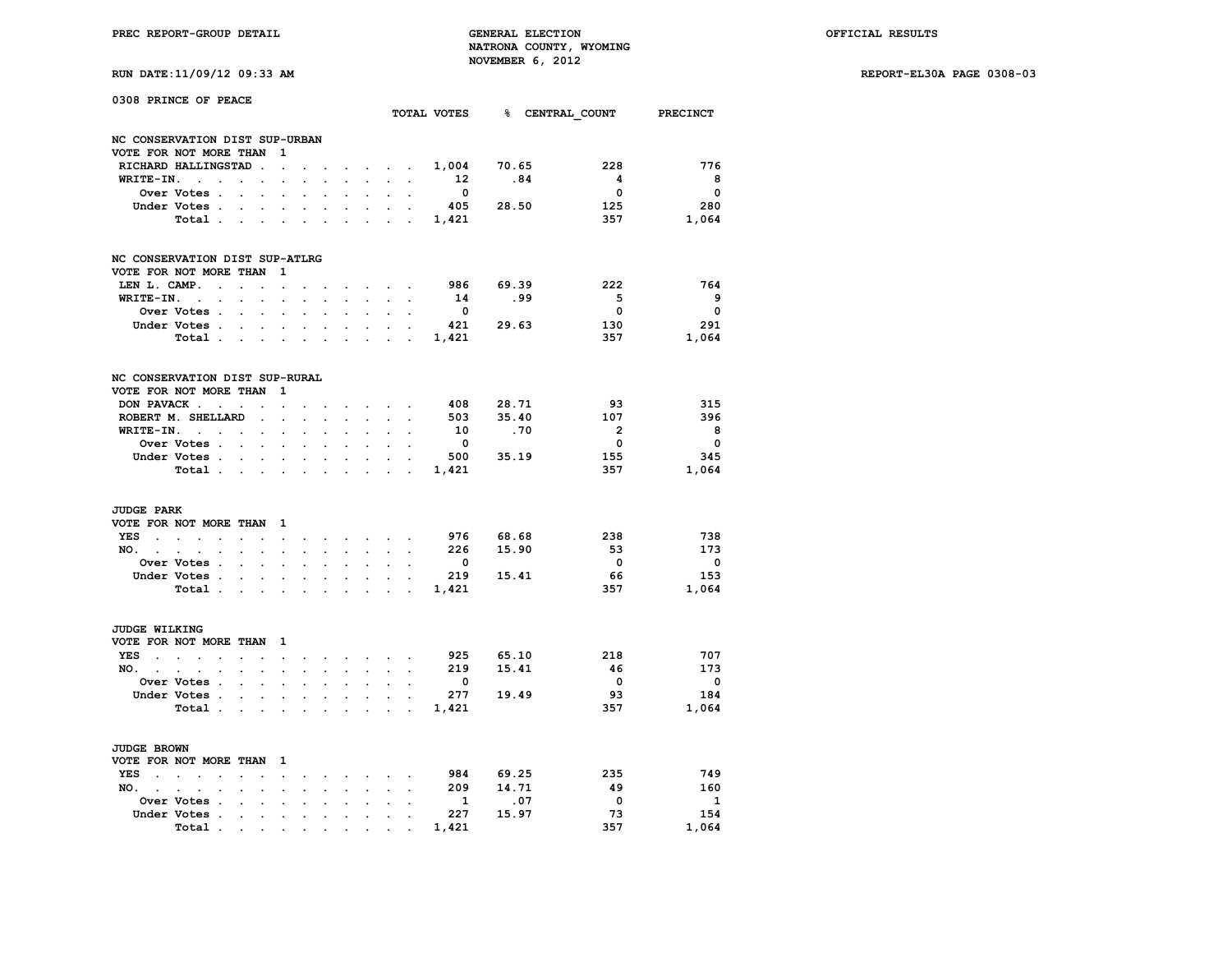**RUN DATE:11/09/12 09:33 AM REPORT-EL30A PAGE 0308-03**

| RUN DAIL:11/09/12 09:33 AM |  |  |
|----------------------------|--|--|
|                            |  |  |

| 0308 PRINCE OF PEACE           |                                            |                      |                      |                      |                          |                          |                      |                      |                      |                                        |                         |       |       |                                      |                         |
|--------------------------------|--------------------------------------------|----------------------|----------------------|----------------------|--------------------------|--------------------------|----------------------|----------------------|----------------------|----------------------------------------|-------------------------|-------|-------|--------------------------------------|-------------------------|
|                                |                                            |                      |                      |                      |                          |                          |                      |                      |                      |                                        |                         |       |       | TOTAL VOTES 8 CENTRAL COUNT PRECINCT |                         |
| NC CONSERVATION DIST SUP-URBAN |                                            |                      |                      |                      |                          |                          |                      |                      |                      |                                        |                         |       |       |                                      |                         |
| VOTE FOR NOT MORE THAN         |                                            |                      |                      | 1                    |                          |                          |                      |                      |                      |                                        |                         |       |       |                                      |                         |
| RICHARD HALLINGSTAD            |                                            |                      | $\sim$               | $\ddot{\phantom{a}}$ | $\overline{\phantom{a}}$ |                          |                      | $\sim$               |                      | $\mathbf{z} = \mathbf{z} + \mathbf{z}$ | 1,004                   |       | 70.65 | 228                                  | 776                     |
| WRITE-IN.                      | $\ddot{\phantom{a}}$                       |                      |                      |                      |                          |                          |                      |                      |                      |                                        | 12                      |       | .84   | $\overline{\mathbf{4}}$              | 8                       |
|                                | Over Votes .                               |                      |                      |                      |                          |                          |                      |                      |                      |                                        | $\overline{\mathbf{0}}$ |       |       | $\overline{\mathbf{0}}$              | $\overline{\mathbf{0}}$ |
|                                | Under Votes.                               | $\overline{a}$       | $\overline{a}$       | $\overline{a}$       | $\overline{a}$           | $\overline{\phantom{a}}$ |                      | $\overline{a}$       | $\overline{a}$       |                                        | 405                     |       | 28.50 | 125                                  | 280                     |
|                                | Total.                                     |                      |                      |                      |                          |                          |                      |                      |                      |                                        | 1,421                   |       |       | 357                                  | 1,064                   |
|                                |                                            |                      |                      |                      |                          |                          |                      |                      |                      |                                        |                         |       |       |                                      |                         |
| NC CONSERVATION DIST SUP-ATLRG |                                            |                      |                      |                      |                          |                          |                      |                      |                      |                                        |                         |       |       |                                      |                         |
| VOTE FOR NOT MORE THAN         |                                            |                      |                      | 1                    |                          |                          |                      |                      |                      |                                        |                         |       |       |                                      |                         |
| LEN L. CAMP.                   | $\ddot{\phantom{a}}$                       | $\ddot{\phantom{a}}$ |                      | $\ddot{\phantom{a}}$ |                          |                          |                      | $\ddot{\phantom{a}}$ | $\ddot{\phantom{a}}$ | $\cdot$                                | 986                     |       | 69.39 | 222                                  | 764                     |
| WRITE-IN.                      | $\ddot{\phantom{a}}$                       |                      |                      |                      |                          |                          |                      |                      |                      |                                        | 14                      |       | .99   | $-5$                                 | - 9                     |
|                                | Over Votes .                               |                      |                      |                      |                          |                          |                      |                      |                      |                                        | $\mathbf{o}$            |       |       | $\mathbf{o}$                         | $\overline{0}$          |
|                                | Under Votes .                              | $\ddot{\phantom{a}}$ | $\ddot{\phantom{a}}$ | $\ddot{\phantom{a}}$ | $\ddot{\phantom{a}}$     | $\ddot{\phantom{a}}$     | $\ddot{\phantom{a}}$ | $\ddot{\phantom{a}}$ | $\ddot{\phantom{a}}$ |                                        | 421                     |       | 29.63 | 130                                  | 291                     |
|                                | Total.                                     |                      |                      |                      |                          |                          |                      |                      |                      |                                        | 1,421                   |       |       | 357                                  | 1,064                   |
|                                |                                            |                      |                      |                      |                          |                          |                      |                      |                      |                                        |                         |       |       |                                      |                         |
| NC CONSERVATION DIST SUP-RURAL |                                            |                      |                      |                      |                          |                          |                      |                      |                      |                                        |                         |       |       |                                      |                         |
| VOTE FOR NOT MORE THAN         |                                            |                      |                      | 1                    |                          |                          |                      |                      |                      |                                        |                         |       |       |                                      |                         |
| DON PAVACK.                    | $\overline{a}$                             | $\ddot{\phantom{a}}$ |                      | $\ddot{\phantom{a}}$ |                          |                          |                      | $\cdot$              |                      |                                        | 408                     |       | 28.71 | 93                                   | 315                     |
| ROBERT M. SHELLARD             |                                            |                      |                      |                      |                          |                          |                      |                      |                      |                                        | 503                     |       | 35.40 | 107                                  | 396                     |
| WRITE-IN.                      | $\sim$<br>$\overline{a}$                   |                      |                      |                      |                          |                          |                      |                      |                      |                                        | 10                      |       | .70   | $\overline{2}$                       | - 8                     |
|                                | Over Votes .                               | $\ddot{\phantom{a}}$ |                      |                      |                          |                          |                      |                      |                      |                                        | $\overline{\mathbf{0}}$ |       |       | $\mathbf 0$                          | $\overline{\mathbf{0}}$ |
|                                | Under Votes .                              |                      |                      |                      |                          |                          |                      |                      |                      |                                        | 500                     |       | 35.19 | 155                                  | 345                     |
|                                | Total .                                    |                      |                      |                      |                          |                          |                      |                      |                      |                                        | 1,421                   |       |       | 357                                  | 1,064                   |
|                                |                                            |                      |                      |                      |                          |                          |                      |                      |                      |                                        |                         |       |       |                                      |                         |
| <b>JUDGE PARK</b>              |                                            |                      |                      |                      |                          |                          |                      |                      |                      |                                        |                         |       |       |                                      |                         |
| VOTE FOR NOT MORE THAN         |                                            |                      |                      | 1                    |                          |                          |                      |                      |                      |                                        |                         |       |       |                                      |                         |
| <b>YES</b>                     | $\sim$<br>$\overline{a}$<br>$\overline{a}$ |                      |                      | $\overline{a}$       |                          | $\overline{\phantom{a}}$ | $\sim$               | $\ddot{\phantom{a}}$ | $\sim$               |                                        | 976 68.68               |       |       | 238                                  | 738                     |
| NO.                            |                                            |                      |                      |                      |                          |                          |                      |                      |                      |                                        | 226                     |       | 15.90 | 53                                   | 173                     |
|                                | Over Votes<br>$\ddot{\phantom{a}}$         |                      | $\overline{a}$       | $\ddot{\phantom{a}}$ |                          |                          |                      | $\ddot{\phantom{a}}$ |                      |                                        | $\mathbf{o}$            |       |       | $\overline{\mathbf{0}}$              | $\overline{\mathbf{0}}$ |
|                                | Under Votes.                               |                      |                      |                      |                          |                          |                      |                      |                      |                                        | 219                     |       | 15.41 | - 66                                 | 153                     |
|                                | Total .                                    |                      |                      |                      |                          |                          |                      |                      |                      |                                        | 1,421                   |       |       | 357                                  | 1,064                   |
|                                |                                            |                      |                      |                      |                          |                          |                      |                      |                      |                                        |                         |       |       |                                      |                         |
| JUDGE WILKING                  |                                            |                      |                      |                      |                          |                          |                      |                      |                      |                                        |                         |       |       |                                      |                         |
| VOTE FOR NOT MORE THAN         |                                            |                      |                      | 1                    |                          |                          |                      |                      |                      |                                        |                         |       |       |                                      |                         |
| <b>YES</b><br>$\sim$           | i.<br>$\overline{a}$                       |                      |                      | $\overline{a}$       |                          |                          | $\overline{a}$       | $\ddot{\phantom{a}}$ |                      |                                        | 925                     | 65.10 |       | 218                                  | 707                     |
| NO.                            |                                            |                      |                      |                      |                          |                          |                      |                      |                      |                                        | 219                     |       | 15.41 | 46                                   | 173                     |
|                                | Over Votes<br>$\ddot{\phantom{a}}$         |                      | $\overline{a}$       | $\ddot{\phantom{a}}$ |                          |                          |                      | $\ddot{\phantom{a}}$ |                      |                                        | $\mathbf 0$             |       |       | $\overline{\mathbf{0}}$              | $\overline{\mathbf{0}}$ |
|                                | Under Votes .                              |                      |                      |                      |                          |                          |                      |                      |                      |                                        | 277                     |       | 19.49 | - 93                                 | 184                     |
|                                |                                            |                      |                      |                      |                          |                          |                      |                      |                      |                                        |                         |       |       | 357                                  | 1,064                   |
|                                | Total.                                     |                      |                      |                      |                          |                          |                      |                      |                      |                                        | 1,421                   |       |       |                                      |                         |
| <b>JUDGE BROWN</b>             |                                            |                      |                      |                      |                          |                          |                      |                      |                      |                                        |                         |       |       |                                      |                         |
| VOTE FOR NOT MORE THAN         |                                            |                      |                      | 1                    |                          |                          |                      |                      |                      |                                        |                         |       |       |                                      |                         |
| YES                            | $\sim$<br>$\overline{a}$                   |                      |                      | $\overline{a}$       |                          |                          |                      | $\overline{a}$       |                      |                                        | 984                     |       | 69.25 | 235                                  | 749                     |
| NO.                            |                                            |                      |                      |                      |                          |                          |                      |                      |                      |                                        | 209                     |       | 14.71 | 49                                   | 160                     |
|                                | Over Votes<br>$\sim$                       |                      |                      | $\ddot{\phantom{0}}$ |                          |                          |                      |                      |                      |                                        | 1                       |       | .07   | $\overline{\phantom{0}}$             | $\overline{\mathbf{1}}$ |
|                                | Under Votes .                              |                      |                      |                      |                          |                          |                      |                      |                      |                                        | 227                     |       | 15.97 | - 73                                 | 154                     |
|                                | Total.                                     | $\ddot{\phantom{0}}$ |                      |                      |                          |                          |                      |                      |                      |                                        | 1,421                   |       |       | 357                                  | 1,064                   |
|                                |                                            |                      | $\ddot{\phantom{0}}$ |                      |                          |                          |                      |                      |                      |                                        |                         |       |       |                                      |                         |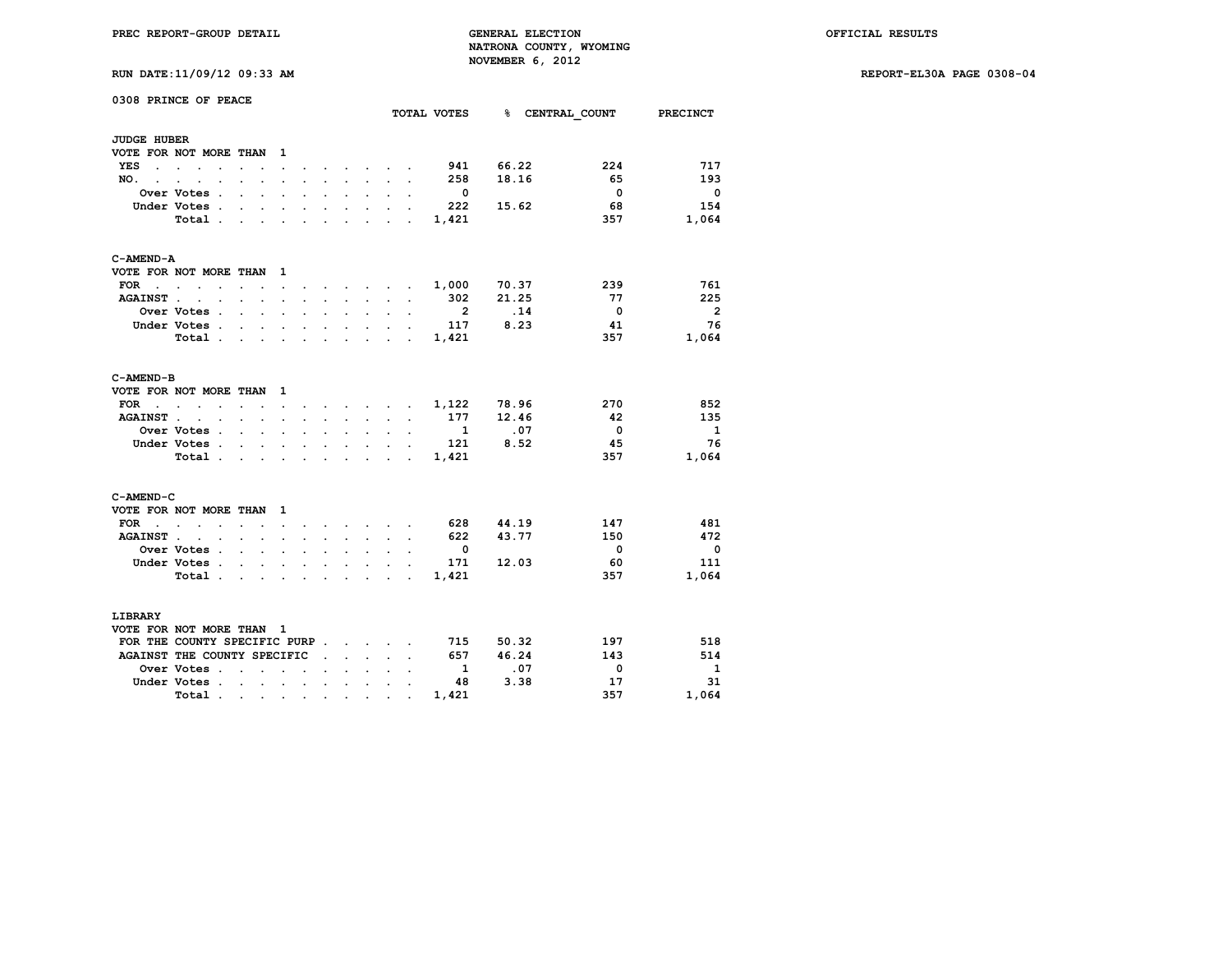**RUN DATE:11/09/12 09:33 AM REPORT-EL30A PAGE 0308-04**

| RUN DATE:11/09/12 09:33 AM |  |
|----------------------------|--|
|----------------------------|--|

|                                    | 0308 PRINCE OF PEACE                                    |                                                                                                                                                                                                                               |                                                                         |                      |                      |                      |                                                                                                  |                      |                                                                    |                          |                             |                         |                 |  |
|------------------------------------|---------------------------------------------------------|-------------------------------------------------------------------------------------------------------------------------------------------------------------------------------------------------------------------------------|-------------------------------------------------------------------------|----------------------|----------------------|----------------------|--------------------------------------------------------------------------------------------------|----------------------|--------------------------------------------------------------------|--------------------------|-----------------------------|-------------------------|-----------------|--|
|                                    |                                                         |                                                                                                                                                                                                                               |                                                                         |                      |                      |                      |                                                                                                  |                      |                                                                    |                          | TOTAL VOTES 8 CENTRAL COUNT |                         | <b>PRECINCT</b> |  |
| <b>JUDGE HUBER</b>                 |                                                         |                                                                                                                                                                                                                               |                                                                         |                      |                      |                      |                                                                                                  |                      |                                                                    |                          |                             |                         |                 |  |
|                                    | VOTE FOR NOT MORE THAN                                  |                                                                                                                                                                                                                               | 1                                                                       |                      |                      |                      |                                                                                                  |                      |                                                                    |                          |                             |                         |                 |  |
| YES<br>$\ddot{\phantom{a}}$        | $\sim$<br>$\ddot{\phantom{0}}$                          | $\ddot{\phantom{0}}$                                                                                                                                                                                                          | $\ddot{\phantom{0}}$                                                    |                      |                      |                      | $\mathbf{r} = \mathbf{r}$ and $\mathbf{r} = \mathbf{r}$                                          |                      |                                                                    | 941                      | 66.22                       | 224                     | 717             |  |
| NO.<br>$\sim$ $\sim$               | $\sim$<br>$\bullet$                                     | $\cdot$<br>$\ddot{\phantom{0}}$                                                                                                                                                                                               | $\ddot{\phantom{0}}$                                                    |                      |                      | $\sim$               |                                                                                                  | $\sim$ $\sim$ $\sim$ | $\cdot$                                                            | 258                      | 18.16                       | 65                      | 193             |  |
|                                    | Over Votes .                                            | $\ddot{\phantom{a}}$<br>$\ddot{\phantom{0}}$                                                                                                                                                                                  |                                                                         |                      |                      |                      | $\sim$                                                                                           |                      | $\ddot{\phantom{0}}$                                               | $\overline{\phantom{0}}$ |                             | $\overline{\mathbf{0}}$ | - 0             |  |
|                                    | Under Votes .                                           | $\overline{a}$                                                                                                                                                                                                                | $\sim$ $\sim$                                                           | $\sim$               | $\sim$               | $\sim$               | $\sim$                                                                                           | $\cdot$              |                                                                    | 222                      | 15.62                       | 68                      | 154             |  |
|                                    | Total .                                                 | $\sim$ $\sim$                                                                                                                                                                                                                 | $\sim$ $\sim$ $\sim$                                                    | $\sim$               | $\sim$               |                      | $\mathbf{r} = \mathbf{r} + \mathbf{r} + \mathbf{r} + \mathbf{r}$                                 |                      |                                                                    | 1,421                    |                             | 357                     | 1,064           |  |
| C-AMEND-A                          |                                                         |                                                                                                                                                                                                                               |                                                                         |                      |                      |                      |                                                                                                  |                      |                                                                    |                          |                             |                         |                 |  |
|                                    | VOTE FOR NOT MORE THAN                                  |                                                                                                                                                                                                                               | - 1                                                                     |                      |                      |                      |                                                                                                  |                      |                                                                    |                          |                             |                         |                 |  |
| <b>FOR</b><br>$\ddot{\phantom{a}}$ | $\sim$<br>$\bullet$<br>$\ddot{\phantom{a}}$             | $\cdot$<br>$\bullet$                                                                                                                                                                                                          | $\cdot$                                                                 |                      |                      |                      | and a state of the                                                                               |                      | $\ddot{\phantom{a}}$                                               | 1,000                    | 70.37                       | 239                     | 761             |  |
| <b>AGAINST</b> .                   | $\sim$<br>$\sim$                                        | $\mathbf{a} = \mathbf{a} \cdot \mathbf{a}$                                                                                                                                                                                    | $\sim$                                                                  | $\ddot{\phantom{a}}$ |                      | $\sim$               | $\sim$ 100 $\pm$                                                                                 |                      | $\ddot{\phantom{a}}$                                               | 302                      | 21.25                       | 77                      | 225             |  |
|                                    | Over Votes .                                            | $\ddot{\phantom{0}}$                                                                                                                                                                                                          | $\mathbf{L} = \mathbf{L}$                                               | $\mathbf{r}$         | $\mathbf{r}$         | $\ddot{\phantom{a}}$ | $\mathbf{r}$                                                                                     |                      |                                                                    | $\overline{\mathbf{2}}$  | .14                         | $\overline{\mathbf{0}}$ | - 2             |  |
|                                    | Under Votes .                                           | <b>Contract Contract</b>                                                                                                                                                                                                      | $\mathbf{a}^{\prime}$ , $\mathbf{a}^{\prime}$ , $\mathbf{a}^{\prime}$ , | $\ddot{\phantom{0}}$ | $\sim$               | $\bullet$            | $\sim$                                                                                           | $\bullet$            | $\ddot{\phantom{a}}$                                               | 117                      | 8.23                        | 41                      | 76              |  |
|                                    | Total.                                                  | $\sim$<br>$\ddot{\phantom{a}}$                                                                                                                                                                                                | $\sim$                                                                  | $\ddot{\phantom{a}}$ | $\cdot$              |                      |                                                                                                  | $\sim$ $\sim$        | $\sim$                                                             | 1,421                    |                             | 357                     | 1,064           |  |
| C-AMEND-B                          |                                                         |                                                                                                                                                                                                                               |                                                                         |                      |                      |                      |                                                                                                  |                      |                                                                    |                          |                             |                         |                 |  |
|                                    | VOTE FOR NOT MORE THAN                                  |                                                                                                                                                                                                                               | 1                                                                       |                      |                      |                      |                                                                                                  |                      |                                                                    |                          |                             |                         |                 |  |
| FOR<br>$\ddot{\phantom{a}}$        | $\ddot{\phantom{0}}$<br>$\ddot{\phantom{0}}$            | $\sim$                                                                                                                                                                                                                        | $\sim$                                                                  | $\ddot{\phantom{0}}$ | $\sim$               |                      | $\mathcal{L}^{\text{max}}$ , where $\mathcal{L}^{\text{max}}$ , where $\mathcal{L}^{\text{max}}$ |                      |                                                                    | 1,122                    | 78.96                       | 270                     | 852             |  |
| <b>AGAINST</b>                     | $\ddot{\phantom{a}}$<br>$\cdot$<br>$\ddot{\phantom{a}}$ |                                                                                                                                                                                                                               | $\sim$<br>$\mathbf{r}$                                                  | $\sim$               | $\mathbf{r}$         |                      | $\mathbf{r}$                                                                                     | $\sim$               |                                                                    | 177                      | 12.46                       | 42                      | 135             |  |
|                                    | Over Votes .                                            | $\ddot{\phantom{0}}$                                                                                                                                                                                                          | $\mathbf{L} = \mathbf{L}$                                               | $\ddot{\phantom{0}}$ | $\ddot{\phantom{0}}$ | $\sim$               | $\mathbf{L}^{\text{max}}$                                                                        | $\ddot{\phantom{0}}$ | $\ddot{\phantom{a}}$                                               | 1                        | .07                         | $\overline{\mathbf{0}}$ | 1               |  |
|                                    | Under Votes                                             |                                                                                                                                                                                                                               |                                                                         |                      |                      |                      | $\mathbf{r} = \mathbf{r} \cdot \mathbf{r}$ , where $\mathbf{r} = \mathbf{r} \cdot \mathbf{r}$    |                      |                                                                    | 121                      | 8.52                        | 45                      | 76              |  |
|                                    | Total .                                                 | $\sim$ $\sim$ $\sim$ $\sim$ $\sim$                                                                                                                                                                                            |                                                                         | $\sim$               |                      |                      | $\mathbf{r} = \mathbf{r}$ , $\mathbf{r} = \mathbf{r}$                                            |                      | $\sim$                                                             | 1,421                    |                             | 357                     | 1,064           |  |
| C-AMEND-C                          |                                                         |                                                                                                                                                                                                                               |                                                                         |                      |                      |                      |                                                                                                  |                      |                                                                    |                          |                             |                         |                 |  |
|                                    | VOTE FOR NOT MORE THAN                                  |                                                                                                                                                                                                                               | - 1                                                                     |                      |                      |                      |                                                                                                  |                      |                                                                    |                          |                             |                         |                 |  |
| FOR<br>$\sim$                      | $\sim$ $\sim$<br>$\sim$<br>$\ddot{\phantom{0}}$         | $\sim$<br>$\ddot{\phantom{a}}$                                                                                                                                                                                                | $\ddot{\phantom{0}}$                                                    |                      |                      | $\ddot{\phantom{0}}$ |                                                                                                  | $\sim$ $\sim$ $\sim$ |                                                                    | 628                      | 44.19                       | 147                     | 481             |  |
| <b>AGAINST.</b>                    | $\mathcal{L}^{\text{max}}$<br>$\bullet$                 | $\cdot$<br>$\ddot{\phantom{a}}$                                                                                                                                                                                               | $\ddot{\phantom{a}}$                                                    | $\cdot$              |                      | $\cdot$              | $\ddot{\phantom{0}}$                                                                             | $\ddot{\phantom{0}}$ | $\ddot{\phantom{a}}$                                               | 622                      | 43.77                       | 150                     | 472             |  |
|                                    | Over Votes .                                            | and the control of                                                                                                                                                                                                            |                                                                         | $\ddot{\phantom{a}}$ |                      | $\bullet$            | $\sim$                                                                                           |                      |                                                                    | $\overline{\phantom{0}}$ |                             | $\overline{\mathbf{0}}$ | - 0             |  |
|                                    | Under Votes.                                            | $\sim$                                                                                                                                                                                                                        | $\sim$ $\sim$                                                           | $\mathbf{r}$         | $\ddot{\phantom{a}}$ | $\sim$               | $\sim$                                                                                           | $\mathbb{Z}^2$       |                                                                    | 171                      | 12.03                       | 60                      | 111             |  |
|                                    | Total .                                                 | the contract of the contract of the                                                                                                                                                                                           |                                                                         |                      |                      |                      |                                                                                                  |                      | $\mathbf{r} = \mathbf{r} + \mathbf{r} + \mathbf{r} + \mathbf{r}$ . | 1,421                    |                             | 357                     | 1,064           |  |
| LIBRARY                            |                                                         |                                                                                                                                                                                                                               |                                                                         |                      |                      |                      |                                                                                                  |                      |                                                                    |                          |                             |                         |                 |  |
|                                    | VOTE FOR NOT MORE THAN                                  |                                                                                                                                                                                                                               | - 1                                                                     |                      |                      |                      |                                                                                                  |                      |                                                                    |                          |                             |                         |                 |  |
|                                    | FOR THE COUNTY SPECIFIC PURP.                           |                                                                                                                                                                                                                               |                                                                         |                      |                      |                      | <b>Contract Contract Contract</b>                                                                |                      |                                                                    | 715                      | 50.32                       | 197                     | 518             |  |
|                                    | AGAINST THE COUNTY SPECIFIC                             |                                                                                                                                                                                                                               |                                                                         |                      | $\ddot{\phantom{a}}$ |                      | $\cdot$ $\cdot$                                                                                  | $\mathbf{r}$         |                                                                    | 657                      | 46.24                       | 143                     | 514             |  |
|                                    | Over Votes .                                            | $\sim$<br>$\mathbf{r}$                                                                                                                                                                                                        | $\ddot{\phantom{a}}$                                                    | $\ddot{\phantom{a}}$ |                      |                      |                                                                                                  |                      |                                                                    | <sup>1</sup>             | .07                         | 0                       | $\mathbf{1}$    |  |
|                                    | Under Votes.                                            | <b>Contract Contract</b>                                                                                                                                                                                                      |                                                                         | $\blacksquare$       | $\ddot{\phantom{0}}$ | $\sim$               | $\sim$                                                                                           | $\ddot{\phantom{a}}$ |                                                                    | 48                       | 3.38                        | 17                      | 31              |  |
|                                    | Total.                                                  | . The contract of the contract of the contract of the contract of the contract of the contract of the contract of the contract of the contract of the contract of the contract of the contract of the contract of the contrac |                                                                         |                      |                      |                      | $\bullet$                                                                                        |                      |                                                                    | 1,421                    |                             | 357                     | 1,064           |  |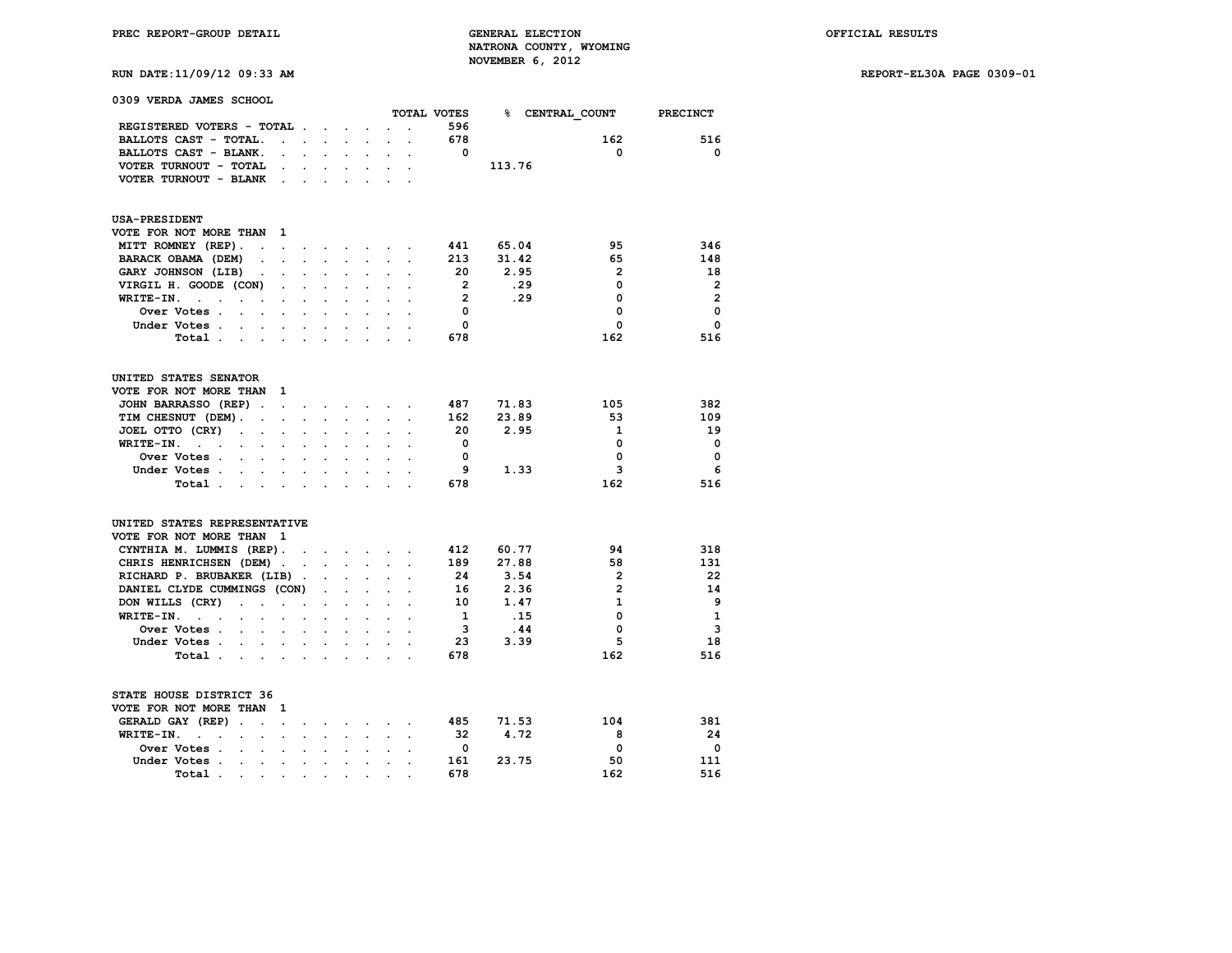**RUN DATE:11/09/12 09:33 AM REPORT-EL30A PAGE 0309-01**

| RUN DATE: 11/09/12 09:33 AM |  |
|-----------------------------|--|

| 0309 VERDA JAMES SCHOOL                                                                                         |                            |                                                           |                                                |                      |                      |                      |                         |        |                |                 |
|-----------------------------------------------------------------------------------------------------------------|----------------------------|-----------------------------------------------------------|------------------------------------------------|----------------------|----------------------|----------------------|-------------------------|--------|----------------|-----------------|
|                                                                                                                 |                            |                                                           |                                                |                      |                      |                      | TOTAL VOTES             | $\sim$ | CENTRAL COUNT  | <b>PRECINCT</b> |
| REGISTERED VOTERS - TOTAL.                                                                                      |                            |                                                           | $\sim$ $\sim$ $\sim$                           |                      |                      |                      | 596                     |        |                |                 |
| BALLOTS CAST - TOTAL.<br>$\ddot{\phantom{a}}$                                                                   | $\ddot{\phantom{a}}$       | $\sim$                                                    | $\ddot{\phantom{a}}$                           | $\ddot{\phantom{0}}$ | $\overline{a}$       | $\ddot{\phantom{a}}$ | 678                     |        | 162            | 516             |
| BALLOTS CAST - BLANK.                                                                                           | $\mathbf{L}$               |                                                           |                                                |                      |                      |                      | $\mathbf 0$             |        | 0              | 0               |
| VOTER TURNOUT - TOTAL<br>$\bullet$                                                                              | $\sim$                     | $\ddot{\phantom{0}}$                                      | $\ddot{\phantom{a}}$                           | $\bullet$ .          | $\bullet$            | $\cdot$              |                         | 113.76 |                |                 |
| VOTER TURNOUT - BLANK                                                                                           | $\mathcal{L}^{\text{max}}$ | $\sim 10^{-1}$                                            |                                                |                      |                      |                      |                         |        |                |                 |
| <b>USA-PRESIDENT</b>                                                                                            |                            |                                                           |                                                |                      |                      |                      |                         |        |                |                 |
| VOTE FOR NOT MORE THAN<br>1                                                                                     |                            |                                                           |                                                |                      |                      |                      |                         |        |                |                 |
| MITT ROMNEY (REP).<br>$\ddot{\phantom{0}}$<br>$\blacksquare$                                                    |                            | $\ddot{\phantom{0}}$                                      |                                                |                      | $\sim$ $\sim$        |                      | 441                     | 65.04  | 95             | 346             |
| BARACK OBAMA (DEM)<br>$\ddot{\phantom{0}}$                                                                      | $\ddot{\phantom{0}}$       | $\ddot{\phantom{0}}$                                      | $\ddot{\phantom{a}}$                           | $\ddot{\phantom{0}}$ | $\ddot{\phantom{0}}$ | $\ddot{\phantom{a}}$ | 213                     | 31.42  | 65             | 148             |
| GARY JOHNSON (LIB)                                                                                              |                            |                                                           |                                                |                      |                      |                      | -20                     | 2.95   | $\overline{2}$ | 18              |
| VIRGIL H. GOODE (CON)                                                                                           |                            | $\cdot$                                                   |                                                | $\ddot{\phantom{0}}$ |                      |                      | $\overline{\mathbf{2}}$ | .29    | 0              | $\overline{2}$  |
| WRITE-IN.<br>$\ddot{\phantom{a}}$<br>$\ddot{\phantom{a}}$                                                       |                            |                                                           |                                                |                      |                      |                      | $\overline{2}$          | .29    | $\mathbf 0$    | $\overline{2}$  |
| Over Votes .<br>$\ddot{\phantom{0}}$<br>$\ddot{\phantom{a}}$<br>$\ddot{\phantom{a}}$                            | $\cdot$                    |                                                           |                                                |                      |                      |                      | 0                       |        | 0              | $\mathbf 0$     |
| Under Votes.                                                                                                    |                            |                                                           |                                                |                      | $\ddot{\phantom{a}}$ |                      | 0                       |        | 0              | 0               |
| <b>Contract Contract</b><br>$\bullet$<br>Total .                                                                | $\bullet$                  | $\ddot{\phantom{0}}$                                      | $\bullet$                                      | $\bullet$            |                      |                      | 678                     |        | 162            | 516             |
| $\sim$<br>$\sim$                                                                                                |                            |                                                           |                                                |                      |                      |                      |                         |        |                |                 |
| UNITED STATES SENATOR                                                                                           |                            |                                                           |                                                |                      |                      |                      |                         |        |                |                 |
| VOTE FOR NOT MORE THAN<br>1                                                                                     |                            |                                                           |                                                |                      |                      |                      |                         |        |                |                 |
| JOHN BARRASSO (REP).<br>$\mathbf{r}$                                                                            | $\sim$                     |                                                           |                                                |                      |                      |                      | 487                     | 71.83  | 105            | 382             |
| TIM CHESNUT (DEM).<br>$\ddot{\phantom{a}}$<br>$\ddot{\phantom{0}}$                                              | $\ddot{\phantom{a}}$       | $\ddot{\phantom{a}}$                                      | $\overline{a}$                                 | $\sim$               | $\ddot{\phantom{0}}$ | $\ddot{\phantom{a}}$ | 162                     | 23.89  | 53             | 109             |
| JOEL OTTO (CRY)<br>$\sim$<br>$\ddot{\phantom{a}}$                                                               |                            |                                                           |                                                |                      |                      |                      | 20                      | 2.95   | 1              | 19              |
| WRITE-IN.<br>$\mathcal{L}^{\text{max}}$<br>$\ddot{\phantom{0}}$<br>$\ddot{\phantom{a}}$<br>$\ddot{\phantom{0}}$ | $\ddot{\phantom{a}}$       | $\cdot$                                                   | $\ddot{\phantom{a}}$                           | $\ddot{\phantom{a}}$ | $\ddot{\phantom{a}}$ |                      | 0                       |        | 0              | $\mathbf 0$     |
| Over Votes.                                                                                                     |                            |                                                           |                                                |                      |                      |                      | 0                       |        | 0              | $\mathbf 0$     |
| Under Votes<br>$\ddot{\phantom{0}}$                                                                             | $\bullet$                  | $\bullet$                                                 | $\bullet$                                      | $\ddot{\phantom{0}}$ | $\ddot{\phantom{0}}$ |                      | 9                       | 1.33   | 3              | 6               |
| Total.<br><b>Contract Contract Contract</b><br>$\sim$                                                           | $\mathbf{r}$               | $\sim$                                                    | $\cdot$                                        |                      |                      |                      | 678                     |        | 162            | 516             |
| UNITED STATES REPRESENTATIVE                                                                                    |                            |                                                           |                                                |                      |                      |                      |                         |        |                |                 |
| VOTE FOR NOT MORE THAN<br>1                                                                                     |                            |                                                           |                                                |                      |                      |                      |                         |        |                |                 |
| CYNTHIA M. LUMMIS (REP).                                                                                        |                            |                                                           | $\mathbf{r}$ and $\mathbf{r}$ and $\mathbf{r}$ |                      |                      |                      | 412                     | 60.77  | 94             | 318             |
| CHRIS HENRICHSEN (DEM).                                                                                         | $\blacksquare$             | $\sim$                                                    | $\ddot{\phantom{0}}$                           | $\sim$               | $\sim$               | $\ddot{\phantom{a}}$ | 189                     | 27.88  | 58             | 131             |
| RICHARD P. BRUBAKER (LIB).                                                                                      |                            |                                                           |                                                |                      |                      |                      | 24                      | 3.54   | $\overline{2}$ | 22              |
| DANIEL CLYDE CUMMINGS (CON)                                                                                     |                            | $\ddot{\phantom{0}}$                                      | $\ddot{\phantom{0}}$                           | $\ddot{\phantom{a}}$ |                      |                      | 16                      | 2.36   | $\overline{2}$ | 14              |
| DON WILLS (CRY)<br>$\sim$                                                                                       |                            |                                                           |                                                |                      |                      |                      | 10                      | 1.47   | $\mathbf{1}$   | 9               |
| WRITE-IN.<br>$\sim$ $\sim$ $\sim$<br>$\sim$                                                                     |                            |                                                           |                                                |                      |                      |                      | 1                       | .15    | 0              | $\mathbf{1}$    |
| Over Votes .<br>$\ddot{\phantom{0}}$<br>$\ddot{\phantom{a}}$<br>$\overline{a}$                                  | $\ddot{\phantom{a}}$       | $\ddot{\phantom{a}}$                                      | $\overline{a}$                                 | $\cdot$              | $\overline{a}$       |                      | 3                       | .44    | 0              | 3               |
| Under Votes                                                                                                     |                            |                                                           |                                                |                      |                      |                      | 23                      | 3.39   | 5              | 18              |
| $\ddot{\phantom{0}}$                                                                                            | $\ddot{\phantom{0}}$       | $\ddot{\phantom{0}}$                                      |                                                | $\ddot{\phantom{0}}$ |                      |                      |                         |        |                |                 |
| Total .<br>and the state of the state of                                                                        |                            | $\sim$ $\sim$ $\sim$                                      | $\ddot{\phantom{0}}$                           | $\ddot{\phantom{a}}$ | $\overline{a}$       |                      | 678                     |        | 162            | 516             |
| STATE HOUSE DISTRICT 36                                                                                         |                            |                                                           |                                                |                      |                      |                      |                         |        |                |                 |
| VOTE FOR NOT MORE THAN<br>1                                                                                     |                            |                                                           |                                                |                      |                      |                      |                         |        |                |                 |
| GERALD GAY (REP)<br>$\ddot{\phantom{1}}$<br>$\ddot{\phantom{a}}$<br>$\ddot{\phantom{a}}$                        |                            |                                                           |                                                | $\ddot{\phantom{0}}$ |                      |                      | 485                     | 71.53  | 104            | 381             |
| WRITE-IN.<br>$\ddot{\phantom{a}}$<br>$\ddot{\phantom{a}}$<br>$\ddot{\phantom{a}}$<br>$\ddot{\phantom{0}}$       |                            |                                                           |                                                |                      |                      |                      | 32                      | 4.72   | 8              | 24              |
| Over Votes .<br>$\ddot{\phantom{0}}$<br>$\ddot{\phantom{a}}$<br>$\ddot{\phantom{a}}$                            | $\ddot{\phantom{a}}$       | $\ddot{\phantom{0}}$                                      | $\ddot{\phantom{a}}$                           | $\ddot{\phantom{0}}$ | $\ddot{\phantom{a}}$ | $\ddot{\phantom{a}}$ | 0                       |        | 0              | 0               |
| Under Votes .<br>$\ddot{\phantom{a}}$<br>$\cdot$<br>$\cdot$                                                     | $\cdot$                    | $\ddot{\phantom{a}}$                                      |                                                |                      |                      |                      | 161                     | 23.75  | 50             | 111             |
| Total.<br><b>Contract Contract</b><br>$\bullet$ .<br><br><br><br><br><br>                                       |                            | $\bullet$ , and $\bullet$ , and $\bullet$ , and $\bullet$ |                                                |                      |                      |                      | 678                     |        | 162            | 516             |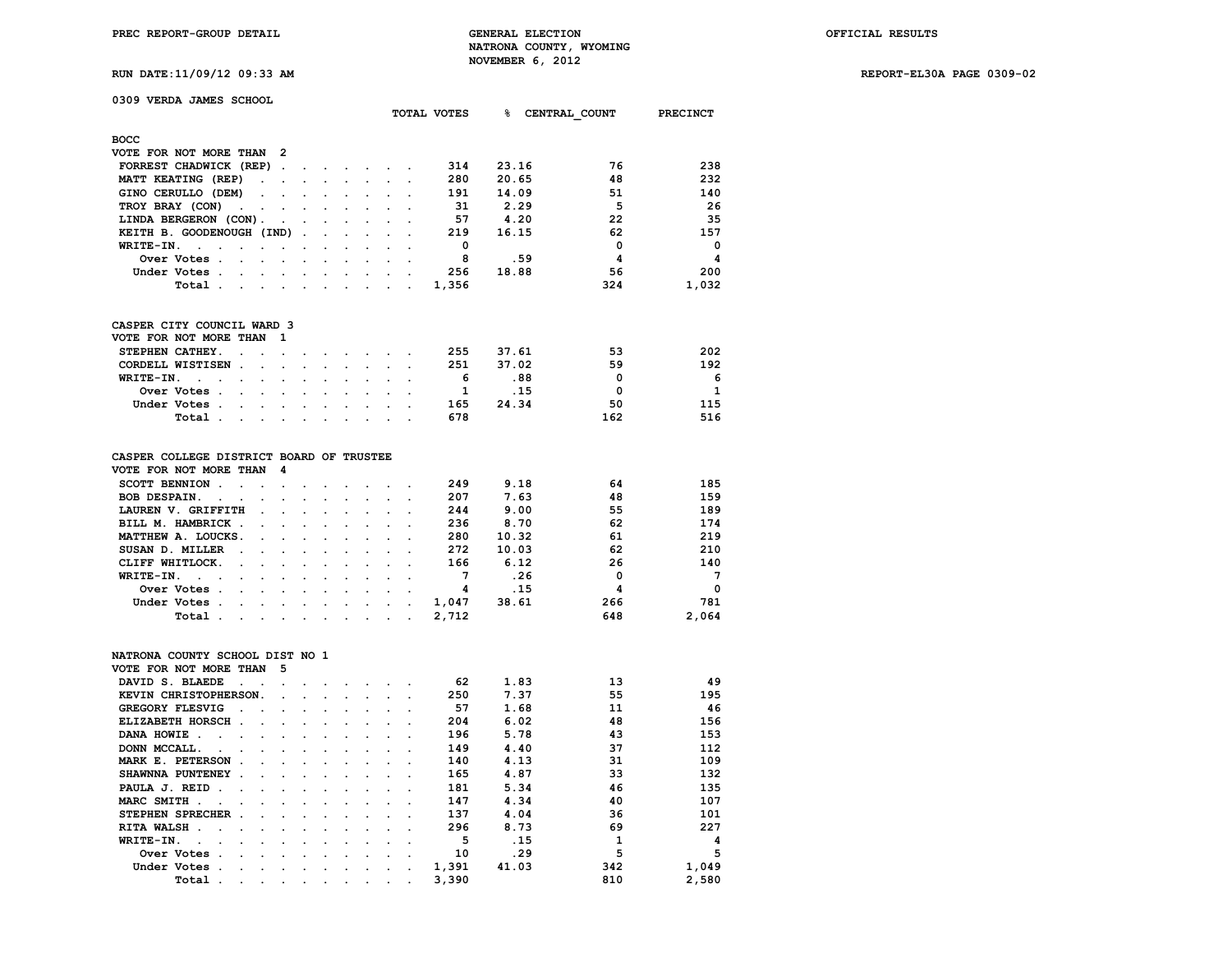**0309 VERDA JAMES SCHOOL**

**PREC REPORT-GROUP DETAIL GENERAL ELECTION OFFICIAL RESULTS NATRONA COUNTY, WYOMING NOVEMBER 6, 2012**

**RUN DATE:11/09/12 09:33 AM REPORT-EL30A PAGE 0309-02**

|                                                   |        |                      |                          |                      |                 | TOTAL VOTES | ៖     | CENTRAL COUNT | <b>PRECINCT</b> |
|---------------------------------------------------|--------|----------------------|--------------------------|----------------------|-----------------|-------------|-------|---------------|-----------------|
| <b>BOCC</b>                                       |        |                      |                          |                      |                 |             |       |               |                 |
| VOTE FOR NOT MORE THAN 2                          |        |                      |                          |                      |                 |             |       |               |                 |
| FORREST CHADWICK (REP).                           | $\sim$ |                      | $\sim$                   | $\sim$ $\sim$ $\sim$ |                 | 314         | 23.16 | 76            | 238             |
| MATT KEATING (REP)<br>$\ddot{\phantom{0}}$        |        | $\ddot{\phantom{0}}$ | $\bullet$                | $\sim$ $\sim$        |                 | 280         | 20.65 | 48            | 232             |
| GINO CERULLO (DEM)<br>$\sim$                      |        |                      |                          |                      |                 | 191         | 14.09 | 51            | 140             |
| TROY BRAY (CON)<br>$\sim$ $\sim$ $\sim$<br>$\sim$ |        |                      | $\cdot$                  |                      |                 | 31          | 2.29  | 5             | 26              |
| LINDA BERGERON (CON).<br>$\sim$                   | $\sim$ | $\cdot$              |                          |                      |                 | 57          | 4.20  | 22            | 35              |
| KEITH B. GOODENOUGH (IND).                        |        | $\ddot{\phantom{a}}$ | $\overline{\phantom{a}}$ |                      |                 | 219         | 16.15 | 62            | 157             |
| WRITE-IN.<br>$\sim$<br>$\sim$                     |        |                      |                          |                      |                 | 0           |       | 0             | $\Omega$        |
| Over Votes.<br>$\sim$<br>$\sim$<br>$\sim$         |        |                      |                          |                      |                 | 8           | .59   | 4             | 4               |
| Under Votes.<br>$\ddot{\phantom{a}}$              |        |                      |                          | $\cdot$              |                 | 256         | 18.88 | 56            | 200             |
| Total.<br>$\sim$ $\sim$                           |        |                      |                          | $\cdot$              | $\cdot$ $\cdot$ | 1,356       |       | 324           | 1,032           |
| CASPER CITY COUNCIL WARD 3                        |        |                      |                          |                      |                 |             |       |               |                 |
| VOTE FOR NOT MORE THAN<br>- 1                     |        |                      |                          |                      |                 |             |       |               |                 |
|                                                   |        |                      |                          |                      |                 |             |       |               |                 |
| STEPHEN CATHEY.                                   |        |                      |                          |                      |                 | 255         | 37.61 | 53            | 202             |

| CORDELL WISTISEN |             |  |  |  |  |  | 251 | 37.02 | 59  | 192 |
|------------------|-------------|--|--|--|--|--|-----|-------|-----|-----|
| WRITE-IN.        |             |  |  |  |  |  |     | . 88  |     | -6  |
|                  | Over Votes  |  |  |  |  |  |     |       |     |     |
|                  | Under Votes |  |  |  |  |  | 165 | 24.34 | 50  | 115 |
|                  | Total       |  |  |  |  |  | 678 |       | 162 | 516 |
|                  |             |  |  |  |  |  |     |       |     |     |

| CASPER COLLEGE DISTRICT BOARD OF TRUSTEE |  |  |
|------------------------------------------|--|--|
|------------------------------------------|--|--|

| VOTE FOR NOT MORE THAN 4                                                                                                        |  |  |  |       |       |          |                |
|---------------------------------------------------------------------------------------------------------------------------------|--|--|--|-------|-------|----------|----------------|
| SCOTT BENNION                                                                                                                   |  |  |  | 249   | 9.18  | 64       | 185            |
| BOB DESPAIN.                                                                                                                    |  |  |  | 207   | 7.63  | 48       | 159            |
| LAUREN V. GRIFFITH                                                                                                              |  |  |  | 244   | 9.00  | 55       | 189            |
| BILL M. HAMBRICK                                                                                                                |  |  |  | 236   | 8.70  | 62       | 174            |
| MATTHEW A. LOUCKS.                                                                                                              |  |  |  | 280   | 10.32 | 61       | 219            |
| SUSAN D. MILLER                                                                                                                 |  |  |  | 272   | 10.03 | 62       | 210            |
| CLIFF WHITLOCK.                                                                                                                 |  |  |  | 166   | 6.12  | 26       | 140            |
| WRITE-IN.                                                                                                                       |  |  |  |       | .26   | $\Omega$ | $\overline{7}$ |
| Over Votes                                                                                                                      |  |  |  |       | .15   |          | $\Omega$       |
| Under Votes.<br>the contract of the contract of the contract of the contract of the contract of the contract of the contract of |  |  |  | 1,047 | 38.61 | 266      | 781            |
| Total .<br>the contract of the contract of the contract of the contract of the contract of the contract of the contract of      |  |  |  | 2,712 |       | 648      | 2,064          |
|                                                                                                                                 |  |  |  |       |       |          |                |

## **NATRONA COUNTY SCHOOL DIST NO 1**

| VOTE FOR NOT MORE THAN                                                                                                         |                   |        | -5                                                                                                              |                                 |                      |                                                                                                                                                                                                                                |                                     |         |       |       |     |       |
|--------------------------------------------------------------------------------------------------------------------------------|-------------------|--------|-----------------------------------------------------------------------------------------------------------------|---------------------------------|----------------------|--------------------------------------------------------------------------------------------------------------------------------------------------------------------------------------------------------------------------------|-------------------------------------|---------|-------|-------|-----|-------|
| DAVID S. BLAEDE                                                                                                                | $\sim$ 100 $\sim$ |        |                                                                                                                 |                                 |                      |                                                                                                                                                                                                                                |                                     |         | 62    | 1.83  | 13  | 49    |
| KEVIN CHRISTOPHERSON.                                                                                                          |                   |        | $\sim$ $\sim$                                                                                                   |                                 |                      | $\sim$                                                                                                                                                                                                                         |                                     |         | 250   | 7.37  | 55  | 195   |
| <b>GREGORY FLESVIG</b>                                                                                                         | $\sim$<br>$\sim$  |        | $\sim$                                                                                                          |                                 |                      | and the contract of the contract of the contract of the contract of the contract of the contract of the contract of the contract of the contract of the contract of the contract of the contract of the contract of the contra |                                     |         | 57    | 1.68  | 11  | 46    |
| ELIZABETH HORSCH.                                                                                                              |                   |        |                                                                                                                 |                                 |                      | the contract of the contract of the contract of the contract of the contract of the contract of the contract of                                                                                                                |                                     |         | 204   | 6.02  | 48  | 156   |
| DANA HOWIE.<br>the contract of the contract of the contract of the contract of the contract of the contract of the contract of |                   |        |                                                                                                                 |                                 |                      |                                                                                                                                                                                                                                |                                     |         | 196   | 5.78  | 43  | 153   |
| DONN MCCALL.<br>$\sim$ $\sim$ $\sim$                                                                                           |                   |        | $\sim$                                                                                                          | <b>Contract Contract Street</b> |                      | $\sim$                                                                                                                                                                                                                         | $\ddot{\phantom{a}}$                |         | 149   | 4.40  | 37  | 112   |
| MARK E. PETERSON                                                                                                               | $\sim$            | $\sim$ | $\sim$                                                                                                          | <b>Contract Contract</b>        |                      | the company of the company                                                                                                                                                                                                     |                                     |         | 140   | 4.13  | 31  | 109   |
| SHAWNNA PUNTENEY.                                                                                                              | $\sim$            |        |                                                                                                                 |                                 |                      |                                                                                                                                                                                                                                |                                     |         | 165   | 4.87  | 33  | 132   |
| PAULA J. REID.                                                                                                                 |                   |        |                                                                                                                 |                                 |                      | the company of the company of the company of the company of the company of the company of the company of the company of the company of the company of the company of the company of the company of the company of the company  |                                     |         | 181   | 5.34  | 46  | 135   |
| MARC SMITH                                                                                                                     |                   |        |                                                                                                                 |                                 |                      | the contract of the contract of the contract of the contract of the contract of the contract of the contract of                                                                                                                |                                     |         | 147   | 4.34  | 40  | 107   |
| STEPHEN SPRECHER.                                                                                                              | $\sim$            |        | $\sim$                                                                                                          | $\sim$ $\sim$ $\sim$            |                      | $\sim$                                                                                                                                                                                                                         | $\sim$                              |         | 137   | 4.04  | 36  | 101   |
| RITA WALSH.<br><b>Contract Contract Street</b>                                                                                 | $\sim$            |        | the contract of the contract of the                                                                             |                                 |                      | $\sim$ 100 $\mu$                                                                                                                                                                                                               | $\sim$ $\sim$                       |         | 296   | 8.73  | 69  | 227   |
| WRITE-IN.<br>$\sim$                                                                                                            | $\sim$            |        | $\sim$ $\sim$                                                                                                   |                                 | $\sim$               | $\sim$                                                                                                                                                                                                                         | $\sim$ $\sim$                       |         | 5     | .15   |     | 4     |
| Over Votes.                                                                                                                    | $\sim$<br>$\sim$  |        | $\sim$ $\sim$ $\sim$                                                                                            |                                 | $\sim$ $\sim$ $\sim$ |                                                                                                                                                                                                                                | $\sim$ $\sim$                       |         | 10    | .29   | 5   | 5     |
| Under Votes                                                                                                                    |                   |        |                                                                                                                 |                                 |                      |                                                                                                                                                                                                                                | and the contract of the contract of | $\cdot$ | 1,391 | 41.03 | 342 | 1,049 |
| Total.                                                                                                                         | $\sim$<br>$\sim$  |        | and the state of the state of the state of the state of the state of the state of the state of the state of the |                                 |                      | $\sim$                                                                                                                                                                                                                         | $\sim$                              |         | 3,390 |       | 810 | 2,580 |
|                                                                                                                                |                   |        |                                                                                                                 |                                 |                      |                                                                                                                                                                                                                                |                                     |         |       |       |     |       |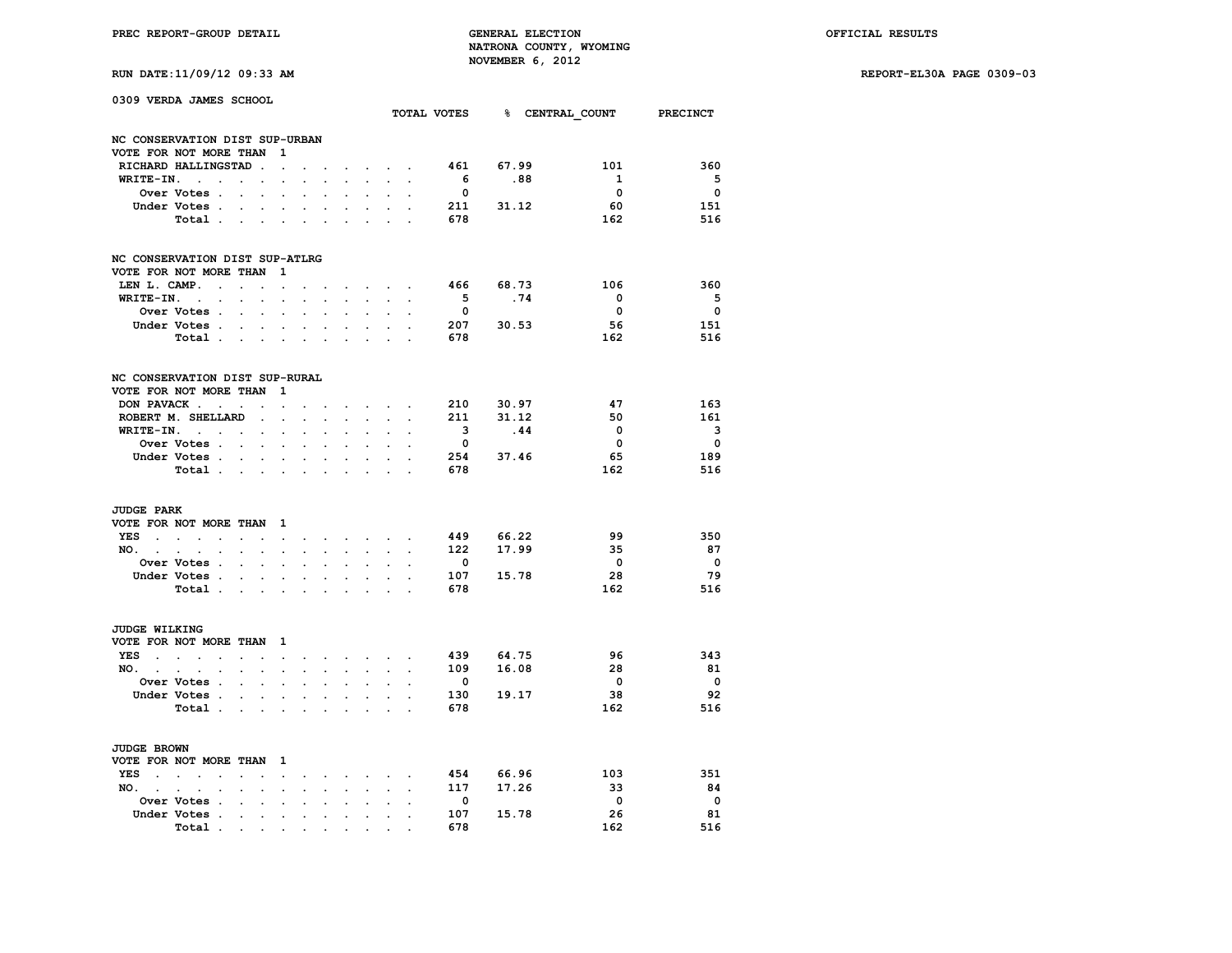**RUN DATE:11/09/12 09:33 AM REPORT-EL30A PAGE 0309-03**

|  | RUN DATE:11/09/12 09:33 AM |  |  |  |  |
|--|----------------------------|--|--|--|--|
|--|----------------------------|--|--|--|--|

|                   | 0309 VERDA JAMES SCHOOL         |                            |                                        |                          |                      |                      |                             |                                                             |                                                     |                                            |                          | TOTAL VOTES 8 CENTRAL COUNT PRECINCT |                         |                          |
|-------------------|---------------------------------|----------------------------|----------------------------------------|--------------------------|----------------------|----------------------|-----------------------------|-------------------------------------------------------------|-----------------------------------------------------|--------------------------------------------|--------------------------|--------------------------------------|-------------------------|--------------------------|
|                   |                                 |                            |                                        |                          |                      |                      |                             |                                                             |                                                     |                                            |                          |                                      |                         |                          |
|                   | NC CONSERVATION DIST SUP-URBAN  |                            |                                        |                          |                      |                      |                             |                                                             |                                                     |                                            |                          |                                      |                         |                          |
|                   | VOTE FOR NOT MORE THAN          |                            |                                        | $\mathbf{1}$             |                      |                      |                             |                                                             |                                                     |                                            |                          |                                      |                         |                          |
|                   | RICHARD HALLINGSTAD.            |                            |                                        | $\sim$ $-$               | $\ddot{\phantom{0}}$ |                      | $\ddot{\phantom{0}}$        |                                                             | $\mathbf{r} = \mathbf{r} + \mathbf{r} + \mathbf{r}$ |                                            |                          | 461 67.99                            | 101                     | 360                      |
|                   | $WRITE-IN.$                     | $\bullet$                  |                                        |                          |                      |                      |                             |                                                             | $\mathcal{L}^{\text{max}}$                          | $\sim$                                     | 6 <sup>6</sup>           | .88                                  | $\mathbf{1}$            | $5^{\circ}$              |
|                   | <b>Over Votes .</b>             | $\sim$                     | $\sim$                                 |                          | $\ddot{\phantom{a}}$ |                      |                             |                                                             |                                                     |                                            | $\overline{\mathbf{0}}$  |                                      | $\overline{\mathbf{0}}$ | $\overline{\mathbf{0}}$  |
|                   | Under Votes.                    |                            |                                        | the contract of the con- | $\ddot{\phantom{a}}$ | $\cdot$              | $\cdot$                     | $\ddot{\phantom{0}}$                                        |                                                     | $\sim$ $\sim$                              | 211                      | 31.12                                | - 60                    | 151                      |
|                   | Total                           |                            |                                        |                          |                      |                      |                             |                                                             | $\mathbf{L}$                                        |                                            | 678                      |                                      | 162                     | 516                      |
|                   | NC CONSERVATION DIST SUP-ATLRG  |                            |                                        |                          |                      |                      |                             |                                                             |                                                     |                                            |                          |                                      |                         |                          |
|                   | VOTE FOR NOT MORE THAN 1        |                            |                                        |                          |                      |                      |                             |                                                             |                                                     |                                            |                          |                                      |                         |                          |
| LEN L. CAMP.      | the contract of the contract of |                            |                                        |                          |                      |                      |                             | the contract of the contract of                             |                                                     |                                            | 466                      | 68.73                                | 106                     | 360                      |
| WRITE-IN. .       | $\ddot{\phantom{0}}$            | $\sim$                     |                                        | $\mathbf{r}$             |                      |                      |                             |                                                             |                                                     |                                            | 5 <sub>5</sub>           | .74                                  | $\overline{\mathbf{0}}$ | $5^{\circ}$              |
|                   | <b>Over Votes</b>               |                            | $\sim$                                 |                          | $\mathbf{r}$         |                      |                             |                                                             |                                                     |                                            | $\bullet$                |                                      | $\overline{\mathbf{0}}$ | $\overline{\mathbf{0}}$  |
|                   | Under Votes                     |                            |                                        |                          |                      | $\sim$ $\sim$        | $\ddot{\phantom{0}}$        | $\bullet$ .                                                 |                                                     | $\mathbf{r} = \mathbf{r} \cdot \mathbf{r}$ | 207                      | 30.53                                | 56                      | 151                      |
|                   | Total                           |                            |                                        |                          |                      |                      |                             |                                                             |                                                     |                                            | 678                      |                                      | 162                     | 516                      |
|                   |                                 |                            |                                        |                          |                      |                      |                             |                                                             |                                                     |                                            |                          |                                      |                         |                          |
|                   | NC CONSERVATION DIST SUP-RURAL  |                            |                                        |                          |                      |                      |                             |                                                             |                                                     |                                            |                          |                                      |                         |                          |
|                   | VOTE FOR NOT MORE THAN          |                            |                                        | $\mathbf{1}$             |                      |                      |                             |                                                             |                                                     |                                            |                          |                                      |                         |                          |
| DON PAVACK.       | $\sim 10^{-10}$ $\sim$          |                            |                                        |                          |                      |                      |                             | <b>Contract Contract</b>                                    |                                                     |                                            |                          | 210 30.97                            | 47                      | 163                      |
|                   | ROBERT M. SHELLARD              |                            | $\sim$                                 |                          |                      |                      |                             |                                                             |                                                     |                                            | 211                      | 31.12                                | 50                      | 161                      |
|                   | WRITE-IN.                       |                            | $\sim$                                 | $\ddot{\phantom{a}}$     | $\ddot{\phantom{a}}$ | $\overline{a}$       | $\sim$                      | $\ddot{\phantom{0}}$                                        | $\mathbf{r}$                                        | $\ddot{\phantom{a}}$                       | $\overline{\mathbf{3}}$  | .44                                  | $\mathbf{0}$            | $\overline{\mathbf{3}}$  |
|                   | <b>Over Votes</b>               |                            |                                        |                          |                      |                      |                             | $\ddot{\phantom{a}}$                                        |                                                     |                                            | $\overline{\mathbf{0}}$  |                                      | $\overline{\mathbf{0}}$ | $\overline{\mathbf{0}}$  |
|                   | Under Votes                     |                            |                                        |                          | $\ddot{\phantom{0}}$ |                      | $\ddot{\phantom{0}}$        |                                                             |                                                     |                                            |                          | 254 37.46                            | 65                      | 189                      |
|                   | Total                           |                            |                                        | $\ddot{\phantom{a}}$     | $\ddot{\phantom{a}}$ | $\cdot$              | $\cdot$                     | s.                                                          | $\ddot{\phantom{a}}$                                |                                            | 678                      |                                      | 162                     | 516                      |
| <b>JUDGE PARK</b> |                                 |                            |                                        |                          |                      |                      |                             |                                                             |                                                     |                                            |                          |                                      |                         |                          |
|                   | VOTE FOR NOT MORE THAN 1        |                            |                                        |                          |                      |                      |                             |                                                             |                                                     |                                            |                          |                                      |                         |                          |
|                   | YES                             | $\ddot{\phantom{a}}$       | $\sim$                                 | $\sim$                   | $\cdot$              | $\sim$               |                             | the contract of the contract of                             |                                                     |                                            | 449                      | 66.22                                | 99                      | 350                      |
| NO.               | $\sim$                          | $\mathcal{L}^{\text{max}}$ | $\bullet$ .                            | $\bullet$                | $\ddot{\phantom{0}}$ | $\ddot{\phantom{0}}$ | $\ddot{\phantom{0}}$        | $\ddot{\phantom{0}}$                                        | $\mathbf{L}^{\text{max}}$                           | $\sim$                                     |                          | 122 17.99                            | -35                     | 87                       |
|                   | Over Votes                      |                            |                                        |                          |                      |                      |                             | $\ddot{\phantom{0}}$                                        |                                                     |                                            | $\mathbf 0$              |                                      | $\overline{\mathbf{0}}$ | $\overline{\phantom{0}}$ |
|                   | Under Votes                     |                            | $\sim$                                 |                          | $\sim$               |                      | $\ddot{\phantom{0}}$        | $\ddot{\phantom{0}}$                                        |                                                     |                                            | 107                      | 15.78                                | 28                      | 79                       |
|                   | Total                           |                            |                                        | $\bullet$                | $\cdot$              | $\ddot{\phantom{a}}$ | $\cdot$                     | $\ddot{\phantom{0}}$                                        | $\ddot{\phantom{a}}$                                |                                            | 678                      |                                      | 162                     | 516                      |
|                   |                                 |                            |                                        |                          |                      |                      |                             |                                                             |                                                     |                                            |                          |                                      |                         |                          |
| JUDGE WILKING     |                                 |                            |                                        |                          |                      |                      |                             |                                                             |                                                     |                                            |                          |                                      |                         |                          |
|                   | VOTE FOR NOT MORE THAN 1        |                            |                                        |                          |                      |                      |                             |                                                             |                                                     |                                            |                          |                                      |                         |                          |
| YES               | $\sim$                          |                            | $\mathbf{z} = \mathbf{z} + \mathbf{z}$ | $\sim$ 100 $\pm$         | $\ddot{\phantom{0}}$ | $\bullet$            |                             | and the state of the state of the                           |                                                     |                                            | 439                      | 64.75                                | 96                      | 343                      |
| NO.               | $\sim$                          | $\mathcal{L}^{\text{max}}$ | $\sim$                                 | $\bullet$                | $\ddot{\phantom{0}}$ | $\ddot{\phantom{0}}$ | $\ddot{\phantom{0}}$        | $\sim$                                                      | $\sim$                                              | $\blacksquare$                             |                          | 109 16.08                            | 28                      | 81                       |
|                   | <b>Over Votes</b>               |                            |                                        |                          |                      |                      |                             |                                                             | $\mathbf{L}$                                        |                                            | $\overline{\mathbf{0}}$  |                                      | $\overline{\mathbf{0}}$ | $\overline{\mathbf{0}}$  |
|                   | Under Votes                     |                            |                                        |                          | $\ddot{\phantom{0}}$ | $\ddot{\phantom{0}}$ | $\sim$                      | $\ddot{\phantom{0}}$                                        | $\sim$                                              | $\ddot{\phantom{a}}$                       | 130                      | 19.17                                | 38                      | 92                       |
|                   | Total                           |                            |                                        | $\bullet$                |                      |                      |                             | $\ddot{\phantom{0}}$                                        | $\ddot{\phantom{a}}$                                |                                            | 678                      |                                      | 162                     | 516                      |
| JUDGE BROWN       |                                 |                            |                                        |                          |                      |                      |                             |                                                             |                                                     |                                            |                          |                                      |                         |                          |
|                   | VOTE FOR NOT MORE THAN 1        |                            |                                        |                          |                      |                      |                             |                                                             |                                                     |                                            |                          |                                      |                         |                          |
|                   | YES                             | $\sim$                     | $\sim$                                 | $\sim$                   | $\ddot{\phantom{0}}$ |                      | <b>All Card Corporation</b> | $\bullet$ .<br><br><br><br><br><br><br><br><br><br><br><br> | $\bullet$ .                                         | $\ddot{\phantom{a}}$                       | 454                      | 66.96                                | 103                     | 351                      |
| $NO.$ $.$ $.$ $.$ | $\ddot{\phantom{0}}$            | $\ddot{\phantom{a}}$       | $\sim$                                 | $\bullet$                | $\ddot{\phantom{0}}$ | $\ddot{\phantom{0}}$ | $\sim$                      | $\sim$                                                      | $\sim 10^{-11}$                                     | $\ddot{\phantom{a}}$                       |                          | 117 17.26                            | 33                      | 84                       |
|                   | Over Votes .                    | $\sim$                     | $\sim$                                 | $\overline{a}$           |                      |                      |                             |                                                             |                                                     |                                            | $\overline{\phantom{0}}$ |                                      | $\overline{\mathbf{0}}$ | $\overline{\phantom{0}}$ |
|                   | Under Votes .                   | $\ddot{\phantom{a}}$       | $\sim$                                 | $\ddot{\phantom{a}}$     | $\cdot$              | $\cdot$              | $\ddot{\phantom{a}}$        | $\ddot{\phantom{a}}$                                        | $\sim$                                              |                                            | 107                      | 15.78                                | 26                      | 81                       |
|                   | Total                           |                            |                                        |                          |                      |                      |                             |                                                             | $\sim$ $ \sim$                                      |                                            | 678                      |                                      | 162                     | 516                      |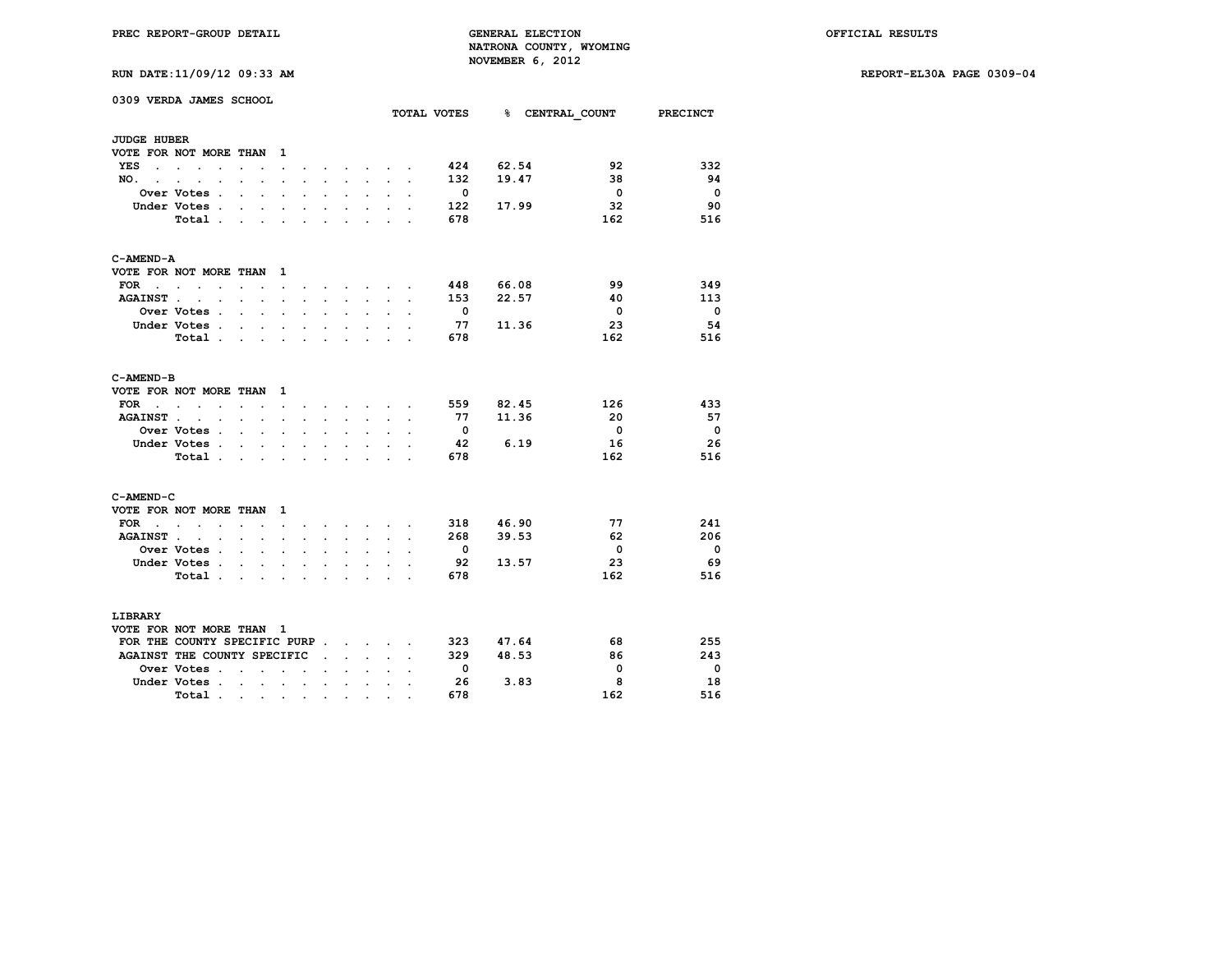**RUN DATE:11/09/12 09:33 AM REPORT-EL30A PAGE 0309-04**

|                             | 0309 VERDA JAMES SCHOOL                      |                      |                      |                      |                      |                      |                      |                                 |                                                                                       |                      |                          |           | TOTAL VOTES 8 CENTRAL COUNT | <b>PRECINCT</b>          |
|-----------------------------|----------------------------------------------|----------------------|----------------------|----------------------|----------------------|----------------------|----------------------|---------------------------------|---------------------------------------------------------------------------------------|----------------------|--------------------------|-----------|-----------------------------|--------------------------|
|                             |                                              |                      |                      |                      |                      |                      |                      |                                 |                                                                                       |                      |                          |           |                             |                          |
| <b>JUDGE HUBER</b>          |                                              |                      |                      |                      |                      |                      |                      |                                 |                                                                                       |                      |                          |           |                             |                          |
|                             | VOTE FOR NOT MORE THAN                       |                      |                      | 1                    |                      |                      |                      |                                 |                                                                                       |                      |                          |           |                             |                          |
| YES                         |                                              |                      |                      | $\ddot{\phantom{0}}$ | $\ddot{\phantom{0}}$ |                      |                      |                                 | $\sim$ $\sim$ $\sim$ $\sim$                                                           |                      | 424                      | 62.54     | 92                          | 332                      |
| NO.<br>÷                    | $\ddot{\phantom{a}}$                         |                      |                      |                      |                      |                      |                      | $\ddot{\phantom{a}}$            |                                                                                       | $\overline{a}$       | 132                      | 19.47     | 38                          | 94                       |
|                             | Over Votes .                                 | $\ddot{\phantom{0}}$ | $\ddot{\phantom{a}}$ | $\ddot{\phantom{0}}$ | $\ddot{\phantom{a}}$ |                      |                      | $\bullet$                       |                                                                                       |                      | $^{\circ}$               |           | $\mathbf{0}$                | $\overline{\mathbf{0}}$  |
|                             | Under Votes .                                |                      | $\ddot{\phantom{a}}$ |                      |                      |                      |                      |                                 |                                                                                       |                      | 122                      | 17.99     | 32                          | 90                       |
|                             | Total.                                       | $\ddot{\phantom{0}}$ | $\ddot{\phantom{0}}$ | $\bullet$            | $\ddot{\phantom{a}}$ | $\ddot{\phantom{0}}$ | $\cdot$              | $\ddot{\phantom{0}}$            | $\ddot{\phantom{a}}$                                                                  | $\overline{a}$       | 678                      |           | 162                         | 516                      |
| C-AMEND-A                   |                                              |                      |                      |                      |                      |                      |                      |                                 |                                                                                       |                      |                          |           |                             |                          |
|                             | VOTE FOR NOT MORE THAN                       |                      |                      | 1                    |                      |                      |                      |                                 |                                                                                       |                      |                          |           |                             |                          |
| <b>FOR</b>                  | $\bullet$                                    | $\overline{a}$       |                      | $\overline{a}$       |                      |                      |                      | <b>Contract Contract Street</b> |                                                                                       |                      | 448                      | 66.08     | 99                          | 349                      |
| <b>AGAINST</b> .            | $\sim$<br>$\ddot{\phantom{0}}$               | $\ddot{\phantom{0}}$ | $\ddot{\phantom{0}}$ | $\ddot{\phantom{a}}$ | $\ddot{\phantom{0}}$ | $\ddot{\phantom{0}}$ | $\ddot{\phantom{a}}$ | $\sim$                          | $\ddot{\phantom{0}}$                                                                  | $\cdot$              | 153                      | 22.57     | 40                          | 113                      |
|                             | <b>Over Votes .</b>                          |                      | $\sim$               |                      |                      |                      |                      |                                 |                                                                                       |                      | $\overline{\phantom{0}}$ |           | $\overline{\mathbf{0}}$     | $\overline{\phantom{0}}$ |
|                             | Under Votes .                                | $\ddot{\phantom{0}}$ | $\ddot{\phantom{0}}$ | $\ddot{\phantom{a}}$ |                      |                      | $\ddot{\phantom{a}}$ | $\ddot{\phantom{0}}$            | $\ddot{\phantom{a}}$                                                                  |                      | 77                       | 11.36     | 23                          | 54                       |
|                             | Total.                                       | $\sim$               | $\cdot$              | $\ddot{\phantom{a}}$ | $\overline{a}$       | $\ddot{\phantom{0}}$ | $\overline{a}$       | $\ddot{\phantom{0}}$            | $\sim$                                                                                |                      | 678                      |           | 162                         | 516                      |
| C-AMEND-B                   |                                              |                      |                      |                      |                      |                      |                      |                                 |                                                                                       |                      |                          |           |                             |                          |
|                             | VOTE FOR NOT MORE THAN                       |                      |                      | 1                    |                      |                      |                      |                                 |                                                                                       |                      |                          |           |                             |                          |
| FOR<br>$\ddot{\phantom{1}}$ | $\bullet$<br>$\bullet$                       | $\ddot{\phantom{0}}$ | $\bullet$            | $\ddot{\phantom{0}}$ | $\bullet$            |                      |                      |                                 | $\mathbf{r} = \mathbf{r} + \mathbf{r}$ , where $\mathbf{r} = \mathbf{r} + \mathbf{r}$ | $\overline{a}$       | 559                      | 82.45     | 126                         | 433                      |
| <b>AGAINST.</b>             | $\overline{a}$                               | $\ddot{\phantom{a}}$ | $\overline{a}$       | $\cdot$              |                      |                      |                      | $\ddot{\phantom{0}}$            |                                                                                       |                      | 77                       | 11.36     | 20                          | 57                       |
|                             | Over Votes .                                 | $\ddot{\phantom{a}}$ | $\ddot{\phantom{a}}$ | $\overline{a}$       |                      |                      |                      | $\ddot{\phantom{0}}$            |                                                                                       |                      | $\overline{\mathbf{0}}$  |           | $\overline{\mathbf{0}}$     | $\overline{\mathbf{0}}$  |
|                             | Under Votes.                                 | $\cdot$              | $\ddot{\phantom{0}}$ | $\ddot{\phantom{0}}$ | $\cdot$              | $\cdot$              |                      | $\bullet$                       |                                                                                       |                      | 42                       | 6.19      | 16                          | - 26                     |
|                             | Total.                                       |                      |                      |                      |                      |                      |                      |                                 |                                                                                       |                      | 678                      |           | 162                         | 516                      |
| C-AMEND-C                   |                                              |                      |                      |                      |                      |                      |                      |                                 |                                                                                       |                      |                          |           |                             |                          |
|                             | VOTE FOR NOT MORE THAN                       |                      |                      | 1                    |                      |                      |                      |                                 |                                                                                       |                      |                          |           |                             |                          |
| <b>FOR</b><br>$\sim$        | $\mathbf{r}$<br>$\bullet$<br>$\cdot$         | $\overline{a}$       |                      | $\cdot$              |                      |                      |                      |                                 | $\mathbf{r} = \mathbf{r} + \mathbf{r}$                                                | $\overline{a}$       | 318                      | 46.90     | 77                          | 241                      |
| <b>AGAINST.</b>             | $\ddot{\phantom{a}}$<br>$\ddot{\phantom{0}}$ |                      | $\overline{a}$       |                      |                      |                      |                      | $\ddot{\phantom{a}}$            | $\ddot{\phantom{a}}$                                                                  | $\ddot{\phantom{a}}$ | 268                      | 39.53     | 62                          | 206                      |
|                             | Over Votes .                                 | $\ddot{\phantom{0}}$ | $\ddot{\phantom{a}}$ | $\ddot{\phantom{0}}$ |                      |                      |                      | $\ddot{\phantom{0}}$            |                                                                                       |                      | $\mathbf{0}$             |           | $\mathbf{0}$                | $\overline{\mathbf{0}}$  |
|                             | Under Votes .                                |                      |                      |                      |                      |                      |                      |                                 |                                                                                       |                      | 92                       | 13.57     | 23                          | 69                       |
|                             | Total .                                      | $\ddot{\phantom{0}}$ | $\ddot{\phantom{0}}$ | $\ddot{\phantom{0}}$ | $\ddot{\phantom{0}}$ | $\sim$               | $\ddot{\phantom{0}}$ | $\ddot{\phantom{0}}$            | $\cdot$                                                                               | $\overline{a}$       | 678                      |           | 162                         | 516                      |
| LIBRARY                     |                                              |                      |                      |                      |                      |                      |                      |                                 |                                                                                       |                      |                          |           |                             |                          |
|                             | VOTE FOR NOT MORE THAN 1                     |                      |                      |                      |                      |                      |                      |                                 |                                                                                       |                      |                          |           |                             |                          |
|                             | FOR THE COUNTY SPECIFIC PURP                 |                      |                      |                      |                      |                      |                      |                                 |                                                                                       |                      |                          | 323 47.64 | 68                          | 255                      |
|                             | AGAINST THE COUNTY SPECIFIC                  |                      |                      |                      |                      |                      | $\ddot{\phantom{0}}$ | $\mathbf{r}$                    |                                                                                       |                      | 329                      | 48.53     | 86                          | 243                      |
|                             | Over Votes .                                 | ÷                    |                      | $\overline{a}$       |                      |                      |                      |                                 |                                                                                       |                      | $\overline{0}$           |           | $\Omega$                    | $\overline{\mathbf{0}}$  |
|                             | Under Votes .                                | $\sim$               | $\ddot{\phantom{0}}$ | $\ddot{\phantom{0}}$ | $\ddot{\phantom{a}}$ |                      | $\ddot{\phantom{0}}$ | $\ddot{\phantom{a}}$            |                                                                                       |                      | 26                       | 3.83      | 8                           | 18                       |
|                             | Total .                                      | $\sim 100$           | $\bullet$ .          | $\bullet$            | $\bullet$            | $\bullet$            | $\bullet$            | $\bullet$                       |                                                                                       |                      | 678                      |           | 162                         | 516                      |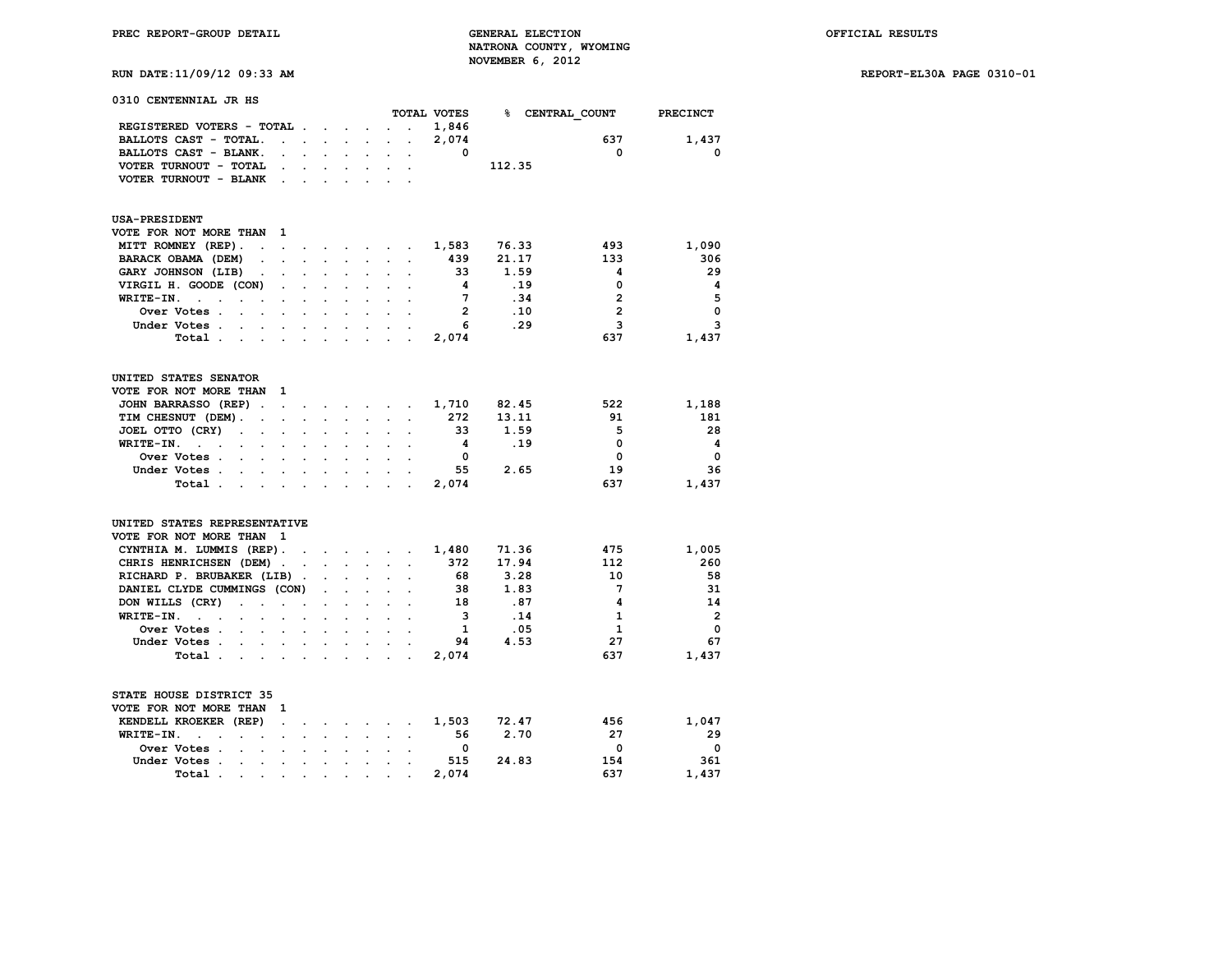**RUN DATE:11/09/12 09:33 AM REPORT-EL30A PAGE 0310-01**

**0310 CENTENNIAL JR HS**

|                                                                                                                                                                                                                                          |                             |                      |                                                               |                           |                                                           |                      | TOTAL VOTES             | %⊧     | CENTRAL_COUNT  | PRECINCT       |
|------------------------------------------------------------------------------------------------------------------------------------------------------------------------------------------------------------------------------------------|-----------------------------|----------------------|---------------------------------------------------------------|---------------------------|-----------------------------------------------------------|----------------------|-------------------------|--------|----------------|----------------|
| REGISTERED VOTERS - TOTAL .                                                                                                                                                                                                              |                             |                      | $\ddot{\phantom{a}}$                                          |                           |                                                           | $\cdot$              | 1,846                   |        |                |                |
| BALLOTS CAST - TOTAL.                                                                                                                                                                                                                    | $\mathbf{r} = \mathbf{r}$ . |                      | $\mathbf{r} = \mathbf{r}$ and $\mathbf{r} = \mathbf{r}$       |                           | $\mathcal{L}^{\text{max}}$                                | $\ddot{\phantom{0}}$ | 2,074                   |        | 637            | 1,437          |
| BALLOTS CAST - BLANK.<br>$\ddot{\phantom{0}}$                                                                                                                                                                                            |                             | $\mathbf{r}$         | $\ddot{\phantom{0}}$                                          | $\sim$ $\sim$             | $\ddot{\phantom{0}}$                                      | $\ddot{\phantom{a}}$ | $\Omega$                |        | 0              | $\mathbf 0$    |
| VOTER TURNOUT - TOTAL<br>$\sim$                                                                                                                                                                                                          | $\sim$                      | $\sim$               | $\ddot{\phantom{a}}$                                          |                           | $\mathbf{L} = \mathbf{L}$                                 | $\cdot$              |                         | 112.35 |                |                |
| VOTER TURNOUT - BLANK<br>$\sim$                                                                                                                                                                                                          |                             |                      |                                                               |                           |                                                           |                      |                         |        |                |                |
| <b>USA-PRESIDENT</b>                                                                                                                                                                                                                     |                             |                      |                                                               |                           |                                                           |                      |                         |        |                |                |
| VOTE FOR NOT MORE THAN<br>1                                                                                                                                                                                                              |                             |                      |                                                               |                           |                                                           |                      |                         |        |                |                |
| MITT ROMNEY (REP).<br>$\mathbf{r}$<br>$\overline{a}$                                                                                                                                                                                     |                             |                      |                                                               |                           | and the company's                                         | $\bullet$            | 1,583                   | 76.33  | 493            | 1,090          |
| BARACK OBAMA (DEM)                                                                                                                                                                                                                       |                             |                      | $\mathbf{r}$                                                  |                           |                                                           |                      | 439                     | 21.17  | 133            | 306            |
| GARY JOHNSON (LIB)<br>$\cdot$                                                                                                                                                                                                            |                             |                      |                                                               | $\ddot{\phantom{a}}$      |                                                           |                      | 33                      | 1.59   | 4              | 29             |
| VIRGIL H. GOODE (CON)                                                                                                                                                                                                                    |                             |                      |                                                               |                           |                                                           |                      | 4                       | .19    | 0              | 4              |
| WRITE-IN.<br>$\ddot{\phantom{0}}$<br>$\ddot{\phantom{a}}$<br>$\ddot{\phantom{0}}$<br>$\sim$                                                                                                                                              |                             |                      |                                                               | $\mathbf{L}^{\text{max}}$ |                                                           |                      | $7\phantom{.0}$         | .34    | $\overline{2}$ | 5              |
| Over Votes .<br>$\overline{a}$<br>$\ddot{\phantom{0}}$                                                                                                                                                                                   |                             | $\mathbf{r}$         |                                                               |                           | $\overline{a}$                                            |                      | $\overline{2}$          | .10    | $\overline{2}$ | 0              |
| Under Votes .<br>$\sim$<br>$\sim$                                                                                                                                                                                                        |                             | $\sim$               | $\sim$                                                        | $\sim$                    |                                                           |                      | 6                       | .29    | 3              | 3              |
| Total.<br>$\sim$ $\sim$ $\sim$<br>$\sim$                                                                                                                                                                                                 | $\sim$                      |                      | $\mathcal{L}^{\text{max}}$                                    | $\ddot{\phantom{a}}$      | $\ddot{\phantom{a}}$                                      |                      | 2,074                   |        | 637            | 1,437          |
| UNITED STATES SENATOR                                                                                                                                                                                                                    |                             |                      |                                                               |                           |                                                           |                      |                         |        |                |                |
| VOTE FOR NOT MORE THAN<br>1                                                                                                                                                                                                              |                             |                      |                                                               |                           |                                                           |                      |                         |        |                |                |
| JOHN BARRASSO (REP)<br>$\ddot{\phantom{a}}$<br>$\ddot{\phantom{a}}$                                                                                                                                                                      |                             |                      |                                                               |                           | $\mathbf{r} = \mathbf{r} + \mathbf{r}$                    |                      | 1,710                   | 82.45  | 522            | 1,188          |
| TIM CHESNUT (DEM).<br>$\ddot{\phantom{a}}$<br>$\ddot{\phantom{a}}$                                                                                                                                                                       | $\ddot{\phantom{a}}$        | $\sim$               | $\ddot{\phantom{0}}$                                          |                           | <b>All Contracts</b>                                      | $\ddot{\phantom{a}}$ | 272                     | 13.11  | 91             | 181            |
| JOEL OTTO (CRY)<br>$\ddot{\phantom{0}}$<br>$\ddot{\phantom{a}}$<br>$\ddot{\phantom{a}}$                                                                                                                                                  | $\mathbf{r}$                |                      |                                                               |                           |                                                           |                      | 33                      | 1.59   | 5              | 28             |
| WRITE-IN.<br>$\ddot{\phantom{0}}$<br>$\ddot{\phantom{a}}$<br>$\cdot$ $\cdot$<br>$\sim$ $\sim$                                                                                                                                            | $\ddot{\phantom{a}}$        | $\ddot{\phantom{0}}$ | $\ddot{\phantom{a}}$                                          | $\sim$                    | $\ddot{\phantom{0}}$                                      | $\ddot{\phantom{a}}$ | $\overline{\mathbf{4}}$ | .19    | 0              | 4              |
| Over Votes .<br>$\mathbf{L}^{\text{max}}$<br>$\mathbf{r}$<br>$\ddot{\phantom{a}}$                                                                                                                                                        | s.                          | $\ddot{\phantom{a}}$ |                                                               |                           |                                                           |                      | $\mathbf 0$             |        | 0              | 0              |
| Under Votes<br>$\sim$                                                                                                                                                                                                                    | $\sim$                      | $\sim$               |                                                               | <b>All Control</b>        | $\ddot{\phantom{0}}$                                      |                      | 55                      | 2.65   | 19             | 36             |
| Total.<br>and the contract of the contract of the contract of the contract of the contract of the contract of the contract of the contract of the contract of the contract of the contract of the contract of the contract of the contra |                             |                      |                                                               |                           |                                                           |                      | 2,074                   |        | 637            | 1,437          |
| UNITED STATES REPRESENTATIVE                                                                                                                                                                                                             |                             |                      |                                                               |                           |                                                           |                      |                         |        |                |                |
| VOTE FOR NOT MORE THAN<br>$\mathbf{1}$                                                                                                                                                                                                   |                             |                      |                                                               |                           |                                                           |                      |                         |        |                |                |
| CYNTHIA M. LUMMIS (REP).                                                                                                                                                                                                                 | $\sim$                      |                      | $\mathbf{r}$ and $\mathbf{r}$ and $\mathbf{r}$                |                           |                                                           | $\ddot{\phantom{a}}$ | 1,480                   | 71.36  | 475            | 1,005          |
| CHRIS HENRICHSEN (DEM)                                                                                                                                                                                                                   |                             |                      | $\mathcal{L}^{\text{max}}$ , where $\mathcal{L}^{\text{max}}$ |                           | $\mathcal{L}^{\text{max}}$ and $\mathcal{L}^{\text{max}}$ | $\ddot{\phantom{a}}$ | 372                     | 17.94  | 112            | 260            |
| RICHARD P. BRUBAKER (LIB).                                                                                                                                                                                                               |                             | $\ddot{\phantom{0}}$ |                                                               |                           |                                                           |                      | 68                      | 3.28   | 10             | 58             |
| DANIEL CLYDE CUMMINGS (CON)                                                                                                                                                                                                              |                             | $\ddot{\phantom{0}}$ | $\ddot{\phantom{a}}$                                          | $\ddot{\phantom{a}}$      | $\ddot{\phantom{a}}$                                      |                      | 38                      | 1.83   | 7              | 31             |
| DON WILLS (CRY)<br>$\ddot{\phantom{a}}$<br>$\ddot{\phantom{a}}$<br>$\ddot{\phantom{a}}$                                                                                                                                                  | $\ddot{\phantom{a}}$        |                      |                                                               |                           |                                                           |                      | 18                      | .87    | 4              | 14             |
| WRITE-IN.<br>$\mathcal{L}^{\mathcal{L}}$ and $\mathcal{L}^{\mathcal{L}}$<br>$\sim$<br>$\ddot{\phantom{0}}$<br>$\ddot{\phantom{0}}$                                                                                                       | $\ddot{\phantom{a}}$        | $\mathbf{r}$         | $\ddot{\phantom{a}}$                                          | $\sim$                    | $\sim$                                                    | $\cdot$              | 3                       | .14    | $\mathbf{1}$   | $\overline{2}$ |
| Over Votes .<br>$\sim$<br>$\mathbf{r}$                                                                                                                                                                                                   |                             |                      |                                                               |                           |                                                           |                      | 1                       | .05    | 1              | $\mathbf 0$    |
| Under Votes.<br><b>Contract Contract Contract</b><br>$\sim$                                                                                                                                                                              | $\sim$                      |                      | $\mathbf{r} = \mathbf{r} + \mathbf{r} + \mathbf{r}$           |                           |                                                           |                      | 94                      | 4.53   | 27             | 67             |
| Total.<br>$\mathbf{r}$<br>$\mathbf{r}$<br>$\sim$                                                                                                                                                                                         | $\mathbf{L}$                |                      | $\mathcal{L}^{\mathcal{L}}$ .                                 |                           | <b>Contract Contract Contract</b>                         | $\ddot{\phantom{a}}$ | 2,074                   |        | 637            | 1,437          |
| STATE HOUSE DISTRICT 35                                                                                                                                                                                                                  |                             |                      |                                                               |                           |                                                           |                      |                         |        |                |                |
| VOTE FOR NOT MORE THAN<br>-1                                                                                                                                                                                                             |                             |                      |                                                               |                           |                                                           |                      |                         |        |                |                |
| KENDELL KROEKER (REP)<br>$\ddot{\phantom{a}}$                                                                                                                                                                                            |                             |                      | $\sim$ $\sim$                                                 |                           | <b>Contract Contract Contract</b>                         | $\ddot{\phantom{a}}$ | 1,503                   | 72.47  | 456            | 1,047          |
| WRITE-IN.<br>$\mathbf{r}$<br>$\sim$<br>$\cdot$<br>$\cdot$<br>$\cdot$                                                                                                                                                                     |                             |                      |                                                               |                           |                                                           |                      | 56                      | 2.70   | 27             | 29             |
| Over Votes .<br><b>Contract</b><br>$\ddot{\phantom{a}}$<br>$\ddot{\phantom{a}}$                                                                                                                                                          |                             |                      |                                                               |                           |                                                           |                      | 0                       |        | 0              | 0              |
| Under Votes .<br>$\sim$<br>$\ddot{\phantom{a}}$<br>$\sim 10^{-11}$                                                                                                                                                                       | $\ddot{\phantom{a}}$        | $\ddot{\phantom{a}}$ | $\ddot{\phantom{a}}$                                          | $\ddot{\phantom{a}}$      | $\ddot{\phantom{a}}$                                      | $\overline{a}$       | 515                     | 24.83  | 154            | 361            |
| Total.<br>$\sim$<br>$\bullet$<br>$\cdot$                                                                                                                                                                                                 | $\bullet$                   | $\ddot{\phantom{0}}$ | $\bullet$                                                     | $\cdot$                   |                                                           |                      | 2,074                   |        | 637            | 1,437          |
|                                                                                                                                                                                                                                          |                             |                      |                                                               |                           |                                                           |                      |                         |        |                |                |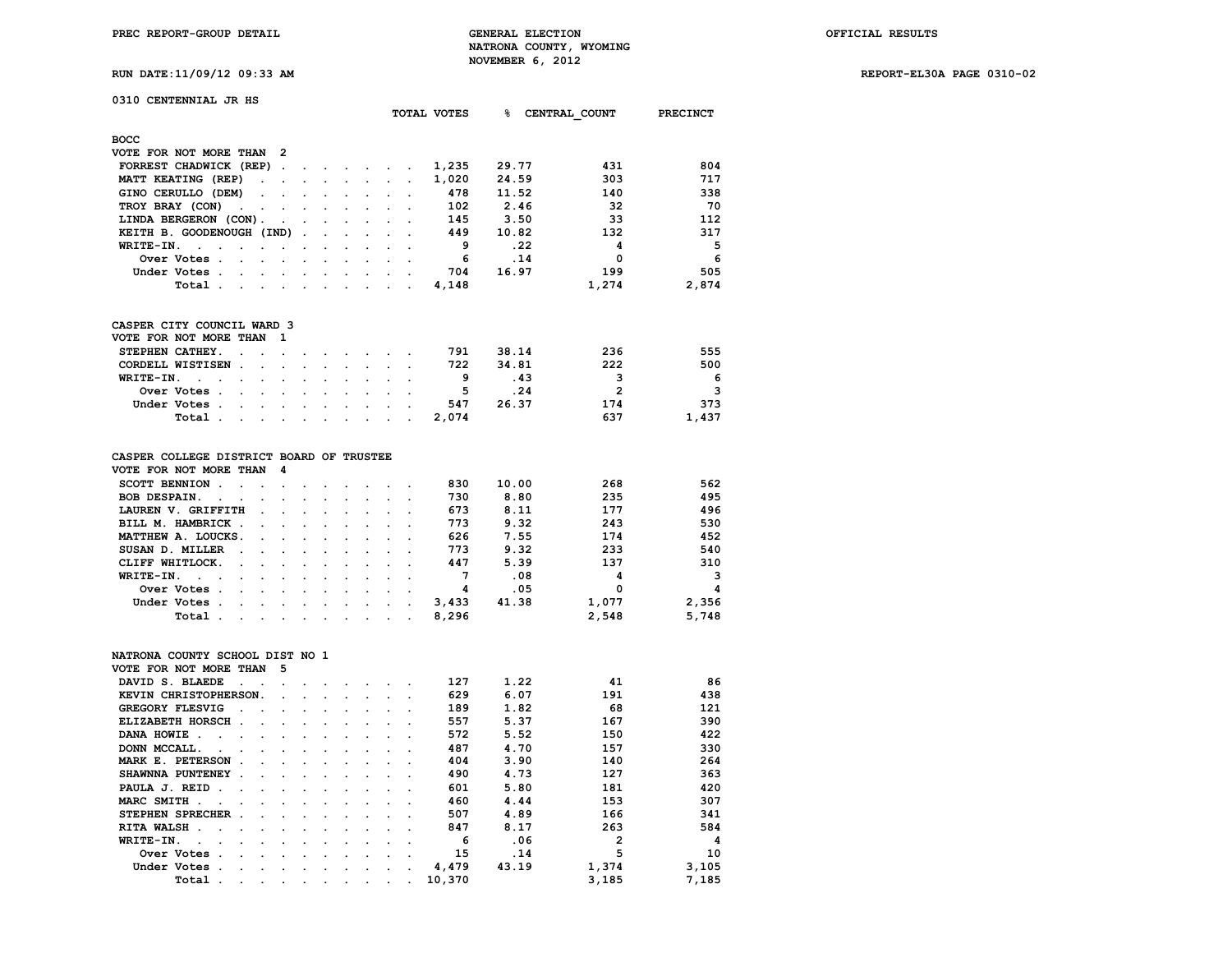**RUN DATE:11/09/12 09:33 AM REPORT-EL30A PAGE 0310-02**

|  |  | WON DAIB.II/03/12 03.33 A |  |
|--|--|---------------------------|--|
|  |  |                           |  |
|  |  |                           |  |

| 0310 CENTENNIAL JR HS                                                                |                      |                      |                      |                      |                      |                      |                      | TOTAL VOTES | 욲.    | CENTRAL COUNT  | <b>PRECINCT</b> |
|--------------------------------------------------------------------------------------|----------------------|----------------------|----------------------|----------------------|----------------------|----------------------|----------------------|-------------|-------|----------------|-----------------|
| <b>BOCC</b>                                                                          |                      |                      |                      |                      |                      |                      |                      |             |       |                |                 |
| VOTE FOR NOT MORE THAN                                                               | 2                    |                      |                      |                      |                      |                      |                      |             |       |                |                 |
| FORREST CHADWICK (REP)                                                               | $\sim$               |                      |                      |                      |                      |                      |                      | 1,235       | 29.77 | 431            | 804             |
| MATT KEATING (REP)<br>$\cdot$                                                        |                      |                      | $\ddot{\phantom{a}}$ | $\mathbf{r}$         | $\ddot{\phantom{0}}$ | $\ddot{\phantom{a}}$ |                      | 1,020       | 24.59 | 303            | 717             |
| GINO CERULLO (DEM)                                                                   |                      |                      |                      |                      |                      |                      |                      | 478         | 11.52 | 140            | 338             |
| TROY BRAY (CON)                                                                      | $\ddot{\phantom{0}}$ |                      |                      |                      |                      |                      |                      | 102         | 2.46  | 32             | 70              |
| LINDA BERGERON (CON).                                                                |                      |                      |                      |                      |                      |                      |                      | 145         | 3.50  | 33             | 112             |
| KEITH B. GOODENOUGH (IND)                                                            |                      |                      |                      |                      |                      |                      |                      | 449         | 10.82 | 132            | 317             |
| WRITE-IN.<br>$\overline{a}$                                                          |                      |                      |                      |                      |                      |                      |                      | 9           | .22   | 4              | 5               |
| Over Votes .                                                                         |                      |                      |                      |                      |                      |                      |                      | 6           | .14   | 0              | 6               |
| Under Votes.                                                                         |                      |                      | $\overline{a}$       | $\cdot$              | $\ddot{\phantom{a}}$ |                      | $\ddot{\phantom{a}}$ | 704         | 16.97 | 199            | 505             |
|                                                                                      |                      |                      |                      |                      |                      |                      |                      |             |       |                |                 |
| Total .                                                                              | $\ddot{\phantom{a}}$ | $\ddot{\phantom{a}}$ | $\cdot$              | $\ddot{\phantom{a}}$ | $\bullet$            |                      | $\ddot{\phantom{a}}$ | 4,148       |       | 1,274          | 2,874           |
| CASPER CITY COUNCIL WARD 3                                                           |                      |                      |                      |                      |                      |                      |                      |             |       |                |                 |
| VOTE FOR NOT MORE THAN                                                               | 1                    |                      |                      |                      |                      |                      |                      |             |       |                |                 |
| STEPHEN CATHEY.<br>$\ddot{\phantom{0}}$                                              | $\ddot{\phantom{a}}$ |                      |                      |                      | $\overline{a}$       |                      |                      | 791         | 38.14 | 236            | 555             |
| CORDELL WISTISEN.<br>$\ddot{\phantom{a}}$                                            | $\ddot{\phantom{a}}$ | $\mathbf{r}$         | $\ddot{\phantom{0}}$ | $\ddot{\phantom{a}}$ | $\ddot{\phantom{0}}$ | $\ddot{\phantom{a}}$ | $\ddot{\phantom{a}}$ | 722         | 34.81 | 222            | 500             |
| WRITE-IN.<br>$\ddot{\phantom{a}}$                                                    |                      |                      |                      |                      |                      |                      |                      | 9           | .43   | 3              | 6               |
| Over Votes .                                                                         | $\cdot$              | $\overline{a}$       | $\bullet$            | $\ddot{\phantom{0}}$ | $\ddot{\phantom{0}}$ |                      |                      | 5           | .24   | $\overline{2}$ | 3               |
| Under Votes.                                                                         |                      |                      |                      |                      |                      |                      |                      | 547         | 26.37 | 174            | 373             |
| Total.<br>$\ddot{\phantom{a}}$<br>$\ddot{\phantom{0}}$                               | $\ddot{\phantom{a}}$ | $\ddot{\phantom{0}}$ | $\ddot{\phantom{a}}$ | $\ddot{\phantom{0}}$ | $\ddot{\phantom{0}}$ | $\ddot{\phantom{a}}$ | $\ddot{\phantom{a}}$ | 2,074       |       | 637            | 1,437           |
|                                                                                      |                      |                      |                      |                      |                      |                      |                      |             |       |                |                 |
| CASPER COLLEGE DISTRICT BOARD OF TRUSTEE                                             |                      |                      |                      |                      |                      |                      |                      |             |       |                |                 |
| VOTE FOR NOT MORE THAN                                                               | 4                    |                      |                      |                      |                      |                      |                      |             |       |                |                 |
| SCOTT BENNION .<br>$\ddot{\phantom{a}}$<br>$\overline{a}$                            | $\ddot{\phantom{a}}$ |                      |                      |                      |                      |                      |                      | 830         | 10.00 | 268            | 562             |
| BOB DESPAIN.<br>$\ddot{\phantom{0}}$<br>$\ddot{\phantom{0}}$<br>$\ddot{\phantom{a}}$ | $\ddot{\phantom{a}}$ | $\ddot{\phantom{a}}$ | $\ddot{\phantom{a}}$ | $\bullet$            | $\bullet$            |                      |                      | 730         | 8.80  | 235            | 495             |
| LAUREN V. GRIFFITH                                                                   |                      |                      |                      |                      |                      |                      |                      | 673         | 8.11  | 177            | 496             |
| BILL M. HAMBRICK .                                                                   |                      | $\ddot{\phantom{a}}$ | $\ddot{\phantom{a}}$ | $\ddot{\phantom{a}}$ | $\ddot{\phantom{0}}$ |                      |                      | 773         | 9.32  | 243            | 530             |
| MATTHEW A. LOUCKS.                                                                   |                      |                      |                      |                      |                      |                      |                      | 626         | 7.55  | 174            | 452             |
| SUSAN D. MILLER<br>÷                                                                 | $\overline{a}$       | $\ddot{\phantom{0}}$ | $\bullet$            | $\ddot{\phantom{0}}$ | $\ddot{\phantom{0}}$ |                      |                      | 773         | 9.32  | 233            | 540             |
| CLIFF WHITLOCK.                                                                      |                      |                      |                      |                      |                      |                      |                      | 447         | 5.39  | 137            | 310             |
| WRITE-IN.<br>$\sim$<br>$\overline{a}$<br>$\overline{a}$<br>$\ddot{\phantom{0}}$      | $\ddot{\phantom{a}}$ | $\ddot{\phantom{a}}$ | $\ddot{\phantom{a}}$ | $\ddot{\phantom{0}}$ | $\ddot{\phantom{a}}$ |                      |                      | 7           | .08   | 4              | 3               |
| Over Votes .                                                                         |                      |                      |                      |                      |                      |                      |                      | 4           | .05   | 0              | 4               |
| Under Votes.                                                                         | $\ddot{\phantom{0}}$ | $\ddot{\phantom{0}}$ | $\ddot{\phantom{0}}$ | $\ddot{\phantom{0}}$ | $\ddot{\phantom{a}}$ | $\ddot{\phantom{a}}$ |                      | 3,433       | 41.38 | 1,077          | 2,356           |
| Total.                                                                               |                      |                      |                      |                      |                      |                      |                      | 8,296       |       | 2,548          | 5,748           |
|                                                                                      |                      |                      |                      |                      |                      |                      |                      |             |       |                |                 |
| NATRONA COUNTY SCHOOL DIST NO 1                                                      |                      |                      |                      |                      |                      |                      |                      |             |       |                |                 |
| VOTE FOR NOT MORE THAN                                                               | 5                    |                      |                      |                      |                      |                      |                      |             |       |                |                 |
| DAVID S. BLAEDE<br>$\ddot{\phantom{a}}$                                              | $\overline{a}$       |                      |                      |                      |                      |                      |                      | 127         | 1.22  | 41             | 86              |
| KEVIN CHRISTOPHERSON.                                                                |                      |                      |                      |                      |                      |                      |                      | 629         | 6.07  | 191            | 438             |
| GREGORY FLESVIG                                                                      | $\cdot$              | $\ddot{\phantom{a}}$ | $\ddot{\phantom{a}}$ | $\ddot{\phantom{a}}$ | $\ddot{\phantom{0}}$ |                      |                      | 189         | 1.82  | 68             | 121             |
| ELIZABETH HORSCH.                                                                    |                      |                      |                      |                      |                      |                      |                      | 557         | 5.37  | 167            | 390             |
| DANA HOWIE<br>$\sim$ $\sim$ $\sim$ $\sim$ $\sim$                                     | $\bullet$            | $\bullet$            | $\bullet$            |                      |                      |                      |                      | 572         | 5.52  | 150            | 422             |

**DONN MCCALL. . . . . . . . . . 487 4.70 157 330**<br>MARK E. PETERSON . . . . . . . . 404 3.90 140 264

**SHAWNNA PUNTENEY . . . . . . . . 490 4.73 127 363**<br>**PAULA J. REID . . . . . . . . . . . 601 5.80 181 420 PAULA J. REID . . . . . . . . . . . . 601 5.80 181 420**<br>**MARC SMITH** . . . . . . . . . . . . . 460 4.44 153 307 **MARC SMITH . . . . . . . . . . . 460 4.44 153 307**<br>**STEPHEN SPRECHER** . . . . . . . . . 507 4.89 166 341 **STEPHEN SPRECHER . . . . . . . . . 507 4.89 166 341**<br>**RITA WALSH** . . . . . . . . . . . 847 8.17 263 584

 **WRITE-IN. . . . . . . . . . . . 6 .06 2 4 Over Votes . . . . . . . . . . 15 .14 5 10 Under Votes . . . . . . . . . . 4,479 43.19 1,374 3,105**

**DANA HOWIE . . . . . . . . . . . . 572** 5.52<br>**DONN MCCALL. . . . . . . . . . . 487** 4.70

**RITA WALSH . . . . . . . . . . . 847 8.17** 

 **Total** . . . . . . . . . . 10,370

**MARK E. PETERSON . . . . . . . . . 404 3.90 140**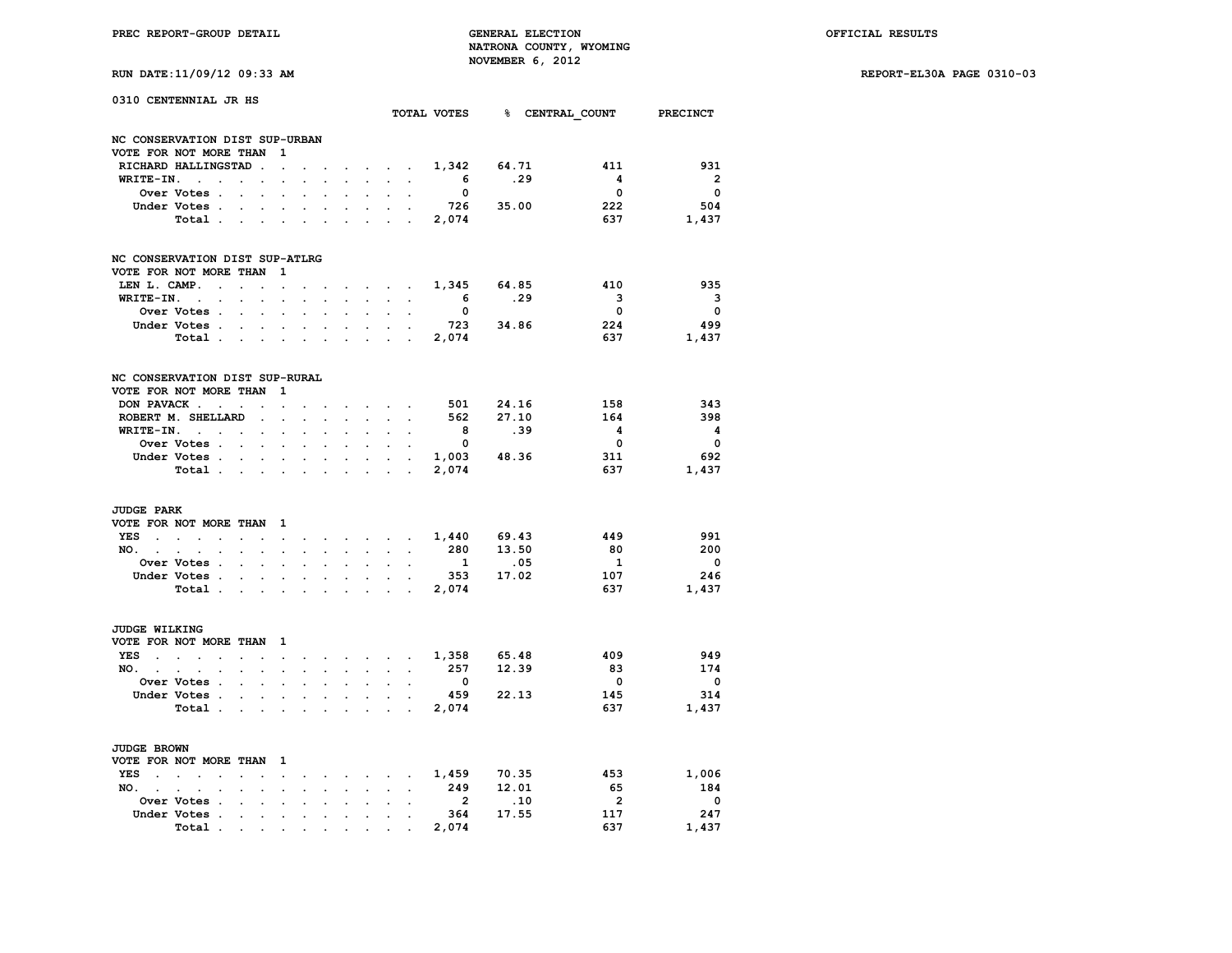**RUN DATE:11/09/12 09:33 AM REPORT-EL30A PAGE 0310-03**

| RUN DATE:11/09/12 09:33 AM |  |  |  |
|----------------------------|--|--|--|
|                            |  |  |  |

| 0310 CENTENNIAL JR HS          |                                                                      |                      |                                   |                      |                      |                      |                      |                      |                                                   |                      |                          | TOTAL VOTES 8 CENTRAL COUNT PRECINCT |                         |                          |
|--------------------------------|----------------------------------------------------------------------|----------------------|-----------------------------------|----------------------|----------------------|----------------------|----------------------|----------------------|---------------------------------------------------|----------------------|--------------------------|--------------------------------------|-------------------------|--------------------------|
| NC CONSERVATION DIST SUP-URBAN |                                                                      |                      |                                   |                      |                      |                      |                      |                      |                                                   |                      |                          |                                      |                         |                          |
| VOTE FOR NOT MORE THAN         |                                                                      |                      |                                   | 1                    |                      |                      |                      |                      |                                                   |                      |                          |                                      |                         |                          |
|                                | RICHARD HALLINGSTAD                                                  |                      |                                   | $\ddot{\phantom{a}}$ |                      |                      |                      | $\sim$               | $\sim$                                            | $\ddot{\phantom{0}}$ | 1,342                    | 64.71                                | 411                     | 931                      |
| WRITE-IN.                      | $\cdot$<br>$\ddot{\phantom{0}}$                                      |                      |                                   |                      |                      |                      | $\ddot{\phantom{0}}$ | $\ddot{\phantom{0}}$ | $\cdot$                                           | $\bullet$            | $6^{\circ}$              | .29                                  | $\overline{\mathbf{4}}$ | $\overline{\mathbf{2}}$  |
|                                | Over Votes .                                                         | $\ddot{\phantom{a}}$ | $\overline{a}$                    | $\ddot{\phantom{a}}$ |                      | $\overline{a}$       | $\ddot{\phantom{0}}$ | $\ddot{\phantom{0}}$ | $\ddot{\phantom{a}}$                              |                      | $\overline{\phantom{0}}$ |                                      | $\overline{\mathbf{0}}$ | $\overline{\phantom{0}}$ |
|                                | Under Votes .                                                        |                      |                                   |                      |                      | $\ddot{\phantom{a}}$ |                      |                      |                                                   |                      | 726                      | 35.00                                | 222                     | 504                      |
|                                | Total.                                                               | $\ddot{\phantom{a}}$ |                                   |                      |                      | $\ddot{\phantom{a}}$ |                      | $\ddot{\phantom{0}}$ | $\overline{a}$                                    | $\ddot{\phantom{a}}$ | 2,074                    |                                      | 637                     | 1,437                    |
| NC CONSERVATION DIST SUP-ATLRG |                                                                      |                      |                                   |                      |                      |                      |                      |                      |                                                   |                      |                          |                                      |                         |                          |
| VOTE FOR NOT MORE THAN         |                                                                      |                      |                                   | 1                    |                      |                      |                      |                      |                                                   |                      |                          |                                      |                         |                          |
| LEN L. CAMP.                   | $\ddot{\phantom{0}}$                                                 | $\overline{a}$       |                                   | $\ddot{\phantom{a}}$ |                      |                      | $\ddot{\phantom{a}}$ |                      | <b>Contract Contract Contract</b>                 | $\ddot{\phantom{a}}$ | 1,345                    | 64.85                                | 410                     | 935                      |
| WRITE-IN.                      | $\overline{\phantom{a}}$<br>$\ddot{\phantom{0}}$                     | $\ddot{\phantom{0}}$ |                                   |                      |                      |                      | $\ddot{\phantom{a}}$ | $\ddot{\phantom{0}}$ | $\ddot{\phantom{a}}$                              | $\bullet$            | $6^{\circ}$              | .29                                  | 3                       | 3                        |
|                                | Over Votes .                                                         | $\ddot{\phantom{a}}$ | $\ddot{\phantom{a}}$              |                      | $\ddot{\phantom{a}}$ | $\ddot{\phantom{a}}$ | $\ddot{\phantom{0}}$ | $\ddot{\phantom{0}}$ | $\ddot{\phantom{0}}$                              |                      | $\overline{\mathbf{0}}$  |                                      | $\mathbf 0$             | $\overline{\phantom{0}}$ |
|                                | Under Votes .                                                        |                      |                                   |                      |                      |                      |                      |                      |                                                   |                      | 723                      | 34.86                                | 224                     | 499                      |
|                                | Total.                                                               | $\ddot{\phantom{a}}$ | $\ddot{\phantom{a}}$              |                      |                      | $\cdot$              |                      | $\ddot{\phantom{0}}$ | $\overline{a}$                                    | $\ddot{\phantom{a}}$ | 2,074                    |                                      | 637                     | 1,437                    |
| NC CONSERVATION DIST SUP-RURAL |                                                                      |                      |                                   |                      |                      |                      |                      |                      |                                                   |                      |                          |                                      |                         |                          |
| VOTE FOR NOT MORE THAN         |                                                                      |                      |                                   | 1                    |                      |                      |                      |                      |                                                   |                      |                          |                                      |                         |                          |
| DON PAVACK.                    | $\ddot{\phantom{a}}$                                                 | $\ddot{\phantom{a}}$ |                                   | $\ddot{\phantom{a}}$ |                      |                      |                      | $\cdot$              |                                                   |                      | 501                      | 24.16                                | 158                     | 343                      |
|                                | ROBERT M. SHELLARD                                                   |                      |                                   |                      |                      |                      | $\ddot{\phantom{0}}$ | $\ddot{\phantom{0}}$ | $\ddot{\phantom{a}}$                              | $\ddot{\phantom{a}}$ | 562                      | 27.10                                | 164                     | 398                      |
| WRITE-IN.                      | $\cdot$ $\cdot$                                                      | $\ddot{\phantom{a}}$ | $\ddot{\phantom{0}}$              | $\ddot{\phantom{a}}$ | $\ddot{\phantom{0}}$ | $\ddot{\phantom{a}}$ | $\ddot{\phantom{0}}$ | $\ddot{\phantom{0}}$ | $\ddot{\phantom{0}}$                              |                      | 8                        | .39                                  | $\overline{\mathbf{4}}$ | $\overline{\mathbf{4}}$  |
|                                | Over Votes .                                                         |                      |                                   |                      |                      |                      |                      |                      |                                                   |                      | $\overline{\phantom{0}}$ |                                      | $\mathbf 0$             | 0                        |
|                                | Under Votes .                                                        | $\bullet$            | $\ddot{\phantom{0}}$              | $\bullet$            | $\bullet$            | $\ddot{\phantom{0}}$ | $\ddot{\phantom{0}}$ | $\ddot{\phantom{0}}$ | $\ddot{\phantom{0}}$                              | $\ddot{\phantom{a}}$ | 1,003                    | 48.36                                | 311                     | 692                      |
|                                | Total .                                                              | $\ddot{\phantom{0}}$ | $\ddot{\phantom{a}}$              |                      | $\ddot{\phantom{a}}$ |                      |                      |                      |                                                   |                      | 2,074                    |                                      | 637                     | 1,437                    |
| <b>JUDGE PARK</b>              |                                                                      |                      |                                   |                      |                      |                      |                      |                      |                                                   |                      |                          |                                      |                         |                          |
| VOTE FOR NOT MORE THAN         |                                                                      |                      |                                   | - 1                  |                      |                      |                      |                      |                                                   |                      |                          |                                      |                         |                          |
| <b>YES</b><br>$\sim$           | $\ddot{\phantom{0}}$<br>$\sim$<br>$\ddot{\phantom{a}}$               | $\cdot$              | $\ddot{\phantom{a}}$              | $\bullet$            | $\bullet$            |                      |                      |                      | $\bullet$ . In the case of the contract $\bullet$ | $\ddot{\phantom{a}}$ | 1,440                    | 69.43                                | 449                     | 991                      |
| NO. .                          | $\ddot{\phantom{a}}$<br>$\ddot{\phantom{a}}$<br>$\ddot{\phantom{0}}$ | $\ddot{\phantom{0}}$ | $\ddot{\phantom{a}}$              | $\ddot{\phantom{a}}$ | $\ddot{\phantom{a}}$ | $\ddot{\phantom{a}}$ | $\ddot{\phantom{0}}$ | $\ddot{\phantom{0}}$ | $\ddot{\phantom{0}}$                              | $\ddot{\phantom{a}}$ | 280                      | 13.50                                | 80                      | 200                      |
|                                | Over Votes .                                                         |                      |                                   |                      |                      |                      |                      |                      |                                                   |                      | $\mathbf{1}$             | .05                                  | $\overline{\mathbf{1}}$ | 0                        |
|                                | Under Votes .                                                        | $\cdot$              | $\blacksquare$                    | $\ddot{\phantom{0}}$ | $\cdot$              | $\ddot{\phantom{0}}$ | $\ddot{\phantom{0}}$ | $\ddot{\phantom{0}}$ | $\ddot{\phantom{0}}$                              | $\cdot$              | 353                      | 17.02                                | 107                     | 246                      |
|                                | Total .                                                              | $\ddot{\phantom{0}}$ | $\sim$                            | $\ddot{\phantom{a}}$ | $\ddot{\phantom{a}}$ | $\ddot{\phantom{a}}$ | $\ddot{\phantom{0}}$ | $\ddot{\phantom{0}}$ |                                                   | $\overline{a}$       | 2,074                    |                                      | 637                     | 1,437                    |
| JUDGE WILKING                  |                                                                      |                      |                                   |                      |                      |                      |                      |                      |                                                   |                      |                          |                                      |                         |                          |
| VOTE FOR NOT MORE THAN         |                                                                      |                      |                                   | 1                    |                      |                      |                      |                      |                                                   |                      |                          |                                      |                         |                          |
| <b>YES</b>                     | $\cdot$<br>$\cdot$<br>$\ddot{\phantom{0}}$                           | $\ddot{\phantom{a}}$ |                                   | $\bullet$            |                      |                      | $\ddot{\phantom{0}}$ | $\bullet$ .          | $\ddot{\phantom{0}}$                              |                      | 1,358                    | 65.48                                | 409                     | 949                      |
| NO. .                          | $\ddot{\phantom{a}}$<br>$\ddot{\phantom{a}}$<br>$\ddot{\phantom{0}}$ | $\ddot{\phantom{0}}$ | $\ddot{\phantom{a}}$              | $\ddot{\phantom{a}}$ | $\ddot{\phantom{a}}$ | $\ddot{\phantom{a}}$ | $\ddot{\phantom{0}}$ | $\ddot{\phantom{0}}$ | $\ddot{\phantom{0}}$                              | $\ddot{\phantom{a}}$ | 257                      | 12.39                                | 83                      | 174                      |
|                                | Over Votes .                                                         |                      |                                   |                      |                      |                      |                      |                      |                                                   |                      | $\overline{\phantom{0}}$ |                                      | $\overline{\mathbf{0}}$ | 0                        |
|                                | Under Votes .                                                        | $\bullet$            | $\blacksquare$                    | $\ddot{\phantom{0}}$ | $\cdot$              | $\ddot{\phantom{0}}$ | $\ddot{\phantom{0}}$ | $\ddot{\phantom{0}}$ | $\ddot{\phantom{0}}$                              |                      | 459                      | 22.13                                | 145                     | 314                      |
|                                | Total .                                                              | $\ddot{\phantom{0}}$ | $\ddot{\phantom{a}}$              |                      | $\ddot{\phantom{0}}$ |                      | $\ddot{\phantom{0}}$ |                      |                                                   |                      | 2,074                    |                                      | 637                     | 1,437                    |
| JUDGE BROWN                    |                                                                      |                      |                                   |                      |                      |                      |                      |                      |                                                   |                      |                          |                                      |                         |                          |
| VOTE FOR NOT MORE THAN         |                                                                      |                      |                                   | 1                    |                      |                      |                      |                      |                                                   |                      |                          |                                      |                         |                          |
| <b>YES</b><br>$\sim$           | $\mathbf{r}$<br>$\overline{a}$<br>$\overline{a}$                     | $\overline{a}$       |                                   | $\ddot{\phantom{0}}$ |                      |                      | $\ddot{\phantom{0}}$ | $\ddot{\phantom{0}}$ | $\ddot{\phantom{0}}$                              | $\ddot{\phantom{a}}$ | 1,459                    | 70.35                                | 453                     | 1,006                    |
| NO.<br>$\sim$                  |                                                                      |                      |                                   |                      | $\ddot{\phantom{0}}$ |                      |                      |                      |                                                   |                      | 249                      | 12.01                                | 65                      | 184                      |
|                                | $\ddot{\phantom{a}}$<br>$\ddot{\phantom{0}}$                         |                      | $\ddot{\phantom{a}}$              | $\ddot{\phantom{a}}$ |                      |                      | $\ddot{\phantom{0}}$ | $\ddot{\phantom{0}}$ | $\bullet$                                         | $\ddot{\phantom{0}}$ | $\overline{\mathbf{2}}$  |                                      | $\overline{2}$          |                          |
| Under Votes                    | Over Votes .                                                         |                      |                                   | $\ddot{\phantom{a}}$ |                      |                      |                      |                      |                                                   |                      | 364                      | .10<br>17.55                         | 117                     | 0<br>247                 |
|                                | $\ddot{\phantom{a}}$                                                 | $\ddot{\phantom{0}}$ | $\ddot{\phantom{0}}$              | $\ddot{\phantom{0}}$ | $\ddot{\phantom{0}}$ |                      | $\ddot{\phantom{0}}$ | $\ddot{\phantom{0}}$ |                                                   |                      |                          |                                      |                         |                          |
|                                | Total                                                                |                      | <b>Contract Contract Contract</b> |                      |                      |                      |                      |                      |                                                   |                      | 2,074                    |                                      | 637                     | 1,437                    |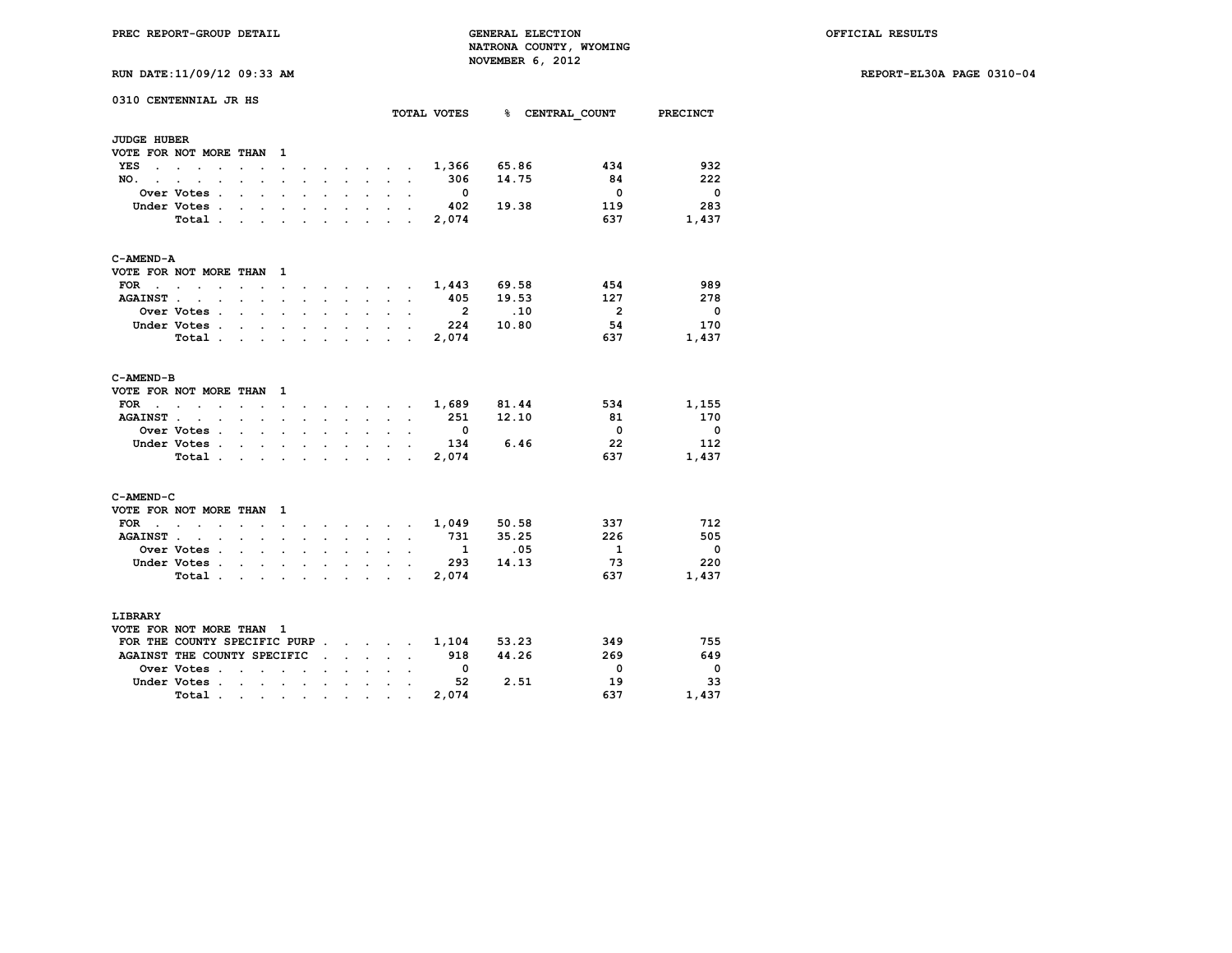**RUN DATE:11/09/12 09:33 AM REPORT-EL30A PAGE 0310-04**

| RUN DATE:11/09/12 09:33 AM |  |  |  |  |
|----------------------------|--|--|--|--|
|----------------------------|--|--|--|--|

|                      | 0310 CENTENNIAL JR HS                    |                                                                                                                 |                                                           |                      |                      |                                                                               |                           |                                                                               |                      |                      | TOTAL VOTES             |       | <b>% CENTRAL COUNT</b>  | <b>PRECINCT</b>          |
|----------------------|------------------------------------------|-----------------------------------------------------------------------------------------------------------------|-----------------------------------------------------------|----------------------|----------------------|-------------------------------------------------------------------------------|---------------------------|-------------------------------------------------------------------------------|----------------------|----------------------|-------------------------|-------|-------------------------|--------------------------|
|                      |                                          |                                                                                                                 |                                                           |                      |                      |                                                                               |                           |                                                                               |                      |                      |                         |       |                         |                          |
| <b>JUDGE HUBER</b>   |                                          |                                                                                                                 |                                                           |                      |                      |                                                                               |                           |                                                                               |                      |                      |                         |       |                         |                          |
|                      | VOTE FOR NOT MORE THAN                   |                                                                                                                 |                                                           | $\mathbf{1}$         |                      |                                                                               |                           |                                                                               |                      |                      |                         |       |                         |                          |
| <b>YES</b>           | the contract of the contract of          | $\ddot{\phantom{a}}$                                                                                            | $\bullet$                                                 | $\bullet$            |                      |                                                                               | $\cdot$                   | $\bullet$ .<br><br><br><br><br><br><br><br><br><br><br><br>                   | $\sim$               | $\ddot{\phantom{a}}$ | 1,366                   | 65.86 | 434                     | 932                      |
| NO.<br>$\sim$ $\sim$ | $\sim$<br>$\ddot{\phantom{a}}$<br>$\sim$ |                                                                                                                 |                                                           |                      |                      | $\mathbf{r}$                                                                  | $\ddot{\phantom{a}}$      | $\sim 10^{-11}$                                                               |                      | $\ddot{\phantom{a}}$ | 306                     | 14.75 | 84                      | 222                      |
|                      | Over Votes .                             | $\mathbf{r}$                                                                                                    | $\sim$                                                    | $\ddot{\phantom{a}}$ |                      | $\mathbf{r} = \mathbf{r}$                                                     | $\sim$                    | $\mathbf{L}$                                                                  | $\mathbf{r}$         | $\sim$               | $\overline{\mathbf{0}}$ |       | $\Omega$                | $\overline{\mathbf{0}}$  |
|                      | Under Votes                              |                                                                                                                 |                                                           | $\ddot{\phantom{a}}$ | $\sim$               | $\sim$ $-$                                                                    | $\mathbf{L}^{\text{max}}$ | $\sim$                                                                        | $\ddot{\phantom{0}}$ | $\ddot{\phantom{a}}$ | 402                     | 19.38 | 119                     | 283                      |
|                      | Total .                                  | $\mathbf{r}$                                                                                                    | $\ddot{\phantom{a}}$                                      | $\ddot{\phantom{a}}$ | $\mathbf{r}$         | $\sim 100$                                                                    |                           | $\ddot{\phantom{0}}$                                                          | s.                   | $\mathbf{r}$         | 2,074                   |       | 637                     | 1,437                    |
| C-AMEND-A            |                                          |                                                                                                                 |                                                           |                      |                      |                                                                               |                           |                                                                               |                      |                      |                         |       |                         |                          |
|                      | VOTE FOR NOT MORE THAN                   |                                                                                                                 |                                                           | $\mathbf{1}$         |                      |                                                                               |                           |                                                                               |                      |                      |                         |       |                         |                          |
| FOR                  | $\sim$ $\sim$ $\sim$<br>$\overline{a}$   | $\mathbf{r}$                                                                                                    | $\ddot{\phantom{a}}$                                      | $\ddot{\phantom{0}}$ | $\ddot{\phantom{a}}$ |                                                                               |                           | $\sim$ $\sim$ $\sim$ $\sim$ $\sim$                                            |                      | $\sim$               | 1,443                   | 69.58 | 454                     | 989                      |
| <b>AGAINST.</b>      | $\ddot{\phantom{a}}$<br>$\sim$           |                                                                                                                 | $\mathbf{r} = \mathbf{r}$                                 | $\mathbf{r}$         | $\cdot$              | <b>Contract Contract</b>                                                      | $\ddot{\phantom{a}}$      | <b>Contract Contract</b>                                                      | $\mathbf{r}$         | $\ddot{\phantom{a}}$ | 405                     | 19.53 | 127                     | 278                      |
|                      | Over Votes .                             |                                                                                                                 | $\sim$ $\sim$                                             | $\sim$               | $\ddot{\phantom{a}}$ | $\sim$                                                                        | $\sim$                    | $\sim$                                                                        |                      | $\ddot{\phantom{a}}$ | $\overline{2}$          | .10   | $\overline{2}$          | $\Omega$                 |
|                      | Under Votes.                             | <b>Contract Contract</b>                                                                                        | $\sim$                                                    | $\sim$               | $\sim$               | $\sim$                                                                        |                           | $\mathbf{r} = \mathbf{r} + \mathbf{r}$ .                                      | $\sim$               |                      | 224                     | 10.80 | 54                      | 170                      |
|                      | Total.                                   | the contract of the contract of the contract of the contract of the contract of the contract of the contract of |                                                           |                      |                      |                                                                               |                           |                                                                               |                      | $\ddot{\phantom{a}}$ | 2,074                   |       | 637                     | 1,437                    |
| C-AMEND-B            |                                          |                                                                                                                 |                                                           |                      |                      |                                                                               |                           |                                                                               |                      |                      |                         |       |                         |                          |
|                      | VOTE FOR NOT MORE THAN                   |                                                                                                                 |                                                           | $\mathbf{1}$         |                      |                                                                               |                           |                                                                               |                      |                      |                         |       |                         |                          |
| <b>FOR</b>           | $\sim$ $\sim$<br>$\sim$ $\sim$           | $\sim$ $\sim$                                                                                                   |                                                           | $\ddot{\phantom{a}}$ | $\ddot{\phantom{a}}$ |                                                                               |                           | $\cdot$ $\cdot$ $\cdot$ $\cdot$ $\cdot$                                       |                      | $\sim$               | 1,689                   | 81.44 | 534                     | 1,155                    |
| <b>AGAINST.</b>      | the contract of the contract of          |                                                                                                                 |                                                           | $\sim$               | $\sim$               | $\mathbf{L}^{\text{max}}$                                                     |                           | and the company                                                               |                      | $\ddot{\phantom{a}}$ | 251                     | 12.10 | 81                      | 170                      |
|                      | Over Votes .                             |                                                                                                                 | $\mathcal{L}^{\text{max}}$ and $\mathcal{L}^{\text{max}}$ | $\ddot{\phantom{a}}$ | $\cdot$              | $\ddot{\phantom{0}}$                                                          | $\sim$                    | $\mathbf{r}$                                                                  | $\mathbf{r}$         | $\ddot{\phantom{a}}$ | $\overline{\mathbf{0}}$ |       | $\overline{\mathbf{0}}$ | $\overline{\phantom{0}}$ |
|                      | Under Votes.                             |                                                                                                                 | $\sim$ $\sim$ $\sim$                                      | $\ddot{\phantom{a}}$ | $\ddot{\phantom{a}}$ | $\ddot{\phantom{0}}$                                                          |                           | <b>All Control</b>                                                            | $\ddot{\phantom{a}}$ | $\ddot{\phantom{a}}$ | 134                     | 6.46  | 22                      | 112                      |
|                      | Total.                                   | <b>Contract Contract</b>                                                                                        |                                                           |                      |                      | $\ddot{\phantom{0}}$                                                          | $\ddot{\phantom{a}}$      | $\sim$                                                                        |                      | $\cdot$              | 2,074                   |       | 637                     | 1,437                    |
| C-AMEND-C            |                                          |                                                                                                                 |                                                           |                      |                      |                                                                               |                           |                                                                               |                      |                      |                         |       |                         |                          |
|                      | VOTE FOR NOT MORE THAN                   |                                                                                                                 |                                                           | $\mathbf{1}$         |                      |                                                                               |                           |                                                                               |                      |                      |                         |       |                         |                          |
| <b>FOR</b>           | the contract of the contract of          |                                                                                                                 |                                                           | $\ddot{\phantom{a}}$ |                      |                                                                               |                           | $\mathbf{r} = \mathbf{r} + \mathbf{r} + \mathbf{r} + \mathbf{r} + \mathbf{r}$ |                      |                      | 1,049                   | 50.58 | 337                     | 712                      |
| <b>AGAINST.</b>      | $\ddot{\phantom{a}}$<br>$\cdot$          | s.                                                                                                              | $\mathbf{r}$                                              | $\mathbf{r}$         | $\mathbf{r}$         | $\mathbf{L}$                                                                  | $\ddot{\phantom{0}}$      | $\mathbf{r}$                                                                  | $\mathbf{L}$         | $\ddot{\phantom{a}}$ | 731                     | 35.25 | 226                     | 505                      |
|                      | Over Votes .                             | $\sim$                                                                                                          | $\sim$                                                    | $\ddot{\phantom{a}}$ | $\ddot{\phantom{a}}$ | $\ddot{\phantom{0}}$                                                          | $\mathbf{L}$              | $\mathbf{L}$                                                                  | $\ddot{\phantom{a}}$ | $\ddot{\phantom{a}}$ | $\overline{\mathbf{1}}$ | .05   | $\mathbf{1}$            | $\mathbf 0$              |
|                      | Under Votes.                             | $\sim$                                                                                                          | $\sim$                                                    | $\bullet$            |                      | $\ddot{\phantom{0}}$                                                          | $\ddot{\phantom{a}}$      | $\sim$                                                                        | $\ddot{\phantom{0}}$ |                      | 293                     | 14.13 | 73                      | 220                      |
|                      | Total.                                   | $\sim$                                                                                                          | $\sim$                                                    | $\sim$               |                      | $\mathbf{r} = \mathbf{r} + \mathbf{r} + \mathbf{r} + \mathbf{r} + \mathbf{r}$ |                           |                                                                               |                      | $\sim$               | 2,074                   |       | 637                     | 1,437                    |
| <b>LIBRARY</b>       |                                          |                                                                                                                 |                                                           |                      |                      |                                                                               |                           |                                                                               |                      |                      |                         |       |                         |                          |
|                      | VOTE FOR NOT MORE THAN 1                 |                                                                                                                 |                                                           |                      |                      |                                                                               |                           |                                                                               |                      |                      |                         |       |                         |                          |
|                      | FOR THE COUNTY SPECIFIC PURP.            |                                                                                                                 |                                                           |                      |                      |                                                                               |                           | <b>Contract Contract Contract</b>                                             |                      | $\ddot{\phantom{a}}$ | 1,104                   | 53.23 | 349                     | 755                      |
|                      | AGAINST THE COUNTY SPECIFIC              |                                                                                                                 |                                                           |                      |                      | $\ddot{\phantom{a}}$                                                          |                           | $\mathcal{L}^{\text{max}}$ , where $\mathcal{L}^{\text{max}}$                 | $\sim$               | $\ddot{\phantom{0}}$ | 918                     | 44.26 | 269                     | 649                      |
|                      | Over Votes .                             | $\cdot$                                                                                                         | $\ddot{\phantom{a}}$                                      | $\overline{a}$       | $\ddot{\phantom{a}}$ |                                                                               |                           | $\sim$ $\sim$ $\sim$                                                          |                      |                      | $\overline{\mathbf{0}}$ |       | 0                       | $\mathbf 0$              |
|                      | Under Votes.                             |                                                                                                                 |                                                           | and a strategic and  |                      |                                                                               |                           | $\mathcal{L}^{\text{max}}$ and $\mathcal{L}^{\text{max}}$                     | $\sim$               | $\ddot{\phantom{a}}$ | 52                      | 2.51  | 19                      | 33                       |
|                      | Total.                                   | $\sim 100$                                                                                                      |                                                           |                      |                      | the contract of the contract of                                               | $\bullet$ .               | $\bullet$                                                                     |                      |                      | 2,074                   |       | 637                     | 1,437                    |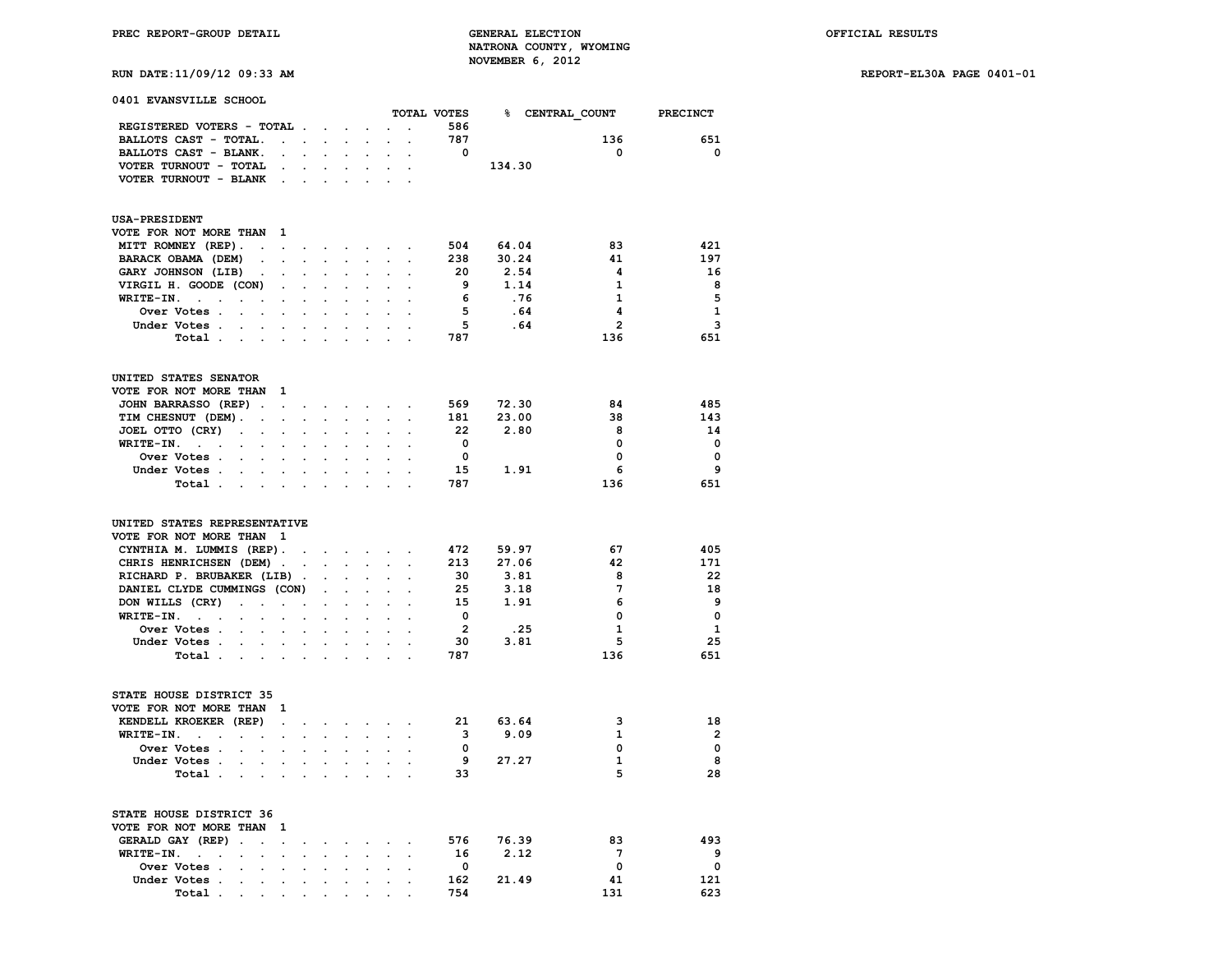**RUN DATE:11/09/12 09:33 AM REPORT-EL30A PAGE 0401-01**

|  | 0401 EVANSVILLE SCHOOL |  |
|--|------------------------|--|
|--|------------------------|--|

|                                                                                                                   |                      |                            |                           |                      |                      |                      | TOTAL VOTES             |        | <b>% CENTRAL COUNT</b> | <b>PRECINCT</b> |
|-------------------------------------------------------------------------------------------------------------------|----------------------|----------------------------|---------------------------|----------------------|----------------------|----------------------|-------------------------|--------|------------------------|-----------------|
| REGISTERED VOTERS - TOTAL .                                                                                       |                      | $\mathcal{L}^{\text{max}}$ | $\ddot{\phantom{a}}$      | $\ddot{\phantom{a}}$ |                      | $\ddot{\phantom{0}}$ | 586                     |        |                        |                 |
| BALLOTS CAST - TOTAL.<br>$\ddot{\phantom{a}}$                                                                     | $\sim$               | $\ddot{\phantom{0}}$       | $\ddot{\phantom{a}}$      | $\ddot{\phantom{a}}$ | $\ddot{\phantom{a}}$ | $\ddot{\phantom{0}}$ | 787                     |        | 136                    | 651             |
| BALLOTS CAST - BLANK.                                                                                             |                      |                            |                           |                      |                      |                      | $\overline{\mathbf{0}}$ |        | $\Omega$               | $^{\circ}$      |
| VOTER TURNOUT - TOTAL<br>$\cdot$                                                                                  |                      | $\ddot{\phantom{a}}$       | $\overline{a}$            | $\ddot{\phantom{a}}$ | $\ddot{\phantom{a}}$ | $\overline{a}$       |                         | 134.30 |                        |                 |
| VOTER TURNOUT - BLANK<br>$\sim$                                                                                   | $\ddot{\phantom{a}}$ | $\overline{a}$             |                           |                      |                      |                      |                         |        |                        |                 |
|                                                                                                                   |                      |                            |                           |                      |                      |                      |                         |        |                        |                 |
| <b>USA-PRESIDENT</b>                                                                                              |                      |                            |                           |                      |                      |                      |                         |        |                        |                 |
| VOTE FOR NOT MORE THAN<br>1                                                                                       |                      |                            |                           |                      |                      |                      |                         |        |                        |                 |
| MITT ROMNEY (REP).<br>$\ddot{\phantom{a}}$<br>$\ddot{\phantom{a}}$                                                | $\cdot$              | $\ddot{\phantom{0}}$       | $\ddot{\phantom{0}}$      | $\ddot{\phantom{0}}$ | $\ddot{\phantom{0}}$ | $\ddot{\phantom{a}}$ | 504                     | 64.04  | 83                     | 421             |
| BARACK OBAMA (DEM)                                                                                                |                      |                            |                           |                      | $\ddot{\phantom{a}}$ | $\overline{a}$       | 238                     | 30.24  | 41                     | 197             |
| GARY JOHNSON (LIB)<br>$\ddot{\phantom{0}}$                                                                        |                      |                            |                           |                      |                      |                      | 20                      | 2.54   | 4                      | 16              |
| VIRGIL H. GOODE (CON)<br>$\mathbf{r}$                                                                             |                      |                            |                           | $\ddot{\phantom{0}}$ |                      |                      | - 9                     | 1.14   | 1                      | 8               |
| WRITE-IN.<br>$\sim$<br>$\blacksquare$<br>$\cdot$<br>$\ddot{\phantom{a}}$<br>$\cdot$                               |                      |                            |                           | $\ddot{\phantom{a}}$ | $\ddot{\phantom{a}}$ |                      | 6                       | .76    | $\mathbf{1}$           | 5               |
| Over Votes .                                                                                                      |                      |                            |                           |                      |                      |                      | $-5$                    | .64    | 4                      | ${\bf 1}$       |
| Under Votes .                                                                                                     |                      |                            |                           |                      |                      |                      | 5                       | .64    | $\overline{2}$         | 3               |
| Total.<br>$\sim$ $\sim$ $\sim$                                                                                    |                      |                            |                           | $\ddot{\phantom{a}}$ |                      | $\overline{a}$       | 787                     |        | 136                    | 651             |
| UNITED STATES SENATOR                                                                                             |                      |                            |                           |                      |                      |                      |                         |        |                        |                 |
| VOTE FOR NOT MORE THAN<br>$\mathbf{1}$                                                                            |                      |                            |                           |                      |                      |                      |                         |        |                        |                 |
| JOHN BARRASSO (REP).<br>$\ddot{\phantom{a}}$                                                                      | $\cdot$              | $\bullet$                  | $\ddot{\phantom{0}}$      | $\sim$               |                      | $\ddot{\phantom{a}}$ | 569                     | 72.30  | 84                     | 485             |
| TIM CHESNUT (DEM).<br>$\sim$<br>$\ddot{\phantom{a}}$                                                              | $\cdot$              | $\ddot{\phantom{0}}$       | $\ddot{\phantom{0}}$      | $\ddot{\phantom{0}}$ | $\ddot{\phantom{0}}$ | $\ddot{\phantom{0}}$ | 181                     | 23.00  | 38                     | 143             |
| JOEL OTTO (CRY)<br>$\sim$<br>$\ddot{\phantom{0}}$<br>$\ddot{\phantom{0}}$                                         |                      |                            |                           |                      |                      |                      | - 22                    | 2.80   | 8                      | 14              |
| WRITE-IN.<br>$\cdot$ $\cdot$<br>$\bullet$                                                                         |                      |                            |                           | $\ddot{\phantom{0}}$ |                      | $\ddot{\phantom{a}}$ | $^{\circ}$              |        | $\mathbf 0$            | $\mathbf{0}$    |
| Over Votes .<br>$\overline{a}$                                                                                    |                      |                            |                           |                      |                      |                      | $\mathbf{0}$            |        | $\mathbf 0$            | $\Omega$        |
| Under Votes.<br>$\sim$<br>$\ddot{\phantom{0}}$<br>$\ddot{\phantom{a}}$                                            | $\ddot{\phantom{a}}$ | $\cdot$                    | $\ddot{\phantom{a}}$      | $\ddot{\phantom{0}}$ | $\ddot{\phantom{0}}$ | $\overline{a}$       | 15                      | 1.91   | 6                      | 9               |
| Total<br>$\sim$<br>$\ddot{\phantom{a}}$                                                                           |                      |                            |                           |                      |                      |                      | 787                     |        | 136                    | 651             |
|                                                                                                                   |                      |                            |                           |                      |                      |                      |                         |        |                        |                 |
| UNITED STATES REPRESENTATIVE<br>VOTE FOR NOT MORE THAN<br>$\mathbf{1}$                                            |                      |                            |                           |                      |                      |                      |                         |        |                        |                 |
| CYNTHIA M. LUMMIS (REP).                                                                                          |                      | $\sim$                     | $\sim$                    | $\sim$               | $\sim$               | $\cdot$              | 472                     | 59.97  | 67                     | 405             |
| CHRIS HENRICHSEN (DEM).                                                                                           |                      | $\sim$                     | $\mathbf{L}^{\text{max}}$ | $\sim$               | $\mathbf{r}$         | $\ddot{\phantom{a}}$ | 213                     | 27.06  | 42                     | 171             |
| RICHARD P. BRUBAKER (LIB)                                                                                         | $\sim$               | $\cdot$                    |                           | $\cdot$              | $\ddot{\phantom{a}}$ |                      | 30                      | 3.81   | 8                      | 22              |
| DANIEL CLYDE CUMMINGS (CON)                                                                                       |                      | $\mathbf{r}$               |                           |                      |                      |                      | 25                      | 3.18   | $7\phantom{.0}$        | 18              |
| DON WILLS (CRY)<br>$\mathbf{r}$<br>$\overline{a}$<br>$\mathbf{r}$                                                 | $\overline{a}$       |                            |                           |                      |                      |                      | 15                      | 1.91   | 6                      | 9               |
| WRITE-IN.<br>$\sim$ $\sim$<br>$\overline{a}$                                                                      |                      | $\ddot{\phantom{0}}$       | $\ddot{\phantom{a}}$      | $\ddot{\phantom{a}}$ |                      | $\ddot{\phantom{a}}$ | $\overline{\mathbf{0}}$ |        | $\mathbf 0$            | $\mathbf 0$     |
| Over Votes .<br>$\cdot$<br>$\ddot{\phantom{a}}$                                                                   |                      |                            |                           |                      |                      |                      | $\overline{\mathbf{2}}$ | .25    | 1                      | $\mathbf{1}$    |
| Under Votes.                                                                                                      |                      |                            |                           |                      |                      |                      | 30                      | 3.81   | 5                      | 25              |
| Total.<br>$\sim$<br>$\sim$<br>$\cdot$                                                                             |                      |                            |                           |                      |                      |                      | 787                     |        | 136                    | 651             |
| STATE HOUSE DISTRICT 35                                                                                           |                      |                            |                           |                      |                      |                      |                         |        |                        |                 |
| VOTE FOR NOT MORE THAN<br>$\mathbf{1}$                                                                            |                      |                            |                           |                      |                      |                      |                         |        |                        |                 |
| KENDELL KROEKER (REP)<br>$\ddot{\phantom{0}}$                                                                     | $\ddot{\phantom{a}}$ | $\ddot{\phantom{0}}$       | $\ddot{\phantom{0}}$      | $\sim$               | $\ddot{\phantom{0}}$ | $\ddot{\phantom{a}}$ | 21                      | 63.64  | ঽ                      | 18              |
| WRITE-IN.<br>$\sim 10^{-10}$ km s $^{-1}$<br>$\ddot{\phantom{a}}$<br>$\ddot{\phantom{a}}$<br>$\ddot{\phantom{a}}$ | $\ddot{\phantom{a}}$ | $\ddot{\phantom{0}}$       | $\ddot{\phantom{0}}$      | $\ddot{\phantom{0}}$ |                      | $\ddot{\phantom{a}}$ | $\overline{\mathbf{3}}$ | 9.09   | 1                      | $\overline{2}$  |
| Over Votes .<br>$\ddot{\phantom{0}}$<br>$\bullet$<br>$\ddot{\phantom{a}}$                                         |                      | $\ddot{\phantom{a}}$       | $\ddot{\phantom{0}}$      | $\ddot{\phantom{0}}$ | $\ddot{\phantom{0}}$ |                      | $^{\circ}$              |        | $\Omega$               | $\Omega$        |
| Under Votes.                                                                                                      |                      |                            |                           |                      |                      |                      | 9                       | 27.27  | 1                      | 8               |
| Total.<br>$\bullet$<br>$\ddot{\phantom{a}}$<br>$\cdot$                                                            |                      | $\cdot$                    |                           | $\ddot{\phantom{a}}$ |                      | $\overline{a}$       | 33                      |        | 5                      | 28              |
|                                                                                                                   |                      |                            |                           |                      |                      |                      |                         |        |                        |                 |
| STATE HOUSE DISTRICT 36                                                                                           |                      |                            |                           |                      |                      |                      |                         |        |                        |                 |
| VOTE FOR NOT MORE THAN<br>1                                                                                       |                      |                            |                           |                      |                      |                      |                         |        |                        |                 |
| GERALD GAY (REP)<br>$\ddot{\phantom{a}}$<br>$\overline{a}$                                                        |                      | $\ddot{\phantom{a}}$       | $\ddot{\phantom{a}}$      | $\cdot$              | $\cdot$              |                      | 576                     | 76.39  | 83                     | 493             |
| WRITE-IN.<br>$\sim$ $\sim$<br>$\ddot{\phantom{a}}$<br>$\ddot{\phantom{a}}$<br>$\bullet$<br>$\cdot$                | $\ddot{\phantom{a}}$ | $\ddot{\phantom{a}}$       | $\ddot{\phantom{a}}$      | $\ddot{\phantom{0}}$ | $\cdot$              | $\ddot{\phantom{a}}$ | 16                      | 2.12   | $7\phantom{.0}$        | 9               |
| Over Votes .<br>$\ddot{\phantom{0}}$                                                                              |                      |                            |                           |                      |                      |                      | $\overline{\mathbf{0}}$ |        | 0                      | $\mathbf 0$     |
| Under Votes.<br>$\sim$ $\sim$<br>$\cdot$<br>$\cdot$                                                               | $\cdot$              | $\cdot$                    | $\ddot{\phantom{a}}$      | $\ddot{\phantom{0}}$ | $\ddot{\phantom{0}}$ | $\ddot{\phantom{a}}$ | 162                     | 21.49  | 41                     | 121             |
| Total .<br>$\sim$<br>$\sim$<br>$\overline{a}$                                                                     | $\overline{a}$       | $\bullet$                  | $\ddot{\phantom{0}}$      | $\ddot{\phantom{0}}$ | $\overline{a}$       |                      | 754                     |        | 131                    | 623             |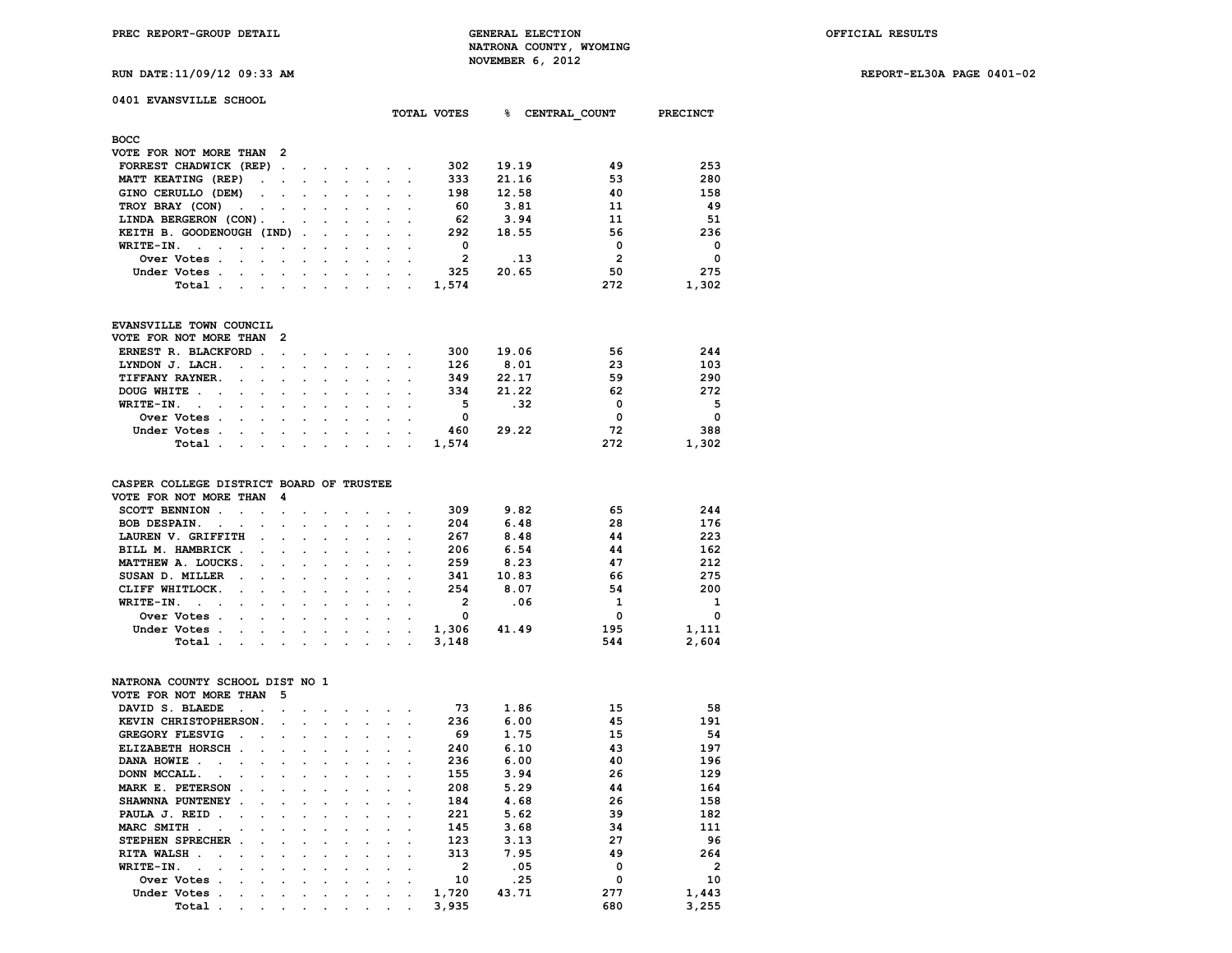**PREC REPORT-GROUP DETAIL GENERAL ELECTION OFFICIAL RESULTS NATRONA COUNTY, WYOMING RUN DATE:11/09/12 09:33 AM NOVEMBER 6, 2012** 

**RUN DATE:11/09/12 09:33 AM REPORT-EL30A PAGE 0401-02**

|  |  |  |  | <b>RUN DATE:11/09/12 09:33 A</b> |  |
|--|--|--|--|----------------------------------|--|
|--|--|--|--|----------------------------------|--|

## **0401 EVANSVILLE SCHOOL**

|                                                       |                      |            |                          |                                 |                      |         | TOTAL VOTES    | ዱ<br>CENTRAL COUNT |                | <b>PRECINCT</b> |
|-------------------------------------------------------|----------------------|------------|--------------------------|---------------------------------|----------------------|---------|----------------|--------------------|----------------|-----------------|
| <b>BOCC</b>                                           |                      |            |                          |                                 |                      |         |                |                    |                |                 |
| VOTE FOR NOT MORE THAN 2                              |                      |            |                          |                                 |                      |         |                |                    |                |                 |
| FORREST CHADWICK (REP).                               |                      | $\sim 100$ |                          | <b>Contract Contract Street</b> |                      | $\sim$  | 302            | 19.19              | 49             | 253             |
| MATT KEATING (REP)                                    |                      | $\sim$     | <b>Contract Contract</b> |                                 | $\sim$               | $\sim$  | 333            | 21.16              | 53             | 280             |
| GINO CERULLO (DEM)<br><b>Contract Contract Street</b> |                      |            | $\ddot{\phantom{0}}$     | $\sim$                          | $\ddot{\phantom{a}}$ |         | 198            | 12.58              | 40             | 158             |
| TROY BRAY (CON).                                      | $\sim$               | $\sim$     | $\ddot{\phantom{a}}$     | $\overline{\phantom{a}}$        | $\ddot{\phantom{a}}$ |         | 60             | 3.81               | 11             | 49              |
| LINDA BERGERON (CON).                                 | $\sim$ $\sim$ $\sim$ |            | <b>Contract Contract</b> |                                 | $\sim$ 100 $\mu$     |         | 62             | 3.94               | 11             | 51              |
| KEITH B. GOODENOUGH (IND).                            |                      |            | $\sim$ $\sim$ $\sim$     |                                 | $\ddot{\phantom{a}}$ |         | 292            | 18.55              | 56             | 236             |
| WRITE-IN.<br>$\sim$<br>$\sim$                         |                      |            | $\cdot$                  | $\sim$                          | $\cdot$              |         | 0              |                    | 0              | $\Omega$        |
| Over Votes.<br>$\sim$<br>$\sim$                       | $\sim$               |            | $\cdot$                  | $\sim$                          | $\cdot$              |         | $\overline{2}$ | .13                | $\overline{2}$ | $\Omega$        |
| Under Votes.<br>$\sim$ 100 $\pm$                      | $\sim$               | $\sim$     | $\sim$                   | $\sim$                          | $\cdot$              | $\cdot$ | 325            | 20.65              | 50             | 275             |
| Total .                                               |                      |            |                          |                                 |                      |         | 1,574          |                    | 272            | 1,302           |
|                                                       |                      |            |                          |                                 |                      |         |                |                    |                |                 |

### **EVANSVILLE TOWN COUNCIL**

| VOTE FOR NOT MORE THAN 2 |  |  |  |  |                                                                                                                 |       |       |          |          |
|--------------------------|--|--|--|--|-----------------------------------------------------------------------------------------------------------------|-------|-------|----------|----------|
| ERNEST R. BLACKFORD.     |  |  |  |  |                                                                                                                 | 300   | 19.06 | 56       | 244      |
| LYNDON J. LACH.          |  |  |  |  |                                                                                                                 | 126   | 8.01  | 23       | 103      |
| TIFFANY RAYNER.          |  |  |  |  |                                                                                                                 | 349   | 22.17 | 59       | 290      |
| DOUG WHITE               |  |  |  |  |                                                                                                                 | 334   | 21.22 | 62       | 272      |
| WRITE-IN.                |  |  |  |  |                                                                                                                 | 5     | .32   | $\Omega$ | -5       |
| Over Votes               |  |  |  |  |                                                                                                                 |       |       | $\Omega$ | $\Omega$ |
| Under Votes              |  |  |  |  |                                                                                                                 | 460   | 29.22 | 72       | 388      |
| Total .                  |  |  |  |  | the contract of the contract of the contract of the contract of the contract of the contract of the contract of | 1,574 |       | 272      | 1,302    |

#### **CASPER COLLEGE DISTRICT BOARD OF TRUSTEE VOTE FOR NOT MORE THAN 4**

| SCOTT BENNION                                                                                                              |  |  |  | 309        | 9.82  | 65  | 244            |
|----------------------------------------------------------------------------------------------------------------------------|--|--|--|------------|-------|-----|----------------|
| BOB DESPAIN.                                                                                                               |  |  |  | 204        | 6.48  | 28  | 176            |
| LAUREN V. GRIFFITH                                                                                                         |  |  |  | 267        | 8.48  | 44  | 223            |
| BILL M. HAMBRICK                                                                                                           |  |  |  | 206        | 6.54  | 44  | 162            |
| MATTHEW A. LOUCKS.                                                                                                         |  |  |  | 259        | 8.23  | 47  | 212            |
| SUSAN D. MILLER                                                                                                            |  |  |  | 341        | 10.83 | 66  | 275            |
| CLIFF WHITLOCK.                                                                                                            |  |  |  | 254        | 8.07  | 54  | 200            |
| WRITE-IN.                                                                                                                  |  |  |  |            | .06   |     | $\blacksquare$ |
| Over Votes                                                                                                                 |  |  |  | $^{\circ}$ |       | 0   | $\mathbf 0$    |
| Under Votes                                                                                                                |  |  |  | 1,306      | 41.49 | 195 | 1,111          |
| Total .<br>the contract of the contract of the contract of the contract of the contract of the contract of the contract of |  |  |  | 3,148      |       | 544 | 2,604          |
|                                                                                                                            |  |  |  |            |       |     |                |

# **NATRONA COUNTY SCHOOL DIST NO 1**

| VOTE FOR NOT MORE THAN |                          |                      | 5                    |        |         |         |         |   |           |              |       |     |       |
|------------------------|--------------------------|----------------------|----------------------|--------|---------|---------|---------|---|-----------|--------------|-------|-----|-------|
| DAVID S. BLAEDE        |                          |                      |                      |        |         |         |         |   |           | 73           | 1.86  | 15  | 58    |
| KEVIN CHRISTOPHERSON.  |                          |                      | $\ddot{\phantom{0}}$ |        |         |         |         |   |           | 236          | 6.00  | 45  | 191   |
| <b>GREGORY FLESVIG</b> | $\overline{a}$           |                      |                      |        |         |         |         |   |           | 69           | 1.75  | 15  | 54    |
| ELIZABETH HORSCH.      |                          | $\ddot{\phantom{a}}$ |                      |        |         |         |         |   |           | 240          | 6.10  | 43  | 197   |
| DANA HOWIE<br>$\sim$   |                          |                      |                      |        |         |         |         |   |           | 236          | 6.00  | 40  | 196   |
| DONN MCCALL.           |                          |                      |                      |        |         |         |         |   |           | 155          | 3.94  | 26  | 129   |
| MARK E. PETERSON       |                          |                      |                      |        |         |         |         |   |           | 208          | 5.29  | 44  | 164   |
| SHAWNNA PUNTENEY       | $\overline{\phantom{a}}$ |                      |                      |        |         |         |         |   |           | 184          | 4.68  | 26  | 158   |
| PAULA J. REID.         | $\overline{a}$           |                      |                      |        |         |         |         |   |           | 221          | 5.62  | 39  | 182   |
| MARC SMITH             |                          |                      |                      |        |         |         |         |   |           | 145          | 3.68  | 34  | 111   |
| STEPHEN SPRECHER.      |                          |                      |                      | $\sim$ |         |         |         |   |           | 123          | 3.13  | 27  | 96    |
| RITA WALSH.            | $\ddot{\phantom{a}}$     |                      | $\ddot{\phantom{a}}$ |        |         |         |         |   |           | 313          | 7.95  | 49  | 264   |
| WRITE-IN.              |                          |                      |                      |        |         |         |         |   |           | $\mathbf{2}$ | .05   | 0   | 2     |
| Over Votes.            | $\mathbf{r}$             |                      | $\bullet$            |        |         |         |         |   |           | 10           | .25   | 0   | 10    |
| Under Votes.           |                          |                      |                      |        |         | ٠       |         |   |           | 1,720        | 43.71 | 277 | 1,443 |
| Total                  | $\cdot$                  | $\bullet$            | $\ddot{\phantom{0}}$ | ٠      | $\cdot$ | $\cdot$ | $\cdot$ | ٠ | $\bullet$ | 3,935        |       | 680 | 3,255 |
|                        |                          |                      |                      |        |         |         |         |   |           |              |       |     |       |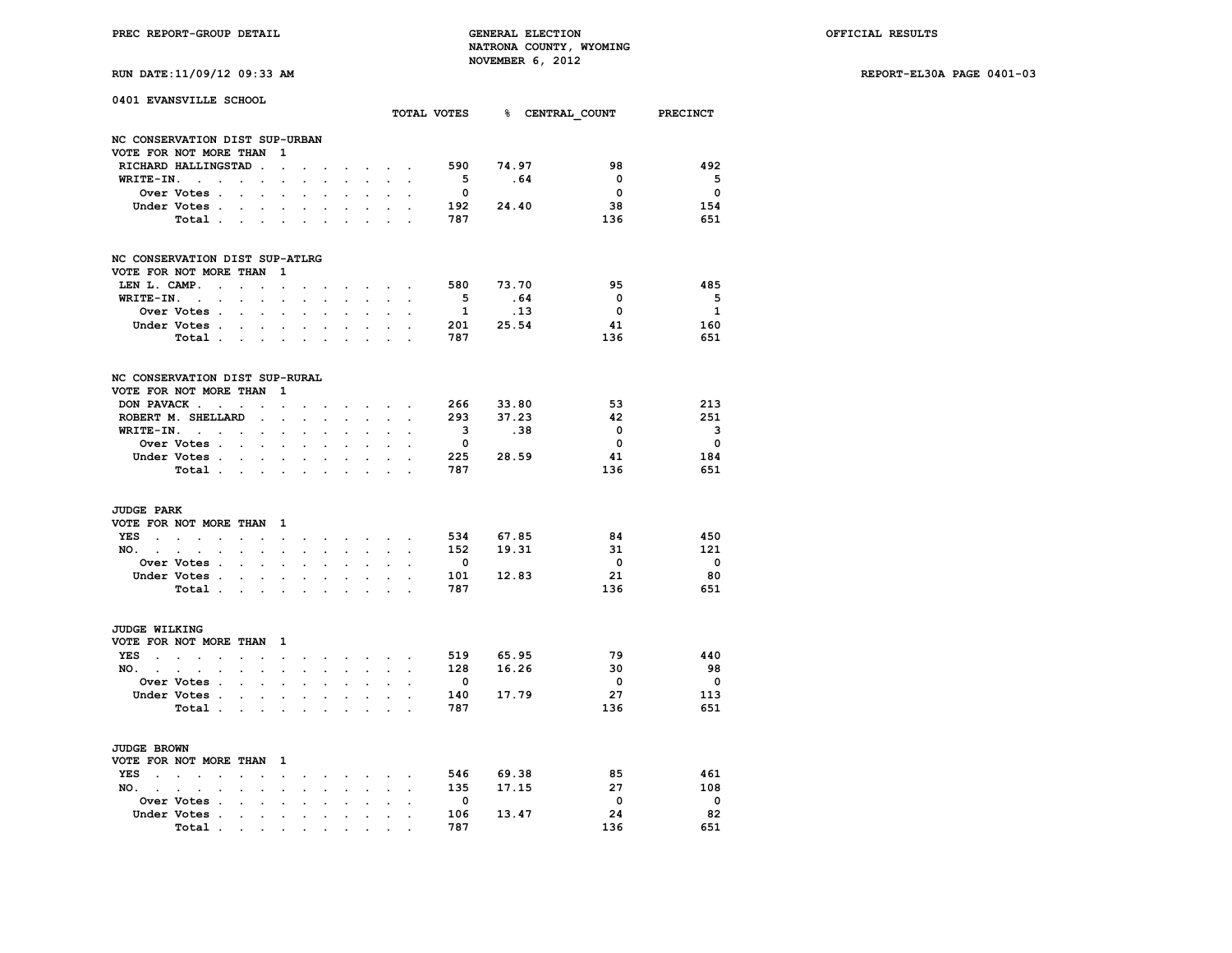**RUN DATE:11/09/12 09:33 AM REPORT-EL30A PAGE 0401-03**

| RUN DATE:11/09/12 09:33 AM |  |  |  |
|----------------------------|--|--|--|
|----------------------------|--|--|--|

| 0401 EVANSVILLE SCHOOL         |                                                                     |                      |                          |                                              |                                      |                        |                      |                                                         |                                        |                      |                         |             |                                      |                          |
|--------------------------------|---------------------------------------------------------------------|----------------------|--------------------------|----------------------------------------------|--------------------------------------|------------------------|----------------------|---------------------------------------------------------|----------------------------------------|----------------------|-------------------------|-------------|--------------------------------------|--------------------------|
|                                |                                                                     |                      |                          |                                              |                                      |                        |                      |                                                         |                                        |                      |                         |             | TOTAL VOTES 8 CENTRAL COUNT PRECINCT |                          |
| NC CONSERVATION DIST SUP-URBAN |                                                                     |                      |                          |                                              |                                      |                        |                      |                                                         |                                        |                      |                         |             |                                      |                          |
| VOTE FOR NOT MORE THAN         |                                                                     |                      |                          | 1                                            |                                      |                        |                      |                                                         |                                        |                      |                         |             |                                      |                          |
|                                | RICHARD HALLINGSTAD                                                 |                      | $\ddot{\phantom{a}}$     | $\ddot{\phantom{0}}$                         |                                      |                        |                      |                                                         | $\mathbf{r} = \mathbf{r} + \mathbf{r}$ |                      | 590                     | 74.97       | 98                                   | 492                      |
| WRITE-IN.                      | $\sim$ $\sim$                                                       | $\ddot{\phantom{a}}$ | $\ddot{\phantom{0}}$     | $\cdot$                                      |                                      |                        |                      |                                                         |                                        |                      | $5^{\circ}$             | .64         | 0                                    | 5                        |
|                                | Over Votes .                                                        | $\ddot{\phantom{0}}$ |                          |                                              |                                      |                        |                      |                                                         |                                        |                      | $\overline{\mathbf{0}}$ |             | $\mathbf{0}$                         | $\overline{\mathbf{0}}$  |
|                                | Under Votes .                                                       |                      |                          | $\ddot{\phantom{a}}$                         |                                      |                        |                      |                                                         |                                        |                      |                         | 192 24.40   | 38                                   | 154                      |
|                                | Total .                                                             | $\sim$               | $\ddot{\phantom{a}}$     | $\cdot$                                      | $\cdot$                              |                        |                      |                                                         |                                        |                      | 787                     |             | 136                                  | 651                      |
| NC CONSERVATION DIST SUP-ATLRG |                                                                     |                      |                          |                                              |                                      |                        |                      |                                                         |                                        |                      |                         |             |                                      |                          |
| VOTE FOR NOT MORE THAN         |                                                                     |                      |                          | 1                                            |                                      |                        |                      |                                                         |                                        |                      |                         |             |                                      |                          |
| LEN L. CAMP.                   | $\sim$                                                              | $\sim$               | $\ddot{\phantom{a}}$     | $\ddot{\phantom{0}}$                         |                                      |                        |                      |                                                         | $\sim$ $\sim$ $\sim$ $\sim$            |                      | 580                     | 73.70       | 95                                   | 485                      |
| WRITE-IN.                      | $\sim$<br>$\ddot{\phantom{0}}$                                      | $\cdot$              | $\cdot$                  | $\cdot$                                      |                                      | $\ddot{\phantom{a}}$   |                      | $\cdot$                                                 |                                        |                      | $5^{\circ}$             | .64         | $\mathbf{0}$                         | 5                        |
|                                | Over Votes .                                                        | $\overline{a}$       | $\cdot$                  | $\ddot{\phantom{a}}$                         | $\overline{a}$                       | $\cdot$                | $\overline{a}$       | $\ddot{\phantom{0}}$                                    | $\ddot{\phantom{a}}$                   |                      | $\mathbf{1}$            | $\ldots$ 13 | $\overline{\phantom{0}}$             | $\mathbf{1}$             |
|                                | Under Votes .                                                       | $\ddot{\phantom{a}}$ |                          | $\ddot{\phantom{a}}$                         |                                      |                        |                      |                                                         |                                        |                      |                         | 201 25.54   | 41                                   | 160                      |
|                                | Total                                                               |                      | $\sim$                   | $\ddot{\phantom{0}}$                         | $\cdot$                              | $\ddot{\phantom{a}}$   |                      |                                                         |                                        |                      | 787                     |             | 136                                  | 651                      |
| NC CONSERVATION DIST SUP-RURAL |                                                                     |                      |                          |                                              |                                      |                        |                      |                                                         |                                        |                      |                         |             |                                      |                          |
| VOTE FOR NOT MORE THAN         |                                                                     |                      |                          | 1                                            |                                      |                        |                      |                                                         |                                        |                      |                         |             |                                      |                          |
|                                | DON PAVACK                                                          |                      | $\ddot{\phantom{a}}$     | $\ddot{\phantom{0}}$                         |                                      |                        |                      |                                                         | $\sim$ $\sim$                          |                      |                         | 266 33.80   | 53                                   | 213                      |
|                                | ROBERT M. SHELLARD                                                  |                      | $\cdot$                  | $\ddot{\phantom{a}}$                         | $\ddot{\phantom{a}}$                 | $\mathbf{r}$           |                      | $\sim$                                                  |                                        |                      | 293                     | 37.23       | -42                                  | 251                      |
|                                | $WRITE-IN.$                                                         |                      | $\ddot{\phantom{0}}$     | $\ddot{\phantom{0}}$                         | $\cdot$                              | $\ddot{\phantom{a}}$   | $\ddot{\phantom{a}}$ | $\ddot{\phantom{0}}$                                    | $\cdot$                                |                      | $\overline{\mathbf{3}}$ | .38         | 0                                    | 3                        |
|                                | Over Votes .                                                        | $\sim$               |                          |                                              |                                      |                        |                      |                                                         |                                        |                      | $\overline{\mathbf{0}}$ |             | $\overline{\mathbf{0}}$              | $\overline{\mathbf{0}}$  |
|                                | Under Votes.                                                        |                      |                          |                                              |                                      |                        |                      |                                                         |                                        |                      | 225                     | 28.59       | 41                                   | 184                      |
|                                | Total .                                                             | $\sim$               | $\ddot{\phantom{0}}$     | $\ddot{\phantom{0}}$                         | $\ddot{\phantom{0}}$                 | $\ddot{\phantom{0}}$   |                      | $\sim$<br>$\cdot$                                       | $\sim$                                 |                      | 787                     |             | 136                                  | 651                      |
|                                |                                                                     | $\sim$               | $\bullet$ .              | $\bullet$                                    | $\ddot{\phantom{0}}$                 | $\ddot{\phantom{0}}$   | $\cdot$              |                                                         | $\ddot{\phantom{0}}$                   |                      |                         |             |                                      |                          |
| <b>JUDGE PARK</b>              |                                                                     |                      |                          |                                              |                                      |                        |                      |                                                         |                                        |                      |                         |             |                                      |                          |
| VOTE FOR NOT MORE THAN         |                                                                     |                      |                          | $\mathbf{1}$                                 |                                      |                        |                      |                                                         |                                        |                      |                         |             |                                      |                          |
| <b>YES</b><br>$\sim$           | $\mathcal{L}^{\text{max}}$ and $\mathcal{L}^{\text{max}}$<br>$\sim$ | $\cdot$              | $\ddot{\phantom{a}}$     | $\sim$                                       | $\cdot$                              | $\cdot$                |                      | <b>Sales Advised Service</b>                            |                                        | $\ddot{\phantom{a}}$ | 534                     | 67.85       | -84                                  | 450                      |
| NO.                            | $\sim$ $\sim$<br>$\ddot{\phantom{0}}$                               | $\ddot{\phantom{0}}$ | $\ddot{\phantom{0}}$     | $\ddot{\phantom{0}}$                         | $\cdot$                              | $\ddot{\phantom{a}}$   | $\ddot{\phantom{a}}$ | $\mathbf{L}^{\text{max}}$                               | $\mathbf{r}$                           | $\ddot{\phantom{a}}$ | 152                     | 19.31       | 31                                   | 121                      |
|                                | Over Votes .                                                        |                      |                          |                                              |                                      |                        |                      |                                                         |                                        |                      | $\overline{\mathbf{0}}$ |             | $\overline{\mathbf{0}}$              | $\overline{\mathbf{0}}$  |
|                                | Under Votes .                                                       | $\cdot$              | $\cdot$                  | $\sim$                                       |                                      | $\cdot$                |                      |                                                         |                                        |                      | 101                     | 12.83       | 21                                   | 80                       |
|                                | Total .                                                             |                      | <b>Contract Contract</b> | $\ddot{\phantom{0}}$                         | $\ddot{\phantom{0}}$                 | $\ddot{\phantom{0}}$   | $\ddot{\phantom{0}}$ | $\bullet$                                               | $\ddot{\phantom{0}}$                   | $\overline{a}$       | 787                     |             | 136                                  | 651                      |
| <b>JUDGE WILKING</b>           |                                                                     |                      |                          |                                              |                                      |                        |                      |                                                         |                                        |                      |                         |             |                                      |                          |
| VOTE FOR NOT MORE THAN 1       |                                                                     |                      |                          |                                              |                                      |                        |                      |                                                         |                                        |                      |                         |             |                                      |                          |
| <b>YES</b><br>$\sim$ $\sim$    | $\mathbf{L} = \mathbf{L}$<br>$\sim$                                 | $\ddot{\phantom{a}}$ | $\ddot{\phantom{a}}$     |                                              |                                      |                        |                      |                                                         |                                        | $\ddot{\phantom{a}}$ | 519                     | 65.95       | 79                                   | 440                      |
| NO. .                          | $\sim$<br>$\cdot$<br>$\cdot$                                        | $\ddot{\phantom{a}}$ | $\ddot{\phantom{a}}$     | $\ddot{\phantom{0}}$<br>$\ddot{\phantom{a}}$ | $\ddot{\phantom{0}}$<br>$\mathbf{r}$ | $\sim$<br>$\mathbf{r}$ | $\mathbf{r}$         | the contract of the contract of<br>$\ddot{\phantom{0}}$ | $\ddot{\phantom{a}}$                   | $\ddot{\phantom{a}}$ | 128                     | 16.26       | 30                                   | 98                       |
|                                | Over Votes .                                                        |                      |                          |                                              |                                      |                        |                      |                                                         |                                        |                      | $\overline{\mathbf{0}}$ |             | $\overline{\phantom{0}}$             | $\overline{\mathbf{0}}$  |
|                                | Under Votes .                                                       | $\ddot{\phantom{a}}$ |                          |                                              |                                      |                        |                      |                                                         |                                        |                      | 140                     | 17.79       | 27                                   | 113                      |
|                                |                                                                     | $\cdot$              | $\cdot$                  | $\cdot$                                      |                                      | $\cdot$                |                      | $\ddot{\phantom{0}}$                                    |                                        |                      | 787                     |             | 136                                  | 651                      |
|                                | Total .                                                             | $\cdot$              | $\bullet$ .              | $\cdot$                                      | $\cdot$                              |                        | $\cdot$              | $\cdot$                                                 | $\cdot$                                | $\overline{a}$       |                         |             |                                      |                          |
| <b>JUDGE BROWN</b>             |                                                                     |                      |                          |                                              |                                      |                        |                      |                                                         |                                        |                      |                         |             |                                      |                          |
| VOTE FOR NOT MORE THAN         |                                                                     |                      |                          | $\mathbf{1}$                                 |                                      |                        |                      |                                                         |                                        |                      |                         |             |                                      |                          |
| <b>YES</b><br>$\sim$           | $\sim$ $\sim$<br>$\cdot$                                            | $\overline{a}$       |                          | $\ddot{\phantom{0}}$                         | $\cdot$                              | $\cdot$                | $\sim$               | $\sim$                                                  | $\ddot{\phantom{a}}$                   |                      | 546                     | 69.38       | 85                                   | 461                      |
| NO. .                          | $\sim$<br>$\bullet$<br>$\ddot{\phantom{a}}$                         |                      |                          | $\bullet$                                    | $\cdot$                              |                        | $\ddot{\phantom{a}}$ | $\ddot{\phantom{a}}$                                    | $\cdot$                                | $\ddot{\phantom{a}}$ | 135                     | 17.15       | 27                                   | 108                      |
|                                | Over Votes .                                                        |                      |                          |                                              |                                      |                        |                      |                                                         |                                        |                      | $\overline{\mathbf{0}}$ |             | $\overline{\mathbf{0}}$              | $\overline{\phantom{0}}$ |
|                                | Under Votes .                                                       | $\ddot{\phantom{0}}$ | $\ddot{\phantom{0}}$     | $\bullet$                                    | $\ddot{\phantom{0}}$                 | $\ddot{\phantom{0}}$   |                      | $\cdot$                                                 | $\ddot{\phantom{a}}$                   |                      | 106                     | 13.47       | 24                                   | 82                       |
|                                | Total.                                                              |                      |                          |                                              |                                      |                        |                      |                                                         |                                        |                      | 787                     |             | 136                                  | 651                      |
|                                |                                                                     |                      |                          |                                              |                                      |                        |                      |                                                         |                                        |                      |                         |             |                                      |                          |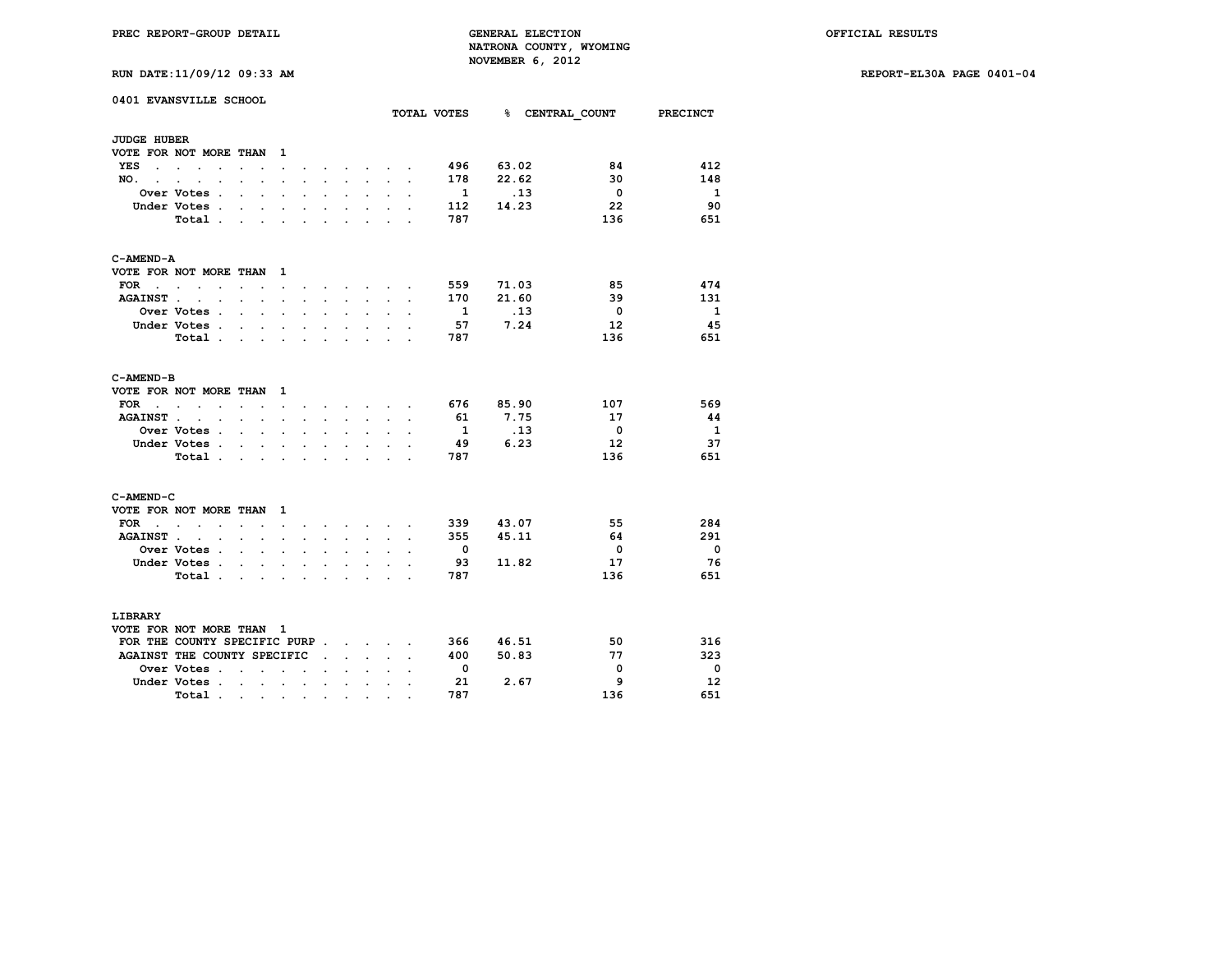**RUN DATE:11/09/12 09:33 AM REPORT-EL30A PAGE 0401-04**

|                             | 0401 EVANSVILLE SCHOOL                       |                                                                                               |                           |                      |                      |                      |                      |                                      |                      |                      | TOTAL VOTES              |       | % CENTRAL COUNT PRECINCT |                          |
|-----------------------------|----------------------------------------------|-----------------------------------------------------------------------------------------------|---------------------------|----------------------|----------------------|----------------------|----------------------|--------------------------------------|----------------------|----------------------|--------------------------|-------|--------------------------|--------------------------|
| <b>JUDGE HUBER</b>          |                                              |                                                                                               |                           |                      |                      |                      |                      |                                      |                      |                      |                          |       |                          |                          |
|                             | VOTE FOR NOT MORE THAN                       |                                                                                               |                           | $\mathbf{1}$         |                      |                      |                      |                                      |                      |                      |                          |       |                          |                          |
| YES                         | the contract of the contract of the          | $\ddot{\phantom{0}}$                                                                          |                           | $\ddot{\phantom{0}}$ |                      |                      |                      | <b>Contract Contract Contract</b>    |                      |                      | 496                      | 63.02 | 84                       | 412                      |
| NO.,                        |                                              |                                                                                               |                           |                      |                      |                      |                      |                                      |                      |                      | 178                      | 22.62 | 30                       | 148                      |
|                             | Over Votes .                                 | $\ddot{\phantom{a}}$                                                                          | $\ddot{\phantom{a}}$      | $\cdot$              | $\cdot$              | $\ddot{\phantom{a}}$ | $\ddot{\phantom{0}}$ | $\ddot{\phantom{0}}$                 |                      | $\overline{a}$       | $\mathbf{1}$             | .13   | $\overline{\phantom{0}}$ | $\overline{\mathbf{1}}$  |
|                             | Under Votes .                                | $\cdot$                                                                                       |                           | $\bullet$            |                      | $\bullet$            |                      | $\ddot{\phantom{0}}$                 |                      |                      | 112                      | 14.23 | 22                       | -90                      |
|                             | Total.                                       | $\sim$                                                                                        | $\sim$                    | $\sim$               | $\mathbf{r}$         | $\sim$               | $\overline{a}$       | $\overline{a}$                       |                      |                      | 787                      |       | 136                      | 651                      |
| C-AMEND-A                   |                                              |                                                                                               |                           |                      |                      |                      |                      |                                      |                      |                      |                          |       |                          |                          |
|                             | VOTE FOR NOT MORE THAN 1                     |                                                                                               |                           |                      |                      |                      |                      |                                      |                      |                      |                          |       |                          |                          |
| FOR                         | $\sim$<br>$\mathbf{r}$                       | $\ddot{\phantom{a}}$                                                                          | $\sim$                    | $\ddot{\phantom{0}}$ |                      |                      | $\sim$               | $\sim$                               |                      |                      | 559                      | 71.03 | 85                       | 474                      |
| <b>AGAINST.</b>             | $\sim$ $\sim$                                | $\sim$                                                                                        | $\mathbf{r}$              | $\ddot{\phantom{a}}$ | $\ddot{\phantom{a}}$ | $\sim$               | $\sim$               | $\ddot{\phantom{0}}$                 | $\ddot{\phantom{0}}$ | $\ddot{\phantom{a}}$ | 170                      | 21.60 | 39                       | 131                      |
|                             | Over Votes .                                 | $\mathbf{r}$                                                                                  | $\sim$                    |                      |                      |                      |                      |                                      |                      |                      | 1                        | .13   | $\overline{\mathbf{0}}$  | $\overline{\mathbf{1}}$  |
|                             | Under Votes .                                | $\mathbf{r}$                                                                                  | $\mathbf{r}$              | $\sim$               | $\cdot$              | $\ddot{\phantom{0}}$ | $\overline{a}$       | $\mathbf{r}$                         |                      |                      | 57                       | 7.24  | -12                      | -45                      |
|                             | Total                                        |                                                                                               |                           |                      |                      |                      | $\ddot{\phantom{0}}$ | $\sim$                               | $\ddot{\phantom{0}}$ |                      | 787                      |       | 136                      | 651                      |
|                             |                                              |                                                                                               |                           |                      |                      |                      |                      |                                      |                      |                      |                          |       |                          |                          |
| C-AMEND-B                   |                                              |                                                                                               |                           |                      |                      |                      |                      |                                      |                      |                      |                          |       |                          |                          |
|                             | VOTE FOR NOT MORE THAN                       |                                                                                               |                           | $\mathbf{1}$         |                      |                      |                      |                                      |                      |                      |                          |       |                          |                          |
| FOR<br>$\sim$ $\sim$ $\sim$ | $\sim$<br>$\sim$ $\sim$                      | $\sim$ $\sim$                                                                                 |                           | $\sim$ $\sim$        |                      |                      |                      | and a strong control of the state of |                      |                      | 676                      | 85.90 | 107                      | 569                      |
| <b>AGAINST.</b>             | $\ddot{\phantom{a}}$<br>$\sim$               | $\sim$ $\sim$                                                                                 |                           | $\bullet$            |                      | $\ddot{\phantom{0}}$ |                      | $\ddot{\phantom{0}}$                 |                      |                      | 61                       | 7.75  | 17                       | -44                      |
|                             | <b>Over Votes</b> .                          | $\sim$                                                                                        | $\mathbf{r}$              | $\ddot{\phantom{a}}$ | $\cdot$              |                      |                      |                                      |                      |                      | $\mathbf{1}$             | .13   | $\overline{\mathbf{0}}$  | - 1                      |
|                             | Under Votes .                                | $\sim$                                                                                        | $\ddot{\phantom{0}}$      | $\ddot{\phantom{0}}$ | $\ddot{\phantom{0}}$ | $\overline{a}$       | $\ddot{\phantom{0}}$ | $\ddot{\phantom{0}}$                 |                      |                      | - 49                     | 6.23  | -12                      | 37                       |
|                             | Total.                                       | $\ddot{\phantom{0}}$                                                                          | $\ddot{\phantom{a}}$      |                      |                      |                      |                      | $\ddot{\phantom{0}}$                 |                      |                      | 787                      |       | 136                      | 651                      |
| C-AMEND-C                   |                                              |                                                                                               |                           |                      |                      |                      |                      |                                      |                      |                      |                          |       |                          |                          |
|                             | VOTE FOR NOT MORE THAN                       |                                                                                               |                           | $\mathbf{1}$         |                      |                      |                      |                                      |                      |                      |                          |       |                          |                          |
| FOR .                       | $\sim$ $\sim$<br>$\sim$                      | $\cdot$                                                                                       |                           |                      |                      |                      | $\cdot$              | <b>Contract Contract Contract</b>    |                      |                      | 339                      | 43.07 | 55                       | 284                      |
| <b>AGAINST.</b>             | $\ddot{\phantom{a}}$<br>$\ddot{\phantom{a}}$ |                                                                                               | $\ddot{\phantom{a}}$      | $\cdot$              |                      |                      | $\ddot{\phantom{a}}$ | $\ddot{\phantom{0}}$                 |                      |                      | 355                      | 45.11 | 64                       | 291                      |
|                             | Over Votes .                                 |                                                                                               | $\sim$ $\sim$             | $\ddot{\phantom{a}}$ | $\ddot{\phantom{a}}$ | $\ddot{\phantom{a}}$ |                      | $\ddot{\phantom{a}}$                 |                      |                      | $\overline{\phantom{a}}$ |       | $\overline{\mathbf{0}}$  | $\overline{\phantom{0}}$ |
|                             | Under Votes.                                 | $\ddot{\phantom{0}}$                                                                          | $\ddot{\phantom{a}}$      |                      |                      |                      |                      | $\ddot{\phantom{0}}$                 |                      |                      | 93                       | 11.82 | 17                       | - 76                     |
|                             | Total.                                       | $\sim$                                                                                        | $\sim$                    | $\sim$               | $\sim$               | $\sim$               | $\ddot{\phantom{0}}$ | $\ddot{\phantom{0}}$                 | $\overline{a}$       |                      | 787                      |       | 136                      | 651                      |
| LIBRARY                     |                                              |                                                                                               |                           |                      |                      |                      |                      |                                      |                      |                      |                          |       |                          |                          |
|                             | VOTE FOR NOT MORE THAN 1                     |                                                                                               |                           |                      |                      |                      |                      |                                      |                      |                      |                          |       |                          |                          |
|                             | FOR THE COUNTY SPECIFIC PURP                 |                                                                                               |                           |                      |                      |                      |                      |                                      |                      |                      | 366                      | 46.51 | 50                       | 316                      |
|                             | AGAINST THE COUNTY SPECIFIC                  |                                                                                               |                           |                      |                      | $\ddot{\phantom{0}}$ |                      | $\sim$ $\sim$ $\sim$                 |                      |                      | 400                      | 50.83 | 77                       | 323                      |
|                             | Over Votes .                                 | $\ddot{\phantom{0}}$                                                                          | $\ddot{\phantom{a}}$      | $\sim$               | $\ddot{\phantom{a}}$ |                      |                      |                                      |                      |                      | $\overline{\phantom{0}}$ |       | $\overline{\mathbf{0}}$  | - 0                      |
|                             | Under Votes.                                 |                                                                                               | $\mathbf{r} = \mathbf{r}$ | $\sim$ $\sim$        |                      | $\ddot{\phantom{a}}$ | $\cdot$              | $\ddot{\phantom{0}}$                 |                      |                      | 21                       | 2.67  | 9                        | 12                       |
|                             | Total.                                       |                                                                                               |                           |                      |                      |                      |                      |                                      |                      |                      | 787                      |       | 136                      | 651                      |
|                             |                                              | $\mathcal{A}$ , and $\mathcal{A}$ , and $\mathcal{A}$ , and $\mathcal{A}$ , and $\mathcal{A}$ |                           |                      |                      |                      | $\bullet$            | $\bullet$                            |                      |                      |                          |       |                          |                          |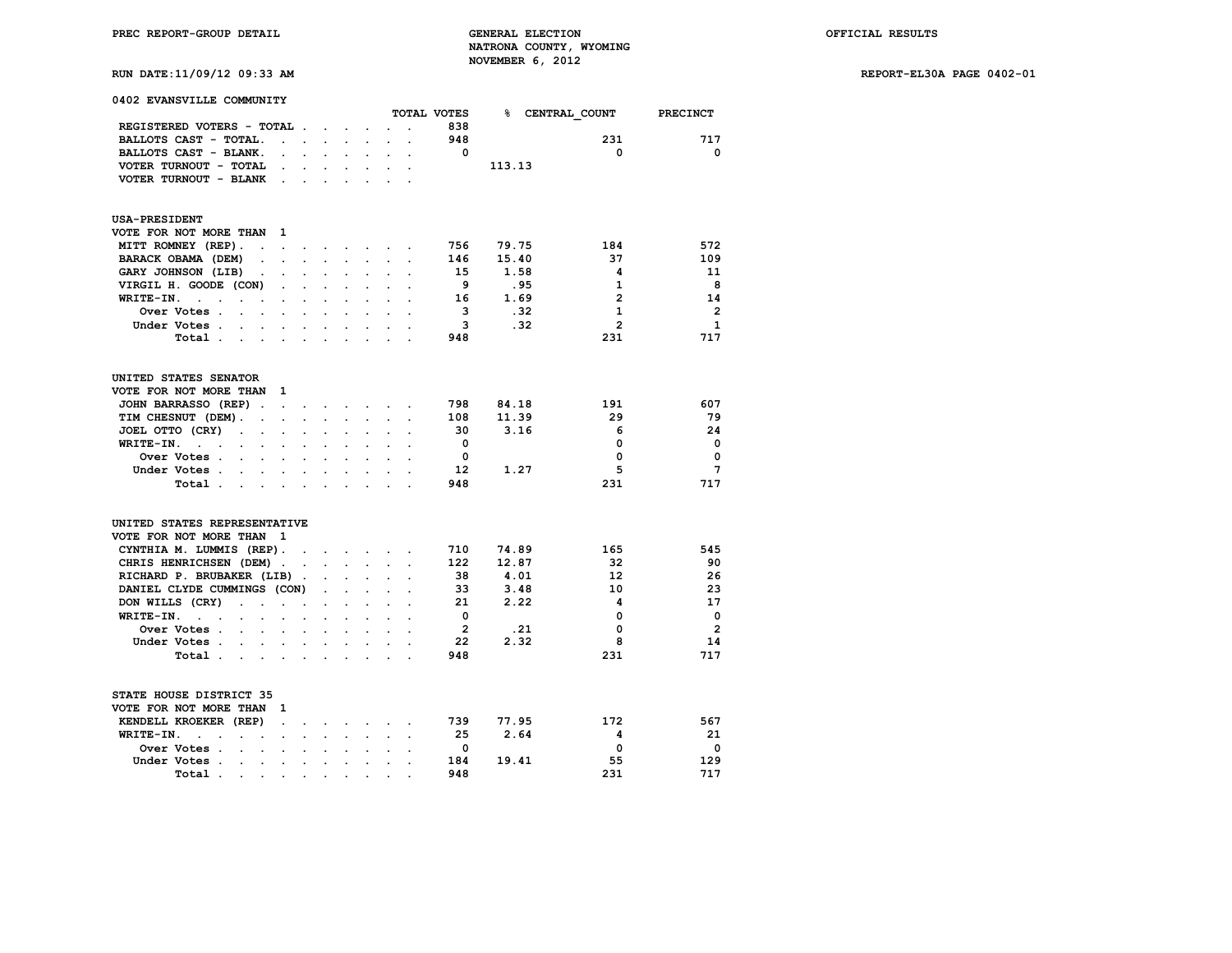**RUN DATE:11/09/12 09:33 AM REPORT-EL30A PAGE 0402-01**

| 0402 EVANSVILLE COMMUNITY                                                                                           |                      |                                 |                                          |                             |                      |                      |                 |        |                            |                 |
|---------------------------------------------------------------------------------------------------------------------|----------------------|---------------------------------|------------------------------------------|-----------------------------|----------------------|----------------------|-----------------|--------|----------------------------|-----------------|
|                                                                                                                     |                      |                                 |                                          |                             |                      |                      | TOTAL VOTES     |        | <b>&amp; CENTRAL COUNT</b> | PRECINCT        |
| REGISTERED VOTERS - TOTAL .                                                                                         |                      |                                 | $\mathbf{r} = \mathbf{r} + \mathbf{r}$ . | $\ddot{\phantom{a}}$        |                      |                      | 838             |        |                            |                 |
| BALLOTS CAST - TOTAL.<br>$\overline{a}$                                                                             | $\cdot$              |                                 |                                          |                             |                      |                      | 948             |        | 231                        | 717             |
| BALLOTS CAST - BLANK.<br>$\ddot{\phantom{a}}$                                                                       |                      | $\mathbf{r}$<br>$\mathbf{r}$    | $\cdot$                                  | $\ddot{\phantom{0}}$        | $\cdot$              | $\ddot{\phantom{a}}$ | 0               |        | 0                          | 0               |
| VOTER TURNOUT - TOTAL                                                                                               |                      |                                 |                                          |                             |                      |                      |                 | 113.13 |                            |                 |
| VOTER TURNOUT - BLANK<br>$\ddot{\phantom{a}}$                                                                       |                      |                                 |                                          |                             |                      |                      |                 |        |                            |                 |
| <b>USA-PRESIDENT</b>                                                                                                |                      |                                 |                                          |                             |                      |                      |                 |        |                            |                 |
| VOTE FOR NOT MORE THAN<br>1                                                                                         |                      |                                 |                                          |                             |                      |                      |                 |        |                            |                 |
| MITT ROMNEY (REP).<br>$\ddot{\phantom{a}}$<br>$\sim$                                                                | $\ddot{\phantom{0}}$ | the contract of the contract of |                                          |                             |                      | $\cdot$              | 756             | 79.75  | 184                        | 572             |
| BARACK OBAMA (DEM)<br>$\sim$                                                                                        |                      |                                 |                                          | $\overline{a}$              |                      |                      | 146             | 15.40  | 37                         | 109             |
| GARY JOHNSON (LIB)<br>$\bullet$<br>$\ddot{\phantom{a}}$                                                             | $\ddot{\phantom{a}}$ |                                 | $\ddot{\phantom{a}}$                     | $\blacksquare$              |                      |                      | 15              | 1.58   | 4                          | 11              |
| VIRGIL H. GOODE (CON)                                                                                               |                      |                                 |                                          |                             |                      |                      | - 9             | .95    | 1                          | 8               |
| WRITE-IN.<br>$\sim$<br>$\ddot{\phantom{a}}$<br>$\ddot{\phantom{0}}$<br>$\ddot{\phantom{a}}$<br>$\ddot{\phantom{0}}$ | $\ddot{\phantom{0}}$ | $\ddot{\phantom{0}}$            | $\ddot{\phantom{a}}$                     | $\blacksquare$              | $\ddot{\phantom{a}}$ |                      | 16              | 1.69   | $\overline{2}$             | 14              |
| Over Votes.                                                                                                         |                      |                                 |                                          |                             |                      |                      | - 3             | .32    | 1                          | $\overline{2}$  |
| Under Votes.<br><b>Contract Contract Contract</b>                                                                   | $\ddot{\phantom{a}}$ | $\ddot{\phantom{a}}$            |                                          |                             |                      |                      | - 3             | .32    | $\overline{2}$             | $\mathbf{1}$    |
| Total.<br>$\mathbf{r} = \mathbf{r} + \mathbf{r}$ .                                                                  |                      |                                 |                                          |                             |                      |                      | 948             |        | 231                        | 717             |
| UNITED STATES SENATOR                                                                                               |                      |                                 |                                          |                             |                      |                      |                 |        |                            |                 |
| VOTE FOR NOT MORE THAN<br>1                                                                                         |                      |                                 |                                          |                             |                      |                      |                 |        |                            |                 |
| JOHN BARRASSO (REP).<br>$\sim$                                                                                      |                      |                                 |                                          |                             |                      |                      | 798             | 84.18  | 191                        | 607             |
| TIM CHESNUT (DEM).<br>$\ddot{\phantom{a}}$<br>$\sim$                                                                | $\ddot{\phantom{0}}$ | $\ddot{\phantom{0}}$            | $\ddot{\phantom{0}}$                     | $\mathcal{L}^{\mathcal{L}}$ | $\ddot{\phantom{a}}$ |                      | 108             | 11.39  | 29                         | 79              |
| JOEL OTTO (CRY)<br>$\ddot{\phantom{a}}$<br>$\ddot{\phantom{a}}$                                                     |                      |                                 |                                          |                             |                      |                      | 30              | 3.16   | 6                          | 24              |
| WRITE-IN.<br>$\mathbf{r}$                                                                                           |                      |                                 |                                          |                             |                      |                      | 0               |        | 0                          | $\mathbf 0$     |
| Over Votes .<br>$\cdot$                                                                                             |                      |                                 |                                          |                             |                      |                      | 0               |        | 0                          | $\mathbf 0$     |
| Under Votes<br>$\sim$ $\sim$                                                                                        | $\ddot{\phantom{a}}$ |                                 | $\cdot$                                  | $\cdot$                     |                      |                      | 12 <sup>2</sup> | 1.27   | 5                          | $7\phantom{.0}$ |
| Total                                                                                                               | $\cdot$              | $\ddot{\phantom{a}}$            | $\overline{a}$                           | $\sim$                      | $\overline{a}$       |                      | 948             |        | 231                        | 717             |
| UNITED STATES REPRESENTATIVE                                                                                        |                      |                                 |                                          |                             |                      |                      |                 |        |                            |                 |
| VOTE FOR NOT MORE THAN<br>- 1                                                                                       |                      |                                 |                                          |                             |                      |                      |                 |        |                            |                 |
| CYNTHIA M. LUMMIS (REP).                                                                                            |                      |                                 |                                          |                             |                      |                      | 710             | 74.89  | 165                        | 545             |
| CHRIS HENRICHSEN (DEM).                                                                                             | $\ddot{\phantom{a}}$ | $\sim$                          | $\mathbf{r}$                             | $\sim$                      |                      |                      | 122             | 12.87  | 32                         | 90              |
| RICHARD P. BRUBAKER (LIB)                                                                                           | $\ddot{\phantom{1}}$ | $\ddot{\phantom{a}}$            | $\ddot{\phantom{a}}$                     | $\ddot{\phantom{a}}$        |                      |                      | 38              | 4.01   | 12                         | 26              |
| DANIEL CLYDE CUMMINGS (CON)                                                                                         |                      | $\Box$                          | $\ddot{\phantom{a}}$                     | $\ddot{\phantom{a}}$        |                      |                      | 33              | 3.48   | 10                         | 23              |
| DON WILLS (CRY)<br>$\ddot{\phantom{a}}$<br><b>Service</b>                                                           | $\ddot{\phantom{a}}$ |                                 |                                          | $\ddot{\phantom{a}}$        |                      |                      | 21              | 2.22   | 4                          | 17              |
| WRITE-IN.<br>$\mathcal{L}^{\mathcal{L}}$ and $\mathcal{L}^{\mathcal{L}}$                                            |                      | $\ddot{\phantom{a}}$            | $\ddot{\phantom{a}}$                     |                             |                      |                      | $\mathbf 0$     |        | 0                          | $\mathbf 0$     |
| Over Votes.<br>$\ddot{\phantom{a}}$<br>$\ddot{\phantom{0}}$<br>$\ddot{\phantom{a}}$                                 | $\ddot{\phantom{0}}$ | $\ddot{\phantom{0}}$            | $\ddot{\phantom{a}}$                     |                             |                      |                      | $\overline{2}$  | .21    | 0                          | $\overline{2}$  |
| Under Votes.                                                                                                        |                      |                                 |                                          | $\ddot{\phantom{a}}$        |                      |                      | 22              | 2.32   | 8                          | 14              |
| $\ddot{\phantom{0}}$<br>$\sim$                                                                                      | $\ddot{\phantom{a}}$ |                                 |                                          | $\ddot{\phantom{0}}$        |                      |                      |                 |        |                            |                 |
| Total.<br>$\sim$<br>$\sim$ $\sim$ $\sim$                                                                            | $\ddot{\phantom{0}}$ | $\ddot{\phantom{0}}$            | $\ddot{\phantom{0}}$                     |                             |                      |                      | 948             |        | 231                        | 717             |
| STATE HOUSE DISTRICT 35                                                                                             |                      |                                 |                                          |                             |                      |                      |                 |        |                            |                 |
| VOTE FOR NOT MORE THAN<br>1                                                                                         |                      |                                 |                                          |                             |                      |                      |                 |        |                            |                 |
| KENDELL KROEKER (REP)<br>$\ddot{\phantom{a}}$                                                                       | $\ddot{\phantom{a}}$ | $\ddot{\phantom{0}}$            | $\overline{a}$                           | $\sim$                      | $\sim$               | $\overline{a}$       | 739             | 77.95  | 172                        | 567             |
| WRITE-IN.<br>$\ddot{\phantom{0}}$<br>$\cdot$<br>$\ddot{\phantom{0}}$                                                |                      |                                 |                                          |                             |                      |                      | 25              | 2.64   | 4                          | 21              |
| Over Votes .<br>$\ddot{\phantom{a}}$<br>$\ddot{\phantom{a}}$<br>$\ddot{\phantom{a}}$                                | $\ddot{\phantom{a}}$ | $\ddot{\phantom{a}}$            | $\ddot{\phantom{a}}$                     | $\blacksquare$              |                      |                      | $\Omega$        |        | 0                          | $\Omega$        |
| Under Votes.<br>$\ddot{\phantom{a}}$<br>$\mathbf{r}$                                                                |                      |                                 |                                          |                             |                      |                      | 184             | 19.41  | 55                         | 129             |
| Total.<br>$\ddot{\phantom{0}}$<br>$\bullet$                                                                         | $\ddot{\phantom{0}}$ | $\ddot{\phantom{a}}$            |                                          |                             |                      |                      | 948             |        | 231                        | 717             |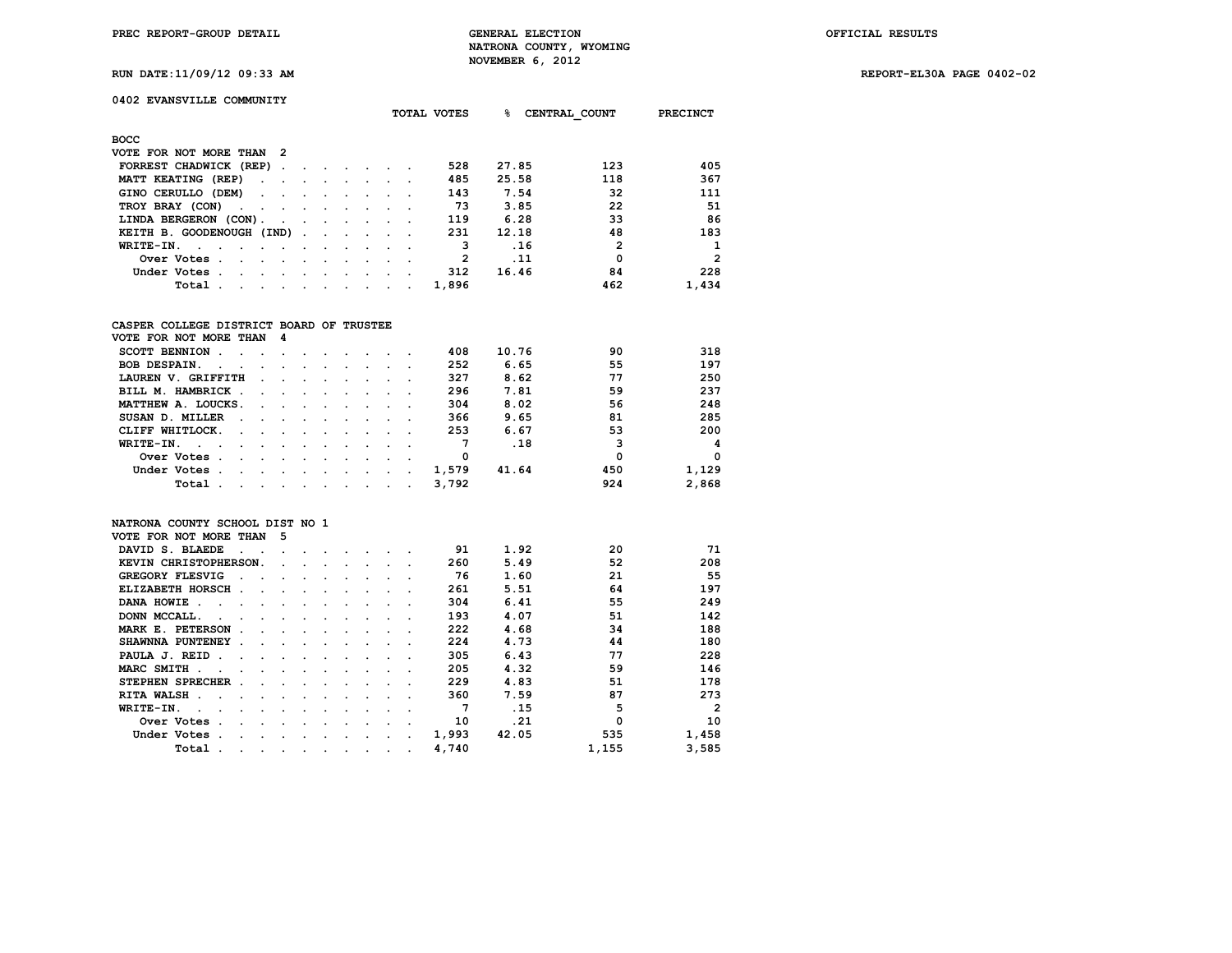**RUN DATE:11/09/12 09:33 AM REPORT-EL30A PAGE 0402-02**

| 0402 EVANSVILLE COMMUNITY |  |
|---------------------------|--|

| ℁<br>CENTRAL COUNT<br>TOTAL VOTES                                                                                                                                                                                                                                                                                | <b>PRECINCT</b>            |
|------------------------------------------------------------------------------------------------------------------------------------------------------------------------------------------------------------------------------------------------------------------------------------------------------------------|----------------------------|
| BOCC                                                                                                                                                                                                                                                                                                             |                            |
| VOTE FOR NOT MORE THAN<br>- 2                                                                                                                                                                                                                                                                                    |                            |
| 27.85<br>FORREST CHADWICK (REP).<br>528<br>$\sim$<br><b>Contract Contract</b>                                                                                                                                                                                                                                    | 405<br>123                 |
| 485<br>25.58<br>MATT KEATING (REP)<br><b>Contract Contract Street</b><br>$\sim$<br>$\ddot{\phantom{0}}$                                                                                                                                                                                                          | 367<br>118                 |
| 143<br>GINO CERULLO (DEM)<br>7.54<br>$\sim$ $\sim$<br>$\sim$ $\sim$<br>$\sim$ $\sim$                                                                                                                                                                                                                             | 111<br>32                  |
| 73<br>3.85<br>TROY BRAY (CON)<br>$\sim$ 100 $\mu$<br>$\sim$ $\sim$<br>$\sim$                                                                                                                                                                                                                                     | 22<br>51                   |
| 6.28<br>LINDA BERGERON (CON).<br>119<br><b>Contract Contract Street</b><br>$\mathbf{r}$ and $\mathbf{r}$ are associated to the set of the set of the set of the set of the set of the set of the set of the set of the set of the set of the set of the set of the set of the set of the set of the set of the s | 86<br>33                   |
| 231<br>12.18<br>KEITH B. GOODENOUGH (IND)                                                                                                                                                                                                                                                                        | 48<br>183                  |
| .16<br>з<br>WRITE-IN.<br>$\sim$ $\sim$ $\sim$<br>$\sim$<br>$\sim$ $\sim$<br>$\cdot$                                                                                                                                                                                                                              | $\mathbf{2}$<br>1          |
| 2<br>.11<br>Over Votes.<br>$\ddot{\phantom{a}}$<br>$\overline{\phantom{a}}$<br>$\cdot$<br>$\sim$<br>$\ddot{\phantom{0}}$                                                                                                                                                                                         | $\overline{2}$<br>$\Omega$ |
| 16.46<br>312<br>Under Votes.<br>$\sim$<br>$\sim$<br>$\sim$<br>$\cdot$ $\cdot$                                                                                                                                                                                                                                    | 84<br>228                  |
| 1,896<br>Total.<br>the contract of the contract of the contract of the contract of the contract of the contract of the contract of                                                                                                                                                                               | 1,434<br>462               |

### **CASPER COLLEGE DISTRICT BOARD OF TRUSTEE**

| VOTE FOR NOT MORE THAN                                                                                                                                                                                                                           | - 4                                                                                                                                                                                                                           |               |                                     |        |       |       |     |          |
|--------------------------------------------------------------------------------------------------------------------------------------------------------------------------------------------------------------------------------------------------|-------------------------------------------------------------------------------------------------------------------------------------------------------------------------------------------------------------------------------|---------------|-------------------------------------|--------|-------|-------|-----|----------|
| <b>SCOTT BENNION</b>                                                                                                                                                                                                                             | the company of the company of the company of the company of the company of the company of the company of the company of the company of the company of the company of the company of the company of the company of the company |               |                                     |        | 408   | 10.76 | 90  | 318      |
| <b>BOB DESPAIN.</b><br>$\sim$<br>$\sim$<br>$\ddot{\phantom{a}}$                                                                                                                                                                                  | the contract of the contract of the contract of the contract of the contract of the contract of the contract of                                                                                                               |               |                                     |        | 252   | 6.65  | 55  | 197      |
| LAUREN V. GRIFFITH<br>$\cdot$                                                                                                                                                                                                                    | $\sim$                                                                                                                                                                                                                        | $\sim$ $\sim$ |                                     |        | 327   | 8.62  | 77  | 250      |
| BILL M. HAMBRICK.                                                                                                                                                                                                                                | $\sim$ $\sim$                                                                                                                                                                                                                 |               | the contract of the contract of the |        | 296   | 7.81  | 59  | 237      |
| MATTHEW A. LOUCKS.                                                                                                                                                                                                                               | the contract of the contract of the contract of the contract of the contract of the contract of the contract of                                                                                                               |               |                                     |        | 304   | 8.02  | 56  | 248      |
| SUSAN D. MILLER<br>the contract of the contract of the contract of the contract of the contract of the contract of the contract of                                                                                                               |                                                                                                                                                                                                                               |               |                                     |        | 366   | 9.65  | 81  | 285      |
| CLIFF WHITLOCK.<br>the company of the company of the company of the company of the company of the company of the company of the company of the company of the company of the company of the company of the company of the company of the company |                                                                                                                                                                                                                               |               |                                     |        | 253   | 6.67  | 53  | 200      |
| $WRITE-TN.$                                                                                                                                                                                                                                      |                                                                                                                                                                                                                               |               |                                     |        | 7     | .18   | 3   | 4        |
| Over Votes.<br>the contract of the contract of the contract of the contract of the contract of<br>$\sim$                                                                                                                                         |                                                                                                                                                                                                                               |               |                                     | $\sim$ | 0     |       | 0   | $\Omega$ |
| Under Votes.<br>the contract of the contract of the contract of the contract of the contract of the contract of the contract of<br>$\sim$                                                                                                        |                                                                                                                                                                                                                               |               |                                     |        | 1,579 | 41.64 | 450 | 1,129    |
| Total<br>$\sim$                                                                                                                                                                                                                                  | the contract of the contract of the contract of the contract of the contract of the contract of the contract of                                                                                                               |               |                                     |        | 3,792 |       | 924 | 2,868    |

#### **NATRONA COUNTY SCHOOL DIST NO 1 VOTE FOR NOT MORE THAN 5**

| VOIE FOR NOI MORE INAN               |                          |                      |                      |                      |                      |           |           |         |         |       |       |       |                |
|--------------------------------------|--------------------------|----------------------|----------------------|----------------------|----------------------|-----------|-----------|---------|---------|-------|-------|-------|----------------|
| DAVID S. BLAEDE                      |                          |                      |                      |                      |                      |           |           |         |         | 91    | 1.92  | 20    | 71             |
| KEVIN CHRISTOPHERSON.                |                          |                      | $\sim$               |                      | $\cdot$              | $\cdot$   | $\sim$    |         |         | 260   | 5.49  | 52    | 208            |
| GREGORY FLESVIG                      | $\sim$                   |                      |                      | $\sim$               | $\sim$               | $\sim$    |           |         |         | 76    | 1.60  | 21    | 55             |
| ELIZABETH HORSCH.                    |                          | $\ddot{\phantom{a}}$ |                      | $\cdot$              |                      |           |           |         |         | 261   | 5.51  | 64    | 197            |
| DANA HOWIE<br>$\sim$                 |                          |                      | $\ddot{\phantom{a}}$ | $\cdot$              | $\bullet$            |           |           |         |         | 304   | 6.41  | 55    | 249            |
| DONN MCCALL.<br>$\ddot{\phantom{a}}$ | $\ddot{\phantom{a}}$     |                      | $\ddot{\phantom{a}}$ | $\sim$               | $\cdot$              | $\cdot$   |           |         |         | 193   | 4.07  | 51    | 142            |
| MARK E. PETERSON                     | $\overline{\phantom{a}}$ | $\cdot$              |                      | $\cdot$              |                      |           |           |         |         | 222   | 4.68  | 34    | 188            |
| SHAWNNA PUNTENEY                     | $\overline{\phantom{a}}$ |                      |                      | $\cdot$              |                      |           |           |         |         | 224   | 4.73  | 44    | 180            |
| PAULA J. REID<br>$\sim$              | $\ddot{\phantom{a}}$     |                      | $\sim$               | $\sim$               | $\ddot{\phantom{a}}$ | $\cdot$   |           |         |         | 305   | 6.43  | 77    | 228            |
| MARC SMITH.<br>$\sim$                | $\sim$                   |                      | $\sim$               | $\cdot$              | $\cdot$              | $\cdot$   |           |         |         | 205   | 4.32  | 59    | 146            |
| STEPHEN SPRECHER.                    |                          | $\ddot{\phantom{a}}$ |                      | $\sim$               |                      |           |           |         |         | 229   | 4.83  | 51    | 178            |
| <b>RITA WALSH</b><br>$\sim$          |                          |                      | $\cdot$              | $\cdot$              | $\cdot$              | $\cdot$   |           |         |         | 360   | 7.59  | 87    | 273            |
| WRITE-IN.<br>$\sim$                  |                          | $\sim$               | $\sim$               | $\cdot$              | $\cdot$              | $\cdot$   |           |         |         | 7     | .15   | 5     | $\mathfrak{p}$ |
| Over Votes.                          | $\ddot{\phantom{a}}$     | $\sim$               | $\cdot$              | $\ddot{\phantom{a}}$ | $\cdot$              | $\cdot$   |           |         |         | 10    | .21   |       | 10             |
| Under Votes.                         | $\ddot{\phantom{a}}$     |                      | $\cdot$              | $\cdot$              | $\cdot$              | $\cdot$   | $\cdot$   |         |         | 1,993 | 42.05 | 535   | 1,458          |
| Total                                | $\ddot{\phantom{a}}$     | $\cdot$              | $\ddot{\phantom{0}}$ | $\bullet$            | $\cdot$              | $\bullet$ | $\bullet$ | $\cdot$ | $\cdot$ | 4,740 |       | 1,155 | 3,585          |
|                                      |                          |                      |                      |                      |                      |           |           |         |         |       |       |       |                |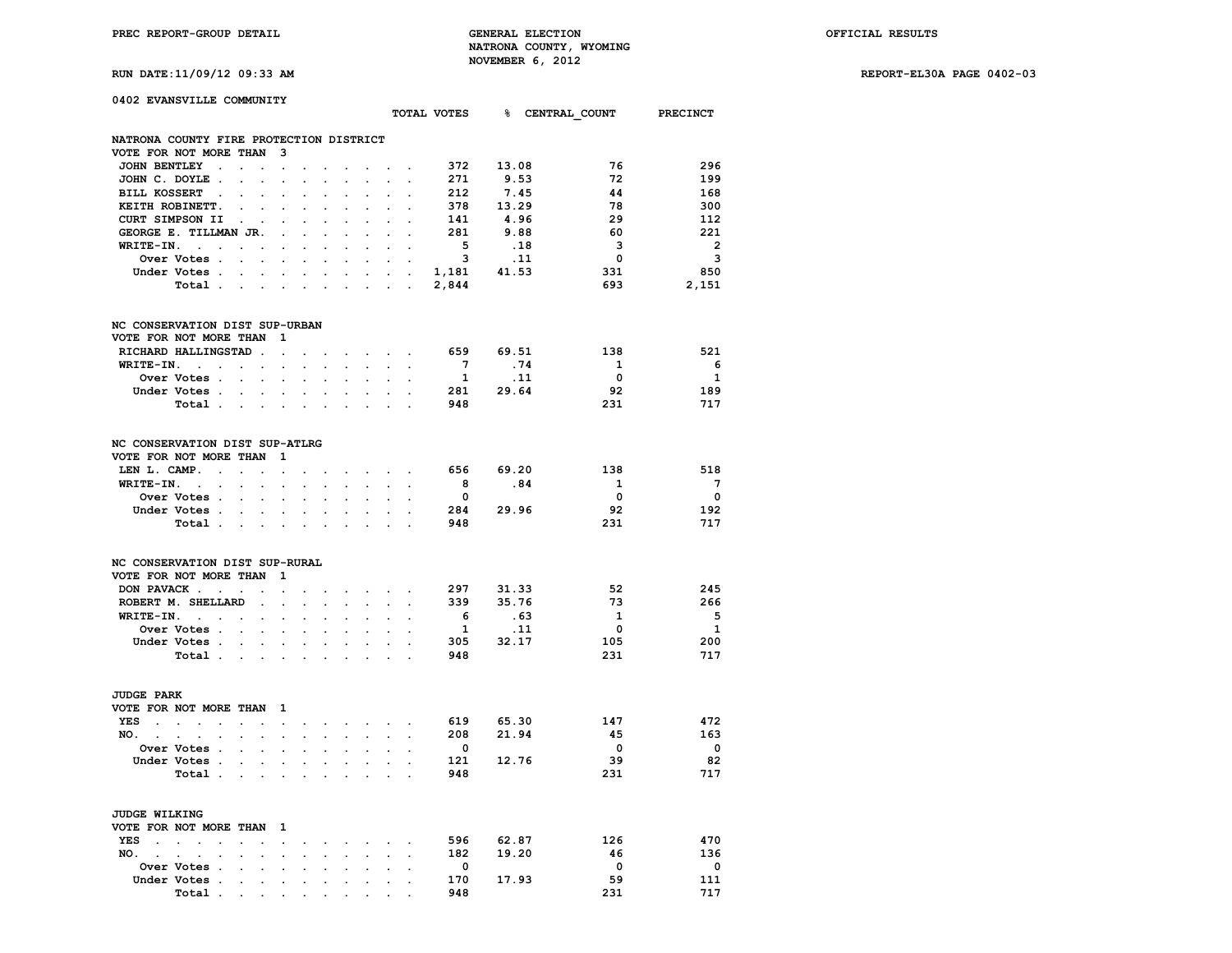**RUN DATE:11/09/12 09:33 AM REPORT-EL30A PAGE 0402-03**

| 0402 EVANSVILLE COMMUNITY                                  |                      |                            |                              |                                   |                      |                                                             |                      |                                                                  |                                                           |                                                                                     |                                      |       |      |                                      |                         |
|------------------------------------------------------------|----------------------|----------------------------|------------------------------|-----------------------------------|----------------------|-------------------------------------------------------------|----------------------|------------------------------------------------------------------|-----------------------------------------------------------|-------------------------------------------------------------------------------------|--------------------------------------|-------|------|--------------------------------------|-------------------------|
|                                                            |                      |                            |                              |                                   |                      |                                                             |                      |                                                                  |                                                           |                                                                                     |                                      |       |      | TOTAL VOTES 8 CENTRAL COUNT PRECINCT |                         |
| NATRONA COUNTY FIRE PROTECTION DISTRICT                    |                      |                            |                              |                                   |                      |                                                             |                      |                                                                  |                                                           |                                                                                     |                                      |       |      |                                      |                         |
| VOTE FOR NOT MORE THAN                                     |                      |                            |                              | $\mathbf{B}$                      |                      |                                                             |                      |                                                                  |                                                           |                                                                                     |                                      |       |      |                                      |                         |
| JOHN BENTLEY .                                             |                      | $\sim$                     |                              | $\sim$                            |                      |                                                             |                      |                                                                  |                                                           | and a strain and a strain and a                                                     | 372 13.08                            |       |      | 76                                   | 296                     |
| JOHN C. DOYLE.                                             |                      | $\ddot{\phantom{a}}$       | $\cdot$                      | $\ddot{\phantom{a}}$              | $\cdot$              | $\ddot{\phantom{a}}$                                        | $\ddot{\phantom{a}}$ | $\ddot{\phantom{0}}$                                             | $\mathcal{L}^{\pm}$                                       | $\ddot{\phantom{0}}$                                                                | 271                                  | 9.53  |      | 72                                   | 199                     |
| BILL KOSSERT .                                             |                      | $\cdot$                    |                              | $\cdot$                           |                      |                                                             |                      |                                                                  |                                                           | $\cdot$ $\cdot$                                                                     | 212                                  | 7.45  |      | 44                                   | 168                     |
| KEITH ROBINETT.                                            |                      |                            |                              |                                   |                      |                                                             |                      |                                                                  |                                                           |                                                                                     | 378                                  | 13.29 |      | 78                                   | 300                     |
| CURT SIMPSON II                                            |                      | $\ddot{\phantom{1}}$       |                              |                                   |                      |                                                             |                      |                                                                  |                                                           |                                                                                     | 141                                  | 4.96  |      | 29                                   | 112                     |
| GEORGE E. TILLMAN JR.                                      |                      |                            |                              | $\sim$                            |                      |                                                             | $\mathbf{r}$         | $\ddot{\phantom{0}}$                                             |                                                           | $\mathbf{z} = \mathbf{z} + \mathbf{z}$                                              | 281                                  | 9.88  |      | - 60                                 | 221                     |
| $WRITE-IN.$                                                |                      |                            |                              | $\ddot{\phantom{0}}$              | $\ddot{\phantom{a}}$ | $\ddot{\phantom{a}}$                                        | $\ddot{\phantom{a}}$ | $\ddot{\phantom{a}}$                                             | $\sim$                                                    | $\sim$                                                                              | $\overline{\phantom{a}}$             | .18   |      | $\overline{\mathbf{3}}$              | $\overline{\mathbf{2}}$ |
| Over Votes .                                               |                      |                            | <b>Contract Contract</b>     | $\sim$                            |                      |                                                             | $\sim$               |                                                                  | $\cdot$ $\cdot$ $\cdot$                                   |                                                                                     | $\overline{\mathbf{3}}$              |       | .11  | $\overline{\mathbf{0}}$              | $\overline{\mathbf{3}}$ |
| Under Votes.                                               |                      | $\sim$ $\sim$              | $\ddot{\phantom{a}}$         | $\ddot{\phantom{0}}$              | $\cdot$              | $\cdot$                                                     |                      | $\sim$                                                           | $\sim$                                                    | $\sim$                                                                              | $1,181$ 41.53                        |       |      | 331                                  | 850                     |
| Total                                                      |                      |                            |                              |                                   | $\mathbf{r}$         |                                                             |                      |                                                                  |                                                           | the contract of the contract of the                                                 | 2,844                                |       |      | 693                                  | 2,151                   |
| NC CONSERVATION DIST SUP-URBAN                             |                      |                            |                              |                                   |                      |                                                             |                      |                                                                  |                                                           |                                                                                     |                                      |       |      |                                      |                         |
| VOTE FOR NOT MORE THAN                                     |                      |                            |                              | $\blacksquare$                    |                      |                                                             |                      |                                                                  |                                                           |                                                                                     |                                      |       |      |                                      |                         |
|                                                            |                      |                            |                              |                                   |                      |                                                             |                      |                                                                  |                                                           |                                                                                     | 659 69.51                            |       |      | 138                                  | 521                     |
| RICHARD HALLINGSTAD.                                       |                      |                            |                              | $\sim$                            |                      |                                                             | $\ddot{\phantom{0}}$ |                                                                  |                                                           | $\sim$ $\sim$ $\sim$                                                                | $7\overline{ }$                      |       |      |                                      |                         |
| $WRITE-IN.$                                                |                      |                            |                              | $\ddot{\phantom{0}}$              | $\ddot{\phantom{a}}$ | $\ddot{\phantom{a}}$                                        |                      | and the contract of the                                          |                                                           |                                                                                     |                                      |       | .74  | $\overline{\mathbf{1}}$              | - 6                     |
| Over Votes .                                               |                      |                            |                              | $\cdots$ $\cdots$                 | $\sim$               |                                                             |                      |                                                                  |                                                           | $\sim$ $\sim$                                                                       | $\mathbf{1}$                         |       | . 11 | $\overline{\mathbf{0}}$              | <sup>1</sup>            |
| Under Votes .                                              |                      | $\sim$                     | $\ddot{\phantom{0}}$         | $\sim$                            | $\sim$               | $\cdot$                                                     |                      | $\sim$ $\sim$                                                    | $\ddot{\phantom{0}}$                                      | $\sim$                                                                              | 281 29.64                            |       |      | 92                                   | 189                     |
| Total .                                                    |                      |                            | <b>Contract Contract</b>     | $\sim$                            | $\cdot$              | $\sim$ $\sim$                                               |                      | $\sim$ $\sim$                                                    |                                                           |                                                                                     | 948                                  |       |      | 231                                  | 717                     |
| NC CONSERVATION DIST SUP-ATLRG<br>VOTE FOR NOT MORE THAN 1 |                      |                            |                              |                                   |                      |                                                             |                      |                                                                  |                                                           |                                                                                     |                                      |       |      |                                      |                         |
| LEN L. CAMP.                                               |                      |                            |                              | $\sim 10^{-11}$                   |                      | $\sim$                                                      |                      | $\mathbf{z} = \mathbf{z} + \mathbf{z} + \mathbf{z} + \mathbf{z}$ |                                                           |                                                                                     | 656 69.20                            |       |      | 138                                  | 518                     |
| WRITE-IN.                                                  |                      | $\sim 100$                 | $\ddot{\phantom{a}}$         | $\ddot{\phantom{a}}$              | $\cdot$              | $\sim$                                                      | $\sim$               |                                                                  | $\mathbf{z} = \mathbf{z} + \mathbf{z}$ . The $\mathbf{z}$ |                                                                                     | 8 <sup>1</sup>                       | .84   |      | $\mathbf{1}$                         | $\overline{7}$          |
| Over Votes                                                 |                      |                            |                              | $\sim$                            |                      |                                                             |                      |                                                                  |                                                           |                                                                                     | $\overline{\mathbf{0}}$              |       |      | $\overline{\mathbf{0}}$              | $\overline{\mathbf{0}}$ |
| Under Votes.                                               |                      | $\sim$ 100 $\sim$          | $\sim$                       | $\ddot{\phantom{0}}$              | $\sim$               | $\cdot$                                                     |                      | $\sim$ $\sim$                                                    | $\ddot{\phantom{0}}$                                      | $\sim$                                                                              | 284 29.96                            |       |      | 92                                   | 192                     |
| Total .                                                    |                      |                            |                              | and the state of the state of the | $\cdot$              | $\sim$ $\sim$                                               |                      | $\sim$ $\sim$ $\sim$                                             |                                                           | $\sim$                                                                              | 948                                  |       |      | 231                                  | 717                     |
|                                                            |                      |                            |                              |                                   |                      |                                                             |                      |                                                                  |                                                           |                                                                                     |                                      |       |      |                                      |                         |
| NC CONSERVATION DIST SUP-RURAL<br>VOTE FOR NOT MORE THAN 1 |                      |                            |                              |                                   |                      |                                                             |                      |                                                                  |                                                           |                                                                                     |                                      |       |      |                                      |                         |
| DON PAVACK                                                 |                      |                            |                              |                                   |                      |                                                             |                      |                                                                  |                                                           |                                                                                     |                                      |       |      | - 52                                 | 245                     |
|                                                            |                      |                            |                              | $\bullet$ .                       |                      | $\sim$                                                      |                      | $\mathbf{r} = \mathbf{r} + \mathbf{r} + \mathbf{r} + \mathbf{r}$ |                                                           |                                                                                     | 297        31.33<br>339        35.76 |       |      | 73                                   | 266                     |
| ROBERT M. SHELLARD                                         |                      |                            | $\sim 10^{-10}$ km $^{-1}$   |                                   | $\ddot{\phantom{0}}$ | $\ddot{\phantom{a}}$                                        | $\sim$               |                                                                  |                                                           | and the control                                                                     |                                      |       |      |                                      |                         |
| WRITE-IN.                                                  |                      |                            | $\ddot{\phantom{0}}$         | $\ddot{\phantom{a}}$              |                      |                                                             |                      |                                                                  | $\sim$                                                    |                                                                                     | 6                                    |       | .63  | $\mathbf{1}$                         | $-5$                    |
| Over Votes                                                 |                      |                            | $\ddot{\phantom{a}}$         | $\ddot{\phantom{a}}$              |                      |                                                             |                      |                                                                  | $\ddot{\phantom{0}}$                                      | $\ddot{\phantom{0}}$                                                                | $\mathbf{1}$<br>305 32.17            |       | .11  | $\overline{\mathbf{0}}$              | $\mathbf{1}$            |
| Under Votes                                                |                      |                            |                              |                                   |                      | $\mathbf{r} = \mathbf{r} + \mathbf{r}$                      |                      |                                                                  |                                                           | $\mathbf{r} = \mathbf{r} + \mathbf{r}$                                              |                                      |       |      | 105                                  | 200                     |
| Total .                                                    |                      |                            | and the contract of the con- |                                   | $\mathbf{r}$         | $\ddot{\phantom{a}}$                                        |                      |                                                                  | $\sim$                                                    | $\ddot{\phantom{a}}$                                                                | 948                                  |       |      | 231                                  | 717                     |
| <b>JUDGE PARK</b>                                          |                      |                            |                              |                                   |                      |                                                             |                      |                                                                  |                                                           |                                                                                     |                                      |       |      |                                      |                         |
| VOTE FOR NOT MORE THAN 1                                   |                      |                            |                              |                                   |                      |                                                             |                      |                                                                  |                                                           |                                                                                     |                                      |       |      |                                      |                         |
| YES                                                        |                      |                            |                              |                                   |                      |                                                             |                      |                                                                  |                                                           | and the contract of the contract of the contract of the contract of the contract of | 619 65.30                            |       |      | 147                                  | 472                     |
| NO.                                                        | $\ddot{\phantom{0}}$ | $\mathcal{L}^{\text{max}}$ |                              | $\mathbf{r} = \mathbf{r}$         |                      | $\mathcal{L}^{\text{max}}$ , and $\mathcal{L}^{\text{max}}$ |                      |                                                                  |                                                           | $\mathbf{r} = \mathbf{r} + \mathbf{r}$                                              | 208                                  | 21.94 |      | 45                                   | 163                     |
| <b>Over Votes .</b>                                        |                      | $\sim$                     | $\cdot$                      | $\sim$                            |                      |                                                             |                      |                                                                  |                                                           | $\sim$                                                                              | $\bullet$                            |       |      | $\mathbf{0}$                         | $\overline{\mathbf{0}}$ |
| Under Votes .                                              |                      | <b>Contract Contract</b>   |                              | $\mathbf{r} = \mathbf{r}$         | $\sim$               | $\sim$                                                      | $\sim$               |                                                                  |                                                           | <b>All Contracts</b>                                                                | 121 12.76                            |       |      | - 39                                 | 82                      |
| Total.                                                     |                      | <b>Contract Contract</b>   |                              | $\mathbf{r}$                      |                      |                                                             |                      |                                                                  |                                                           |                                                                                     | 948                                  |       |      | 231                                  | 717                     |
|                                                            |                      |                            |                              |                                   |                      |                                                             |                      |                                                                  |                                                           |                                                                                     |                                      |       |      |                                      |                         |
| JUDGE WILKING                                              |                      |                            |                              |                                   |                      |                                                             |                      |                                                                  |                                                           |                                                                                     |                                      |       |      |                                      |                         |
| VOTE FOR NOT MORE THAN 1                                   |                      |                            |                              |                                   |                      |                                                             |                      |                                                                  |                                                           |                                                                                     |                                      |       |      |                                      |                         |
| $YES$                                                      |                      | $\mathbb{Z}^{\mathbb{Z}}$  | $\sim$                       | $\bullet$                         | $\ddot{\phantom{0}}$ | $\ddot{\phantom{0}}$                                        |                      | $\cdot$ $\cdot$ $\cdot$ $\cdot$ $\cdot$                          |                                                           |                                                                                     | 596 62.87                            |       |      | 126                                  | 470                     |
| NO.<br>$\sim$ $\sim$                                       |                      |                            |                              | $\ddot{\phantom{a}}$              | $\ddot{\phantom{a}}$ |                                                             |                      | $\ddot{\phantom{0}}$                                             | $\sim$ $\sim$ $\sim$                                      |                                                                                     | 182                                  | 19.20 |      | 46                                   | 136                     |
| Over Votes .                                               |                      | $\ddot{\phantom{a}}$       | $\cdot$                      | $\cdot$                           |                      |                                                             |                      | $\ddot{\phantom{0}}$                                             | $\ddot{\phantom{a}}$                                      | $\ddot{\phantom{a}}$                                                                | $\overline{\mathbf{0}}$              |       |      | $\mathbf 0$                          | $\overline{\mathbf{0}}$ |
| Under Votes .                                              |                      | $\cdot$                    | $\cdot$                      | $\ddot{\phantom{0}}$              | $\cdot$              | $\cdot$                                                     | $\ddot{\phantom{a}}$ | $\sim$                                                           | $\ddot{\phantom{0}}$                                      | $\cdot$                                                                             | 170 17.93                            |       |      | 59                                   | 111                     |
| Total                                                      |                      | $\bullet$                  |                              | $\sim$                            |                      |                                                             |                      |                                                                  |                                                           |                                                                                     | 948                                  |       |      | 231                                  | 717                     |

 **Total** . . . . . . . . . .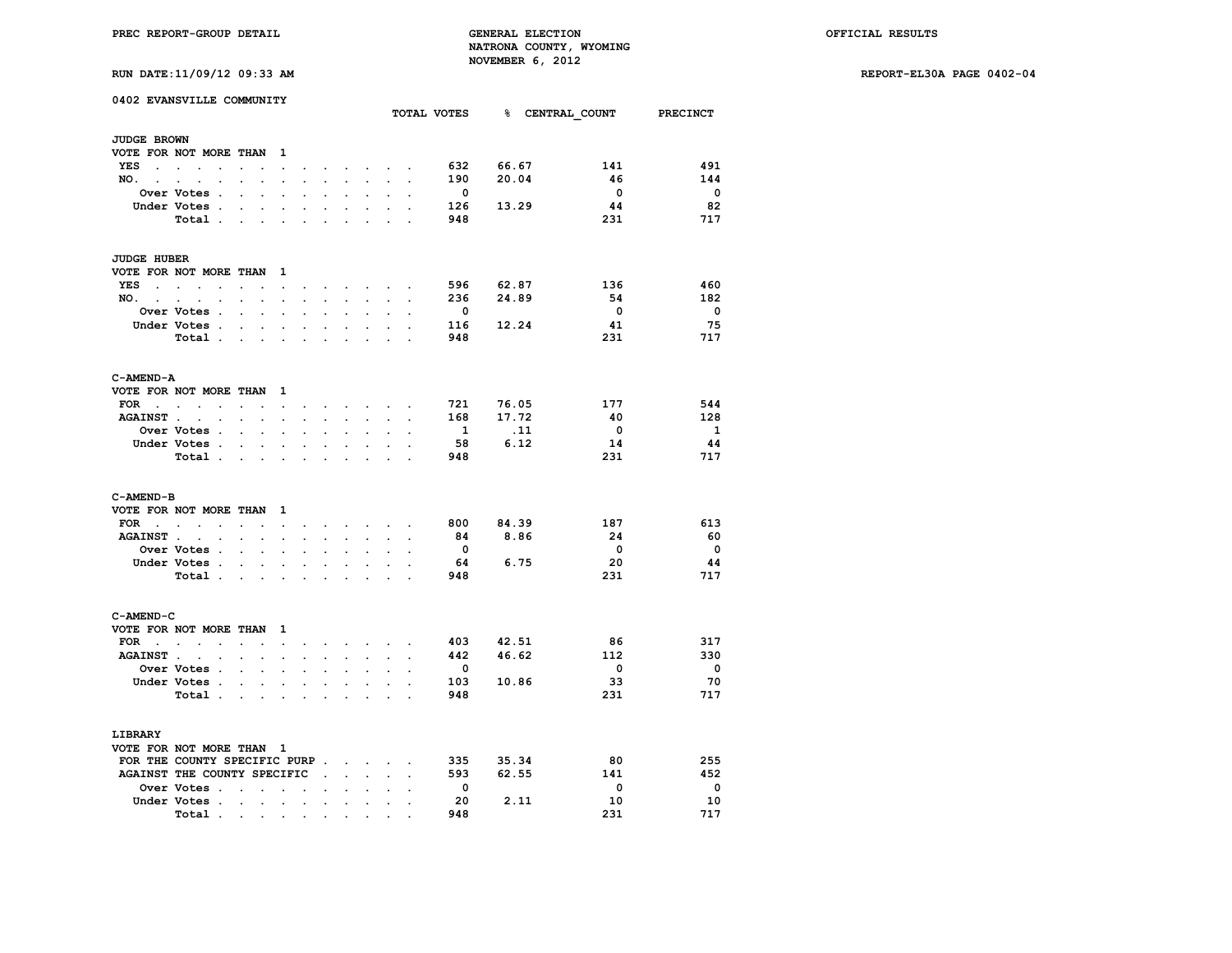**RUN DATE:11/09/12 09:33 AM REPORT-EL30A PAGE 0402-04**

|  |  | RUN DATE:11/09/12 09:33 AM |  |
|--|--|----------------------------|--|
|  |  |                            |  |

|                    | 0402 EVANSVILLE COMMUNITY                  |                          |        |                      |                            |                                          |                             |                      |                                                                                                                                                 |                      |                         |             | TOTAL VOTES 8 CENTRAL COUNT PRECINCT |                         |
|--------------------|--------------------------------------------|--------------------------|--------|----------------------|----------------------------|------------------------------------------|-----------------------------|----------------------|-------------------------------------------------------------------------------------------------------------------------------------------------|----------------------|-------------------------|-------------|--------------------------------------|-------------------------|
|                    |                                            |                          |        |                      |                            |                                          |                             |                      |                                                                                                                                                 |                      |                         |             |                                      |                         |
| <b>JUDGE BROWN</b> |                                            |                          |        |                      |                            |                                          |                             |                      |                                                                                                                                                 |                      |                         |             |                                      |                         |
|                    | VOTE FOR NOT MORE THAN                     |                          |        | $\mathbf{1}$         |                            |                                          |                             |                      |                                                                                                                                                 |                      |                         |             |                                      |                         |
|                    | YES                                        |                          |        | and the company's    | $\ddot{\phantom{a}}$       |                                          |                             |                      | $\mathbf{r} = \mathbf{r} + \mathbf{r} + \mathbf{r} + \mathbf{r} + \mathbf{r} + \mathbf{r}$                                                      |                      |                         | 632 66.67   | 141                                  | 491                     |
| NO. .              | $\mathbf{r}$                               |                          |        |                      |                            |                                          |                             |                      | $\mathbf{r}$ and $\mathbf{r}$                                                                                                                   |                      | 190                     | 20.04       | - 46                                 | 144                     |
|                    | <b>Over Votes .</b>                        |                          |        |                      |                            |                                          |                             |                      |                                                                                                                                                 |                      | $\overline{\mathbf{0}}$ |             | $\overline{\mathbf{0}}$              | $\mathbf 0$             |
|                    | Under Votes .                              | $\sim$                   | $\sim$ | $\sim$               | $\cdot$                    | $\cdot$                                  | $\cdot$                     | $\sim$               | $\sim$                                                                                                                                          | $\sim$               | 126                     | 13.29       | -44                                  | 82                      |
|                    | Total                                      |                          |        |                      | $\sim$                     |                                          | $\overline{a}$              | $\mathbf{r}$         |                                                                                                                                                 |                      | 948                     |             | 231                                  | 717                     |
| <b>JUDGE HUBER</b> |                                            |                          |        |                      |                            |                                          |                             |                      |                                                                                                                                                 |                      |                         |             |                                      |                         |
|                    | VOTE FOR NOT MORE THAN 1                   |                          |        |                      |                            |                                          |                             |                      |                                                                                                                                                 |                      |                         |             |                                      |                         |
|                    | YES                                        | $\ddot{\phantom{a}}$     |        | $\ddot{\phantom{0}}$ |                            |                                          |                             |                      | and a series of the series of the series of                                                                                                     |                      |                         | 596 62.87   | 136                                  | 460                     |
|                    | NO.                                        | <b>All Contracts</b>     |        | $\bullet$ .          |                            | and the company                          |                             | $\sim$ 100 $\pm$     | $\sim$                                                                                                                                          |                      | 236                     | 24.89       | 54                                   | 182                     |
|                    | Over Votes .                               | $\ddot{\phantom{0}}$     | $\sim$ | $\ddot{\phantom{0}}$ | $\ddot{\phantom{a}}$       | $\cdot$                                  | $\ddot{\phantom{a}}$        | $\ddot{\phantom{a}}$ |                                                                                                                                                 |                      | $\overline{\mathbf{0}}$ |             | $\overline{\mathbf{0}}$              | $\overline{\mathbf{0}}$ |
|                    | Under Votes .                              | $\sim$                   | $\sim$ | $\mathbf{r}$         | $\mathbf{r}$               |                                          | $\sim$                      | $\sim$               | $\mathbf{r}$                                                                                                                                    |                      | 116                     | 12.24       | 41                                   | -75                     |
|                    | Total                                      |                          |        | $\cdot$              | $\overline{a}$             |                                          |                             | $\sim$               |                                                                                                                                                 |                      | 948                     |             | 231                                  | 717                     |
|                    |                                            |                          |        |                      |                            |                                          |                             |                      |                                                                                                                                                 |                      |                         |             |                                      |                         |
| C-AMEND-A          |                                            |                          |        |                      |                            |                                          |                             |                      |                                                                                                                                                 |                      |                         |             |                                      |                         |
|                    | VOTE FOR NOT MORE THAN 1                   |                          |        |                      |                            |                                          |                             |                      |                                                                                                                                                 |                      |                         |             |                                      |                         |
|                    | $FOR \t . \t . \t .$                       | $\sim$                   | $\sim$ | $\sim$ $\sim$        | $\sim$                     |                                          |                             |                      | $\sim$ $\sim$ $\sim$ $\sim$ $\sim$ $\sim$                                                                                                       | $\sim$               | 721                     | 76.05       | 177                                  | 544                     |
|                    | AGAINST                                    |                          |        | and a state of       | $\ddot{\phantom{0}}$       | $\sim 10^{-11}$                          | $\mathcal{L}_{\mathcal{A}}$ | $\sim$               | $\sim$                                                                                                                                          | $\ddot{\phantom{a}}$ | 168                     | 17.72       | 40                                   | 128                     |
|                    | <b>Over Votes .</b>                        | $\ddot{\phantom{0}}$     |        |                      |                            |                                          |                             |                      |                                                                                                                                                 |                      | $\mathbf{1}$            | $\ldots$ 11 | $\overline{\phantom{0}}$             | $\mathbf{1}$            |
|                    | Under Votes                                |                          |        | $\ddot{\phantom{0}}$ | $\ddot{\phantom{a}}$       | $\sim$                                   |                             | $\sim$               |                                                                                                                                                 |                      | 58                      | 6.12        | 14                                   | 44                      |
|                    | Total                                      |                          |        |                      | $\ddot{\phantom{a}}$       | $\sim$                                   | $\sim$                      | $\sim$               | $\mathbf{r}$                                                                                                                                    | $\ddot{\phantom{a}}$ | 948                     |             | 231                                  | 717                     |
| C-AMEND-B          |                                            |                          |        |                      |                            |                                          |                             |                      |                                                                                                                                                 |                      |                         |             |                                      |                         |
|                    | VOTE FOR NOT MORE THAN 1                   |                          |        |                      |                            |                                          |                             |                      |                                                                                                                                                 |                      |                         |             |                                      |                         |
| $FOR$              | $\mathbf{u} = \mathbf{u} \cdot \mathbf{u}$ |                          |        | and the company's    | $\mathcal{L}^{\text{max}}$ | $\sim 10^{-11}$                          |                             |                      | $\mathbf{a}^{\prime}$ , $\mathbf{a}^{\prime}$ , $\mathbf{a}^{\prime}$ , $\mathbf{a}^{\prime}$ , $\mathbf{a}^{\prime}$ , $\mathbf{a}^{\prime}$ , |                      | 800 84.39               |             | 187                                  | 613                     |
|                    | AGAINST.                                   | $\sim$ $\sim$            |        | $\ddot{\phantom{a}}$ |                            |                                          |                             | $\sim$               |                                                                                                                                                 |                      | 84                      | 8.86        | 24                                   | - 60                    |
|                    | Over Votes .                               | $\sim$ $\sim$            | $\sim$ | $\ddot{\phantom{0}}$ | $\cdot$                    | $\cdot$                                  |                             | $\ddot{\phantom{0}}$ |                                                                                                                                                 |                      | $\overline{\mathbf{0}}$ |             | $\mathbf 0$                          | $\mathbf 0$             |
|                    | Under Votes .                              |                          |        | and the company      | $\bullet$                  | $\ddot{\phantom{a}}$                     | $\blacksquare$              | $\ddot{\phantom{0}}$ | $\cdot$                                                                                                                                         |                      | - 64                    | 6.75        | - 20                                 | 44                      |
|                    | Total                                      |                          |        |                      |                            |                                          |                             |                      |                                                                                                                                                 |                      | 948                     |             | 231                                  | 717                     |
|                    |                                            |                          |        |                      |                            |                                          |                             |                      |                                                                                                                                                 |                      |                         |             |                                      |                         |
| C-AMEND-C          |                                            |                          |        |                      |                            |                                          |                             |                      |                                                                                                                                                 |                      |                         |             |                                      |                         |
|                    | VOTE FOR NOT MORE THAN                     |                          |        | $\mathbf{1}$         |                            |                                          |                             |                      |                                                                                                                                                 |                      |                         |             |                                      |                         |
|                    | $\text{FOR}$                               |                          |        |                      |                            |                                          |                             |                      | $\cdot$ $\cdot$ $\cdot$ $\cdot$ $\cdot$ $\cdot$ $\cdot$ $\cdot$                                                                                 |                      |                         | 403 42.51   | 86                                   | 317                     |
|                    | AGAINST                                    | $\sim$                   | $\sim$ | $\ddot{\phantom{a}}$ | $\sim$                     | $\ddot{\phantom{a}}$                     | $\ddot{\phantom{0}}$        | $\sim$               |                                                                                                                                                 | $\ddot{\phantom{a}}$ | 442                     | 46.62       | 112                                  | 330                     |
|                    | Over Votes .                               | <b>All Control</b>       |        | $\ddot{\phantom{0}}$ | $\ddot{\phantom{a}}$       | $\sim$                                   | $\ddot{\phantom{a}}$        | $\ddot{\phantom{0}}$ | $\ddot{\phantom{a}}$                                                                                                                            |                      | $\overline{\mathbf{0}}$ |             | $\overline{\phantom{0}}$             | $\overline{\mathbf{0}}$ |
|                    | Under Votes .                              | $\ddot{\phantom{0}}$     | $\sim$ | $\sim$               | s.                         | $\sim$                                   | s.                          | $\sim$               |                                                                                                                                                 |                      |                         | 103 10.86   | 33                                   | 70                      |
|                    | Total .                                    | <b>Contract Contract</b> |        | $\ddot{\phantom{0}}$ | $\bullet$                  | $\sim$                                   | $\ddot{\phantom{a}}$        |                      | $\sim$ $\sim$                                                                                                                                   | $\sim$               | 948                     |             | 231                                  | 717                     |
| LIBRARY            |                                            |                          |        |                      |                            |                                          |                             |                      |                                                                                                                                                 |                      |                         |             |                                      |                         |
|                    | VOTE FOR NOT MORE THAN 1                   |                          |        |                      |                            |                                          |                             |                      |                                                                                                                                                 |                      |                         |             |                                      |                         |
|                    |                                            |                          |        |                      |                            |                                          |                             |                      |                                                                                                                                                 |                      |                         |             |                                      |                         |
|                    | FOR THE COUNTY SPECIFIC PURP               |                          |        |                      |                            |                                          |                             |                      |                                                                                                                                                 |                      | 335                     | 35.34       | 80                                   | 255                     |
|                    | AGAINST THE COUNTY SPECIFIC.               |                          |        |                      |                            |                                          | $\sim$                      | $\sim$               | $\sim$                                                                                                                                          | s.                   | 593                     | 62.55       | 141                                  | 452                     |
|                    | <b>Over Votes</b>                          |                          |        |                      |                            |                                          |                             |                      |                                                                                                                                                 |                      | $\overline{\mathbf{0}}$ |             | $\overline{\phantom{0}}$             | $\overline{\mathbf{0}}$ |
|                    | Under Votes                                |                          | $\sim$ | $\ddot{\phantom{0}}$ | $\bullet$                  | $\ddot{\phantom{0}}$                     | $\bullet$                   | $\ddot{\phantom{0}}$ |                                                                                                                                                 | $\ddot{\phantom{a}}$ | 20                      | 2.11        | 10                                   | 10                      |
|                    | Total                                      |                          |        |                      |                            | $\bullet$ . In the case of the $\bullet$ |                             |                      |                                                                                                                                                 |                      | 948                     |             | 231                                  | 717                     |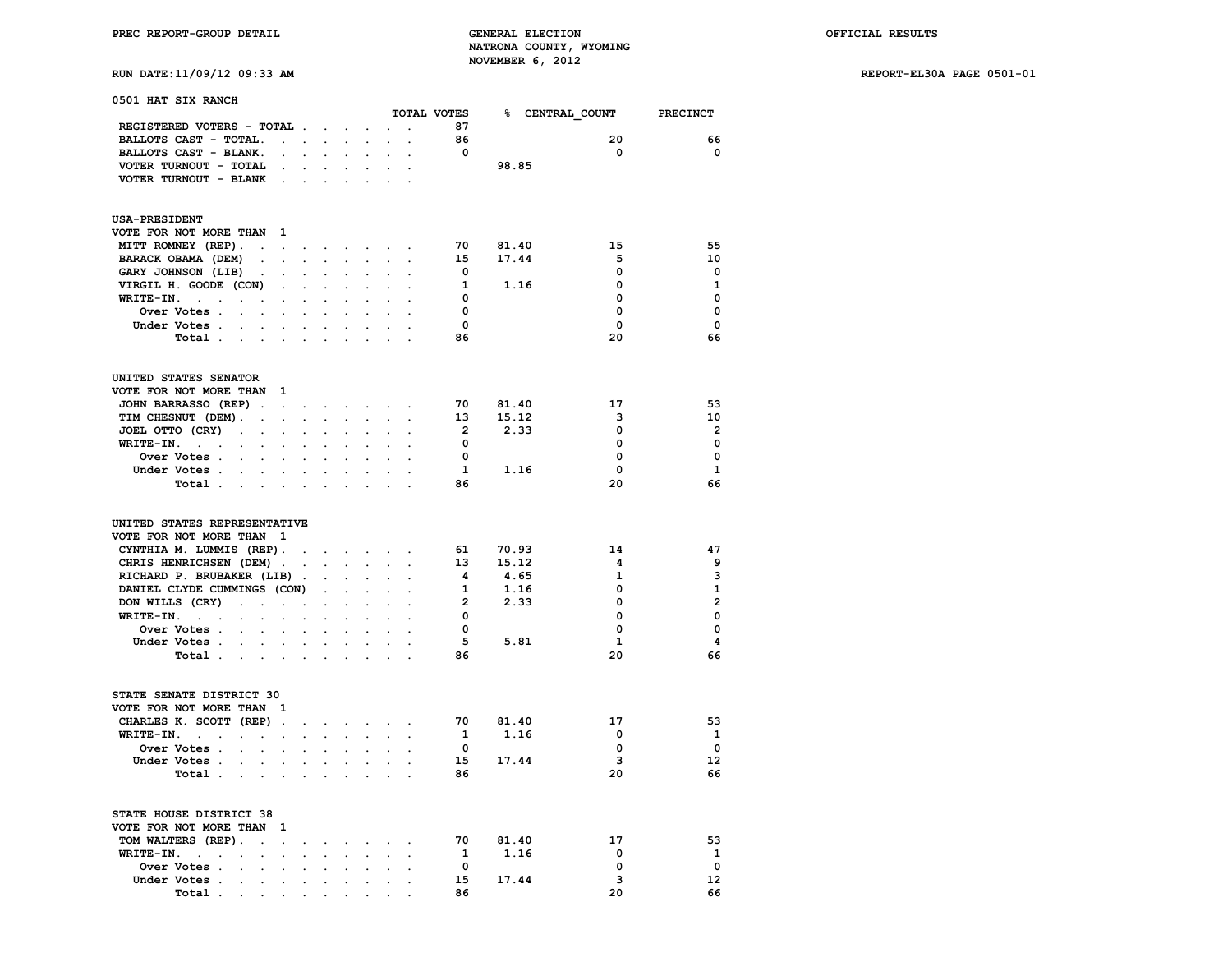## **RUN DATE:11/09/12 09:33 AM REPORT-EL30A PAGE 0501-01**

| 0501 HAT SIX RANCH                                                                                     |                      |                                |                      |                                                                                               |                             |                      | TOTAL VOTES             |                 |              | PRECINCT       |
|--------------------------------------------------------------------------------------------------------|----------------------|--------------------------------|----------------------|-----------------------------------------------------------------------------------------------|-----------------------------|----------------------|-------------------------|-----------------|--------------|----------------|
| REGISTERED VOTERS - TOTAL                                                                              |                      |                                |                      |                                                                                               |                             |                      | 87                      | % CENTRAL COUNT |              |                |
|                                                                                                        |                      |                                |                      | $\mathcal{L}_{\mathrm{max}}$                                                                  |                             | $\ddot{\phantom{a}}$ |                         |                 |              |                |
| BALLOTS CAST - TOTAL.                                                                                  | <b>Contract</b>      | $\ddot{\phantom{0}}$           | $\sim$               | $\sim$                                                                                        | $\sim$                      | $\ddot{\phantom{a}}$ | 86                      |                 | 20           | 66             |
| BALLOTS CAST - BLANK.<br>$\ddot{\phantom{0}}$                                                          |                      |                                |                      |                                                                                               |                             |                      | $\overline{\mathbf{0}}$ |                 | 0            | $\mathbf 0$    |
| VOTER TURNOUT - TOTAL<br>$\sim$                                                                        |                      |                                |                      |                                                                                               |                             |                      |                         | 98.85           |              |                |
| VOTER TURNOUT - BLANK<br>$\ddot{\phantom{0}}$                                                          | $\overline{a}$       |                                |                      |                                                                                               |                             |                      |                         |                 |              |                |
| <b>USA-PRESIDENT</b>                                                                                   |                      |                                |                      |                                                                                               |                             |                      |                         |                 |              |                |
| VOTE FOR NOT MORE THAN 1                                                                               |                      |                                |                      |                                                                                               |                             |                      |                         |                 |              |                |
| MITT ROMNEY (REP).<br>$\ddot{\phantom{a}}$<br>$\bullet$                                                |                      | $\ddotsc$<br>$\sim$            | $\sim$               | $\bullet$ .                                                                                   | $\ddot{\phantom{0}}$        |                      | 70                      | 81.40           | 15           | 55             |
| BARACK OBAMA (DEM)<br>$\sim$<br>$\Box$                                                                 | $\ddot{\phantom{0}}$ | $\ddot{\phantom{0}}$           | $\sim$               | $\blacksquare$                                                                                | $\mathcal{L}^{\mathcal{L}}$ | $\ddot{\phantom{a}}$ | 15                      | 17.44           | 5            | 10             |
| GARY JOHNSON (LIB).<br>$\sim$                                                                          |                      | $\ddot{\phantom{a}}$           |                      |                                                                                               |                             |                      | $\overline{\mathbf{0}}$ |                 | 0            | $\mathbf 0$    |
| VIRGIL H. GOODE (CON)<br>$\ddot{\phantom{a}}$                                                          | $\ddot{\phantom{a}}$ | $\ddot{\phantom{a}}$           |                      | $\ddot{\phantom{a}}$                                                                          |                             |                      | 1                       | 1.16            | 0            | $\mathbf{1}$   |
| WRITE-IN. .<br>$\blacksquare$<br>$\ddot{\phantom{a}}$                                                  | $\ddot{\phantom{a}}$ | $\ddot{\phantom{a}}$           | $\ddot{\phantom{a}}$ | $\ddot{\phantom{a}}$                                                                          | $\cdot$                     |                      | $\overline{\mathbf{0}}$ |                 | 0            | $\mathbf 0$    |
| $\sim$<br>$\ddot{\phantom{0}}$<br>Over Votes .<br>$\cdot$<br>$\mathbf{r}$                              |                      | $\ddot{\phantom{a}}$           |                      | $\cdot$                                                                                       |                             |                      | $\mathbf 0$             |                 | 0            | $\mathbf 0$    |
| $\ddot{\phantom{0}}$                                                                                   |                      |                                |                      |                                                                                               |                             |                      | $\overline{\mathbf{0}}$ |                 | $\mathbf 0$  | $\mathbf 0$    |
| Under Votes                                                                                            |                      |                                |                      |                                                                                               |                             |                      |                         |                 |              |                |
| Total .<br>$\sim$<br>$\langle \rangle$                                                                 |                      |                                |                      |                                                                                               |                             |                      | 86                      |                 | 20           | 66             |
| UNITED STATES SENATOR                                                                                  |                      |                                |                      |                                                                                               |                             |                      |                         |                 |              |                |
| VOTE FOR NOT MORE THAN<br><sup>1</sup>                                                                 |                      |                                |                      |                                                                                               |                             |                      |                         |                 |              |                |
| JOHN BARRASSO (REP).<br>$\sim 10^{-11}$                                                                |                      | and a strong control of the    |                      |                                                                                               | $\bullet$ .                 |                      | 70                      | 81.40           | 17           | 53             |
| TIM CHESNUT (DEM).<br>$\ddot{\phantom{a}}$<br>$\ddot{\phantom{a}}$                                     |                      | $\mathbf{r}$<br>$\mathbf{L}$   | $\sim$               | $\sim$                                                                                        | $\overline{a}$              | $\cdot$              | 13                      | 15.12           | 3            | 10             |
| JOEL OTTO (CRY)<br>$\ddot{\phantom{a}}$<br>$\blacksquare$<br>$\bullet$                                 | $\ddot{\phantom{a}}$ | $\ddot{\phantom{a}}$           |                      | $\ddot{\phantom{a}}$                                                                          |                             |                      | $\overline{\mathbf{2}}$ | 2.33            | 0            | $\overline{2}$ |
| WRITE-IN.<br><b>Contract Contract</b><br>$\ddot{\phantom{a}}$<br>$\ddot{\phantom{a}}$<br>$\cdot$       |                      |                                |                      |                                                                                               |                             |                      | $\mathbf{0}$            |                 | $\mathbf 0$  | $\mathbf 0$    |
| Over Votes .<br>$\sim$                                                                                 |                      |                                |                      |                                                                                               |                             |                      | $\mathbf{0}$            |                 | 0            | $\mathbf 0$    |
| Under Votes                                                                                            |                      | $\sim$<br>$\sim$               |                      | $\sim$                                                                                        |                             |                      | $\mathbf{1}$            | 1.16            | 0            | $\mathbf{1}$   |
| Total.                                                                                                 |                      |                                |                      |                                                                                               |                             |                      | 86                      |                 | 20           | 66             |
| $\mathbf{r} = \mathbf{r}$<br>$\sim$                                                                    |                      |                                |                      |                                                                                               |                             |                      |                         |                 |              |                |
| UNITED STATES REPRESENTATIVE                                                                           |                      |                                |                      |                                                                                               |                             |                      |                         |                 |              |                |
| VOTE FOR NOT MORE THAN 1                                                                               |                      |                                |                      |                                                                                               |                             |                      |                         |                 |              |                |
| CYNTHIA M. LUMMIS (REP).                                                                               | $\bullet$            |                                |                      | $\mathbf{r} = \mathbf{r} \cdot \mathbf{r}$ , where $\mathbf{r} = \mathbf{r} \cdot \mathbf{r}$ |                             |                      | 61                      | 70.93           | 14           | 47             |
| CHRIS HENRICHSEN (DEM).                                                                                | $\overline{a}$       |                                | $\sim$               | $\sim$                                                                                        | $\mathbf{r}$                |                      | 13 <sup>13</sup>        | 15.12           | 4            | 9              |
| RICHARD P. BRUBAKER (LIB).                                                                             |                      | $\ddot{\phantom{a}}$           |                      |                                                                                               |                             |                      | -4                      | 4.65            | 1            | 3              |
| DANIEL CLYDE CUMMINGS (CON)                                                                            |                      |                                |                      | $\ddot{\phantom{0}}$                                                                          |                             |                      | $\mathbf{1}$            | 1.16            | 0            | $\mathbf{1}$   |
| DON WILLS (CRY)<br>$\overline{a}$<br>$\ddot{\phantom{0}}$<br>$\ddot{\phantom{0}}$                      | $\ddot{\phantom{a}}$ | $\ddot{\phantom{a}}$           | $\ddot{\phantom{a}}$ | $\cdot$                                                                                       |                             |                      | $\overline{2}$          | 2.33            | 0            | $\overline{2}$ |
| $WRITE-IN.$<br>$\overline{a}$<br>$\ddot{\phantom{0}}$                                                  | $\ddot{\phantom{0}}$ | $\ddot{\phantom{0}}$           |                      |                                                                                               |                             |                      | $\mathbf{0}$            |                 | $\Omega$     | $\mathbf 0$    |
| Over Votes .                                                                                           |                      |                                |                      |                                                                                               |                             |                      | $\mathbf{0}$            |                 | 0            | $\mathbf 0$    |
| Under Votes                                                                                            |                      | $\sim$                         | $\sim$               |                                                                                               |                             |                      | 5                       | 5.81            | $\mathbf{1}$ | 4              |
|                                                                                                        |                      | $\bullet$ .                    |                      | $\ddot{\phantom{0}}$                                                                          |                             |                      |                         |                 | 20           | 66             |
| Total<br>$\mathbf{r} = \mathbf{r} \cdot \mathbf{r}$                                                    |                      |                                |                      |                                                                                               |                             |                      | 86                      |                 |              |                |
| STATE SENATE DISTRICT 30                                                                               |                      |                                |                      |                                                                                               |                             |                      |                         |                 |              |                |
| VOTE FOR NOT MORE THAN 1                                                                               |                      |                                |                      |                                                                                               |                             |                      |                         |                 |              |                |
| CHARLES K. SCOTT (REP).                                                                                | $\ddot{\phantom{0}}$ |                                |                      | and a state of                                                                                |                             | $\sim$ $\sim$        | 70                      | 81.40           | 17           | 53             |
| WRITE-IN.<br>$\ddot{\phantom{a}}$<br>$\ddot{\phantom{a}}$<br>$\ddot{\phantom{0}}$                      | $\cdot$              |                                |                      |                                                                                               |                             |                      | $\mathbf{1}$            | 1.16            | 0            | $\mathbf{1}$   |
| Over Votes .<br>$\cdot$<br>$\ddot{\phantom{a}}$<br>$\ddot{\phantom{a}}$                                |                      |                                |                      |                                                                                               |                             |                      | $\mathbf{0}$            |                 | 0            | $\mathbf 0$    |
| Under Votes.<br>$\ddotsc$                                                                              |                      | $\ddot{\phantom{0}}$<br>$\sim$ | $\sim$               | $\ddot{\phantom{0}}$                                                                          |                             |                      | 15                      | 17.44           | 3            | 12             |
| Total.<br>$\mathcal{L}_{\mathcal{A}}$<br>$\mathbf{r} = \mathbf{r} \cdot \mathbf{r}$                    |                      |                                |                      |                                                                                               |                             |                      | 86                      |                 | 20           | 66             |
|                                                                                                        |                      |                                |                      |                                                                                               |                             |                      |                         |                 |              |                |
| STATE HOUSE DISTRICT 38                                                                                |                      |                                |                      |                                                                                               |                             |                      |                         |                 |              |                |
| VOTE FOR NOT MORE THAN<br>- 1                                                                          |                      |                                |                      |                                                                                               |                             |                      |                         |                 |              |                |
| TOM WALTERS (REP).<br>$\ddot{\phantom{a}}$<br>$\ddot{\phantom{0}}$                                     | $\ddot{\phantom{0}}$ | $\ddot{\phantom{0}}$           |                      | $\cdot$                                                                                       |                             | $\ddot{\phantom{a}}$ | 70                      | 81.40           | 17           | 53             |
| WRITE-IN.<br>$\sim$<br>$\ddot{\phantom{a}}$<br>$\ddot{\phantom{a}}$<br>$\ddot{\phantom{a}}$<br>$\cdot$ |                      | $\ddot{\phantom{0}}$           |                      |                                                                                               |                             |                      | $\mathbf{1}$            | 1.16            | 0            | $\mathbf{1}$   |
| Over Votes .<br>$\ddot{\phantom{a}}$<br>$\ddot{\phantom{a}}$<br>$\ddot{\phantom{a}}$                   |                      |                                |                      |                                                                                               |                             |                      | $\mathbf{0}$            |                 | 0            | $\mathbf{o}$   |
| Under Votes .<br>$\sim$<br>$\cdot$<br>$\ddot{\phantom{0}}$                                             | $\ddot{\phantom{0}}$ | $\ddot{\phantom{a}}$           | $\ddot{\phantom{a}}$ | $\ddot{\phantom{0}}$                                                                          | $\ddot{\phantom{0}}$        | $\ddot{\phantom{a}}$ | 15                      | 17.44           | 3            | 12             |
| Total<br>$\cdot$                                                                                       |                      |                                |                      | $\sim$                                                                                        |                             |                      | 86                      |                 | 20           | 66             |

 **Total** . . . . . . . . . .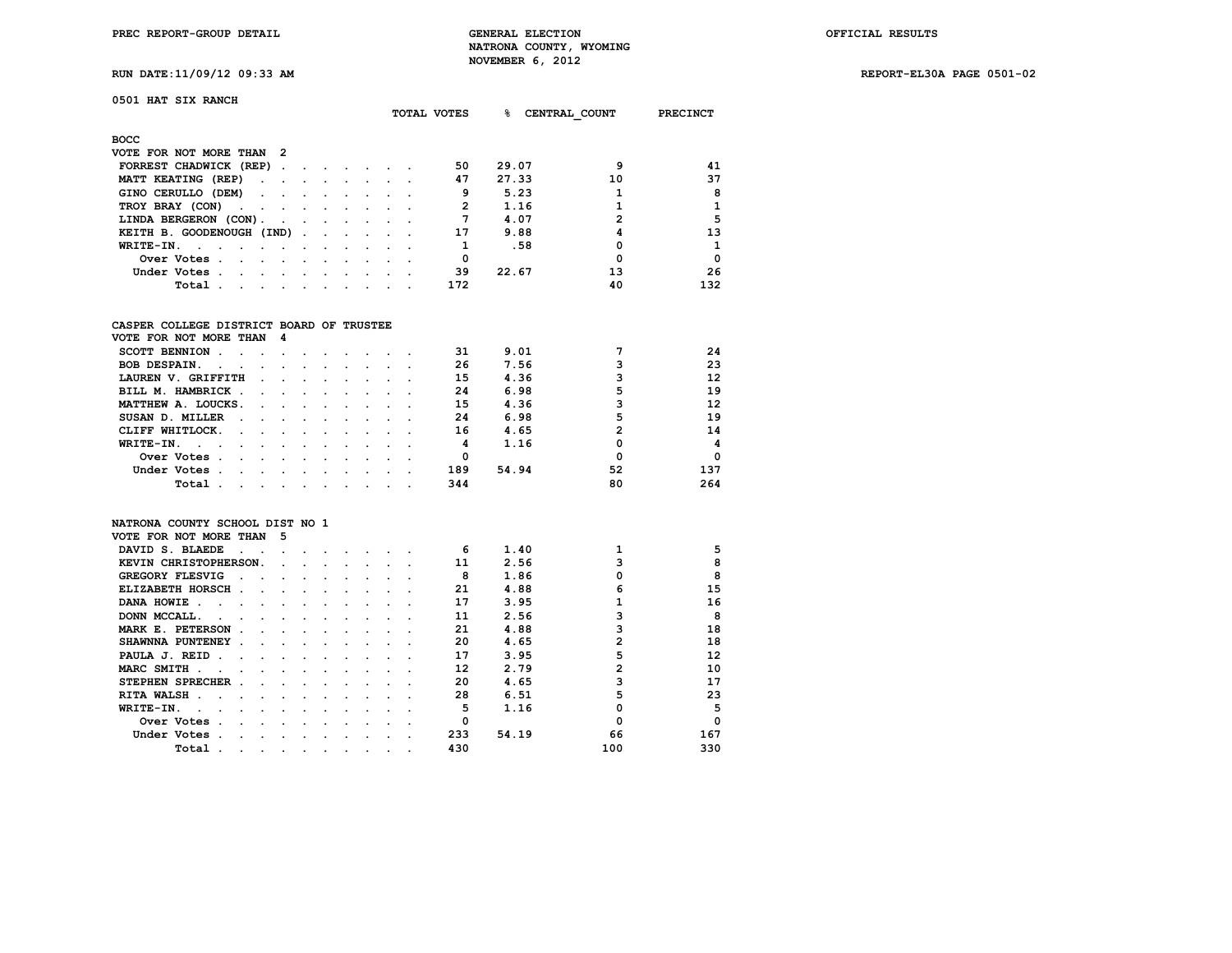**0501 HAT SIX RANCH**

**PREC REPORT-GROUP DETAIL GENERAL ELECTION OFFICIAL RESULTS NATRONA COUNTY, WYOMING NOVEMBER 6, 2012**

**RUN DATE:11/09/12 09:33 AM REPORT-EL30A PAGE 0501-02**

|                                                  |                                                                                                                 |                                                |                                     | TOTAL VOTES | ୫   | CENTRAL COUNT | <b>PRECINCT</b> |              |
|--------------------------------------------------|-----------------------------------------------------------------------------------------------------------------|------------------------------------------------|-------------------------------------|-------------|-----|---------------|-----------------|--------------|
| BOCC                                             |                                                                                                                 |                                                |                                     |             |     |               |                 |              |
| VOTE FOR NOT MORE THAN                           | - 2                                                                                                             |                                                |                                     |             |     |               |                 |              |
| FORREST CHADWICK (REP)                           |                                                                                                                 |                                                |                                     |             | 50  | 29.07         |                 | 41           |
| MATT KEATING (REP)                               |                                                                                                                 | and the state of the state of the state of the |                                     |             | 47  | 27.33         | 10              | 37           |
| GINO CERULLO (DEM)                               |                                                                                                                 |                                                |                                     |             | 9   | 5.23          |                 | 8            |
| TROY BRAY (CON)                                  |                                                                                                                 |                                                |                                     |             |     | 1.16          |                 | $\mathbf{1}$ |
| LINDA BERGERON (CON).                            | $\sim$ $\sim$ $\sim$                                                                                            | the contract of the contract of the            |                                     |             | 7   | 4.07          | 2               | 5            |
| KEITH B. GOODENOUGH (IND).                       |                                                                                                                 |                                                | the contract of the contract of the |             | 17  | 9.88          | 4               | 13           |
| $WRITE-TN.$                                      |                                                                                                                 |                                                |                                     |             |     | .58           |                 | $\mathbf{1}$ |
| Over Votes.<br>the company of the company of the |                                                                                                                 |                                                |                                     |             |     |               |                 | $\Omega$     |
| Under Votes.<br><b>Contract Contract Street</b>  |                                                                                                                 |                                                | $\sim$ $\sim$ $\sim$                |             | 39  | 22.67         | 13              | 26           |
| Total                                            | and the state of the state of the state of the state of the state of the state of the state of the state of the |                                                | and the state of the state of the   |             | 172 |               | 40              | 132          |

### **CASPER COLLEGE DISTRICT BOARD OF TRUSTEE**

| VOTE FOR NOT MORE THAN 4                          |        |                                            |  |        |  |     |       |    |     |
|---------------------------------------------------|--------|--------------------------------------------|--|--------|--|-----|-------|----|-----|
| <b>SCOTT BENNION</b>                              |        |                                            |  |        |  | 31  | 9.01  |    | 24  |
| <b>BOB DESPAIN.</b><br>$\sim$ $\sim$              | $\sim$ |                                            |  |        |  | 26  | 7.56  |    | 23  |
| LAUREN V. GRIFFITH                                |        |                                            |  |        |  | 15  | 4.36  |    | 12  |
| BILL M. HAMBRICK.<br>$\sim$ $\sim$                |        | $\sim$ $\sim$ $\sim$ $\sim$                |  |        |  | 24  | 6.98  |    | 19  |
| MATTHEW A. LOUCKS.<br>$\sim$ $\sim$ $\sim$        |        | and the state of the state of the state of |  |        |  | 15  | 4.36  |    | 12  |
| SUSAN D. MILLER<br>$\sim$ $\sim$<br>$\sim$ $\sim$ |        |                                            |  |        |  | 24  | 6.98  | 5  | 19  |
| CLIFF WHITLOCK.<br>$\sim$<br>$\ddot{\phantom{a}}$ |        |                                            |  |        |  | 16  | 4.65  | 2  | 14  |
| WRITE-IN.                                         |        |                                            |  |        |  | 4   | 1.16  |    | 4   |
| Over Votes                                        |        |                                            |  |        |  | 0   |       |    | 0   |
| Under Votes.                                      |        |                                            |  | $\sim$ |  | 189 | 54.94 | 52 | 137 |
| Total<br>$\sim$ 100 $\pm$                         | $\sim$ |                                            |  |        |  | 344 |       | 80 | 264 |

#### **NATRONA COUNTY SCHOOL DIST NO 1 VOTE FOR NOT MORE THAN 5**

| VOID FOR NOI MORD INAN              |  |  |  |  |     |       |     |          |
|-------------------------------------|--|--|--|--|-----|-------|-----|----------|
| DAVID S. BLAEDE                     |  |  |  |  | 6   | 1.40  |     | 5        |
| KEVIN CHRISTOPHERSON.               |  |  |  |  | 11  | 2.56  |     | 8        |
| <b>GREGORY FLESVIG</b>              |  |  |  |  | 8   | 1.86  |     | R        |
| ELIZABETH HORSCH.                   |  |  |  |  | 21  | 4.88  |     | 15       |
| DANA HOWIE<br>$\sim$                |  |  |  |  | 17  | 3.95  |     | 16       |
| DONN MCCALL.                        |  |  |  |  | 11  | 2.56  |     | 8        |
| MARK E. PETERSON                    |  |  |  |  | 21  | 4.88  |     | 18       |
| SHAWNNA PUNTENEY                    |  |  |  |  | 20  | 4.65  |     | 18       |
| PAULA J. REID                       |  |  |  |  | 17  | 3.95  |     | 12       |
| MARC SMITH.                         |  |  |  |  | 12  | 2.79  |     | 10       |
| STEPHEN SPRECHER.                   |  |  |  |  | 20  | 4.65  |     | 17       |
| <b>RITA WALSH</b><br>$\overline{a}$ |  |  |  |  | 28  | 6.51  |     | 23       |
| WRITE-IN.                           |  |  |  |  | 5   | 1.16  |     | 5        |
| Over Votes                          |  |  |  |  |     |       |     | $\Omega$ |
| Under Votes                         |  |  |  |  | 233 | 54.19 | 66  | 167      |
| Total                               |  |  |  |  | 430 |       | 100 | 330      |
|                                     |  |  |  |  |     |       |     |          |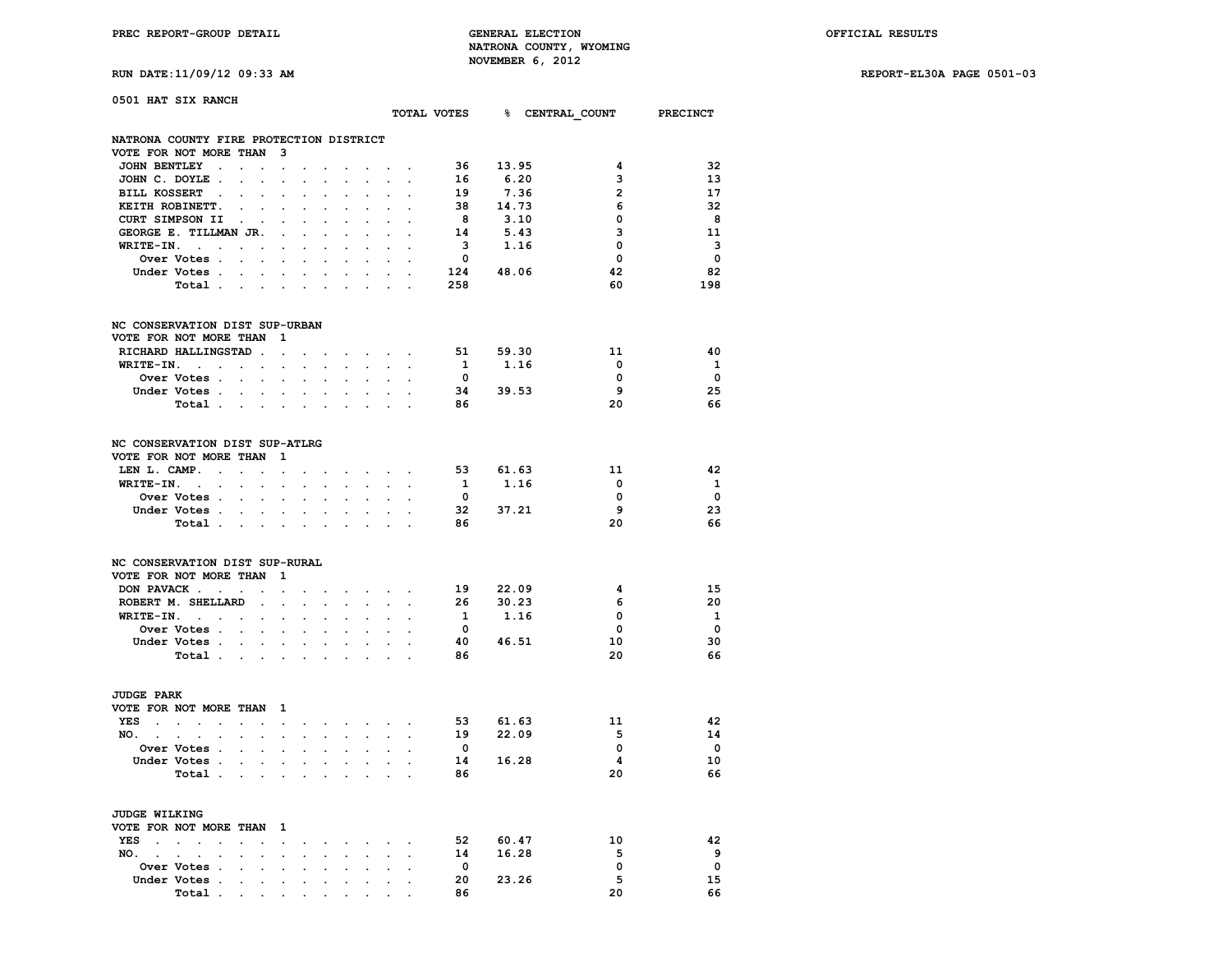**RUN DATE:11/09/12 09:33 AM REPORT-EL30A PAGE 0501-03**

| 0501 HAT SIX RANCH                      |                                                                                 |                             |                             |                                                           |                      |                                                                                                         |                      |                                   |                         |           |                                      |                          |
|-----------------------------------------|---------------------------------------------------------------------------------|-----------------------------|-----------------------------|-----------------------------------------------------------|----------------------|---------------------------------------------------------------------------------------------------------|----------------------|-----------------------------------|-------------------------|-----------|--------------------------------------|--------------------------|
|                                         |                                                                                 |                             |                             |                                                           |                      |                                                                                                         |                      |                                   |                         |           | TOTAL VOTES 8 CENTRAL COUNT PRECINCT |                          |
| NATRONA COUNTY FIRE PROTECTION DISTRICT |                                                                                 |                             |                             |                                                           |                      |                                                                                                         |                      |                                   |                         |           |                                      |                          |
| VOTE FOR NOT MORE THAN 3                |                                                                                 |                             |                             |                                                           |                      |                                                                                                         |                      |                                   |                         |           |                                      |                          |
| JOHN BENTLEY.                           | $\mathbf{r} = \mathbf{r} \times \mathbf{r}$ . The set of $\mathbf{r}$           |                             |                             | <b>Service Control</b>                                    |                      | the company of the company                                                                              |                      |                                   | 36                      | 13.95     | 4                                    | 32                       |
| JOHN C. DOYLE                           | $\mathcal{L}^{\mathcal{L}}$                                                     | $\mathcal{L}^{\mathcal{L}}$ | $\ddot{\phantom{0}}$        | $\ddot{\phantom{0}}$                                      | $\bullet$            | $\sim$                                                                                                  | $\sim$               |                                   | 16                      | 6.20      | 3                                    | 13                       |
| BILL KOSSERT .<br>$\cdot$               | $\sim$                                                                          | $\ddot{\phantom{a}}$        |                             |                                                           |                      |                                                                                                         |                      |                                   | 19                      | 7.36      | $\overline{2}$                       | 17                       |
| KEITH ROBINETT.                         | $\sim$ 100 $\mu$<br>$\ddot{\phantom{a}}$                                        |                             |                             |                                                           |                      |                                                                                                         |                      |                                   | 38                      | 14.73     | 6                                    | -32                      |
| CURT SIMPSON II                         | <b>Contract Contract Contract</b>                                               | $\sim$                      |                             | $\mathbf{r}$                                              | $\ddot{\phantom{0}}$ | <b>Contract</b>                                                                                         | $\sim$               |                                   | 8 <sup>1</sup>          | 3.10      | 0                                    | - 8                      |
| GEORGE E. TILLMAN JR.                   |                                                                                 | $\bullet$                   |                             | $\sim$                                                    | $\ddot{\phantom{a}}$ | $\ddot{\phantom{a}}$                                                                                    | $\sim$               |                                   | 14                      | 5.43      | 3                                    | 11                       |
| $WRITE-IN.$ .                           | $\sim$ $\sim$ $\sim$                                                            |                             |                             |                                                           |                      |                                                                                                         |                      |                                   | $\overline{\mathbf{3}}$ | 1.16      | $\mathbf 0$                          | - 3                      |
| Over Votes                              |                                                                                 | $\ddot{\phantom{0}}$        | $\ddot{\phantom{a}}$        | $\ddot{\phantom{a}}$                                      | $\ddot{\phantom{a}}$ | $\ddot{\phantom{a}}$                                                                                    | $\ddot{\phantom{0}}$ | $\cdot$                           | $\overline{\mathbf{0}}$ |           | $\mathbf 0$                          | $\overline{\mathbf{0}}$  |
| Under Votes                             |                                                                                 |                             |                             |                                                           |                      | $\mathbf{r} = \mathbf{r} + \mathbf{r} + \mathbf{r} + \mathbf{r} + \mathbf{r} + \mathbf{r} + \mathbf{r}$ |                      |                                   |                         | 124 48.06 | 42                                   | 82                       |
| Total                                   |                                                                                 |                             |                             |                                                           |                      |                                                                                                         |                      |                                   | 258                     |           | 60                                   | 198                      |
| NC CONSERVATION DIST SUP-URBAN          |                                                                                 |                             |                             |                                                           |                      |                                                                                                         |                      |                                   |                         |           |                                      |                          |
| VOTE FOR NOT MORE THAN 1                |                                                                                 |                             |                             |                                                           |                      |                                                                                                         |                      |                                   |                         |           |                                      |                          |
| RICHARD HALLINGSTAD.                    |                                                                                 | $\sim$ $\sim$               | $\ddot{\phantom{a}}$        |                                                           |                      | the contract of the con-                                                                                |                      |                                   | 51                      | 59.30     | 11                                   | 40                       |
| $WRITE-IN.$                             |                                                                                 |                             |                             |                                                           |                      | and the company of the company of the company of the company of the company of                          |                      |                                   | $\mathbf{1}$            | 1.16      | $\mathbf 0$                          | $\mathbf{1}$             |
| Over Votes                              |                                                                                 | $\sim$                      | $\mathcal{L}^{\mathcal{L}}$ | $\mathbf{L}^{\text{max}}$                                 | $\ddot{\phantom{0}}$ | $\sim$                                                                                                  |                      |                                   | $\overline{\mathbf{0}}$ |           | $\Omega$                             | $\overline{\mathbf{0}}$  |
| Under Votes                             |                                                                                 |                             |                             |                                                           |                      |                                                                                                         |                      |                                   |                         | 34 39.53  | - 9                                  | 25                       |
| Total                                   |                                                                                 |                             |                             | $\sim$                                                    |                      |                                                                                                         |                      |                                   | 86                      |           | 20                                   | 66                       |
| NC CONSERVATION DIST SUP-ATLRG          |                                                                                 |                             |                             |                                                           |                      |                                                                                                         |                      |                                   |                         |           |                                      |                          |
| VOTE FOR NOT MORE THAN                  |                                                                                 | $\overline{\mathbf{1}}$     |                             |                                                           |                      |                                                                                                         |                      |                                   |                         |           |                                      |                          |
| LEN L. CAMP.                            |                                                                                 |                             |                             |                                                           |                      |                                                                                                         |                      | and a series of the series of the | 53                      | 61.63     | - 11                                 | 42                       |
| $WRITE-IN.$                             |                                                                                 |                             | $\bullet$ .                 |                                                           |                      | and a strong state                                                                                      |                      | $\ddot{\phantom{0}}$              | 1                       | 1.16      | $^{\circ}$                           | $\mathbf{1}$             |
| Over Votes                              | $\mathbf{L}$                                                                    | $\sim$                      |                             |                                                           |                      |                                                                                                         |                      |                                   | $\overline{\mathbf{0}}$ |           | 0                                    | $\overline{\phantom{0}}$ |
| Under Votes                             |                                                                                 |                             |                             |                                                           |                      | $\mathbf{r} = \mathbf{r} + \mathbf{r} + \mathbf{r} + \mathbf{r}$ .                                      | $\ddot{\phantom{0}}$ |                                   |                         | 32 37.21  | 9                                    | 23                       |
| Total                                   |                                                                                 |                             |                             | $\mathcal{L}^{\text{max}}$ and $\mathcal{L}^{\text{max}}$ |                      |                                                                                                         |                      |                                   | 86                      |           | 20                                   | 66                       |
| NC CONSERVATION DIST SUP-RURAL          |                                                                                 |                             |                             |                                                           |                      |                                                                                                         |                      |                                   |                         |           |                                      |                          |
| VOTE FOR NOT MORE THAN                  |                                                                                 | 1                           |                             |                                                           |                      |                                                                                                         |                      |                                   |                         |           |                                      |                          |
| DON PAVACK                              |                                                                                 | $\sim$                      |                             |                                                           |                      | and the state of the state of the state of                                                              |                      |                                   | 19                      | 22.09     | 4                                    | 15                       |
| ROBERT M. SHELLARD                      | $\sim$ $\sim$                                                                   | $\sim$                      | $\sim$                      | $\mathcal{L}^{\text{max}}$                                | $\sim$               | $\sim$                                                                                                  | $\sim$               | $\ddot{\phantom{a}}$              | 26                      | 30.23     | 6                                    | -20                      |
| $WRITE-IN.$                             |                                                                                 | $\mathcal{L}^{\text{max}}$  | $\mathcal{L}^{\mathcal{L}}$ | $\mathbf{r}$                                              | $\mathbf{r}$         | $\sim$                                                                                                  | $\sim$               |                                   | $\mathbf{1}$            | 1.16      | 0                                    | $\overline{\mathbf{1}}$  |
| Over Votes                              |                                                                                 |                             | $\sim$                      | $\sim$                                                    | $\ddot{\phantom{a}}$ | $\ddot{\phantom{0}}$                                                                                    | $\ddot{\phantom{a}}$ |                                   | $\mathbf 0$             |           | 0                                    | $\overline{\phantom{0}}$ |
| Under Votes                             |                                                                                 |                             | $\sim 10^{-11}$             | $\sim$                                                    |                      | $\mathcal{L}^{\text{max}}$                                                                              |                      |                                   |                         | 40 46.51  | 10                                   | 30                       |
| Total                                   |                                                                                 |                             |                             |                                                           |                      | $\bullet$                                                                                               | $\sim$               |                                   | 86                      |           | 20                                   | 66                       |
| <b>JUDGE PARK</b>                       |                                                                                 |                             |                             |                                                           |                      |                                                                                                         |                      |                                   |                         |           |                                      |                          |
| VOTE FOR NOT MORE THAN                  |                                                                                 | $\mathbf{1}$                |                             |                                                           |                      |                                                                                                         |                      |                                   |                         |           |                                      |                          |
| YES<br>the contract of the contract of  |                                                                                 |                             |                             |                                                           |                      | $\mathbf{z}=(\mathbf{z}_1,\ldots,\mathbf{z}_n)$ . The contribution of $\mathbf{z}_1$                    |                      |                                   | 53                      | 61.63     | 11                                   | 42                       |
| NO.                                     | <b>Contract Contract</b>                                                        |                             |                             |                                                           |                      | and the company of the company of the company                                                           |                      |                                   | 19                      | 22.09     | 5                                    | 14                       |
| <b>Over Votes .</b><br>$\sim$           | $\sim$                                                                          | $\sim$                      |                             |                                                           |                      |                                                                                                         |                      |                                   | $\mathbf 0$             |           | $\mathbf 0$                          | - 0                      |
| Under Votes                             |                                                                                 |                             | $\sim$                      |                                                           |                      | <b>All All Andrew</b>                                                                                   | $\sim$               | $\sim$                            |                         | 14 16.28  | 4                                    | 10                       |
| Total                                   |                                                                                 |                             |                             |                                                           |                      | $\sim$ $\sim$ $\sim$ $\sim$                                                                             |                      |                                   | 86                      |           | 20                                   | 66                       |
| JUDGE WILKING                           |                                                                                 |                             |                             |                                                           |                      |                                                                                                         |                      |                                   |                         |           |                                      |                          |
| VOTE FOR NOT MORE THAN 1                |                                                                                 |                             |                             |                                                           |                      |                                                                                                         |                      |                                   |                         |           |                                      |                          |
| YES .<br>$\sim$<br>$\blacksquare$ .     |                                                                                 |                             |                             |                                                           |                      | $\mathbf{u} = \mathbf{u} \cdot \mathbf{u}$ , and $\mathbf{u} = \mathbf{u} \cdot \mathbf{u}$             |                      |                                   |                         | 52 60.47  | 10                                   | 42                       |
| NO.                                     |                                                                                 |                             |                             |                                                           |                      |                                                                                                         |                      |                                   |                         | 14 16.28  | 5                                    | 9                        |
| Over Votes .                            | the contract of the contract of the contract of the contract of the contract of |                             |                             |                                                           |                      |                                                                                                         |                      |                                   | $\overline{0}$          |           | 0                                    | $\Omega$                 |

 **Under Votes . . . . . . . . . . 20 23.26 5 15**

 **Total . . . . . . . . . . 86 20 66**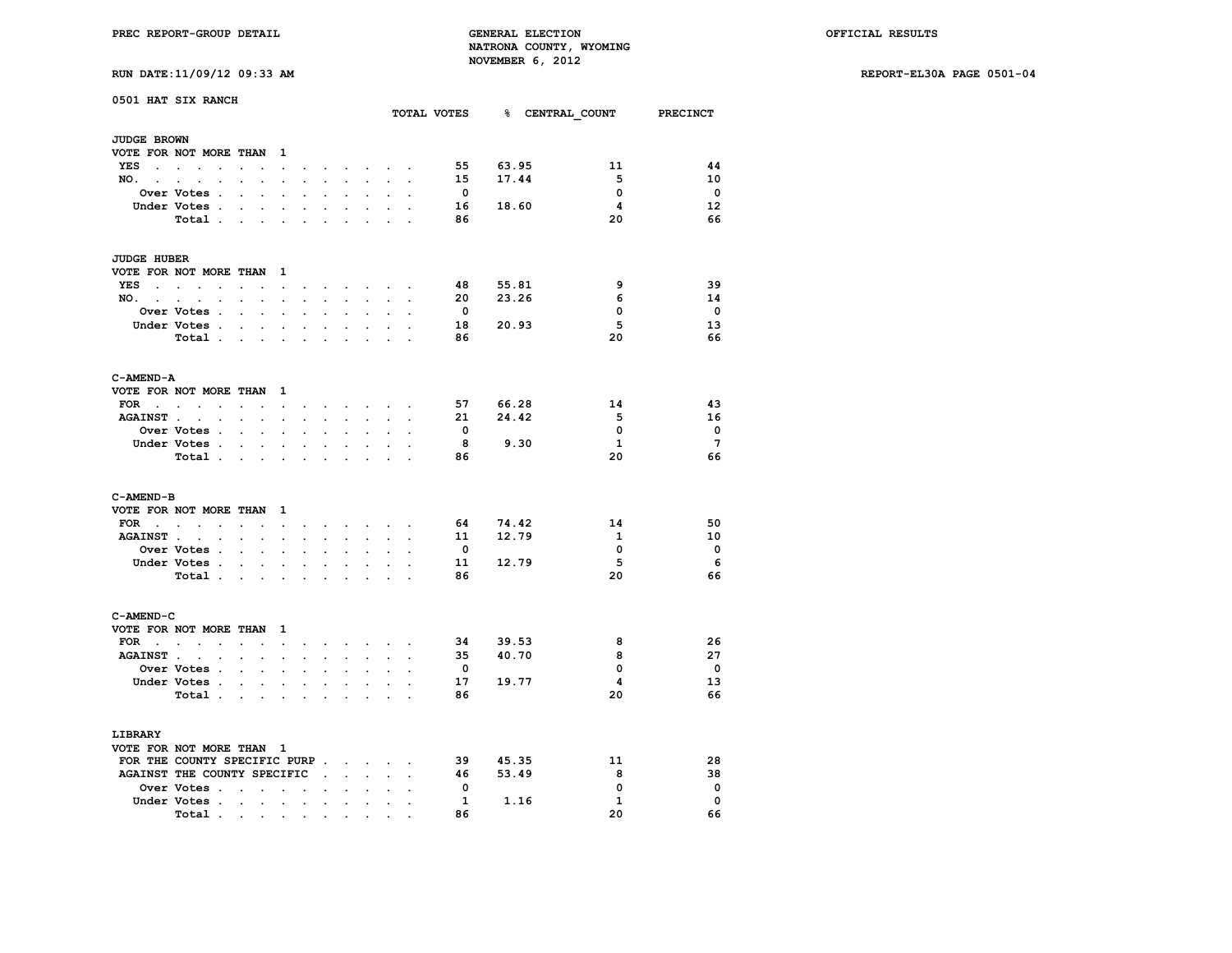**RUN DATE:11/09/12 09:33 AM REPORT-EL30A PAGE 0501-04**

|  |  |  |  |  | RUN DATE:11/09/12 09:33 A |  |
|--|--|--|--|--|---------------------------|--|
|--|--|--|--|--|---------------------------|--|

|                          | 0501 HAT SIX RANCH                |                                        |                      |                                                         |                      |                      |                                        |                            |                      |                         |                         | TOTAL VOTES 8 CENTRAL COUNT PRECINCT |              |                          |
|--------------------------|-----------------------------------|----------------------------------------|----------------------|---------------------------------------------------------|----------------------|----------------------|----------------------------------------|----------------------------|----------------------|-------------------------|-------------------------|--------------------------------------|--------------|--------------------------|
| <b>JUDGE BROWN</b>       |                                   |                                        |                      |                                                         |                      |                      |                                        |                            |                      |                         |                         |                                      |              |                          |
|                          | VOTE FOR NOT MORE THAN 1          |                                        |                      |                                                         |                      |                      |                                        |                            |                      |                         |                         |                                      |              |                          |
| YES<br>$\sim$ $\sim$     | $\sim$<br>$\cdot$                 | $\ddot{\phantom{0}}$                   |                      | $\blacksquare$                                          | $\sim$               | $\cdot$              | $\ddot{\phantom{0}}$                   | $\ddot{\phantom{0}}$       | $\ddot{\phantom{0}}$ |                         | 55                      | 63.95                                | 11           | 44                       |
| NO.                      | $\ddot{\phantom{0}}$              | $\sim$                                 | $\bullet$            | $\sim$                                                  | $\ddot{\phantom{a}}$ | $\sim$               | $\sim$                                 | $\ddot{\phantom{0}}$       | $\ddot{\phantom{0}}$ | $\ddot{\phantom{a}}$    | 15                      | 17.44                                | 5            | 10                       |
|                          | <b>Over Votes .</b>               |                                        |                      |                                                         |                      |                      |                                        |                            |                      |                         | $\overline{\mathbf{0}}$ |                                      | $\mathbf 0$  | $\overline{\phantom{0}}$ |
|                          | Under Votes .                     | $\mathbf{z} = \mathbf{z} + \mathbf{z}$ |                      | $\bullet$                                               |                      | $\ddot{\phantom{0}}$ | $\ddot{\phantom{0}}$                   | $\ddot{\phantom{0}}$       |                      |                         | 16                      | 18.60                                | 4            | 12                       |
|                          | Total                             |                                        |                      | $\ddot{\phantom{a}}$                                    |                      |                      |                                        |                            |                      |                         | 86                      |                                      | 20           | 66                       |
|                          |                                   |                                        |                      |                                                         |                      |                      |                                        |                            |                      |                         |                         |                                      |              |                          |
| <b>JUDGE HUBER</b>       |                                   |                                        |                      |                                                         |                      |                      |                                        |                            |                      |                         |                         |                                      |              |                          |
|                          | VOTE FOR NOT MORE THAN 1          |                                        |                      |                                                         |                      |                      |                                        |                            |                      |                         |                         |                                      |              |                          |
| YES                      | and the state of the state of the | $\ddot{\phantom{0}}$                   |                      | the contract of the contract of the contract of         |                      |                      |                                        |                            |                      |                         | 48                      | 55.81                                | 9            | 39                       |
|                          | $NO.$ $.$ $.$ $.$ $.$             |                                        |                      | $\mathbf{r} = \mathbf{r} + \mathbf{r} + \mathbf{r}$     | $\sim$               |                      | $\mathbf{z} = \mathbf{z} + \mathbf{z}$ | $\sim 10^{-11}$            | $\ddot{\phantom{0}}$ | $\bullet$               | 20                      | 23.26                                | 6            | 14                       |
|                          | Over Votes .                      | $\ddot{\phantom{0}}$                   | $\ddot{\phantom{0}}$ |                                                         |                      |                      |                                        |                            |                      |                         | $\overline{\mathbf{0}}$ |                                      | 0            | $\overline{\phantom{0}}$ |
|                          | Under Votes                       |                                        |                      | $\sim$                                                  | $\sim$               | $\bullet$ .          | $\ddot{\phantom{0}}$                   | $\ddot{\phantom{0}}$       | $\ddot{\phantom{0}}$ | $\ddot{\phantom{a}}$    | 18                      | 20.93                                | 5            | 13                       |
|                          | Total .                           |                                        |                      |                                                         |                      |                      |                                        |                            |                      |                         | 86                      |                                      | 20           | 66                       |
|                          |                                   |                                        |                      | <b>Contract Contract</b>                                | $\ddot{\phantom{a}}$ | $\sim$               | $\ddot{\phantom{a}}$                   | $\cdot$                    |                      |                         |                         |                                      |              |                          |
| C-AMEND-A                |                                   |                                        |                      |                                                         |                      |                      |                                        |                            |                      |                         |                         |                                      |              |                          |
|                          | VOTE FOR NOT MORE THAN 1          |                                        |                      |                                                         |                      |                      |                                        |                            |                      |                         |                         |                                      |              |                          |
|                          | FOR $\cdots$ $\cdots$             |                                        |                      |                                                         | $\bullet$            |                      |                                        | the company of the company |                      |                         | 57                      | 66.28                                | 14           | 43                       |
| <b>AGAINST</b> .         | $\sim$ $-$<br>$\mathbf{r}$        | $\sim$ $\sim$ $\sim$                   |                      | $\sim$                                                  | ÷                    | $\ddot{\phantom{0}}$ | $\ddot{\phantom{0}}$                   |                            |                      |                         | 21                      | 24.42                                | -5           | 16                       |
|                          | Over Votes .                      | $\sim$                                 | $\bullet$            | $\cdot$                                                 |                      |                      |                                        | $\ddot{\phantom{a}}$       |                      |                         | $\Omega$                |                                      | $\mathbf{0}$ | - 0                      |
|                          | Under Votes .                     | <b>Contract Contract</b>               |                      | $\sim$                                                  | $\blacksquare$       | $\blacksquare$       | $\ddot{\phantom{0}}$                   | $\ddot{\phantom{0}}$       | $\overline{a}$       |                         | - 8                     | 9.30                                 | $\mathbf{1}$ | $\overline{7}$           |
|                          | Total .                           |                                        |                      | $\mathbf{L}^{\text{max}}$ and $\mathbf{L}^{\text{max}}$ | $\ddot{\phantom{a}}$ | $\mathbf{L}$         | $\mathcal{L}$                          | $\mathbf{r}$               |                      |                         | 86                      |                                      | 20           | 66                       |
|                          |                                   |                                        |                      |                                                         |                      |                      |                                        |                            |                      |                         |                         |                                      |              |                          |
| C-AMEND-B                |                                   |                                        |                      |                                                         |                      |                      |                                        |                            |                      |                         |                         |                                      |              |                          |
|                          | VOTE FOR NOT MORE THAN            |                                        |                      | $\mathbf{1}$                                            |                      |                      |                                        |                            |                      |                         |                         |                                      |              |                          |
|                          | FOR $\cdots$ $\cdots$             |                                        |                      | $\Box$                                                  | $\bullet$ .          |                      |                                        | and a state of the         |                      | $\alpha = 1$ , $\alpha$ | 64                      | 74.42                                | 14           | 50                       |
| <b>AGAINST.</b>          |                                   |                                        | $\mathbf{r}$         | $\ddot{\phantom{0}}$                                    | $\ddot{\phantom{a}}$ |                      |                                        |                            |                      |                         | 11                      | 12.79                                | $\mathbf{1}$ | 10                       |
|                          | <b>Over Votes .</b>               | $\mathbf{r} = \mathbf{r}$              |                      | $\ddot{\phantom{a}}$                                    | $\mathbf{r}$         | $\mathbf{r}$         | $\overline{a}$                         | $\ddot{\phantom{a}}$       |                      |                         | 0                       |                                      | 0            | $\overline{\phantom{0}}$ |
|                          | Under Votes .                     | $\sim$                                 |                      | $\cdot$ $\cdot$                                         |                      | $\ddot{\phantom{a}}$ | $\ddot{\phantom{0}}$                   |                            |                      |                         | 11                      | 12.79                                | 5            | 6                        |
|                          | Total .                           | $\sim$ $\sim$                          |                      | $\sim$                                                  |                      |                      |                                        |                            |                      |                         | 86                      |                                      | 20           | 66                       |
|                          |                                   |                                        |                      |                                                         |                      |                      |                                        |                            |                      |                         |                         |                                      |              |                          |
| C-AMEND-C                |                                   |                                        |                      |                                                         |                      |                      |                                        |                            |                      |                         |                         |                                      |              |                          |
| VOTE FOR NOT MORE THAN   |                                   |                                        |                      | $\mathbf{1}$                                            |                      |                      |                                        |                            |                      |                         |                         |                                      |              |                          |
|                          | $FOR \t . \t . \t .$              | $\cdots$                               |                      |                                                         | $\ddot{\phantom{a}}$ |                      |                                        | and a strong strong strong |                      |                         | 34                      | 39.53                                | 8            | 26                       |
| <b>AGAINST.</b>          | $\sim$<br>$\ddot{\phantom{a}}$    | $\sim$                                 | $\ddot{\phantom{0}}$ | $\sim$                                                  | $\mathbf{r}$         | $\ddot{\phantom{0}}$ | $\ddot{\phantom{0}}$                   | $\ddot{\phantom{0}}$       | $\sim$               | $\overline{a}$          | 35                      | 40.70                                | 8            | 27                       |
|                          | Over Votes .                      | $\mathbf{r} = \mathbf{r}$              |                      | $\ddot{\phantom{a}}$                                    | $\ddot{\phantom{a}}$ | $\ddot{\phantom{a}}$ | $\ddot{\phantom{0}}$                   | $\ddot{\phantom{a}}$       | $\overline{a}$       |                         | $\mathbf{o}$            |                                      | 0            | $\overline{\phantom{0}}$ |
|                          | Under Votes.                      | $\mathbf{r}$                           |                      | $\mathcal{L}^{\text{max}}$                              | $\overline{a}$       |                      |                                        |                            |                      |                         | 17                      | 19.77                                | 4            | 13                       |
|                          | Total .                           | $\sim$                                 | $\ddot{\phantom{a}}$ | $\sim$                                                  |                      |                      |                                        | $\ddot{\phantom{0}}$       | $\overline{a}$       |                         | 86                      |                                      | 20           | 66                       |
|                          |                                   |                                        |                      |                                                         |                      |                      |                                        |                            |                      |                         |                         |                                      |              |                          |
| LIBRARY                  |                                   |                                        |                      |                                                         |                      |                      |                                        |                            |                      |                         |                         |                                      |              |                          |
| VOTE FOR NOT MORE THAN 1 |                                   |                                        |                      |                                                         |                      |                      |                                        |                            |                      |                         |                         |                                      |              |                          |
|                          | FOR THE COUNTY SPECIFIC PURP      |                                        |                      |                                                         |                      |                      |                                        |                            |                      |                         | 39                      | 45.35                                | 11           | 28                       |
|                          | AGAINST THE COUNTY SPECIFIC.      |                                        |                      |                                                         |                      |                      | $\mathbf{r}$                           | $\ddot{\phantom{0}}$       |                      |                         | 46                      | 53.49                                | 8            | 38                       |
|                          | Over Votes                        |                                        | $\sim$               | $\ddot{\phantom{0}}$                                    |                      |                      | $\ddot{\phantom{a}}$                   | $\ddot{\phantom{0}}$       |                      |                         | $\overline{\mathbf{0}}$ |                                      | 0            | $\mathbf 0$              |
|                          | Under Votes .                     | $\sim$ $\sim$                          | $\ddot{\phantom{a}}$ | $\cdot$                                                 | $\cdot$              | $\ddot{\phantom{0}}$ | $\ddot{\phantom{0}}$                   | $\ddot{\phantom{0}}$       |                      |                         | $\mathbf{1}$            | 1.16                                 | $\mathbf{1}$ | $\mathbf 0$              |
|                          | Total .                           |                                        |                      |                                                         |                      |                      |                                        |                            |                      |                         | 86                      |                                      | 20           | 66                       |
|                          |                                   | the contract of the contract of        |                      |                                                         | $\bullet$            |                      |                                        |                            |                      |                         |                         |                                      |              |                          |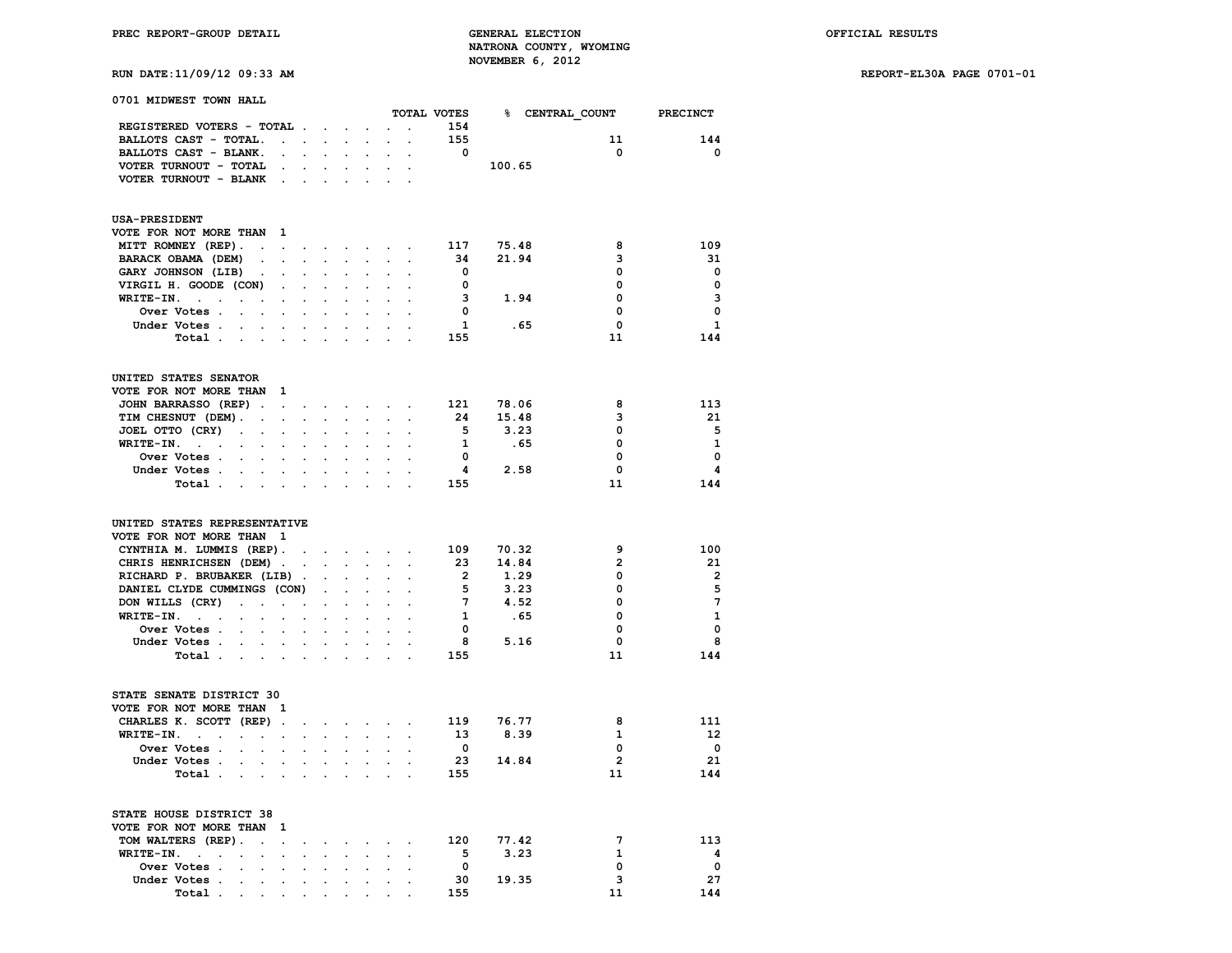**RUN DATE:11/09/12 09:33 AM REPORT-EL30A PAGE 0701-01**

| 0701 MIDWEST TOWN HALL                                                                              |                                   |                             |                      |                                                                            |                                                                                                                 |                      |                      | TOTAL VOTES             |        | % CENTRAL COUNT PRECINCT |                         |
|-----------------------------------------------------------------------------------------------------|-----------------------------------|-----------------------------|----------------------|----------------------------------------------------------------------------|-----------------------------------------------------------------------------------------------------------------|----------------------|----------------------|-------------------------|--------|--------------------------|-------------------------|
| REGISTERED VOTERS - TOTAL                                                                           |                                   |                             |                      |                                                                            |                                                                                                                 |                      | $\ddot{\phantom{a}}$ | 154                     |        |                          |                         |
| BALLOTS CAST - TOTAL.                                                                               |                                   |                             |                      | $\mathbf{L} = \mathbf{L} \times \mathbf{L} = \mathbf{L} \times \mathbf{L}$ | $\mathbf{r}$                                                                                                    | $\ddot{\phantom{0}}$ | $\bullet$ .          | 155                     |        | 11                       | 144                     |
| BALLOTS CAST - BLANK.                                                                               | $\cdot$                           | $\mathcal{L}^{\text{max}}$  |                      |                                                                            |                                                                                                                 |                      |                      | $\overline{\mathbf{0}}$ |        | 0                        | $\mathbf 0$             |
| VOTER TURNOUT - TOTAL                                                                               |                                   |                             |                      | $\sim$                                                                     | $\sim$ 10 $\pm$                                                                                                 |                      | $\cdot$ $\cdot$      |                         | 100.65 |                          |                         |
| VOTER TURNOUT - BLANK                                                                               | <b>Contract Contract Contract</b> |                             |                      | $\sim$                                                                     | s.                                                                                                              | $\sim$               |                      |                         |        |                          |                         |
| <b>USA-PRESIDENT</b>                                                                                |                                   |                             |                      |                                                                            |                                                                                                                 |                      |                      |                         |        |                          |                         |
| VOTE FOR NOT MORE THAN<br><sup>1</sup>                                                              |                                   |                             |                      |                                                                            |                                                                                                                 |                      |                      |                         |        |                          |                         |
| MITT ROMNEY (REP).<br>$\ddot{\phantom{a}}$                                                          |                                   |                             |                      |                                                                            | and a series of the series of the                                                                               |                      | $\cdot$              | 117                     | 75.48  | 8                        | 109                     |
| BARACK OBAMA (DEM)<br>$\sim$                                                                        | $\sim$                            | $\sim$                      |                      |                                                                            |                                                                                                                 |                      |                      | 34                      | 21.94  | з                        | 31                      |
| GARY JOHNSON (LIB)<br>$\ddot{\phantom{0}}$                                                          | $\sim$                            | $\sim$                      |                      |                                                                            |                                                                                                                 |                      | $\ddot{\phantom{a}}$ | 0                       |        | 0                        | $\mathbf{o}$            |
| VIRGIL H. GOODE (CON)                                                                               | $\ddot{\phantom{0}}$              | $\sim 10^{-11}$             | $\ddot{\phantom{a}}$ | $\ddot{\phantom{0}}$                                                       | $\ddot{\phantom{0}}$                                                                                            |                      | $\ddot{\phantom{0}}$ | 0                       |        | 0                        | $\mathbf{0}$            |
| WRITE-IN.<br>and the state of the state of the                                                      |                                   | $\sim$                      |                      |                                                                            |                                                                                                                 |                      |                      | 3                       | 1.94   | 0                        | 3                       |
| Over Votes.<br><b>Contract Contract</b>                                                             | $\ddot{\phantom{0}}$              | $\ddot{\phantom{0}}$        |                      |                                                                            |                                                                                                                 |                      |                      | 0                       |        | 0                        | $\mathbf 0$             |
| Under Votes                                                                                         | $\mathcal{L}_{\mathrm{max}}$      | $\sim$                      | $\ddot{\phantom{a}}$ | $\ddot{\phantom{0}}$                                                       | $\ddot{\phantom{a}}$                                                                                            | $\ddot{\phantom{0}}$ | $\ddot{\phantom{0}}$ | $\mathbf{1}$            |        | .65<br>0                 | $\mathbf{1}$            |
| Total .<br>the company of the company of the company                                                |                                   |                             |                      |                                                                            |                                                                                                                 |                      |                      | 155                     |        | 11                       | 144                     |
| UNITED STATES SENATOR                                                                               |                                   |                             |                      |                                                                            |                                                                                                                 |                      |                      |                         |        |                          |                         |
| VOTE FOR NOT MORE THAN<br>$\mathbf{1}$                                                              |                                   |                             |                      |                                                                            |                                                                                                                 |                      |                      |                         |        |                          |                         |
| JOHN BARRASSO (REP).                                                                                |                                   |                             |                      |                                                                            | and a strain and a strain and                                                                                   |                      | $\bullet$            | 121                     | 78.06  | 8                        | 113                     |
| TIM CHESNUT (DEM).<br>$\sim 100$ km s $^{-1}$                                                       | <b>Service State</b>              |                             |                      | $\mathbf{r}$                                                               |                                                                                                                 |                      |                      | 24                      | 15.48  | 3                        | 21                      |
| JOEL OTTO (CRY)<br>$\sim$ $-$<br>$\sim$                                                             | $\sim$                            | $\sim$                      | $\ddot{\phantom{a}}$ |                                                                            |                                                                                                                 |                      | $\cdot$              | - 5                     | 3.23   | 0                        | 5                       |
| WRITE-IN.<br>$\mathcal{A}^{\mathcal{A}}$ and $\mathcal{A}^{\mathcal{A}}$<br>$\sim$<br>$\sim$ $\sim$ | $\ddot{\phantom{0}}$              | $\ddot{\phantom{a}}$        | $\Box$               | $\ddot{\phantom{a}}$                                                       | $\ddot{\phantom{a}}$                                                                                            | $\ddot{\phantom{a}}$ | $\ddot{\phantom{0}}$ | $\mathbf{1}$            | .65    | 0                        | $\mathbf{1}$            |
| Over Votes.<br>$\mathcal{L}^{\text{max}}$<br>$\mathbf{r}$                                           | $\ddot{\phantom{0}}$              |                             | $\overline{a}$       |                                                                            |                                                                                                                 |                      |                      | $\mathbf{0}$            |        | 0                        | $\mathbf 0$             |
| Under Votes<br>$\ddot{\phantom{0}}$                                                                 | $\sim$                            | $\ddot{\phantom{0}}$        | $\sim$               | $\ddot{\phantom{0}}$                                                       | $\mathbf{r}$                                                                                                    |                      |                      | $\overline{\mathbf{4}}$ | 2.58   | 0                        | 4                       |
| Total                                                                                               | $\sim$                            | $\sim$                      | $\mathbf{r}$         | $\sim$                                                                     | $\ddot{\phantom{a}}$                                                                                            | $\ddot{\phantom{a}}$ |                      | 155                     |        | 11                       | 144                     |
| UNITED STATES REPRESENTATIVE                                                                        |                                   |                             |                      |                                                                            |                                                                                                                 |                      |                      |                         |        |                          |                         |
| VOTE FOR NOT MORE THAN 1                                                                            |                                   |                             |                      |                                                                            |                                                                                                                 |                      |                      |                         |        |                          |                         |
| CYNTHIA M. LUMMIS (REP).                                                                            |                                   |                             |                      |                                                                            | and the contract of the contract of the contract of the contract of the contract of                             |                      |                      | 109                     | 70.32  | 9                        | 100                     |
| CHRIS HENRICHSEN (DEM)<br>$\sim$                                                                    |                                   | $\sim$ $\sim$               | $\sim 100$           | $\sim$                                                                     | $\sim$                                                                                                          | $\sim$               | $\Box$               | 23                      | 14.84  | $\overline{2}$           | 21                      |
| RICHARD P. BRUBAKER (LIB).                                                                          |                                   |                             | $\sim$               |                                                                            |                                                                                                                 |                      |                      | $\overline{\mathbf{2}}$ | 1.29   | 0                        | $\overline{\mathbf{2}}$ |
| DANIEL CLYDE CUMMINGS (CON)                                                                         |                                   |                             | $\sim$               | $\ddot{\phantom{0}}$                                                       |                                                                                                                 | $\sim$               | $\ddot{\phantom{0}}$ | 5                       | 3.23   | 0                        | 5                       |
| DON WILLS (CRY)<br>$\mathcal{A}=\mathcal{A}=\mathcal{A}=\mathcal{A}=\mathcal{A}$ .                  |                                   |                             | $\ddot{\phantom{0}}$ | $\ddot{\phantom{0}}$                                                       | $\ddot{\phantom{a}}$                                                                                            | $\ddot{\phantom{a}}$ | $\ddot{\phantom{a}}$ | $7\phantom{.0}$         | 4.52   | 0                        | $7\phantom{.0}$         |
| WRITE-IN.<br><b>Carl Carl</b><br>$\ddot{\phantom{a}}$                                               |                                   | $\sim$                      |                      |                                                                            |                                                                                                                 |                      |                      | 1                       | . 65   | 0                        | $\mathbf{1}$            |
| Over Votes<br>$\ddot{\phantom{0}}$                                                                  | $\sim$                            | $\sim$                      | $\ddot{\phantom{a}}$ | $\sim$                                                                     |                                                                                                                 | $\ddot{\phantom{0}}$ | $\cdot$              | 0                       |        | 0                        | $\mathbf 0$             |
| Under Votes .<br><b>Contract Contract</b>                                                           | $\sim$                            | $\sim$                      | $\ddot{\phantom{a}}$ | $\ddot{\phantom{0}}$                                                       | $\ddot{\phantom{a}}$                                                                                            | $\ddot{\phantom{a}}$ |                      | 8                       | 5.16   | 0                        | 8                       |
| Total .<br>$\sim$<br>$\sim$<br>$\ddot{\phantom{0}}$                                                 |                                   |                             |                      |                                                                            |                                                                                                                 |                      |                      | 155                     |        | 11                       | 144                     |
| STATE SENATE DISTRICT 30                                                                            |                                   |                             |                      |                                                                            |                                                                                                                 |                      |                      |                         |        |                          |                         |
| VOTE FOR NOT MORE THAN                                                                              | 1                                 |                             |                      |                                                                            |                                                                                                                 |                      |                      |                         |        |                          |                         |
| CHARLES K. SCOTT (REP).                                                                             |                                   |                             |                      |                                                                            | the contract of the contract of the contract of the contract of the contract of the contract of the contract of |                      |                      | 119                     | 76.77  | 8                        | 111                     |
| WRITE-IN.<br><b>Contract Contract</b><br>$\sim$<br>$\sim$                                           | $\cdot$                           | $\mathcal{L}^{\mathcal{L}}$ |                      | $\ddot{\phantom{0}}$                                                       |                                                                                                                 |                      |                      | 13                      | 8.39   | $\mathbf{1}$             | 12                      |
| Over Votes .<br>$\sim$<br>$\sim$                                                                    | $\sim$                            | $\sim$                      | $\ddot{\phantom{a}}$ | $\ddot{\phantom{0}}$                                                       | $\ddot{\phantom{a}}$                                                                                            | $\ddot{\phantom{a}}$ | $\ddot{\phantom{0}}$ | $\mathbf{0}$            |        | $\mathbf 0$              | $\overline{\mathbf{0}}$ |
| Under Votes .<br>$\mathbf{r} = \mathbf{r}$<br>$\sim$                                                |                                   | $\sim$                      |                      |                                                                            |                                                                                                                 |                      |                      | -23                     | 14.84  | $\overline{2}$           | -21                     |
| Total .<br>$\mathbf{r} = \mathbf{r} \cdot \mathbf{r}$<br>$\sim$ $\sim$                              |                                   | $\sim$                      | $\bullet$            |                                                                            |                                                                                                                 |                      |                      | 155                     |        | 11                       | 144                     |
| STATE HOUSE DISTRICT 38<br>VOTE FOR NOT MORE THAN                                                   | 1                                 |                             |                      |                                                                            |                                                                                                                 |                      |                      |                         |        |                          |                         |

 **TOM WALTERS (REP). . . . . . . . . 120 77.42 7 113 WRITE-IN.** . . . . . . . . . . . . . 5 3.23 1 4<br>Over Votes . . . . . . . . . . 0 0 0 0  **Over Votes . . . . . . . . . . 0 0 0 Under Votes . . . . . . . . . . 30 19.35 3 27**

 **Total** . . . . . . . . . .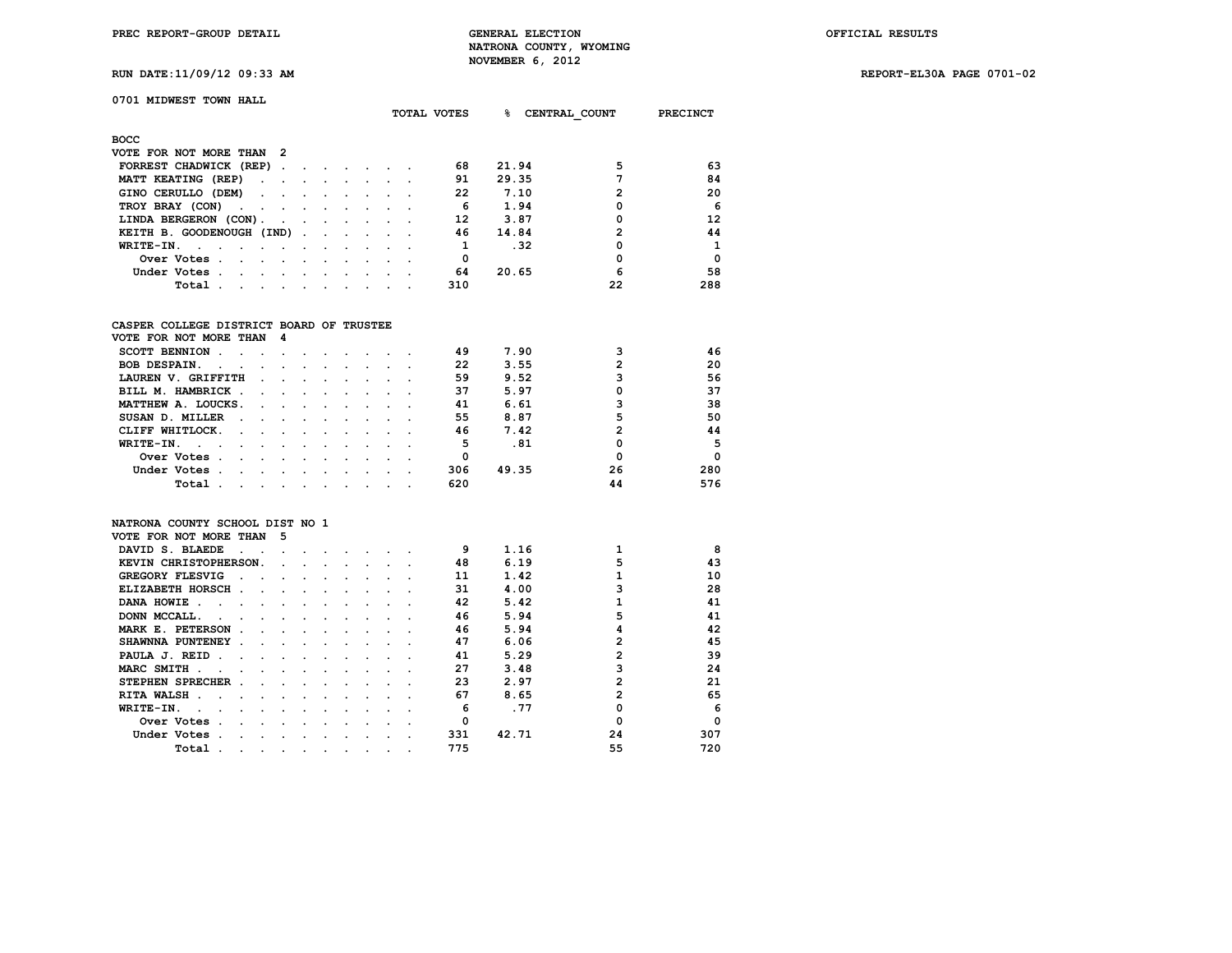**RUN DATE:11/09/12 09:33 AM REPORT-EL30A PAGE 0701-02**

### **0701 MIDWEST TOWN HALL**

|                                                                                                                                                                                                                                            |                      |                             | TOTAL VOTES | ℁<br>CENTRAL COUNT | PRECINCT |          |
|--------------------------------------------------------------------------------------------------------------------------------------------------------------------------------------------------------------------------------------------|----------------------|-----------------------------|-------------|--------------------|----------|----------|
| <b>BOCC</b>                                                                                                                                                                                                                                |                      |                             |             |                    |          |          |
| VOTE FOR NOT MORE THAN 2                                                                                                                                                                                                                   |                      |                             |             |                    |          |          |
| FORREST CHADWICK (REP)                                                                                                                                                                                                                     |                      |                             | 68          | 21.94              | 5        | 63       |
| MATT KEATING (REP)                                                                                                                                                                                                                         |                      |                             | 91          | 29.35              |          | 84       |
| GINO CERULLO (DEM)                                                                                                                                                                                                                         |                      | $\sim$ $\sim$ $\sim$ $\sim$ | 22          | 7.10               | 2        | 20       |
| TROY BRAY (CON)                                                                                                                                                                                                                            |                      |                             | 6           | 1.94               | 0        | 6        |
| LINDA BERGERON (CON).                                                                                                                                                                                                                      |                      |                             | 12          | 3.87               | 0        | 12       |
| KEITH B. GOODENOUGH (IND)                                                                                                                                                                                                                  |                      |                             | 46          | 14.84              | 2        | 44       |
| WRITE-IN.<br>the company of the company of the company of the company of the company of the company of the company of the company of the company of the company of the company of the company of the company of the company of the company | $\sim$ $\sim$ $\sim$ |                             |             | .32                | 0        | 1        |
| Over Votes.<br>the contract of the contract of the contract of the contract of the contract of the contract of the contract of                                                                                                             |                      |                             | 0           |                    | 0        | $\Omega$ |
| Under Votes.<br>and the state of the state of the state of the state of the state of the state of the state of the state of the<br><b>Contract Contract</b>                                                                                | $\sim$               |                             | 64          | 20.65              | 6        | 58       |
| Total .<br>the contract of the contract of the contract of the contract of the contract of the contract of the contract of                                                                                                                 |                      | $\sim$                      | 310         |                    | 22       | 288      |
|                                                                                                                                                                                                                                            |                      |                             |             |                    |          |          |

### **CASPER COLLEGE DISTRICT BOARD OF TRUSTEE**

| VOTE FOR NOT MORE THAN 4                                           |           |        |  |  |     |       |    |            |
|--------------------------------------------------------------------|-----------|--------|--|--|-----|-------|----|------------|
| <b>SCOTT BENNION</b>                                               |           |        |  |  | 49  | 7.90  |    | 46         |
| <b>BOB DESPAIN.</b><br>$\sim$                                      | $\sim$    |        |  |  | 22  | 3.55  | 2  | 20         |
| LAUREN V. GRIFFITH                                                 |           |        |  |  | 59  | 9.52  |    | 56         |
| BILL M. HAMBRICK                                                   |           |        |  |  | 37  | 5.97  |    | 37         |
| MATTHEW A. LOUCKS.<br>$\cdot$                                      | $\sim$    | $\sim$ |  |  | 41  | 6.61  |    | 38         |
| SUSAN D. MILLER<br>$\sim$                                          | $\sim$    | $\sim$ |  |  | 55  | 8.87  | 5  | 50         |
| CLIFF WHITLOCK.<br>$\sim 100$ km s $^{-1}$<br>$\ddot{\phantom{a}}$ | $\sim$    |        |  |  | 46  | 7.42  | 2  | 44         |
| WRITE-IN.<br>$\sim$ $\sim$ $\sim$                                  |           |        |  |  | 5   | .81   |    | 5          |
| Over Votes .                                                       |           |        |  |  |     |       |    | $^{\circ}$ |
| Under Votes.                                                       | $\bullet$ |        |  |  | 306 | 49.35 | 26 | 280        |
| Total                                                              |           |        |  |  | 620 |       | 44 | 576        |

#### **NATRONA COUNTY SCHOOL DIST NO 1 VOTE FOR NOT MORE THAN 5**

| VUIL FUR NUI MURE                      | ----- |  |  |  |  |     |       |    |          |
|----------------------------------------|-------|--|--|--|--|-----|-------|----|----------|
| DAVID S. BLAEDE                        |       |  |  |  |  | 9   | 1.16  |    | 8        |
| KEVIN CHRISTOPHERSON.                  |       |  |  |  |  | 48  | 6.19  | 5. | 43       |
| <b>GREGORY FLESVIG</b>                 |       |  |  |  |  | 11  | 1.42  |    | 10       |
| ELIZABETH HORSCH.                      |       |  |  |  |  | 31  | 4.00  |    | 28       |
| DANA HOWIE<br>$\overline{\phantom{a}}$ |       |  |  |  |  | 42  | 5.42  |    | 41       |
| DONN MCCALL.                           |       |  |  |  |  | 46  | 5.94  |    | 41       |
| MARK E. PETERSON                       |       |  |  |  |  | 46  | 5.94  |    | 42       |
| SHAWNNA PUNTENEY                       |       |  |  |  |  | 47  | 6.06  | 2  | 45       |
| PAULA J. REID                          |       |  |  |  |  | 41  | 5.29  | 2  | 39       |
| MARC SMITH                             |       |  |  |  |  | 27  | 3.48  |    | 24       |
| STEPHEN SPRECHER                       |       |  |  |  |  | 23  | 2.97  | 2  | 21       |
| <b>RITA WALSH</b><br>$\sim$            |       |  |  |  |  | 67  | 8.65  | 2  | 65       |
| WRITE-IN.                              |       |  |  |  |  | 6   | .77   |    | 6        |
| Over Votes                             |       |  |  |  |  |     |       |    | $\Omega$ |
| Under Votes                            |       |  |  |  |  | 331 | 42.71 | 24 | 307      |
| Total                                  |       |  |  |  |  | 775 |       | 55 | 720      |
|                                        |       |  |  |  |  |     |       |    |          |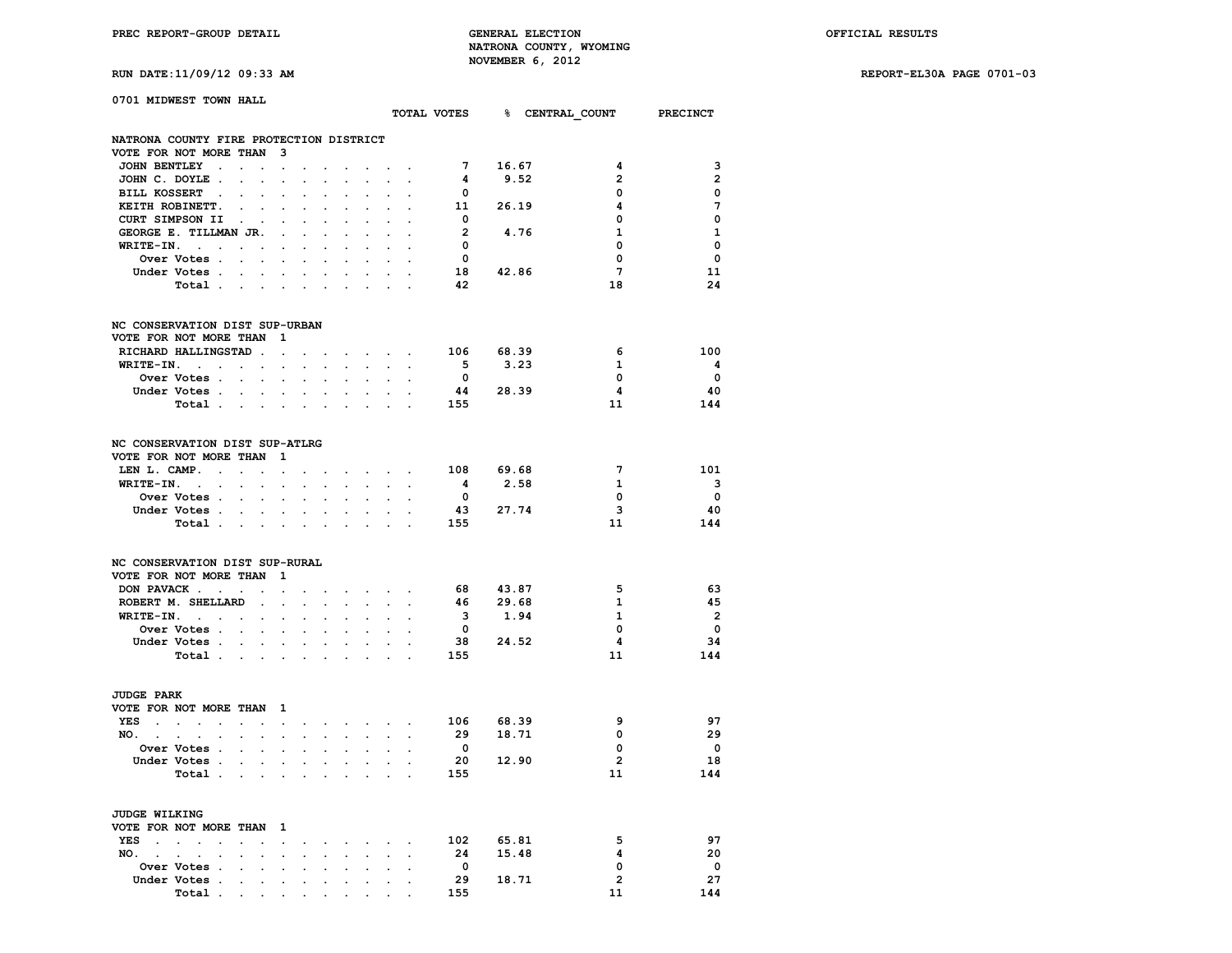**PREC REPORT-GROUP DETAIL GENERAL ELECTION OFFICIAL RESULTS NATRONA COUNTY, WYOMING RUN DATE:11/09/12 09:33 AM NOVEMBER 6, 2012** 

**RUN DATE:11/09/12 09:33 AM REPORT-EL30A PAGE 0701-03**

|  |  | KON <i>DA</i> IB.11/0 <i>3</i> /12 03.33 1 |  |
|--|--|--------------------------------------------|--|
|  |  |                                            |  |

| 0701 MIDWEST TOWN HALL                                             |                                                                                                 |                      |                                    |                            |                                              |                      |                                                 |                            |                                                                                                                      |                         | TOTAL VOTES 8 CENTRAL COUNT PRECINCT |                             |                                |
|--------------------------------------------------------------------|-------------------------------------------------------------------------------------------------|----------------------|------------------------------------|----------------------------|----------------------------------------------|----------------------|-------------------------------------------------|----------------------------|----------------------------------------------------------------------------------------------------------------------|-------------------------|--------------------------------------|-----------------------------|--------------------------------|
| NATRONA COUNTY FIRE PROTECTION DISTRICT                            |                                                                                                 |                      |                                    |                            |                                              |                      |                                                 |                            |                                                                                                                      |                         |                                      |                             |                                |
| VOTE FOR NOT MORE THAN 3                                           |                                                                                                 |                      |                                    |                            |                                              |                      |                                                 |                            |                                                                                                                      |                         |                                      |                             |                                |
| JOHN BENTLEY .                                                     | <b>Contract Contract</b>                                                                        |                      | $\sim$                             |                            |                                              | $\ddot{\phantom{0}}$ | $\sim$                                          |                            |                                                                                                                      | $7\overline{ }$         | 16.67                                | 4                           | 3                              |
| JOHN C. DOYLE.                                                     | $\sim 100$ km s $^{-1}$                                                                         | $\sim 10^{-11}$      | $\bullet$                          |                            | $\ddot{\phantom{0}}$                         | $\sim$               | $\ddot{\phantom{0}}$                            | $\sim$                     |                                                                                                                      | 4                       | 9.52                                 | $\overline{2}$              | $\overline{2}$                 |
| BILL KOSSERT .                                                     |                                                                                                 |                      |                                    |                            |                                              |                      |                                                 |                            |                                                                                                                      | $\overline{\mathbf{0}}$ |                                      | 0                           | 0                              |
| KEITH ROBINETT.                                                    | $\mathcal{L}^{\text{max}}$ and                                                                  |                      |                                    |                            |                                              |                      | $\ddot{\phantom{0}}$                            |                            |                                                                                                                      |                         | 11 26.19                             | 4                           | 7                              |
| CURT SIMPSON II .                                                  |                                                                                                 |                      |                                    |                            |                                              |                      |                                                 |                            |                                                                                                                      | $\overline{\mathbf{0}}$ |                                      | $\Omega$                    | $\mathbf 0$                    |
| GEORGE E. TILLMAN JR.                                              |                                                                                                 |                      | $\sim$ $\sim$                      |                            | $\sim$ $\sim$                                | $\ddot{\phantom{0}}$ | $\ddot{\phantom{0}}$                            | $\ddot{\phantom{0}}$       |                                                                                                                      | $\overline{2}$          | 4.76                                 | 1                           | $\mathbf{1}$                   |
| $WRITE-IN.$                                                        |                                                                                                 |                      |                                    |                            |                                              |                      |                                                 |                            |                                                                                                                      | $\overline{\mathbf{0}}$ |                                      | $\mathbf 0$                 | $\mathbf 0$                    |
| Over Votes                                                         |                                                                                                 |                      |                                    | $\ddot{\phantom{0}}$       | $\ddot{\phantom{0}}$                         | $\ddot{\phantom{0}}$ | $\ddot{\phantom{0}}$                            | $\ddot{\phantom{0}}$       |                                                                                                                      | $\Omega$                |                                      | 0                           | $\Omega$                       |
| Under Votes                                                        |                                                                                                 |                      |                                    |                            |                                              |                      | and a strategic and a strategic                 | $\mathcal{L}^{\text{max}}$ | $\sim$                                                                                                               |                         | 18 42.86                             | 7                           | -11                            |
| Total                                                              |                                                                                                 |                      |                                    |                            |                                              |                      |                                                 |                            |                                                                                                                      | 42                      |                                      | 18                          | 24                             |
| NC CONSERVATION DIST SUP-URBAN                                     |                                                                                                 |                      |                                    |                            |                                              |                      |                                                 |                            |                                                                                                                      |                         |                                      |                             |                                |
| VOTE FOR NOT MORE THAN 1                                           |                                                                                                 |                      |                                    |                            |                                              |                      |                                                 |                            |                                                                                                                      |                         |                                      |                             |                                |
| RICHARD HALLINGSTAD                                                |                                                                                                 |                      |                                    | $\ddot{\phantom{0}}$       |                                              |                      |                                                 |                            | and the company of the second                                                                                        |                         | 106 68.39                            | 6                           | 100                            |
| $WRITE-TN.$                                                        |                                                                                                 |                      | $\cdot$                            |                            | $\sim$ $\sim$                                | $\ddot{\phantom{0}}$ | $\sim$                                          | $\sim$                     | $\ddot{\phantom{a}}$                                                                                                 | $-5$                    | 3.23                                 | $\mathbf{1}$                | - 4                            |
| Over Votes                                                         |                                                                                                 |                      |                                    |                            | $\sim$ $\sim$ $\sim$                         |                      | $\mathbf{r} = \mathbf{r} \cdot \mathbf{r}$ .    | $\sim$                     |                                                                                                                      | $\bullet$               |                                      | 0                           | $\overline{\phantom{0}}$       |
| Under Votes.                                                       | $\mathcal{A}^{\mathcal{A}}$ , and $\mathcal{A}^{\mathcal{A}}$ , and $\mathcal{A}^{\mathcal{A}}$ |                      |                                    |                            | $\sim$ $\sim$                                | $\sim$               | $\sim$                                          | $\sim$                     |                                                                                                                      |                         | 44 28.39                             | 4                           | - 40                           |
| Total                                                              |                                                                                                 |                      |                                    |                            |                                              |                      |                                                 |                            |                                                                                                                      | 155                     |                                      | 11                          | 144                            |
| NC CONSERVATION DIST SUP-ATLRG                                     |                                                                                                 |                      |                                    |                            |                                              |                      |                                                 |                            |                                                                                                                      |                         |                                      |                             |                                |
| VOTE FOR NOT MORE THAN 1                                           |                                                                                                 |                      |                                    |                            |                                              |                      |                                                 |                            |                                                                                                                      |                         |                                      |                             |                                |
| LEN L. CAMP.                                                       |                                                                                                 |                      | $\ddot{\phantom{a}}$               |                            |                                              |                      | <b>Contract Contract Contract Contract</b>      |                            | $\sim$                                                                                                               |                         | 108 69.68                            | $7\phantom{.0}$             | 101                            |
| $WRITE-IN.$                                                        |                                                                                                 |                      |                                    |                            |                                              |                      |                                                 |                            | the contract of the contract of the contract of                                                                      | $\overline{\mathbf{4}}$ | 2.58                                 | $\mathbf{1}$                | $\overline{\mathbf{3}}$        |
| Over Votes                                                         |                                                                                                 | $\ddot{\phantom{0}}$ | $\ddot{\phantom{a}}$               |                            | $\ddot{\phantom{a}}$                         | $\ddot{\phantom{0}}$ | $\ddot{\phantom{0}}$                            | $\ddot{\phantom{0}}$       |                                                                                                                      | $\overline{\mathbf{0}}$ |                                      | 0                           | $\overline{\phantom{0}}$       |
| Under Votes                                                        |                                                                                                 |                      |                                    |                            |                                              |                      |                                                 |                            |                                                                                                                      |                         | 43 27.74                             | 3                           | 40                             |
| Total                                                              |                                                                                                 |                      |                                    |                            |                                              |                      |                                                 |                            |                                                                                                                      | 155                     |                                      | 11                          | 144                            |
| NC CONSERVATION DIST SUP-RURAL                                     |                                                                                                 |                      |                                    |                            |                                              |                      |                                                 |                            |                                                                                                                      |                         |                                      |                             |                                |
| VOTE FOR NOT MORE THAN 1                                           |                                                                                                 |                      |                                    |                            |                                              |                      |                                                 |                            |                                                                                                                      |                         |                                      |                             |                                |
| DON PAVACK                                                         |                                                                                                 |                      |                                    |                            |                                              |                      |                                                 |                            | $\mathbf{a} = \mathbf{a} + \mathbf{a} + \mathbf{a} + \mathbf{a} + \mathbf{a} + \mathbf{a} + \mathbf{a} + \mathbf{a}$ |                         | 68 43.87                             | 5                           | - 63                           |
| ROBERT M. SHELLARD.                                                |                                                                                                 |                      | $\mathbb{Z}^{\mathbb{Z}^{\times}}$ | $\mathcal{L}^{\text{max}}$ | $\mathcal{L}^{(1)}$                          | $\sim$               | $\mathcal{L}^{\text{max}}$                      |                            | $\ddot{\phantom{a}}$                                                                                                 | 46                      | 29.68                                | $\mathbf{1}$                | -45                            |
| $WRITE-IN.$                                                        |                                                                                                 |                      | $\ddot{\phantom{0}}$               |                            | $\ddot{\phantom{0}}$                         | $\ddot{\phantom{0}}$ | $\ddotsc$                                       | $\bullet$ .                |                                                                                                                      | $\overline{\mathbf{3}}$ | 1.94                                 | $\mathbf{1}$                | $\overline{\mathbf{c}}$        |
| Over Votes                                                         |                                                                                                 |                      | $\ddot{\phantom{0}}$               |                            |                                              |                      |                                                 |                            |                                                                                                                      | $\overline{\mathbf{0}}$ |                                      | $\mathbf 0$                 | $\overline{\phantom{0}}$       |
| Under Votes                                                        |                                                                                                 |                      |                                    |                            | $\mathbf{r} = \mathbf{r} \cdot \mathbf{r}$ . |                      | $\mathbf{z} = \mathbf{z} + \mathbf{z}$ .        |                            | $\mathbf{a}^{\prime}$ , $\mathbf{a}^{\prime}$                                                                        |                         | 38 24.52                             | $\overline{\mathbf{4}}$     | 34                             |
| Total                                                              |                                                                                                 |                      |                                    | $\sim$                     | $\sim$                                       | $\ddot{\phantom{a}}$ | $\bullet$ .                                     |                            | $\ddot{\phantom{a}}$                                                                                                 | 155                     |                                      | 11                          | 144                            |
| <b>JUDGE PARK</b>                                                  |                                                                                                 |                      |                                    |                            |                                              |                      |                                                 |                            |                                                                                                                      |                         |                                      |                             |                                |
| VOTE FOR NOT MORE THAN 1                                           |                                                                                                 |                      |                                    |                            |                                              |                      |                                                 |                            |                                                                                                                      |                         |                                      | 9                           | 97                             |
| YES                                                                |                                                                                                 |                      |                                    |                            |                                              |                      |                                                 |                            | $\bullet$ . In the contribution of the contribution of $\mathcal{A}$                                                 | 106                     | 68.39                                |                             |                                |
| NO. .<br>$\mathcal{L}^{\text{max}}$ and $\mathcal{L}^{\text{max}}$ | $\mathbf{r} = \mathbf{r} + \mathbf{r}$                                                          |                      |                                    |                            |                                              |                      | the contract of the contract of the contract of |                            |                                                                                                                      | 29                      | 18.71                                | $\mathbf{0}$<br>$\mathbf 0$ | 29<br>$\overline{\phantom{0}}$ |
| Over Votes                                                         |                                                                                                 |                      | $\sim$                             |                            |                                              |                      | $\ddot{\phantom{0}}$                            |                            |                                                                                                                      | $\overline{\mathbf{0}}$ |                                      |                             |                                |
| Under Votes                                                        |                                                                                                 |                      |                                    |                            |                                              |                      |                                                 |                            | the contract of the contract of the                                                                                  |                         | 20 12.90                             | $\overline{2}$              | 18                             |
| Total .                                                            | the company of the company                                                                      |                      |                                    |                            | $\sim$ $\sim$                                | $\sim$               | $\sim$                                          |                            |                                                                                                                      | 155                     |                                      | 11                          | 144                            |
| <b>JUDGE WILKING</b>                                               |                                                                                                 |                      |                                    |                            |                                              |                      |                                                 |                            |                                                                                                                      |                         |                                      |                             |                                |
| VOTE FOR NOT MORE THAN 1                                           |                                                                                                 |                      |                                    |                            |                                              |                      |                                                 |                            |                                                                                                                      |                         |                                      |                             |                                |
| YES                                                                |                                                                                                 |                      | $\sim 100$                         |                            |                                              |                      |                                                 |                            | the contract of the contract of the                                                                                  |                         | 102 65.81                            | 5                           | 97                             |
| NO.<br>$\ddot{\phantom{0}}$                                        |                                                                                                 |                      | $\ddot{\phantom{a}}$               | $\mathbf{r}$               |                                              |                      |                                                 |                            |                                                                                                                      | 24                      | 15.48                                | 4                           | 20                             |
| Over Votes                                                         |                                                                                                 |                      |                                    |                            |                                              |                      |                                                 |                            | the contract of the contract of the                                                                                  | $\overline{\mathbf{0}}$ |                                      | 0                           | $\mathbf{o}$                   |
| Under Votes .                                                      | the contract of the contract of the contract of                                                 |                      |                                    |                            |                                              |                      | the company of the company                      |                            |                                                                                                                      | 29                      | 18.71                                | $\overline{2}$              | 27                             |

 **Total . . . . . . . . . . 155 11 144**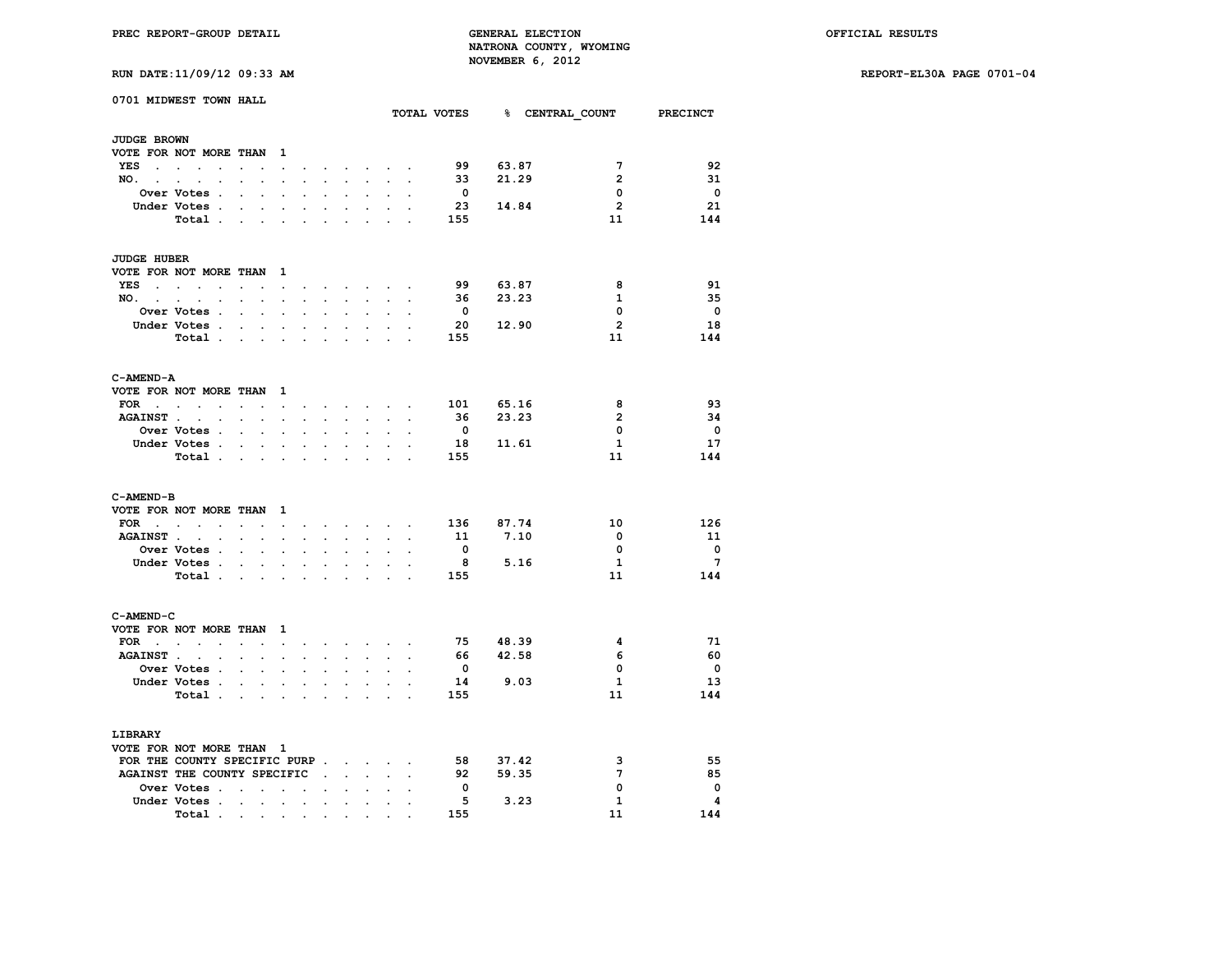**RUN DATE:11/09/12 09:33 AM REPORT-EL30A PAGE 0701-04**

|                                                      | 0701 MIDWEST TOWN HALL                       |                                                           |                      |                      |                      |                                                                 |                                                 |                      |                      | TOTAL VOTES             |       |                | % CENTRAL COUNT PRECINCT |
|------------------------------------------------------|----------------------------------------------|-----------------------------------------------------------|----------------------|----------------------|----------------------|-----------------------------------------------------------------|-------------------------------------------------|----------------------|----------------------|-------------------------|-------|----------------|--------------------------|
| JUDGE BROWN                                          |                                              |                                                           |                      |                      |                      |                                                                 |                                                 |                      |                      |                         |       |                |                          |
|                                                      | VOTE FOR NOT MORE THAN 1                     |                                                           |                      |                      |                      |                                                                 |                                                 |                      |                      |                         |       |                |                          |
| <b>YES</b><br>$\mathbf{z} = \mathbf{z} + \mathbf{z}$ | $\ddot{\phantom{a}}$<br>$\ddot{\phantom{a}}$ | $\ddot{\phantom{0}}$                                      | $\ddot{\phantom{0}}$ | $\sim 10^{-10}$      | $\sim$               | $\ddot{\phantom{0}}$                                            | $\ddot{\phantom{0}}$                            | $\ddot{\phantom{0}}$ |                      | 99                      | 63.87 | 7              | 92                       |
| NO.                                                  | <b>Contract Contract</b><br>$\sim$           | $\ddot{\phantom{0}}$<br>$\ddot{\phantom{a}}$              | $\ddot{\phantom{a}}$ | $\ddot{\phantom{a}}$ | $\ddot{\phantom{a}}$ | $\ddot{\phantom{0}}$                                            | $\ddot{\phantom{0}}$                            | $\ddot{\phantom{0}}$ | $\ddot{\phantom{a}}$ | 33                      | 21.29 | $\overline{2}$ | 31                       |
|                                                      | Over Votes .                                 | $\ddot{\phantom{0}}$<br>$\mathbf{r}$                      |                      |                      |                      |                                                                 |                                                 |                      |                      | $\overline{\mathbf{0}}$ |       | $\mathbf{0}$   | $\overline{\phantom{0}}$ |
|                                                      | Under Votes .                                | $\mathbf{r} = \mathbf{r} \cdot \mathbf{r}$ .              | $\ddot{\phantom{a}}$ |                      |                      | $\ddot{\phantom{0}}$                                            | $\ddot{\phantom{a}}$                            |                      |                      | 23                      | 14.84 | $\overline{2}$ | 21                       |
|                                                      | Total.                                       |                                                           |                      |                      |                      |                                                                 |                                                 |                      |                      | 155                     |       | 11             | 144                      |
|                                                      |                                              | <b>Contract Contract</b>                                  | $\sim$               | $\overline{a}$       | $\overline{a}$       | $\overline{a}$                                                  | $\overline{a}$                                  | $\ddot{\phantom{a}}$ |                      |                         |       |                |                          |
| <b>JUDGE HUBER</b>                                   |                                              |                                                           |                      |                      |                      |                                                                 |                                                 |                      |                      |                         |       |                |                          |
|                                                      | VOTE FOR NOT MORE THAN 1                     |                                                           |                      |                      |                      |                                                                 |                                                 |                      |                      |                         |       |                |                          |
| YES<br>$\sim$                                        | $\sim$<br>$\sim$ $\sim$ $\sim$               | $\sim 10^{-11}$<br>$\ddot{\phantom{a}}$                   | $\ddot{\phantom{0}}$ |                      |                      | $\mathbf{z}$ and $\mathbf{z}$ are $\mathbf{z}$ and $\mathbf{z}$ | $\sim$                                          | $\mathbf{r}$         |                      | 99                      | 63.87 | 8              | 91                       |
| NO.                                                  | $\ddot{\phantom{0}}$                         | $\sim$ $\sim$                                             | $\ddot{\phantom{0}}$ | $\ddot{\phantom{a}}$ | $\ddot{\phantom{0}}$ | $\ddot{\phantom{a}}$                                            | $\mathbf{r}$                                    | $\sim$               |                      | 36                      | 23.23 | 1              | 35                       |
|                                                      | Over Votes .                                 | $\ddot{\phantom{a}}$                                      |                      |                      |                      |                                                                 |                                                 |                      |                      | $\mathbf{0}$            |       | 0              | - 0                      |
|                                                      | Under Votes.                                 |                                                           |                      |                      |                      |                                                                 |                                                 |                      |                      | 20                      | 12.90 | $\overline{2}$ | 18                       |
|                                                      |                                              | $\mathcal{L}_{\mathrm{max}}$<br>$\sim$                    | $\bullet$            | $\ddot{\phantom{0}}$ | $\ddot{\phantom{0}}$ | $\ddot{\phantom{0}}$                                            | $\bullet$                                       | $\ddot{\phantom{a}}$ |                      |                         |       |                |                          |
|                                                      | Total .                                      | $\mathbf{r}$ , $\mathbf{r}$ , $\mathbf{r}$                |                      |                      |                      |                                                                 |                                                 |                      |                      | 155                     |       | 11             | 144                      |
| C-AMEND-A                                            |                                              |                                                           |                      |                      |                      |                                                                 |                                                 |                      |                      |                         |       |                |                          |
|                                                      | VOTE FOR NOT MORE THAN 1                     |                                                           |                      |                      |                      |                                                                 |                                                 |                      |                      |                         |       |                |                          |
| FOR                                                  | $\sim$ $\sim$                                | $\sim$ $\sim$                                             | $\ddot{\phantom{a}}$ | $\ddot{\phantom{0}}$ |                      |                                                                 | the contract of the contract of the contract of |                      |                      | 101                     | 65.16 | 8              | 93                       |
| <b>AGAINST.</b>                                      | $\mathbf{L}$<br>$\mathbf{r}$                 | $\mathbf{L}^{\text{max}}$<br>$\overline{a}$               | $\ddot{\phantom{a}}$ | ÷                    |                      | s.                                                              | $\mathcal{L}^{\text{max}}$                      | $\sim$               |                      | - 36                    | 23.23 | $\overline{2}$ | -34                      |
|                                                      | Over Votes .                                 | $\sim 10^{-11}$<br>$\mathbf{r}$                           |                      |                      |                      | $\overline{a}$                                                  | $\overline{a}$                                  |                      |                      | $\overline{\mathbf{0}}$ |       | $\mathbf{0}$   | $\overline{\phantom{0}}$ |
|                                                      | Under Votes                                  | $\sim$                                                    | $\ddot{\phantom{0}}$ | $\ddot{\phantom{0}}$ | $\ddot{\phantom{0}}$ | $\ddot{\phantom{0}}$                                            | $\bullet$                                       | $\ddot{\phantom{0}}$ |                      | 18                      | 11.61 | $\mathbf{1}$   | 17                       |
|                                                      | Total .                                      | $\mathcal{L}^{\text{max}}$ and $\mathcal{L}^{\text{max}}$ |                      |                      |                      |                                                                 |                                                 |                      |                      | 155                     |       | 11             | 144                      |
|                                                      |                                              |                                                           |                      |                      |                      |                                                                 |                                                 |                      |                      |                         |       |                |                          |
| C-AMEND-B                                            |                                              |                                                           |                      |                      |                      |                                                                 |                                                 |                      |                      |                         |       |                |                          |
|                                                      | VOTE FOR NOT MORE THAN                       |                                                           | - 1                  |                      |                      |                                                                 |                                                 |                      |                      |                         |       |                |                          |
|                                                      | FOR $\cdots$ $\cdots$                        |                                                           | $\ddot{\phantom{a}}$ | $\bullet$            | $\ddot{\phantom{0}}$ |                                                                 | $\sim$ $\sim$ $\sim$ $\sim$ $\sim$              |                      |                      | 136                     | 87.74 | 10             | 126                      |
| <b>AGAINST.</b>                                      | $\cdot$                                      | $\ddot{\phantom{0}}$                                      |                      |                      |                      |                                                                 |                                                 |                      |                      | - 11                    | 7.10  | $\mathbf 0$    | 11                       |
|                                                      | Over Votes .                                 | $\mathbf{L} = \mathbf{L}$                                 | $\ddot{\phantom{0}}$ | $\ddot{\phantom{a}}$ | $\ddot{\phantom{a}}$ | $\ddot{\phantom{0}}$                                            | $\ddot{\phantom{a}}$                            | $\sim$               |                      | $\overline{\mathbf{0}}$ |       | 0              | $\overline{\phantom{0}}$ |
|                                                      | Under Votes .                                | $\mathbf{L} = \mathbf{L}$                                 |                      |                      |                      |                                                                 | $\overline{a}$                                  |                      |                      | 8                       | 5.16  | $\mathbf{1}$   | 7                        |
|                                                      | Total .                                      | $\sim$ $\sim$                                             | $\sim$               |                      |                      |                                                                 |                                                 |                      |                      | 155                     |       | 11             | 144                      |
| C-AMEND-C                                            |                                              |                                                           |                      |                      |                      |                                                                 |                                                 |                      |                      |                         |       |                |                          |
| VOTE FOR NOT MORE THAN                               |                                              |                                                           | $\mathbf{1}$         |                      |                      |                                                                 |                                                 |                      |                      |                         |       |                |                          |
|                                                      |                                              |                                                           |                      |                      |                      |                                                                 |                                                 |                      |                      | - 75                    | 48.39 | 4              | -71                      |
|                                                      | $FOR \t{.} \t{.} \t{.}$                      | $\sim$<br>$\ddot{\phantom{a}}$                            | $\ddot{\phantom{a}}$ | $\ddot{\phantom{a}}$ | $\ddot{\phantom{a}}$ |                                                                 | <b><i>Committee State State State</i></b>       |                      |                      |                         |       |                |                          |
| <b>AGAINST.</b>                                      | $\ddot{\phantom{0}}$<br>$\mathbb{Z}^2$       | $\mathbf{L} = \mathbf{L}$                                 | $\ddot{\phantom{0}}$ | $\mathbf{r}$         | $\ddot{\phantom{0}}$ | $\ddot{\phantom{0}}$                                            | $\ddot{\phantom{0}}$                            | $\ddot{\phantom{0}}$ |                      | 66                      | 42.58 | 6              | 60                       |
|                                                      | Over Votes .                                 | $\ddot{\phantom{a}}$<br>$\sim$                            | $\ddot{\phantom{a}}$ | $\ddot{\phantom{0}}$ | $\ddot{\phantom{0}}$ | $\ddot{\phantom{0}}$                                            | $\ddot{\phantom{a}}$                            | $\ddot{\phantom{a}}$ | $\sim$               | $\mathbf 0$             |       | 0              | $\overline{\phantom{0}}$ |
|                                                      | Under Votes .                                | $\sim$<br>$\ddot{\phantom{0}}$                            | $\cdot$              |                      |                      |                                                                 | $\mathbf{r}$                                    |                      |                      | 14                      | 9.03  | $\mathbf{1}$   | 13                       |
|                                                      | Total.                                       | $\sim$<br>$\ddot{\phantom{a}}$                            | $\ddot{\phantom{a}}$ |                      |                      |                                                                 | $\ddot{\phantom{0}}$                            | $\overline{a}$       |                      | 155                     |       | 11             | 144                      |
| LIBRARY                                              |                                              |                                                           |                      |                      |                      |                                                                 |                                                 |                      |                      |                         |       |                |                          |
| VOTE FOR NOT MORE THAN 1                             |                                              |                                                           |                      |                      |                      |                                                                 |                                                 |                      |                      |                         |       |                |                          |
|                                                      | FOR THE COUNTY SPECIFIC PURP                 |                                                           |                      |                      |                      |                                                                 |                                                 | $\sim$               |                      | 58                      | 37.42 | 3              | 55                       |
|                                                      | AGAINST THE COUNTY SPECIFIC                  |                                                           |                      |                      | $\sim$ $\sim$        | $\sim$                                                          | $\mathbf{r}$                                    | $\sim$               | ÷.                   | 92                      | 59.35 | 7              | 85                       |
|                                                      | Over Votes                                   |                                                           | $\ddot{\phantom{a}}$ | $\cdot$              |                      | $\ddot{\phantom{a}}$                                            | $\ddot{\phantom{a}}$                            | $\ddot{\phantom{a}}$ |                      | $\overline{\mathbf{0}}$ |       | 0              | $\mathbf 0$              |
|                                                      |                                              |                                                           |                      |                      |                      |                                                                 |                                                 |                      |                      | - 5                     | 3.23  | $\mathbf{1}$   | $\overline{\mathbf{4}}$  |
|                                                      | Under Votes                                  | $\sim$                                                    | $\ddot{\phantom{0}}$ | $\cdot$              | $\ddot{\phantom{0}}$ | $\ddot{\phantom{0}}$                                            | $\ddot{\phantom{0}}$                            | $\ddot{\phantom{0}}$ |                      |                         |       |                |                          |
|                                                      | Total .                                      | the company of the company                                |                      | $\sim$ $\sim$        | $\bullet$            | $\bullet$                                                       |                                                 |                      |                      | 155                     |       | 11             | 144                      |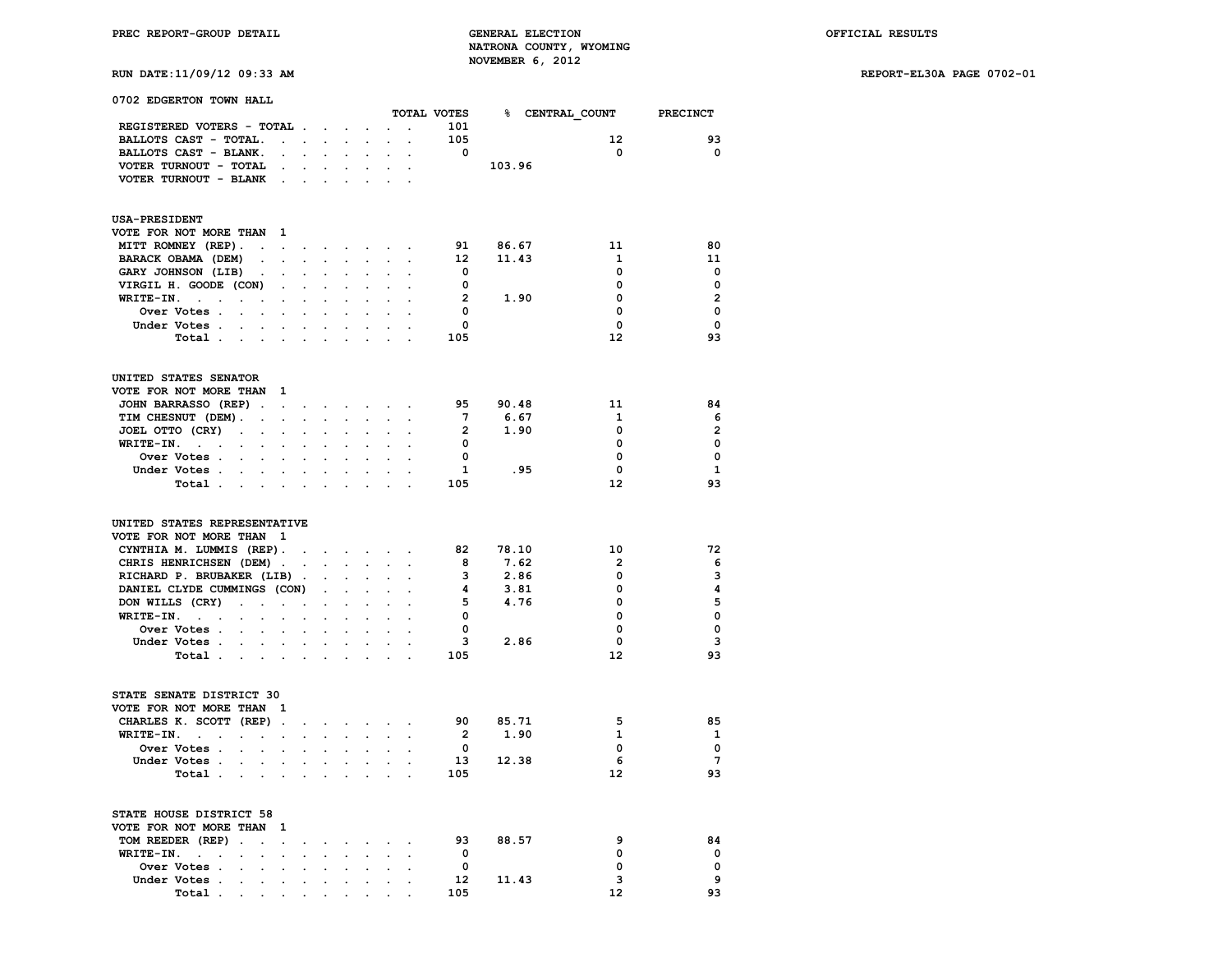### **RUN DATE:11/09/12 09:33 AM REPORT-EL30A PAGE 0702-01**

| 0702 EDGERTON TOWN HALL                                                   |                                            |                      |                      |                                                                  |                             |                                     |                      |                            |          |                                      |                 |
|---------------------------------------------------------------------------|--------------------------------------------|----------------------|----------------------|------------------------------------------------------------------|-----------------------------|-------------------------------------|----------------------|----------------------------|----------|--------------------------------------|-----------------|
|                                                                           |                                            |                      |                      |                                                                  |                             |                                     |                      |                            |          | TOTAL VOTES 8 CENTRAL COUNT PRECINCT |                 |
| REGISTERED VOTERS - TOTAL                                                 |                                            |                      |                      |                                                                  | $\ddot{\phantom{a}}$        |                                     |                      | 101                        |          |                                      |                 |
| BALLOTS CAST - TOTAL.                                                     | $\sim$                                     | $\ddot{\phantom{0}}$ |                      |                                                                  |                             |                                     |                      | 105                        |          | 12 <sup>2</sup>                      | 93              |
| BALLOTS CAST - BLANK.                                                     | $\ddot{\phantom{0}}$                       | $\ddot{\phantom{0}}$ | $\cdot$              | $\ddot{\phantom{a}}$                                             |                             |                                     |                      | $\overline{\mathbf{0}}$    |          | $\Omega$                             | $\Omega$        |
| VOTER TURNOUT - TOTAL                                                     | $\bullet$                                  | $\ddot{\phantom{0}}$ | $\mathbf{L}$         | $\mathbf{L}$                                                     | $\mathcal{L}^{\text{max}}$  | $\mathbf{L}$                        |                      |                            | 103.96   |                                      |                 |
| VOTER TURNOUT - BLANK                                                     |                                            |                      |                      | <b>Contract Contract Contract</b>                                | $\sim$                      | $\sim$                              |                      |                            |          |                                      |                 |
|                                                                           | $\sim$                                     |                      |                      |                                                                  |                             |                                     |                      |                            |          |                                      |                 |
| <b>USA-PRESIDENT</b>                                                      |                                            |                      |                      |                                                                  |                             |                                     |                      |                            |          |                                      |                 |
| VOTE FOR NOT MORE THAN                                                    | $\mathbf{1}$                               |                      |                      |                                                                  |                             |                                     |                      |                            |          |                                      |                 |
| MITT ROMNEY (REP).                                                        | $\mathbf{r} = \mathbf{r} \cdot \mathbf{r}$ | $\bullet$            |                      |                                                                  |                             | the contract of the contract of     |                      |                            | 91 86.67 | 11                                   | 80              |
| BARACK OBAMA (DEM)<br>$\bullet$                                           |                                            |                      |                      |                                                                  |                             |                                     |                      | 12                         | 11.43    | $\mathbf{1}$                         | 11              |
| GARY JOHNSON (LIB)<br>$\sim$                                              | $\ddot{\phantom{0}}$                       | $\ddot{\phantom{0}}$ | $\ddot{\phantom{a}}$ |                                                                  | $\ddot{\phantom{a}}$        |                                     |                      | $\overline{\mathbf{0}}$    |          | $\mathbf 0$                          | $\mathbf 0$     |
| VIRGIL H. GOODE (CON)                                                     | $\ddot{\phantom{a}}$                       | $\overline{a}$       | $\overline{a}$       | $\mathbf{r}$                                                     | $\mathcal{L}^{\mathcal{L}}$ |                                     |                      | $\overline{\mathbf{0}}$    |          | $\mathbf 0$                          | $\mathbf 0$     |
| WRITE-IN.<br>$\cdot$                                                      | $\cdot$                                    | $\cdot$              | $\overline{a}$       |                                                                  | $\cdot$                     |                                     |                      | $\overline{2}$             | 1.90     | $\Omega$                             | $\overline{2}$  |
| <b>Over Votes .</b><br>$\overline{a}$                                     | $\sim$                                     |                      |                      |                                                                  |                             |                                     |                      | $\overline{\mathbf{0}}$    |          | 0                                    | $\mathbf 0$     |
| Under Votes.<br>$\sim$                                                    |                                            |                      |                      |                                                                  |                             |                                     |                      | $\mathbf 0$                |          | $\mathbf 0$                          | $\mathbf 0$     |
| Total                                                                     |                                            | $\ddot{\phantom{a}}$ |                      |                                                                  |                             |                                     |                      | 105                        |          | 12                                   | 93              |
| UNITED STATES SENATOR                                                     |                                            |                      |                      |                                                                  |                             |                                     |                      |                            |          |                                      |                 |
| VOTE FOR NOT MORE THAN                                                    | 1                                          |                      |                      |                                                                  |                             |                                     |                      |                            |          |                                      |                 |
| JOHN BARRASSO (REP).                                                      | $\sim$                                     |                      |                      | $\mathbf{r} = \mathbf{r} \times \mathbf{r}$ , where $\mathbf{r}$ | $\mathcal{L}_{\text{max}}$  | $\sim$                              |                      | 95                         | 90.48    | 11                                   | 84              |
| TIM CHESNUT (DEM).<br>$\Box$                                              | $\sim$                                     | $\overline{a}$       | $\overline{a}$       | $\mathbf{r}$                                                     | $\ddot{\phantom{0}}$        | $\mathbf{r}$                        | $\overline{a}$       | $7^{\circ}$                | 6.67     | 1                                    | 6               |
| JOEL OTTO (CRY)<br>$\ddot{\phantom{a}}$<br>$\ddot{\phantom{a}}$           | $\sim$                                     |                      |                      |                                                                  |                             |                                     |                      | $\overline{2}$             | 1.90     | 0                                    | $\overline{2}$  |
| WRITE-IN.<br>$\sim 10^{-1}$ km $^{-1}$<br>$\ddot{\phantom{a}}$<br>$\cdot$ | $\ddot{\phantom{a}}$                       |                      |                      |                                                                  |                             |                                     |                      | $\overline{\mathbf{0}}$    |          | 0                                    | $\mathbf 0$     |
| <b>Over Votes</b>                                                         |                                            | $\cdot$              |                      |                                                                  |                             |                                     |                      | $\overline{\mathbf{0}}$    |          | $\mathbf 0$                          | $\mathbf 0$     |
| Under Votes.<br>$\mathcal{L}^{\text{max}}$<br>$\sim$                      |                                            |                      |                      |                                                                  | $\ddot{\phantom{0}}$        | $\cdot$                             |                      | $\mathbf{1}$               | .95      | $\mathbf 0$                          | <b>1</b>        |
| Total .<br>and the company's                                              |                                            | $\ddot{\phantom{0}}$ | $\ddot{\phantom{a}}$ | $\sim$                                                           | $\sim$                      | $\sim$                              |                      | 105                        |          | $12 \overline{ }$                    | 93              |
| UNITED STATES REPRESENTATIVE                                              |                                            |                      |                      |                                                                  |                             |                                     |                      |                            |          |                                      |                 |
| VOTE FOR NOT MORE THAN 1                                                  |                                            |                      |                      |                                                                  |                             |                                     |                      |                            |          |                                      |                 |
| CYNTHIA M. LUMMIS (REP).                                                  |                                            | $\sim$               |                      |                                                                  |                             | the contract of the contract        |                      |                            | 82 78.10 | 10                                   | 72              |
| CHRIS HENRICHSEN (DEM).                                                   |                                            | $\ddot{\phantom{0}}$ |                      |                                                                  |                             |                                     |                      | 8                          | 7.62     | $\overline{2}$                       | 6               |
| RICHARD P. BRUBAKER (LIB).                                                |                                            |                      | $\sim$               | $\mathbf{r}$                                                     |                             |                                     |                      | $\overline{\mathbf{3}}$    | 2.86     | $\mathbf 0$                          | 3               |
| DANIEL CLYDE CUMMINGS (CON)                                               |                                            |                      |                      |                                                                  | $\ddot{\phantom{0}}$        |                                     |                      | 4                          | 3.81     | $\Omega$                             | 4               |
| DON WILLS (CRY)<br>$\ddot{\phantom{a}}$                                   |                                            |                      |                      | $\ddot{\phantom{a}}$                                             | $\ddot{\phantom{a}}$        |                                     |                      |                            | 5 4.76   | $\Omega$                             | 5               |
| $\ddot{\phantom{0}}$                                                      | $\ddot{\phantom{0}}$                       | $\ddot{\phantom{0}}$ | $\ddot{\phantom{0}}$ |                                                                  |                             |                                     |                      | $\overline{0}$             |          | $\Omega$                             | $\mathbf 0$     |
| $WRITE-IN.$                                                               |                                            |                      |                      |                                                                  |                             |                                     |                      | $\mathbf 0$                |          | 0                                    | $\mathbf 0$     |
| Over Votes                                                                |                                            |                      | $\overline{a}$       |                                                                  | $\ddot{\phantom{a}}$        |                                     |                      |                            |          |                                      |                 |
| Under Votes                                                               | $\cdot$ $\cdot$                            | $\ddot{\phantom{a}}$ | $\mathbf{L}$         | $\sim$                                                           | $\sim$                      | $\mathbf{r}$                        | $\overline{a}$       |                            | 3 2.86   | 0                                    | 3               |
| Total .<br>$\sim$                                                         | $\mathbf{L} = \mathbf{L}$                  | $\ddot{\phantom{0}}$ | $\ddot{\phantom{a}}$ | $\ddot{\phantom{0}}$                                             | $\ddot{\phantom{0}}$        | $\overline{a}$                      |                      | 105                        |          | 12                                   | 93              |
| STATE SENATE DISTRICT 30                                                  |                                            |                      |                      |                                                                  |                             |                                     |                      |                            |          |                                      |                 |
| VOTE FOR NOT MORE THAN 1                                                  |                                            |                      |                      |                                                                  |                             |                                     |                      |                            |          |                                      |                 |
| CHARLES K. SCOTT (REP)                                                    | $\sim$                                     | $\ddot{\phantom{0}}$ | $\bullet$            | $\bullet$ .                                                      | $\bullet$ .                 | $\bullet$ .<br><br><br><br><br><br> |                      |                            | 90 85.71 | 5                                    | 85              |
| WRITE-IN.<br>$\sim$<br>$\ddot{\phantom{a}}$                               | $\ddot{\phantom{a}}$                       |                      |                      |                                                                  |                             |                                     |                      | $\overline{\phantom{a}}$ 2 | 1.90     | 1                                    | <sup>1</sup>    |
| Over Votes .<br>$\mathbf{r}$<br>$\ddot{\phantom{a}}$                      | $\overline{a}$                             | $\overline{a}$       |                      |                                                                  |                             |                                     | $\mathbf{r}$         | $\overline{\mathbf{0}}$    |          | 0                                    | $\mathbf 0$     |
| Under Votes.<br>$\ddot{\phantom{a}}$<br>$\ddot{\phantom{0}}$              | $\ddot{\phantom{a}}$                       | $\ddot{\phantom{a}}$ | $\ddot{\phantom{0}}$ | $\ddot{\phantom{0}}$                                             | $\ddot{\phantom{0}}$        | $\ddot{\phantom{a}}$                | $\ddot{\phantom{a}}$ |                            | 13 12.38 | 6                                    | $7\overline{ }$ |
| Total .<br>$\mathbf{r}$<br>$\ddot{\phantom{a}}$                           | $\mathbf{r}$                               |                      |                      |                                                                  |                             |                                     |                      | 105                        |          | 12                                   | 93              |
| STATE HOUSE DISTRICT 58                                                   |                                            |                      |                      |                                                                  |                             |                                     |                      |                            |          |                                      |                 |
| VOTE FOR NOT MORE THAN                                                    | -1                                         |                      |                      |                                                                  |                             |                                     |                      |                            |          |                                      |                 |
|                                                                           |                                            |                      |                      |                                                                  |                             |                                     |                      |                            |          | 9                                    | 84              |
| TOM REEDER (REP)<br>$\blacksquare$ .<br>$\ddot{\phantom{0}}$              | $\ddot{\phantom{0}}$                       |                      | $\bullet$            |                                                                  | $\cdot$                     |                                     |                      | 93                         | 88.57    |                                      |                 |
| $WRITE-IN.$<br>$\overline{a}$<br>$\overline{a}$                           | $\overline{a}$                             |                      | $\mathbf{r}$         |                                                                  | $\overline{a}$              |                                     |                      | $\overline{\mathbf{0}}$    |          | 0                                    | $\mathbf 0$     |
| Over Votes .<br>$\ddot{\phantom{a}}$<br>$\ddot{\phantom{a}}$              | $\ddot{\phantom{a}}$                       |                      |                      |                                                                  |                             |                                     |                      | $\mathbf 0$                |          | 0                                    | $\mathbf 0$     |
| Under Votes .<br>$\ddot{\phantom{a}}$<br>$\sim$                           | $\bullet$                                  | $\ddot{\phantom{0}}$ | $\ddot{\phantom{0}}$ | $\ddot{\phantom{a}}$                                             | $\ddot{\phantom{0}}$        | $\ddot{\phantom{0}}$                | $\cdot$              | 12                         | 11.43    | 3                                    | 9               |
| Total                                                                     | $\bullet$                                  | $\bullet$            |                      |                                                                  | $\sim$                      |                                     |                      | 105                        |          | 12                                   | 93              |

 **Total** . . . . . . . . . . .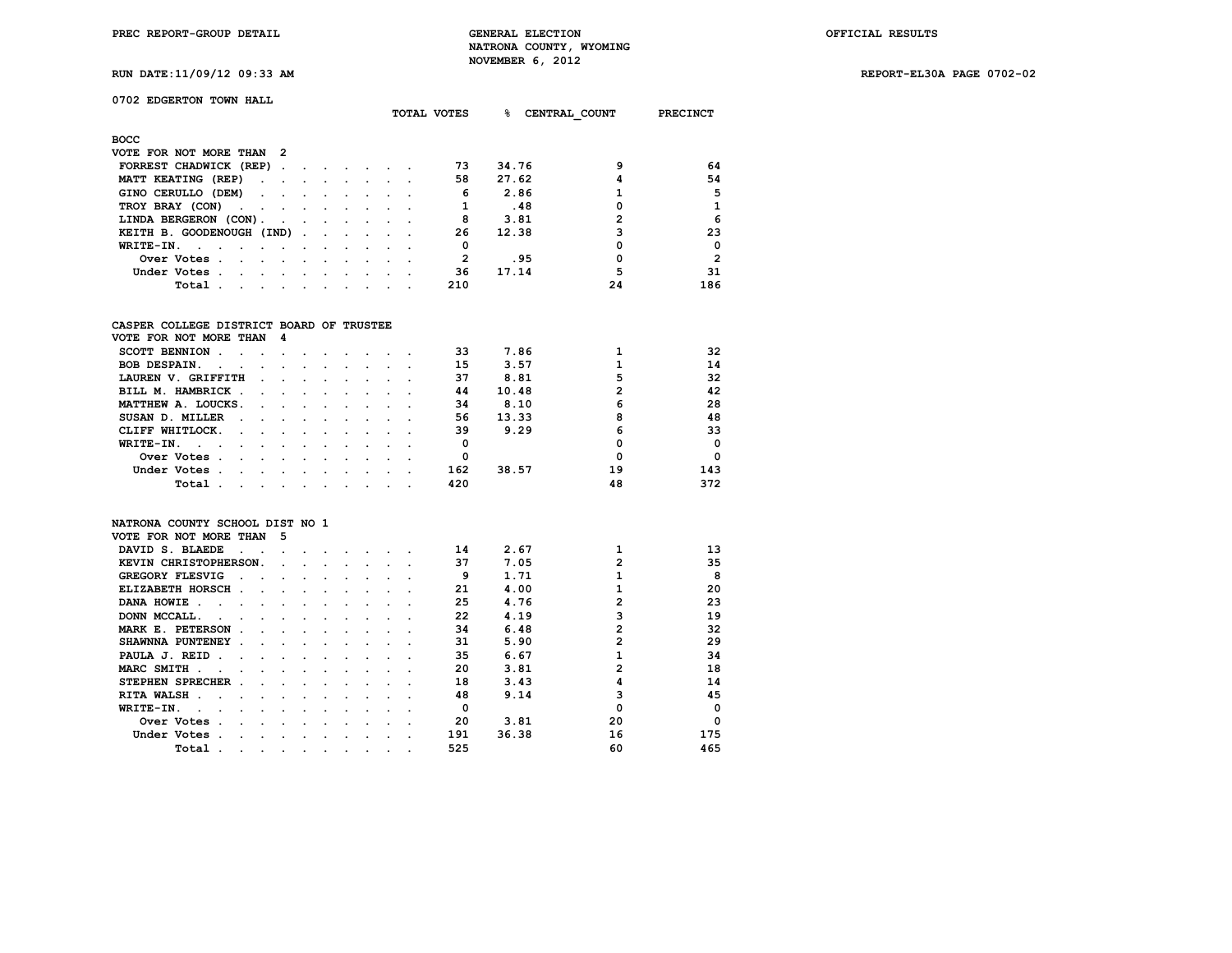**PREC REPORT-GROUP DETAIL GENERAL ELECTION OFFICIAL RESULTS NATRONA COUNTY, WYOMING RUN DATE:11/09/12 09:33 AM NOVEMBER 6, 2012** 

**RUN DATE:11/09/12 09:33 AM REPORT-EL30A PAGE 0702-02**

|  |  |  |  | <b>RUN DATE:11/09/12 09:33 AM</b> |  |
|--|--|--|--|-----------------------------------|--|
|--|--|--|--|-----------------------------------|--|

## **0702 EDGERTON TOWN HALL**

|                                                                                                                                                                    |  | TOTAL VOTES | ·<br>CENTRAL COUNT |    | <b>PRECINCT</b> |
|--------------------------------------------------------------------------------------------------------------------------------------------------------------------|--|-------------|--------------------|----|-----------------|
| <b>BOCC</b>                                                                                                                                                        |  |             |                    |    |                 |
| VOTE FOR NOT MORE THAN 2                                                                                                                                           |  |             |                    |    |                 |
| FORREST CHADWICK (REP).<br>the contract of the contract of                                                                                                         |  | 73          | 34.76              | ٩  | 64              |
| MATT KEATING (REP)<br>the contract of the contract of the contract of the contract of the contract of the contract of the contract of                              |  | 58          | 27.62              |    | 54              |
| GINO CERULLO (DEM)                                                                                                                                                 |  | 6           | 2.86               |    | 5               |
| TROY BRAY (CON)<br>the contract of the contract of                                                                                                                 |  |             | .48                |    | 1               |
| LINDA BERGERON (CON).                                                                                                                                              |  | 8           | 3.81               |    | 6               |
| KEITH B. GOODENOUGH (IND)                                                                                                                                          |  | 26          | 12.38              | 3  | 23              |
| WRITE-IN.<br>the contract of the contract of the contract of the contract of the contract of the contract of the contract of<br><b>Contract Contract</b><br>$\sim$ |  | 0           |                    | O  | $\Omega$        |
| Over Votes.<br>the contract of the contract of the contract of the contract of the contract of the contract of the contract of                                     |  | 2           | .95                | 0  | $\overline{2}$  |
| Under Votes.<br>the company of the company of the company of the company of the company of the company of                                                          |  | 36          | 17.14              | 5  | 31              |
| Total.<br>the contract of the contract of the contract of the contract of the contract of the contract of the contract of                                          |  | 210         |                    | 24 | 186             |

### **CASPER COLLEGE DISTRICT BOARD OF TRUSTEE**

| VOTE FOR NOT MORE THAN 4                             |               |               |               |        |  |     |       |    |            |
|------------------------------------------------------|---------------|---------------|---------------|--------|--|-----|-------|----|------------|
| <b>SCOTT BENNION</b>                                 |               |               |               |        |  | 33  | 7.86  |    | 32         |
| <b>BOB DESPAIN.</b><br>$\sim$                        | $\sim$        |               |               |        |  | 15  | 3.57  |    | 14         |
| LAUREN V. GRIFFITH                                   | $\sim$        |               |               |        |  | 37  | 8.81  | 5  | 32         |
| BILL M. HAMBRICK                                     |               | $\sim$ $\sim$ |               |        |  | 44  | 10.48 | 2  | 42         |
| MATTHEW A. LOUCKS.                                   | $\sim$ $\sim$ | $\sim$        | $\sim$        |        |  | 34  | 8.10  | 6  | 28         |
| SUSAN D. MILLER<br>$\sim$ $\sim$                     | $\sim$        | $\sim$ $\sim$ | $\sim$ $\sim$ | $\sim$ |  | 56  | 13.33 | 8  | 48         |
| CLIFF WHITLOCK.<br>$\sim 100$ km s $^{-1}$<br>$\sim$ | $\sim$ $\sim$ | $\sim$        |               |        |  | 39  | 9.29  | 6  | 33         |
| WRITE-IN.<br>$\sim$ $\sim$ $\sim$<br>$\cdot$         |               |               |               |        |  |     |       |    | $\Omega$   |
| Over Votes.                                          |               |               |               |        |  |     |       |    | $^{\circ}$ |
| Under Votes.                                         | $\cdot$       |               |               |        |  | 162 | 38.57 | 19 | 143        |
| Total                                                |               |               |               |        |  | 420 |       | 48 | 372        |

#### **NATRONA COUNTY SCHOOL DIST NO 1**

| VOTE FOR NOT MORE THAN  | 5 |  |  |  |     |       |                |             |
|-------------------------|---|--|--|--|-----|-------|----------------|-------------|
| DAVID S. BLAEDE         |   |  |  |  | 14  | 2.67  |                | 13          |
| KEVIN CHRISTOPHERSON.   |   |  |  |  | 37  | 7.05  | $\mathfrak{p}$ | 35          |
| GREGORY FLESVIG         |   |  |  |  | 9   | 1.71  |                | 8           |
| ELIZABETH HORSCH        |   |  |  |  | 21  | 4.00  |                | 20          |
| DANA HOWIE              |   |  |  |  | 25  | 4.76  | 2              | 23          |
| DONN MCCALL.            |   |  |  |  | 22  | 4.19  |                | 19          |
| MARK E. PETERSON        |   |  |  |  | 34  | 6.48  | $\mathbf{2}$   | 32          |
| SHAWNNA PUNTENEY        |   |  |  |  | 31  | 5.90  | $\mathbf{2}$   | 29          |
| PAULA J. REID           |   |  |  |  | 35  | 6.67  |                | 34          |
| MARC SMITH              |   |  |  |  | 20  | 3.81  | 2              | 18          |
| <b>STEPHEN SPRECHER</b> |   |  |  |  | 18  | 3.43  | 4              | 14          |
| <b>RITA WALSH</b>       |   |  |  |  | 48  | 9.14  |                | 45          |
| WRITE-IN.               |   |  |  |  | O   |       |                | $\mathbf 0$ |
| Over Votes              |   |  |  |  | 20  | 3.81  | 20             | $\mathbf 0$ |
| Under Votes             |   |  |  |  | 191 | 36.38 | 16             | 175         |
| Total                   |   |  |  |  | 525 |       | 60             | 465         |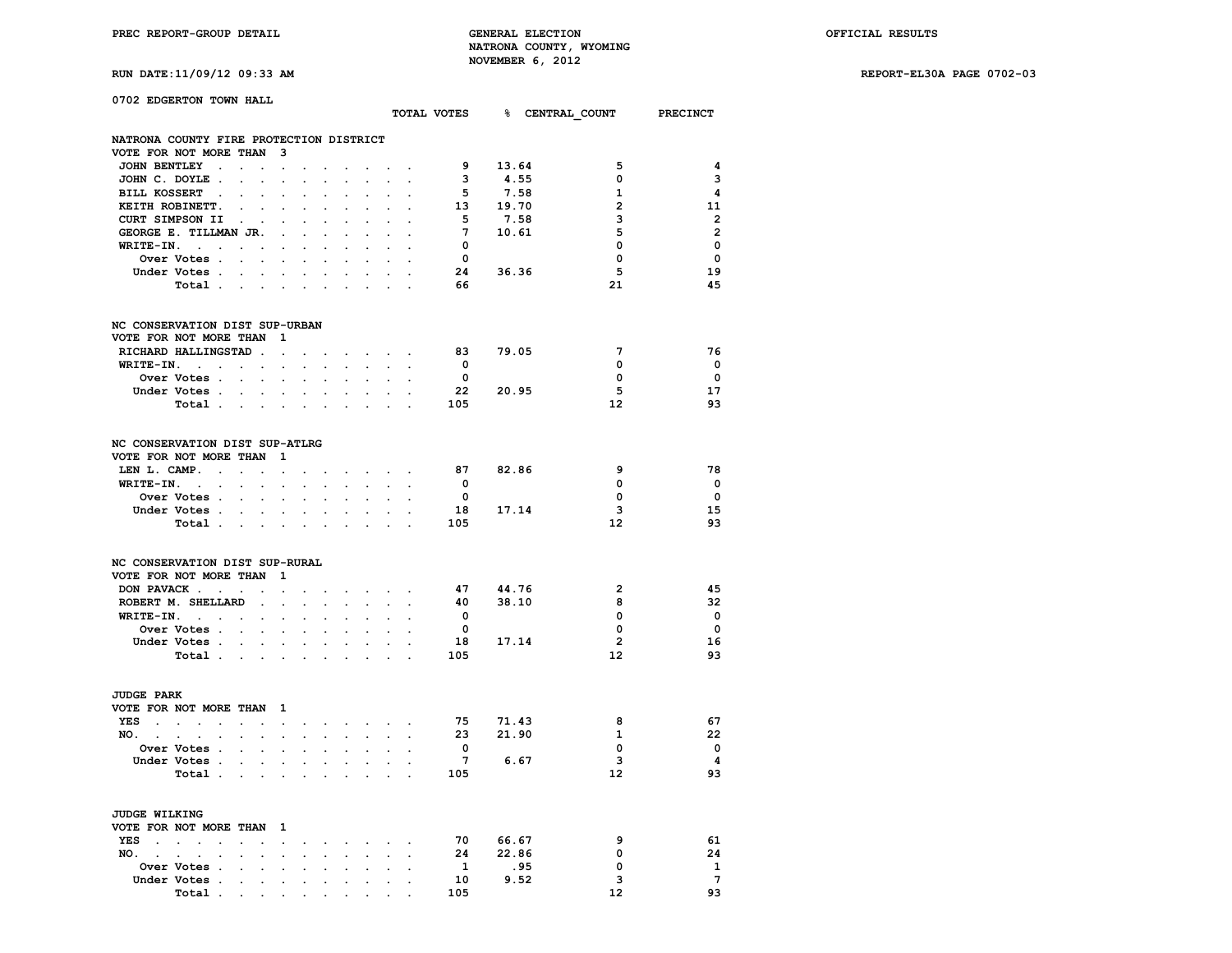**RUN DATE:11/09/12 09:33 AM REPORT-EL30A PAGE 0702-03**

| 0702 EDGERTON TOWN HALL                                                                                        |                                              |                                        |                      |                             |                             |                                                                                                                                     |                            |                                            |                         |          |                                      |                         |
|----------------------------------------------------------------------------------------------------------------|----------------------------------------------|----------------------------------------|----------------------|-----------------------------|-----------------------------|-------------------------------------------------------------------------------------------------------------------------------------|----------------------------|--------------------------------------------|-------------------------|----------|--------------------------------------|-------------------------|
|                                                                                                                |                                              |                                        |                      |                             |                             |                                                                                                                                     |                            |                                            |                         |          | TOTAL VOTES 8 CENTRAL COUNT PRECINCT |                         |
| NATRONA COUNTY FIRE PROTECTION DISTRICT                                                                        |                                              |                                        |                      |                             |                             |                                                                                                                                     |                            |                                            |                         |          |                                      |                         |
| VOTE FOR NOT MORE THAN 3                                                                                       |                                              |                                        |                      |                             |                             |                                                                                                                                     |                            |                                            |                         |          |                                      |                         |
| JOHN BENTLEY .                                                                                                 |                                              | $\sim$                                 | $\ddot{\phantom{0}}$ | $\sim$                      | $\sim$                      | $\ddot{\phantom{0}}$                                                                                                                | $\sim$                     | $\sim$                                     | 9                       | 13.64    | 5                                    | 4                       |
| JOHN C. DOYLE.                                                                                                 |                                              | $\sim 10^{-10}$ km $^{-1}$             | $\sim$               |                             |                             | $\sim$                                                                                                                              |                            |                                            | $\mathbf{3}$            | 4.55     | 0                                    | 3                       |
| BILL KOSSERT.                                                                                                  | $\ddot{\phantom{a}}$                         | $\cdot$                                |                      |                             |                             | $\cdot$                                                                                                                             |                            |                                            | 5                       | 7.58     | 1                                    | 4                       |
| KEITH ROBINETT.                                                                                                | $\ddot{\phantom{a}}$<br>$\ddot{\phantom{a}}$ | $\ddot{\phantom{0}}$                   | $\ddot{\phantom{a}}$ | $\ddot{\phantom{a}}$        |                             |                                                                                                                                     |                            |                                            |                         | 13 19.70 | $\overline{2}$                       | 11                      |
| CURT SIMPSON II                                                                                                |                                              |                                        |                      |                             |                             |                                                                                                                                     |                            |                                            | 5.                      | 7.58     | 3                                    | $\overline{\mathbf{2}}$ |
| GEORGE E. TILLMAN JR.                                                                                          |                                              | $\sim$ $\sim$                          | $\overline{a}$       | $\ddot{\phantom{a}}$        | $\ddot{\phantom{a}}$        | $\ddot{\phantom{0}}$                                                                                                                |                            |                                            | $7\phantom{.0}$         | 10.61    | 5                                    | $\overline{2}$          |
| $WRITE-IN.$                                                                                                    |                                              |                                        | $\sim$               |                             | $\sim$                      | $\mathbf{r}$                                                                                                                        | $\mathbf{r}$               |                                            | $\overline{\mathbf{0}}$ |          | 0                                    | $\Omega$                |
| Over Votes                                                                                                     |                                              |                                        | $\mathbf{r}$         | $\ddot{\phantom{a}}$        | $\sim$                      | $\mathbf{r}$                                                                                                                        | $\sim$                     | $\ddot{\phantom{a}}$                       | $\mathbf 0$             |          | $\mathbf 0$                          | $\Omega$                |
| Under Votes                                                                                                    |                                              | $\sim$ $\sim$                          | $\sim$               |                             | $\sim$                      |                                                                                                                                     |                            |                                            |                         | 24 36.36 | 5                                    | 19                      |
|                                                                                                                |                                              |                                        |                      |                             |                             |                                                                                                                                     |                            |                                            | 66                      |          | 21                                   | 45                      |
| Total                                                                                                          | $\sim$                                       | $\sim$                                 | $\ddot{\phantom{a}}$ | $\ddot{\phantom{a}}$        |                             |                                                                                                                                     |                            |                                            |                         |          |                                      |                         |
| NC CONSERVATION DIST SUP-URBAN                                                                                 |                                              |                                        |                      |                             |                             |                                                                                                                                     |                            |                                            |                         |          |                                      |                         |
| VOTE FOR NOT MORE THAN                                                                                         |                                              | $\mathbf{1}$                           |                      |                             |                             |                                                                                                                                     |                            |                                            |                         |          |                                      |                         |
| RICHARD HALLINGSTAD.                                                                                           |                                              | $\sim$                                 |                      |                             |                             | and a strong control of the state of                                                                                                |                            |                                            | 83                      | 79.05    | $7\phantom{.0}$                      | 76                      |
| $WRITE-IN.$                                                                                                    |                                              |                                        | $\ddot{\phantom{0}}$ | $\ddot{\phantom{0}}$        | $\sim 10^{-11}$             | $\mathcal{L}^{\mathcal{L}}$                                                                                                         | $\ddot{\phantom{0}}$       |                                            | $\overline{\mathbf{0}}$ |          | $\Omega$                             | $\Omega$                |
| Over Votes                                                                                                     |                                              |                                        | $\sim$               | $\bullet$                   | $\sim$                      | $\ddot{\phantom{a}}$                                                                                                                |                            |                                            | $\mathbf{0}$            |          | 0                                    | $\mathbf 0$             |
| Under Votes                                                                                                    |                                              |                                        |                      |                             |                             |                                                                                                                                     |                            |                                            |                         | 22 20.95 | 5                                    | 17                      |
| Total                                                                                                          |                                              |                                        |                      |                             | $\ddot{\phantom{0}}$        | $\sim$                                                                                                                              |                            | $\sim$ $\sim$                              | 105                     |          | 12                                   | 93                      |
| NC CONSERVATION DIST SUP-ATLRG<br>VOTE FOR NOT MORE THAN 1<br>LEN L. CAMP. $\cdots$ $\cdots$ $\cdots$ $\cdots$ |                                              |                                        |                      |                             |                             |                                                                                                                                     |                            |                                            | 87                      | 82.86    | 9                                    | 78                      |
| $WRITE-IN.$                                                                                                    | $\mathcal{L}^{\text{max}}$                   | $\mathbf{z} = \mathbf{z} + \mathbf{z}$ | $\ddot{\phantom{0}}$ | $\mathcal{L}^{\mathcal{L}}$ | $\mathcal{L}_{\mathcal{A}}$ | $\mathcal{L}^{\mathcal{L}}$                                                                                                         |                            |                                            | $\overline{\mathbf{0}}$ |          | $\mathbf 0$                          | $\overline{\mathbf{0}}$ |
| Over Votes                                                                                                     |                                              |                                        | $\sim$               | $\ddot{\phantom{0}}$        | $\mathbf{r}$                |                                                                                                                                     |                            |                                            | $\overline{\mathbf{0}}$ |          | $\mathbf 0$                          | $\mathbf 0$             |
| Under Votes                                                                                                    |                                              |                                        |                      |                             | $\mathcal{L}^{\mathcal{L}}$ | $\mathcal{L}^{\text{max}}$                                                                                                          |                            |                                            |                         | 18 17.14 | 3                                    | 15                      |
| Total                                                                                                          |                                              |                                        | $\bullet$            | $\sim$                      |                             | $\mathbf{r} = \mathbf{r} + \mathbf{r} + \mathbf{r} + \mathbf{r}$ .                                                                  |                            |                                            | 105                     |          | 12 <sup>2</sup>                      | 93                      |
|                                                                                                                |                                              |                                        |                      |                             |                             |                                                                                                                                     |                            |                                            |                         |          |                                      |                         |
| NC CONSERVATION DIST SUP-RURAL<br>VOTE FOR NOT MORE THAN 1                                                     |                                              |                                        |                      |                             |                             |                                                                                                                                     |                            |                                            |                         |          |                                      |                         |
| DON PAVACK                                                                                                     |                                              | $\sim$                                 |                      |                             |                             | and a strong control of the strong strong and                                                                                       |                            |                                            | 47                      | 44.76    | 2                                    | 45                      |
| ROBERT M. SHELLARD                                                                                             | $\sim$                                       |                                        |                      |                             |                             |                                                                                                                                     |                            |                                            | 40                      | 38.10    | 8                                    | 32                      |
| $WRITE-IN.$                                                                                                    | $\sim$                                       | $\sim$ $\sim$                          | $\ddot{\phantom{0}}$ | $\blacksquare$              | $\sim$                      | $\sim$                                                                                                                              | $\sim$                     | $\ddot{\phantom{a}}$                       |                         |          | 0                                    |                         |
|                                                                                                                |                                              | $\sim$                                 |                      | $\ddot{\phantom{0}}$        |                             | $\mathbf{r} = \mathbf{r}$                                                                                                           |                            |                                            | $\overline{\mathbf{0}}$ |          |                                      | $\overline{\mathbf{0}}$ |
| Over Votes                                                                                                     |                                              |                                        |                      |                             |                             |                                                                                                                                     |                            |                                            | $\overline{\mathbf{0}}$ |          | $\mathbf 0$                          | $\overline{\mathbf{0}}$ |
| Under Votes                                                                                                    |                                              |                                        |                      |                             |                             |                                                                                                                                     |                            |                                            |                         | 18 17.14 | $\overline{2}$                       | 16                      |
| Total                                                                                                          |                                              |                                        |                      |                             | $\mathbf{r}$                |                                                                                                                                     | $\mathbf{r}$               |                                            | 105                     |          | 12 <sup>2</sup>                      | 93                      |
| <b>JUDGE PARK</b>                                                                                              |                                              |                                        |                      |                             |                             |                                                                                                                                     |                            |                                            |                         |          |                                      |                         |
| VOTE FOR NOT MORE THAN                                                                                         |                                              | $\mathbf{1}$                           |                      |                             |                             |                                                                                                                                     |                            |                                            |                         |          |                                      |                         |
| <b>YES</b><br>the contract of the contract of the                                                              |                                              |                                        |                      |                             |                             | and a series of the series of the                                                                                                   |                            |                                            |                         | 75 71.43 | 8                                    | 67                      |
| NO.                                                                                                            |                                              | $\sim$ $\sim$                          |                      |                             |                             | $\mathbf{r} = \mathbf{r} - \mathbf{r}$ , where $\mathbf{r} = \mathbf{r} - \mathbf{r}$                                               |                            |                                            | 23                      | 21.90    | 1                                    | 22                      |
| Over Votes .                                                                                                   | $\sim$<br>$\ddot{\phantom{a}}$               | $\ddot{\phantom{a}}$                   |                      |                             |                             |                                                                                                                                     |                            |                                            | $\overline{\mathbf{0}}$ |          | 0                                    | $\mathbf 0$             |
| Under Votes                                                                                                    |                                              |                                        |                      | <b>Contract Contract</b>    |                             | $\mathbf{r} = \mathbf{r} + \mathbf{r} + \mathbf{r} + \mathbf{r}$                                                                    |                            |                                            | 7                       | 6.67     | 3                                    | $\overline{\mathbf{4}}$ |
| Total                                                                                                          |                                              |                                        |                      |                             | $\sim 10^{-11}$             |                                                                                                                                     |                            | $\mathbf{r} = \mathbf{r} \cdot \mathbf{r}$ | 105                     |          | $12 \overline{ }$                    | 93                      |
|                                                                                                                |                                              |                                        |                      |                             |                             |                                                                                                                                     |                            |                                            |                         |          |                                      |                         |
| JUDGE WILKING                                                                                                  |                                              |                                        |                      |                             |                             |                                                                                                                                     |                            |                                            |                         |          |                                      |                         |
| VOTE FOR NOT MORE THAN 1                                                                                       |                                              |                                        |                      |                             |                             |                                                                                                                                     |                            |                                            |                         |          |                                      |                         |
| $YES$                                                                                                          | $\ddot{\phantom{0}}$<br>$\sim$               | $\sim$ $\sim$                          | $\ddot{\phantom{0}}$ |                             |                             | $\begin{array}{cccccccccccccc} \bullet & \bullet & \bullet & \bullet & \bullet & \bullet & \bullet & \bullet & \bullet \end{array}$ |                            |                                            |                         | 70 66.67 | 9                                    | 61                      |
| NO.                                                                                                            | $\ddot{\phantom{a}}$                         | $\ddot{\phantom{a}}$                   | $\mathbf{r}$         | $\sim$                      | $\mathbf{L}$                | $\sim$                                                                                                                              | $\sim$                     |                                            | 24                      | 22.86    | 0                                    | 24                      |
| Over Votes .                                                                                                   | $\cdot$<br>$\ddot{\phantom{a}}$              | $\cdot$                                | $\cdot$              | $\cdot$                     |                             | $\ddot{\phantom{0}}$                                                                                                                | $\cdot$                    | $\cdot$                                    | $\mathbf{1}$            | .95      | $\mathbf 0$                          | 1                       |
| Under Votes.                                                                                                   | $\sim$<br>$\ddot{\phantom{0}}$               | $\sim 100$ km s $^{-1}$                | $\ddot{\phantom{0}}$ | $\sim$                      | $\sim$                      | $\sim$                                                                                                                              | $\mathcal{L}^{\text{max}}$ | $\cdot$                                    | 10                      | 9.52     | 3                                    | $7\phantom{.0}$         |
| Total                                                                                                          | $\sim$ $\sim$                                | <b>Contract Contract</b>               |                      | $\sim$                      |                             | <b>All Contracts</b>                                                                                                                |                            |                                            | 105                     |          | 12                                   | 93                      |

 **Total** . . . . . . . . . .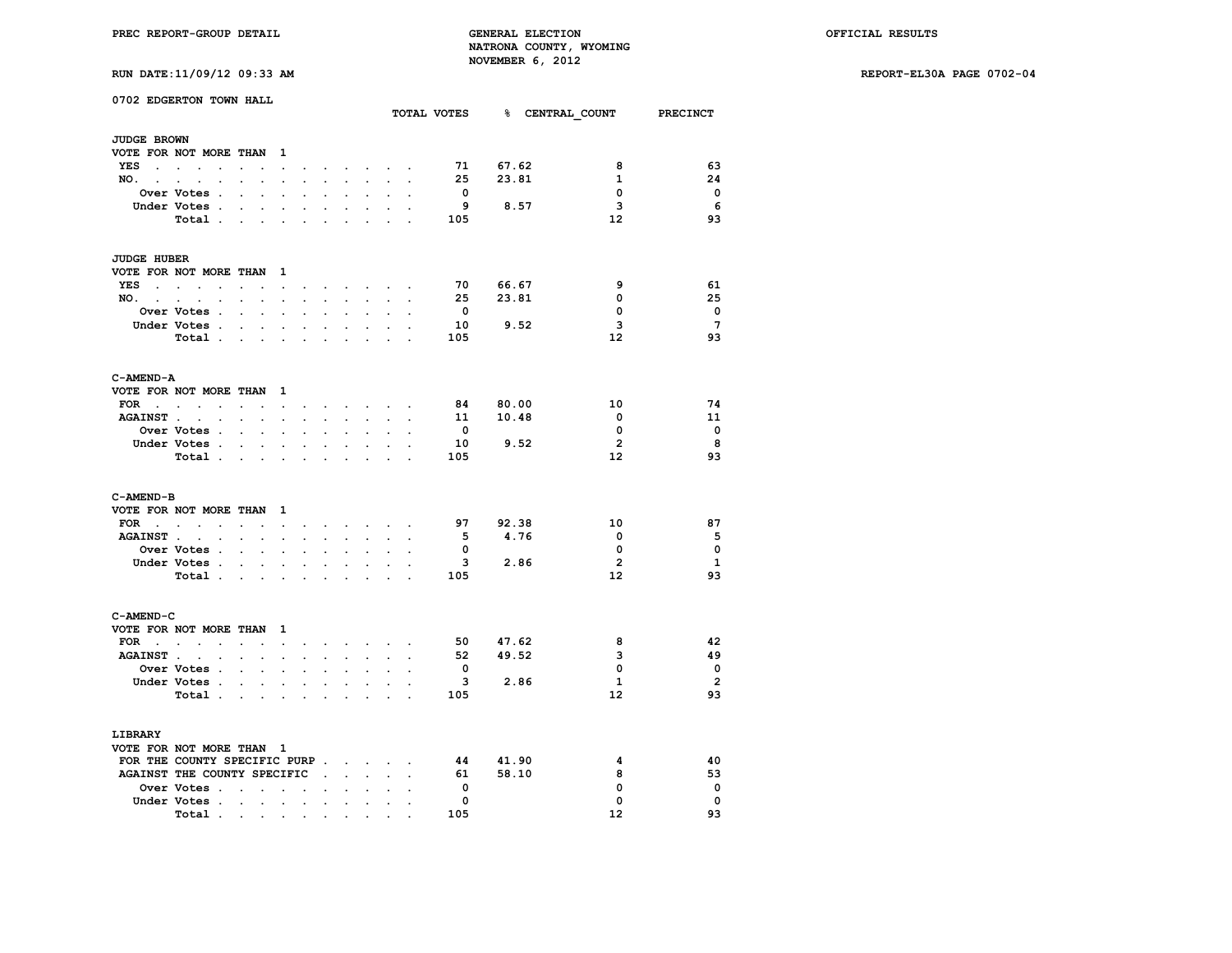**RUN DATE:11/09/12 09:33 AM REPORT-EL30A PAGE 0702-04**

|  |  |  |  | RUN DATE:11/09/12 09:33 AM |  |
|--|--|--|--|----------------------------|--|
|--|--|--|--|----------------------------|--|

|                          | 0702 EDGERTON TOWN HALL      |                                   |                      |                         |                      |                            |                      |                                   |                                                                                            |                      |                         |          |      | TOTAL VOTES 8 CENTRAL COUNT PRECINCT |                 |
|--------------------------|------------------------------|-----------------------------------|----------------------|-------------------------|----------------------|----------------------------|----------------------|-----------------------------------|--------------------------------------------------------------------------------------------|----------------------|-------------------------|----------|------|--------------------------------------|-----------------|
|                          |                              |                                   |                      |                         |                      |                            |                      |                                   |                                                                                            |                      |                         |          |      |                                      |                 |
| <b>JUDGE BROWN</b>       |                              |                                   |                      |                         |                      |                            |                      |                                   |                                                                                            |                      |                         |          |      |                                      |                 |
|                          | VOTE FOR NOT MORE THAN       |                                   |                      | $\mathbf{1}$            |                      |                            |                      |                                   |                                                                                            |                      |                         |          |      |                                      |                 |
| YES                      |                              | $\sim 10^{-10}$                   | $\ddot{\phantom{0}}$ | $\sim 100$ km s $^{-1}$ | $\ddot{\phantom{a}}$ | $\bullet$                  |                      |                                   | the contract of the contract of                                                            |                      |                         | 71 67.62 |      | 8                                    | 63              |
| NO. .                    | $\sim$<br>$\sim$             |                                   |                      | $\mathbf{r}$            |                      |                            |                      |                                   |                                                                                            |                      | 25                      | 23.81    |      | 1                                    | 24              |
|                          | Over Votes.                  | $\ddot{\phantom{0}}$              | $\ddot{\phantom{a}}$ |                         |                      |                            |                      |                                   |                                                                                            |                      | $\mathbf{o}$            |          |      | 0                                    | 0               |
|                          | Under Votes .                | $\ddot{\phantom{0}}$              | $\ddot{\phantom{0}}$ | $\cdot$                 | $\ddot{\phantom{a}}$ | $\cdot$                    | $\ddot{\phantom{a}}$ | $\cdot$                           | $\cdot$                                                                                    |                      | 9                       | 8.57     |      | 3                                    | 6               |
|                          | Total                        |                                   |                      | $\sim$                  | $\ddot{\phantom{a}}$ |                            |                      | $\ddot{\phantom{0}}$              |                                                                                            |                      | 105                     |          |      | $12 \overline{ }$                    | 93              |
| <b>JUDGE HUBER</b>       |                              |                                   |                      |                         |                      |                            |                      |                                   |                                                                                            |                      |                         |          |      |                                      |                 |
|                          | VOTE FOR NOT MORE THAN 1     |                                   |                      |                         |                      |                            |                      |                                   |                                                                                            |                      |                         |          |      |                                      |                 |
|                          | YES                          | $\sim$                            |                      | $\sim$                  | $\cdot$              |                            |                      |                                   | $\mathbf{r} = \mathbf{r}$ , and $\mathbf{r} = \mathbf{r}$ , and $\mathbf{r} = \mathbf{r}$  |                      | 70                      | 66.67    |      | 9                                    | 61              |
| NO.                      | $\cdot$                      | $\ddot{\phantom{0}}$              | $\ddot{\phantom{0}}$ | $\ddot{\phantom{0}}$    | $\ddot{\phantom{0}}$ | $\sim$                     | $\sim$               | $\ddot{\phantom{0}}$              |                                                                                            |                      | 25                      | 23.81    |      | 0                                    | 25              |
|                          | Over Votes .                 |                                   | $\ddot{\phantom{0}}$ | $\bullet$               | $\ddot{\phantom{a}}$ |                            | $\ddot{\phantom{a}}$ | $\ddot{\phantom{0}}$              | $\ddot{\phantom{0}}$                                                                       |                      | $\mathbf{o}$            |          |      | 0                                    | $\mathbf 0$     |
|                          | Under Votes .                |                                   | $\sim$               | $\ddot{\phantom{0}}$    | $\cdot$              | $\ddot{\phantom{0}}$       |                      | $\ddot{\phantom{0}}$              |                                                                                            |                      | 10                      | 9.52     |      | з                                    | $7\overline{ }$ |
|                          | Total                        |                                   |                      | $\cdot$                 |                      |                            |                      |                                   |                                                                                            |                      | 105                     |          |      | 12                                   | 93              |
|                          |                              |                                   |                      |                         |                      |                            |                      |                                   |                                                                                            |                      |                         |          |      |                                      |                 |
| C-AMEND-A                |                              |                                   |                      |                         |                      |                            |                      |                                   |                                                                                            |                      |                         |          |      |                                      |                 |
|                          | VOTE FOR NOT MORE THAN 1     |                                   |                      |                         |                      |                            |                      |                                   |                                                                                            |                      |                         |          |      |                                      |                 |
| $FOR \t . \t .$          | $\sim$                       | $\ddot{\phantom{a}}$              | $\ddot{\phantom{a}}$ | $\bullet$               | $\cdot$              | $\ddot{\phantom{0}}$       |                      | the contract of the con-          |                                                                                            |                      | 84                      | 80.00    |      | 10                                   | 74              |
|                          | AGAINST                      |                                   | $\bullet$ .          | $\ddot{\phantom{0}}$    | $\sim$               | $\mathcal{L}^{\text{max}}$ | $\sim$               | $\sim$                            | $\bullet$ .                                                                                | $\cdot$              |                         | 11 10.48 |      | $\mathbf 0$                          | 11              |
|                          | Over Votes .                 | $\ddot{\phantom{a}}$              | $\ddot{\phantom{a}}$ | $\ddot{\phantom{a}}$    |                      |                            |                      |                                   |                                                                                            |                      | $\mathbf{o}$            |          |      | 0                                    | $\Omega$        |
|                          | Under Votes .                | $\sim$                            | $\ddot{\phantom{0}}$ | $\ddot{\phantom{0}}$    | $\ddot{\phantom{0}}$ | $\ddot{\phantom{0}}$       |                      | $\ddot{\phantom{0}}$              |                                                                                            |                      | 10                      | 9.52     |      | $\overline{2}$                       | 8               |
|                          | Total .                      | <b>Contract Contract Contract</b> |                      | $\ddot{\phantom{0}}$    | $\ddot{\phantom{a}}$ | $\ddot{\phantom{a}}$       | $\ddot{\phantom{a}}$ |                                   | $\ddot{\phantom{a}}$                                                                       |                      | 105                     |          |      | 12                                   | 93              |
|                          |                              |                                   |                      |                         |                      |                            |                      |                                   |                                                                                            |                      |                         |          |      |                                      |                 |
| C-AMEND-B                |                              |                                   |                      |                         |                      |                            |                      |                                   |                                                                                            |                      |                         |          |      |                                      |                 |
|                          | VOTE FOR NOT MORE THAN 1     |                                   |                      |                         |                      |                            |                      |                                   |                                                                                            |                      |                         |          |      |                                      |                 |
| $FOR$                    |                              | $\sim$ $\sim$                     |                      | $\sim$ $\sim$ $\sim$    |                      |                            |                      |                                   | and a series of the series of the series of                                                |                      |                         | 97 92.38 |      | 10                                   | 87              |
|                          | AGAINST                      |                                   |                      |                         | $\ddot{\phantom{a}}$ | $\ddot{\phantom{a}}$       | $\sim$               | $\sim$                            | $\ddot{\phantom{a}}$                                                                       | $\cdot$              | - 5                     | 4.76     |      | 0                                    | 5               |
|                          | Over Votes .                 |                                   |                      |                         |                      |                            |                      |                                   |                                                                                            |                      | $\mathbf{0}$            |          |      | 0                                    | $\mathbf 0$     |
|                          | Under Votes                  |                                   | $\bullet$ .          | $\sim$                  | $\ddot{\phantom{0}}$ | $\ddot{\phantom{0}}$       | $\ddot{\phantom{0}}$ | $\bullet$                         | $\ddot{\phantom{a}}$                                                                       | $\ddot{\phantom{a}}$ | $\mathbf{3}$            |          | 2.86 | $\overline{2}$                       | 1               |
|                          | Total .                      | and the company of the com-       |                      |                         | $\sim$               | $\sim$                     | $\ddot{\phantom{a}}$ | $\sim$                            | $\overline{a}$                                                                             |                      | 105                     |          |      | $12 \overline{ }$                    | 93              |
|                          |                              |                                   |                      |                         |                      |                            |                      |                                   |                                                                                            |                      |                         |          |      |                                      |                 |
| C-AMEND-C                | VOTE FOR NOT MORE THAN       |                                   |                      | $\mathbf{1}$            |                      |                            |                      |                                   |                                                                                            |                      |                         |          |      |                                      |                 |
|                          | FOR $\cdots$ $\cdots$        |                                   |                      | $\sim$                  | $\ddot{\phantom{0}}$ |                            |                      |                                   | $\mathbf{r} = \mathbf{r} + \mathbf{r} + \mathbf{r} + \mathbf{r} + \mathbf{r} + \mathbf{r}$ |                      |                         | 50 47.62 |      | 8                                    | 42              |
| <b>AGAINST.</b>          |                              |                                   |                      | $\mathbf{r}$            |                      |                            |                      | $\overline{a}$                    |                                                                                            |                      | 52                      | 49.52    |      | 3                                    | 49              |
|                          | Over Votes .                 | $\ddot{\phantom{0}}$              | $\ddot{\phantom{a}}$ |                         |                      |                            |                      |                                   |                                                                                            |                      | $\overline{\mathbf{0}}$ |          |      | 0                                    | $\mathbf 0$     |
|                          | Under Votes .                |                                   |                      |                         |                      |                            |                      |                                   |                                                                                            |                      | $\overline{\mathbf{3}}$ | 2.86     |      | $\mathbf{1}$                         | $\overline{2}$  |
|                          | Total                        | $\sim$ $\sim$                     | $\bullet$ .          | $\bullet$               | $\bullet$            | $\ddot{\phantom{0}}$       | $\ddot{\phantom{0}}$ | $\bullet$<br>$\ddot{\phantom{0}}$ | $\bullet$                                                                                  |                      | 105                     |          |      | $12 \overline{ }$                    | 93              |
|                          |                              |                                   |                      | $\ddot{\phantom{0}}$    | $\bullet$            |                            |                      |                                   |                                                                                            |                      |                         |          |      |                                      |                 |
| LIBRARY                  |                              |                                   |                      |                         |                      |                            |                      |                                   |                                                                                            |                      |                         |          |      |                                      |                 |
| VOTE FOR NOT MORE THAN 1 |                              |                                   |                      |                         |                      |                            |                      |                                   |                                                                                            |                      |                         |          |      |                                      |                 |
|                          | FOR THE COUNTY SPECIFIC PURP |                                   |                      |                         |                      |                            |                      |                                   |                                                                                            |                      | 44                      | 41.90    |      | 4                                    | 40              |
|                          | AGAINST THE COUNTY SPECIFIC  |                                   |                      |                         |                      | $\sim 100$ km s $^{-1}$    | $\sim$               | $\ddot{\phantom{0}}$              |                                                                                            |                      | 61                      | 58.10    |      | 8                                    | 53              |
|                          | Over Votes .                 | <b>Contract Contract</b>          |                      | $\sim$ $\sim$           | $\bullet$            | $\ddot{\phantom{0}}$       | $\bullet$            | $\bullet$                         | $\ddot{\phantom{0}}$                                                                       |                      | $\mathbf 0$             |          |      | 0                                    | $\mathbf 0$     |
|                          | Under Votes .                | $\sim$                            | $\ddot{\phantom{0}}$ | $\ddot{\phantom{a}}$    | $\overline{a}$       | $\ddot{\phantom{a}}$       |                      |                                   |                                                                                            |                      | 0                       |          |      | 0                                    | $\Omega$        |
|                          | Total .                      | $\sim$                            | $\sim$               | $\cdot$                 | $\cdot$              | $\cdot$                    | $\cdot$              |                                   |                                                                                            |                      | 105                     |          |      | 12                                   | 93              |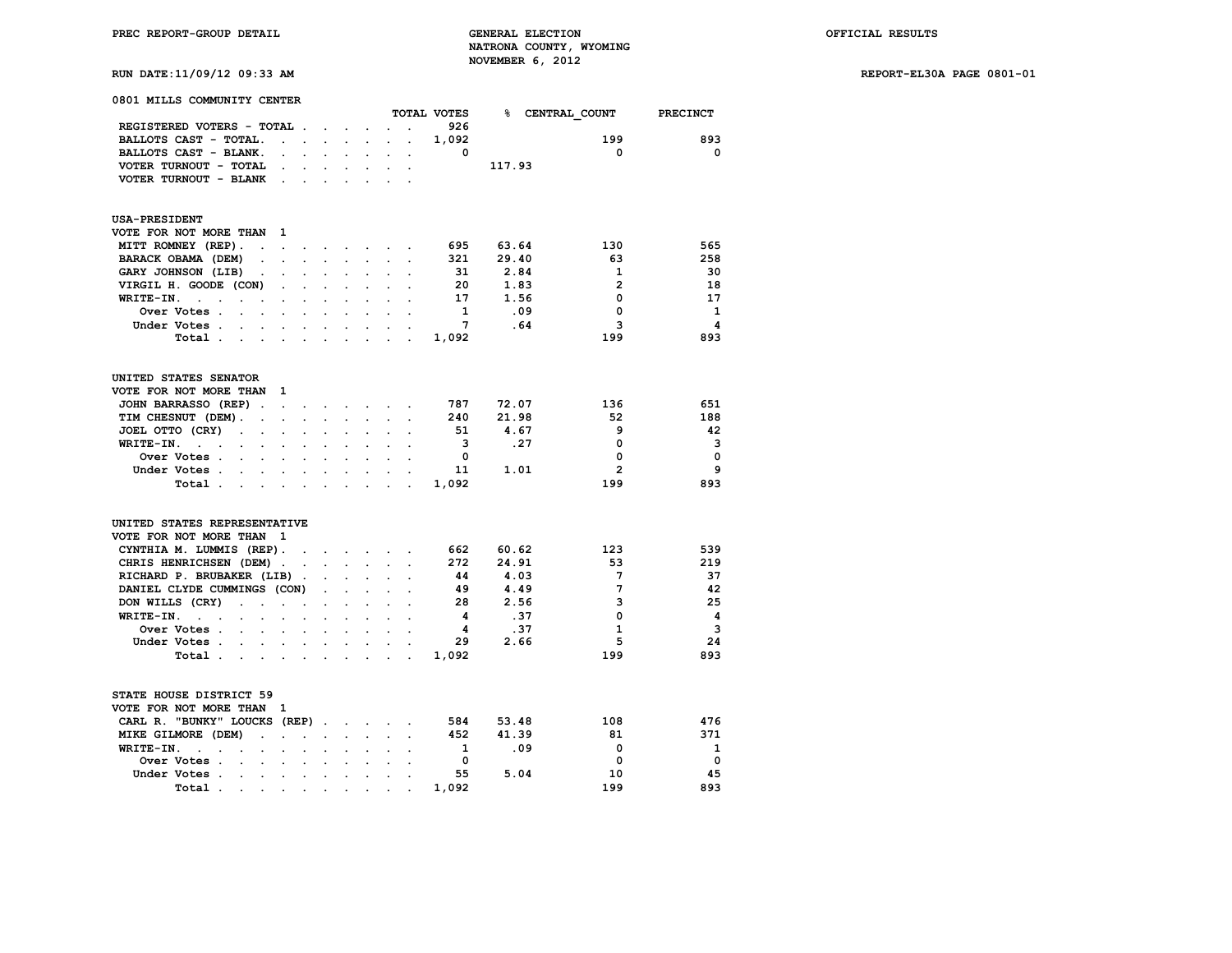**RUN DATE:11/09/12 09:33 AM REPORT-EL30A PAGE 0801-01**

| 0801 MILLS COMMUNITY CENTER                                                       |                            |                           |                      |                      |                      |                           |                      |                      |                         |        |                 |                         |
|-----------------------------------------------------------------------------------|----------------------------|---------------------------|----------------------|----------------------|----------------------|---------------------------|----------------------|----------------------|-------------------------|--------|-----------------|-------------------------|
|                                                                                   |                            |                           |                      |                      |                      |                           |                      |                      | TOTAL VOTES             |        | % CENTRAL COUNT | <b>PRECINCT</b>         |
| REGISTERED VOTERS - TOTAL .                                                       |                            |                           |                      | $\sim$               | $\sim$               |                           |                      |                      | 926                     |        |                 |                         |
| BALLOTS CAST - TOTAL.                                                             |                            | $\mathbf{L} = \mathbf{L}$ |                      | $\sim$               | $\sim$               | $\mathbf{r}$              | $\ddot{\phantom{0}}$ | $\overline{a}$       | 1,092                   |        | 199             | 893                     |
| BALLOTS CAST - BLANK.                                                             |                            |                           |                      |                      |                      |                           |                      |                      | $\mathbf{0}$            |        | $\mathbf{0}$    | $\mathbf{0}$            |
| VOTER TURNOUT - TOTAL                                                             |                            | $\bullet$                 | $\sim$               | $\ddot{\phantom{a}}$ | $\bullet$            | $\ddot{\phantom{a}}$      | $\ddot{\phantom{0}}$ | $\cdot$              |                         | 117.93 |                 |                         |
| VOTER TURNOUT - BLANK                                                             |                            |                           |                      |                      |                      |                           |                      |                      |                         |        |                 |                         |
|                                                                                   |                            |                           |                      |                      |                      |                           |                      |                      |                         |        |                 |                         |
| <b>USA-PRESIDENT</b>                                                              |                            |                           |                      |                      |                      |                           |                      |                      |                         |        |                 |                         |
| VOTE FOR NOT MORE THAN                                                            |                            | 1                         |                      |                      |                      |                           |                      |                      |                         |        |                 |                         |
| MITT ROMNEY (REP).                                                                | $\ddot{\phantom{0}}$       | $\ddot{\phantom{a}}$      | $\overline{a}$       | $\bullet$            |                      | $\cdot$ $\cdot$ $\cdot$   |                      |                      | 695                     | 63.64  | 130             | 565                     |
| BARACK OBAMA (DEM)                                                                |                            | ÷.                        | $\cdot$              | $\mathbf{r}$         |                      |                           |                      |                      | 321                     | 29.40  | 63              | 258                     |
| GARY JOHNSON (LIB)                                                                | $\ddot{\phantom{0}}$       | $\overline{a}$            | $\mathbf{r}$         | $\overline{a}$       | $\overline{a}$       | $\overline{a}$            |                      |                      | 31                      | 2.84   | $\mathbf{1}$    | 30                      |
| VIRGIL H. GOODE (CON)                                                             |                            |                           |                      |                      |                      |                           |                      |                      | 20                      | 1.83   | $\overline{2}$  | 18                      |
| WRITE-IN.<br>$\ddot{\phantom{0}}$<br>$\ddot{\phantom{0}}$<br>$\bullet$            |                            | $\bullet$                 | $\ddot{\phantom{0}}$ | $\bullet$            | $\ddot{\phantom{0}}$ | $\ddot{\phantom{a}}$      |                      | $\ddot{\phantom{a}}$ | 17                      | 1.56   | $\mathbf 0$     | 17                      |
| Over Votes .                                                                      |                            |                           |                      |                      |                      |                           |                      |                      | <sup>1</sup>            | .09    | 0               | - 1                     |
| Under Votes .                                                                     |                            |                           |                      |                      |                      |                           |                      |                      | 7                       | .64    | 3               | $\overline{\mathbf{4}}$ |
| $\sim$                                                                            | $\overline{a}$             |                           | $\ddot{\phantom{a}}$ |                      |                      |                           |                      |                      |                         |        |                 |                         |
| Total.<br>$\sim$                                                                  | $\mathcal{L}^{\text{max}}$ | $\ddot{\phantom{a}}$      | $\ddot{\phantom{a}}$ | $\ddot{\phantom{a}}$ | $\sim$               | $\cdot$                   |                      |                      | 1,092                   |        | 199             | 893                     |
| UNITED STATES SENATOR                                                             |                            |                           |                      |                      |                      |                           |                      |                      |                         |        |                 |                         |
| VOTE FOR NOT MORE THAN                                                            |                            | 1                         |                      |                      |                      |                           |                      |                      |                         |        |                 |                         |
|                                                                                   |                            |                           |                      |                      |                      |                           |                      |                      |                         |        |                 |                         |
| JOHN BARRASSO (REP).                                                              |                            | $\mathbf{L}^{\text{max}}$ | $\sim$               | $\cdot$              | $\sim$               | $\sim$                    |                      |                      | 787                     | 72.07  | 136             | 651                     |
| TIM CHESNUT (DEM).                                                                | $\overline{a}$             |                           | $\sim$               |                      | $\mathbf{r}$         |                           |                      |                      | 240                     | 21.98  | 52              | 188                     |
| JOEL OTTO (CRY)<br>$\sim$                                                         | $\ddot{\phantom{0}}$       | $\ddot{\phantom{a}}$      | $\ddot{\phantom{0}}$ | $\ddot{\phantom{a}}$ | $\ddot{\phantom{a}}$ | $\ddot{\phantom{a}}$      |                      |                      | 51                      | 4.67   | 9               | 42                      |
| WRITE-IN.<br>$\ddotsc$                                                            |                            |                           |                      |                      |                      |                           |                      |                      | $\overline{\mathbf{3}}$ | .27    | 0               | 3                       |
| Over Votes .<br>$\mathbf{r}$                                                      |                            |                           |                      |                      |                      |                           |                      |                      | 0                       |        | 0               | $\mathbf 0$             |
| Under Votes .<br>$\ddot{\phantom{a}}$                                             | $\overline{a}$             |                           | $\ddot{\phantom{a}}$ | $\ddot{\phantom{a}}$ |                      |                           |                      |                      | 11                      | 1.01   | $\overline{2}$  | 9                       |
| Total.                                                                            |                            |                           |                      | $\ddot{\phantom{a}}$ |                      |                           |                      |                      | 1,092                   |        | 199             | 893                     |
|                                                                                   |                            |                           |                      |                      |                      |                           |                      |                      |                         |        |                 |                         |
| UNITED STATES REPRESENTATIVE                                                      |                            |                           |                      |                      |                      |                           |                      |                      |                         |        |                 |                         |
| VOTE FOR NOT MORE THAN                                                            |                            | $\mathbf{1}$              |                      |                      |                      |                           |                      |                      |                         |        |                 |                         |
| CYNTHIA M. LUMMIS (REP).                                                          |                            |                           | $\sim$               | $\sim$               | $\sim$               | $\sim$                    | $\sim$               |                      | 662                     | 60.62  | 123             | 539                     |
| CHRIS HENRICHSEN (DEM).                                                           |                            |                           | $\ddot{\phantom{a}}$ | $\ddot{\phantom{a}}$ | $\sim$               | $\sim$                    | $\mathbf{r}$         | $\cdot$              | 272                     | 24.91  | 53              | 219                     |
| RICHARD P. BRUBAKER (LIB).                                                        |                            |                           |                      |                      |                      |                           |                      |                      | 44                      | 4.03   | $7\phantom{.0}$ | 37                      |
| DANIEL CLYDE CUMMINGS (CON)                                                       |                            |                           |                      |                      |                      | $\mathbf{r}$              |                      |                      | 49                      | 4.49   | $7\phantom{.0}$ | 42                      |
| DON WILLS (CRY)<br>$\ddot{\phantom{a}}$                                           | $\ddot{\phantom{0}}$       | $\ddot{\phantom{0}}$      | $\ddot{\phantom{0}}$ |                      |                      |                           |                      |                      | 28                      | 2.56   | 3               | 25                      |
| WRITE-IN.<br>$\ddot{\phantom{a}}$<br>$\sim$<br>$\cdot$                            | $\overline{a}$             | $\cdot$                   | $\ddot{\phantom{a}}$ | $\cdot$              | $\ddot{\phantom{a}}$ |                           |                      |                      | 4                       | .37    | $\Omega$        | $\overline{\mathbf{4}}$ |
| Over Votes .<br>$\overline{a}$                                                    | $\ddot{\phantom{0}}$       | $\ddot{\phantom{a}}$      | $\ddot{\phantom{a}}$ | $\ddot{\phantom{a}}$ | $\overline{a}$       |                           |                      |                      | -4                      | .37    | $\mathbf{1}$    | $\overline{\mathbf{3}}$ |
| Under Votes.                                                                      |                            |                           |                      | $\overline{a}$       |                      |                           |                      |                      | 29                      | 2.66   | 5               | 24                      |
| Total.<br>$\bullet$ .                                                             | $\ddot{\phantom{0}}$       | $\cdot$                   | $\bullet$            | $\bullet$            | $\ddot{\phantom{0}}$ | $\cdot$                   | $\ddot{\phantom{a}}$ | $\ddot{\phantom{a}}$ | 1,092                   |        | 199             | 893                     |
| STATE HOUSE DISTRICT 59                                                           |                            |                           |                      |                      |                      |                           |                      |                      |                         |        |                 |                         |
| VOTE FOR NOT MORE THAN                                                            |                            | 1                         |                      |                      |                      |                           |                      |                      |                         |        |                 |                         |
|                                                                                   |                            |                           |                      |                      |                      |                           |                      |                      |                         |        | 108             | 476                     |
| CARL R. "BUNKY" LOUCKS (REP).                                                     |                            |                           |                      |                      |                      | $\mathbf{L} = \mathbf{L}$ | $\sim$               |                      | 584                     | 53.48  |                 |                         |
| MIKE GILMORE (DEM)                                                                |                            | $\ddot{\phantom{a}}$      |                      | $\ddot{\phantom{a}}$ | $\ddot{\phantom{0}}$ |                           |                      |                      | 452                     | 41.39  | 81              | 371                     |
| WRITE-IN.<br>$\ddot{\phantom{a}}$<br>$\ddot{\phantom{a}}$<br>$\ddot{\phantom{a}}$ | $\ddot{\phantom{a}}$       | $\ddot{\phantom{a}}$      |                      |                      |                      |                           |                      |                      | 1                       | .09    | 0               | 1                       |
| Over Votes .<br>$\overline{a}$                                                    | $\cdot$                    | $\overline{a}$            | $\ddot{\phantom{a}}$ | $\ddot{\phantom{a}}$ | $\ddot{\phantom{a}}$ | $\ddot{\phantom{a}}$      |                      |                      | 0                       |        | $\Omega$        | $\mathbf 0$             |
| Under Votes .                                                                     |                            |                           |                      |                      |                      |                           |                      |                      | 55                      | 5.04   | 10              | 45                      |
| Total.                                                                            | $\ddot{\phantom{0}}$       | $\ddot{\phantom{0}}$      |                      |                      |                      |                           |                      |                      | 1,092                   |        | 199             | 893                     |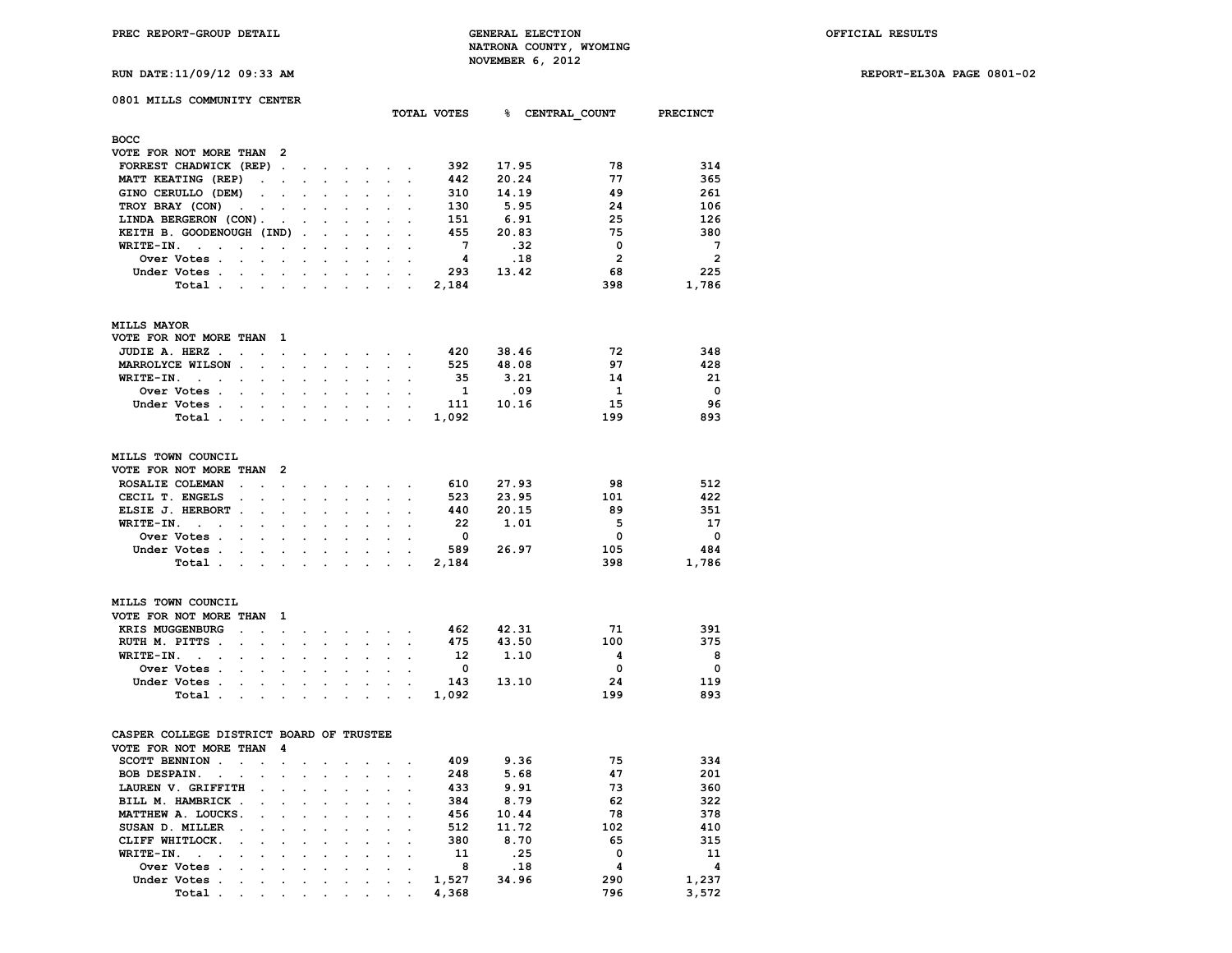**TOTAL VOTES % CENTRAL\_COUNT PRECINCT**

**RUN DATE:11/09/12 09:33 AM REPORT-EL30A PAGE 0801-02**

## **0801 MILLS COMMUNITY CENTER**

| <b>BOCC</b>                                |               |         |        |  |       |       |                |                |
|--------------------------------------------|---------------|---------|--------|--|-------|-------|----------------|----------------|
| VOTE FOR NOT MORE THAN 2                   |               |         |        |  |       |       |                |                |
| FORREST CHADWICK (REP).                    | $\sim$ $\sim$ |         |        |  | 392   | 17.95 | 78             | 314            |
| MATT KEATING (REP)<br>$\ddot{\phantom{a}}$ |               |         |        |  | 442   | 20.24 | 77             | 365            |
| GINO CERULLO (DEM)<br>$\sim$               |               | $\cdot$ |        |  | 310   | 14.19 | 49             | 261            |
| TROY BRAY (CON)<br>$\sim 100$              |               |         |        |  | 130   | 5.95  | 24             | 106            |
| LINDA BERGERON (CON).<br>$\sim$            | $\sim$        | $\sim$  | $\sim$ |  | 151   | 6.91  | 25             | 126            |
| KEITH B. GOODENOUGH (IND).                 |               | $\cdot$ |        |  | 455   | 20.83 | 75             | 380            |
| WRITE-IN.                                  |               |         |        |  | 7     | .32   | 0              | 7              |
| Over Votes.<br>$\sim$                      |               | $\cdot$ |        |  | 4     | .18   | $\overline{2}$ | $\overline{2}$ |
| Under Votes.                               |               |         |        |  | 293   | 13.42 | 68             | 225            |
| Total .                                    |               |         |        |  | 2,184 |       | 398            | 1,786          |
|                                            |               |         |        |  |       |       |                |                |
| <b>MILLS MAYOR</b>                         |               |         |        |  |       |       |                |                |
|                                            |               |         |        |  |       |       |                |                |

| VOTE FOR NOT MORE THAN 1 |                  |  |  |  |  |      |       |     |          |
|--------------------------|------------------|--|--|--|--|------|-------|-----|----------|
|                          | JUDIE A. HERZ    |  |  |  |  | 420  | 38.46 | 72  | 348      |
|                          | MARROLYCE WILSON |  |  |  |  | 525  | 48.08 | 97  | 428      |
|                          | WRITE-IN.        |  |  |  |  | 35   | 3.21  | 14  | 21       |
|                          |                  |  |  |  |  |      | . 09  |     | $\Omega$ |
|                          | Under Votes      |  |  |  |  | -111 | 10.16 | 15  | 96       |
|                          | Total 1,092      |  |  |  |  |      |       | 199 | 893      |

| MILLS TOWN COUNCIL       |  |  |  |  |       |       |     |          |
|--------------------------|--|--|--|--|-------|-------|-----|----------|
| VOTE FOR NOT MORE THAN 2 |  |  |  |  |       |       |     |          |
| ROSALIE COLEMAN          |  |  |  |  | 610   | 27.93 | 98  | 512      |
| CECIL T. ENGELS          |  |  |  |  | 523   | 23.95 | 101 | 422      |
| ELSIE J. HERBORT         |  |  |  |  | 440   | 20.15 | 89  | 351      |
| WRITE-IN.                |  |  |  |  | 22    | 1.01  | 5   | 17       |
| Over Votes               |  |  |  |  | 0     |       | 0   | $\Omega$ |
| Under Votes              |  |  |  |  | 589   | 26.97 | 105 | 484      |
| Total                    |  |  |  |  | 2,184 |       | 398 | 1,786    |

|  | MILLS TOWN COUNCIL |
|--|--------------------|
|  |                    |

| VOTE FOR NOT MORE THAN 1 |             |  |  |  |  |  |             |       |     |          |
|--------------------------|-------------|--|--|--|--|--|-------------|-------|-----|----------|
| KRIS MUGGENBURG          |             |  |  |  |  |  | 462         | 42.31 | 71  | 391      |
| RUTH M. PITTS            |             |  |  |  |  |  | 475         | 43.50 | 100 | 375      |
| WRITE-IN.                |             |  |  |  |  |  | -12         | 1.10  | 4   | -8       |
|                          | Over Votes  |  |  |  |  |  |             |       | n   | $\Omega$ |
|                          | Under Votes |  |  |  |  |  | 143         | 13.10 | 24  | 119      |
|                          |             |  |  |  |  |  | Total 1,092 |       | 199 | 893      |

| CASPER COLLEGE DISTRICT BOARD OF TRUSTEE |                      |                      |                                                                                                                 |               |     |                                                                                                                 |        |               |                                   |                                                                                                                                                                                                                                |        |       |       |          |       |
|------------------------------------------|----------------------|----------------------|-----------------------------------------------------------------------------------------------------------------|---------------|-----|-----------------------------------------------------------------------------------------------------------------|--------|---------------|-----------------------------------|--------------------------------------------------------------------------------------------------------------------------------------------------------------------------------------------------------------------------------|--------|-------|-------|----------|-------|
| VOTE FOR NOT MORE THAN                   |                      |                      |                                                                                                                 |               | - 4 |                                                                                                                 |        |               |                                   |                                                                                                                                                                                                                                |        |       |       |          |       |
| <b>SCOTT BENNION</b>                     |                      | $\sim$               |                                                                                                                 |               |     |                                                                                                                 |        |               |                                   |                                                                                                                                                                                                                                |        | 409   | 9.36  | 75       | 334   |
| <b>BOB DESPAIN.</b>                      |                      | $\sim$ $\sim$ $\sim$ |                                                                                                                 |               |     | the contract of the contract of the contract of the contract of the contract of the contract of the contract of |        |               |                                   |                                                                                                                                                                                                                                |        | 248   | 5.68  | 47       | 201   |
| LAUREN V. GRIFFITH                       |                      |                      |                                                                                                                 | $\sim$ $\sim$ |     | $\sim$                                                                                                          |        |               | and the state of the state of the |                                                                                                                                                                                                                                |        | 433   | 9.91  | 73       | 360   |
| BILL M. HAMBRICK                         |                      |                      |                                                                                                                 |               |     |                                                                                                                 |        |               |                                   |                                                                                                                                                                                                                                |        | 384   | 8.79  | 62       | 322   |
| MATTHEW A. LOUCKS.                       |                      |                      |                                                                                                                 |               |     | the contract of the contract of the contract of the contract of the contract of the contract of the contract of |        |               |                                   |                                                                                                                                                                                                                                |        | 456   | 10.44 | 78       | 378   |
| SUSAN D. MILLER                          |                      |                      | $\sim$                                                                                                          |               |     | $\sim$ $\sim$ $\sim$ $\sim$                                                                                     |        |               |                                   | and the contract of the contract of the contract of the contract of the contract of the contract of the contract of the contract of the contract of the contract of the contract of the contract of the contract of the contra |        | 512   | 11.72 | 102      | 410   |
| CLIFF WHITLOCK.                          |                      |                      | and the state of the state of the state of the state of the state of the state of the state of the state of the |               |     |                                                                                                                 | $\sim$ | $\sim$ $\sim$ |                                   |                                                                                                                                                                                                                                |        | 380   | 8.70  | 65       | 315   |
| WRITE-IN.                                | $\sim$ $\sim$ $\sim$ |                      | the contract of the contract of the contract of the contract of the contract of the contract of the contract of |               |     |                                                                                                                 |        |               |                                   |                                                                                                                                                                                                                                |        | 11    | .25   | $\Omega$ | 11    |
|                                          | Over Votes.          |                      |                                                                                                                 |               |     | the contract of the contract of the contract of the contract of the contract of the contract of the contract of |        |               |                                   |                                                                                                                                                                                                                                |        | 8     | .18   | 4        | 4     |
|                                          | Under Votes.         |                      |                                                                                                                 |               |     | and a strain and a strain and a strain and                                                                      |        |               |                                   |                                                                                                                                                                                                                                | $\sim$ | 1,527 | 34.96 | 290      | 1,237 |
|                                          | Total.               |                      | $\ddot{\phantom{a}}$                                                                                            |               |     | the contract of the contract of the contract of the contract of the contract of the contract of the contract of |        |               |                                   |                                                                                                                                                                                                                                |        | 4,368 |       | 796      | 3,572 |
|                                          |                      |                      |                                                                                                                 |               |     |                                                                                                                 |        |               |                                   |                                                                                                                                                                                                                                |        |       |       |          |       |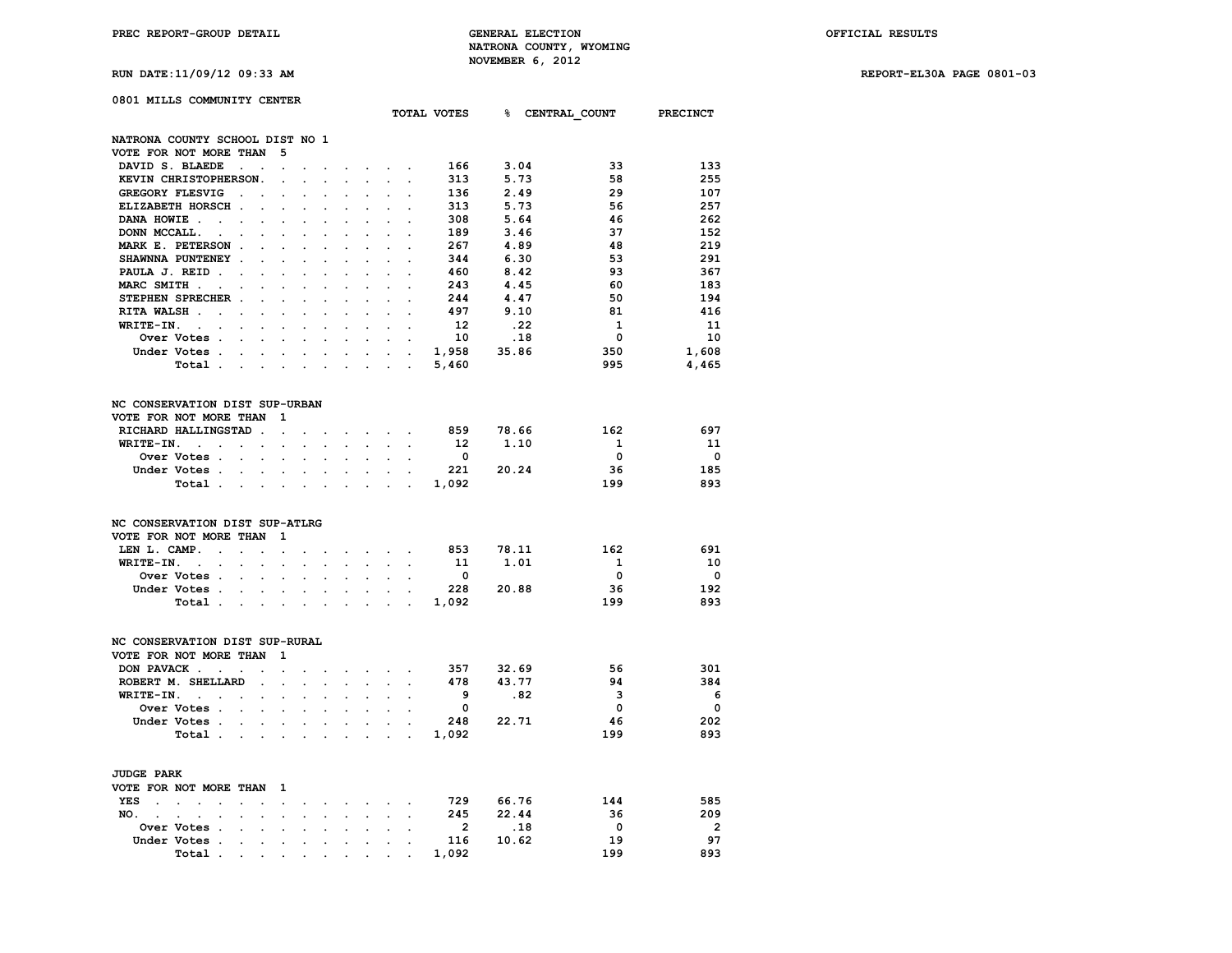## **0801 MILLS COMMUNITY CENTER**

|                                 |                                                                      |                                     |                                              |                      |                      |                      |                      |                      |                              |                           | TOTAL VOTES              |       | <b>&amp; CENTRAL COUNT</b>     | PRECINCT                 |
|---------------------------------|----------------------------------------------------------------------|-------------------------------------|----------------------------------------------|----------------------|----------------------|----------------------|----------------------|----------------------|------------------------------|---------------------------|--------------------------|-------|--------------------------------|--------------------------|
| NATRONA COUNTY SCHOOL DIST NO 1 |                                                                      |                                     |                                              |                      |                      |                      |                      |                      |                              |                           |                          |       |                                |                          |
| VOTE FOR NOT MORE THAN          |                                                                      |                                     |                                              | 5                    |                      |                      |                      |                      |                              |                           |                          |       |                                |                          |
| DAVID S. BLAEDE                 |                                                                      |                                     |                                              |                      |                      |                      |                      |                      |                              |                           | 166                      | 3.04  | 33                             | 133                      |
|                                 |                                                                      | $\ddot{\phantom{a}}$                | $\ddot{\phantom{a}}$                         | $\ddot{\phantom{0}}$ |                      |                      |                      |                      | $\cdot$                      |                           |                          |       | 58                             |                          |
|                                 | KEVIN CHRISTOPHERSON.                                                |                                     |                                              | $\ddot{\phantom{a}}$ |                      |                      |                      |                      |                              | $\overline{a}$            | 313                      | 5.73  |                                | 255                      |
| GREGORY FLESVIG                 |                                                                      | $\ddot{\phantom{a}}$                | $\overline{a}$                               | $\cdot$              | $\overline{a}$       | $\overline{a}$       |                      |                      | $\overline{a}$               | $\overline{a}$            | 136                      | 2.49  | 29                             | 107                      |
|                                 | ELIZABETH HORSCH.                                                    |                                     |                                              |                      |                      |                      |                      |                      |                              |                           | 313                      | 5.73  | 56                             | 257                      |
| DANA HOWIE.                     | $\sim$ $\sim$                                                        | $\ddot{\phantom{a}}$                | $\ddot{\phantom{a}}$                         |                      |                      |                      |                      |                      |                              | $\cdot$                   | 308                      | 5.64  | 46                             | 262                      |
| DONN MCCALL.                    | $\bullet$                                                            |                                     | $\ddot{\phantom{a}}$                         |                      |                      |                      |                      |                      |                              |                           | 189                      | 3.46  | 37                             | 152                      |
|                                 | MARK E. PETERSON.                                                    |                                     |                                              |                      |                      |                      |                      |                      |                              |                           | 267                      | 4.89  | 48                             | 219                      |
|                                 | SHAWNNA PUNTENEY .                                                   |                                     |                                              |                      |                      |                      |                      |                      |                              | $\cdot$                   | 344                      | 6.30  | 53                             | 291                      |
| PAULA J. REID.                  |                                                                      | $\overline{a}$                      | $\ddot{\phantom{a}}$                         | $\ddot{\phantom{0}}$ | $\overline{a}$       |                      | $\ddot{\phantom{0}}$ | $\ddot{\phantom{0}}$ | $\overline{a}$               | $\ddot{\phantom{0}}$      | 460                      | 8.42  | 93                             | 367                      |
| MARC SMITH.                     | $\ddot{\phantom{a}}$                                                 |                                     |                                              |                      |                      |                      |                      |                      |                              |                           | 243                      | 4.45  | 60                             | 183                      |
|                                 | STEPHEN SPRECHER.                                                    |                                     |                                              |                      |                      |                      |                      |                      |                              |                           | 244                      | 4.47  | 50                             | 194                      |
| RITA WALSH.                     | $\overline{a}$                                                       | $\overline{a}$                      | $\mathbf{r}$                                 | $\ddot{\phantom{a}}$ | $\overline{a}$       | $\mathbf{r}$         | $\overline{a}$       | $\overline{a}$       | $\overline{a}$               |                           | 497                      | 9.10  | 81                             | 416                      |
| WRITE-IN.                       | $\sim$ $-$<br>$\ddot{\phantom{0}}$                                   | $\ddot{\phantom{a}}$                | $\overline{a}$                               | $\ddot{\phantom{a}}$ |                      |                      |                      |                      |                              |                           | 12                       | .22   | 1                              | 11                       |
|                                 | Over Votes .                                                         |                                     |                                              |                      |                      |                      |                      |                      |                              | $\overline{a}$            | 10                       | .18   | $\mathbf 0$                    | 10                       |
|                                 | Under Votes.                                                         | $\mathbf{L}$                        | $\mathbf{L}$                                 | $\mathbf{r}$         | $\mathbf{r}$         | $\ddot{\phantom{0}}$ | $\mathbf{r}$         | $\ddot{\phantom{a}}$ |                              | $\mathbf{L} = \mathbf{L}$ | 1,958                    | 35.86 | 350                            | 1,608                    |
|                                 | Total .                                                              | $\ddot{\phantom{0}}$                | $\cdot$                                      | $\ddot{\phantom{0}}$ | $\cdot$              | $\cdot$              | s.                   | $\ddot{\phantom{0}}$ | $\ddot{\phantom{a}}$         | $\cdot$                   | 5,460                    |       | 995                            | 4,465                    |
| NC CONSERVATION DIST SUP-URBAN  |                                                                      |                                     |                                              |                      |                      |                      |                      |                      |                              |                           |                          |       |                                |                          |
| VOTE FOR NOT MORE THAN          |                                                                      |                                     |                                              | 1                    |                      |                      |                      |                      |                              |                           |                          |       |                                |                          |
|                                 | RICHARD HALLINGSTAD.                                                 |                                     |                                              |                      |                      |                      |                      |                      |                              |                           | 859                      | 78.66 | 162                            | 697                      |
|                                 |                                                                      |                                     |                                              | $\ddot{\phantom{a}}$ |                      |                      | $\sim$               | $\sim$               | $\sim$                       | $\sim$                    |                          |       |                                |                          |
| WRITE-IN.                       | $\sim$ $\sim$                                                        | $\sim$                              | $\ddot{\phantom{0}}$                         | $\ddot{\phantom{a}}$ | $\cdot$              | $\ddot{\phantom{0}}$ | $\ddot{\phantom{a}}$ | $\ddot{\phantom{a}}$ | $\ddot{\phantom{a}}$         | $\ddot{\phantom{a}}$      | 12                       | 1.10  | $\mathbf{1}$                   | 11                       |
|                                 | Over Votes .                                                         | $\ddot{\phantom{0}}$                |                                              | $\mathbf{r}$         |                      |                      |                      |                      |                              |                           | $\overline{\mathbf{0}}$  |       | $\mathbf 0$                    | $\overline{\phantom{0}}$ |
|                                 | Under Votes .                                                        | $\ddot{\phantom{0}}$                | $\ddot{\phantom{a}}$                         | $\bullet$            |                      |                      |                      | $\ddot{\phantom{0}}$ | $\ddot{\phantom{a}}$         | $\cdot$                   | 221                      | 20.24 | 36                             | 185                      |
|                                 | Total.                                                               | $\sim 100$ km s $^{-1}$             | $\ddot{\phantom{a}}$                         | $\cdot$              | $\ddot{\phantom{a}}$ |                      |                      |                      |                              | $\ddot{\phantom{a}}$      | 1,092                    |       | 199                            | 893                      |
| NC CONSERVATION DIST SUP-ATLRG  |                                                                      |                                     |                                              |                      |                      |                      |                      |                      |                              |                           |                          |       |                                |                          |
| VOTE FOR NOT MORE THAN          |                                                                      |                                     |                                              | 1                    |                      |                      |                      |                      |                              |                           |                          |       |                                |                          |
| LEN L. CAMP.                    | $\ddot{\phantom{a}}$                                                 | $\ddot{\phantom{0}}$                | $\overline{a}$                               | $\cdot$              |                      | $\cdot$              | $\sim$               | $\ddot{\phantom{0}}$ | $\sim$                       | $\sim$                    | 853                      | 78.11 | 162                            | 691                      |
| WRITE-IN.                       | $\mathcal{L}^{(1)}$                                                  |                                     |                                              |                      |                      |                      |                      | $\mathcal{L}^{(1)}$  |                              |                           | 11                       | 1.01  | $\mathbf{1}$                   | 10                       |
|                                 | $\sim 10^{-11}$<br>Over Votes .                                      | $\bullet$ .<br>$\ddot{\phantom{a}}$ | $\ddot{\phantom{a}}$<br>$\ddot{\phantom{a}}$ | $\ddot{\phantom{0}}$ | $\ddot{\phantom{a}}$ | $\ddot{\phantom{0}}$ | $\ddot{\phantom{a}}$ |                      | $\ddot{\phantom{a}}$         | $\ddot{\phantom{0}}$      | $\overline{\mathbf{0}}$  |       | $\Omega$                       | $\mathbf{o}$             |
|                                 |                                                                      |                                     |                                              | $\ddot{\phantom{a}}$ |                      |                      |                      |                      | $\ddot{\phantom{0}}$         |                           |                          |       |                                |                          |
|                                 | Under Votes .                                                        |                                     |                                              |                      |                      |                      |                      |                      |                              |                           | 228                      | 20.88 | 36                             | 192                      |
|                                 | Total.                                                               | <b>Contract</b>                     | $\ddot{\phantom{a}}$                         | $\mathbf{r}$         | $\cdot$              | $\ddot{\phantom{a}}$ | $\ddot{\phantom{a}}$ | $\ddot{\phantom{0}}$ | $\ddot{\phantom{a}}$         | $\sim$                    | 1,092                    |       | 199                            | 893                      |
| NC CONSERVATION DIST SUP-RURAL  |                                                                      |                                     |                                              |                      |                      |                      |                      |                      |                              |                           |                          |       |                                |                          |
| VOTE FOR NOT MORE THAN          |                                                                      |                                     |                                              | 1                    |                      |                      |                      |                      |                              |                           |                          |       |                                |                          |
|                                 | DON PAVACK                                                           |                                     |                                              |                      |                      |                      |                      | $\cdot$              | $\cdot$                      |                           | 357                      | 32.69 | 56                             | 301                      |
|                                 | ROBERT M. SHELLARD                                                   |                                     |                                              |                      |                      |                      |                      |                      |                              |                           | 478                      | 43.77 | 94                             | 384                      |
| WRITE-IN.                       |                                                                      |                                     | $\ddot{\phantom{a}}$                         |                      |                      |                      |                      | $\sim$               |                              |                           | - 9                      |       | 3<br>.82                       | - 6                      |
|                                 | <b>Contract Contract</b>                                             |                                     | $\cdot$                                      | $\ddot{\phantom{a}}$ | $\overline{a}$       | $\ddot{\phantom{a}}$ |                      | $\ddot{\phantom{0}}$ | $\ddot{\phantom{0}}$         |                           |                          |       |                                |                          |
|                                 | Over Votes.                                                          | $\cdot$                             |                                              |                      |                      |                      |                      |                      |                              |                           | $\overline{\mathbf{0}}$  |       | 0                              | $\overline{\mathbf{0}}$  |
|                                 | Under Votes .                                                        | $\sim$ 100 $\mu$                    | $\sim$                                       | $\ddot{\phantom{0}}$ | $\ddot{\phantom{a}}$ | $\sim$               |                      | $\ddot{\phantom{0}}$ |                              |                           | 248                      | 22.71 | 46                             | 202                      |
|                                 | Total .                                                              | $\sim 100$ km s $^{-1}$             | $\ddot{\phantom{a}}$                         |                      |                      |                      |                      |                      |                              |                           | 1,092                    |       | 199                            | 893                      |
|                                 |                                                                      |                                     |                                              |                      |                      |                      |                      |                      |                              |                           |                          |       |                                |                          |
| <b>JUDGE PARK</b>               |                                                                      |                                     |                                              |                      |                      |                      |                      |                      |                              |                           |                          |       |                                |                          |
| VOTE FOR NOT MORE THAN          |                                                                      |                                     |                                              | 1                    |                      |                      |                      |                      |                              |                           |                          |       |                                |                          |
| YES<br>$\sim$                   | $\sim$<br>$\sim$<br>$\sim$                                           | $\cdot$                             | $\overline{a}$                               | $\ddot{\phantom{0}}$ | $\ddot{\phantom{0}}$ |                      | $\cdot$              |                      | and the contract of the con- |                           | 729 66.76                |       | 144                            | 585                      |
| NO.<br>$\sim$                   | $\ddot{\phantom{a}}$<br>$\ddot{\phantom{a}}$<br>$\ddot{\phantom{0}}$ | $\ddot{\phantom{0}}$                | $\ddot{\phantom{a}}$                         | $\ddot{\phantom{a}}$ | $\ddot{\phantom{0}}$ |                      | $\ddot{\phantom{a}}$ | $\ddot{\phantom{0}}$ | $\sim$                       | $\ddot{\phantom{a}}$      | 245                      | 22.44 | 36                             | 209                      |
|                                 | Over Votes .                                                         |                                     | $\overline{a}$                               |                      |                      |                      |                      |                      |                              |                           | $\overline{\phantom{a}}$ |       | $\overline{\mathbf{0}}$<br>.18 | $\overline{\mathbf{2}}$  |
| Under Votes                     | $\sim$                                                               | $\cdot$                             |                                              | $\ddot{\phantom{a}}$ |                      |                      |                      |                      | $\ddot{\phantom{a}}$         | $\overline{a}$            | 116                      | 10.62 | 19                             | 97                       |
|                                 | Total.                                                               | $\cdot$                             | $\ddot{\phantom{a}}$                         | $\ddot{\phantom{a}}$ | $\ddot{\phantom{0}}$ |                      |                      | $\ddot{\phantom{a}}$ |                              |                           | 1,092                    |       | 199                            | 893                      |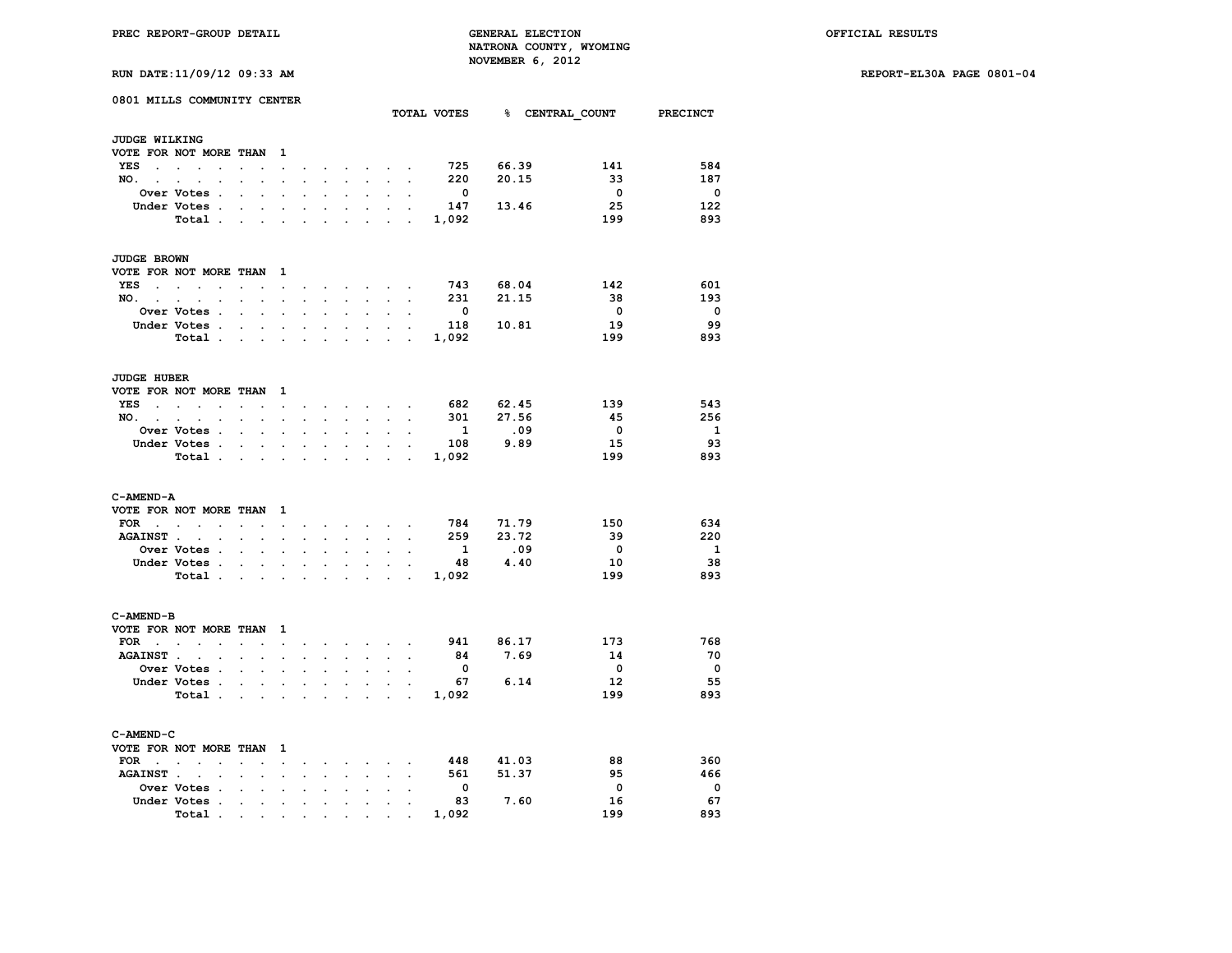**RUN DATE:11/09/12 09:33 AM REPORT-EL30A PAGE 0801-04**

| 0801 MILLS COMMUNITY CENTER<br>TOTAL VOTES 8 CENTRAL COUNT PRECINCT |                                                             |                                         |                          |                      |                      |                                 |                      |                            |                                                                                               |                      |                         |           |                         |                          |
|---------------------------------------------------------------------|-------------------------------------------------------------|-----------------------------------------|--------------------------|----------------------|----------------------|---------------------------------|----------------------|----------------------------|-----------------------------------------------------------------------------------------------|----------------------|-------------------------|-----------|-------------------------|--------------------------|
| <b>JUDGE WILKING</b>                                                |                                                             |                                         |                          |                      |                      |                                 |                      |                            |                                                                                               |                      |                         |           |                         |                          |
|                                                                     | VOTE FOR NOT MORE THAN                                      |                                         |                          | 1                    |                      |                                 |                      |                            |                                                                                               |                      |                         |           |                         |                          |
| YES                                                                 | $\cdot$                                                     |                                         |                          | $\ddot{\phantom{0}}$ |                      |                                 |                      |                            | and a state of the state of the state                                                         |                      | 725                     | 66.39     | 141                     | 584                      |
| $NO.$                                                               | $\sim$                                                      |                                         |                          | $\ddot{\phantom{0}}$ | $\mathbf{r}$         | $\sim$                          | $\sim$               | $\sim$                     | $\sim$                                                                                        | $\cdot$              | 220                     | 20.15     | 33                      | 187                      |
|                                                                     | Over Votes .                                                | $\ddot{\phantom{a}}$                    | $\ddot{\phantom{0}}$     | $\ddot{\phantom{a}}$ | $\ddot{\phantom{a}}$ | $\cdot$                         | $\ddot{\phantom{a}}$ | $\ddot{\phantom{a}}$       |                                                                                               | $\ddot{\phantom{a}}$ | $\overline{\mathbf{0}}$ |           | $\overline{\mathbf{0}}$ | $\overline{\phantom{0}}$ |
|                                                                     | Under Votes .                                               |                                         |                          |                      |                      |                                 |                      | $\cdot$                    | $\ddot{\phantom{0}}$                                                                          |                      | 147                     | 13.46     | 25                      | 122                      |
|                                                                     | Total                                                       |                                         |                          |                      |                      |                                 |                      | $\cdot$                    |                                                                                               | $\sim$               | 1,092                   |           | 199                     | 893                      |
|                                                                     |                                                             |                                         |                          |                      |                      |                                 |                      |                            |                                                                                               |                      |                         |           |                         |                          |
| <b>JUDGE BROWN</b>                                                  |                                                             |                                         |                          |                      |                      |                                 |                      |                            |                                                                                               |                      |                         |           |                         |                          |
|                                                                     | VOTE FOR NOT MORE THAN 1                                    |                                         |                          |                      |                      |                                 |                      |                            |                                                                                               |                      |                         |           |                         |                          |
| YES<br>$\sim$                                                       | $\bullet$<br>$\sim$<br>$\sim$                               |                                         | $\cdot$                  | $\cdot$              |                      | $\sim$                          |                      |                            | $\sim$ $\sim$ $\sim$ $\sim$                                                                   |                      | 743                     | 68.04     | 142                     | 601                      |
| $NO.$ $.$ $.$ $.$                                                   | $\ddot{\phantom{0}}$                                        | $\bullet$                               | $\sim$                   | $\ddot{\phantom{0}}$ | $\bullet$ .          | $\mathcal{L}^{\text{max}}$      | $\sim$               | $\mathcal{L}^{\text{max}}$ | $\sim$                                                                                        | $\ddot{\phantom{0}}$ | 231                     | 21.15     | 38                      | 193                      |
|                                                                     | Over Votes .                                                |                                         | $\overline{a}$           |                      |                      |                                 |                      |                            |                                                                                               |                      | $\overline{\mathbf{0}}$ |           | $\overline{\mathbf{0}}$ | $\overline{\phantom{0}}$ |
|                                                                     | Under Votes.                                                | $\sim 10^{-10}$ and $\sim 10^{-10}$     |                          | $\bullet$            | $\ddot{\phantom{0}}$ | $\ddot{\phantom{0}}$            | $\ddot{\phantom{0}}$ | $\sim$                     |                                                                                               | $\sim$ $ \sim$       | 118                     | 10.81     | 19                      | 99                       |
|                                                                     | Total .                                                     | <b>Contract Contract</b>                |                          | $\bullet$            | $\ddot{\phantom{a}}$ | $\cdot$                         | $\ddot{\phantom{a}}$ | $\ddot{\phantom{a}}$       | $\ddot{\phantom{a}}$                                                                          | $\sim$ $\sim$        | 1,092                   |           | 199                     | 893                      |
| <b>JUDGE HUBER</b>                                                  |                                                             |                                         |                          |                      |                      |                                 |                      |                            |                                                                                               |                      |                         |           |                         |                          |
|                                                                     | VOTE FOR NOT MORE THAN 1                                    |                                         |                          |                      |                      |                                 |                      |                            |                                                                                               |                      |                         |           |                         |                          |
| YES                                                                 | <b>Contract Contract Contract</b><br>$\sim$<br>$\mathbf{r}$ | $\sim$                                  |                          |                      | $\sim$               |                                 |                      |                            |                                                                                               |                      | 682                     | 62.45     | 139                     | 543                      |
|                                                                     |                                                             |                                         | $\ddot{\phantom{a}}$     | $\sim$ $\sim$        |                      |                                 |                      |                            | $\mathbf{r} = \mathbf{r}$ , $\mathbf{r} = \mathbf{r}$ , $\mathbf{r} = \mathbf{r}$             |                      | 301                     | 27.56     | - 45                    | 256                      |
| $NO.$ $.$                                                           | $\sim$<br>$\bullet$<br>Over Votes .                         | $\bullet$ .<br><br><br><br><br><br><br> | $\bullet$                | $\sim$               | $\ddot{\phantom{0}}$ | $\sim$                          | $\sim$               |                            | $\bullet$ . In the case of the $\sim$                                                         | $\bullet$            |                         | .09       | $\overline{\mathbf{0}}$ | $\overline{\mathbf{1}}$  |
|                                                                     |                                                             |                                         |                          |                      |                      |                                 |                      |                            |                                                                                               |                      | $\mathbf{1}$            | 9.89      | 15                      | - 93                     |
|                                                                     | Under Votes                                                 |                                         |                          | $\ddot{\phantom{0}}$ | $\bullet$            | $\sim$                          | $\ddot{\phantom{0}}$ | $\bullet$                  | $\ddot{\phantom{a}}$                                                                          | $\sim$               | 108                     |           | 199                     | 893                      |
|                                                                     | Total                                                       |                                         |                          |                      |                      | $\cdot$ $\cdot$ $\cdot$ $\cdot$ |                      |                            | $\mathcal{L}^{\text{max}}$ and $\mathcal{L}^{\text{max}}$                                     | $\mathbf{r}$ .       | 1,092                   |           |                         |                          |
| C-AMEND-A                                                           |                                                             |                                         |                          |                      |                      |                                 |                      |                            |                                                                                               |                      |                         |           |                         |                          |
|                                                                     | VOTE FOR NOT MORE THAN                                      |                                         |                          | $\mathbf{1}$         |                      |                                 |                      |                            |                                                                                               |                      |                         |           |                         |                          |
| FOR<br><b>Contract Contract Contract</b>                            | $\sim$ $\sim$ $\sim$                                        | $\ddot{\phantom{a}}$                    | $\sim$                   | $\sim$ $\sim$        | $\ddot{\phantom{a}}$ |                                 |                      |                            | and a strategic control of                                                                    |                      | 784                     | 71.79     | 150                     | 634                      |
| <b>AGAINST .</b>                                                    | $\mathbf{r}$<br>$\mathbf{r}$                                | $\ddot{\phantom{a}}$                    | $\overline{a}$           | $\overline{a}$       |                      | $\sim$                          |                      | $\sim$                     | $\sim$                                                                                        |                      | 259                     | 23.72     | - 39                    | 220                      |
|                                                                     | <b>Over Votes .</b>                                         | $\ddot{\phantom{0}}$                    | $\ddot{\phantom{a}}$     |                      |                      |                                 |                      |                            |                                                                                               |                      | $\mathbf{1}$            | .09       | $\overline{\mathbf{0}}$ | $\mathbf{1}$             |
|                                                                     | Under Votes.                                                | $\ddot{\phantom{0}}$                    | $\sim$                   | $\sim$ $\sim$        | $\bullet$            | $\bullet$                       | $\bullet$            | $\ddot{\phantom{0}}$       | $\bullet$                                                                                     | $\ddot{\phantom{a}}$ | 48                      | 4.40      | 10                      | - 38                     |
|                                                                     | Total                                                       |                                         |                          |                      | $\ddot{\phantom{a}}$ | $\mathcal{L}^{\text{max}}$      | $\cdot$              |                            | $\sim$ $\sim$ $\sim$ $\sim$                                                                   |                      | 1,092                   |           | 199                     | 893                      |
| C-AMEND-B                                                           |                                                             |                                         |                          |                      |                      |                                 |                      |                            |                                                                                               |                      |                         |           |                         |                          |
|                                                                     | VOTE FOR NOT MORE THAN                                      |                                         |                          | - 1                  |                      |                                 |                      |                            |                                                                                               |                      |                         |           |                         |                          |
|                                                                     | $\text{FOR}$                                                | $\sim$                                  |                          | $\sim$ $\sim$        | $\ddot{\phantom{0}}$ |                                 |                      |                            | $\mathbf{r} = \mathbf{r} \cdot \mathbf{r}$ , where $\mathbf{r} = \mathbf{r} \cdot \mathbf{r}$ |                      |                         | 941 86.17 | 173                     | 768                      |
| <b>AGAINST</b> .                                                    | $\sim$<br>$\ddot{\phantom{0}}$                              | $\sim$                                  | $\ddot{\phantom{0}}$     | $\ddot{\phantom{0}}$ | $\ddot{\phantom{0}}$ | $\sim$                          | $\ddot{\phantom{0}}$ | $\sim$                     | $\ddot{\phantom{0}}$                                                                          | $\sim$               | 84                      | 7.69      | 14                      | 70                       |
|                                                                     | <b>Over Votes .</b>                                         | $\ddot{\phantom{0}}$                    | $\sim$                   | $\bullet$            | $\ddot{\phantom{a}}$ | $\ddot{\phantom{0}}$            | $\ddot{\phantom{a}}$ | $\ddot{\phantom{a}}$       | $\ddot{\phantom{0}}$                                                                          | $\ddot{\phantom{a}}$ | $\overline{\mathbf{0}}$ |           | $\overline{\mathbf{0}}$ | - 0                      |
|                                                                     | Under Votes .                                               |                                         | <b>Contract Contract</b> | $\mathbf{r}$         | $\mathbf{r}$         | $\mathbf{r}$                    | $\mathbf{r}$         |                            | $\mathbf{r} = \mathbf{r}$                                                                     |                      | 67                      | 6.14      | 12                      | -55                      |
|                                                                     | Total                                                       |                                         |                          | $\bullet$            | $\bullet$            | $\sim$                          | $\ddot{\phantom{a}}$ |                            | $\cdot$ $\cdot$ $\cdot$                                                                       |                      | 1,092                   |           | 199                     | 893                      |
|                                                                     |                                                             |                                         |                          |                      |                      |                                 |                      |                            |                                                                                               |                      |                         |           |                         |                          |
| C-AMEND-C                                                           |                                                             |                                         |                          |                      |                      |                                 |                      |                            |                                                                                               |                      |                         |           |                         |                          |
|                                                                     | VOTE FOR NOT MORE THAN 1                                    |                                         |                          |                      |                      |                                 |                      |                            |                                                                                               |                      |                         |           |                         |                          |
| $FOR \qquad .$                                                      | $\ddot{\phantom{a}}$<br>$\cdot$                             |                                         |                          | $\ddot{\phantom{a}}$ |                      |                                 |                      | $\ddot{\phantom{0}}$       | $\ddot{\phantom{a}}$                                                                          |                      | 448                     | 41.03     | 88                      | 360                      |
| <b>AGAINST</b> .                                                    | $\sim$                                                      |                                         | $\ddot{\phantom{a}}$     | $\ddot{\phantom{a}}$ |                      |                                 |                      | $\sim$                     |                                                                                               |                      | 561                     | 51.37     | 95                      | 466                      |
|                                                                     | Over Votes .                                                |                                         | $\ddot{\phantom{0}}$     | $\ddot{\phantom{0}}$ | $\overline{a}$       |                                 |                      | $\bullet$                  |                                                                                               |                      | $\overline{\mathbf{0}}$ |           | $\mathbf{0}$            | $\overline{\phantom{0}}$ |
|                                                                     | Under Votes .                                               | $\sim$                                  | $\bullet$                | $\ddot{\phantom{0}}$ | $\ddot{\phantom{0}}$ | $\ddot{\phantom{0}}$            | $\ddot{\phantom{a}}$ | $\cdot$                    | $\cdot$                                                                                       | $\ddot{\phantom{0}}$ | 83                      | 7.60      | 16                      | 67                       |
|                                                                     | Total.                                                      | the contract of the con-                |                          |                      |                      | <b>All Contracts</b>            |                      |                            |                                                                                               |                      | 1,092                   |           | 199                     | 893                      |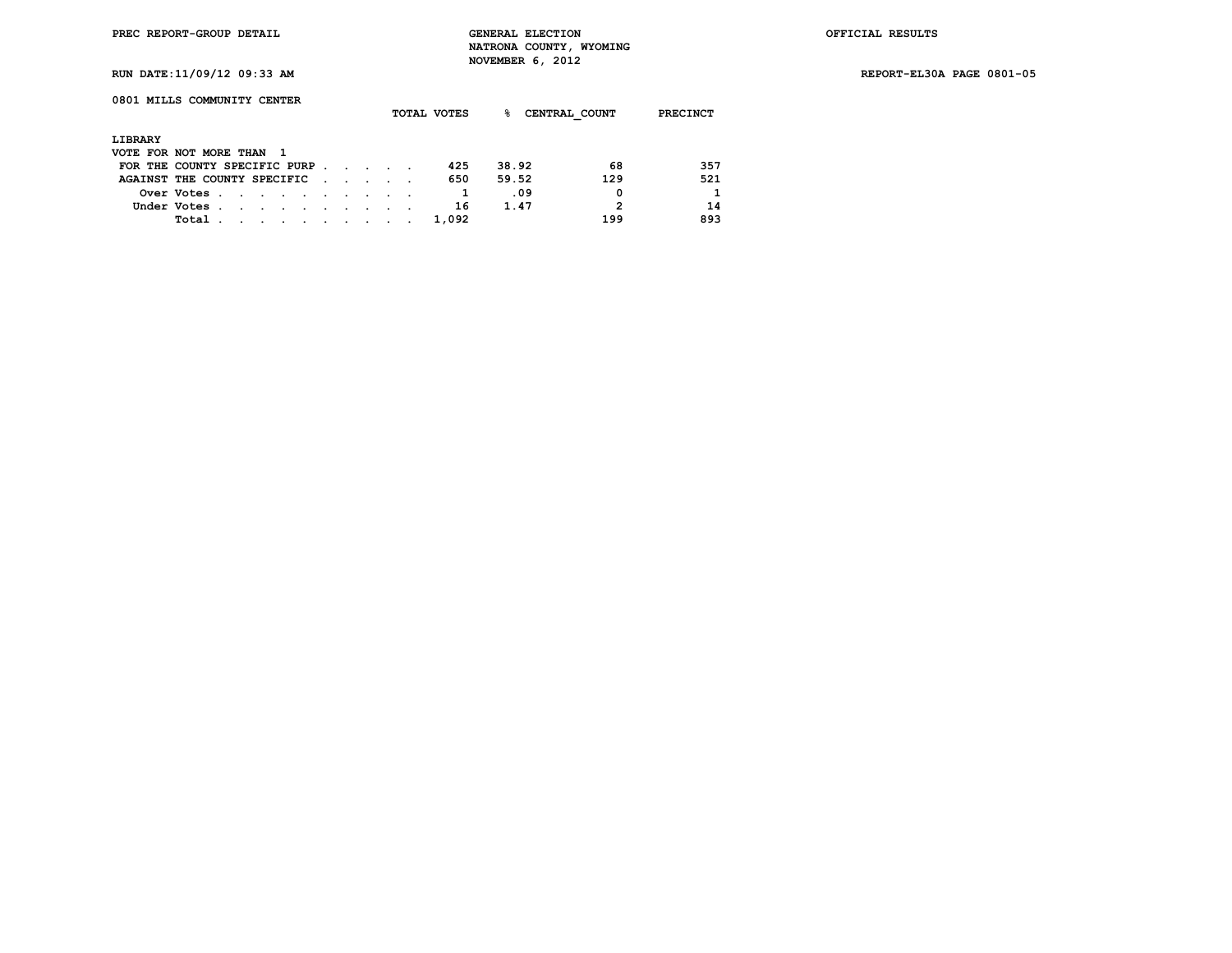**RUN DATE:11/09/12 09:33 AM REPORT-EL30A PAGE 0801-05**

## **0801 MILLS COMMUNITY CENTER**

|                          |                              |  |                          |  |  |                                                                                                                 | TOTAL VOTES | ℁     |      | CENTRAL COUNT | <b>PRECINCT</b> |  |
|--------------------------|------------------------------|--|--------------------------|--|--|-----------------------------------------------------------------------------------------------------------------|-------------|-------|------|---------------|-----------------|--|
|                          |                              |  |                          |  |  |                                                                                                                 |             |       |      |               |                 |  |
| LIBRARY                  |                              |  |                          |  |  |                                                                                                                 |             |       |      |               |                 |  |
| VOTE FOR NOT MORE THAN 1 |                              |  |                          |  |  |                                                                                                                 |             |       |      |               |                 |  |
|                          | FOR THE COUNTY SPECIFIC PURP |  |                          |  |  |                                                                                                                 | 425         | 38.92 |      | 68            | 357             |  |
|                          | AGAINST THE COUNTY SPECIFIC  |  |                          |  |  |                                                                                                                 | 650         | 59.52 |      | 129           | 521             |  |
|                          | Over Votes.                  |  |                          |  |  |                                                                                                                 |             |       | .09  | 0             | 1               |  |
|                          | Under Votes.                 |  |                          |  |  |                                                                                                                 | 16          |       | 1.47 | 2             | 14              |  |
|                          | Total                        |  | <b>Contract Contract</b> |  |  | the contract of the contract of the contract of the contract of the contract of the contract of the contract of | 1,092       |       |      | 199           | 893             |  |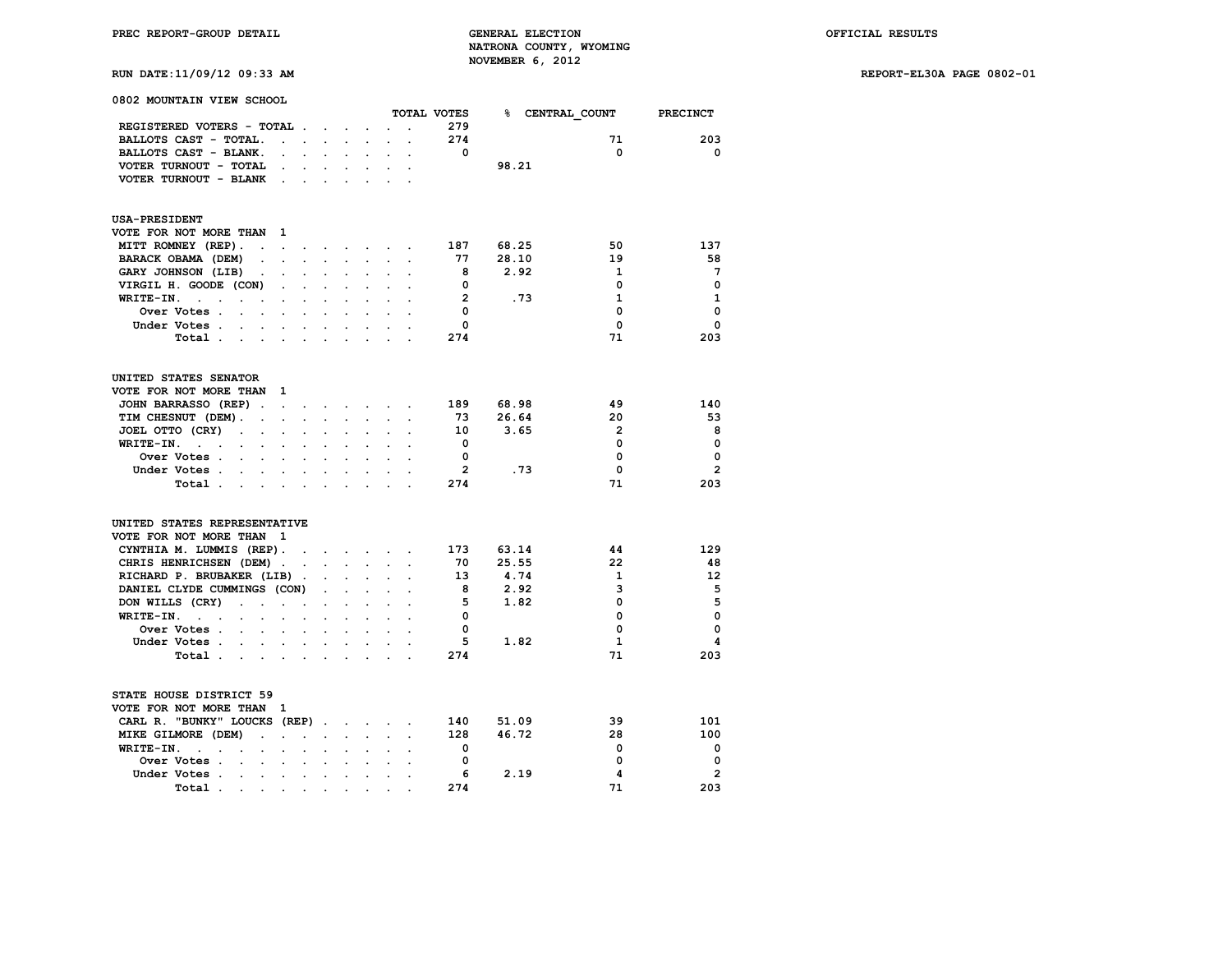**RUN DATE:11/09/12 09:33 AM REPORT-EL30A PAGE 0802-01**

| 0802 MOUNTAIN VIEW SCHOOL                                                                                              |                      |                           |                             |                      |                                             |        |                      | TOTAL VOTES              |       |      |                          |                  |
|------------------------------------------------------------------------------------------------------------------------|----------------------|---------------------------|-----------------------------|----------------------|---------------------------------------------|--------|----------------------|--------------------------|-------|------|--------------------------|------------------|
| REGISTERED VOTERS - TOTAL                                                                                              |                      |                           |                             |                      |                                             |        | $\cdot$              | 279                      |       |      | % CENTRAL COUNT PRECINCT |                  |
| BALLOTS CAST - TOTAL.                                                                                                  | $\sim$               | $\sim$                    |                             |                      |                                             |        |                      | 274                      |       |      | 71                       | 203              |
|                                                                                                                        |                      |                           | $\mathcal{L}^{\mathcal{L}}$ |                      |                                             |        |                      | $\mathbf 0$              |       |      | $\mathbf 0$              | 0                |
| BALLOTS CAST - BLANK.                                                                                                  | $\ddot{\phantom{a}}$ |                           | $\ddot{\phantom{0}}$        | $\ddot{\phantom{a}}$ |                                             |        | $\ddot{\phantom{a}}$ |                          |       |      |                          |                  |
| VOTER TURNOUT - TOTAL                                                                                                  |                      |                           |                             |                      |                                             |        |                      |                          | 98.21 |      |                          |                  |
| VOTER TURNOUT - BLANK.                                                                                                 |                      |                           |                             |                      |                                             |        |                      |                          |       |      |                          |                  |
| <b>USA-PRESIDENT</b>                                                                                                   |                      |                           |                             |                      |                                             |        |                      |                          |       |      |                          |                  |
| VOTE FOR NOT MORE THAN                                                                                                 | $\mathbf{1}$         |                           |                             |                      |                                             |        |                      |                          |       |      |                          |                  |
| MITT ROMNEY (REP).                                                                                                     |                      |                           |                             |                      | and a series of the series of the series of |        |                      | 187                      | 68.25 |      | 50                       | 137              |
| BARACK OBAMA (DEM)                                                                                                     |                      | $\mathbf{r} = \mathbf{r}$ | $\mathcal{L}^{\text{max}}$  |                      |                                             |        |                      | 77                       | 28.10 |      | 19                       | 58               |
| GARY JOHNSON (LIB)<br>$\sim$                                                                                           | $\sim$               |                           |                             |                      |                                             |        |                      | 8                        | 2.92  |      | 1                        | 7                |
| VIRGIL H. GOODE (CON)                                                                                                  |                      |                           |                             |                      |                                             |        |                      | 0                        |       |      | 0                        | $\Omega$         |
| WRITE-IN.                                                                                                              |                      |                           |                             |                      |                                             |        |                      | $\overline{2}$           |       | .73  | $\mathbf{1}$             | 1                |
| Over Votes.<br>$\sim$                                                                                                  | $\sim$               | $\sim$                    |                             |                      |                                             |        |                      | $\Omega$                 |       |      | $\Omega$                 | $\Omega$         |
| Under Votes.                                                                                                           |                      |                           |                             |                      |                                             |        |                      | $\mathbf 0$              |       |      | $\mathbf 0$              | $\mathbf 0$      |
| <b>Contract</b>                                                                                                        |                      |                           |                             |                      |                                             |        |                      |                          |       |      |                          |                  |
| Total<br>$\sim$                                                                                                        | $\ddot{\phantom{a}}$ | $\cdot$                   |                             |                      |                                             |        |                      | 274                      |       |      | 71                       | 203              |
| UNITED STATES SENATOR                                                                                                  |                      |                           |                             |                      |                                             |        |                      |                          |       |      |                          |                  |
| VOTE FOR NOT MORE THAN 1                                                                                               |                      |                           |                             |                      |                                             |        |                      |                          |       |      |                          |                  |
| JOHN BARRASSO (REP)                                                                                                    |                      |                           |                             |                      |                                             |        |                      | 189                      | 68.98 |      | 49                       | 140              |
| TIM CHESNUT (DEM).<br>$\sim$                                                                                           | $\sim$               |                           |                             |                      |                                             |        |                      | 73                       | 26.64 |      | 20                       | 53               |
| JOEL OTTO (CRY)<br>$\sim$<br>$\sim$                                                                                    | $\ddot{\phantom{0}}$ | $\blacksquare$            |                             | $\ddot{\phantom{a}}$ |                                             |        |                      | 10                       | 3.65  |      | $\overline{2}$           | 8                |
| WRITE-IN.<br>$\sim$ $\sim$                                                                                             |                      |                           |                             |                      |                                             |        |                      | $\overline{\phantom{0}}$ |       |      | 0                        | 0                |
| Over Votes                                                                                                             |                      |                           |                             |                      |                                             |        |                      | 0                        |       |      | 0                        | 0                |
| Under Votes<br>$\sim$                                                                                                  |                      |                           |                             |                      |                                             |        |                      | $\overline{2}$           |       | .73  | 0                        | $\overline{2}$   |
| Total                                                                                                                  |                      |                           |                             |                      |                                             |        |                      | 274                      |       |      | 71                       | 203              |
| UNITED STATES REPRESENTATIVE                                                                                           |                      |                           |                             |                      |                                             |        |                      |                          |       |      |                          |                  |
| VOTE FOR NOT MORE THAN                                                                                                 | $\mathbf{1}$         |                           |                             |                      |                                             |        |                      |                          |       |      |                          |                  |
| CYNTHIA M. LUMMIS (REP).                                                                                               |                      |                           |                             |                      | the contract of the contract of the         | $\sim$ |                      | 173                      | 63.14 |      | 44                       | 129              |
| CHRIS HENRICHSEN (DEM).                                                                                                |                      | $\sim$                    |                             |                      | and the state of the state of               |        | $\ddot{\phantom{a}}$ | 70                       | 25.55 |      | 22                       | 48               |
| RICHARD P. BRUBAKER (LIB).                                                                                             |                      |                           |                             |                      |                                             |        |                      | 13                       | 4.74  |      | 1                        | 12               |
| DANIEL CLYDE CUMMINGS (CON)                                                                                            |                      |                           | $\ddot{\phantom{a}}$        | $\mathbf{r}$         | $\sim$                                      |        |                      | 8                        | 2.92  |      | 3                        | 5                |
| DON WILLS (CRY)<br>$\sim$<br>$\sim$                                                                                    | $\sim$               |                           |                             | $\mathbf{r}$         |                                             |        |                      | 5                        | 1.82  |      | $\Omega$                 | 5                |
| WRITE-IN.<br>$\mathbf{a}^{\prime}$ , $\mathbf{a}^{\prime}$ , $\mathbf{a}^{\prime}$ , $\mathbf{a}^{\prime}$ ,<br>$\sim$ | $\sim 10^{-11}$      | $\ddot{\phantom{a}}$      | $\ddot{\phantom{a}}$        | $\ddot{\phantom{a}}$ | $\cdot$                                     |        |                      | 0                        |       |      | 0                        | $\Omega$         |
|                                                                                                                        |                      |                           |                             |                      |                                             |        |                      |                          |       |      |                          |                  |
|                                                                                                                        |                      |                           |                             |                      |                                             |        |                      |                          |       |      |                          |                  |
| Total<br>the contract of the con-                                                                                      |                      |                           | $\sim$                      | $\ddot{\phantom{a}}$ |                                             |        |                      | 274                      |       |      | 71                       | 203              |
| Over Votes.<br>Under Votes<br>$\sim$ $\sim$ $\sim$ $\sim$<br>STATE HOUSE DISTRICT 59                                   |                      |                           |                             |                      |                                             |        |                      | 0<br>5                   |       | 1.82 | 0<br>1                   | $\mathbf 0$<br>4 |
| VOTE FOR NOT MORE THAN 1                                                                                               |                      |                           |                             |                      |                                             |        |                      |                          |       |      |                          |                  |
| CARL R. "BUNKY" LOUCKS (REP)                                                                                           |                      |                           |                             |                      |                                             |        |                      | 140                      | 51.09 |      | 39                       | 101              |
| MIKE GILMORE (DEM)                                                                                                     | $\ddot{\phantom{0}}$ |                           |                             |                      |                                             |        |                      | 128                      | 46.72 |      | 28                       | 100              |
| WRITE-IN.<br>$\ddot{\phantom{a}}$<br>$\sim$<br>$\ddot{\phantom{a}}$                                                    | $\sim$               | $\ddot{\phantom{a}}$      | $\ddot{\phantom{a}}$        | $\cdot$              | $\ddot{\phantom{a}}$                        |        |                      | 0                        |       |      | 0                        | 0                |
| Over Votes.<br>$\sim$<br>$\ddot{\phantom{a}}$                                                                          | $\cdot$              |                           |                             |                      |                                             |        |                      | 0                        |       |      | 0                        | 0                |
| Under Votes.<br>the company of the company                                                                             |                      |                           |                             |                      |                                             |        |                      | 6                        |       | 2.19 | 4                        | $\mathbf{2}$     |

 **Total . . . . . . . . . . 274 71 203**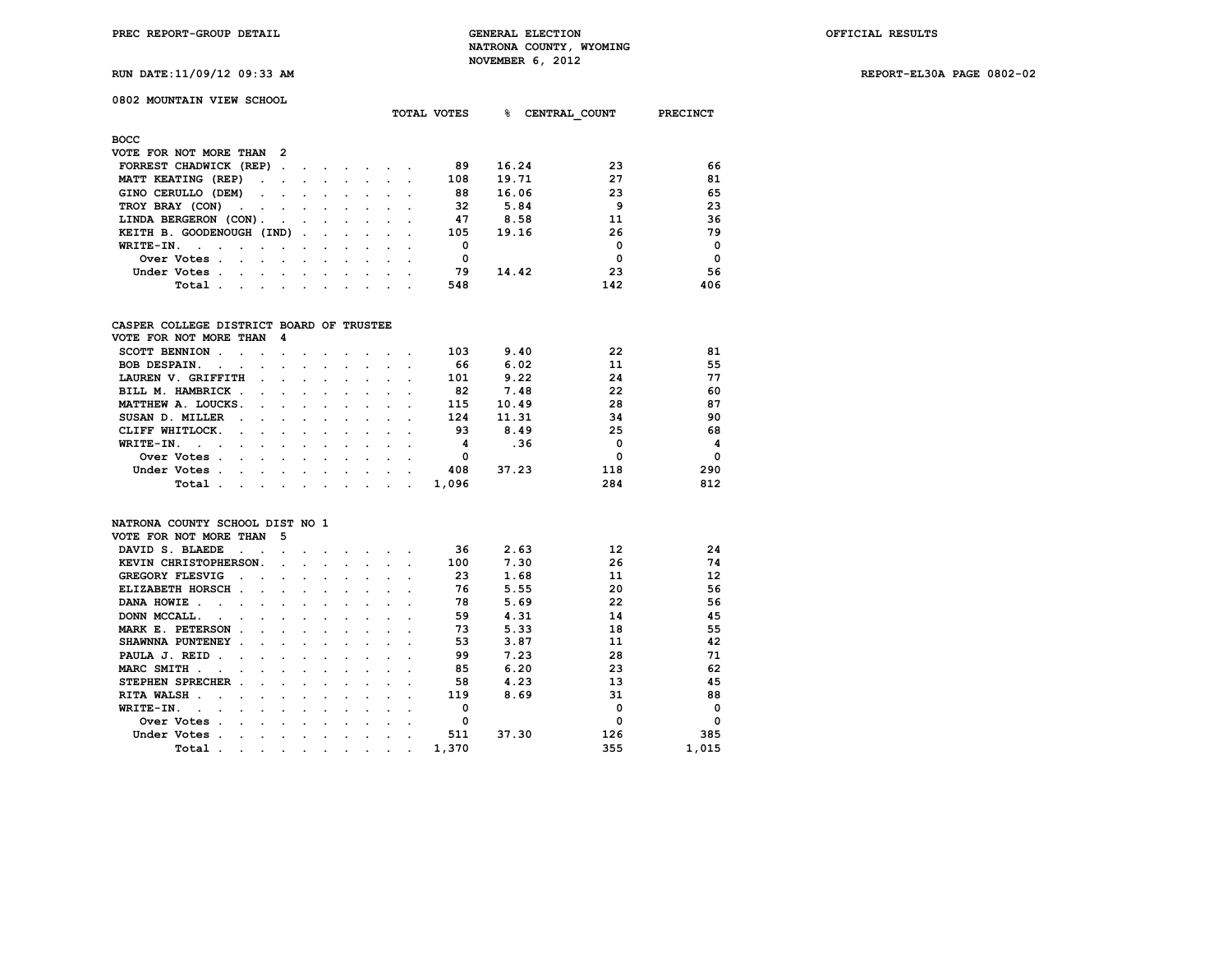**RUN DATE:11/09/12 09:33 AM REPORT-EL30A PAGE 0802-02**

## **0802 MOUNTAIN VIEW SCHOOL**

|                                                              |        |         | <b>TOTAL VOTES</b>              |  | ୫ | CENTRAL COUNT | <b>PRECINCT</b> |     |          |
|--------------------------------------------------------------|--------|---------|---------------------------------|--|---|---------------|-----------------|-----|----------|
| <b>BOCC</b>                                                  |        |         |                                 |  |   |               |                 |     |          |
| VOTE FOR NOT MORE THAN<br>- 2                                |        |         |                                 |  |   |               |                 |     |          |
| FORREST CHADWICK (REP).                                      |        |         |                                 |  |   | 89            | 16.24           | 23  | 66       |
| MATT KEATING (REP)<br>$\sim$ $\sim$                          |        |         |                                 |  |   | 108           | 19.71           | 27  | 81       |
| GINO CERULLO (DEM)<br>$\ddot{\phantom{0}}$<br>$\sim$         |        |         | $\cdot$                         |  |   | 88            | 16.06           | 23  | 65       |
| TROY BRAY (CON)<br><b>Contract Contract Street</b><br>$\sim$ |        | $\cdot$ | $\bullet$                       |  |   | 32            | 5.84            | 9   | 23       |
| LINDA BERGERON (CON).<br>$\sim$                              |        |         | $\cdot$                         |  |   | 47            | 8.58            | 11  | 36       |
| KEITH B. GOODENOUGH (IND).                                   |        |         | <b>Contract Contract Street</b> |  |   | 105           | 19.16           | 26  | 79       |
| WRITE-IN.<br>$\sim$                                          |        |         |                                 |  |   | 0             |                 | 0   | $\Omega$ |
| Over Votes.<br>$\sim$<br>$\cdot$                             |        |         |                                 |  |   | 0             |                 | 0   | $\Omega$ |
| Under Votes.<br>$\sim$                                       | $\sim$ |         |                                 |  |   | 79            | 14.42           | 23  | 56       |
| Total                                                        |        |         |                                 |  |   | 548           |                 | 142 | 406      |

### **CASPER COLLEGE DISTRICT BOARD OF TRUSTEE**

| VOTE FOR NOT MORE THAN 4                                                                                                 |                      |                                                                                                                 |                                                                                                                 |        |         |       |       |     |          |
|--------------------------------------------------------------------------------------------------------------------------|----------------------|-----------------------------------------------------------------------------------------------------------------|-----------------------------------------------------------------------------------------------------------------|--------|---------|-------|-------|-----|----------|
| SCOTT BENNION.                                                                                                           |                      |                                                                                                                 |                                                                                                                 |        |         | 103   | 9.40  | 22  | 81       |
| <b>BOB DESPAIN.</b><br>$\sim 10^{-11}$                                                                                   | $\sim$ $\sim$ $\sim$ |                                                                                                                 |                                                                                                                 |        |         | 66    | 6.02  | 11  | 55       |
| LAUREN V. GRIFFITH                                                                                                       |                      | $\ddot{\phantom{a}}$                                                                                            |                                                                                                                 |        |         | 101   | 9.22  | 24  | 77       |
| BILL M. HAMBRICK.<br>$\sim$ $\sim$                                                                                       |                      | and the state of the state of the state of the state of the state of the state of the state of the state of the |                                                                                                                 | $\sim$ |         | 82    | 7.48  | 22  | 60       |
| MATTHEW A. LOUCKS.                                                                                                       |                      |                                                                                                                 |                                                                                                                 |        |         | 115   | 10.49 | 28  | 87       |
| SUSAN D. MILLER<br>$\sim$<br>the contract of the contract of the                                                         |                      |                                                                                                                 |                                                                                                                 |        |         | 124   | 11.31 | 34  | 90       |
| CLIFF WHITLOCK.<br>$\sim$ $\sim$ $\sim$                                                                                  |                      |                                                                                                                 |                                                                                                                 |        |         | 93    | 8.49  | 25  | 68       |
| WRITE-IN.                                                                                                                |                      |                                                                                                                 |                                                                                                                 |        |         | 4     | .36   | 0   | 4        |
| Over Votes.<br>$\sim$                                                                                                    | $\sim$ $\sim$        |                                                                                                                 |                                                                                                                 |        |         | 0     |       | 0   | $\Omega$ |
| Under Votes.                                                                                                             | $\sim$ $\sim$ $\sim$ |                                                                                                                 | the contract of the contract of the contract of the contract of the contract of the contract of the contract of |        |         | 408   | 37.23 | 118 | 290      |
| Total<br>the contract of the contract of the contract of the contract of the contract of the contract of the contract of |                      |                                                                                                                 |                                                                                                                 |        | $\cdot$ | 1,096 |       | 284 | 812      |

#### **NATRONA COUNTY SCHOOL DIST NO 1**

| VOTE FOR NOT MORE THAN                                                  | 5       |   |           |         |   |           |       |       |             |          |
|-------------------------------------------------------------------------|---------|---|-----------|---------|---|-----------|-------|-------|-------------|----------|
| DAVID S. BLAEDE                                                         |         |   |           |         |   |           | 36    | 2.63  | 12          | 24       |
| KEVIN CHRISTOPHERSON.                                                   |         |   |           |         |   |           | 100   | 7.30  | 26          | 74       |
| GREGORY FLESVIG                                                         |         |   |           |         |   |           | 23    | 1.68  | 11          | 12       |
| <b>ELIZABETH HORSCH</b><br>$\ddot{\phantom{a}}$<br>$\ddot{\phantom{a}}$ |         |   |           |         |   |           | 76    | 5.55  | 20          | 56       |
| DANA HOWIE.                                                             |         |   |           |         |   |           | 78    | 5.69  | 22          | 56       |
| DONN MCCALL.                                                            |         |   |           |         |   |           | 59    | 4.31  | 14          | 45       |
| MARK E. PETERSON                                                        |         |   |           |         |   |           | 73    | 5.33  | 18          | 55       |
| SHAWNNA PUNTENEY<br>$\ddot{\phantom{a}}$                                |         |   |           |         |   |           | 53    | 3.87  | 11          | 42       |
| PAULA J. REID<br>n.                                                     |         |   |           |         |   |           | 99    | 7.23  | 28          | 71       |
| MARC SMITH .                                                            |         |   |           |         |   |           | 85    | 6.20  | 23          | 62       |
| STEPHEN SPRECHER                                                        |         |   |           |         |   |           | 58    | 4.23  | 13          | 45       |
| RITA WALSH.                                                             |         |   |           |         |   |           | 119   | 8.69  | 31          | 88       |
| WRITE-IN.                                                               |         |   |           |         |   |           |       |       | $\mathbf 0$ | $\Omega$ |
| Over Votes                                                              |         |   |           |         |   |           | O     |       | $\Omega$    | $\Omega$ |
| Under Votes                                                             |         |   |           |         |   |           | 511   | 37.30 | 126         | 385      |
| Total<br>$\cdot$                                                        | $\cdot$ | ٠ | $\bullet$ | $\cdot$ | ٠ | $\bullet$ | 1,370 |       | 355         | 1,015    |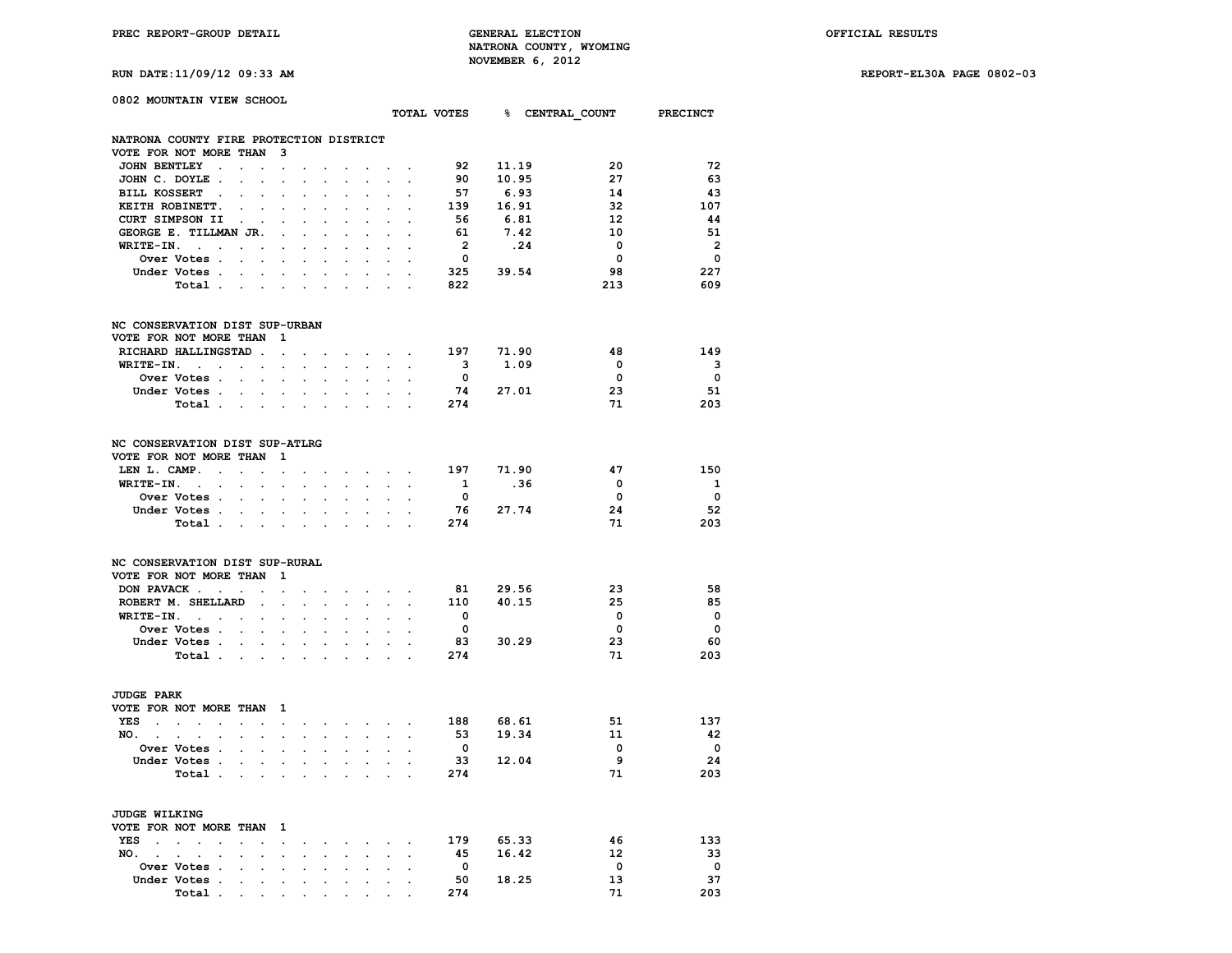**PREC REPORT-GROUP DETAIL GENERAL ELECTION OFFICIAL RESULTS NATRONA COUNTY, WYOMING RUN DATE:11/09/12 09:33 AM NOVEMBER 6, 2012** 

**RUN DATE:11/09/12 09:33 AM REPORT-EL30A PAGE 0802-03**

|  |  | RUN DAIE.11/09/12 09.33 AF |  |
|--|--|----------------------------|--|
|  |  |                            |  |

| 0802 MOUNTAIN VIEW SCHOOL                                                    |                                |                                      |                      |                                              |                      |                                                                                                                 |                                     |                                                       |                         |          |       |                                      |                          |
|------------------------------------------------------------------------------|--------------------------------|--------------------------------------|----------------------|----------------------------------------------|----------------------|-----------------------------------------------------------------------------------------------------------------|-------------------------------------|-------------------------------------------------------|-------------------------|----------|-------|--------------------------------------|--------------------------|
|                                                                              |                                |                                      |                      |                                              |                      |                                                                                                                 |                                     |                                                       |                         |          |       | TOTAL VOTES 8 CENTRAL COUNT PRECINCT |                          |
| NATRONA COUNTY FIRE PROTECTION DISTRICT                                      |                                |                                      |                      |                                              |                      |                                                                                                                 |                                     |                                                       |                         |          |       |                                      |                          |
| VOTE FOR NOT MORE THAN 3                                                     |                                |                                      |                      |                                              |                      |                                                                                                                 |                                     |                                                       |                         |          |       |                                      |                          |
| JOHN BENTLEY.                                                                | $\mathbf{L}$                   | $\sim$ $\sim$                        |                      | $\sim$ $\sim$ $\sim$                         |                      | and the state of the state of the                                                                               |                                     |                                                       | 92                      | 11.19    |       | -20                                  | - 72                     |
| JOHN C. DOYLE.                                                               | $\sim$                         | $\sim$<br>$\ddot{\phantom{a}}$       | $\ddot{\phantom{a}}$ | $\ddot{\phantom{0}}$                         | $\sim$               | $\sim$                                                                                                          | $\sim$                              | $\ddot{\phantom{a}}$                                  | 90                      |          | 10.95 | 27                                   | 63                       |
| BILL KOSSERT .                                                               | $\sim$                         | $\sim$<br>$\ddot{\phantom{a}}$       | $\ddot{\phantom{a}}$ |                                              | $\sim$               |                                                                                                                 |                                     |                                                       | 57                      |          | 6.93  | 14                                   | -43                      |
| KEITH ROBINETT.                                                              | $\sim$<br>$\ddot{\phantom{a}}$ | $\ddot{\phantom{a}}$                 |                      |                                              | $\sim$               | $\ddot{\phantom{0}}$                                                                                            |                                     |                                                       | 139                     | 16.91    |       | 32                                   | 107                      |
| CURT SIMPSON II                                                              | $\sim$ $\sim$ $\sim$           | $\sim$                               | $\sim$               |                                              | $\sim$ $\sim$ $\sim$ | $\sim$                                                                                                          |                                     |                                                       | 56                      | 6.81     |       | - 12                                 | 44                       |
| GEORGE E. TILLMAN JR.                                                        |                                | $\sim$                               |                      | $\ddot{\phantom{a}}$                         | $\mathbf{r}$         | $\ddot{\phantom{a}}$                                                                                            | $\ddot{\phantom{0}}$                |                                                       | 61                      |          | 7.42  | 10                                   | 51                       |
| $WRITE-IN.$                                                                  |                                |                                      |                      |                                              | $\sim$               |                                                                                                                 |                                     | $\sim$                                                | $\overline{\mathbf{2}}$ |          | .24   | $\overline{\mathbf{0}}$              | $\overline{\phantom{a}}$ |
| Over Votes                                                                   |                                | $\sim$                               |                      |                                              |                      |                                                                                                                 | $\ddot{\phantom{0}}$                |                                                       | $\overline{\mathbf{0}}$ |          |       | $\overline{\mathbf{0}}$              | $\overline{\phantom{0}}$ |
| Under Votes                                                                  |                                |                                      |                      |                                              |                      |                                                                                                                 |                                     |                                                       | 325 39.54               |          |       | 98                                   | 227                      |
| Total                                                                        |                                |                                      | $\sim$               | $\sim$                                       |                      |                                                                                                                 |                                     |                                                       | 822                     |          |       | 213                                  | 609                      |
|                                                                              |                                |                                      |                      |                                              |                      |                                                                                                                 |                                     |                                                       |                         |          |       |                                      |                          |
| NC CONSERVATION DIST SUP-URBAN                                               |                                |                                      |                      |                                              |                      |                                                                                                                 |                                     |                                                       |                         |          |       |                                      |                          |
| VOTE FOR NOT MORE THAN 1                                                     |                                |                                      |                      |                                              |                      |                                                                                                                 |                                     |                                                       |                         |          |       |                                      |                          |
| RICHARD HALLINGSTAD                                                          |                                |                                      |                      |                                              |                      | the contract of the contract                                                                                    |                                     |                                                       | 197 71.90               |          |       | 48                                   | 149                      |
| $WRITE-TN.$                                                                  | $\sim$ $\sim$                  | $\bullet$                            |                      |                                              |                      |                                                                                                                 |                                     |                                                       | $\overline{\mathbf{3}}$ |          | 1.09  | $\mathbf{0}$                         | - 3                      |
| Over Votes                                                                   |                                |                                      |                      | $\mathbf{r} = \mathbf{r} \cdot \mathbf{r}$ . | $\sim$               | $\sim$                                                                                                          |                                     | $\cdot$ $\cdot$                                       | $\overline{\mathbf{0}}$ |          |       | $\mathbf 0$                          | $\overline{\phantom{0}}$ |
| Under Votes .                                                                | $\mathcal{L}^{\text{max}}$     | $\mathcal{L}^{\text{max}}$<br>$\sim$ |                      | $\sim$                                       | $\ddot{\phantom{0}}$ |                                                                                                                 |                                     |                                                       |                         | 74 27.01 |       | 23                                   | 51                       |
| Total $\cdots$ $\cdots$                                                      |                                |                                      |                      |                                              |                      |                                                                                                                 |                                     | $\mathbf{a}$ , and $\mathbf{a}$ , and $\mathbf{a}$    | 274                     |          |       | 71                                   | 203                      |
| NC CONSERVATION DIST SUP-ATLRG                                               |                                |                                      |                      |                                              |                      |                                                                                                                 |                                     |                                                       |                         |          |       |                                      |                          |
| VOTE FOR NOT MORE THAN 1                                                     |                                |                                      |                      |                                              |                      |                                                                                                                 |                                     |                                                       |                         |          |       |                                      |                          |
| LEN L. CAMP.                                                                 |                                |                                      |                      |                                              |                      | $\mathcal{A}=\mathcal{A}=\mathcal{A}=\mathcal{A}$                                                               |                                     |                                                       | 197 71.90               |          |       | 47                                   | 150                      |
| $WRITE-TN.$                                                                  |                                | $\sim$ $-$                           |                      | $\mathbf{z} = \mathbf{z} + \mathbf{z}$ .     |                      | $\mathbf{z} = \mathbf{z} + \mathbf{z} + \mathbf{z} + \mathbf{z}$ .                                              |                                     |                                                       | $\mathbf{1}$            |          | .36   | $\Omega$                             | $\overline{\phantom{a}}$ |
| Over Votes .                                                                 | $\mathcal{L}^{\text{max}}$     | $\ddot{\phantom{0}}$                 | $\cdot$              |                                              |                      |                                                                                                                 |                                     |                                                       | $\overline{\mathbf{0}}$ |          |       | $\mathbf{0}$                         | $\overline{\phantom{0}}$ |
| Under Votes                                                                  |                                |                                      |                      |                                              |                      |                                                                                                                 |                                     | $\mathbf{z} = \mathbf{z} + \mathbf{z} + \mathbf{z}$ . |                         | 76 27.74 |       | 24                                   | -52                      |
| Total                                                                        |                                |                                      |                      |                                              |                      |                                                                                                                 |                                     |                                                       | 274                     |          |       | 71                                   | 203                      |
|                                                                              |                                |                                      |                      |                                              |                      |                                                                                                                 |                                     |                                                       |                         |          |       |                                      |                          |
| NC CONSERVATION DIST SUP-RURAL                                               |                                |                                      |                      |                                              |                      |                                                                                                                 |                                     |                                                       |                         |          |       |                                      |                          |
| VOTE FOR NOT MORE THAN 1                                                     |                                |                                      |                      |                                              |                      |                                                                                                                 |                                     |                                                       |                         |          |       |                                      |                          |
| DON PAVACK                                                                   |                                |                                      |                      |                                              |                      | $\mathbf{a}$ , and $\mathbf{a}$ , and $\mathbf{a}$ , and $\mathbf{a}$ , and $\mathbf{a}$                        |                                     |                                                       | 81                      | 29.56    |       | 23                                   | - 58                     |
| ROBERT M. SHELLARD.                                                          |                                | $\sim$                               |                      | $\mathbf{r} = \mathbf{r} + \mathbf{r}$       |                      | $\mathbf{L}^{\text{max}}$                                                                                       | $\sim$                              | $\sim$                                                | 110                     | 40.15    |       | 25                                   | 85                       |
| $WRITE-TN.$                                                                  |                                | $\ddot{\phantom{0}}$                 | $\ddot{\phantom{0}}$ | $\sim$                                       | $\sim$               |                                                                                                                 | $\bullet$ . In the set of $\bullet$ | $\cdot$                                               | $\overline{\mathbf{0}}$ |          |       | $\overline{\mathbf{0}}$              | $\overline{\mathbf{0}}$  |
| Over Votes                                                                   |                                |                                      | $\sim$               | $\ddot{\phantom{0}}$                         |                      | $\sim$                                                                                                          | $\mathbf{r}$                        |                                                       | $\overline{\mathbf{0}}$ |          |       | $\overline{\mathbf{0}}$              | $\overline{\phantom{0}}$ |
| Under Votes                                                                  |                                |                                      |                      | $\mathbf{a}$ , and $\mathbf{a}$              | $\sim$ $\sim$        | $\sim$                                                                                                          |                                     | $\sim$ $ \sim$                                        | 83                      | 30.29    |       | 23                                   | -60                      |
| Total                                                                        |                                |                                      | $\ddot{\phantom{a}}$ | $\sim$ $\sim$ $\sim$                         |                      | $\sim$                                                                                                          |                                     | $\sim$ $\sim$                                         | 274                     |          |       | 71                                   | 203                      |
| <b>JUDGE PARK</b>                                                            |                                |                                      |                      |                                              |                      |                                                                                                                 |                                     |                                                       |                         |          |       |                                      |                          |
| VOTE FOR NOT MORE THAN 1                                                     |                                |                                      |                      |                                              |                      |                                                                                                                 |                                     |                                                       |                         |          |       |                                      |                          |
| YES                                                                          |                                |                                      | $\cdot$              |                                              |                      | the contract of the contract of                                                                                 |                                     |                                                       | 188                     | 68.61    |       | 51                                   | 137                      |
| NO. .<br>$\mathcal{L}^{\text{max}}$ and $\mathcal{L}^{\text{max}}$<br>$\sim$ |                                | and the control                      |                      |                                              |                      | the contract of the contract of the contract of the contract of the contract of the contract of the contract of |                                     |                                                       | 53                      | 19.34    |       | 11                                   | - 42                     |
| Over Votes .                                                                 |                                | $\ddot{\phantom{a}}$                 |                      |                                              |                      |                                                                                                                 | $\sim$                              |                                                       | $\overline{\mathbf{0}}$ |          |       | $\mathbf 0$                          | 0                        |
|                                                                              | $\sim 10^{-10}$ km $^{-1}$     |                                      |                      |                                              |                      |                                                                                                                 |                                     |                                                       |                         |          |       | 9                                    | -24                      |
| Under Votes                                                                  |                                |                                      |                      |                                              |                      |                                                                                                                 |                                     |                                                       | 33                      | 12.04    |       |                                      |                          |
| Total                                                                        |                                |                                      | $\sim$               | $\sim$                                       | $\overline{a}$       | $\ddot{\phantom{0}}$                                                                                            |                                     |                                                       | 274                     |          |       | 71                                   | 203                      |
| <b>JUDGE WILKING</b>                                                         |                                |                                      |                      |                                              |                      |                                                                                                                 |                                     |                                                       |                         |          |       |                                      |                          |
| VOTE FOR NOT MORE THAN 1                                                     |                                |                                      |                      |                                              |                      |                                                                                                                 |                                     |                                                       |                         |          |       |                                      |                          |
| YES                                                                          |                                | $\sim$ $\sim$                        |                      |                                              |                      |                                                                                                                 |                                     | the contract of the contract of the                   | 179 65.33               |          |       | 46                                   | 133                      |
| NO. .                                                                        |                                | $\ddot{\phantom{a}}$                 |                      |                                              |                      |                                                                                                                 |                                     |                                                       | 45                      | 16.42    |       | 12 <sup>2</sup>                      | - 33                     |
| Over Votes                                                                   |                                |                                      |                      |                                              |                      |                                                                                                                 |                                     |                                                       | $\overline{\mathbf{0}}$ |          |       | $\mathbf 0$                          | - 0                      |
| Under Votes .                                                                |                                | the contract of the contract of      |                      | $\sim$ $\sim$                                | $\sim$ $\sim$        |                                                                                                                 | $\bullet$ . In the set of $\bullet$ |                                                       | 50                      | 18.25    |       | 13                                   | 37                       |

 **Total . . . . . . . . . . 274 71 203**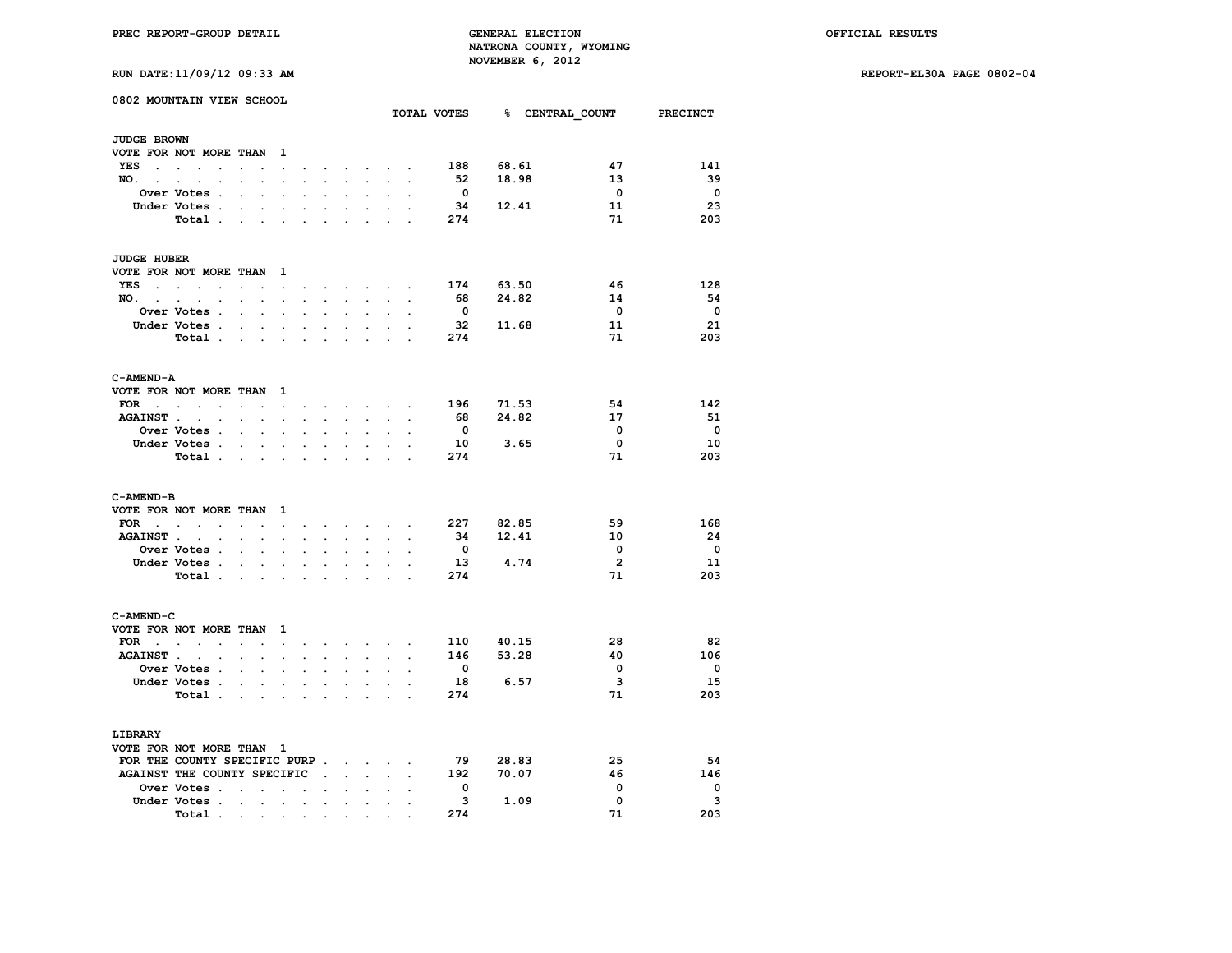**RUN DATE:11/09/12 09:33 AM REPORT-EL30A PAGE 0802-04**

| RUN DATE:11/09/12 09:33 AM |  |
|----------------------------|--|
|----------------------------|--|

| 0802 MOUNTAIN VIEW SCHOOL    |                                                                               |                                     |                                                                                                                 |                      |                      |                                   |                      |                                          |                                                 |                          |                          | TOTAL VOTES 8 CENTRAL COUNT PRECINCT |                         |                          |
|------------------------------|-------------------------------------------------------------------------------|-------------------------------------|-----------------------------------------------------------------------------------------------------------------|----------------------|----------------------|-----------------------------------|----------------------|------------------------------------------|-------------------------------------------------|--------------------------|--------------------------|--------------------------------------|-------------------------|--------------------------|
| <b>JUDGE BROWN</b>           |                                                                               |                                     |                                                                                                                 |                      |                      |                                   |                      |                                          |                                                 |                          |                          |                                      |                         |                          |
| VOTE FOR NOT MORE THAN       |                                                                               |                                     |                                                                                                                 | $\mathbf{1}$         |                      |                                   |                      |                                          |                                                 |                          |                          |                                      |                         |                          |
| YES                          | $\ddot{\phantom{a}}$                                                          | $\sim$                              |                                                                                                                 | $\sim$               |                      |                                   | $\sim$               |                                          | $\sim$ $\sim$ $\sim$ $\sim$                     |                          | 188                      | 68.61                                | 47                      | 141                      |
| $NO.$ $.$ $.$                | $\overline{\phantom{a}}$                                                      | $\ddot{\phantom{0}}$                | $\ddot{\phantom{a}}$                                                                                            |                      |                      | $\ddot{\phantom{0}}$              |                      | $\sim$ $\sim$ $\sim$                     | $\sim$                                          | $\mathbf{r}$             | 52                       | 18.98                                | 13                      | - 39                     |
|                              | Over Votes .                                                                  | $\cdot$                             | $\mathbf{r}$                                                                                                    | $\cdot$              | $\overline{a}$       | $\overline{a}$                    | $\ddot{\phantom{0}}$ | $\ddot{\phantom{0}}$                     | $\cdot$                                         | $\overline{\phantom{a}}$ | $\overline{\mathbf{0}}$  |                                      | $\overline{\mathbf{0}}$ | $\overline{\phantom{0}}$ |
|                              | Under Votes .                                                                 |                                     | $\mathcal{L}^{\text{max}}$<br>$\ddot{\phantom{0}}$                                                              |                      |                      |                                   |                      |                                          |                                                 |                          | 34                       | 12.41                                | 11                      | 23                       |
|                              | Total                                                                         |                                     |                                                                                                                 | $\cdot$              | $\cdot$              | $\cdot$                           | $\ddot{\phantom{a}}$ | $\ddot{\phantom{a}}$                     |                                                 |                          | 274                      |                                      | 71                      | 203                      |
| <b>JUDGE HUBER</b>           |                                                                               |                                     |                                                                                                                 |                      |                      |                                   |                      |                                          |                                                 |                          |                          |                                      |                         |                          |
| VOTE FOR NOT MORE THAN 1     |                                                                               |                                     |                                                                                                                 |                      |                      |                                   |                      |                                          |                                                 |                          |                          |                                      |                         |                          |
| YES                          | and the state of the state of the<br>$\ddot{\phantom{a}}$                     | $\sim$                              | $\ddot{\phantom{a}}$                                                                                            | $\ddot{\phantom{a}}$ | $\sim$               |                                   |                      |                                          | $\cdot$ $\cdot$ $\cdot$ $\cdot$ $\cdot$ $\cdot$ | $\ddot{\phantom{a}}$     | 174                      | 63.50                                | 46                      | 128                      |
| NO.                          |                                                                               |                                     | $\mathcal{L}^{\text{max}}$<br>$\sim 10^{-11}$                                                                   | $\ddot{\phantom{a}}$ | $\ddot{\phantom{a}}$ | $\bullet$ .                       |                      | $\mathbf{z} = \mathbf{z} + \mathbf{z}$ . | $\ddot{\phantom{0}}$                            | $\ddot{\phantom{a}}$     | 68                       | 24.82                                | 14                      | - 54                     |
|                              | <b>Over Votes .</b>                                                           |                                     |                                                                                                                 |                      |                      |                                   |                      |                                          |                                                 |                          | $\overline{\mathbf{0}}$  |                                      | $\overline{\mathbf{0}}$ | - 0                      |
|                              | Under Votes .                                                                 |                                     | <b>All Contracts</b>                                                                                            | $\bullet$            |                      | $\ddot{\phantom{0}}$              | $\cdot$              | $\ddot{\phantom{0}}$                     |                                                 |                          | 32                       | 11.68                                | 11                      | 21                       |
|                              | Total.                                                                        |                                     | <b>Contract Contract Contract</b>                                                                               | $\cdot$              | $\cdot$              | $\ddot{\phantom{a}}$              | $\overline{a}$       | $\cdot$                                  |                                                 |                          | 274                      |                                      | 71                      | 203                      |
| C-AMEND-A                    |                                                                               |                                     |                                                                                                                 |                      |                      |                                   |                      |                                          |                                                 |                          |                          |                                      |                         |                          |
| VOTE FOR NOT MORE THAN 1     |                                                                               |                                     |                                                                                                                 |                      |                      |                                   |                      |                                          |                                                 |                          |                          |                                      |                         |                          |
| $FOR \t . \t . \t .$         |                                                                               |                                     | the contract of the contract of the contract of the contract of the contract of the contract of the contract of |                      |                      |                                   |                      |                                          |                                                 |                          | 196                      | 71.53                                | 54                      | 142                      |
| AGAINST                      |                                                                               |                                     | <b>All Control</b>                                                                                              | $\bullet$            | $\ddot{\phantom{a}}$ | $\sim$                            | $\blacksquare$       | $\ddot{\phantom{0}}$                     | $\ddot{\phantom{0}}$                            | $\ddot{\phantom{a}}$     | 68                       | 24.82                                | 17                      | - 51                     |
|                              | Over Votes .                                                                  | $\sim$                              |                                                                                                                 |                      |                      |                                   |                      |                                          |                                                 |                          | $\overline{\mathbf{0}}$  |                                      | 0                       | $\overline{\phantom{0}}$ |
|                              | Under Votes .                                                                 |                                     | $\mathcal{L}^{\text{max}}$<br>$\mathcal{L}^{\text{max}}$                                                        | $\bullet$            | $\ddot{\phantom{a}}$ | $\bullet$                         | $\ddot{\phantom{a}}$ | $\ddot{\phantom{0}}$                     | $\ddot{\phantom{0}}$                            | $\overline{a}$           | 10                       | 3.65                                 | $^{\circ}$              | 10                       |
|                              | Total.                                                                        |                                     | $\mathbf{r} = \mathbf{r} + \mathbf{r}$                                                                          |                      | $\ddot{\phantom{a}}$ |                                   |                      |                                          | $\mathcal{L}^{\text{max}}$                      |                          | 274                      |                                      | 71                      | 203                      |
| C-AMEND-B                    |                                                                               |                                     |                                                                                                                 |                      |                      |                                   |                      |                                          |                                                 |                          |                          |                                      |                         |                          |
| VOTE FOR NOT MORE THAN 1     |                                                                               |                                     |                                                                                                                 |                      |                      |                                   |                      |                                          |                                                 |                          |                          |                                      |                         |                          |
| FOR                          | $\mathbf{r}$ , $\mathbf{r}$ , $\mathbf{r}$ , $\mathbf{r}$                     |                                     |                                                                                                                 | $\sim$ $\sim$        |                      | and a series of the series of the |                      |                                          |                                                 |                          |                          | 227 82.85                            | 59                      | 168                      |
| <b>AGAINST</b> .             | $\overline{a}$<br>$\ddot{\phantom{a}}$                                        |                                     | $\ddot{\phantom{0}}$<br>$\sim$                                                                                  | $\mathbf{r}$         |                      |                                   |                      |                                          |                                                 |                          | - 34                     | 12.41                                | 10                      | - 24                     |
|                              | Over Votes .                                                                  |                                     | $\ddot{\phantom{0}}$<br>$\sim$                                                                                  |                      |                      |                                   |                      |                                          |                                                 |                          | $\overline{\mathbf{0}}$  |                                      | 0                       | $\overline{\phantom{0}}$ |
|                              | Under Votes .                                                                 |                                     | $\mathbf{z} = \mathbf{z} + \mathbf{z}$ . The $\mathbf{z}$                                                       |                      | $\bullet$            | $\bullet$                         | $\ddot{\phantom{0}}$ | $\ddot{\phantom{0}}$                     | $\bullet$                                       |                          | 13                       | 4.74                                 | $\overline{2}$          | 11                       |
|                              | Total .                                                                       |                                     | and the control of                                                                                              |                      | $\ddot{\phantom{a}}$ |                                   |                      |                                          |                                                 |                          | 274                      |                                      | 71                      | 203                      |
| C-AMEND-C                    |                                                                               |                                     |                                                                                                                 |                      |                      |                                   |                      |                                          |                                                 |                          |                          |                                      |                         |                          |
| VOTE FOR NOT MORE THAN       |                                                                               |                                     |                                                                                                                 | $\mathbf{1}$         |                      |                                   |                      |                                          |                                                 |                          |                          |                                      |                         |                          |
| FOR .                        | $\mathbf{r} = \mathbf{r} + \mathbf{r} + \mathbf{r} + \mathbf{r} + \mathbf{r}$ |                                     |                                                                                                                 | $\sim$               | $\cdot$              |                                   |                      |                                          | $\cdot$ $\cdot$ $\cdot$ $\cdot$ $\cdot$         |                          | 110                      | 40.15                                | 28                      | 82                       |
| <b>AGAINST.</b>              | $\overline{\phantom{a}}$<br>$\ddot{\phantom{0}}$                              | $\sim$                              | $\sim$                                                                                                          | $\sim$               | $\ddot{\phantom{0}}$ | $\sim$                            | $\ddot{\phantom{0}}$ | $\ddot{\phantom{0}}$                     | $\sim$                                          | $\mathbf{r}$             | 146                      | 53.28                                | 40                      | 106                      |
|                              | <b>Over Votes .</b>                                                           |                                     | $\ddot{\phantom{0}}$<br>$\sim$                                                                                  | $\sim$               | $\ddot{\phantom{a}}$ | $\ddot{\phantom{a}}$              | $\ddot{\phantom{0}}$ | $\ddot{\phantom{0}}$                     | $\ddot{\phantom{0}}$                            | $\ddot{\phantom{a}}$     | $\overline{\mathbf{0}}$  |                                      | $\mathbf 0$             | $\overline{\phantom{0}}$ |
|                              | Under Votes .                                                                 |                                     | $\mathbf{r} = \mathbf{r} + \mathbf{r}$                                                                          |                      | $\overline{a}$       |                                   |                      |                                          |                                                 |                          | 18                       | 6.57                                 | $\overline{\mathbf{3}}$ | - 15                     |
|                              | Total .                                                                       |                                     | $\mathbf{z} = \mathbf{z} + \mathbf{z}$                                                                          | $\sim$               |                      | $\ddot{\phantom{a}}$              | $\ddot{\phantom{a}}$ | $\ddot{\phantom{0}}$                     | $\ddot{\phantom{a}}$                            |                          | 274                      |                                      | 71                      | 203                      |
| LIBRARY                      |                                                                               |                                     |                                                                                                                 |                      |                      |                                   |                      |                                          |                                                 |                          |                          |                                      |                         |                          |
| VOTE FOR NOT MORE THAN 1     |                                                                               |                                     |                                                                                                                 |                      |                      |                                   |                      |                                          |                                                 |                          |                          |                                      |                         |                          |
| FOR THE COUNTY SPECIFIC PURP |                                                                               |                                     |                                                                                                                 |                      |                      |                                   |                      |                                          |                                                 |                          | 79                       | 28.83                                | 25                      | 54                       |
| AGAINST THE COUNTY SPECIFIC. |                                                                               |                                     |                                                                                                                 |                      |                      |                                   |                      | $\cdot$ $\cdot$ $\cdot$                  |                                                 |                          | 192                      | 70.07                                | 46                      | 146                      |
|                              | Over Votes                                                                    |                                     |                                                                                                                 | $\bullet$            |                      |                                   | $\ddot{\phantom{a}}$ | $\ddot{\phantom{0}}$                     |                                                 |                          | $\overline{\phantom{0}}$ |                                      | 0                       | $\overline{\phantom{0}}$ |
|                              | Under Votes .                                                                 |                                     |                                                                                                                 |                      |                      |                                   |                      |                                          |                                                 |                          | 3                        | 1.09                                 | $\mathbf 0$             | 3                        |
|                              |                                                                               | $\sim$ $\sim$                       | $\sim$                                                                                                          | $\ddot{\phantom{a}}$ | $\ddot{\phantom{a}}$ | $\ddot{\phantom{0}}$              | $\ddot{\phantom{a}}$ | $\ddot{\phantom{0}}$                     |                                                 |                          | 274                      |                                      | 71                      | 203                      |
|                              | Total .                                                                       | the contract of the contract of the |                                                                                                                 |                      |                      |                                   |                      |                                          |                                                 |                          |                          |                                      |                         |                          |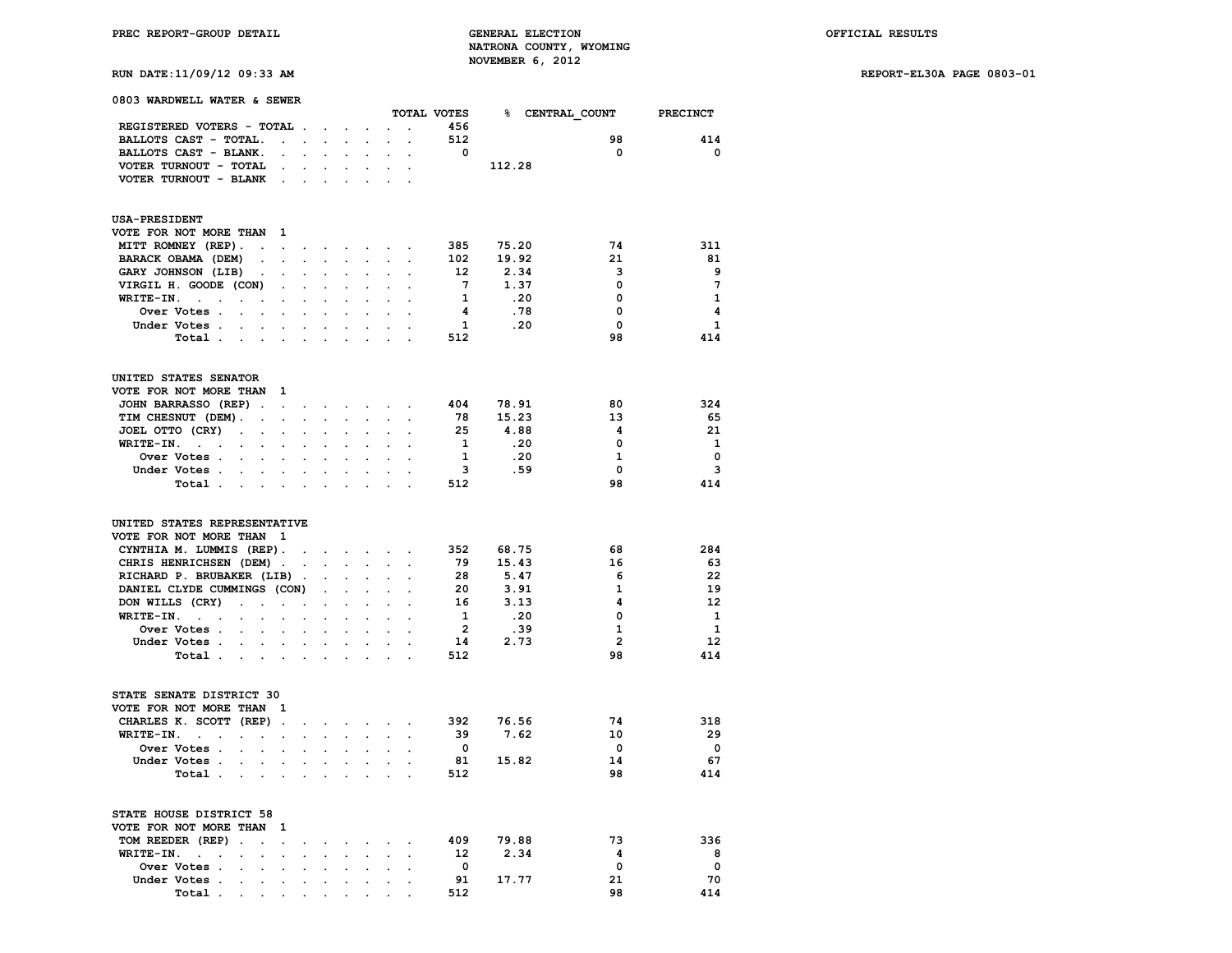**RUN DATE:11/09/12 09:33 AM REPORT-EL30A PAGE 0803-01**

| 0803 WARDWELL WATER & SEWER                                                 |                                                                                                                      |                      |                                        |                      |                             |                                                                          |                                            |                         |                                      |                         |                         |
|-----------------------------------------------------------------------------|----------------------------------------------------------------------------------------------------------------------|----------------------|----------------------------------------|----------------------|-----------------------------|--------------------------------------------------------------------------|--------------------------------------------|-------------------------|--------------------------------------|-------------------------|-------------------------|
|                                                                             |                                                                                                                      |                      |                                        |                      |                             |                                                                          |                                            |                         | TOTAL VOTES 8 CENTRAL COUNT PRECINCT |                         |                         |
| REGISTERED VOTERS - TOTAL.                                                  |                                                                                                                      |                      | the contract of the con-               |                      | $\ddot{\phantom{0}}$        | $\mathbf{r}$                                                             | $\sim$ $\sim$                              | 456                     |                                      |                         |                         |
| BALLOTS CAST - TOTAL.                                                       | $\sim 10^{-11}$ km s $^{-1}$                                                                                         |                      |                                        | $\mathbf{L}$         |                             |                                                                          |                                            | 512                     |                                      | 98                      | 414                     |
| BALLOTS CAST - BLANK.                                                       |                                                                                                                      |                      |                                        |                      |                             |                                                                          |                                            | $\overline{\mathbf{0}}$ |                                      | $\mathbf 0$             | $\mathbf 0$             |
| VOTER TURNOUT - TOTAL                                                       |                                                                                                                      | $\sim$               | $\bullet$                              | $\bullet$ .          | $\bullet$ .                 |                                                                          |                                            |                         | 112.28                               |                         |                         |
| VOTER TURNOUT - BLANK .                                                     |                                                                                                                      |                      |                                        |                      |                             |                                                                          |                                            |                         |                                      |                         |                         |
| <b>USA-PRESIDENT</b>                                                        |                                                                                                                      |                      |                                        |                      |                             |                                                                          |                                            |                         |                                      |                         |                         |
| VOTE FOR NOT MORE THAN                                                      | $\mathbf{1}$                                                                                                         |                      |                                        |                      |                             |                                                                          |                                            |                         |                                      |                         |                         |
| MITT ROMNEY (REP).<br>$\sim$ $\sim$                                         | $\sim$                                                                                                               | $\ddot{\phantom{0}}$ |                                        |                      |                             | the contract of the contract of                                          |                                            | 385                     | 75.20                                | 74                      | 311                     |
| BARACK OBAMA (DEM)<br>$\sim 100$                                            | $\sim$                                                                                                               | $\ddot{\phantom{a}}$ | $\sim$ $\sim$                          | $\sim$               | $\sim$                      |                                                                          | $\mathbf{L} = \mathbf{L}$                  | 102                     | 19.92                                | 21                      | 81                      |
| GARY JOHNSON (LIB)<br>$\ddot{\phantom{a}}$                                  |                                                                                                                      |                      |                                        |                      |                             |                                                                          |                                            | 12                      | 2.34                                 | 3                       | 9                       |
| VIRGIL H. GOODE (CON)                                                       |                                                                                                                      | $\ddot{\phantom{0}}$ |                                        |                      |                             |                                                                          |                                            | $7\overline{ }$         | 1.37                                 | $\mathbf 0$             | $7\phantom{.0}$         |
| $WRITE-TN.$<br>$\sim$                                                       |                                                                                                                      |                      |                                        |                      |                             |                                                                          |                                            | $\mathbf{1}$            | .20                                  | $\mathbf{0}$            | 1                       |
| Over Votes .                                                                |                                                                                                                      |                      |                                        |                      |                             |                                                                          |                                            | $\overline{\mathbf{4}}$ | .78                                  | $\mathbf 0$             | $\overline{\mathbf{4}}$ |
| $\sim$<br>$\ddot{\phantom{0}}$                                              | $\sim$                                                                                                               | $\cdot$              | $\ddot{\phantom{a}}$                   | $\cdot$              | $\blacksquare$              | $\ddot{\phantom{0}}$                                                     |                                            |                         |                                      |                         |                         |
| Under Votes                                                                 |                                                                                                                      |                      |                                        |                      | $\mathbf{r}$                | $\mathcal{L}^{\mathcal{L}}$                                              |                                            | $\mathbf{1}$            | .20                                  | $\mathbf 0$             | $\mathbf{1}$            |
| Total<br><b>Contract Contract Street</b>                                    |                                                                                                                      | $\cdot$              | $\ddot{\phantom{a}}$                   | $\bullet$            | $\cdot$                     | $\ddot{\phantom{a}}$                                                     |                                            | 512                     |                                      | 98                      | 414                     |
| UNITED STATES SENATOR                                                       |                                                                                                                      |                      |                                        |                      |                             |                                                                          |                                            |                         |                                      |                         |                         |
| VOTE FOR NOT MORE THAN                                                      | $\mathbf{1}$                                                                                                         |                      |                                        |                      |                             |                                                                          |                                            |                         |                                      |                         |                         |
| JOHN BARRASSO (REP).                                                        | $\mathbf{u} = \mathbf{u} + \mathbf{u} + \mathbf{u} + \mathbf{u} + \mathbf{u} + \mathbf{u} + \mathbf{u} + \mathbf{u}$ |                      |                                        |                      |                             |                                                                          |                                            | 404                     | 78.91                                | 80                      | 324                     |
| TIM CHESNUT (DEM).<br>$\bullet$                                             | $\ddot{\phantom{a}}$                                                                                                 | $\ddot{\phantom{0}}$ | $\ddot{\phantom{0}}$                   |                      |                             |                                                                          |                                            | 78                      | 15.23                                | 13                      | 65                      |
| JOEL OTTO (CRY)<br>$\sim 100$<br>$\mathbf{r} = \mathbf{r} \cdot \mathbf{r}$ |                                                                                                                      | $\ddot{\phantom{a}}$ | $\ddot{\phantom{0}}$                   | $\ddot{\phantom{a}}$ | $\ddot{\phantom{a}}$        | $\sim$                                                                   |                                            | 25                      | 4.88                                 | 4                       | 21                      |
| $WRITE-TN.$                                                                 |                                                                                                                      |                      |                                        |                      |                             |                                                                          |                                            | $\mathbf{1}$            | .20                                  | $\mathbf 0$             | $\mathbf{1}$            |
| Over Votes<br>$\sim$                                                        |                                                                                                                      |                      |                                        |                      | $\ddot{\phantom{a}}$        | $\ddot{\phantom{a}}$                                                     |                                            | $\mathbf{1}$            | .20                                  | $\mathbf{1}$            | $\mathbf 0$             |
| Under Votes                                                                 |                                                                                                                      |                      | $\cdot$                                | $\mathbf{r}$         | $\mathbf{r}$                | $\sim$                                                                   |                                            | $\overline{\mathbf{3}}$ | .59                                  | $\mathbf 0$             | $\overline{\mathbf{3}}$ |
|                                                                             |                                                                                                                      | $\sim$               |                                        |                      |                             |                                                                          | $\mathbf{r}$                               |                         |                                      |                         |                         |
| Total                                                                       |                                                                                                                      | $\ddot{\phantom{a}}$ | $\ddot{\phantom{a}}$                   | $\cdot$              | $\sim$                      | $\mathbf{r}$                                                             |                                            | 512                     |                                      | 98                      | 414                     |
| UNITED STATES REPRESENTATIVE                                                |                                                                                                                      |                      |                                        |                      |                             |                                                                          |                                            |                         |                                      |                         |                         |
| VOTE FOR NOT MORE THAN 1                                                    |                                                                                                                      |                      |                                        |                      |                             |                                                                          |                                            |                         |                                      |                         |                         |
| CYNTHIA M. LUMMIS (REP).                                                    | $\sim$                                                                                                               |                      |                                        |                      |                             | $\mathbf{r}$ , $\mathbf{r}$ , $\mathbf{r}$ , $\mathbf{r}$ , $\mathbf{r}$ |                                            |                         | 352 68.75                            | 68                      | 284                     |
| CHRIS HENRICHSEN (DEM).                                                     |                                                                                                                      |                      |                                        |                      |                             |                                                                          |                                            | 79                      | 15.43                                | 16                      | 63                      |
| RICHARD P. BRUBAKER (LIB).                                                  |                                                                                                                      |                      | $\ddot{\phantom{0}}$                   | $\ddot{\phantom{0}}$ | $\ddot{\phantom{0}}$        | $\ddot{\phantom{0}}$                                                     |                                            | 28                      | 5.47                                 | 6                       | 22                      |
| DANIEL CLYDE CUMMINGS (CON)                                                 |                                                                                                                      |                      | $\ddot{\phantom{0}}$                   | $\mathbf{L}$         | $\sim$                      |                                                                          |                                            | -20                     | 3.91                                 | $\mathbf{1}$            | 19                      |
| DON WILLS (CRY)                                                             |                                                                                                                      |                      |                                        | $\mathbf{r}$         |                             |                                                                          | $\sim$                                     | 16                      | 3.13                                 | 4                       | 12                      |
| $\sim$                                                                      | $\mathcal{A}^{\mathcal{A}}$ and $\mathcal{A}^{\mathcal{A}}$                                                          | $\bullet$            | $\cdot$                                |                      | $\ddot{\phantom{0}}$        | $\ddot{\phantom{0}}$                                                     |                                            |                         |                                      | $\mathbf 0$             |                         |
| $WRITE-IN.$<br>$\mathbf{r}$                                                 |                                                                                                                      | $\overline{a}$       | $\sim$                                 |                      |                             |                                                                          |                                            | $\mathbf{1}$            | .20                                  |                         | $\mathbf{1}$            |
| Over Votes .<br>$\sim$ $\sim$                                               |                                                                                                                      |                      |                                        |                      |                             |                                                                          | $\sim$                                     | $\overline{2}$          | .39                                  | 1                       | $\mathbf{1}$            |
| Under Votes                                                                 |                                                                                                                      |                      | $\mathbf{r} = \mathbf{r} + \mathbf{r}$ |                      | $\sim$                      |                                                                          | $\mathbf{r} = \mathbf{r} \cdot \mathbf{r}$ | 14                      | 2.73                                 | $\overline{2}$          | 12                      |
| Total .<br>$\sim$<br>$\sim 100$                                             | $\sim$                                                                                                               |                      |                                        |                      |                             |                                                                          |                                            | 512                     |                                      | 98                      | 414                     |
| STATE SENATE DISTRICT 30                                                    |                                                                                                                      |                      |                                        |                      |                             |                                                                          |                                            |                         |                                      |                         |                         |
| VOTE FOR NOT MORE THAN 1                                                    |                                                                                                                      |                      |                                        |                      |                             |                                                                          |                                            |                         |                                      |                         |                         |
| CHARLES K. SCOTT (REP).                                                     |                                                                                                                      | $\ddot{\phantom{0}}$ |                                        |                      |                             | the contract of the contract of                                          |                                            | 392                     | 76.56                                | 74                      | 318                     |
| WRITE-IN.<br>$\sim$ $\sim$                                                  |                                                                                                                      |                      |                                        |                      |                             |                                                                          |                                            | 39                      | 7.62                                 | 10                      | 29                      |
| Over Votes .<br>$\mathbf{r}$<br>$\ddot{\phantom{a}}$                        |                                                                                                                      |                      |                                        |                      |                             |                                                                          | $\cdot$                                    | $\overline{\mathbf{0}}$ |                                      | $\overline{\mathbf{0}}$ | $\mathbf 0$             |
| Under Votes.<br>$\sim$<br>$\ddot{\phantom{0}}$                              | $\ddot{\phantom{a}}$                                                                                                 | $\ddot{\phantom{0}}$ | $\cdot$                                | $\sim$               | $\sim$                      |                                                                          |                                            | 81                      | 15.82                                | 14                      | 67                      |
|                                                                             |                                                                                                                      |                      |                                        |                      |                             |                                                                          | $\sim$                                     |                         |                                      | 98                      | 414                     |
| Total .<br>$\sim$<br>$\sim$                                                 |                                                                                                                      |                      |                                        |                      |                             |                                                                          |                                            | 512                     |                                      |                         |                         |
| STATE HOUSE DISTRICT 58                                                     |                                                                                                                      |                      |                                        |                      |                             |                                                                          |                                            |                         |                                      |                         |                         |
| VOTE FOR NOT MORE THAN 1                                                    |                                                                                                                      |                      |                                        |                      |                             |                                                                          |                                            |                         |                                      |                         |                         |
| TOM REEDER (REP).<br>$\sim$                                                 | $\sim$                                                                                                               | $\ddot{\phantom{0}}$ |                                        |                      | $\ddot{\phantom{0}}$        |                                                                          | $\bullet$                                  | 409                     | 79.88                                | 73                      | 336                     |
| WRITE-IN.<br>$\cdot$<br>$\ddot{\phantom{a}}$                                |                                                                                                                      | $\ddot{\phantom{0}}$ |                                        |                      |                             |                                                                          |                                            | 12                      | 2.34                                 | $\overline{\mathbf{4}}$ | 8                       |
| Over Votes .<br>$\mathbf{r}$<br>$\ddot{\phantom{a}}$                        |                                                                                                                      |                      |                                        |                      |                             |                                                                          |                                            | $\mathbf{0}$            |                                      | $\mathbf 0$             | $\overline{\mathbf{0}}$ |
| Under Votes .<br>$\sim$<br>$\sim$                                           | $\cdot$                                                                                                              | $\ddot{\phantom{a}}$ | $\cdot$                                | $\ddot{\phantom{0}}$ | $\mathcal{L}^{\mathcal{L}}$ |                                                                          | $\mathcal{L}^{\text{max}}$                 | 91                      | 17.77                                | 21                      | 70                      |
| Total.                                                                      |                                                                                                                      |                      |                                        |                      |                             |                                                                          |                                            | 512                     |                                      | 98                      | 414                     |
| $\sim$<br>$\sim$ $\sim$                                                     |                                                                                                                      |                      |                                        |                      |                             | <b>All Contracts</b>                                                     |                                            |                         |                                      |                         |                         |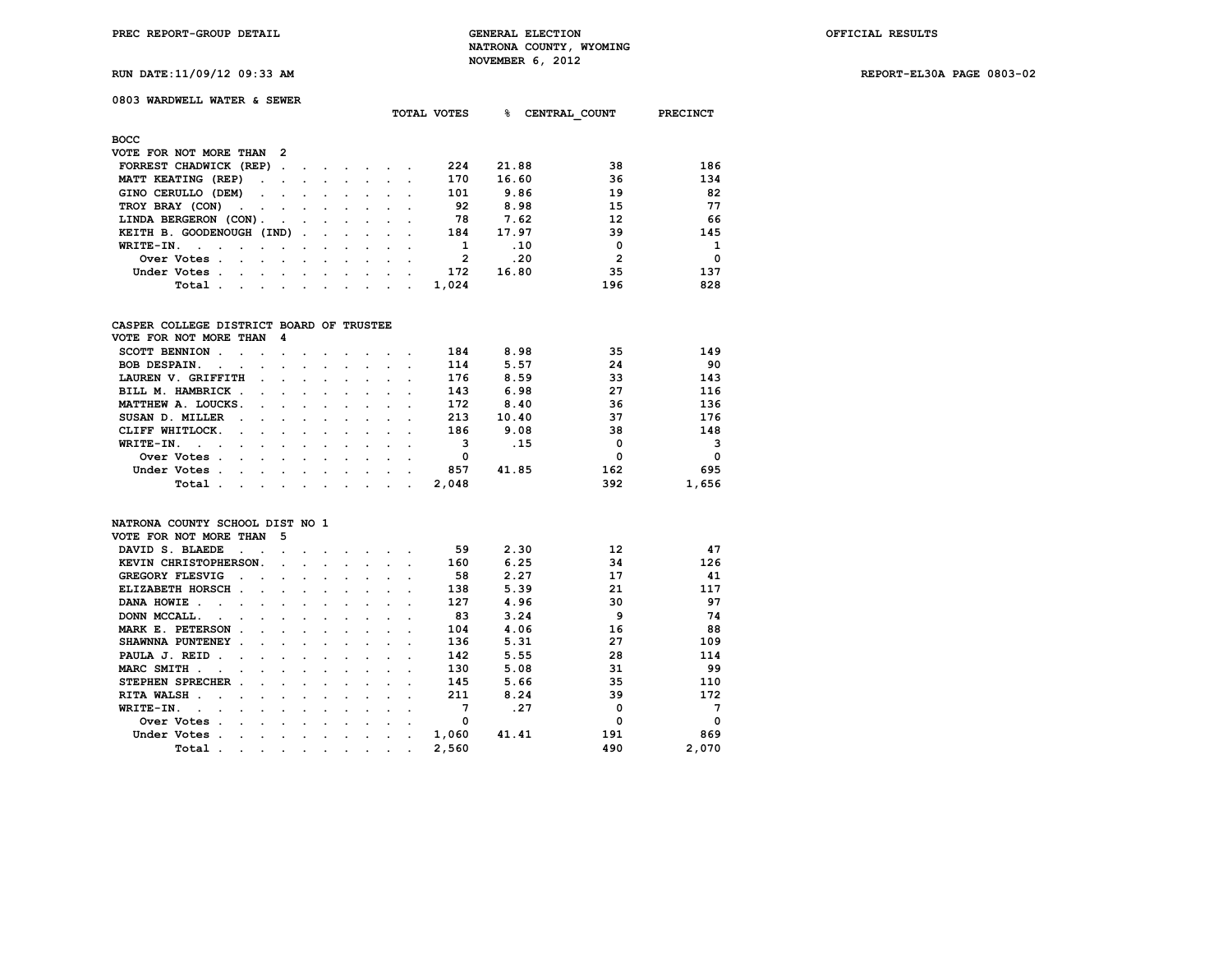**TOTAL VOTES % CENTRAL\_COUNT PRECINCT**

**RUN DATE:11/09/12 09:33 AM REPORT-EL30A PAGE 0803-02**

|  |  |  |  |  | RUN DATE:11/09/12 09:33 AM |  |
|--|--|--|--|--|----------------------------|--|
|--|--|--|--|--|----------------------------|--|

## **0803 WARDWELL WATER & SEWER**

| <b>BOCC</b>                                                                                                                     |                                                                                                                 |                                                                                 |  |                          |              |       |                |          |
|---------------------------------------------------------------------------------------------------------------------------------|-----------------------------------------------------------------------------------------------------------------|---------------------------------------------------------------------------------|--|--------------------------|--------------|-------|----------------|----------|
| VOTE FOR NOT MORE THAN 2                                                                                                        |                                                                                                                 |                                                                                 |  |                          |              |       |                |          |
| FORREST CHADWICK (REP)                                                                                                          |                                                                                                                 |                                                                                 |  |                          | 224          | 21.88 | 38             | 186      |
| MATT KEATING (REP)                                                                                                              |                                                                                                                 |                                                                                 |  |                          | 170          | 16.60 | 36             | 134      |
| GINO CERULLO (DEM)                                                                                                              |                                                                                                                 |                                                                                 |  |                          | 101          | 9.86  | 19             | 82       |
| TROY BRAY (CON)                                                                                                                 |                                                                                                                 |                                                                                 |  |                          | 92           | 8.98  | 15             | 77       |
| LINDA BERGERON (CON).                                                                                                           | the contract of the contract of the contract of the contract of the contract of the contract of the contract of |                                                                                 |  |                          | 78           | 7.62  | 12             | 66       |
| KEITH B. GOODENOUGH (IND)                                                                                                       |                                                                                                                 |                                                                                 |  |                          | 184          | 17.97 | 39             | 145      |
| $WRITE-TN.$                                                                                                                     |                                                                                                                 | the contract of the contract of the contract of the contract of the contract of |  |                          |              | .10   | 0              | 1        |
| Over Votes.<br>the contract of the contract of the contract of the contract of the contract of the contract of the contract of  |                                                                                                                 |                                                                                 |  |                          | $\mathbf{2}$ | .20   | $\mathfrak{p}$ | $\Omega$ |
| Under Votes.<br>the contract of the contract of the contract of the contract of the contract of the contract of the contract of |                                                                                                                 |                                                                                 |  | $\overline{\phantom{a}}$ | 172          | 16.80 | 35             | 137      |
| Total.<br>the contract of the contract of the contract of the contract of the contract of the contract of the contract of       |                                                                                                                 |                                                                                 |  |                          | 1,024        |       | 196            | 828      |

### **CASPER COLLEGE DISTRICT BOARD OF TRUSTEE**

| VOTE FOR NOT MORE THAN 4                                                                                                                                                                                                                         |                                                                                                                                                                                                                               |  |  |                          |       |       |     |          |
|--------------------------------------------------------------------------------------------------------------------------------------------------------------------------------------------------------------------------------------------------|-------------------------------------------------------------------------------------------------------------------------------------------------------------------------------------------------------------------------------|--|--|--------------------------|-------|-------|-----|----------|
| SCOTT BENNION.                                                                                                                                                                                                                                   | the company of the company of the company of the company of the company of the company of the company of the company of the company of the company of the company of the company of the company of the company of the company |  |  |                          | 184   | 8.98  | 35  | 149      |
| <b>BOB DESPAIN.</b><br>$\sim$<br>$\sim$                                                                                                                                                                                                          | the contract of the contract of the contract of the contract of the contract of the contract of the contract of                                                                                                               |  |  |                          | 114   | 5.57  | 24  | 90       |
| LAUREN V. GRIFFITH                                                                                                                                                                                                                               | the contract of the contract of the contract of the contract of the contract of the contract of the contract of                                                                                                               |  |  |                          | 176   | 8.59  | 33  | 143      |
| BILL M. HAMBRICK.                                                                                                                                                                                                                                | the contract of the contract of the contract of                                                                                                                                                                               |  |  |                          | 143   | 6.98  | 27  | 116      |
| MATTHEW A. LOUCKS.                                                                                                                                                                                                                               | the contract of the contract of the contract of the contract of the contract of the contract of the contract of                                                                                                               |  |  |                          | 172   | 8.40  | 36  | 136      |
| SUSAN D. MILLER<br>$\sim$                                                                                                                                                                                                                        | the contract of the contract of the contract of the contract of the contract of the contract of the contract of                                                                                                               |  |  |                          | 213   | 10.40 | 37  | 176      |
| CLIFF WHITLOCK.<br>the company of the company of the company of the company of the company of the company of the company of the company of the company of the company of the company of the company of the company of the company of the company |                                                                                                                                                                                                                               |  |  |                          | 186   | 9.08  | 38  | 148      |
| WRITE-IN.<br>the contract of the contract of the contract of the contract of the contract of the contract of the contract of                                                                                                                     |                                                                                                                                                                                                                               |  |  | $\overline{\phantom{a}}$ | з     | .15   | 0   | 3        |
| Over Votes.<br>$\sim$<br>the contract of the contract of the contract of the contract of the contract of the contract of the contract of                                                                                                         |                                                                                                                                                                                                                               |  |  | $\sim$                   | 0     |       | 0   | $\Omega$ |
| Under Votes.<br>$\sim$                                                                                                                                                                                                                           | the company of the company of the company of the company of the company of the company of the company of the company of the company of the company of the company of the company of the company of the company of the company |  |  | $\cdot$                  | 857   | 41.85 | 162 | 695      |
| Total                                                                                                                                                                                                                                            | the company of the company of the company of the company of the company of the company of the company of the company of the company of the company of the company of the company of the company of the company of the company |  |  | $\sim$ $\sim$            | 2,048 |       | 392 | 1,656    |

#### **NATRONA COUNTY SCHOOL DIST NO 1**

| VOTE FOR NOT MORE THAN                   | 5 |         |         |         |           |                      |           |       |       |          |          |
|------------------------------------------|---|---------|---------|---------|-----------|----------------------|-----------|-------|-------|----------|----------|
| DAVID S. BLAEDE                          |   |         |         |         |           |                      |           | 59    | 2.30  | 12       | 47       |
| KEVIN CHRISTOPHERSON.                    |   |         |         |         |           |                      |           | 160   | 6.25  | 34       | 126      |
| GREGORY FLESVIG                          |   |         |         |         |           |                      |           | 58    | 2.27  | 17       | 41       |
| ELIZABETH HORSCH<br>$\ddot{\phantom{a}}$ |   |         |         |         |           |                      |           | 138   | 5.39  | 21       | 117      |
| DANA HOWIE.                              |   |         |         |         |           |                      |           | 127   | 4.96  | 30       | 97       |
| DONN MCCALL.                             |   | $\sim$  |         |         |           |                      |           | 83    | 3.24  | 9        | 74       |
| MARK E. PETERSON                         |   |         |         |         |           |                      |           | 104   | 4.06  | 16       | 88       |
| SHAWNNA PUNTENEY<br>$\cdot$              |   |         |         |         |           |                      |           | 136   | 5.31  | 27       | 109      |
| PAULA J. REID<br>n.                      |   |         |         |         |           |                      |           | 142   | 5.55  | 28       | 114      |
| MARC SMITH .                             |   |         |         |         |           |                      |           | 130   | 5.08  | 31       | 99       |
| STEPHEN SPRECHER                         |   | $\cdot$ |         |         |           |                      |           | 145   | 5.66  | 35       | 110      |
| RITA WALSH.                              |   |         |         |         |           |                      |           | 211   | 8.24  | 39       | 172      |
| WRITE-IN.                                |   |         |         |         |           |                      |           |       | .27   | $\Omega$ | 7        |
| Over Votes                               |   |         |         |         |           |                      |           | 0     |       | O        | $\Omega$ |
| Under Votes                              |   |         |         |         |           |                      |           | 1,060 | 41.41 | 191      | 869      |
| Total<br>$\cdot$                         | ٠ | $\cdot$ | $\cdot$ | $\cdot$ | $\bullet$ | $\ddot{\phantom{0}}$ | $\bullet$ | 2,560 |       | 490      | 2,070    |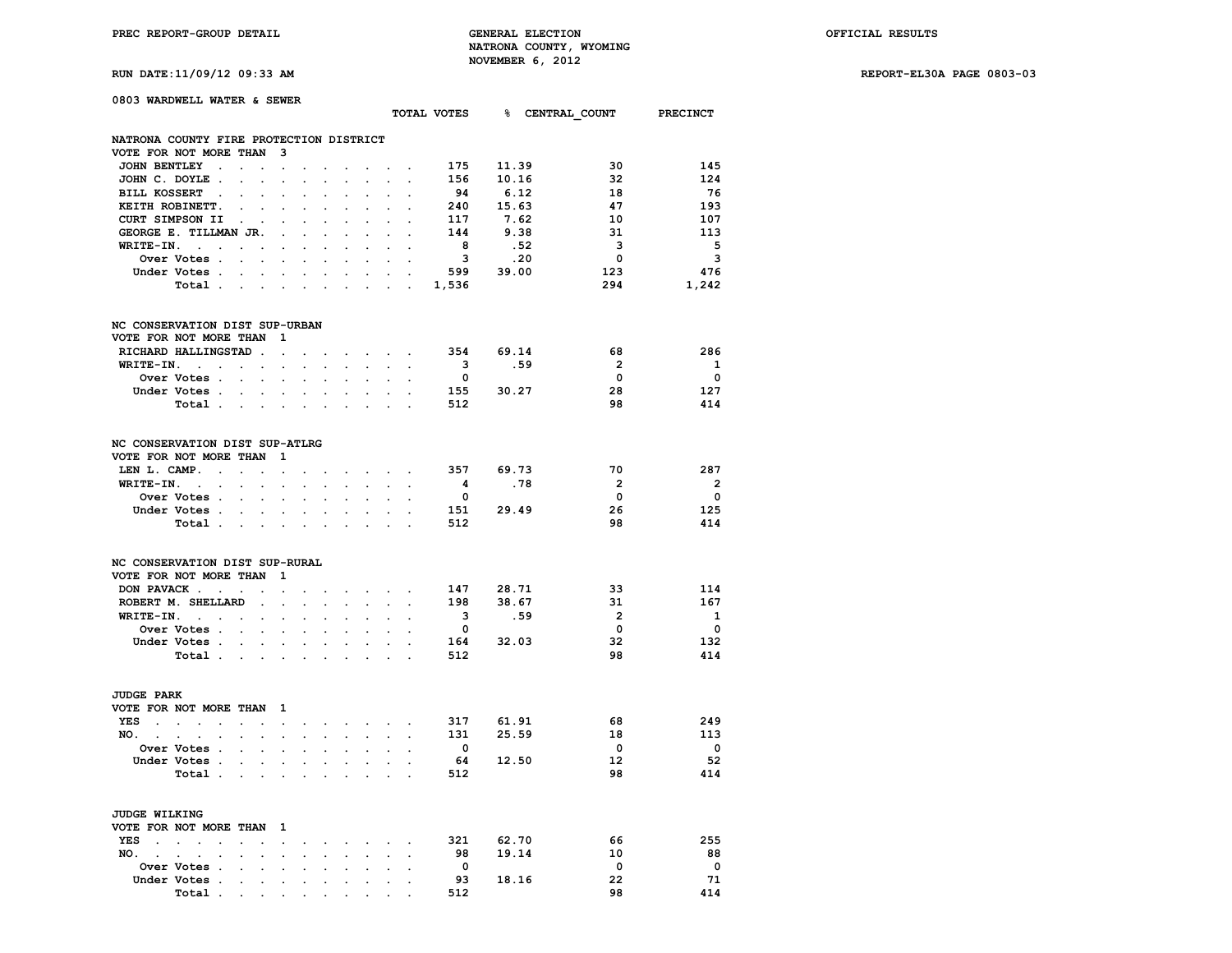**RUN DATE:11/09/12 09:33 AM REPORT-EL30A PAGE 0803-03**

| 0803 WARDWELL WATER & SEWER                                                                                  |                                                                      |                                                 |                                      |                           |                         |           |                         |                                      |  |
|--------------------------------------------------------------------------------------------------------------|----------------------------------------------------------------------|-------------------------------------------------|--------------------------------------|---------------------------|-------------------------|-----------|-------------------------|--------------------------------------|--|
|                                                                                                              |                                                                      |                                                 |                                      |                           |                         |           |                         | TOTAL VOTES 8 CENTRAL COUNT PRECINCT |  |
|                                                                                                              |                                                                      |                                                 |                                      |                           |                         |           |                         |                                      |  |
| NATRONA COUNTY FIRE PROTECTION DISTRICT<br>VOTE FOR NOT MORE THAN                                            | 3                                                                    |                                                 |                                      |                           |                         |           |                         |                                      |  |
| JOHN BENTLEY                                                                                                 | $\cdot$<br>$\ddot{\phantom{a}}$                                      | $\sim$                                          |                                      |                           |                         | 175 11.39 | 30                      | 145                                  |  |
| JOHN C. DOYLE.                                                                                               |                                                                      |                                                 | <b>Service Control</b>               |                           | 156                     | 10.16     | 32                      | 124                                  |  |
|                                                                                                              |                                                                      |                                                 |                                      |                           |                         |           | 18                      |                                      |  |
| BILL KOSSERT<br>$\ddot{\phantom{a}}$                                                                         |                                                                      |                                                 |                                      |                           | 94                      | 6.12      | 47                      | 76<br>193                            |  |
| KEITH ROBINETT.                                                                                              |                                                                      |                                                 |                                      |                           |                         | 240 15.63 |                         |                                      |  |
| CURT SIMPSON II<br>$\ddot{\phantom{0}}$                                                                      |                                                                      |                                                 |                                      |                           | 117                     | 7.62      | 10                      | 107                                  |  |
| GEORGE E. TILLMAN JR.                                                                                        | $\cdot$                                                              |                                                 |                                      |                           | 144                     | 9.38      | - 31                    | 113                                  |  |
| $WRITE-IN.$<br>$\sim 100$ km s $^{-1}$<br>$\ddot{\phantom{0}}$                                               | $\ddot{\phantom{0}}$<br>$\ddot{\phantom{a}}$<br>$\bullet$            | $\ddot{\phantom{a}}$                            | $\cdot$                              | $\sim$                    | 8                       | .52       | $\overline{\mathbf{3}}$ | 5                                    |  |
| Over Votes<br>$\mathbf{L}$                                                                                   | $\ddot{\phantom{0}}$<br>$\ddot{\phantom{0}}$<br>$\sim$               | $\ddot{\phantom{0}}$                            | $\mathbf{r}$<br>$\cdot$              | $\sim$                    | $\overline{\mathbf{3}}$ | .20       | $\overline{\mathbf{0}}$ | $\overline{\mathbf{3}}$              |  |
| Under Votes .<br>$\sim$ $\sim$<br>$\ddot{\phantom{a}}$                                                       | $\ddot{\phantom{0}}$<br>$\ddot{\phantom{a}}$<br>$\ddot{\phantom{a}}$ | $\ddot{\phantom{a}}$<br>$\ddot{\phantom{a}}$    | $\ddot{\phantom{a}}$                 | $\sim$                    |                         | 599 39.00 | 123                     | 476                                  |  |
| Total                                                                                                        | $\sim$<br>$\sim$                                                     |                                                 |                                      |                           | $\cdot$ 1,536           |           | 294                     | 1,242                                |  |
| NC CONSERVATION DIST SUP-URBAN                                                                               |                                                                      |                                                 |                                      |                           |                         |           |                         |                                      |  |
| VOTE FOR NOT MORE THAN                                                                                       | 1                                                                    |                                                 |                                      |                           |                         |           |                         |                                      |  |
| RICHARD HALLINGSTAD.                                                                                         | $\mathbf{r}$<br>$\ddot{\phantom{0}}$                                 | $\ddot{\phantom{a}}$                            | $\sim$ $\sim$ $\sim$                 |                           |                         | 354 69.14 | 68                      | 286                                  |  |
| $WRITE-TN.$<br>$\sim 100$ km s $^{-1}$                                                                       | $\sim$<br>$\mathbf{r}$                                               | $\sim$ $\sim$ $\sim$                            | <b>San Adams</b>                     |                           | $\overline{\mathbf{3}}$ | .59       | $\overline{2}$          | $\mathbf{1}$                         |  |
| Over Votes .                                                                                                 |                                                                      |                                                 |                                      |                           | $\overline{\mathbf{0}}$ |           | $\Omega$                | $\overline{\mathbf{0}}$              |  |
| Under Votes.<br>$\ddot{\phantom{0}}$<br>$\sim$                                                               | $\ddot{\phantom{0}}$<br>$\ddot{\phantom{0}}$                         | $\ddot{\phantom{0}}$                            | $\sim$<br>$\mathcal{L}^{\text{max}}$ |                           |                         | 155 30.27 | 28                      | 127                                  |  |
| Total                                                                                                        |                                                                      |                                                 |                                      |                           | 512                     |           | 98                      | 414                                  |  |
|                                                                                                              |                                                                      |                                                 |                                      |                           |                         |           |                         |                                      |  |
| NC CONSERVATION DIST SUP-ATLRG                                                                               |                                                                      |                                                 |                                      |                           |                         |           |                         |                                      |  |
| VOTE FOR NOT MORE THAN                                                                                       | 1                                                                    |                                                 |                                      |                           |                         |           |                         |                                      |  |
| LEN L. CAMP. .<br>$\sim$ $\sim$                                                                              | $\ddot{\phantom{a}}$<br>$\ddot{\phantom{0}}$                         | the contract of the contract of the contract of |                                      |                           |                         | 357 69.73 | 70                      | 287                                  |  |
| $WRITE-IN.$<br>$\sim$<br>$\ddot{\phantom{0}}$                                                                | $\mathbf{r}$<br>$\mathbf{L}$<br>$\mathbf{L}$                         | $\mathbf{L}^{\text{max}}$                       | $\mathbf{r}$                         | $\mathbf{r} = \mathbf{r}$ | $\overline{\mathbf{4}}$ | .78       | $\overline{2}$          | $\overline{\mathbf{2}}$              |  |
| Over Votes .<br>$\mathbf{r}$<br>$\cdot$                                                                      | $\ddot{\phantom{a}}$<br>$\ddot{\phantom{a}}$<br>$\ddot{\phantom{a}}$ | $\ddot{\phantom{a}}$                            | $\ddot{\phantom{a}}$                 | $\cdot$                   | $\overline{\mathbf{0}}$ |           | $\mathbf{0}$            | $\mathbf{0}$                         |  |
| Under Votes                                                                                                  | $\mathbf{r} = \mathbf{r}$<br>$\mathbf{r}$                            |                                                 |                                      |                           |                         | 151 29.49 | 26                      | 125                                  |  |
| Total .<br>$\sim$<br>$\sim$                                                                                  | $\ddot{\phantom{a}}$<br>$\ddot{\phantom{a}}$                         |                                                 |                                      |                           | 512                     |           | 98                      | 414                                  |  |
|                                                                                                              |                                                                      |                                                 |                                      |                           |                         |           |                         |                                      |  |
| NC CONSERVATION DIST SUP-RURAL<br>VOTE FOR NOT MORE THAN                                                     | $\mathbf{1}$                                                         |                                                 |                                      |                           |                         |           |                         |                                      |  |
|                                                                                                              |                                                                      |                                                 |                                      |                           |                         |           | 33                      | 114                                  |  |
| DON PAVACK                                                                                                   | $\ddot{\phantom{a}}$<br>$\sim$                                       | $\cdot$ $\cdot$ $\cdot$ $\cdot$ $\cdot$ $\cdot$ |                                      |                           |                         | 147 28.71 |                         |                                      |  |
| ROBERT M. SHELLARD<br>$\mathcal{L}_{\mathcal{A}}$                                                            | $\ddot{\phantom{a}}$<br>$\ddot{\phantom{0}}$                         | $\ddot{\phantom{0}}$                            | $\sim$<br>$\bullet$ .                | $\bullet$ .               |                         | 198 38.67 | 31                      | 167                                  |  |
| $WRITE-IN.$<br>$\bullet$                                                                                     | $\ddot{\phantom{a}}$<br>$\ddot{\phantom{a}}$<br>$\ddot{\phantom{a}}$ | $\ddot{\phantom{a}}$                            |                                      |                           | $\overline{\mathbf{3}}$ | .59       | $\overline{2}$          | $\mathbf{1}$                         |  |
| Over Votes                                                                                                   |                                                                      |                                                 |                                      |                           | $\overline{\mathbf{0}}$ |           | $\overline{\mathbf{0}}$ | $\overline{\mathbf{0}}$              |  |
| Under Votes                                                                                                  | $\ddot{\phantom{0}}$<br>$\bullet$<br>$\ddot{\phantom{0}}$            | $\sim$                                          | $\bullet$ .<br>$\ddot{\phantom{0}}$  | $\sim$                    |                         | 164 32.03 | 32                      | 132                                  |  |
| Total                                                                                                        | $\cdot$<br>$\sim$                                                    | $\sim$<br>$\mathbf{r}$                          | $\ddot{\phantom{a}}$                 | $\overline{a}$            | 512                     |           | 98                      | 414                                  |  |
| <b>JUDGE PARK</b>                                                                                            |                                                                      |                                                 |                                      |                           |                         |           |                         |                                      |  |
| VOTE FOR NOT MORE THAN                                                                                       | 1                                                                    |                                                 |                                      |                           |                         |           |                         |                                      |  |
| YES<br>$\sim$<br>$\mathcal{L}^{\text{max}}$ and $\mathcal{L}^{\text{max}}$<br>$\sim$<br>$\ddot{\phantom{0}}$ | $\sim$<br>$\ddot{\phantom{0}}$<br>$\ddot{\phantom{0}}$               | the contract of the contract                    |                                      |                           |                         | 317 61.91 | 68                      | 249                                  |  |
| NO.                                                                                                          |                                                                      |                                                 |                                      | $\ddot{\phantom{a}}$      |                         | 131 25.59 | 18                      | 113                                  |  |
| $\ddot{\phantom{0}}$<br>$\ddot{\phantom{a}}$<br>$\ddot{\phantom{a}}$<br>Over Votes .                         | $\bullet$<br>$\ddot{\phantom{0}}$<br>$\ddot{\phantom{a}}$            |                                                 | $\ddot{\phantom{0}}$<br>$\sim$       |                           | $\overline{\mathbf{0}}$ |           | $\overline{\mathbf{0}}$ | $\overline{\mathbf{0}}$              |  |
|                                                                                                              |                                                                      |                                                 |                                      |                           |                         |           | 12 <sup>2</sup>         | 52                                   |  |
| Under Votes .<br>$\sim$<br><b>Contract Contract</b>                                                          | $\sim$<br>$\ddot{\phantom{0}}$<br>$\sim$                             |                                                 | $\sim$                               |                           |                         | 64 12.50  |                         |                                      |  |
| Total<br>$\sim$                                                                                              |                                                                      |                                                 |                                      | $\overline{a}$            | 512                     |           | 98                      | 414                                  |  |
| <b>JUDGE WILKING</b>                                                                                         |                                                                      |                                                 |                                      |                           |                         |           |                         |                                      |  |
| VOTE FOR NOT MORE THAN                                                                                       | - 1                                                                  |                                                 |                                      |                           |                         |           |                         |                                      |  |
| YES<br>$\mathbf{r}$<br>$\ddot{\phantom{0}}$<br>$\ddot{\phantom{a}}$                                          | $\ddot{\phantom{a}}$<br>$\cdot$<br>$\cdot$                           |                                                 | $\sim$<br>$\sim$                     | $\sim$                    |                         | 321 62.70 | 66                      | 255                                  |  |
| NO.,<br>$\sim$<br>$\ddot{\phantom{a}}$                                                                       |                                                                      |                                                 |                                      |                           | 98                      | 19.14     | 10                      | 88                                   |  |
| Over Votes .                                                                                                 |                                                                      |                                                 |                                      |                           | $\overline{\mathbf{0}}$ |           | $\overline{\mathbf{0}}$ | $\overline{\mathbf{0}}$              |  |
| Under Votes .<br>$\ddot{\phantom{a}}$<br>$\cdot$                                                             | $\ddot{\phantom{a}}$<br>$\cdot$<br>$\cdot$                           | $\ddot{\phantom{a}}$<br>$\ddot{\phantom{a}}$    | $\bullet$                            | $\ddot{\phantom{a}}$      |                         | 93 18.16  | 22                      | 71                                   |  |
| Total<br>$\bullet$                                                                                           |                                                                      |                                                 |                                      |                           | 512                     |           | 98                      | 414                                  |  |
|                                                                                                              |                                                                      |                                                 |                                      |                           |                         |           |                         |                                      |  |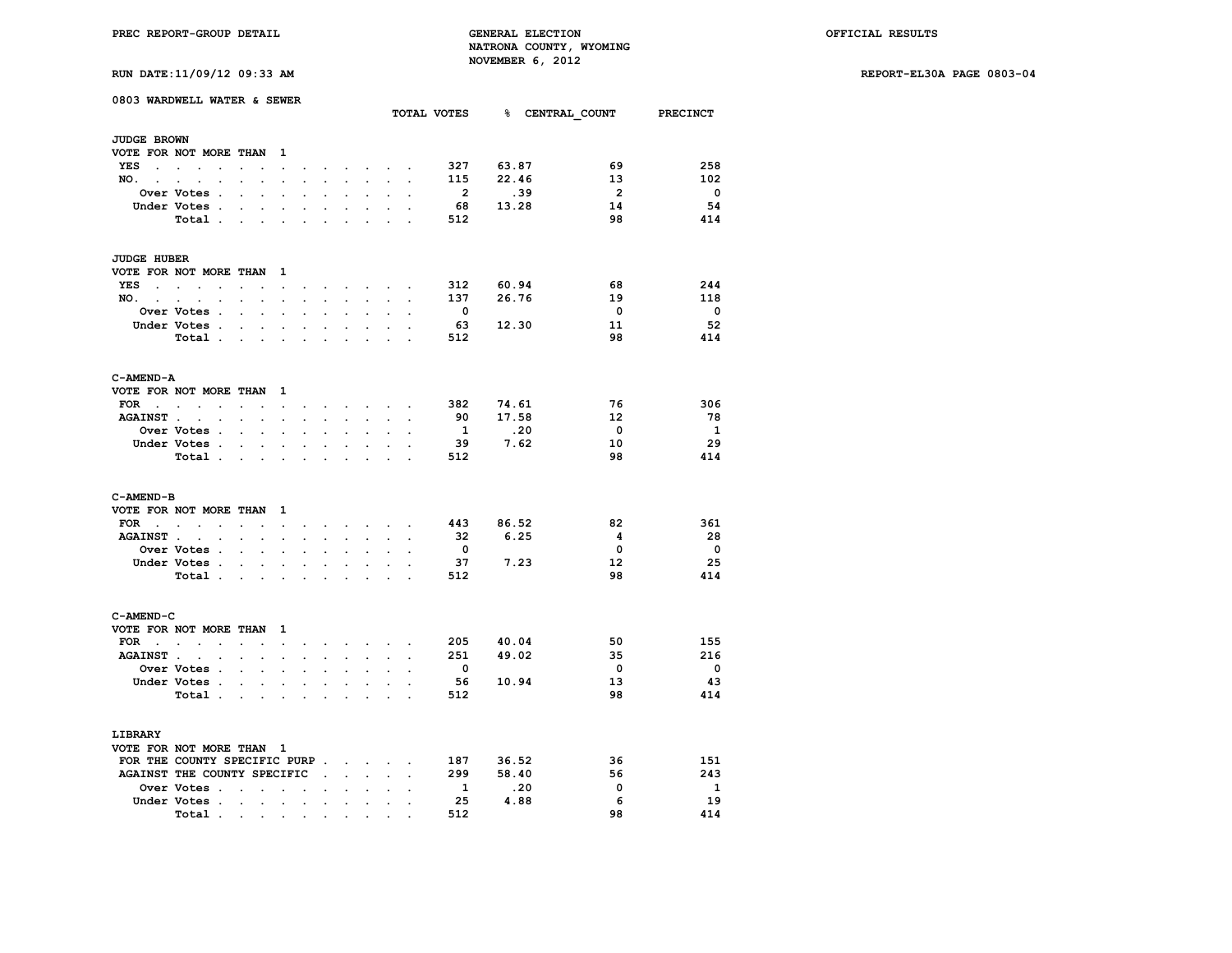**RUN DATE:11/09/12 09:33 AM REPORT-EL30A PAGE 0803-04**

| RUN DATE:11/09/12 09:33 AM |  |
|----------------------------|--|
|----------------------------|--|

|                    | 0803 WARDWELL WATER & SEWER                                                     |                                      |                                                             |                      |                      |                                   |                      |                                                 | TOTAL VOTES 8 CENTRAL COUNT PRECINCT |                         |              |                         |                         |
|--------------------|---------------------------------------------------------------------------------|--------------------------------------|-------------------------------------------------------------|----------------------|----------------------|-----------------------------------|----------------------|-------------------------------------------------|--------------------------------------|-------------------------|--------------|-------------------------|-------------------------|
| <b>JUDGE BROWN</b> |                                                                                 |                                      |                                                             |                      |                      |                                   |                      |                                                 |                                      |                         |              |                         |                         |
|                    | VOTE FOR NOT MORE THAN                                                          |                                      | $\mathbf{1}$                                                |                      |                      |                                   |                      |                                                 |                                      |                         |              |                         |                         |
| YES                | the contract of the contract of the                                             |                                      | $\sim$                                                      | $\cdot$              |                      |                                   | $\sim$               |                                                 |                                      | 327                     | 63.87        | 69                      | 258                     |
| NO. .              | $\sim$<br>$\ddot{\phantom{0}}$<br>$\ddot{\phantom{a}}$                          | $\ddot{\phantom{0}}$                 | $\ddot{\phantom{a}}$                                        | $\ddot{\phantom{a}}$ | $\overline{a}$       | $\mathbf{r}$                      | $\sim$               | $\sim$                                          |                                      | 115                     | 22.46        | 13                      | 102                     |
|                    | Over Votes .                                                                    | $\ddot{\phantom{a}}$                 | $\ddot{\phantom{a}}$                                        | $\ddot{\phantom{a}}$ |                      |                                   | $\ddot{\phantom{a}}$ |                                                 |                                      | $\overline{\mathbf{2}}$ | .39          | $\overline{\mathbf{2}}$ | $\overline{\mathbf{0}}$ |
|                    | Under Votes .                                                                   |                                      |                                                             |                      |                      |                                   |                      |                                                 |                                      | 68                      | 13.28        | 14                      | 54                      |
|                    | Total                                                                           |                                      |                                                             |                      |                      |                                   |                      | $\ddot{\phantom{a}}$                            |                                      | 512                     |              | 98                      | 414                     |
|                    |                                                                                 |                                      |                                                             |                      |                      |                                   |                      |                                                 |                                      |                         |              |                         |                         |
| <b>JUDGE HUBER</b> |                                                                                 |                                      |                                                             |                      |                      |                                   |                      |                                                 |                                      |                         |              |                         |                         |
|                    | VOTE FOR NOT MORE THAN 1                                                        |                                      |                                                             |                      |                      |                                   |                      |                                                 |                                      |                         |              |                         |                         |
| YES                | $\bullet$                                                                       |                                      |                                                             |                      |                      |                                   |                      |                                                 |                                      | 312                     | 60.94        | 68                      | 244                     |
| $NO.$ $.$ $.$ $.$  | $\sim$                                                                          | $\sim$<br>$\sim$                     | $\mathbf{r}$                                                | $\sim$               | $\sim$               | $\sim$                            | $\sim$               | $\sim$                                          | $\ddot{\phantom{a}}$                 | 137                     | 26.76        | 19                      | 118                     |
|                    | Over Votes .                                                                    | $\ddot{\phantom{0}}$<br>$\mathbf{r}$ | $\overline{a}$                                              | $\overline{a}$       | $\overline{a}$       | $\overline{a}$                    | $\ddot{\phantom{a}}$ | $\overline{a}$                                  |                                      | $\mathbf{0}$            |              | $^{\circ}$              | $\Omega$                |
|                    | Under Votes .                                                                   | $\cdot$<br>$\ddot{\phantom{0}}$      |                                                             |                      |                      |                                   |                      |                                                 |                                      | 63                      | 12.30        | 11                      | 52                      |
|                    | Total                                                                           |                                      | $\ddot{\phantom{a}}$                                        | $\cdot$              |                      | $\cdot$                           | $\ddot{\phantom{a}}$ | $\cdot$                                         |                                      | 512                     |              | 98                      | 414                     |
| C-AMEND-A          |                                                                                 |                                      |                                                             |                      |                      |                                   |                      |                                                 |                                      |                         |              |                         |                         |
|                    | VOTE FOR NOT MORE THAN 1                                                        |                                      |                                                             |                      |                      |                                   |                      |                                                 |                                      |                         |              |                         |                         |
| FOR                | $\sim$                                                                          |                                      |                                                             |                      |                      |                                   |                      |                                                 |                                      | 382                     | 74.61        | 76                      | 306                     |
|                    | $\sim$<br>AGAINST                                                               |                                      | $\bullet$ .<br><br><br><br><br><br>                         | $\ddot{\phantom{0}}$ | $\ddot{\phantom{0}}$ | $\sim$                            | $\sim$               | $\bullet$ .                                     |                                      | 90                      | 17.58        | 12                      | 78                      |
|                    | Over Votes .                                                                    | $\sim$<br>$\mathbf{r}$               | $\mathcal{A}^{\mathcal{A}}$ and $\mathcal{A}^{\mathcal{A}}$ | $\ddot{\phantom{0}}$ | $\ddot{\phantom{a}}$ | $\bullet$ .                       | $\bullet$ .          | $\bullet$                                       | $\ddot{\phantom{a}}$                 | $\mathbf{1}$            | $\cdot$ . 20 | $\overline{\mathbf{0}}$ | $\mathbf{1}$            |
|                    |                                                                                 |                                      |                                                             |                      |                      |                                   |                      |                                                 |                                      | - 39                    | 7.62         | 10                      | 29                      |
|                    | Under Votes.                                                                    | the company of                       |                                                             | $\cdot$              |                      |                                   |                      |                                                 |                                      | 512                     |              | 98                      | 414                     |
|                    | Total                                                                           |                                      |                                                             | $\cdot$              | $\ddot{\phantom{a}}$ | $\ddot{\phantom{a}}$              | $\ddot{\phantom{a}}$ | $\ddot{\phantom{a}}$                            | $\cdot$                              |                         |              |                         |                         |
| C-AMEND-B          |                                                                                 |                                      |                                                             |                      |                      |                                   |                      |                                                 |                                      |                         |              |                         |                         |
|                    | VOTE FOR NOT MORE THAN                                                          |                                      | $\mathbf{1}$                                                |                      |                      |                                   |                      |                                                 |                                      |                         |              |                         |                         |
| FOR                | $\sim$<br>$\ddot{\phantom{a}}$                                                  | $\sim$                               | $\mathbf{a} = \mathbf{a} \times \mathbf{a}$ .               | $\cdot$              | $\cdot$              | <b>Contract Contract Contract</b> |                      | $\mathbf{z} = \mathbf{z} + \mathbf{z}$ .        | $\ddot{\phantom{a}}$                 | 443                     | 86.52        | 82                      | 361                     |
| <b>AGAINST</b> .   | $\sim$<br>$\ddot{\phantom{a}}$                                                  | $\mathbf{L} = \mathbf{L}$            | $\ddot{\phantom{a}}$                                        | $\ddot{\phantom{a}}$ |                      | $\mathbf{r}$                      | $\ddot{\phantom{0}}$ | $\sim$                                          |                                      | - 32                    | 6.25         | -4                      | 28                      |
|                    | Over Votes .                                                                    | $\ddot{\phantom{a}}$<br>$\sim$       |                                                             |                      |                      |                                   |                      |                                                 |                                      | $\mathbf{0}$            |              | 0                       | $\mathbf{o}$            |
|                    | Under Votes.                                                                    | $\sim$<br>$\sim$                     | $\ddot{\phantom{a}}$                                        | $\ddot{\phantom{a}}$ | $\ddot{\phantom{a}}$ | $\ddot{\phantom{a}}$              | $\ddot{\phantom{a}}$ | $\ddot{\phantom{a}}$                            |                                      | - 37                    | 7.23         | 12                      | 25                      |
|                    | Total                                                                           |                                      |                                                             |                      |                      |                                   |                      |                                                 |                                      | 512                     |              | 98                      | 414                     |
|                    |                                                                                 |                                      |                                                             |                      |                      |                                   |                      |                                                 |                                      |                         |              |                         |                         |
| C-AMEND-C          | VOTE FOR NOT MORE THAN                                                          |                                      | $\mathbf{1}$                                                |                      |                      |                                   |                      |                                                 |                                      |                         |              |                         |                         |
| FOR                | the contract of the contract of the contract of the contract of the contract of |                                      |                                                             | $\ddot{\phantom{0}}$ |                      |                                   |                      | the contract of the contract of the contract of |                                      | 205                     | 40.04        | 50                      | 155                     |
| <b>AGAINST</b> .   | $\ddot{\phantom{0}}$<br>$\cdot$                                                 |                                      |                                                             |                      |                      |                                   |                      |                                                 |                                      | 251                     | 49.02        | 35                      | 216                     |
|                    | <b>Over Votes .</b>                                                             | $\sim$<br>$\mathbf{r}$               | $\overline{a}$                                              | $\cdot$              |                      |                                   |                      |                                                 |                                      | $\overline{\mathbf{0}}$ |              | $\mathbf 0$             | $\overline{\mathbf{0}}$ |
|                    | Under Votes.                                                                    | $\sim$<br>$\sim 100$ km s $^{-1}$    |                                                             | $\ddot{\phantom{0}}$ | $\ddot{\phantom{0}}$ |                                   | $\ddot{\phantom{0}}$ | $\cdot$                                         |                                      | 56                      | 10.94        | 13                      | 43                      |
|                    | Total .                                                                         | $\sim$<br>$\ddot{\phantom{a}}$       |                                                             |                      |                      |                                   |                      |                                                 |                                      | 512                     |              | 98                      | 414                     |
|                    |                                                                                 |                                      |                                                             |                      |                      |                                   |                      |                                                 |                                      |                         |              |                         |                         |
| LIBRARY            |                                                                                 |                                      |                                                             |                      |                      |                                   |                      |                                                 |                                      |                         |              |                         |                         |
|                    | VOTE FOR NOT MORE THAN 1                                                        |                                      |                                                             |                      |                      |                                   |                      |                                                 |                                      |                         |              |                         |                         |
|                    | FOR THE COUNTY SPECIFIC PURP                                                    |                                      |                                                             |                      |                      |                                   |                      |                                                 |                                      | 187                     | 36.52        | 36                      | 151                     |
|                    | AGAINST THE COUNTY SPECIFIC                                                     |                                      |                                                             |                      | $\sim$               | $\ddot{\phantom{0}}$              | $\ddot{\phantom{0}}$ | $\sim$                                          |                                      | 299                     | 58.40        | 56                      | 243                     |
|                    | Over Votes .                                                                    | $\sim$<br>$\ddot{\phantom{a}}$       | $\sim$                                                      | $\ddot{\phantom{a}}$ | $\cdot$              | $\ddot{\phantom{a}}$              | $\ddot{\phantom{a}}$ | $\cdot$                                         |                                      | 1                       | .20          | 0                       | - 1                     |
|                    | Under Votes .                                                                   | $\cdot$<br>$\ddot{\phantom{a}}$      |                                                             |                      |                      |                                   |                      |                                                 |                                      | 25                      | 4.88         | 6                       | 19                      |
|                    | Total.                                                                          | $\ddot{\phantom{a}}$<br>$\sim$       | $\cdot$                                                     | $\cdot$              | $\ddot{\phantom{0}}$ | $\ddot{\phantom{0}}$              |                      |                                                 |                                      | 512                     |              | 98                      | 414                     |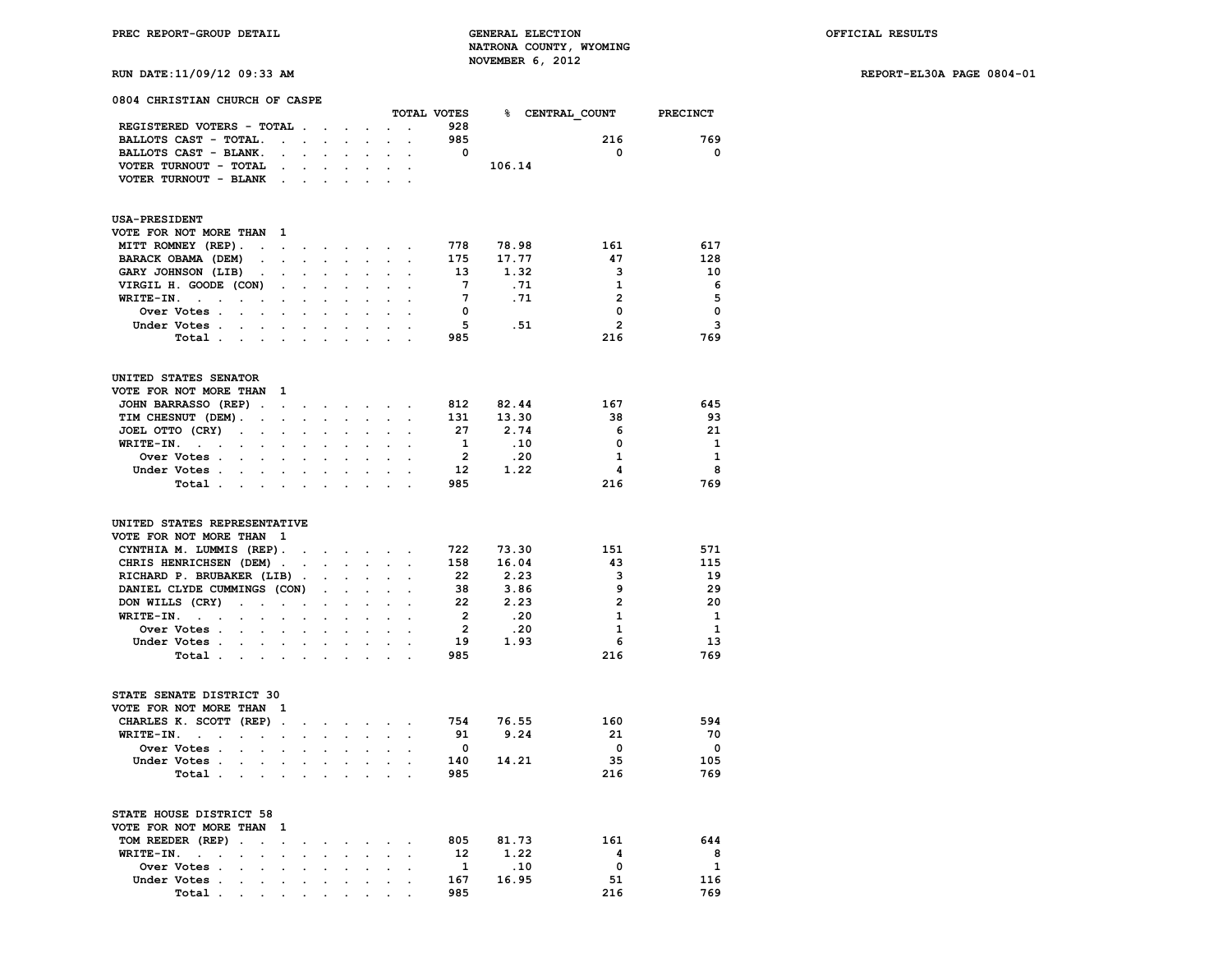# **RUN DATE:11/09/12 09:33 AM REPORT-EL30A PAGE 0804-01**

| 0804 CHRISTIAN CHURCH OF CASPE                                                                                                                |                           |                                 |                                      |                                |                                        |                      |                                              |                         |                        |                         |                         |
|-----------------------------------------------------------------------------------------------------------------------------------------------|---------------------------|---------------------------------|--------------------------------------|--------------------------------|----------------------------------------|----------------------|----------------------------------------------|-------------------------|------------------------|-------------------------|-------------------------|
|                                                                                                                                               |                           |                                 |                                      |                                |                                        |                      |                                              | TOTAL VOTES<br>928      |                        | <b>% CENTRAL COUNT</b>  | <b>PRECINCT</b>         |
| REGISTERED VOTERS - TOTAL                                                                                                                     |                           |                                 |                                      |                                |                                        |                      | $\sim$                                       |                         |                        |                         |                         |
| BALLOTS CAST - TOTAL.                                                                                                                         | $\mathbf{r} = \mathbf{r}$ |                                 | $\sim$                               | $\ddot{\phantom{a}}$           | $\ddot{\phantom{0}}$                   | $\sim$               | $\ddot{\phantom{0}}$                         | 985                     |                        | 216                     | 769                     |
| BALLOTS CAST - BLANK.                                                                                                                         | $\ddot{\phantom{0}}$      | $\overline{a}$                  |                                      |                                | $\ddot{\phantom{a}}$                   | $\mathbf{r}$         | $\overline{a}$                               | $\overline{\mathbf{0}}$ |                        | $\mathbf{o}$            | $\mathbf 0$             |
| VOTER TURNOUT - TOTAL                                                                                                                         | $\ddot{\phantom{a}}$      |                                 | $\overline{a}$                       | $\mathbf{r}$                   | $\ddot{\phantom{a}}$                   | $\ddot{\phantom{a}}$ |                                              |                         | 106.14                 |                         |                         |
| VOTER TURNOUT - BLANK                                                                                                                         | $\ddot{\phantom{a}}$      | $\cdot$                         |                                      |                                |                                        |                      |                                              |                         |                        |                         |                         |
| <b>USA-PRESIDENT</b>                                                                                                                          |                           |                                 |                                      |                                |                                        |                      |                                              |                         |                        |                         |                         |
| VOTE FOR NOT MORE THAN                                                                                                                        | $\mathbf{1}$              |                                 |                                      |                                |                                        |                      |                                              |                         |                        |                         |                         |
| MITT ROMNEY (REP).<br>$\sim$                                                                                                                  | $\ddot{\phantom{0}}$      | $\sim$                          | $\sim$                               | $\sim$                         |                                        | $\sim$ $\sim$        |                                              | 778                     | 78.98                  | 161                     | 617                     |
| BARACK OBAMA (DEM)<br>$\ddot{\phantom{0}}$                                                                                                    |                           | $\ddot{\phantom{0}}$            | $\mathcal{L}^{\mathcal{L}}$          | $\ddot{\phantom{a}}$           | $\mathcal{L}^{\mathcal{L}}$            | $\ddot{\phantom{a}}$ | $\ddot{\phantom{0}}$                         | 175                     | 17.77                  | 47                      | 128                     |
| GARY JOHNSON (LIB)<br>$\sim$                                                                                                                  | $\ddot{\phantom{0}}$      | $\ddot{\phantom{a}}$            | $\ddot{\phantom{a}}$                 |                                | $\ddot{\phantom{a}}$                   | $\cdot$              |                                              | 13                      | 1.32                   | 3                       | 10                      |
| VIRGIL H. GOODE (CON)                                                                                                                         | $\ddot{\phantom{a}}$      |                                 |                                      |                                |                                        |                      |                                              | $7\phantom{.0}$         | .71                    | $\mathbf{1}$            | - 6                     |
| WRITE-IN.<br>$\sim$<br>$\overline{a}$<br>$\ddot{\phantom{0}}$<br>$\ddot{\phantom{0}}$                                                         | $\bullet$                 | $\ddot{\phantom{0}}$            | $\bullet$                            |                                | $\ddot{\phantom{0}}$                   |                      |                                              | $7\overline{ }$         | .71                    | $\overline{2}$          | 5                       |
| Over Votes .<br>$\mathcal{L}^{\text{max}}$ , where $\mathcal{L}^{\text{max}}$                                                                 |                           | $\overline{a}$                  | $\sim$                               |                                | $\cdot$                                |                      | $\ddot{\phantom{a}}$                         | $\overline{\mathbf{0}}$ |                        | 0                       | $\mathbf 0$             |
| Under Votes .<br>$\ddot{\phantom{a}}$<br>$\sim$                                                                                               | $\sim$                    | $\cdot$                         | $\ddot{\phantom{a}}$                 | $\ddot{\phantom{a}}$           | $\cdot$                                | $\cdot$              | $\cdot$                                      | - 5                     | .51                    | $\overline{2}$          | 3                       |
| Total                                                                                                                                         |                           | $\mathbf{r}$                    | $\sim$                               |                                |                                        |                      |                                              | 985                     |                        | 216                     | 769                     |
|                                                                                                                                               |                           |                                 |                                      |                                |                                        |                      |                                              |                         |                        |                         |                         |
| UNITED STATES SENATOR                                                                                                                         |                           |                                 |                                      |                                |                                        |                      |                                              |                         |                        |                         |                         |
| VOTE FOR NOT MORE THAN                                                                                                                        | 1                         |                                 |                                      |                                |                                        |                      |                                              |                         |                        |                         |                         |
| JOHN BARRASSO (REP).                                                                                                                          | $\ddot{\phantom{0}}$      | $\ddot{\phantom{a}}$            | $\ddot{\phantom{0}}$                 |                                | $\blacksquare$                         |                      |                                              | 812                     | 82.44                  | 167                     | 645                     |
| TIM CHESNUT (DEM).<br>$\ddot{\phantom{0}}$                                                                                                    | $\ddot{\phantom{0}}$      | $\ddot{\phantom{a}}$            | $\sim$                               |                                |                                        |                      |                                              | 131                     | 13.30                  | 38                      | 93                      |
| JOEL OTTO (CRY)<br>$\ddot{\phantom{a}}$<br>$\ddot{\phantom{0}}$                                                                               | $\ddot{\phantom{0}}$      | $\ddot{\phantom{a}}$            | $\cdot$                              | $\ddot{\phantom{a}}$           | $\ddot{\phantom{a}}$                   | $\cdot$              |                                              | 27                      | 2.74                   | 6                       | 21                      |
| WRITE-IN.<br>$\sim 10^{-1}$ km $^{-1}$<br>$\ddot{\phantom{0}}$<br>$\ddot{\phantom{0}}$                                                        | $\ddot{\phantom{0}}$      | $\ddot{\phantom{a}}$            | $\ddot{\phantom{a}}$                 |                                | $\cdot$                                | $\cdot$              | $\ddot{\phantom{a}}$                         | $\mathbf{1}$            | .10                    | $\mathbf 0$             | 1                       |
| Over Votes .<br>$\sim$                                                                                                                        |                           |                                 |                                      |                                |                                        |                      |                                              | $\overline{\mathbf{2}}$ | .20                    | $\overline{\mathbf{1}}$ | $\mathbf{1}$            |
| Under Votes.<br>$\sim$ $\sim$<br>$\ddot{\phantom{0}}$                                                                                         | $\ddot{\phantom{a}}$      | $\ddot{\phantom{a}}$            | $\sim$                               |                                |                                        |                      | $\ddot{\phantom{a}}$                         | $12 \overline{ }$       | 1.22                   | 4                       | 8                       |
| Total                                                                                                                                         | $\cdot$                   | $\cdot$                         | $\mathbf{r}$                         |                                | $\mathbf{r}$                           |                      |                                              | 985                     |                        | 216                     | 769                     |
| UNITED STATES REPRESENTATIVE<br>VOTE FOR NOT MORE THAN 1<br>CYNTHIA M. LUMMIS (REP).<br>CHRIS HENRICHSEN (DEM).<br>RICHARD P. BRUBAKER (LIB). |                           | $\cdot$<br>$\ddot{\phantom{0}}$ | $\mathbf{L}$<br>$\ddot{\phantom{a}}$ | $\sim$<br>$\ddot{\phantom{a}}$ | $\blacksquare$<br>$\ddot{\phantom{a}}$ | $\cdot$<br>$\cdot$   | $\ddot{\phantom{a}}$<br>$\ddot{\phantom{a}}$ | 722<br>158<br>22        | 73.30<br>16.04<br>2.23 | 151<br>43<br>3          | 571<br>115<br>19        |
| DANIEL CLYDE CUMMINGS (CON)                                                                                                                   |                           |                                 |                                      |                                |                                        |                      |                                              | 38                      | 3.86                   | 9                       | 29                      |
| DON WILLS (CRY)<br>$\ddot{\phantom{a}}$<br>$\mathbf{r}$                                                                                       | $\ddot{\phantom{0}}$      | $\cdot$                         | $\ddot{\phantom{0}}$                 | $\cdot$                        | $\ddot{\phantom{a}}$                   | $\ddot{\phantom{a}}$ | $\cdot$                                      | 22                      | 2.23                   | $\overline{2}$          | 20                      |
| WRITE-IN.<br><b>Carl Carl</b>                                                                                                                 |                           |                                 | $\ddot{\phantom{a}}$                 |                                | $\ddot{\phantom{a}}$                   |                      |                                              | $\overline{\mathbf{2}}$ | .20                    | $\mathbf{1}$            | $\mathbf{1}$            |
| $\ddot{\phantom{0}}$<br>$\ddot{\phantom{0}}$<br>Over Votes                                                                                    | $\ddot{\phantom{0}}$      | $\ddot{\phantom{a}}$            | $\ddot{\phantom{a}}$                 |                                | $\cdot$                                | $\cdot$              | $\ddot{\phantom{a}}$                         | $\overline{\mathbf{2}}$ | .20                    | 1                       | $\mathbf{1}$            |
|                                                                                                                                               |                           |                                 |                                      |                                |                                        |                      |                                              | 19                      |                        | 6                       | 13                      |
| Under Votes.<br>$\sim$ $\sim$<br>$\cdot$                                                                                                      | $\cdot$                   | $\cdot$                         | $\sim$                               |                                | $\ddot{\phantom{a}}$                   | $\cdot$              | $\cdot$                                      |                         | 1.93                   |                         |                         |
| Total                                                                                                                                         |                           | $\cdot$                         | $\sim$                               | $\cdot$                        | $\mathbf{r}$                           |                      |                                              | 985                     |                        | 216                     | 769                     |
| STATE SENATE DISTRICT 30                                                                                                                      |                           |                                 |                                      |                                |                                        |                      |                                              |                         |                        |                         |                         |
| VOTE FOR NOT MORE THAN 1                                                                                                                      |                           |                                 |                                      |                                |                                        |                      |                                              |                         |                        |                         |                         |
| CHARLES K. SCOTT (REP).                                                                                                                       |                           | $\cdot$                         | $\mathbf{L}^{\text{max}}$            | $\ddot{\phantom{0}}$           | $\ddot{\phantom{0}}$                   | $\cdot$              | $\ddot{\phantom{a}}$                         | 754                     | 76.55                  | 160                     | 594                     |
| WRITE-IN.<br>$\sim 10^{-11}$<br>$\ddot{\phantom{0}}$<br>$\mathcal{L}_{\mathcal{A}}$<br>$\ddot{\phantom{0}}$                                   | $\cdot$                   | $\ddot{\phantom{a}}$            | $\blacksquare$                       | $\ddot{\phantom{a}}$           | $\ddot{\phantom{0}}$                   | $\cdot$              | $\ddot{\phantom{a}}$                         | 91                      | 9.24                   | 21                      | 70                      |
| Over Votes .                                                                                                                                  | $\overline{a}$            |                                 |                                      |                                |                                        |                      |                                              | $\overline{\mathbf{0}}$ |                        | $\overline{\mathbf{0}}$ | $\overline{\mathbf{0}}$ |
| Under Votes .<br>$\sim$<br>$\ddot{\phantom{a}}$                                                                                               | $\ddot{\phantom{0}}$      | $\ddot{\phantom{a}}$            | $\ddot{\phantom{0}}$                 | $\ddot{\phantom{a}}$           | $\ddot{\phantom{a}}$                   |                      | $\ddot{\phantom{a}}$                         | 140                     | 14.21                  | 35                      | 105                     |
| Total                                                                                                                                         | $\ddot{\phantom{a}}$      | $\ddot{\phantom{a}}$            |                                      | $\cdot$                        | $\ddot{\phantom{a}}$                   |                      |                                              | 985                     |                        | 216                     | 769                     |
| STATE HOUSE DISTRICT 58<br>VOTE FOR NOT MORE THAN                                                                                             | 1                         |                                 |                                      |                                |                                        |                      |                                              |                         |                        |                         |                         |
| TOM REEDER (REP).<br>$\ddot{\phantom{0}}$                                                                                                     | $\ddot{\phantom{0}}$      |                                 |                                      |                                |                                        |                      |                                              | 805                     | 81.73                  | 161                     | 644                     |
| WRITE-IN.<br>$\sim$<br>$\ddot{\phantom{0}}$                                                                                                   |                           | $\cdot$                         | $\cdot$                              |                                |                                        |                      |                                              | 12                      | 1.22                   | $\overline{\mathbf{4}}$ | 8                       |
| Over Votes .                                                                                                                                  |                           |                                 |                                      |                                |                                        |                      |                                              | $\mathbf{1}$            | .10                    | $\mathbf 0$             | 1                       |
| Under Votes .<br>$\ddot{\phantom{0}}$                                                                                                         | $\ddot{\phantom{0}}$      | $\ddot{\phantom{0}}$            | $\ddot{\phantom{0}}$                 | $\ddot{\phantom{a}}$           | $\ddot{\phantom{a}}$                   |                      |                                              | 167                     | 16.95                  | 51                      | 116                     |
| Total.                                                                                                                                        |                           |                                 |                                      |                                |                                        |                      |                                              | 985                     |                        | 216                     | 769                     |
|                                                                                                                                               |                           |                                 |                                      |                                |                                        |                      |                                              |                         |                        |                         |                         |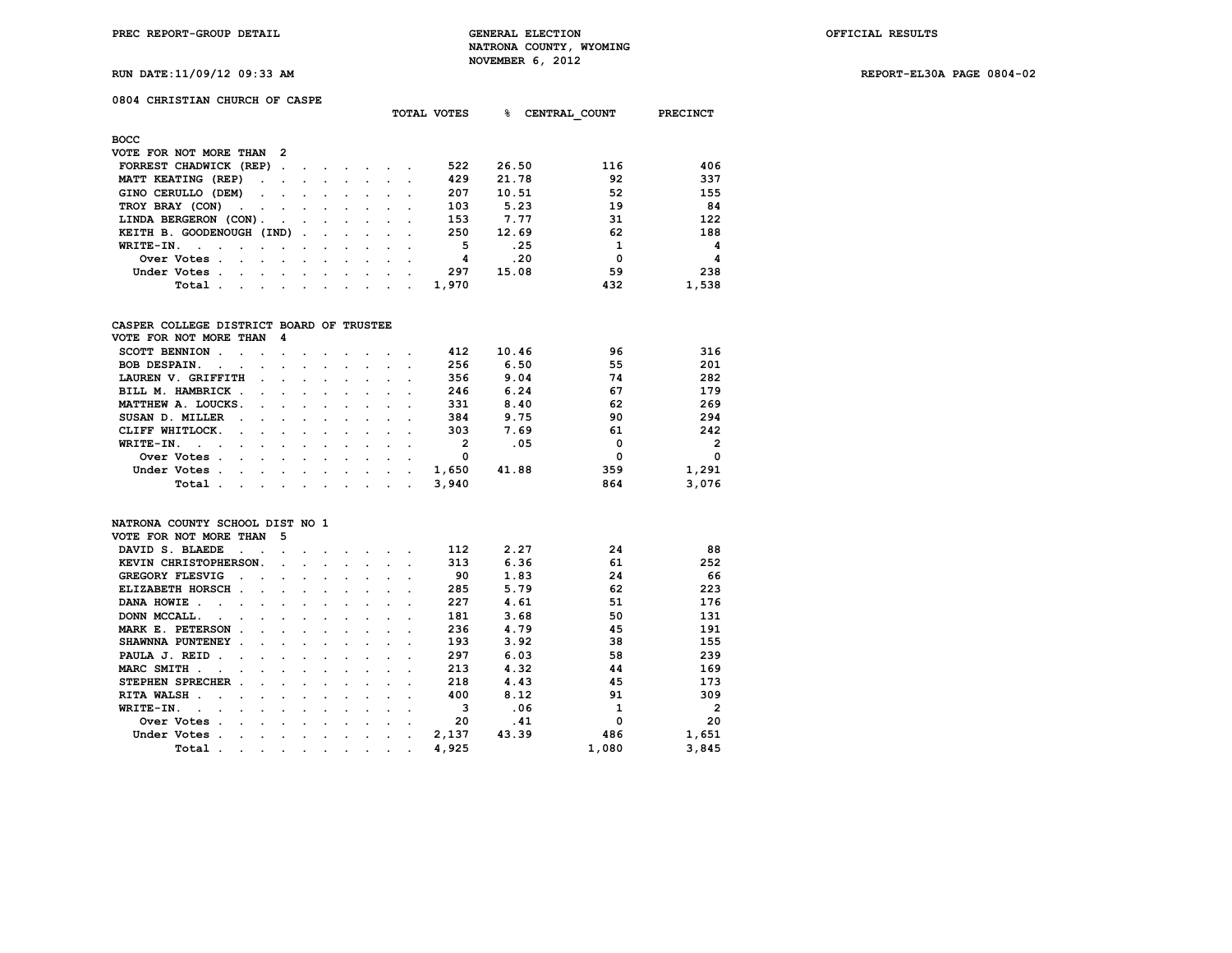**TOTAL VOTES % CENTRAL\_COUNT PRECINCT**

**RUN DATE:11/09/12 09:33 AM REPORT-EL30A PAGE 0804-02**

# **0804 CHRISTIAN CHURCH OF CASPE**

| <b>BOCC</b>                                                                                                                    |                                                                                                                 |  |  |                                                                                                                                                                                                                                   |  |  |        |       |       |     |       |
|--------------------------------------------------------------------------------------------------------------------------------|-----------------------------------------------------------------------------------------------------------------|--|--|-----------------------------------------------------------------------------------------------------------------------------------------------------------------------------------------------------------------------------------|--|--|--------|-------|-------|-----|-------|
| VOTE FOR NOT MORE THAN 2                                                                                                       |                                                                                                                 |  |  |                                                                                                                                                                                                                                   |  |  |        |       |       |     |       |
| FORREST CHADWICK (REP)                                                                                                         |                                                                                                                 |  |  |                                                                                                                                                                                                                                   |  |  |        | 522   | 26.50 | 116 | 406   |
| MATT KEATING (REP)                                                                                                             |                                                                                                                 |  |  |                                                                                                                                                                                                                                   |  |  |        | 429   | 21.78 | 92  | 337   |
| GINO CERULLO (DEM)                                                                                                             |                                                                                                                 |  |  |                                                                                                                                                                                                                                   |  |  |        | 207   | 10.51 | 52  | 155   |
| TROY BRAY (CON)                                                                                                                |                                                                                                                 |  |  |                                                                                                                                                                                                                                   |  |  |        | 103   | 5.23  | 19  | 84    |
| LINDA BERGERON (CON).                                                                                                          | the contract of the contract of the contract of the contract of the contract of the contract of the contract of |  |  |                                                                                                                                                                                                                                   |  |  |        | 153   | 7.77  | 31  | 122   |
| KEITH B. GOODENOUGH (IND)                                                                                                      |                                                                                                                 |  |  |                                                                                                                                                                                                                                   |  |  |        | 250   | 12.69 | 62  | 188   |
| $WRITE-IN.$                                                                                                                    |                                                                                                                 |  |  | $\mathbf{r}$ . The set of the set of the set of the set of the set of the set of the set of the set of the set of the set of the set of the set of the set of the set of the set of the set of the set of the set of the set of t |  |  |        | 5     | .25   |     | 4     |
| Over Votes.<br>the contract of the contract of the contract of the contract of the contract of the contract of the contract of |                                                                                                                 |  |  |                                                                                                                                                                                                                                   |  |  |        | 4     | .20   | 0   | 4     |
| Under Votes.                                                                                                                   | the company of the company of the company of the company of the company of the company of                       |  |  |                                                                                                                                                                                                                                   |  |  | $\sim$ | 297   | 15.08 | 59  | 238   |
| Total .                                                                                                                        | the contract of the contract of the contract of the contract of the contract of the contract of the contract of |  |  |                                                                                                                                                                                                                                   |  |  |        | 1,970 |       | 432 | 1,538 |

## **CASPER COLLEGE DISTRICT BOARD OF TRUSTEE**

| VOTE FOR NOT MORE THAN                                                                                                                                                                                                                                  | - 4                                                                                                                                                                                                                           |  |  |        |        |       |       |     |                |
|---------------------------------------------------------------------------------------------------------------------------------------------------------------------------------------------------------------------------------------------------------|-------------------------------------------------------------------------------------------------------------------------------------------------------------------------------------------------------------------------------|--|--|--------|--------|-------|-------|-----|----------------|
| SCOTT BENNION.                                                                                                                                                                                                                                          | the company of the company of the company of the company of the company of the company of the company of the company of the company of the company of the company of the company of the company of the company of the company |  |  |        |        | 412   | 10.46 | 96  | 316            |
| <b>BOB DESPAIN.</b><br>$\sim$<br>$\sim$                                                                                                                                                                                                                 | and a series of the series of the series of the series of the series of the series of the series of the series                                                                                                                |  |  |        |        | 256   | 6.50  | 55  | 201            |
| LAUREN V. GRIFFITH<br>$\sim$                                                                                                                                                                                                                            | the contract of the contract of the contract of the contract of the contract of the contract of the contract of                                                                                                               |  |  |        |        | 356   | 9.04  | 74  | 282            |
| BILL M. HAMBRICK.                                                                                                                                                                                                                                       | the contract of the contract of the contract of the contract of the contract of                                                                                                                                               |  |  |        |        | 246   | 6.24  | 67  | 179            |
| MATTHEW A. LOUCKS.                                                                                                                                                                                                                                      | the company of the company of the company of the company of the company of the company of                                                                                                                                     |  |  |        |        | 331   | 8.40  | 62  | 269            |
| SUSAN D. MILLER<br>$\sim$                                                                                                                                                                                                                               | the contract of the contract of the contract of the contract of the contract of the contract of the contract of                                                                                                               |  |  |        |        | 384   | 9.75  | 90  | 294            |
| CLIFF WHITLOCK.<br>the contract of the contract of the contract of the contract of the contract of the contract of the contract of                                                                                                                      |                                                                                                                                                                                                                               |  |  |        |        | 303   | 7.69  | 61  | 242            |
| WRITE-IN.                                                                                                                                                                                                                                               |                                                                                                                                                                                                                               |  |  |        |        | 2     | .05   | 0   | $\overline{2}$ |
| Over Votes.<br>$\sim$                                                                                                                                                                                                                                   |                                                                                                                                                                                                                               |  |  | $\sim$ |        | 0     |       | 0   | $\Omega$       |
| Under Votes.<br>the company of the company of the company of the company of the company of the company of the company of the company of the company of the company of the company of the company of the company of the company of the company<br>$\sim$ |                                                                                                                                                                                                                               |  |  |        | $\sim$ | 1,650 | 41.88 | 359 | 1,291          |
| Total                                                                                                                                                                                                                                                   | the company of the company of the company of the company of the company of the company of                                                                                                                                     |  |  |        |        | 3,940 |       | 864 | 3,076          |

### **NATRONA COUNTY SCHOOL DIST NO 1**

| VOTE FOR NOT MORE THAN                | 5         |         |         |                      |         |   |       |       |       |       |
|---------------------------------------|-----------|---------|---------|----------------------|---------|---|-------|-------|-------|-------|
| DAVID S. BLAEDE                       |           |         |         |                      |         |   | 112   | 2.27  | 24    | 88    |
| KEVIN CHRISTOPHERSON.                 | $\sim$    |         |         |                      |         |   | 313   | 6.36  | 61    | 252   |
| GREGORY FLESVIG                       |           |         |         |                      |         |   | 90    | 1.83  | 24    | 66    |
| ELIZABETH HORSCH.                     |           |         |         |                      |         |   | 285   | 5.79  | 62    | 223   |
| DANA HOWIE.                           |           | $\cdot$ |         |                      |         |   | 227   | 4.61  | 51    | 176   |
| DONN MCCALL.                          |           | $\sim$  | $\sim$  |                      |         |   | 181   | 3.68  | 50    | 131   |
| MARK E. PETERSON                      |           | $\cdot$ |         |                      |         |   | 236   | 4.79  | 45    | 191   |
| SHAWNNA PUNTENEY                      |           |         |         |                      |         |   | 193   | 3.92  | 38    | 155   |
| PAULA J. REID<br>$\ddot{\phantom{a}}$ | $\sim$    |         |         |                      |         |   | 297   | 6.03  | 58    | 239   |
| MARC SMITH.                           |           | $\cdot$ |         |                      |         |   | 213   | 4.32  | 44    | 169   |
| STEPHEN SPRECHER                      |           |         |         |                      |         |   | 218   | 4.43  | 45    | 173   |
| RITA WALSH.                           | $\sim$    | $\cdot$ |         |                      |         |   | 400   | 8.12  | 91    | 309   |
| WRITE-IN.                             |           |         |         |                      |         |   | 3     | .06   |       | 2     |
| Over Votes                            |           |         |         |                      |         |   | 20    | .41   | 0     | 20    |
| Under Votes                           |           | $\cdot$ |         | $\cdot$              | $\cdot$ |   | 2,137 | 43.39 | 486   | 1,651 |
| Total<br>$\cdot$                      | $\bullet$ | $\cdot$ | $\cdot$ | $\ddot{\phantom{0}}$ | $\cdot$ | ٠ | 4,925 |       | 1,080 | 3,845 |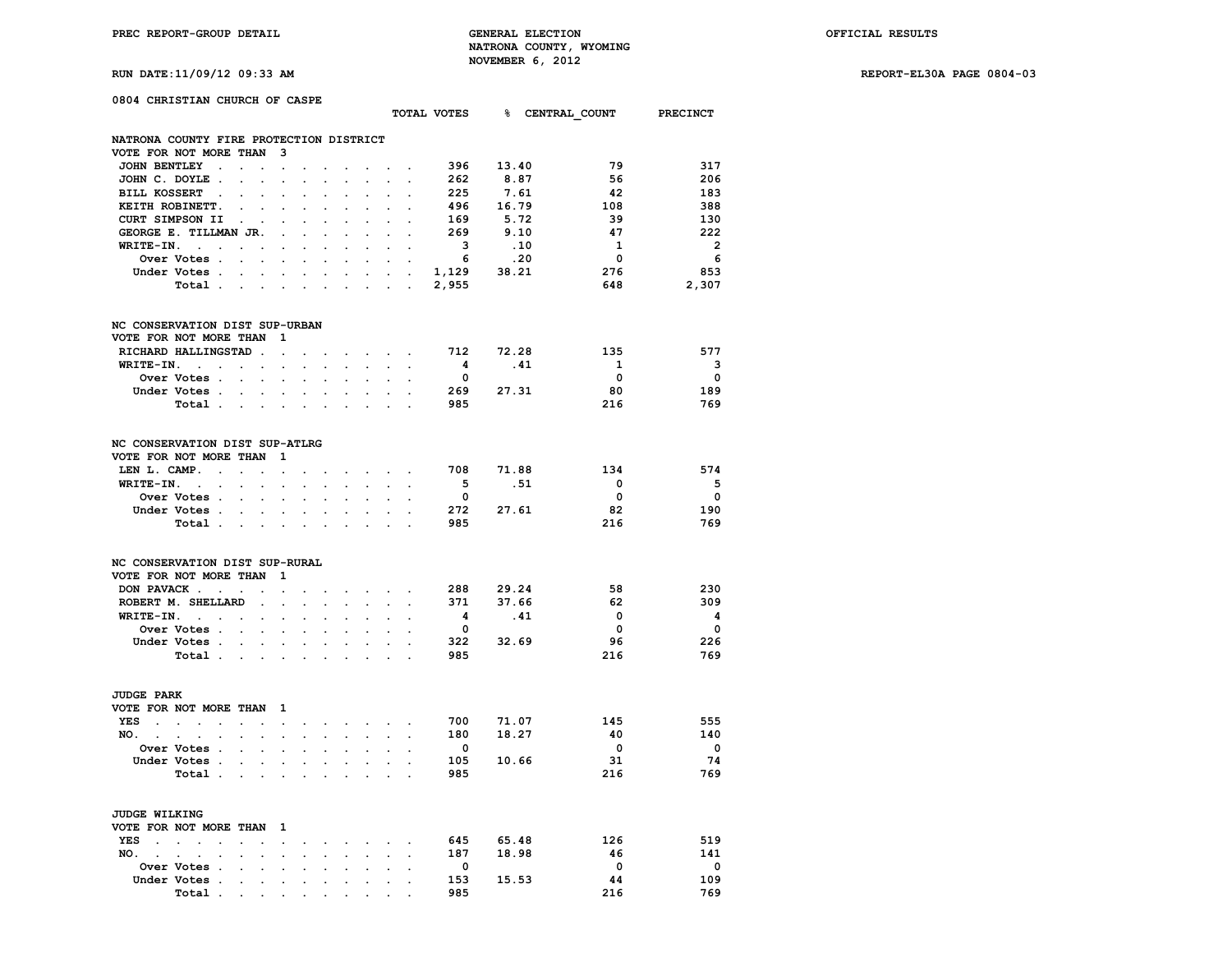**RUN DATE:11/09/12 09:33 AM REPORT-EL30A PAGE 0804-03**

| 0804 CHRISTIAN CHURCH OF CASPE                                                      |                                                                                                                                                                               |                                                                              | TOTAL VOTES 8 CENTRAL COUNT PRECINCT |                          |
|-------------------------------------------------------------------------------------|-------------------------------------------------------------------------------------------------------------------------------------------------------------------------------|------------------------------------------------------------------------------|--------------------------------------|--------------------------|
|                                                                                     |                                                                                                                                                                               |                                                                              |                                      |                          |
| NATRONA COUNTY FIRE PROTECTION DISTRICT<br>VOTE FOR NOT MORE THAN<br>- 3            |                                                                                                                                                                               |                                                                              |                                      |                          |
| JOHN BENTLEY .                                                                      |                                                                                                                                                                               | 396                                                                          | 13.40<br>79                          | 317                      |
| $\Box$<br>$\ddot{\phantom{0}}$                                                      | $\ddot{\phantom{0}}$                                                                                                                                                          | $\sim$ $\sim$                                                                | 56                                   | 206                      |
| JOHN C. DOYLE.<br>$\bullet$<br>$\ddot{\phantom{a}}$<br>$\cdot$                      | $\ddot{\phantom{0}}$<br>$\cdot$<br>$\ddot{\phantom{a}}$                                                                                                                       | 262<br>$\ddot{\phantom{0}}$<br>$\bullet$                                     | 8.87                                 |                          |
| BILL KOSSERT .                                                                      |                                                                                                                                                                               | 225                                                                          | 7.61<br>- 42                         | 183                      |
| KEITH ROBINETT.<br>$\ddot{\phantom{a}}$<br>$\cdot$<br>$\cdot$                       | $\ddot{\phantom{a}}$<br>$\cdot$                                                                                                                                               | $\cdot$<br>$\ddot{\phantom{a}}$                                              | 496 16.79<br>108                     | 388                      |
| CURT SIMPSON II<br>$\sim$ $\sim$<br>$\cdot$                                         | $\ddot{\phantom{a}}$<br>$\cdot$<br>$\sim$<br>$\sim$                                                                                                                           | 169<br>$\ddot{\phantom{a}}$<br>$\ddot{\phantom{a}}$                          | 5.72<br>- 39                         | 130                      |
| GEORGE E. TILLMAN JR.<br>$\cdot$                                                    | $\cdot$                                                                                                                                                                       | 269<br>$\cdot$<br>$\ddot{\phantom{a}}$                                       | 9.10<br>47                           | 222                      |
| $WRITE-IN.$                                                                         |                                                                                                                                                                               | $\overline{\mathbf{3}}$<br>$\sim$                                            | $\overline{\mathbf{1}}$<br>.10       | $\overline{\phantom{0}}$ |
| <b>Over Votes .</b><br>$\sim 100$                                                   |                                                                                                                                                                               | 6                                                                            | $\overline{\mathbf{0}}$<br>.20       | 6                        |
| Under Votes<br>$\bullet$ .                                                          | $\bullet$ .<br><br><br><br><br><br><br>                                                                                                                                       | $1,129$ $38.21$<br>$\mathbf{z} = \mathbf{z} + \mathbf{z}$ . The $\mathbf{z}$ | 276                                  | 853                      |
| Total<br>$\sim$                                                                     | $\ddot{\phantom{a}}$<br>$\sim$<br>$\ddot{\phantom{a}}$                                                                                                                        | 2,955<br><b>All Contracts</b>                                                | 648                                  | 2,307                    |
| NC CONSERVATION DIST SUP-URBAN                                                      |                                                                                                                                                                               |                                                                              |                                      |                          |
| VOTE FOR NOT MORE THAN<br>$\mathbf{1}$                                              |                                                                                                                                                                               |                                                                              |                                      |                          |
| RICHARD HALLINGSTAD.<br>$\sim$                                                      |                                                                                                                                                                               | 712                                                                          | 72.28<br>135                         | 577                      |
| $WRITE-IN.$<br>$\cdot$                                                              | the contract of the contract of the contract of<br>$\cdot$<br>the contract of the contract of the contract of the contract of the contract of the contract of the contract of | $\overline{\mathbf{4}}$                                                      | .41<br>$\mathbf{1}$                  | $\overline{\mathbf{3}}$  |
| Over Votes .                                                                        |                                                                                                                                                                               | $\overline{0}$                                                               | $\mathbf{0}$                         | $\overline{\mathbf{0}}$  |
| Under Votes                                                                         |                                                                                                                                                                               |                                                                              | 80                                   | 189                      |
| $\sim 10^{-1}$<br>$\bullet$                                                         | $\sim$<br>$\bullet$ .<br>$\ddot{\phantom{0}}$                                                                                                                                 | $\ddot{\phantom{a}}$<br>$\ddot{\phantom{a}}$                                 | 269 27.31<br>216                     | 769                      |
| Total<br>$\sim 10^{-11}$                                                            | $\cdot$<br>$\ddot{\phantom{a}}$<br>$\ddot{\phantom{a}}$<br>$\cdot$                                                                                                            | 985<br>$\cdot$                                                               |                                      |                          |
| NC CONSERVATION DIST SUP-ATLRG<br>VOTE FOR NOT MORE THAN<br>$\blacksquare$          |                                                                                                                                                                               |                                                                              |                                      |                          |
| LEN L. CAMP.<br>$\ddot{\phantom{0}}$<br>$\sim$<br>$\sim$<br>$\bullet$ .             | $\ddot{\phantom{a}}$<br>$\sim$<br>$\cdot$                                                                                                                                     | 708 —<br><b>Contract Contract</b>                                            | 134<br>71.88                         | 574                      |
| WRITE-IN. .<br>$\ddot{\phantom{a}}$<br>$\ddot{\phantom{a}}$<br>$\ddot{\phantom{a}}$ | $\sim$<br>$\ddot{\phantom{0}}$                                                                                                                                                | 5 <sub>1</sub>                                                               | $\overline{\phantom{0}}$<br>.51      | $-5$                     |
| Over Votes .                                                                        |                                                                                                                                                                               | $\overline{\mathbf{0}}$                                                      | $\overline{\mathbf{0}}$              | $\overline{\mathbf{0}}$  |
|                                                                                     |                                                                                                                                                                               |                                                                              | 272 27.61<br>82                      | 190                      |
| Under Votes<br>$\sim$<br>Total                                                      | $\ddot{\phantom{0}}$<br>$\sim$<br>$\sim$ $\sim$<br>$\ddot{\phantom{0}}$<br>$\ddot{\phantom{a}}$<br>$\ddot{\phantom{a}}$<br>$\sim$                                             | $\sim$<br>985<br>$\cdot$ $\cdot$ $\cdot$                                     | 216                                  | 769                      |
|                                                                                     |                                                                                                                                                                               |                                                                              |                                      |                          |
| NC CONSERVATION DIST SUP-RURAL                                                      |                                                                                                                                                                               |                                                                              |                                      |                          |
| VOTE FOR NOT MORE THAN 1                                                            |                                                                                                                                                                               |                                                                              |                                      |                          |
| DON PAVACK<br>$\mathbf{L}^{\text{max}}$<br>$\sim$                                   | $\ddot{\phantom{a}}$<br>$\sim$ $\sim$                                                                                                                                         | $\sim$                                                                       | 288 29.24<br>58                      | 230                      |
| ROBERT M. SHELLARD<br>$\sim 10^{-11}$<br>$\ddot{\phantom{a}}$                       | $\ddot{\phantom{0}}$<br>$\ddot{\phantom{0}}$                                                                                                                                  | $\sim$ $\sim$                                                                | 371 37.66<br>62                      | 309                      |
| $WRITE-IN.$                                                                         |                                                                                                                                                                               | $\overline{\mathbf{4}}$                                                      | $\overline{\mathbf{0}}$<br>.41       | $\overline{\mathbf{4}}$  |
| Over Votes<br>$\ddot{\phantom{a}}$<br>$\ddot{\phantom{a}}$                          | $\ddot{\phantom{a}}$<br>$\ddot{\phantom{0}}$                                                                                                                                  | $\mathbf{o}$<br>$\ddot{\phantom{a}}$                                         | $\mathbf 0$                          | $\mathbf 0$              |
| Under Votes<br>$\mathcal{L}^{\text{max}}$<br>$\sim$                                 | $\ddot{\phantom{a}}$<br>$\sim$<br>$\sim$<br>$\ddot{\phantom{0}}$                                                                                                              | $\sim$                                                                       | 322 32.69<br>96                      | 226                      |
| Total                                                                               | $\sim$<br>$\sim$<br>$\sim$<br>$\sim$                                                                                                                                          | 985<br>$\sim$<br>$\overline{a}$                                              | 216                                  | 769                      |
| <b>JUDGE PARK</b>                                                                   |                                                                                                                                                                               |                                                                              |                                      |                          |
| VOTE FOR NOT MORE THAN<br>$\mathbf{1}$                                              |                                                                                                                                                                               |                                                                              |                                      |                          |
| YES                                                                                 |                                                                                                                                                                               |                                                                              | 700 71.07<br>145                     | 555                      |
| $\bullet$ .<br>$\bullet$<br>NO.                                                     | $\ddot{\phantom{0}}$<br>$\mathcal{A}^{\mathcal{A}}$ , and $\mathcal{A}^{\mathcal{A}}$ , and $\mathcal{A}^{\mathcal{A}}$ , and $\mathcal{A}^{\mathcal{A}}$                     | 180                                                                          | 18.27<br>- 40                        | 140                      |
| $\ddot{\phantom{0}}$<br>$\ddot{\phantom{a}}$                                        |                                                                                                                                                                               | $\overline{\mathbf{0}}$                                                      | $\mathbf{0}$                         | $\overline{\phantom{0}}$ |
| Over Votes .<br>$\ddot{\phantom{0}}$<br>$\ddot{\phantom{a}}$<br>$\cdot$             | $\cdot$                                                                                                                                                                       | $\ddot{\phantom{a}}$                                                         |                                      |                          |
| Under Votes .<br>$\mathbf{r}$<br>$\mathcal{L}^{\text{max}}$<br>$\ddot{\phantom{0}}$ | $\ddot{\phantom{a}}$<br>$\ddot{\phantom{a}}$<br>$\bullet$<br>$\ddot{\phantom{0}}$                                                                                             | $\ddot{\phantom{a}}$<br>$\ddot{\phantom{0}}$                                 | 105 10.66<br>31                      | - 74                     |
| Total .<br>$\sim$ $\sim$<br>$\ddot{\phantom{a}}$                                    |                                                                                                                                                                               | 985                                                                          | 216                                  | 769                      |
| JUDGE WILKING                                                                       |                                                                                                                                                                               |                                                                              |                                      |                          |
| VOTE FOR NOT MORE THAN<br>$\mathbf{1}$                                              |                                                                                                                                                                               |                                                                              |                                      |                          |
| YES<br>$\bullet$<br>$\bullet$<br>$\ddot{\phantom{0}}$<br>$\cdot$                    | $\ddot{\phantom{a}}$<br>$\ddot{\phantom{0}}$                                                                                                                                  | $\sim$<br>$\cdot$                                                            | 126<br>645 65.48                     | 519                      |
| NO.<br>$\sim$<br>$\overline{a}$                                                     | $\mathbf{r}$                                                                                                                                                                  | 187<br>$\ddot{\phantom{a}}$                                                  | 18.98<br>- 46                        | 141                      |
| <b>Over Votes .</b><br>$\cdot$<br>$\ddot{\phantom{a}}$<br>$\ddot{\phantom{a}}$      | $\ddot{\phantom{0}}$                                                                                                                                                          | <b>0</b><br>$\ddot{\phantom{a}}$                                             | $\mathbf 0$                          | 0                        |
| Under Votes .                                                                       |                                                                                                                                                                               | 153                                                                          | 15.53<br>44                          | 109                      |
| $\ddot{\phantom{a}}$<br>$\cdot$<br>$\cdot$                                          | $\ddot{\phantom{0}}$<br>$\ddot{\phantom{a}}$<br>$\ddot{\phantom{0}}$<br>$\cdot$                                                                                               | $\ddot{\phantom{0}}$<br>$\ddot{\phantom{a}}$<br>985                          | 216                                  | 769                      |
| Total<br>$\cdot$<br>$\sim$                                                          |                                                                                                                                                                               |                                                                              |                                      |                          |

 **Total** . . . . . . . . . .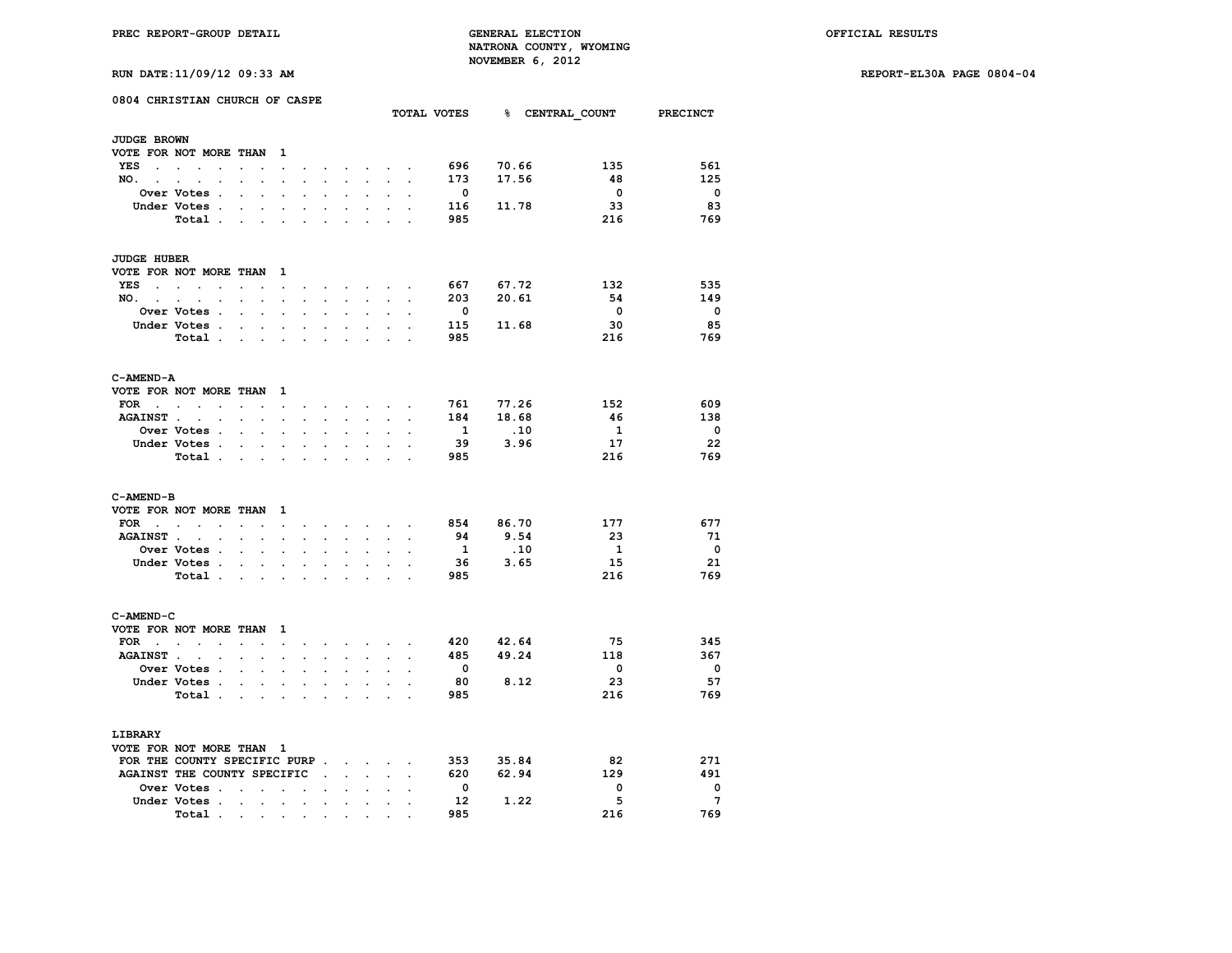**RUN DATE:11/09/12 09:33 AM REPORT-EL30A PAGE 0804-04**

|  |  |  |  |  | RUN DATE:11/09/12 09:33 AM |  |
|--|--|--|--|--|----------------------------|--|
|--|--|--|--|--|----------------------------|--|

|                          | 0804 CHRISTIAN CHURCH OF CASPE                            |                                              |                                |                      |                          |                      |                            |                      |                      | TOTAL VOTES              |       | <b>&amp; CENTRAL COUNT</b> | <b>PRECINCT</b>         |
|--------------------------|-----------------------------------------------------------|----------------------------------------------|--------------------------------|----------------------|--------------------------|----------------------|----------------------------|----------------------|----------------------|--------------------------|-------|----------------------------|-------------------------|
| <b>JUDGE BROWN</b>       |                                                           |                                              |                                |                      |                          |                      |                            |                      |                      |                          |       |                            |                         |
|                          | VOTE FOR NOT MORE THAN                                    |                                              | $\mathbf{1}$                   |                      |                          |                      |                            |                      |                      |                          |       |                            |                         |
| YES<br>$\sim$            | $\sim$                                                    |                                              |                                |                      |                          |                      |                            |                      |                      | 696                      | 70.66 | 135                        | 561                     |
|                          | $\sim$                                                    |                                              | $\overline{a}$                 |                      |                          |                      | $\sim$                     |                      |                      |                          |       |                            |                         |
| $NO.$ $.$                | $\bullet$                                                 | $\ddot{\phantom{0}}$                         | $\cdot$                        | $\cdot$              | $\ddot{\phantom{0}}$     | $\sim$               | $\mathcal{L}^{\text{max}}$ | $\ddot{\phantom{a}}$ | $\overline{a}$       | 173                      | 17.56 | 48                         | 125                     |
|                          | Over Votes.                                               |                                              |                                |                      |                          |                      |                            |                      |                      | $\overline{\phantom{0}}$ |       | $\overline{\mathbf{0}}$    | $\overline{\mathbf{0}}$ |
|                          | Under Votes.                                              | $\ddot{\phantom{0}}$                         |                                |                      |                          |                      | $\ddot{\phantom{a}}$       |                      |                      | 116                      | 11.78 | 33                         | 83                      |
|                          | Total .                                                   | $\ddot{\phantom{a}}$<br>$\ddot{\phantom{a}}$ |                                |                      |                          |                      |                            |                      |                      | 985                      |       | 216                        | 769                     |
| <b>JUDGE HUBER</b>       |                                                           |                                              |                                |                      |                          |                      |                            |                      |                      |                          |       |                            |                         |
|                          | VOTE FOR NOT MORE THAN                                    |                                              | -1                             |                      |                          |                      |                            |                      |                      |                          |       |                            |                         |
| YES<br>$\sim$            | $\sim$                                                    |                                              | $\cdot$                        |                      |                          |                      |                            |                      |                      | 667                      | 67.72 | 132                        | 535                     |
| NO.                      |                                                           |                                              |                                |                      |                          |                      |                            |                      |                      | 203                      | 20.61 | 54                         | 149                     |
| <b>Contract Contract</b> | $\cdot$<br>$\cdot$                                        | $\ddot{\phantom{a}}$<br>$\ddot{\phantom{0}}$ | $\ddot{\phantom{1}}$           | $\ddot{\phantom{0}}$ | $\cdot$                  | $\ddot{\phantom{a}}$ | $\ddot{\phantom{0}}$       | $\ddot{\phantom{a}}$ | $\ddot{\phantom{a}}$ |                          |       |                            |                         |
|                          | Over Votes .                                              |                                              |                                |                      |                          |                      |                            |                      |                      | $\overline{\mathbf{0}}$  |       | $\overline{\mathbf{0}}$    | $\overline{\mathbf{0}}$ |
|                          | Under Votes .                                             | $\ddot{\phantom{a}}$<br>$\ddot{\phantom{0}}$ | $\ddot{\phantom{a}}$           | $\ddot{\phantom{a}}$ | $\overline{\phantom{a}}$ | $\cdot$              | $\cdot$                    |                      |                      | 115                      | 11.68 | 30                         | 85                      |
|                          | Total.                                                    | $\sim$                                       | $\sim$<br>$\ddot{\phantom{a}}$ |                      |                          |                      |                            |                      |                      | 985                      |       | 216                        | 769                     |
| C-AMEND-A                |                                                           |                                              |                                |                      |                          |                      |                            |                      |                      |                          |       |                            |                         |
|                          | VOTE FOR NOT MORE THAN                                    |                                              | - 1                            |                      |                          |                      |                            |                      |                      |                          |       |                            |                         |
| FOR                      | $\sim$<br>$\bullet$                                       | $\bullet$<br>$\ddot{\phantom{0}}$            | $\blacksquare$                 |                      | $\ddot{\phantom{0}}$     | $\ddot{\phantom{0}}$ | $\sim$                     |                      |                      | 761                      | 77.26 | 152                        | 609                     |
| <b>AGAINST.</b>          | $\ddot{\phantom{a}}$<br>$\cdot$                           | $\cdot$                                      | $\ddot{\phantom{a}}$           |                      |                          |                      | $\ddot{\phantom{a}}$       |                      |                      | 184                      | 18.68 | -46                        | 138                     |
|                          | Over Votes .                                              |                                              |                                |                      |                          |                      |                            |                      |                      | $\mathbf{1}$             |       | 1                          | $\Omega$                |
|                          |                                                           | $\ddot{\phantom{a}}$<br>$\mathbf{r}$         |                                |                      |                          |                      |                            |                      |                      |                          | .10   |                            |                         |
|                          | Under Votes .                                             | $\bullet$<br>$\sim$                          | $\bullet$                      | $\ddot{\phantom{0}}$ |                          | $\overline{a}$       | $\ddot{\phantom{0}}$       | $\overline{a}$       |                      | - 39                     | 3.96  | 17                         | - 22                    |
|                          | Total .                                                   | $\mathbf{r}$                                 | $\sim$ $\sim$ $\sim$           | $\overline{a}$       |                          |                      |                            | ÷.                   |                      | 985                      |       | 216                        | 769                     |
| C-AMEND-B                |                                                           |                                              |                                |                      |                          |                      |                            |                      |                      |                          |       |                            |                         |
|                          | VOTE FOR NOT MORE THAN                                    |                                              | 1                              |                      |                          |                      |                            |                      |                      |                          |       |                            |                         |
| FOR                      | $\mathbf{r}$ , $\mathbf{r}$ , $\mathbf{r}$ , $\mathbf{r}$ | $\cdot$<br>$\bullet$                         | $\cdot$                        | $\ddot{\phantom{0}}$ | $\ddot{\phantom{a}}$     | $\bullet$            |                            | <b>All Cards</b>     | $\cdot$              | 854                      | 86.70 | 177                        | 677                     |
| <b>AGAINST.</b>          |                                                           |                                              |                                |                      |                          |                      |                            |                      |                      | 94                       | 9.54  | 23                         | -71                     |
|                          | <b>Over Votes .</b>                                       | $\overline{a}$<br>$\ddot{\phantom{a}}$       | $\overline{a}$                 |                      |                          |                      | $\cdot$                    |                      |                      | $\mathbf{1}$             | .10   | - 1                        | $\mathbf{o}$            |
|                          |                                                           |                                              |                                |                      |                          |                      |                            |                      |                      |                          |       | 15                         | 21                      |
|                          | Under Votes .                                             |                                              |                                |                      |                          |                      |                            |                      |                      | 36                       | 3.65  |                            |                         |
|                          | Total .                                                   |                                              |                                |                      |                          |                      |                            |                      |                      | 985                      |       | 216                        | 769                     |
| C-AMEND-C                |                                                           |                                              |                                |                      |                          |                      |                            |                      |                      |                          |       |                            |                         |
|                          | VOTE FOR NOT MORE THAN                                    |                                              | 1                              |                      |                          |                      |                            |                      |                      |                          |       |                            |                         |
| $FOR \t . \t .$          | $\bullet$                                                 | $\ddot{\phantom{a}}$<br>$\ddot{\phantom{a}}$ | $\cdot$                        |                      |                          | $\sim$               | $\sim$                     |                      |                      | 420                      | 42.64 | 75                         | 345                     |
| AGAINST                  |                                                           |                                              | $\ddot{\phantom{0}}$           |                      |                          |                      |                            |                      |                      | 485                      | 49.24 | 118                        | 367                     |
|                          | <b>Over Votes .</b>                                       | $\ddot{\phantom{a}}$<br>$\ddot{\phantom{a}}$ | $\ddot{\phantom{a}}$           | $\cdot$              |                          |                      | $\ddot{\phantom{a}}$       |                      |                      | $\mathbf{o}$             |       | $\mathbf 0$                | $\overline{\mathbf{0}}$ |
|                          | Under Votes .                                             |                                              |                                |                      |                          |                      |                            |                      |                      | 80                       | 8.12  | 23                         | 57                      |
|                          |                                                           |                                              |                                |                      |                          |                      |                            |                      |                      |                          |       |                            |                         |
|                          | Total.                                                    | $\cdot$                                      |                                |                      |                          |                      |                            |                      |                      | 985                      |       | 216                        | 769                     |
| LIBRARY                  |                                                           |                                              |                                |                      |                          |                      |                            |                      |                      |                          |       |                            |                         |
|                          | VOTE FOR NOT MORE THAN 1                                  |                                              |                                |                      |                          |                      |                            |                      |                      |                          |       |                            |                         |
|                          | FOR THE COUNTY SPECIFIC PURP                              |                                              |                                |                      |                          |                      | $\sim$                     |                      |                      | 353                      | 35.84 | 82                         | 271                     |
|                          | AGAINST THE COUNTY SPECIFIC                               |                                              |                                |                      | $\sim 10^{-11}$          | $\mathbf{r}$         | $\mathcal{L}^{\text{max}}$ | $\ddot{\phantom{0}}$ |                      | 620                      | 62.94 | 129                        | 491                     |
|                          | <b>Over Votes .</b>                                       |                                              |                                |                      |                          |                      |                            |                      |                      | $\mathbf{o}$             |       | 0                          | $\mathbf 0$             |
|                          | Under Votes .                                             | $\cdot$<br>$\ddot{\phantom{a}}$              | $\cdot$                        |                      | $\ddot{\phantom{a}}$     |                      | $\ddot{\phantom{a}}$       |                      |                      | 12                       | 1.22  | 5                          | $7\phantom{.0}$         |
|                          |                                                           |                                              |                                | $\ddot{\phantom{0}}$ |                          | $\cdot$              |                            |                      |                      | 985                      |       | 216                        | 769                     |
|                          | Total.                                                    | and the contract of                          | $\bullet$                      |                      |                          | $\bullet$            |                            |                      |                      |                          |       |                            |                         |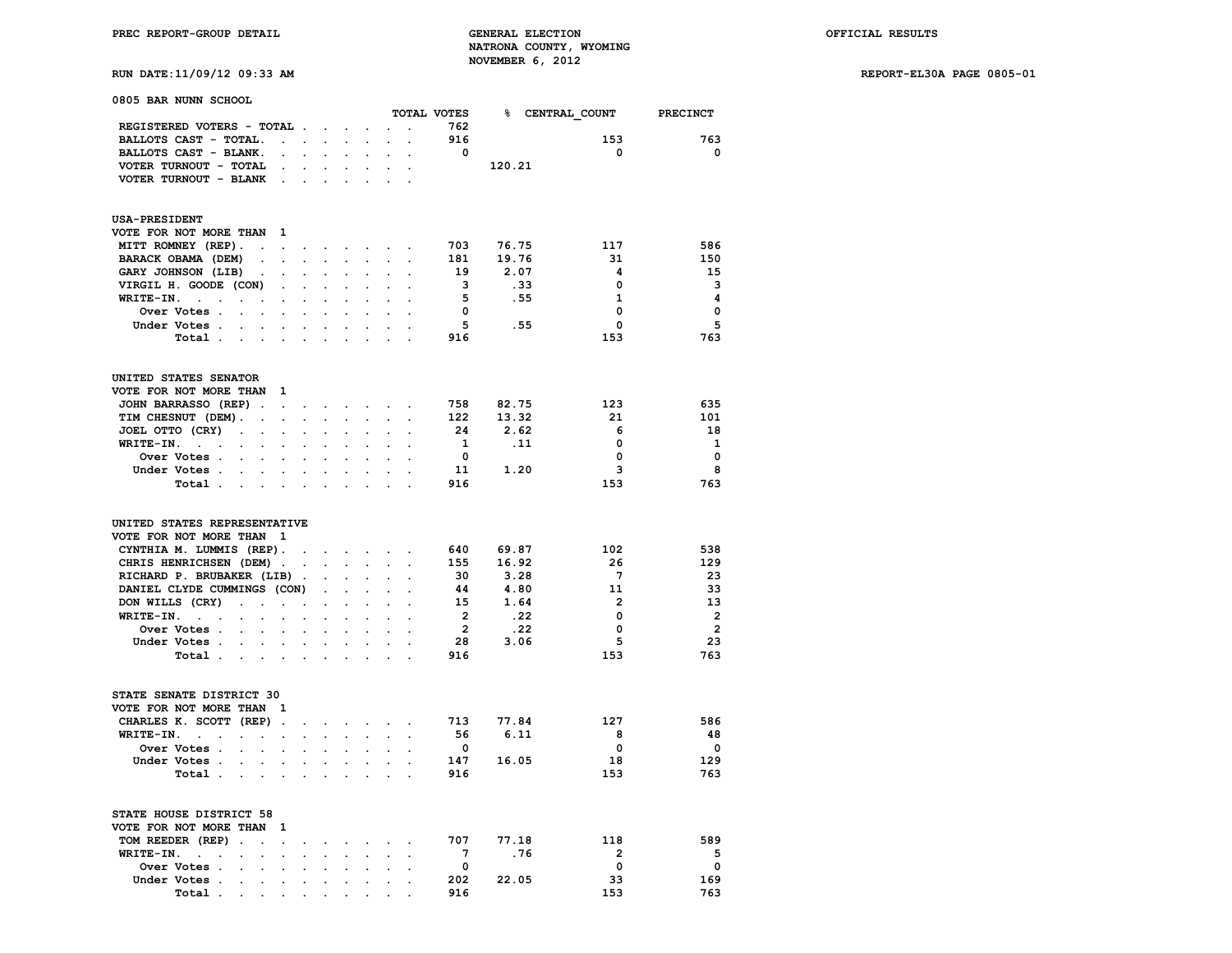# **RUN DATE:11/09/12 09:33 AM REPORT-EL30A PAGE 0805-01**

| 0805 BAR NUNN SCHOOL                                                                                                   |                      |                             |                      |                                                                                         |                      |                      |                         |            |                 |                         |
|------------------------------------------------------------------------------------------------------------------------|----------------------|-----------------------------|----------------------|-----------------------------------------------------------------------------------------|----------------------|----------------------|-------------------------|------------|-----------------|-------------------------|
|                                                                                                                        |                      |                             |                      |                                                                                         |                      |                      | TOTAL VOTES             |            | % CENTRAL COUNT | <b>PRECINCT</b>         |
| REGISTERED VOTERS - TOTAL                                                                                              |                      |                             |                      |                                                                                         |                      | $\cdot$              | 762                     |            |                 |                         |
| BALLOTS CAST - TOTAL.<br>$\cdot$ $\cdot$                                                                               |                      | $\sim$                      | $\ddot{\phantom{a}}$ | $\cdot$                                                                                 | $\mathbf{r}$         | $\ddot{\phantom{a}}$ | 916                     |            | 153             | 763                     |
| BALLOTS CAST - BLANK.<br>$\cdot$                                                                                       |                      |                             |                      |                                                                                         |                      |                      | $\overline{\mathbf{0}}$ |            | 0               | $^{\circ}$              |
| VOTER TURNOUT - TOTAL<br>$\cdot$                                                                                       |                      |                             |                      |                                                                                         |                      |                      |                         | 120.21     |                 |                         |
| VOTER TURNOUT - BLANK<br>$\sim$                                                                                        | $\overline{a}$       |                             |                      |                                                                                         |                      |                      |                         |            |                 |                         |
| <b>USA-PRESIDENT</b>                                                                                                   |                      |                             |                      |                                                                                         |                      |                      |                         |            |                 |                         |
| VOTE FOR NOT MORE THAN<br>$\blacksquare$                                                                               |                      |                             |                      |                                                                                         |                      |                      |                         |            |                 |                         |
| MITT ROMNEY (REP).<br>$\mathbf{r}$                                                                                     | $\mathbf{L}$         | $\sim$                      | $\sim$               | $\sim$                                                                                  | $\cdot$              | $\cdot$              | 703                     | 76.75      | 117             | 586                     |
| BARACK OBAMA (DEM)                                                                                                     | $\mathbf{r}$         | $\ddot{\phantom{a}}$        | $\mathbf{r}$         | $\ddot{\phantom{0}}$                                                                    | $\ddot{\phantom{0}}$ | $\ddot{\phantom{a}}$ | 181                     | 19.76      | 31              | 150                     |
| $\ddot{\phantom{a}}$<br>$\ddot{\phantom{0}}$<br>GARY JOHNSON (LIB)<br>$\overline{\phantom{a}}$<br>$\ddot{\phantom{a}}$ |                      |                             |                      |                                                                                         |                      |                      | 19                      | 2.07       | 4               | 15                      |
|                                                                                                                        |                      |                             |                      |                                                                                         |                      |                      | 3                       |            | 0               | 3                       |
| VIRGIL H. GOODE (CON)<br>$\cdot$                                                                                       |                      | $\ddot{\phantom{a}}$        |                      |                                                                                         |                      |                      |                         | .33        |                 |                         |
| WRITE-IN.<br>$\sim$<br>$\ddot{\phantom{a}}$<br>$\cdot$                                                                 | $\cdot$              | $\ddot{\phantom{a}}$        | $\mathbf{r}$         | $\ddot{\phantom{a}}$                                                                    |                      |                      | - 5                     | .55        | 1               | 4                       |
| Over Votes .                                                                                                           |                      |                             |                      |                                                                                         |                      |                      | $\overline{\mathbf{0}}$ |            | 0               | $\mathbf 0$             |
| Under Votes .<br>$\sim$<br>$\sim$                                                                                      | $\ddot{\phantom{a}}$ |                             |                      |                                                                                         |                      |                      | 5                       | .55        | $\Omega$        | 5                       |
| Total .                                                                                                                |                      |                             |                      |                                                                                         |                      |                      | 916                     |            | 153             | 763                     |
| UNITED STATES SENATOR                                                                                                  |                      |                             |                      |                                                                                         |                      |                      |                         |            |                 |                         |
| VOTE FOR NOT MORE THAN<br>$\mathbf{1}$                                                                                 |                      |                             |                      |                                                                                         |                      |                      |                         |            |                 |                         |
| JOHN BARRASSO (REP).<br>$\sim$                                                                                         | $\sim$               | $\sim$                      |                      | the contract of the con-                                                                |                      | $\bullet$            | 758                     | 82.75      | 123             | 635                     |
| TIM CHESNUT (DEM).<br>$\overline{a}$<br>$\mathbf{L}$                                                                   | $\mathbf{L}$         | $\mathbf{r}$                | $\mathcal{L}^{\pm}$  | $\sim$                                                                                  | $\mathbf{r}$         | $\overline{a}$       | 122                     | 13.32      | 21              | 101                     |
| JOEL OTTO (CRY)<br>$\ddot{\phantom{a}}$<br>$\ddot{\phantom{a}}$<br>$\bullet$                                           |                      | $\overline{a}$              |                      | $\ddot{\phantom{a}}$                                                                    |                      |                      | 24                      | 2.62       | 6               | 18                      |
| WRITE-IN.<br>$\sim 100$ km s $^{-1}$<br>$\overline{a}$<br>$\overline{a}$<br>$\overline{a}$                             |                      |                             |                      |                                                                                         |                      |                      | $\mathbf{1}$            | $\cdot$ 11 | 0               | $\mathbf{1}$            |
| Over Votes .<br>$\ddot{\phantom{a}}$                                                                                   |                      |                             |                      |                                                                                         |                      |                      | $\mathbf{0}$            |            | 0               | $\mathbf 0$             |
| Under Votes.<br>$\sim$ $\sim$ $\sim$ $\sim$                                                                            | $\sim$               | $\sim$                      |                      |                                                                                         |                      |                      | 11                      | 1.20       | з               | 8                       |
| Total .<br>$\sim 100$<br>$\sim$                                                                                        |                      |                             |                      |                                                                                         |                      |                      | 916                     |            | 153             | 763                     |
| UNITED STATES REPRESENTATIVE<br>VOTE FOR NOT MORE THAN<br>$\blacksquare$                                               |                      |                             |                      |                                                                                         |                      |                      |                         |            |                 |                         |
| CYNTHIA M. LUMMIS (REP).                                                                                               | $\ddot{\phantom{a}}$ |                             |                      | $\mathcal{L}^{\text{max}}(\mathcal{L}^{\text{max}})$ , where $\mathcal{L}^{\text{max}}$ |                      | $\sim$ $\sim$        | 640                     | 69.87      | 102             | 538                     |
| CHRIS HENRICHSEN (DEM).                                                                                                | $\ddot{\phantom{a}}$ | $\sim 10^{-1}$              |                      | $\cdot$                                                                                 | $\mathbf{r}$         | $\cdot$              | 155                     | 16.92      | 26              | 129                     |
| RICHARD P. BRUBAKER (LIB).                                                                                             |                      | $\cdot$                     |                      |                                                                                         |                      |                      | 30                      | 3.28       | $7\phantom{.0}$ | 23                      |
| DANIEL CLYDE CUMMINGS (CON)                                                                                            |                      |                             |                      | $\ddot{\phantom{a}}$                                                                    |                      |                      | 44                      | 4.80       | 11              | 33                      |
| DON WILLS (CRY)<br>$\ddot{\phantom{a}}$<br>$\sim$<br>$\ddot{\phantom{a}}$                                              | $\ddot{\phantom{a}}$ | $\ddot{\phantom{a}}$        | $\ddot{\phantom{a}}$ | $\ddot{\phantom{a}}$                                                                    | $\ddot{\phantom{a}}$ |                      | 15                      | 1.64       | $\mathbf{2}$    | 13                      |
| WRITE-IN. .<br>$\cdot$<br>$\ddot{\phantom{a}}$<br>$\ddot{\phantom{a}}$                                                 |                      | $\cdot$                     |                      |                                                                                         |                      |                      | $\overline{\mathbf{2}}$ | .22        | 0               | $\overline{2}$          |
| Over Votes .                                                                                                           |                      |                             |                      |                                                                                         |                      |                      | $\overline{\mathbf{2}}$ | .22        | 0               | $\overline{\mathbf{2}}$ |
| Under Votes                                                                                                            | $\ddot{\phantom{0}}$ | $\sim$                      |                      |                                                                                         |                      |                      | 28                      | 3.06       | 5               | 23                      |
| Total.<br>$\sim 100$ km s $^{-1}$<br>$\sim$                                                                            |                      |                             |                      |                                                                                         |                      |                      | 916                     |            | 153             | 763                     |
|                                                                                                                        |                      |                             |                      |                                                                                         |                      |                      |                         |            |                 |                         |
| STATE SENATE DISTRICT 30                                                                                               |                      |                             |                      |                                                                                         |                      |                      |                         |            |                 |                         |
| VOTE FOR NOT MORE THAN<br>$\mathbf{1}$                                                                                 |                      |                             |                      |                                                                                         |                      |                      |                         |            |                 |                         |
| CHARLES K. SCOTT (REP).                                                                                                | $\ddot{\phantom{0}}$ | $\sim$                      |                      | <b>Service</b> State                                                                    | $\ddot{\phantom{0}}$ | $\cdot$              | 713                     | 77.84      | 127             | 586                     |
| WRITE-IN.<br>$\sim$<br>$\cdot$<br>$\sim$<br>$\cdot$<br>$\ddot{\phantom{a}}$                                            |                      |                             |                      |                                                                                         |                      |                      | - 56                    | 6.11       | 8               | 48                      |
| Over Votes .                                                                                                           |                      |                             |                      |                                                                                         |                      |                      | $\overline{\mathbf{0}}$ |            | 0               | $\mathbf{o}$            |
| Under Votes .<br>$\cdot$<br>$\ddot{\phantom{0}}$                                                                       | $\sim$               | $\mathcal{L}_{\mathcal{A}}$ | $\sim$               | $\ddot{\phantom{0}}$                                                                    |                      |                      | 147                     | 16.05      | 18              | 129                     |
| Total.<br>$\blacksquare$                                                                                               |                      |                             |                      |                                                                                         |                      |                      | 916                     |            | 153             | 763                     |
| STATE HOUSE DISTRICT 58                                                                                                |                      |                             |                      |                                                                                         |                      |                      |                         |            |                 |                         |
| VOTE FOR NOT MORE THAN<br>1                                                                                            |                      |                             |                      |                                                                                         |                      |                      |                         |            |                 |                         |
| TOM REEDER (REP)<br>$\ddot{\phantom{a}}$<br>$\ddot{\phantom{0}}$<br>$\ddot{\phantom{0}}$                               |                      | $\ddot{\phantom{a}}$        |                      | $\cdot$                                                                                 |                      | $\cdot$              | 707                     | 77.18      | 118             | 589                     |
| WRITE-IN.<br>$\sim$<br>$\cdot$<br>$\cdot$<br>$\ddot{\phantom{a}}$<br>$\ddot{\phantom{a}}$                              |                      |                             |                      |                                                                                         |                      |                      | $\overline{7}$          | .76        | $\overline{2}$  | 5                       |
| Over Votes .<br>$\ddot{\phantom{a}}$<br>$\ddot{\phantom{a}}$                                                           |                      |                             |                      |                                                                                         |                      |                      | $\mathbf 0$             |            | 0               | $\mathbf 0$             |
| Under Votes .<br>$\ddot{\phantom{0}}$<br>$\ddot{\phantom{a}}$<br>$\ddot{\phantom{0}}$                                  | $\ddot{\phantom{a}}$ | $\ddot{\phantom{a}}$        | $\cdot$              | $\ddot{\phantom{0}}$                                                                    | $\cdot$              | $\cdot$              | 202                     | 22.05      | 33              | 169                     |
| Total                                                                                                                  |                      |                             |                      |                                                                                         |                      |                      | 916                     |            | 153             | 763                     |
| $\cdot$                                                                                                                |                      |                             |                      |                                                                                         |                      |                      |                         |            |                 |                         |

 **Total** . . . . . . . . . .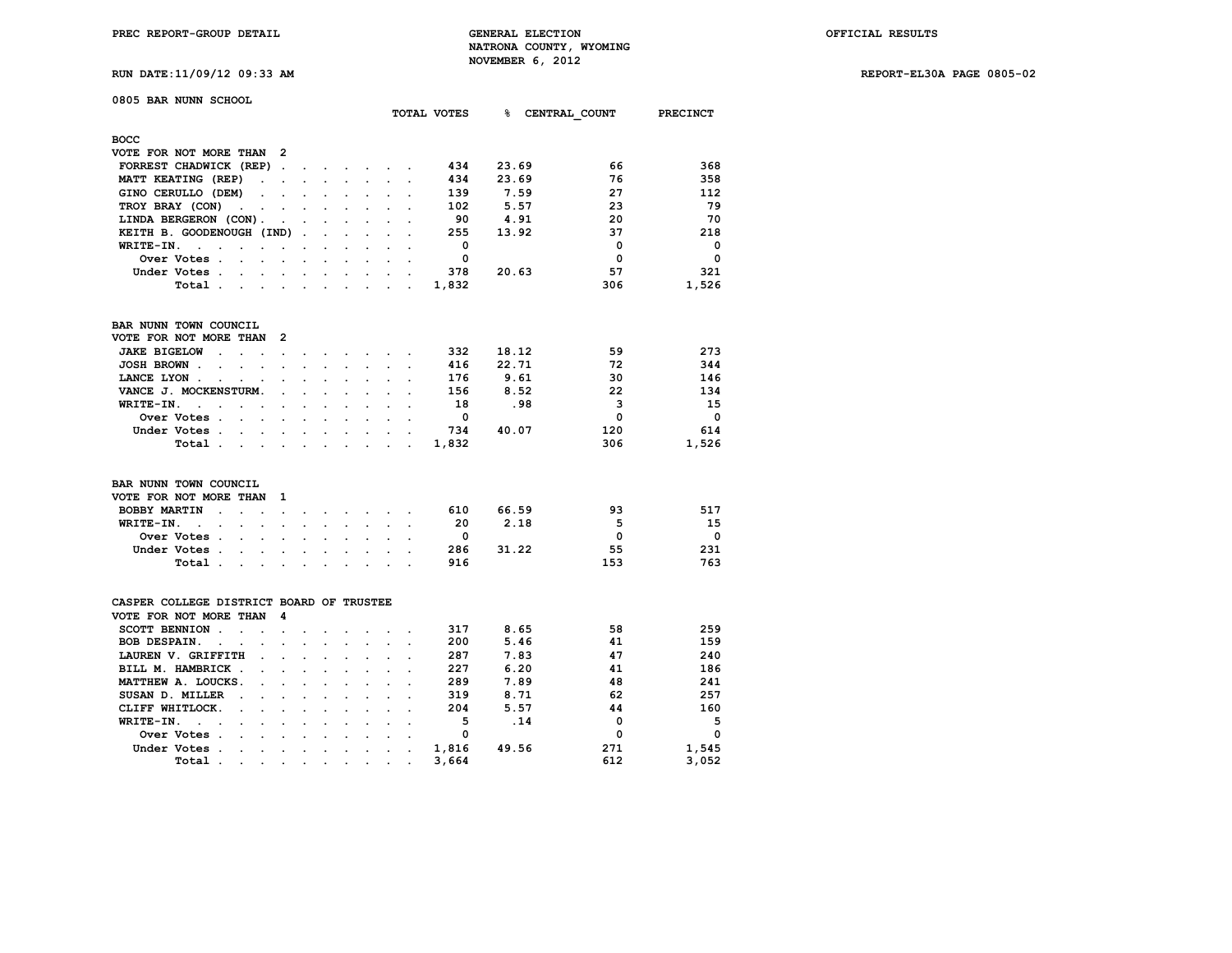| RUN DATE:11/09/12 09:33 AM | REPORT-EL30A PAGE 0805-02 |  |  |  |
|----------------------------|---------------------------|--|--|--|
|----------------------------|---------------------------|--|--|--|

| 0805 BAR NUNN SCHOOL                           |           |   |                      |                      | TOTAL VOTES | %∍    | CENTRAL COUNT | <b>PRECINCT</b> |
|------------------------------------------------|-----------|---|----------------------|----------------------|-------------|-------|---------------|-----------------|
| <b>BOCC</b>                                    |           |   |                      |                      |             |       |               |                 |
| VOTE FOR NOT MORE THAN 2                       |           |   |                      |                      |             |       |               |                 |
| FORREST CHADWICK (REP)<br>$\ddot{\phantom{a}}$ |           |   |                      |                      | 434         | 23.69 | 66            | 368             |
| MATT KEATING (REP)<br>$\ddot{\phantom{a}}$     |           |   |                      |                      | 434         | 23.69 | 76            | 358             |
| GINO CERULLO (DEM)<br>$\sim$<br>$\cdot$        | $\cdot$   |   | $\sim$               |                      | 139         | 7.59  | 27            | 112             |
| TROY BRAY (CON)<br>$\sim$                      |           |   |                      |                      | 102         | 5.57  | 23            | 79              |
| LINDA BERGERON (CON).                          |           |   |                      |                      | 90          | 4.91  | 20            | 70              |
| KEITH B. GOODENOUGH (IND).                     |           |   |                      |                      | 255         | 13.92 | 37            | 218             |
| WRITE-IN.                                      |           |   |                      |                      | 0           |       | $\mathbf 0$   | $\mathbf 0$     |
| Over Votes.                                    |           |   |                      |                      | 0           |       | $\mathbf 0$   | $\mathbf{o}$    |
| Under Votes.                                   |           |   |                      |                      | 378         | 20.63 | 57            | 321             |
| Total.                                         |           |   |                      |                      | 1,832       |       | 306           |                 |
|                                                |           |   | $\cdot$              | $\sim$ $\sim$ $\sim$ |             |       |               | 1,526           |
| BAR NUNN TOWN COUNCIL                          |           |   |                      |                      |             |       |               |                 |
| VOTE FOR NOT MORE THAN<br>2                    |           |   |                      |                      |             |       |               |                 |
| <b>JAKE BIGELOW</b>                            |           |   |                      |                      | 332         | 18.12 | 59            | 273             |
| JOSH BROWN.                                    |           |   |                      |                      | 416         | 22.71 | 72            | 344             |
| LANCE LYON.                                    |           |   |                      |                      | 176         | 9.61  | 30            | 146             |
| VANCE J. MOCKENSTURM.                          |           |   |                      |                      | 156         | 8.52  | 22            | 134             |
| WRITE-IN.                                      |           |   |                      |                      | 18          | .98   | 3             | 15              |
| Over Votes .                                   |           |   |                      |                      | 0           |       | $\mathbf 0$   | $\Omega$        |
| Under Votes.                                   |           |   |                      |                      | 734         | 40.07 | 120           | 614             |
| Total.<br>$\cdot$<br>$\ddot{\phantom{0}}$      | $\bullet$ | ٠ | $\ddot{\phantom{0}}$ |                      | 1,832       |       | 306           | 1,526           |

| BAR NUNN TOWN COUNCIL    |  |  |  |  |     |       |              |          |
|--------------------------|--|--|--|--|-----|-------|--------------|----------|
| VOTE FOR NOT MORE THAN 1 |  |  |  |  |     |       |              |          |
| BOBBY MARTIN             |  |  |  |  | 610 | 66.59 | 93           | 517      |
| WRITE-IN.                |  |  |  |  | 20  | 2.18  | 5            | 15       |
| Over Votes               |  |  |  |  |     |       | <sup>0</sup> | $\Omega$ |
| Under Votes              |  |  |  |  | 286 | 31.22 | 55           | 231      |
| Total                    |  |  |  |  | 916 |       | 153          | 763      |

| CASPER COLLEGE DISTRICT BOARD OF TRUSTEE |                            |                                 |        |               |                                                                                                                                                                                                                               |                                                                                                                 |  |  |       |       |     |             |
|------------------------------------------|----------------------------|---------------------------------|--------|---------------|-------------------------------------------------------------------------------------------------------------------------------------------------------------------------------------------------------------------------------|-----------------------------------------------------------------------------------------------------------------|--|--|-------|-------|-----|-------------|
| VOTE FOR NOT MORE THAN                   |                            |                                 |        | - 4           |                                                                                                                                                                                                                               |                                                                                                                 |  |  |       |       |     |             |
| SCOTT BENNION                            |                            |                                 |        |               | the company of the company of the company                                                                                                                                                                                     |                                                                                                                 |  |  | 317   | 8.65  | 58  | 259         |
| BOB DESPAIN.                             |                            |                                 |        |               | the contract of the contract of the contract of the contract of the contract of the contract of the contract of                                                                                                               |                                                                                                                 |  |  | 200   | 5.46  | 41  | 159         |
| LAUREN V. GRIFFITH                       |                            |                                 |        |               | the contract of the contract of the contract of the contract of the contract of the contract of the contract of                                                                                                               |                                                                                                                 |  |  | 287   | 7.83  | 47  | 240         |
| BILL M. HAMBRICK                         |                            |                                 |        |               | the contract of the contract of the contract of the contract of the contract of the contract of the contract of                                                                                                               |                                                                                                                 |  |  | 227   | 6.20  | 41  | 186         |
| MATTHEW A. LOUCKS.                       |                            |                                 | $\sim$ | $\sim$        | and the state of the state of the state of the state of the state of the state of the state of the state of the                                                                                                               |                                                                                                                 |  |  | 289   | 7.89  | 48  | 241         |
| SUSAN D. MILLER                          |                            | $\sim$ $\sim$ $\sim$            |        |               |                                                                                                                                                                                                                               |                                                                                                                 |  |  | 319   | 8.71  | 62  | 257         |
| CLIFF WHITLOCK.                          |                            |                                 |        |               | the contract of the contract of the contract of the contract of the contract of the contract of the contract of                                                                                                               |                                                                                                                 |  |  | 204   | 5.57  | 44  | 160         |
| WRITE-IN.                                | and the state of the state | <b>Contract Contract Street</b> |        | $\sim$ $\sim$ |                                                                                                                                                                                                                               | and the state of the state of the state of the state of the state of the state of the state of the state of the |  |  | 5     | .14   | 0   | $-5$        |
|                                          | Over Votes.                |                                 |        |               | the company of the company of the company of the company of the company of the company of the company of the company of the company of the company of the company of the company of the company of the company of the company |                                                                                                                 |  |  | 0     |       | 0   | $\mathbf 0$ |
|                                          | Under Votes.               |                                 |        |               | the contract of the contract of the contract of the contract of the contract of the contract of the contract of                                                                                                               |                                                                                                                 |  |  | 1,816 | 49.56 | 271 | 1,545       |
|                                          | Total.                     |                                 |        |               | the contract of the contract of the contract of the contract of the contract of the contract of the contract of                                                                                                               |                                                                                                                 |  |  | 3,664 |       | 612 | 3.052       |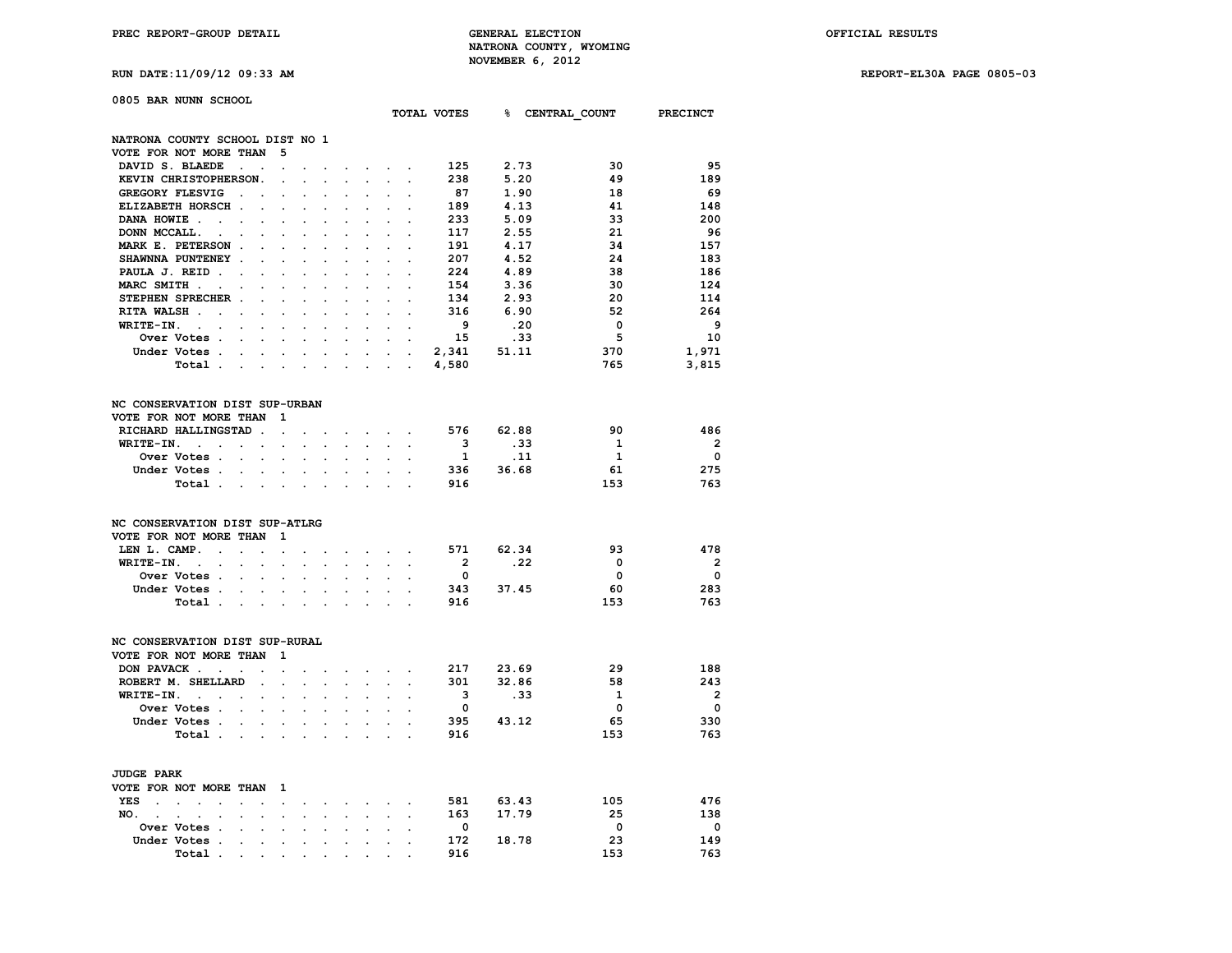**RUN DATE:11/09/12 09:33 AM REPORT-EL30A PAGE 0805-03**

| 0805 BAR NUNN SCHOOL                                           |                                              |                                                                                              |                      |                      |                           |                            |                          |                |       |              |                          |
|----------------------------------------------------------------|----------------------------------------------|----------------------------------------------------------------------------------------------|----------------------|----------------------|---------------------------|----------------------------|--------------------------|----------------|-------|--------------|--------------------------|
|                                                                |                                              |                                                                                              |                      |                      |                           |                            |                          | TOTAL VOTES    |       |              | % CENTRAL COUNT PRECINCT |
| NATRONA COUNTY SCHOOL DIST NO 1                                |                                              |                                                                                              |                      |                      |                           |                            |                          |                |       |              |                          |
| VOTE FOR NOT MORE THAN                                         | 5                                            |                                                                                              |                      |                      |                           |                            |                          |                |       |              |                          |
| DAVID S. BLAEDE<br>$\ddot{\phantom{0}}$                        | $\ddot{\phantom{a}}$                         |                                                                                              |                      |                      |                           |                            |                          | 125            | 2.73  | 30           | 95                       |
| KEVIN CHRISTOPHERSON.                                          | $\overline{a}$                               |                                                                                              |                      |                      |                           |                            |                          | 238            | 5.20  | 49           | 189                      |
| GREGORY FLESVIG<br>$\ddot{\phantom{0}}$                        | $\cdot$                                      |                                                                                              |                      |                      |                           |                            |                          | 87             | 1.90  | 18           | 69                       |
| ELIZABETH HORSCH.                                              |                                              |                                                                                              |                      |                      |                           |                            |                          | 189            | 4.13  | 41           | 148                      |
| DANA HOWIE.<br>$\ddot{\phantom{0}}$<br>$\ddot{\phantom{0}}$    | $\bullet$<br>$\cdot$                         | $\cdot$                                                                                      | $\ddot{\phantom{0}}$ | $\ddot{\phantom{0}}$ | $\ddot{\phantom{0}}$      |                            | $\cdot$                  | 233            | 5.09  | 33           | 200                      |
| DONN MCCALL.                                                   |                                              |                                                                                              |                      |                      |                           |                            |                          | 117            | 2.55  | 21           | - 96                     |
| MARK E. PETERSON.                                              | $\cdot$                                      |                                                                                              |                      |                      |                           |                            |                          | 191            | 4.17  | 34           | 157                      |
| SHAWNNA PUNTENEY .                                             | $\cdot$<br>$\overline{a}$                    | $\overline{a}$                                                                               | $\cdot$              | $\ddot{\phantom{a}}$ | $\ddot{\phantom{a}}$      | $\overline{a}$             | $\overline{\phantom{a}}$ | 207            | 4.52  | 24           | 183                      |
| PAULA J. REID.                                                 |                                              |                                                                                              |                      |                      |                           |                            |                          | 224            | 4.89  | 38           | 186                      |
| MARC SMITH .<br>$\overline{\phantom{a}}$                       | $\ddot{\phantom{a}}$<br>$\overline{a}$       | $\overline{a}$                                                                               | $\overline{a}$       | $\overline{a}$       | $\overline{a}$            |                            | $\overline{a}$           | 154            | 3.36  | 30           | 124                      |
| STEPHEN SPRECHER .                                             |                                              |                                                                                              |                      |                      |                           |                            |                          | 134            | 2.93  | 20           | 114                      |
| RITA WALSH.<br>$\cdot$<br>$\cdot$                              |                                              |                                                                                              |                      |                      |                           |                            |                          | 316            | 6.90  | 52           | 264                      |
| WRITE-IN.<br>$\ddot{\phantom{a}}$<br>$\ddot{\phantom{0}}$      | $\ddot{\phantom{a}}$<br>$\ddot{\phantom{a}}$ |                                                                                              | $\ddot{\phantom{0}}$ | $\ddot{\phantom{0}}$ | $\ddot{\phantom{0}}$      | $\ddot{\phantom{a}}$       | $\ddot{\phantom{0}}$     | 9              | .20   | 0            | - 9                      |
| Over Votes .                                                   |                                              |                                                                                              |                      |                      |                           |                            |                          | 15             | .33   | 5            | 10                       |
| Under Votes.<br>$\sim$                                         | $\sim$<br>$\sim$                             | $\ddot{\phantom{0}}$                                                                         | $\sim$               |                      | $\mathbf{r} = \mathbf{r}$ | $\mathbf{r}$               | $\ddot{\phantom{a}}$     | 2,341          | 51.11 | 370          | 1,971                    |
| Total.<br>$\sim$                                               | <b>All Cards</b>                             | $\sim$                                                                                       | $\ddot{\phantom{a}}$ | $\ddot{\phantom{a}}$ | $\ddot{\phantom{0}}$      | $\mathcal{L}^{\text{max}}$ | $\ddot{\phantom{a}}$     | 4,580          |       | 765          | 3,815                    |
|                                                                |                                              |                                                                                              |                      |                      |                           |                            |                          |                |       |              |                          |
| NC CONSERVATION DIST SUP-URBAN                                 |                                              |                                                                                              |                      |                      |                           |                            |                          |                |       |              |                          |
| VOTE FOR NOT MORE THAN                                         | 1                                            |                                                                                              |                      |                      |                           |                            |                          |                |       |              |                          |
| RICHARD HALLINGSTAD.                                           | $\ddot{\phantom{a}}$                         | $\cdot$                                                                                      |                      | $\cdot$              | $\sim$ $\sim$             | $\sim$                     | $\cdot$                  | 576            | 62.88 | 90           | 486                      |
| WRITE-IN.<br>$\sim$<br>$\ddot{\phantom{0}}$<br>$\bullet$ .     | $\cdot$                                      |                                                                                              |                      |                      |                           |                            |                          | 3              | .33   | - 1          | $\overline{\mathbf{2}}$  |
| Over Votes.<br>$\mathbf{r}$                                    | $\cdot$<br>$\overline{a}$                    | $\overline{a}$                                                                               | $\overline{a}$       | $\overline{a}$       | $\ddot{\phantom{a}}$      |                            | $\overline{a}$           | $\mathbf{1}$   | .11   | $\mathbf{1}$ | $\mathbf 0$              |
| Under Votes .<br>$\ddot{\phantom{a}}$                          | $\ddot{\phantom{0}}$<br>$\cdot$              | $\cdot$                                                                                      | $\cdot$              | $\ddot{\phantom{a}}$ | $\ddot{\phantom{0}}$      | $\ddot{\phantom{a}}$       |                          | 336            | 36.68 | 61           | 275                      |
| Total .<br>$\ddot{\phantom{a}}$                                | $\ddot{\phantom{a}}$<br>$\ddot{\phantom{a}}$ |                                                                                              | $\ddot{\phantom{a}}$ |                      |                           |                            |                          | 916            |       | 153          | 763                      |
| NC CONSERVATION DIST SUP-ATLRG                                 |                                              |                                                                                              |                      |                      |                           |                            |                          |                |       |              |                          |
| VOTE FOR NOT MORE THAN                                         | 1                                            |                                                                                              |                      |                      |                           |                            |                          |                |       |              |                          |
| LEN L. CAMP.<br>$\ddot{\phantom{0}}$<br>$\ddot{\phantom{0}}$   | $\overline{a}$<br>$\ddot{\phantom{a}}$       |                                                                                              |                      |                      |                           |                            |                          | 571            | 62.34 | 93           | 478                      |
| WRITE-IN.<br>$\sim$<br>$\ddot{\phantom{a}}$ .<br>$\sim$ $\sim$ | $\blacksquare$<br>$\ddot{\phantom{0}}$       | $\bullet$                                                                                    | $\ddot{\phantom{0}}$ | $\ddot{\phantom{0}}$ | $\ddot{\phantom{0}}$      |                            | $\ddot{\phantom{a}}$     | $\overline{2}$ | .22   | 0            | $\overline{\phantom{a}}$ |
| Over Votes .<br>$\ddot{\phantom{a}}$                           | $\overline{a}$                               |                                                                                              |                      |                      |                           |                            |                          | 0              |       | 0            | $\mathbf 0$              |
| Under Votes .<br>$\bullet$ .                                   | $\ddot{\phantom{0}}$<br>$\cdot$              | $\ddot{\phantom{0}}$                                                                         | $\ddot{\phantom{0}}$ | $\ddot{\phantom{0}}$ | $\bullet$                 | $\ddot{\phantom{0}}$       |                          | 343            | 37.45 | 60           | 283                      |
| Total .<br>$\ddot{\phantom{0}}$                                | $\ddot{\phantom{a}}$<br>$\sim$ $\sim$        | $\ddot{\phantom{a}}$                                                                         | $\cdot$              | $\ddot{\phantom{0}}$ | $\ddot{\phantom{a}}$      |                            | $\overline{a}$           | 916            |       | 153          | 763                      |
| NC CONSERVATION DIST SUP-RURAL                                 |                                              |                                                                                              |                      |                      |                           |                            |                          |                |       |              |                          |
| VOTE FOR NOT MORE THAN                                         | 1                                            |                                                                                              |                      |                      |                           |                            |                          |                |       |              |                          |
| DON PAVACK.<br>$\sim$<br>$\bullet$                             | $\cdot$<br>$\cdot$                           |                                                                                              |                      | $\ddot{\phantom{a}}$ | $\bullet$                 |                            | $\cdot$                  | 217            | 23.69 | 29           | 188                      |
| ROBERT M. SHELLARD                                             | $\ddot{\phantom{a}}$<br>$\overline{a}$       |                                                                                              |                      | $\overline{a}$       |                           |                            |                          | 301            | 32.86 | 58           | 243                      |
| WRITE-IN.<br>$\sim 100$ km s $^{-1}$<br>$\cdot$                | $\ddot{\phantom{0}}$                         |                                                                                              |                      |                      |                           |                            |                          | 3              | .33   | 1            | $\overline{\mathbf{2}}$  |
| Over Votes .<br>$\cdot$                                        | $\ddot{\phantom{a}}$<br>$\cdot$              | $\ddot{\phantom{a}}$                                                                         | $\cdot$              | $\ddot{\phantom{0}}$ | $\ddot{\phantom{0}}$      | $\ddot{\phantom{a}}$       |                          | $\mathbf 0$    |       | $\mathbf 0$  | $\mathbf{o}$             |
| Under Votes .<br>$\ddot{\phantom{0}}$                          |                                              |                                                                                              |                      |                      |                           |                            |                          | 395            | 43.12 | 65           | 330                      |
| Total .<br><b>Contract Contract</b>                            | $\ddot{\phantom{0}}$                         | $\bullet$                                                                                    | $\blacksquare$       | $\ddot{\phantom{a}}$ | $\ddot{\phantom{0}}$      |                            |                          | 916            |       | 153          | 763                      |
| <b>JUDGE PARK</b>                                              |                                              |                                                                                              |                      |                      |                           |                            |                          |                |       |              |                          |
| VOTE FOR NOT MORE THAN 1                                       |                                              |                                                                                              |                      |                      |                           |                            |                          |                |       |              |                          |
| <b>YES</b><br>$\sim$<br>$\sim$<br>$\sim$ $\sim$                | $\sim$                                       | $\mathcal{A}(\mathcal{A})$ , and $\mathcal{A}(\mathcal{A})$ , and $\mathcal{A}(\mathcal{A})$ |                      |                      |                           |                            |                          | 581            | 63.43 | 105          | 476                      |
|                                                                |                                              |                                                                                              |                      |                      |                           |                            |                          |                |       |              |                          |

| VOTE FOR NOT MORE THAN I |             |       |  |  |  |  |  |     |       |     |     |
|--------------------------|-------------|-------|--|--|--|--|--|-----|-------|-----|-----|
| YES                      |             |       |  |  |  |  |  | 581 | 63.43 | 105 | 476 |
|                          | NO.         |       |  |  |  |  |  | 163 | 17.79 | 25  | 138 |
|                          | Over Votes  |       |  |  |  |  |  |     |       |     |     |
|                          | Under Votes |       |  |  |  |  |  | 172 | 18.78 | 23  | 149 |
|                          |             | Total |  |  |  |  |  | 916 |       | 153 | 763 |
|                          |             |       |  |  |  |  |  |     |       |     |     |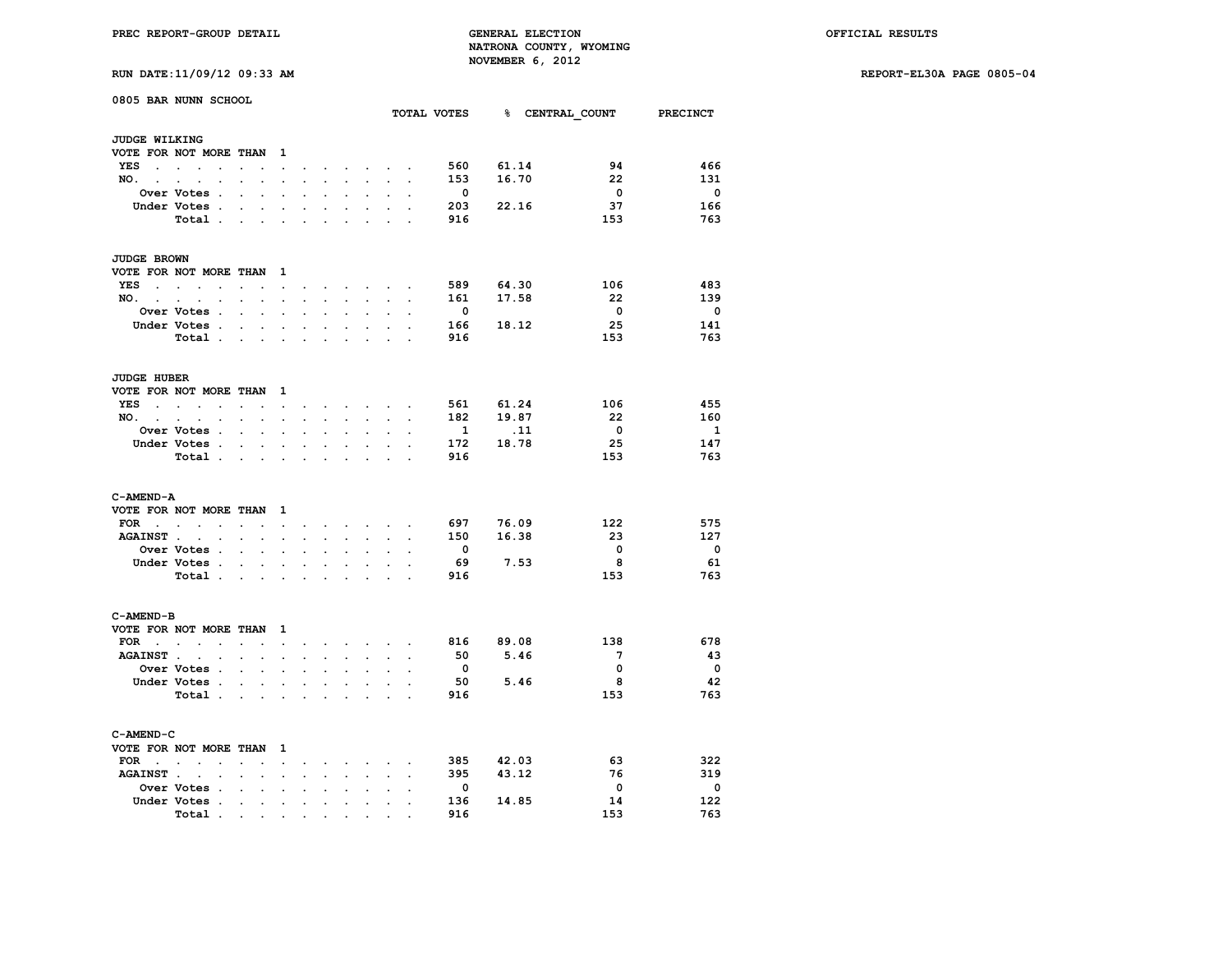**RUN DATE:11/09/12 09:33 AM REPORT-EL30A PAGE 0805-04**

|                      | 0805 BAR NUNN SCHOOL                                                                                                    |                                              |                                |                          |                                     |                                                                  |                                                                                                                                     |                           |                      |                          |                                      |                         |                          |
|----------------------|-------------------------------------------------------------------------------------------------------------------------|----------------------------------------------|--------------------------------|--------------------------|-------------------------------------|------------------------------------------------------------------|-------------------------------------------------------------------------------------------------------------------------------------|---------------------------|----------------------|--------------------------|--------------------------------------|-------------------------|--------------------------|
|                      |                                                                                                                         |                                              |                                |                          |                                     |                                                                  |                                                                                                                                     |                           |                      |                          | TOTAL VOTES 8 CENTRAL COUNT PRECINCT |                         |                          |
| <b>JUDGE WILKING</b> |                                                                                                                         |                                              |                                |                          |                                     |                                                                  |                                                                                                                                     |                           |                      |                          |                                      |                         |                          |
|                      | VOTE FOR NOT MORE THAN                                                                                                  |                                              | $\mathbf{1}$                   |                          |                                     |                                                                  |                                                                                                                                     |                           |                      |                          |                                      |                         |                          |
| YES                  | $\overline{a}$                                                                                                          | $\overline{a}$                               | $\cdot$                        |                          |                                     | $\overline{\phantom{a}}$                                         | $\sim$                                                                                                                              | $\sim$                    |                      | 560                      | 61.14                                | 94                      | 466                      |
| NO.                  |                                                                                                                         |                                              |                                |                          |                                     | $\ddot{\phantom{0}}$                                             | $\cdot$                                                                                                                             | $\mathbf{r}$              |                      | 153                      | 16.70                                | 22                      | 131                      |
|                      | Over Votes .                                                                                                            | $\ddot{\phantom{a}}$<br>$\cdot$              | $\ddot{\phantom{a}}$           | $\ddot{\phantom{a}}$     | $\ddot{\phantom{0}}$                | $\ddot{\phantom{a}}$                                             | $\ddot{\phantom{a}}$                                                                                                                | $\ddot{\phantom{a}}$      |                      | 0                        |                                      | $\Omega$                | $\overline{\mathbf{0}}$  |
|                      | Under Votes .                                                                                                           | $\bullet$                                    |                                |                          |                                     |                                                                  |                                                                                                                                     |                           |                      | 203                      | 22.16                                | 37                      | 166                      |
|                      | Total .                                                                                                                 | <b>Contract Contract</b>                     | $\cdot$                        | $\ddot{\phantom{a}}$     | $\ddot{\phantom{0}}$                |                                                                  | $\ddot{\phantom{0}}$                                                                                                                |                           | $\cdot$              | 916                      |                                      | 153                     | 763                      |
| <b>JUDGE BROWN</b>   |                                                                                                                         |                                              |                                |                          |                                     |                                                                  |                                                                                                                                     |                           |                      |                          |                                      |                         |                          |
|                      | VOTE FOR NOT MORE THAN 1                                                                                                |                                              |                                |                          |                                     |                                                                  |                                                                                                                                     |                           |                      |                          |                                      |                         |                          |
| YES<br>$\sim$        | and the contract of the con-                                                                                            | $\cdot$ $\cdot$                              |                                |                          |                                     |                                                                  |                                                                                                                                     | $\sim$                    | $\sim$               | 589                      | 64.30                                | 106                     | 483                      |
| NO.                  |                                                                                                                         |                                              | $\sim$                         |                          | the contract of the contract of the |                                                                  |                                                                                                                                     |                           |                      | 161                      | 17.58                                | - 22                    | 139                      |
|                      | $\ddot{\phantom{0}}$<br>Over Votes .                                                                                    | $\sim$ $\sim$                                | $\sim$ $\sim$                  | $\ddot{\phantom{a}}$     | $\ddot{\phantom{a}}$                | $\ddot{\phantom{a}}$                                             | $\ddot{\phantom{a}}$                                                                                                                | $\ddot{\phantom{0}}$      |                      | $\overline{\phantom{0}}$ |                                      | $\overline{\mathbf{0}}$ | $\overline{\phantom{0}}$ |
|                      |                                                                                                                         | $\ddot{\phantom{a}}$<br>$\ddot{\phantom{a}}$ | $\cdot$                        |                          |                                     |                                                                  |                                                                                                                                     |                           |                      |                          |                                      |                         |                          |
|                      | Under Votes.                                                                                                            | $\sim$<br>$\ddot{\phantom{a}}$               | $\ddot{\phantom{0}}$           | $\ddot{\phantom{0}}$     | $\bullet$                           | $\ddot{\phantom{0}}$                                             | $\ddot{\phantom{0}}$                                                                                                                | $\ddot{\phantom{a}}$      |                      | 166                      | 18.12                                | 25                      | 141                      |
|                      | Total .                                                                                                                 | and a state of the                           |                                | $\ddot{\phantom{a}}$     | $\overline{a}$                      | $\overline{a}$                                                   | $\mathbf{r}$                                                                                                                        | s.                        |                      | 916                      |                                      | 153                     | 763                      |
| JUDGE HUBER          |                                                                                                                         |                                              |                                |                          |                                     |                                                                  |                                                                                                                                     |                           |                      |                          |                                      |                         |                          |
|                      | VOTE FOR NOT MORE THAN 1                                                                                                |                                              |                                |                          |                                     |                                                                  |                                                                                                                                     |                           |                      |                          |                                      |                         |                          |
|                      | YES                                                                                                                     | $\mathbf{z} = \mathbf{z} \cdot \mathbf{z}$   | $\bullet$                      | $\bullet$                |                                     |                                                                  | $\begin{array}{cccccccccccccc} \bullet & \bullet & \bullet & \bullet & \bullet & \bullet & \bullet & \bullet & \bullet \end{array}$ |                           |                      | 561                      | 61.24                                | 106                     | 455                      |
| NO.,                 | $\sim$<br>$\ddot{\phantom{a}}$<br>$\sim$                                                                                | $\sim$<br>$\ddot{\phantom{a}}$               | $\ddot{\phantom{a}}$           | $\ddot{\phantom{a}}$     | $\ddot{\phantom{0}}$                | $\ddot{\phantom{a}}$                                             | $\ddot{\phantom{a}}$                                                                                                                | $\sim$                    |                      | 182                      | 19.87                                | 22                      | 160                      |
|                      | Over Votes .                                                                                                            | $\ddot{\phantom{a}}$<br>$\ddot{\phantom{0}}$ | $\ddot{\phantom{a}}$           | $\overline{a}$           | $\overline{a}$                      | $\ddot{\phantom{a}}$                                             | $\ddot{\phantom{a}}$                                                                                                                | $\sim$                    | $\overline{a}$       | - 1                      | .11                                  | $\overline{\mathbf{0}}$ | $\mathbf{1}$             |
|                      | Under Votes .                                                                                                           | $\sim$<br>$\ddot{\phantom{0}}$               |                                |                          |                                     |                                                                  |                                                                                                                                     |                           |                      | 172                      | 18.78                                | 25                      | 147                      |
|                      | Total .                                                                                                                 | <b>Contract Contract</b>                     | $\ddot{\phantom{a}}$           | $\cdot$                  | $\ddot{\phantom{a}}$                | $\ddot{\phantom{a}}$                                             | $\ddot{\phantom{a}}$                                                                                                                | $\mathbf{r}$              | $\overline{a}$       | 916                      |                                      | 153                     | 763                      |
|                      |                                                                                                                         |                                              |                                |                          |                                     |                                                                  |                                                                                                                                     |                           |                      |                          |                                      |                         |                          |
| C-AMEND-A            | VOTE FOR NOT MORE THAN 1                                                                                                |                                              |                                |                          |                                     |                                                                  |                                                                                                                                     |                           |                      |                          |                                      |                         |                          |
| FOR .                |                                                                                                                         |                                              |                                |                          |                                     |                                                                  |                                                                                                                                     | $\mathbf{L}^{\text{max}}$ |                      | 697                      | 76.09                                | 122                     | 575                      |
| <b>AGAINST.</b>      | $\ddot{\phantom{a}}$<br>$\ddot{\phantom{a}}$<br>$\ddot{\phantom{a}}$<br>$\sim 100$ km s $^{-1}$<br>$\ddot{\phantom{a}}$ | $\sim$<br>$\cdot$<br>$\ddot{\phantom{a}}$    | $\sim$<br>$\ddot{\phantom{a}}$ | $\sim$<br>$\overline{a}$ | $\ddot{\phantom{a}}$                | $\mathbf{z} = \mathbf{z} + \mathbf{z}$ .<br>$\ddot{\phantom{a}}$ | $\sim$<br>$\ddot{\phantom{a}}$                                                                                                      | $\ddot{\phantom{0}}$      | $\ddot{\phantom{a}}$ | 150                      | 16.38                                | 23                      | 127                      |
|                      |                                                                                                                         | $\ddot{\phantom{0}}$                         |                                |                          |                                     |                                                                  |                                                                                                                                     |                           |                      | $\overline{\mathbf{0}}$  |                                      | $\mathbf 0$             | $\overline{\phantom{0}}$ |
|                      | Over Votes .                                                                                                            | $\ddot{\phantom{a}}$<br>$\cdot$              |                                |                          |                                     |                                                                  |                                                                                                                                     |                           |                      |                          |                                      |                         |                          |
|                      | Under Votes .                                                                                                           | $\sim$<br>$\sim$                             | $\ddot{\phantom{a}}$           | $\bullet$                | $\blacksquare$                      | $\bullet$                                                        | $\bullet$                                                                                                                           | $\ddot{\phantom{0}}$      |                      | 69                       | 7.53                                 | 8                       | 61                       |
|                      | Total.                                                                                                                  | $\mathbf{r} = \mathbf{r} + \mathbf{r}$ .     |                                | $\ddot{\phantom{a}}$     | $\ddot{\phantom{a}}$                |                                                                  |                                                                                                                                     |                           |                      | 916                      |                                      | 153                     | 763                      |
| C-AMEND-B            |                                                                                                                         |                                              |                                |                          |                                     |                                                                  |                                                                                                                                     |                           |                      |                          |                                      |                         |                          |
|                      | VOTE FOR NOT MORE THAN                                                                                                  |                                              | $\mathbf{1}$                   |                          |                                     |                                                                  |                                                                                                                                     |                           |                      |                          |                                      |                         |                          |
| $FOR \t . \t .$      | $\cdot$                                                                                                                 | $\mathbf{r}$                                 | $\cdot$                        |                          |                                     | $\sim$                                                           | $\sim$ $\sim$                                                                                                                       | $\sim$                    |                      | 816                      | 89.08                                | 138                     | 678                      |
|                      | AGAINST                                                                                                                 | $\sim$<br>$\ddot{\phantom{a}}$               | $\cdot$                        | $\overline{a}$           | $\ddot{\phantom{0}}$                | $\ddot{\phantom{a}}$                                             | $\ddot{\phantom{0}}$                                                                                                                | $\ddot{\phantom{0}}$      |                      | 50                       | 5.46                                 | 7                       | 43                       |
|                      | Over Votes .                                                                                                            | $\ddot{\phantom{a}}$<br>$\ddot{\phantom{a}}$ | $\cdot$                        | $\ddot{\phantom{a}}$     | $\cdot$                             | $\ddot{\phantom{a}}$                                             | $\ddot{\phantom{a}}$                                                                                                                | $\cdot$                   | $\ddot{\phantom{a}}$ | $\mathbf{0}$             |                                      | $\mathbf 0$             | $\overline{\phantom{0}}$ |
|                      | Under Votes .                                                                                                           | $\ddot{\phantom{0}}$<br>$\ddot{\phantom{a}}$ |                                |                          |                                     |                                                                  |                                                                                                                                     |                           |                      | 50                       | 5.46                                 | - 8                     | 42                       |
|                      | Total .                                                                                                                 | $\sim$ $\sim$ $\sim$                         | $\ddot{\phantom{a}}$           | $\cdot$                  | $\ddot{\phantom{0}}$                | $\ddot{\phantom{a}}$                                             | $\cdot$                                                                                                                             | $\ddot{\phantom{a}}$      |                      | 916                      |                                      | 153                     | 763                      |
| C-AMEND-C            |                                                                                                                         |                                              |                                |                          |                                     |                                                                  |                                                                                                                                     |                           |                      |                          |                                      |                         |                          |
|                      | VOTE FOR NOT MORE THAN 1                                                                                                |                                              |                                |                          |                                     |                                                                  |                                                                                                                                     |                           |                      |                          |                                      |                         |                          |
| FOR<br>$\sim$ $\sim$ | $\sim$                                                                                                                  | $\ddot{\phantom{a}}$                         | $\ddot{\phantom{a}}$           | $\cdot$                  | $\sim$                              |                                                                  | $\sim$                                                                                                                              | $\ddot{\phantom{0}}$      |                      | 385                      | 42.03                                | 63                      | 322                      |
| <b>AGAINST.</b>      | $\ddot{\phantom{1}}$<br>$\bullet$                                                                                       | $\bullet$ .<br>$\bullet$                     | $\blacksquare$                 | $\bullet$                | $\sim$                              | $\ddot{\phantom{0}}$<br>$\ddot{\phantom{0}}$                     | $\ddot{\phantom{0}}$                                                                                                                | $\ddot{\phantom{a}}$      | $\bullet$            | 395                      | 43.12                                | 76                      | 319                      |
|                      | Over Votes .                                                                                                            |                                              |                                |                          |                                     |                                                                  |                                                                                                                                     |                           |                      | $\mathbf 0$              |                                      | $\mathbf 0$             | $\mathbf 0$              |
|                      | Under Votes .                                                                                                           | $\ddot{\phantom{0}}$<br>$\ddot{\phantom{a}}$ | $\cdot$                        |                          | $\cdot$                             |                                                                  |                                                                                                                                     |                           |                      | 136                      | 14.85                                | 14                      | 122                      |
|                      |                                                                                                                         | the company of the company                   |                                | $\bullet$                |                                     |                                                                  |                                                                                                                                     |                           |                      |                          |                                      |                         |                          |

 **Total . . . . . . . . . . 916 153 763**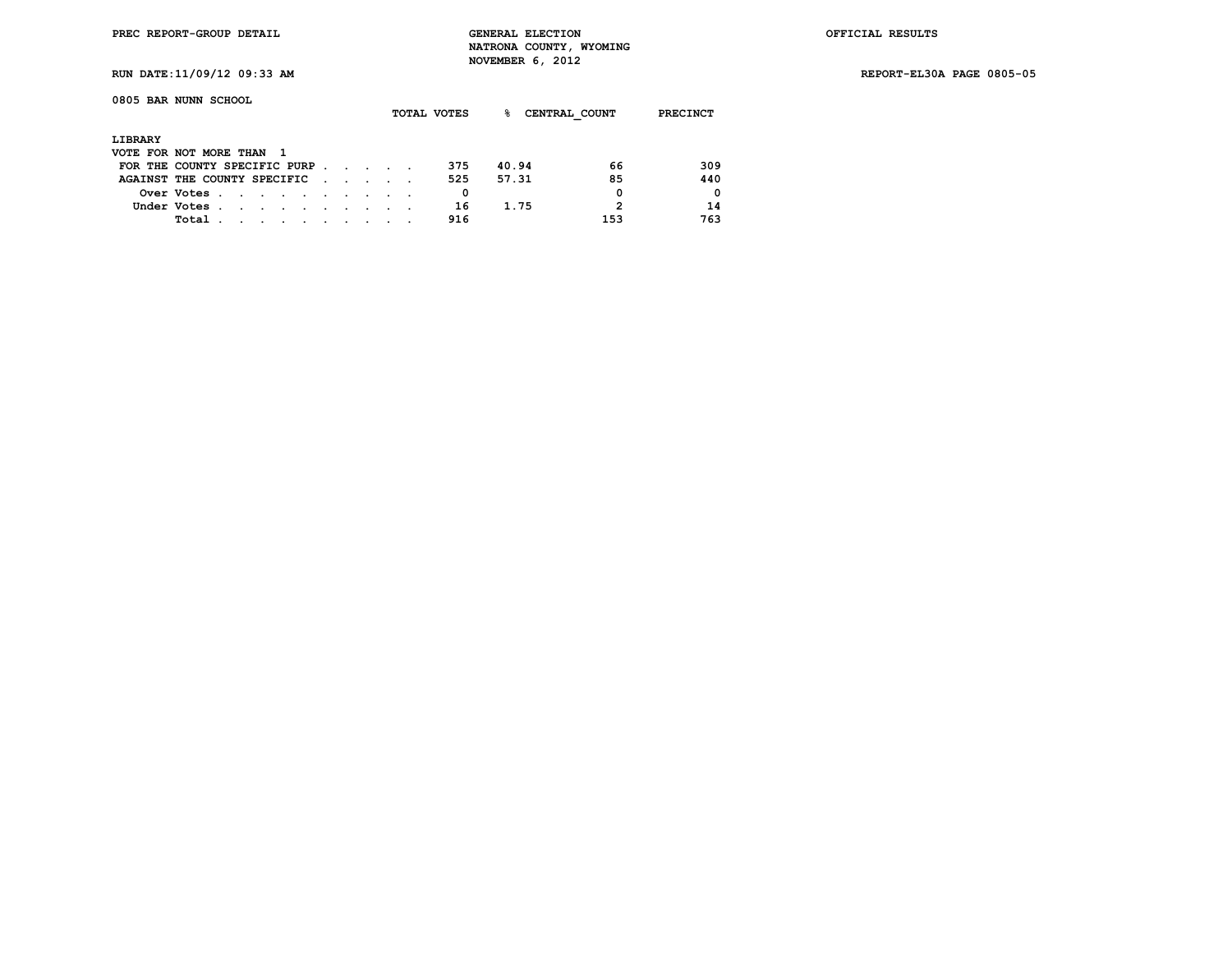**RUN DATE:11/09/12 09:33 AM REPORT-EL30A PAGE 0805-05**

| 0805 BAR NUNN SCHOOL          |             |        |        |        |  |  |  | TOTAL VOTES | ℁     | CENTRAL COUNT | PRECINCT    |
|-------------------------------|-------------|--------|--------|--------|--|--|--|-------------|-------|---------------|-------------|
| LIBRARY                       |             |        |        |        |  |  |  |             |       |               |             |
| VOTE FOR NOT MORE THAN        |             |        |        |        |  |  |  |             |       |               |             |
| FOR THE COUNTY SPECIFIC PURP. |             |        |        |        |  |  |  | 375         | 40.94 | 66            | 309         |
| AGAINST THE COUNTY SPECIFIC   |             |        |        |        |  |  |  | 525         | 57.31 | 85            | 440         |
|                               | Over Votes. | $\sim$ | $\sim$ | $\sim$ |  |  |  | 0           |       | 0             | $\mathbf 0$ |
|                               | Under Votes |        |        |        |  |  |  | 16          | 1.75  | 2             | 14          |
|                               | Total       |        |        |        |  |  |  | 916         |       | 153           | 763         |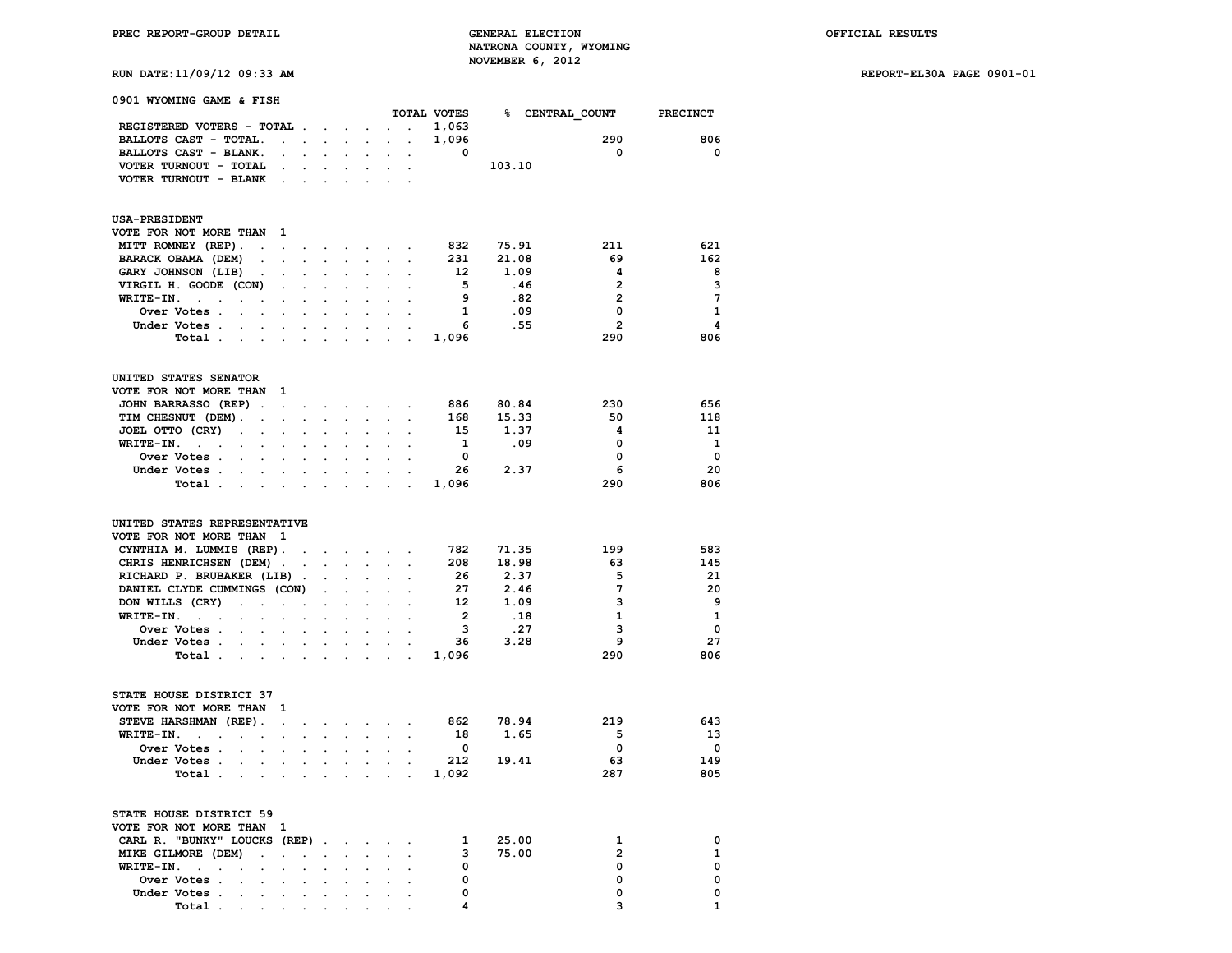**PREC REPORT-GROUP DETAIL GENERAL ELECTION OFFICIAL RESULTS NATRONA COUNTY, WYOMING RUN DATE:11/09/12 09:33 AM NOVEMBER 6, 2012** 

**RUN DATE:11/09/12 09:33 AM REPORT-EL30A PAGE 0901-01**

|  |  | RUN DAIE:11/09/12 09:33 A |  |
|--|--|---------------------------|--|
|  |  |                           |  |

| 0901 WYOMING GAME & FISH                                                           |                         |                      |                                                           |                                                                  |                      |                                                                               |                                     |                            |           |                                      |                         |
|------------------------------------------------------------------------------------|-------------------------|----------------------|-----------------------------------------------------------|------------------------------------------------------------------|----------------------|-------------------------------------------------------------------------------|-------------------------------------|----------------------------|-----------|--------------------------------------|-------------------------|
|                                                                                    |                         |                      |                                                           |                                                                  |                      |                                                                               |                                     |                            |           | TOTAL VOTES 8 CENTRAL COUNT PRECINCT |                         |
| REGISTERED VOTERS - TOTAL                                                          |                         |                      |                                                           |                                                                  |                      |                                                                               | <b>Contract Contract</b>            | 1,063                      |           |                                      |                         |
| BALLOTS CAST - TOTAL.                                                              | $\sim 100$ km s $^{-1}$ |                      |                                                           |                                                                  |                      |                                                                               |                                     | 1,096                      |           | 290                                  | 806                     |
| BALLOTS CAST - BLANK.                                                              | $\ddot{\phantom{0}}$    | $\sim$               |                                                           |                                                                  | $\sim$               |                                                                               |                                     | $\overline{\mathbf{0}}$    |           | $\overline{\mathbf{0}}$              | $\mathbf 0$             |
| VOTER TURNOUT - TOTAL                                                              | $\sim$ $\sim$           |                      |                                                           | $\mathbf{r} = \mathbf{r} \times \mathbf{r}$ , where $\mathbf{r}$ | $\sim$               | $\ddot{\phantom{a}}$                                                          | $\overline{a}$                      |                            | 103.10    |                                      |                         |
| VOTER TURNOUT - BLANK.                                                             |                         |                      |                                                           | $\Delta \phi = \Delta \phi = \Delta \phi$ .                      | $\sim$               | $\sim$                                                                        | $\overline{a}$                      |                            |           |                                      |                         |
| <b>USA-PRESIDENT</b>                                                               |                         |                      |                                                           |                                                                  |                      |                                                                               |                                     |                            |           |                                      |                         |
| VOTE FOR NOT MORE THAN                                                             | 1                       |                      |                                                           |                                                                  |                      |                                                                               |                                     |                            |           |                                      |                         |
| MITT ROMNEY (REP).<br>$\sim 10^{-1}$ km $^{-1}$                                    |                         | $\ddot{\phantom{0}}$ |                                                           |                                                                  |                      |                                                                               | the contract of the contract of the |                            | 832 75.91 | 211                                  | 621                     |
| BARACK OBAMA (DEM)                                                                 |                         |                      |                                                           |                                                                  |                      |                                                                               |                                     | 231                        | 21.08     | 69                                   | 162                     |
| GARY JOHNSON (LIB)<br>$\sim$                                                       | $\sim$                  | $\cdot$              |                                                           |                                                                  | $\cdot$              |                                                                               | $\cdot$                             | 12                         | 1.09      | $\overline{\mathbf{4}}$              | - 8                     |
| VIRGIL H. GOODE (CON)                                                              | $\overline{a}$          | $\mathbf{L}$         | $\mathbf{r}$                                              | $\overline{a}$                                                   | $\sim$               | $\ddot{\phantom{a}}$                                                          | $\ddot{\phantom{0}}$                | 5 <sub>1</sub>             | .46       | $\overline{2}$                       | 3                       |
| WRITE-IN.<br>$\sim 10^{-11}$ and $\sim 10^{-11}$<br>$\ddot{\phantom{0}}$<br>$\sim$ | $\ddot{\phantom{a}}$    | $\sim$               | $\sim$                                                    | $\overline{a}$                                                   | $\ddot{\phantom{0}}$ | $\ddot{\phantom{0}}$                                                          | $\overline{a}$                      | $\overline{9}$             | .82       | $\overline{2}$                       | $\overline{7}$          |
| Over Votes .<br>$\ddot{\phantom{a}}$<br>$\sim$                                     |                         |                      |                                                           |                                                                  |                      |                                                                               |                                     | $\mathbf{1}$               | .09       | 0                                    | 1                       |
| Under Votes .                                                                      |                         |                      | $\ddot{\phantom{0}}$                                      |                                                                  | $\cdot$              | $\ddot{\phantom{a}}$                                                          |                                     | $6^{\circ}$                | .55       | $\overline{2}$                       | $\overline{\mathbf{4}}$ |
| Total.<br>$\sim$<br>$\sim$                                                         |                         |                      | $\ddot{\phantom{a}}$                                      |                                                                  | $\cdot$              |                                                                               | $\sim$                              | 1,096                      |           | 290                                  | 806                     |
|                                                                                    |                         |                      |                                                           |                                                                  |                      |                                                                               |                                     |                            |           |                                      |                         |
| UNITED STATES SENATOR                                                              |                         |                      |                                                           |                                                                  |                      |                                                                               |                                     |                            |           |                                      |                         |
| VOTE FOR NOT MORE THAN                                                             | $\blacksquare$          |                      |                                                           |                                                                  |                      |                                                                               |                                     |                            |           |                                      |                         |
| JOHN BARRASSO (REP).                                                               | $\sim$                  |                      |                                                           |                                                                  |                      | $\mathbf{z} = \mathbf{z} + \mathbf{z} + \mathbf{z} + \mathbf{z} + \mathbf{z}$ | $\ddot{\phantom{0}}$                | 886                        | 80.84     | 230                                  | 656                     |
| TIM CHESNUT (DEM).<br>$\ddot{\phantom{a}}$                                         | $\bullet$               | $\ddot{\phantom{a}}$ | $\ddot{\phantom{a}}$                                      | $\cdot$                                                          | $\ddot{\phantom{a}}$ | $\sim$                                                                        | $\sim$                              | 168                        | 15.33     | 50                                   | 118                     |
| JOEL OTTO (CRY)<br>$\ddot{\phantom{0}}$<br>$\ddot{\phantom{a}}$                    |                         |                      |                                                           |                                                                  |                      |                                                                               |                                     | 15                         | 1.37      | 4                                    | - 11                    |
| WRITE-IN.<br>$\sim$ $\sim$                                                         |                         |                      |                                                           |                                                                  |                      |                                                                               |                                     | $\mathbf{1}$               | .09       | 0                                    | $\mathbf{1}$            |
| Over Votes.<br>$\sim$                                                              |                         |                      |                                                           |                                                                  |                      |                                                                               |                                     | $\overline{\mathbf{0}}$    |           | $\mathbf 0$                          | $\overline{\mathbf{0}}$ |
| Under Votes .                                                                      |                         | $\ddot{\phantom{0}}$ |                                                           |                                                                  | $\ddot{\phantom{0}}$ |                                                                               |                                     | - 26                       | 2.37      | 6                                    | 20                      |
| Total .<br>$\sim$<br>$\sim$                                                        | $\sim$                  |                      | $\mathcal{L}^{\text{max}}$ and $\mathcal{L}^{\text{max}}$ | $\sim$                                                           |                      | $\mathbf{r} = \mathbf{r} \cdot \mathbf{r}$                                    | $\sim$                              | 1,096                      |           | 290                                  | 806                     |
| UNITED STATES REPRESENTATIVE                                                       |                         |                      |                                                           |                                                                  |                      |                                                                               |                                     |                            |           |                                      |                         |
| VOTE FOR NOT MORE THAN 1                                                           |                         |                      |                                                           |                                                                  |                      |                                                                               |                                     |                            |           |                                      |                         |
| CYNTHIA M. LUMMIS (REP).                                                           |                         |                      |                                                           |                                                                  |                      | the contract of the contract of the                                           |                                     |                            | 782 71.35 | 199                                  | 583                     |
| CHRIS HENRICHSEN (DEM).                                                            |                         |                      |                                                           |                                                                  |                      |                                                                               |                                     | 208                        | 18.98     | 63                                   | 145                     |
| RICHARD P. BRUBAKER (LIB).                                                         |                         |                      |                                                           |                                                                  | $\ddot{\phantom{0}}$ |                                                                               | $\ddot{\phantom{a}}$                | -26                        | 2.37      | 5                                    | 21                      |
| DANIEL CLYDE CUMMINGS (CON)                                                        |                         |                      | $\mathcal{L}^{\mathcal{L}}$                               | $\overline{a}$                                                   | $\ddot{\phantom{0}}$ |                                                                               |                                     | 27                         | 2.46      | $7\phantom{.0}$                      | 20                      |
| DON WILLS (CRY)<br>$\sim$<br>$\mathcal{L}^{\text{max}}$                            | $\Box$                  | $\bullet$            | $\bullet$                                                 | $\ddot{\phantom{a}}$                                             | $\ddot{\phantom{0}}$ |                                                                               | <b>Contract Contract</b>            | 12                         | 1.09      | 3                                    | - 9                     |
| $WRITE-IN.$ .                                                                      | $\ddot{\phantom{a}}$    |                      | $\ddot{\phantom{0}}$                                      |                                                                  |                      |                                                                               |                                     | $\overline{\phantom{a}}$ 2 | .18       | 1                                    | $\overline{\mathbf{1}}$ |
| Over Votes .<br>$\sim$                                                             |                         |                      |                                                           |                                                                  |                      | $\ddot{\phantom{a}}$                                                          | $\sim$                              | $\mathbf{3}$               | .27       | 3                                    | $\overline{\mathbf{0}}$ |
| Under Votes<br>$\mathbf{r}$                                                        | $\sim$                  | $\sim$               |                                                           | $\sim$ $\sim$                                                    |                      | $\alpha$ , $\alpha$ , $\alpha$ ,                                              | $\sim$                              | 36                         | 3.28      | 9                                    | 27                      |
| Total .<br>$\ddot{\phantom{a}}$<br>$\cdot$                                         | $\sim$                  | $\overline{a}$       | $\sim$                                                    |                                                                  |                      |                                                                               |                                     | 1,096                      |           | 290                                  | 806                     |
|                                                                                    |                         |                      |                                                           |                                                                  |                      |                                                                               |                                     |                            |           |                                      |                         |
| STATE HOUSE DISTRICT 37                                                            |                         |                      |                                                           |                                                                  |                      |                                                                               |                                     |                            |           |                                      |                         |
| VOTE FOR NOT MORE THAN 1                                                           |                         |                      |                                                           |                                                                  |                      |                                                                               |                                     |                            |           |                                      |                         |
| STEVE HARSHMAN (REP).                                                              | $\ddot{\phantom{a}}$    | $\bullet$            |                                                           |                                                                  |                      |                                                                               | and the company of the company      | 862                        | 78.94     | 219                                  | 643                     |
| $WRITE-IN.$<br>$\ddot{\phantom{a}}$<br>$\overline{\phantom{a}}$                    | $\ddot{\phantom{a}}$    |                      |                                                           |                                                                  | $\ddot{\phantom{0}}$ | $\ddot{\phantom{a}}$                                                          |                                     | 18                         | 1.65      | $-5$                                 | -13                     |
| Over Votes .<br>$\overline{a}$                                                     | $\ddot{\phantom{a}}$    |                      |                                                           |                                                                  |                      |                                                                               | $\cdot$                             | $\overline{\mathbf{0}}$    |           | $\mathbf{0}$                         | 0                       |
| Under Votes.<br>$\ddot{\phantom{a}}$                                               | $\ddot{\phantom{0}}$    | $\ddot{\phantom{0}}$ | $\sim$                                                    | $\ddot{\phantom{a}}$                                             |                      | $\mathbf{a} = \mathbf{a} \cdot \mathbf{a}$                                    | $\sim$ $\sim$                       | 212                        | 19.41     | 63                                   | 149                     |
| Total .                                                                            |                         |                      |                                                           |                                                                  |                      |                                                                               |                                     | 1,092                      |           | 287                                  | 805                     |
| STATE HOUSE DISTRICT 59                                                            |                         |                      |                                                           |                                                                  |                      |                                                                               |                                     |                            |           |                                      |                         |
| VOTE FOR NOT MORE THAN                                                             | 1                       |                      |                                                           |                                                                  |                      |                                                                               |                                     |                            |           |                                      |                         |
| CARL R. "BUNKY" LOUCKS (REP).                                                      |                         |                      |                                                           | $\ddot{\phantom{a}}$                                             | $\ddot{\phantom{0}}$ | $\ddot{\phantom{0}}$                                                          | $\sim$                              | $\mathbf{1}$               | 25.00     | 1                                    | 0                       |
| MIKE GILMORE (DEM)<br>$\ddot{\phantom{a}}$                                         | $\ddot{\phantom{0}}$    |                      | $\ddot{\phantom{0}}$                                      |                                                                  |                      |                                                                               |                                     | 3                          | 75.00     | $\overline{2}$                       | 1                       |
| WRITE-IN.<br>$\sim$                                                                | $\ddot{\phantom{0}}$    |                      | $\ddot{\phantom{0}}$                                      |                                                                  |                      |                                                                               |                                     | 0                          |           | 0                                    | 0                       |
| Over Votes .<br>$\sim$<br>$\sim$                                                   | $\sim$                  | $\ddot{\phantom{0}}$ | $\sim$                                                    | $\ddot{\phantom{0}}$                                             | $\ddot{\phantom{a}}$ | $\sim$ $\sim$ $\sim$                                                          |                                     | 0                          |           | 0                                    | 0                       |
| Under Votes.                                                                       |                         |                      |                                                           |                                                                  |                      |                                                                               |                                     | $\mathbf 0$                |           | 0                                    | 0                       |

 **Total . . . . . . . . . . 4 3 1**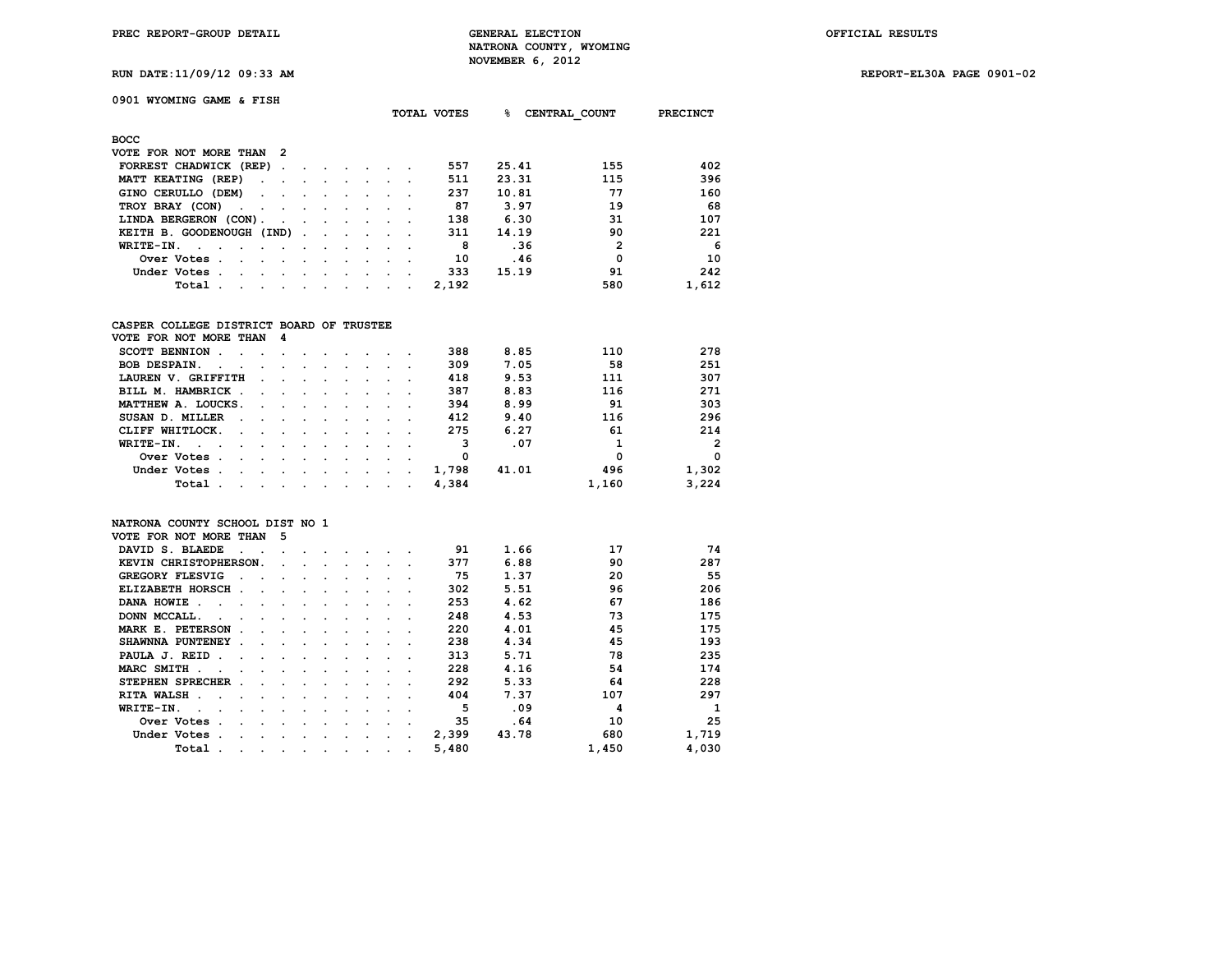**TOTAL VOTES % CENTRAL\_COUNT PRECINCT**

**RUN DATE:11/09/12 09:33 AM REPORT-EL30A PAGE 0901-02**

| 0901 WYOMING GAME & FISH |  |  |  |  |  |  |
|--------------------------|--|--|--|--|--|--|
|--------------------------|--|--|--|--|--|--|

| <b>BOCC</b>                                                                                                                     |  |  |  |  |  |  |  |       |       |                |       |  |
|---------------------------------------------------------------------------------------------------------------------------------|--|--|--|--|--|--|--|-------|-------|----------------|-------|--|
| VOTE FOR NOT MORE THAN 2                                                                                                        |  |  |  |  |  |  |  |       |       |                |       |  |
| FORREST CHADWICK (REP)                                                                                                          |  |  |  |  |  |  |  | 557   | 25.41 | 155            | 402   |  |
| MATT KEATING (REP)                                                                                                              |  |  |  |  |  |  |  | 511   | 23.31 | 115            | 396   |  |
| GINO CERULLO (DEM)                                                                                                              |  |  |  |  |  |  |  | 237   | 10.81 | 77             | 160   |  |
| TROY BRAY (CON)                                                                                                                 |  |  |  |  |  |  |  | 87    | 3.97  | 19             | 68    |  |
| LINDA BERGERON (CON).                                                                                                           |  |  |  |  |  |  |  | 138   | 6.30  | 31             | 107   |  |
| KEITH B. GOODENOUGH (IND)                                                                                                       |  |  |  |  |  |  |  | 311   | 14.19 | 90             | 221   |  |
| WRITE-IN.                                                                                                                       |  |  |  |  |  |  |  | 8     | .36   | $\overline{2}$ | -6    |  |
| Over Votes                                                                                                                      |  |  |  |  |  |  |  | 10    | .46   | $\mathbf{0}$   | 10    |  |
| Under Votes.<br>the contract of the contract of the contract of the contract of the contract of the contract of the contract of |  |  |  |  |  |  |  | 333   | 15.19 | 91             | 242   |  |
| Total .<br>the contract of the contract of the contract of the contract of the contract of the contract of the contract of      |  |  |  |  |  |  |  | 2,192 |       | 580            | 1,612 |  |

# **CASPER COLLEGE DISTRICT BOARD OF TRUSTEE**

| VOTE FOR NOT MORE THAN 4                                                                                                        |                                                                                                                 |  |  |  |       |       |       |                |
|---------------------------------------------------------------------------------------------------------------------------------|-----------------------------------------------------------------------------------------------------------------|--|--|--|-------|-------|-------|----------------|
| SCOTT BENNION                                                                                                                   |                                                                                                                 |  |  |  | 388   | 8.85  | 110   | 278            |
| BOB DESPAIN.                                                                                                                    |                                                                                                                 |  |  |  | 309   | 7.05  | 58    | 251            |
| LAUREN V. GRIFFITH                                                                                                              | the contract of the contract of the contract of the contract of the contract of the contract of the contract of |  |  |  | 418   | 9.53  | 111   | 307            |
| BILL M. HAMBRICK                                                                                                                |                                                                                                                 |  |  |  | 387   | 8.83  | 116   | 271            |
| MATTHEW A. LOUCKS.                                                                                                              |                                                                                                                 |  |  |  | 394   | 8.99  | 91    | 303            |
| SUSAN D. MILLER                                                                                                                 |                                                                                                                 |  |  |  | 412   | 9.40  | 116   | 296            |
| CLIFF WHITLOCK.                                                                                                                 |                                                                                                                 |  |  |  | 275   | 6.27  | 61    | 214            |
| WRITE-IN.<br>the contract of the contract of the contract of the contract of the contract of the contract of the contract of    |                                                                                                                 |  |  |  | 3     | .07   |       | $\overline{2}$ |
| Over Votes.<br>the contract of the contract of the contract of the contract of the contract of the contract of the contract of  |                                                                                                                 |  |  |  | 0     |       | 0     | 0              |
| Under Votes.<br>the contract of the contract of the contract of the contract of the contract of the contract of the contract of |                                                                                                                 |  |  |  | 1,798 | 41.01 | 496   | 1,302          |
| Total .<br>the contract of the contract of the contract of the contract of the contract of the contract of the contract of      |                                                                                                                 |  |  |  | 4,384 |       | 1,160 | 3,224          |

## **NATRONA COUNTY SCHOOL DIST NO 1**

| VOTE FOR NOT MORE THAN                         |                                | 5 |                      |                      |                      |                      |         |         |       |       |       |       |
|------------------------------------------------|--------------------------------|---|----------------------|----------------------|----------------------|----------------------|---------|---------|-------|-------|-------|-------|
| DAVID S. BLAEDE                                | $\sim$                         |   |                      |                      |                      |                      |         |         | 91    | 1.66  | 17    | 74    |
| KEVIN CHRISTOPHERSON.                          |                                |   | $\sim$               |                      |                      | $\ddot{\phantom{a}}$ |         |         | 377   | 6.88  | 90    | 287   |
| <b>GREGORY FLESVIG</b><br>$\ddot{\phantom{a}}$ |                                |   |                      |                      |                      |                      |         |         | 75    | 1.37  | 20    | 55    |
| ELIZABETH HORSCH.                              | $\sim$                         |   | $\ddot{\phantom{a}}$ | $\cdot$              | $\ddot{\phantom{a}}$ |                      | $\cdot$ |         | 302   | 5.51  | 96    | 206   |
| DANA HOWIE<br>$\sim$<br>$\sim$                 |                                |   | $\cdot$ $\cdot$      |                      |                      |                      |         |         | 253   | 4.62  | 67    | 186   |
| DONN MCCALL.<br>$\overline{a}$                 |                                |   | $\ddot{\phantom{a}}$ |                      |                      |                      |         |         | 248   | 4.53  | 73    | 175   |
| MARK E. PETERSON<br>$\ddot{\phantom{a}}$       |                                |   |                      |                      | $\cdot$              |                      |         |         | 220   | 4.01  | 45    | 175   |
| SHAWNNA PUNTENEY .                             |                                |   | $\ddot{\phantom{a}}$ | $\ddot{\phantom{a}}$ | $\ddot{\phantom{a}}$ | $\ddot{\phantom{a}}$ | $\sim$  |         | 238   | 4.34  | 45    | 193   |
| PAULA J. REID.<br>$\sim$                       |                                |   | $\cdot$ $\cdot$      |                      | $\cdot$              | $\cdot$              |         |         | 313   | 5.71  | 78    | 235   |
| MARC SMITH.                                    |                                |   | $\sim$               | $\ddot{\phantom{0}}$ | $\cdot$              |                      |         |         | 228   | 4.16  | 54    | 174   |
| STEPHEN SPRECHER.                              | $\ddot{\phantom{a}}$           |   | $\ddot{\phantom{a}}$ | $\cdot$              | $\cdot$              | $\cdot$              | $\cdot$ |         | 292   | 5.33  | 64    | 228   |
| RITA WALSH.<br>$\sim$<br>$\sim$                | $\sim$                         |   | $\cdot$ $\cdot$      |                      | $\cdot$              |                      |         |         | 404   | 7.37  | 107   | 297   |
| WRITE-IN.<br>$\sim$<br>$\sim$                  | $\ddot{\phantom{a}}$<br>$\sim$ |   | $\cdot$              | $\ddot{\phantom{0}}$ |                      |                      | $\cdot$ |         | 5     | .09   | 4     |       |
| Over Votes.                                    | $\overline{a}$                 |   | $\cdot$              | $\ddot{\phantom{a}}$ | $\cdot$              |                      | $\sim$  | $\cdot$ | 35    | .64   | 10    | 25    |
| Under Votes.                                   |                                |   | $\cdot$              |                      | $\cdot$              | $\bullet$            | $\cdot$ |         | 2,399 | 43.78 | 680   | 1,719 |
| Total.                                         | $\cdot$<br>$\cdot$             |   | $\ddot{\phantom{0}}$ | $\bullet$            | $\cdot$              | $\bullet$            | $\cdot$ | $\cdot$ | 5,480 |       | 1,450 | 4,030 |
|                                                |                                |   |                      |                      |                      |                      |         |         |       |       |       |       |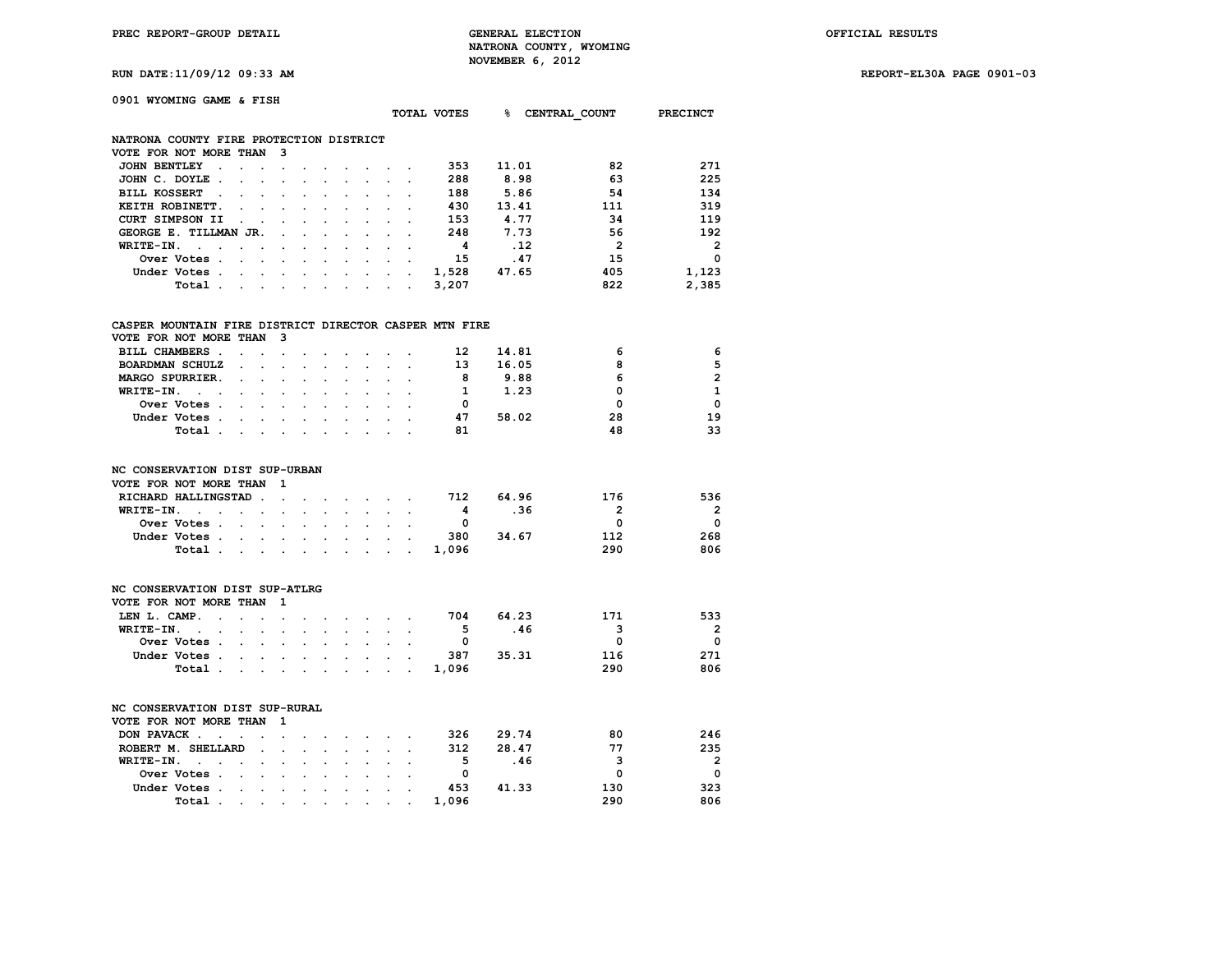**RUN DATE:11/09/12 09:33 AM REPORT-EL30A PAGE 0901-03**

| 0901 WYOMING GAME & FISH                                  |                          |                      |                      |                      |                      |                      |                      |                      |                      |              |       |       |                          |                         |
|-----------------------------------------------------------|--------------------------|----------------------|----------------------|----------------------|----------------------|----------------------|----------------------|----------------------|----------------------|--------------|-------|-------|--------------------------|-------------------------|
|                                                           |                          |                      |                      |                      |                      |                      |                      |                      |                      | TOTAL VOTES  | ℁     |       | <b>CENTRAL COUNT</b>     | PRECINCT                |
|                                                           |                          |                      |                      |                      |                      |                      |                      |                      |                      |              |       |       |                          |                         |
| NATRONA COUNTY FIRE PROTECTION DISTRICT                   |                          |                      |                      |                      |                      |                      |                      |                      |                      |              |       |       |                          |                         |
| VOTE FOR NOT MORE THAN                                    |                          |                      | 3                    |                      |                      |                      |                      |                      |                      |              |       |       |                          |                         |
| <b>JOHN BENTLEY</b><br>$\ddot{\phantom{0}}$               | $\ddot{\phantom{0}}$     | $\ddot{\phantom{a}}$ | $\bullet$            |                      | $\cdot$              |                      |                      |                      | $\cdot$              | 353          | 11.01 |       | 82                       | 271                     |
| JOHN C. DOYLE.                                            |                          |                      |                      |                      |                      |                      |                      |                      |                      | 288          | 8.98  |       | 63                       | 225                     |
| <b>BILL KOSSERT</b><br>$\sim$                             |                          | $\overline{a}$       | $\ddot{\phantom{a}}$ |                      |                      |                      | $\overline{a}$       |                      |                      | 188          | 5.86  |       | 54                       | 134                     |
| KEITH ROBINETT.                                           | $\overline{a}$           |                      |                      |                      |                      |                      |                      |                      |                      | 430          | 13.41 |       | 111                      | 319                     |
| <b>CURT SIMPSON II</b>                                    | $\ddot{\phantom{0}}$     |                      |                      |                      |                      |                      |                      |                      |                      | 153          | 4.77  |       | 34                       | 119                     |
| GEORGE E. TILLMAN JR.                                     |                          |                      | $\overline{a}$       |                      | $\overline{a}$       | $\overline{a}$       | $\mathbf{r}$         | $\overline{a}$       |                      | 248          | 7.73  |       | 56                       | 192                     |
| WRITE-IN.<br>$\sim$<br>$\ddot{\phantom{a}}$               |                          |                      |                      |                      |                      |                      |                      |                      |                      | 4            |       | .12   | $\overline{\phantom{a}}$ | $\overline{\mathbf{2}}$ |
| Over Votes.                                               | $\mathbf{r}$             | $\cdot$              |                      | $\cdot$              | $\ddot{\phantom{0}}$ | $\ddot{\phantom{a}}$ | $\cdot$              | $\ddot{\phantom{a}}$ |                      | 15           |       | .47   | 15                       | $\mathbf 0$             |
| Under Votes .                                             | $\mathbf{r}$             | $\ddot{\phantom{0}}$ | $\sim$               | $\overline{a}$       | $\ddot{\phantom{0}}$ | $\ddot{\phantom{a}}$ | $\sim$               | $\ddot{\phantom{a}}$ |                      | 1,528        | 47.65 |       | 405                      | 1,123                   |
| Total.                                                    | <b>Contract Contract</b> | $\ddot{\phantom{0}}$ | $\ddot{\phantom{0}}$ | $\cdot$              | $\sim$               | $\ddot{\phantom{a}}$ | $\ddot{\phantom{0}}$ | $\ddot{\phantom{0}}$ | $\ddot{\phantom{a}}$ | 3,207        |       |       | 822                      | 2,385                   |
|                                                           |                          |                      |                      |                      |                      |                      |                      |                      |                      |              |       |       |                          |                         |
| CASPER MOUNTAIN FIRE DISTRICT DIRECTOR CASPER MTN FIRE    |                          |                      |                      |                      |                      |                      |                      |                      |                      |              |       |       |                          |                         |
| VOTE FOR NOT MORE THAN                                    |                          |                      | 3                    |                      |                      |                      |                      |                      |                      |              |       |       |                          |                         |
| BILL CHAMBERS.                                            | $\ddot{\phantom{a}}$     | $\overline{a}$       | $\ddot{\phantom{a}}$ |                      |                      |                      | $\sim$               | $\overline{a}$       | $\overline{a}$       | 12           | 14.81 |       | 6                        | 6                       |
| <b>BOARDMAN SCHULZ</b>                                    |                          |                      | $\overline{a}$       |                      |                      |                      |                      |                      |                      | 13           | 16.05 |       | 8                        | 5                       |
| MARGO SPURRIER.                                           |                          | $\cdot$              | $\cdot$              | $\ddot{\phantom{a}}$ |                      | $\cdot$              | $\ddot{\phantom{0}}$ |                      |                      | - 8          | 9.88  |       | 6                        | $\overline{2}$          |
| WRITE-IN.<br>$\sim$ $\sim$                                |                          |                      |                      |                      |                      |                      |                      |                      |                      | $\mathbf{1}$ | 1.23  |       | 0                        | $\mathbf{1}$            |
| Over Votes .                                              |                          |                      |                      |                      |                      |                      |                      |                      |                      | $\mathbf 0$  |       |       | $\mathbf 0$              | 0                       |
| Under Votes .                                             | $\overline{a}$           |                      |                      |                      |                      |                      |                      |                      |                      | 47           | 58.02 |       | 28                       | 19                      |
| Total.                                                    | $\cdot$                  | $\cdot$              |                      |                      |                      |                      |                      |                      |                      | 81           |       |       | 48                       | 33                      |
|                                                           |                          |                      |                      |                      |                      |                      |                      |                      |                      |              |       |       |                          |                         |
| NC CONSERVATION DIST SUP-URBAN                            |                          |                      |                      |                      |                      |                      |                      |                      |                      |              |       |       |                          |                         |
| VOTE FOR NOT MORE THAN                                    |                          |                      | 1                    |                      |                      |                      |                      |                      |                      |              |       |       |                          |                         |
| RICHARD HALLINGSTAD.                                      |                          |                      | $\cdot$              |                      |                      | $\mathbf{r}$         | $\sim$               | $\overline{a}$       | $\sim$               | 712          |       | 64.96 | 176                      | 536                     |
| WRITE-IN.<br>$\sim$ $\sim$ $\sim$                         | $\ddot{\phantom{0}}$     | $\ddot{\phantom{a}}$ |                      |                      |                      |                      | $\mathbf{r}$         |                      |                      | 4            |       | .36   | $\overline{2}$           | 2                       |
| Over Votes .                                              | $\mathbf{r}$             | $\mathbf{r}$         |                      |                      |                      |                      |                      |                      |                      | $\mathbf{0}$ |       |       | $\Omega$                 | 0                       |
| Under Votes .                                             | $\ddot{\phantom{0}}$     | $\ddot{\phantom{0}}$ | $\cdot$              | $\ddot{\phantom{a}}$ | $\ddot{\phantom{a}}$ | $\ddot{\phantom{a}}$ | $\ddot{\phantom{a}}$ | $\ddot{\phantom{a}}$ |                      | 380          | 34.67 |       | 112                      | 268                     |
| Total.                                                    |                          |                      | $\ddot{\phantom{a}}$ |                      |                      |                      |                      |                      |                      | 1,096        |       |       | 290                      | 806                     |
|                                                           |                          |                      |                      |                      |                      |                      |                      |                      |                      |              |       |       |                          |                         |
|                                                           |                          |                      |                      |                      |                      |                      |                      |                      |                      |              |       |       |                          |                         |
| NC CONSERVATION DIST SUP-ATLRG                            |                          |                      |                      |                      |                      |                      |                      |                      |                      |              |       |       |                          |                         |
| VOTE FOR NOT MORE THAN                                    |                          |                      | 1                    |                      |                      |                      |                      |                      |                      |              |       |       |                          |                         |
| LEN L. CAMP.<br>$\ddot{\phantom{a}}$                      | s.                       |                      | $\overline{a}$       |                      |                      |                      |                      |                      |                      | 704          |       | 64.23 | 171                      | 533                     |
| WRITE-IN.<br>$\ddot{\phantom{a}}$<br>$\ddot{\phantom{a}}$ | $\ddot{\phantom{0}}$     | $\ddot{\phantom{a}}$ | $\ddot{\phantom{a}}$ |                      | $\ddot{\phantom{a}}$ | $\overline{a}$       | $\ddot{\phantom{0}}$ | $\mathbf{r}$         | $\cdot$              | 5            |       | .46   | 3                        | $\overline{2}$          |
| Over Votes.                                               | $\ddot{\phantom{0}}$     | $\cdot$              |                      |                      |                      |                      |                      |                      |                      | $\mathbf 0$  |       |       | 0                        | 0                       |
| Under Votes.                                              | $\sim$                   | $\ddot{\phantom{0}}$ | $\ddot{\phantom{a}}$ | $\ddot{\phantom{a}}$ | $\ddot{\phantom{a}}$ | $\ddot{\phantom{a}}$ | $\ddot{\phantom{0}}$ | $\ddot{\phantom{a}}$ | $\overline{a}$       | 387          | 35.31 |       | 116                      | 271                     |
| Total.                                                    |                          |                      |                      |                      |                      | $\ddot{\phantom{a}}$ | $\ddot{\phantom{0}}$ |                      |                      | 1,096        |       |       | 290                      | 806                     |
|                                                           |                          |                      |                      |                      |                      |                      |                      |                      |                      |              |       |       |                          |                         |
| NC CONSERVATION DIST SUP-RURAL                            |                          |                      |                      |                      |                      |                      |                      |                      |                      |              |       |       |                          |                         |
| VOTE FOR NOT MORE THAN                                    |                          |                      | 1                    |                      |                      |                      |                      |                      |                      |              |       |       |                          |                         |
| DON PAVACK.<br>$\sim$                                     | $\overline{\phantom{a}}$ |                      | $\cdot$              |                      | $\cdot$              |                      | $\sim$               |                      | $\ddot{\phantom{a}}$ | 326          |       | 29.74 | 80                       | 246                     |
| ROBERT M. SHELLARD                                        |                          | $\ddot{\phantom{a}}$ | $\ddot{\phantom{a}}$ | $\ddot{\phantom{0}}$ | $\ddot{\phantom{a}}$ | $\overline{a}$       | $\ddot{\phantom{0}}$ | $\ddot{\phantom{a}}$ | $\ddot{\phantom{a}}$ | 312          | 28.47 |       | 77                       | 235                     |
| WRITE-IN.                                                 |                          |                      |                      |                      |                      |                      |                      |                      |                      | - 5          |       | .46   | 3                        | $\overline{2}$          |
| Over Votes<br>$\,$ .                                      |                          |                      |                      | $\bullet$            |                      |                      |                      |                      |                      | 0            |       |       | $\Omega$                 | $\Omega$                |

 **Under Votes . . . . . . . . . . 453 41.33 130 323 Total . . . . . . . . . . 1,096 290 806**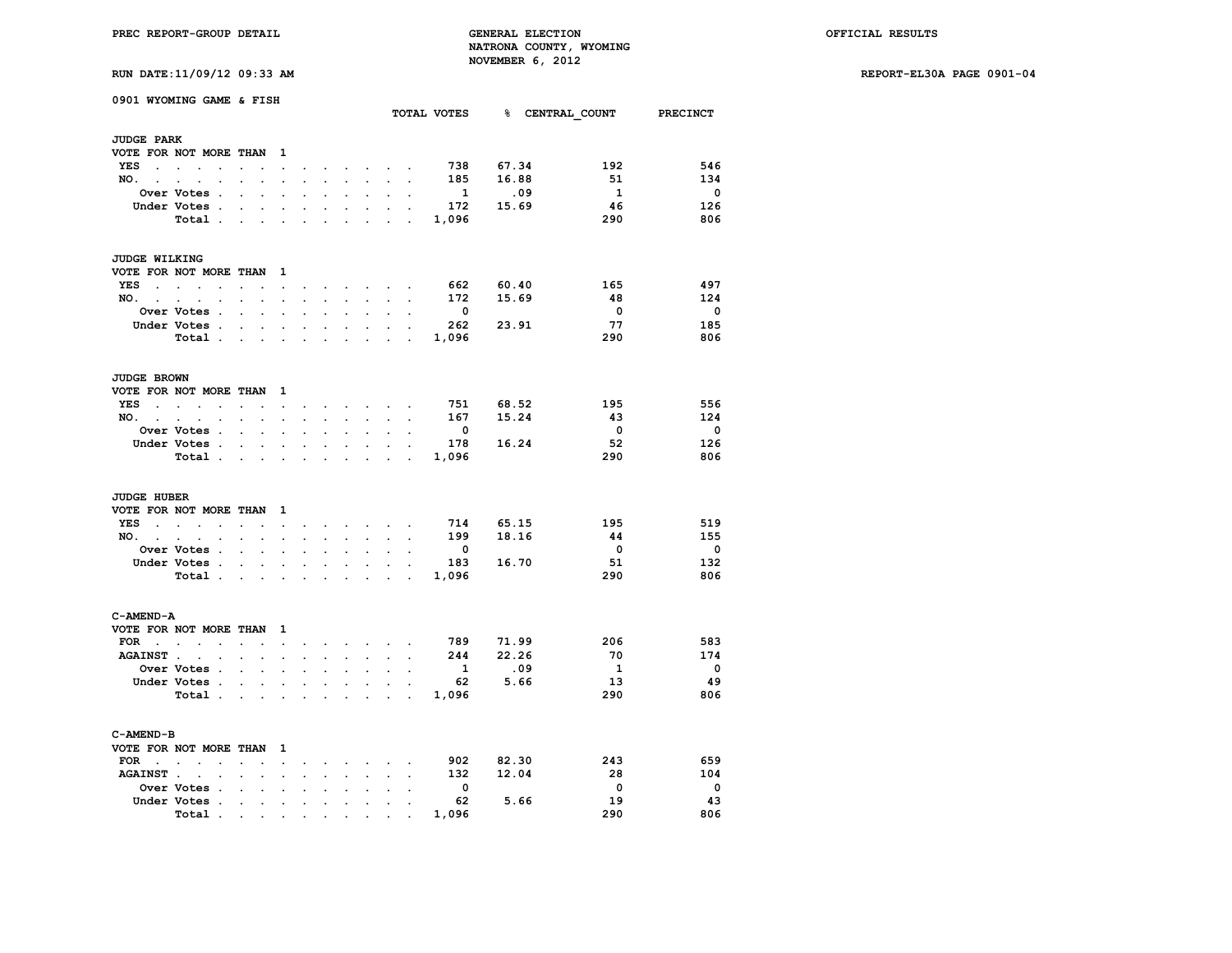**RUN DATE:11/09/12 09:33 AM REPORT-EL30A PAGE 0901-04**

| RUN DATE:11/09/12 09:33 AM |
|----------------------------|
|----------------------------|

|                                 | 0901 WYOMING GAME & FISH                                                                                |                                 |                      |                      |                      |                             |                      |                      |                                                                                                  |                      | TOTAL VOTES             |           | % CENTRAL COUNT          | <b>PRECINCT</b>          |
|---------------------------------|---------------------------------------------------------------------------------------------------------|---------------------------------|----------------------|----------------------|----------------------|-----------------------------|----------------------|----------------------|--------------------------------------------------------------------------------------------------|----------------------|-------------------------|-----------|--------------------------|--------------------------|
| <b>JUDGE PARK</b>               |                                                                                                         |                                 |                      |                      |                      |                             |                      |                      |                                                                                                  |                      |                         |           |                          |                          |
|                                 | VOTE FOR NOT MORE THAN                                                                                  |                                 |                      | $\mathbf{1}$         |                      |                             |                      |                      |                                                                                                  |                      |                         |           |                          |                          |
| <b>YES</b><br>$\sim$            | $\sim$<br>$\mathbf{r}$<br>$\overline{a}$                                                                | $\overline{a}$                  |                      | $\ddot{\phantom{0}}$ | $\ddot{\phantom{0}}$ | $\bullet$                   | $\ddot{\phantom{0}}$ | $\sim$               | $\sim$                                                                                           |                      | 738                     | 67.34     | 192                      | 546                      |
| NO.                             | $\mathcal{L}^{\text{max}}$ , $\mathcal{L}^{\text{max}}$<br>$\ddot{\phantom{a}}$<br>$\ddot{\phantom{a}}$ | $\ddot{\phantom{a}}$            | $\ddot{\phantom{0}}$ | $\ddot{\phantom{0}}$ | $\ddot{\phantom{a}}$ | $\mathcal{L}^{\mathcal{L}}$ | $\ddot{\phantom{0}}$ | $\ddot{\phantom{0}}$ | $\mathbb{Z}^2$                                                                                   | $\ddot{\phantom{a}}$ | 185                     | 16.88     | 51                       | 134                      |
|                                 | <b>Over Votes .</b>                                                                                     |                                 |                      |                      |                      |                             |                      |                      |                                                                                                  |                      | $\mathbf{1}$            | .09       | $\mathbf{1}$             | $\overline{\mathbf{0}}$  |
|                                 | Under Votes .                                                                                           |                                 |                      |                      |                      |                             |                      |                      |                                                                                                  |                      | 172                     | 15.69     | 46                       | 126                      |
|                                 |                                                                                                         |                                 |                      |                      | $\ddot{\phantom{0}}$ |                             |                      |                      |                                                                                                  |                      |                         |           |                          |                          |
|                                 | Total.                                                                                                  | $\ddot{\phantom{a}}$            | $\ddot{\phantom{a}}$ | $\ddot{\phantom{a}}$ | $\cdot$              | $\cdot$                     | $\ddot{\phantom{a}}$ | $\cdot$              |                                                                                                  | $\cdot$              | 1,096                   |           | 290                      | 806                      |
| JUDGE WILKING                   |                                                                                                         |                                 |                      |                      |                      |                             |                      |                      |                                                                                                  |                      |                         |           |                          |                          |
|                                 | VOTE FOR NOT MORE THAN                                                                                  |                                 |                      | 1                    |                      |                             |                      |                      |                                                                                                  |                      |                         |           |                          |                          |
| YES<br>$\sim$                   | $\ddot{\phantom{a}}$<br>$\ddot{\phantom{a}}$<br>$\ddot{\phantom{a}}$                                    | $\ddot{\phantom{a}}$            | $\cdot$              | $\sim$               | $\sim$               | $\sim$                      | $\sim$               | $\sim$               | $\sim$                                                                                           | $\cdot$              | 662                     | 60.40     | 165                      | 497                      |
| NO.<br><b>Contract Contract</b> | $\blacksquare$<br>$\ddot{\phantom{0}}$                                                                  | $\ddot{\phantom{0}}$            | $\ddot{\phantom{0}}$ | $\ddot{\phantom{0}}$ | $\ddot{\phantom{a}}$ | $\ddot{\phantom{a}}$        | $\ddot{\phantom{0}}$ | $\ddot{\phantom{0}}$ | $\ddot{\phantom{0}}$                                                                             | $\ddot{\phantom{a}}$ | 172                     | 15.69     | 48                       | 124                      |
|                                 | Over Votes .                                                                                            |                                 |                      |                      |                      |                             |                      |                      |                                                                                                  |                      | $\overline{\mathbf{0}}$ |           | $\mathbf 0$              | $\overline{\mathbf{0}}$  |
|                                 |                                                                                                         |                                 |                      |                      |                      |                             |                      |                      |                                                                                                  |                      | 262                     | 23.91     | 77                       | 185                      |
|                                 | Under Votes .                                                                                           | $\ddot{\phantom{a}}$            | $\ddot{\phantom{0}}$ | $\ddot{\phantom{0}}$ | $\ddot{\phantom{0}}$ | $\blacksquare$              | $\bullet$            | $\bullet$            | $\cdot$                                                                                          | $\ddot{\phantom{a}}$ |                         |           |                          |                          |
|                                 | Total .                                                                                                 |                                 | $\sim$               | $\ddot{\phantom{0}}$ |                      |                             |                      |                      | $\overline{a}$                                                                                   |                      | 1,096                   |           | 290                      | 806                      |
| <b>JUDGE BROWN</b>              |                                                                                                         |                                 |                      |                      |                      |                             |                      |                      |                                                                                                  |                      |                         |           |                          |                          |
|                                 | VOTE FOR NOT MORE THAN                                                                                  |                                 |                      | 1                    |                      |                             |                      |                      |                                                                                                  |                      |                         |           |                          |                          |
| YES                             | $\sim$<br>$\sim$<br>$\ddot{\phantom{a}}$                                                                | $\ddot{\phantom{a}}$            | $\ddot{\phantom{a}}$ | $\ddot{\phantom{0}}$ | $\blacksquare$       | $\bullet$                   | $\bullet$            |                      | the contract of the                                                                              |                      | 751                     | 68.52     | 195                      | 556                      |
| NO.                             | $\ddot{\phantom{a}}$                                                                                    |                                 |                      | ÷                    |                      | a.                          | o.                   | ÷.                   | o.                                                                                               |                      | 167                     | 15.24     | -43                      | 124                      |
|                                 | Over Votes .                                                                                            |                                 | $\ddot{\phantom{0}}$ | $\overline{a}$       |                      |                             |                      |                      |                                                                                                  |                      | $\mathbf 0$             |           | $\overline{\mathbf{0}}$  | $\overline{0}$           |
|                                 | Under Votes.                                                                                            |                                 |                      |                      | $\overline{a}$       |                             | $\overline{a}$       | $\overline{a}$       | $\overline{a}$                                                                                   |                      | 178                     | 16.24     | 52                       | 126                      |
|                                 |                                                                                                         | $\ddot{\phantom{0}}$            | $\ddot{\phantom{0}}$ | $\bullet$            |                      | $\cdot$                     |                      |                      |                                                                                                  | $\ddot{\phantom{a}}$ |                         |           |                          |                          |
|                                 | Total.                                                                                                  | $\ddot{\phantom{a}}$            | $\ddot{\phantom{0}}$ | $\cdot$              | $\ddot{\phantom{a}}$ |                             |                      | $\ddot{\phantom{0}}$ | ÷                                                                                                | $\cdot$              | 1,096                   |           | 290                      | 806                      |
| <b>JUDGE HUBER</b>              |                                                                                                         |                                 |                      |                      |                      |                             |                      |                      |                                                                                                  |                      |                         |           |                          |                          |
|                                 | VOTE FOR NOT MORE THAN                                                                                  |                                 |                      | 1                    |                      |                             |                      |                      |                                                                                                  |                      |                         |           |                          |                          |
| YES                             | <b>Contract Contract</b><br>$\bullet$                                                                   | $\ddot{\phantom{0}}$            | $\ddot{\phantom{0}}$ | $\bullet$            | $\bullet$            | $\sim$                      |                      |                      | $\mathcal{L}^{\text{max}}$ , where $\mathcal{L}^{\text{max}}$ , where $\mathcal{L}^{\text{max}}$ |                      | 714                     | 65.15     | 195                      | 519                      |
| NO.<br>$\sim$                   |                                                                                                         |                                 |                      |                      |                      |                             |                      |                      |                                                                                                  |                      | 199                     | 18.16     | 44                       | 155                      |
|                                 | Over Votes .                                                                                            | $\overline{a}$                  | $\ddot{\phantom{0}}$ | $\bullet$            | $\overline{a}$       | $\ddot{\phantom{a}}$        | $\overline{a}$       | $\bullet$            | $\overline{a}$                                                                                   | $\cdot$              | $\mathbf{0}$            |           | $\overline{\phantom{0}}$ | $\overline{\mathbf{0}}$  |
|                                 | Under Votes .                                                                                           |                                 |                      |                      |                      |                             |                      |                      |                                                                                                  |                      |                         | 183 16.70 | 51                       | 132                      |
|                                 | Total.                                                                                                  | $\sim$                          | $\ddot{\phantom{a}}$ | $\ddot{\phantom{a}}$ | $\overline{a}$       |                             |                      | $\sim$               |                                                                                                  | $\sim$               | 1,096                   |           | 290                      | 806                      |
|                                 |                                                                                                         |                                 |                      |                      |                      |                             |                      |                      |                                                                                                  |                      |                         |           |                          |                          |
| C-AMEND-A                       |                                                                                                         |                                 |                      |                      |                      |                             |                      |                      |                                                                                                  |                      |                         |           |                          |                          |
|                                 | VOTE FOR NOT MORE THAN                                                                                  |                                 |                      | 1                    |                      |                             |                      |                      |                                                                                                  |                      |                         |           |                          |                          |
| $FOR \t .$                      | $\ddot{\phantom{a}}$<br>$\ddot{\phantom{a}}$                                                            | $\ddot{\phantom{a}}$            | $\ddot{\phantom{a}}$ | $\ddot{\phantom{a}}$ | $\overline{a}$       | $\sim$                      | $\ddot{\phantom{a}}$ |                      | $\mathcal{L}^{\text{max}}$                                                                       | $\overline{a}$       | 789 —                   | 71.99     | 206                      | 583                      |
| <b>AGAINST.</b>                 | $\ddot{\phantom{a}}$                                                                                    |                                 | $\overline{a}$       | $\ddot{\phantom{a}}$ |                      |                             |                      |                      |                                                                                                  |                      | 244                     | 22.26     | 70                       | 174                      |
|                                 | Over Votes .                                                                                            | $\overline{a}$                  | $\mathbf{r}$         | $\overline{a}$       | $\overline{a}$       | $\overline{a}$              | $\overline{a}$       | $\mathbf{r}$         | $\overline{a}$                                                                                   | $\overline{a}$       | 1                       | .09       | $\mathbf{1}$             | $\overline{\mathbf{0}}$  |
|                                 | Under Votes .                                                                                           |                                 |                      |                      |                      |                             |                      |                      |                                                                                                  |                      | 62                      | 5.66      | - 13                     | 49                       |
|                                 | Total .                                                                                                 |                                 | $\ddot{\phantom{a}}$ |                      | $\overline{a}$       |                             |                      | $\mathbf{r}$         | $\cdot$                                                                                          |                      | 1,096                   |           | 290                      | 806                      |
|                                 |                                                                                                         |                                 |                      |                      |                      |                             |                      |                      |                                                                                                  |                      |                         |           |                          |                          |
| C-AMEND-B                       |                                                                                                         |                                 |                      |                      |                      |                             |                      |                      |                                                                                                  |                      |                         |           |                          |                          |
|                                 | VOTE FOR NOT MORE THAN                                                                                  |                                 |                      | 1                    |                      |                             |                      |                      |                                                                                                  |                      |                         |           |                          |                          |
| <b>FOR</b><br>$\sim$            | $\sim$<br><b>Contract Contract Contract</b><br>$\overline{a}$                                           | $\overline{a}$                  |                      | $\mathcal{L}^{\pm}$  |                      |                             | $\sim$               | $\sim$               |                                                                                                  |                      | 902                     | 82.30     | 243                      | 659                      |
| <b>AGAINST.</b>                 | $\ddot{\phantom{a}}$                                                                                    | $\cdot$                         | $\ddot{\phantom{0}}$ | $\ddot{\phantom{a}}$ |                      |                             | $\mathbf{r}$         | $\ddot{\phantom{a}}$ | $\ddot{\phantom{a}}$                                                                             | $\cdot$              | 132                     | 12.04     | 28                       | 104                      |
|                                 | Over Votes .                                                                                            |                                 |                      |                      |                      |                             |                      |                      |                                                                                                  |                      | $\mathbf{0}$            |           | $\overline{\mathbf{0}}$  | $\overline{\phantom{0}}$ |
|                                 | Under Votes .                                                                                           | $\cdot$                         | $\ddot{\phantom{0}}$ | $\cdot$              | $\ddot{\phantom{a}}$ | $\ddot{\phantom{a}}$        |                      |                      |                                                                                                  |                      | 62                      | 5.66      | 19                       | 43                       |
|                                 | Total<br>$\cdot$                                                                                        |                                 |                      |                      |                      |                             |                      |                      |                                                                                                  |                      | 1,096                   |           | 290                      | 806                      |
|                                 |                                                                                                         | the contract of the contract of |                      |                      | $\bullet$            |                             | $\bullet$            |                      |                                                                                                  |                      |                         |           |                          |                          |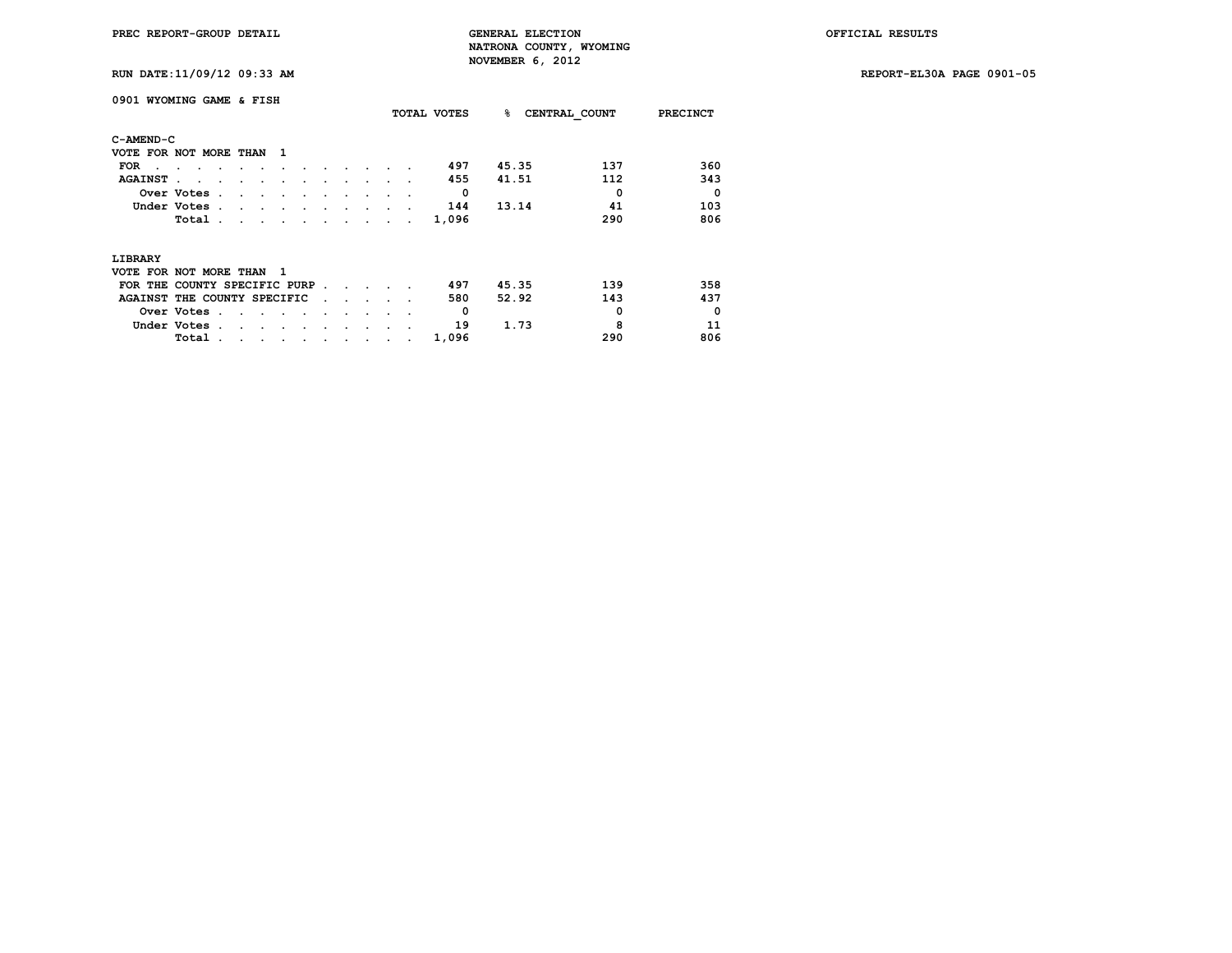**RUN DATE:11/09/12 09:33 AM REPORT-EL30A PAGE 0901-05**

|                | 0901 WYOMING GAME & FISH      |                                |                      |           |  |   |                      |                 | TOTAL VOTES | ℁     | CENTRAL COUNT | <b>PRECINCT</b> |
|----------------|-------------------------------|--------------------------------|----------------------|-----------|--|---|----------------------|-----------------|-------------|-------|---------------|-----------------|
| C-AMEND-C      |                               |                                |                      |           |  |   |                      |                 |             |       |               |                 |
|                | VOTE FOR NOT MORE THAN        |                                | - 1                  |           |  |   |                      |                 |             |       |               |                 |
| <b>FOR</b>     |                               |                                |                      |           |  |   |                      |                 | 497         | 45.35 | 137           | 360             |
| <b>AGAINST</b> |                               |                                |                      |           |  |   |                      |                 | 455         | 41.51 | 112           | 343             |
|                | Over Votes.                   | $\ddot{\phantom{a}}$<br>$\sim$ |                      |           |  |   |                      |                 | 0           |       | 0             | $\Omega$        |
|                | Under Votes.                  | $\cdot$                        |                      |           |  |   |                      |                 | 144         | 13.14 | 41            | 103             |
|                | Total.                        | $\sim$ $\sim$                  |                      |           |  |   |                      |                 | 1,096       |       | 290           | 806             |
| LIBRARY        |                               |                                |                      |           |  |   |                      |                 |             |       |               |                 |
|                | VOTE FOR NOT MORE THAN        |                                | - 1                  |           |  |   |                      |                 |             |       |               |                 |
|                | FOR THE COUNTY SPECIFIC PURP. |                                |                      |           |  |   |                      |                 | 497         | 45.35 | 139           | 358             |
|                | AGAINST THE COUNTY SPECIFIC   |                                |                      |           |  |   |                      |                 | 580         | 52.92 | 143           | 437             |
|                | Over Votes.                   | $\ddot{\phantom{a}}$           |                      |           |  |   |                      |                 | 0           |       | 0             | $\mathbf 0$     |
|                | Under Votes.                  |                                |                      |           |  |   |                      |                 | 19          | 1.73  | 8             | 11              |
|                | Total                         | $\cdot$<br>$\bullet$           | $\ddot{\phantom{0}}$ | $\bullet$ |  | ٠ | $\ddot{\phantom{0}}$ | $\cdot$ $\cdot$ | 1,096       |       | 290           | 806             |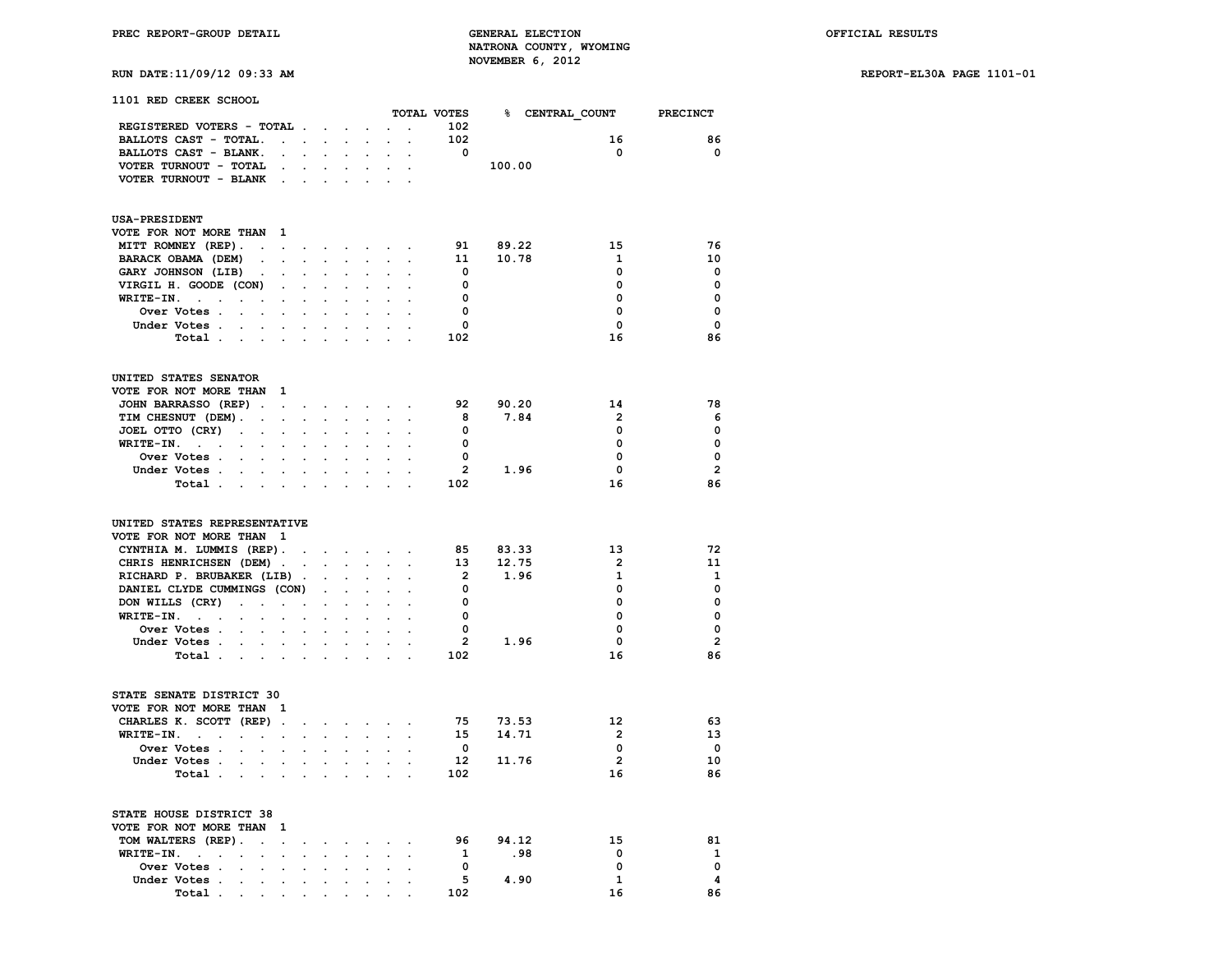**RUN DATE:11/09/12 09:33 AM REPORT-EL30A PAGE 1101-01**

|  | 1101 RED CREEK SCHOOL |
|--|-----------------------|
|  |                       |

|                                                                          |                                                           |                      |                                              |                                                           |                                      |                                 |                      | TOTAL VOTES             |        |      | % CENTRAL COUNT         | <b>PRECINCT</b>         |
|--------------------------------------------------------------------------|-----------------------------------------------------------|----------------------|----------------------------------------------|-----------------------------------------------------------|--------------------------------------|---------------------------------|----------------------|-------------------------|--------|------|-------------------------|-------------------------|
| REGISTERED VOTERS - TOTAL                                                |                                                           |                      |                                              |                                                           |                                      |                                 | $\ddot{\phantom{0}}$ | 102                     |        |      |                         |                         |
| BALLOTS CAST - TOTAL.                                                    | $\mathbf{L}^{\text{max}}$ , and $\mathbf{L}^{\text{max}}$ |                      | $\sim$                                       | $\ddot{\phantom{0}}$                                      | $\ddot{\phantom{0}}$                 | $\mathbf{r}$                    |                      | 102                     |        |      | 16                      | 86                      |
| BALLOTS CAST - BLANK.                                                    | $\ddot{\phantom{0}}$                                      | $\sim$               |                                              |                                                           | $\overline{a}$                       |                                 |                      | $\overline{\mathbf{0}}$ |        |      | $\mathbf 0$             | $\Omega$                |
| VOTER TURNOUT - TOTAL                                                    |                                                           |                      |                                              |                                                           |                                      |                                 |                      |                         | 100.00 |      |                         |                         |
| VOTER TURNOUT - BLANK                                                    |                                                           |                      |                                              |                                                           |                                      |                                 |                      |                         |        |      |                         |                         |
|                                                                          | $\sim$ $\sim$                                             | $\ddot{\phantom{a}}$ |                                              |                                                           |                                      |                                 |                      |                         |        |      |                         |                         |
| <b>USA-PRESIDENT</b>                                                     |                                                           |                      |                                              |                                                           |                                      |                                 |                      |                         |        |      |                         |                         |
| VOTE FOR NOT MORE THAN                                                   | - 1                                                       |                      |                                              |                                                           |                                      |                                 |                      |                         |        |      |                         |                         |
| MITT ROMNEY (REP).<br>$\cdot$                                            | $\sim 10^{-11}$                                           |                      | $\mathbf{r} = \mathbf{r} \cdot \mathbf{r}$ . | $\sim$                                                    |                                      | $\alpha$ , $\beta$ , $\alpha$ , | $\bullet$            | 91                      | 89.22  |      | 15                      | 76                      |
| BARACK OBAMA (DEM)<br>$\ddot{\phantom{a}}$                               | $\Box$                                                    | $\mathbf{L}$         | $\sim$                                       | $\ddot{\phantom{a}}$                                      | $\ddot{\phantom{a}}$                 | $\cdot$                         | $\ddot{\phantom{a}}$ | 11                      | 10.78  |      | $\mathbf{1}$            | 10                      |
| GARY JOHNSON (LIB)<br>$\ddot{\phantom{a}}$                               | $\ddot{\phantom{a}}$                                      | $\sim$               | $\mathbb{Z}^{\times}$                        |                                                           |                                      |                                 |                      | $\mathbf{0}$            |        |      | 0                       | 0                       |
| VIRGIL H. GOODE (CON)                                                    | $\bullet$                                                 | $\ddot{\phantom{a}}$ | $\cdot$                                      |                                                           | $\overline{a}$                       |                                 |                      | $\mathbf 0$             |        |      | 0                       | $\mathbf 0$             |
| WRITE-IN.<br>$\sim$<br>$\ddot{\phantom{0}}$                              | $\sim$                                                    | $\ddot{\phantom{a}}$ | $\ddot{\phantom{a}}$                         | $\mathbf{r}$                                              | $\ddot{\phantom{a}}$                 | $\ddot{\phantom{a}}$            |                      | $\overline{\mathbf{0}}$ |        |      | $\mathbf 0$             | $\mathbf 0$             |
| Over Votes .<br>$\sim$<br>$\sim$                                         | $\ddot{\phantom{0}}$                                      | $\cdot$              | $\cdot$                                      |                                                           |                                      |                                 | $\ddot{\phantom{a}}$ | $\mathbf 0$             |        |      | 0                       | $\mathbf 0$             |
|                                                                          |                                                           |                      |                                              |                                                           |                                      |                                 |                      |                         |        |      | $\mathbf 0$             | $\mathbf{0}$            |
| Under Votes .                                                            | $\mathbf{L} = \mathbf{L}$                                 | $\sim$               |                                              |                                                           |                                      |                                 |                      | 0                       |        |      |                         |                         |
| Total .<br>$\sim 100$<br>$\sim 100$                                      | $\ddot{\phantom{a}}$                                      | $\cdot$              | $\cdot$                                      |                                                           |                                      |                                 |                      | 102                     |        |      | 16                      | 86                      |
| UNITED STATES SENATOR                                                    |                                                           |                      |                                              |                                                           |                                      |                                 |                      |                         |        |      |                         |                         |
| VOTE FOR NOT MORE THAN                                                   | - 1                                                       |                      |                                              |                                                           |                                      |                                 |                      |                         |        |      |                         |                         |
| JOHN BARRASSO (REP).                                                     | $\mathbf{r}$                                              | $\sim$               | $\sim$                                       |                                                           | <b>Service</b> State                 | $\ddot{\phantom{a}}$            |                      | 92                      | 90.20  |      | 14                      | 78                      |
| TIM CHESNUT (DEM).<br>$\sim$                                             | $\sim$                                                    | $\ddot{\phantom{a}}$ | $\ddot{\phantom{a}}$                         | $\ddot{\phantom{a}}$                                      | $\ddot{\phantom{0}}$                 | $\cdot$                         | $\cdot$              | 8                       | 7.84   |      | $\overline{2}$          | 6                       |
| JOEL OTTO (CRY)<br>$\sim$<br>$\ddot{\phantom{0}}$                        | $\cdot$                                                   |                      |                                              |                                                           |                                      |                                 |                      | $\overline{\mathbf{0}}$ |        |      | 0                       | 0                       |
| WRITE-IN.<br>$\sim$<br>$\ddot{\phantom{a}}$<br>$\cdot$<br>$\sim$         | $\overline{a}$                                            |                      |                                              |                                                           |                                      |                                 |                      | $\mathbf{0}$            |        |      | 0                       | $\mathbf 0$             |
| Over Votes.<br>$\sim$<br>$\ddot{\phantom{0}}$                            | $\ddot{\phantom{0}}$                                      | $\sim$               | $\overline{a}$                               |                                                           | $\overline{a}$                       |                                 |                      | $\overline{\mathbf{0}}$ |        |      | $\mathbf 0$             | 0                       |
| Under Votes .                                                            |                                                           |                      |                                              |                                                           |                                      |                                 |                      | $\overline{2}$          |        | 1.96 | 0                       | $\overline{2}$          |
| $\sim$<br>$\ddot{\phantom{0}}$                                           | $\blacksquare$                                            | $\ddot{\phantom{a}}$ | $\cdot$                                      | $\ddot{\phantom{a}}$                                      |                                      |                                 | $\cdot$              |                         |        |      |                         |                         |
| Total .<br>$\sim$ $\sim$ $\sim$ $\sim$                                   |                                                           | $\ddot{\phantom{a}}$ |                                              |                                                           |                                      |                                 |                      | 102                     |        |      | 16                      | 86                      |
| UNITED STATES REPRESENTATIVE<br>VOTE FOR NOT MORE THAN                   | $\mathbf{1}$                                              |                      |                                              |                                                           |                                      |                                 |                      |                         |        |      |                         |                         |
| CYNTHIA M. LUMMIS (REP).                                                 |                                                           |                      |                                              | $\mathcal{L}^{\text{max}}$ and $\mathcal{L}^{\text{max}}$ | $\sim$                               |                                 |                      | 85                      | 83.33  |      | 13                      | 72                      |
| CHRIS HENRICHSEN (DEM).                                                  |                                                           | $\ddot{\phantom{a}}$ |                                              | $\mathbf{r} = \mathbf{r} \cdot \mathbf{r}$                | $\ddot{\phantom{0}}$                 |                                 |                      | 13                      | 12.75  |      | $\overline{2}$          | 11                      |
| RICHARD P. BRUBAKER (LIB).                                               |                                                           |                      |                                              |                                                           |                                      |                                 |                      | $\overline{\mathbf{2}}$ | 1.96   |      | $\mathbf{1}$            | 1                       |
| DANIEL CLYDE CUMMINGS (CON)                                              |                                                           |                      | $\bullet$                                    |                                                           |                                      |                                 |                      | $\overline{\mathbf{0}}$ |        |      | $\Omega$                | 0                       |
| DON WILLS (CRY)<br>$\sim 10^{-11}$<br>$\cdot$                            | $\ddot{\phantom{a}}$                                      | $\ddot{\phantom{a}}$ |                                              |                                                           |                                      |                                 |                      | $\overline{\mathbf{0}}$ |        |      | 0                       | $\mathbf 0$             |
| WRITE-IN.<br><b>Contract Contract</b><br>$\ddot{\phantom{a}}$            | $\ddot{\phantom{0}}$                                      | $\blacksquare$       | $\sim$                                       |                                                           |                                      |                                 |                      | $^{\circ}$              |        |      | $\Omega$                | $\Omega$                |
| Over Votes .                                                             | $\ddot{\phantom{0}}$                                      | $\cdot$              |                                              |                                                           |                                      |                                 |                      | $\overline{\mathbf{0}}$ |        |      | $\mathbf 0$             | $\mathbf 0$             |
|                                                                          |                                                           |                      |                                              |                                                           |                                      |                                 |                      | $\overline{2}$          |        | 1.96 | $\mathbf{0}$            | $\overline{2}$          |
| Under Votes .<br>$\ddot{\phantom{0}}$<br>$\ddot{\phantom{0}}$            | $\sim$                                                    | $\sim$               | $\sim$                                       |                                                           |                                      |                                 |                      |                         |        |      |                         |                         |
| Total                                                                    |                                                           | $\ddot{\phantom{a}}$ | $\mathcal{L}^{\mathcal{L}}$                  |                                                           |                                      |                                 |                      | 102                     |        |      | 16                      | 86                      |
| STATE SENATE DISTRICT 30                                                 |                                                           |                      |                                              |                                                           |                                      |                                 |                      |                         |        |      |                         |                         |
| VOTE FOR NOT MORE THAN                                                   | - 1                                                       |                      |                                              |                                                           |                                      |                                 |                      |                         |        |      |                         |                         |
| CHARLES K. SCOTT (REP).                                                  |                                                           | $\bullet$ .          |                                              |                                                           | and a strong control of the state of |                                 |                      | 75                      | 73.53  |      | $12 \overline{ }$       | 63                      |
| WRITE-IN.<br>and the company                                             |                                                           | $\mathbf{L}$         | $\ddot{\phantom{0}}$                         | $\sim$                                                    | $\ddot{\phantom{0}}$                 | $\ddot{\phantom{a}}$            | $\ddot{\phantom{a}}$ | 15                      | 14.71  |      | $\overline{2}$          | 13                      |
| Over Votes .<br><b>Contract Contract</b>                                 | $\bullet$                                                 | $\ddot{\phantom{a}}$ | $\mathbf{r}$                                 | $\mathbf{r}$                                              | $\cdot$                              | $\cdot$                         | $\overline{a}$       | $\mathbf{0}$            |        |      | 0                       | $\overline{\mathbf{0}}$ |
| Under Votes .<br>$\sim$                                                  | $\mathbf{L}^{\text{max}}$ , and $\mathbf{L}^{\text{max}}$ | $\mathbf{L}$         | $\mathcal{L}^{\text{max}}$                   | $\ddot{\phantom{a}}$                                      | $\ddot{\phantom{0}}$                 | $\ddot{\phantom{a}}$            |                      | 12 <sup>7</sup>         | 11.76  |      | $\overline{\mathbf{2}}$ | 10                      |
| Total .<br>$\sim 10^{-10}$ km $^{-1}$                                    | $\ddot{\phantom{a}}$                                      | $\ddot{\phantom{a}}$ | $\sim$                                       |                                                           |                                      |                                 | $\mathbf{r}$         | 102                     |        |      | 16                      | 86                      |
|                                                                          |                                                           |                      |                                              |                                                           |                                      |                                 |                      |                         |        |      |                         |                         |
| STATE HOUSE DISTRICT 38                                                  |                                                           |                      |                                              |                                                           |                                      |                                 |                      |                         |        |      |                         |                         |
| VOTE FOR NOT MORE THAN                                                   | 1                                                         |                      |                                              |                                                           |                                      |                                 |                      |                         |        |      |                         |                         |
| TOM WALTERS (REP).<br>s.                                                 | $\mathbf{r}$                                              |                      | $\sim$                                       | $\ddot{\phantom{a}}$                                      | $\sim$                               |                                 |                      | 96                      | 94.12  |      | 15                      | 81                      |
| WRITE-IN.<br>$\sim 10^{-1}$ km $^{-1}$<br>$\sim$<br>$\ddot{\phantom{0}}$ | $\bullet$                                                 | $\ddot{\phantom{a}}$ | $\ddot{\phantom{a}}$                         | $\ddot{\phantom{a}}$                                      | $\ddot{\phantom{a}}$                 | $\ddot{\phantom{a}}$            | $\cdot$              | $\mathbf{1}$            |        | .98  | 0                       | 1                       |
| Over Votes .<br>$\ddot{\phantom{0}}$<br>$\ddot{\phantom{0}}$             | $\overline{a}$                                            |                      |                                              |                                                           |                                      |                                 |                      | $\overline{\mathbf{0}}$ |        |      | $\mathbf 0$             | $\mathbf 0$             |
| Under Votes.<br>$\sim$ $\sim$<br>$\bullet$                               | $\bullet$                                                 | $\ddot{\phantom{a}}$ | $\cdot$                                      |                                                           | $\cdot$                              | $\cdot$                         | $\ddot{\phantom{a}}$ | - 5                     | 4.90   |      | $\mathbf{1}$            | 4                       |
| Total .<br>$\sim 10^{-10}$<br>$\ddot{\phantom{0}}$                       | $\ddot{\phantom{0}}$                                      | $\ddot{\phantom{a}}$ | $\sim$                                       | $\sim$                                                    | $\overline{a}$                       |                                 |                      | 102                     |        |      | 16                      | 86                      |
|                                                                          |                                                           |                      |                                              |                                                           |                                      |                                 |                      |                         |        |      |                         |                         |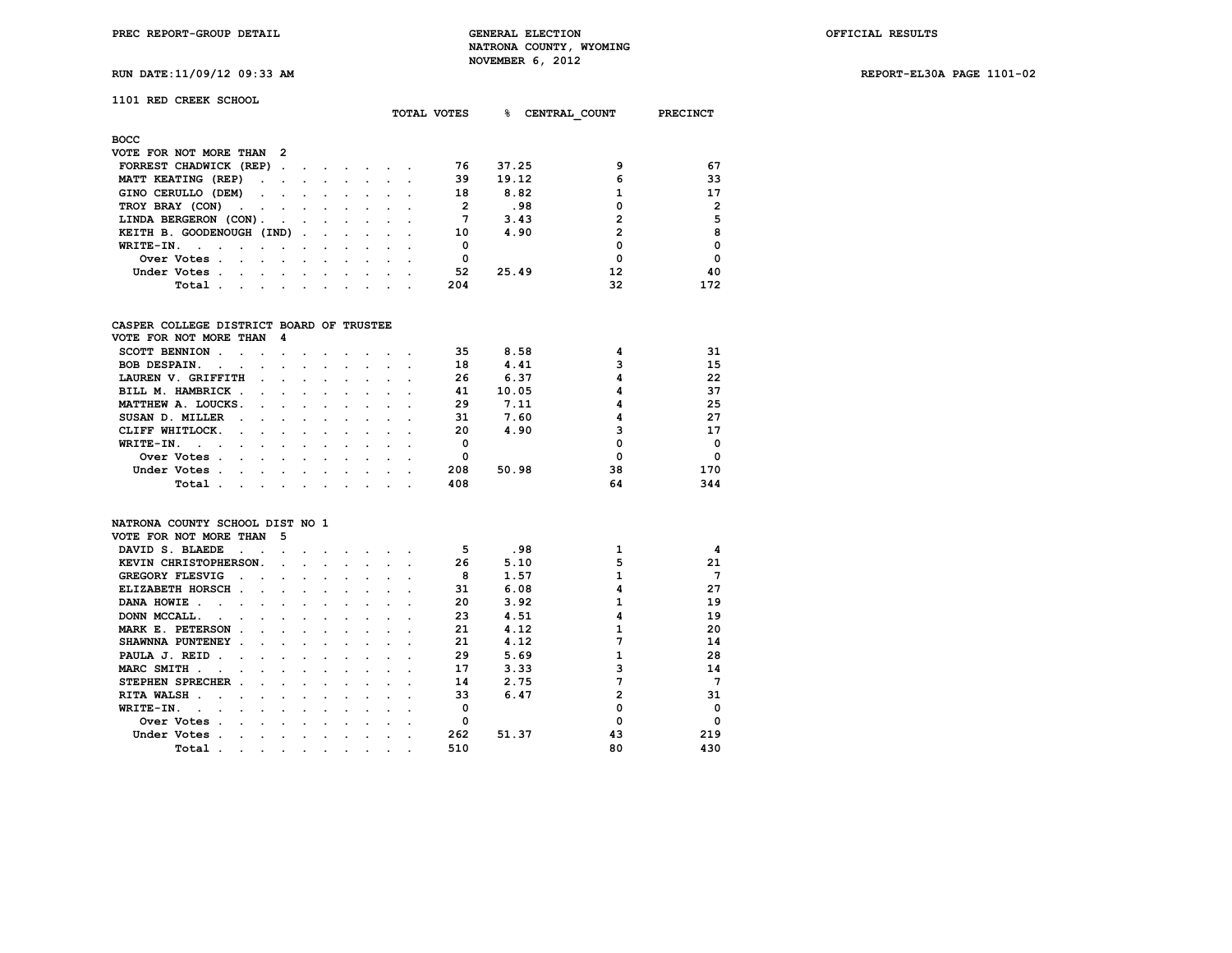**TOTAL VOTES % CENTRAL\_COUNT PRECINCT**

# **1101 RED CREEK SCHOOL**

| <b>BOCC</b>                                                                                                                                                                                                                                   |  |  |                      |     |       |    |                |
|-----------------------------------------------------------------------------------------------------------------------------------------------------------------------------------------------------------------------------------------------|--|--|----------------------|-----|-------|----|----------------|
| VOTE FOR NOT MORE THAN 2                                                                                                                                                                                                                      |  |  |                      |     |       |    |                |
| FORREST CHADWICK (REP)                                                                                                                                                                                                                        |  |  |                      | 76  | 37.25 |    | 67             |
| MATT KEATING (REP)                                                                                                                                                                                                                            |  |  |                      | 39  | 19.12 | 6  | 33             |
| GINO CERULLO (DEM)                                                                                                                                                                                                                            |  |  |                      | 18  | 8.82  |    | 17             |
| TROY BRAY (CON)                                                                                                                                                                                                                               |  |  |                      |     | .98   |    | $\overline{2}$ |
| LINDA BERGERON (CON).                                                                                                                                                                                                                         |  |  |                      |     | 3.43  |    | 5              |
| KEITH B. GOODENOUGH (IND)                                                                                                                                                                                                                     |  |  |                      | 10  | 4.90  |    | 8              |
| WRITE-IN.                                                                                                                                                                                                                                     |  |  |                      |     |       |    | $\Omega$       |
| Over Votes.<br>the contract of the contract of the contract of the contract of the contract of the contract of the contract of                                                                                                                |  |  |                      | 0   |       |    | $\Omega$       |
| Under Votes.<br>the company of the company of the company of the company of the company of the company of the company of the company of the company of the company of the company of the company of the company of the company of the company |  |  | $\sim$ $\sim$ $\sim$ | 52  | 25.49 | 12 | 40             |
| Total .<br>the contract of the contract of the contract of the contract of the contract of the contract of the contract of                                                                                                                    |  |  |                      | 204 |       | 32 | 172            |

## **CASPER COLLEGE DISTRICT BOARD OF TRUSTEE**

| VOTE FOR NOT MORE THAN 4                          |         |                                   |  |  |     |       |    |            |
|---------------------------------------------------|---------|-----------------------------------|--|--|-----|-------|----|------------|
| <b>SCOTT BENNION</b>                              |         |                                   |  |  | 35  | 8.58  |    | 31         |
| <b>BOB DESPAIN.</b><br>$\sim$ $\sim$              | $\sim$  |                                   |  |  | 18  | 4.41  |    | 15         |
| LAUREN V. GRIFFITH                                |         |                                   |  |  | 26  | 6.37  |    | 22         |
| BILL M. HAMBRICK.<br>$\sim$ $\sim$                |         | $\sim$ $\sim$ $\sim$              |  |  | 41  | 10.05 |    | 37         |
| MATTHEW A. LOUCKS.<br>$\sim$ $\sim$ $\sim$        |         | and the state of the state of the |  |  | 29  | 7.11  |    | 25         |
| SUSAN D. MILLER<br>$\sim$<br>$\sim$ $\sim$ $\sim$ |         |                                   |  |  | 31  | 7.60  |    | 27         |
| CLIFF WHITLOCK.<br>$\sim$<br>$\sim$               |         |                                   |  |  | 20  | 4.90  |    | 17         |
| WRITE-IN.                                         |         |                                   |  |  |     |       |    | $\Omega$   |
| Over Votes<br>$\sim$                              |         |                                   |  |  | 0   |       |    | $^{\circ}$ |
| Under Votes.                                      |         |                                   |  |  | 208 | 50.98 | 38 | 170        |
| Total<br>$\sim$                                   | $\cdot$ |                                   |  |  | 408 |       | 64 | 344        |

### **NATRONA COUNTY SCHOOL DIST NO 1**

| VOTE FOR NOT MORE THAN             | 5 |  |  |  |     |       |    |             |
|------------------------------------|---|--|--|--|-----|-------|----|-------------|
| DAVID S. BLAEDE                    |   |  |  |  | 5   | .98   |    | 4           |
| KEVIN CHRISTOPHERSON.              |   |  |  |  | 26  | 5.10  |    | 21          |
| <b>GREGORY FLESVIG</b>             |   |  |  |  | 8   | 1.57  |    | 7           |
| ELIZABETH HORSCH<br>$\mathbf{r}$   |   |  |  |  | 31  | 6.08  |    | 27          |
| DANA HOWIE                         |   |  |  |  | 20  | 3.92  |    | 19          |
| DONN MCCALL.                       |   |  |  |  | 23  | 4.51  |    | 19          |
| MARK E. PETERSON                   |   |  |  |  | 21  | 4.12  |    | 20          |
| SHAWNNA PUNTENEY                   |   |  |  |  | 21  | 4.12  |    | 14          |
| PAULA J. REID<br>n.                |   |  |  |  | 29  | 5.69  |    | 28          |
| MARC SMITH                         |   |  |  |  | 17  | 3.33  |    | 14          |
| <b>STEPHEN SPRECHER</b>            |   |  |  |  | 14  | 2.75  |    | 7           |
| <b>RITA WALSH</b>                  |   |  |  |  | 33  | 6.47  |    | 31          |
| WRITE-IN.                          |   |  |  |  | O   |       |    | 0           |
| Over Votes<br>$\ddot{\phantom{a}}$ |   |  |  |  |     |       |    | $\mathbf 0$ |
| Under Votes                        |   |  |  |  | 262 | 51.37 | 43 | 219         |
| Total                              |   |  |  |  | 510 |       | 80 | 430         |

## **RUN DATE:11/09/12 09:33 AM REPORT-EL30A PAGE 1101-02**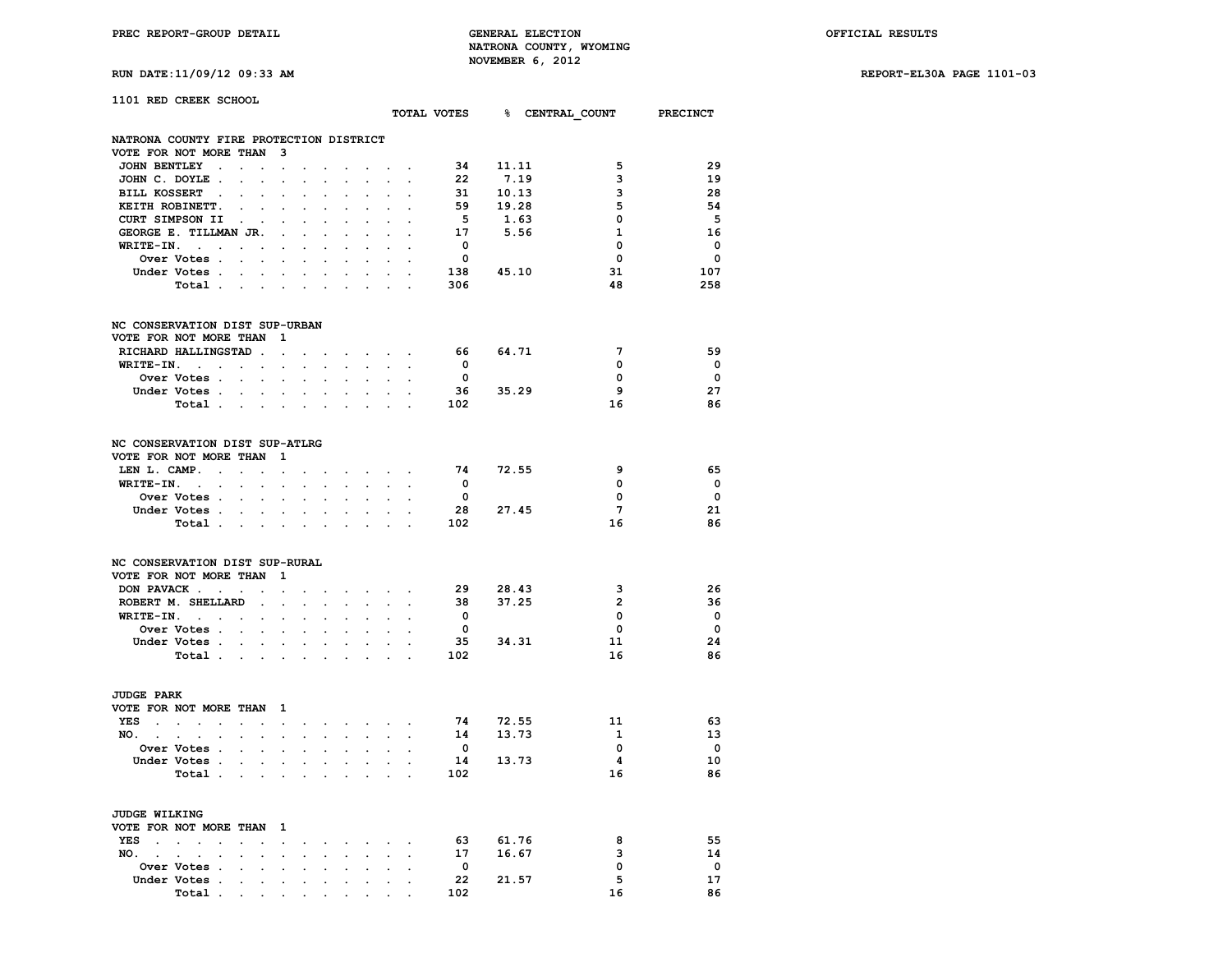**RUN DATE:11/09/12 09:33 AM REPORT-EL30A PAGE 1101-03**

| _____ | the contract of the contract of the contract of the contract of the contract of the contract of the contract of |  |
|-------|-----------------------------------------------------------------------------------------------------------------|--|
|       |                                                                                                                 |  |
|       |                                                                                                                 |  |
|       |                                                                                                                 |  |
|       |                                                                                                                 |  |
|       |                                                                                                                 |  |

| 1101 RED CREEK SCHOOL                                                                                  |                           |                          |                                          |                          |                                      |                                          |                                                           |                         |                      |                                      |                          |
|--------------------------------------------------------------------------------------------------------|---------------------------|--------------------------|------------------------------------------|--------------------------|--------------------------------------|------------------------------------------|-----------------------------------------------------------|-------------------------|----------------------|--------------------------------------|--------------------------|
|                                                                                                        |                           |                          |                                          |                          |                                      |                                          |                                                           |                         |                      | TOTAL VOTES 8 CENTRAL COUNT PRECINCT |                          |
| NATRONA COUNTY FIRE PROTECTION DISTRICT                                                                |                           |                          |                                          |                          |                                      |                                          |                                                           |                         |                      |                                      |                          |
| VOTE FOR NOT MORE THAN 3                                                                               |                           |                          |                                          |                          |                                      |                                          |                                                           |                         |                      |                                      |                          |
| JOHN BENTLEY                                                                                           | $\sim$                    |                          |                                          |                          | and a strong control of the state of |                                          |                                                           |                         |                      | 5                                    | -29                      |
| JOHN C. DOYLE                                                                                          | $\ddot{\phantom{a}}$      | $\cdot$                  | $\ddot{\phantom{0}}$                     | $\ddot{\phantom{0}}$     | $\sim$                               |                                          | $\sim$ $\sim$                                             |                         | 34 11.11<br>22 7.19  | 3                                    | 19                       |
| BILL KOSSERT .                                                                                         |                           |                          |                                          |                          |                                      |                                          |                                                           |                         |                      | 3                                    | -28                      |
| KEITH ROBINETT.<br>$\mathbf{z} = \mathbf{z}$ .                                                         |                           | $\ddot{\phantom{0}}$     | $\ddot{\phantom{0}}$                     | $\ddot{\phantom{0}}$     | $\bullet$ .                          |                                          | $\mathbf{z} = \mathbf{z} + \mathbf{z}$                    |                         | 31 10.13<br>59 19.28 | 5                                    | -54                      |
| CURT SIMPSON II                                                                                        |                           |                          |                                          | $\ddot{\phantom{0}}$     |                                      |                                          |                                                           | 5 <sub>5</sub>          | 1.63                 | 0                                    | - 5                      |
| GEORGE E. TILLMAN JR.                                                                                  | $\sim 100$                | $\ddot{\phantom{0}}$     | $\sim$                                   | $\ddot{\phantom{0}}$     | $\sim$                               |                                          | $\cdot$ $\cdot$                                           | 17                      | 5.56                 | $\mathbf{1}$                         | 16                       |
| $WRITE-IN.$                                                                                            |                           |                          |                                          |                          |                                      |                                          |                                                           | $\overline{\mathbf{0}}$ |                      | $\mathbf 0$                          | $\overline{\phantom{0}}$ |
| Over Votes                                                                                             |                           |                          |                                          | $\ddot{\phantom{0}}$     | $\sim$                               |                                          | $\sim$ $\sim$                                             | $\overline{\mathbf{0}}$ |                      | $\mathbf 0$                          | 0                        |
| Under Votes.<br>$\sim$                                                                                 | <b>Contract Contract</b>  | $\ddot{\phantom{0}}$     | $\sim$                                   | <b>Contract Contract</b> | $\ddot{\phantom{0}}$                 | $\sim$                                   |                                                           |                         | $138$ $45.10$        | 31                                   | 107                      |
| Total                                                                                                  |                           |                          |                                          |                          |                                      |                                          |                                                           | 306                     |                      | 48                                   | 258                      |
| NC CONSERVATION DIST SUP-URBAN                                                                         |                           |                          |                                          |                          |                                      |                                          |                                                           |                         |                      |                                      |                          |
| VOTE FOR NOT MORE THAN 1                                                                               |                           |                          |                                          |                          |                                      |                                          |                                                           |                         |                      |                                      |                          |
| RICHARD HALLINGSTAD                                                                                    |                           |                          |                                          |                          |                                      |                                          |                                                           | 66 —                    | 64.71                | $7\phantom{.0}$                      | -59                      |
| $WRITE-TN.$                                                                                            |                           |                          | and a strategic control of               |                          | $\ddot{\phantom{0}}$                 |                                          | $\sim$ $\sim$                                             | $\overline{\mathbf{0}}$ |                      | $\mathbf 0$                          | $\overline{\phantom{0}}$ |
| Over Votes                                                                                             |                           |                          | $\sim$ $\sim$                            | $\sim$                   |                                      | $\sim$ $\sim$                            | $\sim$                                                    | $\overline{\mathbf{0}}$ |                      | 0                                    | $\overline{\phantom{0}}$ |
| Under Votes                                                                                            |                           |                          |                                          | $\sim$                   |                                      |                                          | $\mathbf{r} = \mathbf{r} \mathbf{r}$ , where $\mathbf{r}$ |                         | $36$ $35.29$         | 9                                    | 27                       |
| Total                                                                                                  |                           |                          |                                          | $\ddot{\phantom{0}}$     | and the control of the               |                                          |                                                           | 102                     |                      | 16                                   | 86                       |
| NC CONSERVATION DIST SUP-ATLRG                                                                         |                           |                          |                                          |                          |                                      |                                          |                                                           |                         |                      |                                      |                          |
| VOTE FOR NOT MORE THAN                                                                                 | $\mathbf{1}$              |                          |                                          |                          |                                      |                                          |                                                           |                         |                      |                                      |                          |
| LEN L. CAMP. $\cdots$                                                                                  |                           |                          |                                          |                          | and a series of the series of the    |                                          | $\sim$                                                    |                         | 74 72.55             | 9                                    | 65                       |
| $WRITE-IN.$                                                                                            |                           | <b>Contract Contract</b> |                                          |                          | $\sim$ $\sim$ $\sim$ $\sim$          |                                          |                                                           | $\overline{\mathbf{0}}$ |                      | 0                                    | $\overline{\phantom{0}}$ |
| Over Votes                                                                                             | $\sim$                    |                          | $\cdot$                                  |                          |                                      |                                          |                                                           | $\mathbf 0$             |                      | 0                                    | $\overline{\mathbf{0}}$  |
| Under Votes                                                                                            |                           |                          |                                          |                          | $\ddot{\phantom{0}}$                 |                                          | $\mathbf{r} = \mathbf{r} \cdot \mathbf{r}$                |                         | 28 27.45             | 7                                    | -21                      |
| Total                                                                                                  |                           |                          |                                          | $\sim$ $\sim$            | $\sim$                               | $\sim$                                   | $\ddot{\phantom{a}}$                                      | 102                     |                      | 16                                   | 86                       |
| NC CONSERVATION DIST SUP-RURAL                                                                         |                           |                          |                                          |                          |                                      |                                          |                                                           |                         |                      |                                      |                          |
| VOTE FOR NOT MORE THAN 1                                                                               |                           |                          |                                          |                          |                                      |                                          |                                                           |                         |                      |                                      |                          |
| DON PAVACK                                                                                             | $\bullet$                 |                          |                                          |                          |                                      |                                          |                                                           |                         | 29 28.43             | 3                                    | 26                       |
| ROBERT M. SHELLARD.                                                                                    | $\mathbf{L}^{\text{max}}$ |                          | <b>All Cards</b>                         | $\ddot{\phantom{0}}$     | $\sim$                               |                                          | $\mathbf{z} = \mathbf{z}$ .                               | 38                      | 37.25                | $\overline{2}$                       | -36                      |
| $WRITE-IN.$                                                                                            | $\ddot{\phantom{0}}$      | $\ddot{\phantom{0}}$     | $\mathcal{L}^{\mathcal{L}}$              | $\ddot{\phantom{0}}$     | $\ddot{\phantom{0}}$                 | $\ddot{\phantom{0}}$                     |                                                           | $\overline{\mathbf{0}}$ |                      | $\mathbf 0$                          | $\overline{\phantom{0}}$ |
| Over Votes                                                                                             | $\ddot{\phantom{a}}$      |                          | $\ddot{\phantom{a}}$                     | $\ddot{\phantom{0}}$     | $\mathcal{L}^{\text{max}}$           | $\sim$                                   |                                                           | $\overline{\mathbf{0}}$ |                      | 0                                    | $\overline{\phantom{0}}$ |
| Under Votes                                                                                            |                           |                          |                                          |                          |                                      |                                          |                                                           |                         | 35 34.31             | 11                                   | 24                       |
| Total                                                                                                  |                           |                          | $\sim$                                   | $\sim$                   | $\sim$                               |                                          | <b>Contract Contract Street</b>                           | 102                     |                      | 16                                   | 86                       |
|                                                                                                        |                           |                          |                                          |                          |                                      |                                          |                                                           |                         |                      |                                      |                          |
| <b>JUDGE PARK</b>                                                                                      |                           |                          |                                          |                          |                                      |                                          |                                                           |                         |                      |                                      |                          |
| VOTE FOR NOT MORE THAN 1                                                                               |                           |                          |                                          |                          |                                      |                                          |                                                           |                         |                      |                                      |                          |
| YES<br>. The contribution of the contribution of the contribution of the contribution of $\mathcal{A}$ |                           |                          |                                          |                          |                                      |                                          |                                                           |                         | 74 72.55<br>14 13.73 | 11                                   | 63                       |
| NO.                                                                                                    |                           |                          |                                          |                          |                                      |                                          | $\cdot$ $\cdot$ $\cdot$                                   |                         |                      | $\mathbf{1}$                         | -13                      |
| Over Votes                                                                                             | $\sim$                    | $\sim$                   | $\ddot{\phantom{0}}$                     | $\ddot{\phantom{0}}$     | $\ddot{\phantom{0}}$                 | $\sim$                                   | $\sim$                                                    | $\overline{\mathbf{0}}$ |                      | $\mathbf 0$                          | $\overline{\mathbf{0}}$  |
| Under Votes                                                                                            |                           |                          | $\mathbf{z} = \mathbf{z} + \mathbf{z}$ . | $\sim$                   | $\sim$                               | $\mathcal{L}^{\text{max}}$               | $\ddot{\phantom{a}}$                                      |                         | 14 13.73             | 4                                    | 10                       |
| Total                                                                                                  |                           |                          |                                          |                          |                                      |                                          |                                                           | 102                     |                      | 16                                   | 86                       |
| JUDGE WILKING                                                                                          |                           |                          |                                          |                          |                                      |                                          |                                                           |                         |                      |                                      |                          |
| VOTE FOR NOT MORE THAN 1                                                                               |                           |                          |                                          |                          |                                      |                                          |                                                           |                         |                      |                                      |                          |
| YES .<br>$\sim$<br>$\sim$<br>$\sim$                                                                    | $\ddot{\phantom{0}}$      |                          |                                          |                          | the company of the company of        |                                          |                                                           |                         |                      | 8                                    | 55                       |
| NO.                                                                                                    |                           |                          |                                          |                          |                                      |                                          |                                                           |                         |                      | 3                                    | 14                       |
| Over Votes                                                                                             |                           |                          |                                          |                          |                                      | $\mathbf{r} = \mathbf{r} + \mathbf{r}$ . |                                                           | $\mathbf 0$             |                      | $\mathbf 0$                          | $\mathbf 0$              |

 **Under Votes . . . . . . . . . . 22 21.57 5 17**

 **Total . . . . . . . . . . 102 16 86**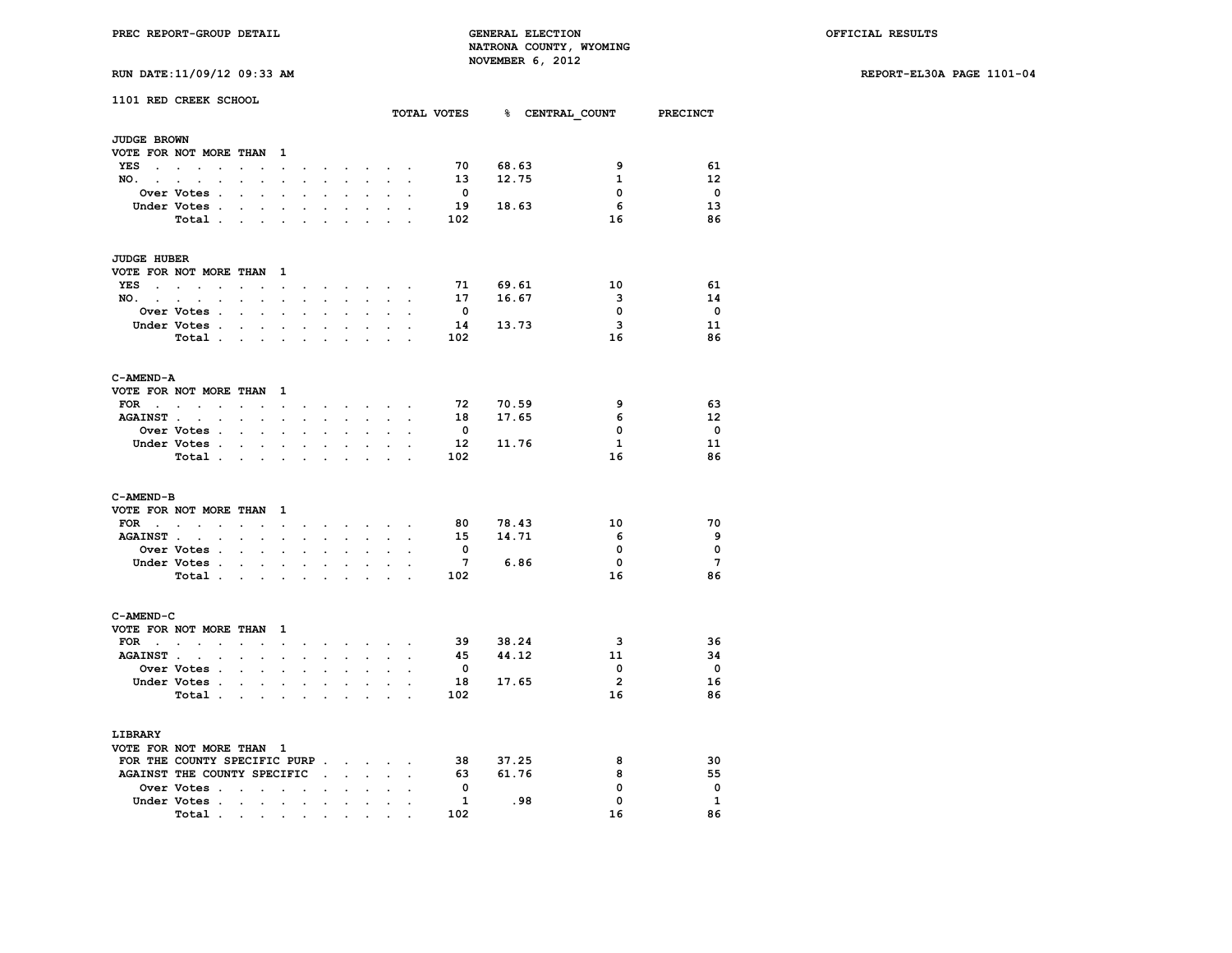**RUN DATE:11/09/12 09:33 AM REPORT-EL30A PAGE 1101-04**

| 1101 RED CREEK SCHOOL         |                                              |                         |                                                               |                           |                                                                                                                |                            |                             |                      |                                                                                                                                                                   |                      |                                                 |                         |          |     |                                      |                         |
|-------------------------------|----------------------------------------------|-------------------------|---------------------------------------------------------------|---------------------------|----------------------------------------------------------------------------------------------------------------|----------------------------|-----------------------------|----------------------|-------------------------------------------------------------------------------------------------------------------------------------------------------------------|----------------------|-------------------------------------------------|-------------------------|----------|-----|--------------------------------------|-------------------------|
|                               |                                              |                         |                                                               |                           |                                                                                                                |                            |                             |                      |                                                                                                                                                                   |                      |                                                 |                         |          |     | TOTAL VOTES 8 CENTRAL COUNT PRECINCT |                         |
| <b>JUDGE BROWN</b>            |                                              |                         |                                                               |                           |                                                                                                                |                            |                             |                      |                                                                                                                                                                   |                      |                                                 |                         |          |     |                                      |                         |
| VOTE FOR NOT MORE THAN        |                                              |                         |                                                               | $\mathbf{1}$              |                                                                                                                |                            |                             |                      |                                                                                                                                                                   |                      |                                                 |                         |          |     |                                      |                         |
| YES                           |                                              | $\sim 100$              | $\sim$                                                        | $\sim$                    |                                                                                                                | $\ddot{\phantom{0}}$       |                             |                      |                                                                                                                                                                   |                      | the contract of the contract of the contract of | 70                      | 68.63    |     | 9                                    | 61                      |
| NO. .                         |                                              |                         |                                                               |                           | $\mathbf{r}$                                                                                                   | s.                         | $\ddot{\phantom{a}}$        | s.                   | $\mathbf{r}$                                                                                                                                                      |                      |                                                 | 13                      | 12.75    |     | 1                                    | 12 <sup>2</sup>         |
|                               | <b>Over Votes .</b>                          | $\ddot{\phantom{a}}$    | $\sim$                                                        |                           | $\mathbf{r}$                                                                                                   |                            |                             |                      | $\ddot{\phantom{a}}$                                                                                                                                              |                      |                                                 | $\overline{\mathbf{0}}$ |          |     | $\mathbf 0$                          | $\mathbf 0$             |
|                               | Under Votes .                                |                         | <b>Contract Contract</b>                                      |                           | $\bullet$                                                                                                      | $\cdot$                    | $\ddot{\phantom{a}}$        | $\ddot{\phantom{a}}$ | $\cdot$                                                                                                                                                           | $\cdot$              |                                                 | 19                      | 18.63    |     | 6                                    | 13                      |
|                               | Total                                        |                         |                                                               |                           |                                                                                                                |                            |                             |                      |                                                                                                                                                                   |                      |                                                 | 102                     |          |     | 16                                   | 86                      |
|                               |                                              |                         |                                                               |                           |                                                                                                                |                            |                             |                      |                                                                                                                                                                   |                      |                                                 |                         |          |     |                                      |                         |
| <b>JUDGE HUBER</b>            |                                              |                         |                                                               |                           |                                                                                                                |                            |                             |                      |                                                                                                                                                                   |                      |                                                 |                         |          |     |                                      |                         |
| VOTE FOR NOT MORE THAN 1      |                                              |                         |                                                               |                           |                                                                                                                |                            |                             |                      |                                                                                                                                                                   |                      |                                                 |                         |          |     |                                      |                         |
| YES                           |                                              |                         | $\sim$                                                        |                           | $\ddot{\phantom{0}}$                                                                                           | $\cdot$                    |                             |                      | and a strategies and a strategies of                                                                                                                              |                      |                                                 |                         | 71 69.61 |     | 10                                   | 61                      |
| NO.                           |                                              |                         |                                                               |                           | $\ddot{\phantom{0}}$                                                                                           |                            | <b>All Card Corporation</b> | $\sim$               | $\sim$                                                                                                                                                            | $\sim$               | $\cdot$                                         | 17                      | 16.67    |     | з                                    | 14                      |
|                               | Over Votes .                                 |                         | $\mathbf{r}$<br>$\ddot{\phantom{0}}$                          |                           | $\blacksquare$                                                                                                 | $\overline{a}$             | $\overline{a}$              |                      | $\ddot{\phantom{a}}$                                                                                                                                              | $\ddot{\phantom{0}}$ |                                                 | $\overline{\mathbf{0}}$ |          |     | $\mathbf{0}$                         | $\mathbf 0$             |
|                               | Under Votes .                                |                         | $\ddot{\phantom{0}}$                                          | $\sim$                    | $\ddot{\phantom{0}}$                                                                                           |                            |                             | $\overline{a}$       | $\ddot{\phantom{a}}$                                                                                                                                              |                      |                                                 | 14                      | 13.73    |     | $\mathbf{3}$                         | 11                      |
|                               | Total                                        |                         |                                                               |                           | $\ddot{\phantom{a}}$                                                                                           | $\overline{a}$             | $\mathbf{r}$                |                      | $\ddot{\phantom{a}}$                                                                                                                                              |                      |                                                 | 102                     |          |     | 16                                   | 86                      |
|                               |                                              |                         |                                                               |                           |                                                                                                                |                            |                             |                      |                                                                                                                                                                   |                      |                                                 |                         |          |     |                                      |                         |
| C-AMEND-A                     |                                              |                         |                                                               |                           |                                                                                                                |                            |                             |                      |                                                                                                                                                                   |                      |                                                 |                         |          |     |                                      |                         |
| VOTE FOR NOT MORE THAN 1      |                                              |                         |                                                               |                           |                                                                                                                |                            |                             |                      |                                                                                                                                                                   |                      |                                                 |                         |          |     |                                      |                         |
| $FOR \t . \t .$               | $\sim$                                       |                         | $\sim$ $\sim$                                                 |                           | and a series of the series of the series of the series of the series of the series of the series of the series |                            |                             |                      |                                                                                                                                                                   |                      |                                                 | 72                      | 70.59    |     | 9                                    | 63                      |
| AGAINST                       |                                              |                         | $\mathcal{L}^{\text{max}}$ , where $\mathcal{L}^{\text{max}}$ |                           | $\mathcal{L}^{\text{max}}$                                                                                     | $\sim$                     | $\sim$                      | $\ddot{\phantom{0}}$ | $\sim$                                                                                                                                                            | $\sim$               | $\ddot{\phantom{a}}$                            |                         | 18 17.65 |     | 6                                    | 12 <sup>2</sup>         |
|                               | <b>Over Votes .</b>                          |                         | $\sim$                                                        |                           | $\mathbf{r}$                                                                                                   |                            |                             |                      |                                                                                                                                                                   |                      |                                                 | $\overline{\mathbf{0}}$ |          |     | 0                                    | $\overline{\mathbf{0}}$ |
|                               | Under Votes                                  |                         |                                                               |                           | $\sim$                                                                                                         | $\ddot{\phantom{0}}$       | $\ddot{\phantom{0}}$        | $\sim$               | $\bullet$ .                                                                                                                                                       |                      |                                                 |                         | 12 11.76 |     | $\mathbf{1}$                         | 11                      |
|                               | Total.                                       |                         | <b>Contract Contract Contract</b>                             |                           |                                                                                                                | $\cdot$                    | $\sim$                      | $\ddot{\phantom{a}}$ | $\ddot{\phantom{0}}$                                                                                                                                              | $\ddot{\phantom{a}}$ | $\cdot$                                         | 102                     |          |     | 16                                   | 86                      |
|                               |                                              |                         |                                                               |                           |                                                                                                                |                            |                             |                      |                                                                                                                                                                   |                      |                                                 |                         |          |     |                                      |                         |
| C-AMEND-B                     |                                              |                         |                                                               |                           |                                                                                                                |                            |                             |                      |                                                                                                                                                                   |                      |                                                 |                         |          |     |                                      |                         |
| VOTE FOR NOT MORE THAN        |                                              |                         |                                                               | $\mathbf{1}$              |                                                                                                                |                            |                             |                      |                                                                                                                                                                   |                      |                                                 |                         |          |     |                                      |                         |
| $FOR \cdot \cdot \cdot \cdot$ |                                              |                         | the company of the com-                                       |                           |                                                                                                                |                            |                             |                      |                                                                                                                                                                   |                      | and a strategic control of the state of         | 80                      | 78.43    |     | 10                                   | 70                      |
| AGAINST                       |                                              |                         | <b>Contract Contract</b>                                      |                           | $\sim$                                                                                                         | $\ddot{\phantom{0}}$       | $\ddot{\phantom{0}}$        | $\ddot{\phantom{0}}$ | $\sim$                                                                                                                                                            | $\ddot{\phantom{0}}$ | $\ddot{\phantom{a}}$                            | 15                      | 14.71    |     | - 6                                  | 9                       |
|                               | Over Votes .                                 |                         | $\bullet$ .<br>$\ddot{\phantom{a}}$                           |                           | $\ddot{\phantom{a}}$                                                                                           |                            |                             |                      |                                                                                                                                                                   |                      |                                                 | $\mathbf 0$             |          |     | 0                                    | $\mathbf 0$             |
|                               | Under Votes .                                |                         | $\sim$                                                        | $\sim$                    | $\sim$                                                                                                         | $\ddot{\phantom{a}}$       | $\bullet$                   | $\ddot{\phantom{a}}$ | $\bullet$                                                                                                                                                         | $\ddot{\phantom{a}}$ |                                                 | 7                       | 6.86     |     | $\Omega$                             | $7\overline{ }$         |
|                               | Total .                                      |                         | <b>Contract Contract Contract</b>                             |                           |                                                                                                                | $\mathcal{L}^{\text{max}}$ | $\sim$                      |                      |                                                                                                                                                                   |                      |                                                 | 102                     |          |     | 16                                   | 86                      |
|                               |                                              |                         |                                                               |                           |                                                                                                                |                            |                             |                      |                                                                                                                                                                   |                      |                                                 |                         |          |     |                                      |                         |
| C-AMEND-C                     |                                              |                         |                                                               |                           |                                                                                                                |                            |                             |                      |                                                                                                                                                                   |                      |                                                 |                         |          |     |                                      |                         |
| VOTE FOR NOT MORE THAN        |                                              |                         |                                                               | $\mathbf{1}$              |                                                                                                                |                            |                             |                      |                                                                                                                                                                   |                      |                                                 |                         |          |     |                                      |                         |
| FOR $\cdots$ $\cdots$         |                                              |                         |                                                               |                           |                                                                                                                |                            |                             |                      | $\begin{array}{cccccccccccccc} \bullet & \bullet & \bullet & \bullet & \bullet & \bullet & \bullet & \bullet & \bullet & \bullet & \bullet & \bullet \end{array}$ |                      |                                                 |                         | 39 38.24 |     | 3                                    | 36                      |
| <b>AGAINST.</b>               | $\ddot{\phantom{a}}$<br>$\ddot{\phantom{a}}$ |                         | $\ddot{\phantom{0}}$                                          |                           | $\sim$                                                                                                         |                            |                             |                      |                                                                                                                                                                   |                      |                                                 | 45                      | 44.12    |     | 11                                   | 34                      |
|                               | <b>Over Votes .</b>                          |                         | $\sim$ $\sim$ $\sim$                                          |                           | $\sim$                                                                                                         | $\sim$                     | $\sim$                      | $\mathbf{r}$         | $\ddot{\phantom{a}}$                                                                                                                                              |                      |                                                 | $\overline{\mathbf{0}}$ |          |     | 0                                    | $\mathbf 0$             |
|                               | Under Votes .                                | $\ddot{\phantom{a}}$    |                                                               | $\mathbf{L} = \mathbf{L}$ |                                                                                                                |                            |                             |                      | $\ddot{\phantom{a}}$                                                                                                                                              | $\sim$               |                                                 |                         | 18 17.65 |     | $\overline{2}$                       | 16                      |
|                               | Total .                                      |                         |                                                               |                           |                                                                                                                |                            |                             |                      | $\ddot{\phantom{a}}$                                                                                                                                              | $\sim$               |                                                 | 102                     |          |     | 16                                   | 86                      |
|                               |                                              |                         | <b>Contract Contract</b>                                      |                           | $\ddot{\phantom{0}}$<br>$\ddot{\phantom{a}}$                                                                   |                            | $\ddot{\phantom{0}}$        |                      |                                                                                                                                                                   |                      |                                                 |                         |          |     |                                      |                         |
| LIBRARY                       |                                              |                         |                                                               |                           |                                                                                                                |                            |                             |                      |                                                                                                                                                                   |                      |                                                 |                         |          |     |                                      |                         |
| VOTE FOR NOT MORE THAN 1      |                                              |                         |                                                               |                           |                                                                                                                |                            |                             |                      |                                                                                                                                                                   |                      |                                                 |                         |          |     |                                      |                         |
| FOR THE COUNTY SPECIFIC PURP  |                                              |                         |                                                               |                           |                                                                                                                |                            |                             |                      |                                                                                                                                                                   |                      |                                                 |                         | 38 37.25 |     | 8                                    | 30                      |
| AGAINST THE COUNTY SPECIFIC.  |                                              |                         |                                                               |                           |                                                                                                                |                            |                             | $\mathbf{r}$         | $\mathcal{L}^{\text{max}}$                                                                                                                                        |                      |                                                 | 63                      | 61.76    |     | 8                                    | 55                      |
|                               |                                              |                         |                                                               |                           |                                                                                                                |                            |                             |                      |                                                                                                                                                                   |                      |                                                 | $\mathbf{0}$            |          |     | 0                                    | $\mathbf 0$             |
|                               | Over Votes<br>Under Votes .                  |                         |                                                               |                           |                                                                                                                | $\ddot{\phantom{a}}$       | $\ddot{\phantom{0}}$        | $\ddot{\phantom{0}}$ | $\bullet$                                                                                                                                                         | $\cdot$              |                                                 | - 1                     |          | .98 | $\mathbf 0$                          | 1                       |
|                               |                                              | $\sim 100$ km s $^{-1}$ | $\blacksquare$                                                |                           | $\ddot{\phantom{a}}$                                                                                           |                            | $\sim$                      |                      |                                                                                                                                                                   |                      |                                                 | 102                     |          |     | 16                                   | 86                      |
|                               | Total.                                       |                         |                                                               |                           |                                                                                                                |                            |                             |                      |                                                                                                                                                                   |                      |                                                 |                         |          |     |                                      |                         |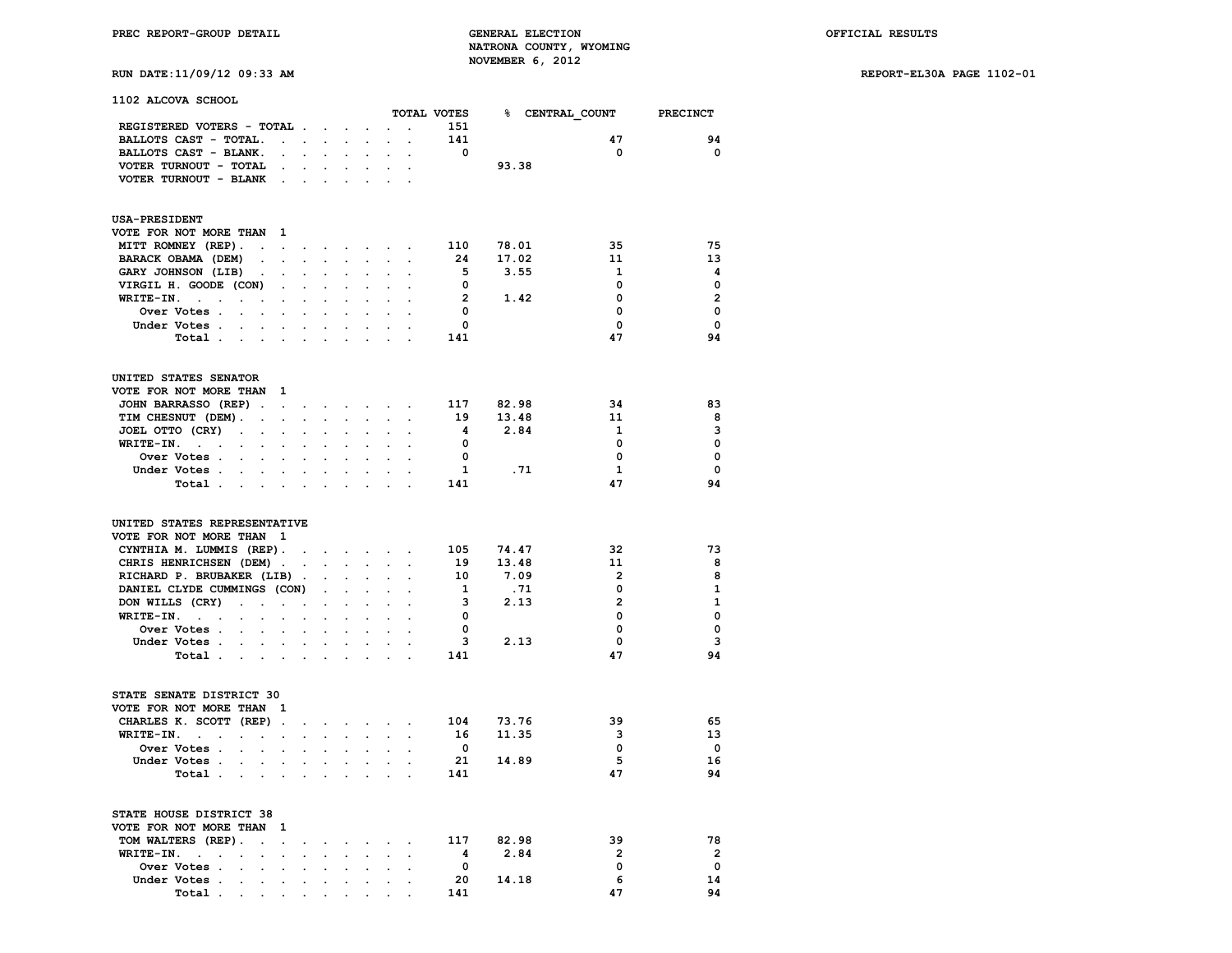# **RUN DATE:11/09/12 09:33 AM REPORT-EL30A PAGE 1102-01**

**1102 ALCOVA SCHOOL**

|                                                                                                                        |                                            |                                |                                        |                                                                  |                           |                      | TOTAL VOTES             | <b>&amp; CENTRAL COUNT</b> |                | <b>PRECINCT</b>         |
|------------------------------------------------------------------------------------------------------------------------|--------------------------------------------|--------------------------------|----------------------------------------|------------------------------------------------------------------|---------------------------|----------------------|-------------------------|----------------------------|----------------|-------------------------|
| REGISTERED VOTERS - TOTAL                                                                                              |                                            |                                |                                        |                                                                  |                           | $\ddot{\phantom{a}}$ | 151                     |                            |                |                         |
| BALLOTS CAST - TOTAL.                                                                                                  | $\mathbf{r} = \mathbf{r} \cdot \mathbf{r}$ | $\sim$                         | $\ddot{\phantom{a}}$                   | $\ddot{\phantom{a}}$                                             | $\mathbf{r}$              | $\ddot{\phantom{0}}$ | 141                     |                            | 47             | 94                      |
| BALLOTS CAST - BLANK.                                                                                                  |                                            |                                |                                        |                                                                  |                           |                      | 0                       |                            | $\mathbf 0$    | $\mathbf 0$             |
| VOTER TURNOUT - TOTAL<br>$\sim$                                                                                        |                                            |                                |                                        |                                                                  |                           |                      |                         | 93.38                      |                |                         |
| VOTER TURNOUT - BLANK<br>$\sim$                                                                                        |                                            |                                |                                        |                                                                  |                           |                      |                         |                            |                |                         |
|                                                                                                                        |                                            |                                |                                        |                                                                  |                           |                      |                         |                            |                |                         |
| <b>USA-PRESIDENT</b><br><sup>1</sup>                                                                                   |                                            |                                |                                        |                                                                  |                           |                      |                         |                            |                |                         |
| VOTE FOR NOT MORE THAN<br>MITT ROMNEY (REP).                                                                           |                                            |                                |                                        |                                                                  |                           |                      | 110                     |                            | 35             | 75                      |
| $\mathbb{Z}^{\mathbb{Z}}$<br>BARACK OBAMA (DEM)                                                                        | $\ddot{\phantom{a}}$                       | $\ddot{\phantom{0}}$<br>$\sim$ | $\ddot{\phantom{0}}$<br>$\overline{a}$ |                                                                  | $\mathbf{L} = \mathbf{L}$ | $\sim$               | 24                      | 78.01<br>17.02             | 11             | 13                      |
| GARY JOHNSON (LIB)                                                                                                     |                                            |                                |                                        | $\ddot{\phantom{a}}$                                             | $\ddot{\phantom{a}}$      | $\ddot{\phantom{0}}$ | 5                       | 3.55                       | $\mathbf{1}$   | $\overline{\mathbf{4}}$ |
| VIRGIL H. GOODE (CON)                                                                                                  |                                            |                                |                                        |                                                                  |                           |                      | $\overline{\mathbf{0}}$ |                            | $\Omega$       | $\mathbf 0$             |
| WRITE-IN.<br>$\sim 10^{-10}$<br>$\ddot{\phantom{0}}$<br>$\ddot{\phantom{0}}$<br>$\blacksquare$<br>$\ddot{\phantom{a}}$ |                                            |                                |                                        |                                                                  |                           |                      | $\overline{2}$          | 1.42                       | $\mathbf 0$    | $\overline{2}$          |
| Over Votes .<br>$\sim$<br>$\ddot{\phantom{a}}$                                                                         |                                            |                                |                                        |                                                                  |                           |                      | $\overline{\mathbf{0}}$ |                            | $\mathbf 0$    | $\mathbf{0}$            |
| Under Votes.<br>$\mathbf{L}^{\text{max}}$<br>$\mathbf{L}$                                                              |                                            |                                |                                        |                                                                  |                           |                      | $\mathbf 0$             |                            | $\mathbf 0$    | $\mathbf 0$             |
| Total<br>$\ddot{\phantom{0}}$                                                                                          |                                            |                                |                                        |                                                                  |                           |                      | 141                     |                            | 47             | 94                      |
|                                                                                                                        |                                            |                                |                                        |                                                                  |                           |                      |                         |                            |                |                         |
| UNITED STATES SENATOR                                                                                                  |                                            |                                |                                        |                                                                  |                           |                      |                         |                            |                |                         |
| VOTE FOR NOT MORE THAN 1                                                                                               |                                            |                                |                                        |                                                                  |                           |                      |                         |                            |                |                         |
| JOHN BARRASSO (REP).<br>$\sim$                                                                                         | $\bullet$                                  | $\bullet$ .                    | $\cdot$                                | $\bullet$ .                                                      | $\ddot{\phantom{a}}$      | $\ddot{\phantom{0}}$ | 117                     | 82.98                      | 34             | 83                      |
| TIM CHESNUT (DEM). .<br>$\ddot{\phantom{a}}$                                                                           | $\ddot{\phantom{0}}$                       | $\ddot{\phantom{0}}$           | $\ddot{\phantom{a}}$                   | $\ddot{\phantom{0}}$                                             | $\bullet$                 | $\ddot{\phantom{0}}$ | 19                      | 13.48                      | 11             | 8                       |
| JOEL OTTO (CRY)<br>$\mathbf{L}^{\text{max}}$<br>$\sim 10^{-11}$<br>$\ddot{\phantom{0}}$                                |                                            |                                |                                        |                                                                  |                           |                      | $\overline{\mathbf{4}}$ | 2.84                       | 1              | 3                       |
| WRITE-IN.<br>$\sim$ $\sim$<br>$\bullet$<br>$\cdot$<br>$\ddot{\phantom{a}}$                                             |                                            |                                |                                        | $\ddot{\phantom{a}}$                                             |                           |                      | $^{\circ}$              |                            | 0              | $\mathbf 0$             |
| Over Votes .<br>$\mathbf{L}$<br>$\ddot{\phantom{0}}$                                                                   |                                            |                                |                                        | $\ddot{\phantom{0}}$                                             |                           |                      | $\mathbf{0}$            |                            | 0              | $\mathbf{0}$            |
| Under Votes.<br>$\mathbf{L}^{\text{max}}$<br>$\sim$<br>$\bullet$                                                       | $\ddot{\phantom{a}}$                       | $\cdot$                        | $\ddot{\phantom{a}}$                   | $\ddot{\phantom{a}}$                                             | $\ddot{\phantom{a}}$      | $\ddot{\phantom{a}}$ | <sup>1</sup>            | .71                        | $\mathbf{1}$   | $\mathbf 0$             |
| Total<br>$\mathcal{L}_{\mathcal{A}}$                                                                                   | $\bullet$                                  | $\mathbf{r}$                   |                                        | $\ddot{\phantom{a}}$                                             |                           |                      | 141                     |                            | 47             | 94                      |
| UNITED STATES REPRESENTATIVE                                                                                           |                                            |                                |                                        |                                                                  |                           |                      |                         |                            |                |                         |
| VOTE FOR NOT MORE THAN 1                                                                                               |                                            |                                |                                        |                                                                  |                           |                      |                         |                            |                |                         |
| CYNTHIA M. LUMMIS (REP).                                                                                               | $\sim$                                     |                                |                                        | and a strategic control of the strategic                         |                           |                      | 105                     | 74.47                      | 32             | 73                      |
| CHRIS HENRICHSEN (DEM).                                                                                                | $\cdot$                                    | $\sim$                         | $\sim$                                 | $\ddot{\phantom{0}}$                                             | $\sim$                    | $\ddot{\phantom{0}}$ | 19                      | 13.48                      | 11             | 8                       |
| RICHARD P. BRUBAKER (LIB)                                                                                              | $\blacksquare$                             | $\mathbf{r}$                   | $\overline{a}$                         | $\overline{a}$                                                   | $\overline{a}$            |                      | 10                      | 7.09                       | $\overline{2}$ | 8                       |
| DANIEL CLYDE CUMMINGS (CON)                                                                                            |                                            | $\mathbf{r}$                   |                                        | $\overline{a}$                                                   | $\overline{a}$            |                      | $\mathbf{1}$            | .71                        | 0              | $\mathbf{1}$            |
| DON WILLS (CRY)<br>$\sim$ $\sim$<br>$\mathbf{r}$                                                                       | $\ddot{\phantom{a}}$                       | $\ddot{\phantom{0}}$           |                                        | $\cdot$                                                          | $\ddot{\phantom{a}}$      |                      | 3                       | 2.13                       | $\overline{2}$ | $\mathbf{1}$            |
| WRITE-IN.<br><b>Carl Carl Control</b><br>$\mathcal{L}^{\text{max}}$<br>$\mathbf{L}$<br>$\ddot{\phantom{0}}$            | $\overline{a}$                             | $\sim$                         | $\ddot{\phantom{a}}$                   | $\ddot{\phantom{a}}$                                             | $\ddot{\phantom{a}}$      |                      | $\overline{\mathbf{0}}$ |                            | 0              | $\mathbf 0$             |
| Over Votes .<br>$\mathbf{L}$<br>$\mathcal{L}^{\mathcal{L}}$<br>$\ddot{\phantom{a}}$                                    | $\overline{a}$                             | $\sim$                         |                                        | $\overline{a}$                                                   | $\overline{a}$            |                      | $\mathbf{0}$            |                            | 0              | $\Omega$                |
| Under Votes.<br>$\sim$<br>$\mathbf{r} = \mathbf{r}$                                                                    |                                            | $\mathbf{r}$                   |                                        |                                                                  |                           |                      | $\overline{\mathbf{3}}$ | 2.13                       | $\mathbf 0$    | 3                       |
| Total .<br><b>Contract Contract</b><br>$\ddot{\phantom{a}}$                                                            | $\ddot{\phantom{a}}$                       | $\sim$                         | $\sim$                                 | $\cdot$                                                          | $\overline{a}$            | $\overline{a}$       | 141                     |                            | 47             | 94                      |
|                                                                                                                        |                                            |                                |                                        |                                                                  |                           |                      |                         |                            |                |                         |
| STATE SENATE DISTRICT 30                                                                                               |                                            |                                |                                        |                                                                  |                           |                      |                         |                            |                |                         |
| VOTE FOR NOT MORE THAN 1                                                                                               |                                            |                                |                                        |                                                                  |                           |                      |                         |                            |                |                         |
| CHARLES K. SCOTT (REP).                                                                                                | $\ddot{\phantom{a}}$                       |                                |                                        | $\mathbf{r} = \mathbf{r} + \mathbf{r} + \mathbf{r} + \mathbf{r}$ |                           | $\cdot$              | 104                     | 73.76                      | 39             | 65                      |
| WRITE-IN.<br>$\sim$ $\sim$<br>$\sim 100$<br>$\ddot{\phantom{0}}$<br>$\cdot$                                            | $\ddot{\phantom{a}}$                       | $\ddot{\phantom{a}}$           | $\overline{a}$                         | $\ddot{\phantom{0}}$                                             | $\cdot$                   | $\ddot{\phantom{a}}$ | 16                      | 11.35                      | 3              | 13                      |
| Over Votes .<br>$\sim$<br>$\mathbf{r}$<br>$\overline{a}$                                                               |                                            |                                |                                        |                                                                  |                           |                      | $\overline{\mathbf{0}}$ |                            | $\mathbf 0$    | $\overline{\mathbf{0}}$ |
| Under Votes .<br>$\ddot{\phantom{0}}$<br>$\cdot$<br>$\cdot$                                                            |                                            | $\cdot$                        |                                        | $\ddot{\phantom{a}}$                                             |                           |                      | 21                      | 14.89                      | 5              | 16<br>94                |
| Total .<br>$\sim 100$ km s $^{-1}$<br>$\bullet$<br>$\overline{a}$                                                      | $\overline{a}$                             |                                |                                        | $\overline{a}$                                                   |                           |                      | 141                     |                            | 47             |                         |
| STATE HOUSE DISTRICT 38                                                                                                |                                            |                                |                                        |                                                                  |                           |                      |                         |                            |                |                         |
| VOTE FOR NOT MORE THAN<br>- 1                                                                                          |                                            |                                |                                        |                                                                  |                           |                      |                         |                            |                |                         |
| TOM WALTERS (REP).<br>$\ddot{\phantom{0}}$<br>$\ddot{\phantom{a}}$                                                     | $\ddot{\phantom{0}}$                       | $\bullet$                      |                                        | $\ddot{\phantom{a}}$                                             |                           | $\ddot{\phantom{a}}$ | 117                     | 82.98                      | 39             | 78                      |
| WRITE-IN.<br>$\sim 10^{-10}$ km $^{-1}$<br>$\cdot$                                                                     |                                            |                                |                                        | $\ddot{\phantom{a}}$                                             |                           |                      | - 4                     | 2.84                       | $\overline{2}$ | $\overline{2}$          |
| Over Votes .<br>$\ddot{\phantom{a}}$                                                                                   |                                            |                                |                                        |                                                                  |                           |                      | $\mathbf{0}$            |                            | $\mathbf 0$    | $\mathbf 0$             |
| Under Votes .<br>$\ddot{\phantom{0}}$<br>$\ddot{\phantom{a}}$<br>$\cdot$                                               | $\ddot{\phantom{a}}$                       | $\ddot{\phantom{a}}$           | $\ddot{\phantom{a}}$                   | $\cdot$                                                          | $\ddot{\phantom{a}}$      | $\ddot{\phantom{a}}$ | 20                      | 14.18                      | 6              | 14                      |
| Total.<br><b>Contract Contract</b><br>$\sim$ $\sim$                                                                    |                                            |                                |                                        |                                                                  |                           |                      | 141                     |                            | 47             | 94                      |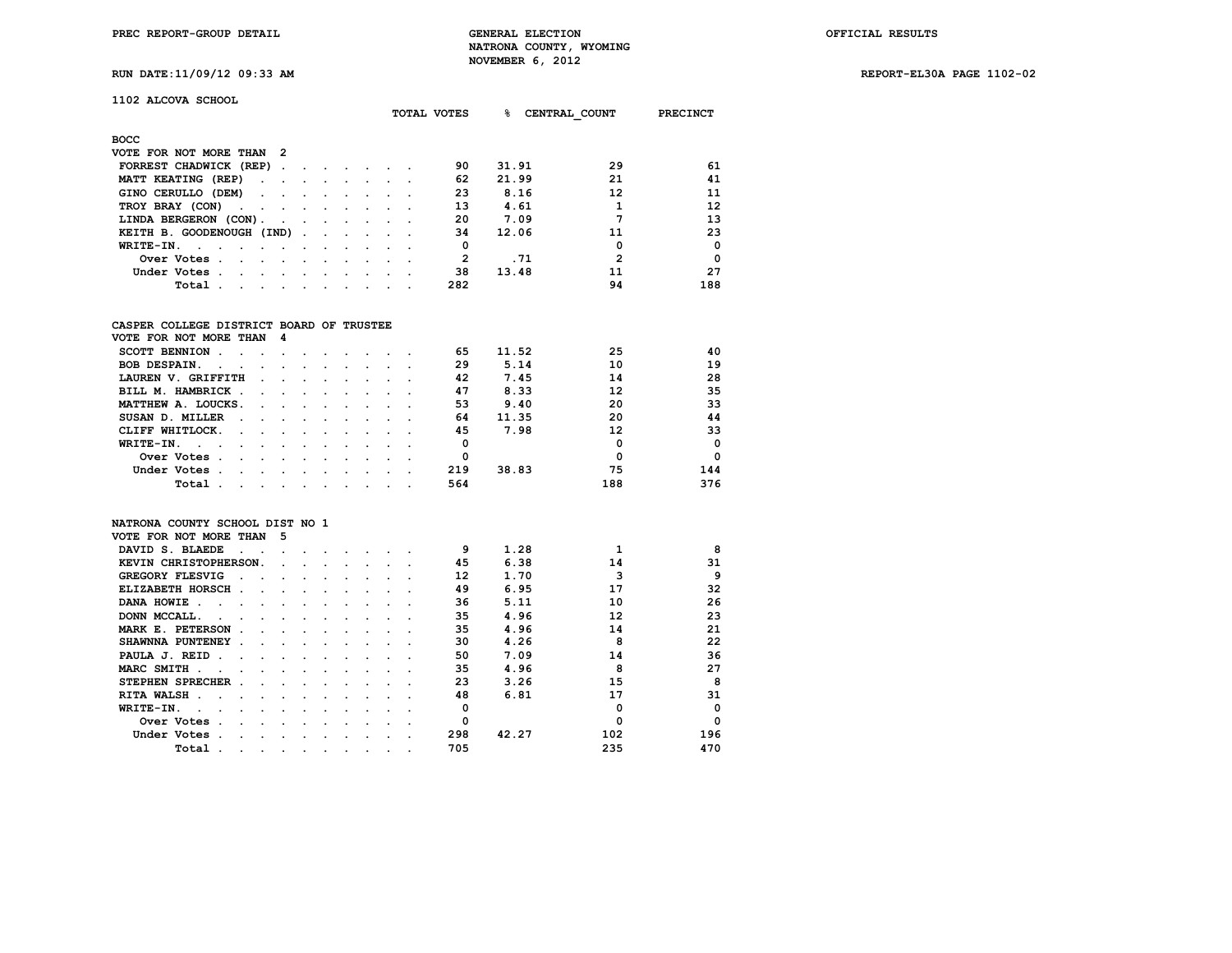**RUN DATE:11/09/12 09:33 AM REPORT-EL30A PAGE 1102-02**

| RUN DAIE:11/09/12 09:33 A |  |  |
|---------------------------|--|--|
|                           |  |  |

| 1102 ALCOVA SCHOOL |  |  |  |
|--------------------|--|--|--|
|--------------------|--|--|--|

|                                          |                      |     |  |  |  | <b>TOTAL VOTES</b> | ዱ     | CENTRAL COUNT  | <b>PRECINCT</b> |
|------------------------------------------|----------------------|-----|--|--|--|--------------------|-------|----------------|-----------------|
| <b>BOCC</b>                              |                      |     |  |  |  |                    |       |                |                 |
| VOTE FOR NOT MORE THAN 2                 |                      |     |  |  |  |                    |       |                |                 |
| FORREST CHADWICK (REP)                   |                      |     |  |  |  | 90                 | 31.91 | 29             | 61              |
| MATT KEATING (REP)                       | $\ddot{\phantom{a}}$ |     |  |  |  | 62                 | 21.99 | 21             | 41              |
| GINO CERULLO (DEM)                       | $\sim$               |     |  |  |  | 23                 | 8.16  | 12             | 11              |
| TROY BRAY (CON)<br>$\sim$                |                      |     |  |  |  | 13                 | 4.61  | 1              | 12              |
| LINDA BERGERON (CON).                    |                      |     |  |  |  | 20                 | 7.09  | 7              | 13              |
| KEITH B. GOODENOUGH (IND).               |                      |     |  |  |  | 34                 | 12.06 | 11             | 23              |
| WRITE-IN.                                |                      |     |  |  |  | 0                  |       | 0              | $\mathbf{0}$    |
| Over Votes.                              |                      |     |  |  |  | $\overline{2}$     | .71   | $\overline{2}$ | $\mathbf{0}$    |
| Under Votes .                            | $\cdot$              |     |  |  |  | 38                 | 13.48 | 11             | 27              |
| Total.<br>$\sim$                         |                      |     |  |  |  | 282                |       | 94             | 188             |
|                                          |                      |     |  |  |  |                    |       |                |                 |
| CASPER COLLEGE DISTRICT BOARD OF TRUSTEE |                      |     |  |  |  |                    |       |                |                 |
| VOTE FOR NOT MORE THAN                   |                      | - 4 |  |  |  |                    |       |                |                 |
| <b>SCOTT BENNION.</b>                    |                      |     |  |  |  | 65                 | 11.52 | 25             | 40              |
| <b>BOB DESPAIN.</b>                      |                      |     |  |  |  | 29                 | 5.14  | 10             | 19              |
| LAUREN V. GRIFFITH                       |                      |     |  |  |  | 42                 | 7.45  | 14             | 28              |
| BILL M. HAMBRICK .                       |                      |     |  |  |  | 47                 | 8.33  | 12             | 35              |
| MATTHEW A. LOUCKS.                       |                      |     |  |  |  | 53                 | 9.40  | 20             | 33              |
| SUSAN D. MILLER                          |                      |     |  |  |  | 64                 | 11.35 | 20             | 44              |
| CLIFF WHITLOCK.                          |                      |     |  |  |  | 45                 | 7.98  | 12             | 33              |
| $WPTTTT-TN$                              |                      |     |  |  |  | $\Omega$           |       | $\Omega$       | $\sqrt{ }$      |

| WRITE-IN.   |  |  |  |  |  |     |       |     |     |
|-------------|--|--|--|--|--|-----|-------|-----|-----|
| Over Votes  |  |  |  |  |  |     |       |     |     |
| Under Votes |  |  |  |  |  | 219 | 38.83 |     | 144 |
| Total       |  |  |  |  |  | 564 |       | 188 | 376 |

## **NATRONA COUNTY SCHOOL DIST NO 1 VOTE FOR NOT MORE THAN 5 DAVID S. BLAEDE . . . . . . . . . . 9 9 1.28 1 1 8**<br>**KEVIN CHRISTOPHERSON.** . . . . . . . . 45 6.38 14 31  **KEVIN CHRISTOPHERSON.** . . . . . . 45 6.38 14 31<br> **GREGORY FLESVIG** . . . . . . . . . 12 1.70 3 9 **GREGORY FLESVIG** . . . . . . . . . 12 1.70 3 9<br> **ELIZABETH HORSCH** . . . . . . . . 49 6.95 17 32 **ELIZABETH HORSCH . . . . . . . . . 49 6.95**<br>**DANA HOWIE** . . . . . . . . . . . 36 5.11  **DANA HOWIE . . . . . . . . . . . 36 5.11 10 26 DONN MCCALL. . . . . . . . . . . 35 4.96 12** 23<br>**MARK E. PETERSON . . . . . . . . . 35 4.96 14** 21 **MARK E. PETERSON . . . . . . . . . . 35 4.96 14** 21<br>SHAWNNA PUNTENEY . . . . . . . . . . 30 4.26 8 22 **SHAWNNA PUNTENEY . . . . . . . . . 30 4.26 8 22**<br>**PAULA J. REID . . . . . . . . . . . . 50 7.09 14** 36 **PAULA J. REID . . . . . . . . . . . 50 7.09 14** 36<br>**MARC SMITH** . . . . . . . . . . . 35 4.96 8 27 **MARC SMITH . . . . . . . . . . . . 35 STEPHEN SPRECHER . . . . . . . . . 23 3.26 15 8**<br>**RITA WALSH** . . . . . . . . . . 48 6.81 17 31 **RITA WALSH . . . . . . . . . . . 48** 6.81 17 31<br>**WRITE-IN.** . . . . . . . . . . . . 0 0 0 0  **WRITE-IN. . . . . . . . . . . . 0 0 0 Over Votes . . . . . . . . . . 0 0 0 Under Votes . . . . . . . . . . 298 42.27 102 196 Total** . . . . . . . . . . 705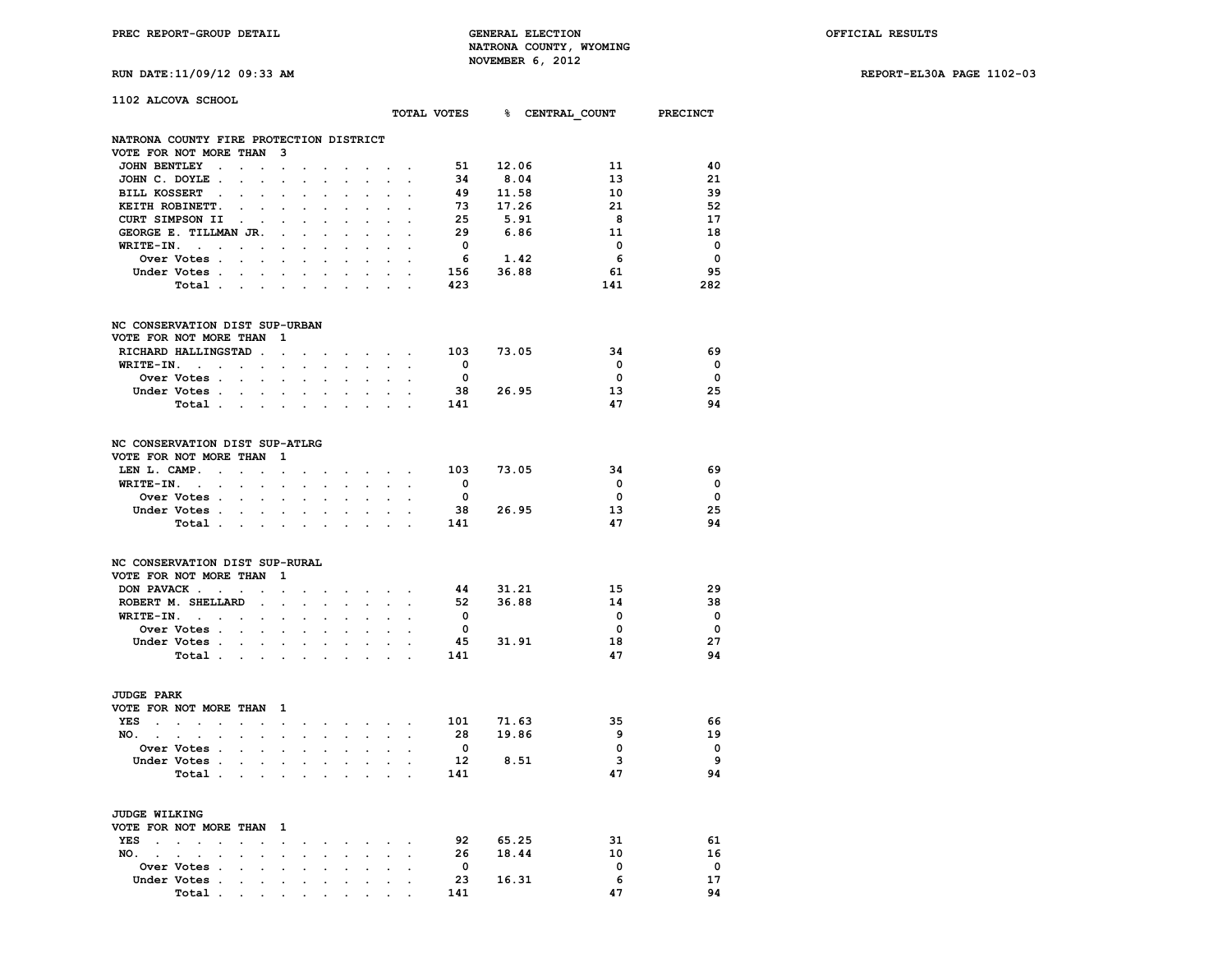**RUN DATE:11/09/12 09:33 AM REPORT-EL30A PAGE 1102-03**

| 1102 ALCOVA SCHOOL                               |                                                                                 |                                |                      |                                                                                                                                                                                                                                |                                |                                             |                                        |                                       |                                    |                                                                 | TOTAL VOTES 8 CENTRAL COUNT PRECINCT |                          |
|--------------------------------------------------|---------------------------------------------------------------------------------|--------------------------------|----------------------|--------------------------------------------------------------------------------------------------------------------------------------------------------------------------------------------------------------------------------|--------------------------------|---------------------------------------------|----------------------------------------|---------------------------------------|------------------------------------|-----------------------------------------------------------------|--------------------------------------|--------------------------|
|                                                  |                                                                                 |                                |                      |                                                                                                                                                                                                                                |                                |                                             |                                        |                                       |                                    |                                                                 |                                      |                          |
| NATRONA COUNTY FIRE PROTECTION DISTRICT          |                                                                                 |                                |                      |                                                                                                                                                                                                                                |                                |                                             |                                        |                                       |                                    |                                                                 |                                      |                          |
| VOTE FOR NOT MORE THAN 3<br>JOHN BENTLEY.        | $\sim$ $\sim$ $\sim$                                                            |                                |                      |                                                                                                                                                                                                                                |                                |                                             |                                        |                                       |                                    | 51 12.06                                                        | 11                                   | 40                       |
| JOHN C. DOYLE.                                   | $\mathbf{L} = \mathbf{L} \mathbf{L}$                                            | $\ddot{\phantom{0}}$<br>$\sim$ | $\sim$<br>$\sim$     | $\sim$<br>$\sim$                                                                                                                                                                                                               | $\sim$<br>$\ddot{\phantom{a}}$ | <b>Contract Contract Contract</b><br>$\sim$ |                                        | $\ddot{\phantom{a}}$<br>$\sim$ $\sim$ |                                    | $\frac{34}{49}$<br>$\frac{11.5}{17.26}$<br>$\frac{17.26}{5.91}$ | 13                                   | 21                       |
| BILL KOSSERT .                                   | $\ddot{\phantom{a}}$<br>$\sim$                                                  | $\ddot{\phantom{a}}$           | $\mathbf{r}$         | $\mathbf{r}$                                                                                                                                                                                                                   | $\ddot{\phantom{a}}$           | $\ddot{\phantom{0}}$                        | $\ddot{\phantom{0}}$                   | $\sim$                                |                                    |                                                                 | 10                                   | 39                       |
| KEITH ROBINETT.                                  | $\cdot$ $\cdot$                                                                 | $\mathbf{r}$                   |                      |                                                                                                                                                                                                                                |                                |                                             |                                        |                                       |                                    |                                                                 | 21                                   | -52                      |
| CURT SIMPSON II                                  | $\sim$<br>$\ddot{\phantom{a}}$                                                  | $\ddot{\phantom{a}}$           | $\ddot{\phantom{a}}$ | $\ddot{\phantom{a}}$                                                                                                                                                                                                           | $\ddot{\phantom{0}}$           | $\ddot{\phantom{0}}$                        | $\sim$                                 | $\ddot{\phantom{a}}$                  |                                    |                                                                 | 8                                    | 17                       |
| GEORGE E. TILLMAN JR.                            |                                                                                 | $\sim 100$                     | $\mathbf{r}$         | $\mathbf{L}$                                                                                                                                                                                                                   | $\overline{a}$                 | $\mathbf{r}$                                | $\mathbf{L}$                           | $\sim$                                | 29                                 | 6.86                                                            | - 11                                 | 18                       |
| $WRITE-IN.$                                      |                                                                                 | $\bullet$                      | $\ddot{\phantom{0}}$ | $\ddot{\phantom{0}}$                                                                                                                                                                                                           | $\ddot{\phantom{a}}$           | $\ddot{\phantom{0}}$                        |                                        | $\mathbf{r} = \mathbf{r}$ .           | $\overline{\mathbf{0}}$            |                                                                 | $\overline{0}$                       | $\overline{\mathbf{0}}$  |
| Over Votes                                       |                                                                                 |                                |                      |                                                                                                                                                                                                                                |                                |                                             |                                        |                                       | 6                                  | 1.42                                                            | 6                                    | $\overline{\phantom{0}}$ |
| Under Votes                                      |                                                                                 |                                |                      |                                                                                                                                                                                                                                |                                |                                             |                                        |                                       | 156                                | 36.88                                                           | 61                                   | 95                       |
| Total                                            |                                                                                 |                                |                      | $\mathbf{L}^{\text{max}}$                                                                                                                                                                                                      | $\sim$                         |                                             |                                        |                                       | 423                                |                                                                 | 141                                  | 282                      |
| NC CONSERVATION DIST SUP-URBAN                   |                                                                                 |                                |                      |                                                                                                                                                                                                                                |                                |                                             |                                        |                                       |                                    |                                                                 |                                      |                          |
| VOTE FOR NOT MORE THAN 1                         |                                                                                 |                                |                      |                                                                                                                                                                                                                                |                                |                                             |                                        |                                       |                                    |                                                                 |                                      |                          |
| RICHARD HALLINGSTAD                              |                                                                                 |                                | $\cdot$              | $\sim$                                                                                                                                                                                                                         |                                | and the contract of the con-                |                                        |                                       | 103 73.05                          |                                                                 | 34                                   | 69                       |
| WRITE-IN.<br>and the company of the              |                                                                                 | $\sim$                         |                      | and a series of the series of the                                                                                                                                                                                              |                                |                                             |                                        |                                       | $\overline{\mathbf{0}}$            |                                                                 | $\mathbf 0$                          | $\overline{\phantom{0}}$ |
| Over Votes                                       |                                                                                 | $\sim$                         |                      | and a state of the                                                                                                                                                                                                             |                                | $\mathbf{L}$                                | $\mathbf{L}$                           | $\sim$                                | $\overline{\mathbf{0}}$            |                                                                 | 0                                    | $\overline{\phantom{0}}$ |
| Under Votes                                      |                                                                                 |                                |                      |                                                                                                                                                                                                                                |                                |                                             | $\mathbf{z} = \mathbf{z} + \mathbf{z}$ | $\overline{a}$                        |                                    | 38 26.95                                                        | 13                                   | 25                       |
| Total.                                           |                                                                                 |                                |                      | $\sim 100$ km s $^{-1}$                                                                                                                                                                                                        |                                | $\sim$                                      | $\mathbf{L}$                           |                                       | 141                                |                                                                 | 47                                   | 94                       |
| NC CONSERVATION DIST SUP-ATLRG                   |                                                                                 |                                |                      |                                                                                                                                                                                                                                |                                |                                             |                                        |                                       |                                    |                                                                 |                                      |                          |
| VOTE FOR NOT MORE THAN 1                         |                                                                                 |                                |                      |                                                                                                                                                                                                                                |                                |                                             |                                        |                                       |                                    |                                                                 |                                      |                          |
| LEN L. CAMP.                                     | $\sim$ $\sim$ $\sim$ $\sim$                                                     | $\ddot{\phantom{a}}$           |                      | $\mathbf{r} = \mathbf{r} + \mathbf{r} + \mathbf{r} + \mathbf{r} + \mathbf{r} + \mathbf{r} + \mathbf{r}$                                                                                                                        |                                |                                             |                                        |                                       | 103 73.05                          |                                                                 | 34                                   | -69                      |
| $WRITE-IN.$                                      |                                                                                 | $\ddot{\phantom{a}}$           |                      | and a state of the state of the                                                                                                                                                                                                |                                |                                             |                                        |                                       | $\overline{\mathbf{0}}$            |                                                                 | $\mathbf{0}$                         | $\overline{\mathbf{0}}$  |
| <b>Over Votes</b>                                |                                                                                 | $\sim$                         | $\mathbf{r}$         |                                                                                                                                                                                                                                |                                | $\mathbf{L}^{\text{max}}$                   | $\mathbf{L}$                           |                                       | $\overline{\mathbf{0}}$            |                                                                 | $\overline{\mathbf{0}}$              | $\overline{\phantom{0}}$ |
| Under Votes                                      |                                                                                 |                                |                      |                                                                                                                                                                                                                                |                                |                                             |                                        | $\sim$                                | 38                                 | 26.95                                                           | 13                                   | 25                       |
| Total                                            |                                                                                 |                                |                      |                                                                                                                                                                                                                                |                                | $\mathcal{L}^{\text{max}}$                  | $\mathbf{L}$                           | $\mathbf{r}$                          | 141                                |                                                                 | 47                                   | 94                       |
| NC CONSERVATION DIST SUP-RURAL                   |                                                                                 |                                |                      |                                                                                                                                                                                                                                |                                |                                             |                                        |                                       |                                    |                                                                 |                                      |                          |
| VOTE FOR NOT MORE THAN 1                         |                                                                                 |                                |                      |                                                                                                                                                                                                                                |                                |                                             |                                        |                                       |                                    |                                                                 |                                      |                          |
| DON PAVACK                                       |                                                                                 | $\sim$                         |                      |                                                                                                                                                                                                                                |                                | $\sim$ $\sim$ $\sim$ $\sim$                 |                                        |                                       | 44                                 | 31.21                                                           | 15                                   | 29                       |
| ROBERT M. SHELLARD.                              |                                                                                 | $\ddot{\phantom{a}}$           |                      | $\mathbf{r}$                                                                                                                                                                                                                   |                                |                                             |                                        |                                       | 52                                 | 36.88                                                           | 14                                   | 38                       |
| $WRITE-TN.$                                      |                                                                                 | $\mathcal{L}^{\text{max}}$     |                      | $\mathbf{r} = \mathbf{r} + \mathbf{r}$                                                                                                                                                                                         |                                | $\ddot{\phantom{0}}$                        | $\sim$                                 | $\ddot{\phantom{a}}$                  | $\overline{\mathbf{0}}$            |                                                                 | $\mathbf{o}$                         | $\overline{\phantom{0}}$ |
| Over Votes                                       |                                                                                 | $\ddot{\phantom{a}}$           | $\ddot{\phantom{a}}$ | $\ddot{\phantom{0}}$                                                                                                                                                                                                           | $\ddot{\phantom{0}}$           | $\ddot{\phantom{0}}$                        | $\sim$                                 |                                       | $\overline{\mathbf{0}}$            |                                                                 | $\mathbf 0$                          | $\overline{\phantom{0}}$ |
| Under Votes                                      |                                                                                 |                                |                      |                                                                                                                                                                                                                                |                                |                                             | $\mathbf{r}$ and $\mathbf{r}$          |                                       |                                    | 45 31.91                                                        | 18                                   | 27                       |
| Total $\cdots$ $\cdots$                          |                                                                                 |                                |                      |                                                                                                                                                                                                                                |                                | $\sim$                                      | $\sim$                                 | $\sim$                                | 141                                |                                                                 | 47                                   | 94                       |
|                                                  |                                                                                 |                                |                      |                                                                                                                                                                                                                                |                                |                                             |                                        |                                       |                                    |                                                                 |                                      |                          |
| <b>JUDGE PARK</b>                                |                                                                                 |                                |                      |                                                                                                                                                                                                                                |                                |                                             |                                        |                                       |                                    |                                                                 |                                      |                          |
| VOTE FOR NOT MORE THAN 1                         |                                                                                 |                                |                      |                                                                                                                                                                                                                                |                                |                                             |                                        |                                       |                                    |                                                                 |                                      |                          |
| the contract of the contract of<br>YES<br>$\sim$ |                                                                                 |                                | $\ddot{\phantom{0}}$ | the contract of the contract of                                                                                                                                                                                                |                                |                                             |                                        | $\sim$                                | 101        71.63<br>28       19.86 |                                                                 | 35                                   | -66                      |
| NO.                                              |                                                                                 |                                |                      | and a strong control of the state of the state of the state of the state of the state of the state of the state of the state of the state of the state of the state of the state of the state of the state of the state of the |                                |                                             |                                        |                                       |                                    |                                                                 | 9                                    | 19                       |
| <b>Over Votes .</b>                              | $\sim$<br>$\mathbf{r}$                                                          | $\ddot{\phantom{a}}$           |                      |                                                                                                                                                                                                                                |                                |                                             |                                        |                                       | $\overline{\mathbf{0}}$            |                                                                 | $\overline{\mathbf{0}}$              | $\overline{\phantom{0}}$ |
| Under Votes                                      |                                                                                 |                                |                      | and a state of the state of                                                                                                                                                                                                    |                                |                                             |                                        | $\sim$ $\sim$                         | 12                                 | 8.51                                                            | 3                                    | 9                        |
| Total                                            |                                                                                 |                                |                      |                                                                                                                                                                                                                                |                                | $\ddotsc$                                   |                                        | $\sim$ $\sim$                         | 141                                |                                                                 | 47                                   | 94                       |
| <b>JUDGE WILKING</b>                             |                                                                                 |                                |                      |                                                                                                                                                                                                                                |                                |                                             |                                        |                                       |                                    |                                                                 |                                      |                          |
| VOTE FOR NOT MORE THAN 1                         |                                                                                 |                                |                      |                                                                                                                                                                                                                                |                                |                                             |                                        |                                       |                                    |                                                                 |                                      |                          |
| YES<br>$\sim$<br>$\sim$                          | $\sim 100$                                                                      |                                |                      | $\mathcal{L}(\mathbf{z})$ . The set of the set of $\mathcal{L}(\mathbf{z})$                                                                                                                                                    |                                |                                             |                                        |                                       |                                    | 92 65.25                                                        | 31                                   | 61                       |
| NO.                                              |                                                                                 |                                |                      |                                                                                                                                                                                                                                |                                |                                             |                                        |                                       |                                    | 26 18.44                                                        | 10                                   | 16                       |
| Over Votes .                                     | the contract of the contract of the contract of the contract of the contract of |                                |                      |                                                                                                                                                                                                                                |                                |                                             | $\bullet$ . In the case of the $\sim$  |                                       | $\overline{0}$                     |                                                                 | $\Omega$                             | $\mathbf 0$              |

 **Under Votes . . . . . . . . . . 23 16.31 6 17**

 **Total . . . . . . . . . . 141 47 94**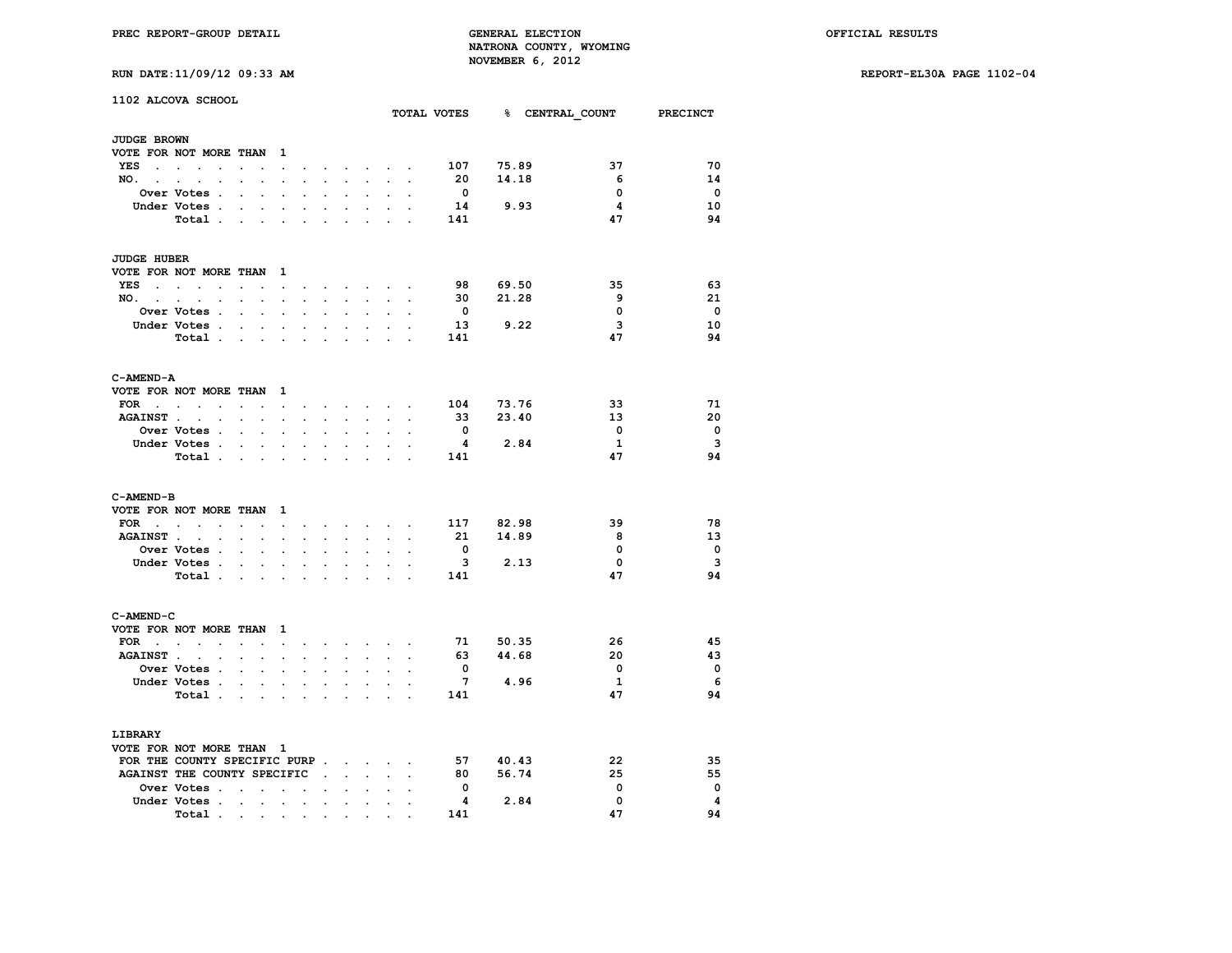**RUN DATE:11/09/12 09:33 AM REPORT-EL30A PAGE 1102-04**

| RUN DATE:11/09/12 09:33 AM |  |  |  |  |
|----------------------------|--|--|--|--|
|----------------------------|--|--|--|--|

|                          | 1102 ALCOVA SCHOOL              |                               |                             |                      |                      |                            |                      |                                                                                                         |                      |                |                         |          |       | TOTAL VOTES 8 CENTRAL COUNT PRECINCT |                         |
|--------------------------|---------------------------------|-------------------------------|-----------------------------|----------------------|----------------------|----------------------------|----------------------|---------------------------------------------------------------------------------------------------------|----------------------|----------------|-------------------------|----------|-------|--------------------------------------|-------------------------|
|                          |                                 |                               |                             |                      |                      |                            |                      |                                                                                                         |                      |                |                         |          |       |                                      |                         |
| JUDGE BROWN              |                                 |                               |                             |                      |                      |                            |                      |                                                                                                         |                      |                |                         |          |       |                                      |                         |
| VOTE FOR NOT MORE THAN   |                                 |                               |                             | 1                    |                      |                            |                      |                                                                                                         |                      |                |                         |          |       |                                      |                         |
| YES                      | $\cdot$                         | $\ddot{\phantom{a}}$          |                             | $\ddot{\phantom{a}}$ |                      |                            | $\cdot$              | <b>Contract Contract</b>                                                                                |                      |                | 107                     | 75.89    |       | 37                                   | 70                      |
|                          | NO.                             |                               | $\ddot{\phantom{a}}$        | $\ddot{\phantom{0}}$ | $\mathbf{r}$         | $\mathbf{L}^{\text{max}}$  | $\sim$               | $\ddot{\phantom{0}}$                                                                                    | $\sim$               |                | 20                      |          | 14.18 | -6                                   | 14                      |
|                          | Over Votes .                    | $\ddot{\phantom{a}}$          | $\ddot{\phantom{a}}$        | $\ddot{\phantom{a}}$ | $\ddot{\phantom{a}}$ | $\cdot$                    | $\ddot{\phantom{a}}$ | $\ddot{\phantom{a}}$                                                                                    | $\cdot$              |                | $\overline{\mathbf{0}}$ |          |       | $\mathbf 0$                          | $\mathbf 0$             |
|                          | Under Votes.                    |                               |                             |                      |                      |                            |                      |                                                                                                         |                      |                | 14                      |          | 9.93  | $\overline{\mathbf{4}}$              | 10                      |
|                          | Total                           |                               |                             | $\cdot$              | $\cdot$              | $\cdot$                    | $\cdot$              | $\ddot{\phantom{0}}$                                                                                    | $\ddot{\phantom{a}}$ | $\cdot$        | 141                     |          |       | 47                                   | 94                      |
| <b>JUDGE HUBER</b>       |                                 |                               |                             |                      |                      |                            |                      |                                                                                                         |                      |                |                         |          |       |                                      |                         |
|                          | VOTE FOR NOT MORE THAN 1        |                               |                             |                      |                      |                            |                      |                                                                                                         |                      |                |                         |          |       |                                      |                         |
| YES                      | the contract of the contract of | $\ddot{\phantom{0}}$          | $\cdot$                     | $\sim$               | $\sim$               |                            |                      | the contract of the contract of the                                                                     |                      |                | 98                      | 69.50    |       | 35                                   | 63                      |
|                          | NO.                             |                               | <b>All Card Corporation</b> | $\ddot{\phantom{0}}$ | $\sim$               | $\mathcal{L}^{\text{max}}$ | $\sim 10^{-11}$      | $\sim$                                                                                                  | $\ddot{\phantom{0}}$ |                | 30                      |          | 21.28 | 9                                    | 21                      |
|                          | Over Votes .                    |                               |                             |                      |                      |                            |                      |                                                                                                         |                      |                | $\overline{\mathbf{0}}$ |          |       | $\mathbf 0$                          | $\overline{\mathbf{0}}$ |
|                          | Under Votes.                    | <b>Contract Contract</b>      |                             | $\bullet$            | $\bullet$            | $\ddot{\phantom{0}}$       |                      |                                                                                                         |                      |                | 13                      | 9.22     |       | 3                                    | 10                      |
|                          | Total                           |                               |                             | $\ddot{\phantom{a}}$ | $\cdot$              | $\ddot{\phantom{0}}$       | $\cdot$              | $\cdot$                                                                                                 | $\overline{a}$       | $\overline{a}$ | 141                     |          |       | 47                                   | 94                      |
|                          |                                 |                               |                             |                      |                      |                            |                      |                                                                                                         |                      |                |                         |          |       |                                      |                         |
| C-AMEND-A                |                                 |                               |                             |                      |                      |                            |                      |                                                                                                         |                      |                |                         |          |       |                                      |                         |
| VOTE FOR NOT MORE THAN   |                                 |                               |                             | $\mathbf{1}$         |                      |                            |                      |                                                                                                         |                      |                |                         |          |       |                                      |                         |
|                          | FOR $\ldots$ $\ldots$           | the company of the company of |                             |                      |                      |                            |                      | $\mathbf{r} = \mathbf{r} + \mathbf{r} + \mathbf{r} + \mathbf{r} + \mathbf{r} + \mathbf{r} + \mathbf{r}$ |                      |                | 104                     | 73.76    |       | 33                                   | 71                      |
|                          | AGAINST                         | $\sim$ $\sim$ $\sim$          |                             | $\sim$               | $\ddot{\phantom{0}}$ | $\ddot{\phantom{0}}$       | $\sim$               | $\sim$                                                                                                  | $\mathbf{r}$         |                | 33                      |          | 23.40 | 13                                   | 20                      |
|                          | Over Votes .                    | $\ddot{\phantom{a}}$          | $\ddot{\phantom{a}}$        |                      |                      |                            |                      |                                                                                                         |                      |                | $\mathbf{o}$            |          |       | $\mathbf 0$                          | $\mathbf 0$             |
|                          | Under Votes                     |                               |                             | $\ddot{\phantom{0}}$ | $\cdot$              | $\bullet$                  | $\bullet$            | $\ddot{\phantom{0}}$                                                                                    | $\ddot{\phantom{a}}$ |                | 4                       | 2.84     |       | 1                                    | $\overline{\mathbf{3}}$ |
|                          | Total.                          | and the contract of the con-  |                             |                      | $\mathbf{r}$         |                            |                      |                                                                                                         |                      |                | 141                     |          |       | 47                                   | 94                      |
|                          |                                 |                               |                             |                      |                      |                            |                      |                                                                                                         |                      |                |                         |          |       |                                      |                         |
| C-AMEND-B                |                                 |                               |                             |                      |                      |                            |                      |                                                                                                         |                      |                |                         |          |       |                                      |                         |
| VOTE FOR NOT MORE THAN   |                                 |                               |                             | $\mathbf{1}$         |                      |                            |                      |                                                                                                         |                      |                |                         |          |       |                                      |                         |
|                          | FOR $\cdots$ $\cdots$           |                               |                             | $\sim 100$           |                      |                            |                      | and a strong control of the state of                                                                    |                      |                | 117 82.98               |          |       | 39                                   | 78                      |
| <b>AGAINST</b> .         | $\ddot{\phantom{0}}$<br>$\cdot$ |                               |                             | $\cdot$              |                      |                            |                      | $\ddot{\phantom{0}}$                                                                                    |                      |                | - 21                    | 14.89    |       | - 8                                  | 13                      |
|                          | <b>Over Votes .</b>             | $\ddot{\phantom{0}}$          | $\sim$                      |                      |                      |                            |                      |                                                                                                         |                      |                | $\overline{\mathbf{0}}$ |          |       | $\mathbf 0$                          | $\mathbf 0$             |
|                          | Under Votes .                   | $\bullet$                     | $\ddot{\phantom{0}}$        | $\cdot$              | $\cdot$              | $\cdot$                    | $\ddot{\phantom{a}}$ | $\cdot$                                                                                                 | $\ddot{\phantom{a}}$ |                | $\overline{\mathbf{3}}$ | 2.13     |       | $\Omega$                             | 3                       |
|                          | Total                           |                               | $\sim 100$                  |                      |                      |                            |                      |                                                                                                         |                      |                | 141                     |          |       | 47                                   | 94                      |
| C-AMEND-C                |                                 |                               |                             |                      |                      |                            |                      |                                                                                                         |                      |                |                         |          |       |                                      |                         |
| VOTE FOR NOT MORE THAN   |                                 |                               |                             | 1                    |                      |                            |                      |                                                                                                         |                      |                |                         |          |       |                                      |                         |
|                          | $\text{FOR}$                    |                               |                             | $\sim 100$           | $\ddot{\phantom{a}}$ |                            |                      | $\cdot$ $\cdot$ $\cdot$ $\cdot$ $\cdot$ $\cdot$                                                         |                      |                |                         | 71 50.35 |       | 26                                   | 45                      |
| <b>AGAINST</b>           | $\sim$                          | $\ddot{\phantom{0}}$          | $\ddot{\phantom{0}}$        | $\sim$               | $\ddot{\phantom{0}}$ | $\sim$                     | $\sim$               | $\ddot{\phantom{0}}$                                                                                    |                      |                | 63                      | 44.68    |       | 20                                   | 43                      |
|                          | Over Votes .                    |                               | $\mathbf{r} = \mathbf{r}$   | $\ddot{\phantom{a}}$ | $\cdot$              | $\overline{a}$             | $\ddot{\phantom{a}}$ | $\ddot{\phantom{a}}$                                                                                    |                      |                | $\mathbf 0$             |          |       | $\mathbf 0$                          | $\mathbf 0$             |
|                          | Under Votes .                   |                               | $\sim$                      | $\mathbf{r}$         |                      |                            |                      |                                                                                                         |                      |                | $\overline{7}$          | 4.96     |       | 1                                    | - 6                     |
|                          | Total .                         | $\sim$                        | $\sim$                      | $\ddot{\phantom{0}}$ |                      |                            |                      |                                                                                                         | $\overline{a}$       |                | 141                     |          |       | 47                                   | 94                      |
|                          |                                 |                               |                             |                      |                      |                            |                      |                                                                                                         |                      |                |                         |          |       |                                      |                         |
| LIBRARY                  |                                 |                               |                             |                      |                      |                            |                      |                                                                                                         |                      |                |                         |          |       |                                      |                         |
| VOTE FOR NOT MORE THAN 1 |                                 |                               |                             |                      |                      |                            |                      |                                                                                                         |                      |                |                         |          |       |                                      |                         |
|                          | FOR THE COUNTY SPECIFIC PURP    |                               |                             |                      |                      |                            |                      |                                                                                                         |                      |                | 57                      | 40.43    |       | 22                                   | 35                      |
|                          | AGAINST THE COUNTY SPECIFIC.    |                               |                             |                      |                      |                            | $\sim$               | $\mathcal{L}_{\mathcal{A}}$                                                                             | $\ddot{\phantom{a}}$ |                | 80 -                    |          | 56.74 | 25                                   | 55                      |
|                          | Over Votes                      |                               |                             |                      | $\ddot{\phantom{a}}$ |                            |                      |                                                                                                         |                      |                | $\mathbf{0}$            |          |       | $\mathbf 0$                          | $\overline{\mathbf{0}}$ |
|                          | Under Votes                     |                               | $\sim$ $\sim$               | $\bullet$            | $\cdot$              | $\ddot{\phantom{a}}$       | $\ddot{\phantom{a}}$ | $\ddot{\phantom{a}}$                                                                                    |                      |                | 4                       |          | 2.84  | $\mathbf{0}$                         | 4                       |
|                          | Total                           |                               |                             |                      |                      | <b>All Contracts</b>       | $\bullet$            |                                                                                                         |                      |                | 141                     |          |       | 47                                   | 94                      |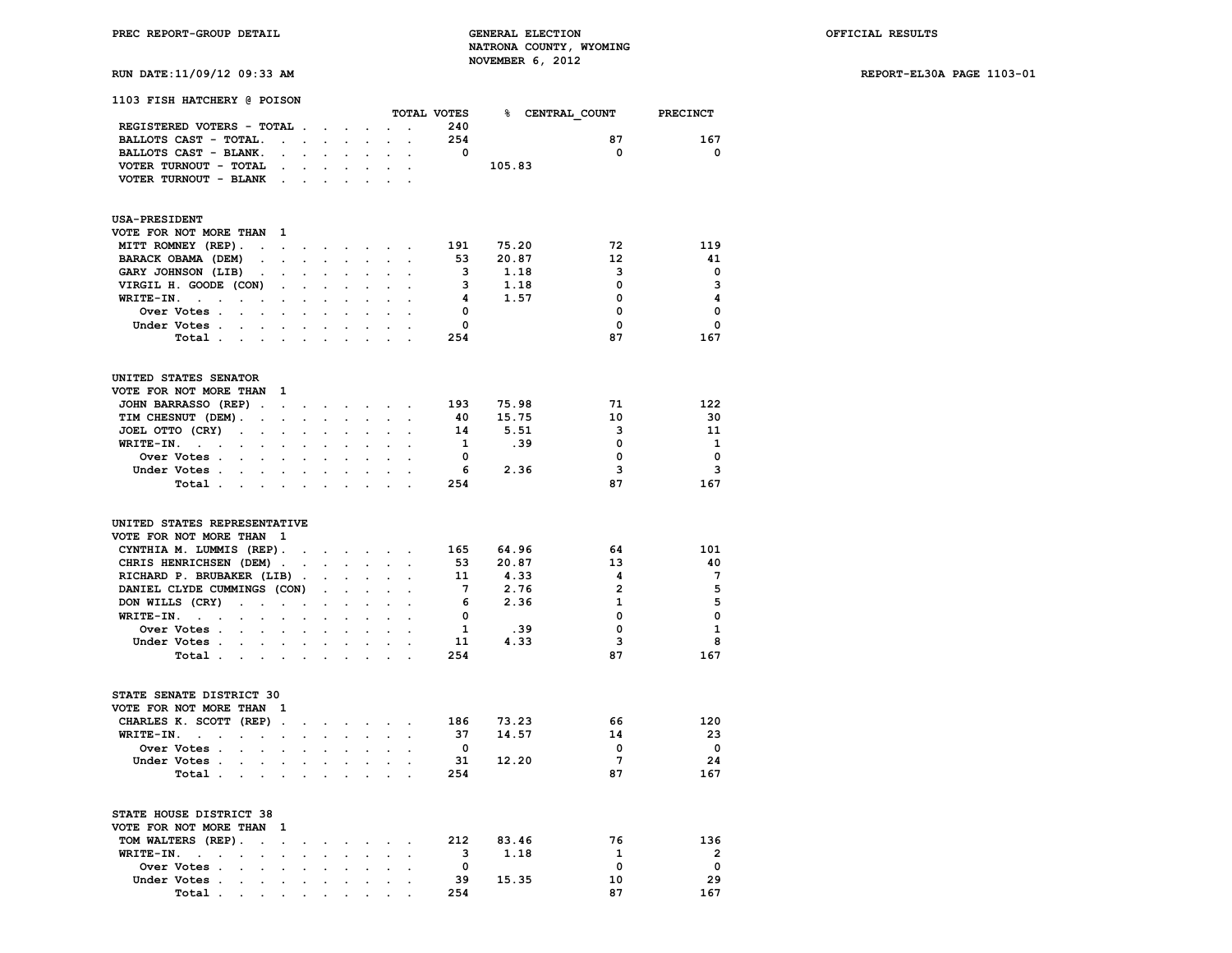**RUN DATE:11/09/12 09:33 AM REPORT-EL30A PAGE 1103-01**

| <b>1103 FISH HATCHERY @ POISON</b>                                                   |                      |                      |                                   |                                |                                                                 |                            |                                            |                         |        |                             |                         |
|--------------------------------------------------------------------------------------|----------------------|----------------------|-----------------------------------|--------------------------------|-----------------------------------------------------------------|----------------------------|--------------------------------------------|-------------------------|--------|-----------------------------|-------------------------|
|                                                                                      |                      |                      |                                   |                                |                                                                 |                            |                                            |                         |        | TOTAL VOTES 8 CENTRAL COUNT | <b>PRECINCT</b>         |
| REGISTERED VOTERS - TOTAL                                                            |                      |                      |                                   |                                |                                                                 | $\sim$                     | $\sim$                                     | 240                     |        |                             |                         |
| BALLOTS CAST - TOTAL.                                                                |                      |                      | the contract of the               |                                | $\mathbf{r}$                                                    |                            | $\mathbf{L} = \mathbf{L}$                  | 254                     |        | 87                          | 167                     |
| BALLOTS CAST - BLANK.                                                                | $\sim$               |                      |                                   |                                | $\ddot{\phantom{0}}$                                            | $\ddot{\phantom{0}}$       | $\ddot{\phantom{a}}$                       | $\overline{\mathbf{0}}$ |        | $\mathbf{o}$                | $\mathbf 0$             |
| VOTER TURNOUT - TOTAL                                                                |                      | $\ddot{\phantom{0}}$ | $\sim$                            | $\sim$                         | $\sim$                                                          |                            | $\cdot$ .                                  |                         | 105.83 |                             |                         |
| VOTER TURNOUT - BLANK.                                                               |                      |                      |                                   |                                |                                                                 |                            |                                            |                         |        |                             |                         |
| <b>USA-PRESIDENT</b>                                                                 |                      |                      |                                   |                                |                                                                 |                            |                                            |                         |        |                             |                         |
| VOTE FOR NOT MORE THAN 1                                                             |                      |                      |                                   |                                |                                                                 |                            |                                            |                         |        |                             |                         |
| MITT ROMNEY (REP).<br>$\sim$                                                         | $\sim$               | $\cdot$              |                                   |                                | the contract of the contract of                                 |                            |                                            | 191                     | 75.20  | 72                          | 119                     |
| BARACK OBAMA (DEM)                                                                   | $\ddot{\phantom{a}}$ | $\mathbf{r}$         | $\ddot{\phantom{a}}$              | $\sim 100$ km s $^{-1}$        | $\mathcal{L}^{\text{max}}$                                      | $\mathcal{L}^{\text{max}}$ | $\bullet$                                  | 53                      | 20.87  | $12 \overline{ }$           | 41                      |
| GARY JOHNSON (LIB).                                                                  | $\ddot{\phantom{a}}$ | $\cdot$              | $\ddot{\phantom{a}}$              |                                | $\cdot$                                                         | $\ddot{\phantom{0}}$       | $\cdot$                                    | $\overline{\mathbf{3}}$ | 1.18   | 3                           | $\mathbf 0$             |
| VIRGIL H. GOODE (CON)                                                                | $\sim$               |                      |                                   |                                |                                                                 |                            |                                            | $\overline{\mathbf{3}}$ | 1.18   | 0                           | $\mathbf{3}$            |
| WRITE-IN.<br>$\sim$ $\sim$<br>$\ddot{\phantom{a}}$<br>$\sim$                         |                      |                      |                                   |                                |                                                                 |                            |                                            | $\overline{4}$          | 1.57   | 0                           | $\overline{\mathbf{4}}$ |
| Over Votes .<br><b>Contract Contract Contract</b>                                    |                      |                      |                                   |                                |                                                                 |                            |                                            | $\mathbf{0}$            |        | 0                           | $\mathbf 0$             |
| Under Votes.<br>$\mathbf{L}$<br>$\ddot{\phantom{0}}$                                 |                      |                      |                                   |                                |                                                                 |                            |                                            | $\mathbf{0}$            |        | 0                           | $\mathbf 0$             |
| Total                                                                                |                      | $\sim$ $\sim$        |                                   | $\sim$                         | $\mathbf{L}$                                                    | $\sim$                     |                                            | 254                     |        | 87                          | 167                     |
|                                                                                      |                      |                      |                                   |                                |                                                                 |                            |                                            |                         |        |                             |                         |
| UNITED STATES SENATOR                                                                |                      |                      |                                   |                                |                                                                 |                            |                                            |                         |        |                             |                         |
| VOTE FOR NOT MORE THAN 1                                                             |                      |                      |                                   |                                |                                                                 |                            |                                            |                         |        |                             |                         |
| <b>JOHN BARRASSO (REP).</b>                                                          | $\sim$               | $\bullet$            | $\bullet$                         |                                | $\mathcal{L}(\mathbf{z})$ , and $\mathcal{L}(\mathbf{z})$ , and |                            | $\ddot{\phantom{0}}$                       | 193                     | 75.98  | 71                          | 122                     |
| TIM CHESNUT (DEM).<br>$\sim$                                                         | $\ddot{\phantom{a}}$ | $\ddot{\phantom{a}}$ | $\ddot{\phantom{a}}$              | $\ddot{\phantom{a}}$           | $\ddot{\phantom{0}}$                                            | $\sim$                     | $\ddot{\phantom{0}}$                       | 40                      | 15.75  | 10                          | 30                      |
| JOEL OTTO (CRY)<br>$\sim$ $-$<br>$\mathbf{r}$                                        | $\ddot{\phantom{0}}$ | $\cdot$              | $\cdot$                           | $\mathbf{L}$                   | $\ddot{\phantom{a}}$                                            | $\ddot{\phantom{0}}$       |                                            | 14                      | 5.51   | 3                           | 11                      |
| $WRITE-TN.$<br>$\bullet$<br>$\bullet$                                                | $\cdot$              | $\ddot{\phantom{a}}$ | $\cdot$                           | $\ddot{\phantom{a}}$           | $\ddot{\phantom{0}}$                                            | $\cdot$                    | $\ddot{\phantom{a}}$                       | $\mathbf{1}$            | .39    | $\mathbf 0$                 | 1                       |
| Over Votes                                                                           |                      |                      |                                   |                                |                                                                 |                            |                                            | $\overline{\mathbf{0}}$ |        | $\mathbf 0$                 | $\mathbf 0$             |
| Under Votes.<br>$\sim$<br>$\bullet$                                                  |                      |                      |                                   |                                |                                                                 |                            | $\ddot{\phantom{a}}$                       | - 6                     | 2.36   | 3                           | $\overline{\mathbf{3}}$ |
| Total                                                                                |                      | $\cdot$              |                                   |                                |                                                                 |                            |                                            | 254                     |        | 87                          | 167                     |
| UNITED STATES REPRESENTATIVE<br>VOTE FOR NOT MORE THAN 1<br>CYNTHIA M. LUMMIS (REP). |                      | $\ddot{\phantom{a}}$ | $\overline{a}$                    | $\sim 100$ km s $^{-1}$        | $\mathcal{L}^{\text{max}}$                                      | $\mathcal{L}^{\text{max}}$ | $\ddot{\phantom{a}}$                       | 165                     | 64.96  | 64                          | 101                     |
| CHRIS HENRICHSEN (DEM).                                                              |                      | $\ddot{\phantom{a}}$ | $\ddot{\phantom{0}}$              | $\ddot{\phantom{0}}$           | $\mathcal{L}_{\mathcal{A}}$                                     | $\mathcal{L}^{\text{max}}$ | $\blacksquare$                             | 53                      | 20.87  | 13                          | 40                      |
| RICHARD P. BRUBAKER (LIB).                                                           |                      |                      |                                   |                                |                                                                 |                            |                                            | 11                      | 4.33   | 4                           | $7\phantom{.0}$         |
| DANIEL CLYDE CUMMINGS (CON)                                                          |                      |                      | $\ddot{\phantom{a}}$              |                                | $\cdot$                                                         | $\ddot{\phantom{a}}$       |                                            | $7^{\circ}$             | 2.76   | $\overline{2}$              | 5                       |
| DON WILLS (CRY)<br>$\ddot{\phantom{a}}$<br>$\sim$                                    | $\sim$               | $\ddot{\phantom{a}}$ | $\ddot{\phantom{a}}$              | $\mathbf{r}$                   | $\ddot{\phantom{0}}$                                            | $\mathbf{L}$               |                                            | - 6                     | 2.36   | 1                           | 5                       |
| $WRITE-IN.$<br>$\bullet$<br>$\bullet$                                                | $\ddot{\phantom{a}}$ | $\blacksquare$       | $\ddot{\phantom{0}}$              | $\mathbf{r}$                   | $\ddot{\phantom{a}}$                                            | $\ddot{\phantom{a}}$       | $\sim$                                     | $\mathbf 0$             |        | $\mathbf 0$                 | $\mathbf 0$             |
| Over Votes                                                                           |                      |                      |                                   |                                |                                                                 |                            |                                            | $\mathbf{1}$            | .39    | 0                           | $\mathbf{1}$            |
| Under Votes<br>$\sim$                                                                |                      |                      |                                   |                                |                                                                 |                            | $\cdot$                                    | 11                      | 4.33   | 3                           | 8                       |
| Total                                                                                |                      |                      |                                   | $\overline{a}$                 |                                                                 |                            |                                            | 254                     |        | 87                          | 167                     |
|                                                                                      |                      |                      |                                   |                                |                                                                 |                            |                                            |                         |        |                             |                         |
| STATE SENATE DISTRICT 30<br>VOTE FOR NOT MORE THAN 1                                 |                      |                      |                                   |                                |                                                                 |                            |                                            |                         |        |                             |                         |
| CHARLES K. SCOTT (REP).                                                              |                      |                      |                                   |                                |                                                                 | $\sim$                     |                                            | 186                     | 73.23  | 66                          | 120                     |
| WRITE-IN.<br>the contract of the contract of                                         |                      | $\ddot{\phantom{0}}$ | $\bullet$<br>$\ddot{\phantom{a}}$ | $\sim$<br>$\ddot{\phantom{a}}$ | $\mathcal{L}^{\text{max}}$<br>$\ddot{\phantom{0}}$              |                            | $\cdot$                                    | - 37                    | 14.57  | 14                          | 23                      |
| Over Votes .<br>$\sim$                                                               |                      | $\sim$               |                                   |                                |                                                                 | $\sim$                     |                                            | $\overline{\mathbf{0}}$ |        | $\mathbf 0$                 | $\overline{\mathbf{0}}$ |
| $\sim$                                                                               |                      |                      |                                   |                                |                                                                 |                            |                                            | 31                      | 12.20  | $7\overline{ }$             | 24                      |
| Under Votes.<br>$\sim$<br>$\ddot{\phantom{0}}$                                       | $\ddot{\phantom{a}}$ | $\ddot{\phantom{0}}$ | $\ddot{\phantom{a}}$              | $\ddot{\phantom{0}}$           | $\bullet$                                                       | $\sim$                     | $\ddot{\phantom{a}}$                       |                         |        | 87                          | 167                     |
| Total                                                                                | $\sim$               | $\cdot$              |                                   | $\ddot{\phantom{a}}$           |                                                                 |                            |                                            | 254                     |        |                             |                         |
| STATE HOUSE DISTRICT 38<br>VOTE FOR NOT MORE THAN 1                                  |                      |                      |                                   |                                |                                                                 |                            |                                            |                         |        |                             |                         |
| TOM WALTERS (REP).<br>$\mathcal{L}^{\mathcal{L}}$                                    | $\sim$               |                      |                                   |                                |                                                                 |                            |                                            | 212                     | 83.46  | 76                          | 136                     |
| WRITE-IN.                                                                            |                      |                      |                                   | $\ddot{\phantom{0}}$           |                                                                 |                            |                                            | $\overline{\mathbf{3}}$ | 1.18   | $\mathbf{1}$                | $\overline{2}$          |
| <b>Contract Contract</b><br>$\ddot{\phantom{0}}$<br>$\ddot{\phantom{a}}$             |                      | $\ddot{\phantom{0}}$ | $\ddot{\phantom{0}}$              |                                | $\ddot{\phantom{0}}$                                            | $\mathcal{L}^{\text{max}}$ |                                            | $\mathbf{0}$            |        | $\mathbf 0$                 | $\overline{\mathbf{0}}$ |
| Over Votes .                                                                         |                      |                      |                                   |                                |                                                                 |                            |                                            | 39                      |        | 10                          | 29                      |
| Under Votes .<br>$\ddot{\phantom{a}}$<br>$\ddot{\phantom{0}}$                        | $\ddot{\phantom{0}}$ | $\ddot{\phantom{0}}$ | $\ddot{\phantom{0}}$              | $\ddot{\phantom{0}}$           | $\ddot{\phantom{0}}$                                            |                            | $\mathbf{r} = \mathbf{r} \cdot \mathbf{r}$ | 254                     | 15.35  | 87                          | 167                     |
| Total.                                                                               |                      |                      |                                   |                                |                                                                 |                            |                                            |                         |        |                             |                         |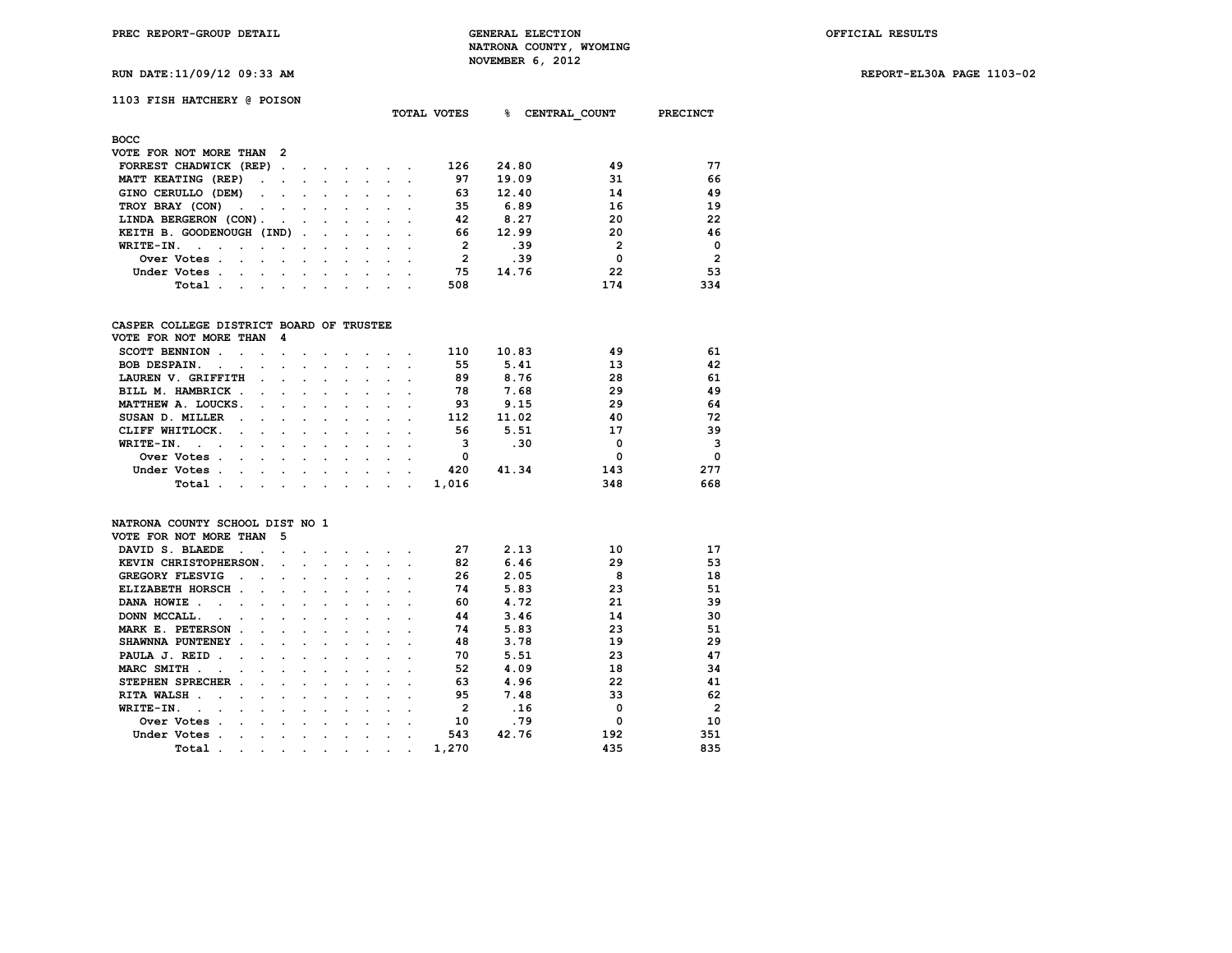**RUN DATE:11/09/12 09:33 AM REPORT-EL30A PAGE 1103-02**

# **1103 FISH HATCHERY @ POISON**

|                                               |                          |               |         | <b>TOTAL VOTES</b> |  |              | ℁<br>CENTRAL COUNT | <b>PRECINCT</b> |                |
|-----------------------------------------------|--------------------------|---------------|---------|--------------------|--|--------------|--------------------|-----------------|----------------|
| <b>BOCC</b>                                   |                          |               |         |                    |  |              |                    |                 |                |
| VOTE FOR NOT MORE THAN 2                      |                          |               |         |                    |  |              |                    |                 |                |
| FORREST CHADWICK (REP).                       |                          | $\sim$        | $\sim$  |                    |  | 126          | 24.80              | 49              | 77             |
| MATT KEATING (REP)<br>$\sim$ $ \sim$          |                          |               | $\cdot$ |                    |  | 97           | 19.09              | 31              | 66             |
| GINO CERULLO (DEM)<br>$\sim$ $\sim$           | $\sim$ 100 $\mu$         |               |         |                    |  | 63           | 12.40              | 14              | 49             |
| TROY BRAY (CON)<br>the company of the company | $\cdot$                  |               |         |                    |  | 35           | 6.89               | 16              | 19             |
| LINDA BERGERON (CON).<br>$\sim$ $\sim$ $\sim$ |                          | $\sim$ $\sim$ | $\sim$  |                    |  | 42           | 8.27               | 20              | 22             |
| KEITH B. GOODENOUGH (IND).                    | <b>Contract Contract</b> |               | $\sim$  |                    |  | 66           | 12.99              | 20              | 46             |
| WRITE-IN.<br>$\sim$<br>$\sim$<br>$\cdot$      |                          |               |         |                    |  | $\mathbf{2}$ | .39                | $\mathbf{2}$    | $\Omega$       |
| Over Votes.<br>$\sim$<br>$\cdot$<br>$\cdot$   |                          |               | $\sim$  |                    |  | $\mathbf{2}$ | .39                | 0               | $\overline{2}$ |
| Under Votes.<br>$\sim$<br>$\sim$<br>$\sim$    |                          |               |         |                    |  | 75           | 14.76              | 22              | 53             |
| Total<br>$\sim$<br>$\cdot$<br>$\cdot$         |                          |               |         |                    |  | 508          |                    | 174             | 334            |
|                                               |                          |               |         |                    |  |              |                    |                 |                |

## **CASPER COLLEGE DISTRICT BOARD OF TRUSTEE**

| VOTE FOR NOT MORE THAN 4                                                                                                 |                      |                                                                                                                 |                                                                                                                 |  |         |       |       |     |     |
|--------------------------------------------------------------------------------------------------------------------------|----------------------|-----------------------------------------------------------------------------------------------------------------|-----------------------------------------------------------------------------------------------------------------|--|---------|-------|-------|-----|-----|
| SCOTT BENNION.                                                                                                           |                      |                                                                                                                 |                                                                                                                 |  |         | 110   | 10.83 | 49  | 61  |
| <b>BOB DESPAIN.</b><br>$\sim$<br>$\ddot{\phantom{a}}$                                                                    | $\sim$ $\sim$ $\sim$ |                                                                                                                 |                                                                                                                 |  |         | 55    | 5.41  | 13  | 42  |
| LAUREN V. GRIFFITH<br>$\sim$ $\sim$                                                                                      |                      | $\ddot{\phantom{a}}$                                                                                            | $\sim$ $\sim$ $\sim$ $\sim$                                                                                     |  |         | 89    | 8.76  | 28  | 61  |
| BILL M. HAMBRICK.<br>$\sim$ $\sim$                                                                                       |                      | and the state of the state of the state of the state of the state of the state of the state of the state of the |                                                                                                                 |  |         | 78    | 7.68  | 29  | 49  |
| MATTHEW A. LOUCKS.                                                                                                       |                      |                                                                                                                 |                                                                                                                 |  |         | 93    | 9.15  | 29  | 64  |
| SUSAN D. MILLER<br>$\sim$<br>the contract of the contract of the                                                         |                      |                                                                                                                 |                                                                                                                 |  |         | 112   | 11.02 | 40  | 72  |
| CLIFF WHITLOCK.<br>$\sim$ $\sim$ $\sim$                                                                                  | $\sim$               |                                                                                                                 |                                                                                                                 |  |         | 56    | 5.51  | 17  | 39  |
| WRITE-IN.<br>$\sim$ $\sim$                                                                                               |                      |                                                                                                                 |                                                                                                                 |  |         |       | .30   | 0   | 3   |
| Over Votes.<br>$\sim$                                                                                                    | $\sim$ $\sim$        |                                                                                                                 |                                                                                                                 |  |         | 0     |       | 0   | 0   |
| Under Votes.                                                                                                             | $\sim$               | $\sim$                                                                                                          | and the state of the state of the state of the state of the state of the state of the state of the state of the |  |         | 420   | 41.34 | 143 | 277 |
| Total<br>the contract of the contract of the contract of the contract of the contract of the contract of the contract of |                      |                                                                                                                 |                                                                                                                 |  | $\cdot$ | 1,016 |       | 348 | 668 |

### **NATRONA COUNTY SCHOOL DIST NO 1**

| VOTE FOR NOT MORE THAN      |        | 5 |           |  |         |                      |       |       |          |                |
|-----------------------------|--------|---|-----------|--|---------|----------------------|-------|-------|----------|----------------|
| DAVID S. BLAEDE             |        |   |           |  |         |                      | 27    | 2.13  | 10       | 17             |
| KEVIN CHRISTOPHERSON.       |        |   |           |  |         |                      | 82    | 6.46  | 29       | 53             |
| <b>GREGORY FLESVIG</b>      |        |   |           |  |         |                      | 26    | 2.05  | 8        | 18             |
| ELIZABETH HORSCH.           | $\sim$ |   |           |  |         |                      | 74    | 5.83  | 23       | 51             |
| DANA HOWIE.                 |        |   |           |  |         |                      | 60    | 4.72  | 21       | 39             |
| DONN MCCALL.                |        |   |           |  |         |                      | 44    | 3.46  | 14       | 30             |
| MARK E. PETERSON            |        |   |           |  |         |                      | 74    | 5.83  | 23       | 51             |
| SHAWNNA PUNTENEY .          |        |   |           |  |         |                      | 48    | 3.78  | 19       | 29             |
| PAULA J. REID               |        |   |           |  |         |                      | 70    | 5.51  | 23       | 47             |
| MARC SMITH.                 |        |   |           |  |         |                      | 52    | 4.09  | 18       | 34             |
| STEPHEN SPRECHER.           |        |   | $\cdot$   |  |         |                      | 63    | 4.96  | 22       | 41             |
| <b>RITA WALSH</b><br>$\sim$ |        |   |           |  |         |                      | 95    | 7.48  | 33       | 62             |
| WRITE-IN.                   |        |   |           |  |         |                      | 2     | .16   | $\Omega$ | $\overline{2}$ |
| Over Votes                  |        |   |           |  |         |                      | 10    | .79   | $\Omega$ | 10             |
| Under Votes                 |        |   |           |  |         |                      | 543   | 42.76 | 192      | 351            |
| Total                       |        |   | $\bullet$ |  | $\cdot$ | $\ddot{\phantom{0}}$ | 1,270 |       | 435      | 835            |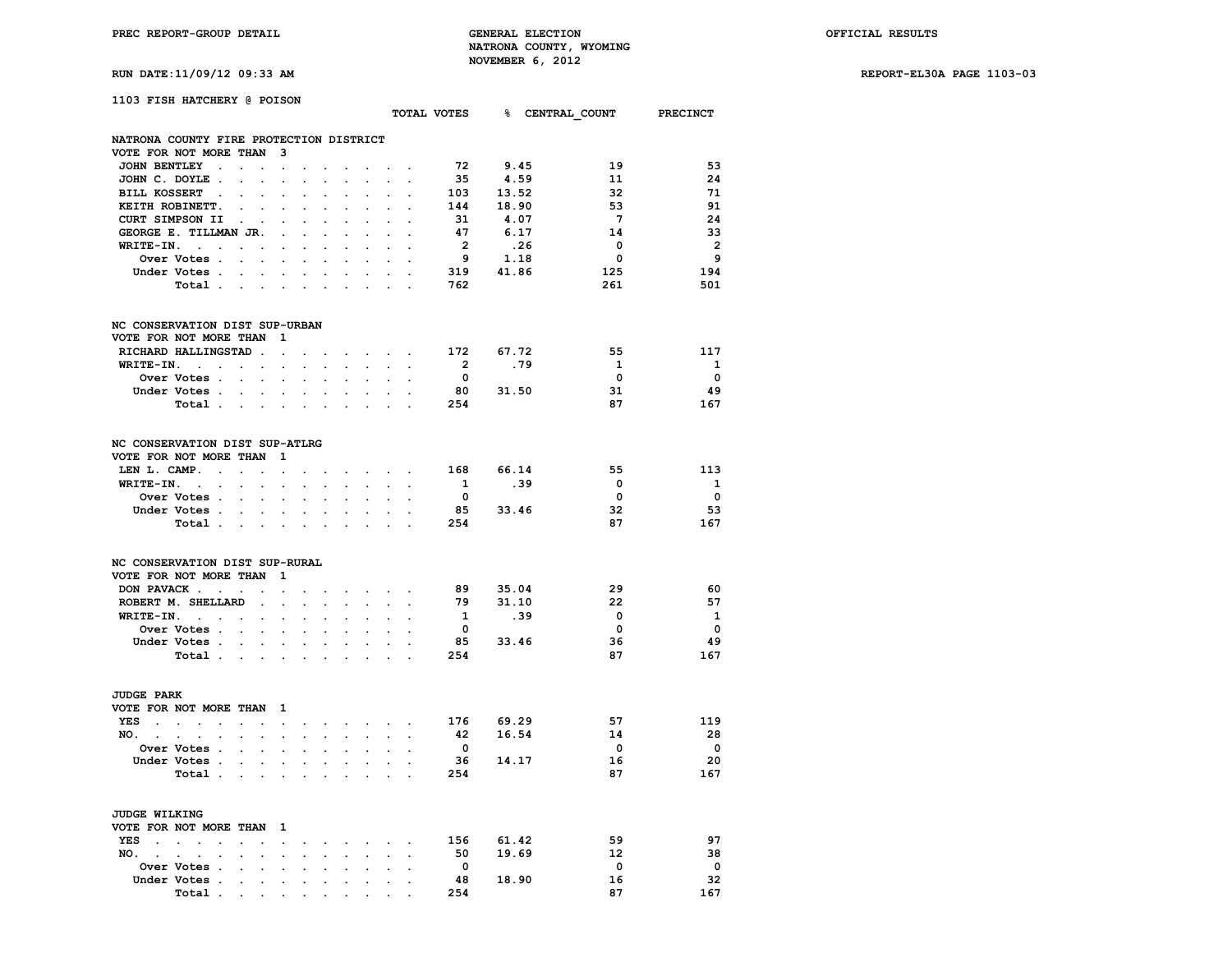**RUN DATE:11/09/12 09:33 AM REPORT-EL30A PAGE 1103-03**

| 1103 FISH HATCHERY @ POISON                                                      |                                                             |                            |                                                                                                                                                                                                                                |                      |                                                           |                      |                                                 |                         |                        |                         |                         |
|----------------------------------------------------------------------------------|-------------------------------------------------------------|----------------------------|--------------------------------------------------------------------------------------------------------------------------------------------------------------------------------------------------------------------------------|----------------------|-----------------------------------------------------------|----------------------|-------------------------------------------------|-------------------------|------------------------|-------------------------|-------------------------|
| TOTAL VOTES 8 CENTRAL COUNT PRECINCT                                             |                                                             |                            |                                                                                                                                                                                                                                |                      |                                                           |                      |                                                 |                         |                        |                         |                         |
|                                                                                  |                                                             |                            |                                                                                                                                                                                                                                |                      |                                                           |                      |                                                 |                         |                        |                         |                         |
| NATRONA COUNTY FIRE PROTECTION DISTRICT                                          |                                                             |                            |                                                                                                                                                                                                                                |                      |                                                           |                      |                                                 |                         |                        |                         |                         |
| VOTE FOR NOT MORE THAN 3<br>JOHN BENTLEY                                         |                                                             |                            |                                                                                                                                                                                                                                |                      |                                                           |                      |                                                 | 72                      | 9.45                   | 19                      | 53                      |
|                                                                                  |                                                             | $\sim$                     | $\ddot{\phantom{a}}$                                                                                                                                                                                                           | $\sim$               |                                                           |                      | the company of the com-                         |                         |                        |                         |                         |
| JOHN C. DOYLE.<br>$\sim$ $\sim$ $\sim$                                           | $\bullet$                                                   | $\sim$                     | $\ddot{\phantom{0}}$                                                                                                                                                                                                           | $\sim$               | $\cdot$                                                   |                      | <b>Contract Contract</b>                        | 35                      | 4.59                   | 11                      | 24                      |
| BILL KOSSERT.<br>$\mathbf{r}$                                                    | $\mathbf{r}$<br>$\mathbf{r}$                                | $\ddot{\phantom{a}}$       | $\mathbf{r}$                                                                                                                                                                                                                   | $\ddot{\phantom{a}}$ |                                                           |                      | and a state of the state                        |                         | 103 13.52<br>144 18.90 | -32                     | 71                      |
| KEITH ROBINETT.<br>$\sim$                                                        | $\mathbf{r}$                                                |                            | $\sim$                                                                                                                                                                                                                         |                      | $\overline{a}$                                            | $\mathbf{r}$         | $\sim$                                          |                         |                        | -53                     | 91                      |
| CURT SIMPSON II .                                                                | $\sim$ $\sim$                                               |                            |                                                                                                                                                                                                                                |                      |                                                           | $\sim$               |                                                 | 31                      | 4.07                   | $\overline{7}$          | 24                      |
| GEORGE E. TILLMAN JR.                                                            | $\blacksquare$                                              |                            |                                                                                                                                                                                                                                |                      |                                                           |                      |                                                 | 47                      | 6.17                   | 14                      | 33                      |
| $WRITE-IN.$                                                                      | $\sim$                                                      |                            |                                                                                                                                                                                                                                |                      |                                                           |                      |                                                 | $\overline{2}$          | .26                    | $\mathbf{0}$            | $\overline{2}$          |
| Over Votes                                                                       | $\sim$                                                      |                            |                                                                                                                                                                                                                                |                      |                                                           |                      |                                                 |                         | $9$ 1.18<br>319 41.86  | $\overline{\mathbf{0}}$ | 9                       |
| Under Votes                                                                      | $\bullet$ .<br><br><br><br><br><br><br><br><br><br><br><br> | $\sim 10^{-11}$            |                                                                                                                                                                                                                                | $\ddot{\phantom{0}}$ | $\ddot{\phantom{0}}$                                      |                      | $\sim 10^{-10}$ km $^{-1}$                      |                         |                        | 125                     | 194                     |
| Total                                                                            |                                                             | $\ddot{\phantom{a}}$       |                                                                                                                                                                                                                                |                      |                                                           |                      |                                                 | 762                     |                        | 261                     | 501                     |
|                                                                                  |                                                             |                            |                                                                                                                                                                                                                                |                      |                                                           |                      |                                                 |                         |                        |                         |                         |
| NC CONSERVATION DIST SUP-URBAN                                                   |                                                             |                            |                                                                                                                                                                                                                                |                      |                                                           |                      |                                                 |                         |                        |                         |                         |
| VOTE FOR NOT MORE THAN                                                           | $\mathbf{1}$                                                |                            |                                                                                                                                                                                                                                |                      |                                                           |                      |                                                 |                         |                        |                         |                         |
| RICHARD HALLINGSTAD.                                                             | $\sim$                                                      | $\sim$                     |                                                                                                                                                                                                                                |                      |                                                           |                      | $\cdot$ $\cdot$ $\cdot$ $\cdot$ $\cdot$ $\cdot$ |                         | 172 67.72              | 55                      | 117                     |
| $WRITE-IN.$                                                                      | $\sim$                                                      | $\sim$                     |                                                                                                                                                                                                                                |                      |                                                           |                      | the contract of the contract of the contract of | $\overline{\mathbf{2}}$ | .79                    | $\mathbf{1}$            | $\mathbf{1}$            |
| <b>Over Votes .</b><br>$\sim 10^{-11}$<br>$\sim$                                 | $\ddot{\phantom{a}}$                                        |                            | $\mathbf{r}$                                                                                                                                                                                                                   |                      |                                                           |                      |                                                 | $\overline{\mathbf{0}}$ |                        | $\mathbf 0$             | $\overline{\mathbf{0}}$ |
| Under Votes                                                                      |                                                             |                            |                                                                                                                                                                                                                                |                      |                                                           |                      |                                                 |                         | 80 31.50               | 31                      | 49                      |
| Total                                                                            | $\sim$                                                      | $\mathbf{r}$               | $\sim$                                                                                                                                                                                                                         |                      |                                                           |                      |                                                 | 254                     |                        | 87                      | 167                     |
|                                                                                  |                                                             |                            |                                                                                                                                                                                                                                |                      |                                                           |                      |                                                 |                         |                        |                         |                         |
| NC CONSERVATION DIST SUP-ATLRG                                                   |                                                             |                            |                                                                                                                                                                                                                                |                      |                                                           |                      |                                                 |                         |                        |                         |                         |
| VOTE FOR NOT MORE THAN 1                                                         |                                                             |                            |                                                                                                                                                                                                                                |                      |                                                           |                      |                                                 |                         |                        |                         |                         |
| LEN L. CAMP. $\cdots$                                                            |                                                             |                            |                                                                                                                                                                                                                                |                      |                                                           |                      | and the contract of the contract of             |                         | 168 66.14              | 55                      | 113                     |
| WRITE-IN.<br>$\ddot{\phantom{0}}$                                                | $\sim$<br>$\mathcal{L}^{\text{max}}$                        | $\mathcal{L}^{\text{max}}$ | $\mathcal{L}^{\text{max}}$                                                                                                                                                                                                     | $\sim$               |                                                           |                      | and a state of                                  | $\mathbf{1}$            | .39                    | $\overline{\mathbf{0}}$ | $\mathbf{1}$            |
| Over Votes                                                                       |                                                             | $\sim$                     | $\ddot{\phantom{0}}$                                                                                                                                                                                                           | $\ddot{\phantom{0}}$ | $\ddot{\phantom{0}}$                                      |                      | $\sim$ $\sim$                                   | $\overline{\mathbf{0}}$ |                        | $\mathbf 0$             | $\overline{\mathbf{0}}$ |
| Under Votes                                                                      |                                                             |                            |                                                                                                                                                                                                                                |                      |                                                           |                      |                                                 |                         | 85 33.46               | 32                      | - 53                    |
| Total                                                                            | <b>Contract Contract Contract</b>                           | $\ddot{\phantom{a}}$       | $\ddot{\phantom{a}}$                                                                                                                                                                                                           |                      | $\sim$                                                    | $\sim$               | $\sim$                                          | 254                     |                        | 87                      | 167                     |
|                                                                                  |                                                             |                            |                                                                                                                                                                                                                                |                      |                                                           |                      |                                                 |                         |                        |                         |                         |
| NC CONSERVATION DIST SUP-RURAL<br>VOTE FOR NOT MORE THAN                         | $\blacksquare$                                              |                            |                                                                                                                                                                                                                                |                      |                                                           |                      |                                                 |                         |                        |                         |                         |
| DON PAVACK                                                                       |                                                             |                            |                                                                                                                                                                                                                                |                      |                                                           |                      |                                                 | 89                      | 35.04                  | 29                      | -60                     |
| <b>Contract Contract</b>                                                         | $\ddot{\phantom{0}}$                                        |                            |                                                                                                                                                                                                                                |                      |                                                           |                      | and a strong control of the state of            | 79                      | 31.10                  | 22                      | 57                      |
| ROBERT M. SHELLARD.                                                              | $\mathcal{L}^{\mathcal{L}}$                                 | $\mathcal{L}^{\text{max}}$ | $\ddot{\phantom{0}}$                                                                                                                                                                                                           | $\ddot{\phantom{0}}$ | $\mathcal{L}^{\text{max}}$                                | $\sim$               |                                                 |                         |                        |                         |                         |
| $WRITE-TN.$                                                                      | $\ddot{\phantom{0}}$                                        |                            |                                                                                                                                                                                                                                |                      |                                                           | $\ddot{\phantom{0}}$ |                                                 | $\mathbf{1}$            | .39                    | $\overline{\mathbf{0}}$ | 1                       |
| Over Votes                                                                       | $\mathcal{L}^{\text{max}}$                                  |                            |                                                                                                                                                                                                                                |                      |                                                           |                      |                                                 | $\overline{\mathbf{0}}$ |                        | $\overline{0}$          | $\Omega$                |
| Under Votes                                                                      |                                                             |                            | and a series of the series of                                                                                                                                                                                                  |                      |                                                           |                      |                                                 |                         | 85 33.46               | 36                      | 49                      |
| Total                                                                            |                                                             | $\sim$                     | $\sim$                                                                                                                                                                                                                         | $\mathbf{r}$         | $\ddot{\phantom{0}}$                                      | $\sim$               |                                                 | 254                     |                        | 87                      | 167                     |
| <b>JUDGE PARK</b>                                                                |                                                             |                            |                                                                                                                                                                                                                                |                      |                                                           |                      |                                                 |                         |                        |                         |                         |
| VOTE FOR NOT MORE THAN                                                           | $\mathbf{1}$                                                |                            |                                                                                                                                                                                                                                |                      |                                                           |                      |                                                 |                         |                        |                         |                         |
| YES<br><b>Contract Contract</b><br>the contract of the contract                  |                                                             |                            |                                                                                                                                                                                                                                |                      |                                                           |                      |                                                 |                         |                        | 57                      | 119                     |
|                                                                                  | $\sim$ $\sim$                                               | $\bullet$                  |                                                                                                                                                                                                                                |                      |                                                           |                      | the contract of the contract of                 | 42                      | 176 69.29<br>16.54     | 14                      | - 28                    |
| NO.<br>and the state of the state of the                                         |                                                             |                            | and a strong control of the state of the state of the state of the state of the state of the state of the state of the state of the state of the state of the state of the state of the state of the state of the state of the |                      |                                                           |                      |                                                 |                         |                        | $\overline{\mathbf{0}}$ |                         |
| <b>Over Votes .</b>                                                              |                                                             |                            |                                                                                                                                                                                                                                |                      |                                                           |                      |                                                 | $\overline{\mathbf{0}}$ |                        |                         | $\overline{\mathbf{0}}$ |
| Under Votes .<br>the contract of the con-                                        |                                                             | $\sim$                     | $\sim$                                                                                                                                                                                                                         |                      | the contract of the con-                                  |                      |                                                 |                         | 36 14.17               | 16                      | -20                     |
| Total                                                                            |                                                             | $\ddot{\phantom{a}}$       |                                                                                                                                                                                                                                | $\ddot{\phantom{0}}$ |                                                           | $\sim$               |                                                 | 254                     |                        | 87                      | 167                     |
| <b>JUDGE WILKING</b>                                                             |                                                             |                            |                                                                                                                                                                                                                                |                      |                                                           |                      |                                                 |                         |                        |                         |                         |
| VOTE FOR NOT MORE THAN 1                                                         |                                                             |                            |                                                                                                                                                                                                                                |                      |                                                           |                      |                                                 |                         |                        |                         |                         |
| $YES$<br>$\mathbf{a}^{\prime}$ , $\mathbf{a}^{\prime}$ , $\mathbf{a}^{\prime}$ , | $\bullet$                                                   | $\cdot$                    | $\sim$                                                                                                                                                                                                                         |                      | $\mathbf{r} = \mathbf{r}$ , and $\mathbf{r} = \mathbf{r}$ |                      |                                                 |                         | 156 61.42              | 59                      | 97                      |
| NO.,<br>$\mathbf{L} = \mathbf{L}$                                                | $\sim$                                                      |                            | $\sim$                                                                                                                                                                                                                         |                      | $\ddot{\phantom{0}}$                                      | $\sim$               |                                                 | 50                      | 19.69                  | 12                      | 38                      |
| Over Votes .<br>$\ddot{\phantom{a}}$                                             |                                                             |                            |                                                                                                                                                                                                                                |                      |                                                           |                      |                                                 | $\overline{\mathbf{0}}$ |                        | $\mathbf{o}$            | $\mathbf 0$             |
| Under Votes .                                                                    | $\ddot{\phantom{a}}$                                        |                            |                                                                                                                                                                                                                                |                      | $\cdot$                                                   | $\ddot{\phantom{0}}$ | $\ddot{\phantom{a}}$                            | 48                      | 18.90                  | 16                      | 32                      |
| $\sim$<br>Total                                                                  | $\sim$<br>$\sim$                                            | $\cdot$                    | $\ddot{\phantom{0}}$                                                                                                                                                                                                           | $\sim$               | $\sim$                                                    |                      | $\sim$ $\sim$                                   | 254                     |                        | 87                      | 167                     |
| <b>Contract Contract</b>                                                         | $\sim$                                                      |                            |                                                                                                                                                                                                                                |                      |                                                           |                      |                                                 |                         |                        |                         |                         |

 **Total** . . . . . . . . . .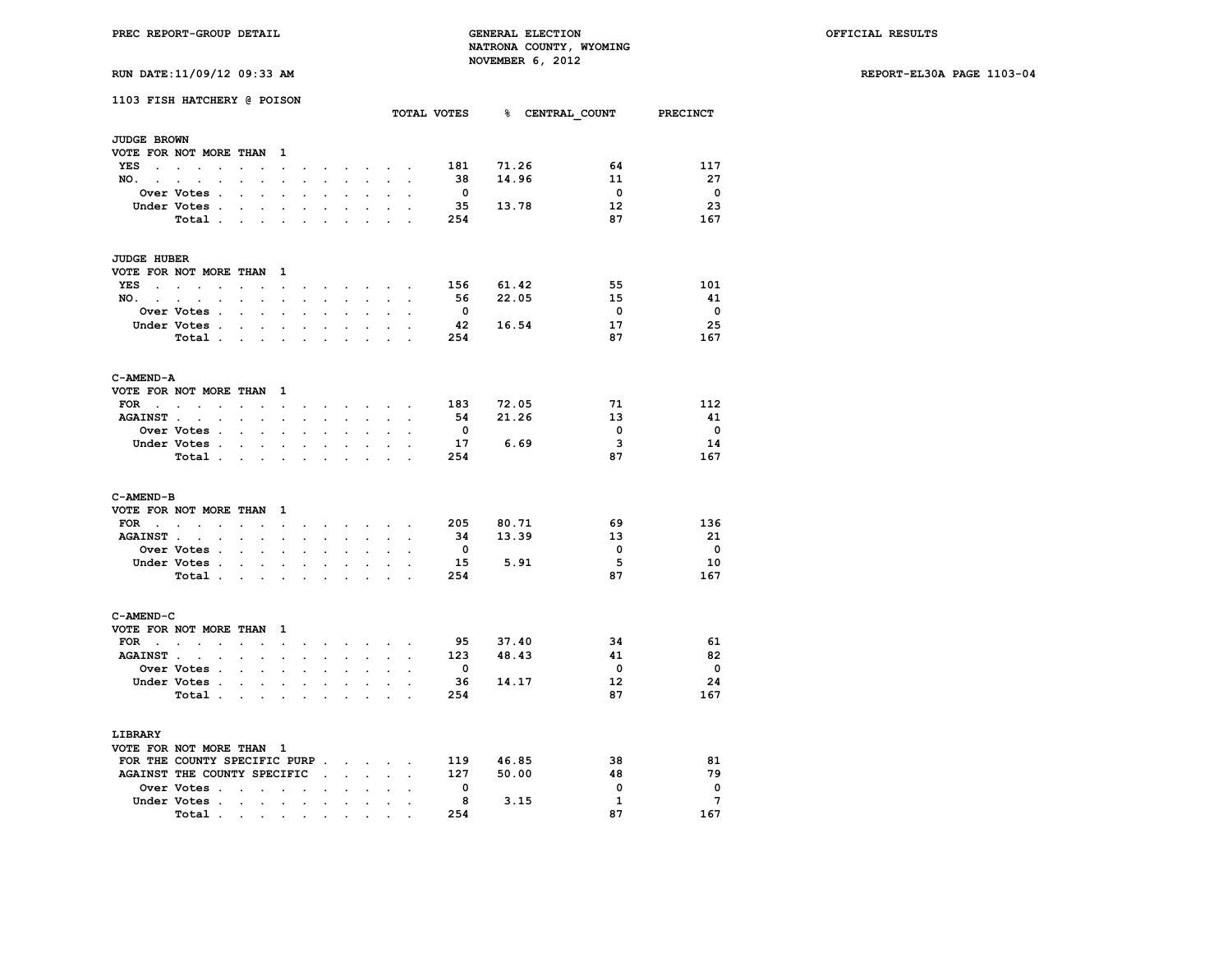**RUN DATE:11/09/12 09:33 AM REPORT-EL30A PAGE 1103-04**

| RUN DAIL:11/09/12 09:33 AM |  |  |
|----------------------------|--|--|
|                            |  |  |

|                          | 1103 FISH HATCHERY @ POISON   |                                                                                                                 |                                                           |                                                                                                                                                                                                                                                                                                                                                                                                                              |                      |                                                 |                      |                                          |                                                                               |                      |                         | TOTAL VOTES 8 CENTRAL COUNT PRECINCT |                         |                          |
|--------------------------|-------------------------------|-----------------------------------------------------------------------------------------------------------------|-----------------------------------------------------------|------------------------------------------------------------------------------------------------------------------------------------------------------------------------------------------------------------------------------------------------------------------------------------------------------------------------------------------------------------------------------------------------------------------------------|----------------------|-------------------------------------------------|----------------------|------------------------------------------|-------------------------------------------------------------------------------|----------------------|-------------------------|--------------------------------------|-------------------------|--------------------------|
| <b>JUDGE BROWN</b>       |                               |                                                                                                                 |                                                           |                                                                                                                                                                                                                                                                                                                                                                                                                              |                      |                                                 |                      |                                          |                                                                               |                      |                         |                                      |                         |                          |
|                          | VOTE FOR NOT MORE THAN        |                                                                                                                 |                                                           | $\mathbf{1}$                                                                                                                                                                                                                                                                                                                                                                                                                 |                      |                                                 |                      |                                          |                                                                               |                      |                         |                                      |                         |                          |
|                          | YES                           | $\mathbf{L}^{\text{max}}$                                                                                       |                                                           | $\sim$                                                                                                                                                                                                                                                                                                                                                                                                                       |                      |                                                 |                      |                                          | $\mathbf{r} = \mathbf{r} + \mathbf{r} + \mathbf{r} + \mathbf{r} + \mathbf{r}$ |                      | 181                     | 71.26                                | 64                      | 117                      |
| NO.                      | $\sim$ $\sim$                 | $\ddot{\phantom{0}}$                                                                                            | $\ddot{\phantom{0}}$                                      | $\sim$                                                                                                                                                                                                                                                                                                                                                                                                                       |                      | $\cdot$ $\cdot$ $\cdot$ $\cdot$ $\cdot$ $\cdot$ |                      |                                          | $\sim$                                                                        | $\cdot$              | 38                      | 14.96                                | 11                      | -27                      |
|                          | Over Votes .                  | $\ddot{\phantom{0}}$                                                                                            | $\mathbf{L}$                                              | $\bullet$                                                                                                                                                                                                                                                                                                                                                                                                                    |                      | $\ddot{\phantom{a}}$                            | $\ddot{\phantom{0}}$ | $\ddot{\phantom{0}}$                     | $\ddot{\phantom{0}}$                                                          |                      | $\overline{\mathbf{0}}$ |                                      | $\overline{\mathbf{0}}$ | $\overline{\phantom{0}}$ |
|                          | Under Votes .                 | $\sim$                                                                                                          |                                                           | $\sim$ $\sim$                                                                                                                                                                                                                                                                                                                                                                                                                | $\ddot{\phantom{a}}$ | $\sim$                                          |                      | $\mathbf{r}$                             | $\mathcal{L}^{\text{max}}$                                                    |                      | -35                     | 13.78                                | 12                      | -23                      |
|                          | Total                         |                                                                                                                 |                                                           |                                                                                                                                                                                                                                                                                                                                                                                                                              |                      | $\ddot{\phantom{a}}$                            |                      | $\ddot{\phantom{a}}$                     | $\mathbf{r}$                                                                  | $\sim$               | 254                     |                                      | 87                      | 167                      |
| <b>JUDGE HUBER</b>       |                               |                                                                                                                 |                                                           |                                                                                                                                                                                                                                                                                                                                                                                                                              |                      |                                                 |                      |                                          |                                                                               |                      |                         |                                      |                         |                          |
|                          | VOTE FOR NOT MORE THAN 1      |                                                                                                                 |                                                           |                                                                                                                                                                                                                                                                                                                                                                                                                              |                      |                                                 |                      |                                          |                                                                               |                      |                         |                                      |                         |                          |
|                          | YES                           | $\ddot{\phantom{0}}$                                                                                            | $\ddot{\phantom{a}}$                                      | $\ddot{\phantom{a}}$                                                                                                                                                                                                                                                                                                                                                                                                         |                      |                                                 |                      |                                          | $\sim$ $\sim$ $\sim$ $\sim$ $\sim$                                            |                      | 156                     | 61.42                                | 55                      | 101                      |
|                          | NO.                           |                                                                                                                 |                                                           | $\sim$                                                                                                                                                                                                                                                                                                                                                                                                                       | $\sim$               | $\sim$                                          |                      | $\mathbf{z} = \mathbf{z} + \mathbf{z}$ . |                                                                               | $\sim$ $\sim$        | 56                      | 22.05                                | 15                      | -41                      |
|                          | Over Votes .                  | $\ddot{\phantom{0}}$                                                                                            | $\ddot{\phantom{0}}$                                      | $\ddot{\phantom{a}}$                                                                                                                                                                                                                                                                                                                                                                                                         | $\overline{a}$       | $\sim$                                          | $\ddot{\phantom{0}}$ | $\ddot{\phantom{0}}$                     | $\ddot{\phantom{a}}$                                                          |                      | $\overline{\mathbf{0}}$ |                                      | $\overline{\mathbf{0}}$ | $\overline{\phantom{0}}$ |
|                          | Under Votes .                 | <b>Contract Contract</b>                                                                                        |                                                           | $\bullet$                                                                                                                                                                                                                                                                                                                                                                                                                    | $\mathbf{r}$         | $\bullet$                                       | $\ddot{\phantom{0}}$ | $\ddot{\phantom{0}}$                     |                                                                               |                      | 42                      | 16.54                                | 17                      | 25                       |
|                          | Total                         |                                                                                                                 |                                                           | $\sim$                                                                                                                                                                                                                                                                                                                                                                                                                       | $\ddot{\phantom{a}}$ | $\ddot{\phantom{a}}$                            | $\ddot{\phantom{0}}$ | $\ddot{\phantom{0}}$                     |                                                                               |                      | 254                     |                                      | 87                      | 167                      |
| C-AMEND-A                |                               |                                                                                                                 |                                                           |                                                                                                                                                                                                                                                                                                                                                                                                                              |                      |                                                 |                      |                                          |                                                                               |                      |                         |                                      |                         |                          |
|                          | VOTE FOR NOT MORE THAN 1      |                                                                                                                 |                                                           |                                                                                                                                                                                                                                                                                                                                                                                                                              |                      |                                                 |                      |                                          |                                                                               |                      |                         |                                      |                         |                          |
| $\texttt{FOR}$           |                               | $\ddotsc$                                                                                                       |                                                           | $\mathbf{r} = \mathbf{r} + \mathbf{r} + \mathbf{r} + \mathbf{r} + \mathbf{r} + \mathbf{r} + \mathbf{r} + \mathbf{r} + \mathbf{r} + \mathbf{r} + \mathbf{r} + \mathbf{r} + \mathbf{r} + \mathbf{r} + \mathbf{r} + \mathbf{r} + \mathbf{r} + \mathbf{r} + \mathbf{r} + \mathbf{r} + \mathbf{r} + \mathbf{r} + \mathbf{r} + \mathbf{r} + \mathbf{r} + \mathbf{r} + \mathbf{r} + \mathbf{r} + \mathbf{r} + \mathbf{r} + \mathbf$ |                      |                                                 |                      |                                          |                                                                               |                      | 183                     | 72.05                                | 71                      | 112                      |
|                          | AGAINST                       |                                                                                                                 |                                                           |                                                                                                                                                                                                                                                                                                                                                                                                                              | $\sim$               |                                                 | <b>Service</b>       | $\sim 10^{-11}$                          | $\sim$                                                                        | $\bullet$            | 54                      | 21.26                                | 13                      | -41                      |
|                          | Over Votes .                  | $\ddot{\phantom{0}}$                                                                                            | $\mathbf{L}$                                              |                                                                                                                                                                                                                                                                                                                                                                                                                              |                      |                                                 |                      |                                          |                                                                               |                      | $\overline{\mathbf{0}}$ |                                      | $\overline{\mathbf{0}}$ | $\overline{\phantom{0}}$ |
|                          | Under Votes                   |                                                                                                                 |                                                           | $\sim$ $-$                                                                                                                                                                                                                                                                                                                                                                                                                   | $\sim$               | $\bullet$ .                                     | $\sim$               | $\ddot{\phantom{0}}$                     | $\mathbf{r}$                                                                  | $\sim$               | 17                      | 6.69                                 | 3                       | 14                       |
|                          | Total .                       | the contract of the contract of the contract of the contract of the contract of the contract of the contract of |                                                           |                                                                                                                                                                                                                                                                                                                                                                                                                              |                      |                                                 |                      | $\overline{a}$                           | $\mathbf{r}$                                                                  |                      | 254                     |                                      | 87                      | 167                      |
|                          |                               |                                                                                                                 |                                                           |                                                                                                                                                                                                                                                                                                                                                                                                                              |                      |                                                 |                      |                                          |                                                                               |                      |                         |                                      |                         |                          |
| C-AMEND-B                |                               |                                                                                                                 |                                                           |                                                                                                                                                                                                                                                                                                                                                                                                                              |                      |                                                 |                      |                                          |                                                                               |                      |                         |                                      |                         |                          |
|                          | VOTE FOR NOT MORE THAN 1      |                                                                                                                 |                                                           |                                                                                                                                                                                                                                                                                                                                                                                                                              |                      |                                                 |                      |                                          |                                                                               |                      |                         |                                      |                         |                          |
|                          | FOR $\cdots$ $\cdots$         |                                                                                                                 |                                                           |                                                                                                                                                                                                                                                                                                                                                                                                                              |                      |                                                 |                      |                                          | and a strong control of the state of                                          |                      | 205                     | 80.71                                | 69                      | 136                      |
| <b>AGAINST</b> .         | $\sim$ $\sim$                 |                                                                                                                 | $\sim$ $\sim$ $\sim$                                      | $\ddot{\phantom{a}}$                                                                                                                                                                                                                                                                                                                                                                                                         |                      | $\mathbf{r}$                                    | $\mathbf{r}$         | $\mathbb{R}^{\mathbb{Z}}$                | $\sim$                                                                        |                      | - 34                    | 13.39                                | 13                      | - 21                     |
|                          | Over Votes .                  | $\sim$                                                                                                          | $\sim$                                                    | $\ddot{\phantom{0}}$                                                                                                                                                                                                                                                                                                                                                                                                         |                      |                                                 | $\mathbf{r}$         | $\ddot{\phantom{0}}$                     | $\sim$                                                                        | $\sim$               | $\overline{\mathbf{0}}$ |                                      | 0                       | $\overline{\mathbf{0}}$  |
|                          | Under Votes .                 | and the control of                                                                                              |                                                           |                                                                                                                                                                                                                                                                                                                                                                                                                              | $\ddot{\phantom{0}}$ | $\ddot{\phantom{0}}$                            | $\ddot{\phantom{0}}$ | $\ddot{\phantom{0}}$                     | $\ddot{\phantom{a}}$                                                          |                      | 15                      | 5.91                                 | 5                       | 10                       |
|                          | Total .                       |                                                                                                                 |                                                           | <b>Service State</b>                                                                                                                                                                                                                                                                                                                                                                                                         | $\ddot{\phantom{a}}$ | <b>Contract Contract</b>                        |                      |                                          |                                                                               |                      | 254                     |                                      | 87                      | 167                      |
| C-AMEND-C                |                               |                                                                                                                 |                                                           |                                                                                                                                                                                                                                                                                                                                                                                                                              |                      |                                                 |                      |                                          |                                                                               |                      |                         |                                      |                         |                          |
| VOTE FOR NOT MORE THAN 1 |                               |                                                                                                                 |                                                           |                                                                                                                                                                                                                                                                                                                                                                                                                              |                      |                                                 |                      |                                          |                                                                               |                      |                         |                                      |                         |                          |
|                          | FOR $\cdots$ $\cdots$         |                                                                                                                 |                                                           |                                                                                                                                                                                                                                                                                                                                                                                                                              |                      |                                                 |                      |                                          | and a series of the series of the                                             |                      | 95                      | 37.40                                | 34                      | - 61                     |
| <b>AGAINST</b> .         | $\sim$<br>$\sim$ $\sim$       |                                                                                                                 | $\mathbf{z} = \mathbf{z} + \mathbf{z}$ .                  | $\sim$                                                                                                                                                                                                                                                                                                                                                                                                                       | $\sim$               | $\sim$                                          | $\ddot{\phantom{a}}$ | $\sim$                                   | $\sim$                                                                        | $\ddot{\phantom{a}}$ | 123                     | 48.43                                | 41                      | 82                       |
|                          | Over Votes .                  |                                                                                                                 | $\mathcal{L}^{\text{max}}$ and $\mathcal{L}^{\text{max}}$ | $\ddot{\phantom{0}}$                                                                                                                                                                                                                                                                                                                                                                                                         | $\ddot{\phantom{a}}$ | $\ddot{\phantom{0}}$                            | $\ddot{\phantom{0}}$ | $\ddot{\phantom{0}}$                     | $\ddot{\phantom{0}}$                                                          | $\ddot{\phantom{a}}$ | $\overline{\mathbf{0}}$ |                                      | $\mathbf{0}$            | $\overline{\phantom{0}}$ |
|                          | Under Votes.                  |                                                                                                                 |                                                           | $\mathbf{r}$ and $\mathbf{r}$ and $\mathbf{r}$                                                                                                                                                                                                                                                                                                                                                                               | $\mathbf{r}$         | $\sim$                                          |                      | $\mathbf{r}$                             | $\mathcal{L}^{\text{max}}$                                                    |                      | - 36                    | 14.17                                | 12 <sup>2</sup>         | -24                      |
|                          | Total .                       | and the state of the state of                                                                                   |                                                           |                                                                                                                                                                                                                                                                                                                                                                                                                              | $\ddot{\phantom{a}}$ | $\ddot{\phantom{0}}$                            | $\cdot$              | $\ddot{\phantom{a}}$                     | $\mathbf{r}$                                                                  | $\sim$               | 254                     |                                      | 87                      | 167                      |
| LIBRARY                  |                               |                                                                                                                 |                                                           |                                                                                                                                                                                                                                                                                                                                                                                                                              |                      |                                                 |                      |                                          |                                                                               |                      |                         |                                      |                         |                          |
| VOTE FOR NOT MORE THAN 1 |                               |                                                                                                                 |                                                           |                                                                                                                                                                                                                                                                                                                                                                                                                              |                      |                                                 |                      |                                          |                                                                               |                      |                         |                                      |                         |                          |
|                          | FOR THE COUNTY SPECIFIC PURP  |                                                                                                                 |                                                           |                                                                                                                                                                                                                                                                                                                                                                                                                              |                      |                                                 |                      |                                          |                                                                               |                      | 119                     | 46.85                                | 38                      | 81                       |
|                          | AGAINST THE COUNTY SPECIFIC . |                                                                                                                 |                                                           |                                                                                                                                                                                                                                                                                                                                                                                                                              |                      |                                                 |                      | $\mathbf{L} = \mathbf{L}$                |                                                                               |                      | 127                     | 50.00                                | 48                      | 79                       |
|                          | Over Votes                    |                                                                                                                 |                                                           |                                                                                                                                                                                                                                                                                                                                                                                                                              | $\ddot{\phantom{0}}$ | $\mathbf{r}$                                    | $\bullet$            | $\ddot{\phantom{0}}$                     | $\overline{a}$                                                                |                      | $\overline{\mathbf{0}}$ |                                      | $\mathbf{0}$            | $\overline{\mathbf{0}}$  |
|                          | Under Votes                   |                                                                                                                 | $\sim$                                                    |                                                                                                                                                                                                                                                                                                                                                                                                                              | $\mathbf{r}$         |                                                 |                      |                                          |                                                                               |                      | - 8                     | 3.15                                 | $\mathbf{1}$            | $\overline{7}$           |
|                          | Total .                       |                                                                                                                 |                                                           | $\sim$                                                                                                                                                                                                                                                                                                                                                                                                                       |                      | $\sim$                                          | $\cdot$              | $\ddot{\phantom{0}}$                     |                                                                               | $\cdot$              | 254                     |                                      | 87                      | 167                      |
|                          |                               | the contract of the contract of the con-                                                                        |                                                           |                                                                                                                                                                                                                                                                                                                                                                                                                              |                      |                                                 |                      |                                          |                                                                               |                      |                         |                                      |                         |                          |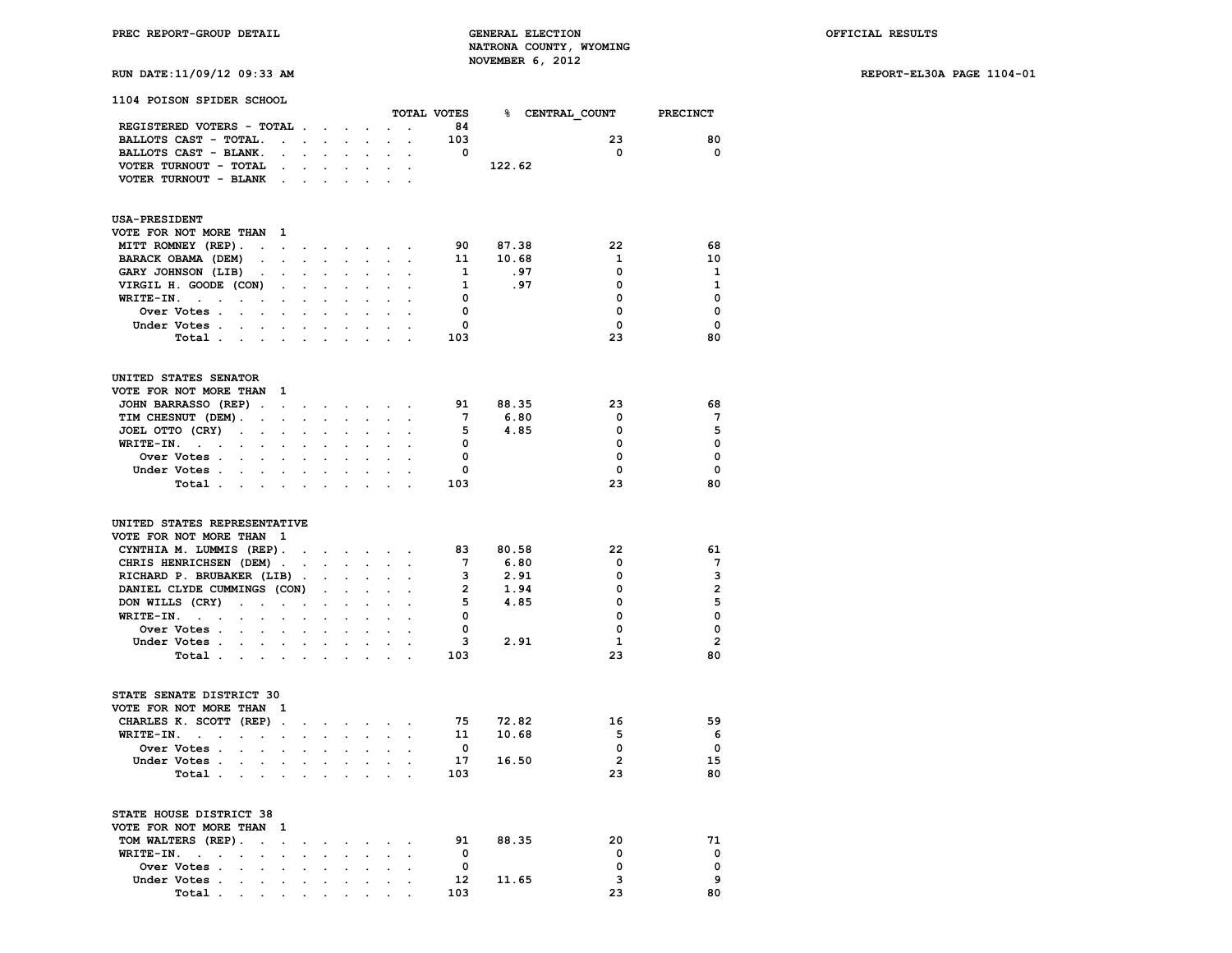### **RUN DATE:11/09/12 09:33 AM REPORT-EL30A PAGE 1104-01**

| 1104 POISON SPIDER SCHOOL                                                                                                                          |                                                                                                 |                         |                            |                                                               |                         |                                      |                         |                         |
|----------------------------------------------------------------------------------------------------------------------------------------------------|-------------------------------------------------------------------------------------------------|-------------------------|----------------------------|---------------------------------------------------------------|-------------------------|--------------------------------------|-------------------------|-------------------------|
|                                                                                                                                                    |                                                                                                 |                         |                            |                                                               |                         | TOTAL VOTES 8 CENTRAL COUNT PRECINCT |                         |                         |
| REGISTERED VOTERS - TOTAL                                                                                                                          |                                                                                                 |                         | $\mathcal{L}^{\text{max}}$ | $\sim$                                                        | 84                      |                                      |                         |                         |
| BALLOTS CAST - TOTAL.<br>the contract of the contract of                                                                                           |                                                                                                 | $\ddot{\phantom{0}}$    |                            | $\mathbf{r} = \mathbf{r} \cdot \mathbf{r}$ .                  | 103                     |                                      | 23                      | 80                      |
| BALLOTS CAST - BLANK.<br>$\mathcal{L}^{\text{max}}$<br>$\ddot{\phantom{0}}$                                                                        |                                                                                                 |                         |                            |                                                               | $\overline{\mathbf{0}}$ |                                      | $\overline{\mathbf{0}}$ | $\overline{\mathbf{0}}$ |
| VOTER TURNOUT - TOTAL<br><b>Contract Contract</b>                                                                                                  | $\mathbf{r} = \mathbf{r} \times \mathbf{r}$ , where $\mathbf{r} = \mathbf{r} \times \mathbf{r}$ |                         |                            | $\bullet$ .<br>$\ddot{\phantom{0}}$                           |                         | 122.62                               |                         |                         |
| VOTER TURNOUT - BLANK .<br>$\mathcal{L}^{\text{max}}$<br>$\ddot{\phantom{a}}$                                                                      |                                                                                                 |                         |                            |                                                               |                         |                                      |                         |                         |
| <b>USA-PRESIDENT</b>                                                                                                                               |                                                                                                 |                         |                            |                                                               |                         |                                      |                         |                         |
| VOTE FOR NOT MORE THAN 1                                                                                                                           |                                                                                                 |                         |                            |                                                               |                         |                                      |                         |                         |
| MITT ROMNEY (REP).                                                                                                                                 |                                                                                                 |                         |                            |                                                               |                         | 90 87.38                             | 22                      | 68                      |
| BARACK OBAMA (DEM)<br>$\mathbf{r} = \mathbf{r} \cdot \mathbf{r}$<br>$\sim$ $\sim$                                                                  | $\mathcal{L}^{\text{max}}$                                                                      |                         |                            |                                                               |                         | 11 10.68                             | $\mathbf{1}$            | 10                      |
| GARY JOHNSON (LIB)<br>$\sim 10^{-10}$<br>$\sim 100$ km s $^{-1}$<br>$\ddot{\phantom{0}}$                                                           | $\ddot{\phantom{0}}$<br>$\ddot{\phantom{0}}$                                                    | $\ddot{\phantom{0}}$    |                            | $\ddot{\phantom{0}}$<br>$\cdot$ .                             | $\mathbf{1}$            | .97                                  | $\mathbf 0$             | 1                       |
| VIRGIL H. GOODE (CON)<br>$\sim$<br>$\ddot{\phantom{0}}$<br>$\blacksquare$                                                                          | $\ddot{\phantom{0}}$                                                                            | $\ddot{\phantom{0}}$    |                            |                                                               | $\mathbf{1}$            | .97                                  | 0                       | $\mathbf{1}$            |
| $WRITE-IN.$<br>$\ddot{\phantom{a}}$<br>$\sim$<br>$\ddot{\phantom{0}}$<br>$\ddot{\phantom{0}}$                                                      | $\ddot{\phantom{0}}$                                                                            | $\ddot{\phantom{a}}$    | $\ddot{\phantom{0}}$       |                                                               | $\overline{0}$          |                                      | 0                       | $\mathbf{0}$            |
| Over Votes .<br>$\bullet$                                                                                                                          |                                                                                                 |                         |                            |                                                               | $\overline{\mathbf{0}}$ |                                      | $\Omega$                | $\Omega$                |
| Under Votes<br>$\mathbf{a}$ , and $\mathbf{a}$ , and $\mathbf{a}$<br>$\ddot{\phantom{0}}$                                                          | $\ddot{\phantom{0}}$                                                                            | $\ddot{\phantom{0}}$    |                            |                                                               | $\mathbf 0$             |                                      | $\Omega$                | $\mathbf{0}$            |
| Total<br>$\mathcal{L}^{\text{max}}$<br>$\mathbf{L}^{\text{max}}$<br>$\ddot{\phantom{0}}$<br>$\mathbf{r}$                                           |                                                                                                 |                         |                            |                                                               | 103                     |                                      | 23                      | 80                      |
|                                                                                                                                                    |                                                                                                 |                         |                            |                                                               |                         |                                      |                         |                         |
| UNITED STATES SENATOR                                                                                                                              |                                                                                                 |                         |                            |                                                               |                         |                                      |                         |                         |
| VOTE FOR NOT MORE THAN 1                                                                                                                           |                                                                                                 |                         |                            |                                                               |                         |                                      |                         |                         |
| JOHN BARRASSO (REP)                                                                                                                                |                                                                                                 |                         |                            |                                                               | 91                      | 88.35                                | 23                      | 68                      |
| TIM CHESNUT (DEM). .<br>$\mathbf{r} = \mathbf{r} \times \mathbf{r}$ .                                                                              |                                                                                                 |                         |                            |                                                               | $7\overline{ }$         | 6.80                                 | $\Omega$                | $7^{\circ}$             |
| JOEL OTTO (CRY)<br>$\sim 100$ km s $^{-1}$<br>$\bullet$ .<br>$\mathbf{z} = \mathbf{z} + \mathbf{z}$ .                                              | $\ddot{\phantom{0}}$<br>$\ddot{\phantom{0}}$                                                    | $\ddot{\phantom{0}}$    |                            | $\bullet$ .<br>$\ddot{\phantom{0}}$                           | - 5                     | 4.85                                 | 0                       | 5                       |
| WRITE-IN.<br>$\ddot{\phantom{0}}$<br>$\blacksquare$<br>$\ddot{\phantom{0}}$<br>$\ddot{\phantom{0}}$                                                | $\ddot{\phantom{0}}$                                                                            | $\ddot{\phantom{0}}$    |                            |                                                               | $\overline{\mathbf{0}}$ |                                      | 0                       | $\Omega$                |
| Over Votes<br>$\ddot{\phantom{0}}$<br>$\ddot{\phantom{a}}$<br>$\cdot$<br>$\cdot$                                                                   |                                                                                                 | $\ddot{\phantom{a}}$    |                            |                                                               | 0                       |                                      | $\Omega$                | $\Omega$                |
| Under Votes                                                                                                                                        |                                                                                                 |                         |                            |                                                               | $\mathbf{0}$            |                                      | $^{\circ}$              | $\Omega$                |
| Total<br>$\sim$<br>$\ddot{\phantom{a}}$<br>$\cdot$                                                                                                 | $\ddot{\phantom{a}}$                                                                            | $\ddot{\phantom{0}}$    | $\cdot$                    |                                                               | 103                     |                                      | 23                      | 80                      |
| UNITED STATES REPRESENTATIVE                                                                                                                       |                                                                                                 |                         |                            |                                                               |                         |                                      |                         |                         |
| VOTE FOR NOT MORE THAN 1                                                                                                                           |                                                                                                 |                         |                            |                                                               |                         |                                      |                         |                         |
| CYNTHIA M. LUMMIS (REP).<br>the contract of the contract of the                                                                                    |                                                                                                 |                         |                            | $\ddot{\phantom{0}}$                                          | 83                      | 80.58                                | 22                      | 61                      |
| CHRIS HENRICHSEN (DEM).<br>$\mathbf{r} = \mathbf{r} \times \mathbf{r}$ , where $\mathbf{r} = \mathbf{r} \times \mathbf{r}$                         |                                                                                                 |                         |                            | $\mathcal{L}^{\text{max}}$ , where $\mathcal{L}^{\text{max}}$ | $7^{\circ}$             | 6.80                                 | $\mathbf{0}$            | $7\phantom{.0}$         |
| RICHARD P. BRUBAKER (LIB).                                                                                                                         |                                                                                                 |                         |                            |                                                               | $\overline{\mathbf{3}}$ | 2.91                                 | 0                       | $\mathbf{3}$            |
| DANIEL CLYDE CUMMINGS (CON)<br>$\sim 10^{-11}$                                                                                                     | $\sim$                                                                                          | $\sim$                  |                            | $\ddotsc$<br>$\ddot{\phantom{0}}$                             | $\overline{2}$          | 1.94                                 | 0                       | $\overline{2}$          |
| DON WILLS (CRY)<br>and the contract of the con-<br>$\bullet$                                                                                       | $\ddot{\phantom{0}}$                                                                            | $\ddot{\phantom{0}}$    |                            |                                                               | $5 -$                   | 4.85                                 | 0                       | 5                       |
| $WRITE-IN.$<br>$\ddot{\phantom{0}}$<br><b>Contract Contract</b><br>$\sim$                                                                          | $\ddot{\phantom{0}}$                                                                            | $\ddot{\phantom{0}}$    |                            |                                                               | $\Omega$                |                                      | $\Omega$                | $\mathbf 0$             |
| Over Votes                                                                                                                                         |                                                                                                 |                         |                            |                                                               | $\overline{\mathbf{0}}$ |                                      | 0                       | $\mathbf{0}$            |
| Under Votes<br><b>All Contracts</b>                                                                                                                | $\sim$<br>$\ddot{\phantom{0}}$                                                                  | $\ddot{\phantom{0}}$    |                            |                                                               |                         | $3 \qquad 2.91$                      | $\mathbf{1}$            | $\overline{2}$          |
| Total<br>$\mathcal{L}^{\text{max}}$<br>$\sim$<br>$\sim$<br>$\blacksquare$                                                                          |                                                                                                 |                         |                            |                                                               | 103                     |                                      | 23                      | 80                      |
|                                                                                                                                                    |                                                                                                 |                         |                            |                                                               |                         |                                      |                         |                         |
| STATE SENATE DISTRICT 30                                                                                                                           |                                                                                                 |                         |                            |                                                               |                         |                                      |                         |                         |
| VOTE FOR NOT MORE THAN 1                                                                                                                           |                                                                                                 |                         |                            |                                                               |                         |                                      |                         |                         |
| CHARLES K. SCOTT (REP).<br>and a strong control of the state of                                                                                    |                                                                                                 |                         |                            |                                                               | 75                      | 72.82                                | 16                      | 59                      |
| WRITE-IN.<br>$\sim$<br>$\ddot{\phantom{0}}$                                                                                                        |                                                                                                 |                         |                            |                                                               | 11                      | 10.68                                | - 5                     | - 6                     |
| Over Votes<br>$\mathcal{L}^{\text{max}}$<br>$\sim$<br>$\bullet$ .                                                                                  | $\ddot{\phantom{0}}$<br>$\ddot{\phantom{0}}$                                                    | $\ddot{\phantom{0}}$    |                            |                                                               | $\overline{0}$          |                                      | $\Omega$                | $\mathbf{o}$            |
| Under Votes.<br>$\mathbf{r} = \mathbf{r} \cdot \mathbf{r}$<br>$\mathcal{L}^{\text{max}}$                                                           | $\mathcal{L}^{\text{max}}$<br>$\ddot{\phantom{0}}$                                              | $\ddot{\phantom{0}}$    |                            |                                                               |                         | 17 16.50                             | $\overline{\mathbf{2}}$ | 15                      |
| Total .<br><b>All Contracts</b><br>$\sim$ $\sim$<br>$\sim$                                                                                         | $\ddot{\phantom{0}}$                                                                            | $\ddot{\phantom{a}}$    |                            | $\sim$<br>$\ddot{\phantom{0}}$                                | 103                     |                                      | 23                      | 80                      |
| STATE HOUSE DISTRICT 38                                                                                                                            |                                                                                                 |                         |                            |                                                               |                         |                                      |                         |                         |
| VOTE FOR NOT MORE THAN 1                                                                                                                           |                                                                                                 |                         |                            |                                                               |                         |                                      |                         |                         |
| TOM WALTERS (REP).<br>$\sim 10^{11}$ m $^{-1}$ .                                                                                                   |                                                                                                 | $\sim 100$ km s $^{-1}$ |                            |                                                               | 91                      | 88.35                                | 20                      | 71                      |
| $WRITE-IN.$<br>$\sim$<br>$\ddot{\phantom{0}}$                                                                                                      | $\ddot{\phantom{0}}$                                                                            | $\ddot{\phantom{0}}$    |                            | $\ddot{\phantom{0}}$                                          | 0                       |                                      | 0                       | $\mathbf{o}$            |
| Over Votes .<br>$\sim 100$ km s $^{-1}$<br>$\mathcal{L}^{\text{max}}$<br>$\ddot{\phantom{a}}$<br>$\mathbf{L}^{\text{max}}$<br>$\ddot{\phantom{0}}$ | $\ddot{\phantom{0}}$                                                                            | $\ddot{\phantom{0}}$    | $\ddot{\phantom{0}}$       |                                                               | $\overline{\mathbf{0}}$ |                                      | $\Omega$                | $\mathbf 0$             |
| Under Votes                                                                                                                                        |                                                                                                 |                         |                            |                                                               | 12                      | 11.65                                | $\overline{\mathbf{3}}$ | 9                       |

 **Under Votes . . . . . . . . . . 12 11.65 3 9**

 **Total** . . . . . . . . . .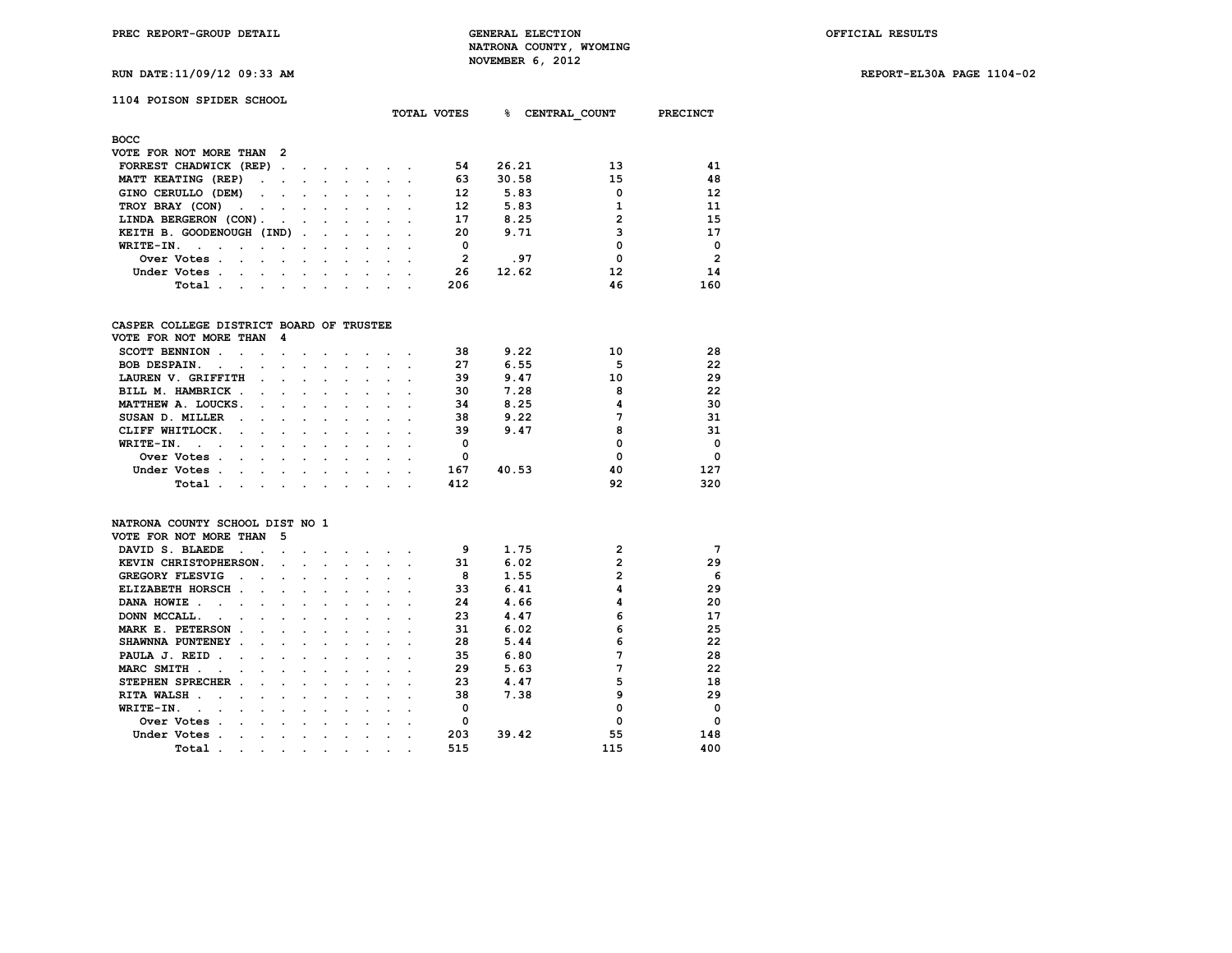**RUN DATE:11/09/12 09:33 AM REPORT-EL30A PAGE 1104-02**

# **1104 POISON SPIDER SCHOOL**

| <b>BOCC</b>                                                                                                                                                                             |                |
|-----------------------------------------------------------------------------------------------------------------------------------------------------------------------------------------|----------------|
| VOTE FOR NOT MORE THAN 2                                                                                                                                                                |                |
| 13<br>54<br>26.21<br>FORREST CHADWICK (REP).<br>$\sim$<br>$\sim$ $\sim$ $\sim$ $\sim$ $\sim$                                                                                            | 41             |
| 15<br>63<br>30.58<br>MATT KEATING (REP)<br>$\sim$<br><b>Contract Contract Contract</b>                                                                                                  | 48             |
| 12<br>5.83<br>0<br>GINO CERULLO (DEM)<br>the contract of the contract of the contract of<br>$\sim 100$                                                                                  | 12             |
| 5.83<br>12<br>TROY BRAY (CON)<br>the company of the company of<br>$\bullet$<br>$\sim$<br>$\sim$                                                                                         | 11             |
| 2<br>17<br>8.25<br>LINDA BERGERON (CON).<br><b>Contract Contract Street</b><br>the contract of the contract of the contract of the contract of the contract of                          | 15             |
| 3<br>9.71<br>20<br>KEITH B. GOODENOUGH (IND)<br>$\sim$                                                                                                                                  | 17             |
| 0<br>0<br>WRITE-IN.<br>$\sim$ $\sim$ $\sim$                                                                                                                                             | $\Omega$       |
| .97<br>0<br>2<br>Over Votes.<br>the contract of the contract of the<br>$\sim$ $\sim$ $\sim$<br>$\sim$                                                                                   | $\overline{2}$ |
| 12<br>12.62<br>26<br>Under Votes.<br>and the state of the state of the state of the state of the state of the state of the state of the state of the<br>$\sim$ $\sim$ $\sim$<br>$\cdot$ | 14             |
| 206<br>46<br>Total.<br>the contract of the contract of the contract of the contract of the contract of the contract of the contract of<br>and the contract of the contract of<br>$\sim$ | 160            |

## **CASPER COLLEGE DISTRICT BOARD OF TRUSTEE**

| VOTE FOR NOT MORE THAN                               | - 4                  |         |        |  |  |     |       |    |          |
|------------------------------------------------------|----------------------|---------|--------|--|--|-----|-------|----|----------|
| <b>SCOTT BENNION</b>                                 |                      |         |        |  |  | 38  | 9.22  | 10 | 28       |
| <b>BOB DESPAIN.</b><br>$\sim$<br>$\cdot$             | $\cdot$              |         |        |  |  | 27  | 6.55  |    | 22       |
| LAUREN V. GRIFFITH                                   | $\ddot{\phantom{a}}$ |         |        |  |  | 39  | 9.47  | 10 | 29       |
| BILL M. HAMBRICK                                     |                      | $\sim$  |        |  |  | 30  | 7.28  | 8  | 22       |
| MATTHEW A. LOUCKS.<br>$\sim$                         | $\sim$               | $\sim$  | $\sim$ |  |  | 34  | 8.25  |    | 30       |
| SUSAN D. MILLER<br>$\sim$                            | $\sim$               | $\sim$  | $\sim$ |  |  | 38  | 9.22  |    | 31       |
| CLIFF WHITLOCK.<br>$\sim 100$ km s $^{-1}$<br>$\sim$ | $\cdot$              | $\sim$  |        |  |  | 39  | 9.47  | 8  | 31       |
| WRITE-IN.<br>$\sim$ $\sim$ $\sim$<br>$\cdot$         |                      |         |        |  |  | 0   |       |    | $\Omega$ |
| Over Votes.<br>$\cdot$                               |                      |         |        |  |  |     |       |    | $\Omega$ |
| Under Votes<br>$\sim$<br>$\cdot$                     | $\cdot$              | $\cdot$ |        |  |  | 167 | 40.53 | 40 | 127      |
| Total<br>$\cdot$                                     |                      |         |        |  |  | 412 |       | 92 | 320      |

### **NATRONA COUNTY SCHOOL DIST NO 1**

| VOTE FOR NOT MORE THAN                   |        | 5 |  |  |  |     |       |     |             |
|------------------------------------------|--------|---|--|--|--|-----|-------|-----|-------------|
| DAVID S. BLAEDE                          |        |   |  |  |  | 9   | 1.75  | 2   | 7           |
| KEVIN CHRISTOPHERSON.                    |        |   |  |  |  | 31  | 6.02  | 2   | 29          |
| GREGORY FLESVIG                          |        |   |  |  |  | 8   | 1.55  | 2   | 6           |
| ELIZABETH HORSCH<br>$\ddot{\phantom{a}}$ | $\sim$ |   |  |  |  | 33  | 6.41  | 4   | 29          |
| DANA HOWIE                               |        |   |  |  |  | 24  | 4.66  |     | 20          |
| DONN MCCALL.                             |        |   |  |  |  | 23  | 4.47  | 6   | 17          |
| MARK E. PETERSON                         |        |   |  |  |  | 31  | 6.02  | 6   | 25          |
| SHAWNNA PUNTENEY                         |        |   |  |  |  | 28  | 5.44  | 6   | 22          |
| PAULA J. REID                            |        |   |  |  |  | 35  | 6.80  |     | 28          |
| MARC SMITH                               |        |   |  |  |  | 29  | 5.63  |     | 22          |
| STEPHEN SPRECHER                         |        |   |  |  |  | 23  | 4.47  | 5   | 18          |
| <b>RITA WALSH</b>                        |        |   |  |  |  | 38  | 7.38  | 9   | 29          |
| WRITE-IN.                                |        |   |  |  |  |     |       |     | $\mathbf 0$ |
| Over Votes                               |        |   |  |  |  | O   |       | O   | $\Omega$    |
| Under Votes                              |        |   |  |  |  | 203 | 39.42 | 55  | 148         |
| Total                                    |        |   |  |  |  | 515 |       | 115 | 400         |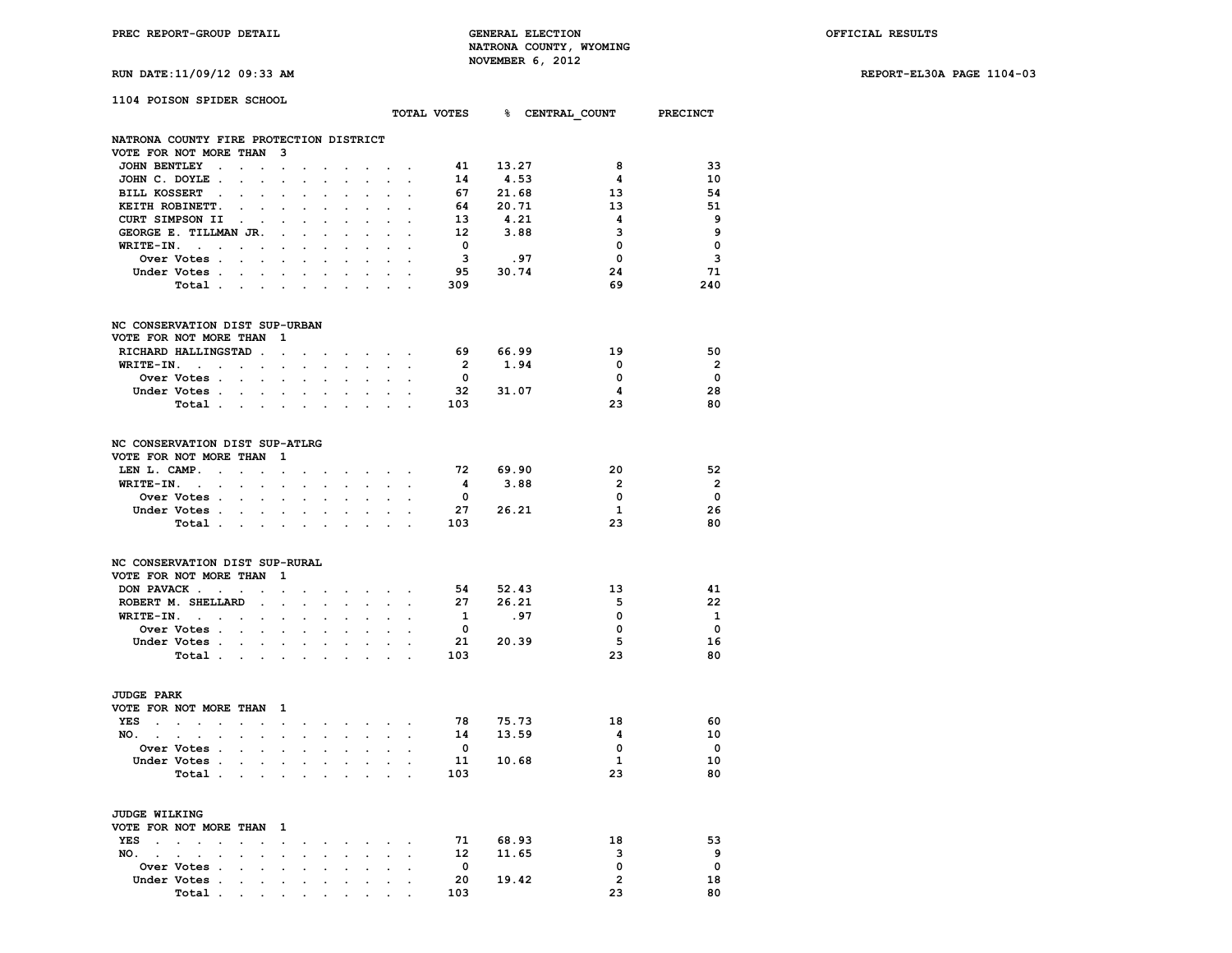**RUN DATE:11/09/12 09:33 AM REPORT-EL30A PAGE 1104-03**

| 1104 POISON SPIDER SCHOOL                                                                                                |                                                           |                                          |                                                           |                            |                                                                                                                                                                                                                                                                                                                                                                                                                                                             |                                     |                                          |                         |                |                         |                                      |
|--------------------------------------------------------------------------------------------------------------------------|-----------------------------------------------------------|------------------------------------------|-----------------------------------------------------------|----------------------------|-------------------------------------------------------------------------------------------------------------------------------------------------------------------------------------------------------------------------------------------------------------------------------------------------------------------------------------------------------------------------------------------------------------------------------------------------------------|-------------------------------------|------------------------------------------|-------------------------|----------------|-------------------------|--------------------------------------|
|                                                                                                                          |                                                           |                                          |                                                           |                            |                                                                                                                                                                                                                                                                                                                                                                                                                                                             |                                     |                                          |                         |                |                         | TOTAL VOTES 8 CENTRAL COUNT PRECINCT |
| NATRONA COUNTY FIRE PROTECTION DISTRICT                                                                                  |                                                           |                                          |                                                           |                            |                                                                                                                                                                                                                                                                                                                                                                                                                                                             |                                     |                                          |                         |                |                         |                                      |
| VOTE FOR NOT MORE THAN 3                                                                                                 |                                                           |                                          |                                                           |                            |                                                                                                                                                                                                                                                                                                                                                                                                                                                             |                                     |                                          |                         |                |                         |                                      |
| JOHN BENTLEY .                                                                                                           | $\mathbf{r}^{\prime}=\mathbf{r}^{\prime}$                 | the contract of the contract of the      |                                                           |                            |                                                                                                                                                                                                                                                                                                                                                                                                                                                             |                                     |                                          | 41                      | 13.27          | 8                       | 33                                   |
| JOHN C. DOYLE.                                                                                                           | $\mathbf{L}^{\text{max}}$ , and $\mathbf{L}^{\text{max}}$ | $\sim$<br>$\ddot{\phantom{0}}$           | $\sim$                                                    | $\sim$                     | $\sim$                                                                                                                                                                                                                                                                                                                                                                                                                                                      |                                     |                                          | 14                      | 4.53           | $\overline{\mathbf{4}}$ | 10                                   |
| BILL KOSSERT .                                                                                                           | $\sim$                                                    |                                          |                                                           | $\sim$                     |                                                                                                                                                                                                                                                                                                                                                                                                                                                             |                                     |                                          | 67                      | 21.68          | 13                      | 54                                   |
| KEITH ROBINETT.                                                                                                          | $\mathbf{r} = \mathbf{r} \times \mathbf{r}$               |                                          |                                                           |                            |                                                                                                                                                                                                                                                                                                                                                                                                                                                             |                                     |                                          | 64                      | 20.71          | 13                      | -51                                  |
| CURT SIMPSON II<br><b>Contract</b>                                                                                       |                                                           |                                          | $\mathbf{r} = \mathbf{r} + \mathbf{r}$ .                  | $\mathcal{L}_{\text{max}}$ | $\sim$                                                                                                                                                                                                                                                                                                                                                                                                                                                      |                                     | $\sim$ $\sim$                            | 13                      | 4.21           | 4                       | 9                                    |
| GEORGE E. TILLMAN JR. .                                                                                                  |                                                           | $\mathbf{r}$                             |                                                           |                            |                                                                                                                                                                                                                                                                                                                                                                                                                                                             |                                     |                                          | 12                      | 3.88           | 3                       | - 9                                  |
| $WRITE-IN.$                                                                                                              | $\ddot{\phantom{a}}$                                      |                                          | $\ddot{\phantom{0}}$<br>$\sim$                            | $\sim$                     | $\ddot{\phantom{0}}$                                                                                                                                                                                                                                                                                                                                                                                                                                        | $\ddot{\phantom{0}}$                |                                          | $\overline{\mathbf{0}}$ |                | $\Omega$                | $\Omega$                             |
| Over Votes                                                                                                               |                                                           |                                          |                                                           |                            |                                                                                                                                                                                                                                                                                                                                                                                                                                                             |                                     |                                          | $\overline{\mathbf{3}}$ | .97            | $\mathbf 0$             | 3                                    |
| Under Votes                                                                                                              |                                                           |                                          |                                                           |                            |                                                                                                                                                                                                                                                                                                                                                                                                                                                             |                                     |                                          |                         | 95 30.74       | 24                      | 71                                   |
| Total                                                                                                                    |                                                           |                                          |                                                           | $\sim$                     | $\sim$                                                                                                                                                                                                                                                                                                                                                                                                                                                      |                                     |                                          | 309                     |                | 69                      | 240                                  |
| NC CONSERVATION DIST SUP-URBAN                                                                                           |                                                           |                                          |                                                           |                            |                                                                                                                                                                                                                                                                                                                                                                                                                                                             |                                     |                                          |                         |                |                         |                                      |
| VOTE FOR NOT MORE THAN 1                                                                                                 |                                                           |                                          |                                                           |                            |                                                                                                                                                                                                                                                                                                                                                                                                                                                             |                                     |                                          |                         |                |                         |                                      |
| RICHARD HALLINGSTAD                                                                                                      |                                                           |                                          |                                                           |                            |                                                                                                                                                                                                                                                                                                                                                                                                                                                             |                                     |                                          | 69 66.99                |                | 19                      | 50                                   |
| $WRITE-IN.$                                                                                                              |                                                           | $\sim$                                   | <b>Service Control</b>                                    |                            |                                                                                                                                                                                                                                                                                                                                                                                                                                                             |                                     | $\sim$                                   | $\overline{\mathbf{2}}$ | 1.94           | $\overline{\mathbf{0}}$ | $\overline{\phantom{a}}$             |
| Over Votes                                                                                                               |                                                           |                                          | <b>Contract Contract</b>                                  | $\sim$                     | $\ddot{\phantom{0}}$                                                                                                                                                                                                                                                                                                                                                                                                                                        |                                     | $\sim$ $\sim$                            | $\mathbf{o}$            |                | 0                       | $\overline{\phantom{0}}$             |
| Under Votes                                                                                                              |                                                           |                                          |                                                           |                            | and a state of the state of                                                                                                                                                                                                                                                                                                                                                                                                                                 | $\sim$                              | $\sim$                                   |                         | 32 31.07       | $\overline{\mathbf{4}}$ | 28                                   |
| Total                                                                                                                    |                                                           |                                          |                                                           |                            |                                                                                                                                                                                                                                                                                                                                                                                                                                                             |                                     |                                          | 103                     |                | 23                      | 80                                   |
| NC CONSERVATION DIST SUP-ATLRG                                                                                           |                                                           |                                          |                                                           |                            |                                                                                                                                                                                                                                                                                                                                                                                                                                                             |                                     |                                          |                         |                |                         |                                      |
| VOTE FOR NOT MORE THAN 1                                                                                                 |                                                           |                                          |                                                           |                            |                                                                                                                                                                                                                                                                                                                                                                                                                                                             |                                     |                                          |                         |                |                         |                                      |
| LEN L. CAMP.                                                                                                             | $\ddot{\phantom{0}}$                                      |                                          |                                                           |                            | $\mathcal{L}(\mathcal{L}(\mathcal{L}(\mathcal{L}(\mathcal{L}(\mathcal{L}(\mathcal{L}(\mathcal{L}(\mathcal{L}(\mathcal{L}(\mathcal{L}(\mathcal{L}(\mathcal{L}(\mathcal{L}(\mathcal{L}(\mathcal{L}(\mathcal{L}(\mathcal{L}(\mathcal{L}(\mathcal{L}(\mathcal{L}(\mathcal{L}(\mathcal{L}(\mathcal{L}(\mathcal{L}(\mathcal{L}(\mathcal{L}(\mathcal{L}(\mathcal{L}(\mathcal{L}(\mathcal{L}(\mathcal{L}(\mathcal{L}(\mathcal{L}(\mathcal{L}(\mathcal{L}(\mathcal{$ |                                     |                                          |                         | 72 69.90       | 20                      | 52                                   |
| $WRITE-IN.$                                                                                                              |                                                           | $\sim$                                   |                                                           |                            | $\bullet$ . The contract of the contract of the contract of the contract of the contract of the contract of the contract of the contract of the contract of the contract of the contract of the contract of the contract of the co                                                                                                                                                                                                                          |                                     |                                          | $\overline{\mathbf{4}}$ | 3.88           | $\overline{2}$          | $\overline{\mathbf{2}}$              |
| <b>Over Votes</b>                                                                                                        |                                                           | $\sim$                                   | $\mathcal{L}^{\text{max}}$ and $\mathcal{L}^{\text{max}}$ | $\sim$                     | $\sim$                                                                                                                                                                                                                                                                                                                                                                                                                                                      |                                     | $\mathcal{L}^{\text{max}}$               | $\overline{\mathbf{0}}$ |                | $\mathbf 0$             | $\overline{\phantom{0}}$             |
| Under Votes                                                                                                              |                                                           |                                          |                                                           |                            |                                                                                                                                                                                                                                                                                                                                                                                                                                                             |                                     | $\mathbf{r} = \mathbf{r} + \mathbf{r}$ . |                         | 27 26.21       | 1                       | 26                                   |
| Total                                                                                                                    |                                                           |                                          |                                                           |                            |                                                                                                                                                                                                                                                                                                                                                                                                                                                             |                                     |                                          | 103                     |                | 23                      | 80                                   |
| NC CONSERVATION DIST SUP-RURAL                                                                                           |                                                           |                                          |                                                           |                            |                                                                                                                                                                                                                                                                                                                                                                                                                                                             |                                     |                                          |                         |                |                         |                                      |
| VOTE FOR NOT MORE THAN 1                                                                                                 |                                                           |                                          |                                                           |                            |                                                                                                                                                                                                                                                                                                                                                                                                                                                             |                                     |                                          |                         |                |                         |                                      |
| DON PAVACK                                                                                                               |                                                           | the contract of the contract of the con- |                                                           |                            |                                                                                                                                                                                                                                                                                                                                                                                                                                                             |                                     |                                          | 54                      | 52.43          | 13                      | 41                                   |
| ROBERT M. SHELLARD                                                                                                       |                                                           |                                          |                                                           |                            |                                                                                                                                                                                                                                                                                                                                                                                                                                                             |                                     | $\sim$ $\sim$                            | 27                      | 26.21          | -5                      | - 22                                 |
| $WRITE-TN.$                                                                                                              | $\sim$                                                    | $\ddot{\phantom{0}}$                     | $\sim$                                                    | $\sim$                     |                                                                                                                                                                                                                                                                                                                                                                                                                                                             | $\mathbf{r} = \mathbf{r}$           | $\sim$                                   | $\mathbf{1}$            | .97            | $\mathbf{0}$            | $\mathbf{1}$                         |
| Over Votes                                                                                                               |                                                           |                                          |                                                           |                            |                                                                                                                                                                                                                                                                                                                                                                                                                                                             |                                     | $\sim$ $\sim$                            | $\overline{\mathbf{0}}$ |                | $\mathbf{o}$            | $\overline{\phantom{0}}$             |
| Under Votes                                                                                                              |                                                           | $\sim$                                   | $\sim$                                                    | $\sim$ $\sim$              | $\ddot{\phantom{0}}$                                                                                                                                                                                                                                                                                                                                                                                                                                        |                                     | $\sim$ $\sim$                            |                         | 21 20.39       | 5                       | 16                                   |
| Total $\cdots$ $\cdots$ $\cdots$                                                                                         |                                                           |                                          |                                                           |                            | and the company                                                                                                                                                                                                                                                                                                                                                                                                                                             |                                     |                                          | 103                     |                | 23                      | 80                                   |
| <b>JUDGE PARK</b>                                                                                                        |                                                           |                                          |                                                           |                            |                                                                                                                                                                                                                                                                                                                                                                                                                                                             |                                     |                                          |                         |                |                         |                                      |
| VOTE FOR NOT MORE THAN 1                                                                                                 |                                                           |                                          |                                                           |                            |                                                                                                                                                                                                                                                                                                                                                                                                                                                             |                                     |                                          |                         |                |                         |                                      |
| YES                                                                                                                      |                                                           |                                          |                                                           |                            | the contract of the contract of                                                                                                                                                                                                                                                                                                                                                                                                                             |                                     |                                          | 78                      |                | 18                      | -60                                  |
| NO. .<br>and a series of the contract of the contract of the contract of the contract of the contract of the contract of |                                                           |                                          |                                                           |                            |                                                                                                                                                                                                                                                                                                                                                                                                                                                             |                                     |                                          | 14                      | 75.73<br>13.59 | $\overline{\mathbf{4}}$ | 10                                   |
| Over Votes                                                                                                               | $\ddot{\phantom{a}}$                                      |                                          |                                                           |                            |                                                                                                                                                                                                                                                                                                                                                                                                                                                             |                                     |                                          | $\overline{\mathbf{0}}$ |                | $\mathbf 0$             | $\overline{\mathbf{0}}$              |
| Under Votes                                                                                                              |                                                           |                                          |                                                           |                            |                                                                                                                                                                                                                                                                                                                                                                                                                                                             |                                     |                                          |                         | 11 10.68       | $\mathbf{1}$            | 10                                   |
| Total                                                                                                                    |                                                           |                                          | $\mathbf{r}$ and $\mathbf{r}$ and $\mathbf{r}$            |                            | $\sim$ $\sim$                                                                                                                                                                                                                                                                                                                                                                                                                                               |                                     |                                          | 103                     |                | 23                      | 80                                   |
| <b>JUDGE WILKING</b>                                                                                                     |                                                           |                                          |                                                           |                            |                                                                                                                                                                                                                                                                                                                                                                                                                                                             |                                     |                                          |                         |                |                         |                                      |
| VOTE FOR NOT MORE THAN 1                                                                                                 |                                                           |                                          |                                                           |                            |                                                                                                                                                                                                                                                                                                                                                                                                                                                             |                                     |                                          |                         |                |                         |                                      |
| YES                                                                                                                      | $\sim$ $\sim$                                             |                                          |                                                           |                            | the contract of the contract of the                                                                                                                                                                                                                                                                                                                                                                                                                         |                                     |                                          |                         | 71 68.93       | 18                      | 53                                   |
| NO. .                                                                                                                    | $\sim$                                                    |                                          |                                                           |                            |                                                                                                                                                                                                                                                                                                                                                                                                                                                             |                                     |                                          | 12                      | 11.65          | $\mathbf{3}$            | و _                                  |
| Over Votes                                                                                                               |                                                           |                                          |                                                           |                            |                                                                                                                                                                                                                                                                                                                                                                                                                                                             |                                     |                                          | $\overline{\mathbf{0}}$ |                | $\mathbf 0$             | $\mathbf 0$                          |
| Under Votes .                                                                                                            | the contract of the contract of the                       |                                          |                                                           |                            |                                                                                                                                                                                                                                                                                                                                                                                                                                                             |                                     |                                          | 20                      | 19.42          | $\overline{2}$          | 18                                   |
|                                                                                                                          |                                                           |                                          |                                                           | <b>Contract Contract</b>   |                                                                                                                                                                                                                                                                                                                                                                                                                                                             | $\bullet$ . In the set of $\bullet$ |                                          |                         |                |                         |                                      |

 **Total . . . . . . . . . . 103 23 80**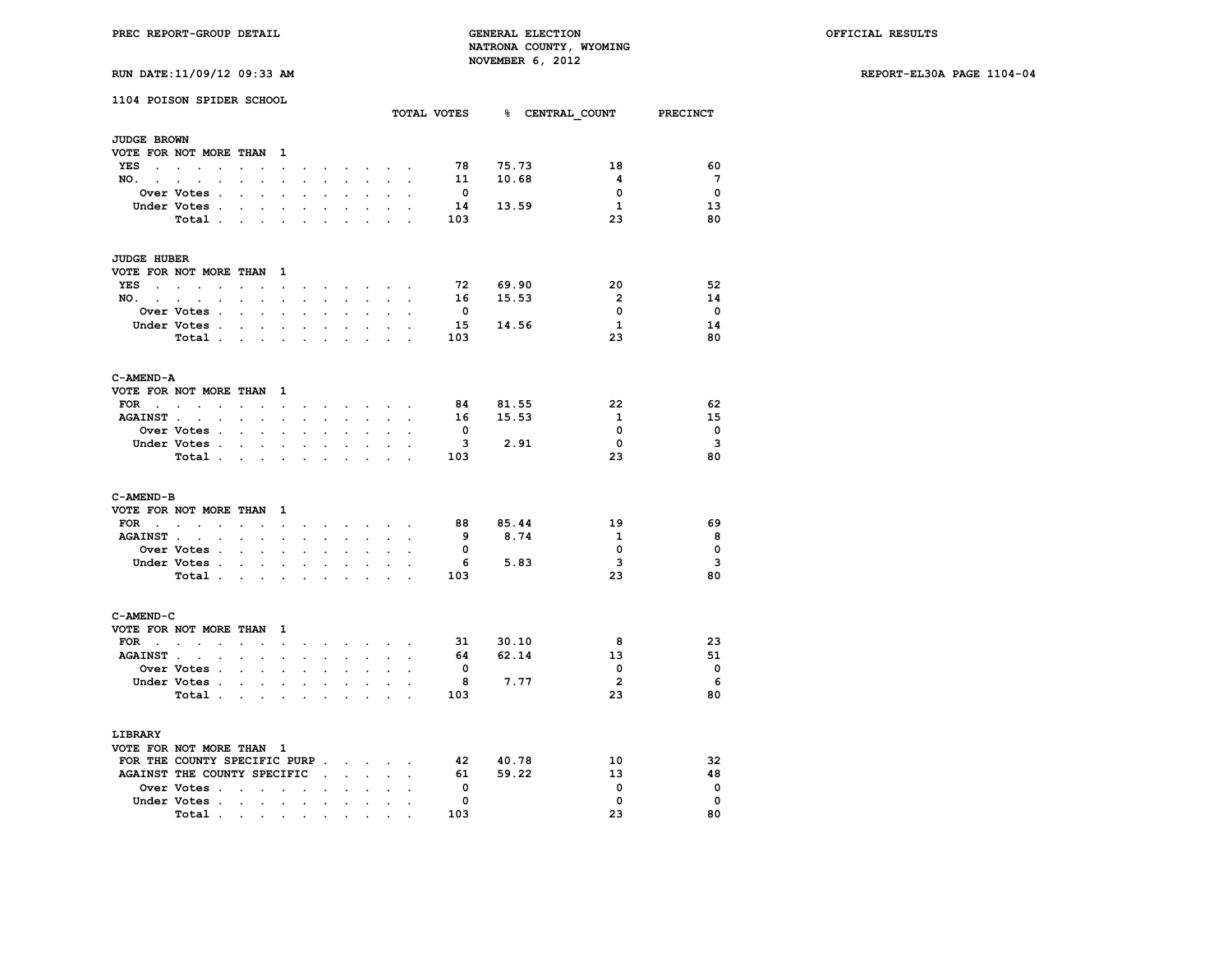**RUN DATE:11/09/12 09:33 AM REPORT-EL30A PAGE 1104-04**

|  | <b>RUN DATE:11/09/12 09:33 AM</b> |  |  |  |
|--|-----------------------------------|--|--|--|
|--|-----------------------------------|--|--|--|

|                              | 1104 POISON SPIDER SCHOOL   |                                                           |                      |                      |                                   |                                         |                                                                    |                                         |                                                                                |                      |                          |          | TOTAL VOTES 8 CENTRAL COUNT PRECINCT |                          |
|------------------------------|-----------------------------|-----------------------------------------------------------|----------------------|----------------------|-----------------------------------|-----------------------------------------|--------------------------------------------------------------------|-----------------------------------------|--------------------------------------------------------------------------------|----------------------|--------------------------|----------|--------------------------------------|--------------------------|
| <b>JUDGE BROWN</b>           |                             |                                                           |                      |                      |                                   |                                         |                                                                    |                                         |                                                                                |                      |                          |          |                                      |                          |
|                              | VOTE FOR NOT MORE THAN 1    |                                                           |                      |                      |                                   |                                         |                                                                    |                                         |                                                                                |                      |                          |          |                                      |                          |
|                              | YES                         |                                                           |                      |                      |                                   |                                         |                                                                    |                                         |                                                                                |                      | 78                       | 75.73    | 18                                   | 60                       |
| NO. .                        |                             |                                                           | $\mathbf{L}$         | $\mathbf{r}$         | $\bullet$                         | ÷.                                      |                                                                    |                                         | the contract of the contract of the contract of<br>$\sim$ $\sim$ $\sim$ $\sim$ |                      | 11                       | 10.68    | $\overline{\mathbf{4}}$              | $\overline{7}$           |
|                              | $\sim$                      |                                                           |                      |                      |                                   |                                         |                                                                    |                                         |                                                                                |                      | $\overline{\mathbf{0}}$  |          | $\mathbf 0$                          | $\overline{\phantom{0}}$ |
|                              | <b>Over Votes .</b>         | $\sim$ $\sim$ $\sim$                                      |                      |                      |                                   |                                         |                                                                    | $\sim$                                  | $\mathbf{r}$                                                                   |                      | 14                       | 13.59    | $\mathbf{1}$                         | 13                       |
|                              | Under Votes.<br>Total       | <b>Contract Contract</b>                                  |                      |                      | $\bullet$<br>$\ddot{\phantom{a}}$ | $\ddot{\phantom{a}}$<br><b>Contract</b> | $\ddot{\phantom{a}}$                                               | $\ddot{\phantom{0}}$<br><b>Contract</b> | $\sim$<br>$\mathcal{L}^{\text{max}}$                                           |                      | 103                      |          | 23                                   | 80                       |
|                              |                             |                                                           |                      |                      |                                   |                                         |                                                                    |                                         |                                                                                |                      |                          |          |                                      |                          |
| <b>JUDGE HUBER</b>           |                             |                                                           |                      |                      |                                   |                                         |                                                                    |                                         |                                                                                |                      |                          |          |                                      |                          |
|                              | VOTE FOR NOT MORE THAN 1    |                                                           |                      |                      |                                   |                                         |                                                                    |                                         |                                                                                |                      |                          |          |                                      |                          |
|                              | YES                         |                                                           |                      |                      |                                   |                                         |                                                                    |                                         | and the company of the company of the                                          |                      | 72                       | 69.90    | 20                                   | 52                       |
|                              | NO.                         |                                                           |                      |                      |                                   |                                         |                                                                    |                                         | and a strategic control of the strategic                                       | $\cdot$              | 16                       | 15.53    | $\overline{2}$                       | 14                       |
|                              | Over Votes .                | $\mathcal{L}^{\text{max}}$ and $\mathcal{L}^{\text{max}}$ |                      | $\blacksquare$       | $\ddot{\phantom{a}}$              | $\ddot{\phantom{0}}$                    | $\ddot{\phantom{a}}$                                               | $\mathcal{L}^{\text{max}}$              | $\mathcal{L}^{\mathcal{L}}$                                                    |                      | $\overline{\mathbf{0}}$  |          | $\mathbf 0$                          | $\overline{\phantom{0}}$ |
|                              | Under Votes .               | $\mathbf{r}$ , $\mathbf{r}$ , $\mathbf{r}$                |                      |                      | $\sim$                            | $\sim$                                  |                                                                    |                                         | and a state of the state                                                       |                      | 15                       | 14.56    | $\mathbf{1}$                         | 14                       |
|                              | Total                       |                                                           |                      |                      |                                   | <b>Contract Contract Street</b>         |                                                                    |                                         | the company of the                                                             |                      | 103                      |          | 23                                   | 80                       |
| C-AMEND-A                    |                             |                                                           |                      |                      |                                   |                                         |                                                                    |                                         |                                                                                |                      |                          |          |                                      |                          |
|                              | VOTE FOR NOT MORE THAN 1    |                                                           |                      |                      |                                   |                                         |                                                                    |                                         |                                                                                |                      |                          |          |                                      |                          |
|                              |                             |                                                           |                      |                      |                                   |                                         |                                                                    |                                         |                                                                                |                      |                          | 81.55    | 22                                   | 62                       |
| $FOR$                        | $\sim$                      | the contract of the contract of the contract of the       |                      |                      |                                   |                                         |                                                                    |                                         |                                                                                | $\ddot{\phantom{a}}$ | 84                       |          |                                      |                          |
|                              | AGAINST                     |                                                           |                      | $\sim 10^{-11}$      | $\sim$                            |                                         |                                                                    |                                         | and the company of the company                                                 | $\ddot{\phantom{0}}$ |                          | 16 15.53 | $\mathbf{1}$                         | 15                       |
|                              | Over Votes .                | $\mathbf{r} = \mathbf{r}$                                 |                      | $\sim$               |                                   |                                         |                                                                    |                                         |                                                                                |                      | $\overline{\phantom{0}}$ |          | 0                                    | $\overline{\phantom{0}}$ |
|                              | Under Votes                 |                                                           |                      |                      |                                   |                                         | $\mathbf{r} = \mathbf{r} + \mathbf{r} + \mathbf{r} + \mathbf{r}$ . |                                         | $\bullet$ .                                                                    |                      | $\overline{\mathbf{3}}$  | 2.91     | $\mathbf 0$                          | 3                        |
|                              | Total                       |                                                           |                      |                      | $\sim$                            | $\sim$ $\sim$ $\sim$                    |                                                                    | $\ddot{\phantom{0}}$                    | $\ddot{\phantom{a}}$                                                           |                      | 103                      |          | 23                                   | 80                       |
| C-AMEND-B                    |                             |                                                           |                      |                      |                                   |                                         |                                                                    |                                         |                                                                                |                      |                          |          |                                      |                          |
|                              | VOTE FOR NOT MORE THAN      |                                                           |                      | $\mathbf{1}$         |                                   |                                         |                                                                    |                                         |                                                                                |                      |                          |          |                                      |                          |
| FOR                          |                             |                                                           |                      |                      |                                   |                                         |                                                                    |                                         |                                                                                |                      | 88                       | 85.44    | 19                                   | -69                      |
|                              | AGAINST                     |                                                           |                      |                      | $\sim$                            | $\ddot{\phantom{0}}$                    | $\ddot{\phantom{0}}$                                               | $\ddot{\phantom{0}}$                    | $\bullet$ .                                                                    | $\overline{a}$       | - 9                      | 8.74     | 1                                    | - 8                      |
|                              | Over Votes .                | <b>Contract Contract</b>                                  |                      | $\ddot{\phantom{0}}$ |                                   |                                         |                                                                    |                                         |                                                                                |                      | $\overline{\mathbf{0}}$  |          | 0                                    | $\overline{\phantom{0}}$ |
|                              | Under Votes                 |                                                           |                      | $\sim$               | $\bullet$                         | $\bullet$                               | $\ddot{\phantom{a}}$                                               | $\sim$                                  | $\ddot{\phantom{a}}$                                                           |                      |                          | 6 5.83   | 3                                    | 3                        |
|                              | Total                       |                                                           |                      |                      |                                   |                                         |                                                                    |                                         |                                                                                |                      | 103                      |          | 23                                   | 80                       |
|                              |                             |                                                           |                      |                      |                                   |                                         |                                                                    |                                         |                                                                                |                      |                          |          |                                      |                          |
| C-AMEND-C                    |                             |                                                           |                      |                      |                                   |                                         |                                                                    |                                         |                                                                                |                      |                          |          |                                      |                          |
| VOTE FOR NOT MORE THAN       |                             |                                                           |                      | $\mathbf{1}$         |                                   |                                         |                                                                    |                                         |                                                                                |                      |                          |          |                                      |                          |
|                              | FOR $\cdots$ $\cdots$       |                                                           |                      |                      |                                   |                                         |                                                                    |                                         |                                                                                |                      | 31                       | 30.10    | - 8                                  | 23                       |
| AGAINST                      | $\ddot{\phantom{a}}$        | $\ddot{\phantom{a}}$                                      | $\ddot{\phantom{0}}$ | $\sim$               |                                   |                                         | $\ddot{\phantom{0}}$                                               | $\ddot{\phantom{0}}$                    | $\mathbf{r}$                                                                   |                      | 64                       | 62.14    | 13                                   | 51                       |
|                              | Over Votes                  |                                                           |                      | $\sim 10^{-11}$      | $\bullet$                         | $\ddot{\phantom{0}}$                    | $\ddot{\phantom{0}}$                                               | $\bullet$ .                             | $\ddot{\phantom{0}}$                                                           | $\overline{a}$       | $\overline{\mathbf{0}}$  |          | $\mathbf{0}$                         | $\overline{\phantom{0}}$ |
|                              | Under Votes .               | and the company                                           |                      |                      |                                   |                                         |                                                                    |                                         | $\mathbf{r} = \mathbf{r}$                                                      |                      | 8                        | 7.77     | $\overline{2}$                       | 6                        |
|                              | Total                       |                                                           |                      |                      |                                   | <b>Contract Contract</b>                |                                                                    | $\sim$ $\sim$                           | $\sim$ $\sim$                                                                  |                      | 103                      |          | 23                                   | 80                       |
| LIBRARY                      |                             |                                                           |                      |                      |                                   |                                         |                                                                    |                                         |                                                                                |                      |                          |          |                                      |                          |
| VOTE FOR NOT MORE THAN 1     |                             |                                                           |                      |                      |                                   |                                         |                                                                    |                                         |                                                                                |                      |                          |          |                                      |                          |
| FOR THE COUNTY SPECIFIC PURP |                             |                                                           |                      |                      |                                   |                                         |                                                                    |                                         |                                                                                |                      | 42                       | 40.78    | 10                                   | 32                       |
|                              | AGAINST THE COUNTY SPECIFIC |                                                           |                      |                      |                                   |                                         |                                                                    |                                         | $\mathbf{r}$                                                                   |                      | 61                       | 59.22    | 13                                   | 48                       |
|                              | Over Votes                  |                                                           |                      |                      |                                   |                                         | $\mathbf{r} = \mathbf{r} \cdot \mathbf{r}$                         | $\ddot{\phantom{0}}$                    | $\blacksquare$                                                                 |                      | $\overline{\phantom{0}}$ |          | 0                                    | $\mathbf{o}$             |
|                              | Under Votes                 |                                                           |                      |                      |                                   |                                         |                                                                    |                                         |                                                                                |                      | $\mathbf 0$              |          | $\mathbf 0$                          | 0                        |
|                              | Total .                     |                                                           |                      | $\ddot{\phantom{0}}$ | $\ddot{\phantom{a}}$              | $\bullet$ .                             | $\ddot{\phantom{0}}$                                               | $\ddot{\phantom{0}}$                    | $\ddot{\phantom{0}}$                                                           |                      | 103                      |          | 23                                   | 80                       |
|                              |                             | the contract of the contract of the contract of           |                      |                      |                                   |                                         |                                                                    |                                         |                                                                                |                      |                          |          |                                      |                          |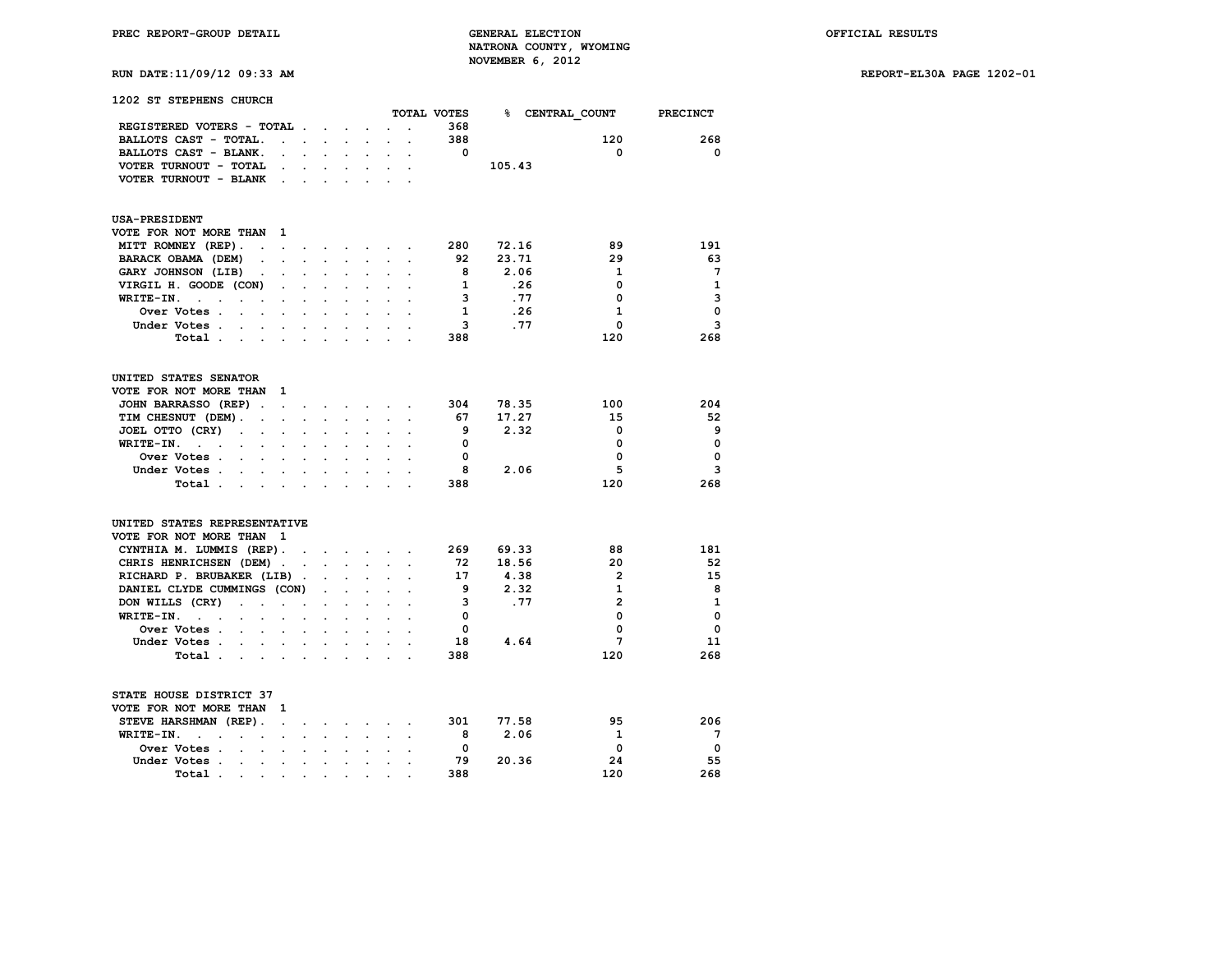# **RUN DATE:11/09/12 09:33 AM REPORT-EL30A PAGE 1202-01**

| <b>1202 ST STEPHENS CHURCH</b>                                                          |                      |                                   |                      |                      |                          |                      |             |        |                        |                 |
|-----------------------------------------------------------------------------------------|----------------------|-----------------------------------|----------------------|----------------------|--------------------------|----------------------|-------------|--------|------------------------|-----------------|
|                                                                                         |                      |                                   |                      |                      |                          |                      | TOTAL VOTES |        | <b>% CENTRAL COUNT</b> | <b>PRECINCT</b> |
| REGISTERED VOTERS - TOTAL                                                               |                      |                                   |                      |                      |                          |                      | 368         |        |                        |                 |
| BALLOTS CAST - TOTAL.<br>$\ddot{\phantom{0}}$                                           | $\sim$               |                                   |                      |                      |                          |                      | 388         |        | 120                    | 268             |
| BALLOTS CAST - BLANK.<br>$\overline{a}$                                                 | $\mathbf{r}$         |                                   |                      |                      |                          | $\overline{a}$       | 0           |        | 0                      | 0               |
| VOTER TURNOUT - TOTAL<br>$\bullet$                                                      | $\ddot{\phantom{0}}$ |                                   |                      |                      |                          |                      |             | 105.43 |                        |                 |
| VOTER TURNOUT - BLANK<br>$\ddot{\phantom{1}}$                                           | $\sim$               | $\sim$                            |                      |                      | $\overline{a}$           |                      |             |        |                        |                 |
| <b>USA-PRESIDENT</b>                                                                    |                      |                                   |                      |                      |                          |                      |             |        |                        |                 |
| VOTE FOR NOT MORE THAN<br>1                                                             |                      |                                   |                      |                      |                          |                      |             |        |                        |                 |
| MITT ROMNEY (REP).<br>$\sim$ $\sim$<br>$\bullet$                                        | $\ddot{\phantom{a}}$ |                                   | $\ddot{\phantom{a}}$ |                      | $\ddotsc$                |                      | 280         | 72.16  | 89                     | 191             |
| BARACK OBAMA (DEM)<br>$\ddot{\phantom{0}}$<br>$\ddot{\phantom{a}}$                      | $\ddot{\phantom{0}}$ | $\sim$                            | $\ddot{\phantom{a}}$ | $\ddot{\phantom{a}}$ | $\ddot{\phantom{0}}$     | $\ddot{\phantom{0}}$ | 92          | 23.71  | 29                     | 63              |
| GARY JOHNSON (LIB)                                                                      |                      |                                   |                      |                      |                          |                      | 8           | 2.06   | 1                      | -7              |
| VIRGIL H. GOODE (CON)<br>$\ddot{\phantom{0}}$                                           | $\ddot{\phantom{0}}$ | $\ddot{\phantom{0}}$              | $\ddot{\phantom{0}}$ | $\ddot{\phantom{0}}$ |                          |                      | 1           | .26    | 0                      | $\mathbf{1}$    |
| WRITE-IN.<br>$\sim$ $\sim$<br>$\ddot{\phantom{a}}$                                      |                      |                                   |                      |                      |                          |                      | 3           | .77    | 0                      | 3               |
| Over Votes.<br>s.<br>$\cdot$                                                            |                      |                                   |                      | $\sim$               |                          |                      | 1           | .26    | 1                      | $\mathbf 0$     |
| Under Votes.                                                                            |                      |                                   |                      |                      |                          |                      | 3           | .77    | 0                      | 3               |
| Total                                                                                   | $\cdot$              | $\ddot{\phantom{a}}$              |                      | $\cdot$              |                          |                      | 388         |        | 120                    | 268             |
| UNITED STATES SENATOR                                                                   |                      |                                   |                      |                      |                          |                      |             |        |                        |                 |
| VOTE FOR NOT MORE THAN<br>1                                                             |                      |                                   |                      |                      |                          |                      |             |        |                        |                 |
| JOHN BARRASSO (REP).<br>$\sim 10^{-11}$                                                 | $\ddot{\phantom{0}}$ |                                   |                      |                      | and a strategic control. | $\ddot{\phantom{0}}$ | 304         | 78.35  | 100                    | 204             |
| TIM CHESNUT (DEM).<br>$\ddot{\phantom{0}}$<br>$\ddot{\phantom{0}}$                      | $\cdot$              |                                   |                      |                      |                          |                      | 67          | 17.27  | 15                     | 52              |
| JOEL OTTO (CRY)<br>$\ddot{\phantom{a}}$<br>$\ddot{\phantom{a}}$<br>$\ddot{\phantom{a}}$ | $\overline{a}$       | $\overline{a}$                    |                      | $\ddot{\phantom{0}}$ | $\overline{a}$           |                      | 9           | 2.32   | 0                      | 9               |
| WRITE-IN.<br>$\mathcal{L}^{\text{max}}$ and $\mathcal{L}^{\text{max}}$                  |                      |                                   |                      |                      |                          |                      | 0           |        | 0                      | $\mathbf 0$     |
|                                                                                         |                      |                                   |                      |                      |                          |                      | 0           |        | 0                      | $\mathbf 0$     |
| Over Votes.<br>$\sim$<br>$\ddot{\phantom{0}}$<br>$\ddot{\phantom{a}}$                   | $\overline{a}$       | $\overline{a}$                    | $\overline{a}$       | $\ddot{\phantom{a}}$ |                          |                      |             |        |                        | 3               |
| Under Votes.                                                                            |                      |                                   |                      |                      |                          |                      | 8           | 2.06   | 5                      |                 |
| Total .<br>$\sim$<br>$\bullet$<br>$\sim$                                                | $\ddot{\phantom{a}}$ | $\cdot$                           | $\ddot{\phantom{a}}$ |                      |                          |                      | 388         |        | 120                    | 268             |
| UNITED STATES REPRESENTATIVE                                                            |                      |                                   |                      |                      |                          |                      |             |        |                        |                 |
| VOTE FOR NOT MORE THAN<br>$\mathbf{1}$                                                  |                      |                                   |                      |                      |                          |                      |             |        |                        |                 |
| CYNTHIA M. LUMMIS (REP).                                                                | $\sim$               | and the state of the state of the |                      |                      |                          |                      | 269         | 69.33  | 88                     | 181             |
| CHRIS HENRICHSEN (DEM).                                                                 |                      | $\sim$                            | $\sim$               | $\mathbf{r}$         |                          |                      | 72          | 18.56  | 20                     | 52              |
| RICHARD P. BRUBAKER (LIB).                                                              |                      |                                   |                      |                      |                          |                      | 17          | 4.38   | $\overline{2}$         | 15              |
| DANIEL CLYDE CUMMINGS (CON)                                                             |                      |                                   |                      |                      |                          |                      | 9           | 2.32   | 1                      | 8               |
| DON WILLS (CRY)<br>$\sim$ 100 $\pm$<br>$\sim$<br>$\ddot{\phantom{a}}$                   |                      |                                   |                      |                      |                          |                      | з           | .77    | $\overline{2}$         | 1               |
| WRITE-IN.<br><b>Contract Contract</b><br>$\ddot{\phantom{a}}$                           |                      |                                   |                      |                      |                          |                      | 0           |        | 0                      | $\mathbf 0$     |
| Over Votes .<br>$\ddot{\phantom{0}}$<br>$\ddot{\phantom{a}}$<br>$\ddot{\phantom{a}}$    | $\ddot{\phantom{a}}$ |                                   |                      |                      |                          |                      | 0           |        | 0                      | $\mathbf 0$     |
| Under Votes                                                                             | $\bullet$            | $\ddot{\phantom{0}}$              |                      |                      |                          |                      | 18          | 4.64   | 7                      | 11              |
| Total                                                                                   | $\cdot$              | $\sim$                            | $\cdot$              | $\ddot{\phantom{a}}$ | $\ddot{\phantom{a}}$     |                      | 388         |        | 120                    | 268             |
| STATE HOUSE DISTRICT 37                                                                 |                      |                                   |                      |                      |                          |                      |             |        |                        |                 |
| VOTE FOR NOT MORE THAN<br>1                                                             |                      |                                   |                      |                      |                          |                      |             |        |                        |                 |
| STEVE HARSHMAN (REP).<br>$\sim$                                                         |                      |                                   |                      |                      |                          |                      | 301         | 77.58  | 95                     | 206             |
| WRITE-IN.<br>$\ddot{\phantom{a}}$<br>$\sim$ $\sim$<br>$\cdot$<br>$\sim$<br>$\sim$       | $\ddot{\phantom{0}}$ | $\sim$                            | $\ddot{\phantom{0}}$ | $\ddot{\phantom{0}}$ | $\sim$                   | $\ddot{\phantom{a}}$ | 8           | 2.06   | 1                      | 7               |
| Over Votes .<br>$\sim$<br>$\sim$<br>$\ddot{\phantom{0}}$                                | $\ddot{\phantom{a}}$ | $\ddot{\phantom{0}}$              |                      |                      |                          |                      | 0           |        | 0                      | 0               |
| Under Votes<br>$\bullet$ .                                                              |                      |                                   |                      |                      |                          |                      | 79          | 20.36  | 24                     | 55              |
|                                                                                         |                      |                                   |                      |                      |                          |                      |             |        |                        |                 |

 **Total . . . . . . . . . . 388 120 268**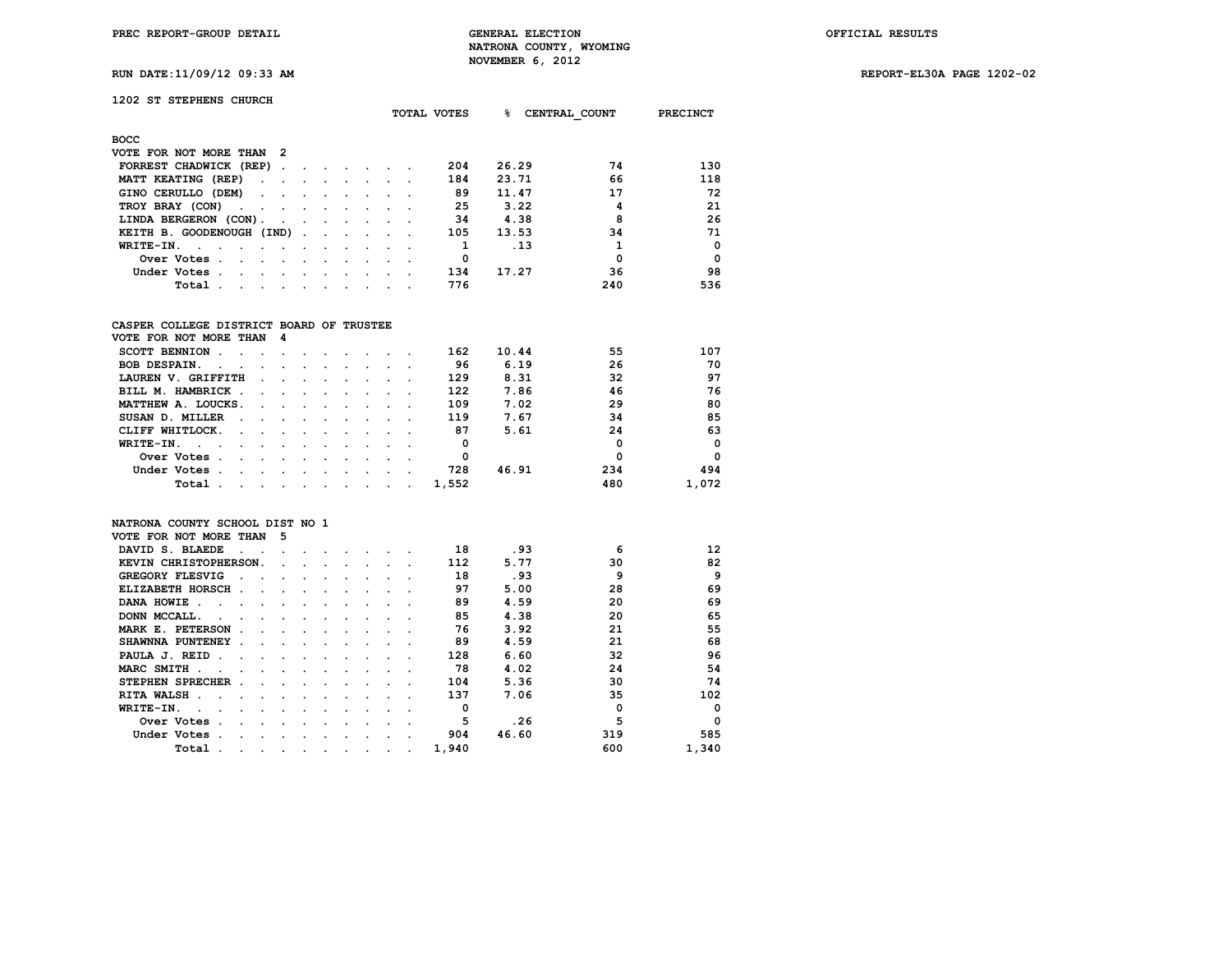**PREC REPORT-GROUP DETAIL GENERAL ELECTION OFFICIAL RESULTS NATRONA COUNTY, WYOMING RUN DATE:11/09/12 09:33 AM NOVEMBER 6, 2012** 

**RUN DATE:11/09/12 09:33 AM REPORT-EL30A PAGE 1202-02**

| <b>RUN DATE:11/09/12 09:33 AM</b> |  |  |
|-----------------------------------|--|--|
|                                   |  |  |

# **1202 ST STEPHENS CHURCH**

|                                                                             |                  |  | TOTAL VOTES | ዱ     | CENTRAL COUNT | PRECINCT |
|-----------------------------------------------------------------------------|------------------|--|-------------|-------|---------------|----------|
| <b>BOCC</b>                                                                 |                  |  |             |       |               |          |
| VOTE FOR NOT MORE THAN 2                                                    |                  |  |             |       |               |          |
| FORREST CHADWICK (REP).<br>$\sim$<br>$\sim$                                 |                  |  | 204         | 26.29 | 74            | 130      |
| MATT KEATING (REP)<br>$\sim$ $\sim$<br>$\cdot$<br>$\sim$                    |                  |  | 184         | 23.71 | 66            | 118      |
| GINO CERULLO (DEM)<br>$\sim$ $\sim$<br>$\ddot{\phantom{0}}$                 |                  |  | 89          | 11.47 | 17            | 72       |
| TROY BRAY (CON)<br>and the contract of the contract of<br>$\cdot$           |                  |  | 25          | 3.22  | 4             | 21       |
| LINDA BERGERON (CON).<br><b>Contract Contract Street</b><br>$\cdot$ $\cdot$ | $\sim$           |  | 34          | 4.38  | 8             | 26       |
| KEITH B. GOODENOUGH (IND).<br>$\sim$ $\sim$ $\sim$                          | $\sim$ 100 $\mu$ |  | 105         | 13.53 | 34            | 71       |
| WRITE-IN.<br>$\sim$ 100 $\mu$<br>$\cdot$                                    |                  |  |             | .13   |               | $\Omega$ |
| Over Votes.<br>$\sim$<br>$\cdot$                                            | $\cdot$          |  | 0           |       | 0             | $\Omega$ |
| Under Votes.<br>$\sim$<br>$\sim$<br>$\cdot$                                 |                  |  | 134         | 17.27 | 36            | 98       |
| Total<br>$\sim$<br>$\sim$                                                   |                  |  | 776         |       | 240           | 536      |

## **CASPER COLLEGE DISTRICT BOARD OF TRUSTEE**

| VOTE FOR NOT MORE THAN 4                                                           |                                                                                                                 |                      |               |        |               |  |       |       |          |             |
|------------------------------------------------------------------------------------|-----------------------------------------------------------------------------------------------------------------|----------------------|---------------|--------|---------------|--|-------|-------|----------|-------------|
| <b>SCOTT BENNION</b>                                                               |                                                                                                                 |                      |               |        |               |  | 162   | 10.44 | 55       | 107         |
| <b>BOB DESPAIN.</b><br>$\sim$                                                      | $\sim 100$ km s $^{-1}$                                                                                         |                      |               |        |               |  | 96    | 6.19  | 26       | 70          |
| LAUREN V. GRIFFITH                                                                 | $\sim$                                                                                                          |                      | $\sim$        |        |               |  | 129   | 8.31  | 32       | 97          |
| BILL M. HAMBRICK<br>$\sim$                                                         |                                                                                                                 | $\sim$ $\sim$        |               |        |               |  | 122   | 7.86  | 46       | 76          |
| MATTHEW A. LOUCKS.                                                                 | $\sim$ $\sim$                                                                                                   | $\sim$ $\sim$ $\sim$ |               |        |               |  | 109   | 7.02  | 29       | 80          |
| SUSAN D. MILLER                                                                    | the company of the company of the company                                                                       |                      |               |        | $\sim$ $\sim$ |  | 119   | 7.67  | 34       | 85          |
| CLIFF WHITLOCK.<br>$\sim 100$ km s $^{-1}$                                         | the contract of the contract of the contract of the contract of the contract of the contract of the contract of |                      |               |        |               |  | 87    | 5.61  | 24       | 63          |
| WRITE-IN.<br><b>Contract Contract Street</b><br>$\sim$ $\sim$ $\sim$ $\sim$ $\sim$ |                                                                                                                 |                      | $\sim$        |        |               |  | 0     |       | 0        | $\mathbf 0$ |
| Over Votes.<br>$\sim$<br>$\sim$                                                    | $\sim$ $\sim$                                                                                                   | $\sim$               | $\sim$        | $\sim$ | $\sim$        |  | 0     |       | $\Omega$ | $\Omega$    |
| Under Votes.<br>$\sim$                                                             | $\sim$                                                                                                          | $\sim$ $\sim$        | $\sim$ $\sim$ | $\sim$ |               |  | 728   | 46.91 | 234      | 494         |
| Total                                                                              |                                                                                                                 |                      |               |        |               |  | 1,552 |       | 480      | 1,072       |

### **NATRONA COUNTY SCHOOL DIST NO 1**

| VOTE FOR NOT MORE THAN                 | -5      |         |         |         |  |                      |       |       |             |          |
|----------------------------------------|---------|---------|---------|---------|--|----------------------|-------|-------|-------------|----------|
| DAVID S. BLAEDE                        |         |         |         |         |  |                      | 18    | .93   | 6           | 12       |
| KEVIN CHRISTOPHERSON.                  |         |         |         |         |  |                      | 112   | 5.77  | 30          | 82       |
| <b>GREGORY FLESVIG</b>                 |         |         |         |         |  |                      | 18    | .93   | 9           | 9        |
| ELIZABETH HORSCH.                      |         |         |         |         |  |                      | 97    | 5.00  | 28          | 69       |
| DANA HOWIE<br>$\overline{\phantom{a}}$ |         |         |         |         |  |                      | 89    | 4.59  | 20          | 69       |
| DONN MCCALL.                           |         |         |         |         |  |                      | 85    | 4.38  | 20          | 65       |
| MARK E. PETERSON                       |         |         |         |         |  |                      | 76    | 3.92  | 21          | 55       |
| SHAWNNA PUNTENEY                       |         |         |         |         |  |                      | 89    | 4.59  | 21          | 68       |
| PAULA J. REID                          |         |         |         |         |  |                      | 128   | 6.60  | 32          | 96       |
| MARC SMITH.                            |         |         |         |         |  |                      | 78    | 4.02  | 24          | 54       |
| STEPHEN SPRECHER                       |         |         |         |         |  |                      | 104   | 5.36  | 30          | 74       |
| RITA WALSH.                            |         |         |         |         |  |                      | 137   | 7.06  | 35          | 102      |
| WRITE-IN.                              |         |         |         |         |  |                      |       |       | $\mathbf 0$ | $\Omega$ |
| Over Votes                             |         |         |         |         |  |                      | 5     | .26   | 5           | $\Omega$ |
| Under Votes                            |         |         |         |         |  |                      | 904   | 46.60 | 319         | 585      |
| Total                                  | $\cdot$ | $\cdot$ | $\cdot$ | $\cdot$ |  | $\ddot{\phantom{0}}$ | 1,940 |       | 600         | 1,340    |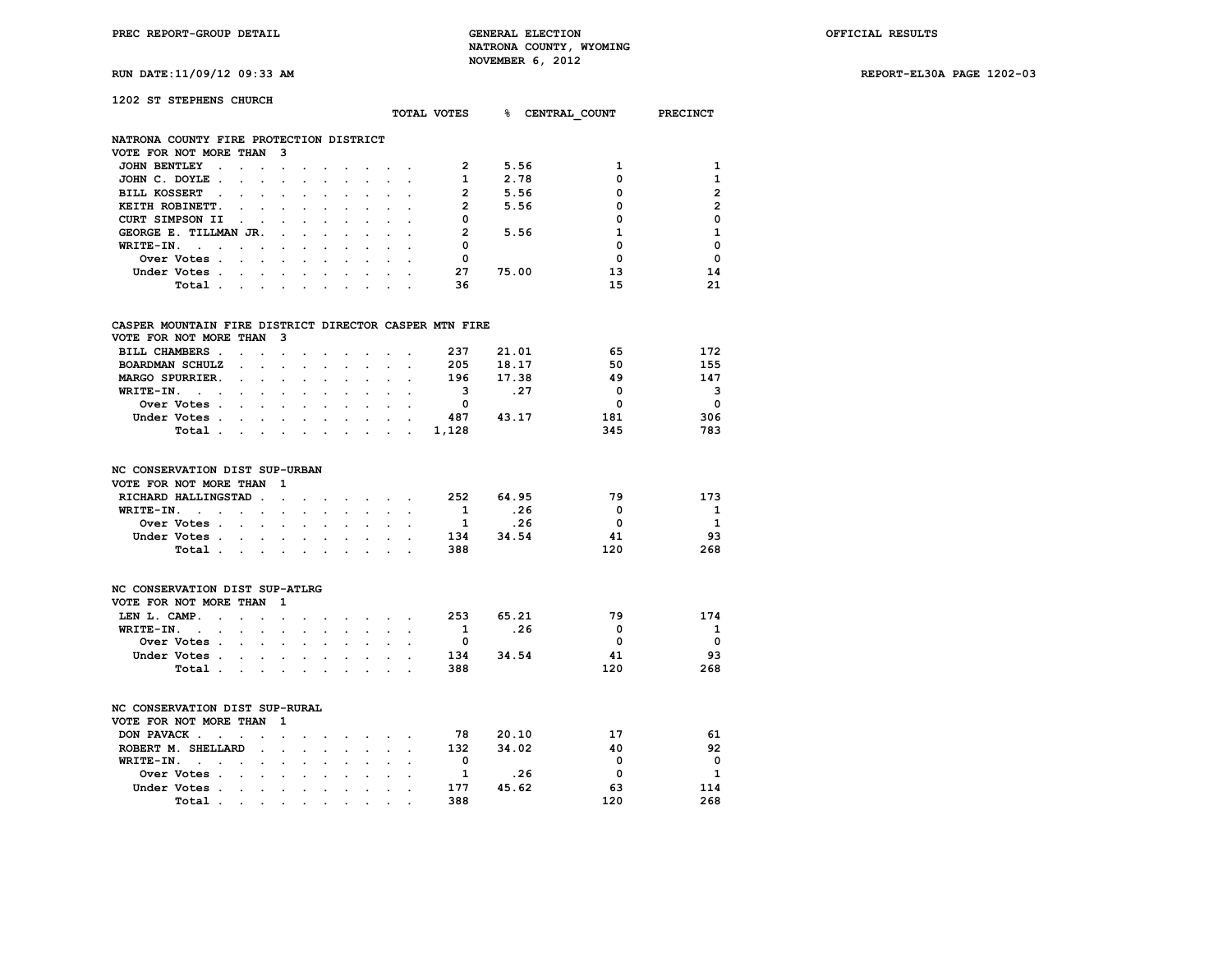**RUN DATE:11/09/12 09:33 AM REPORT-EL30A PAGE 1202-03**

| 1202 ST STEPHENS CHURCH                                                                                                                                                                                                                                                                                        |                                                                                                                                                                                                                                      |                                                                                               |                                                                                                                                                                                                                                |                                                                                                                        |  |               | TOTAL VOTES                                                                                               |       |      | <b>&amp; CENTRAL COUNT PRECINCT</b>             |                                                  |
|----------------------------------------------------------------------------------------------------------------------------------------------------------------------------------------------------------------------------------------------------------------------------------------------------------------|--------------------------------------------------------------------------------------------------------------------------------------------------------------------------------------------------------------------------------------|-----------------------------------------------------------------------------------------------|--------------------------------------------------------------------------------------------------------------------------------------------------------------------------------------------------------------------------------|------------------------------------------------------------------------------------------------------------------------|--|---------------|-----------------------------------------------------------------------------------------------------------|-------|------|-------------------------------------------------|--------------------------------------------------|
| NATRONA COUNTY FIRE PROTECTION DISTRICT                                                                                                                                                                                                                                                                        |                                                                                                                                                                                                                                      |                                                                                               |                                                                                                                                                                                                                                |                                                                                                                        |  |               |                                                                                                           |       |      |                                                 |                                                  |
| VOTE FOR NOT MORE THAN                                                                                                                                                                                                                                                                                         |                                                                                                                                                                                                                                      | $\mathbf{3}$                                                                                  |                                                                                                                                                                                                                                |                                                                                                                        |  |               |                                                                                                           |       |      |                                                 |                                                  |
| JOHN BENTLEY                                                                                                                                                                                                                                                                                                   |                                                                                                                                                                                                                                      | the company of the company of the company of                                                  |                                                                                                                                                                                                                                |                                                                                                                        |  |               | $\overline{\mathbf{2}}$                                                                                   |       | 5.56 | 1                                               | 1                                                |
| JOHN C. DOYLE.                                                                                                                                                                                                                                                                                                 | <u>in the second contract of the second contract of the second contract of the second contract of the second contract of the second contract of the second contract of the second contract of the second contract of the second </u> |                                                                                               |                                                                                                                                                                                                                                |                                                                                                                        |  |               | $\mathbf{1}$                                                                                              |       | 2.78 | 0                                               | 1                                                |
| <b>BILL KOSSERT</b>                                                                                                                                                                                                                                                                                            |                                                                                                                                                                                                                                      | and a strain and a strain and a strain and                                                    |                                                                                                                                                                                                                                |                                                                                                                        |  |               | $\overline{2}$                                                                                            | 5.56  |      | 0                                               | $\overline{2}$                                   |
| KEITH ROBINETT.                                                                                                                                                                                                                                                                                                |                                                                                                                                                                                                                                      |                                                                                               | $\mathbf{r} = \mathbf{r} + \mathbf{r} + \mathbf{r}$                                                                                                                                                                            |                                                                                                                        |  |               | $\overline{2}$                                                                                            |       | 5.56 | 0                                               | $\overline{2}$                                   |
| CURT SIMPSON II                                                                                                                                                                                                                                                                                                |                                                                                                                                                                                                                                      |                                                                                               | $\cdot$ $\cdot$ $\cdot$ $\cdot$ $\cdot$                                                                                                                                                                                        |                                                                                                                        |  |               | 0                                                                                                         |       |      | 0                                               | $\mathbf 0$                                      |
| GEORGE E. TILLMAN JR.                                                                                                                                                                                                                                                                                          |                                                                                                                                                                                                                                      |                                                                                               |                                                                                                                                                                                                                                |                                                                                                                        |  |               | $\overline{2}$                                                                                            |       | 5.56 | 1                                               | $\mathbf{1}$                                     |
| WRITE-IN.<br>$\sim$ $\sim$ $\sim$                                                                                                                                                                                                                                                                              |                                                                                                                                                                                                                                      |                                                                                               |                                                                                                                                                                                                                                | and a state of the                                                                                                     |  |               | 0                                                                                                         |       |      | 0                                               | $\mathbf 0$                                      |
| Over Votes                                                                                                                                                                                                                                                                                                     |                                                                                                                                                                                                                                      |                                                                                               |                                                                                                                                                                                                                                |                                                                                                                        |  |               | 0                                                                                                         |       |      | $\Omega$                                        | $\Omega$                                         |
| Under Votes                                                                                                                                                                                                                                                                                                    |                                                                                                                                                                                                                                      |                                                                                               |                                                                                                                                                                                                                                |                                                                                                                        |  |               | 27                                                                                                        | 75.00 |      | 13                                              | 14                                               |
| Total.                                                                                                                                                                                                                                                                                                         |                                                                                                                                                                                                                                      |                                                                                               |                                                                                                                                                                                                                                |                                                                                                                        |  |               | 36                                                                                                        |       |      | 15                                              | 21                                               |
| CASPER MOUNTAIN FIRE DISTRICT DIRECTOR CASPER MTN FIRE<br>VOTE FOR NOT MORE THAN<br>BILL CHAMBERS.<br>BOARDMAN SCHULZ<br>MARGO SPURRIER.<br>WRITE-IN.<br>the contract of the contract of the contract of the contract of the contract of the contract of the contract of<br>Over Votes<br>Under Votes<br>Total |                                                                                                                                                                                                                                      | $\mathbf{3}$<br>$\mathbf{r} = \mathbf{r} + \mathbf{r} + \mathbf{r} + \mathbf{r} + \mathbf{r}$ |                                                                                                                                                                                                                                | $\mathbf{r} = \mathbf{r} + \mathbf{r}$ , where $\mathbf{r} = \mathbf{r}$<br>$\mathbf{r} = \mathbf{r} \cdot \mathbf{r}$ |  |               | 237<br>205 18.17<br>196 17.38<br>$\overline{\mathbf{3}}$<br>$\overline{\mathbf{0}}$<br>487 43.17<br>1,128 | 21.01 | .27  | 65<br>50<br>49<br>$^{\circ}$<br>0<br>181<br>345 | 172<br>155<br>147<br>3<br>$\Omega$<br>306<br>783 |
| NC CONSERVATION DIST SUP-URBAN                                                                                                                                                                                                                                                                                 |                                                                                                                                                                                                                                      |                                                                                               |                                                                                                                                                                                                                                |                                                                                                                        |  |               |                                                                                                           |       |      |                                                 |                                                  |
| VOTE FOR NOT MORE THAN                                                                                                                                                                                                                                                                                         |                                                                                                                                                                                                                                      | - 1                                                                                           |                                                                                                                                                                                                                                |                                                                                                                        |  |               |                                                                                                           |       |      |                                                 |                                                  |
| RICHARD HALLINGSTAD.                                                                                                                                                                                                                                                                                           |                                                                                                                                                                                                                                      |                                                                                               | and a strong control of the state of the state of the state of the state of the state of the state of the state of the state of the state of the state of the state of the state of the state of the state of the state of the |                                                                                                                        |  |               | 252                                                                                                       | 64.95 |      | 79                                              | 173                                              |
| WRITE-IN.<br>the contract of the contract of the contract of the contract of the contract of the contract of the contract of                                                                                                                                                                                   |                                                                                                                                                                                                                                      |                                                                                               |                                                                                                                                                                                                                                |                                                                                                                        |  |               | $\overline{\mathbf{1}}$                                                                                   | .26   |      | $\Omega$                                        | $\mathbf{1}$                                     |
| Over Votes                                                                                                                                                                                                                                                                                                     |                                                                                                                                                                                                                                      |                                                                                               |                                                                                                                                                                                                                                |                                                                                                                        |  |               | 1 .26                                                                                                     |       |      | $\Omega$                                        | 1                                                |
| Under Votes                                                                                                                                                                                                                                                                                                    |                                                                                                                                                                                                                                      |                                                                                               |                                                                                                                                                                                                                                |                                                                                                                        |  |               | 134                                                                                                       | 34.54 |      | 41                                              | 93                                               |
| Total                                                                                                                                                                                                                                                                                                          |                                                                                                                                                                                                                                      |                                                                                               |                                                                                                                                                                                                                                |                                                                                                                        |  | $\sim$ $\sim$ | 388                                                                                                       |       |      | 120                                             | 268                                              |

| NC CONSERVATION DIST SUP-ATLRG |             |  |  |  |  |  |     |       |     |          |
|--------------------------------|-------------|--|--|--|--|--|-----|-------|-----|----------|
| VOTE FOR NOT MORE THAN 1       |             |  |  |  |  |  |     |       |     |          |
| LEN L. CAMP.                   |             |  |  |  |  |  | 253 | 65.21 | 79  | 174      |
| WRITE-IN.                      |             |  |  |  |  |  |     | . 26  | 0   | 1        |
|                                | Over Votes  |  |  |  |  |  |     |       | o   | $\Omega$ |
|                                | Under Votes |  |  |  |  |  | 134 | 34.54 | 41  | 93       |
|                                | Total       |  |  |  |  |  | 388 |       | 120 | 268      |
|                                |             |  |  |  |  |  |     |       |     |          |

| NC CONSERVATION DIST SUP-RURAL |             |  |  |  |  |  |     |       |     |              |
|--------------------------------|-------------|--|--|--|--|--|-----|-------|-----|--------------|
| VOTE FOR NOT MORE THAN 1       |             |  |  |  |  |  |     |       |     |              |
| DON PAVACK                     |             |  |  |  |  |  | 78  | 20.10 | 17  | 61           |
| ROBERT M. SHELLARD             |             |  |  |  |  |  | 132 | 34.02 | 40  | 92           |
| WRITE-IN.                      |             |  |  |  |  |  |     |       | O   | $\Omega$     |
|                                | Over Votes  |  |  |  |  |  |     | .26   | O   | $\mathbf{1}$ |
|                                | Under Votes |  |  |  |  |  | 177 | 45.62 | 63  | 114          |
|                                | Total       |  |  |  |  |  | 388 |       | 120 | 268          |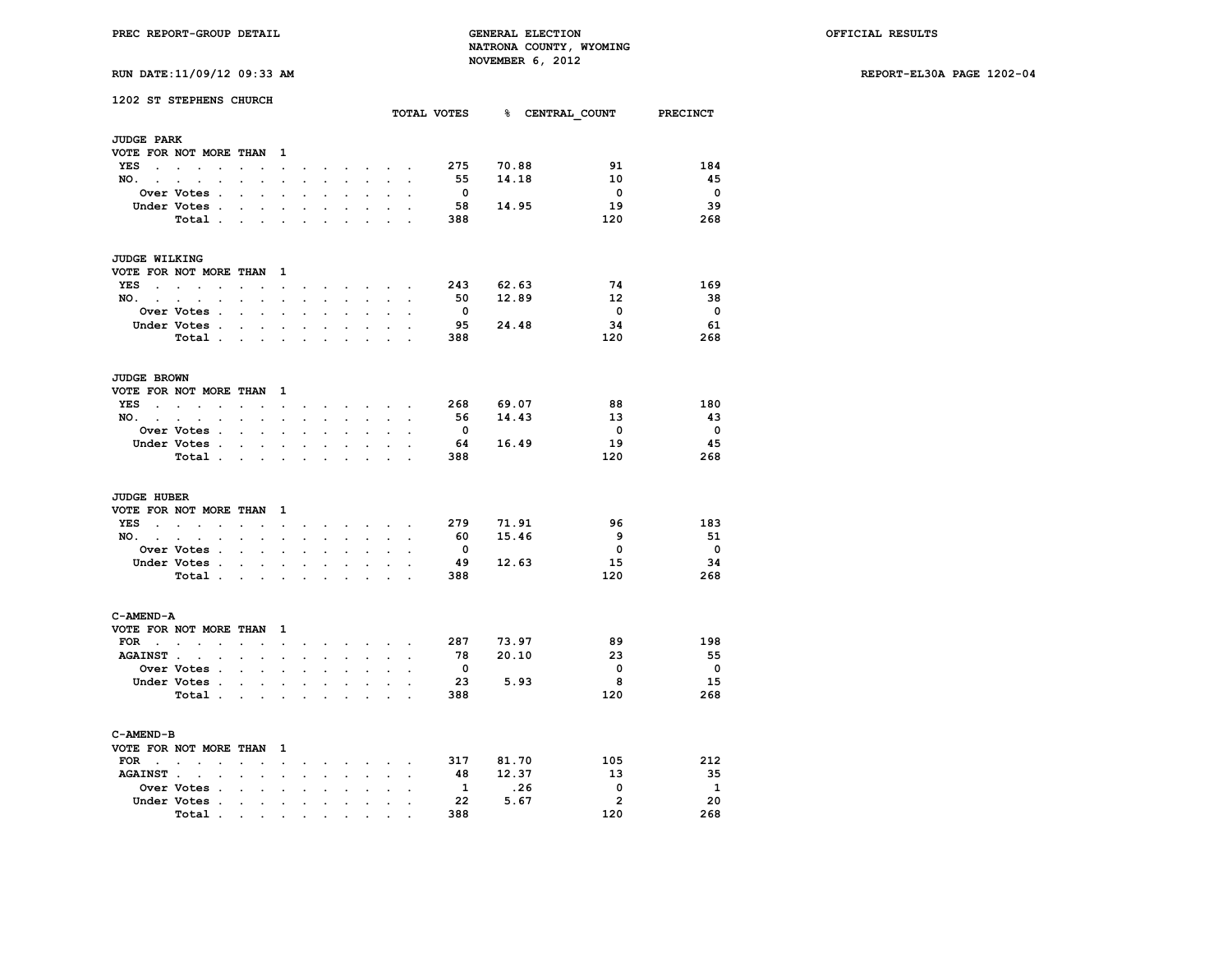**RUN DATE:11/09/12 09:33 AM REPORT-EL30A PAGE 1202-04**

| RUN DATE: 11/09/12 09:33 AM |  |  |
|-----------------------------|--|--|

|                      | 1202 ST STEPHENS CHURCH                                               |                                                 |                             |                                   |                      |                              |                      |                      |                                                                       |                |                         |           | TOTAL VOTES 8 CENTRAL COUNT PRECINCT |                         |
|----------------------|-----------------------------------------------------------------------|-------------------------------------------------|-----------------------------|-----------------------------------|----------------------|------------------------------|----------------------|----------------------|-----------------------------------------------------------------------|----------------|-------------------------|-----------|--------------------------------------|-------------------------|
|                      |                                                                       |                                                 |                             |                                   |                      |                              |                      |                      |                                                                       |                |                         |           |                                      |                         |
| <b>JUDGE PARK</b>    |                                                                       |                                                 |                             |                                   |                      |                              |                      |                      |                                                                       |                |                         |           |                                      |                         |
|                      | VOTE FOR NOT MORE THAN                                                |                                                 |                             | $\mathbf{1}$                      |                      |                              |                      |                      |                                                                       |                |                         |           |                                      |                         |
|                      | <b>YES</b>                                                            |                                                 |                             |                                   | $\bullet$            |                              |                      |                      | and a strong control of                                               |                | 275                     | 70.88     | 91                                   | 184                     |
| NO. .                | $\ddot{\phantom{a}}$                                                  |                                                 |                             |                                   |                      |                              | s.                   | $\mathbf{r}$         | <b>Contract Contract Street</b>                                       |                | 55                      | 14.18     | 10                                   | 45                      |
|                      | <b>Over Votes .</b>                                                   | $\ddot{\phantom{0}}$                            |                             |                                   |                      |                              |                      |                      |                                                                       |                | $\overline{\mathbf{0}}$ |           | $\overline{\mathbf{0}}$              | $\mathbf 0$             |
|                      | Under Votes.                                                          | $\sim$                                          | $\ddot{\phantom{0}}$        | $\ddot{\phantom{0}}$              | $\cdot$              | $\ddot{\phantom{a}}$         | $\overline{a}$       | $\ddot{\phantom{0}}$ | $\ddot{\phantom{a}}$                                                  |                | 58                      | 14.95     | 19                                   | 39                      |
|                      | Total                                                                 |                                                 |                             | $\mathcal{L}^{\text{max}}$        | $\ddot{\phantom{a}}$ |                              |                      | $\ddot{\phantom{a}}$ |                                                                       |                | 388                     |           | 120                                  | 268                     |
| <b>JUDGE WILKING</b> |                                                                       |                                                 |                             |                                   |                      |                              |                      |                      |                                                                       |                |                         |           |                                      |                         |
|                      | VOTE FOR NOT MORE THAN 1                                              |                                                 |                             |                                   |                      |                              |                      |                      |                                                                       |                |                         |           |                                      |                         |
|                      | $YES$                                                                 | $\cdot$                                         |                             | $\ddot{\phantom{a}}$              |                      |                              |                      |                      | $\mathbf{r}$ , and $\mathbf{r}$ , and $\mathbf{r}$                    |                | 243                     | 62.63     | 74                                   | 169                     |
|                      | $NO.$ $.$ $.$ $.$ $.$                                                 | $\sim$                                          | $\bullet$ .                 | $\ddot{\phantom{0}}$              |                      | <b>All Contract Contract</b> |                      | $\sim$               | $\sim$                                                                | $\overline{a}$ | 50                      | 12.89     | 12                                   | 38                      |
|                      | Over Votes .                                                          | $\ddot{\phantom{0}}$                            | $\ddot{\phantom{0}}$        | $\ddot{\phantom{a}}$              | $\ddot{\phantom{a}}$ | $\ddot{\phantom{a}}$         |                      | $\ddot{\phantom{a}}$ | $\ddot{\phantom{0}}$                                                  |                | $\overline{\mathbf{0}}$ |           | $\overline{\mathbf{0}}$              | $\overline{\mathbf{0}}$ |
|                      | Under Votes .                                                         | $\sim$                                          | $\sim$                      | $\sim$                            | $\overline{a}$       |                              | $\mathbf{r}$         | $\mathbf{r}$         |                                                                       |                | 95                      | 24.48     | 34                                   | 61                      |
|                      | Total                                                                 |                                                 |                             | $\overline{a}$                    | $\overline{a}$       |                              |                      | $\mathbf{r}$         |                                                                       |                | 388                     |           | 120                                  | 268                     |
|                      |                                                                       |                                                 |                             |                                   |                      |                              |                      |                      |                                                                       |                |                         |           |                                      |                         |
| <b>JUDGE BROWN</b>   |                                                                       |                                                 |                             |                                   |                      |                              |                      |                      |                                                                       |                |                         |           |                                      |                         |
|                      | VOTE FOR NOT MORE THAN 1                                              |                                                 |                             |                                   |                      |                              |                      |                      |                                                                       |                |                         |           |                                      |                         |
|                      | $YES$                                                                 | $\sim$                                          | $\ddot{\phantom{0}}$        | <b>Contract Contract Contract</b> |                      |                              |                      |                      | $\mathbf{r}$ , and $\mathbf{r}$ , and $\mathbf{r}$ , and $\mathbf{r}$ | $\sim$         | 268                     | 69.07     | 88                                   | 180                     |
|                      | NO.                                                                   | $\mathbf{z} = \mathbf{z} + \mathbf{z}$ .        |                             | $\mathcal{L}^{\mathcal{L}}$       | $\ddot{\phantom{0}}$ | $\sim 10^{-11}$              | $\sim$               |                      | <b>Contract Contract</b>                                              |                |                         | 56 14.43  | 13                                   | 43                      |
|                      | <b>Over Votes .</b>                                                   | $\mathbf{r}$                                    |                             |                                   |                      |                              |                      |                      |                                                                       |                | $\overline{\mathbf{0}}$ |           | $\overline{\phantom{0}}$             | $\overline{\mathbf{0}}$ |
|                      | Under Votes                                                           |                                                 |                             | $\ddot{\phantom{0}}$              | $\ddot{\phantom{a}}$ | $\sim$                       |                      | $\ddot{\phantom{0}}$ |                                                                       |                | 64                      | 16.49     | 19                                   | 45                      |
|                      | Total .                                                               | <b><i>Committee State State State State</i></b> |                             |                                   | $\ddot{\phantom{a}}$ | $\sim$                       | $\sim$               | $\sim$               | $\sim$                                                                | $\overline{a}$ | 388                     |           | 120                                  | 268                     |
| <b>JUDGE HUBER</b>   |                                                                       |                                                 |                             |                                   |                      |                              |                      |                      |                                                                       |                |                         |           |                                      |                         |
|                      | VOTE FOR NOT MORE THAN 1                                              |                                                 |                             |                                   |                      |                              |                      |                      |                                                                       |                |                         |           |                                      |                         |
| YES .                | $\sim$<br>$\mathcal{A}^{\mathcal{A}}$ and $\mathcal{A}^{\mathcal{A}}$ |                                                 |                             | and the company of                |                      |                              |                      |                      | and a strong control of the state of the                              |                | 279                     | 71.91     | 96                                   | 183                     |
| $NO.$ $.$            | $\sim$<br>$\cdot$                                                     |                                                 | $\ddot{\phantom{a}}$        | $\ddot{\phantom{0}}$              |                      |                              |                      | $\sim$               |                                                                       |                | - 60                    | 15.46     | - 9                                  | 51                      |
|                      | Over Votes .                                                          | $\sim$                                          | $\sim$                      | $\cdot$                           | $\cdot$              |                              |                      |                      |                                                                       |                | $\mathbf{0}$            |           | $\mathbf{o}$                         | $\mathbf 0$             |
|                      | Under Votes .                                                         | <b>Contract Contract</b>                        |                             | $\ddot{\phantom{0}}$              | $\bullet$            | $\blacksquare$               | $\bullet$            | $\ddot{\phantom{a}}$ | $\ddot{\phantom{0}}$                                                  |                | - 49                    | 12.63     | 15                                   | 34                      |
|                      | Total $\cdots$ $\cdots$ $\cdots$ $\cdots$                             |                                                 |                             |                                   |                      |                              |                      |                      |                                                                       |                | 388                     |           | 120                                  | 268                     |
|                      |                                                                       |                                                 |                             |                                   |                      |                              |                      |                      |                                                                       |                |                         |           |                                      |                         |
| C-AMEND-A            |                                                                       |                                                 |                             |                                   |                      |                              |                      |                      |                                                                       |                |                         |           |                                      |                         |
|                      | VOTE FOR NOT MORE THAN                                                |                                                 |                             | $\mathbf{1}$                      |                      |                              |                      |                      |                                                                       |                |                         |           |                                      |                         |
|                      | FOR $\cdots$ $\cdots$                                                 |                                                 |                             |                                   |                      |                              |                      |                      | and the company of the company of the company                         |                |                         | 287 73.97 | 89                                   | 198                     |
| AGAINST              | $\sim$                                                                | $\cdot$                                         | $\ddot{\phantom{a}}$        | $\ddot{\phantom{a}}$              | $\cdot$              | $\ddot{\phantom{0}}$         | $\ddot{\phantom{a}}$ | $\ddot{\phantom{0}}$ | $\sim$                                                                | $\overline{a}$ | 78                      | 20.10     | 23                                   | - 55                    |
|                      | Over Votes .                                                          | $\sim$                                          | $\mathcal{L}^{\mathcal{L}}$ | $\mathcal{L}^{\mathcal{L}}$       | $\ddot{\phantom{a}}$ | $\ddot{\phantom{0}}$         | $\ddot{\phantom{0}}$ | $\ddot{\phantom{a}}$ | $\ddot{\phantom{0}}$                                                  |                | $\overline{\mathbf{0}}$ |           | $\mathbf 0$                          | $\overline{\mathbf{0}}$ |
|                      | Under Votes .                                                         |                                                 | $\sim$                      | $\sim$                            | $\ddot{\phantom{0}}$ | a.                           |                      | $\sim$               |                                                                       |                | - 23                    | 5.93      | - 8                                  | 15                      |
|                      | Total                                                                 |                                                 |                             | $\ddot{\phantom{0}}$              | $\ddot{\phantom{a}}$ | $\ddot{\phantom{a}}$         | $\cdot$              |                      | $\sim$ $\sim$                                                         | $\sim$         | 388                     |           | 120                                  | 268                     |
| C-AMEND-B            |                                                                       |                                                 |                             |                                   |                      |                              |                      |                      |                                                                       |                |                         |           |                                      |                         |
|                      | VOTE FOR NOT MORE THAN 1                                              |                                                 |                             |                                   |                      |                              |                      |                      |                                                                       |                |                         |           |                                      |                         |
| $FOR \t . \t .$      |                                                                       | $\mathbf{r}$                                    |                             |                                   |                      |                              |                      |                      |                                                                       |                |                         | 317 81.70 | 105                                  | 212                     |
| <b>AGAINST</b>       | $\sim$                                                                | $\ddot{\phantom{0}}$                            |                             | $\ddot{\phantom{a}}$<br>$\sim$    |                      | $\sim$                       | $\mathbf{r}$         |                      | and the control of                                                    | $\overline{a}$ | 48                      | 12.37     | 13                                   | -35                     |
|                      | $\cdot$<br>Over Votes .                                               |                                                 | $\ddot{\phantom{a}}$        |                                   |                      |                              |                      | $\ddot{\phantom{0}}$ |                                                                       |                | $\mathbf{1}$            | .26       | $\mathbf 0$                          | $\mathbf{1}$            |
|                      | Under Votes .                                                         | $\ddot{\phantom{a}}$                            | $\ddot{\phantom{a}}$        | $\ddot{\phantom{0}}$              |                      |                              |                      |                      |                                                                       |                | 22                      | 5.67      | $\overline{2}$                       | 20                      |
|                      |                                                                       | $\sim$                                          | $\bullet$                   | $\bullet$                         | $\ddot{\phantom{0}}$ | $\ddot{\phantom{0}}$         | $\ddot{\phantom{0}}$ | $\ddot{\phantom{0}}$ | $\bullet$                                                             |                | 388                     |           | 120                                  | 268                     |
|                      | Total.                                                                | the company's company's company's               |                             |                                   | $\bullet$            |                              | $\bullet$            |                      |                                                                       |                |                         |           |                                      |                         |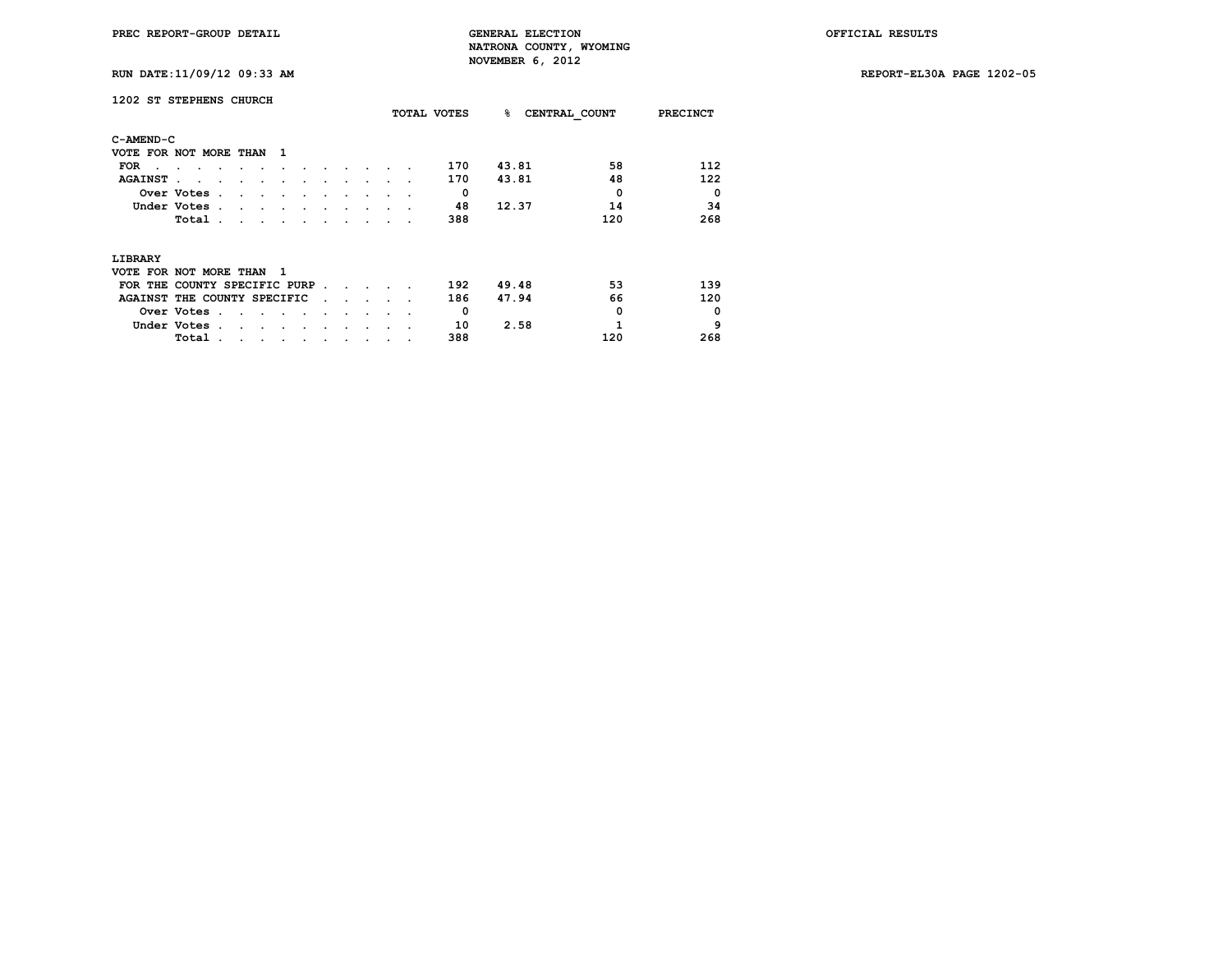**RUN DATE:11/09/12 09:33 AM REPORT-EL30A PAGE 1202-05**

| 1202 ST STEPHENS CHURCH      |               |                |   |     |  |  |  | TOTAL VOTES | ℁     | CENTRAL COUNT | <b>PRECINCT</b> |
|------------------------------|---------------|----------------|---|-----|--|--|--|-------------|-------|---------------|-----------------|
| C-AMEND-C                    |               |                |   |     |  |  |  |             |       |               |                 |
| VOTE FOR NOT MORE THAN       |               |                |   | -1  |  |  |  |             |       |               |                 |
| <b>FOR</b>                   |               |                |   |     |  |  |  | 170         | 43.81 | 58            | 112             |
| <b>AGAINST</b>               |               |                |   |     |  |  |  | 170         | 43.81 | 48            | 122             |
|                              | Over Votes    | $\overline{a}$ |   |     |  |  |  | 0           |       | $\Omega$      | $\Omega$        |
|                              | Under Votes . |                |   |     |  |  |  | 48          | 12.37 | 14            | 34              |
|                              | Total         |                |   |     |  |  |  | 388         |       | 120           | 268             |
| LIBRARY                      |               |                |   |     |  |  |  |             |       |               |                 |
| VOTE FOR NOT MORE THAN       |               |                |   | - 1 |  |  |  |             |       |               |                 |
| FOR THE COUNTY SPECIFIC PURP |               |                |   |     |  |  |  | 192         | 49.48 | 53            | 139             |
| AGAINST THE COUNTY SPECIFIC  |               |                |   |     |  |  |  | 186         | 47.94 | 66            | 120             |
|                              | Over Votes.   |                |   |     |  |  |  | 0           |       | 0             | $\Omega$        |
|                              | Under Votes.  |                |   |     |  |  |  | 10          | 2.58  | 1             | 9               |
|                              | Total         | $\cdot$        | ٠ | ٠   |  |  |  | 388         |       | 120           | 268             |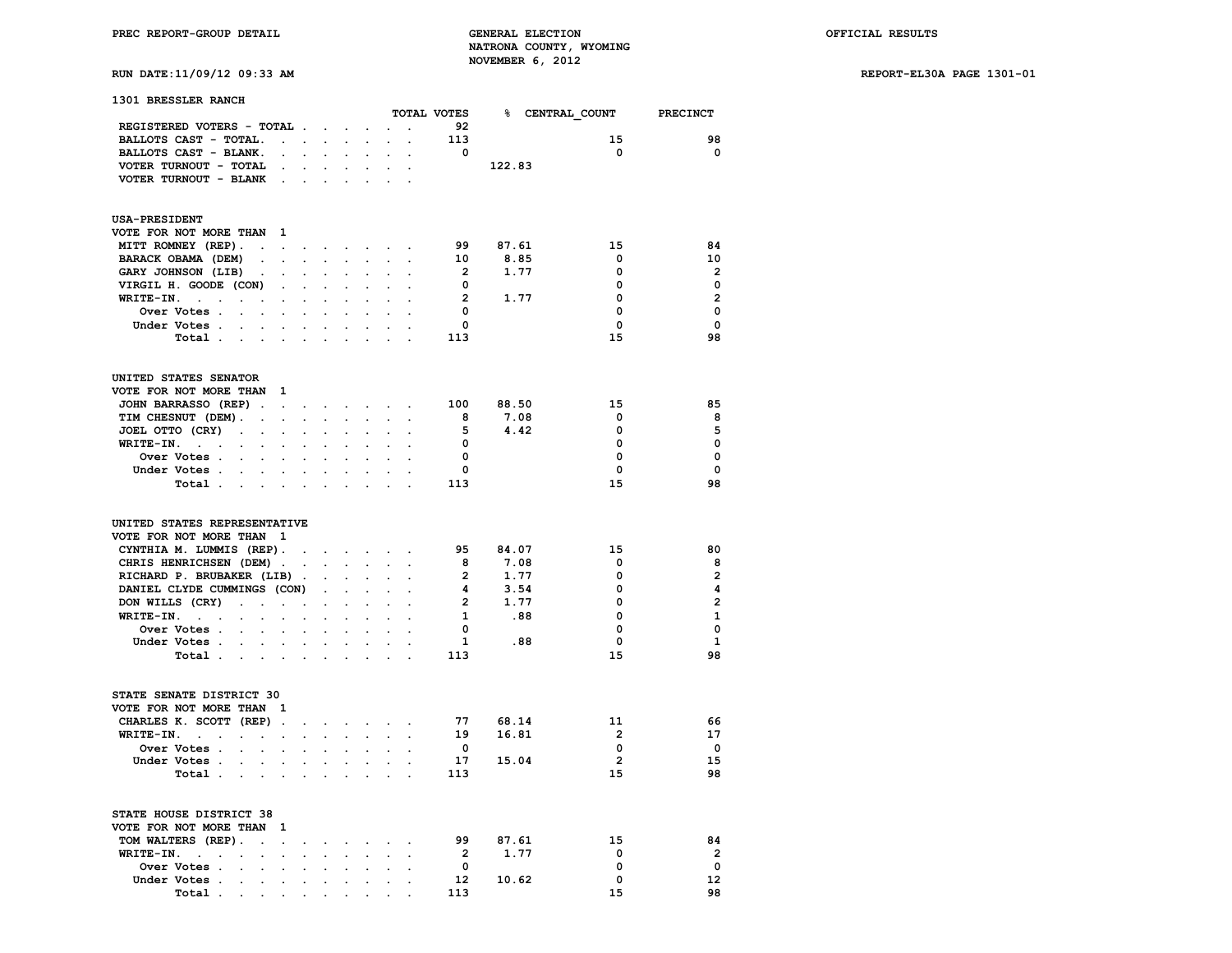# **RUN DATE:11/09/12 09:33 AM REPORT-EL30A PAGE 1301-01**

| 1301 BRESSLER RANCH                                             |                      |                      |                      |                      |                          |                      |                      |                         |                 |                |                         |
|-----------------------------------------------------------------|----------------------|----------------------|----------------------|----------------------|--------------------------|----------------------|----------------------|-------------------------|-----------------|----------------|-------------------------|
|                                                                 |                      |                      |                      |                      |                          |                      |                      | TOTAL VOTES             | % CENTRAL COUNT |                | <b>PRECINCT</b>         |
| REGISTERED VOTERS - TOTAL                                       |                      |                      |                      |                      |                          |                      | $\ddot{\phantom{a}}$ | 92                      |                 |                |                         |
| BALLOTS CAST - TOTAL.                                           |                      | $\sim$ $\sim$ $\sim$ | $\sim$               |                      | $\cdot$                  | $\mathbf{r}$         | $\ddot{\phantom{a}}$ | 113                     |                 | 15             | 98                      |
| BALLOTS CAST - BLANK.                                           | $\cdot$              |                      |                      |                      |                          |                      |                      | $\overline{\mathbf{0}}$ |                 | $\mathbf 0$    | $\mathbf 0$             |
| VOTER TURNOUT - TOTAL                                           |                      |                      |                      |                      |                          |                      |                      |                         | 122.83          |                |                         |
| VOTER TURNOUT - BLANK                                           | $\blacksquare$ .     | $\ddot{\phantom{a}}$ |                      |                      |                          |                      |                      |                         |                 |                |                         |
| <b>USA-PRESIDENT</b>                                            |                      |                      |                      |                      |                          |                      |                      |                         |                 |                |                         |
| VOTE FOR NOT MORE THAN                                          | - 1                  |                      |                      |                      |                          |                      |                      |                         |                 |                |                         |
| MITT ROMNEY (REP).<br>$\ddot{\phantom{a}}$                      | $\ddot{\phantom{a}}$ | $\sim$               | $\sim$               | $\sim$               | $\sim$                   | $\sim$               |                      | 99                      | 87.61           | 15             | 84                      |
| BARACK OBAMA (DEM)<br>$\ddot{\phantom{0}}$                      | $\sim$               | $\ddot{\phantom{a}}$ | $\ddot{\phantom{a}}$ | $\ddot{\phantom{a}}$ | $\ddot{\phantom{a}}$     | $\ddot{\phantom{a}}$ | $\ddot{\phantom{a}}$ | 10                      | 8.85            | 0              | 10                      |
| GARY JOHNSON (LIB)<br>$\cdot$                                   | $\sim$               |                      |                      |                      |                          |                      |                      | $\overline{\mathbf{2}}$ | 1.77            | 0              | $\overline{2}$          |
| VIRGIL H. GOODE (CON)                                           | $\cdot$              |                      |                      |                      |                          |                      |                      | $\overline{\mathbf{0}}$ |                 | 0              | $\mathbf 0$             |
| WRITE-IN.<br>$\sim 10^{-11}$<br>$\cdot$                         | $\ddot{\phantom{a}}$ | $\ddot{\phantom{0}}$ |                      |                      |                          |                      |                      | $\overline{2}$          | 1.77            | 0              | $\overline{2}$          |
| Over Votes .<br>$\ddot{\phantom{0}}$                            |                      |                      |                      |                      |                          |                      |                      | $\mathbf{0}$            |                 | 0              | $\Omega$                |
| Under Votes .<br>$\sim$<br>$\ddot{\phantom{0}}$                 | $\sim$               | $\ddot{\phantom{0}}$ | $\ddot{\phantom{0}}$ |                      |                          |                      |                      | $\mathbf 0$             |                 | $\mathbf{0}$   | $\Omega$                |
| Total .                                                         |                      |                      |                      |                      |                          |                      |                      | 113                     |                 | 15             | 98                      |
|                                                                 |                      |                      |                      |                      |                          |                      |                      |                         |                 |                |                         |
| UNITED STATES SENATOR                                           |                      |                      |                      |                      |                          |                      |                      |                         |                 |                |                         |
| VOTE FOR NOT MORE THAN                                          | - 1                  |                      |                      |                      |                          |                      |                      |                         |                 |                |                         |
| JOHN BARRASSO (REP).                                            | $\sim$               | $\cdot$              | $\sim$               | $\sim$               | $\ddot{\phantom{0}}$     | $\sim$               |                      | 100                     | 88.50           | 15             | 85                      |
| TIM CHESNUT (DEM).<br>$\ddot{\phantom{a}}$                      | $\cdot$              | $\ddot{\phantom{a}}$ |                      |                      | $\cdot$                  |                      |                      | 8                       | 7.08            | 0              | 8                       |
| JOEL OTTO (CRY)<br>$\blacksquare$<br>$\bullet$                  | $\bullet$            |                      |                      |                      |                          |                      |                      | 5                       | 4.42            | 0              | 5                       |
| $WRITE-IN.$ .                                                   |                      |                      |                      |                      |                          |                      |                      | $\mathbf{0}$            |                 | $\mathbf 0$    | $\mathbf 0$             |
| Over Votes .                                                    |                      |                      |                      |                      |                          |                      |                      | $\mathbf 0$             |                 | 0              | $\mathbf 0$             |
| Under Votes                                                     |                      | $\ddot{\phantom{0}}$ |                      |                      |                          |                      |                      | $\mathbf 0$             |                 | 0              | $\mathbf 0$             |
| Total<br>$\mathcal{L}^{\text{max}}$                             |                      |                      |                      |                      |                          |                      |                      | 113                     |                 | 15             | 98                      |
| UNITED STATES REPRESENTATIVE                                    |                      |                      |                      |                      |                          |                      |                      |                         |                 |                |                         |
| VOTE FOR NOT MORE THAN 1                                        |                      |                      |                      |                      |                          |                      |                      |                         |                 |                |                         |
| CYNTHIA M. LUMMIS (REP).                                        |                      | $\sim$               | $\ddot{\phantom{a}}$ |                      | <b>Contract Contract</b> |                      | $\sim$ $\sim$        | 95                      | 84.07           | 15             | 80                      |
| CHRIS HENRICHSEN (DEM).                                         |                      | $\ddot{\phantom{a}}$ |                      |                      | $\ddot{\phantom{a}}$     |                      |                      | 8                       | 7.08            | 0              | 8                       |
| RICHARD P. BRUBAKER (LIB)                                       |                      | $\ddot{\phantom{1}}$ |                      |                      |                          |                      |                      | $\overline{2}$          | 1.77            | 0              | $\overline{\mathbf{2}}$ |
| DANIEL CLYDE CUMMINGS (CON)                                     |                      |                      |                      |                      |                          |                      |                      | $\overline{\mathbf{4}}$ | 3.54            | 0              | 4                       |
| DON WILLS (CRY)<br>$\ddot{\phantom{a}}$<br>$\ddot{\phantom{a}}$ | $\ddot{\phantom{a}}$ | $\cdot$              | $\cdot$              |                      | $\ddot{\phantom{a}}$     |                      |                      | $\overline{\mathbf{2}}$ | 1.77            | 0              | $\overline{2}$          |
| $WRITE-TN.$                                                     | $\ddot{\phantom{a}}$ | $\ddot{\phantom{a}}$ |                      |                      |                          |                      |                      | $\mathbf{1}$            | .88             | 0              | $\mathbf{1}$            |
| Over Votes .                                                    |                      |                      |                      |                      |                          |                      |                      | $\overline{\mathbf{0}}$ |                 | 0              | $\mathbf 0$             |
| Under Votes<br>$\sim$ $\sim$                                    |                      | $\ddot{\phantom{0}}$ |                      | $\ddot{\phantom{0}}$ | $\ddot{\phantom{0}}$     |                      |                      | $\mathbf{1}$            | .88             | 0              | $\mathbf{1}$            |
| Total.<br>$\mathcal{L}^{\text{max}}$<br>$\blacksquare$          |                      |                      |                      |                      |                          |                      |                      | 113                     |                 | 15             | 98                      |
| STATE SENATE DISTRICT 30                                        |                      |                      |                      |                      |                          |                      |                      |                         |                 |                |                         |
| VOTE FOR NOT MORE THAN 1                                        |                      |                      |                      |                      |                          |                      |                      |                         |                 |                |                         |
| CHARLES K. SCOTT (REP).                                         |                      | $\ddot{\phantom{0}}$ | $\ddot{\phantom{0}}$ | $\sim$               | $\sim$                   | $\sim$               | $\sim$               | 77                      | 68.14           | 11             | 66                      |
| WRITE-IN.<br>$\sim$<br>$\ddot{\phantom{a}}$                     |                      | $\ddot{\phantom{a}}$ |                      |                      |                          |                      |                      | 19                      | 16.81           | $\overline{2}$ | 17                      |
| Over Votes .                                                    |                      |                      |                      |                      |                          |                      |                      | $\mathbf 0$             |                 | $\mathbf 0$    | $\mathbf{o}$            |
| Under Votes .<br>$\ddot{\phantom{0}}$                           | $\cdot$              | $\ddot{\phantom{0}}$ | $\ddot{\phantom{a}}$ | $\ddot{\phantom{0}}$ | $\ddot{\phantom{0}}$     |                      |                      | 17                      | 15.04           | $\overline{2}$ | 15                      |
| Total.<br>$\blacksquare$                                        |                      |                      |                      |                      |                          |                      |                      | 113                     |                 | 15             | 98                      |
|                                                                 |                      |                      |                      |                      |                          |                      |                      |                         |                 |                |                         |
| STATE HOUSE DISTRICT 38                                         |                      |                      |                      |                      |                          |                      |                      |                         |                 |                |                         |
| VOTE FOR NOT MORE THAN                                          | 1                    |                      |                      |                      |                          |                      |                      |                         |                 |                |                         |
| TOM WALTERS (REP).<br>$\ddot{\phantom{0}}$                      | $\ddot{\phantom{a}}$ | ٠                    | $\ddot{\phantom{0}}$ |                      | $\ddot{\phantom{0}}$     |                      |                      | 99                      | 87.61           | 15             | 84                      |
| WRITE-IN.<br>$\sim 10^{-11}$<br>$\cdot$<br>$\cdot$              | $\ddot{\phantom{a}}$ | $\cdot$              |                      |                      |                          |                      |                      | $\overline{2}$          | 1.77            | 0              | $\overline{2}$          |
| Over Votes .<br>$\ddot{\phantom{a}}$<br>$\cdot$                 |                      |                      |                      |                      |                          |                      |                      | $\mathbf 0$             |                 | 0              | $\mathbf 0$             |
| Under Votes .<br>$\cdot$<br>$\ddot{\phantom{0}}$                | $\ddot{\phantom{0}}$ | $\ddot{\phantom{0}}$ | $\ddot{\phantom{a}}$ | $\ddot{\phantom{a}}$ | $\ddot{\phantom{a}}$     | $\cdot$              | $\cdot$              | 12                      | 10.62           | $\mathbf 0$    | 12                      |
| Total                                                           |                      |                      |                      |                      |                          |                      |                      | 113                     |                 | 15             | 98                      |

 **Total** . . . . . . . . . .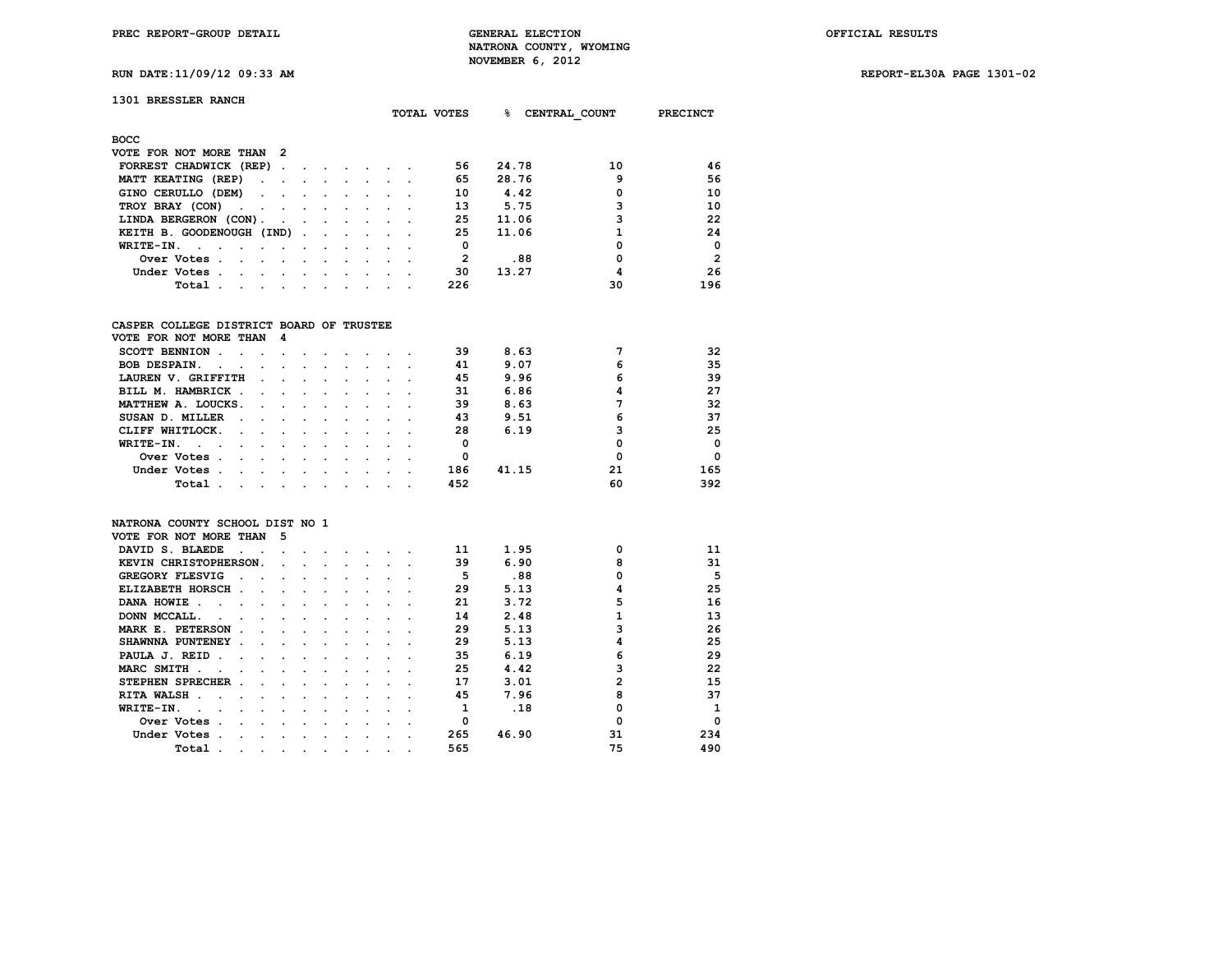**RUN DATE:11/09/12 09:33 AM REPORT-EL30A PAGE 1301-02**

| 1301 BRESSLER RANCH |  |
|---------------------|--|
|---------------------|--|

|                                                                                                                              |                      |                          |                      |                                 |  | TOTAL VOTES | ୫<br>CENTRAL COUNT |    | <b>PRECINCT</b> |
|------------------------------------------------------------------------------------------------------------------------------|----------------------|--------------------------|----------------------|---------------------------------|--|-------------|--------------------|----|-----------------|
| <b>BOCC</b>                                                                                                                  |                      |                          |                      |                                 |  |             |                    |    |                 |
| VOTE FOR NOT MORE THAN<br>- 2                                                                                                |                      |                          |                      |                                 |  |             |                    |    |                 |
| FORREST CHADWICK (REP).                                                                                                      | $\ddot{\phantom{a}}$ |                          | $\sim$ $\sim$ $\sim$ |                                 |  | 56          | 24.78              | 10 | 46              |
| MATT KEATING (REP)<br>$\sim$ $\sim$                                                                                          | $\bullet$            |                          | $\sim 100$           |                                 |  | 65          | 28.76              | 9  | 56              |
| GINO CERULLO (DEM)<br>$\sim$ $ \sim$                                                                                         | $\ddot{\phantom{a}}$ | $\cdot$                  |                      |                                 |  | 10          | 4.42               | 0  | 10              |
| TROY BRAY (CON)<br>the company of the company                                                                                | $\bullet$            | $\ddot{\phantom{0}}$     | $\cdot$              |                                 |  | 13          | 5.75               |    | 10              |
| LINDA BERGERON (CON).<br>$\sim$<br>$\sim$                                                                                    |                      |                          |                      | $\cdot$ $\cdot$ $\cdot$ $\cdot$ |  | 25          | 11.06              |    | 22              |
| KEITH B. GOODENOUGH (IND).                                                                                                   |                      | <b>Contract Contract</b> |                      | $\sim$                          |  | 25          | 11.06              |    | 24              |
| WRITE-IN.<br>the contract of the contract of the contract of the contract of the contract of the contract of the contract of |                      |                          | $\cdot$              |                                 |  | 0           |                    | 0  | $^{\circ}$      |
| Over Votes.<br>$\sim$ $\sim$ $\sim$<br>$\sim$                                                                                | $\cdot$              | $\sim$                   | $\sim$               |                                 |  |             | .88                |    | $\overline{2}$  |
| Under Votes.<br>$\sim$ $\sim$<br>$\sim$                                                                                      | $\sim$               |                          |                      |                                 |  | 30          | 13.27              | 4  | 26              |
| Total<br>$\cdot$<br>$\sim$                                                                                                   |                      |                          |                      |                                 |  | 226         |                    | 30 | 196             |

#### **CASPER COLLEGE DISTRICT BOARD OF TRUSTEE**

| VOTE FOR NOT MORE THAN 4                          |         |                                                                                                                 |  |        |  |     |       |    |          |
|---------------------------------------------------|---------|-----------------------------------------------------------------------------------------------------------------|--|--------|--|-----|-------|----|----------|
| <b>SCOTT BENNION</b>                              |         |                                                                                                                 |  |        |  | 39  | 8.63  |    | 32       |
| <b>BOB DESPAIN.</b><br>$\sim$ $\sim$              | $\sim$  |                                                                                                                 |  |        |  | 41  | 9.07  | 6  | 35       |
| LAUREN V. GRIFFITH                                |         |                                                                                                                 |  |        |  | 45  | 9.96  | 6  | 39       |
| BILL M. HAMBRICK.<br>$\sim$                       |         | $\sim$ $\sim$ $\sim$                                                                                            |  |        |  | 31  | 6.86  |    | 27       |
| MATTHEW A. LOUCKS.<br>$\sim$ $\sim$ $\sim$        |         | and the state of the state of the state of the state of the state of the state of the state of the state of the |  |        |  | 39  | 8.63  |    | 32       |
| SUSAN D. MILLER<br>$\sim$<br>$\sim$ $\sim$        |         |                                                                                                                 |  |        |  | 43  | 9.51  | 6  | 37       |
| CLIFF WHITLOCK.<br>$\ddot{\phantom{0}}$<br>$\sim$ |         |                                                                                                                 |  |        |  | 28  | 6.19  |    | 25       |
| WRITE-IN.                                         |         |                                                                                                                 |  |        |  |     |       |    | $\Omega$ |
| Over Votes<br>$\sim$                              |         |                                                                                                                 |  |        |  | 0   |       |    | $\Omega$ |
| Under Votes.                                      |         |                                                                                                                 |  | $\sim$ |  | 186 | 41.15 | 21 | 165      |
| Total<br>$\sim$                                   | $\cdot$ |                                                                                                                 |  |        |  | 452 |       | 60 | 392      |

#### **NATRONA COUNTY SCHOOL DIST NO 1**

| VOTE FOR NOT MORE THAN  | 5 |  |  |  |     |       |    |             |
|-------------------------|---|--|--|--|-----|-------|----|-------------|
| DAVID S. BLAEDE         |   |  |  |  | 11  | 1.95  |    | 11          |
| KEVIN CHRISTOPHERSON.   |   |  |  |  | 39  | 6.90  | ឧ  | 31          |
| <b>GREGORY FLESVIG</b>  |   |  |  |  | 5   | .88   |    | 5           |
| ELIZABETH HORSCH        |   |  |  |  | 29  | 5.13  |    | 25          |
| DANA HOWIE              |   |  |  |  | 21  | 3.72  | 5  | 16          |
| DONN MCCALL.            |   |  |  |  | 14  | 2.48  |    | 13          |
| MARK E. PETERSON        |   |  |  |  | 29  | 5.13  |    | 26          |
| SHAWNNA PUNTENEY        |   |  |  |  | 29  | 5.13  |    | 25          |
| PAULA J. REID           |   |  |  |  | 35  | 6.19  | 6  | 29          |
| MARC SMITH              |   |  |  |  | 25  | 4.42  |    | 22          |
| <b>STEPHEN SPRECHER</b> |   |  |  |  | 17  | 3.01  | 2  | 15          |
| <b>RITA WALSH</b>       |   |  |  |  | 45  | 7.96  |    | 37          |
| WRITE-IN.               |   |  |  |  |     | .18   |    | 1           |
| Over Votes              |   |  |  |  |     |       |    | $\mathbf 0$ |
| Under Votes             |   |  |  |  | 265 | 46.90 | 31 | 234         |
| Total                   |   |  |  |  | 565 |       | 75 | 490         |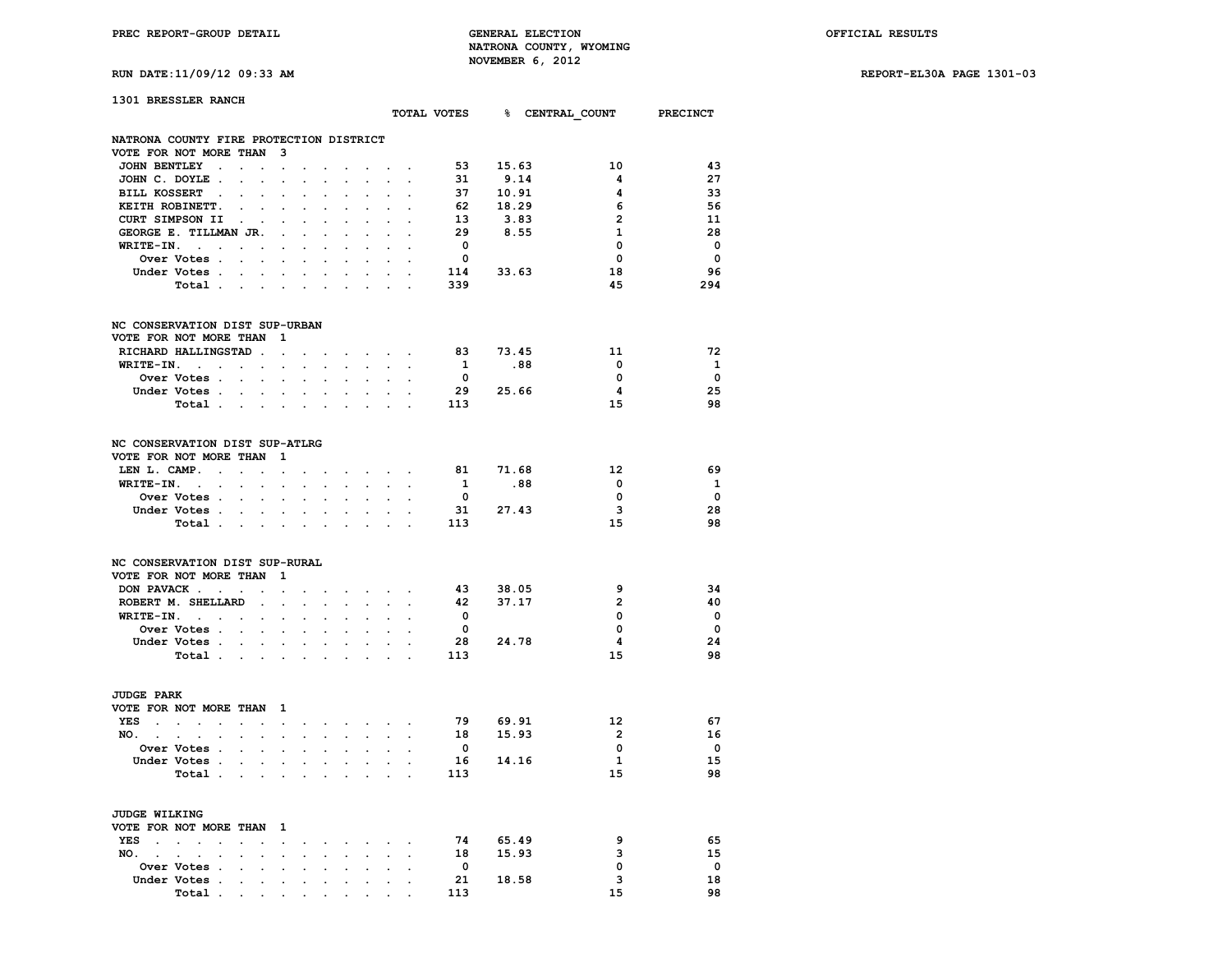**RUN DATE:11/09/12 09:33 AM REPORT-EL30A PAGE 1301-03**

# **1301 BRESSLER RANCH**

| 1901 DROODDA RANCH                                                                               |                             |                      |                                      |                                     |                                         |                      |                      |                         |           | TOTAL VOTES & CENTRAL_COUNT PRECINCT |                         |
|--------------------------------------------------------------------------------------------------|-----------------------------|----------------------|--------------------------------------|-------------------------------------|-----------------------------------------|----------------------|----------------------|-------------------------|-----------|--------------------------------------|-------------------------|
| NATRONA COUNTY FIRE PROTECTION DISTRICT                                                          |                             |                      |                                      |                                     |                                         |                      |                      |                         |           |                                      |                         |
| VOTE FOR NOT MORE THAN 3                                                                         |                             |                      |                                      |                                     |                                         |                      |                      |                         |           |                                      |                         |
| JOHN BENTLEY.<br>$\sim$<br>$\ddot{\phantom{a}}$                                                  | $\sim$                      |                      |                                      |                                     |                                         | $\sim$ $\sim$        |                      | 53                      | 15.63     | 10                                   | 43                      |
| JOHN C. DOYLE.<br>$\mathcal{L}^{\pm}$                                                            | $\ddot{\phantom{a}}$        |                      | $\ddot{\phantom{0}}$                 |                                     | $\mathcal{L}^{\mathcal{L}}$             | $\ddot{\phantom{0}}$ |                      | 31                      | 9.14      | $\overline{\mathbf{4}}$              | 27                      |
| BILL KOSSERT .<br>$\ddot{\phantom{a}}$<br>$\ddot{\phantom{0}}$                                   | $\ddot{\phantom{0}}$        |                      |                                      |                                     |                                         |                      |                      |                         | 37 10.91  | 4                                    | 33                      |
| KEITH ROBINETT.                                                                                  |                             |                      |                                      |                                     |                                         |                      |                      | 62                      | 18.29     | 6                                    | 56                      |
| CURT SIMPSON II<br>$\sim 100$ km s $^{-1}$                                                       |                             |                      |                                      |                                     |                                         |                      |                      | 13                      | 3.83      | $\overline{2}$                       | 11                      |
| GEORGE E. TILLMAN JR.                                                                            | $\mathbf{r}$                | $\mathbf{r}$         | $\mathbf{r}$                         | $\mathbf{r}$                        | $\ddot{\phantom{a}}$                    |                      |                      | 29                      | 8.55      | $\mathbf{1}$                         | 28                      |
| $WRITE-IN.$                                                                                      | $\ddot{\phantom{a}}$        | $\cdot$              | $\ddot{\phantom{0}}$                 | $\cdot$                             | $\ddot{\phantom{a}}$                    | $\ddot{\phantom{0}}$ | $\ddot{\phantom{0}}$ | $\overline{\mathbf{0}}$ |           | $\mathbf 0$                          | $\mathbf 0$             |
| Over Votes .<br>$\mathcal{L}^{\text{max}}$<br>$\sim$                                             |                             |                      |                                      |                                     |                                         |                      |                      | $\mathbf{0}$            |           | $\Omega$                             | $\overline{0}$          |
| Under Votes                                                                                      |                             | $\ddot{\phantom{0}}$ | $\sim$                               | $\ddot{\phantom{0}}$                | $\ddot{\phantom{0}}$                    | $\ddot{\phantom{0}}$ | $\ddot{\phantom{0}}$ |                         | 114 33.63 | 18                                   | 96                      |
|                                                                                                  | $\sim$                      |                      |                                      |                                     |                                         |                      |                      |                         |           | 45                                   | 294                     |
| Total                                                                                            |                             | $\bullet$            | $\ddot{\phantom{0}}$                 | $\ddot{\phantom{a}}$                | $\ddot{\phantom{a}}$                    | $\ddot{\phantom{a}}$ | $\ddot{\phantom{a}}$ | 339                     |           |                                      |                         |
| NC CONSERVATION DIST SUP-URBAN                                                                   |                             |                      |                                      |                                     |                                         |                      |                      |                         |           |                                      |                         |
| VOTE FOR NOT MORE THAN                                                                           | $\blacksquare$              |                      |                                      |                                     |                                         |                      |                      |                         |           |                                      |                         |
| RICHARD HALLINGSTAD.                                                                             | $\sim 10^{-11}$             | $\sim$               | $\ddot{\phantom{a}}$                 |                                     | the contract of the contract            |                      |                      |                         | 83 73.45  | 11                                   | 72                      |
| $WRITE-IN.$                                                                                      | $\ddot{\phantom{a}}$        |                      | $\mathbf{L} = \mathbf{L} \mathbf{L}$ |                                     | $\ddot{\phantom{a}}$                    |                      | $\sim$ $\sim$ $\sim$ | $\mathbf{1}$            | .88       | $\overline{\phantom{0}}$             | $\mathbf{1}$            |
| Over Votes                                                                                       | $\cdot$                     |                      |                                      |                                     |                                         |                      |                      | $\overline{\mathbf{0}}$ |           | 0                                    | $\mathbf 0$             |
| Under Votes                                                                                      |                             |                      |                                      |                                     |                                         |                      |                      |                         | 29 25.66  | 4                                    | 25                      |
|                                                                                                  |                             |                      |                                      |                                     | and a strong control of the state of    |                      |                      |                         |           |                                      | 98                      |
| Total                                                                                            |                             | $\sim$               | $\sim$ $\sim$                        |                                     | $\sim$                                  | $\sim$               | $\mathbf{r}$         | 113                     |           | 15                                   |                         |
| NC CONSERVATION DIST SUP-ATLRG<br>VOTE FOR NOT MORE THAN 1                                       |                             |                      |                                      |                                     |                                         |                      |                      |                         |           |                                      |                         |
| LEN L. CAMP.                                                                                     |                             |                      |                                      |                                     | and a strategic control of the state of |                      |                      |                         | 81 71.68  | 12                                   | 69                      |
| $WRITE-TN.$<br>$\mathbf{r}$                                                                      |                             |                      |                                      |                                     |                                         |                      |                      | $\mathbf{1}$            | .88       | 0                                    | <b>1</b>                |
| $\sim 100$                                                                                       | $\ddot{\phantom{a}}$        |                      |                                      |                                     |                                         |                      |                      |                         |           |                                      |                         |
| Over Votes                                                                                       |                             | $\sim$               | $\mathbf{L}$                         | $\mathcal{L}^{\text{max}}$          | $\sim$                                  | $\mathbf{L}$         | $\mathbf{r}$         | $\overline{\mathbf{0}}$ |           | $\overline{\mathbf{0}}$              | $\mathbf 0$             |
| Under Votes<br>$\sim$<br>Total                                                                   | $\sim$                      | $\ddot{\phantom{a}}$ | $\bullet$                            | $\ddot{\phantom{a}}$                | $\ddot{\phantom{a}}$                    |                      |                      | 113                     | 31 27.43  | 3<br>15                              | 28<br>98                |
| NC CONSERVATION DIST SUP-RURAL<br>VOTE FOR NOT MORE THAN 1                                       |                             |                      |                                      |                                     |                                         |                      |                      |                         |           |                                      |                         |
|                                                                                                  |                             |                      |                                      |                                     |                                         |                      |                      |                         |           |                                      |                         |
| DON PAVACK                                                                                       | $\ddot{\phantom{0}}$        |                      |                                      |                                     | $\sim$ $\sim$ $\sim$                    |                      |                      | 43                      | 38.05     | 9                                    | 34                      |
| ROBERT M. SHELLARD.                                                                              | $\mathcal{L}_{\mathcal{A}}$ |                      | $\ddot{\phantom{0}}$                 | $\sim$                              | $\sim$                                  | $\ddot{\phantom{0}}$ | $\ddot{\phantom{0}}$ | 42                      | 37.17     | $\overline{2}$                       | 40                      |
| $WRITE-TN.$<br>$\mathbf{L}^{\text{max}}$                                                         | $\ddot{\phantom{0}}$        |                      |                                      | $\ddot{\phantom{a}}$                | $\ddot{\phantom{0}}$                    |                      |                      | $\overline{\mathbf{0}}$ |           | 0                                    | $\mathbf 0$             |
| Over Votes                                                                                       | $\ddot{\phantom{a}}$        |                      |                                      |                                     |                                         |                      |                      | $\overline{\mathbf{0}}$ |           | 0                                    | $\Omega$                |
| Under Votes<br>$\mathbf{L}^{\text{max}}$                                                         |                             |                      |                                      |                                     |                                         |                      |                      |                         | 28 24.78  | $\overline{\mathbf{4}}$              | 24                      |
| Total                                                                                            | $\sim$                      |                      | $\ddot{\phantom{0}}$                 | $\ddot{\phantom{a}}$                | $\ddot{\phantom{0}}$                    | $\ddot{\phantom{a}}$ | $\ddot{\phantom{a}}$ | 113                     |           | 15                                   | 98                      |
| <b>JUDGE PARK</b>                                                                                |                             |                      |                                      |                                     |                                         |                      |                      |                         |           |                                      |                         |
| VOTE FOR NOT MORE THAN 1                                                                         |                             |                      |                                      |                                     |                                         |                      |                      |                         |           |                                      |                         |
| YES<br>the contract of the contract of<br>$\sim$                                                 | $\sim$                      |                      |                                      |                                     | and a strong control of the state       |                      |                      | 79                      | 69.91     | 12 <sup>2</sup>                      | 67                      |
| NO.                                                                                              |                             | $\ddot{\phantom{0}}$ | $\ddot{\phantom{0}}$                 |                                     | <b>Contract Contract</b>                |                      | $\mathbf{r}$         |                         | 18 15.93  | $\overline{2}$                       | 16                      |
| Over Votes .<br>$\mathbf{L}^{\text{max}}$ , and $\mathbf{L}^{\text{max}}$                        | $\sim$                      |                      |                                      |                                     |                                         |                      |                      | $\overline{\mathbf{0}}$ |           | 0                                    | $\overline{\mathbf{0}}$ |
| Under Votes .                                                                                    |                             | $\ddot{\phantom{0}}$ | $\ddot{\phantom{0}}$                 | $\ddot{\phantom{0}}$                | $\bullet$ .                             | $\cdot$              | $\ddot{\phantom{a}}$ |                         | 16 14.16  | 1                                    | 15                      |
| <b>Contract Contract</b><br>Total                                                                | $\sim$                      | $\cdot$              | $\ddot{\phantom{0}}$                 | $\ddot{\phantom{a}}$                | $\ddot{\phantom{0}}$                    | $\sim$               | $\ddot{\phantom{a}}$ | 113                     |           | 15                                   | 98                      |
|                                                                                                  |                             |                      |                                      |                                     |                                         |                      |                      |                         |           |                                      |                         |
| <b>JUDGE WILKING</b>                                                                             |                             |                      |                                      |                                     |                                         |                      |                      |                         |           |                                      |                         |
| VOTE FOR NOT MORE THAN                                                                           | $\mathbf{1}$                |                      |                                      |                                     |                                         |                      |                      |                         |           |                                      |                         |
| YES<br>$\ddot{\phantom{0}}$<br>$\sim 10$<br><b>Contract Contract</b><br><b>Contract Contract</b> | $\sim$                      | $\ddot{\phantom{0}}$ | $\ddot{\phantom{0}}$                 | $\sim$                              | $\sim$                                  | $\sim$               | $\sim$               | 74                      | 65.49     | 9                                    | 65                      |
| NO.<br>$\cdot$<br>$\sim$                                                                         |                             |                      |                                      |                                     | $\cdot$                                 | $\sim$               | $\cdot$              | 18                      | 15.93     | з                                    | 15                      |
| Over Votes .<br>$\ddot{\phantom{0}}$                                                             | $\cdot$                     |                      |                                      |                                     | $\ddot{\phantom{a}}$                    | $\ddot{\phantom{a}}$ | $\cdot$              | $\overline{\mathbf{0}}$ |           | 0                                    | $\mathbf{o}$            |
| Under Votes .<br>$\sim$<br>$\ddot{\phantom{0}}$                                                  | $\mathbf{r}$                | $\ddot{\phantom{a}}$ | $\ddot{\phantom{a}}$                 | $\ddot{\phantom{a}}$                | $\bullet$ .                             | $\ddot{\phantom{0}}$ | $\cdot$              | 21                      | 18.58     | 3                                    | 18                      |
| Total                                                                                            |                             |                      |                                      |                                     |                                         |                      |                      | 113                     |           | 15                                   | 98                      |
| and the contract of the con-                                                                     |                             |                      |                                      | $\bullet$ .<br><br><br><br><br><br> |                                         |                      |                      |                         |           |                                      |                         |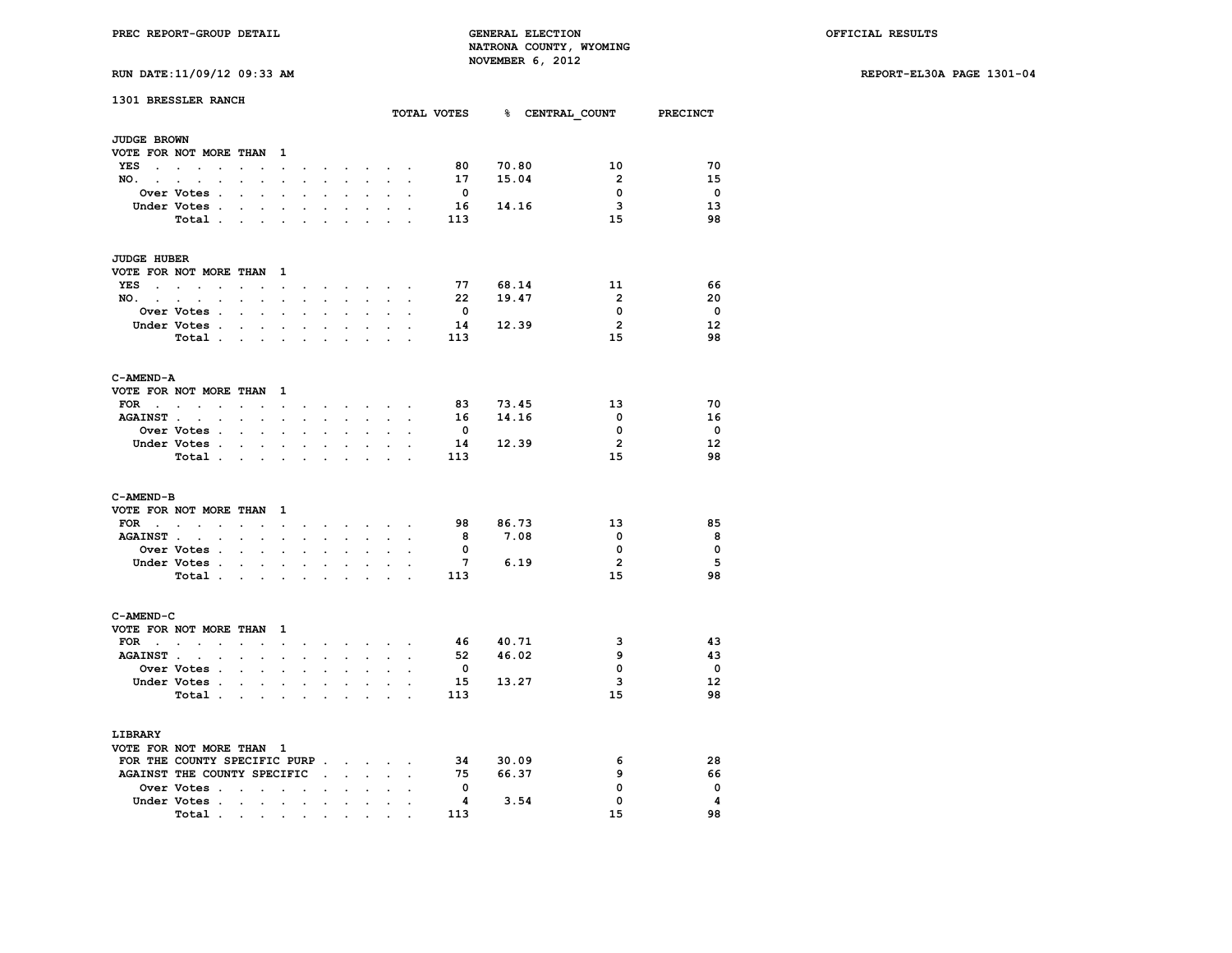**RUN DATE:11/09/12 09:33 AM REPORT-EL30A PAGE 1301-04**

|  |  |  |  |  | RUN DATE:11/09/12 09:33 AM |  |
|--|--|--|--|--|----------------------------|--|
|--|--|--|--|--|----------------------------|--|

| 1301 BRESSLER RANCH                 |                                                       |                                              |                                          |                      |                      |                            |                      |                         |                          |                |                         |                |      | TOTAL VOTES 8 CENTRAL COUNT | <b>PRECINCT</b>         |
|-------------------------------------|-------------------------------------------------------|----------------------------------------------|------------------------------------------|----------------------|----------------------|----------------------------|----------------------|-------------------------|--------------------------|----------------|-------------------------|----------------|------|-----------------------------|-------------------------|
| <b>JUDGE BROWN</b>                  |                                                       |                                              |                                          |                      |                      |                            |                      |                         |                          |                |                         |                |      |                             |                         |
| VOTE FOR NOT MORE THAN              |                                                       |                                              |                                          | - 1                  |                      |                            |                      |                         |                          |                |                         |                |      |                             |                         |
| <b>YES</b><br>$\sim$                | $\sim$<br>$\sim$<br>$\ddot{\phantom{a}}$              | $\overline{a}$                               |                                          | $\cdot$              |                      |                            | $\cdot$              | $\cdot$                 |                          |                | 80                      | 70.80          |      | 10                          | 70                      |
| NO.                                 | <b>Contract Contract</b><br>$\cdot$                   | $\ddot{\phantom{0}}$                         | $\ddot{\phantom{0}}$                     | $\ddot{\phantom{0}}$ | $\bullet$            | $\mathcal{L}^{\text{max}}$ | $\blacksquare$       | $\ddot{\phantom{0}}$    | $\cdot$                  |                | 17                      | 15.04          |      | $\overline{2}$              | 15                      |
|                                     | Over Votes .                                          |                                              |                                          |                      |                      |                            |                      |                         |                          |                | $\overline{\mathbf{0}}$ |                |      | $\mathbf 0$                 | $\overline{\mathbf{0}}$ |
|                                     | Under Votes .                                         | $\cdot$                                      | $\ddot{\phantom{0}}$                     | $\ddot{\phantom{a}}$ | $\ddot{\phantom{a}}$ | $\ddot{\phantom{a}}$       |                      |                         |                          |                | 16                      | 14.16          |      | 3                           | 13                      |
|                                     | Total .                                               | $\ddot{\phantom{a}}$                         | $\ddot{\phantom{a}}$                     |                      |                      |                            |                      |                         |                          |                | 113                     |                |      | 15                          | 98                      |
|                                     |                                                       |                                              |                                          |                      |                      |                            |                      |                         |                          |                |                         |                |      |                             |                         |
| JUDGE HUBER                         |                                                       |                                              |                                          |                      |                      |                            |                      |                         |                          |                |                         |                |      |                             |                         |
| VOTE FOR NOT MORE THAN              |                                                       |                                              |                                          | - 1                  |                      |                            |                      |                         |                          |                |                         |                |      |                             |                         |
| YES                                 | <b>Contract Contract Contract Contract</b><br>$\cdot$ | $\ddot{\phantom{a}}$                         |                                          | $\ddot{\phantom{0}}$ |                      | $\sim$<br>$\sim$           | $\sim$               | $\sim$                  |                          |                | 77                      | 68.14          |      | 11                          | 66                      |
| NO.                                 |                                                       | $\bullet$<br>$\bullet$                       | $\sim$ $\sim$                            | $\sim$               | $\ddot{\phantom{0}}$ | $\sim$                     | $\ddot{\phantom{0}}$ | $\mathcal{L}^{\pm}$     | $\ddot{\phantom{a}}$     | $\overline{a}$ | 22                      | 19.47          |      | $\overline{2}$              | 20                      |
|                                     | Over Votes .                                          |                                              |                                          |                      |                      |                            |                      |                         |                          |                | $\mathbf{0}$            |                |      | $\Omega$                    | $\mathbf{0}$            |
|                                     | Under Votes .                                         | $\sim$                                       | $\sim$                                   | $\mathbf{r}$         | $\overline{a}$       | $\mathbf{r}$               |                      | $\cdot$                 |                          |                | 14                      | 12.39          |      | $\overline{2}$              | $12 \overline{ }$       |
|                                     | Total .                                               |                                              | the company of                           | $\bullet$            | $\ddot{\phantom{0}}$ | $\ddot{\phantom{a}}$       | $\cdot$              | $\ddot{\phantom{a}}$    | $\ddot{\phantom{a}}$     |                | 113                     |                |      | 15                          | 98                      |
| C-AMEND-A                           |                                                       |                                              |                                          |                      |                      |                            |                      |                         |                          |                |                         |                |      |                             |                         |
| VOTE FOR NOT MORE THAN              |                                                       |                                              |                                          | 1                    |                      |                            |                      |                         |                          |                |                         |                |      |                             |                         |
| FOR                                 | $\sim 10^{-11}$<br>$\bullet$                          | $\ddot{\phantom{0}}$                         | $\ddot{\phantom{0}}$                     | $\sim$               | $\ddot{\phantom{0}}$ | $\sim$                     | $\ddot{\phantom{0}}$ | $\ddot{\phantom{0}}$    |                          |                | 83                      | 73.45          |      | 13                          | 70                      |
| <b>AGAINST</b>                      | $\ddot{\phantom{a}}$                                  | $\ddot{\phantom{a}}$                         | $\ddot{\phantom{a}}$                     | $\ddot{\phantom{0}}$ |                      |                            |                      |                         |                          |                | 16                      | 14.16          |      | $\mathbf 0$                 | 16                      |
|                                     | <b>Over Votes .</b>                                   | $\cdot$                                      | $\cdot$                                  |                      |                      |                            |                      |                         |                          |                | $\mathbf 0$             |                |      | 0                           | $\mathbf 0$             |
|                                     | Under Votes .                                         | $\ddot{\phantom{0}}$                         | $\ddot{\phantom{0}}$                     | $\bullet$            | $\ddot{\phantom{0}}$ | $\ddot{\phantom{0}}$       | $\ddot{\phantom{0}}$ | $\ddot{\phantom{0}}$    | $\ddot{\phantom{0}}$     |                | 14                      | 12.39          |      | $\overline{2}$              | 12                      |
|                                     | Total.                                                |                                              | $\mathbf{r} = \mathbf{r} + \mathbf{r}$ . |                      | $\overline{a}$       |                            |                      |                         |                          |                | 113                     |                |      | 15                          | 98                      |
| C-AMEND-B<br>VOTE FOR NOT MORE THAN |                                                       |                                              |                                          | 1                    |                      |                            |                      |                         |                          |                |                         |                |      |                             |                         |
| $FOR \t{.} \t{.}$                   |                                                       | $\ddot{\phantom{0}}$                         | $\sim$                                   | $\bullet$            | $\ddot{\phantom{a}}$ | $\ddot{\phantom{0}}$       | $\ddot{\phantom{a}}$ | $\sim 100$ km s $^{-1}$ |                          |                | 98                      | 86.73          |      | 13                          | 85                      |
| <b>AGAINST.</b>                     | $\sim$<br>$\sim$                                      |                                              |                                          | $\overline{a}$       |                      | $\overline{a}$             |                      |                         |                          |                | - 8                     | 7.08           |      | 0                           | 8                       |
|                                     | Over Votes .                                          | $\ddot{\phantom{a}}$                         | $\ddot{\phantom{0}}$                     |                      |                      |                            |                      |                         |                          |                | $\mathbf 0$             |                |      | 0                           | $\mathbf{0}$            |
|                                     | Under Votes .                                         |                                              |                                          |                      |                      |                            |                      |                         | $\overline{\phantom{a}}$ |                | $7\phantom{.0}$         |                | 6.19 | $\overline{2}$              | 5                       |
|                                     | Total .                                               | $\bullet$<br>$\overline{a}$                  | $\bullet$<br>$\ddot{\phantom{0}}$        | $\bullet$            | $\ddot{\phantom{a}}$ | $\ddot{\phantom{a}}$       | $\ddot{\phantom{a}}$ | $\ddot{\phantom{a}}$    |                          |                | 113                     |                |      | 15                          | 98                      |
|                                     |                                                       |                                              |                                          |                      |                      |                            |                      |                         |                          |                |                         |                |      |                             |                         |
| C-AMEND-C<br>VOTE FOR NOT MORE THAN |                                                       |                                              |                                          | 1                    |                      |                            |                      |                         |                          |                |                         |                |      |                             |                         |
|                                     |                                                       |                                              |                                          |                      |                      |                            |                      |                         |                          |                |                         |                |      |                             | 43                      |
| $FOR \t{.} \t{.} \t{.}$             |                                                       | $\bullet$                                    | $\ddot{\phantom{0}}$                     | $\blacksquare$       | $\ddot{\phantom{0}}$ | $\blacksquare$             | $\bullet$            | <b>Contractor</b>       | $\ddot{\phantom{0}}$     |                | 46                      | 40.71<br>46.02 |      | з<br>9                      | 43                      |
| <b>AGAINST.</b>                     | $\ddot{\phantom{a}}$                                  | $\ddot{\phantom{a}}$<br>$\ddot{\phantom{a}}$ |                                          | $\ddot{\phantom{a}}$ |                      |                            |                      |                         |                          |                | 52                      |                |      |                             |                         |
|                                     | Over Votes .                                          | $\ddot{\phantom{0}}$                         | $\ddot{\phantom{0}}$                     | $\ddot{\phantom{0}}$ | $\ddot{\phantom{a}}$ | $\cdot$                    | $\ddot{\phantom{a}}$ | $\ddot{\phantom{0}}$    |                          |                | $\mathbf{0}$            |                |      | 0                           | $\mathbf 0$             |
|                                     | Under Votes.                                          | $\ddot{\phantom{a}}$                         | $\ddot{\phantom{a}}$                     | $\ddot{\phantom{a}}$ |                      |                            |                      |                         |                          |                | 15                      | 13.27          |      | 3                           | 12                      |
|                                     | Total .                                               | $\cdot$                                      | $\ddot{\phantom{a}}$                     |                      |                      |                            |                      |                         |                          |                | 113                     |                |      | 15                          | 98                      |
| LIBRARY                             |                                                       |                                              |                                          |                      |                      |                            |                      |                         |                          |                |                         |                |      |                             |                         |
| VOTE FOR NOT MORE THAN 1            |                                                       |                                              |                                          |                      |                      |                            |                      |                         |                          |                |                         |                |      |                             |                         |
| FOR THE COUNTY SPECIFIC PURP        |                                                       |                                              |                                          |                      |                      |                            |                      |                         |                          |                | 34                      | 30.09          |      | 6                           | 28                      |
| AGAINST THE COUNTY SPECIFIC         |                                                       |                                              |                                          |                      |                      | $\ddot{\phantom{0}}$       |                      |                         |                          |                | 75                      | 66.37          |      | 9                           | 66                      |
|                                     | Over Votes .                                          |                                              | $\sim$ $\sim$                            | $\ddot{\phantom{a}}$ | $\cdot$              | $\sim$                     | $\cdot$              | $\ddot{\phantom{a}}$    |                          |                | 0                       |                |      | 0                           | $\mathbf 0$             |
|                                     | Under Votes .                                         | $\ddot{\phantom{a}}$                         |                                          |                      |                      |                            |                      |                         |                          |                | -4                      |                | 3.54 | 0                           | $\overline{\mathbf{4}}$ |
|                                     | Total.                                                | $\sim$                                       | $\ddot{\phantom{a}}$                     | $\ddot{\phantom{0}}$ | $\ddot{\phantom{0}}$ | $\cdot$                    | $\ddot{\phantom{0}}$ |                         |                          |                | 113                     |                |      | 15                          | 98                      |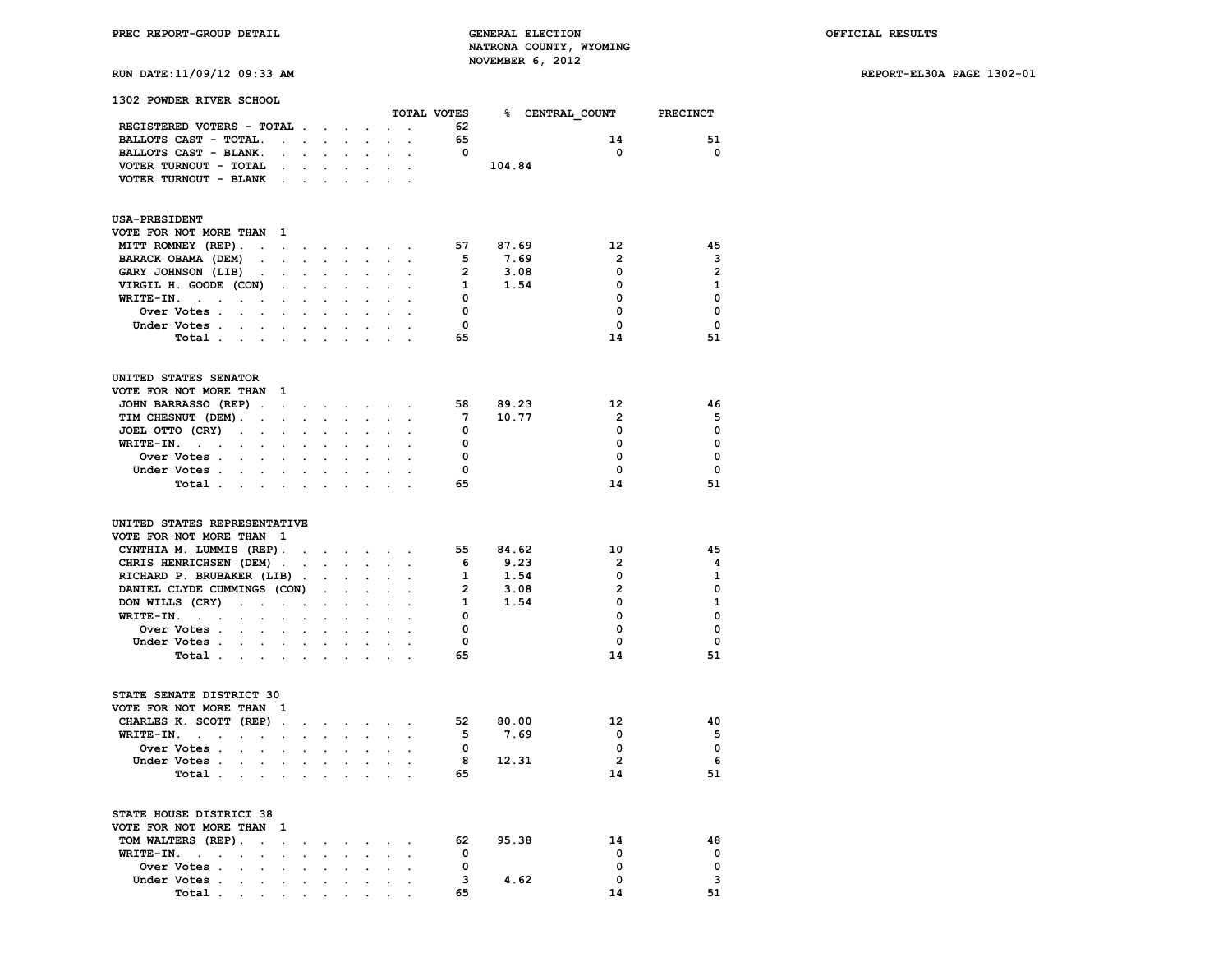# **RUN DATE:11/09/12 09:33 AM REPORT-EL30A PAGE 1302-01**

| 1302 POWDER RIVER SCHOOL                                                                 |                      |                                                             |                      |                      |                                               |                                                                               |                         | TOTAL VOTES 8 CENTRAL COUNT PRECINCT |                         |                |
|------------------------------------------------------------------------------------------|----------------------|-------------------------------------------------------------|----------------------|----------------------|-----------------------------------------------|-------------------------------------------------------------------------------|-------------------------|--------------------------------------|-------------------------|----------------|
| REGISTERED VOTERS - TOTAL                                                                |                      |                                                             |                      | $\bullet$            |                                               | $\mathbf{r} = \mathbf{r} \cdot \mathbf{r}$                                    | 62                      |                                      |                         |                |
| BALLOTS CAST - TOTAL.<br>$\sim 10^{-10}$ km s $^{-1}$                                    |                      | $\mathbf{L}$                                                | $\sim$               |                      |                                               |                                                                               | 65                      |                                      | 14                      | 51             |
|                                                                                          |                      |                                                             | $\mathcal{L}^{\pm}$  |                      |                                               |                                                                               | $\overline{\mathbf{0}}$ |                                      | $\mathbf 0$             | $\mathbf{o}$   |
| BALLOTS CAST - BLANK.<br>$\blacksquare$                                                  | $\ddot{\phantom{a}}$ | $\sim$                                                      |                      | $\ddot{\phantom{0}}$ | $\ddot{\phantom{a}}$                          | $\sim$                                                                        |                         |                                      |                         |                |
| VOTER TURNOUT - TOTAL<br>$\sim$                                                          |                      | $\mathcal{L}^{\text{max}}$ , and $\mathcal{L}^{\text{max}}$ |                      |                      | <b>Service</b> State                          | $\ddot{\phantom{a}}$                                                          |                         | 104.84                               |                         |                |
| VOTER TURNOUT - BLANK.                                                                   |                      | $\mathbf{r} = \mathbf{r} \mathbf{r}$ , where $\mathbf{r}$   |                      |                      | $\sim$                                        |                                                                               |                         |                                      |                         |                |
| <b>USA-PRESIDENT</b>                                                                     |                      |                                                             |                      |                      |                                               |                                                                               |                         |                                      |                         |                |
| VOTE FOR NOT MORE THAN<br>-1                                                             |                      |                                                             |                      |                      |                                               |                                                                               |                         |                                      |                         |                |
| MITT ROMNEY (REP).                                                                       |                      |                                                             |                      |                      |                                               | and a strong control of the state of                                          |                         | 57 87.69                             | 12                      | 45             |
| BARACK OBAMA (DEM)<br>$\ddot{\phantom{0}}$                                               | $\mathbf{L}$         | $\mathcal{L}^{\text{max}}$                                  |                      |                      | $\mathcal{L}^{\text{max}}$                    |                                                                               | 5                       | 7.69                                 | $\overline{\mathbf{2}}$ | $\mathbf{3}$   |
| GARY JOHNSON (LIB)<br>$\sim$<br>$\sim$ $\sim$                                            | $\cdot$              |                                                             |                      |                      | $\ddot{\phantom{0}}$                          | $\ddot{\phantom{a}}$                                                          | $\overline{2}$          | 3.08                                 | 0                       | $\overline{2}$ |
| VIRGIL H. GOODE (CON)<br>$\mathbf{r}$                                                    | $\sim$               | $\mathbf{r}$                                                | $\sim$               | $\mathbf{r}$         | $\ddot{\phantom{a}}$                          | $\ddot{\phantom{a}}$                                                          | <b>1</b>                | 1.54                                 | 0                       | $\mathbf{1}$   |
| WRITE-IN.<br><b>Contract Contract</b><br>$\sim$ $\sim$<br>$\sim$<br>$\ddot{\phantom{a}}$ | $\cdot$              | $\ddot{\phantom{a}}$                                        |                      | $\ddot{\phantom{a}}$ | $\ddot{\phantom{a}}$                          |                                                                               | $\overline{\mathbf{0}}$ |                                      | $\mathbf 0$             | $\mathbf 0$    |
| Over Votes<br><b>Contract Contract</b><br>$\ddot{\phantom{a}}$                           |                      |                                                             |                      |                      |                                               |                                                                               | $\overline{\mathbf{0}}$ |                                      | 0                       | $\mathbf 0$    |
| Under Votes .                                                                            |                      |                                                             |                      |                      |                                               |                                                                               | $\overline{\mathbf{0}}$ |                                      | $\mathbf 0$             | $\mathbf 0$    |
| Total<br>$\sim$                                                                          |                      |                                                             |                      |                      |                                               |                                                                               | 65                      |                                      | 14                      | 51             |
| UNITED STATES SENATOR                                                                    |                      |                                                             |                      |                      |                                               |                                                                               |                         |                                      |                         |                |
| VOTE FOR NOT MORE THAN<br><sup>1</sup>                                                   |                      |                                                             |                      |                      |                                               |                                                                               |                         |                                      |                         |                |
| JOHN BARRASSO (REP).                                                                     |                      | the contract of the contract of                             |                      |                      |                                               | $\ddot{\phantom{a}}$                                                          |                         | 58 89.23                             | 12                      | 46             |
| TIM CHESNUT (DEM).<br>$\sim$<br>$\ddot{\phantom{0}}$                                     | $\ddot{\phantom{a}}$ | $\ddot{\phantom{a}}$                                        |                      | $\ddot{\phantom{a}}$ | $\ddot{\phantom{0}}$                          | $\cdot$                                                                       | 7                       | 10.77                                | $\overline{2}$          | 5              |
| JOEL OTTO (CRY)<br>$\sim$ $\sim$<br>$\sim$<br>$\ddot{\phantom{0}}$                       |                      |                                                             |                      |                      |                                               |                                                                               | $\overline{\mathbf{0}}$ |                                      | 0                       | $\mathbf 0$    |
| WRITE-IN.                                                                                |                      |                                                             |                      |                      |                                               |                                                                               | $\overline{\mathbf{0}}$ |                                      | $\mathbf 0$             | $\mathbf 0$    |
| <b>Contract</b><br>$\ddot{\phantom{0}}$                                                  |                      |                                                             |                      |                      |                                               |                                                                               | $\mathbf{0}$            |                                      | $\Omega$                | $\mathbf 0$    |
| Over Votes<br>$\sim$                                                                     |                      |                                                             |                      |                      |                                               |                                                                               | $\Omega$                |                                      | $\Omega$                | $\Omega$       |
| Under Votes.<br>$\ddot{\phantom{0}}$<br>$\mathcal{L}^{\text{max}}$                       | $\ddot{\phantom{0}}$ |                                                             | $\ddot{\phantom{0}}$ |                      |                                               |                                                                               |                         |                                      |                         |                |
| Total .<br>$\mathcal{A}$ and $\mathcal{A}$ are also becomes the $\mathcal{A}$            |                      |                                                             | $\sim$               |                      |                                               | $\mathbf{L} = \mathbf{L}$                                                     | 65                      |                                      | 14                      | 51             |
| UNITED STATES REPRESENTATIVE                                                             |                      |                                                             |                      |                      |                                               |                                                                               |                         |                                      |                         |                |
| VOTE FOR NOT MORE THAN 1                                                                 |                      |                                                             |                      |                      |                                               |                                                                               |                         |                                      |                         |                |
| CYNTHIA M. LUMMIS (REP).                                                                 | $\sim$               |                                                             |                      |                      | and a strong control of the strong structure. |                                                                               |                         | 55 84.62                             | 10                      | 45             |
| CHRIS HENRICHSEN (DEM).                                                                  |                      |                                                             |                      |                      |                                               |                                                                               | - 6                     | 9.23                                 | $\overline{2}$          | 4              |
| RICHARD P. BRUBAKER (LIB).                                                               |                      |                                                             |                      |                      |                                               |                                                                               | $\mathbf{1}$            | 1.54                                 | $\mathbf 0$             | $\mathbf{1}$   |
| DANIEL CLYDE CUMMINGS (CON)                                                              |                      |                                                             | $\mathbf{r}$         | $\ddot{\phantom{0}}$ | $\ddot{\phantom{0}}$                          |                                                                               | $\overline{2}$          | 3.08                                 | $\overline{2}$          | $\mathbf 0$    |
| DON WILLS (CRY)<br>$\sim 100$<br>$\mathcal{L}^{\text{max}}$                              | $\bullet$            | $\ddot{\phantom{0}}$                                        | $\ddot{\phantom{a}}$ | $\ddot{\phantom{a}}$ | $\ddot{\phantom{0}}$                          | $\ddot{\phantom{a}}$                                                          | $\mathbf{1}$            | 1.54                                 | $\mathbf 0$             | $\mathbf{1}$   |
| WRITE-IN.<br>$\mathbf{r}$                                                                | $\ddot{\phantom{a}}$ | $\ddot{\phantom{a}}$                                        |                      |                      |                                               |                                                                               | $\overline{\mathbf{0}}$ |                                      | $\mathbf 0$             | $\mathbf 0$    |
| Over Votes .<br>$\sim 10^{-11}$<br>$\cdot$<br>$\cdot$                                    |                      |                                                             |                      |                      |                                               |                                                                               | 0                       |                                      | 0                       | $\mathbf 0$    |
| Under Votes<br>$\mathbf{r} = \mathbf{r}$                                                 | $\sim$               | $\sim$                                                      | $\sim$               | $\sim$               | $\ddot{\phantom{a}}$                          | $\sim$                                                                        | $\mathbf{0}$            |                                      | $\mathbf 0$             | $\mathbf 0$    |
| Total.<br>$\cdot$ $\cdot$<br>$\sim$ $\sim$                                               | $\mathbf{r}$         | $\sim$                                                      |                      |                      |                                               |                                                                               | 65                      |                                      | 14                      | 51             |
|                                                                                          |                      |                                                             |                      |                      |                                               |                                                                               |                         |                                      |                         |                |
| STATE SENATE DISTRICT 30                                                                 |                      |                                                             |                      |                      |                                               |                                                                               |                         |                                      |                         |                |
| VOTE FOR NOT MORE THAN 1                                                                 |                      |                                                             |                      |                      |                                               |                                                                               |                         |                                      |                         |                |
| CHARLES K. SCOTT (REP).                                                                  | $\cdot$              |                                                             |                      |                      |                                               | $\mathbf{r} = \mathbf{r} + \mathbf{r} + \mathbf{r} + \mathbf{r} + \mathbf{r}$ |                         | 52 80.00                             | 12                      | 40             |
| WRITE-IN.<br><b>Contract Contract</b><br>$\ddot{\phantom{0}}$                            | $\sim$               |                                                             |                      |                      | $\mathbf{L}$                                  |                                                                               | 5 <sub>1</sub>          | 7.69                                 | $\mathbf{0}$            | - 5            |
| Over Votes .<br>$\ddot{\phantom{a}}$<br>$\cdot$<br>$\ddot{\phantom{0}}$                  | $\cdot$              |                                                             |                      |                      |                                               | $\ddot{\phantom{a}}$                                                          | $\overline{\mathbf{0}}$ |                                      | 0                       | $\mathbf{o}$   |
| Under Votes.<br>$\mathbf{r}$<br>$\mathbf{r}$<br>$\sim$                                   | $\sim$               | $\ddot{\phantom{0}}$                                        | $\mathbf{r}$         | $\sim$               | $\cdot$                                       | $\sim$                                                                        |                         | 8 12.31                              | $\overline{2}$          | - 6            |
| Total .<br><b>Contract Contract</b><br>$\mathbf{r}$                                      |                      |                                                             |                      |                      |                                               |                                                                               | 65                      |                                      | 14                      | 51             |
| STATE HOUSE DISTRICT 38                                                                  |                      |                                                             |                      |                      |                                               |                                                                               |                         |                                      |                         |                |
| VOTE FOR NOT MORE THAN<br>-1                                                             |                      |                                                             |                      |                      |                                               |                                                                               |                         |                                      |                         |                |
| TOM WALTERS (REP).<br>$\bullet$<br>$\sim$                                                | $\cdot$              | $\bullet$                                                   |                      | $\ddot{\phantom{a}}$ |                                               | $\cdot$                                                                       |                         | 62 95.38                             | 14                      | 48             |
| $WRITE-IN.$ .<br>$\mathbf{r}$<br>$\ddot{\phantom{0}}$                                    | $\ddot{\phantom{0}}$ | $\sim$                                                      |                      |                      |                                               |                                                                               | $\overline{\mathbf{0}}$ |                                      | 0                       | $\mathbf 0$    |
| Over Votes .<br>$\sim$<br>$\cdot$                                                        |                      |                                                             |                      |                      |                                               |                                                                               | $\mathbf 0$             |                                      | 0                       | $\mathbf 0$    |
| $\ddot{\phantom{0}}$<br>Under Votes .<br>$\mathbf{r}$<br>$\sim$                          |                      |                                                             |                      |                      |                                               |                                                                               |                         | 3 4.62                               | $\mathbf 0$             | 3              |
| $\sim$<br>Total                                                                          | $\cdot$              | $\ddot{\phantom{a}}$                                        | $\cdot$              | $\sim$               | $\sim$                                        | $\cdot$                                                                       | 65                      |                                      | 14                      | 51             |
| <b>Contractor</b><br>$\sim$                                                              |                      |                                                             |                      |                      |                                               |                                                                               |                         |                                      |                         |                |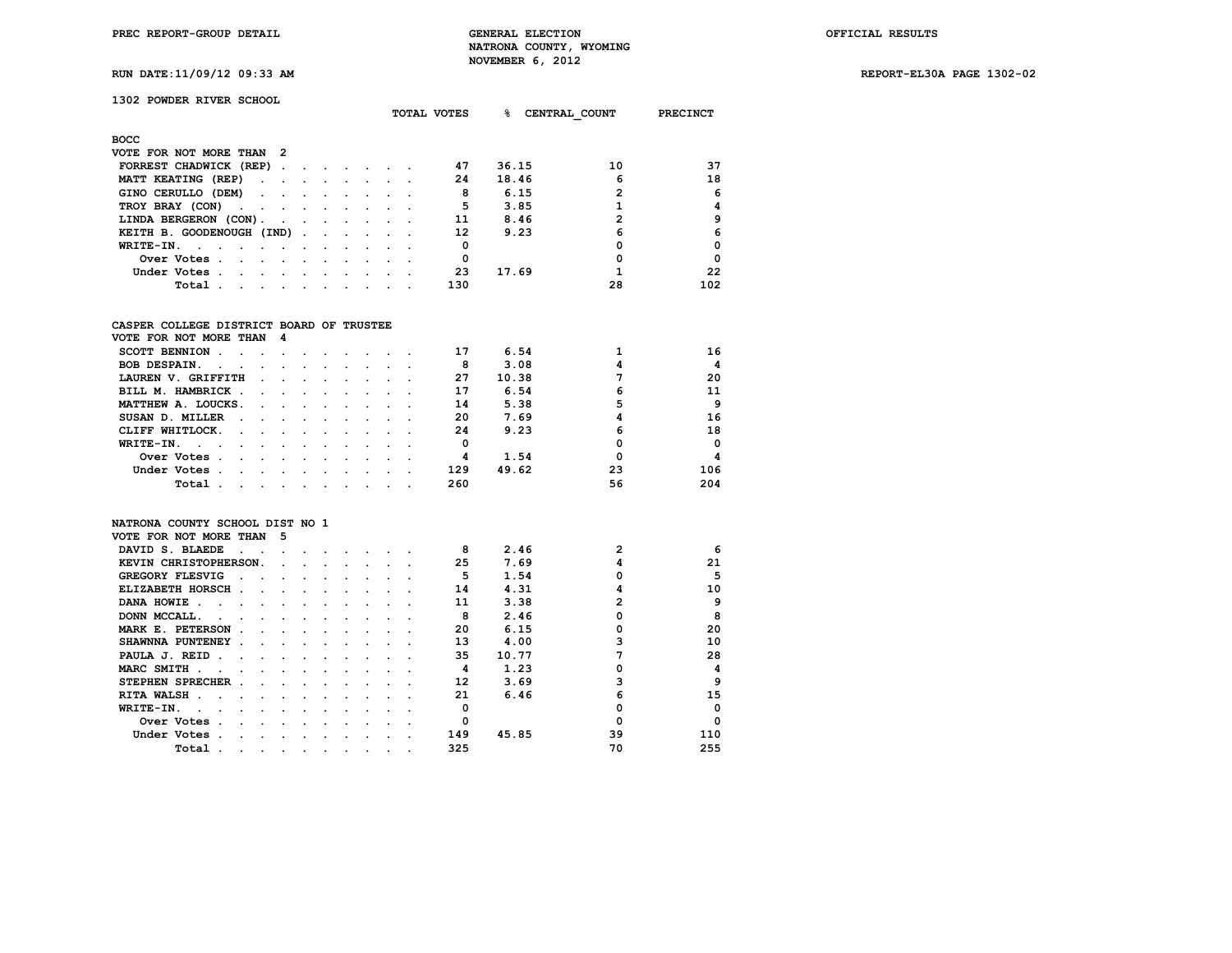**RUN DATE:11/09/12 09:33 AM REPORT-EL30A PAGE 1302-02**

# **1302 POWDER RIVER SCHOOL**

|                                                                                                                                |                                 |                                                                                 |                          |                                 | TOTAL VOTES | ·     | CENTRAL COUNT | <b>PRECINCT</b> |
|--------------------------------------------------------------------------------------------------------------------------------|---------------------------------|---------------------------------------------------------------------------------|--------------------------|---------------------------------|-------------|-------|---------------|-----------------|
| <b>BOCC</b>                                                                                                                    |                                 |                                                                                 |                          |                                 |             |       |               |                 |
| VOTE FOR NOT MORE THAN 2                                                                                                       |                                 |                                                                                 |                          |                                 |             |       |               |                 |
| FORREST CHADWICK (REP).<br>$\sim$                                                                                              |                                 | the contract of the contract of the contract of the contract of the contract of |                          |                                 | 47          | 36.15 | 10            | 37              |
| MATT KEATING (REP)                                                                                                             |                                 | the contract of the contract of the contract of the contract of the contract of |                          |                                 | 24          | 18.46 | 6             | 18              |
| GINO CERULLO (DEM)                                                                                                             |                                 |                                                                                 |                          | .                               | 8           | 6.15  | $\mathbf{2}$  | 6               |
| TROY BRAY (CON)                                                                                                                | $\sim$                          | $\sim$                                                                          | $\sim$                   |                                 | 5           | 3.85  |               | 4               |
| LINDA BERGERON (CON).                                                                                                          |                                 |                                                                                 |                          |                                 | 11          | 8.46  | 2             | 9               |
| KEITH B. GOODENOUGH (IND)                                                                                                      |                                 |                                                                                 | <b>Contract Contract</b> |                                 | 12          | 9.23  | 6             | 6               |
| WRITE-IN.                                                                                                                      | $\cdot$                         | $\sim$                                                                          |                          |                                 | 0           |       | 0             | $\mathbf 0$     |
| Over Votes.<br>the contract of the contract of the contract of the contract of the contract of the contract of the contract of |                                 |                                                                                 |                          | the contract of the contract of | 0           |       | 0             | $\Omega$        |
| Under Votes.<br>the contract of the contract of the                                                                            | <b>Contract Contract Street</b> |                                                                                 | $\sim$ $\sim$            |                                 | 23          | 17.69 |               | 22              |
| Total .<br>the contract of the contract of the contract of the contract of the contract of                                     |                                 |                                                                                 |                          |                                 | 130         |       | 28            | 102             |

#### **CASPER COLLEGE DISTRICT BOARD OF TRUSTEE**

| VOTE FOR NOT MORE THAN 4                                                                              |        |                                                                                                                 |  |        |  |     |       |    |            |
|-------------------------------------------------------------------------------------------------------|--------|-----------------------------------------------------------------------------------------------------------------|--|--------|--|-----|-------|----|------------|
| <b>SCOTT BENNION</b>                                                                                  |        |                                                                                                                 |  |        |  | 17  | 6.54  |    | 16         |
| <b>BOB DESPAIN.</b><br>$\sim$ $\sim$                                                                  | $\sim$ |                                                                                                                 |  |        |  | 8   | 3.08  |    | 4          |
| LAUREN V. GRIFFITH                                                                                    |        |                                                                                                                 |  |        |  | 27  | 10.38 |    | 20         |
| BILL M. HAMBRICK.<br>$\sim$ $\sim$                                                                    |        | and the state of the state of the state of the state of the state of the state of the state of the state of the |  |        |  | 17  | 6.54  | 6  | 11         |
| MATTHEW A. LOUCKS.<br>the contract of the contract of the contract of the contract of the contract of |        |                                                                                                                 |  |        |  | 14  | 5.38  |    | 9          |
| SUSAN D. MILLER<br>$\sim$<br>$\sim$ $\sim$ $\sim$                                                     |        |                                                                                                                 |  |        |  | 20  | 7.69  |    | 16         |
| CLIFF WHITLOCK.<br>$\sim$<br>$\sim$                                                                   |        |                                                                                                                 |  |        |  | 24  | 9.23  | 6  | 18         |
| WRITE-IN.                                                                                             |        |                                                                                                                 |  |        |  | 0   |       |    | $^{\circ}$ |
| Over Votes<br>$\sim$                                                                                  |        |                                                                                                                 |  |        |  | 4   | 1.54  |    | 4          |
| Under Votes.                                                                                          |        |                                                                                                                 |  | $\sim$ |  | 129 | 49.62 | 23 | 106        |
| Total                                                                                                 | $\sim$ |                                                                                                                 |  |        |  | 260 |       | 56 | 204        |

#### **NATRONA COUNTY SCHOOL DIST NO 1**

| VOTE FOR NOT MORE THAN           | 5 |  |  |  |     |       |    |          |
|----------------------------------|---|--|--|--|-----|-------|----|----------|
| DAVID S. BLAEDE                  |   |  |  |  | 8   | 2.46  | 2  | 6        |
| KEVIN CHRISTOPHERSON.            |   |  |  |  | 25  | 7.69  |    | 21       |
| <b>GREGORY FLESVIG</b>           |   |  |  |  | 5   | 1.54  |    | 5        |
| ELIZABETH HORSCH<br>$\mathbf{r}$ |   |  |  |  | 14  | 4.31  |    | 10       |
| DANA HOWIE                       |   |  |  |  | 11  | 3.38  |    | 9        |
| DONN MCCALL.                     |   |  |  |  | R   | 2.46  |    | 8        |
| MARK E. PETERSON                 |   |  |  |  | 20  | 6.15  |    | 20       |
| SHAWNNA PUNTENEY                 |   |  |  |  | 13  | 4.00  |    | 10       |
| PAULA J. REID<br>n.              |   |  |  |  | 35  | 10.77 |    | 28       |
| MARC SMITH.                      |   |  |  |  | 4   | 1.23  |    | 4        |
| STEPHEN SPRECHER                 |   |  |  |  | 12  | 3.69  |    | 9        |
| <b>RITA WALSH</b>                |   |  |  |  | 21  | 6.46  |    | 15       |
| WRITE-IN.                        |   |  |  |  | o   |       |    | $\Omega$ |
| Over Votes<br>n.                 |   |  |  |  |     |       |    | $\Omega$ |
| Under Votes                      |   |  |  |  | 149 | 45.85 | 39 | 110      |
| Total                            |   |  |  |  | 325 |       | 70 | 255      |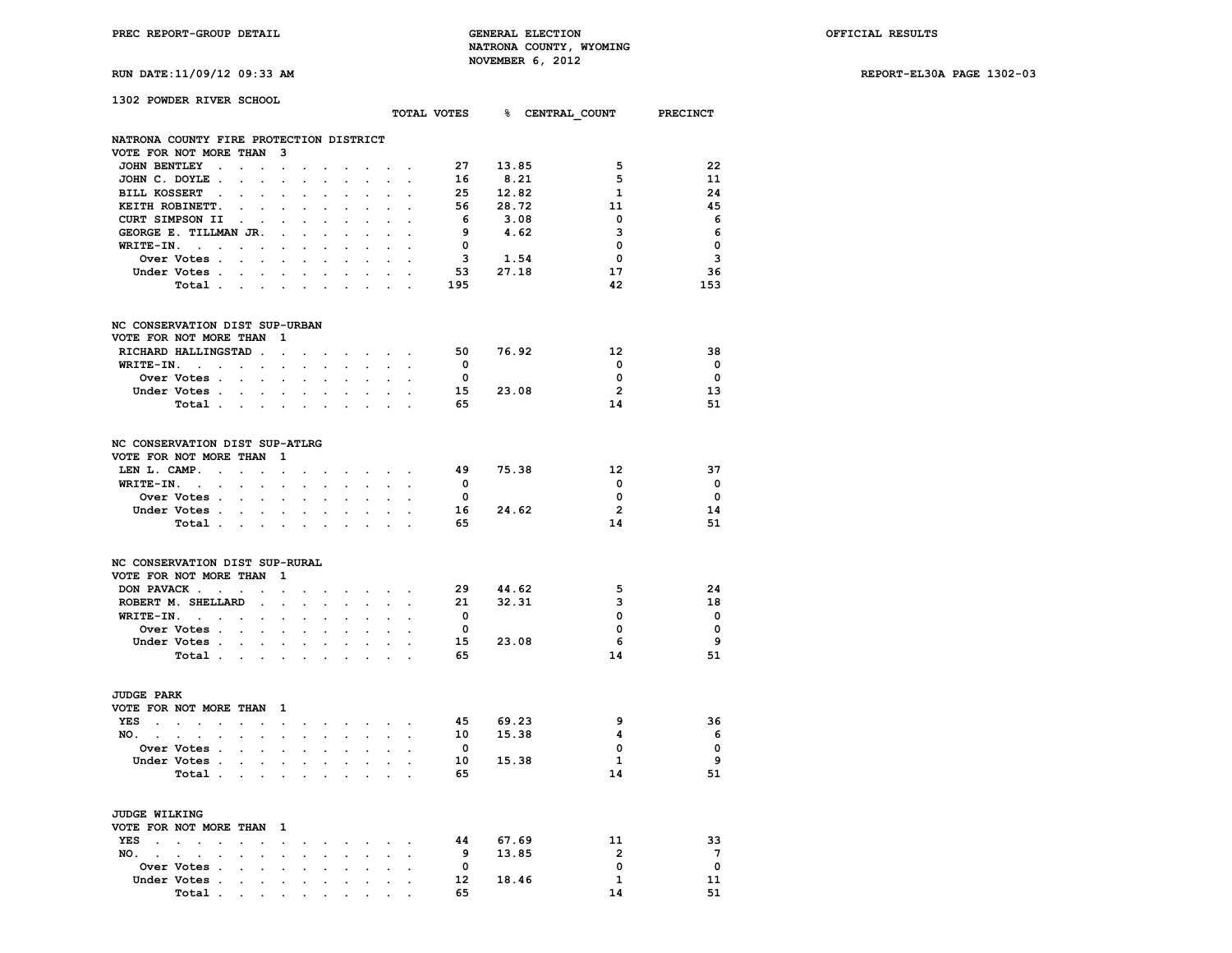**RUN DATE:11/09/12 09:33 AM REPORT-EL30A PAGE 1302-03**

| 1302 POWDER RIVER SCHOOL                |                                     |                            |                            |                            |                            |                      |                           |                                                                                                                                                                                                                                |                            |                                                             |                         |          |      |                                      |                         |
|-----------------------------------------|-------------------------------------|----------------------------|----------------------------|----------------------------|----------------------------|----------------------|---------------------------|--------------------------------------------------------------------------------------------------------------------------------------------------------------------------------------------------------------------------------|----------------------------|-------------------------------------------------------------|-------------------------|----------|------|--------------------------------------|-------------------------|
|                                         |                                     |                            |                            |                            |                            |                      |                           |                                                                                                                                                                                                                                |                            |                                                             |                         |          |      | TOTAL VOTES 8 CENTRAL COUNT PRECINCT |                         |
| NATRONA COUNTY FIRE PROTECTION DISTRICT |                                     |                            |                            |                            |                            |                      |                           |                                                                                                                                                                                                                                |                            |                                                             |                         |          |      |                                      |                         |
| VOTE FOR NOT MORE THAN 3                |                                     |                            |                            |                            |                            |                      |                           |                                                                                                                                                                                                                                |                            |                                                             |                         |          |      |                                      |                         |
|                                         | JOHN BENTLEY .                      |                            |                            | $\ddot{\phantom{0}}$       | $\ddot{\phantom{0}}$       | $\sim$               | $\ddot{\phantom{0}}$      | $\ddot{\phantom{0}}$                                                                                                                                                                                                           |                            | $\mathcal{A}^{\mathcal{A}}$ and $\mathcal{A}^{\mathcal{A}}$ | 27                      | 13.85    |      | 5                                    | 22                      |
| JOHN C. DOYLE.                          |                                     |                            |                            | <b>All Control</b>         | $\ddot{\phantom{0}}$       |                      |                           | $\ddot{\phantom{0}}$                                                                                                                                                                                                           |                            |                                                             | 16                      |          | 8.21 | 5                                    | 11                      |
| BILL KOSSERT .                          |                                     |                            |                            | $\bullet$                  |                            |                      |                           |                                                                                                                                                                                                                                |                            |                                                             |                         | 25 12.82 |      | $\mathbf{1}$                         | 24                      |
| KEITH ROBINETT.                         |                                     | $\sim$ $\sim$              |                            | $\sim$                     | $\ddot{\phantom{a}}$       | $\cdot$              | $\cdot$                   | $\bullet$                                                                                                                                                                                                                      | $\ddot{\phantom{a}}$       |                                                             | 56                      | 28.72    |      | 11                                   | 45                      |
|                                         | CURT SIMPSON II .                   |                            |                            |                            |                            |                      |                           |                                                                                                                                                                                                                                |                            |                                                             | 6                       |          | 3.08 | 0                                    | - 6                     |
|                                         | GEORGE E. TILLMAN JR.               |                            |                            | $\sim$                     | $\ddot{\phantom{a}}$       |                      |                           |                                                                                                                                                                                                                                |                            |                                                             | - 9                     |          | 4.62 | з                                    | 6                       |
|                                         | $WRITE-IN.$                         |                            |                            | $\sim$                     |                            | $\ddot{\phantom{a}}$ |                           | $\cdot$                                                                                                                                                                                                                        |                            |                                                             | $\overline{\mathbf{0}}$ |          |      | $\mathbf 0$                          | $\mathbf 0$             |
|                                         |                                     |                            |                            |                            | $\ddot{\phantom{a}}$       | $\sim$               | $\mathbf{r}$              | $\sim$                                                                                                                                                                                                                         | $\sim$                     |                                                             | $\overline{\mathbf{3}}$ |          |      |                                      | 3                       |
|                                         | Over Votes .                        | $\sim 10^{-10}$ km $^{-1}$ |                            | $\sim$                     | $\ddot{\phantom{a}}$       | $\ddot{\phantom{a}}$ |                           | $\ddot{\phantom{a}}$                                                                                                                                                                                                           | $\ddot{\phantom{a}}$       | $\sim$                                                      | 3 1.54<br>53 27.18      | 1.54     |      | $\mathbf 0$                          |                         |
|                                         | Under Votes                         |                            |                            |                            |                            | $\sim$ $\sim$        |                           | $\sim$ $\sim$                                                                                                                                                                                                                  | $\sim$ $\sim$              |                                                             |                         |          |      | 17                                   | 36                      |
|                                         | Total                               |                            |                            |                            | $\overline{\phantom{a}}$   |                      |                           |                                                                                                                                                                                                                                |                            |                                                             | 195                     |          |      | 42                                   | 153                     |
| NC CONSERVATION DIST SUP-URBAN          |                                     |                            |                            |                            |                            |                      |                           |                                                                                                                                                                                                                                |                            |                                                             |                         |          |      |                                      |                         |
| VOTE FOR NOT MORE THAN 1                |                                     |                            |                            |                            |                            |                      |                           |                                                                                                                                                                                                                                |                            |                                                             |                         |          |      |                                      |                         |
|                                         | RICHARD HALLINGSTAD.                |                            |                            | $\sim$                     | $\ddot{\phantom{0}}$       |                      |                           |                                                                                                                                                                                                                                |                            |                                                             | 50                      | 76.92    |      | $12 \overline{ }$                    | 38                      |
|                                         | $WRITE-IN.$                         |                            |                            |                            | $\mathcal{L}^{\text{max}}$ | $\ddot{\phantom{0}}$ | $\mathbf{L}^{\text{max}}$ | $\mathcal{L}^{\mathcal{L}}$                                                                                                                                                                                                    | $\sim$                     | $\ddot{\phantom{a}}$                                        | $\overline{0}$          |          |      | $\mathbf 0$                          | $\overline{\mathbf{0}}$ |
|                                         | Over Votes                          |                            |                            | $\sim$ $\sim$              | $\ddot{\phantom{a}}$       | $\ddot{\phantom{a}}$ | $\ddot{\phantom{0}}$      | $\ddot{\phantom{a}}$                                                                                                                                                                                                           |                            |                                                             | $\overline{\mathbf{0}}$ |          |      | 0                                    | $\mathbf 0$             |
|                                         | Under Votes                         |                            |                            |                            |                            |                      |                           |                                                                                                                                                                                                                                |                            |                                                             |                         | 15 23.08 |      | $\overline{2}$                       | 13                      |
|                                         |                                     |                            |                            |                            |                            |                      |                           |                                                                                                                                                                                                                                |                            |                                                             | 65                      |          |      | 14                                   | 51                      |
|                                         | Total                               |                            |                            | $\sim$                     | $\sim$ $\sim$              | $\sim$               |                           |                                                                                                                                                                                                                                |                            |                                                             |                         |          |      |                                      |                         |
| NC CONSERVATION DIST SUP-ATLRG          |                                     |                            |                            |                            |                            |                      |                           |                                                                                                                                                                                                                                |                            |                                                             |                         |          |      |                                      |                         |
| VOTE FOR NOT MORE THAN 1                |                                     |                            |                            |                            |                            |                      |                           |                                                                                                                                                                                                                                |                            |                                                             |                         |          |      |                                      |                         |
|                                         | LEN L. CAMP. .                      |                            | $\mathbf{L} = \mathbf{L}$  | $\sim$                     |                            |                      |                           | and the company of the company of                                                                                                                                                                                              |                            |                                                             | 49                      | 75.38    |      | $12 \overline{ }$                    | 37                      |
|                                         | $WRITE-IN.$                         | $\mathcal{L}^{\text{max}}$ | $\mathcal{L}^{\text{max}}$ | $\mathcal{L}^{\text{max}}$ | $\mathcal{L}^{\text{max}}$ | $\ddot{\phantom{0}}$ | $\ddot{\phantom{0}}$      | $\mathcal{L}^{\text{max}}$                                                                                                                                                                                                     |                            |                                                             | $\overline{\mathbf{0}}$ |          |      | $\mathbf{o}$                         | $\Omega$                |
|                                         | Over Votes                          |                            |                            |                            | $\ddot{\phantom{0}}$       | $\ddot{\phantom{0}}$ |                           |                                                                                                                                                                                                                                |                            |                                                             | $\overline{\mathbf{0}}$ |          |      | $\Omega$                             | $\Omega$                |
|                                         | Under Votes                         |                            |                            |                            |                            |                      | $\mathbf{r}$              | $\mathcal{L}^{\text{max}}$                                                                                                                                                                                                     |                            |                                                             |                         | 16 24.62 |      | $\overline{2}$                       | 14                      |
|                                         | Total                               |                            |                            |                            | $\sim$ $\sim$              | $\ddot{\phantom{0}}$ | $\ddot{\phantom{a}}$      | $\sim$                                                                                                                                                                                                                         | $\sim$ $\sim$              |                                                             | 65                      |          |      | 14                                   | 51                      |
|                                         |                                     |                            |                            |                            |                            |                      |                           |                                                                                                                                                                                                                                |                            |                                                             |                         |          |      |                                      |                         |
| NC CONSERVATION DIST SUP-RURAL          |                                     |                            |                            |                            |                            |                      |                           |                                                                                                                                                                                                                                |                            |                                                             |                         |          |      |                                      |                         |
| VOTE FOR NOT MORE THAN 1                |                                     |                            |                            |                            |                            |                      |                           |                                                                                                                                                                                                                                |                            |                                                             |                         |          |      |                                      |                         |
| DON PAVACK                              |                                     |                            |                            | $\sim$                     |                            |                      |                           | and a strong control of the state of the state of the state of the state of the state of the state of the state of the state of the state of the state of the state of the state of the state of the state of the state of the |                            |                                                             | 29                      | 44.62    |      | 5                                    | 24                      |
|                                         | ROBERT M. SHELLARD                  |                            | $\sim$ $\sim$              | $\sim$                     | $\ddot{\phantom{a}}$       | $\ddot{\phantom{0}}$ | $\bullet$                 | $\sim$                                                                                                                                                                                                                         | $\sim$                     | $\mathbf{r}$                                                |                         | 21 32.31 |      | з                                    | 18                      |
|                                         | $WRITE-IN.$                         |                            |                            | $\sim$                     | $\ddot{\phantom{0}}$       | $\ddot{\phantom{a}}$ |                           | $\sim$ $\sim$                                                                                                                                                                                                                  |                            |                                                             | $\overline{\mathbf{0}}$ |          |      | 0                                    | $\mathbf{o}$            |
|                                         | Over Votes                          |                            |                            |                            |                            |                      |                           |                                                                                                                                                                                                                                |                            |                                                             | $\overline{0}$          |          |      | 0                                    | $\Omega$                |
|                                         | Under Votes                         |                            |                            |                            |                            |                      |                           |                                                                                                                                                                                                                                |                            |                                                             |                         | 15 23.08 |      | 6                                    | 9                       |
|                                         | Total                               |                            |                            |                            |                            |                      |                           |                                                                                                                                                                                                                                |                            |                                                             | 65                      |          |      | 14                                   | 51                      |
| <b>JUDGE PARK</b>                       |                                     |                            |                            |                            |                            |                      |                           |                                                                                                                                                                                                                                |                            |                                                             |                         |          |      |                                      |                         |
| VOTE FOR NOT MORE THAN 1                |                                     |                            |                            |                            |                            |                      |                           |                                                                                                                                                                                                                                |                            |                                                             |                         |          |      |                                      |                         |
| YES                                     |                                     |                            |                            |                            |                            |                      |                           |                                                                                                                                                                                                                                |                            |                                                             | 45 69.23                |          |      | 9                                    | 36                      |
|                                         | the contract of the contract of the |                            |                            |                            | $\ddot{\phantom{0}}$       |                      |                           | the contract of the contract of                                                                                                                                                                                                |                            |                                                             | 10                      | 15.38    |      | 4                                    | - 6                     |
|                                         | NO.                                 |                            |                            | $\sim$                     |                            |                      |                           | the contract of the contract of the contract of the contract of the contract of the contract of the contract of                                                                                                                |                            |                                                             |                         |          |      |                                      |                         |
|                                         | Over Votes .                        | $\sim$                     |                            |                            |                            |                      |                           |                                                                                                                                                                                                                                |                            |                                                             | $\overline{\mathbf{0}}$ |          |      | 0                                    | $\mathbf 0$             |
|                                         | Under Votes                         |                            |                            |                            |                            |                      |                           | $\mathbf{r} = \mathbf{r} + \mathbf{r} + \mathbf{r} + \mathbf{r}$                                                                                                                                                               |                            |                                                             |                         | 10 15.38 |      | $\mathbf{1}$                         | 9                       |
|                                         | Total                               |                            |                            |                            |                            |                      | $\ddot{\phantom{0}}$      |                                                                                                                                                                                                                                | $\ddot{\phantom{0}}$       |                                                             | 65                      |          |      | 14                                   | 51                      |
| JUDGE WILKING                           |                                     |                            |                            |                            |                            |                      |                           |                                                                                                                                                                                                                                |                            |                                                             |                         |          |      |                                      |                         |
| VOTE FOR NOT MORE THAN 1                |                                     |                            |                            |                            |                            |                      |                           |                                                                                                                                                                                                                                |                            |                                                             |                         |          |      |                                      |                         |
| YES                                     | and the company of the              | $\ddot{\phantom{0}}$       | $\sim$                     | <b>Contract Contract</b>   | $\ddot{\phantom{0}}$       | $\sim$               |                           |                                                                                                                                                                                                                                |                            |                                                             | 44 67.69                |          |      | 11                                   | 33                      |
| NO.                                     |                                     |                            |                            |                            | $\sim$                     | $\sim$               |                           | $\cdot$ $\cdot$ $\cdot$ $\cdot$ $\cdot$<br>$\sim$                                                                                                                                                                              |                            |                                                             | - 9                     | 13.85    |      | $\overline{2}$                       | $7^{\circ}$             |
|                                         |                                     |                            | $\cdot$                    | $\ddot{\phantom{a}}$       |                            |                      |                           |                                                                                                                                                                                                                                |                            |                                                             |                         |          |      | $\mathbf 0$                          | $\mathbf 0$             |
|                                         | Over Votes .                        |                            | $\ddot{\phantom{a}}$       | $\cdot$                    | $\cdot$                    | $\ddot{\phantom{a}}$ |                           | $\ddot{\phantom{0}}$                                                                                                                                                                                                           | $\cdot$                    |                                                             | $\mathbf 0$             |          |      |                                      |                         |
|                                         | Under Votes .                       | $\sim$                     |                            | $\sim$ $\sim$              | $\ddot{\phantom{0}}$       | $\sim$               | $\sim$                    | $\sim$                                                                                                                                                                                                                         | $\mathcal{L}^{\text{max}}$ | $\cdot$                                                     |                         | 12 18.46 |      | $\mathbf{1}$                         | 11                      |
|                                         | Total                               |                            |                            | $\sim$                     | $\bullet$                  |                      |                           | $\bullet$ .<br><br><br><br><br><br><br><br><br><br><br><br><br><br>                                                                                                                                                            |                            |                                                             | 65                      |          |      | 14                                   | 51                      |

 **Total** . . . . . . . . . . .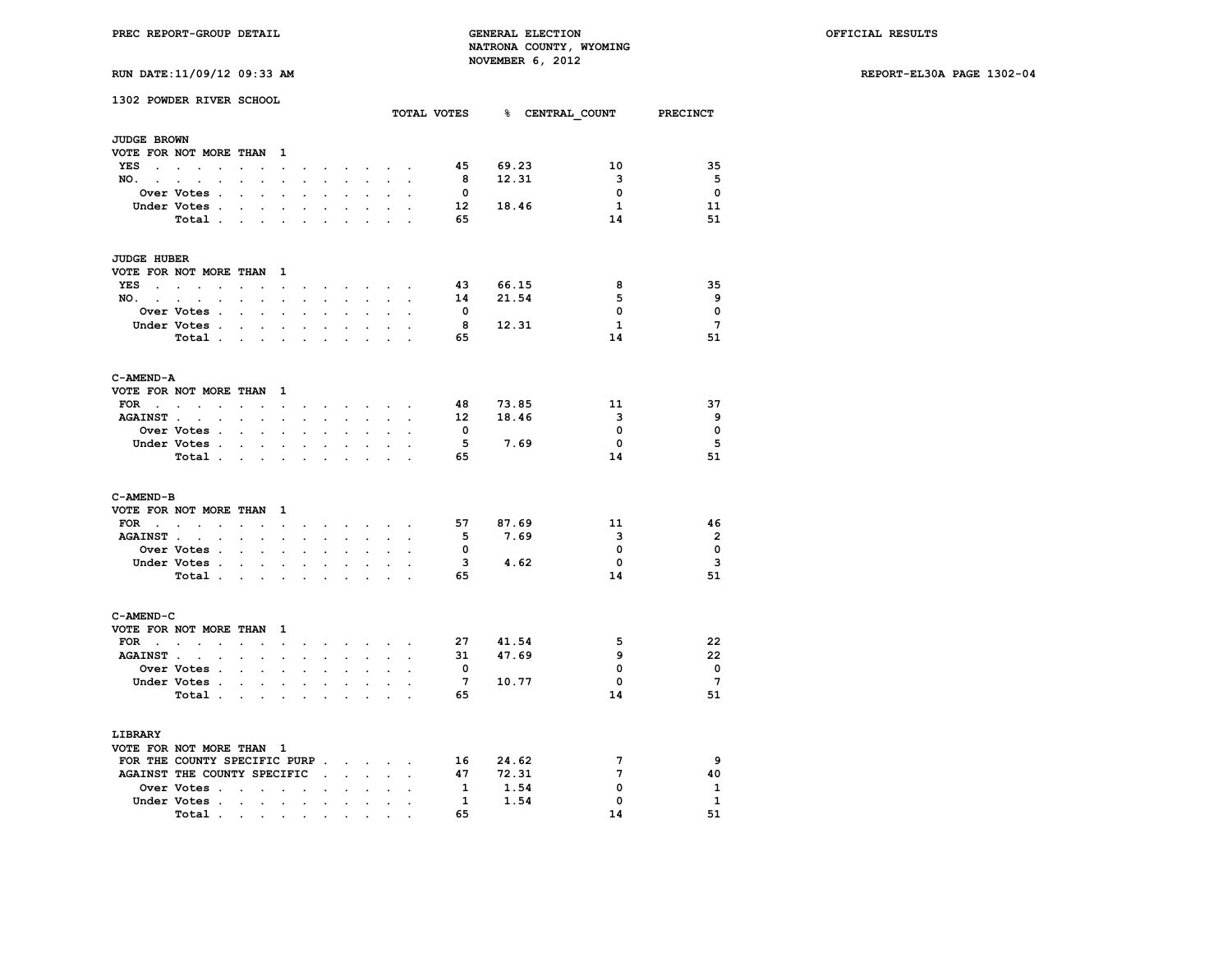**RUN DATE:11/09/12 09:33 AM REPORT-EL30A PAGE 1302-04**

|                          | 1302 POWDER RIVER SCHOOL            |                                                                                                                 |                                                    |                                                             |                                                                                                                                                                                                                                                                                                                                                                                                                              |                                          |                      |                                         |                |                 |             | TOTAL VOTES 8 CENTRAL COUNT PRECINCT |                         |
|--------------------------|-------------------------------------|-----------------------------------------------------------------------------------------------------------------|----------------------------------------------------|-------------------------------------------------------------|------------------------------------------------------------------------------------------------------------------------------------------------------------------------------------------------------------------------------------------------------------------------------------------------------------------------------------------------------------------------------------------------------------------------------|------------------------------------------|----------------------|-----------------------------------------|----------------|-----------------|-------------|--------------------------------------|-------------------------|
| <b>JUDGE BROWN</b>       |                                     |                                                                                                                 |                                                    |                                                             |                                                                                                                                                                                                                                                                                                                                                                                                                              |                                          |                      |                                         |                |                 |             |                                      |                         |
|                          | VOTE FOR NOT MORE THAN 1            |                                                                                                                 |                                                    |                                                             |                                                                                                                                                                                                                                                                                                                                                                                                                              |                                          |                      |                                         |                |                 |             |                                      |                         |
|                          | YES                                 |                                                                                                                 |                                                    | $\cdot$                                                     | the contract of the contract of the contract of the contract of the contract of                                                                                                                                                                                                                                                                                                                                              |                                          |                      |                                         |                | - 45            | 69.23       | 10                                   | 35                      |
| NO. .                    | $\mathbf{r} = \mathbf{r}$           | $\mathbf{L}$                                                                                                    | $\mathcal{L}^{\text{max}}$<br>$\mathbf{r}$         | $\overline{a}$                                              | s.                                                                                                                                                                                                                                                                                                                                                                                                                           |                                          |                      | $\sim$                                  |                | 8               | 12.31       | $\overline{\mathbf{3}}$              | 5                       |
|                          | Over Votes .                        | $\sim$                                                                                                          | $\ddot{\phantom{a}}$                               |                                                             |                                                                                                                                                                                                                                                                                                                                                                                                                              |                                          |                      |                                         |                | $\mathbf{0}$    |             | $\mathbf 0$                          | $\mathbf{o}$            |
|                          | Under Votes.                        | the company of the                                                                                              |                                                    | $\ddot{\phantom{a}}$                                        | $\ddot{\phantom{a}}$                                                                                                                                                                                                                                                                                                                                                                                                         | $\cdot$                                  | $\cdot$              | $\ddot{\phantom{a}}$                    |                | 12              | 18.46       | $\mathbf{1}$                         | 11                      |
|                          | Total                               |                                                                                                                 |                                                    | $\cdot$                                                     | $\mathbf{r}$                                                                                                                                                                                                                                                                                                                                                                                                                 |                                          |                      |                                         |                | 65              |             | 14                                   | 51                      |
|                          |                                     |                                                                                                                 |                                                    |                                                             |                                                                                                                                                                                                                                                                                                                                                                                                                              |                                          |                      |                                         |                |                 |             |                                      |                         |
| <b>JUDGE HUBER</b>       |                                     |                                                                                                                 |                                                    |                                                             |                                                                                                                                                                                                                                                                                                                                                                                                                              |                                          |                      |                                         |                |                 |             |                                      |                         |
|                          | VOTE FOR NOT MORE THAN 1            |                                                                                                                 |                                                    |                                                             |                                                                                                                                                                                                                                                                                                                                                                                                                              |                                          |                      |                                         |                |                 |             |                                      |                         |
|                          | YES                                 | $\sim$                                                                                                          | $\sim$                                             | $\cdot$                                                     |                                                                                                                                                                                                                                                                                                                                                                                                                              |                                          |                      | $\cdot$ $\cdot$ $\cdot$ $\cdot$ $\cdot$ |                |                 | 43 66.15    | 8                                    | 35                      |
|                          | NO.                                 |                                                                                                                 |                                                    | $\bullet$ .<br><br><br><br><br><br><br><br><br><br><br><br> |                                                                                                                                                                                                                                                                                                                                                                                                                              | $\mathbf{z} = \mathbf{z} + \mathbf{z}$ . |                      | <b>All Card Corporation</b>             | $\cdot$        | 14              | 21.54       | 5                                    | 9                       |
|                          | Over Votes .                        | $\sim$                                                                                                          | $\mathcal{L}^{\text{max}}$<br>$\ddot{\phantom{a}}$ | $\ddot{\phantom{a}}$                                        | $\ddot{\phantom{a}}$                                                                                                                                                                                                                                                                                                                                                                                                         | $\ddot{\phantom{a}}$                     | $\blacksquare$       | $\ddot{\phantom{0}}$                    |                | $\mathbf{0}$    |             | 0                                    | $\mathbf{o}$            |
|                          | Under Votes.                        | $\sim$                                                                                                          | $\sim$<br>$\ddot{\phantom{a}}$                     | $\overline{a}$                                              | $\sim$                                                                                                                                                                                                                                                                                                                                                                                                                       | $\overline{a}$                           | $\sim$               |                                         |                | 8               | 12.31       | $\mathbf{1}$                         | $7\overline{ }$         |
|                          | Total                               |                                                                                                                 | $\sim$                                             | $\overline{a}$                                              | $\sim$                                                                                                                                                                                                                                                                                                                                                                                                                       |                                          | $\ddot{\phantom{a}}$ |                                         |                | 65              |             | 14                                   | 51                      |
|                          |                                     |                                                                                                                 |                                                    |                                                             |                                                                                                                                                                                                                                                                                                                                                                                                                              |                                          |                      |                                         |                |                 |             |                                      |                         |
| C-AMEND-A                |                                     |                                                                                                                 |                                                    |                                                             |                                                                                                                                                                                                                                                                                                                                                                                                                              |                                          |                      |                                         |                |                 |             |                                      |                         |
|                          | VOTE FOR NOT MORE THAN 1            |                                                                                                                 |                                                    |                                                             |                                                                                                                                                                                                                                                                                                                                                                                                                              |                                          |                      |                                         |                |                 |             |                                      |                         |
|                          | FOR $\cdot$ $\cdot$ $\cdot$ $\cdot$ | the contract of the contract of the contract of the contract of the contract of the contract of the contract of |                                                    |                                                             |                                                                                                                                                                                                                                                                                                                                                                                                                              |                                          |                      |                                         |                | 48              | 73.85       | 11                                   | 37                      |
|                          | AGAINST                             | $\mathcal{L}^{\text{max}}$ , $\mathcal{L}^{\text{max}}$                                                         | $\sim$                                             | $\sim$                                                      | $\sim$                                                                                                                                                                                                                                                                                                                                                                                                                       | $\sim$                                   | $\sim$               | $\sim$                                  |                |                 | 12 18.46    | 3                                    | 9                       |
|                          | <b>Over Votes .</b>                 | $\sim$ $\sim$ $\sim$                                                                                            | $\mathbf{r}$                                       |                                                             |                                                                                                                                                                                                                                                                                                                                                                                                                              |                                          |                      |                                         |                | $\mathbf{0}$    |             | 0                                    | $\mathbf 0$             |
|                          | Under Votes                         |                                                                                                                 |                                                    |                                                             | $\sim$                                                                                                                                                                                                                                                                                                                                                                                                                       | $\ddot{\phantom{0}}$                     | $\ddot{\phantom{0}}$ |                                         |                | 5               | 7.69        | $\mathbf{0}$                         | 5                       |
|                          | Total                               |                                                                                                                 |                                                    | $\ddot{\phantom{a}}$                                        | $\sim$                                                                                                                                                                                                                                                                                                                                                                                                                       | $\mathbf{r}$                             | $\mathbf{r}$         | $\overline{a}$                          |                | 65              |             | 14                                   | 51                      |
|                          |                                     |                                                                                                                 |                                                    |                                                             |                                                                                                                                                                                                                                                                                                                                                                                                                              |                                          |                      |                                         |                |                 |             |                                      |                         |
| C-AMEND-B                | VOTE FOR NOT MORE THAN 1            |                                                                                                                 |                                                    |                                                             |                                                                                                                                                                                                                                                                                                                                                                                                                              |                                          |                      |                                         |                |                 |             |                                      |                         |
|                          |                                     |                                                                                                                 |                                                    |                                                             |                                                                                                                                                                                                                                                                                                                                                                                                                              |                                          |                      |                                         |                | 57              | 87.69       | 11                                   | 46                      |
|                          | FOR                                 |                                                                                                                 |                                                    |                                                             |                                                                                                                                                                                                                                                                                                                                                                                                                              |                                          |                      |                                         |                | 5               | 7.69        | 3                                    | $\overline{2}$          |
|                          | AGAINST                             |                                                                                                                 |                                                    |                                                             | $\sim$                                                                                                                                                                                                                                                                                                                                                                                                                       | $\mathbf{r}$                             | $\ddot{\phantom{a}}$ |                                         |                | 0               |             | $\mathbf 0$                          | $\mathbf 0$             |
|                          | Over Votes                          |                                                                                                                 | $\ddot{\phantom{0}}$                               |                                                             |                                                                                                                                                                                                                                                                                                                                                                                                                              |                                          |                      |                                         |                |                 | $3 \t 4.62$ | $\mathbf 0$                          | $\overline{\mathbf{3}}$ |
|                          | Under Votes                         |                                                                                                                 | $\ddot{\phantom{0}}$                               | $\bullet$                                                   | $\blacksquare$                                                                                                                                                                                                                                                                                                                                                                                                               | $\ddot{\phantom{a}}$                     | $\blacksquare$       | $\ddot{\phantom{0}}$                    |                |                 |             |                                      |                         |
|                          | Total                               |                                                                                                                 |                                                    |                                                             |                                                                                                                                                                                                                                                                                                                                                                                                                              |                                          |                      | $\sim$ $\sim$                           |                | 65              |             | 14                                   | 51                      |
| C-AMEND-C                |                                     |                                                                                                                 |                                                    |                                                             |                                                                                                                                                                                                                                                                                                                                                                                                                              |                                          |                      |                                         |                |                 |             |                                      |                         |
|                          | VOTE FOR NOT MORE THAN 1            |                                                                                                                 |                                                    |                                                             |                                                                                                                                                                                                                                                                                                                                                                                                                              |                                          |                      |                                         |                |                 |             |                                      |                         |
|                          | $\text{FOR}$ , , , , , , ,          |                                                                                                                 |                                                    |                                                             | $\mathbf{r} = \mathbf{r} + \mathbf{r} + \mathbf{r} + \mathbf{r} + \mathbf{r} + \mathbf{r} + \mathbf{r} + \mathbf{r} + \mathbf{r} + \mathbf{r} + \mathbf{r} + \mathbf{r} + \mathbf{r} + \mathbf{r} + \mathbf{r} + \mathbf{r} + \mathbf{r} + \mathbf{r} + \mathbf{r} + \mathbf{r} + \mathbf{r} + \mathbf{r} + \mathbf{r} + \mathbf{r} + \mathbf{r} + \mathbf{r} + \mathbf{r} + \mathbf{r} + \mathbf{r} + \mathbf{r} + \mathbf$ |                                          |                      |                                         |                |                 | 27 41.54    | 5                                    | 22                      |
| <b>AGAINST</b> .         | $\sim$                              | <b>Contract Contract Contract Contract</b>                                                                      | $\sim$                                             | $\ddot{\phantom{a}}$                                        | $\sim$                                                                                                                                                                                                                                                                                                                                                                                                                       | $\sim$                                   | $\ddot{\phantom{0}}$ | $\ddot{\phantom{a}}$                    |                | 31              | 47.69       | 9                                    | 22                      |
|                          | Over Votes .                        | $\mathbf{r} = \mathbf{r} \cdot \mathbf{r}$ .                                                                    | $\mathcal{L}_{\mathcal{A}}$                        | $\ddot{\phantom{0}}$                                        | $\ddot{\phantom{0}}$                                                                                                                                                                                                                                                                                                                                                                                                         | $\ddot{\phantom{0}}$                     | $\ddot{\phantom{a}}$ | $\ddot{\phantom{0}}$                    |                | $\mathbf{0}$    |             | 0                                    | $\overline{\mathbf{0}}$ |
|                          | Under Votes .                       | $\mathbf{r}$ and $\mathbf{r}$ and $\mathbf{r}$                                                                  |                                                    | s.                                                          | $\sim$                                                                                                                                                                                                                                                                                                                                                                                                                       |                                          |                      |                                         |                | $7\phantom{.0}$ | 10.77       | 0                                    | $7\phantom{.0}$         |
|                          | Total .                             | and the state of the state of                                                                                   |                                                    | $\ddot{\phantom{a}}$                                        | $\ddot{\phantom{0}}$                                                                                                                                                                                                                                                                                                                                                                                                         | $\ddot{\phantom{a}}$                     | $\ddot{\phantom{0}}$ | $\cdot$                                 | $\overline{a}$ | 65              |             | 14                                   | 51                      |
|                          |                                     |                                                                                                                 |                                                    |                                                             |                                                                                                                                                                                                                                                                                                                                                                                                                              |                                          |                      |                                         |                |                 |             |                                      |                         |
| LIBRARY                  |                                     |                                                                                                                 |                                                    |                                                             |                                                                                                                                                                                                                                                                                                                                                                                                                              |                                          |                      |                                         |                |                 |             |                                      |                         |
| VOTE FOR NOT MORE THAN 1 |                                     |                                                                                                                 |                                                    |                                                             |                                                                                                                                                                                                                                                                                                                                                                                                                              |                                          |                      |                                         |                |                 |             |                                      |                         |
|                          | FOR THE COUNTY SPECIFIC PURP        |                                                                                                                 |                                                    |                                                             |                                                                                                                                                                                                                                                                                                                                                                                                                              |                                          |                      |                                         |                | 16              | 24.62       | 7                                    | 9                       |
|                          | AGAINST THE COUNTY SPECIFIC         |                                                                                                                 |                                                    |                                                             |                                                                                                                                                                                                                                                                                                                                                                                                                              |                                          |                      | $\ddot{\phantom{0}}$                    |                | 47              | 72.31       | 7                                    | 40                      |
|                          | Over Votes                          |                                                                                                                 |                                                    |                                                             |                                                                                                                                                                                                                                                                                                                                                                                                                              |                                          |                      |                                         |                | $\mathbf{1}$    | 1.54        | 0                                    | 1                       |
|                          | Under Votes                         |                                                                                                                 | $\sim$                                             | $\ddot{\phantom{a}}$                                        | $\ddot{\phantom{0}}$                                                                                                                                                                                                                                                                                                                                                                                                         | $\ddot{\phantom{0}}$                     | $\ddot{\phantom{0}}$ | $\ddot{\phantom{0}}$                    |                | $\mathbf{1}$    | 1.54        | 0                                    | $\mathbf{1}$            |
|                          | Total                               |                                                                                                                 |                                                    |                                                             |                                                                                                                                                                                                                                                                                                                                                                                                                              |                                          |                      |                                         |                | 65              |             | 14                                   | 51                      |
|                          |                                     |                                                                                                                 |                                                    |                                                             |                                                                                                                                                                                                                                                                                                                                                                                                                              |                                          |                      |                                         |                |                 |             |                                      |                         |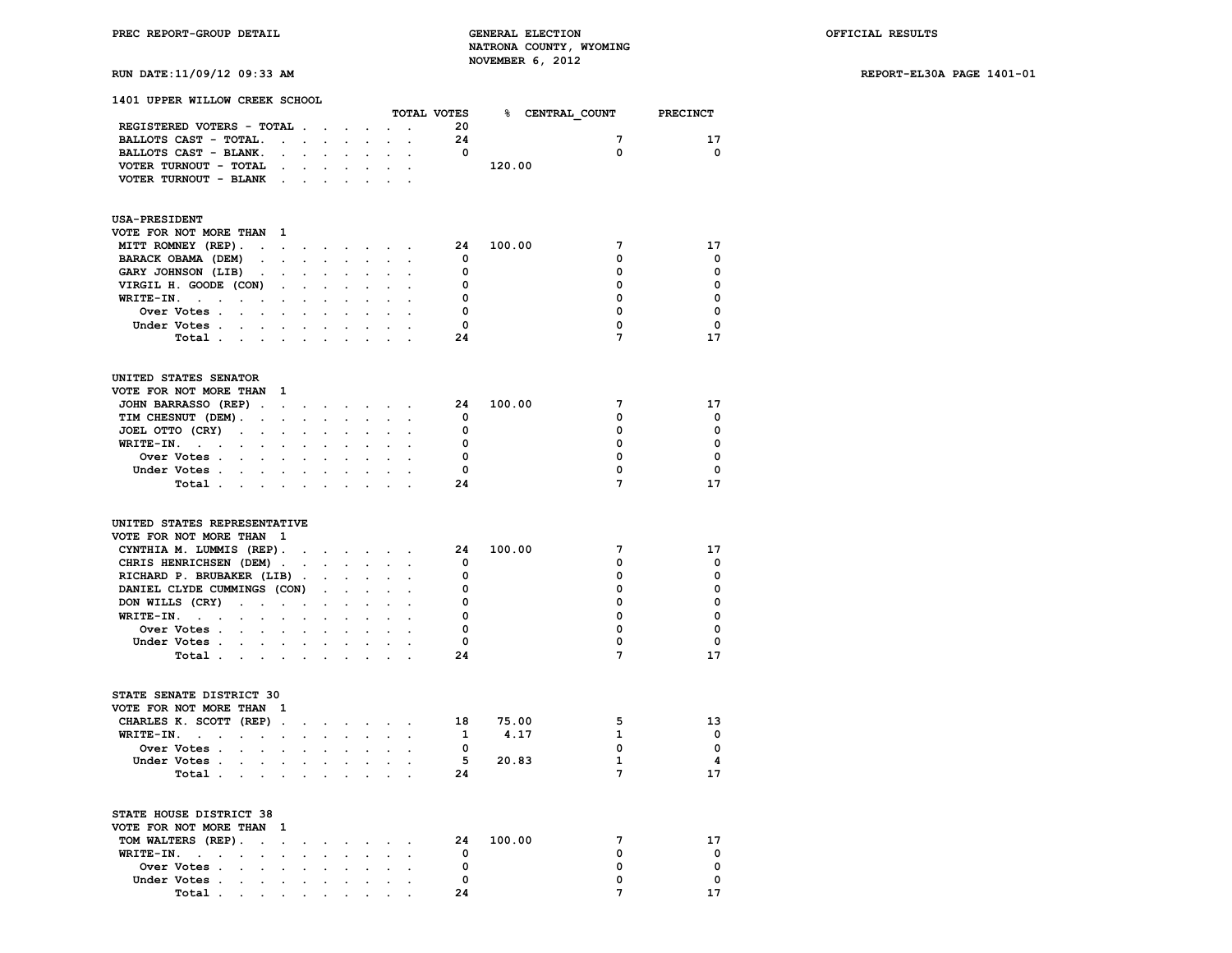# **RUN DATE:11/09/12 09:33 AM REPORT-EL30A PAGE 1401-01**

| 1401 UPPER WILLOW CREEK SCHOOL                                                                |                                        |                                          |                                                                                                    |                |                                 |                      |                      |              |                                      |                |          |
|-----------------------------------------------------------------------------------------------|----------------------------------------|------------------------------------------|----------------------------------------------------------------------------------------------------|----------------|---------------------------------|----------------------|----------------------|--------------|--------------------------------------|----------------|----------|
|                                                                                               |                                        |                                          |                                                                                                    |                |                                 |                      |                      |              | TOTAL VOTES 3 CENTRAL COUNT PRECINCT |                |          |
| REGISTERED VOTERS - TOTAL                                                                     |                                        |                                          |                                                                                                    |                |                                 |                      |                      | 20           |                                      |                |          |
| BALLOTS CAST - TOTAL.                                                                         |                                        |                                          | the contract of the contract of the                                                                |                |                                 | <b>Service</b>       | $\sim$               | 24           |                                      | 7              | 17       |
| BALLOTS CAST - BLANK.                                                                         |                                        |                                          | $\mathbf{r} = \mathbf{r} \cdot \mathbf{r}$ . The set of $\mathbf{r} = \mathbf{r} \cdot \mathbf{r}$ |                |                                 |                      |                      | $\mathbf{o}$ |                                      | 0              | 0        |
| VOTER TURNOUT - TOTAL                                                                         | $\sim$                                 |                                          | the company of the company of                                                                      |                |                                 | $\sim$               |                      |              | 120.00                               |                |          |
| VOTER TURNOUT - BLANK                                                                         | $\sim$ $\sim$                          |                                          | $\mathbf{r} = \mathbf{r} + \mathbf{r}$ .                                                           |                |                                 |                      |                      |              |                                      |                |          |
| <b>USA-PRESIDENT</b>                                                                          |                                        |                                          |                                                                                                    |                |                                 |                      |                      |              |                                      |                |          |
| VOTE FOR NOT MORE THAN                                                                        | $\mathbf{1}$                           |                                          |                                                                                                    |                |                                 |                      |                      |              |                                      |                |          |
| MITT ROMNEY (REP).                                                                            |                                        |                                          |                                                                                                    |                |                                 |                      |                      | 24           | 100.00                               | 7              | 17       |
| BARACK OBAMA (DEM)<br>$\sim$                                                                  |                                        |                                          | $\mathbf{r} = \mathbf{r} - \mathbf{r} = \mathbf{r} - \mathbf{r}$                                   |                |                                 |                      |                      | 0            |                                      | 0              | 0        |
| GARY JOHNSON (LIB)<br>$\ddot{\phantom{0}}$                                                    |                                        | $\mathbf{z} = \mathbf{z} + \mathbf{z}$ . | $\ddot{\phantom{0}}$                                                                               |                |                                 |                      |                      | 0            |                                      | 0              | 0        |
| VIRGIL H. GOODE (CON)                                                                         |                                        | $\mathbf{L} = \mathbf{L} \mathbf{L}$     | $\ddot{\phantom{a}}$                                                                               | $\mathbf{r}$   |                                 | $\ddot{\phantom{a}}$ |                      | 0            |                                      | 0              | 0        |
| $WRITE-IN.$<br>$\ddot{\phantom{0}}$                                                           |                                        |                                          |                                                                                                    |                |                                 |                      |                      | 0            |                                      | $\mathbf 0$    | $\Omega$ |
| Over Votes                                                                                    | $\mathbf{L} = \mathbf{L}$              |                                          |                                                                                                    |                |                                 |                      |                      | $\Omega$     |                                      | 0              | 0        |
| Under Votes<br>$\sim$                                                                         | $\sim$                                 | $\ddot{\phantom{a}}$                     | $\cdot$                                                                                            |                |                                 |                      |                      | $^{\circ}$   |                                      | 0              | 0        |
| Total .<br>$\sim$<br>$\ddot{\phantom{a}}$                                                     |                                        |                                          |                                                                                                    |                |                                 |                      |                      | 24           |                                      | $\overline{7}$ | 17       |
|                                                                                               |                                        |                                          |                                                                                                    |                |                                 |                      |                      |              |                                      |                |          |
| UNITED STATES SENATOR                                                                         |                                        |                                          |                                                                                                    |                |                                 |                      |                      |              |                                      |                |          |
| VOTE FOR NOT MORE THAN 1                                                                      |                                        |                                          |                                                                                                    |                |                                 |                      |                      |              |                                      |                |          |
| JOHN BARRASSO (REP).                                                                          |                                        |                                          |                                                                                                    |                |                                 |                      |                      | 24           | 100.00                               | 7              | 17       |
| TIM CHESNUT (DEM).<br>$\sim$                                                                  |                                        |                                          | and a state of the state                                                                           | $\sim$         |                                 |                      |                      | 0            |                                      | 0              | 0        |
| JOEL OTTO (CRY)<br>$\sim$<br>$\mathbf{r} = \mathbf{r} \times \mathbf{r}$ , where $\mathbf{r}$ |                                        |                                          | $\ddot{\phantom{0}}$                                                                               | $\overline{a}$ | $\ddot{\phantom{0}}$            | $\sim$               |                      | 0            |                                      | 0              | $\Omega$ |
| WRITE-IN.<br>$\mathbf{L}$                                                                     |                                        |                                          |                                                                                                    |                |                                 |                      |                      | $\Omega$     |                                      | 0              | $\Omega$ |
| Over Votes<br>$\mathbf{L}$                                                                    | $\mathbf{L}$                           | $\sim$                                   | $\sim$                                                                                             | $\sim$         |                                 |                      |                      | 0            |                                      | 0              | 0        |
| Under Votes<br>and a state of                                                                 |                                        |                                          | $\sim 100$                                                                                         |                | $\mathbf{r} = \mathbf{r}$       | $\ddot{\phantom{a}}$ | $\sim$               | $\Omega$     |                                      | 0              | 0        |
| Total .<br>$\sim$                                                                             |                                        |                                          |                                                                                                    |                |                                 |                      |                      | 24           |                                      | $\overline{7}$ | 17       |
| UNITED STATES REPRESENTATIVE                                                                  |                                        |                                          |                                                                                                    |                |                                 |                      |                      |              |                                      |                |          |
| VOTE FOR NOT MORE THAN 1                                                                      |                                        |                                          |                                                                                                    |                |                                 |                      |                      |              |                                      |                |          |
| CYNTHIA M. LUMMIS (REP).                                                                      |                                        |                                          |                                                                                                    |                |                                 |                      |                      | 24           | 100.00                               | 7              | 17       |
| CHRIS HENRICHSEN (DEM)                                                                        |                                        |                                          |                                                                                                    |                |                                 | $\sim$               | $\mathbf{r}$         | $\Omega$     |                                      | 0              | 0        |
| RICHARD P. BRUBAKER (LIB).                                                                    |                                        |                                          | $\sim$                                                                                             | $\sim$         | $\sim$                          |                      |                      | 0            |                                      | 0              | 0        |
| DANIEL CLYDE CUMMINGS (CON)                                                                   |                                        |                                          | $\mathcal{L}^{\text{max}}$                                                                         |                | $\sim$ $\sim$                   |                      |                      | 0            |                                      | 0              | 0        |
| DON WILLS (CRY)<br>$\sim$<br>$\mathbf{r}$                                                     |                                        |                                          | $\sim$                                                                                             |                |                                 |                      |                      | 0            |                                      | 0              | 0        |
| WRITE-IN.<br>$\sim$ $\sim$ $\sim$<br>$\bullet$<br>$\sim$                                      | $\mathbf{z} = \mathbf{z} + \mathbf{z}$ |                                          | $\sim$                                                                                             |                |                                 |                      |                      | 0            |                                      | 0              | 0        |
| Over Votes<br>$\sim$                                                                          |                                        |                                          |                                                                                                    |                |                                 |                      |                      | 0            |                                      | 0              | 0        |
| Under Votes                                                                                   |                                        |                                          |                                                                                                    |                | $\mathbf{a}$ , and $\mathbf{a}$ | $\sim$               | $\cdot$              | $\mathbf 0$  |                                      | 0              | 0        |
| Total                                                                                         |                                        |                                          |                                                                                                    |                |                                 |                      |                      | 24           |                                      | $\mathbf{7}$   | 17       |
|                                                                                               |                                        |                                          |                                                                                                    |                |                                 |                      |                      |              |                                      |                |          |
| STATE SENATE DISTRICT 30                                                                      | -1                                     |                                          |                                                                                                    |                |                                 |                      |                      |              |                                      |                |          |
| VOTE FOR NOT MORE THAN                                                                        |                                        |                                          |                                                                                                    |                |                                 |                      |                      |              |                                      |                |          |
| CHARLES K. SCOTT (REP)                                                                        |                                        |                                          |                                                                                                    |                |                                 | $\sim$               | $\ddot{\phantom{a}}$ | 18           | 75.00                                | 5              | 13       |
| WRITE-IN.<br>$\sim$                                                                           |                                        |                                          | and a strong control of the state of                                                               |                |                                 |                      |                      | $\mathbf{1}$ | 4.17                                 | $\mathbf{1}$   | 0        |
| Over Votes                                                                                    |                                        | $\mathbf{r} = \mathbf{r}$                |                                                                                                    |                |                                 |                      |                      | $^{\circ}$   |                                      | $\mathbf{0}$   | 0        |
| Under Votes<br>$\mathbf{r} = \mathbf{r} + \mathbf{r} + \mathbf{r} + \mathbf{r}$ .             |                                        |                                          |                                                                                                    | $\overline{a}$ | $\ddot{\phantom{0}}$            |                      |                      | 5            | 20.83                                | $\mathbf{1}$   | 4        |
| Total .<br>$\sim 10^{-11}$<br>$\sim$                                                          |                                        |                                          |                                                                                                    |                |                                 |                      |                      | 24           |                                      | 7              | 17       |
| $5.003$ mm, $10.010$ m, $5.000$ mm, $7.0$                                                     |                                        |                                          |                                                                                                    |                |                                 |                      |                      |              |                                      |                |          |

| STATE HOUSE DISTRICT 38  |  |  |  |    |        |          |
|--------------------------|--|--|--|----|--------|----------|
| VOTE FOR NOT MORE THAN 1 |  |  |  |    |        |          |
| TOM WALTERS (REP).       |  |  |  | 24 | 100.00 | 17       |
| WRITE-IN.                |  |  |  |    |        | $\Omega$ |
|                          |  |  |  |    |        | $\Omega$ |
| Under Votes              |  |  |  |    |        | $\Omega$ |
| Total                    |  |  |  |    |        | 17       |
|                          |  |  |  |    |        |          |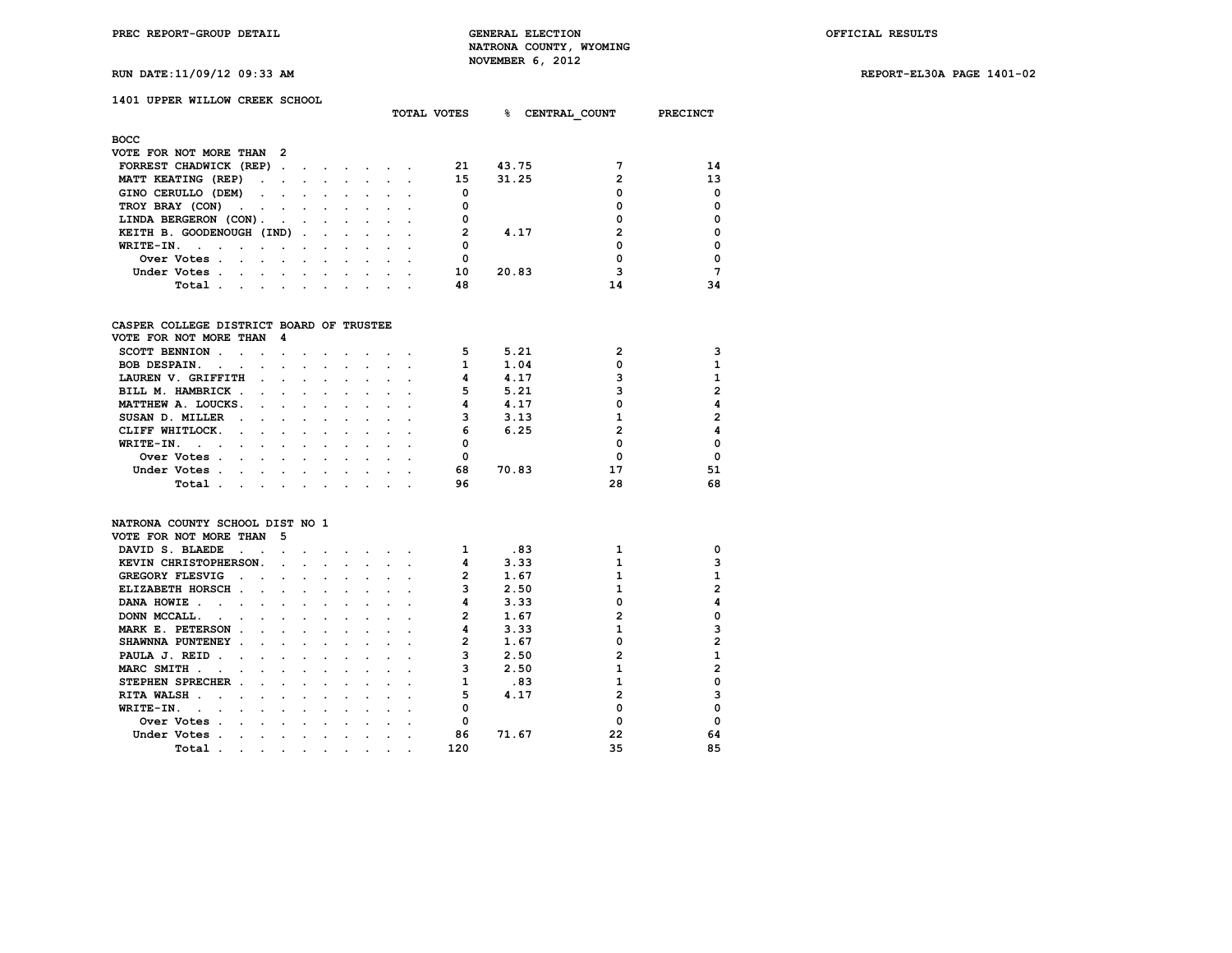**RUN DATE:11/09/12 09:33 AM REPORT-EL30A PAGE 1401-02**

| RUN DATE:11/09/12 09:33 AM |  |  |
|----------------------------|--|--|
|----------------------------|--|--|

# **1401 UPPER WILLOW CREEK SCHOOL**

|                                                                                                                              |  |        |  | TOTAL VOTES | %⊹<br>CENTRAL COUNT |    | <b>PRECINCT</b> |
|------------------------------------------------------------------------------------------------------------------------------|--|--------|--|-------------|---------------------|----|-----------------|
| <b>BOCC</b>                                                                                                                  |  |        |  |             |                     |    |                 |
| VOTE FOR NOT MORE THAN 2                                                                                                     |  |        |  |             |                     |    |                 |
| FORREST CHADWICK (REP)                                                                                                       |  |        |  | 21          | 43.75               |    | 14              |
| MATT KEATING (REP)                                                                                                           |  |        |  | 15          | 31.25               |    | 13              |
| GINO CERULLO (DEM)                                                                                                           |  |        |  |             |                     |    | 0               |
| TROY BRAY (CON)                                                                                                              |  |        |  |             |                     |    | O               |
| LINDA BERGERON (CON).                                                                                                        |  |        |  | 0           |                     |    | 0               |
| KEITH B. GOODENOUGH (IND)                                                                                                    |  |        |  |             | 4.17                |    | 0               |
| WRITE-IN.<br>the contract of the contract of the contract of the contract of the contract of the contract of the contract of |  | $\sim$ |  |             |                     |    | O               |
| Over Votes                                                                                                                   |  |        |  |             |                     |    | $\mathbf 0$     |
| Under Votes                                                                                                                  |  |        |  | 10          | 20.83               |    |                 |
| Total                                                                                                                        |  |        |  | 48          |                     | 14 | 34              |

#### **CASPER COLLEGE DISTRICT BOARD OF TRUSTEE**

| VOTE FOR NOT MORE THAN 4                                                                                                                                                                                                                           |                                                                                 |  |  |  |    |       |    |               |
|----------------------------------------------------------------------------------------------------------------------------------------------------------------------------------------------------------------------------------------------------|---------------------------------------------------------------------------------|--|--|--|----|-------|----|---------------|
| SCOTT BENNION.                                                                                                                                                                                                                                     |                                                                                 |  |  |  | 5  | 5.21  |    |               |
| <b>BOB DESPAIN.</b><br>$\sim$ $\sim$ $\sim$                                                                                                                                                                                                        | the contract of the contract of the contract of the contract of the contract of |  |  |  |    | 1.04  |    |               |
| LAUREN V. GRIFFITH                                                                                                                                                                                                                                 | the contract of the contract of the contract of                                 |  |  |  | 4  | 4.17  |    |               |
| BILL M. HAMBRICK.<br>the company of the company of the company of the company of the company of the company of the company of the company of the company of the company of the company of the company of the company of the company of the company |                                                                                 |  |  |  | 5  | 5.21  |    | $\mathcal{P}$ |
| MATTHEW A. LOUCKS.                                                                                                                                                                                                                                 |                                                                                 |  |  |  | 4  | 4.17  |    | 4             |
| SUSAN D. MILLER<br>the contract of the contract of the contract of the contract of the contract of the contract of the contract of                                                                                                                 |                                                                                 |  |  |  |    | 3.13  |    | $\mathbf{z}$  |
| CLIFF WHITLOCK.<br>the company of the company of the company of the company of the company of the company of the company of the company of the company of the company of the company of the company of the company of the company of the company   |                                                                                 |  |  |  | 6  | 6.25  |    | 4             |
| WRITE-IN.<br>the contract of the contract of the contract of the contract of the contract of the contract of the contract of                                                                                                                       |                                                                                 |  |  |  |    |       |    | 0             |
| Over Votes .<br>and the state of the state of the state of the state of the state of the state of the state of the state of the                                                                                                                    |                                                                                 |  |  |  |    |       |    | $\Omega$      |
| Under Votes.<br>the company of the company of the company of the company of the company of the company of                                                                                                                                          |                                                                                 |  |  |  | 68 | 70.83 | 17 | 51            |
| Total<br>$\sim$ $\sim$ $\sim$ $\sim$                                                                                                                                                                                                               |                                                                                 |  |  |  | 96 |       | 28 | 68            |

#### **NATRONA COUNTY SCHOOL DIST NO 1**

| VOTE FOR NOT MORE THAN  |         | 5         |           |   |   |         |         |     |       |    |          |
|-------------------------|---------|-----------|-----------|---|---|---------|---------|-----|-------|----|----------|
| DAVID S. BLAEDE         |         |           |           |   |   |         |         |     | .83   |    |          |
| KEVIN CHRISTOPHERSON.   |         |           |           |   |   |         |         |     | 3.33  |    |          |
| GREGORY FLESVIG         |         |           |           |   |   |         |         |     | 1.67  |    |          |
| ELIZABETH HORSCH        |         |           |           |   |   |         |         |     | 2.50  |    | 2        |
| DANA HOWIE              |         |           |           |   |   |         |         |     | 3.33  |    |          |
| DONN MCCALL.            |         |           |           |   |   |         |         | 2   | 1.67  |    |          |
| MARK E. PETERSON        |         |           |           |   |   |         |         |     | 3.33  |    | ٩        |
| SHAWNNA PUNTENEY        |         |           |           |   |   |         |         |     | 1.67  |    | 2        |
| PAULA J. REID<br>n.     |         |           |           |   |   |         |         |     | 2.50  |    |          |
| MARC SMITH              |         |           |           |   |   |         |         |     | 2.50  |    | 2        |
| <b>STEPHEN SPRECHER</b> |         |           |           |   |   |         |         |     | .83   |    |          |
| RITA WALSH.             |         |           |           |   |   |         |         | 5   | 4.17  |    | 3        |
| WRITE-IN.               |         |           |           |   |   |         |         |     |       |    | o        |
| Over Votes              |         |           |           |   |   |         |         |     |       |    | $\Omega$ |
| Under Votes             |         |           |           |   |   |         |         | 86  | 71.67 | 22 | 64       |
| Total<br>٠              | $\cdot$ | $\bullet$ | $\bullet$ | ٠ | ٠ | $\cdot$ | $\cdot$ | 120 |       | 35 | 85       |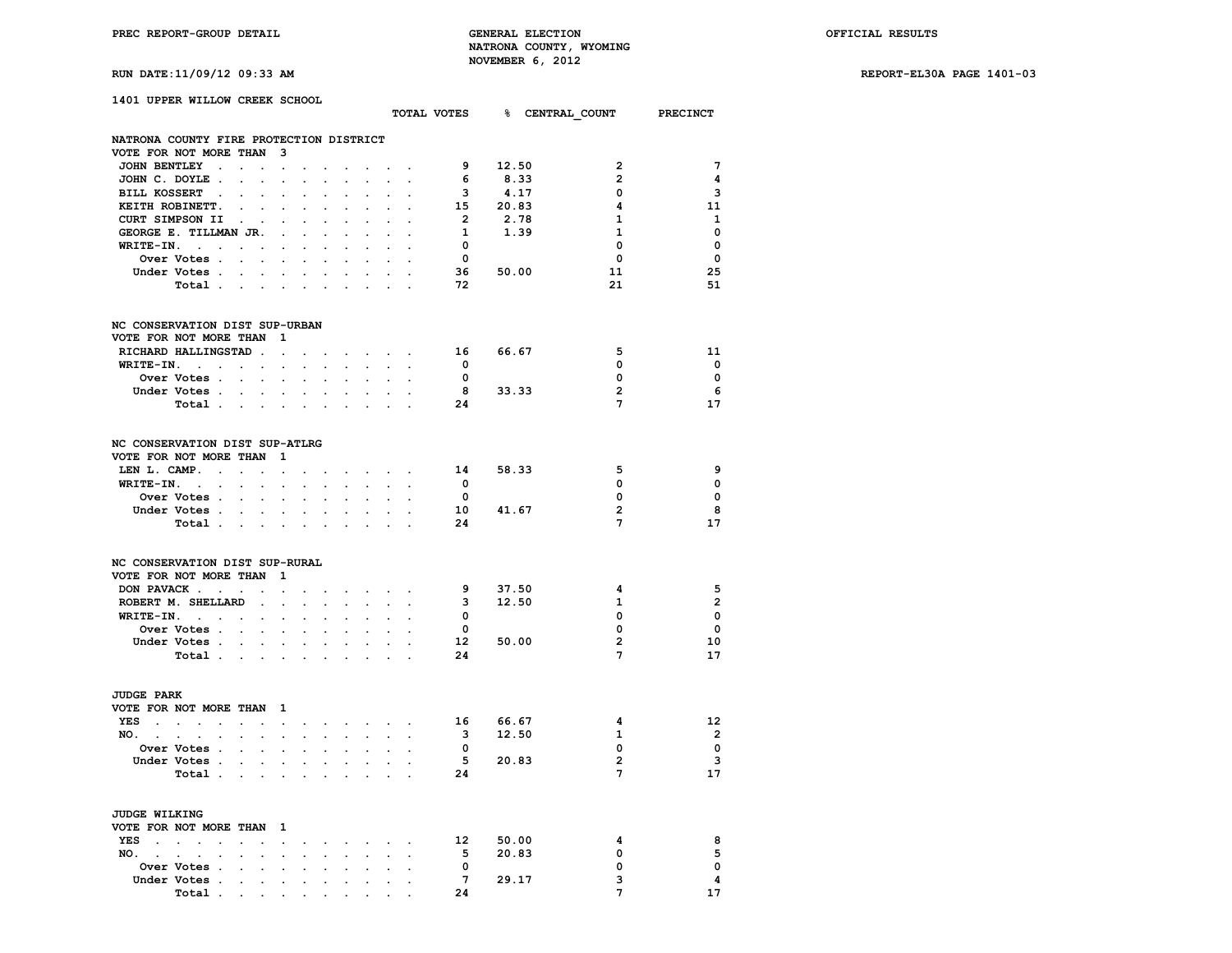**RUN DATE:11/09/12 09:33 AM REPORT-EL30A PAGE 1401-03**

| RUN DATE:11/09/12 09:33 AM |  |
|----------------------------|--|
|----------------------------|--|

|                                                            | 1401 UPPER WILLOW CREEK SCHOOL |                                                             |                            |                                                                                                                                                             |                            |                                                                                       |         |                           |                           |                                                                                    |                         |                                                             | TOTAL VOTES 8 CENTRAL COUNT PRECINCT |                          |
|------------------------------------------------------------|--------------------------------|-------------------------------------------------------------|----------------------------|-------------------------------------------------------------------------------------------------------------------------------------------------------------|----------------------------|---------------------------------------------------------------------------------------|---------|---------------------------|---------------------------|------------------------------------------------------------------------------------|-------------------------|-------------------------------------------------------------|--------------------------------------|--------------------------|
|                                                            |                                |                                                             |                            |                                                                                                                                                             |                            |                                                                                       |         |                           |                           |                                                                                    |                         |                                                             |                                      |                          |
| NATRONA COUNTY FIRE PROTECTION DISTRICT                    |                                |                                                             |                            |                                                                                                                                                             |                            |                                                                                       |         |                           |                           |                                                                                    |                         |                                                             |                                      |                          |
| VOTE FOR NOT MORE THAN 3                                   |                                |                                                             |                            |                                                                                                                                                             |                            |                                                                                       |         |                           |                           |                                                                                    |                         |                                                             |                                      |                          |
|                                                            | JOHN BENTLEY                   |                                                             |                            |                                                                                                                                                             |                            | <b>Contract Contract</b>                                                              |         |                           |                           | and a strong control of the                                                        |                         | 9 12.50                                                     | $\overline{2}$                       | $7\phantom{.0}$          |
|                                                            | JOHN C. DOYLE.                 |                                                             | $\mathbf{L}$               | $\ddot{\phantom{0}}$                                                                                                                                        |                            |                                                                                       |         |                           |                           |                                                                                    | 6                       | 8.33                                                        | $\overline{2}$                       | -4                       |
|                                                            | BILL KOSSERT                   |                                                             |                            | $\bullet$                                                                                                                                                   | $\ddot{\phantom{0}}$       |                                                                                       |         | $\ddot{\phantom{0}}$      |                           |                                                                                    |                         | $\begin{array}{ccc} 3 & & 4.17 \\ 15 & & 20.83 \end{array}$ | 0                                    | 3                        |
|                                                            | KEITH ROBINETT. .              |                                                             | $\mathbf{L}$               | $\sim$                                                                                                                                                      | $\sim$                     |                                                                                       | $\sim$  | $\mathbf{L}^{\text{max}}$ | $\sim$                    |                                                                                    |                         |                                                             | 4                                    | - 11                     |
|                                                            | CURT SIMPSON II                | $\sim$ $\sim$                                               |                            | $\sim$                                                                                                                                                      | $\ddot{\phantom{0}}$       | $\ddot{\phantom{a}}$                                                                  | $\cdot$ | $\ddot{\phantom{0}}$      | $\sim$                    | $\cdot$                                                                            | $\overline{\mathbf{2}}$ | 2.78                                                        | $\mathbf{1}$                         | 1                        |
|                                                            | GEORGE E. TILLMAN JR.          |                                                             |                            |                                                                                                                                                             |                            |                                                                                       |         |                           |                           |                                                                                    | $\mathbf{1}$            | 1.39                                                        | 1                                    | $\overline{\mathbf{0}}$  |
|                                                            | $WRITE-IN.$                    | $\mathcal{L}(\mathcal{A})$ , and $\mathcal{L}(\mathcal{A})$ |                            |                                                                                                                                                             | $\cdot$                    | $\sim$                                                                                | $\cdot$ | $\sim$                    | $\cdot$                   | $\sim$                                                                             | $\mathbf{o}$            |                                                             | 0                                    | $\mathbf{o}$             |
|                                                            | <b>Over Votes</b>              |                                                             |                            |                                                                                                                                                             | $\sim$                     | $\sim$                                                                                | $\sim$  |                           | $\mathbf{r} = \mathbf{r}$ | $\sim$                                                                             | $\overline{\mathbf{0}}$ |                                                             | 0                                    | $\mathbf{o}$             |
|                                                            | Under Votes.                   | <b>Contract Contract</b>                                    |                            |                                                                                                                                                             | $\ddot{\phantom{a}}$       | $\sim 100$                                                                            | $\sim$  | $\sim$                    | $\sim$                    | $\sim$                                                                             |                         | 36 50.00                                                    | 11                                   | 25                       |
|                                                            | Total                          |                                                             |                            |                                                                                                                                                             |                            |                                                                                       |         |                           |                           |                                                                                    | 72                      |                                                             | 21                                   | 51                       |
| NC CONSERVATION DIST SUP-URBAN                             |                                |                                                             |                            |                                                                                                                                                             |                            |                                                                                       |         |                           |                           |                                                                                    |                         |                                                             |                                      |                          |
| VOTE FOR NOT MORE THAN 1                                   |                                |                                                             |                            |                                                                                                                                                             |                            |                                                                                       |         |                           |                           |                                                                                    |                         |                                                             |                                      |                          |
|                                                            | RICHARD HALLINGSTAD.           |                                                             |                            | $\sim$                                                                                                                                                      | $\ddot{\phantom{0}}$       | the contract of the contract of the                                                   |         |                           |                           |                                                                                    | 16                      | 66.67                                                       | 5                                    | 11                       |
|                                                            | WRITE-IN.                      |                                                             |                            |                                                                                                                                                             |                            |                                                                                       |         |                           |                           |                                                                                    | $\overline{\mathbf{0}}$ |                                                             | 0                                    | $\overline{\mathbf{0}}$  |
|                                                            | Over Votes                     |                                                             | $\mathcal{L}^{\text{max}}$ | $\mathcal{L}^{\text{max}}$                                                                                                                                  | $\mathcal{L}^{\text{max}}$ |                                                                                       |         |                           |                           |                                                                                    | $\bullet$               |                                                             | 0                                    | $\overline{\mathbf{0}}$  |
|                                                            | Under Votes                    |                                                             |                            |                                                                                                                                                             |                            |                                                                                       |         |                           |                           |                                                                                    |                         | 8 33.33                                                     | $\overline{2}$                       | - 6                      |
|                                                            | Total                          |                                                             |                            |                                                                                                                                                             |                            |                                                                                       |         |                           |                           |                                                                                    | 24                      |                                                             | $\overline{7}$                       | 17                       |
| NC CONSERVATION DIST SUP-ATLRG<br>VOTE FOR NOT MORE THAN 1 |                                |                                                             |                            |                                                                                                                                                             |                            |                                                                                       |         |                           |                           |                                                                                    |                         |                                                             |                                      |                          |
|                                                            | LEN L. CAMP.                   |                                                             |                            | $\sim$                                                                                                                                                      |                            |                                                                                       |         |                           |                           | $\bullet$ . In the contribution of the contribution of $\mathcal{O}(\mathbb{R}^d)$ | 14                      | 58.33                                                       | 5                                    | 9                        |
|                                                            | $WRITE-IN.$                    |                                                             |                            | $\mathcal{L}^{\mathcal{L}}$                                                                                                                                 |                            | and a strong control of the state of                                                  |         |                           |                           |                                                                                    | $\bullet$               |                                                             | 0                                    | $\mathbf{0}$             |
|                                                            | Over Votes                     |                                                             |                            |                                                                                                                                                             | $\sim$                     | $\sim$                                                                                | $\sim$  | $\ddot{\phantom{0}}$      | $\sim$                    |                                                                                    | $\overline{\mathbf{0}}$ |                                                             | 0                                    | $\mathbf 0$              |
|                                                            | Under Votes                    |                                                             |                            |                                                                                                                                                             |                            |                                                                                       |         |                           |                           |                                                                                    |                         | $10$ 41.67                                                  | $\overline{\mathbf{2}}$              | - 8                      |
|                                                            | Total                          |                                                             |                            |                                                                                                                                                             |                            |                                                                                       |         | $\sim$                    |                           |                                                                                    | 24                      |                                                             | 7                                    | 17                       |
| NC CONSERVATION DIST SUP-RURAL<br>VOTE FOR NOT MORE THAN 1 |                                |                                                             |                            |                                                                                                                                                             |                            |                                                                                       |         |                           |                           |                                                                                    |                         |                                                             |                                      |                          |
|                                                            | DON PAVACK                     |                                                             |                            |                                                                                                                                                             |                            |                                                                                       |         |                           |                           |                                                                                    | - 9                     | 37.50                                                       | 4                                    | 5                        |
|                                                            | ROBERT M. SHELLARD             |                                                             | $\sim 10^{-10}$            | $\sim$                                                                                                                                                      | $\sim$                     | $\sim$                                                                                | $\sim$  |                           | <b>Service</b>            | $\sim$                                                                             | $\overline{\mathbf{3}}$ | 12.50                                                       | 1                                    | $\overline{2}$           |
|                                                            | $WRITE-IN.$                    |                                                             |                            |                                                                                                                                                             |                            | and the company of the company of                                                     |         |                           |                           |                                                                                    | $\overline{\mathbf{0}}$ |                                                             | 0                                    | $\mathbf{o}$             |
|                                                            | Over Votes                     |                                                             |                            |                                                                                                                                                             |                            |                                                                                       |         |                           |                           |                                                                                    | $\overline{\mathbf{0}}$ |                                                             | 0                                    | $\mathbf 0$              |
|                                                            |                                |                                                             |                            |                                                                                                                                                             |                            |                                                                                       |         |                           |                           |                                                                                    |                         | 12 50.00                                                    | $\overline{2}$                       | 10                       |
|                                                            | Under Votes                    |                                                             |                            |                                                                                                                                                             |                            | and a strong control of the state                                                     |         |                           |                           |                                                                                    |                         |                                                             |                                      |                          |
|                                                            | Total                          |                                                             |                            |                                                                                                                                                             |                            |                                                                                       |         |                           |                           |                                                                                    | 24                      |                                                             | 7                                    | 17                       |
| <b>JUDGE PARK</b><br>VOTE FOR NOT MORE THAN 1              |                                |                                                             |                            |                                                                                                                                                             |                            |                                                                                       |         |                           |                           |                                                                                    |                         |                                                             |                                      |                          |
|                                                            | YES                            |                                                             |                            |                                                                                                                                                             |                            |                                                                                       |         |                           |                           | and a series of the series of the                                                  |                         | 16 66.67                                                    | 4                                    | 12                       |
| NO.,                                                       | $\mathbf{r} = \mathbf{r}$      | $\mathbf{z} = \mathbf{z} + \mathbf{z}$                      |                            |                                                                                                                                                             |                            | and a series of the series of the series of the series of the series of the series of |         |                           |                           |                                                                                    | $\overline{\mathbf{3}}$ | 12.50                                                       | 1                                    | $\overline{\phantom{a}}$ |
|                                                            | Over Votes                     |                                                             |                            | $\sim$                                                                                                                                                      | $\sim$                     | $\sim$                                                                                |         | and the company's         |                           |                                                                                    | $\overline{\mathbf{0}}$ |                                                             | 0                                    | $\mathbf{0}$             |
|                                                            | Under Votes                    |                                                             |                            |                                                                                                                                                             |                            |                                                                                       |         |                           |                           |                                                                                    |                         | 5 20.83                                                     | $\overline{2}$                       | - 3                      |
|                                                            | Total                          |                                                             |                            |                                                                                                                                                             |                            |                                                                                       |         | $\sim$                    | $\sim$                    |                                                                                    | 24                      |                                                             | 7                                    | 17                       |
| <b>JUDGE WILKING</b>                                       |                                |                                                             |                            |                                                                                                                                                             |                            |                                                                                       |         |                           |                           |                                                                                    |                         |                                                             |                                      |                          |
| VOTE FOR NOT MORE THAN 1                                   |                                |                                                             |                            |                                                                                                                                                             |                            |                                                                                       |         |                           |                           |                                                                                    |                         |                                                             |                                      |                          |
|                                                            | YES                            |                                                             |                            |                                                                                                                                                             |                            |                                                                                       |         |                           |                           |                                                                                    |                         | 12 50.00                                                    | 4                                    | 8                        |
| NO.<br>$\sim$ $-$                                          | $\sim$                         |                                                             |                            | $\sim$                                                                                                                                                      | $\sim$                     | $\ddot{\phantom{a}}$                                                                  |         |                           |                           |                                                                                    | 5                       | 20.83                                                       | 0                                    | 5                        |
|                                                            | Over Votes                     |                                                             |                            |                                                                                                                                                             |                            |                                                                                       |         |                           |                           | $\ddot{\phantom{a}}$                                                               | $\overline{\mathbf{0}}$ |                                                             | 0                                    | $\mathbf 0$              |
|                                                            | Under Votes.                   |                                                             |                            |                                                                                                                                                             |                            |                                                                                       |         |                           |                           |                                                                                    | $7^{\circ}$             | 29.17                                                       | 3                                    | 4                        |
|                                                            |                                | <b>Contract Contract</b>                                    |                            | $\bullet$ .<br><br><br><br><br><br><br><br><br><br><br><br><br><br><br><br><br><br><br><br><br><br><br><br><br><br><br><br><br><br><br><br><br><br><br><br> |                            | the company's company's                                                               |         |                           | $\sim$                    |                                                                                    |                         |                                                             |                                      |                          |

**Total .** . . . . . . . . . 24 24 7 17